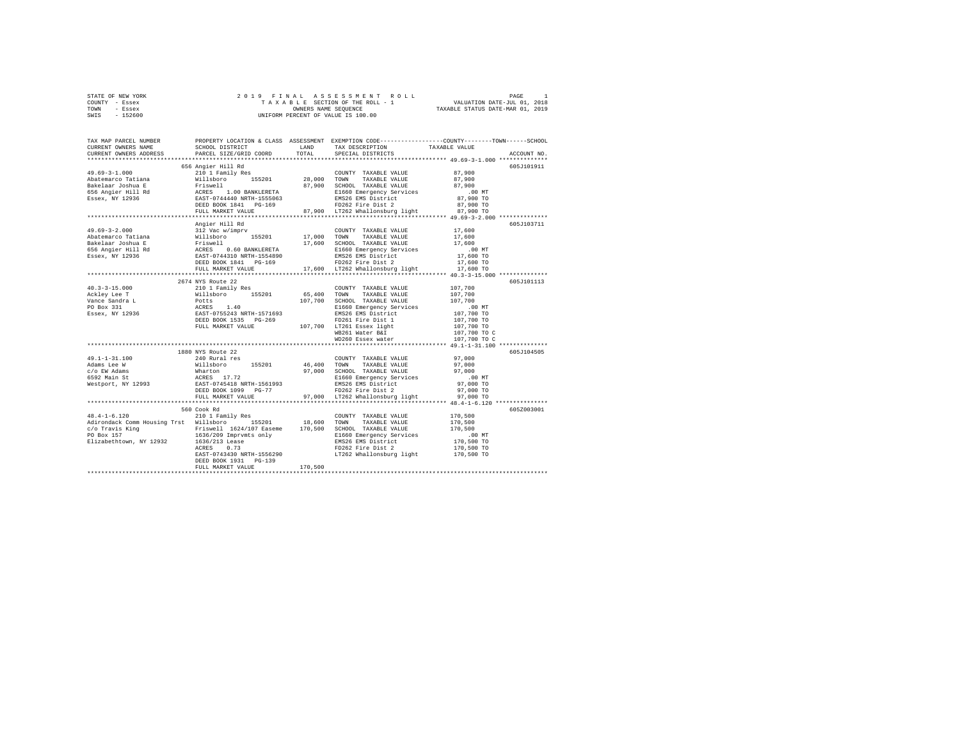| STATE OF NEW YORK | 2019 FINAL ASSESSMENT ROLL         | PAGE                             |
|-------------------|------------------------------------|----------------------------------|
| COUNTY - Essex    | TAXABLE SECTION OF THE ROLL - 1    | VALUATION DATE-JUL 01, 2018      |
| TOWN<br>- Essex   | OWNERS NAME SEOUENCE               | TAXABLE STATUS DATE-MAR 01, 2019 |
| - 152600<br>SWIS  | UNIFORM PERCENT OF VALUE IS 100.00 |                                  |

| 656 Angier Hill Rd<br>605J101911<br>Angier Hill Rd<br>605J103711<br>17,600<br>312 Vac w/imprv<br>COUNTY TAXABLE VALUE<br>$\begin{tabular}{l c c c c c} \multicolumn{1}{c}{\textbf{A9.69--3--2.000}} \multicolumn{1}{c}{\textbf{A9.69--3--2.000}} \multicolumn{1}{c}{\textbf{A9.69--3--2.000}} \multicolumn{1}{c}{\textbf{A9.69--3--2.000}} \multicolumn{1}{c}{\textbf{A9.69--3--2.000}} \multicolumn{1}{c}{\textbf{A9.600}} \multicolumn{1}{c}{\textbf{A9.600}} \multicolumn{1}{c}{\textbf{A9.600}} \multicolumn{1}{$<br>2674 NYS Route 22<br>605J101113<br>COUNTY TAXABLE VALUE 107,700<br>107,700<br>DILL MARKET VALUE<br>MESSI WARKET VALUE<br>MESSI WARKET VALUE<br>MESSI ESSEX WALCH MESSI WARE TEAT<br>1880 NYS Route 22<br>605J104505<br>97,000<br>240 Rural res<br>$49.1 - 1 - 31.100$<br>COUNTY TAXABLE VALUE<br>1971.1-1-91.1.1W 2010<br>1971.000 Millibhoro 155201 46,400 TOWN TAXABLE VALUE 97,000<br>2010 Millibhoro 155201 97,000 CHOLD TAXABLE VALUE 97,000<br>2010 Millibhoro 155201 97,000 TOWN TAXABLE VALUE 97,000<br>2010 Millibhoro 15520 9<br>${\tt DEED \ BOOK \ 1099 \  \  \, PG-77} \hspace{3.9cm} {\tt FD262 \  \, Fire \  \, Dist \  \  \, 2} \hspace{3.9cm} 97,000 \  \  \, {\tt TOEID \  \, 19262 \  \, File \  \, \, 2} \hspace{3.9cm} 97,000 \  \  \, {\tt TOEID \  \, 2} \hspace{3.9cm} 97,000 \  \  \, {\tt TOEID \  \, 2} \hspace{3.9cm} 100 \  \  \, {\tt TOEID \  \, 2} \hspace{3.9cm} 1$<br>560 Cook Rd<br>605Z003001<br>210 1 Family Res<br>COUNTY TAXABLE VALUE 170,500<br>Adirondack Comm Housing Trst Willsboro 155201 18,600 TOWN<br>TAXABLE VALUE<br>170,500<br>00 MT.<br>170,500 TO<br>170,500 TO<br>EAST-0743430 NRTH-1556290 LT262 Whallonsburg light 170,500 TO | TAX MAP PARCEL NUMBER<br>CURRENT OWNERS NAME<br>CURRENT OWNERS ADDRESS | SCHOOL DISTRICT<br>PARCEL SIZE/GRID COORD | LAND<br>TOTAL | PROPERTY LOCATION & CLASS ASSESSMENT EXEMPTION CODE---------------COUNTY-------TOWN-----SCHOOL<br>TAX DESCRIPTION<br>SPECIAL DISTRICTS | TAXABLE VALUE | ACCOUNT NO. |
|----------------------------------------------------------------------------------------------------------------------------------------------------------------------------------------------------------------------------------------------------------------------------------------------------------------------------------------------------------------------------------------------------------------------------------------------------------------------------------------------------------------------------------------------------------------------------------------------------------------------------------------------------------------------------------------------------------------------------------------------------------------------------------------------------------------------------------------------------------------------------------------------------------------------------------------------------------------------------------------------------------------------------------------------------------------------------------------------------------------------------------------------------------------------------------------------------------------------------------------------------------------------------------------------------------------------------------------------------------------------------------------------------------------------------------------------------------------------------------------------------------------------------------------------------------------------------------------------------------------------------------------------------------------------------------------------------------------|------------------------------------------------------------------------|-------------------------------------------|---------------|----------------------------------------------------------------------------------------------------------------------------------------|---------------|-------------|
|                                                                                                                                                                                                                                                                                                                                                                                                                                                                                                                                                                                                                                                                                                                                                                                                                                                                                                                                                                                                                                                                                                                                                                                                                                                                                                                                                                                                                                                                                                                                                                                                                                                                                                                | **********************                                                 |                                           |               |                                                                                                                                        |               |             |
|                                                                                                                                                                                                                                                                                                                                                                                                                                                                                                                                                                                                                                                                                                                                                                                                                                                                                                                                                                                                                                                                                                                                                                                                                                                                                                                                                                                                                                                                                                                                                                                                                                                                                                                |                                                                        |                                           |               |                                                                                                                                        |               |             |
|                                                                                                                                                                                                                                                                                                                                                                                                                                                                                                                                                                                                                                                                                                                                                                                                                                                                                                                                                                                                                                                                                                                                                                                                                                                                                                                                                                                                                                                                                                                                                                                                                                                                                                                |                                                                        |                                           |               |                                                                                                                                        |               |             |
|                                                                                                                                                                                                                                                                                                                                                                                                                                                                                                                                                                                                                                                                                                                                                                                                                                                                                                                                                                                                                                                                                                                                                                                                                                                                                                                                                                                                                                                                                                                                                                                                                                                                                                                |                                                                        |                                           |               |                                                                                                                                        |               |             |
|                                                                                                                                                                                                                                                                                                                                                                                                                                                                                                                                                                                                                                                                                                                                                                                                                                                                                                                                                                                                                                                                                                                                                                                                                                                                                                                                                                                                                                                                                                                                                                                                                                                                                                                |                                                                        |                                           |               |                                                                                                                                        |               |             |
|                                                                                                                                                                                                                                                                                                                                                                                                                                                                                                                                                                                                                                                                                                                                                                                                                                                                                                                                                                                                                                                                                                                                                                                                                                                                                                                                                                                                                                                                                                                                                                                                                                                                                                                |                                                                        |                                           |               |                                                                                                                                        |               |             |
|                                                                                                                                                                                                                                                                                                                                                                                                                                                                                                                                                                                                                                                                                                                                                                                                                                                                                                                                                                                                                                                                                                                                                                                                                                                                                                                                                                                                                                                                                                                                                                                                                                                                                                                |                                                                        |                                           |               |                                                                                                                                        |               |             |
|                                                                                                                                                                                                                                                                                                                                                                                                                                                                                                                                                                                                                                                                                                                                                                                                                                                                                                                                                                                                                                                                                                                                                                                                                                                                                                                                                                                                                                                                                                                                                                                                                                                                                                                |                                                                        |                                           |               |                                                                                                                                        |               |             |
|                                                                                                                                                                                                                                                                                                                                                                                                                                                                                                                                                                                                                                                                                                                                                                                                                                                                                                                                                                                                                                                                                                                                                                                                                                                                                                                                                                                                                                                                                                                                                                                                                                                                                                                |                                                                        |                                           |               |                                                                                                                                        |               |             |
|                                                                                                                                                                                                                                                                                                                                                                                                                                                                                                                                                                                                                                                                                                                                                                                                                                                                                                                                                                                                                                                                                                                                                                                                                                                                                                                                                                                                                                                                                                                                                                                                                                                                                                                |                                                                        |                                           |               |                                                                                                                                        |               |             |
|                                                                                                                                                                                                                                                                                                                                                                                                                                                                                                                                                                                                                                                                                                                                                                                                                                                                                                                                                                                                                                                                                                                                                                                                                                                                                                                                                                                                                                                                                                                                                                                                                                                                                                                | $49.69 - 3 - 2.000$                                                    |                                           |               |                                                                                                                                        |               |             |
|                                                                                                                                                                                                                                                                                                                                                                                                                                                                                                                                                                                                                                                                                                                                                                                                                                                                                                                                                                                                                                                                                                                                                                                                                                                                                                                                                                                                                                                                                                                                                                                                                                                                                                                |                                                                        |                                           |               |                                                                                                                                        |               |             |
|                                                                                                                                                                                                                                                                                                                                                                                                                                                                                                                                                                                                                                                                                                                                                                                                                                                                                                                                                                                                                                                                                                                                                                                                                                                                                                                                                                                                                                                                                                                                                                                                                                                                                                                |                                                                        |                                           |               |                                                                                                                                        |               |             |
|                                                                                                                                                                                                                                                                                                                                                                                                                                                                                                                                                                                                                                                                                                                                                                                                                                                                                                                                                                                                                                                                                                                                                                                                                                                                                                                                                                                                                                                                                                                                                                                                                                                                                                                |                                                                        |                                           |               |                                                                                                                                        |               |             |
|                                                                                                                                                                                                                                                                                                                                                                                                                                                                                                                                                                                                                                                                                                                                                                                                                                                                                                                                                                                                                                                                                                                                                                                                                                                                                                                                                                                                                                                                                                                                                                                                                                                                                                                |                                                                        |                                           |               |                                                                                                                                        |               |             |
|                                                                                                                                                                                                                                                                                                                                                                                                                                                                                                                                                                                                                                                                                                                                                                                                                                                                                                                                                                                                                                                                                                                                                                                                                                                                                                                                                                                                                                                                                                                                                                                                                                                                                                                |                                                                        |                                           |               |                                                                                                                                        |               |             |
|                                                                                                                                                                                                                                                                                                                                                                                                                                                                                                                                                                                                                                                                                                                                                                                                                                                                                                                                                                                                                                                                                                                                                                                                                                                                                                                                                                                                                                                                                                                                                                                                                                                                                                                |                                                                        |                                           |               |                                                                                                                                        |               |             |
|                                                                                                                                                                                                                                                                                                                                                                                                                                                                                                                                                                                                                                                                                                                                                                                                                                                                                                                                                                                                                                                                                                                                                                                                                                                                                                                                                                                                                                                                                                                                                                                                                                                                                                                |                                                                        |                                           |               |                                                                                                                                        |               |             |
|                                                                                                                                                                                                                                                                                                                                                                                                                                                                                                                                                                                                                                                                                                                                                                                                                                                                                                                                                                                                                                                                                                                                                                                                                                                                                                                                                                                                                                                                                                                                                                                                                                                                                                                |                                                                        |                                           |               |                                                                                                                                        |               |             |
|                                                                                                                                                                                                                                                                                                                                                                                                                                                                                                                                                                                                                                                                                                                                                                                                                                                                                                                                                                                                                                                                                                                                                                                                                                                                                                                                                                                                                                                                                                                                                                                                                                                                                                                |                                                                        |                                           |               |                                                                                                                                        |               |             |
|                                                                                                                                                                                                                                                                                                                                                                                                                                                                                                                                                                                                                                                                                                                                                                                                                                                                                                                                                                                                                                                                                                                                                                                                                                                                                                                                                                                                                                                                                                                                                                                                                                                                                                                |                                                                        |                                           |               |                                                                                                                                        |               |             |
|                                                                                                                                                                                                                                                                                                                                                                                                                                                                                                                                                                                                                                                                                                                                                                                                                                                                                                                                                                                                                                                                                                                                                                                                                                                                                                                                                                                                                                                                                                                                                                                                                                                                                                                |                                                                        |                                           |               |                                                                                                                                        |               |             |
|                                                                                                                                                                                                                                                                                                                                                                                                                                                                                                                                                                                                                                                                                                                                                                                                                                                                                                                                                                                                                                                                                                                                                                                                                                                                                                                                                                                                                                                                                                                                                                                                                                                                                                                |                                                                        |                                           |               |                                                                                                                                        |               |             |
|                                                                                                                                                                                                                                                                                                                                                                                                                                                                                                                                                                                                                                                                                                                                                                                                                                                                                                                                                                                                                                                                                                                                                                                                                                                                                                                                                                                                                                                                                                                                                                                                                                                                                                                |                                                                        |                                           |               |                                                                                                                                        |               |             |
|                                                                                                                                                                                                                                                                                                                                                                                                                                                                                                                                                                                                                                                                                                                                                                                                                                                                                                                                                                                                                                                                                                                                                                                                                                                                                                                                                                                                                                                                                                                                                                                                                                                                                                                |                                                                        |                                           |               |                                                                                                                                        |               |             |
|                                                                                                                                                                                                                                                                                                                                                                                                                                                                                                                                                                                                                                                                                                                                                                                                                                                                                                                                                                                                                                                                                                                                                                                                                                                                                                                                                                                                                                                                                                                                                                                                                                                                                                                |                                                                        |                                           |               |                                                                                                                                        |               |             |
|                                                                                                                                                                                                                                                                                                                                                                                                                                                                                                                                                                                                                                                                                                                                                                                                                                                                                                                                                                                                                                                                                                                                                                                                                                                                                                                                                                                                                                                                                                                                                                                                                                                                                                                |                                                                        |                                           |               |                                                                                                                                        |               |             |
|                                                                                                                                                                                                                                                                                                                                                                                                                                                                                                                                                                                                                                                                                                                                                                                                                                                                                                                                                                                                                                                                                                                                                                                                                                                                                                                                                                                                                                                                                                                                                                                                                                                                                                                |                                                                        |                                           |               |                                                                                                                                        |               |             |
|                                                                                                                                                                                                                                                                                                                                                                                                                                                                                                                                                                                                                                                                                                                                                                                                                                                                                                                                                                                                                                                                                                                                                                                                                                                                                                                                                                                                                                                                                                                                                                                                                                                                                                                |                                                                        |                                           |               |                                                                                                                                        |               |             |
|                                                                                                                                                                                                                                                                                                                                                                                                                                                                                                                                                                                                                                                                                                                                                                                                                                                                                                                                                                                                                                                                                                                                                                                                                                                                                                                                                                                                                                                                                                                                                                                                                                                                                                                |                                                                        |                                           |               |                                                                                                                                        |               |             |
|                                                                                                                                                                                                                                                                                                                                                                                                                                                                                                                                                                                                                                                                                                                                                                                                                                                                                                                                                                                                                                                                                                                                                                                                                                                                                                                                                                                                                                                                                                                                                                                                                                                                                                                |                                                                        |                                           |               |                                                                                                                                        |               |             |
|                                                                                                                                                                                                                                                                                                                                                                                                                                                                                                                                                                                                                                                                                                                                                                                                                                                                                                                                                                                                                                                                                                                                                                                                                                                                                                                                                                                                                                                                                                                                                                                                                                                                                                                |                                                                        |                                           |               |                                                                                                                                        |               |             |
|                                                                                                                                                                                                                                                                                                                                                                                                                                                                                                                                                                                                                                                                                                                                                                                                                                                                                                                                                                                                                                                                                                                                                                                                                                                                                                                                                                                                                                                                                                                                                                                                                                                                                                                |                                                                        |                                           |               |                                                                                                                                        |               |             |
|                                                                                                                                                                                                                                                                                                                                                                                                                                                                                                                                                                                                                                                                                                                                                                                                                                                                                                                                                                                                                                                                                                                                                                                                                                                                                                                                                                                                                                                                                                                                                                                                                                                                                                                |                                                                        |                                           |               |                                                                                                                                        |               |             |
|                                                                                                                                                                                                                                                                                                                                                                                                                                                                                                                                                                                                                                                                                                                                                                                                                                                                                                                                                                                                                                                                                                                                                                                                                                                                                                                                                                                                                                                                                                                                                                                                                                                                                                                |                                                                        |                                           |               |                                                                                                                                        |               |             |
|                                                                                                                                                                                                                                                                                                                                                                                                                                                                                                                                                                                                                                                                                                                                                                                                                                                                                                                                                                                                                                                                                                                                                                                                                                                                                                                                                                                                                                                                                                                                                                                                                                                                                                                |                                                                        |                                           |               |                                                                                                                                        |               |             |
|                                                                                                                                                                                                                                                                                                                                                                                                                                                                                                                                                                                                                                                                                                                                                                                                                                                                                                                                                                                                                                                                                                                                                                                                                                                                                                                                                                                                                                                                                                                                                                                                                                                                                                                |                                                                        |                                           |               |                                                                                                                                        |               |             |
|                                                                                                                                                                                                                                                                                                                                                                                                                                                                                                                                                                                                                                                                                                                                                                                                                                                                                                                                                                                                                                                                                                                                                                                                                                                                                                                                                                                                                                                                                                                                                                                                                                                                                                                | $48.4 - 1 - 6.120$                                                     |                                           |               |                                                                                                                                        |               |             |
|                                                                                                                                                                                                                                                                                                                                                                                                                                                                                                                                                                                                                                                                                                                                                                                                                                                                                                                                                                                                                                                                                                                                                                                                                                                                                                                                                                                                                                                                                                                                                                                                                                                                                                                |                                                                        |                                           |               |                                                                                                                                        |               |             |
|                                                                                                                                                                                                                                                                                                                                                                                                                                                                                                                                                                                                                                                                                                                                                                                                                                                                                                                                                                                                                                                                                                                                                                                                                                                                                                                                                                                                                                                                                                                                                                                                                                                                                                                |                                                                        |                                           |               |                                                                                                                                        |               |             |
|                                                                                                                                                                                                                                                                                                                                                                                                                                                                                                                                                                                                                                                                                                                                                                                                                                                                                                                                                                                                                                                                                                                                                                                                                                                                                                                                                                                                                                                                                                                                                                                                                                                                                                                |                                                                        |                                           |               |                                                                                                                                        |               |             |
|                                                                                                                                                                                                                                                                                                                                                                                                                                                                                                                                                                                                                                                                                                                                                                                                                                                                                                                                                                                                                                                                                                                                                                                                                                                                                                                                                                                                                                                                                                                                                                                                                                                                                                                |                                                                        |                                           |               |                                                                                                                                        |               |             |
|                                                                                                                                                                                                                                                                                                                                                                                                                                                                                                                                                                                                                                                                                                                                                                                                                                                                                                                                                                                                                                                                                                                                                                                                                                                                                                                                                                                                                                                                                                                                                                                                                                                                                                                |                                                                        |                                           |               |                                                                                                                                        |               |             |
| DEED BOOK 1931 PG-139                                                                                                                                                                                                                                                                                                                                                                                                                                                                                                                                                                                                                                                                                                                                                                                                                                                                                                                                                                                                                                                                                                                                                                                                                                                                                                                                                                                                                                                                                                                                                                                                                                                                                          |                                                                        |                                           |               |                                                                                                                                        |               |             |
| 170,500<br>FULL MARKET VALUE                                                                                                                                                                                                                                                                                                                                                                                                                                                                                                                                                                                                                                                                                                                                                                                                                                                                                                                                                                                                                                                                                                                                                                                                                                                                                                                                                                                                                                                                                                                                                                                                                                                                                   |                                                                        |                                           |               |                                                                                                                                        |               |             |
|                                                                                                                                                                                                                                                                                                                                                                                                                                                                                                                                                                                                                                                                                                                                                                                                                                                                                                                                                                                                                                                                                                                                                                                                                                                                                                                                                                                                                                                                                                                                                                                                                                                                                                                |                                                                        |                                           |               |                                                                                                                                        |               |             |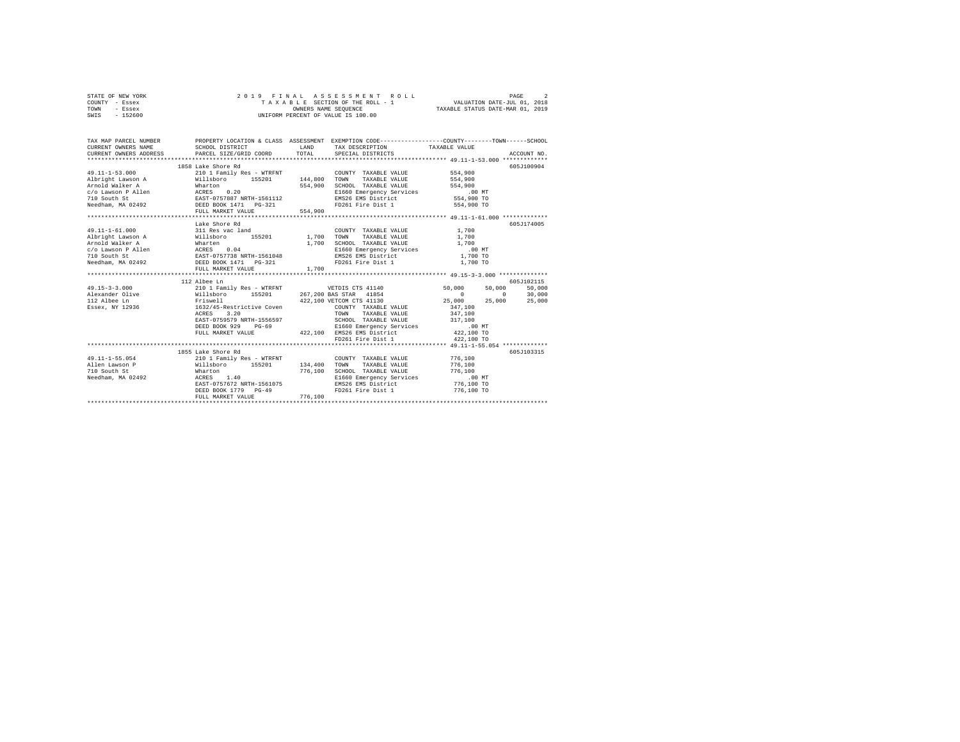|                | STATE OF NEW YORK |                      |  |  |  |  |  |  | 2019 FINAL ASSESSMENT ROLL         |                             | PAGE |  |
|----------------|-------------------|----------------------|--|--|--|--|--|--|------------------------------------|-----------------------------|------|--|
| COUNTY - Essex |                   |                      |  |  |  |  |  |  | TAXABLE SECTION OF THE ROLL - 1    | VALUATION DATE-JUL 01, 2018 |      |  |
| TOWN           | - Essex           | OWNERS NAME SEOUENCE |  |  |  |  |  |  | TAXABLE STATUS DATE-MAR 01, 2019   |                             |      |  |
| SWIS           | $-152600$         |                      |  |  |  |  |  |  | UNIFORM PERCENT OF VALUE IS 100.00 |                             |      |  |

| TAX MAP PARCEL NUMBER<br>$\begin{tabular}{lllllllll} \texttt{CURRENT} & & & & & & & & \texttt{TAKD} & \texttt{TAX} & \texttt{DSECRIPTION} & & & & \texttt{TAXABLE} & \texttt{VALUE} & & & \\ & & & & & & & \texttt{SCHOL} & \texttt{DISTRIC} & & & & \texttt{PACE} & \texttt{PACE} & \texttt{PACE} & \texttt{PACE} & \texttt{PACE} & \texttt{PACE} & \texttt{PACE} & \texttt{PACE} & \texttt{PACE} & \texttt{PACE} & \texttt{PACE} & \texttt{PACE} & \texttt{PACE} & \texttt{P$ |                                                                                                                                                                                                                                                                                   |             | PROPERTY LOCATION & CLASS ASSESSMENT EXEMPTION CODE----------------COUNTY-------TOWN-----SCHOOL                                                                   |                                                     |
|---------------------------------------------------------------------------------------------------------------------------------------------------------------------------------------------------------------------------------------------------------------------------------------------------------------------------------------------------------------------------------------------------------------------------------------------------------------------------------|-----------------------------------------------------------------------------------------------------------------------------------------------------------------------------------------------------------------------------------------------------------------------------------|-------------|-------------------------------------------------------------------------------------------------------------------------------------------------------------------|-----------------------------------------------------|
|                                                                                                                                                                                                                                                                                                                                                                                                                                                                                 | 1858 Lake Shore Rd                                                                                                                                                                                                                                                                |             |                                                                                                                                                                   | 605J100904                                          |
|                                                                                                                                                                                                                                                                                                                                                                                                                                                                                 | Lake Shore Rd                                                                                                                                                                                                                                                                     |             |                                                                                                                                                                   | 605J174005                                          |
|                                                                                                                                                                                                                                                                                                                                                                                                                                                                                 | 112 Albee Ln<br>3.20<br>ACRES<br>ARST-0759579 NRTH-1556597<br>ΣΑΒΤ-0759579 NRTH-1556597<br>DEED BOOK 929 PG-69<br>DEED ARKET VALUE<br>PELL MARKET VALUE<br>PELL MARKET VALUE<br>PELL MARKET VALUE<br>PELL MARKET VALUE<br>PELL MARKET VALUE<br>PELL MARKET VALUE<br>PELL MARKET V | <b>TOWN</b> | TAXABLE VALUE 347,100                                                                                                                                             | 605J102115<br>50,000<br>$0$ 30,000<br>25,000 25,000 |
| 49.11-1-55.054<br>49.11-1-55.054<br>Allehoro 155201 134,400 TOWIY TAXABLE VALUE 776,100<br>Alleh Lawson P Willshoro 155201 134,400 SCHOOL TAXABLE VALUE 776,100<br>716.100 SCHOOL TAXABLE VALUE 776,100<br>Needham, MA 02492 ACRES 1.                                                                                                                                                                                                                                           | 1855 Lake Shore Rd<br>EAST-0757672 NRTH-1561075<br>DEED BOOK 1779 PG-49<br>FULL MARKET VALUE                                                                                                                                                                                      | 776,100     | CHOOL TAXABLE VALUE 170,100<br>EMBOR ENGENCY Services 100 MT<br>EMBOR EMBOR ENGENICE 1776,100<br>EMBOR EMBOR ENGENICE 1776,100 TO<br>FD261 Fire Dist 1 776,100 TO | 605J103315                                          |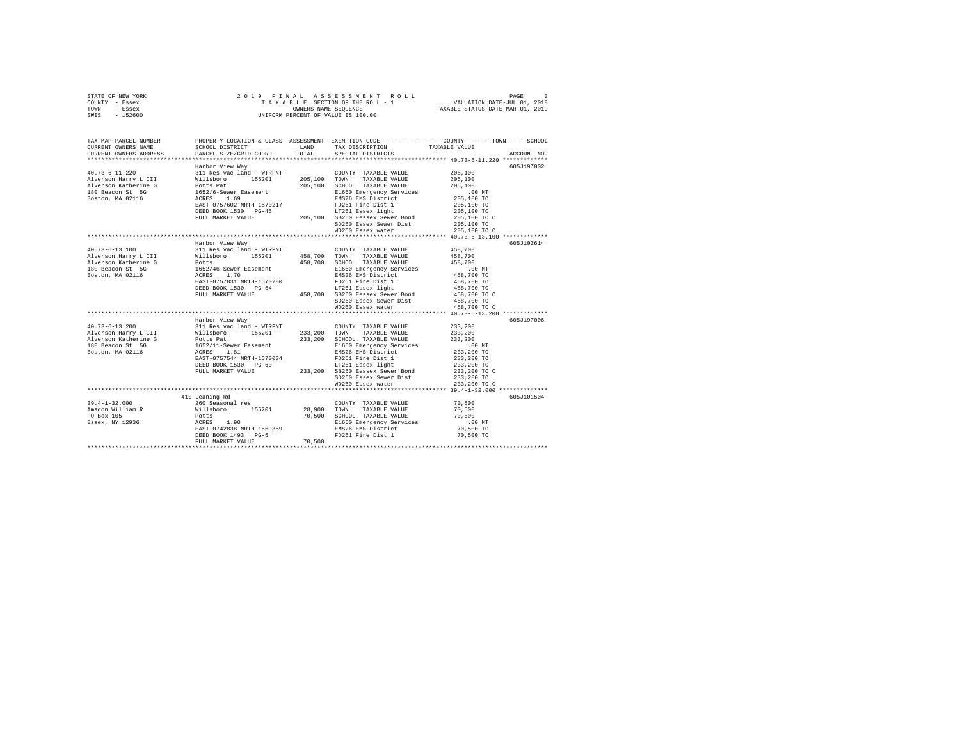|      | STATE OF NEW YORK |  |  | 2019 FINAL ASSESSMENT ROLL         | PAGE                             |  |
|------|-------------------|--|--|------------------------------------|----------------------------------|--|
|      | COUNTY - Essex    |  |  | TAXABLE SECTION OF THE ROLL - 1    | VALUATION DATE-JUL 01, 2018      |  |
| TOWN | - Essex           |  |  | OWNERS NAME SEOUENCE               | TAXABLE STATUS DATE-MAR 01, 2019 |  |
| SWIS | $-152600$         |  |  | UNIFORM PERCENT OF VALUE IS 100.00 |                                  |  |

| TAX MAP PARCEL NUMBER<br>CURRENT OWNERS NAME<br>CURRENT OWNERS ADDRESS                                                                                                                                                                         | SCHOOL DISTRICT<br>PARCEL SIZE/GRID COORD                                 | LAND<br>TOTAL | PROPERTY LOCATION & CLASS ASSESSMENT EXEMPTION CODE----------------COUNTY-------TOWN-----SCHOOL<br>TAX DESCRIPTION<br>SPECIAL DISTRICTS | TAXABLE VALUE                      | ACCOUNT NO. |
|------------------------------------------------------------------------------------------------------------------------------------------------------------------------------------------------------------------------------------------------|---------------------------------------------------------------------------|---------------|-----------------------------------------------------------------------------------------------------------------------------------------|------------------------------------|-------------|
|                                                                                                                                                                                                                                                |                                                                           |               |                                                                                                                                         |                                    |             |
|                                                                                                                                                                                                                                                | Harbor View Way                                                           |               |                                                                                                                                         |                                    | 605J197002  |
| 40.73-6-11.220                                                                                                                                                                                                                                 | 311 Res vac land - WTRFNT                                                 |               | COUNTY TAXABLE VALUE                                                                                                                    | 205,100                            |             |
| 40.73-0-11.220 Millsboro 15201 205,100 TOWN TAXABLE VAUUE<br>Alverson Harbry L III Willsboro 15201 205,100 TOWN TAXABLE VAUUE<br>180 Beaton Atherine G Potts Pat 205,100 SCHOOL TAXABLE VAUUE<br>180 Beaton St 1652/6-Sewer Easement 20        |                                                                           |               |                                                                                                                                         | 205,100                            |             |
|                                                                                                                                                                                                                                                |                                                                           |               |                                                                                                                                         | 205,100                            |             |
|                                                                                                                                                                                                                                                |                                                                           |               | E1660 Emergency Services                                                                                                                | 00 MT.<br>205,100 TO<br>205,100 TO |             |
|                                                                                                                                                                                                                                                |                                                                           |               |                                                                                                                                         |                                    |             |
|                                                                                                                                                                                                                                                |                                                                           |               |                                                                                                                                         |                                    |             |
|                                                                                                                                                                                                                                                |                                                                           |               |                                                                                                                                         |                                    |             |
|                                                                                                                                                                                                                                                |                                                                           |               |                                                                                                                                         |                                    |             |
|                                                                                                                                                                                                                                                |                                                                           |               | SD260 Essex Sewer Dist                                                                                                                  | 205,100 TO                         |             |
|                                                                                                                                                                                                                                                |                                                                           |               | WD260 Essex water                                                                                                                       | 205,100 TO C                       |             |
|                                                                                                                                                                                                                                                |                                                                           |               |                                                                                                                                         |                                    |             |
|                                                                                                                                                                                                                                                | Harbor View Way                                                           |               |                                                                                                                                         |                                    | 605J102614  |
| $40.73 - 6 - 13.100$                                                                                                                                                                                                                           | 311 Res vac land - WTRFNT                                                 |               | COUNTY TAXABLE VALUE                                                                                                                    | 458,700                            |             |
|                                                                                                                                                                                                                                                |                                                                           |               | 458,700 TOWN TAXABLE VALUE                                                                                                              | 458,700                            |             |
|                                                                                                                                                                                                                                                |                                                                           |               | 458,700 SCHOOL TAXABLE VALUE                                                                                                            | 458,700                            |             |
|                                                                                                                                                                                                                                                |                                                                           |               | E1660 Emergency Services                                                                                                                | .00 MT                             |             |
|                                                                                                                                                                                                                                                |                                                                           |               | EMS26 EMS District                                                                                                                      | 458,700 TO<br>458,700 TO           |             |
|                                                                                                                                                                                                                                                |                                                                           |               | FD261 Fire Dist 1                                                                                                                       |                                    |             |
|                                                                                                                                                                                                                                                |                                                                           |               | LT261 Essex light                                                                                                                       |                                    |             |
|                                                                                                                                                                                                                                                |                                                                           |               | DEED BOOK 1530 PG-54 LT261 Essex light<br>FULL MARKET VALUE 458,700 SB260 Eessex Sewer Bond                                             | 458,700 TO<br>458,700 TO C         |             |
|                                                                                                                                                                                                                                                |                                                                           |               |                                                                                                                                         |                                    |             |
|                                                                                                                                                                                                                                                |                                                                           |               | SD260 Essex Sewer Dist 458,700 TO<br>WD260 Essex water 458,700 TO                                                                       | 458,700 TO C                       |             |
|                                                                                                                                                                                                                                                |                                                                           |               |                                                                                                                                         |                                    |             |
|                                                                                                                                                                                                                                                | Harbor View Way                                                           |               |                                                                                                                                         |                                    | 605J197006  |
| 40.73-6-13.200<br>Allerson Harry L II Willshoro<br>Alverson Katherine G Potts Pat<br>Michael Hotel Harry L II Willshoro<br>2011 Potts Pat<br>2011 20211-Sever Easement<br>2020 1652/11-Sever Easement<br>2020 1652/11-Sever Easement<br>2020 1 |                                                                           |               | COUNTY TAXABLE VALUE                                                                                                                    | 233,200                            |             |
|                                                                                                                                                                                                                                                |                                                                           |               | 233, 200 TOWN TAXABLE VALUE                                                                                                             | 233,200                            |             |
|                                                                                                                                                                                                                                                |                                                                           | 233,200       | SCHOOL TAXABLE VALUE                                                                                                                    | 233,200                            |             |
|                                                                                                                                                                                                                                                |                                                                           |               | E1660 Emergency Services                                                                                                                | $.00$ MT                           |             |
|                                                                                                                                                                                                                                                |                                                                           |               | EMS26 EMS District                                                                                                                      | 233,200 TO                         |             |
|                                                                                                                                                                                                                                                |                                                                           |               | FD261 Fire Dist 1<br>LT261 Essex light                                                                                                  | 233,200 TO                         |             |
|                                                                                                                                                                                                                                                |                                                                           |               | DEED BOOK 1530 PG-60<br>FULL MARKET VALUE 233,200 SB260 Eessex Sewer Bond<br>FULL MARKET VALUE 233,200 SB260 Eessex Sewer Bond          | 233,200 TO<br>233,200 TO C         |             |
|                                                                                                                                                                                                                                                | FULL MARKET VALUE                                                         |               |                                                                                                                                         |                                    |             |
|                                                                                                                                                                                                                                                |                                                                           |               | SD260 Essex Sewer Dist                                                                                                                  | 233,200 TO                         |             |
|                                                                                                                                                                                                                                                |                                                                           |               | WD260 Essex water                                                                                                                       | 233,200 TO C                       |             |
|                                                                                                                                                                                                                                                |                                                                           |               |                                                                                                                                         |                                    |             |
|                                                                                                                                                                                                                                                | 410 Leaning Rd                                                            |               |                                                                                                                                         |                                    | 605J101504  |
| $39.4 - 1 - 32.000$                                                                                                                                                                                                                            | 260 Seasonal res                                                          |               | COUNTY TAXABLE VALUE                                                                                                                    | 70,500                             |             |
| Amadon William R                                                                                                                                                                                                                               |                                                                           | 28,900 TOWN   | TAXABLE VALUE                                                                                                                           | 70,500                             |             |
| PO Box 105                                                                                                                                                                                                                                     | Willsboro 155201<br>Potts 1.90<br>ACRES 1.90<br>EAST-0742838 NRTH-1569359 |               | 70,500 SCHOOL TAXABLE VALUE                                                                                                             | 70,500                             |             |
| Essex, NY 12936                                                                                                                                                                                                                                |                                                                           |               | E1660 Emergency Services                                                                                                                | $.00$ MT                           |             |
|                                                                                                                                                                                                                                                |                                                                           |               | EMS26 EMS District                                                                                                                      | 70,500 TO                          |             |
|                                                                                                                                                                                                                                                | DEED BOOK 1493 PG-5                                                       |               | FD261 Fire Dist 1                                                                                                                       | 70,500 TO                          |             |
|                                                                                                                                                                                                                                                | FULL MARKET VALUE                                                         | 70,500        |                                                                                                                                         |                                    |             |
|                                                                                                                                                                                                                                                |                                                                           |               |                                                                                                                                         |                                    |             |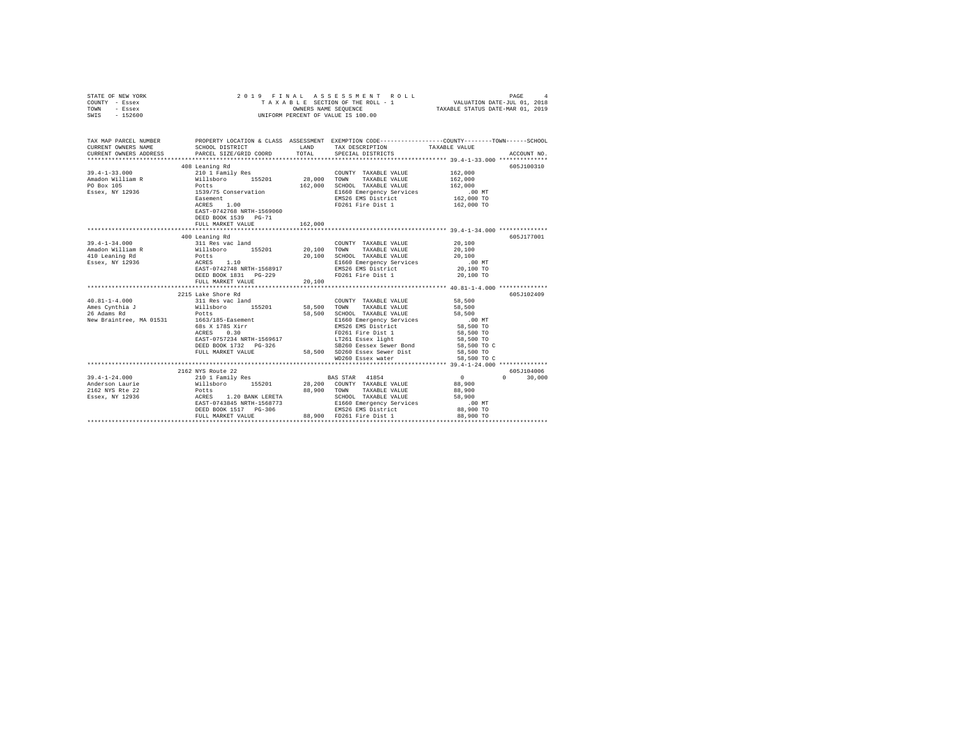| STATE OF NEW YORK<br>COUNTY - Essex<br>TOWN<br>- Essex<br>SWIS - 152600                                                                     | 2019 FINAL ASSESSMENT<br>TAXABLE SECTION OF THE ROLL -<br>UNIFORM PERCENT OF VALUE IS 100.00                                                                                                                                                |             | ASSESSMENT ROLL                                                   | PAGE 4<br>VALUATION DATE-JUL 01, 2018 |               |
|---------------------------------------------------------------------------------------------------------------------------------------------|---------------------------------------------------------------------------------------------------------------------------------------------------------------------------------------------------------------------------------------------|-------------|-------------------------------------------------------------------|---------------------------------------|---------------|
| TAX MAP PARCEL NUMBER PROPERTY LOCATION & CLASS ASSESSMENT EXEMPTION CODE--------------COUNTY-------TOWN------SCHOOL<br>CURRENT OWNERS NAME | SCHOOL DISTRICT LAND                                                                                                                                                                                                                        |             | TAX DESCRIPTION                                                   | TAXABLE VALUE                         |               |
| CURRENT OWNERS ADDRESS PARCEL SIZE/GRID COORD                                                                                               |                                                                                                                                                                                                                                             | TOTAL       | SPECIAL DISTRICTS                                                 |                                       | ACCOUNT NO.   |
|                                                                                                                                             |                                                                                                                                                                                                                                             |             |                                                                   |                                       |               |
|                                                                                                                                             | 408 Leaning Rd                                                                                                                                                                                                                              |             |                                                                   |                                       | 605J100310    |
| $39.4 - 1 - 33.000$                                                                                                                         | 210 1 Family Res                                                                                                                                                                                                                            |             | COUNTY TAXABLE VALUE                                              | 162,000                               |               |
| Amadon William R                                                                                                                            | Xavi Family Res (2008)<br>Willisboro 155201 28,000 TOWN<br>Potts 162,000 SCHOO<br>1539/75 Conservation El660,000 SCHOO                                                                                                                      |             | TAXABLE VALUE                                                     | 162,000                               |               |
| PO Box 105                                                                                                                                  |                                                                                                                                                                                                                                             |             | 162,000 SCHOOL TAXABLE VALUE                                      | 162,000                               |               |
| Essex, NY 12936                                                                                                                             |                                                                                                                                                                                                                                             |             | E1660 Emergency Services 6.00 MT<br>EMS26 EMS District 162,000 TO |                                       |               |
|                                                                                                                                             | Easement<br>ACRES 1.00                                                                                                                                                                                                                      |             |                                                                   |                                       |               |
|                                                                                                                                             | EAST-0742768 NRTH-1569060                                                                                                                                                                                                                   |             | FD261 Fire Dist 1                                                 | 162,000 TO                            |               |
|                                                                                                                                             | DEED BOOK 1539 PG-71                                                                                                                                                                                                                        |             |                                                                   |                                       |               |
|                                                                                                                                             | FULL MARKET VALUE                                                                                                                                                                                                                           | 162,000     |                                                                   |                                       |               |
|                                                                                                                                             |                                                                                                                                                                                                                                             |             |                                                                   |                                       |               |
|                                                                                                                                             | 400 Leaning Rd                                                                                                                                                                                                                              |             |                                                                   |                                       | 605J177001    |
| $39.4 - 1 - 34.000$                                                                                                                         |                                                                                                                                                                                                                                             |             |                                                                   | 20,100                                |               |
| Amadon William R                                                                                                                            |                                                                                                                                                                                                                                             |             |                                                                   | 20,100                                |               |
| 410 Leaning Rd                                                                                                                              |                                                                                                                                                                                                                                             |             |                                                                   | 20,100                                |               |
| Essex, NY 12936                                                                                                                             | 400 Leaning Ru<br>311 Res vac land<br>Willisboro 155201 20,100 TOWN TAXABLE VALUE<br>Potts<br>POTS 1.10 20,100 TOWN TAXABLE VALUE<br>RCRES 1.10 200000 ATARBE VALUE<br>RCRES 1.10 E1660 Emergency Services<br>RAST-0742748 NRTH-1568917 EMS |             |                                                                   | .00MT                                 |               |
|                                                                                                                                             |                                                                                                                                                                                                                                             |             |                                                                   | 20,100 TO                             |               |
|                                                                                                                                             |                                                                                                                                                                                                                                             |             |                                                                   | 20,100 TO                             |               |
|                                                                                                                                             | FULL MARKET VALUE                                                                                                                                                                                                                           | 20,100      |                                                                   |                                       |               |
|                                                                                                                                             | 2215 Lake Shore Rd                                                                                                                                                                                                                          |             |                                                                   |                                       | 605J102409    |
| www.si-i-4.000<br>Manes Cynthia J<br>26 Adams Rd<br>Willsboro 155201<br>26 Adams Rd<br>New Braintree, Ma 01521<br>2001                      |                                                                                                                                                                                                                                             |             | COUNTY TAXABLE VALUE                                              | 58,500                                |               |
|                                                                                                                                             |                                                                                                                                                                                                                                             | 58,500 TOWN | TAXABLE VALUE                                                     | 58,500                                |               |
|                                                                                                                                             |                                                                                                                                                                                                                                             |             | 58,500 SCHOOL TAXABLE VALUE                                       | 58,500                                |               |
| New Braintree, MA 01531 1663/185-Easement                                                                                                   |                                                                                                                                                                                                                                             |             |                                                                   | $.00$ MT                              |               |
|                                                                                                                                             |                                                                                                                                                                                                                                             |             | E1660 Emergency Services<br>EMS26 EMS District                    | 58,500 TO                             |               |
|                                                                                                                                             | 68s X 178S Xirr<br>ACRES 0.30                                                                                                                                                                                                               |             |                                                                   | 58,500 TO                             |               |
|                                                                                                                                             | EAST-0757234 NRTH-1569617                                                                                                                                                                                                                   |             | FD261 Fire Dist 1<br>LT261 Essex light<br>SB260 Eessex Sewer Bond | 58,500 TO                             |               |
|                                                                                                                                             |                                                                                                                                                                                                                                             |             |                                                                   | 58,500 TO C                           |               |
|                                                                                                                                             |                                                                                                                                                                                                                                             |             | FULL MARKET VALUE 58.500 SD260 Essex Sewer Dist                   | 58,500 TO                             |               |
|                                                                                                                                             |                                                                                                                                                                                                                                             |             | WD260 Essex water                                                 | 58,500 TO C                           |               |
|                                                                                                                                             |                                                                                                                                                                                                                                             |             |                                                                   |                                       |               |
|                                                                                                                                             | 2162 NYS Route 22                                                                                                                                                                                                                           |             |                                                                   |                                       | 605J104006    |
| $39.4 - 1 - 24.000$                                                                                                                         |                                                                                                                                                                                                                                             |             |                                                                   | $\sim$ 0 $\sim$ 0                     | $0 \t 30,000$ |
| Anderson Laurie                                                                                                                             |                                                                                                                                                                                                                                             |             |                                                                   |                                       |               |
| 2162 NYS Rte 22<br>Essex, NY 12936                                                                                                          |                                                                                                                                                                                                                                             |             |                                                                   | 88,900<br>58,900                      |               |
|                                                                                                                                             |                                                                                                                                                                                                                                             |             |                                                                   |                                       |               |
|                                                                                                                                             |                                                                                                                                                                                                                                             |             |                                                                   | .00MT<br>88,900 TO                    |               |
|                                                                                                                                             |                                                                                                                                                                                                                                             |             |                                                                   |                                       |               |
|                                                                                                                                             | Notify and the SS (2000)<br>POLLS (2000)<br>ACRES 1.20 BANK LERETA SCHOOL TAXABLE VALUE<br>REST O743845 NRTH-1568773 E1660 Emergency Services<br>DEED BOOK 1517 PG-306 88,900 FD261 FULL MARKET VALUE<br>FULL MARKET VALUE 88,900 FD261     |             |                                                                   |                                       |               |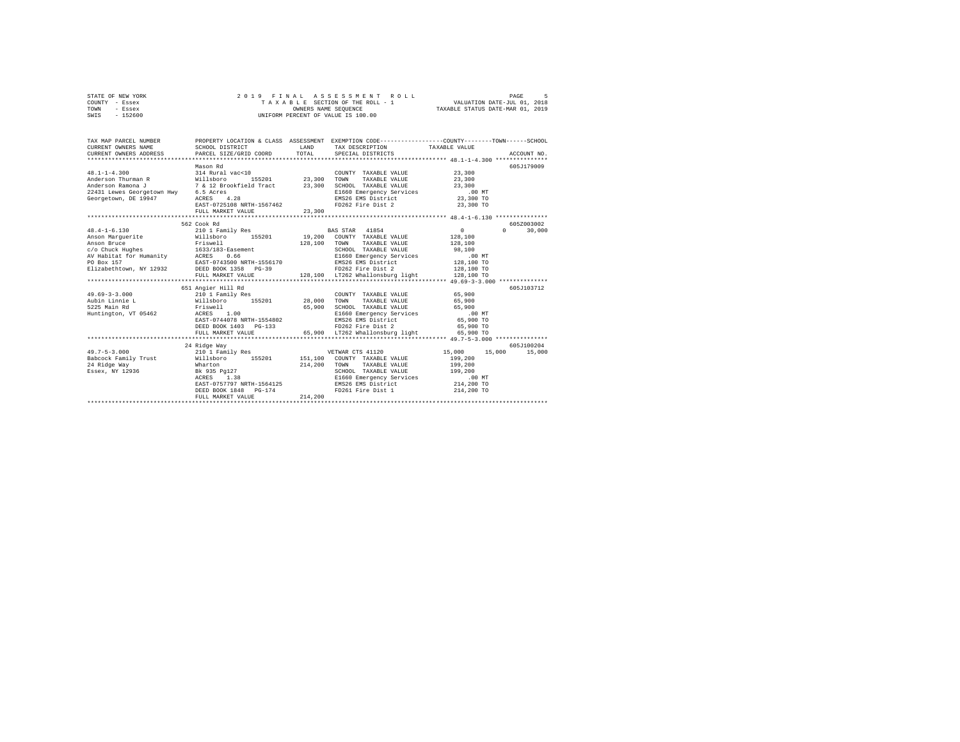| STATE OF NEW YORK | 2019 FINAL ASSESSMENT ROLL         | PAGE                             |
|-------------------|------------------------------------|----------------------------------|
| COUNTY - Essex    | TAXABLE SECTION OF THE ROLL - 1    | VALUATION DATE-JUL 01, 2018      |
| TOWN<br>- Essex   | OWNERS NAME SEOUENCE               | TAXABLE STATUS DATE-MAR 01, 2019 |
| - 152600<br>SWIS  | UNIFORM PERCENT OF VALUE IS 100.00 |                                  |

| TAX MAP PARCEL NUMBER                                                                                                                                                                                                                    |                                                                                                             |         |                                                                                                                 | PROPERTY LOCATION & CLASS ASSESSMENT EXEMPTION CODE----------------COUNTY-------TOWN------SCHOOL       |  |
|------------------------------------------------------------------------------------------------------------------------------------------------------------------------------------------------------------------------------------------|-------------------------------------------------------------------------------------------------------------|---------|-----------------------------------------------------------------------------------------------------------------|--------------------------------------------------------------------------------------------------------|--|
| 48.1-1-4.300<br>Anderson Thurman R 314 Rural vac<10<br>Anderson Thurman R 314 Rural vac<10<br>Anderson Ramona J 7 & 12 Brookfield Tract 23,300 TOWN TAXABLE VALUE 23,300<br>22431 Lewes Georgetown Hwy 6.5 Acres<br>22431 Lewes Georgeto | Mason Rd                                                                                                    |         |                                                                                                                 | 605J179009                                                                                             |  |
| $48.4 - 1 - 6.130$<br>Anson Marguerite                                                                                                                                                                                                   | 562 Cook Rd<br>210 1 Family Res 60 8 BAS STAR 41854<br>Willsboro 155201 19,200 COUNTY TAXABLE VALUE 128,100 |         | 128,100 TOWN TAXABLE VALUE<br>SCHOOL TAXABLE VALUE<br>E1660 Emergency Services<br>EMS26 EMS District 128,100 TO | 605Z003002<br>$\sim$ 0<br>$\Omega$<br>30,000<br>128,100<br>98,100<br>.00MT<br>128,100 TO<br>128,100 TO |  |
|                                                                                                                                                                                                                                          | 651 Angier Hill Rd                                                                                          |         |                                                                                                                 | 605J103712                                                                                             |  |
| 49.69-3-3.000<br>Aubin Limity Response 155201 28,000 TOWITY TAXABLE VALUE 65,900<br>Aubin Limity Millsboro 155201 28,000 TOWN TAXABLE VALUE 65,900<br>5225 Main Rd RTiswell 65,900 5028 RHOND TAXABLE VALUE 65,900<br>Huntington, VT     | DEED BOOK 1403 PG-133 FD262 Fire Dist 2<br>FULL MARKET VALUE 65,900 LT262 Whallonsburg light                |         | FD262 Fire Dist 2                                                                                               | 65,900 TO<br>65,900 TO                                                                                 |  |
|                                                                                                                                                                                                                                          | 24 Ridge Way                                                                                                |         |                                                                                                                 | 605J100204                                                                                             |  |
|                                                                                                                                                                                                                                          | EAST-0757797 NRTH-1564125<br>DEED BOOK 1848 PG-174 PD261 Fire Dist 1<br>FULL MARKET VALUE                   | 214,200 | 214, 200 TOWN TAXABLE VALUE<br>SCHOOL TAXABLE VALUE 199,200                                                     | 15,000 15,000 15,000<br>199,200<br>199,200<br>214,200 TO                                               |  |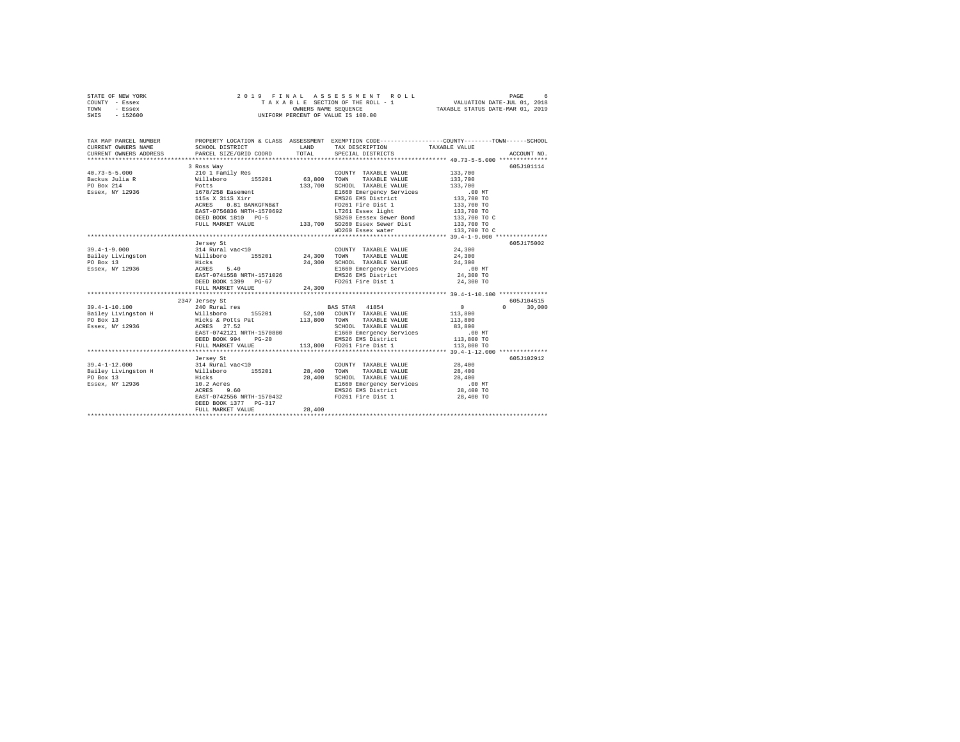| STATE OF NEW YORK |           |  |  | 2019 FINAL ASSESSMENT ROLL         |                                  | PAGE |  |
|-------------------|-----------|--|--|------------------------------------|----------------------------------|------|--|
| COUNTY - Essex    |           |  |  | TAXABLE SECTION OF THE ROLL - 1    | VALUATION DATE-JUL 01, 2018      |      |  |
| TOWN              | - Essex   |  |  | OWNERS NAME SEOUENCE               | TAXABLE STATUS DATE-MAR 01, 2019 |      |  |
| SWIS              | $-152600$ |  |  | UNIFORM PERCENT OF VALUE IS 100.00 |                                  |      |  |
|                   |           |  |  |                                    |                                  |      |  |

| TAX MAP PARCEL NUMBER                                                                                                                                                                                                                |                                                     |        | PROPERTY LOCATION & CLASS ASSESSMENT EXEMPTION CODE----------------COUNTY-------TOWN-----SCHOOL |                         |               |
|--------------------------------------------------------------------------------------------------------------------------------------------------------------------------------------------------------------------------------------|-----------------------------------------------------|--------|-------------------------------------------------------------------------------------------------|-------------------------|---------------|
| CURRENT OWNERS NAME SCHOOL DISTRICT                                                                                                                                                                                                  |                                                     |        | LAND TAX DESCRIPTION TAXABLE VALUE                                                              |                         |               |
| CURRENT OWNERS ADDRESS PARCEL SIZE/GRID COORD TOTAL SPECIAL DISTRICTS                                                                                                                                                                |                                                     |        |                                                                                                 |                         |               |
|                                                                                                                                                                                                                                      |                                                     |        |                                                                                                 |                         |               |
|                                                                                                                                                                                                                                      | 3 Ross Way                                          |        |                                                                                                 |                         | 605J101114    |
| $40.73 - 5 - 5.000$                                                                                                                                                                                                                  | 210 1 Family Res                                    |        | COUNTY TAXABLE VALUE 133,700                                                                    |                         |               |
| Backus Julia R                                                                                                                                                                                                                       |                                                     |        | TAXABLE VALUE                                                                                   | $\frac{133}{133}$ , 700 |               |
|                                                                                                                                                                                                                                      | Willsboro 155201 63,800 TOWN<br>Potts 133,700 SCHOO |        | SCHOOL TAXABLE VALUE                                                                            | 133,700                 |               |
|                                                                                                                                                                                                                                      |                                                     |        |                                                                                                 |                         |               |
|                                                                                                                                                                                                                                      | 115s X 311S Xirr                                    |        |                                                                                                 |                         |               |
|                                                                                                                                                                                                                                      | ACRES 0.81 BANKGFNB&T                               |        | FD261 Fire Dist 1                                                                               | 133,700 TO              |               |
|                                                                                                                                                                                                                                      |                                                     |        | EAST-0756836 NRTH-1570692 LT261 Essex light 133,700 TO                                          |                         |               |
|                                                                                                                                                                                                                                      |                                                     |        |                                                                                                 | 133,700 TO C            |               |
|                                                                                                                                                                                                                                      |                                                     |        |                                                                                                 |                         |               |
|                                                                                                                                                                                                                                      |                                                     |        |                                                                                                 |                         |               |
|                                                                                                                                                                                                                                      |                                                     |        |                                                                                                 |                         |               |
|                                                                                                                                                                                                                                      | Jersey St                                           |        |                                                                                                 |                         | 605J175002    |
|                                                                                                                                                                                                                                      |                                                     |        |                                                                                                 |                         |               |
|                                                                                                                                                                                                                                      |                                                     |        |                                                                                                 |                         |               |
| 19.4-1-9.000<br>24,300 14 Rural vac<10<br>24,300 TONNTY TAXABLE VALUE 24,300 TORN 12XABLE VALUE 24,300 TORN 12XABLE VALUE 24,300 FORN 12<br>24,300 SCHOOL TAXABLE VALUE 24,300 ELEGAL 24,300 ELEGAL 24,300 SCHOOL TAXABLE VALUE 24,3 |                                                     |        |                                                                                                 |                         |               |
|                                                                                                                                                                                                                                      |                                                     |        |                                                                                                 |                         |               |
|                                                                                                                                                                                                                                      |                                                     |        |                                                                                                 |                         |               |
|                                                                                                                                                                                                                                      | DEED BOOK 1399 PG-67                                |        | FD261 Fire Dist 1 24,300 TO                                                                     |                         |               |
|                                                                                                                                                                                                                                      | FULL MARKET VALUE                                   | 24,300 |                                                                                                 |                         |               |
|                                                                                                                                                                                                                                      |                                                     |        |                                                                                                 |                         |               |
|                                                                                                                                                                                                                                      | 2347 Jersey St                                      |        |                                                                                                 |                         | 605J104515    |
| 39.4-1-10.100 2347 7ersey St. 2008<br>Bailey Livingston H 240 Rural res BAS STAR 41854 10 2010<br>PO Box 13 Hicks & Potts Pat 113,800 TOWN TAXABLE VALUE 113,800<br>PO Box 13 Hicks & Potts Pat 113,800 TOWN TAXABLE VALUE 113,800   |                                                     |        |                                                                                                 | $\sim$ 0                | $0 \t 30,000$ |
|                                                                                                                                                                                                                                      |                                                     |        |                                                                                                 |                         |               |
|                                                                                                                                                                                                                                      |                                                     |        |                                                                                                 |                         |               |
| Essex, NY 12936                                                                                                                                                                                                                      | ACRES 27.52                                         |        |                                                                                                 |                         |               |
|                                                                                                                                                                                                                                      |                                                     |        |                                                                                                 |                         |               |
|                                                                                                                                                                                                                                      |                                                     |        |                                                                                                 |                         |               |
|                                                                                                                                                                                                                                      |                                                     |        | FULL MARKET VALUE 113,800 FD261 Fire Dist 1                                                     | 113,800 TO              |               |
|                                                                                                                                                                                                                                      |                                                     |        |                                                                                                 |                         |               |
|                                                                                                                                                                                                                                      | Jersey St                                           |        |                                                                                                 |                         | 605J102912    |
| $39.4 - 1 - 12.000$                                                                                                                                                                                                                  | 314 Rural vac<10                                    |        | COUNTY TAXABLE VALUE 28,400                                                                     |                         |               |
| Bailey Livingston H Willsboro 155201<br>PO Box 13 Hicks                                                                                                                                                                              |                                                     |        | 28,400 TOWN TAXABLE VALUE 28,400<br>28,400 SCHOOL TAXABLE VALUE 28,400                          |                         |               |
|                                                                                                                                                                                                                                      |                                                     |        |                                                                                                 |                         |               |
|                                                                                                                                                                                                                                      |                                                     |        | E1660 Emergency Services .00 MT                                                                 |                         |               |
|                                                                                                                                                                                                                                      |                                                     |        | EMS26 EMS District                                                                              | 28,400 TO               |               |
|                                                                                                                                                                                                                                      | EAST-0742556 NRTH-1570432                           |        | FD261 Fire Dist 1                                                                               | 28,400 TO               |               |
|                                                                                                                                                                                                                                      | DEED BOOK 1377 PG-317                               |        |                                                                                                 |                         |               |
|                                                                                                                                                                                                                                      | FULL MARKET VALUE                                   | 28,400 |                                                                                                 |                         |               |
|                                                                                                                                                                                                                                      |                                                     |        |                                                                                                 |                         |               |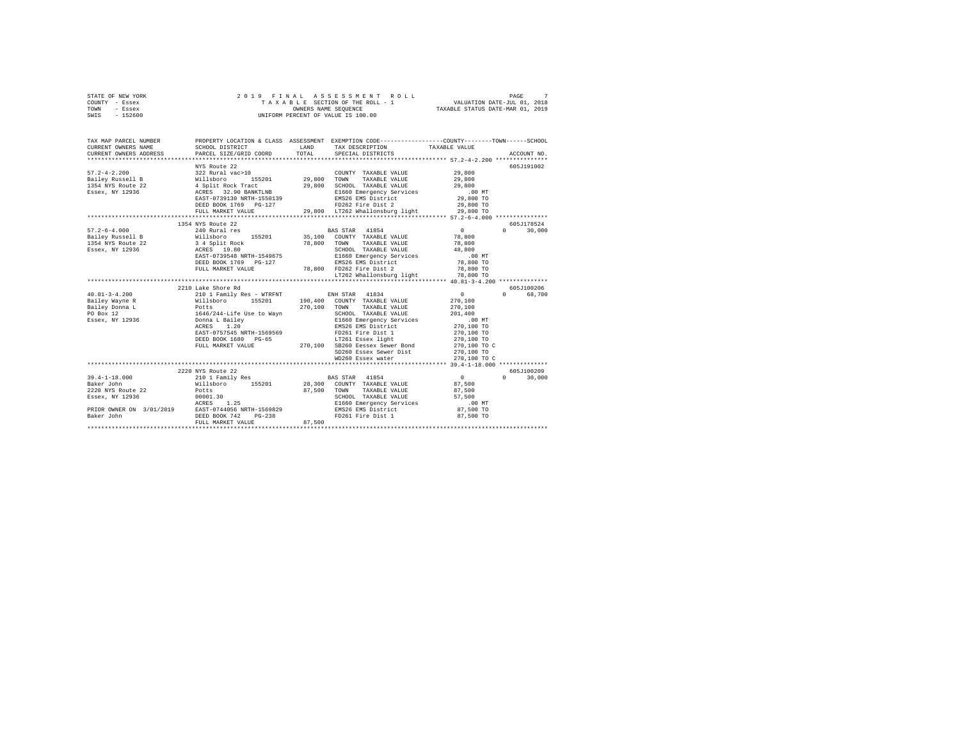| STATE OF NEW YORK |  | 2019 FINAL ASSESSMENT ROLL         | PAGE                             |  |
|-------------------|--|------------------------------------|----------------------------------|--|
| COUNTY - Essex    |  | TAXABLE SECTION OF THE ROLL - 1    | VALUATION DATE-JUL 01, 2018      |  |
| TOWN<br>- Essex   |  | OWNERS NAME SEOUENCE               | TAXABLE STATUS DATE-MAR 01, 2019 |  |
| - 152600<br>SWIS  |  | UNIFORM PERCENT OF VALUE IS 100.00 |                                  |  |

| TAX MAP PARCEL NUMBER                               |                                                                                                                                                                                                            |             |                                                                                                                                                                                     | PROPERTY LOCATION & CLASS ASSESSMENT EXEMPTION CODE---------------COUNTY-------TOWN------SCHOOL                     |
|-----------------------------------------------------|------------------------------------------------------------------------------------------------------------------------------------------------------------------------------------------------------------|-------------|-------------------------------------------------------------------------------------------------------------------------------------------------------------------------------------|---------------------------------------------------------------------------------------------------------------------|
|                                                     | NYS Route 22<br>FULL MARKET VALUE                                                                                                                                                                          |             | COUNTY TAXABLE VALUE 29,800<br>TAXABLE VALUE<br>29,800 LT262 Whallonsburg light 29,800 TO                                                                                           | 605J191002<br>29,800<br>29,800                                                                                      |
| 1354 NYS Route 22 3 4 Split Rock<br>Essex, NY 12936 | 1354 NYS Route 22<br>ACRES 19.80<br>EAST-0739548 NRTH-1549675<br>DEED BOOK 1769 PG-127<br>FULL MARKET VALUE                                                                                                | 78,800 TOWN | TAXABLE VALUE 78,800<br>LT262 Whallonsburg light 78,800 TO                                                                                                                          | 605J178524<br>$\begin{smallmatrix}&&0\\&&78\\78&\color{red}\scriptstyle+800\end{smallmatrix}$<br>30,000<br>$\Omega$ |
| $40.81 - 3 - 4.200$                                 | 2210 Lake Shore Rd<br>210 1 Family Res - WTRFNT ENH STAR 41834                                                                                                                                             |             | SD260 Essex Sewer Dist 270,100 TO<br>WD260 Essex water 270,100 TO                                                                                                                   | 605J100206<br>$\sim$ 0.000 $\sim$ 0.000 $\sim$ 0.000 $\sim$<br>$\Omega$<br>68,700<br>270.100 TO C                   |
| 2220 NYS Route 22 Potts<br>Essex, NY 12936 00001.30 | 2220 NYS Route 22<br>Willsboro 155201 28,300 COUNTY TAXABLE VALUE 87,500<br>RETOR OWNER ON 3/01/2019<br>RAST-0744056 NRTH-1569829<br>DEED BOOK 742 DEED BOOK 742 PG-238<br>DEED BOOK 742 PULL MARKET WATTE |             | <b>BAS STAR</b> 41854<br>87,500 TOWN TAXABLE VALUE<br>SCHOOL TAXABLE VALUE 57,500<br>E1660 Emergency Services .00 MT<br>EMS26 EMS District 87,500 TO<br>FD261 Fire Dist 1 87,500 TO | 605J100209<br>$\overline{0}$<br>$\Omega$<br>30,000<br>87,500                                                        |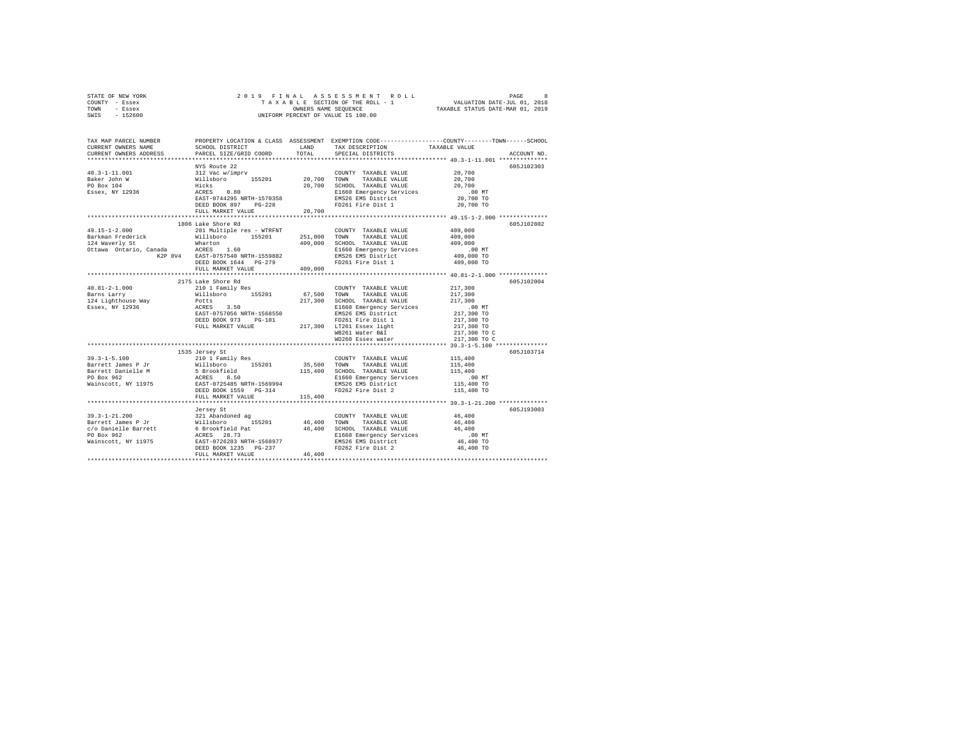| STATE OF NEW YORK | 2019 FINAL ASSESSMENT ROLL         | PAGE                             |
|-------------------|------------------------------------|----------------------------------|
| COUNTY - Essex    | TAXABLE SECTION OF THE ROLL - 1    | VALUATION DATE-JUL 01, 2018      |
| TOWN<br>- Essex   | OWNERS NAME SEOUENCE               | TAXABLE STATUS DATE-MAR 01, 2019 |
| - 152600<br>SWIS  | UNIFORM PERCENT OF VALUE IS 100.00 |                                  |

| TOTAL<br>CURRENT OWNERS ADDRESS<br>PARCEL SIZE/GRID COORD<br>SPECIAL DISTRICTS<br>NYS Route 22                                                                                                                                                                                      | ACCOUNT NO.<br>605J102303 |
|-------------------------------------------------------------------------------------------------------------------------------------------------------------------------------------------------------------------------------------------------------------------------------------|---------------------------|
|                                                                                                                                                                                                                                                                                     |                           |
|                                                                                                                                                                                                                                                                                     |                           |
| A COUNTY TAXABLE VALUE<br>112 Vac w/imprv<br>155201 20,700 TOWN TAXABLE VALUE<br>11cks 0.80 20,700 SCHOOL TAXABLE VALUE<br>ACRES 0.80 E1660 Emergency Services<br>COUNTY TAXABLE VALUE 20,700<br>$40.3 - 1 - 11.001$                                                                |                           |
| Baker John W<br>20,700                                                                                                                                                                                                                                                              |                           |
| 20,700 SCHOOL TAXABLE VALUE<br>PO Box 104<br>20,700                                                                                                                                                                                                                                 |                           |
| Essex, NY 12936<br>$.00$ MT<br>E1660 Emergency Services                                                                                                                                                                                                                             |                           |
| 20,700 TO<br>EAST-0744295 NRTH-1570358<br>EMS26 EMS District                                                                                                                                                                                                                        |                           |
| FD261 Fire Dist 1<br>20,700 TO<br>DEED BOOK 897 PG-228                                                                                                                                                                                                                              |                           |
| FULL MARKET VALUE<br>20,700                                                                                                                                                                                                                                                         |                           |
|                                                                                                                                                                                                                                                                                     |                           |
| 1806 Lake Shore Rd                                                                                                                                                                                                                                                                  | 605J102802                |
| $49.15 - 1 - 2.000$<br>281 Multiple res - WTRFNT<br>409,000<br>COUNTY TAXABLE VALUE                                                                                                                                                                                                 |                           |
| 409,000                                                                                                                                                                                                                                                                             |                           |
| 409,000                                                                                                                                                                                                                                                                             |                           |
| E1660 Emergency Services<br>EMS26 EMS District<br>MT 00.<br>409,000 TO                                                                                                                                                                                                              |                           |
|                                                                                                                                                                                                                                                                                     |                           |
| Barkman Frederick and Millsboro 155201 251,000 TOWN TAXABLE VALUE (2018)<br>124 Waverly St (2018)<br>124 Warton 155201 251,000 TOWN TAXABLE VALUE<br>124 Waverly St (2018)<br>251,000 SCHOOL TAXABLE VALUE<br>2018 2018 2018 2018 2026 1644<br>2<br>FD261 Fire Dist 1<br>409,000 TO |                           |
| 409,000<br>FULL MARKET VALUE                                                                                                                                                                                                                                                        |                           |
| 2175 Lake Shore Rd                                                                                                                                                                                                                                                                  | 605J102004                |
| 210 1 Family Res<br>217,300<br>$40.81 - 2 - 1.000$<br>COUNTY TAXABLE VALUE                                                                                                                                                                                                          |                           |
| Barns Larry                                                                                                                                                                                                                                                                         |                           |
| 217,300<br>217,300<br>124 Lighthouse Way                                                                                                                                                                                                                                            |                           |
| Willsboro 155201 67,500 TOWN TAXABLE VALUE<br>Potts 3.50 217,300 SCHOOL TAXABLE VALUE<br>ACRES 3.50 BL660 Emergency Services<br>EAST-0757056 NRTH-1568550 BMS26 EMS District<br>Essex, NY 12936                                                                                     |                           |
| .00 MT<br>217,300 TO                                                                                                                                                                                                                                                                |                           |
| 217,300 TO<br>FD261 Fire Dist 1<br>DEED BOOK 973 PG-101                                                                                                                                                                                                                             |                           |
| DEED BOOK 973 PG-101 FD261 Fire Dist 1<br>FULL MARKET VALUE 217,300 LT261 Essex light                                                                                                                                                                                               |                           |
| 217,300 TO<br>217,300 TO C<br>WB261 Water B&I                                                                                                                                                                                                                                       |                           |
| WD260 Essex water<br>217,300 TO C                                                                                                                                                                                                                                                   |                           |
|                                                                                                                                                                                                                                                                                     |                           |
| 1535 Jersey St                                                                                                                                                                                                                                                                      | 605J103714                |
| 115,400<br>$39.3 - 1 - 5.100$<br>210 1 Family Res<br>COUNTY TAXABLE VALUE                                                                                                                                                                                                           |                           |
| 35,500 TOWN TAXABLE VALUE<br>115,400<br>115,400                                                                                                                                                                                                                                     |                           |
| 115,400 SCHOOL TAXABLE VALUE                                                                                                                                                                                                                                                        |                           |
| 1973-1100 PH 2010 PH 2010<br>Barrett James P 3r 2011<br>Barrett James P 3rokfield<br>PO Box 962<br>PO Box 962<br>Mainscott, NY 11975<br>PO BEED BOOK 1559<br>PO PO-114<br>E1660 Emergency Services<br>EMS26 EMS District<br>00 MT.<br>115,400 TO                                    |                           |
|                                                                                                                                                                                                                                                                                     |                           |
| FD262 Fire Dist 2<br>115,400 TO                                                                                                                                                                                                                                                     |                           |
| FULL MARKET VALUE<br>115,400                                                                                                                                                                                                                                                        |                           |
|                                                                                                                                                                                                                                                                                     |                           |
| Jersey St                                                                                                                                                                                                                                                                           | 605J193003                |
| 39.3-1-21.200<br>Maximum 2012 121 Abandoned ag COUNTY TAXABLE VALUE<br>Barrett James P Jr (2012)<br>FO Danielle Barrett 6 Brookfield Pat 46,400 SCHOOL TAXABLE VALUE<br>PO Box 962<br>Mainscott, NY 11975<br>Mainscott, NY 11975<br>ELE60 R<br>46,400                               |                           |
| 46,400                                                                                                                                                                                                                                                                              |                           |
| 46,400                                                                                                                                                                                                                                                                              |                           |
| $.00$ MT                                                                                                                                                                                                                                                                            |                           |
| 46,400 TO<br>46,400 TO                                                                                                                                                                                                                                                              |                           |
| 46,400<br>FULL MARKET VALUE                                                                                                                                                                                                                                                         |                           |
|                                                                                                                                                                                                                                                                                     |                           |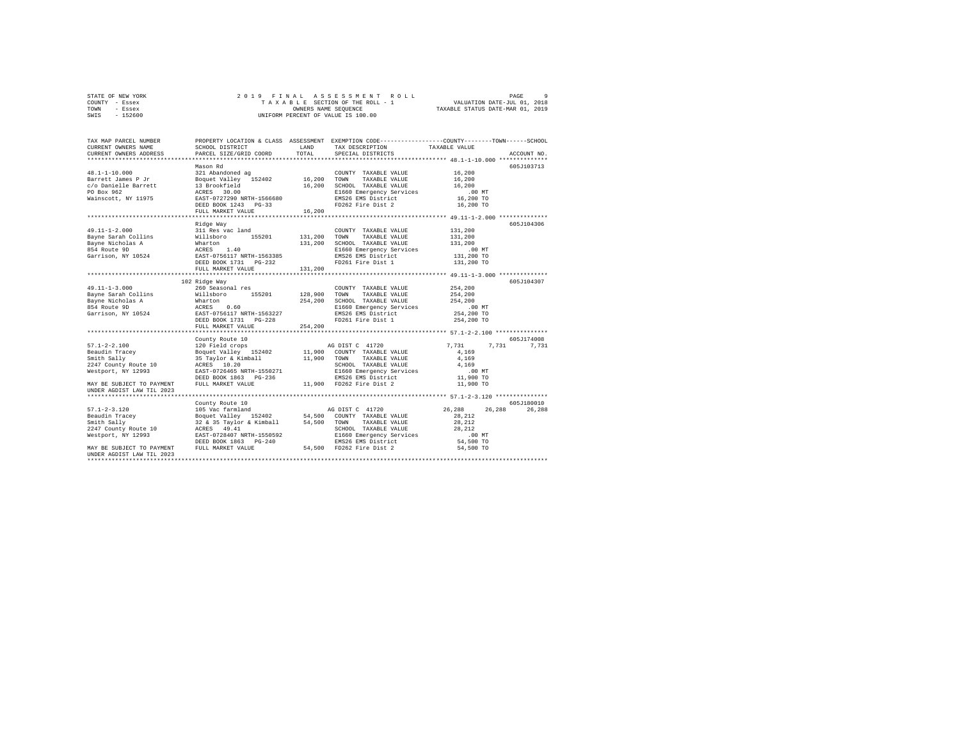|      | STATE OF NEW YORK |  |  | 2019 FINAL ASSESSMENT ROLL         |                                  | PAGE |  |
|------|-------------------|--|--|------------------------------------|----------------------------------|------|--|
|      | COUNTY - Essex    |  |  | TAXABLE SECTION OF THE ROLL - 1    | VALUATION DATE-JUL 01, 2018      |      |  |
| TOWN | - Essex           |  |  | OWNERS NAME SEOUENCE               | TAXABLE STATUS DATE-MAR 01, 2019 |      |  |
| SWIS | $-152600$         |  |  | UNIFORM PERCENT OF VALUE IS 100.00 |                                  |      |  |

| TAX MAP PARCEL NUMBER<br>CURRENT OWNERS NAME | SCHOOL DISTRICT          | LAND     | TAX DESCRIPTION             | PROPERTY LOCATION & CLASS ASSESSMENT EXEMPTION CODE-----------------COUNTY-------TOWN------SCHOOL<br>TAXABLE VALUE |
|----------------------------------------------|--------------------------|----------|-----------------------------|--------------------------------------------------------------------------------------------------------------------|
| CURRENT OWNERS ADDRESS                       | PARCEL SIZE/GRID COORD   | TOTAL    | SPECIAL DISTRICTS           | ACCOUNT NO.                                                                                                        |
|                                              | Mason Rd                 |          |                             | 605J103713                                                                                                         |
|                                              |                          |          | COUNTY TAXABLE VALUE 16,200 |                                                                                                                    |
|                                              |                          |          |                             | 16,200                                                                                                             |
|                                              |                          |          |                             | 16,200                                                                                                             |
|                                              |                          |          |                             | $.00$ MT                                                                                                           |
|                                              |                          |          |                             | 16,200 TO                                                                                                          |
|                                              |                          |          |                             | 16,200 TO                                                                                                          |
|                                              | FULL MARKET VALUE 16,200 |          |                             |                                                                                                                    |
|                                              |                          |          |                             |                                                                                                                    |
|                                              | Ridge Way                |          |                             | 605J104306                                                                                                         |
|                                              |                          |          |                             | 131,200                                                                                                            |
|                                              |                          |          |                             |                                                                                                                    |
|                                              |                          |          |                             | 131,200                                                                                                            |
|                                              |                          |          |                             | 131,200                                                                                                            |
|                                              |                          |          |                             | 00 MT.<br>131,200 TO                                                                                               |
|                                              |                          |          |                             |                                                                                                                    |
|                                              |                          | 131,200  |                             | 131,200 TO                                                                                                         |
|                                              | FULL MARKET VALUE        |          |                             |                                                                                                                    |
|                                              |                          |          |                             |                                                                                                                    |
|                                              | 102 Ridge Way            |          |                             | 605J104307                                                                                                         |
| 49.11-1-3.000                                | 260 Seasonal res         |          | COUNTY TAXABLE VALUE        | 254,200                                                                                                            |
|                                              |                          |          |                             | 254,200<br>254,200                                                                                                 |
|                                              |                          |          |                             |                                                                                                                    |
|                                              |                          |          |                             | $.00$ MT<br>00 MT.<br>254,200 TO                                                                                   |
|                                              |                          |          |                             |                                                                                                                    |
|                                              |                          |          |                             | 254,200 TO                                                                                                         |
|                                              | FULL MARKET VALUE        | 254, 200 |                             |                                                                                                                    |
|                                              |                          |          |                             |                                                                                                                    |
|                                              | County Route 10          |          |                             | 605J174008                                                                                                         |
|                                              |                          |          |                             | 7,731 7,731 7,731                                                                                                  |
|                                              |                          |          |                             | 4,169                                                                                                              |
|                                              |                          |          |                             | 4,169                                                                                                              |
|                                              |                          |          | SCHOOL TAXABLE VALUE        | 4.169                                                                                                              |
|                                              |                          |          |                             | .00 MT                                                                                                             |
|                                              |                          |          |                             | 11,900 TO                                                                                                          |
|                                              |                          |          |                             | 11,900 TO                                                                                                          |
| UNDER AGDIST LAW TIL 2023                    |                          |          |                             |                                                                                                                    |
|                                              |                          |          |                             |                                                                                                                    |
|                                              |                          |          |                             | 605J180010                                                                                                         |
|                                              |                          |          |                             | 26.288<br>26,288                                                                                                   |
|                                              |                          |          |                             |                                                                                                                    |
|                                              |                          |          |                             |                                                                                                                    |
|                                              |                          |          |                             |                                                                                                                    |
|                                              |                          |          |                             |                                                                                                                    |
|                                              |                          |          |                             |                                                                                                                    |
|                                              |                          |          |                             |                                                                                                                    |
| UNDER AGDIST LAW TIL 2023                    |                          |          |                             |                                                                                                                    |
|                                              |                          |          |                             |                                                                                                                    |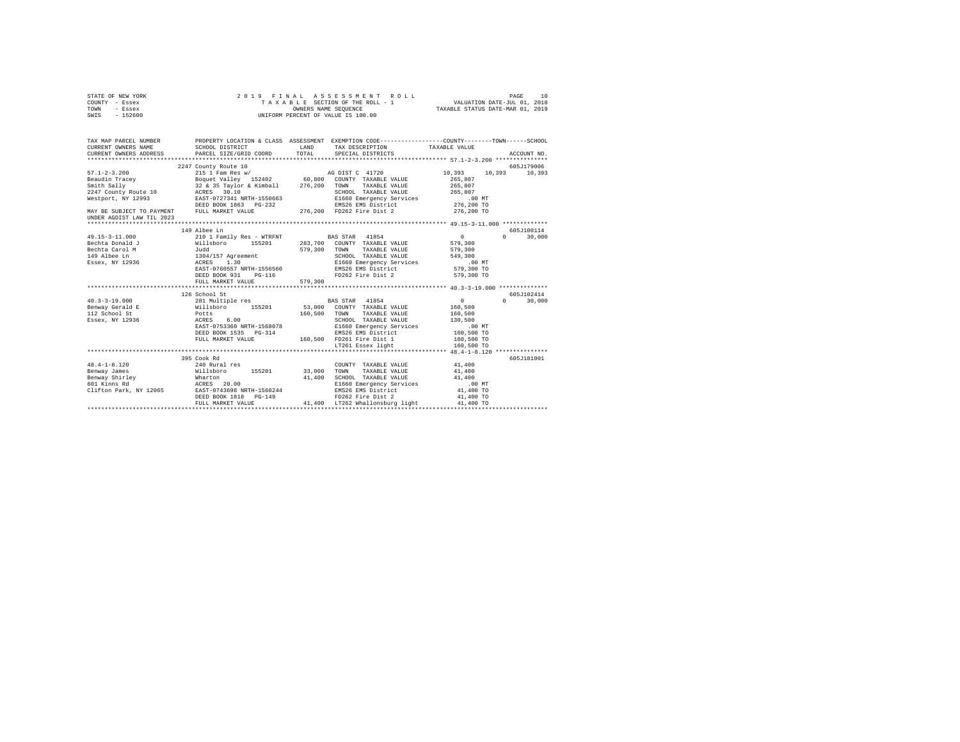| STATE OF NEW YORK                                                                                                                                                                                                                                                                                                                                                                                       | 2019 FINAL            |         | ASSESSMENT ROLL                                                                                                      |                 | PAGE<br>10    |
|---------------------------------------------------------------------------------------------------------------------------------------------------------------------------------------------------------------------------------------------------------------------------------------------------------------------------------------------------------------------------------------------------------|-----------------------|---------|----------------------------------------------------------------------------------------------------------------------|-----------------|---------------|
| COUNTY - Essex                                                                                                                                                                                                                                                                                                                                                                                          |                       |         |                                                                                                                      |                 |               |
| TOWN<br>- Essex                                                                                                                                                                                                                                                                                                                                                                                         |                       |         | TAXABLE SECTION OF THE ROLL - 1 VALUATION DATE-JUL 01, 2018<br>OWNERS NAME SEQUENCE TAXABLE STATUS DATE-MAR 01, 2019 |                 |               |
| SWIS - 152600                                                                                                                                                                                                                                                                                                                                                                                           |                       |         | UNIFORM PERCENT OF VALUE IS 100.00                                                                                   |                 |               |
|                                                                                                                                                                                                                                                                                                                                                                                                         |                       |         |                                                                                                                      |                 |               |
| TAX MAP PARCEL NUMBER     PROPERTY LOCATION & CLASS ASSESSMENT EXEMPTION CODE---------------COUNTY-------TOWN------SCHOOL DISTRICT     LAND   TAX DESCRIPTION     TAXABLE VALUE                                                                                                                                                                                                                         |                       |         |                                                                                                                      |                 |               |
|                                                                                                                                                                                                                                                                                                                                                                                                         |                       |         |                                                                                                                      |                 |               |
| CURRENT OWNERS ADDRESS PARCEL SIZE/GRID COORD TOTAL                                                                                                                                                                                                                                                                                                                                                     |                       |         | SPECIAL DISTRICTS                                                                                                    |                 | ACCOUNT NO.   |
|                                                                                                                                                                                                                                                                                                                                                                                                         |                       |         |                                                                                                                      |                 |               |
|                                                                                                                                                                                                                                                                                                                                                                                                         | 2247 County Route 10  |         |                                                                                                                      |                 | 605J179006    |
|                                                                                                                                                                                                                                                                                                                                                                                                         |                       |         |                                                                                                                      |                 |               |
|                                                                                                                                                                                                                                                                                                                                                                                                         |                       |         |                                                                                                                      |                 |               |
|                                                                                                                                                                                                                                                                                                                                                                                                         |                       |         |                                                                                                                      |                 |               |
|                                                                                                                                                                                                                                                                                                                                                                                                         |                       |         |                                                                                                                      |                 |               |
|                                                                                                                                                                                                                                                                                                                                                                                                         |                       |         |                                                                                                                      |                 |               |
|                                                                                                                                                                                                                                                                                                                                                                                                         |                       |         |                                                                                                                      |                 |               |
|                                                                                                                                                                                                                                                                                                                                                                                                         |                       |         |                                                                                                                      |                 |               |
| UNDER AGDIST LAW TIL 2023                                                                                                                                                                                                                                                                                                                                                                               |                       |         |                                                                                                                      |                 |               |
|                                                                                                                                                                                                                                                                                                                                                                                                         | 149 Albee Ln          |         |                                                                                                                      |                 | 605J100114    |
|                                                                                                                                                                                                                                                                                                                                                                                                         |                       |         |                                                                                                                      |                 | $0 \t 30.000$ |
|                                                                                                                                                                                                                                                                                                                                                                                                         |                       |         |                                                                                                                      |                 |               |
|                                                                                                                                                                                                                                                                                                                                                                                                         |                       |         |                                                                                                                      |                 |               |
|                                                                                                                                                                                                                                                                                                                                                                                                         |                       |         |                                                                                                                      |                 |               |
|                                                                                                                                                                                                                                                                                                                                                                                                         |                       |         |                                                                                                                      |                 |               |
|                                                                                                                                                                                                                                                                                                                                                                                                         |                       |         |                                                                                                                      |                 |               |
|                                                                                                                                                                                                                                                                                                                                                                                                         |                       |         |                                                                                                                      |                 |               |
|                                                                                                                                                                                                                                                                                                                                                                                                         | FULL MARKET VALUE     | 579,300 |                                                                                                                      |                 |               |
|                                                                                                                                                                                                                                                                                                                                                                                                         |                       |         |                                                                                                                      |                 |               |
|                                                                                                                                                                                                                                                                                                                                                                                                         | 126 School St         |         |                                                                                                                      |                 | 605J102414    |
|                                                                                                                                                                                                                                                                                                                                                                                                         |                       |         |                                                                                                                      | $\sim$ 0 $\sim$ | $0 \t 30,000$ |
|                                                                                                                                                                                                                                                                                                                                                                                                         |                       |         |                                                                                                                      | 160, 500        |               |
|                                                                                                                                                                                                                                                                                                                                                                                                         |                       |         |                                                                                                                      | 160,500         |               |
|                                                                                                                                                                                                                                                                                                                                                                                                         |                       |         |                                                                                                                      |                 |               |
|                                                                                                                                                                                                                                                                                                                                                                                                         |                       |         |                                                                                                                      |                 |               |
|                                                                                                                                                                                                                                                                                                                                                                                                         | DEED BOOK 1535 PG-314 |         |                                                                                                                      |                 |               |
|                                                                                                                                                                                                                                                                                                                                                                                                         |                       |         |                                                                                                                      |                 |               |
|                                                                                                                                                                                                                                                                                                                                                                                                         |                       |         |                                                                                                                      |                 |               |
|                                                                                                                                                                                                                                                                                                                                                                                                         |                       |         |                                                                                                                      |                 |               |
|                                                                                                                                                                                                                                                                                                                                                                                                         |                       |         |                                                                                                                      |                 | 605J181001    |
|                                                                                                                                                                                                                                                                                                                                                                                                         |                       |         |                                                                                                                      |                 |               |
|                                                                                                                                                                                                                                                                                                                                                                                                         |                       |         |                                                                                                                      |                 |               |
|                                                                                                                                                                                                                                                                                                                                                                                                         |                       |         |                                                                                                                      |                 |               |
|                                                                                                                                                                                                                                                                                                                                                                                                         |                       |         |                                                                                                                      |                 |               |
|                                                                                                                                                                                                                                                                                                                                                                                                         |                       |         |                                                                                                                      |                 |               |
|                                                                                                                                                                                                                                                                                                                                                                                                         |                       |         |                                                                                                                      |                 |               |
| $\begin{tabular}{l c c c c c} \multicolumn{3}{c c c c} \multicolumn{3}{c c c} \multicolumn{3}{c c c} \multicolumn{3}{c c c} \multicolumn{3}{c c c} \multicolumn{3}{c c c} \multicolumn{3}{c c c} \multicolumn{3}{c c c} \multicolumn{3}{c c c} \multicolumn{3}{c c c} \multicolumn{3}{c c c} \multicolumn{3}{c c c} \multicolumn{3}{c c c} \multicolumn{3}{c c c} \multicolumn{3}{c c c} \multicolumn{$ |                       |         |                                                                                                                      |                 |               |
|                                                                                                                                                                                                                                                                                                                                                                                                         |                       |         |                                                                                                                      |                 |               |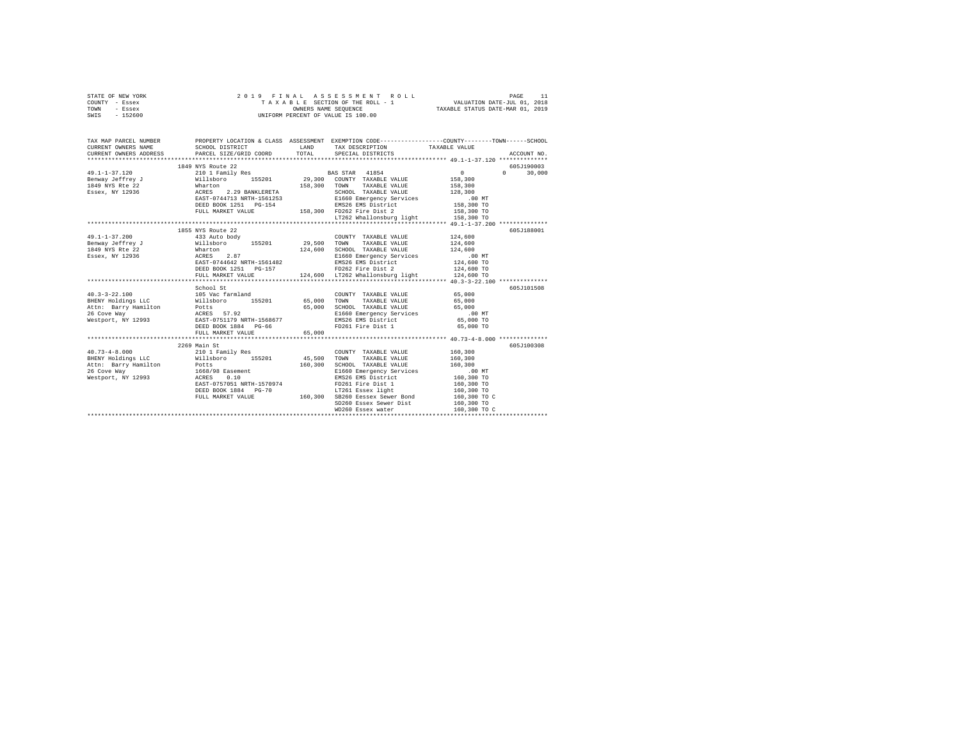| STATE OF NEW YORK<br>COUNTY - Essex<br>TOWN<br>- Essex                                                                                                                                                                                                                                                                                                      | 2019 FINAL ASSESSMENT FOR THE ROLL - 1<br>TAXABLE SECTION OF THE ROLL - 1<br>ONIFORM PERCENT OF VALUE IS 100.00 |         | 9 FINAL ASSESSMENT ROLL INNERTHEIRE 11 PAGE 11 PAGE 11 PART 11 PAGE 11 PAGE 11 PAGE 11 PAGE 11 PAGE 11 PAGE 11<br>TAXABLE SECTION OF THE ROLL - 1 PAXABLE STATUS DATE-JUL 101, 2018                                                                                                                                                                                                             |                  |                        |
|-------------------------------------------------------------------------------------------------------------------------------------------------------------------------------------------------------------------------------------------------------------------------------------------------------------------------------------------------------------|-----------------------------------------------------------------------------------------------------------------|---------|-------------------------------------------------------------------------------------------------------------------------------------------------------------------------------------------------------------------------------------------------------------------------------------------------------------------------------------------------------------------------------------------------|------------------|------------------------|
| SWIS - 152600                                                                                                                                                                                                                                                                                                                                               |                                                                                                                 |         |                                                                                                                                                                                                                                                                                                                                                                                                 |                  |                        |
| TAX MAP PARCEL NUMBER PROPERTY LOCATION & CLASS ASSESSMENT EXEMPTION CODE--------------COUNTY-------TOWN------SCHOOL                                                                                                                                                                                                                                        |                                                                                                                 |         |                                                                                                                                                                                                                                                                                                                                                                                                 |                  |                        |
| CURRENT OWNERS NAME<br>CURRENT OWNERS NAME<br>CURRENT OWNERS ADDRESS<br>PARCEL SIZE/GRIL                                                                                                                                                                                                                                                                    |                                                                                                                 |         | ${\tt SCHOOL\ DISTRICT}\qquad \qquad {\tt LAND}\qquad \qquad {\tt TAX\ DESCRIFTION}\qquad \qquad {\tt TAXABLE\ VALUE}\qquad \qquad {\tt PARCEL\ SIZE/GRID\ COORD}\qquad \qquad {\tt TOTAL}\qquad \qquad {\tt SPECRAL\ DISTRICTS}$                                                                                                                                                               |                  |                        |
|                                                                                                                                                                                                                                                                                                                                                             |                                                                                                                 |         |                                                                                                                                                                                                                                                                                                                                                                                                 |                  | ACCOUNT NO.            |
|                                                                                                                                                                                                                                                                                                                                                             | 1849 NYS Route 22                                                                                               |         |                                                                                                                                                                                                                                                                                                                                                                                                 |                  | 605J190003             |
| $\begin{tabular}{ccccc} 49.1-1-37.120 & 1849 SN SNULER 20 & 29.300 COMY TANABLE VALUE & 0.300 COUNT TANABLE VALUE & 158,300 COUNT TANABLE VALUE & 158,300 COUNT TANABLE VALUE & 158,300 COUNT TANABLE VALUE & 158,300 COUNT TANABLE VALUE & 158,300 COUNT TANABLE VALUE & 158,300 TOVNT TANABLE VALUE & 158,300 TOV TANABLE VALUE & 158,300 TOV TANBE & 15$ |                                                                                                                 |         |                                                                                                                                                                                                                                                                                                                                                                                                 |                  | $\mathbf{0}$<br>30,000 |
|                                                                                                                                                                                                                                                                                                                                                             |                                                                                                                 |         |                                                                                                                                                                                                                                                                                                                                                                                                 |                  |                        |
|                                                                                                                                                                                                                                                                                                                                                             |                                                                                                                 |         |                                                                                                                                                                                                                                                                                                                                                                                                 |                  |                        |
|                                                                                                                                                                                                                                                                                                                                                             |                                                                                                                 |         |                                                                                                                                                                                                                                                                                                                                                                                                 |                  |                        |
|                                                                                                                                                                                                                                                                                                                                                             |                                                                                                                 |         |                                                                                                                                                                                                                                                                                                                                                                                                 |                  |                        |
|                                                                                                                                                                                                                                                                                                                                                             |                                                                                                                 |         |                                                                                                                                                                                                                                                                                                                                                                                                 |                  |                        |
|                                                                                                                                                                                                                                                                                                                                                             |                                                                                                                 |         |                                                                                                                                                                                                                                                                                                                                                                                                 |                  |                        |
|                                                                                                                                                                                                                                                                                                                                                             |                                                                                                                 |         |                                                                                                                                                                                                                                                                                                                                                                                                 |                  |                        |
|                                                                                                                                                                                                                                                                                                                                                             |                                                                                                                 |         |                                                                                                                                                                                                                                                                                                                                                                                                 |                  |                        |
|                                                                                                                                                                                                                                                                                                                                                             | 1855 NYS Route 22                                                                                               |         |                                                                                                                                                                                                                                                                                                                                                                                                 |                  | 605J188001             |
| $49.1 - 1 - 37.200$                                                                                                                                                                                                                                                                                                                                         | 433 Auto body                                                                                                   |         | COUNTY TAXABLE VALUE                                                                                                                                                                                                                                                                                                                                                                            | 124,600          |                        |
|                                                                                                                                                                                                                                                                                                                                                             |                                                                                                                 |         | TOWN TAXABLE VALUE                                                                                                                                                                                                                                                                                                                                                                              | 124,600          |                        |
|                                                                                                                                                                                                                                                                                                                                                             |                                                                                                                 |         | SCHOOL TAXABLE VALUE                                                                                                                                                                                                                                                                                                                                                                            | 124,600          |                        |
|                                                                                                                                                                                                                                                                                                                                                             |                                                                                                                 |         | E1660 Emergency Services                                                                                                                                                                                                                                                                                                                                                                        |                  |                        |
|                                                                                                                                                                                                                                                                                                                                                             |                                                                                                                 |         |                                                                                                                                                                                                                                                                                                                                                                                                 |                  |                        |
|                                                                                                                                                                                                                                                                                                                                                             | DEED BOOK $1251$ $PG-157$                                                                                       |         |                                                                                                                                                                                                                                                                                                                                                                                                 |                  |                        |
|                                                                                                                                                                                                                                                                                                                                                             | FULL MARKET VALUE<br>**************************                                                                 |         | $[1660\text{ Emergency Services} \begin{array}{c} \texttt{E1660\text{ Emergency Services}} \end{array} \begin{array}{c} \texttt{.00 MT} \\ \texttt{ENSS26\text{ EMS District}} \end{array} \begin{array}{c} \texttt{.00 MT} \\ \texttt{124,600 TO} \\ \texttt{124,600 TO} \\ \texttt{124,600\_LT262\text{ Whallonsburg light}} \end{array}$                                                     |                  |                        |
|                                                                                                                                                                                                                                                                                                                                                             |                                                                                                                 |         |                                                                                                                                                                                                                                                                                                                                                                                                 |                  |                        |
|                                                                                                                                                                                                                                                                                                                                                             | School St                                                                                                       |         | COUNTY TAXABLE VALUE                                                                                                                                                                                                                                                                                                                                                                            |                  | 605J101508             |
|                                                                                                                                                                                                                                                                                                                                                             |                                                                                                                 |         | TOWN<br>TAXABLE VALUE                                                                                                                                                                                                                                                                                                                                                                           | 65,000<br>65,000 |                        |
|                                                                                                                                                                                                                                                                                                                                                             |                                                                                                                 |         |                                                                                                                                                                                                                                                                                                                                                                                                 |                  |                        |
|                                                                                                                                                                                                                                                                                                                                                             |                                                                                                                 |         | SCHOOL TAXABLE VALUE 65,000<br>E1660 Emergency Services 65,000 MT<br>EMS26 EMS District 65,000 TO                                                                                                                                                                                                                                                                                               |                  |                        |
|                                                                                                                                                                                                                                                                                                                                                             |                                                                                                                 |         |                                                                                                                                                                                                                                                                                                                                                                                                 |                  |                        |
|                                                                                                                                                                                                                                                                                                                                                             |                                                                                                                 |         | EMS26 EMS District<br>FD261 Fire Dist 1                                                                                                                                                                                                                                                                                                                                                         | 65,000 TO        |                        |
|                                                                                                                                                                                                                                                                                                                                                             | FULL MARKET VALUE                                                                                               | 65,000  |                                                                                                                                                                                                                                                                                                                                                                                                 |                  |                        |
|                                                                                                                                                                                                                                                                                                                                                             |                                                                                                                 |         |                                                                                                                                                                                                                                                                                                                                                                                                 |                  |                        |
|                                                                                                                                                                                                                                                                                                                                                             | 2269 Main St                                                                                                    |         |                                                                                                                                                                                                                                                                                                                                                                                                 |                  | 605J100308             |
|                                                                                                                                                                                                                                                                                                                                                             |                                                                                                                 |         | COUNTY TAXABLE VALUE                                                                                                                                                                                                                                                                                                                                                                            | 160,300          |                        |
|                                                                                                                                                                                                                                                                                                                                                             |                                                                                                                 | 45,500  | TOWN TAXABLE VALUE                                                                                                                                                                                                                                                                                                                                                                              | 160,300          |                        |
|                                                                                                                                                                                                                                                                                                                                                             |                                                                                                                 | 160,300 | SCHOOL TAXABLE VALUE                                                                                                                                                                                                                                                                                                                                                                            | 160,300          |                        |
|                                                                                                                                                                                                                                                                                                                                                             |                                                                                                                 |         | $\begin{tabular}{lcccc} \texttt{SCH0OL} & \texttt{TAAAHLE} & \texttt{v} & \texttt{m} & \texttt{m} & \texttt{m} & \texttt{m} \\ \texttt{E1660} & \texttt{Emergency} & \texttt{Services} & & & 160,300 & \texttt{TO} \\ \texttt{EMS26} & \texttt{EMS} & \texttt{District} & & & 160,300 & \texttt{TO} \\ & & & & & & 160,300 & \texttt{TO} \\ & & & & & & 160,300 & \texttt{TO} \\ \end{tabular}$ |                  |                        |
|                                                                                                                                                                                                                                                                                                                                                             |                                                                                                                 |         |                                                                                                                                                                                                                                                                                                                                                                                                 |                  |                        |
|                                                                                                                                                                                                                                                                                                                                                             |                                                                                                                 |         |                                                                                                                                                                                                                                                                                                                                                                                                 |                  |                        |
|                                                                                                                                                                                                                                                                                                                                                             |                                                                                                                 |         | NASZO AMB ALACHAR 1<br>FDZ61 Eiser light 1 160,300 TO<br>LT261 Essex light 160,300 TO<br>The Cause Rond 160,300 TO C<br>DEED BOOK 1884 PG-70<br>FULL MARKET VALUE 160,300 SB260 Eessex Sewer Bond<br>FULL MARKET VALUE 160,300 SB260 Eessex Sewer Bond                                                                                                                                          |                  |                        |
|                                                                                                                                                                                                                                                                                                                                                             |                                                                                                                 |         |                                                                                                                                                                                                                                                                                                                                                                                                 |                  |                        |
|                                                                                                                                                                                                                                                                                                                                                             |                                                                                                                 |         | SD260 Essex Sewer Dist 160,300 TO                                                                                                                                                                                                                                                                                                                                                               |                  |                        |
|                                                                                                                                                                                                                                                                                                                                                             |                                                                                                                 |         | WD260 Essex water                                                                                                                                                                                                                                                                                                                                                                               | 160,300 TO C     |                        |
|                                                                                                                                                                                                                                                                                                                                                             |                                                                                                                 |         |                                                                                                                                                                                                                                                                                                                                                                                                 |                  |                        |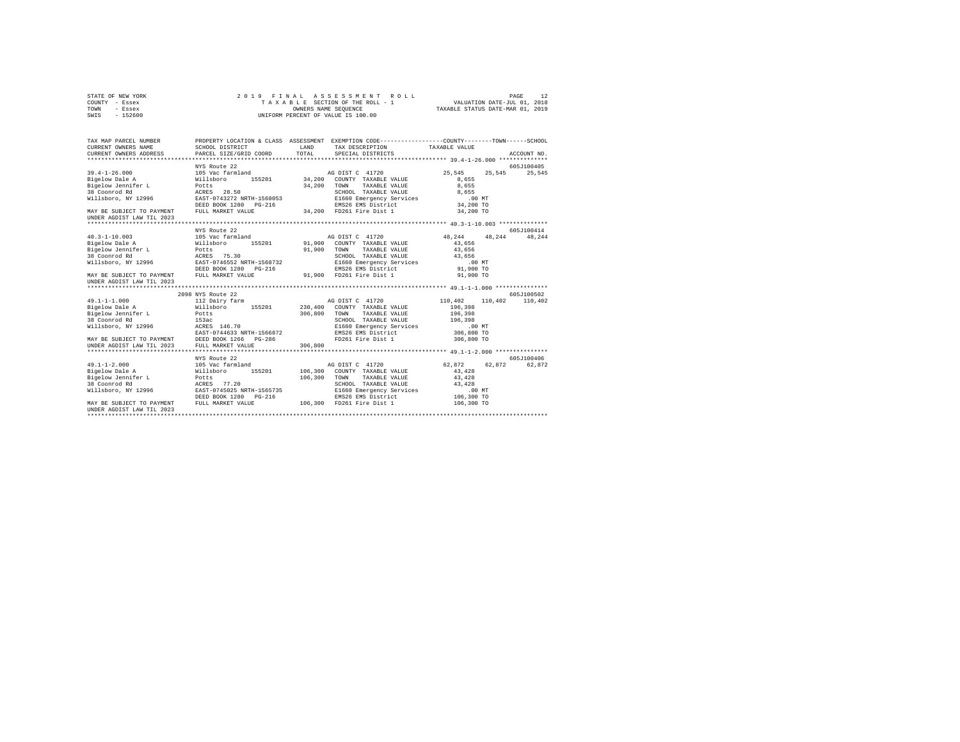| COUNTY - Essex<br>TOWN<br>- Essex<br>SWIS<br>$-152600$                 |                                                                                                                                              | TAXABLE SECTION OF THE ROLL - 1<br>OWNERS NAME SEQUENCE<br>UNIFORM PERCENT OF VALUE IS 100.00 |                                       | TAXABLE STATUS DATE-MAR 01, 2019 | VALUATION DATE-JUL 01, 2018 |             |
|------------------------------------------------------------------------|----------------------------------------------------------------------------------------------------------------------------------------------|-----------------------------------------------------------------------------------------------|---------------------------------------|----------------------------------|-----------------------------|-------------|
| TAX MAP PARCEL NUMBER<br>CURRENT OWNERS NAME<br>CURRENT OWNERS ADDRESS | PROPERTY LOCATION & CLASS ASSESSMENT EXEMPTION CODE---------------COUNTY-------TOWN------SCHOOL<br>SCHOOL DISTRICT<br>PARCEL SIZE/GRID COORD | LAND<br>TOTAL                                                                                 | TAX DESCRIPTION<br>SPECIAL DISTRICTS  | TAXABLE VALUE                    |                             | ACCOUNT NO. |
|                                                                        |                                                                                                                                              |                                                                                               |                                       |                                  |                             |             |
|                                                                        | NYS Route 22                                                                                                                                 |                                                                                               |                                       |                                  |                             | 605J100405  |
| $39.4 - 1 - 26.000$                                                    | 105 Vac farmland                                                                                                                             | AG DIST C 41720                                                                               |                                       | 25,545                           | 25.545                      | 25,545      |
| Bigelow Dale A                                                         | 155201<br>Willsboro                                                                                                                          | 34,200                                                                                        | COUNTY TAXABLE VALUE                  | 8.655                            |                             |             |
| Bigelow Jennifer L<br>38 Coonrod Rd                                    | Potts<br>ACRES 28.50                                                                                                                         | 34,200<br>TOWN                                                                                | TAXABLE VALUE<br>SCHOOL TAXABLE VALUE | 8.655<br>8.655                   |                             |             |
| Willsboro, NY 12996                                                    | EAST-0743272 NRTH-1568053                                                                                                                    |                                                                                               | E1660 Emergency Services              | .00 MT                           |                             |             |
|                                                                        | DEED BOOK 1280 PG-216                                                                                                                        |                                                                                               | EMS26 EMS District                    | 34,200 TO                        |                             |             |
| MAY BE SUBJECT TO PAYMENT                                              | FULL MARKET VALUE                                                                                                                            | 34,200 FD261 Fire Dist 1                                                                      |                                       | 34,200 TO                        |                             |             |
| UNDER AGDIST LAW TIL 2023                                              |                                                                                                                                              |                                                                                               |                                       |                                  |                             |             |
|                                                                        | NYS Route 22                                                                                                                                 |                                                                                               |                                       |                                  |                             | 605J100414  |
| $40.3 - 1 - 10.003$                                                    | 105 Vac farmland                                                                                                                             | AG DIST C 41720                                                                               |                                       | 48.244                           | 48.244                      | 48.244      |
| Bigelow Dale A                                                         | 155201<br>Willsboro                                                                                                                          | 91,900                                                                                        | COUNTY TAXABLE VALUE                  | 43,656                           |                             |             |
| Bigelow Jennifer L                                                     | Potts                                                                                                                                        | 91,900<br>TOWN                                                                                | TAXABLE VALUE                         | 43,656                           |                             |             |
| 38 Coonrod Rd                                                          | ACRES 75.30                                                                                                                                  |                                                                                               | SCHOOL TAXABLE VALUE                  | 43,656                           |                             |             |
| Willsboro, NY 12996                                                    | EAST-0746552 NRTH-1568732                                                                                                                    |                                                                                               | E1660 Emergency Services              | .00 MT                           |                             |             |
|                                                                        | DEED BOOK 1280 PG-216                                                                                                                        |                                                                                               | EMS26 EMS District                    | 91,900 TO                        |                             |             |
| MAY BE SUBJECT TO PAYMENT<br>UNDER AGDIST LAW TIL 2023                 | FULL MARKET VALUE                                                                                                                            | 91,900                                                                                        | FD261 Fire Dist 1                     | 91,900 TO                        |                             |             |
|                                                                        |                                                                                                                                              |                                                                                               |                                       |                                  |                             |             |
|                                                                        | 2098 NYS Route 22                                                                                                                            |                                                                                               |                                       |                                  |                             | 605J100502  |
| $49.1 - 1 - 1.000$                                                     | 112 Dairy farm                                                                                                                               | AG DIST C 41720                                                                               |                                       | 110,402                          | 110,402                     | 110,402     |
| Bigelow Dale A                                                         | Willsboro<br>155201                                                                                                                          | 230,400                                                                                       | COUNTY TAXABLE VALUE                  | 196,398                          |                             |             |
| Bigelow Jennifer L<br>38 Coonrod Rd                                    | Potts<br>153ac                                                                                                                               | 306,800<br>TOWN                                                                               | TAXABLE VALUE<br>SCHOOL TAXABLE VALUE | 196,398<br>196,398               |                             |             |
| Willsboro, NY 12996                                                    | ACRES 146.70                                                                                                                                 |                                                                                               | E1660 Emergency Services              | .00 MT                           |                             |             |
|                                                                        | EAST-0744633 NRTH-1566872                                                                                                                    |                                                                                               | EMS26 EMS District                    | 306,800 TO                       |                             |             |
|                                                                        | DEED BOOK 1266<br>PG-286                                                                                                                     |                                                                                               | FD261 Fire Dist 1                     | 306,800 TO                       |                             |             |
| MAY BE SUBJECT TO PAYMENT<br>UNDER AGDIST LAW TIL 2023                 | FULL MARKET VALUE                                                                                                                            | 306,800                                                                                       |                                       |                                  |                             |             |
|                                                                        |                                                                                                                                              |                                                                                               |                                       |                                  |                             |             |
|                                                                        | NYS Route 22                                                                                                                                 |                                                                                               |                                       |                                  |                             | 605-7100406 |
| $49.1 - 1 - 2.000$                                                     | 105 Vac farmland                                                                                                                             | AG DIST C 41720                                                                               |                                       | 62,872                           | 62.872                      | 62,872      |
| Bigelow Dale A                                                         | 155201<br>Willsboro                                                                                                                          | 106,300                                                                                       | COUNTY TAXABLE VALUE                  | 43.428                           |                             |             |
| Bigelow Jennifer L<br>38 Coonrod Rd                                    | Potts<br>77.20<br>ACRES                                                                                                                      | 106,300<br>TOWN                                                                               | TAXABLE VALUE<br>SCHOOL TAXABLE VALUE | 43,428<br>43.428                 |                             |             |
| Willsboro, NY 12996                                                    | EAST-0745025 NRTH-1565735                                                                                                                    |                                                                                               | E1660 Emergency Services              | .00MT                            |                             |             |
|                                                                        | DEED BOOK 1280 PG-216                                                                                                                        |                                                                                               | EMS26 EMS District                    | 106,300 TO                       |                             |             |
| MAY BE SUBJECT TO PAYMENT                                              | FULL MARKET VALUE                                                                                                                            | 106,300 FD261 Fire Dist 1                                                                     |                                       | 106,300 TO                       |                             |             |
| UNDER AGDIST LAW TIL 2023                                              |                                                                                                                                              |                                                                                               |                                       |                                  |                             |             |

STATE OF NEW YORK 2019 FINAL ASSESSMENT ROLL PAGE 12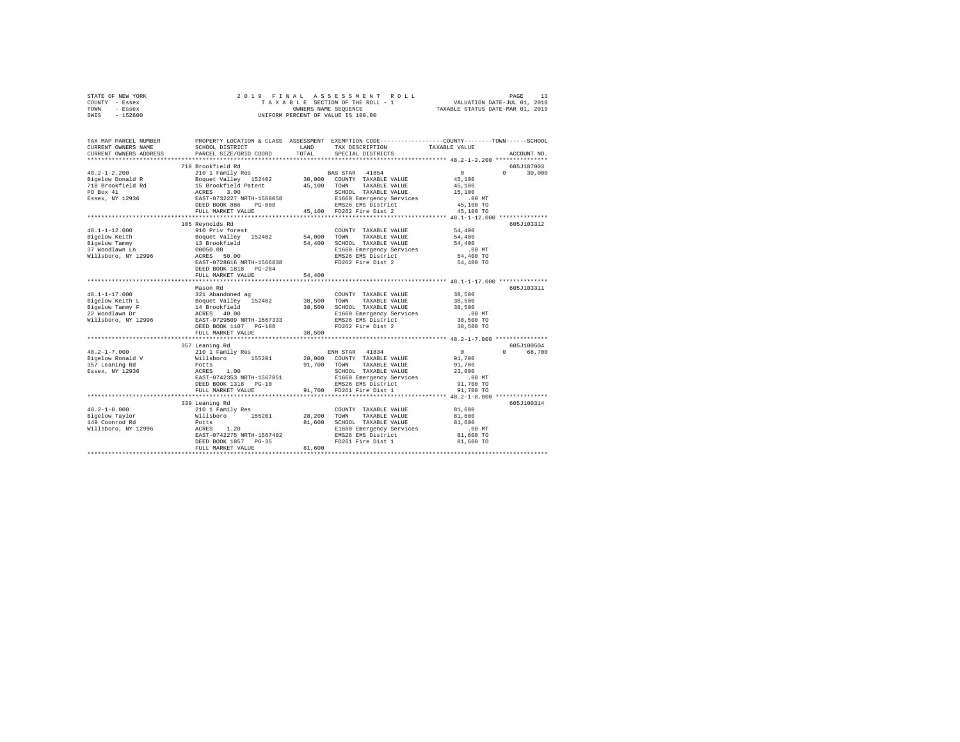| STATE OF NEW YORK | 2019 FINAL ASSESSMENT ROLL         | PAGE                             |
|-------------------|------------------------------------|----------------------------------|
| COUNTY - Essex    | TAXABLE SECTION OF THE ROLL - 1    | VALUATION DATE-JUL 01, 2018      |
| TOWN<br>- Essex   | OWNERS NAME SEOUENCE               | TAXABLE STATUS DATE-MAR 01, 2019 |
| $-152600$<br>SWIS | UNIFORM PERCENT OF VALUE IS 100.00 |                                  |

| TAX MAP PARCEL NUMBER<br>CURRENT OWNERS NAME<br>CURRENT OWNERS ADDRESS | PROPERTY LOCATION & CLASS ASSESSMENT EXEMPTION CODE----------------COUNTY-------TOWN-----SCHOOL<br>SCHOOL DISTRICT<br>PARCEL SIZE/GRID COORD                 | LAND<br>TOTAL | TAX DESCRIPTION<br>SPECIAL DISTRICTS             | TAXABLE VALUE                            | ACCOUNT NO.        |
|------------------------------------------------------------------------|--------------------------------------------------------------------------------------------------------------------------------------------------------------|---------------|--------------------------------------------------|------------------------------------------|--------------------|
|                                                                        |                                                                                                                                                              |               |                                                  |                                          |                    |
|                                                                        | 718 Brookfield Rd                                                                                                                                            |               |                                                  |                                          | 605J187003         |
| $48.2 - 1 - 2.200$                                                     | 210 1 Family Res BAS STAR 41854                                                                                                                              |               |                                                  | $\sim$ 0                                 | $0 \t 30,000$      |
|                                                                        |                                                                                                                                                              |               |                                                  | 45,100                                   |                    |
|                                                                        |                                                                                                                                                              |               |                                                  | 45,100                                   |                    |
|                                                                        |                                                                                                                                                              |               | SCHOOL TAXABLE VALUE                             | 15,100                                   |                    |
|                                                                        |                                                                                                                                                              |               | E1660 Emergency Services                         | $.00$ MT                                 |                    |
|                                                                        | DEED BOOK 886<br>$PG-008$                                                                                                                                    |               | EMS26 EMS District<br>45,100 FD262 Fire Dist 2   | 45,100 TO                                |                    |
|                                                                        | FULL MARKET VALUE                                                                                                                                            |               |                                                  | 45,100 TO                                |                    |
|                                                                        |                                                                                                                                                              |               |                                                  |                                          |                    |
|                                                                        | 105 Reynolds Rd                                                                                                                                              |               |                                                  |                                          | 605J103312         |
| $48.1 - 1 - 12.000$                                                    | 910 Priv forest<br>Boquet Valley 152402 54,000 TOWN                                                                                                          |               | COUNTY TAXABLE VALUE                             | 54,400                                   |                    |
| Bigelow Keith                                                          |                                                                                                                                                              |               | TAXABLE VALUE                                    | 54,400                                   |                    |
| Bigelow Tammy                                                          | -----<br>13 Brookfield<br>00050.00<br>ACRES 50.00                                                                                                            | 54,400        | SCHOOL TAXABLE VALUE<br>E1660 Emergency Services | 54,400                                   |                    |
| 37 Woodlawn Ln                                                         |                                                                                                                                                              |               |                                                  | $.00$ MT<br>54,400 TO                    |                    |
| Willsboro, NY 12996                                                    | EAST-0728616 NRTH-1566838                                                                                                                                    |               | EMS26 EMS District<br>FD262 Fire Dist 2          |                                          |                    |
|                                                                        | DEED BOOK 1818 PG-284                                                                                                                                        |               |                                                  | 54,400 TO                                |                    |
|                                                                        | FULL MARKET VALUE                                                                                                                                            | 54,400        |                                                  |                                          |                    |
|                                                                        |                                                                                                                                                              |               |                                                  |                                          |                    |
|                                                                        | Mason Rd                                                                                                                                                     |               |                                                  |                                          | 605J103311         |
| $48.1 - 1 - 17.000$                                                    | 321 Abandoned ag                                                                                                                                             |               | COUNTY TAXABLE VALUE                             | 38,500                                   |                    |
| Bigelow Keith L                                                        |                                                                                                                                                              |               | TAXABLE VALUE                                    | 38,500                                   |                    |
| Bigelow Tammy F                                                        | 161 Ananomed ay 152402<br>14 Boquet Valley 152402 38,500 TOWN<br>14 Brookfield 238,500 SCHOOL<br>1660 EXSES 40.00<br>1865 EAST-0729509 NRTH-1567333 EMS26 EM |               | 38,500 SCHOOL TAXABLE VALUE                      | 38,500                                   |                    |
| 22 Woodlawn Dr                                                         |                                                                                                                                                              |               | E1660 Emergency Services                         | $.00$ MT                                 |                    |
| Willsboro, NY 12996                                                    |                                                                                                                                                              |               | EMS26 EMS District                               | 38,500 TO                                |                    |
|                                                                        | DEED BOOK 1107 PG-188                                                                                                                                        |               | FD262 Fire Dist 2                                | 38,500 TO                                |                    |
|                                                                        | FULL MARKET VALUE                                                                                                                                            | 38,500        |                                                  |                                          |                    |
|                                                                        |                                                                                                                                                              |               |                                                  |                                          |                    |
|                                                                        | 357 Leaning Rd                                                                                                                                               |               |                                                  |                                          | 605J100504         |
| $48.2 - 1 - 7.000$                                                     | 210 1 Family Res<br>Willsboro 155201<br>Potts<br>ACRES 1.00                                                                                                  |               | ENH STAR 41834                                   | $\sim$ 0                                 | $\Omega$<br>68,700 |
| Bigelow Ronald V<br>357 Leaning Rd                                     |                                                                                                                                                              |               | 28,000 COUNTY TAXABLE VALUE                      | 91,700                                   |                    |
|                                                                        |                                                                                                                                                              | 91,700        | TAXABLE VALUE<br>TOWN                            | 91,700                                   |                    |
| Essex, NY 12936                                                        |                                                                                                                                                              |               | SCHOOL TAXABLE VALUE                             | 23,000                                   |                    |
|                                                                        | EAST-0742353 NRTH-1567851                                                                                                                                    |               | E1660 Emergency Services .00 MT                  |                                          |                    |
|                                                                        | DEED BOOK 1318 PG-10                                                                                                                                         |               | EMS26 EMS District                               | 91,700 TO                                |                    |
| *********************************                                      | FULL MARKET VALUE                                                                                                                                            |               | 91,700 FD261 Fire Dist 1                         | 91,700 TO                                |                    |
|                                                                        |                                                                                                                                                              |               |                                                  | *************** 48.2-1-8.000 *********** |                    |
|                                                                        | 339 Leaning Rd                                                                                                                                               |               |                                                  |                                          | 605J100314         |
| $48.2 - 1 - 8.000$                                                     | 210 1 Family Res                                                                                                                                             |               | COUNTY TAXABLE VALUE                             | 81,600                                   |                    |
|                                                                        |                                                                                                                                                              | 28,200        | TOWN<br>TAXABLE VALUE                            | 81,600                                   |                    |
|                                                                        | 1.20                                                                                                                                                         | 81,600        | SCHOOL TAXABLE VALUE                             | 81,600                                   |                    |
| Willsboro, NY 12996 ACRES                                              | EAST-0742275 NRTH-1567402                                                                                                                                    |               | E1660 Emergency Services<br>EMS26 EMS District   | $.00$ MT<br>81,600 TO                    |                    |
|                                                                        | DEED BOOK 1857 PG-35                                                                                                                                         |               | FD261 Fire Dist 1 81,600 TO                      |                                          |                    |
|                                                                        | FULL MARKET VALUE                                                                                                                                            | 81,600        |                                                  |                                          |                    |
|                                                                        |                                                                                                                                                              |               |                                                  |                                          |                    |
|                                                                        |                                                                                                                                                              |               |                                                  |                                          |                    |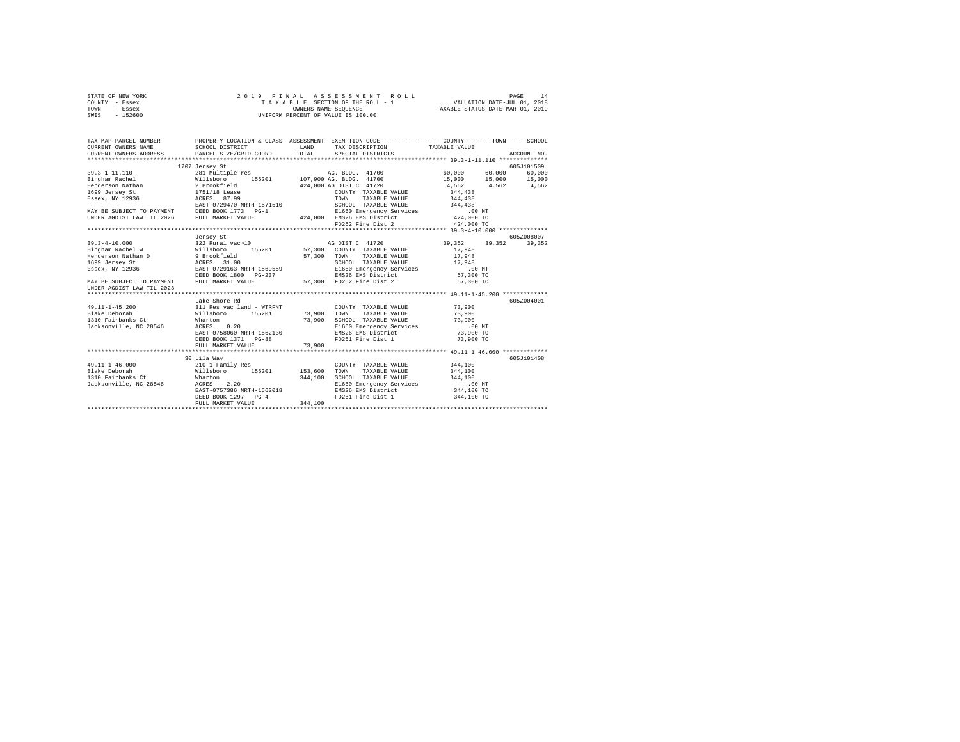| STATE OF NEW YORK | 2019 FINAL ASSESSMENT ROLL         | 14<br>PAGE                       |
|-------------------|------------------------------------|----------------------------------|
| COUNTY - Essex    | TAXABLE SECTION OF THE ROLL - 1    | VALUATION DATE-JUL 01, 2018      |
| TOWN<br>- Essex   | OWNERS NAME SEOUENCE               | TAXABLE STATUS DATE-MAR 01, 2019 |
| $-152600$<br>SWIS | UNIFORM PERCENT OF VALUE IS 100.00 |                                  |

| TAX MAP PARCEL NUMBER<br>CURRENT OWNERS NAME                                                                                                                                                                                                                                                                                                                                                                                                                                                 | PROPERTY LOCATION & CLASS ASSESSMENT EXEMPTION CODE---------------COUNTY-------TOWN-----SCHOOL<br>SCHOOL DISTRICT<br><b>LAND</b> |                    | TAX DESCRIPTION TAXABLE VALUE                                                                                                                                                                                                                                      |                                                                         |            |
|----------------------------------------------------------------------------------------------------------------------------------------------------------------------------------------------------------------------------------------------------------------------------------------------------------------------------------------------------------------------------------------------------------------------------------------------------------------------------------------------|----------------------------------------------------------------------------------------------------------------------------------|--------------------|--------------------------------------------------------------------------------------------------------------------------------------------------------------------------------------------------------------------------------------------------------------------|-------------------------------------------------------------------------|------------|
| $\begin{tabular}{lllllllllllll} $\text{m31 12336}$ & \text{CODRTY} {\small 1,0236}$ & $200\text{NPT} & \text{TAXABLE VALUE} & $344,438$ \\ $244,438$ & \text{RAST}-0729470 \text{ NRTH}-1571510 & $200\text{NPT} & \text{TAXABLE VALUE} & $344,438$ \\ & \text{EAST}-0729470 \text{ NRTH}-1571510 & $200\text{NPT} & \text{TAXABLE VALUE} & $344,438$ \\ & \text{SCHODL TAXABLE VALUE} & $3$                                                                                                 | 1707 Jersey St                                                                                                                   |                    | 424,000 AG DIST C 41720                                                                                                                                                                                                                                            | $60,000$ $60,000$ $60,000$<br>15,000 15,000 15,000<br>4,562 4,562 4,562 | 605J101509 |
| UNDER AGDIST LAW TIL 2023                                                                                                                                                                                                                                                                                                                                                                                                                                                                    | Jersey St                                                                                                                        |                    |                                                                                                                                                                                                                                                                    | 39, 352 39, 352 39, 352                                                 | 605Z008007 |
| 49.11-1-45.200 311 Res vac land - WTRFNT                                                                                                                                                                                                                                                                                                                                                                                                                                                     | Lake Shore Rd<br>EAST-0758060 NRTH-1562130<br>DEED BOOK 1371 PG-88<br>FULL MARKET VALUE                                          | 73,900             | COUNTY TAXABLE VALUE 73.900<br>73,900 SCHOOL TAXABLE VALUE 79,900<br>E1660 Emergency Services 73,000 MT<br>EMS26 EMS District 73,900 TO<br>FD261 Fire Dist 1 73,900 TO                                                                                             |                                                                         | 605Z004001 |
| $\texttt{49.11--1-46.000}\footnotesize\begin{array}{l} \texttt{49.11--1-46.000}\footnotesize\begin{array}{l} \texttt{210 1} \texttt{ Family Res}\\ \texttt{N11.1} \texttt{153.600}\footnotesize\begin{array}{l} \texttt{153.600}\footnotesize\begin{array}{l} \texttt{5201}\footnotesize\begin{array}{l} \texttt{53.600}\footnotesize\begin{array}{l} \texttt{54.600}\footnotesize\begin{array}{l} \texttt{65.600}\footnotesize\begin{array}{l} \texttt{66.$<br>Jacksonville, NC 28546 ACRES | 30 Lila Wav<br>2.20<br>DEED BOOK 1297 PG-4<br>FULL MARKET VALUE                                                                  | 344,100<br>344,100 | COUNTY TAXABLE VALUE<br>$\begin{array}{cccc}\n & - & \cdots & - & \cdots & \cdots & \cdots \\ \text{SCHOOL} & \text{TAXABLE} & \text{VALUE} & & & 344,100 \\ \end{array}$<br>E1660 Emergency Services .00 MT<br>EMS26 EMS District 344,100 TO<br>FD261 Fire Dist 1 | 344,100<br>344,100<br>344,100 TO                                        | 605J101408 |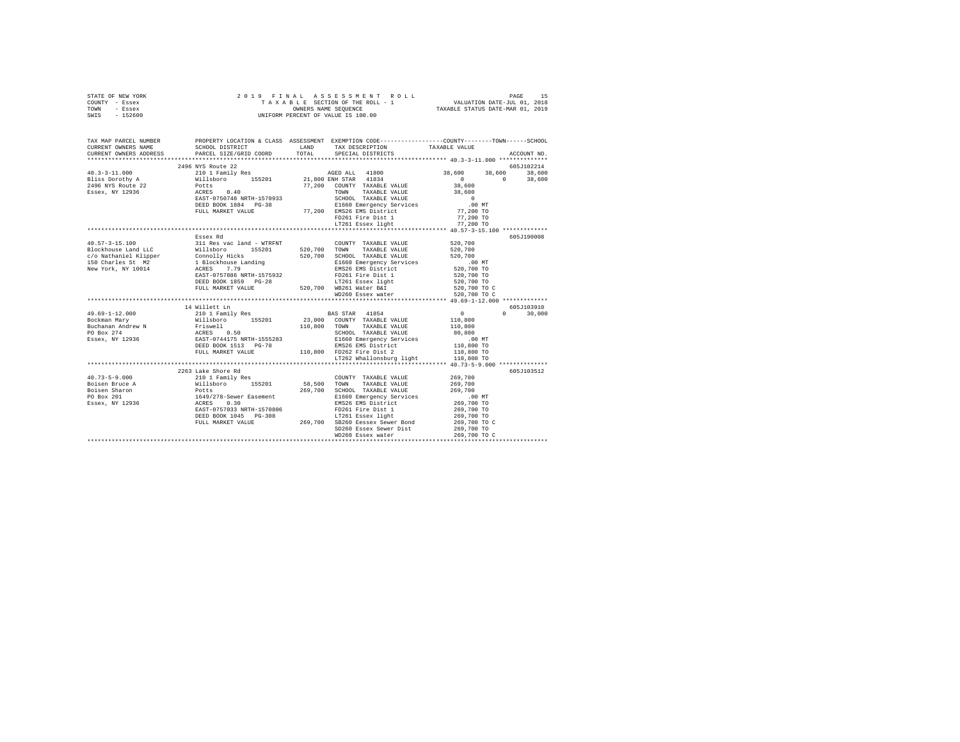| TOWN - Essex<br>SWIS - 152600                                                                                                                                          | OWNERS NAME SEQUENCE<br>UNIFORM PERCENT OF VALUE IS 100.00<br>TAXABLE STATUS DATE-MAR 01, 2019 |       |                                              |                                                               |               |  |
|------------------------------------------------------------------------------------------------------------------------------------------------------------------------|------------------------------------------------------------------------------------------------|-------|----------------------------------------------|---------------------------------------------------------------|---------------|--|
| TAX MAP PARCEL NUMBER PROPERTY LOCATION & CLASS ASSESSMENT EXEMPTION CODE---------------COUNTY-------TOWN------SCHOOL<br>CURRENT OWNERS NAME<br>CURRENT OWNERS ADDRESS | SCHOOL DISTRICT LAND<br>PARCEL SIZE/GRID COORD                                                 | TOTAL | TAX DESCRIPTION<br>SPECIAL DISTRICTS         | TAXABLE VALUE                                                 | ACCOUNT NO.   |  |
|                                                                                                                                                                        |                                                                                                |       |                                              |                                                               |               |  |
|                                                                                                                                                                        | 2496 NYS Route 22                                                                              |       |                                              |                                                               | 605J102214    |  |
| $40.3 - 3 - 11.000$                                                                                                                                                    |                                                                                                |       |                                              | 38,600 38,600 38,600                                          |               |  |
| Bliss Dorothy A<br>2496 NYS Route 22                                                                                                                                   |                                                                                                |       |                                              | $0$<br>38,600                                                 | $0 \t 38,600$ |  |
|                                                                                                                                                                        |                                                                                                |       |                                              |                                                               |               |  |
| Essex, NY 12936                                                                                                                                                        |                                                                                                |       | SCHOOL TAXABLE VALUE                         | 38,600                                                        |               |  |
|                                                                                                                                                                        |                                                                                                |       | E1660 Emergency Services                     | $\begin{array}{c} 0 \\ \hline 0 \\ 0 \end{array}$<br>$.00$ MT |               |  |
|                                                                                                                                                                        | FULL MARKET VALUE                                                                              |       | 77,200 EMS26 EMS District                    | 77,200 TO                                                     |               |  |
|                                                                                                                                                                        |                                                                                                |       | FD261 Fire Dist 1                            | 77,200 TO                                                     |               |  |
|                                                                                                                                                                        |                                                                                                |       | LT261 Essex light                            | 77,200 TO                                                     |               |  |
|                                                                                                                                                                        |                                                                                                |       |                                              |                                                               |               |  |
|                                                                                                                                                                        | Essex Rd                                                                                       |       |                                              |                                                               | 605J190008    |  |
|                                                                                                                                                                        |                                                                                                |       | COUNTY TAXABLE VALUE 520,700                 |                                                               |               |  |
|                                                                                                                                                                        |                                                                                                |       |                                              | 520,700                                                       |               |  |
|                                                                                                                                                                        |                                                                                                |       |                                              | 520,700                                                       |               |  |
|                                                                                                                                                                        |                                                                                                |       |                                              | .00MT                                                         |               |  |
|                                                                                                                                                                        |                                                                                                |       |                                              | 520,700 TO                                                    |               |  |
|                                                                                                                                                                        | EAST-0757886 NRTH-1575932                                                                      |       | FD261 Fire Dist 1                            | 520,700 TO                                                    |               |  |
|                                                                                                                                                                        | DEED BOOK 1859 PG-28                                                                           |       | LT261 Essex light                            | 520,700 TO                                                    |               |  |
|                                                                                                                                                                        | FULL MARKET VALUE                                                                              |       | 520,700 WB261 Water B&I<br>WD260 Essex water | 520,700 TO C<br>520,700 TO C                                  |               |  |
|                                                                                                                                                                        |                                                                                                |       |                                              |                                                               |               |  |
|                                                                                                                                                                        | 14 Willett Ln                                                                                  |       |                                              |                                                               | 605J103910    |  |
| $49.69 - 1 - 12.000$                                                                                                                                                   | 210 1 Family Res                                                                               |       | BAS STAR 41854                               | $\sim$ 0                                                      | $0 \t 30.000$ |  |
| Bockman Mary                                                                                                                                                           | Willsboro 155201 23,000 COUNTY TAXABLE VALUE 110,800                                           |       |                                              |                                                               |               |  |
|                                                                                                                                                                        |                                                                                                |       | 110,800 TOWN TAXABLE VALUE                   | 110,800                                                       |               |  |
|                                                                                                                                                                        |                                                                                                |       | SCHOOL TAXABLE VALUE                         |                                                               |               |  |
|                                                                                                                                                                        |                                                                                                |       |                                              |                                                               |               |  |
| Buchanan Andrew N Friswell<br>PO Box 274<br>Essex, NY 12936<br>ESSEX, NY 12936<br>ERST-0744175 NRTH-1555283<br>DEED BOOK 1513 PG-78                                    |                                                                                                |       |                                              |                                                               |               |  |
|                                                                                                                                                                        |                                                                                                |       |                                              |                                                               |               |  |
|                                                                                                                                                                        |                                                                                                |       |                                              |                                                               |               |  |
|                                                                                                                                                                        |                                                                                                |       |                                              |                                                               |               |  |
|                                                                                                                                                                        | 2263 Lake Shore Rd                                                                             |       |                                              |                                                               | 605J103512    |  |
|                                                                                                                                                                        |                                                                                                |       |                                              |                                                               |               |  |
|                                                                                                                                                                        |                                                                                                |       |                                              |                                                               |               |  |
|                                                                                                                                                                        |                                                                                                |       |                                              |                                                               |               |  |
|                                                                                                                                                                        |                                                                                                |       |                                              |                                                               |               |  |
|                                                                                                                                                                        |                                                                                                |       |                                              |                                                               |               |  |
|                                                                                                                                                                        |                                                                                                |       |                                              |                                                               |               |  |
|                                                                                                                                                                        |                                                                                                |       |                                              | 269,700 TO C                                                  |               |  |
|                                                                                                                                                                        |                                                                                                |       | SD260 Essex Sewer Dist                       | 269,700 TO                                                    |               |  |
|                                                                                                                                                                        |                                                                                                |       | WD260 Essex water                            | 269,700 TO C                                                  |               |  |
|                                                                                                                                                                        |                                                                                                |       |                                              |                                                               |               |  |

STATE OF NEW YORK 2 0 1 9 F I N A L A S S E S S M E N T R O L L PAGE 15 COUNTY - Essex T A X A B L E SECTION OF THE ROLL - 1 VALUATION DATE-JUL 01, 2018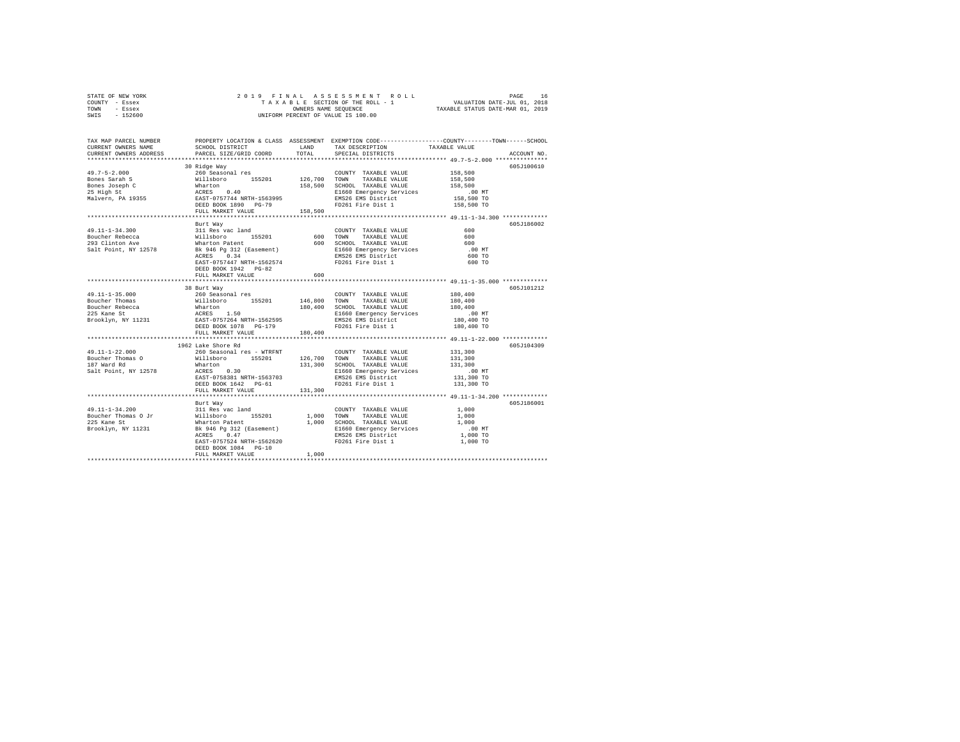| STATE OF NEW YORK | 2019 FINAL ASSESSMENT ROLL         | 16<br>PAGE                       |
|-------------------|------------------------------------|----------------------------------|
| COUNTY - Essex    | TAXABLE SECTION OF THE ROLL - 1    | VALUATION DATE-JUL 01, 2018      |
| TOWN<br>- Essex   | OWNERS NAME SEOUENCE               | TAXABLE STATUS DATE-MAR 01, 2019 |
| $-152600$<br>SWIS | UNIFORM PERCENT OF VALUE IS 100.00 |                                  |

| TAX MAP PARCEL NUMBER<br>CURRENT OWNERS NAME<br>CURRENT OWNERS ADDRESS                                                                                                                                                                                                                                                                                                                                                 | SCHOOL DISTRICT<br>PARCEL SIZE/GRID COORD         | LAND<br>TOTAL         | TAX DESCRIPTION<br>SPECIAL DISTRICTS                     | PROPERTY LOCATION & CLASS ASSESSMENT EXEMPTION CODE---------------COUNTY-------TOWN-----SCHOOL<br>TAXABLE VALUE<br>ACCOUNT NO. |
|------------------------------------------------------------------------------------------------------------------------------------------------------------------------------------------------------------------------------------------------------------------------------------------------------------------------------------------------------------------------------------------------------------------------|---------------------------------------------------|-----------------------|----------------------------------------------------------|--------------------------------------------------------------------------------------------------------------------------------|
|                                                                                                                                                                                                                                                                                                                                                                                                                        |                                                   |                       |                                                          |                                                                                                                                |
|                                                                                                                                                                                                                                                                                                                                                                                                                        | 30 Ridge Way                                      |                       |                                                          | 605J100610                                                                                                                     |
|                                                                                                                                                                                                                                                                                                                                                                                                                        |                                                   |                       | COUNTY TAXABLE VALUE                                     | 158,500                                                                                                                        |
|                                                                                                                                                                                                                                                                                                                                                                                                                        |                                                   |                       | 126,700 TOWN TAXABLE VALUE                               | 158,500                                                                                                                        |
|                                                                                                                                                                                                                                                                                                                                                                                                                        |                                                   |                       | 158,500 SCHOOL TAXABLE VALUE                             |                                                                                                                                |
|                                                                                                                                                                                                                                                                                                                                                                                                                        |                                                   |                       | E1660 Emergency Services                                 |                                                                                                                                |
|                                                                                                                                                                                                                                                                                                                                                                                                                        |                                                   |                       | EMS26 EMS District                                       |                                                                                                                                |
|                                                                                                                                                                                                                                                                                                                                                                                                                        |                                                   |                       | FD261 Fire Dist 1                                        | 158,500<br>.00 MT<br>158,500 TO<br>158,500 TO                                                                                  |
|                                                                                                                                                                                                                                                                                                                                                                                                                        | FULL MARKET VALUE 158,500                         |                       |                                                          |                                                                                                                                |
|                                                                                                                                                                                                                                                                                                                                                                                                                        |                                                   |                       |                                                          |                                                                                                                                |
|                                                                                                                                                                                                                                                                                                                                                                                                                        | Burt Way                                          |                       |                                                          | 605J186002                                                                                                                     |
|                                                                                                                                                                                                                                                                                                                                                                                                                        |                                                   |                       | COUNTY TAXABLE VALUE                                     | 600                                                                                                                            |
|                                                                                                                                                                                                                                                                                                                                                                                                                        |                                                   | $600$ TOWN            | TAXABLE VALUE<br>600 SCHOOL TAXABLE VALUE                | 600                                                                                                                            |
|                                                                                                                                                                                                                                                                                                                                                                                                                        |                                                   |                       |                                                          | 600                                                                                                                            |
| $\begin{tabular}{lllllllllllll} 49.11\text{--}1\text{--}34.300 & 311\text{ Res} 'vac\text{ }1\text{and}\\ \text{Boucher Rebecca} & 311\text{ Res} 'vac\text{ }155201 \\ 293\text{ } \text{Clinton} \text{ } \text{Ave} & 311\text{ }185201 \\ 293\text{ } \text{Clinton} \text{ } \text{Ave} & 388.6\text{ } \text{Fg} \text{ }312 \text{ } (\text{Easement}) \\ \text{Salt Point, } \text{NY} \text{ }12578 & \text{$ |                                                   |                       | E1660 Emergency Services<br>EMS26 EMS District           | $.00$ MT                                                                                                                       |
|                                                                                                                                                                                                                                                                                                                                                                                                                        |                                                   |                       |                                                          | 600 TO                                                                                                                         |
|                                                                                                                                                                                                                                                                                                                                                                                                                        | EAST-0757447 NRTH-1562574<br>DEED BOOK 1942 PG-82 |                       | FD261 Fire Dist 1                                        | 600 TO                                                                                                                         |
|                                                                                                                                                                                                                                                                                                                                                                                                                        | FULL MARKET VALUE                                 | 600                   |                                                          |                                                                                                                                |
|                                                                                                                                                                                                                                                                                                                                                                                                                        | ************************                          |                       |                                                          | ************** 49.11-1-35.000 ************                                                                                     |
|                                                                                                                                                                                                                                                                                                                                                                                                                        | 38 Burt Way                                       |                       |                                                          | 605J101212                                                                                                                     |
|                                                                                                                                                                                                                                                                                                                                                                                                                        |                                                   |                       | COUNTY TAXABLE VALUE                                     | $180\,,\,400$                                                                                                                  |
|                                                                                                                                                                                                                                                                                                                                                                                                                        |                                                   | COUNT<br>146,800 TOWN | TAXABLE VALUE                                            | 180,400                                                                                                                        |
|                                                                                                                                                                                                                                                                                                                                                                                                                        |                                                   |                       |                                                          | 180,400                                                                                                                        |
|                                                                                                                                                                                                                                                                                                                                                                                                                        |                                                   |                       | 180,400 SCHOOL TAXABLE VALUE<br>E1660 Emergency Services |                                                                                                                                |
|                                                                                                                                                                                                                                                                                                                                                                                                                        |                                                   |                       | EMS26 EMS District                                       | 00 MT.<br>180,400 TO                                                                                                           |
|                                                                                                                                                                                                                                                                                                                                                                                                                        |                                                   |                       | FD261 Fire Dist 1                                        | 180,400 TO                                                                                                                     |
|                                                                                                                                                                                                                                                                                                                                                                                                                        | FULL MARKET VALUE                                 | 180,400               |                                                          |                                                                                                                                |
|                                                                                                                                                                                                                                                                                                                                                                                                                        |                                                   |                       |                                                          |                                                                                                                                |
|                                                                                                                                                                                                                                                                                                                                                                                                                        | 1962 Lake Shore Rd                                |                       |                                                          | 605J104309                                                                                                                     |
| 49.11-1-22.000                                                                                                                                                                                                                                                                                                                                                                                                         |                                                   |                       | COUNTY TAXABLE VALUE 131,300                             |                                                                                                                                |
| Boucher Thomas O<br>as O                                                                                                                                                                                                                                                                                                                                                                                               |                                                   |                       |                                                          | 131,300                                                                                                                        |
| 187 Ward Rd                                                                                                                                                                                                                                                                                                                                                                                                            |                                                   |                       | 131,300 SCHOOL TAXABLE VALUE                             | 131,300                                                                                                                        |
| Salt Point, NY 12578                                                                                                                                                                                                                                                                                                                                                                                                   |                                                   |                       | E1660 Emergency Services<br>EMS26 EMS District           | .00MT                                                                                                                          |
|                                                                                                                                                                                                                                                                                                                                                                                                                        | DEED BOOK 1642    PG-61                           |                       | FD261 Fire Dist 1                                        | 131,300 TO<br>131,300 TO                                                                                                       |
|                                                                                                                                                                                                                                                                                                                                                                                                                        | FULL MARKET VALUE                                 | 131,300               |                                                          |                                                                                                                                |
|                                                                                                                                                                                                                                                                                                                                                                                                                        |                                                   |                       |                                                          |                                                                                                                                |
|                                                                                                                                                                                                                                                                                                                                                                                                                        | Burt Way                                          |                       |                                                          | 605J186001                                                                                                                     |
|                                                                                                                                                                                                                                                                                                                                                                                                                        |                                                   |                       | COUNTY TAXABLE VALUE 1,000                               |                                                                                                                                |
|                                                                                                                                                                                                                                                                                                                                                                                                                        |                                                   |                       | 1,000 TOWN TAXABLE VALUE                                 | 1,000                                                                                                                          |
| 49.11-1-34.200<br>Boucher Thomas O Jr Willsboro 155201<br>225 Kane St Willsboro 155201 1,000<br>225 Kane St Brooklyn, NY 11231 BK 946 9312 (Easement) 1,000<br>Brooklyn, NY 11231 BK 946 9312 (Easement)                                                                                                                                                                                                               |                                                   |                       | 1,000 SCHOOL TAXABLE VALUE                               | 1,000                                                                                                                          |
|                                                                                                                                                                                                                                                                                                                                                                                                                        |                                                   |                       |                                                          | $.00$ MT                                                                                                                       |
|                                                                                                                                                                                                                                                                                                                                                                                                                        |                                                   |                       | E1660 Emergency Services<br>EMS26 EMS District           | 1,000 TO                                                                                                                       |
|                                                                                                                                                                                                                                                                                                                                                                                                                        | EAST-0757524 NRTH-1562620                         |                       | FD261 Fire Dist 1                                        | 1,000 TO                                                                                                                       |
|                                                                                                                                                                                                                                                                                                                                                                                                                        | DEED BOOK 1084 PG-10                              |                       |                                                          |                                                                                                                                |
|                                                                                                                                                                                                                                                                                                                                                                                                                        | FULL MARKET VALUE                                 | 1,000                 |                                                          |                                                                                                                                |
|                                                                                                                                                                                                                                                                                                                                                                                                                        |                                                   |                       |                                                          |                                                                                                                                |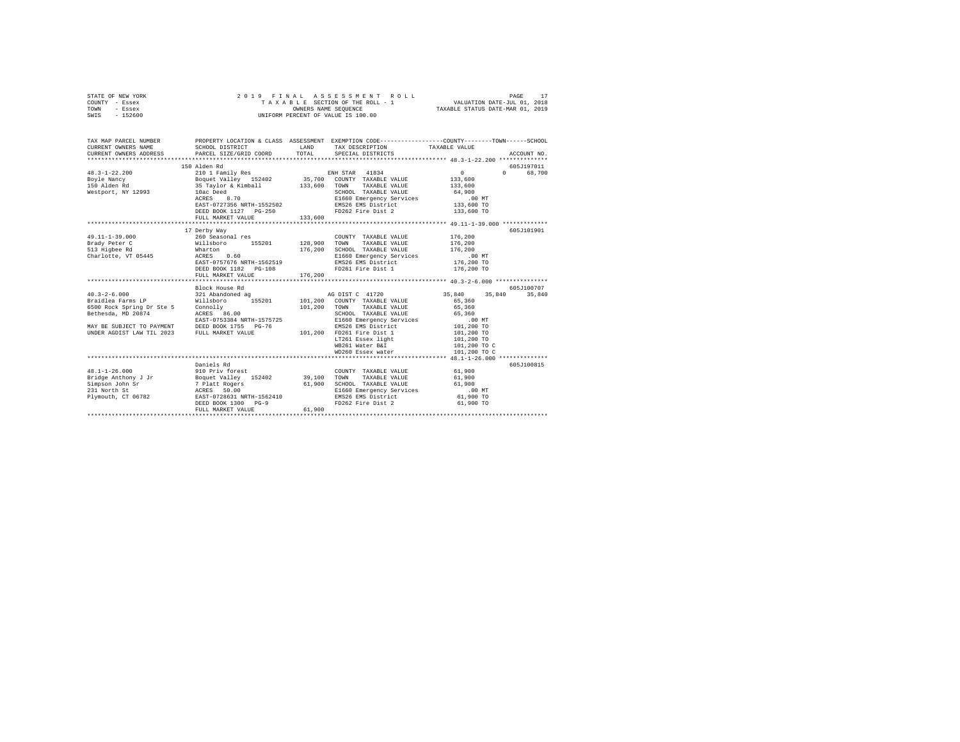| STATE OF NEW YORK<br>COUNTY - Essex<br>TOWN<br>- Essex<br>$-152600$<br>SWIS                         | 2019 FINAL                                                                         | OWNERS NAME SEQUENCE | ASSESSMENT ROLL<br>TAXABLE SECTION OF THE ROLL - 1<br>UNIFORM PERCENT OF VALUE IS 100.00 | PAGE<br>VALUATION DATE-JUL 01, 2018<br>TAXABLE STATUS DATE-MAR 01, 2019                                          | 17          |
|-----------------------------------------------------------------------------------------------------|------------------------------------------------------------------------------------|----------------------|------------------------------------------------------------------------------------------|------------------------------------------------------------------------------------------------------------------|-------------|
| TAX MAP PARCEL NUMBER<br>CURRENT OWNERS NAME<br>CURRENT OWNERS ADDRESS<br>************************* | SCHOOL DISTRICT<br>PARCEL SIZE/GRID COORD                                          | LAND<br>TOTAL        | TAX DESCRIPTION<br>SPECIAL DISTRICTS                                                     | PROPERTY LOCATION & CLASS ASSESSMENT EXEMPTION CODE---------------COUNTY-------TOWN------SCHOOL<br>TAXABLE VALUE | ACCOUNT NO. |
|                                                                                                     | 150 Alden Rd                                                                       |                      |                                                                                          |                                                                                                                  | 605J197011  |
| $48.3 - 1 - 22.200$                                                                                 | 210 1 Family Res                                                                   |                      | ENH STAR 41834                                                                           | $0 \qquad \qquad$<br>$\Omega$                                                                                    | 68,700      |
| Boyle Nancy                                                                                         | Boquet Valley 152402                                                               |                      | 35,700 COUNTY TAXABLE VALUE                                                              | 133,600                                                                                                          |             |
| 150 Alden Rd                                                                                        | 35 Taylor & Kimball                                                                | 133,600              | TOWN TAXABLE VALUE                                                                       | 133,600                                                                                                          |             |
| Westport, NY 12993                                                                                  | 10ac Deed                                                                          |                      | SCHOOL TAXABLE VALUE                                                                     | 64,900                                                                                                           |             |
|                                                                                                     | ACRES 8.70                                                                         |                      | E1660 Emergency Services                                                                 | .00 MT                                                                                                           |             |
|                                                                                                     | EAST-0727356 NRTH-1552502                                                          |                      | EMS26 EMS District                                                                       | 133,600 TO                                                                                                       |             |
|                                                                                                     | DEED BOOK 1127 PG-250                                                              |                      | FD262 Fire Dist 2                                                                        | 133,600 TO                                                                                                       |             |
|                                                                                                     | FULL MARKET VALUE                                                                  | 133,600              |                                                                                          |                                                                                                                  |             |
|                                                                                                     |                                                                                    |                      |                                                                                          |                                                                                                                  |             |
|                                                                                                     | 17 Derby Way                                                                       |                      |                                                                                          |                                                                                                                  | 605J101901  |
| $49.11 - 1 - 39.000$                                                                                | 260 Seasonal res                                                                   |                      | COUNTY TAXABLE VALUE                                                                     | 176,200                                                                                                          |             |
| Brady Peter C<br>513 Highee Rd                                                                      | 155201<br>Willsboro<br>Wharton                                                     | 128,900<br>176,200   | TOWN<br>TAXABLE VALUE<br>SCHOOL TAXABLE VALUE                                            | 176,200<br>176,200                                                                                               |             |
| Charlotte, VT 05445                                                                                 | ACRES<br>0.60                                                                      |                      | E1660 Emergency Services                                                                 | $.00$ MT                                                                                                         |             |
|                                                                                                     | EAST-0757676 NRTH-1562519                                                          |                      | EMS26 EMS District                                                                       | 176,200 TO                                                                                                       |             |
|                                                                                                     | DEED BOOK 1182 PG-108                                                              |                      | FD261 Fire Dist 1                                                                        | 176,200 TO                                                                                                       |             |
|                                                                                                     | FULL MARKET VALUE                                                                  | 176,200              |                                                                                          |                                                                                                                  |             |
|                                                                                                     | .                                                                                  | **************       |                                                                                          | ****************** 40.3-2-6.000 ***************                                                                  |             |
|                                                                                                     | Block House Rd                                                                     |                      |                                                                                          |                                                                                                                  | 605J100707  |
| $40.3 - 2 - 6.000$                                                                                  | 321 Abandoned ag                                                                   |                      | AG DIST C 41720                                                                          | 35,840<br>35,840                                                                                                 | 35,840      |
| Braidlea Farms LP                                                                                   | Willsboro 155201                                                                   |                      | 101,200 COUNTY TAXABLE VALUE                                                             | 65,360                                                                                                           |             |
| 6500 Rock Spring Dr Ste 5                                                                           | Connolly                                                                           | 101,200              | TAXABLE VALUE<br>TOWN                                                                    | 65,360                                                                                                           |             |
| Bethesda, MD 20874                                                                                  | ACRES 86.00                                                                        |                      | SCHOOL TAXABLE VALUE                                                                     | 65,360                                                                                                           |             |
|                                                                                                     | EAST-0753384 NRTH-1575725                                                          |                      | E1660 Emergency Services                                                                 | $.00$ MT                                                                                                         |             |
| MAY BE SUBJECT TO PAYMENT                                                                           | DEED BOOK 1755 PG-76                                                               |                      | EMS26 EMS District                                                                       | 101,200 TO                                                                                                       |             |
| UNDER AGDIST LAW TIL 2023                                                                           | FULL MARKET VALUE                                                                  |                      | 101.200 FD261 Fire Dist 1                                                                | 101,200 TO                                                                                                       |             |
|                                                                                                     |                                                                                    |                      | LT261 Essex light                                                                        | 101,200 TO                                                                                                       |             |
|                                                                                                     |                                                                                    |                      | WB261 Water B&I                                                                          | 101,200 TO C                                                                                                     |             |
|                                                                                                     |                                                                                    |                      | WD260 Essex water                                                                        | 101,200 TO C                                                                                                     |             |
|                                                                                                     | Daniels Rd                                                                         |                      |                                                                                          |                                                                                                                  | 605J100815  |
| $48.1 - 1 - 26.000$                                                                                 | 910 Priv forest                                                                    |                      | COUNTY TAXABLE VALUE                                                                     | 61,900                                                                                                           |             |
| Bridge Anthony J Jr                                                                                 |                                                                                    | 39,100               | TOWN<br>TAXABLE VALUE                                                                    | 61,900                                                                                                           |             |
| Simpson John Sr                                                                                     | Boquet Valley 152402<br>7 Platt Rogers<br>ACRES 50.00<br>EAST-0728631 NRTH-1562410 | 61,900               | SCHOOL TAXABLE VALUE                                                                     | 61,900                                                                                                           |             |
| 231 North St                                                                                        |                                                                                    |                      | E1660 Emergency Services                                                                 | $.00$ MT                                                                                                         |             |
| Plymouth, CT 06782                                                                                  |                                                                                    |                      | EMS26 EMS District                                                                       | 61,900 TO                                                                                                        |             |
|                                                                                                     | DEED BOOK 1300 PG-9                                                                |                      | FD262 Fire Dist 2                                                                        | 61,900 TO                                                                                                        |             |
|                                                                                                     | FULL MARKET VALUE                                                                  | 61,900               |                                                                                          |                                                                                                                  |             |
|                                                                                                     |                                                                                    |                      |                                                                                          |                                                                                                                  |             |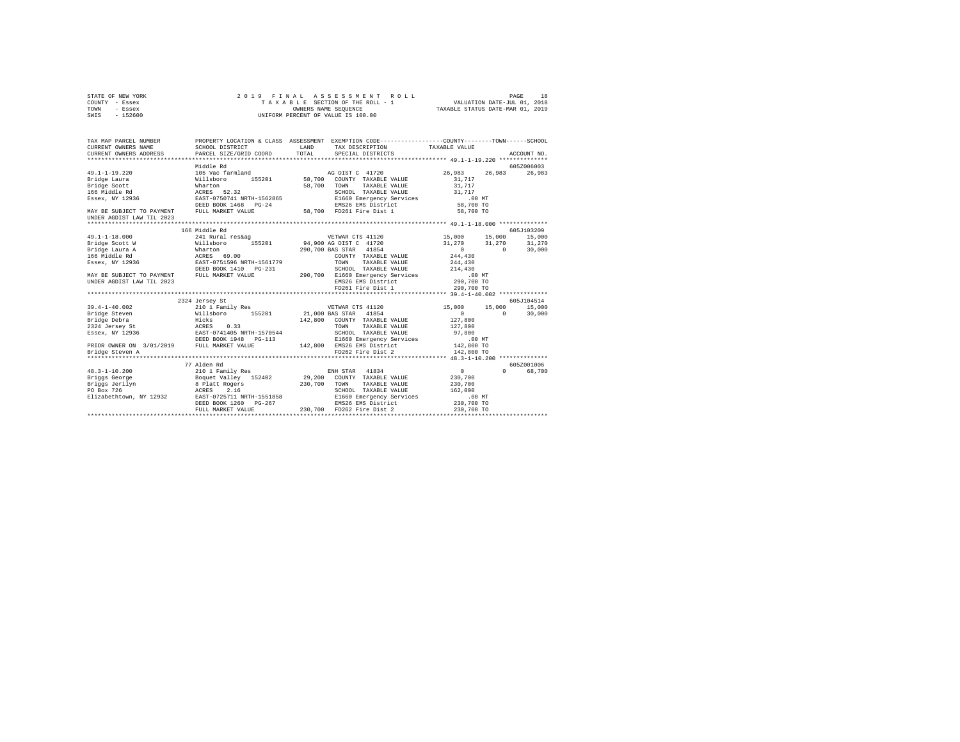|      | STATE OF NEW YORK |  |                      | 2019 FINAL ASSESSMENT ROLL         | PAGE                        | 18 |
|------|-------------------|--|----------------------|------------------------------------|-----------------------------|----|
|      | COUNTY - Essex    |  |                      | TAXABLE SECTION OF THE ROLL - 1    | VALUATION DATE-JUL 01, 2018 |    |
| TOWN | - Essex           |  | OWNERS NAME SEOUENCE | TAXABLE STATUS DATE-MAR 01, 2019   |                             |    |
| SWIS | $-152600$         |  |                      | UNIFORM PERCENT OF VALUE IS 100.00 |                             |    |

| TAX MAP PARCEL NUMBER                       |                                                           |         | PROPERTY LOCATION & CLASS ASSESSMENT EXEMPTION CODE----------------COUNTY-------TOWN-----SCHOOL |                      |             |
|---------------------------------------------|-----------------------------------------------------------|---------|-------------------------------------------------------------------------------------------------|----------------------|-------------|
| CURRENT OWNERS NAME                         | SCHOOL DISTRICT                                           | LAND    | TAX DESCRIPTION TAXABLE VALUE                                                                   |                      |             |
| CURRENT OWNERS ADDRESS                      | PARCEL SIZE/GRID COORD                                    | TOTAL   | SPECIAL DISTRICTS                                                                               |                      | ACCOUNT NO. |
|                                             |                                                           |         |                                                                                                 |                      |             |
|                                             | Middle Rd                                                 |         |                                                                                                 |                      | 605Z006003  |
| $49.1 - 1 - 19.220$                         | 105 Vac farmland                                          |         | AG DIST C 41720                                                                                 | 26,983<br>26,983     | 26,983      |
| Bridge Laura                                | 155201 58,700<br>Willsboro                                |         | COUNTY TAXABLE VALUE                                                                            | 31,717               |             |
| Bridge Scott                                | Wharton                                                   | 58,700  | TAXABLE VALUE<br>TOWN                                                                           | 31,717               |             |
| 166 Middle Rd                               | ACRES 52.32                                               |         | SCHOOL TAXABLE VALUE                                                                            | 31,717               |             |
| Essex, NY 12936                             | EAST-0750741 NRTH-1562865                                 |         | E1660 Emergency Services .00 MT                                                                 |                      |             |
|                                             | DEED BOOK 1468 PG-24                                      |         | EMS26 EMS District                                                                              | 58,700 TO            |             |
| MAY BE SUBJECT TO PAYMENT FULL MARKET VALUE |                                                           |         | 58.700 FD261 Fire Dist 1                                                                        | 58,700 TO            |             |
| UNDER AGDIST LAW TIL 2023                   |                                                           |         |                                                                                                 |                      |             |
|                                             |                                                           |         |                                                                                                 |                      |             |
|                                             | 166 Middle Rd                                             |         |                                                                                                 |                      | 605J103209  |
| $49.1 - 1 - 18.000$                         | 241 Rural res&ag                                          |         | VETWAR CTS 41120                                                                                | 15,000 15,000        | 15,000      |
| Bridge Scott W                              | Willsboro                                                 |         | 155201 94,900 AG DIST C 41720                                                                   | 31,270<br>31,270     | 31,270      |
| Bridge Laura A                              | Wharton                                                   |         | 290,700 BAS STAR 41854                                                                          | $\sim$ 0<br>$\Omega$ | 30,000      |
| 166 Middle Rd                               | ACRES 69.00                                               |         | COUNTY TAXABLE VALUE                                                                            | 244,430              |             |
| Essex, NY 12936                             | EAST-0751596 NRTH-1561779                                 |         | TOWN<br>TAXABLE VALUE                                                                           | 244,430              |             |
|                                             | DEED BOOK 1410 PG-231                                     |         | SCHOOL TAXABLE VALUE                                                                            | 214,430              |             |
| MAY BE SUBJECT TO PAYMENT                   | FULL MARKET VALUE                                         |         | 290,700 E1660 Emergency Services                                                                | .00MT                |             |
| UNDER AGDIST LAW TIL 2023                   |                                                           |         | EMS26 EMS District                                                                              | 290,700 TO           |             |
|                                             |                                                           |         | FD261 Fire Dist 1                                                                               | 290,700 TO           |             |
|                                             |                                                           |         |                                                                                                 |                      |             |
|                                             | 2324 Jersey St                                            |         |                                                                                                 |                      | 605.7104514 |
| $39.4 - 1 - 40.002$                         | 210 1 Family Res                                          |         | VETWAR CTS 41120                                                                                | 15,000<br>15,000     | 15,000      |
| Bridge Steven                               | Willsboro 155201                                          |         | 21,000 BAS STAR 41854                                                                           | $\Omega$<br>$\Omega$ | 30,000      |
| Bridge Debra                                | Hicks                                                     | 142,800 | COUNTY TAXABLE VALUE                                                                            | 127,800              |             |
| ACRES<br>2324 Jersey St                     | 0.33                                                      |         | TOWN<br>TAXABLE VALUE                                                                           | 127,800              |             |
| Essex, NY 12936                             |                                                           |         | SCHOOL TAXABLE VALUE                                                                            | 97,800               |             |
|                                             | ---<br>EAST-0741405 NRTH-1570544<br>DEED BOOK 1948 PG-113 |         | E1660 Emergency Services                                                                        | $.00$ MT             |             |
| PRIOR OWNER ON 3/01/2019 FULL MARKET VALUE  |                                                           |         | 142,800 EMS26 EMS District                                                                      | 142,800 TO           |             |
| Bridge Steven A                             |                                                           |         | FD262 Fire Dist 2                                                                               | 142,800 TO           |             |
| *************                               |                                                           |         |                                                                                                 |                      |             |
|                                             | 77 Alden Rd                                               |         |                                                                                                 |                      | 605Z001006  |
| $48.3 - 1 - 10.200$                         | 210 1 Family Res                                          |         | ENH STAR 41834                                                                                  | $\sim$<br>$\Omega$   | 68,700      |
| Briggs George                               | Boquet Valley 152402                                      |         | 29,200 COUNTY TAXABLE VALUE                                                                     | 230,700              |             |
| Briggs Jerilyn                              | 8 Platt Rogers                                            | 230,700 | TAXABLE VALUE<br>TOWN                                                                           | 230,700              |             |
| PO Box 726                                  |                                                           |         | SCHOOL TAXABLE VALUE                                                                            | 162,000              |             |
| Elizabethtown, NY 12932                     | ACRES 2.16<br>EAST-0725711 NRTH-1551858                   |         | E1660 Emergency Services                                                                        | $.00$ MT             |             |
|                                             | DEED BOOK 1260 PG-267                                     |         | EMS26 EMS District                                                                              | 230,700 TO           |             |
|                                             | FULL MARKET VALUE                                         | 230,700 | FD262 Fire Dist 2                                                                               | 230,700 TO           |             |
|                                             |                                                           |         |                                                                                                 |                      |             |
|                                             |                                                           |         |                                                                                                 |                      |             |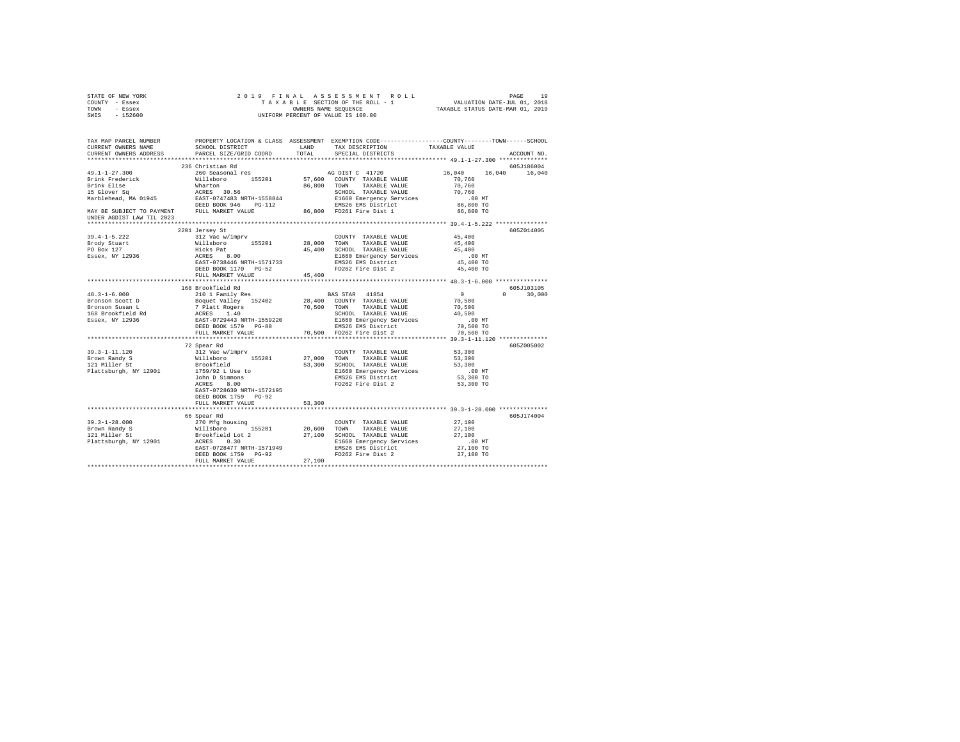| STATE OF NEW YORK                                                                                                                                                                                                                                                                                                                        |                                                    |        |                                                                                                                  |                                                                                                                                                                                                |  |
|------------------------------------------------------------------------------------------------------------------------------------------------------------------------------------------------------------------------------------------------------------------------------------------------------------------------------------------|----------------------------------------------------|--------|------------------------------------------------------------------------------------------------------------------|------------------------------------------------------------------------------------------------------------------------------------------------------------------------------------------------|--|
| COUNTY - Essex                                                                                                                                                                                                                                                                                                                           |                                                    |        |                                                                                                                  |                                                                                                                                                                                                |  |
| TOWN - Essex                                                                                                                                                                                                                                                                                                                             |                                                    |        |                                                                                                                  |                                                                                                                                                                                                |  |
| SWIS - 152600                                                                                                                                                                                                                                                                                                                            |                                                    |        |                                                                                                                  |                                                                                                                                                                                                |  |
|                                                                                                                                                                                                                                                                                                                                          |                                                    |        |                                                                                                                  |                                                                                                                                                                                                |  |
|                                                                                                                                                                                                                                                                                                                                          |                                                    |        |                                                                                                                  |                                                                                                                                                                                                |  |
|                                                                                                                                                                                                                                                                                                                                          |                                                    |        |                                                                                                                  |                                                                                                                                                                                                |  |
|                                                                                                                                                                                                                                                                                                                                          |                                                    |        |                                                                                                                  | TAX MAP PARCEL NUMBER PROPERTY LOCATION & CLASS ASSESSMENT EXEMPTION CODE--------------COUNTY-------TOWN------SCHOOL<br>CURRENT OWNERS NAME SCHOOL DISTRICT LAND TAX DESCRIPTION TAVARER VALUE |  |
|                                                                                                                                                                                                                                                                                                                                          | SCHOOL DISTRICT LAND TAX DESCRIPTION TAXABLE VALUE |        |                                                                                                                  |                                                                                                                                                                                                |  |
| CURRENT OWNERS ADDRESS                                                                                                                                                                                                                                                                                                                   | PARCEL SIZE/GRID COORD TOTAL                       |        | SPECIAL DISTRICTS                                                                                                | ACCOUNT NO.                                                                                                                                                                                    |  |
|                                                                                                                                                                                                                                                                                                                                          |                                                    |        |                                                                                                                  |                                                                                                                                                                                                |  |
|                                                                                                                                                                                                                                                                                                                                          | 236 Christian Rd                                   |        |                                                                                                                  | 605J186004                                                                                                                                                                                     |  |
|                                                                                                                                                                                                                                                                                                                                          |                                                    |        |                                                                                                                  | 16,040 16,040                                                                                                                                                                                  |  |
|                                                                                                                                                                                                                                                                                                                                          |                                                    |        |                                                                                                                  |                                                                                                                                                                                                |  |
|                                                                                                                                                                                                                                                                                                                                          |                                                    |        |                                                                                                                  |                                                                                                                                                                                                |  |
|                                                                                                                                                                                                                                                                                                                                          |                                                    |        |                                                                                                                  |                                                                                                                                                                                                |  |
|                                                                                                                                                                                                                                                                                                                                          |                                                    |        |                                                                                                                  |                                                                                                                                                                                                |  |
|                                                                                                                                                                                                                                                                                                                                          |                                                    |        |                                                                                                                  |                                                                                                                                                                                                |  |
|                                                                                                                                                                                                                                                                                                                                          |                                                    |        |                                                                                                                  |                                                                                                                                                                                                |  |
| UNDER AGDIST LAW TIL 2023                                                                                                                                                                                                                                                                                                                |                                                    |        |                                                                                                                  |                                                                                                                                                                                                |  |
|                                                                                                                                                                                                                                                                                                                                          |                                                    |        |                                                                                                                  |                                                                                                                                                                                                |  |
|                                                                                                                                                                                                                                                                                                                                          |                                                    |        |                                                                                                                  |                                                                                                                                                                                                |  |
|                                                                                                                                                                                                                                                                                                                                          | 2201 Jersey St                                     |        |                                                                                                                  | 605Z014005                                                                                                                                                                                     |  |
|                                                                                                                                                                                                                                                                                                                                          |                                                    |        | COUNTY TAXABLE VALUE 45,400                                                                                      |                                                                                                                                                                                                |  |
|                                                                                                                                                                                                                                                                                                                                          |                                                    |        |                                                                                                                  | 45,400                                                                                                                                                                                         |  |
|                                                                                                                                                                                                                                                                                                                                          |                                                    |        |                                                                                                                  | 45,400                                                                                                                                                                                         |  |
|                                                                                                                                                                                                                                                                                                                                          |                                                    |        |                                                                                                                  | .00 MT                                                                                                                                                                                         |  |
|                                                                                                                                                                                                                                                                                                                                          |                                                    |        |                                                                                                                  | 45,400 TO                                                                                                                                                                                      |  |
|                                                                                                                                                                                                                                                                                                                                          |                                                    |        |                                                                                                                  | 45,400 TO                                                                                                                                                                                      |  |
|                                                                                                                                                                                                                                                                                                                                          |                                                    |        |                                                                                                                  |                                                                                                                                                                                                |  |
|                                                                                                                                                                                                                                                                                                                                          |                                                    |        |                                                                                                                  |                                                                                                                                                                                                |  |
|                                                                                                                                                                                                                                                                                                                                          | 168 Brookfield Rd                                  |        |                                                                                                                  | 605J103105                                                                                                                                                                                     |  |
| $48.3 - 1 - 6.000$                                                                                                                                                                                                                                                                                                                       | 210 1 Family Res                                   |        | BAS STAR 41854                                                                                                   | $\overline{0}$<br>$0 \t 30,000$                                                                                                                                                                |  |
|                                                                                                                                                                                                                                                                                                                                          |                                                    |        |                                                                                                                  |                                                                                                                                                                                                |  |
|                                                                                                                                                                                                                                                                                                                                          |                                                    |        |                                                                                                                  |                                                                                                                                                                                                |  |
|                                                                                                                                                                                                                                                                                                                                          |                                                    |        |                                                                                                                  |                                                                                                                                                                                                |  |
|                                                                                                                                                                                                                                                                                                                                          |                                                    |        |                                                                                                                  |                                                                                                                                                                                                |  |
|                                                                                                                                                                                                                                                                                                                                          |                                                    |        |                                                                                                                  |                                                                                                                                                                                                |  |
|                                                                                                                                                                                                                                                                                                                                          |                                                    |        |                                                                                                                  |                                                                                                                                                                                                |  |
|                                                                                                                                                                                                                                                                                                                                          |                                                    |        |                                                                                                                  |                                                                                                                                                                                                |  |
|                                                                                                                                                                                                                                                                                                                                          |                                                    |        |                                                                                                                  |                                                                                                                                                                                                |  |
|                                                                                                                                                                                                                                                                                                                                          | 72 Spear Rd                                        |        |                                                                                                                  | 6052005002                                                                                                                                                                                     |  |
|                                                                                                                                                                                                                                                                                                                                          |                                                    |        |                                                                                                                  |                                                                                                                                                                                                |  |
|                                                                                                                                                                                                                                                                                                                                          |                                                    |        |                                                                                                                  |                                                                                                                                                                                                |  |
|                                                                                                                                                                                                                                                                                                                                          |                                                    |        |                                                                                                                  |                                                                                                                                                                                                |  |
| $121 \text{ N}11.120 \text{ } 53,300 \text{ } 121 \text{ Na} \text{ } 53,300 \text{ } 53,300 \text{ } 53,300 \text{ } 53,300 \text{ } 53,300 \text{ } 53,300 \text{ } 53,300 \text{ } 53,300 \text{ } 53,300 \text{ } 53,300 \text{ } 53,300 \text{ } 53,300 \text{ } 53,300 \text{ } 53,300 \text{ } 53,300 \text{ } 53,300 \text{ } 5$ |                                                    |        |                                                                                                                  |                                                                                                                                                                                                |  |
|                                                                                                                                                                                                                                                                                                                                          |                                                    |        |                                                                                                                  |                                                                                                                                                                                                |  |
|                                                                                                                                                                                                                                                                                                                                          |                                                    |        |                                                                                                                  |                                                                                                                                                                                                |  |
|                                                                                                                                                                                                                                                                                                                                          | EAST-0728630 NRTH-1572195                          |        |                                                                                                                  |                                                                                                                                                                                                |  |
|                                                                                                                                                                                                                                                                                                                                          | DEED BOOK 1759 PG-92                               |        |                                                                                                                  |                                                                                                                                                                                                |  |
|                                                                                                                                                                                                                                                                                                                                          | FULL MARKET VALUE                                  | 53,300 |                                                                                                                  |                                                                                                                                                                                                |  |
|                                                                                                                                                                                                                                                                                                                                          |                                                    |        |                                                                                                                  |                                                                                                                                                                                                |  |
|                                                                                                                                                                                                                                                                                                                                          |                                                    |        |                                                                                                                  |                                                                                                                                                                                                |  |
| 39.3-1-28.000<br>Nb Spear And S70 Mfg housing<br>Brown Ram S70 Mfg housing<br>120.600 TONNY TAXABLE VALUE AT Millebrown<br>TAXABLE VALUE MILLE SECTION CHOICE 27,100 SCHOOL TAXABLE VALUE<br>27,100 SCHOOL TAXABLE VALUE<br>27,100 SCHOOL                                                                                                | 66 Spear Rd                                        |        |                                                                                                                  | 605J174004                                                                                                                                                                                     |  |
|                                                                                                                                                                                                                                                                                                                                          |                                                    |        | $\begin{tabular}{lllllll} \textbf{COUNTY} & \textbf{TAXABLE} & \textbf{VALUE} & & \textbf{27,100} \end{tabular}$ |                                                                                                                                                                                                |  |
|                                                                                                                                                                                                                                                                                                                                          |                                                    |        |                                                                                                                  | 27,100                                                                                                                                                                                         |  |
|                                                                                                                                                                                                                                                                                                                                          |                                                    |        |                                                                                                                  | 27,100                                                                                                                                                                                         |  |
|                                                                                                                                                                                                                                                                                                                                          |                                                    |        |                                                                                                                  |                                                                                                                                                                                                |  |
|                                                                                                                                                                                                                                                                                                                                          |                                                    |        |                                                                                                                  | 00 MT.<br>27,100 TO                                                                                                                                                                            |  |
|                                                                                                                                                                                                                                                                                                                                          |                                                    |        |                                                                                                                  | 27,100 TO                                                                                                                                                                                      |  |
|                                                                                                                                                                                                                                                                                                                                          | FULL MARKET VALUE 27,100                           |        |                                                                                                                  |                                                                                                                                                                                                |  |
|                                                                                                                                                                                                                                                                                                                                          |                                                    |        |                                                                                                                  |                                                                                                                                                                                                |  |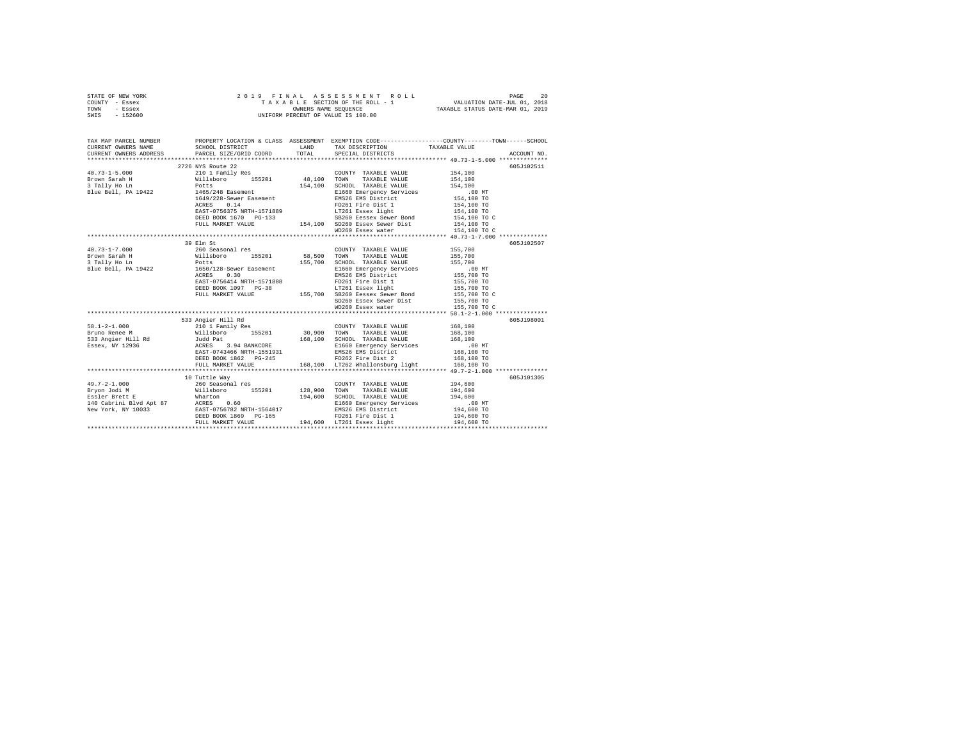|      | STATE OF NEW YORK |  |                      | 2019 FINAL ASSESSMENT ROLL         | 20<br>PAGE                  |
|------|-------------------|--|----------------------|------------------------------------|-----------------------------|
|      | COUNTY - Essex    |  |                      | TAXABLE SECTION OF THE ROLL - 1    | VALUATION DATE-JUL 01, 2018 |
| TOWN | - Essex           |  | OWNERS NAME SEOUENCE | TAXABLE STATUS DATE-MAR 01, 2019   |                             |
| SWIS | - 152600          |  |                      | UNIFORM PERCENT OF VALUE IS 100.00 |                             |

| TAX MAP PARCEL NUMBER                                                                                                                                                                                                                                                                                                                                                                                                                                                                   |                                                                                                                                                                                                                                                  |                                                                                                                                                                                                                                      | PROPERTY LOCATION & CLASS ASSESSMENT EXEMPTION CODE----------------COUNTY-------TOWN------SCHOOL<br>SCHOOL DISTRICT LAND TAX DESCRIPTION TAXABLE VALUE |
|-----------------------------------------------------------------------------------------------------------------------------------------------------------------------------------------------------------------------------------------------------------------------------------------------------------------------------------------------------------------------------------------------------------------------------------------------------------------------------------------|--------------------------------------------------------------------------------------------------------------------------------------------------------------------------------------------------------------------------------------------------|--------------------------------------------------------------------------------------------------------------------------------------------------------------------------------------------------------------------------------------|--------------------------------------------------------------------------------------------------------------------------------------------------------|
|                                                                                                                                                                                                                                                                                                                                                                                                                                                                                         |                                                                                                                                                                                                                                                  |                                                                                                                                                                                                                                      |                                                                                                                                                        |
|                                                                                                                                                                                                                                                                                                                                                                                                                                                                                         | 2726 NYS Route 22                                                                                                                                                                                                                                |                                                                                                                                                                                                                                      | 605J102511                                                                                                                                             |
| $\texttt{H0.73-1-5.000}\begin{minipage}{0.73\textwidth} \begin{minipage}{0.73\textwidth} \begin{minipage}{0.73\textwidth} \begin{minipage}{0.73\textwidth} \begin{minipage}{0.73\textwidth} \begin{minipage}{0.73\textwidth} \begin{minipage}{0.73\textwidth} \begin{minipage}{0.73\textwidth} \begin{minipage}{0.73\textwidth} \begin{minipage}{0.73\textwidth} \begin{minipage}{0.73\textwidth} \begin{minipage}{0.73\textwidth} \begin{minipage}{0.73\textwidth} \begin{minipage}{0$ |                                                                                                                                                                                                                                                  | COUNTY TAXABLE VALUE 154,100                                                                                                                                                                                                         |                                                                                                                                                        |
|                                                                                                                                                                                                                                                                                                                                                                                                                                                                                         |                                                                                                                                                                                                                                                  |                                                                                                                                                                                                                                      | 154,100                                                                                                                                                |
|                                                                                                                                                                                                                                                                                                                                                                                                                                                                                         |                                                                                                                                                                                                                                                  | SCHOOL TAXABLE VALUE                                                                                                                                                                                                                 | 154,100                                                                                                                                                |
| Blue Bell, PA 19422 1465/248 Easement                                                                                                                                                                                                                                                                                                                                                                                                                                                   |                                                                                                                                                                                                                                                  |                                                                                                                                                                                                                                      |                                                                                                                                                        |
|                                                                                                                                                                                                                                                                                                                                                                                                                                                                                         |                                                                                                                                                                                                                                                  |                                                                                                                                                                                                                                      |                                                                                                                                                        |
|                                                                                                                                                                                                                                                                                                                                                                                                                                                                                         | 1649/228-Sewer Easement<br>1649/228-Sewer Easement<br>RCRES 0.14 1649/228-Sewer Easement<br>RCRES 0.14 1649/228-Sewer Easement<br>RCRES 17261 Essex 1ight<br>154,100 TO<br>DEED BOOK 1670 PG-133<br>154,100 TO<br>FULL MARKET VALUE<br>154,100 T |                                                                                                                                                                                                                                      |                                                                                                                                                        |
|                                                                                                                                                                                                                                                                                                                                                                                                                                                                                         |                                                                                                                                                                                                                                                  |                                                                                                                                                                                                                                      |                                                                                                                                                        |
|                                                                                                                                                                                                                                                                                                                                                                                                                                                                                         |                                                                                                                                                                                                                                                  |                                                                                                                                                                                                                                      |                                                                                                                                                        |
|                                                                                                                                                                                                                                                                                                                                                                                                                                                                                         |                                                                                                                                                                                                                                                  |                                                                                                                                                                                                                                      |                                                                                                                                                        |
|                                                                                                                                                                                                                                                                                                                                                                                                                                                                                         |                                                                                                                                                                                                                                                  | WD260 Essex water                                                                                                                                                                                                                    | 154,100 TO C                                                                                                                                           |
|                                                                                                                                                                                                                                                                                                                                                                                                                                                                                         |                                                                                                                                                                                                                                                  |                                                                                                                                                                                                                                      |                                                                                                                                                        |
|                                                                                                                                                                                                                                                                                                                                                                                                                                                                                         | 39 Elm St                                                                                                                                                                                                                                        |                                                                                                                                                                                                                                      | 605J102507                                                                                                                                             |
| $40.73 - 1 - 7.000$                                                                                                                                                                                                                                                                                                                                                                                                                                                                     | 260 Seasonal res                                                                                                                                                                                                                                 | COUNTY TAXABLE VALUE 155,700                                                                                                                                                                                                         |                                                                                                                                                        |
| Brown Sarah H                                                                                                                                                                                                                                                                                                                                                                                                                                                                           |                                                                                                                                                                                                                                                  |                                                                                                                                                                                                                                      |                                                                                                                                                        |
| 3 Tally Ho Ln<br>Blue Bell, PA 19422                                                                                                                                                                                                                                                                                                                                                                                                                                                    | 2007 111 2007 112007 15201 58,500<br>Willisboro 155201 58,500 TOWN TAXABLE VALUE 155,700<br>Potts 155,700 SCHOOL TAXABLE VALUE 155,700<br>1.0500 155,700 E1660 Emergency Services 1.30<br>2012 EMS26 EMS District 155,700                        | 155,700 SCHOOL TAXABLE VALUE 155,700<br>E1660 Emergency Services 15,700 E1660 Emergency Services<br>TD261 Fire District 155,700 TO<br>FD261 Fire District 155,700 TO<br>IT261 Essex light 155,700 TO<br>IT261 Essex light 155,700 TO |                                                                                                                                                        |
|                                                                                                                                                                                                                                                                                                                                                                                                                                                                                         |                                                                                                                                                                                                                                                  |                                                                                                                                                                                                                                      |                                                                                                                                                        |
|                                                                                                                                                                                                                                                                                                                                                                                                                                                                                         |                                                                                                                                                                                                                                                  |                                                                                                                                                                                                                                      |                                                                                                                                                        |
|                                                                                                                                                                                                                                                                                                                                                                                                                                                                                         |                                                                                                                                                                                                                                                  |                                                                                                                                                                                                                                      |                                                                                                                                                        |
|                                                                                                                                                                                                                                                                                                                                                                                                                                                                                         | ACRES 0.30<br>EAST-0756414 NRTH-1571808 PD261 Fire Dist 1<br>DEED BOOK 1097 PG-38 1255,700 SB260 Eesexx Sewer Bond<br>FULL MARKET VALUE 155,700 SD260 Essex Sewer Dist<br>SD260 Essex Sewer Dist                                                 |                                                                                                                                                                                                                                      |                                                                                                                                                        |
|                                                                                                                                                                                                                                                                                                                                                                                                                                                                                         |                                                                                                                                                                                                                                                  |                                                                                                                                                                                                                                      | 155,700 TO C<br>155,700 TO                                                                                                                             |
|                                                                                                                                                                                                                                                                                                                                                                                                                                                                                         |                                                                                                                                                                                                                                                  | WD260 Essex water 155,700 TO C                                                                                                                                                                                                       |                                                                                                                                                        |
|                                                                                                                                                                                                                                                                                                                                                                                                                                                                                         |                                                                                                                                                                                                                                                  |                                                                                                                                                                                                                                      |                                                                                                                                                        |
| ------<br>S31 Angler Hill Kd 2010<br>EFINE TRILL RANGE VALUE 168,100<br>2010 IT TRILL RANGE VALUE 168,100<br>2010 ISS201 20,900 TOWN TAXABLE VALUE 168,100<br>2010 ISS201 2010 TOWN TAXABLE VALUE 168,100<br>2010 ISS201 2010 TOWN TAXABLE                                                                                                                                                                                                                                              |                                                                                                                                                                                                                                                  |                                                                                                                                                                                                                                      | 605J198001                                                                                                                                             |
|                                                                                                                                                                                                                                                                                                                                                                                                                                                                                         |                                                                                                                                                                                                                                                  |                                                                                                                                                                                                                                      |                                                                                                                                                        |
|                                                                                                                                                                                                                                                                                                                                                                                                                                                                                         |                                                                                                                                                                                                                                                  |                                                                                                                                                                                                                                      |                                                                                                                                                        |
|                                                                                                                                                                                                                                                                                                                                                                                                                                                                                         |                                                                                                                                                                                                                                                  |                                                                                                                                                                                                                                      |                                                                                                                                                        |
|                                                                                                                                                                                                                                                                                                                                                                                                                                                                                         |                                                                                                                                                                                                                                                  |                                                                                                                                                                                                                                      |                                                                                                                                                        |
|                                                                                                                                                                                                                                                                                                                                                                                                                                                                                         |                                                                                                                                                                                                                                                  |                                                                                                                                                                                                                                      |                                                                                                                                                        |
|                                                                                                                                                                                                                                                                                                                                                                                                                                                                                         |                                                                                                                                                                                                                                                  |                                                                                                                                                                                                                                      |                                                                                                                                                        |
|                                                                                                                                                                                                                                                                                                                                                                                                                                                                                         |                                                                                                                                                                                                                                                  |                                                                                                                                                                                                                                      |                                                                                                                                                        |
|                                                                                                                                                                                                                                                                                                                                                                                                                                                                                         |                                                                                                                                                                                                                                                  |                                                                                                                                                                                                                                      |                                                                                                                                                        |
|                                                                                                                                                                                                                                                                                                                                                                                                                                                                                         | 10 Tuttle Way                                                                                                                                                                                                                                    |                                                                                                                                                                                                                                      | 605J101305                                                                                                                                             |
| $49.7 - 2 - 1.000$                                                                                                                                                                                                                                                                                                                                                                                                                                                                      | 10 include may<br>260 Seasonal res                                                                                                                                                                                                               | COUNTY TAXABLE VALUE 194.600                                                                                                                                                                                                         |                                                                                                                                                        |
|                                                                                                                                                                                                                                                                                                                                                                                                                                                                                         |                                                                                                                                                                                                                                                  |                                                                                                                                                                                                                                      |                                                                                                                                                        |
|                                                                                                                                                                                                                                                                                                                                                                                                                                                                                         |                                                                                                                                                                                                                                                  |                                                                                                                                                                                                                                      | 194,600<br>.00 MT                                                                                                                                      |
|                                                                                                                                                                                                                                                                                                                                                                                                                                                                                         |                                                                                                                                                                                                                                                  |                                                                                                                                                                                                                                      |                                                                                                                                                        |
|                                                                                                                                                                                                                                                                                                                                                                                                                                                                                         |                                                                                                                                                                                                                                                  |                                                                                                                                                                                                                                      | 194,600 TO                                                                                                                                             |
|                                                                                                                                                                                                                                                                                                                                                                                                                                                                                         |                                                                                                                                                                                                                                                  |                                                                                                                                                                                                                                      | 194,600 TO                                                                                                                                             |
|                                                                                                                                                                                                                                                                                                                                                                                                                                                                                         |                                                                                                                                                                                                                                                  |                                                                                                                                                                                                                                      | 194,600 TO                                                                                                                                             |
|                                                                                                                                                                                                                                                                                                                                                                                                                                                                                         |                                                                                                                                                                                                                                                  |                                                                                                                                                                                                                                      |                                                                                                                                                        |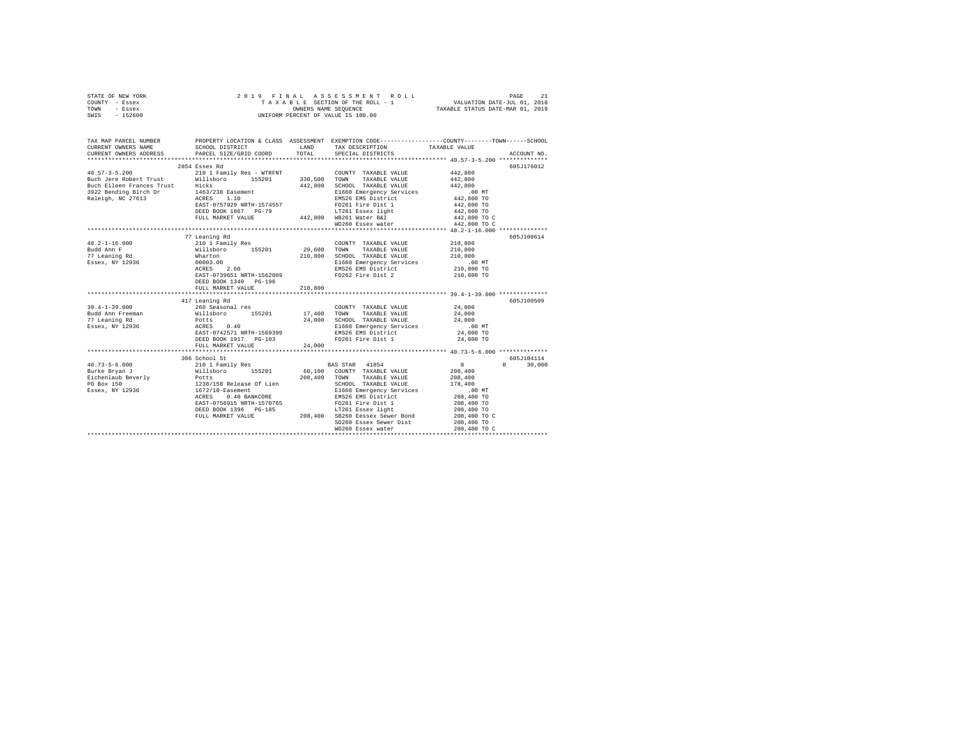| STATE OF NEW YORK | 2019 FINAL ASSESSMENT ROLL         | PAGE                             |
|-------------------|------------------------------------|----------------------------------|
| COUNTY - Essex    | TAXABLE SECTION OF THE ROLL - 1    | VALUATION DATE-JUL 01, 2018      |
| TOWN<br>- Essex   | OWNERS NAME SEOUENCE               | TAXABLE STATUS DATE-MAR 01, 2019 |
| - 152600<br>SWIS  | UNIFORM PERCENT OF VALUE IS 100.00 |                                  |

| TAX MAP PARCEL NUMBER<br>CURRENT OWNERS NAME | PROPERTY LOCATION & CLASS ASSESSMENT EXEMPTION CODE--------------COUNTY-------TOWN-----SCHOOL<br>SCHOOL DISTRICT LAND TAX DESCRIPTION TAXABLE VALUE                                                                                  |        |                                                                                                                                                              |                            |                             |
|----------------------------------------------|--------------------------------------------------------------------------------------------------------------------------------------------------------------------------------------------------------------------------------------|--------|--------------------------------------------------------------------------------------------------------------------------------------------------------------|----------------------------|-----------------------------|
|                                              | CURRENT OWNERS ADDRESS PARCEL SIZE/GRID COORD TOTAL                                                                                                                                                                                  |        | SPECIAL DISTRICTS                                                                                                                                            |                            | ACCOUNT NO.                 |
|                                              | 2854 Essex Rd                                                                                                                                                                                                                        |        |                                                                                                                                                              |                            | 605J176012                  |
|                                              |                                                                                                                                                                                                                                      |        | COUNTY TAXABLE VALUE                                                                                                                                         | 442,800<br>442,800         |                             |
|                                              |                                                                                                                                                                                                                                      |        | TAXABLE VALUE                                                                                                                                                |                            |                             |
|                                              |                                                                                                                                                                                                                                      |        | 442,800 SCHOOL TAXABLE VALUE 442,800                                                                                                                         |                            |                             |
|                                              |                                                                                                                                                                                                                                      |        |                                                                                                                                                              | .00 MT                     |                             |
|                                              |                                                                                                                                                                                                                                      |        | E1660 Emergency Services<br>EMS26 EMS District                                                                                                               | 442,800 TO                 |                             |
|                                              | Pacific Hotel Hotel Hicks<br>Buch Eileen Frances Trust<br>3922 Bending Birch Dr<br>Raleigh, NC 27613<br>AGRES 1.10<br>EAST-0757929 NRTH-1574557                                                                                      |        |                                                                                                                                                              | 442,800 TO                 |                             |
|                                              |                                                                                                                                                                                                                                      |        |                                                                                                                                                              | 442,800 TO                 |                             |
|                                              | FULL MARKET VALUE 442,800 WB261 Water B&I                                                                                                                                                                                            |        |                                                                                                                                                              | 442,800 TO C               |                             |
|                                              |                                                                                                                                                                                                                                      |        | WD260 Essex water                                                                                                                                            | 442,800 TO C               |                             |
|                                              |                                                                                                                                                                                                                                      |        |                                                                                                                                                              |                            |                             |
|                                              | 77 Leaning Rd                                                                                                                                                                                                                        |        |                                                                                                                                                              |                            | 605J100614                  |
| $48.2 - 1 - 16.000$                          | 210 1 Family Res                                                                                                                                                                                                                     |        | COUNTY TAXABLE VALUE 210,800                                                                                                                                 |                            |                             |
| Budd Ann F                                   | Willsboro 155201<br>Wharton                                                                                                                                                                                                          |        | $29,600 \quad \text{TOWN} \qquad \text{TAXABLE VALUE} \qquad \qquad 210,800 \\ 210,800 \quad \text{SCHOOL} \quad \text{TAXABLE VALUE} \qquad \qquad 210,800$ |                            |                             |
| 77 Leaning Rd                                |                                                                                                                                                                                                                                      |        |                                                                                                                                                              |                            |                             |
|                                              |                                                                                                                                                                                                                                      |        | E1660 Emergency Services<br>EMS26 EMS District                                                                                                               | 00 MT.<br>210,800 TO       |                             |
|                                              |                                                                                                                                                                                                                                      |        |                                                                                                                                                              |                            |                             |
|                                              | EAST-0739651 NRTH-1562069 FD262 Fire Dist 2 210,800 TO                                                                                                                                                                               |        |                                                                                                                                                              |                            |                             |
|                                              | DEED BOOK 1340 PG-196                                                                                                                                                                                                                |        |                                                                                                                                                              |                            |                             |
|                                              |                                                                                                                                                                                                                                      |        |                                                                                                                                                              |                            |                             |
|                                              |                                                                                                                                                                                                                                      |        |                                                                                                                                                              |                            |                             |
|                                              | 417 Leaning Rd                                                                                                                                                                                                                       |        |                                                                                                                                                              |                            | 605J100509                  |
|                                              |                                                                                                                                                                                                                                      |        | $\begin{tabular}{llllll} \textbf{COUNTY} & \textbf{TAXABLE} & \textbf{VALUE} & \textbf{24,000} \\ \end{tabular}$                                             |                            |                             |
|                                              |                                                                                                                                                                                                                                      |        |                                                                                                                                                              | 24,000                     |                             |
|                                              |                                                                                                                                                                                                                                      |        | 24,000 SCHOOL TAXABLE VALUE<br>24,000 SCHOOL TAXABLE VALUE<br>EI660 Emergency Services<br>EMS26 EMS District 24,000                                          |                            |                             |
|                                              |                                                                                                                                                                                                                                      |        |                                                                                                                                                              | 00 MT.<br>24,000 TO        |                             |
|                                              |                                                                                                                                                                                                                                      |        |                                                                                                                                                              |                            |                             |
|                                              | DEED BOOK 1917 PG-103                                                                                                                                                                                                                |        | FD261 Fire Dist 1                                                                                                                                            | 24,000 TO                  |                             |
|                                              | FULL MARKET VALUE                                                                                                                                                                                                                    | 24,000 |                                                                                                                                                              |                            |                             |
|                                              |                                                                                                                                                                                                                                      |        |                                                                                                                                                              |                            |                             |
|                                              | 306 School St<br>2010 - 306 School St<br>2010 - 210 1 Family Res<br>202,400 - 155201 - 208,400 - 155201 - 208,400 - 208,400 - 208,400 - 208,400 - 208,400 - 208,400 - 208,400 - 208,400 - 208,400 - 208,400 - 208,400 - 208,400 - 20 |        |                                                                                                                                                              |                            | 605J104114<br>$0 \t 30,000$ |
|                                              |                                                                                                                                                                                                                                      |        |                                                                                                                                                              |                            |                             |
|                                              |                                                                                                                                                                                                                                      |        |                                                                                                                                                              |                            |                             |
|                                              |                                                                                                                                                                                                                                      |        |                                                                                                                                                              |                            |                             |
|                                              |                                                                                                                                                                                                                                      |        |                                                                                                                                                              | .00 MT                     |                             |
|                                              |                                                                                                                                                                                                                                      |        |                                                                                                                                                              | $208,400$ TO               |                             |
|                                              |                                                                                                                                                                                                                                      |        |                                                                                                                                                              | 208,400 TO                 |                             |
|                                              |                                                                                                                                                                                                                                      |        |                                                                                                                                                              | 208,400 TO                 |                             |
|                                              |                                                                                                                                                                                                                                      |        |                                                                                                                                                              | 208,400 TO C               |                             |
|                                              |                                                                                                                                                                                                                                      |        | SD260 Essex Sewer Dist                                                                                                                                       |                            |                             |
|                                              |                                                                                                                                                                                                                                      |        | WD260 Essex water                                                                                                                                            | 208,400 TO<br>208,400 TO C |                             |
|                                              |                                                                                                                                                                                                                                      |        |                                                                                                                                                              |                            |                             |
|                                              |                                                                                                                                                                                                                                      |        |                                                                                                                                                              |                            |                             |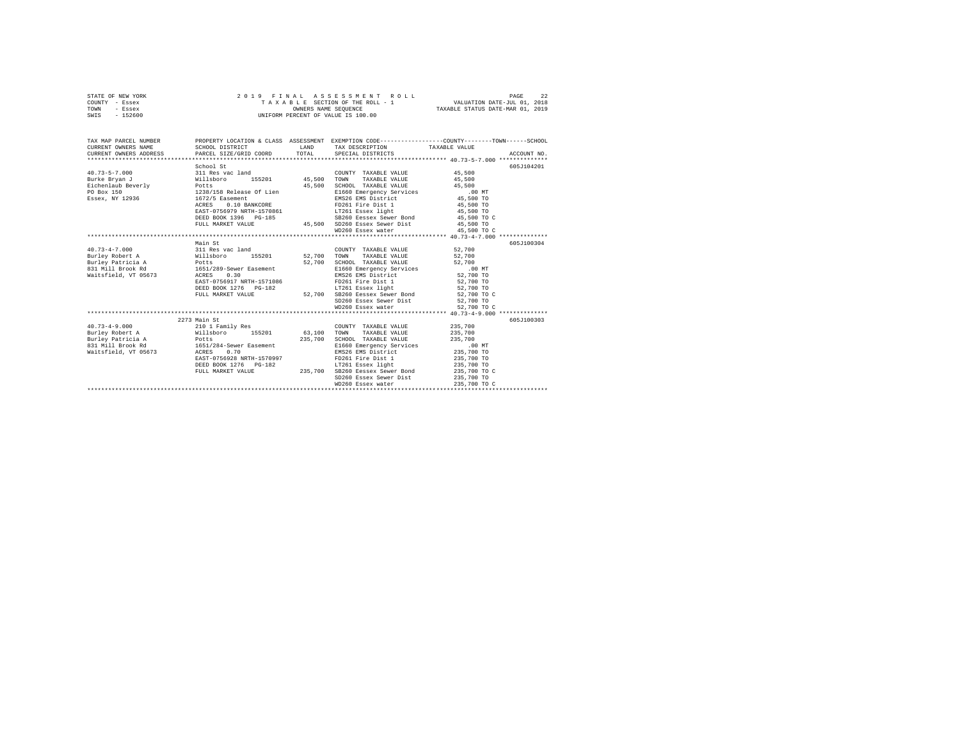|      | STATE OF NEW YORK |                      | 2019 FINAL ASSESSMENT ROLL         |  | PAGE                        | 22 |
|------|-------------------|----------------------|------------------------------------|--|-----------------------------|----|
|      | COUNTY - Essex    |                      | TAXABLE SECTION OF THE ROLL - 1    |  | VALUATION DATE-JUL 01, 2018 |    |
| TOWN | - Essex           | OWNERS NAME SEOUENCE | TAXABLE STATUS DATE-MAR 01, 2019   |  |                             |    |
| SWIS | $-152600$         |                      | UNIFORM PERCENT OF VALUE IS 100.00 |  |                             |    |

| TAX MAP PARCEL NUMBER<br>CURRENT OWNERS NAME                                                                                                                                           | SCHOOL DISTRICT           |         | PROPERTY LOCATION & CLASS ASSESSMENT EXEMPTION CODE----------------COUNTY-------TOWN-----SCHOOL<br>LAND TAX DESCRIPTION TAXABLE VALUE                                                                                                |        |             |
|----------------------------------------------------------------------------------------------------------------------------------------------------------------------------------------|---------------------------|---------|--------------------------------------------------------------------------------------------------------------------------------------------------------------------------------------------------------------------------------------|--------|-------------|
| CURRENT OWNERS ADDRESS PARCEL SIZE/GRID COORD TOTAL SPECIAL DISTRICTS                                                                                                                  |                           |         |                                                                                                                                                                                                                                      |        | ACCOUNT NO. |
|                                                                                                                                                                                        |                           |         |                                                                                                                                                                                                                                      |        |             |
|                                                                                                                                                                                        | School St                 |         |                                                                                                                                                                                                                                      |        | 605J104201  |
|                                                                                                                                                                                        |                           |         | COUNTY TAXABLE VALUE 45,500                                                                                                                                                                                                          |        |             |
|                                                                                                                                                                                        |                           |         |                                                                                                                                                                                                                                      | 45,500 |             |
|                                                                                                                                                                                        |                           |         | SCHOOL TAXABLE VALUE 45,500                                                                                                                                                                                                          |        |             |
|                                                                                                                                                                                        |                           |         | E1660 Emergency Services .00 MT<br>EMS26 EMS District 45,500 TO                                                                                                                                                                      |        |             |
| Essex, NY 12936 1672/5 Easement                                                                                                                                                        |                           |         |                                                                                                                                                                                                                                      |        |             |
|                                                                                                                                                                                        |                           |         |                                                                                                                                                                                                                                      |        |             |
|                                                                                                                                                                                        |                           |         |                                                                                                                                                                                                                                      |        |             |
|                                                                                                                                                                                        |                           |         |                                                                                                                                                                                                                                      |        |             |
|                                                                                                                                                                                        |                           |         |                                                                                                                                                                                                                                      |        |             |
|                                                                                                                                                                                        |                           |         | ACRES CO.10 BANKCORE PDZGI Fire Dist 1 45,500 TO<br>EAST-O756979 NRTH-1570861 17261 Eastex light 445,500 TO<br>DEED BOOK 1396 PG-185 502500 Eastex Sewer Dist 45,500 TO C<br>FULL MARKET VALUE 45,500 TO 20200 Eastex Sewer Dist 45, |        |             |
|                                                                                                                                                                                        |                           |         |                                                                                                                                                                                                                                      |        |             |
|                                                                                                                                                                                        | Main St                   |         |                                                                                                                                                                                                                                      |        | 605J100304  |
| 40.73-4-7.000 311 Res vac land                                                                                                                                                         |                           |         | COUNTY TAXABLE VALUE 52,700                                                                                                                                                                                                          |        |             |
| Burley Robert A Millsboro 155201 52,700 TOWN<br>Burley Patricia A Potts 155201 52,700 SCHOO<br>A31 Millsrook Rd 1651/289-Sewer Easement E1660<br>Naitsfield, VT 05673 ACRES 0.30 BMS26 |                           |         | TAXABLE VALUE 52,700                                                                                                                                                                                                                 |        |             |
|                                                                                                                                                                                        |                           |         | 52,700 SCHOOL TAXABLE VALUE 52,700 E1660 Emergency Services 52,700<br>E1660 Emergency Services 50,000 MT<br>EMS26 EMS District 52,700 TO                                                                                             |        |             |
|                                                                                                                                                                                        |                           |         |                                                                                                                                                                                                                                      |        |             |
|                                                                                                                                                                                        |                           |         |                                                                                                                                                                                                                                      |        |             |
|                                                                                                                                                                                        | EAST-0756917 NRTH-1571086 |         | FD261 Fire Dist 1 52,700 TO                                                                                                                                                                                                          |        |             |
|                                                                                                                                                                                        |                           |         | DEED BOOK 1276 PG-182 LT261 Essex light 52,700 TO                                                                                                                                                                                    |        |             |
|                                                                                                                                                                                        | FULL MARKET VALUE         |         | 52,700 SB260 Eessex Sewer Bond 52,700 TO C                                                                                                                                                                                           |        |             |
|                                                                                                                                                                                        |                           |         | SD260 Essex Sewer Dist 52,700 TO                                                                                                                                                                                                     |        |             |
|                                                                                                                                                                                        |                           |         |                                                                                                                                                                                                                                      |        |             |
|                                                                                                                                                                                        |                           |         |                                                                                                                                                                                                                                      |        |             |
|                                                                                                                                                                                        | 2273 Main St              |         |                                                                                                                                                                                                                                      |        | 605J100303  |
| 40.73-4-9.000 210 1 Family Res                                                                                                                                                         |                           |         | COUNTY TAXABLE VALUE 235,700                                                                                                                                                                                                         |        |             |
|                                                                                                                                                                                        |                           |         | Burley Robert A 3,100 TOWN TAXABLE VALUE 235,700                                                                                                                                                                                     |        |             |
| Burley Patricia A Potts                                                                                                                                                                |                           | 235,700 | SCHOOL TAXABLE VALUE 235,700                                                                                                                                                                                                         |        |             |
| 831 Mill Brook Rd 1651/284-Sewer Easement                                                                                                                                              |                           |         | E1660 Emergency Services .00 MT<br>EMS26 EMS District 235,700 TO                                                                                                                                                                     |        |             |
| Waitsfield, VT 05673 ACRES 0.70                                                                                                                                                        |                           |         |                                                                                                                                                                                                                                      |        |             |
|                                                                                                                                                                                        |                           |         |                                                                                                                                                                                                                                      |        |             |
|                                                                                                                                                                                        |                           |         |                                                                                                                                                                                                                                      |        |             |
|                                                                                                                                                                                        |                           |         |                                                                                                                                                                                                                                      |        |             |
|                                                                                                                                                                                        |                           |         | SD260 Essex Sewer Dist 235,700 TO                                                                                                                                                                                                    |        |             |
|                                                                                                                                                                                        |                           |         |                                                                                                                                                                                                                                      |        |             |
|                                                                                                                                                                                        |                           |         |                                                                                                                                                                                                                                      |        |             |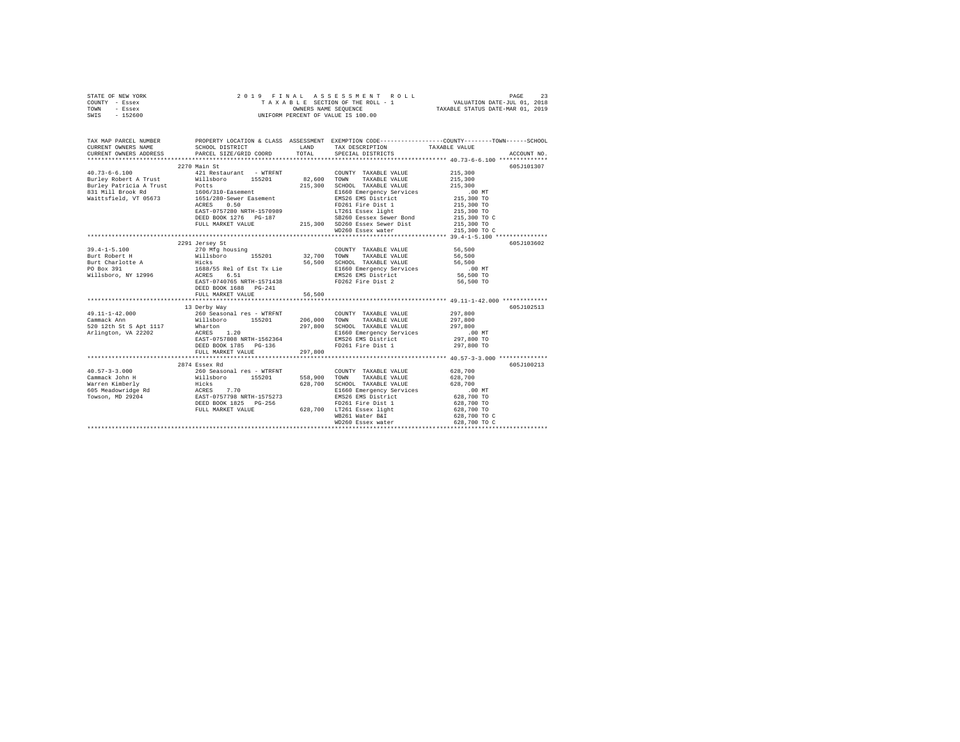| STATE OF NEW YORK | 2019 FINAL ASSESSMENT ROLL         | 23<br>PAGE                       |
|-------------------|------------------------------------|----------------------------------|
| COUNTY - Essex    | TAXABLE SECTION OF THE ROLL - 1    | VALUATION DATE-JUL 01, 2018      |
| TOWN<br>- Essex   | OWNERS NAME SEOUENCE               | TAXABLE STATUS DATE-MAR 01, 2019 |
| $-152600$<br>SWIS | UNIFORM PERCENT OF VALUE IS 100.00 |                                  |

| TAX MAP PARCEL NUMBER<br>CURRENT OWNERS NAME<br>CURRENT OWNERS ADDRESS | SCHOOL DISTRICT<br>LAND TAX DESCRIPTION<br>PARCEL SIZE/GRID COORD TOTAL SPECIAL DISTRICTS                                                                                                               |        |                                                | PROPERTY LOCATION & CLASS ASSESSMENT EXEMPTION CODE----------------COUNTY-------TOWN------SCHOOL<br>TAXABLE VALUE<br>ACCOUNT NO. |
|------------------------------------------------------------------------|---------------------------------------------------------------------------------------------------------------------------------------------------------------------------------------------------------|--------|------------------------------------------------|----------------------------------------------------------------------------------------------------------------------------------|
|                                                                        |                                                                                                                                                                                                         |        |                                                |                                                                                                                                  |
|                                                                        | 2270 Main St                                                                                                                                                                                            |        |                                                | 605J101307                                                                                                                       |
|                                                                        |                                                                                                                                                                                                         |        | COUNTY TAXABLE VALUE 215,300                   |                                                                                                                                  |
|                                                                        |                                                                                                                                                                                                         |        |                                                | 215,300                                                                                                                          |
|                                                                        |                                                                                                                                                                                                         |        | SCHOOL TAXABLE VALUE                           | 215,300                                                                                                                          |
|                                                                        |                                                                                                                                                                                                         |        | E1660 Emergency Services<br>EMS26 EMS District | .00 MT.<br>215,300 TO                                                                                                            |
|                                                                        |                                                                                                                                                                                                         |        |                                                |                                                                                                                                  |
|                                                                        |                                                                                                                                                                                                         |        |                                                |                                                                                                                                  |
|                                                                        |                                                                                                                                                                                                         |        |                                                |                                                                                                                                  |
|                                                                        |                                                                                                                                                                                                         |        |                                                |                                                                                                                                  |
|                                                                        |                                                                                                                                                                                                         |        |                                                |                                                                                                                                  |
|                                                                        |                                                                                                                                                                                                         |        | WD260 Essex water                              | 215,300 TO C                                                                                                                     |
|                                                                        |                                                                                                                                                                                                         |        |                                                |                                                                                                                                  |
|                                                                        | 2291 Jersey St                                                                                                                                                                                          |        |                                                | 605J103602                                                                                                                       |
| $39.4 - 1 - 5.100$                                                     | 270 Mfg housing                                                                                                                                                                                         |        | COUNTY TAXABLE VALUE 56,500                    |                                                                                                                                  |
|                                                                        |                                                                                                                                                                                                         |        |                                                |                                                                                                                                  |
|                                                                        |                                                                                                                                                                                                         |        |                                                |                                                                                                                                  |
|                                                                        |                                                                                                                                                                                                         |        |                                                |                                                                                                                                  |
|                                                                        |                                                                                                                                                                                                         |        |                                                |                                                                                                                                  |
|                                                                        |                                                                                                                                                                                                         |        |                                                |                                                                                                                                  |
|                                                                        | DEED BOOK 1688 PG-241                                                                                                                                                                                   |        |                                                |                                                                                                                                  |
|                                                                        | FULL MARKET VALUE                                                                                                                                                                                       | 56,500 |                                                |                                                                                                                                  |
|                                                                        |                                                                                                                                                                                                         |        |                                                | 605J102513                                                                                                                       |
| 49.11-1-42.000                                                         | 13 Derby Way<br>260 Seasonal res - WTRFNT                                                                                                                                                               |        | COUNTY TAXABLE VALUE                           | 297,800                                                                                                                          |
| Cammack Ann                                                            | Willsboro 155201 206,000 TOWN TAXABLE VALUE 297,800                                                                                                                                                     |        |                                                |                                                                                                                                  |
|                                                                        |                                                                                                                                                                                                         |        |                                                |                                                                                                                                  |
|                                                                        | 52012th St S Apt 1117 Mharton 297,800 SCHOOL TAXABLE VALUE 297,800<br>Arlington, VA 22202 ACRES 1.20 200 E1660 Energency Services 297,800 TO<br>EAST-0757808 NRTH-1562364 EMS26 EMS District 297,800 TO |        |                                                |                                                                                                                                  |
|                                                                        |                                                                                                                                                                                                         |        |                                                |                                                                                                                                  |
|                                                                        |                                                                                                                                                                                                         |        | FD261 Fire Dist 1                              | 297,800 TO                                                                                                                       |
|                                                                        | EAST-0757808 NRIG-136<br>DEED BOOK 1785 PG-136 297,800<br>**** MARKET VALUE 297,800                                                                                                                     |        |                                                |                                                                                                                                  |
|                                                                        |                                                                                                                                                                                                         |        |                                                |                                                                                                                                  |
|                                                                        | 2874 Essex Rd                                                                                                                                                                                           |        |                                                | 605J100213                                                                                                                       |
|                                                                        |                                                                                                                                                                                                         |        | COUNTY TAXABLE VALUE 628,700                   |                                                                                                                                  |
|                                                                        |                                                                                                                                                                                                         |        |                                                | 628,700                                                                                                                          |
|                                                                        |                                                                                                                                                                                                         |        |                                                | 628,700                                                                                                                          |
|                                                                        |                                                                                                                                                                                                         |        | E1660 Emergency Services                       |                                                                                                                                  |
|                                                                        |                                                                                                                                                                                                         |        |                                                | 00 MT.<br>628,700 TO                                                                                                             |
|                                                                        |                                                                                                                                                                                                         |        |                                                | 628,700 TO                                                                                                                       |
|                                                                        |                                                                                                                                                                                                         |        |                                                | 628,700 TO                                                                                                                       |
|                                                                        |                                                                                                                                                                                                         |        | WB261 Water B&I                                | 628,700 TO C                                                                                                                     |
|                                                                        |                                                                                                                                                                                                         |        | WD260 Essex water                              | 628,700 TO C                                                                                                                     |
|                                                                        |                                                                                                                                                                                                         |        |                                                |                                                                                                                                  |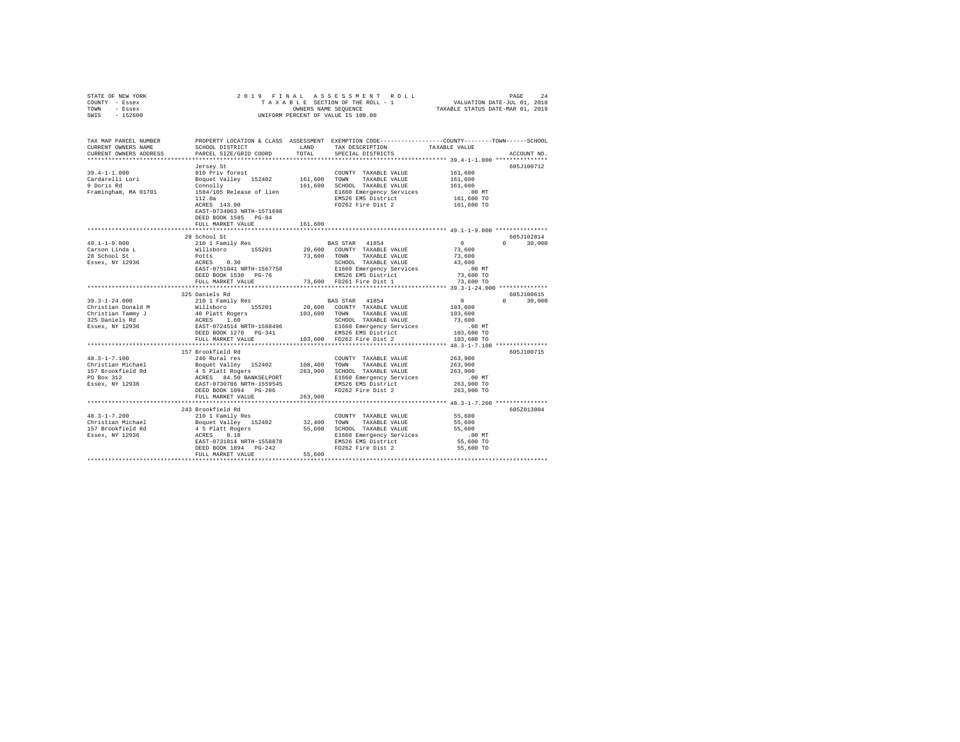| STATE OF NEW YORK<br>COUNTY - Essex<br>TOWN - Essex<br>$-152600$<br>SWIS                                                                                                                                                                                                                                                                                                                                                                                                         | 2019 FINAL                                                                                                                                                                                                                  |         | OWNERS NAME SEQUENCE<br>UNIFORM PERCENT OF VALUE IS 100.00                                        |                        |               |
|----------------------------------------------------------------------------------------------------------------------------------------------------------------------------------------------------------------------------------------------------------------------------------------------------------------------------------------------------------------------------------------------------------------------------------------------------------------------------------|-----------------------------------------------------------------------------------------------------------------------------------------------------------------------------------------------------------------------------|---------|---------------------------------------------------------------------------------------------------|------------------------|---------------|
| TAX MAP PARCEL NUMBER PROPERTY LOCATION & CLASS ASSESSMENT EXEMPTION CODE---------------COUNTY-------TOWN------SCHOOL                                                                                                                                                                                                                                                                                                                                                            |                                                                                                                                                                                                                             |         |                                                                                                   |                        |               |
| CURRENT OWNERS NAME                                                                                                                                                                                                                                                                                                                                                                                                                                                              | SCHOOL DISTRICT LAND                                                                                                                                                                                                        |         | TAX DESCRIPTION                                                                                   | TAXABLE VALUE          |               |
| CURRENT OWNERS ADDRESS                                                                                                                                                                                                                                                                                                                                                                                                                                                           | PARCEL SIZE/GRID COORD                                                                                                                                                                                                      | TOTAL   | SPECIAL DISTRICTS                                                                                 |                        | ACCOUNT NO.   |
|                                                                                                                                                                                                                                                                                                                                                                                                                                                                                  | Jersey St<br>910 Priv forest<br>Boquet Valley 152402 161,600 TOWN TAXABLE VALUE<br>Connolly 161,600 SCHOOL TAXABLE VALUE<br>1584/105 Release of lien<br>112.0a BMS26 EMS District<br>PD262 Fire Dist 2<br>PD262 Fire Dist 2 |         |                                                                                                   |                        | 605J100712    |
| $39.4 - 1 - 1.000$                                                                                                                                                                                                                                                                                                                                                                                                                                                               |                                                                                                                                                                                                                             |         |                                                                                                   | 161,600                |               |
|                                                                                                                                                                                                                                                                                                                                                                                                                                                                                  |                                                                                                                                                                                                                             |         |                                                                                                   | 161,600                |               |
| Cardarelli Lori<br>9 Doris Rd                                                                                                                                                                                                                                                                                                                                                                                                                                                    |                                                                                                                                                                                                                             |         |                                                                                                   | 161,600                |               |
| Framingham, MA 01701                                                                                                                                                                                                                                                                                                                                                                                                                                                             |                                                                                                                                                                                                                             |         |                                                                                                   | $.00$ MT               |               |
|                                                                                                                                                                                                                                                                                                                                                                                                                                                                                  |                                                                                                                                                                                                                             |         |                                                                                                   | 161,600 TO             |               |
|                                                                                                                                                                                                                                                                                                                                                                                                                                                                                  |                                                                                                                                                                                                                             |         |                                                                                                   | 161,600 TO             |               |
|                                                                                                                                                                                                                                                                                                                                                                                                                                                                                  |                                                                                                                                                                                                                             |         |                                                                                                   |                        |               |
|                                                                                                                                                                                                                                                                                                                                                                                                                                                                                  | DEED BOOK 1585 PG-94                                                                                                                                                                                                        |         |                                                                                                   |                        |               |
|                                                                                                                                                                                                                                                                                                                                                                                                                                                                                  | FULL MARKET VALUE                                                                                                                                                                                                           | 161,600 |                                                                                                   |                        |               |
|                                                                                                                                                                                                                                                                                                                                                                                                                                                                                  | 28 School St                                                                                                                                                                                                                |         |                                                                                                   |                        | 605J102814    |
| $49.1 - 1 - 9.000$                                                                                                                                                                                                                                                                                                                                                                                                                                                               |                                                                                                                                                                                                                             |         |                                                                                                   | $\sim$ 0               | $0 \t 30.000$ |
| Carson Linda L                                                                                                                                                                                                                                                                                                                                                                                                                                                                   |                                                                                                                                                                                                                             |         | BAS STAR 41854<br>20,600 COUNTY TAXABLE VALUE                                                     | 73,600                 |               |
| 28 School St                                                                                                                                                                                                                                                                                                                                                                                                                                                                     |                                                                                                                                                                                                                             |         | 73,600 TOWN TAXABLE VALUE                                                                         | 73,600                 |               |
| Essex, NY 12936                                                                                                                                                                                                                                                                                                                                                                                                                                                                  |                                                                                                                                                                                                                             |         |                                                                                                   | 43,600                 |               |
|                                                                                                                                                                                                                                                                                                                                                                                                                                                                                  | EAST-0751041 NRTH-1567758                                                                                                                                                                                                   |         | SCHOOL TAXABLE VALUE<br>EI660 Emergency Services<br>EMS26 EMS istrict<br>73,600 FD261 Fire Dist 1 | $.00$ MT               |               |
|                                                                                                                                                                                                                                                                                                                                                                                                                                                                                  | DEED BOOK 1530 PG-76                                                                                                                                                                                                        |         |                                                                                                   | 73,600 TO              |               |
|                                                                                                                                                                                                                                                                                                                                                                                                                                                                                  | FULL MARKET VALUE                                                                                                                                                                                                           |         |                                                                                                   | 73,600 TO              |               |
|                                                                                                                                                                                                                                                                                                                                                                                                                                                                                  | ***************************                                                                                                                                                                                                 |         |                                                                                                   |                        |               |
|                                                                                                                                                                                                                                                                                                                                                                                                                                                                                  | 325 Daniels Rd                                                                                                                                                                                                              |         |                                                                                                   |                        | 605J100615    |
| $39.3 - 1 - 24.000$                                                                                                                                                                                                                                                                                                                                                                                                                                                              | 210 1 Family Res                                                                                                                                                                                                            |         | BAS STAR 41854                                                                                    | $\overline{0}$         | $0 \t 30,000$ |
|                                                                                                                                                                                                                                                                                                                                                                                                                                                                                  |                                                                                                                                                                                                                             |         |                                                                                                   | $103,600$<br>$103,600$ |               |
| 37.5-1-24.000 MM 22000 MM 22000 MM 22000 MM 22000 MM 22000 MM 22000 MM 22000 MM 22000 MM 22000 MM 22000 MM 220<br>Christian Tammy J 40 Platt Rogers 10.600 MM 22000 MM 22000 MM 22000 MM 22000 MM 22000 MM 22000 MM 22000 MM 22<br>                                                                                                                                                                                                                                              |                                                                                                                                                                                                                             |         |                                                                                                   | 73,600                 |               |
|                                                                                                                                                                                                                                                                                                                                                                                                                                                                                  |                                                                                                                                                                                                                             |         |                                                                                                   | $.00$ MT               |               |
|                                                                                                                                                                                                                                                                                                                                                                                                                                                                                  |                                                                                                                                                                                                                             |         |                                                                                                   | 103,600 TO             |               |
|                                                                                                                                                                                                                                                                                                                                                                                                                                                                                  | FULL MARKET VALUE                                                                                                                                                                                                           |         | 103,600 FD262 Fire Dist 2                                                                         | 103,600 TO             |               |
|                                                                                                                                                                                                                                                                                                                                                                                                                                                                                  |                                                                                                                                                                                                                             |         |                                                                                                   |                        |               |
|                                                                                                                                                                                                                                                                                                                                                                                                                                                                                  | 157 Brookfield Rd                                                                                                                                                                                                           |         |                                                                                                   |                        | 605J100715    |
| $48.3 - 1 - 7.100$                                                                                                                                                                                                                                                                                                                                                                                                                                                               | 240 Rural res                                                                                                                                                                                                               |         | COUNTY TAXABLE VALUE                                                                              | 263,900                |               |
| $160,400\quad\text{Tom} \quad\text{TXABLE} \quad\text{MLIE} \quad\text{RSE} \quad\text{MLIE} \quad\text{MLIE} \quad\text{MLIE} \quad\text{MLIE} \quad\text{MLIE} \quad\text{MLIE} \quad\text{MLIE} \quad\text{MLIE} \quad\text{MLIE} \quad\text{MLIE} \quad\text{MLIE} \quad\text{MLIE} \quad\text{MLIE} \quad\text{MLIE} \quad\text{MLIE} \quad\text{MLIE} \quad\text{MLIE} \quad\text{MLIE} \quad\text{MLIE} \quad\text{MLIE} \quad\text{MLIE} \quad\text{MLIE} \quad\text{ML$ |                                                                                                                                                                                                                             |         | COUNTY TAXABLE VALUE<br>108,400 TOWN TAXABLE VALUE                                                | 263,900                |               |
|                                                                                                                                                                                                                                                                                                                                                                                                                                                                                  |                                                                                                                                                                                                                             |         |                                                                                                   | 263,900                |               |
|                                                                                                                                                                                                                                                                                                                                                                                                                                                                                  |                                                                                                                                                                                                                             |         |                                                                                                   | .00 MT                 |               |
|                                                                                                                                                                                                                                                                                                                                                                                                                                                                                  |                                                                                                                                                                                                                             |         |                                                                                                   | 263,900 TO             |               |
|                                                                                                                                                                                                                                                                                                                                                                                                                                                                                  | FULL MARKET VALUE                                                                                                                                                                                                           | 263,900 |                                                                                                   | 263,900 TO             |               |
|                                                                                                                                                                                                                                                                                                                                                                                                                                                                                  |                                                                                                                                                                                                                             |         |                                                                                                   |                        |               |
|                                                                                                                                                                                                                                                                                                                                                                                                                                                                                  | 243 Brookfield Rd                                                                                                                                                                                                           |         |                                                                                                   |                        | 605Z013004    |
| $48.3 - 1 - 7.200$                                                                                                                                                                                                                                                                                                                                                                                                                                                               |                                                                                                                                                                                                                             |         |                                                                                                   | 55,600                 |               |
|                                                                                                                                                                                                                                                                                                                                                                                                                                                                                  |                                                                                                                                                                                                                             |         |                                                                                                   | 55,600                 |               |
|                                                                                                                                                                                                                                                                                                                                                                                                                                                                                  |                                                                                                                                                                                                                             |         |                                                                                                   | 55,600                 |               |
|                                                                                                                                                                                                                                                                                                                                                                                                                                                                                  |                                                                                                                                                                                                                             |         |                                                                                                   | $.00$ MT               |               |
|                                                                                                                                                                                                                                                                                                                                                                                                                                                                                  |                                                                                                                                                                                                                             |         |                                                                                                   | 55,600 TO              |               |
|                                                                                                                                                                                                                                                                                                                                                                                                                                                                                  |                                                                                                                                                                                                                             |         |                                                                                                   | 55,600 TO              |               |
|                                                                                                                                                                                                                                                                                                                                                                                                                                                                                  | FULL MARKET VALUE                                                                                                                                                                                                           | 55,600  |                                                                                                   |                        |               |
|                                                                                                                                                                                                                                                                                                                                                                                                                                                                                  |                                                                                                                                                                                                                             |         |                                                                                                   |                        |               |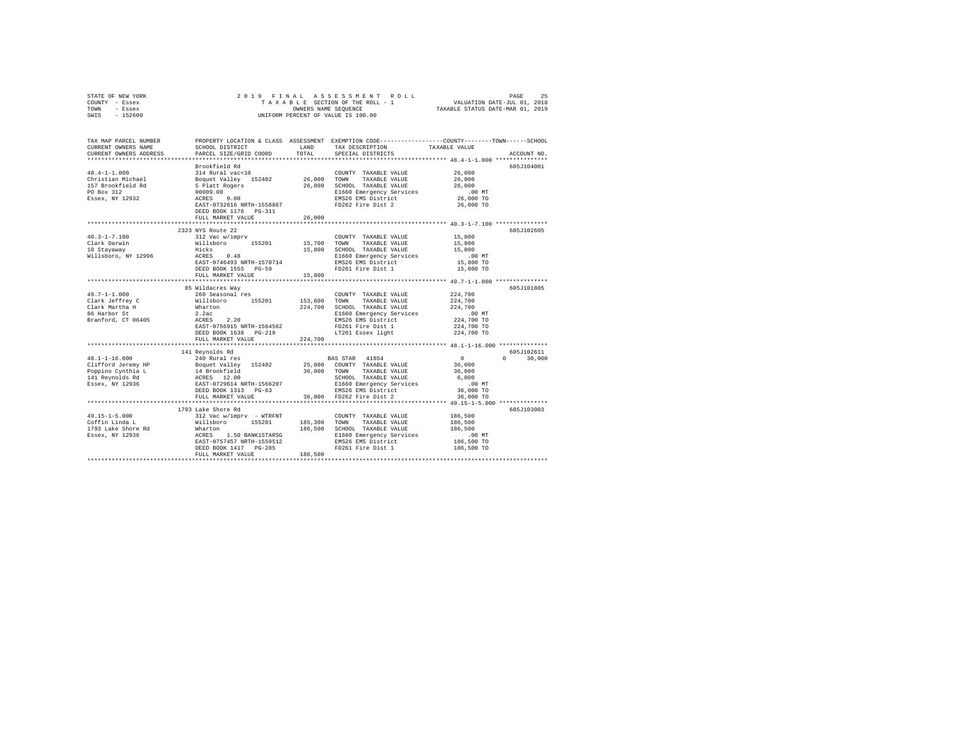| STATE OF NEW YORK<br>COUNTY - Essex                                                                                                                                                                                    | 2019 FINAL                                                   |              |                                                                                                                                                                                                                                        |                        |               |
|------------------------------------------------------------------------------------------------------------------------------------------------------------------------------------------------------------------------|--------------------------------------------------------------|--------------|----------------------------------------------------------------------------------------------------------------------------------------------------------------------------------------------------------------------------------------|------------------------|---------------|
| TOWN<br>- Essex                                                                                                                                                                                                        | OWNERS NAME SEQUENCE<br>UNIFORM PERCENT OF VALUE IS 100.00   |              |                                                                                                                                                                                                                                        |                        |               |
| SWIS<br>$-152600$                                                                                                                                                                                                      |                                                              |              |                                                                                                                                                                                                                                        |                        |               |
|                                                                                                                                                                                                                        |                                                              |              |                                                                                                                                                                                                                                        |                        |               |
| TAX MAP PARCEL NUMBER                                                                                                                                                                                                  | SCHOOL DISTRICT LAND                                         |              | PROPERTY LOCATION & CLASS ASSESSMENT EXEMPTION CODE---------------COUNTY-------TOWN------SCHOOL<br>TAX DESCRIPTION                                                                                                                     |                        |               |
| CURRENT OWNERS NAME<br>CURRENT OWNERS ADDRESS                                                                                                                                                                          | PARCEL SIZE/GRID COORD                                       | TOTAL        | SPECIAL DISTRICTS                                                                                                                                                                                                                      | TAXABLE VALUE          | ACCOUNT NO.   |
|                                                                                                                                                                                                                        |                                                              |              |                                                                                                                                                                                                                                        |                        |               |
|                                                                                                                                                                                                                        | Brookfield Rd                                                |              |                                                                                                                                                                                                                                        |                        | 605J104001    |
| $48.4 - 1 - 1.000$                                                                                                                                                                                                     |                                                              |              |                                                                                                                                                                                                                                        | 26,000                 |               |
| Christian Michael                                                                                                                                                                                                      |                                                              |              |                                                                                                                                                                                                                                        | 26,000                 |               |
| 157 Brookfield Rd                                                                                                                                                                                                      |                                                              |              |                                                                                                                                                                                                                                        | 26,000                 |               |
| PO Box 312                                                                                                                                                                                                             |                                                              |              | E1660 Emergency Services                                                                                                                                                                                                               | .00MT                  |               |
| Essex, NY 12932                                                                                                                                                                                                        |                                                              |              |                                                                                                                                                                                                                                        | 26,000 TO              |               |
|                                                                                                                                                                                                                        |                                                              |              |                                                                                                                                                                                                                                        | 26,000 TO              |               |
|                                                                                                                                                                                                                        | DEED BOOK 1176 PG-311                                        |              |                                                                                                                                                                                                                                        |                        |               |
|                                                                                                                                                                                                                        | FULL MARKET VALUE                                            | 26,000       |                                                                                                                                                                                                                                        |                        |               |
|                                                                                                                                                                                                                        |                                                              |              |                                                                                                                                                                                                                                        |                        |               |
|                                                                                                                                                                                                                        | 2323 NYS Route 22                                            |              |                                                                                                                                                                                                                                        |                        | 605J102605    |
| $40.3 - 1 - 7.100$                                                                                                                                                                                                     | 312 Vac w/imprv                                              |              | COUNTY TAXABLE VALUE                                                                                                                                                                                                                   | 15,800                 |               |
| Clark Darwin<br>10 Stayaway                                                                                                                                                                                            |                                                              |              | TOWN<br>TAXABLE VALUE                                                                                                                                                                                                                  | 15,800                 |               |
| Willsboro, NY 12996                                                                                                                                                                                                    | Willsboro 155201 15,700<br>Hicks 15,800<br>ACRES 0.48 15,800 |              | 15,800 SCHOOL TAXABLE VALUE                                                                                                                                                                                                            | 15,800<br>$.00$ MT     |               |
|                                                                                                                                                                                                                        |                                                              |              |                                                                                                                                                                                                                                        | 15,800 TO              |               |
|                                                                                                                                                                                                                        |                                                              |              |                                                                                                                                                                                                                                        | 15,800 TO              |               |
|                                                                                                                                                                                                                        | FULL MARKET VALUE                                            | 15,800       |                                                                                                                                                                                                                                        |                        |               |
|                                                                                                                                                                                                                        |                                                              |              |                                                                                                                                                                                                                                        |                        |               |
|                                                                                                                                                                                                                        | 85 Wildacres Way                                             |              |                                                                                                                                                                                                                                        |                        | 605J101805    |
| 49.7-1-1.000                                                                                                                                                                                                           | 260 Seasonal res                                             |              | COUNTY TAXABLE VALUE                                                                                                                                                                                                                   | 224,700                |               |
|                                                                                                                                                                                                                        |                                                              | 153,600 TOWN | TAXABLE VALUE                                                                                                                                                                                                                          | 224,700                |               |
|                                                                                                                                                                                                                        |                                                              |              | 224,700 SCHOOL TAXABLE VALUE<br>E1660 Emergency Services                                                                                                                                                                               | 224,700                |               |
| Clark Jeffrey c<br>Clark Jeffrey c<br>Schark Martha H Millsboro - 155201<br>Schark Martha H Martha 2.24c<br>Branford, CT 06405<br>AGRES 2.20<br>RAST-0756915 NRTH-1564562                                              |                                                              |              |                                                                                                                                                                                                                                        | .00 MT                 |               |
|                                                                                                                                                                                                                        |                                                              |              | EMS26 EMS District                                                                                                                                                                                                                     | 224,700 TO             |               |
|                                                                                                                                                                                                                        |                                                              |              | FD261 Fire Dist 1<br>LT261 Essex light                                                                                                                                                                                                 | 224,700 TO             |               |
|                                                                                                                                                                                                                        | DEED BOOK 1638 PG-219                                        |              |                                                                                                                                                                                                                                        | 224,700 TO             |               |
|                                                                                                                                                                                                                        | FULL MARKET VALUE                                            | 224,700      |                                                                                                                                                                                                                                        |                        |               |
|                                                                                                                                                                                                                        | 141 Reynolds Rd                                              |              |                                                                                                                                                                                                                                        |                        | 605J102611    |
| $48.1 - 1 - 16.000$                                                                                                                                                                                                    | 240 Rural res                                                |              | BAS STAR 41854                                                                                                                                                                                                                         | $\sim$ 0               | $0 \t 30,000$ |
|                                                                                                                                                                                                                        |                                                              |              | 25,000 COUNTY TAXABLE VALUE                                                                                                                                                                                                            | 36,000                 |               |
|                                                                                                                                                                                                                        |                                                              |              | 36,000 TOWN TAXABLE VALUE                                                                                                                                                                                                              | 36,000                 |               |
|                                                                                                                                                                                                                        |                                                              |              | SCHOOL TAXABLE VALUE                                                                                                                                                                                                                   | 6,000                  |               |
| Clifford Jeremy HP Boquet Valley 152402<br>14 Repopino Cynthia L 14 Brookfield<br>14 Reynolds Rd 2 14 RESS 12.00<br>141 Reynolds Rd 2<br>1588 PAST-0729614 NRTH-1566207<br>1713 PG-63<br>1713 PG-63<br>Essex, NY 12936 |                                                              |              |                                                                                                                                                                                                                                        | .00MT                  |               |
|                                                                                                                                                                                                                        | DEED BOOK 1313 PG-63                                         |              |                                                                                                                                                                                                                                        | 36,000 TO              |               |
|                                                                                                                                                                                                                        |                                                              |              | FULL MARKET VALUE 36,000 FD262 Fire Dist 2                                                                                                                                                                                             | 36,000 TO              |               |
|                                                                                                                                                                                                                        |                                                              |              |                                                                                                                                                                                                                                        |                        |               |
|                                                                                                                                                                                                                        | 1793 Lake Shore Rd                                           |              |                                                                                                                                                                                                                                        |                        | 605J103003    |
| 49.15-1-5.000<br>Coffin Linda L                                                                                                                                                                                        | 312 Vac w/imprv - WTRFNT                                     |              | COUNTY TAXABLE VALUE                                                                                                                                                                                                                   | 186,500                |               |
|                                                                                                                                                                                                                        |                                                              |              | 312 Vac Wylmprv – Tairant 185,300 TOWN TAXABLE VALUE<br>Millaboro 155201 185,300 TOWN TAXABLE VALUE<br>Microsoft 2.50 BANK1STARSG SCHOOL TAXABLE VALUE<br>EAST-O751457 NRTH-1559512<br>EAST-DOOK 1417 PC-285 EME26 EME PO261 Fire Dist | 186,500                |               |
| 1793 Lake Shore Rd<br>Essex, NY 12936                                                                                                                                                                                  |                                                              |              |                                                                                                                                                                                                                                        | 186,500                |               |
|                                                                                                                                                                                                                        |                                                              |              | E1660 Emergency Services                                                                                                                                                                                                               | $.00$ MT<br>186,500 TO |               |
|                                                                                                                                                                                                                        |                                                              |              |                                                                                                                                                                                                                                        | 186,500 TO             |               |
|                                                                                                                                                                                                                        | FULL MARKET VALUE                                            | 186,500      |                                                                                                                                                                                                                                        |                        |               |
|                                                                                                                                                                                                                        |                                                              |              |                                                                                                                                                                                                                                        |                        |               |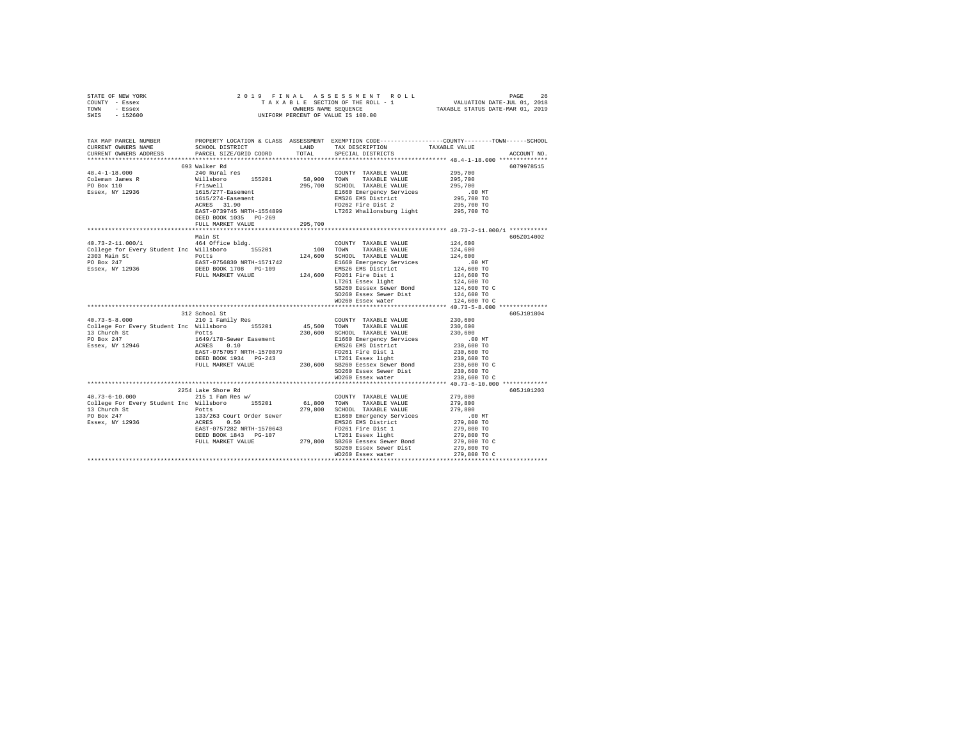| STATE OF NEW YORK<br>COUNTY - Essex<br>TOWN - Essex                                                                                                                                                                                 |                                      |             |                                                                                                                                                                                                                                                |                                                                                                                    |             |
|-------------------------------------------------------------------------------------------------------------------------------------------------------------------------------------------------------------------------------------|--------------------------------------|-------------|------------------------------------------------------------------------------------------------------------------------------------------------------------------------------------------------------------------------------------------------|--------------------------------------------------------------------------------------------------------------------|-------------|
| SWIS - 152600                                                                                                                                                                                                                       |                                      |             |                                                                                                                                                                                                                                                |                                                                                                                    |             |
|                                                                                                                                                                                                                                     |                                      |             |                                                                                                                                                                                                                                                |                                                                                                                    |             |
| TAX MAP PARCEL NUMBER PROPERTY LOCATION & CLASS ASSESSMENT EXEMPTION CODE---------------COUNTY-------TOWN------SCHOOL                                                                                                               |                                      |             |                                                                                                                                                                                                                                                |                                                                                                                    |             |
| CURRENT OWNERS NAME                                                                                                                                                                                                                 | SCHOOL DISTRICT TAND TAX DESCRIPTION |             |                                                                                                                                                                                                                                                | TAXABLE VALUE                                                                                                      |             |
| CURRENT OWNERS ADDRESS                                                                                                                                                                                                              | PARCEL SIZE/GRID COORD               | TOTAL       | SPECIAL DISTRICTS                                                                                                                                                                                                                              |                                                                                                                    | ACCOUNT NO. |
|                                                                                                                                                                                                                                     | 693 Walker Rd                        |             |                                                                                                                                                                                                                                                |                                                                                                                    | 6079978515  |
| $48.4 - 1 - 18.000$                                                                                                                                                                                                                 | 240 Rural res                        |             | COUNTY TAXABLE VALUE                                                                                                                                                                                                                           | 295,700                                                                                                            |             |
|                                                                                                                                                                                                                                     |                                      | 58,900 TOWN | TAXABLE VALUE                                                                                                                                                                                                                                  | 295,700                                                                                                            |             |
| Coleman James R<br>PO Box 110                                                                                                                                                                                                       | Willsboro 155201                     |             |                                                                                                                                                                                                                                                | 295,700                                                                                                            |             |
| Essex, NY 12936                                                                                                                                                                                                                     |                                      |             | Friswell 295,700 SCHOOL TAXABLE VALUE<br>1615/277-Easement El660 Emergency Services<br>1615/274-Easement EMS26 EMS District<br>ACRES 31.90 ED262 Fire Dist 2                                                                                   | $.00$ MT                                                                                                           |             |
|                                                                                                                                                                                                                                     |                                      |             |                                                                                                                                                                                                                                                | 00 MT.<br>295,700 TO<br>295,700 TO                                                                                 |             |
|                                                                                                                                                                                                                                     |                                      |             |                                                                                                                                                                                                                                                |                                                                                                                    |             |
|                                                                                                                                                                                                                                     |                                      |             | EAST-0739745 NRTH-1554899 LT262 Whallonsburg light                                                                                                                                                                                             | 295,700 TO                                                                                                         |             |
|                                                                                                                                                                                                                                     | DEED BOOK 1035 PG-269                |             |                                                                                                                                                                                                                                                |                                                                                                                    |             |
|                                                                                                                                                                                                                                     | FULL MARKET VALUE                    | 295,700     |                                                                                                                                                                                                                                                |                                                                                                                    |             |
|                                                                                                                                                                                                                                     |                                      |             |                                                                                                                                                                                                                                                |                                                                                                                    |             |
|                                                                                                                                                                                                                                     | Main St                              |             |                                                                                                                                                                                                                                                |                                                                                                                    | 605Z014002  |
|                                                                                                                                                                                                                                     |                                      |             | COUNTY TAXABLE VALUE 124,600                                                                                                                                                                                                                   |                                                                                                                    |             |
|                                                                                                                                                                                                                                     |                                      |             | TAXABLE VALUE                                                                                                                                                                                                                                  | 124,600                                                                                                            |             |
|                                                                                                                                                                                                                                     |                                      |             |                                                                                                                                                                                                                                                | 124,600                                                                                                            |             |
|                                                                                                                                                                                                                                     |                                      |             |                                                                                                                                                                                                                                                | .00 MT                                                                                                             |             |
|                                                                                                                                                                                                                                     |                                      |             |                                                                                                                                                                                                                                                | 124,600 TO                                                                                                         |             |
|                                                                                                                                                                                                                                     |                                      |             |                                                                                                                                                                                                                                                | 124,600 TO                                                                                                         |             |
| College tor Every Student Interventional Politics (2019)<br>2303 Main St 2016 2017 2023 Main St 2016 2017<br>POLIS 2008 NRTH-1571742 214,600 EMBED BOR 247 2023 Main St 2023 2031<br>ERED BORK 1708 PG-109 204,600 PD261 ENSE Distr |                                      |             |                                                                                                                                                                                                                                                | 124,600 TO<br>124,600 TO                                                                                           |             |
|                                                                                                                                                                                                                                     |                                      |             | SB260 Eessex Sewer Bond                                                                                                                                                                                                                        | 124,600 TO                                                                                                         |             |
|                                                                                                                                                                                                                                     |                                      |             | SD260 Essex Sewer Dist<br>WD260 Essex water                                                                                                                                                                                                    | 124,600 TO C                                                                                                       |             |
|                                                                                                                                                                                                                                     |                                      |             |                                                                                                                                                                                                                                                |                                                                                                                    |             |
|                                                                                                                                                                                                                                     | 312 School St                        |             |                                                                                                                                                                                                                                                |                                                                                                                    | 605J101804  |
| 40.73-5-8.000 210 1 Family Res                                                                                                                                                                                                      |                                      |             | COUNTY TAXABLE VALUE                                                                                                                                                                                                                           | 230,600                                                                                                            |             |
| College For Every Student Inc Willsboro 155201                                                                                                                                                                                      |                                      | 45,500 TOWN | TAXABLE VALUE                                                                                                                                                                                                                                  | 230,600                                                                                                            |             |
|                                                                                                                                                                                                                                     |                                      |             | 230,600 SCHOOL TAXABLE VALUE                                                                                                                                                                                                                   | 230,600                                                                                                            |             |
|                                                                                                                                                                                                                                     |                                      |             |                                                                                                                                                                                                                                                |                                                                                                                    |             |
| 13 Church St<br>PO Box 247 1649/178-Sewer Easement<br>Essex, NY 12946 ACRES 0.10                                                                                                                                                    |                                      |             |                                                                                                                                                                                                                                                |                                                                                                                    |             |
|                                                                                                                                                                                                                                     |                                      |             |                                                                                                                                                                                                                                                |                                                                                                                    |             |
|                                                                                                                                                                                                                                     |                                      |             |                                                                                                                                                                                                                                                |                                                                                                                    |             |
|                                                                                                                                                                                                                                     |                                      |             | FOLL 97178-Sewer Easement<br>230,000 Inferency Services<br>2660 Emergency Services<br>2660 Emergency Services<br>28825-0757057 NRTH-1570879<br>230,600 SE260 Essex Sewer Dist<br>FULL MARKET VALUE<br>230,600 SE260 Essex Sewer Dist<br>230,60 | $100 \text{ MT}$<br>$230,600 \text{ TO}$<br>$230,600 \text{ TO}$<br>$230,600 \text{ TO}$<br>$230,600 \text{ TO}$ C |             |
|                                                                                                                                                                                                                                     |                                      |             |                                                                                                                                                                                                                                                | 230,600 TO                                                                                                         |             |
|                                                                                                                                                                                                                                     |                                      |             | WD260 Essex water                                                                                                                                                                                                                              | 230,600 TO C                                                                                                       |             |
|                                                                                                                                                                                                                                     |                                      |             |                                                                                                                                                                                                                                                |                                                                                                                    |             |
|                                                                                                                                                                                                                                     | 2254 Lake Shore Rd                   |             |                                                                                                                                                                                                                                                |                                                                                                                    | 605J101203  |
| $40.73 - 6 - 10.000$                                                                                                                                                                                                                | 215 1 Fam Res w/                     |             | COUNTY TAXABLE VALUE 279,800                                                                                                                                                                                                                   |                                                                                                                    |             |
| College For Every Student Inc Willsboro 155201                                                                                                                                                                                      |                                      |             | 61,800 TOWN TAXABLE VALUE                                                                                                                                                                                                                      | 279,800                                                                                                            |             |
| 13 Church St<br>13 Church St<br>PO Box 247 133/263 Court Order Sewer<br>Essex, NY 12936 2015 2016<br>RCRESS 0.50<br>PACR 015300 NEWS                                                                                                |                                      |             |                                                                                                                                                                                                                                                | 279,800                                                                                                            |             |
|                                                                                                                                                                                                                                     |                                      |             |                                                                                                                                                                                                                                                | ,00 MT<br>279,800 TO<br>279,800 TO<br>279,800 TO<br>279,800 TO                                                     |             |
|                                                                                                                                                                                                                                     |                                      |             |                                                                                                                                                                                                                                                |                                                                                                                    |             |
|                                                                                                                                                                                                                                     |                                      |             |                                                                                                                                                                                                                                                |                                                                                                                    |             |
|                                                                                                                                                                                                                                     |                                      |             |                                                                                                                                                                                                                                                |                                                                                                                    |             |
|                                                                                                                                                                                                                                     |                                      |             | SD260 Essex Sewer Dist                                                                                                                                                                                                                         | 279,800 TO                                                                                                         |             |
|                                                                                                                                                                                                                                     |                                      |             | WD260 Essex water                                                                                                                                                                                                                              | 279,800 TO C                                                                                                       |             |
|                                                                                                                                                                                                                                     |                                      |             |                                                                                                                                                                                                                                                |                                                                                                                    |             |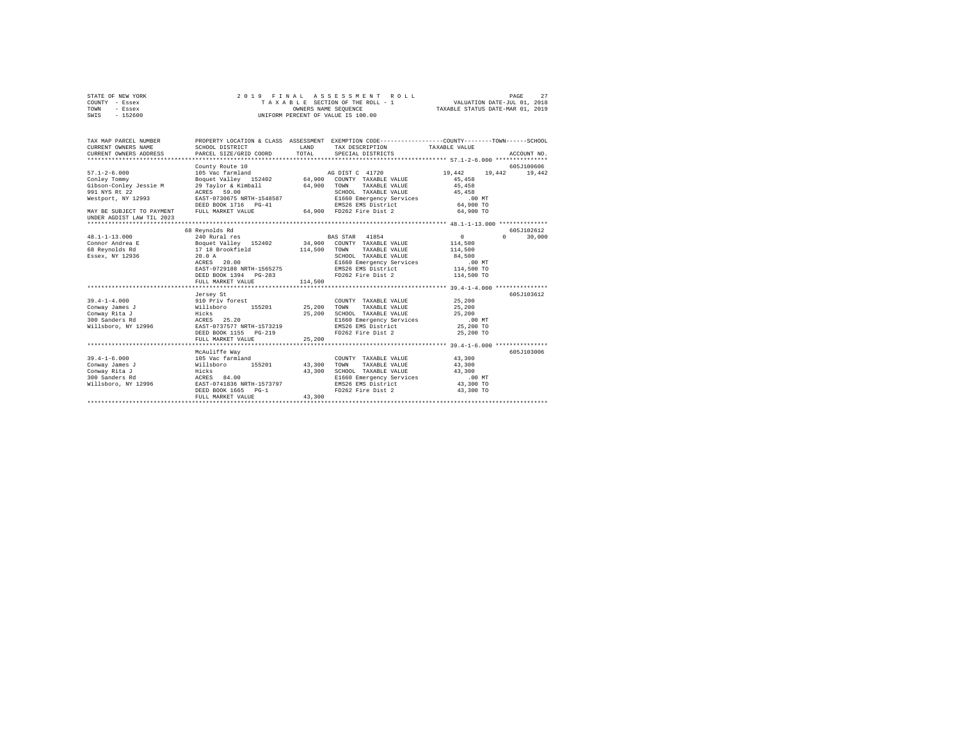| STATE OF NEW YORK<br>COUNTY - Essex          | 2019 FINAL                                                                                                         |                                    | ASSESSMENT ROLL<br>T A X A B L E SECTION OF THE ROLL - 1<br>OWNERS NAME SEQUENCE | VALUATION DATE-JUL 01, 2018<br>TAXABLE STATUS DATE-MAR 01, 2019 | PAGE<br>27         |
|----------------------------------------------|--------------------------------------------------------------------------------------------------------------------|------------------------------------|----------------------------------------------------------------------------------|-----------------------------------------------------------------|--------------------|
| TOWN<br>- Essex<br>$-152600$<br>SWIS         |                                                                                                                    | UNIFORM PERCENT OF VALUE IS 100.00 |                                                                                  |                                                                 |                    |
|                                              |                                                                                                                    |                                    |                                                                                  |                                                                 |                    |
| TAX MAP PARCEL NUMBER<br>CURRENT OWNERS NAME | PROPERTY LOCATION & CLASS ASSESSMENT EXEMPTION CODE---------------COUNTY-------TOWN------SCHOOL<br>SCHOOL DISTRICT | <b>LAND</b>                        | TAX DESCRIPTION                                                                  | TAXABLE VALUE                                                   |                    |
| CURRENT OWNERS ADDRESS                       | PARCEL SIZE/GRID COORD                                                                                             | TOTAL                              | SPECIAL DISTRICTS                                                                |                                                                 | ACCOUNT NO.        |
|                                              |                                                                                                                    |                                    |                                                                                  |                                                                 |                    |
|                                              | County Route 10                                                                                                    |                                    |                                                                                  |                                                                 | 605J100606         |
| $57.1 - 2 - 6.000$                           |                                                                                                                    |                                    |                                                                                  | 19,442   19,442   19,442                                        |                    |
| Conley Tommy                                 |                                                                                                                    |                                    |                                                                                  | 45,458                                                          |                    |
| Gibson-Conley Jessie M                       | 29 Taylor & Kimball 64,900 TOWN TAXABLE VALUE                                                                      |                                    |                                                                                  | 45,458                                                          |                    |
| 991 NYS Rt 22                                | ACRES 59.00                                                                                                        |                                    | SCHOOL TAXABLE VALUE                                                             | 45,458                                                          |                    |
| Westport, NY 12993                           | EAST-0730675 NRTH-1548587                                                                                          |                                    | E1660 Emergency Services<br>EMS26 Emergency Services                             | $.00$ MT                                                        |                    |
|                                              | DEED BOOK 1716 PG-41                                                                                               |                                    | EMS26 EMS District                                                               | 64,900 TO                                                       |                    |
| MAY BE SUBJECT TO PAYMENT                    | FULL MARKET VALUE                                                                                                  |                                    | 64.900 FD262 Fire Dist 2                                                         | 64,900 TO                                                       |                    |
| UNDER AGDIST LAW TIL 2023                    |                                                                                                                    |                                    |                                                                                  |                                                                 |                    |
|                                              | 68 Reynolds Rd                                                                                                     |                                    |                                                                                  |                                                                 | 605J102612         |
| $48.1 - 1 - 13.000$                          | 240 Rural res                                                                                                      |                                    | BAS STAR 41854                                                                   | 0                                                               | $\Omega$<br>30,000 |
| Connor Andrea E                              | Boquet Valley 152402                                                                                               |                                    | 34,900 COUNTY TAXABLE VALUE                                                      | 114,500                                                         |                    |
| 68 Reynolds Rd                               | 17 18 Brookfield 114,500                                                                                           |                                    | TOWN TAXABLE VALUE                                                               | 114,500                                                         |                    |
| Essex, NY 12936                              | 20.0A                                                                                                              |                                    | SCHOOL TAXABLE VALUE                                                             | 84,500                                                          |                    |
|                                              | ACRES 20.00                                                                                                        |                                    | E1660 Emergency Services                                                         | .00 MT                                                          |                    |
|                                              | EAST-0729188 NRTH-1565275                                                                                          |                                    | EMS26 EMS District<br>EMS26 EMS District<br>EDS60 D'                             | 114,500 TO                                                      |                    |
|                                              |                                                                                                                    |                                    | FD262 Fire Dist 2                                                                | 114,500 TO                                                      |                    |
|                                              | FULL MARKET VALUE                                                                                                  | 114,500                            |                                                                                  |                                                                 |                    |
|                                              |                                                                                                                    |                                    |                                                                                  |                                                                 |                    |
| $39.4 - 1 - 4.000$                           | Jersey St                                                                                                          |                                    | COUNTY TAXABLE VALUE                                                             | 25,200                                                          | 605J103612         |
| Conway James J                               |                                                                                                                    | 25,200                             | TOWN<br>TAXABLE VALUE                                                            | 25,200                                                          |                    |
| Conway Rita J                                |                                                                                                                    | 25,200                             | SCHOOL TAXABLE VALUE                                                             | 25,200                                                          |                    |
| 300 Sanders Rd                               |                                                                                                                    |                                    | E1660 Emergency Services                                                         | $.00$ MT                                                        |                    |
| Willsboro, NY 12996                          | ------- --<br>910 Priv forest<br>Willsboro 155201<br>Hicks 25.20<br>EAST-0737577 NRTH-1573219                      |                                    | EMS26 EMS District                                                               | 25,200 TO                                                       |                    |
|                                              | DEED BOOK 1155 PG-219                                                                                              |                                    | FD262 Fire Dist 2 25,200 TO                                                      |                                                                 |                    |
|                                              | FULL MARKET VALUE                                                                                                  | 25,200                             |                                                                                  |                                                                 |                    |
|                                              |                                                                                                                    |                                    |                                                                                  |                                                                 |                    |
|                                              | McAuliffe Way                                                                                                      |                                    |                                                                                  |                                                                 | 605J103006         |
| $39.4 - 1 - 6.000$                           |                                                                                                                    |                                    | COUNTY TAXABLE VALUE                                                             | 43,300                                                          |                    |
| Conway James J                               |                                                                                                                    | 43,300                             | TOWN<br>TAXABLE VALUE                                                            | 43,300                                                          |                    |
| Conway Rita J                                |                                                                                                                    | 43.300                             | SCHOOL TAXABLE VALUE                                                             | 43,300                                                          |                    |
| 300 Sanders Rd<br>Willsboro, NY 12996        | 105 Vac farmland<br>Willsboro 155201<br>Hicks<br>ACRES 84.00<br>EAST-0741836 NRTH-1573797                          |                                    | E1660 Emergency Services<br>EMS26 EMS District                                   | $.00$ MT<br>43,300 TO                                           |                    |
|                                              | DEED BOOK 1665 PG-1                                                                                                |                                    | FD262 Fire Dist 2                                                                | 43,300 TO                                                       |                    |
|                                              | FULL MARKET VALUE                                                                                                  | 43,300                             |                                                                                  |                                                                 |                    |
|                                              |                                                                                                                    |                                    |                                                                                  |                                                                 |                    |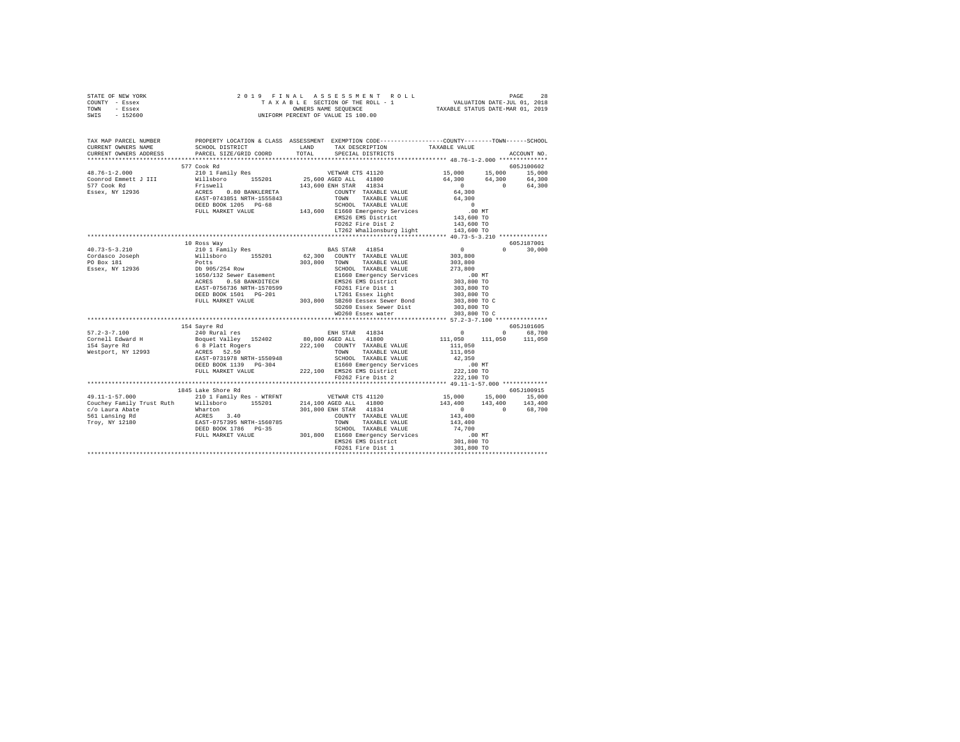| STATE OF NEW YORK | 2019 FINAL ASSESSMENT ROLL         | - 2.8<br>PAGE                    |
|-------------------|------------------------------------|----------------------------------|
| COUNTY - Essex    | TAXABLE SECTION OF THE ROLL - 1    | VALUATION DATE-JUL 01, 2018      |
| TOWN<br>- Essex   | OWNERS NAME SEOUENCE               | TAXABLE STATUS DATE-MAR 01, 2019 |
| $-152600$<br>SWIS | UNIFORM PERCENT OF VALUE IS 100.00 |                                  |
|                   |                                    |                                  |

| TAX MAP PARCEL NUMBER          |                                                                                                                                                                                                                                                                                                                                                                            |       | PROPERTY LOCATION & CLASS ASSESSMENT EXEMPTION CODE---------------COUNTY-------TOWN-----SCHOOL |                                                                                                                                                                                                                                        |                             |
|--------------------------------|----------------------------------------------------------------------------------------------------------------------------------------------------------------------------------------------------------------------------------------------------------------------------------------------------------------------------------------------------------------------------|-------|------------------------------------------------------------------------------------------------|----------------------------------------------------------------------------------------------------------------------------------------------------------------------------------------------------------------------------------------|-----------------------------|
| CURRENT OWNERS NAME            | SCHOOL DISTRICT                                                                                                                                                                                                                                                                                                                                                            | LAND  | TAX DESCRIPTION TAXABLE VALUE                                                                  |                                                                                                                                                                                                                                        |                             |
| CURRENT OWNERS ADDRESS         | PARCEL SIZE/GRID COORD                                                                                                                                                                                                                                                                                                                                                     | TOTAL | SPECIAL DISTRICTS                                                                              |                                                                                                                                                                                                                                        | ACCOUNT NO.                 |
|                                |                                                                                                                                                                                                                                                                                                                                                                            |       |                                                                                                |                                                                                                                                                                                                                                        |                             |
|                                | 577 Cook Rd                                                                                                                                                                                                                                                                                                                                                                |       |                                                                                                |                                                                                                                                                                                                                                        | 605J100602                  |
| $48.76 - 1 - 2.000$            |                                                                                                                                                                                                                                                                                                                                                                            |       |                                                                                                |                                                                                                                                                                                                                                        |                             |
| Coonrod Emmett J III           |                                                                                                                                                                                                                                                                                                                                                                            |       |                                                                                                |                                                                                                                                                                                                                                        |                             |
|                                |                                                                                                                                                                                                                                                                                                                                                                            |       |                                                                                                |                                                                                                                                                                                                                                        |                             |
| 577 Cook Rd<br>Essex, NY 12936 |                                                                                                                                                                                                                                                                                                                                                                            |       |                                                                                                | $\begin{array}{cccc} 15\, , 000 & \quad & 15\, , 000 & \quad & 15\, , 000 \\ 64\, , 300 & \quad & 64\, , 300 & \quad & 64\, , 300 \\ 0 & \quad & 0 & \quad & 64\, , 300 \\ 64\, , 300 & \quad & 0 & \quad & 64\, , 300 \\ \end{array}$ |                             |
|                                |                                                                                                                                                                                                                                                                                                                                                                            |       |                                                                                                |                                                                                                                                                                                                                                        |                             |
|                                |                                                                                                                                                                                                                                                                                                                                                                            |       |                                                                                                |                                                                                                                                                                                                                                        |                             |
|                                |                                                                                                                                                                                                                                                                                                                                                                            |       |                                                                                                |                                                                                                                                                                                                                                        |                             |
|                                | $\begin{tabular}{c c c c} \textbf{577 CoA Rd} & \textbf{1800} & \textbf{15,000} & \textbf{15} \\ \textbf{210 1 Fami1y Res} & \textbf{1910} & \textbf{25,600} & \textbf{35} & \textbf{5201} & \textbf{5201} & \textbf{64,300} & \textbf{64} \\ \textbf{210 1 Fami1y Res} & \textbf{155201} & \textbf{25,600} & \textbf{0.80} & \textbf{0.811} & \textbf{14100} & \textbf{6$ |       |                                                                                                |                                                                                                                                                                                                                                        |                             |
|                                |                                                                                                                                                                                                                                                                                                                                                                            |       | FD262 Fire Dist 2                                                                              | 143,600 TO<br>143,600 TO                                                                                                                                                                                                               |                             |
|                                |                                                                                                                                                                                                                                                                                                                                                                            |       | LT262 Whallonsburg light                                                                       |                                                                                                                                                                                                                                        |                             |
|                                |                                                                                                                                                                                                                                                                                                                                                                            |       |                                                                                                |                                                                                                                                                                                                                                        |                             |
|                                | 10 Ross Way                                                                                                                                                                                                                                                                                                                                                                |       |                                                                                                |                                                                                                                                                                                                                                        | 605J187001                  |
| $40.73 - 5 - 3.210$            | 210 1 Family Res<br>210 1 Family Res<br>210 1 Family Res<br>210 1 Family Res<br>210 1 55201 62,300 COUNTY TAXABLE VALUE<br>210 905/254 Row<br>210 905/254 Row SCHOL TAXABLE VALUE<br>21660 Emergency Services<br>21660 Emergency Services<br>216                                                                                                                           |       |                                                                                                | $\begin{array}{c} 0 \\ 303,800 \end{array}$<br>$\cap$                                                                                                                                                                                  | 30,000                      |
| Cordasco Joseph                |                                                                                                                                                                                                                                                                                                                                                                            |       |                                                                                                |                                                                                                                                                                                                                                        |                             |
| PO Box 181                     |                                                                                                                                                                                                                                                                                                                                                                            |       |                                                                                                | 303,800                                                                                                                                                                                                                                |                             |
| Essex, NY 12936                |                                                                                                                                                                                                                                                                                                                                                                            |       |                                                                                                | 273,800                                                                                                                                                                                                                                |                             |
|                                |                                                                                                                                                                                                                                                                                                                                                                            |       |                                                                                                | 00 MT.<br>303,800 TO                                                                                                                                                                                                                   |                             |
|                                |                                                                                                                                                                                                                                                                                                                                                                            |       |                                                                                                |                                                                                                                                                                                                                                        |                             |
|                                |                                                                                                                                                                                                                                                                                                                                                                            |       |                                                                                                | 303,800 TO<br>303,800 TO                                                                                                                                                                                                               |                             |
|                                |                                                                                                                                                                                                                                                                                                                                                                            |       |                                                                                                |                                                                                                                                                                                                                                        |                             |
|                                |                                                                                                                                                                                                                                                                                                                                                                            |       |                                                                                                | 303,800 TO C<br>303,800 TO                                                                                                                                                                                                             |                             |
|                                |                                                                                                                                                                                                                                                                                                                                                                            |       | SD260 Essex Sewer Dist                                                                         |                                                                                                                                                                                                                                        |                             |
|                                |                                                                                                                                                                                                                                                                                                                                                                            |       | WD260 Essex water                                                                              | 303,800 TO C                                                                                                                                                                                                                           |                             |
|                                |                                                                                                                                                                                                                                                                                                                                                                            |       |                                                                                                |                                                                                                                                                                                                                                        |                             |
|                                | 154 Sayre Rd                                                                                                                                                                                                                                                                                                                                                               |       |                                                                                                |                                                                                                                                                                                                                                        | 605J101605                  |
| $57.2 - 3 - 7.100$             | 240 Rural res                                                                                                                                                                                                                                                                                                                                                              |       | ENH STAR 41834                                                                                 | $\overline{0}$                                                                                                                                                                                                                         | 68,700<br>$\sim$ 0 $\sim$ 0 |
|                                | Cornell Edward H<br>Boquet Valley 152402<br>154 Sayre Rd<br>154 Sayre Rd<br>154 Sayre Rd<br>156 Section 2011<br>168 Platt Rogers<br>25.50<br>26.50<br>26.50<br>26.50<br>26.50<br>26.50<br>26.50<br>26.50<br>26.50<br>26.50                                                                                                                                                 |       | 80,800 AGED ALL 41800                                                                          | 111,050 111,050 111,050                                                                                                                                                                                                                |                             |
|                                |                                                                                                                                                                                                                                                                                                                                                                            |       | 222.100 COUNTY TAXABLE VALUE                                                                   | 111,050                                                                                                                                                                                                                                |                             |
|                                |                                                                                                                                                                                                                                                                                                                                                                            |       |                                                                                                | 111,050                                                                                                                                                                                                                                |                             |
|                                | EAST-0731978 NRTH-1550948                                                                                                                                                                                                                                                                                                                                                  |       |                                                                                                | 42,350                                                                                                                                                                                                                                 |                             |
|                                | DEED BOOK 1139 PG-304                                                                                                                                                                                                                                                                                                                                                      |       |                                                                                                | 00 MT.<br>222,100 TO                                                                                                                                                                                                                   |                             |
|                                | FULL MARKET VALUE                                                                                                                                                                                                                                                                                                                                                          |       |                                                                                                |                                                                                                                                                                                                                                        |                             |
|                                |                                                                                                                                                                                                                                                                                                                                                                            |       |                                                                                                | 222,100 TO                                                                                                                                                                                                                             |                             |
|                                | 1845 Lake Shore Rd                                                                                                                                                                                                                                                                                                                                                         |       |                                                                                                |                                                                                                                                                                                                                                        | 605J100915                  |
| 49.11-1-57.000                 |                                                                                                                                                                                                                                                                                                                                                                            |       |                                                                                                |                                                                                                                                                                                                                                        |                             |
|                                |                                                                                                                                                                                                                                                                                                                                                                            |       |                                                                                                |                                                                                                                                                                                                                                        |                             |
|                                |                                                                                                                                                                                                                                                                                                                                                                            |       |                                                                                                | 143,400 143,400 143,400                                                                                                                                                                                                                |                             |
|                                |                                                                                                                                                                                                                                                                                                                                                                            |       |                                                                                                | 0 0 68.700<br>143,400                                                                                                                                                                                                                  |                             |
|                                |                                                                                                                                                                                                                                                                                                                                                                            |       |                                                                                                | 143,400                                                                                                                                                                                                                                |                             |
|                                |                                                                                                                                                                                                                                                                                                                                                                            |       |                                                                                                |                                                                                                                                                                                                                                        |                             |
|                                |                                                                                                                                                                                                                                                                                                                                                                            |       |                                                                                                |                                                                                                                                                                                                                                        |                             |
|                                |                                                                                                                                                                                                                                                                                                                                                                            |       |                                                                                                | 74,700<br>.00 MT<br>301,800 TO                                                                                                                                                                                                         |                             |
|                                |                                                                                                                                                                                                                                                                                                                                                                            |       |                                                                                                |                                                                                                                                                                                                                                        |                             |
|                                |                                                                                                                                                                                                                                                                                                                                                                            |       |                                                                                                |                                                                                                                                                                                                                                        |                             |
|                                |                                                                                                                                                                                                                                                                                                                                                                            |       |                                                                                                |                                                                                                                                                                                                                                        |                             |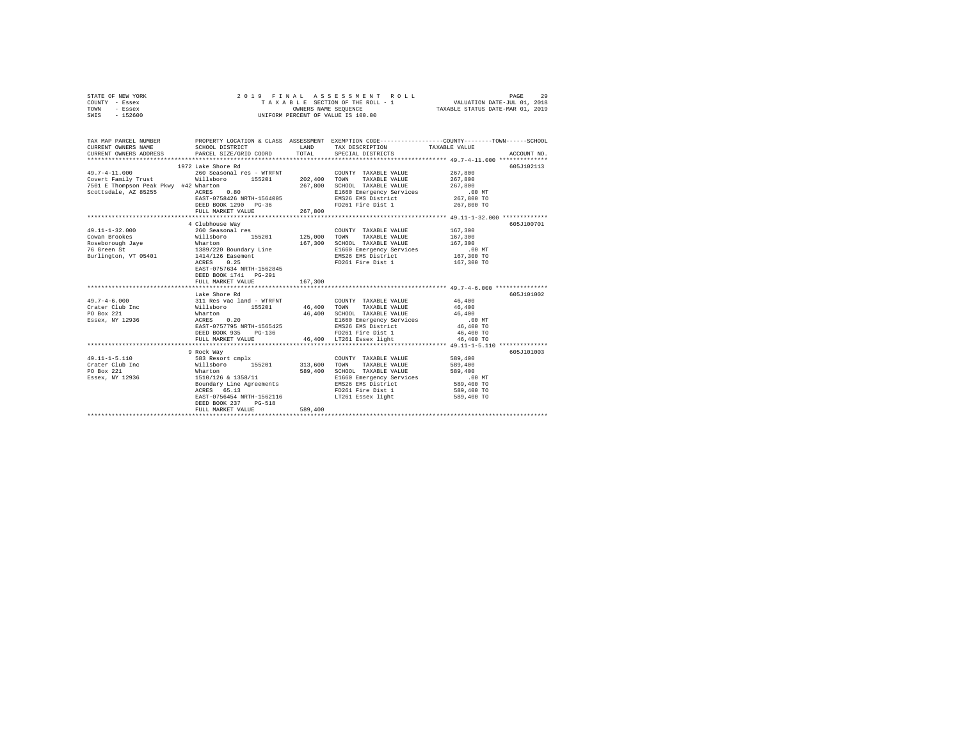|      | STATE OF NEW YORK |  |                      | 2019 FINAL ASSESSMENT ROLL         | 29<br>PAGE                  |  |
|------|-------------------|--|----------------------|------------------------------------|-----------------------------|--|
|      | COUNTY - Essex    |  |                      | TAXABLE SECTION OF THE ROLL - 1    | VALUATION DATE-JUL 01, 2018 |  |
| TOWN | - Essex           |  | OWNERS NAME SEOUENCE | TAXABLE STATUS DATE-MAR 01, 2019   |                             |  |
| SWIS | - 152600          |  |                      | UNIFORM PERCENT OF VALUE IS 100.00 |                             |  |

| TAX MAP PARCEL NUMBER                                                                                                                                                                                                                                                                    |                                                                                                                                                                                                  |                    |                                                                                                                                                                                                            | PROPERTY LOCATION & CLASS ASSESSMENT EXEMPTION CODE---------------COUNTY-------TOWN-----SCHOOL |
|------------------------------------------------------------------------------------------------------------------------------------------------------------------------------------------------------------------------------------------------------------------------------------------|--------------------------------------------------------------------------------------------------------------------------------------------------------------------------------------------------|--------------------|------------------------------------------------------------------------------------------------------------------------------------------------------------------------------------------------------------|------------------------------------------------------------------------------------------------|
| $\begin{array}{lll} \texttt{49.7-4-11.000} & \texttt{260 Seasonal res - WTRFNT} & \texttt{COUNT} \\ \texttt{Covert Family Trust} & \texttt{Willsboro} & \texttt{155201} & \texttt{202,400} & \texttt{TOWN} \end{array}$<br>7501 E Thompson Peak Pkwy #42 Wharton<br>Scottsdale, AZ 85255 | 1972 Lake Shore Rd<br>kwy #42 Wharton<br>ACRES 0.80<br>EAST-0758426 NRTH-1564005<br>DEED BOOK 1290 PG-36<br>FULL MARKET VALUE                                                                    | 267.800<br>267,800 | COUNTY TAXABLE VALUE<br>TAXABLE VALUE<br>SCHOOL TAXABLE VALUE 267,800<br>E1660 Emergency Services .00 MT<br>EMS26 EMS District 267,800 TO<br>FD261 Fire Dist 1 267,800 TO                                  | 605J102113<br>267,800<br>267,800                                                               |
| $49.11 - 1 - 32.000$<br>19.11-1-32.000<br>Cowan Brookes<br>Roseborough Jaye Mharton<br>76 Green St 1989/220 Boundary Line<br>76 Green St 1989/220 Boundary Line<br>1914/126 Easement<br>1914/126 Easement<br>1925                                                                        | 4 Clubhouse Way<br>260 Seasonal res<br>Willsboro 155201 125,000<br>EAST-0757634 NRTH-1562845<br>DEED BOOK 1741 PG-291<br>FULL MARKET VALUE                                                       | 167.300<br>167,300 | COUNTY TAXABLE VALUE<br>TAXABLE VALUE<br>TOWN<br>SCHOOL TAXABLE VALUE<br>E1660 Emergency Services .00 MT<br>EMS26 EMS District 167,300 TO<br>EMS26 EMS District<br>FD261 Fire Dist 1                       | 605J100701<br>167,300<br>167,300<br>167,300<br>167,300 TO                                      |
| $\begin{array}{cccccccc} 49.7-4-6.000 & 311\;\text{Res}\;\;\text{vac}\;\;\text{lamb} & 46.400\\ \text{Crater}\;\;\text{Club}\;\;\text{inc} & \text{Willsboro} & 155201 & 46.400\;\;\;\text{TOWN}\;\;\;\;\text{TAXABLE VAJUE} & 46.400\\ \end{array}$<br>PO Box 221<br>Essex, NY 12936    | Lake Shore Rd<br>Wharton<br>ACRES 0.20<br>EAST-0757795 NRTH-1565425<br>$PG-136$<br>DEED BOOK 935<br>FULL MARKET VALUE                                                                            | $46\,,\,400$       | SCHOOL TAXABLE VALUE 46,400<br>E1660 Emergency Services<br>EMS26 EMS District<br>FD261 Fire Dist 1 46,400 TO<br>46,400 LT261 Essex light                                                                   | 605J101002<br>.00 MT<br>46,400 TO<br>46,400 TO                                                 |
| $49.11 - 1 - 5.110$<br>Crater Club Inc<br>PO Box 221<br>Essex, NY 12936                                                                                                                                                                                                                  | 9 Rock Way<br>583 Resort cmplx<br>Willsboro 155201 313,600<br>Wharton 589,400<br>1510/126 & 1358/11<br>Boundary Line Agreements<br>ACRES 65.13<br>DEED BOOK 237<br>$PG-518$<br>FULL MARKET VALUE | 589,400            | COUNTY TAXABLE VALUE 589,400<br>TOWN<br>TAXABLE VALUE<br>SCHOOL TAXABLE VALUE<br>E1660 Emergency Services .00 MT<br>EMS26 EMS District<br>FD261 Fire Dist 1<br>EAST-0756454 NRTH-1562116 LT261 Essex light | 605J101003<br>589,400<br>589,400<br>589,400 TO<br>589,400 TO<br>589,400 TO                     |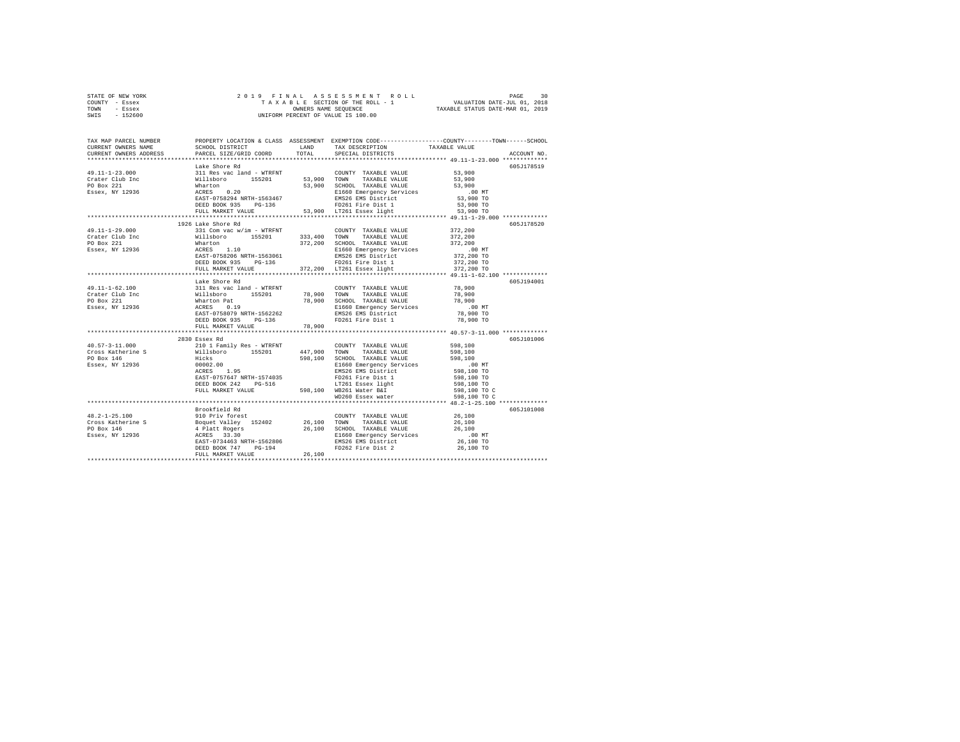| STATE OF NEW YORK |          |  |  |  | 2019 FINAL ASSESSMENT ROLL         |                                  | PAGE                        | 30 |
|-------------------|----------|--|--|--|------------------------------------|----------------------------------|-----------------------------|----|
| COUNTY - Essex    |          |  |  |  | TAXABLE SECTION OF THE ROLL - 1    |                                  | VALUATION DATE-JUL 01, 2018 |    |
| TOWN              | - Essex  |  |  |  | OWNERS NAME SEOUENCE               | TAXABLE STATUS DATE-MAR 01, 2019 |                             |    |
| SWIS              | - 152600 |  |  |  | UNIFORM PERCENT OF VALUE IS 100.00 |                                  |                             |    |

| TAX MAP PARCEL NUMBER<br>CURRENT OWNERS NAME                                                                                                                                                                                                                                                                                                                                                                           | SCHOOL DISTRICT                                  | <b>LAND</b> | TAX DESCRIPTION                                                                                                                                                                                                                                  | PROPERTY LOCATION & CLASS ASSESSMENT EXEMPTION CODE---------------COUNTY-------TOWN------SCHOOL<br>TAXABLE VALUE |
|------------------------------------------------------------------------------------------------------------------------------------------------------------------------------------------------------------------------------------------------------------------------------------------------------------------------------------------------------------------------------------------------------------------------|--------------------------------------------------|-------------|--------------------------------------------------------------------------------------------------------------------------------------------------------------------------------------------------------------------------------------------------|------------------------------------------------------------------------------------------------------------------|
| CURRENT OWNERS ADDRESS                                                                                                                                                                                                                                                                                                                                                                                                 | PARCEL SIZE/GRID COORD TOTAL                     |             | SPECIAL DISTRICTS                                                                                                                                                                                                                                | ACCOUNT NO.                                                                                                      |
|                                                                                                                                                                                                                                                                                                                                                                                                                        | Lake Shore Rd                                    |             |                                                                                                                                                                                                                                                  | 605J178519                                                                                                       |
| $\begin{tabular}{l c c c c c} \multicolumn{4}{c c c} \multicolumn{4}{c c c} \multicolumn{4}{c c c} \multicolumn{4}{c c c} \multicolumn{4}{c c c} \multicolumn{4}{c c c} \multicolumn{4}{c c c} \multicolumn{4}{c c c} \multicolumn{4}{c c c} \multicolumn{4}{c c c} \multicolumn{4}{c c c} \multicolumn{4}{c c c} \multicolumn{4}{c c c} \multicolumn{4}{c c c} \multicolumn{4}{c c c} \multicolumn{4}{$               |                                                  |             |                                                                                                                                                                                                                                                  |                                                                                                                  |
|                                                                                                                                                                                                                                                                                                                                                                                                                        |                                                  |             |                                                                                                                                                                                                                                                  |                                                                                                                  |
|                                                                                                                                                                                                                                                                                                                                                                                                                        |                                                  |             |                                                                                                                                                                                                                                                  | $53,900$<br>53,900<br>53,900 TO                                                                                  |
|                                                                                                                                                                                                                                                                                                                                                                                                                        |                                                  |             |                                                                                                                                                                                                                                                  |                                                                                                                  |
|                                                                                                                                                                                                                                                                                                                                                                                                                        |                                                  |             |                                                                                                                                                                                                                                                  |                                                                                                                  |
|                                                                                                                                                                                                                                                                                                                                                                                                                        |                                                  |             |                                                                                                                                                                                                                                                  | 53,900 TO                                                                                                        |
|                                                                                                                                                                                                                                                                                                                                                                                                                        |                                                  |             |                                                                                                                                                                                                                                                  | 53,900 TO                                                                                                        |
|                                                                                                                                                                                                                                                                                                                                                                                                                        |                                                  |             |                                                                                                                                                                                                                                                  |                                                                                                                  |
|                                                                                                                                                                                                                                                                                                                                                                                                                        | 1926 Lake Shore Rd                               |             |                                                                                                                                                                                                                                                  | 605J178520                                                                                                       |
| 49.11-1-29.000                                                                                                                                                                                                                                                                                                                                                                                                         |                                                  |             | 331 Com vac W/im - WTRFNT<br>331 Com vac W/im - WTRFNT<br>311 Com vac W/im - WTRFNT<br>332,200 CHOOL TAXABLE VALUE<br>372,200 SCHOOL TAXABLE VALUE<br>272,200 Mharton 372,200 SCHOOL TAXABLE VALUE<br>272,200 MH<br>272,200 MH<br>272,200 MH<br> |                                                                                                                  |
| Crater Club Inc                                                                                                                                                                                                                                                                                                                                                                                                        |                                                  |             |                                                                                                                                                                                                                                                  |                                                                                                                  |
| PO Box 221                                                                                                                                                                                                                                                                                                                                                                                                             |                                                  |             |                                                                                                                                                                                                                                                  |                                                                                                                  |
| Essex, NY 12936                                                                                                                                                                                                                                                                                                                                                                                                        |                                                  |             |                                                                                                                                                                                                                                                  |                                                                                                                  |
|                                                                                                                                                                                                                                                                                                                                                                                                                        |                                                  |             |                                                                                                                                                                                                                                                  |                                                                                                                  |
|                                                                                                                                                                                                                                                                                                                                                                                                                        |                                                  |             | ${\tt DEED\ BOOK\ 935}\ {\tt PG-136}\ {\tt FD261\ Fire\ Disk1}\ \ {\tt 372,200\ TO}$ ${\tt FUL\ MARKET\ VALUE}\ 372,200\ {\tt LT261\ Esex\ light}\ 372,200\ TO}$                                                                                 |                                                                                                                  |
|                                                                                                                                                                                                                                                                                                                                                                                                                        |                                                  |             |                                                                                                                                                                                                                                                  |                                                                                                                  |
|                                                                                                                                                                                                                                                                                                                                                                                                                        |                                                  |             |                                                                                                                                                                                                                                                  |                                                                                                                  |
|                                                                                                                                                                                                                                                                                                                                                                                                                        | Lake Shore Rd                                    |             |                                                                                                                                                                                                                                                  | 605J194001                                                                                                       |
|                                                                                                                                                                                                                                                                                                                                                                                                                        |                                                  |             | COUNTY TAXABLE VALUE 78,900                                                                                                                                                                                                                      |                                                                                                                  |
|                                                                                                                                                                                                                                                                                                                                                                                                                        |                                                  |             |                                                                                                                                                                                                                                                  |                                                                                                                  |
|                                                                                                                                                                                                                                                                                                                                                                                                                        |                                                  |             | 70000 TAXABLE VALUE 78,900<br>19900 SCHOOL TAXABLE VALUE 78,900<br>E1660 Emergency Services 78,900<br>EMS26 EMS District 78,900 TO<br>EMS26 EMS District 78,900 TO                                                                               |                                                                                                                  |
|                                                                                                                                                                                                                                                                                                                                                                                                                        |                                                  |             |                                                                                                                                                                                                                                                  |                                                                                                                  |
|                                                                                                                                                                                                                                                                                                                                                                                                                        |                                                  |             | FD261 Fire Dist 1                                                                                                                                                                                                                                | 78,900 TO                                                                                                        |
|                                                                                                                                                                                                                                                                                                                                                                                                                        | DEED BOOK 935 PG-136<br>FULL MARKET VALUE 78.900 |             |                                                                                                                                                                                                                                                  |                                                                                                                  |
|                                                                                                                                                                                                                                                                                                                                                                                                                        |                                                  |             |                                                                                                                                                                                                                                                  |                                                                                                                  |
|                                                                                                                                                                                                                                                                                                                                                                                                                        |                                                  |             |                                                                                                                                                                                                                                                  | 605J101006                                                                                                       |
| $\begin{tabular}{l c c c c c} \multicolumn{3}{c}{\textbf{40.57--3--11.000}} & \multicolumn{3}{c}{2830\text{ Esecx }\text{Rd}} & \multicolumn{3}{c}{\textbf{10.11 Family }\text{Res - WTRFT}} & \multicolumn{3}{c}{\textbf{10.1201 }} & \multicolumn{3}{c}{\textbf{10.1201 }} & \multicolumn{3}{c}{\textbf{10.1201 }} & \multicolumn{3}{c}{\textbf{10.1201 }} & \multicolumn{3}{c}{\textbf{10.1201 }} & \multicolumn{3$ |                                                  |             |                                                                                                                                                                                                                                                  |                                                                                                                  |
|                                                                                                                                                                                                                                                                                                                                                                                                                        |                                                  |             |                                                                                                                                                                                                                                                  |                                                                                                                  |
|                                                                                                                                                                                                                                                                                                                                                                                                                        |                                                  |             |                                                                                                                                                                                                                                                  |                                                                                                                  |
|                                                                                                                                                                                                                                                                                                                                                                                                                        |                                                  |             |                                                                                                                                                                                                                                                  |                                                                                                                  |
|                                                                                                                                                                                                                                                                                                                                                                                                                        |                                                  |             |                                                                                                                                                                                                                                                  |                                                                                                                  |
|                                                                                                                                                                                                                                                                                                                                                                                                                        |                                                  |             |                                                                                                                                                                                                                                                  | 598,100 TO<br>598,100 TO<br>598,100 TO C<br>598,100 TO C                                                         |
|                                                                                                                                                                                                                                                                                                                                                                                                                        |                                                  |             |                                                                                                                                                                                                                                                  |                                                                                                                  |
|                                                                                                                                                                                                                                                                                                                                                                                                                        |                                                  |             |                                                                                                                                                                                                                                                  |                                                                                                                  |
|                                                                                                                                                                                                                                                                                                                                                                                                                        |                                                  |             |                                                                                                                                                                                                                                                  |                                                                                                                  |
|                                                                                                                                                                                                                                                                                                                                                                                                                        |                                                  |             |                                                                                                                                                                                                                                                  |                                                                                                                  |
|                                                                                                                                                                                                                                                                                                                                                                                                                        | Brookfield Rd                                    |             |                                                                                                                                                                                                                                                  | 605J101008                                                                                                       |
|                                                                                                                                                                                                                                                                                                                                                                                                                        |                                                  |             |                                                                                                                                                                                                                                                  |                                                                                                                  |
|                                                                                                                                                                                                                                                                                                                                                                                                                        |                                                  |             |                                                                                                                                                                                                                                                  |                                                                                                                  |
|                                                                                                                                                                                                                                                                                                                                                                                                                        |                                                  |             |                                                                                                                                                                                                                                                  |                                                                                                                  |
|                                                                                                                                                                                                                                                                                                                                                                                                                        |                                                  |             |                                                                                                                                                                                                                                                  |                                                                                                                  |
|                                                                                                                                                                                                                                                                                                                                                                                                                        |                                                  |             |                                                                                                                                                                                                                                                  |                                                                                                                  |
|                                                                                                                                                                                                                                                                                                                                                                                                                        |                                                  |             |                                                                                                                                                                                                                                                  |                                                                                                                  |
|                                                                                                                                                                                                                                                                                                                                                                                                                        |                                                  |             |                                                                                                                                                                                                                                                  |                                                                                                                  |
|                                                                                                                                                                                                                                                                                                                                                                                                                        |                                                  |             |                                                                                                                                                                                                                                                  |                                                                                                                  |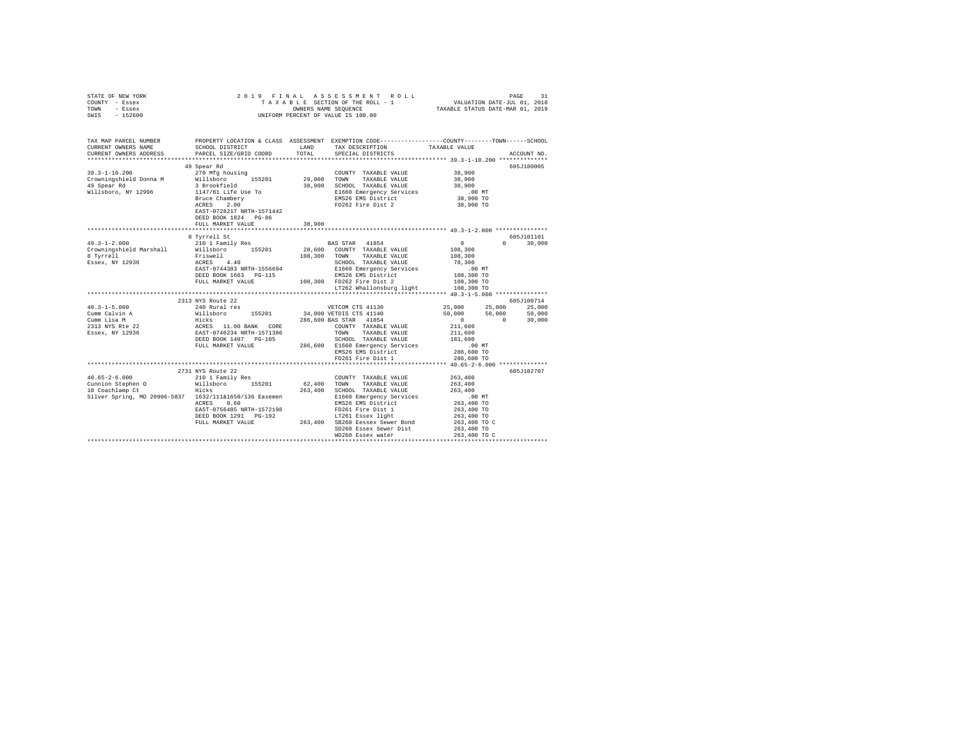|      | STATE OF NEW YORK |  |  | 2019 FINAL ASSESSMENT ROLL         | PAGE                             |  |
|------|-------------------|--|--|------------------------------------|----------------------------------|--|
|      | COUNTY - Essex    |  |  | TAXABLE SECTION OF THE ROLL - 1    | VALUATION DATE-JUL 01, 2018      |  |
| TOWN | - Essex           |  |  | OWNERS NAME SEOUENCE               | TAXABLE STATUS DATE-MAR 01, 2019 |  |
| SWIS | $-152600$         |  |  | UNIFORM PERCENT OF VALUE IS 100.00 |                                  |  |

| TAX MAP PARCEL NUMBER<br>CURRENT OWNERS NAME<br>CURRENT OWNERS ADDRESS                                                                                                                                                                                          | SCHOOL DISTRICT<br>PARCEL SIZE/GRID COORD                                                                                                                                     | TOTAL                 | PROPERTY LOCATION & CLASS ASSESSMENT EXEMPTION CODE---------------COUNTY-------TOWN------SCHOOL<br>LAND TAX DESCRIPTION<br>SPECIAL DISTRICTS                                                                                                                                               | TAXABLE VALUE                                                                                                   | ACCOUNT NO.                              |
|-----------------------------------------------------------------------------------------------------------------------------------------------------------------------------------------------------------------------------------------------------------------|-------------------------------------------------------------------------------------------------------------------------------------------------------------------------------|-----------------------|--------------------------------------------------------------------------------------------------------------------------------------------------------------------------------------------------------------------------------------------------------------------------------------------|-----------------------------------------------------------------------------------------------------------------|------------------------------------------|
|                                                                                                                                                                                                                                                                 | 49 Spear Rd<br>Bruce Chambery<br>ACRES 2.00<br>EAST-0728217 NRTH-1571442<br>DEED BOOK 1824 PG-86<br>FULL MARKET VALUE                                                         | 38,900                | COUNTY TAXABLE VALUE<br>155201 29,000 TOWN TAXABLE VALUE<br>38,900 SCHOOL TAXABLE VALUE<br>E1660 Emergency Services<br>EMS26 EMS District<br>FD262 Fire Dist 2                                                                                                                             | 38,900<br>38,900<br>38,900<br>$.00$ MT<br>38,900 TO<br>38,900 TO                                                | 605J180005                               |
| $49.3 - 1 - 2.000$<br>Crowningshield Marshall<br>8 Tyrrell<br>Essex, NY 12936                                                                                                                                                                                   | 8 Tyrrell St<br>210 1 Family Res<br>%10 1 Family Res<br>Willsboro 155201<br>Friswell<br>ACRES 4.40<br>EAST-0744383 NRTH-1556694<br>DEED BOOK 1663 PG-115<br>FULL MARKET VALUE | 108,300 TOWN<br>SCHOO | BAS STAR 41854<br>28,600 COUNTY TAXABLE VALUE<br>TAXABLE VALUE<br>108,300 FD262 Fire Dist 2<br>LT262 Whallonsburg light                                                                                                                                                                    | $\sim$ 0<br>$\Omega$<br>108,300<br>108,300<br>108,300 TO<br>108,300 TO                                          | 605J101101<br>30,000                     |
| $40.3 - 1 - 5.000$<br>Cume Calvin A and the milleboro 155201 34,000 VETDIS CTS 41140<br>Cume Lisa M<br>2313 NYS Ree 22 Hicks 11.00 BANK CORE 286,600 BAS TAR 41854<br>2313 NYS Ree 22 RCRES 11.00 BANK CORE 266,600 BAS COUNTY TAXABLE VALUE<br>2313 NYS Ree 22 | 2313 NYS Route 22<br>240 Rural res<br>FULL MARKET VALUE                                                                                                                       |                       | VETCOM CTS 41130 25,000 25,000<br>FD261 Fire Dist 1                                                                                                                                                                                                                                        | 50,000 50,000<br>$\sim$ 0<br>$\sim$ 0<br>211,600<br>211,600<br>286,600 TO                                       | 605J100714<br>25,000<br>50,000<br>30,000 |
| $40.65 - 2 - 6.000$<br>Silver Spring, MD 20906-5837 1632/111&1650/136 Easemen                                                                                                                                                                                   | 2731 NYS Route 22<br>210 1 Family Res<br>0.60<br>ACRES<br>EAST-0756485 NRTH-1572198                                                                                           |                       | COUNTY TAXABLE VALUE 263,400<br>62,400 TOWN TAXABLE VALUE<br>263,400 SCHOOL TAXABLE VALUE<br>E1660 Emergency Services<br>EMS26 EMS District<br>FD261 Fire Dist 1<br>DEED BOOK 1291 PG-192 LT261 Essex light<br>FULL MARKET VALUE 263,400 SB260 Eessex Sewer Bond<br>SD260 Essex Sewer Dist | 263,400<br>263,400<br>263,400<br>00 MT.<br>263,400 TO<br>263,400 TO<br>263,400 TO<br>263,400 TO C<br>263,400 TO | 605J102707                               |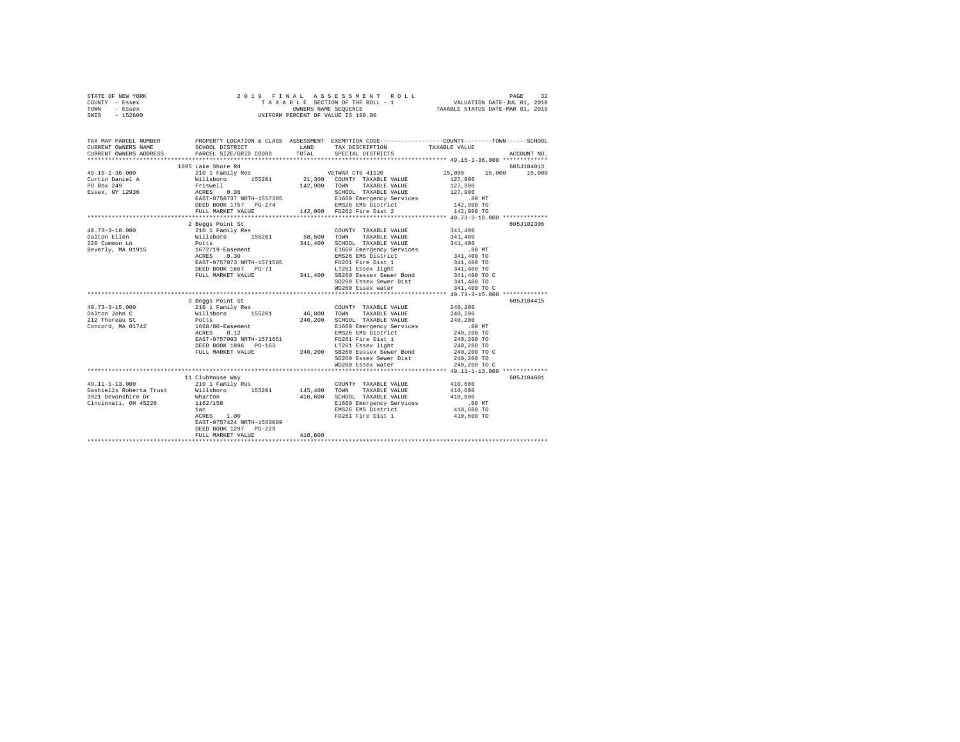|      | STATE OF NEW YORK |  | 2019 FINAL ASSESSMENT ROLL         | 32<br>PAGE                       |  |
|------|-------------------|--|------------------------------------|----------------------------------|--|
|      | COUNTY - Essex    |  | TAXABLE SECTION OF THE ROLL - 1    | VALUATION DATE-JUL 01, 2018      |  |
| TOWN | - Essex           |  | OWNERS NAME SEOUENCE               | TAXABLE STATUS DATE-MAR 01, 2019 |  |
| SWIS | - 152600          |  | UNIFORM PERCENT OF VALUE IS 100.00 |                                  |  |

| TAX MAP PARCEL NUMBER<br>CURRENT OWNERS NAME<br>CURRENT OWNERS ADDRESS | SCHOOL DISTRICT<br>PARCEL SIZE/GRID COORD TOTAL SPECIAL DISTRICTS                                                        | LAND TAX DESCRIPTION                                                                                                                                                                                                                       | PROPERTY LOCATION & CLASS ASSESSMENT EXEMPTION CODE----------------COUNTY-------TOWN-----SCHOOL<br>TAXABLE VALUE | ACCOUNT NO. |
|------------------------------------------------------------------------|--------------------------------------------------------------------------------------------------------------------------|--------------------------------------------------------------------------------------------------------------------------------------------------------------------------------------------------------------------------------------------|------------------------------------------------------------------------------------------------------------------|-------------|
|                                                                        |                                                                                                                          |                                                                                                                                                                                                                                            |                                                                                                                  |             |
|                                                                        | 1695 Lake Shore Rd                                                                                                       |                                                                                                                                                                                                                                            | 15,000 15,000 15,000                                                                                             | 605J104013  |
|                                                                        |                                                                                                                          |                                                                                                                                                                                                                                            |                                                                                                                  |             |
|                                                                        | 2 Beaas Point St                                                                                                         | NEW THE SERVICE SERVICE 341,400<br>REGION TAXABLE VALUE 341,400<br>REGION EMS26 EMS District 341,400 TO<br>FD261 Fire Dist 1 341,400 TO<br>SERVICE ESSEX Light 341,400 TO<br>SERVICE SERVICE SERVICE 344,400 TO<br>SERVICE SERVICE SERVICE |                                                                                                                  | 605J102306  |
|                                                                        | EAST-0757073 NRTH-1571505<br>DEED BOOK 1667 PG-71 LT261 Essex light<br>FULL MARKET VALUE 341,400 SB260 Eessex Sewer Bond | FD261 Fire Dist 1<br>SD260 Essex Sewer Dist 341,400 TO                                                                                                                                                                                     |                                                                                                                  |             |
|                                                                        | 3 Beggs Point St                                                                                                         |                                                                                                                                                                                                                                            |                                                                                                                  | 605J104415  |
|                                                                        |                                                                                                                          | COUNTY TAXABLE VALUE 240,200<br>E1660 Emergency Services .00 MT<br>EMS26 EMS District 240,200 TO<br>SD260 Essex Sewer Dist 240,200 TO<br>WD260 Essex water 240,200 TO C                                                                    |                                                                                                                  |             |
|                                                                        | 11 Clubhouse Way                                                                                                         |                                                                                                                                                                                                                                            |                                                                                                                  | 605J104601  |
|                                                                        | EAST-0757424 NRTH-1563089                                                                                                | 410,600 SCHOOL TAXABLE VALUE 410,600<br>E1660 Emergency Services .00 MT<br>EMS26 EMS District 410,600 TO                                                                                                                                   | 410,600<br>410,600<br>410,600 TO                                                                                 |             |
|                                                                        | DEED BOOK 1297 PG-229                                                                                                    |                                                                                                                                                                                                                                            |                                                                                                                  |             |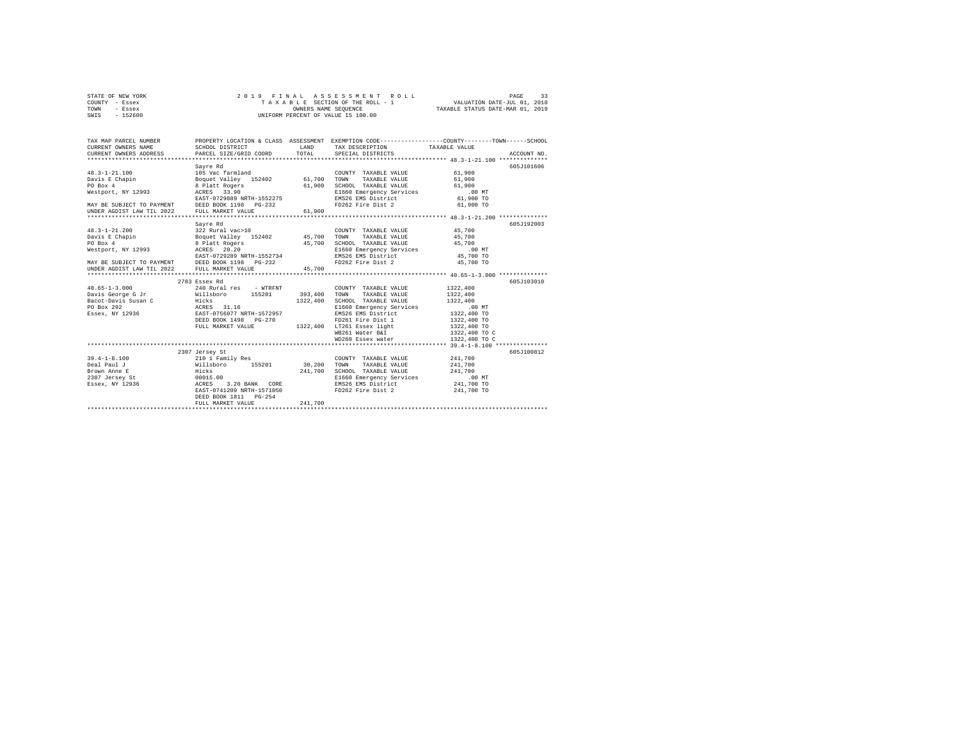| STATE OF NEW YORK | 2019 FINAL ASSESSMENT ROLL         | PAGE                             |
|-------------------|------------------------------------|----------------------------------|
| COUNTY - Essex    | TAXABLE SECTION OF THE ROLL - 1    | VALUATION DATE-JUL 01, 2018      |
| TOWN<br>- Essex   | OWNERS NAME SEOUENCE               | TAXABLE STATUS DATE-MAR 01, 2019 |
| $-152600$<br>SWIS | UNIFORM PERCENT OF VALUE IS 100.00 |                                  |

| TAX MAP PARCEL NUMBER<br>CURRENT OWNERS NAME<br>CURRENT OWNERS ADDRESS PARCEL SIZE/GRID COORD TOTAL                                                                                                                                                                                                                                                                                                       | SCHOOL DISTRICT                                                                                               | LAND    | TAX DESCRIPTION TAXABLE VALUE<br>SPECIAL DISTRICTS                                                                                                                                                                                                      | PROPERTY LOCATION & CLASS ASSESSMENT EXEMPTION CODE----------------COUNTY-------TOWN-----SCHOOL<br>ACCOUNT NO. |
|-----------------------------------------------------------------------------------------------------------------------------------------------------------------------------------------------------------------------------------------------------------------------------------------------------------------------------------------------------------------------------------------------------------|---------------------------------------------------------------------------------------------------------------|---------|---------------------------------------------------------------------------------------------------------------------------------------------------------------------------------------------------------------------------------------------------------|----------------------------------------------------------------------------------------------------------------|
| $48.3 - 1 - 21.100$<br>Davis E Chapin<br>PO Box 4<br>Westport, NY 12993 ACRES 33.90                                                                                                                                                                                                                                                                                                                       | Sayre Rd<br>EAST-0729889 NRTH-1552275                                                                         |         | 105 Vac farmland<br>Boquet Valley 152402 61,700 TOWN TAXABLE VALUE<br>8 Platt Rogers 152402 61,900 SCHOOL TAXABLE VALUE<br>COUNTY TAXABLE VALUE 61,900<br>E1660 Emergency Services<br>EMS26 EMS District 61,900 TO                                      | 605J101606<br>61,900<br>61,900<br>$.00$ MT                                                                     |
| $\begin{array}{cccccccc} 48.3\text{--}1-21.200 & & 322 \text{ Rural vac}>10 & & \text{COUNTY TAZABLE VALUE} & & 45,700 \\ \text{Davis E Chapin} & & \text{Boguet Valley} & 152402 & & 45,700 & \text{TOWN} & \text{TAXABLE VALUE} & & 45,700 \end{array}$<br>PO Box 4<br>Westport, NY 12993 ACRES 20.20<br>EAST-0729289 N<br>MAY BE SUBJECT TO PAYMENT DEED BOOK 1198 PG-232<br>UNDER AGDIST LAW TIL 2022 | Sayre Rd<br>EAST-0729289 NRTH-1552734<br>FULL MARKET VALUE                                                    | 45,700  | E1660 Emergency Services .00 MT<br>EMS26 EMS District 45,700 TO<br>FD262 Fire Dist 2                                                                                                                                                                    | 605J192003<br>45,700 TO                                                                                        |
| $40.65 - 1 - 3.000$<br>Essex, NY 12936 EAST-0756077 NRTH-1572957                                                                                                                                                                                                                                                                                                                                          | 2783 Essex Rd<br>240 Rural res - WTRFNT<br>DEED BOOK 1498 PG-270                                              |         | COUNTY TAXABLE VALUE<br>TOWN<br>TAXABLE VALUE<br>SCHOOL TAXABLE VALUE<br>E1660 Emergency Services .00 MT<br>EMS26 EMS District 1322,400 TO<br>FD261 Fire Dist 1<br>FULL MARKET VALUE 1322,400 LT261 Essex light<br>WB261 Water B&I<br>WD260 Essex water | 605J103010<br>1322,400<br>1322,400<br>1322,400<br>1322,400 TO<br>1322,400 TO<br>1322,400 TO C<br>1322,400 TO C |
| $39.4 - 1 - 8.100$                                                                                                                                                                                                                                                                                                                                                                                        | 2307 Jersey St<br>210 1 Family Res<br>EAST-0741209 NRTH-1571050<br>DEED BOOK 1811 PG-254<br>FULL MARKET VALUE | 241,700 | COUNTY TAXABLE VALUE 241,700<br>TOWN<br>TAXABLE VALUE 241,700<br>SCHOOL TAXABLE VALUE $241,700$<br>E1660 Emergency Services 00 MT<br>EMS26 EMS District 241,700 TO<br>FD262 Fire Dist 2 241,700 TO                                                      | 605J100812                                                                                                     |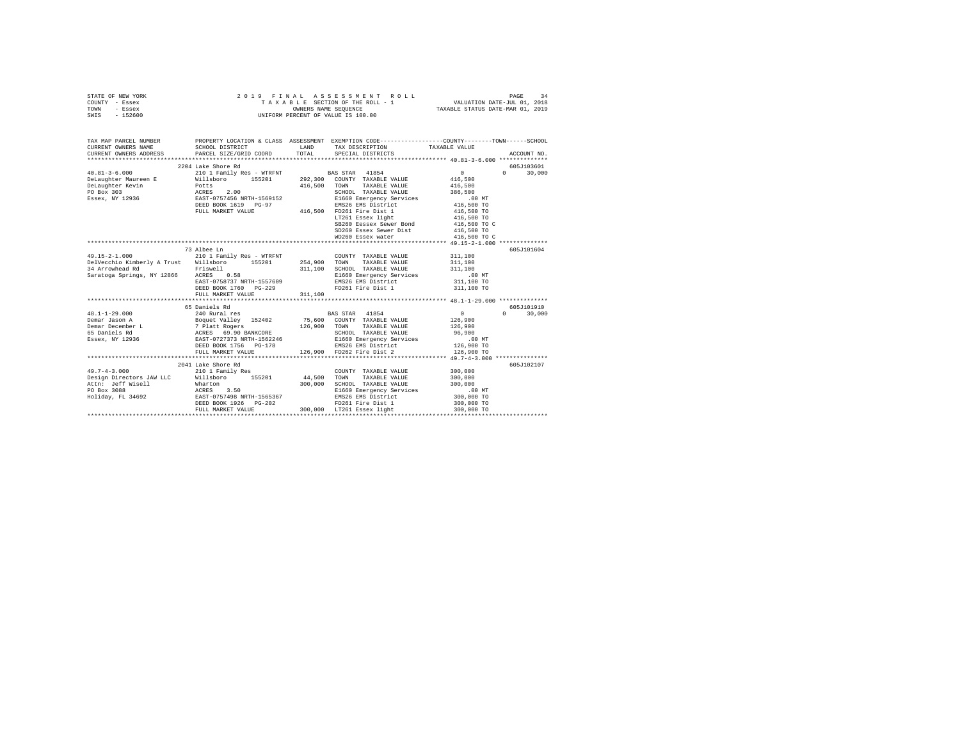|      | STATE OF NEW YORK |  | 2019 FINAL ASSESSMENT ROLL         | PAGE                             | 34 |
|------|-------------------|--|------------------------------------|----------------------------------|----|
|      | COUNTY - Essex    |  | TAXABLE SECTION OF THE ROLL - 1    | VALUATION DATE-JUL 01, 2018      |    |
| TOWN | - Essex           |  | OWNERS NAME SEOUENCE               | TAXABLE STATUS DATE-MAR 01, 2019 |    |
| SWIS | $-152600$         |  | UNIFORM PERCENT OF VALUE IS 100.00 |                                  |    |

| CURRENT OWNERS ADDRESS PARCEL SIZE/GRID COORD TOTAL SPECIAL DISTRICTS<br>ACCOUNT NO.<br>2204 Lake Shore Rd<br>605J103601<br>$\sim$ 0<br>$0 \t 30,000$<br>416,500<br>416,500<br>416,500 TOWN TAXABLE VALUE<br>SCHOOL TAXABLE VALUE 386,500<br>ACRES 2.00 SCHOOL TAXABLE VALUE 386,500<br>EAST-0757456 NRTH-1569152 E1660 Emergency Services .00 NT<br>EED BOOK 1619 PG-97 EMS26 EMS District 416,500 TO<br>FULL MARKET VALUE 416,500 FD261 Fire Dist 1 416,500 TO<br>LT261 Essex light $416,500$ TO<br>SB260 Eessex Sewer Bond<br>SD260 Essex Sewer Dist<br>416,500 TO C<br>416,500 TO<br>WD260 Essex water 416,500 TO C<br>73 Albee Ln<br>605J101604<br>COUNTY TAXABLE VALUE 311.100<br>E1660 Emergency Services<br>EMS26 EMS District<br>311,100 TO<br>EAST-0758737 NRTH-1557609<br>DEED BOOK 1760 PG-229<br>FD261 Fire Dist 1 311,100 TO<br>311,100<br>FULL MARKET VALUE<br>605J101910<br>65 Daniels Rd<br>65 Daniels Rd<br>240 Rundet Valley 152402 75,600 COUNTY TAXABLE VALUE 126,900<br>26 Poquet Valley 152402 75,600 COUNTY TAXABLE VALUE 126,900<br>26 The Ross of Dans CORE<br>26 POZIT373 RRTH-1562246 5CHOOL TAXABLE VALUE 126,900<br>26<br>$48.1 - 1 - 29.000$<br>$0 \t 30,000$<br>Demar Jason A<br>Demar December L<br>65 Daniels Rd<br>Essex, NY 12936<br>605J102107<br>2041 Lake Shore Rd<br>49.7-4-3.000 210 1 Family Res<br>COUNTY TAXABLE VALUE 300,000<br>Design Directors JAW LLC Willsboro 155201 44,500 TOWN TAXABLE VALUE 300,000<br>DEED BOOK 1926 PG-202 PD261 Fire Dist 1<br>FULL MARKET VALUE 300,000 LT261 Essex light<br>FD261 Fire Dist 1 300,000 TO | TAX MAP PARCEL NUMBER |  | PROPERTY LOCATION & CLASS ASSESSMENT EXEMPTION CODE---------------COUNTY-------TOWN-----SCHOOL |  |
|-------------------------------------------------------------------------------------------------------------------------------------------------------------------------------------------------------------------------------------------------------------------------------------------------------------------------------------------------------------------------------------------------------------------------------------------------------------------------------------------------------------------------------------------------------------------------------------------------------------------------------------------------------------------------------------------------------------------------------------------------------------------------------------------------------------------------------------------------------------------------------------------------------------------------------------------------------------------------------------------------------------------------------------------------------------------------------------------------------------------------------------------------------------------------------------------------------------------------------------------------------------------------------------------------------------------------------------------------------------------------------------------------------------------------------------------------------------------------------------------------------------------------------------------------------------------------------------|-----------------------|--|------------------------------------------------------------------------------------------------|--|
|                                                                                                                                                                                                                                                                                                                                                                                                                                                                                                                                                                                                                                                                                                                                                                                                                                                                                                                                                                                                                                                                                                                                                                                                                                                                                                                                                                                                                                                                                                                                                                                     |                       |  |                                                                                                |  |
|                                                                                                                                                                                                                                                                                                                                                                                                                                                                                                                                                                                                                                                                                                                                                                                                                                                                                                                                                                                                                                                                                                                                                                                                                                                                                                                                                                                                                                                                                                                                                                                     |                       |  |                                                                                                |  |
|                                                                                                                                                                                                                                                                                                                                                                                                                                                                                                                                                                                                                                                                                                                                                                                                                                                                                                                                                                                                                                                                                                                                                                                                                                                                                                                                                                                                                                                                                                                                                                                     |                       |  |                                                                                                |  |
|                                                                                                                                                                                                                                                                                                                                                                                                                                                                                                                                                                                                                                                                                                                                                                                                                                                                                                                                                                                                                                                                                                                                                                                                                                                                                                                                                                                                                                                                                                                                                                                     |                       |  |                                                                                                |  |
|                                                                                                                                                                                                                                                                                                                                                                                                                                                                                                                                                                                                                                                                                                                                                                                                                                                                                                                                                                                                                                                                                                                                                                                                                                                                                                                                                                                                                                                                                                                                                                                     |                       |  |                                                                                                |  |
|                                                                                                                                                                                                                                                                                                                                                                                                                                                                                                                                                                                                                                                                                                                                                                                                                                                                                                                                                                                                                                                                                                                                                                                                                                                                                                                                                                                                                                                                                                                                                                                     |                       |  |                                                                                                |  |
|                                                                                                                                                                                                                                                                                                                                                                                                                                                                                                                                                                                                                                                                                                                                                                                                                                                                                                                                                                                                                                                                                                                                                                                                                                                                                                                                                                                                                                                                                                                                                                                     |                       |  |                                                                                                |  |
|                                                                                                                                                                                                                                                                                                                                                                                                                                                                                                                                                                                                                                                                                                                                                                                                                                                                                                                                                                                                                                                                                                                                                                                                                                                                                                                                                                                                                                                                                                                                                                                     |                       |  |                                                                                                |  |
|                                                                                                                                                                                                                                                                                                                                                                                                                                                                                                                                                                                                                                                                                                                                                                                                                                                                                                                                                                                                                                                                                                                                                                                                                                                                                                                                                                                                                                                                                                                                                                                     |                       |  |                                                                                                |  |
|                                                                                                                                                                                                                                                                                                                                                                                                                                                                                                                                                                                                                                                                                                                                                                                                                                                                                                                                                                                                                                                                                                                                                                                                                                                                                                                                                                                                                                                                                                                                                                                     |                       |  |                                                                                                |  |
|                                                                                                                                                                                                                                                                                                                                                                                                                                                                                                                                                                                                                                                                                                                                                                                                                                                                                                                                                                                                                                                                                                                                                                                                                                                                                                                                                                                                                                                                                                                                                                                     |                       |  |                                                                                                |  |
|                                                                                                                                                                                                                                                                                                                                                                                                                                                                                                                                                                                                                                                                                                                                                                                                                                                                                                                                                                                                                                                                                                                                                                                                                                                                                                                                                                                                                                                                                                                                                                                     |                       |  |                                                                                                |  |
|                                                                                                                                                                                                                                                                                                                                                                                                                                                                                                                                                                                                                                                                                                                                                                                                                                                                                                                                                                                                                                                                                                                                                                                                                                                                                                                                                                                                                                                                                                                                                                                     |                       |  |                                                                                                |  |
|                                                                                                                                                                                                                                                                                                                                                                                                                                                                                                                                                                                                                                                                                                                                                                                                                                                                                                                                                                                                                                                                                                                                                                                                                                                                                                                                                                                                                                                                                                                                                                                     |                       |  |                                                                                                |  |
|                                                                                                                                                                                                                                                                                                                                                                                                                                                                                                                                                                                                                                                                                                                                                                                                                                                                                                                                                                                                                                                                                                                                                                                                                                                                                                                                                                                                                                                                                                                                                                                     |                       |  |                                                                                                |  |
|                                                                                                                                                                                                                                                                                                                                                                                                                                                                                                                                                                                                                                                                                                                                                                                                                                                                                                                                                                                                                                                                                                                                                                                                                                                                                                                                                                                                                                                                                                                                                                                     |                       |  |                                                                                                |  |
|                                                                                                                                                                                                                                                                                                                                                                                                                                                                                                                                                                                                                                                                                                                                                                                                                                                                                                                                                                                                                                                                                                                                                                                                                                                                                                                                                                                                                                                                                                                                                                                     |                       |  |                                                                                                |  |
|                                                                                                                                                                                                                                                                                                                                                                                                                                                                                                                                                                                                                                                                                                                                                                                                                                                                                                                                                                                                                                                                                                                                                                                                                                                                                                                                                                                                                                                                                                                                                                                     |                       |  |                                                                                                |  |
|                                                                                                                                                                                                                                                                                                                                                                                                                                                                                                                                                                                                                                                                                                                                                                                                                                                                                                                                                                                                                                                                                                                                                                                                                                                                                                                                                                                                                                                                                                                                                                                     |                       |  |                                                                                                |  |
|                                                                                                                                                                                                                                                                                                                                                                                                                                                                                                                                                                                                                                                                                                                                                                                                                                                                                                                                                                                                                                                                                                                                                                                                                                                                                                                                                                                                                                                                                                                                                                                     |                       |  |                                                                                                |  |
|                                                                                                                                                                                                                                                                                                                                                                                                                                                                                                                                                                                                                                                                                                                                                                                                                                                                                                                                                                                                                                                                                                                                                                                                                                                                                                                                                                                                                                                                                                                                                                                     |                       |  |                                                                                                |  |
|                                                                                                                                                                                                                                                                                                                                                                                                                                                                                                                                                                                                                                                                                                                                                                                                                                                                                                                                                                                                                                                                                                                                                                                                                                                                                                                                                                                                                                                                                                                                                                                     |                       |  |                                                                                                |  |
|                                                                                                                                                                                                                                                                                                                                                                                                                                                                                                                                                                                                                                                                                                                                                                                                                                                                                                                                                                                                                                                                                                                                                                                                                                                                                                                                                                                                                                                                                                                                                                                     |                       |  |                                                                                                |  |
|                                                                                                                                                                                                                                                                                                                                                                                                                                                                                                                                                                                                                                                                                                                                                                                                                                                                                                                                                                                                                                                                                                                                                                                                                                                                                                                                                                                                                                                                                                                                                                                     |                       |  |                                                                                                |  |
|                                                                                                                                                                                                                                                                                                                                                                                                                                                                                                                                                                                                                                                                                                                                                                                                                                                                                                                                                                                                                                                                                                                                                                                                                                                                                                                                                                                                                                                                                                                                                                                     |                       |  |                                                                                                |  |
|                                                                                                                                                                                                                                                                                                                                                                                                                                                                                                                                                                                                                                                                                                                                                                                                                                                                                                                                                                                                                                                                                                                                                                                                                                                                                                                                                                                                                                                                                                                                                                                     |                       |  |                                                                                                |  |
|                                                                                                                                                                                                                                                                                                                                                                                                                                                                                                                                                                                                                                                                                                                                                                                                                                                                                                                                                                                                                                                                                                                                                                                                                                                                                                                                                                                                                                                                                                                                                                                     |                       |  |                                                                                                |  |
|                                                                                                                                                                                                                                                                                                                                                                                                                                                                                                                                                                                                                                                                                                                                                                                                                                                                                                                                                                                                                                                                                                                                                                                                                                                                                                                                                                                                                                                                                                                                                                                     |                       |  |                                                                                                |  |
|                                                                                                                                                                                                                                                                                                                                                                                                                                                                                                                                                                                                                                                                                                                                                                                                                                                                                                                                                                                                                                                                                                                                                                                                                                                                                                                                                                                                                                                                                                                                                                                     |                       |  |                                                                                                |  |
|                                                                                                                                                                                                                                                                                                                                                                                                                                                                                                                                                                                                                                                                                                                                                                                                                                                                                                                                                                                                                                                                                                                                                                                                                                                                                                                                                                                                                                                                                                                                                                                     |                       |  |                                                                                                |  |
|                                                                                                                                                                                                                                                                                                                                                                                                                                                                                                                                                                                                                                                                                                                                                                                                                                                                                                                                                                                                                                                                                                                                                                                                                                                                                                                                                                                                                                                                                                                                                                                     |                       |  |                                                                                                |  |
|                                                                                                                                                                                                                                                                                                                                                                                                                                                                                                                                                                                                                                                                                                                                                                                                                                                                                                                                                                                                                                                                                                                                                                                                                                                                                                                                                                                                                                                                                                                                                                                     |                       |  |                                                                                                |  |
|                                                                                                                                                                                                                                                                                                                                                                                                                                                                                                                                                                                                                                                                                                                                                                                                                                                                                                                                                                                                                                                                                                                                                                                                                                                                                                                                                                                                                                                                                                                                                                                     |                       |  |                                                                                                |  |
|                                                                                                                                                                                                                                                                                                                                                                                                                                                                                                                                                                                                                                                                                                                                                                                                                                                                                                                                                                                                                                                                                                                                                                                                                                                                                                                                                                                                                                                                                                                                                                                     |                       |  |                                                                                                |  |
|                                                                                                                                                                                                                                                                                                                                                                                                                                                                                                                                                                                                                                                                                                                                                                                                                                                                                                                                                                                                                                                                                                                                                                                                                                                                                                                                                                                                                                                                                                                                                                                     |                       |  |                                                                                                |  |
|                                                                                                                                                                                                                                                                                                                                                                                                                                                                                                                                                                                                                                                                                                                                                                                                                                                                                                                                                                                                                                                                                                                                                                                                                                                                                                                                                                                                                                                                                                                                                                                     |                       |  |                                                                                                |  |
|                                                                                                                                                                                                                                                                                                                                                                                                                                                                                                                                                                                                                                                                                                                                                                                                                                                                                                                                                                                                                                                                                                                                                                                                                                                                                                                                                                                                                                                                                                                                                                                     |                       |  |                                                                                                |  |
|                                                                                                                                                                                                                                                                                                                                                                                                                                                                                                                                                                                                                                                                                                                                                                                                                                                                                                                                                                                                                                                                                                                                                                                                                                                                                                                                                                                                                                                                                                                                                                                     |                       |  |                                                                                                |  |
|                                                                                                                                                                                                                                                                                                                                                                                                                                                                                                                                                                                                                                                                                                                                                                                                                                                                                                                                                                                                                                                                                                                                                                                                                                                                                                                                                                                                                                                                                                                                                                                     |                       |  |                                                                                                |  |
|                                                                                                                                                                                                                                                                                                                                                                                                                                                                                                                                                                                                                                                                                                                                                                                                                                                                                                                                                                                                                                                                                                                                                                                                                                                                                                                                                                                                                                                                                                                                                                                     |                       |  |                                                                                                |  |
|                                                                                                                                                                                                                                                                                                                                                                                                                                                                                                                                                                                                                                                                                                                                                                                                                                                                                                                                                                                                                                                                                                                                                                                                                                                                                                                                                                                                                                                                                                                                                                                     |                       |  |                                                                                                |  |
| 300,000 TO                                                                                                                                                                                                                                                                                                                                                                                                                                                                                                                                                                                                                                                                                                                                                                                                                                                                                                                                                                                                                                                                                                                                                                                                                                                                                                                                                                                                                                                                                                                                                                          |                       |  |                                                                                                |  |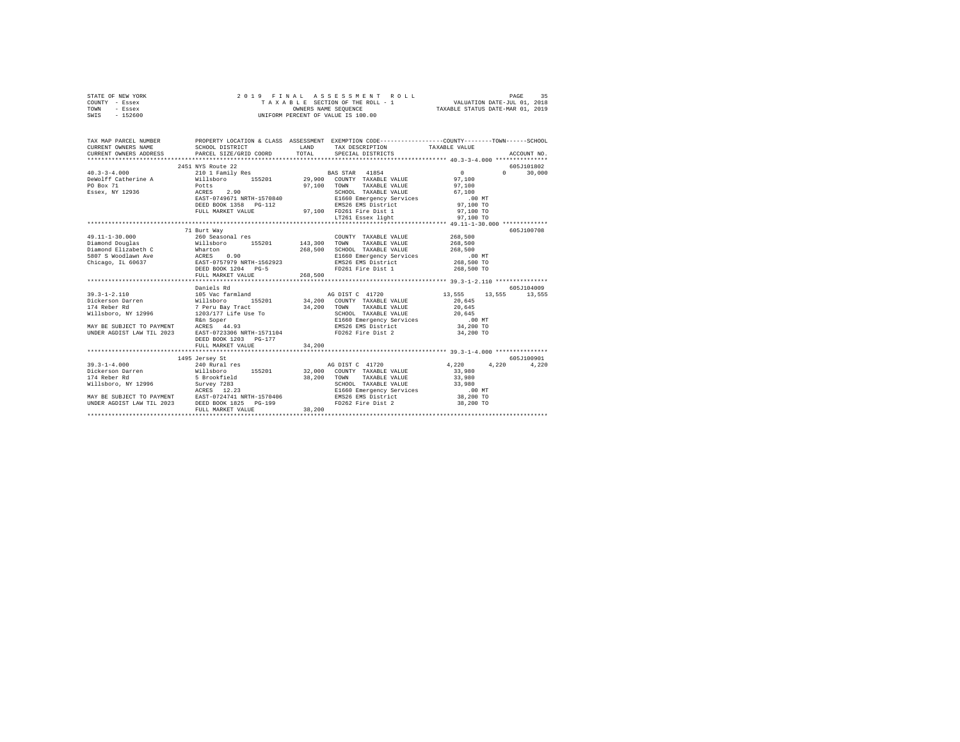| STATE OF NEW YORK<br>COUNTY - Essex<br>TOWN<br>- Essex<br>SWIS - 152600                                                                                                                                                                                                                                                                                                                                                                                                                                                                                                                                                                                                              | 2019 FINAL ASSESSED TO THE ROLL - 1<br>TAXABLE SECTION OF THE ROLL - 1<br>OWNERS NAME SEQUENCE<br>UNIFORM PERCENT OF VALUE IS 100.00                                                                                                       |         |                                                                                                                                                                                                                                                                                                                            |                                                                                                                                                                 |                           |
|--------------------------------------------------------------------------------------------------------------------------------------------------------------------------------------------------------------------------------------------------------------------------------------------------------------------------------------------------------------------------------------------------------------------------------------------------------------------------------------------------------------------------------------------------------------------------------------------------------------------------------------------------------------------------------------|--------------------------------------------------------------------------------------------------------------------------------------------------------------------------------------------------------------------------------------------|---------|----------------------------------------------------------------------------------------------------------------------------------------------------------------------------------------------------------------------------------------------------------------------------------------------------------------------------|-----------------------------------------------------------------------------------------------------------------------------------------------------------------|---------------------------|
| TAX MAP PARCEL NUMBER THE PROPERTY LOCATION & CLASS ASSESSMENT EXEMPTION CODE-------------COUNTY-------TOWN------SCHOOL<br>$\begin{minipage}{.4\linewidth} \texttt{CURRENT} \end{minipage} \begin{minipage}{.4\linewidth} \texttt{SCHOOL DISTRIBUT} \end{minipage}$<br>CURRENT OWNERS ADDRESS                                                                                                                                                                                                                                                                                                                                                                                        | PARCEL SIZE/GRID COORD                                                                                                                                                                                                                     | TOTAL   | LAND TAX DESCRIPTION TAXABLE VALUE<br>SPECIAL DISTRICTS                                                                                                                                                                                                                                                                    |                                                                                                                                                                 | ACCOUNT NO.               |
|                                                                                                                                                                                                                                                                                                                                                                                                                                                                                                                                                                                                                                                                                      | 2451 NYS Route 22                                                                                                                                                                                                                          |         |                                                                                                                                                                                                                                                                                                                            |                                                                                                                                                                 | 605J101802                |
| $40.3 - 3 - 4.000$                                                                                                                                                                                                                                                                                                                                                                                                                                                                                                                                                                                                                                                                   |                                                                                                                                                                                                                                            |         |                                                                                                                                                                                                                                                                                                                            | $\sim$ 0<br>$\sim$                                                                                                                                              | 30,000                    |
| DeWolff Catherine A<br>PO Box 71<br>Essex, NY 12936                                                                                                                                                                                                                                                                                                                                                                                                                                                                                                                                                                                                                                  | 2431 AND LEVEL 21 D I Family Res BAS STAR 41854<br>Willaboro 155201 29,000 COUNTY TAXABLE VALUE<br>POtts 97,100 TOWN TAXABLE VALUE<br>RATES 2.90 STADOL TAXABLE VALUE<br>RATES 2.90 STADOL TAXABLE VALUE<br>RATES 2000 RATES PO-112<br>DEE |         |                                                                                                                                                                                                                                                                                                                            | 97,100<br>97,100<br>67,100<br>$.00$ MT<br>00 MT.<br>97,100 TO                                                                                                   |                           |
|                                                                                                                                                                                                                                                                                                                                                                                                                                                                                                                                                                                                                                                                                      |                                                                                                                                                                                                                                            |         |                                                                                                                                                                                                                                                                                                                            | 97,100 TO                                                                                                                                                       |                           |
|                                                                                                                                                                                                                                                                                                                                                                                                                                                                                                                                                                                                                                                                                      | FULL MARKET VALUE 97,100 FD261 Fire Dist 1<br>ETLL MARKET VALUE 57,100 ED261 Essex light                                                                                                                                                   |         |                                                                                                                                                                                                                                                                                                                            | 97,100 TO                                                                                                                                                       |                           |
|                                                                                                                                                                                                                                                                                                                                                                                                                                                                                                                                                                                                                                                                                      |                                                                                                                                                                                                                                            |         |                                                                                                                                                                                                                                                                                                                            |                                                                                                                                                                 |                           |
| $49.11 - 1 - 30.000$<br>$\begin{tabular}{lcccc} \texttt{Diamond} & \texttt{Ddiamond} & \texttt{WillsDoro} & \texttt{155201} & \texttt{143,300} \\ \texttt{Diamond} & \texttt{Diamond} & \texttt{163,300} & \texttt{163,300} \\ \texttt{Diamond} & \texttt{Dedge} & \texttt{Wharkton} & \texttt{163,300} \\ \texttt{5807 S Woodlaw} & \texttt{268,500} & \texttt{268,500} \\ \texttt{Chieago, IL 60637} & \texttt{EABT-0757979 NRTF1-15$<br>39.3-1-2.110<br>Dieterson Darren Willshoro 155201 34,20<br>Dieterson Darren Willshoro 155201 34,20<br>174 Reber Rd 7 Peru Bay Tract 34,20<br>Willshoro, NY 12996 1203/177 Life Use To<br>NAY BE SUBJECT TO PAYMENT REES 44.93<br>UNDER AG | 71 Burt Way<br>260 Seasonal res<br>FULL MARKET VALUE<br>Daniels Rd                                                                                                                                                                         | 268,500 | COUNTY TAXABLE VALUE<br>TOWN<br>TAXABLE VALUE<br>SCHOOL TAXABLE VALUE<br>E1660 Emergency Services<br>EMS26 EMS District<br>FD261 Fire Dist 1<br>AG DIST C 41720<br>34.200 COUNTY TAXABLE VALUE<br>34,200 TOWN TAXABLE VALUE<br>SCHOOL TAXABLE VALUE<br>E1660 Emergency Services<br>EMS26 EMS District<br>FD262 Fire Dist 2 | 268,500<br>268,500<br>268,500<br>00 MT.<br>268,500 TO<br>268,500 TO<br>13,555 13,555 13,555<br>20,645<br>20,645<br>20,645<br>$.00$ MT<br>34,200 TO<br>34,200 TO | 605J100708<br>605-7104009 |
|                                                                                                                                                                                                                                                                                                                                                                                                                                                                                                                                                                                                                                                                                      | DEED BOOK 1203 PG-177                                                                                                                                                                                                                      |         |                                                                                                                                                                                                                                                                                                                            |                                                                                                                                                                 |                           |
|                                                                                                                                                                                                                                                                                                                                                                                                                                                                                                                                                                                                                                                                                      | FULL MARKET VALUE                                                                                                                                                                                                                          | 34,200  |                                                                                                                                                                                                                                                                                                                            |                                                                                                                                                                 |                           |
|                                                                                                                                                                                                                                                                                                                                                                                                                                                                                                                                                                                                                                                                                      |                                                                                                                                                                                                                                            |         |                                                                                                                                                                                                                                                                                                                            |                                                                                                                                                                 |                           |
| UNDER AGDIST LAW TIL 2023 DEED BOOK 1825 PG-199                                                                                                                                                                                                                                                                                                                                                                                                                                                                                                                                                                                                                                      | 1495 Jersey St                                                                                                                                                                                                                             |         | FD262 Fire Dist 2                                                                                                                                                                                                                                                                                                          | 4,220 4,220<br>33,980<br>33,980<br>33,980<br>00 MT.<br>38,200 TO<br>38,200 TO                                                                                   | 605J100901<br>4,220       |
|                                                                                                                                                                                                                                                                                                                                                                                                                                                                                                                                                                                                                                                                                      | FULL MARKET VALUE                                                                                                                                                                                                                          | 38,200  |                                                                                                                                                                                                                                                                                                                            |                                                                                                                                                                 |                           |
|                                                                                                                                                                                                                                                                                                                                                                                                                                                                                                                                                                                                                                                                                      |                                                                                                                                                                                                                                            |         |                                                                                                                                                                                                                                                                                                                            |                                                                                                                                                                 |                           |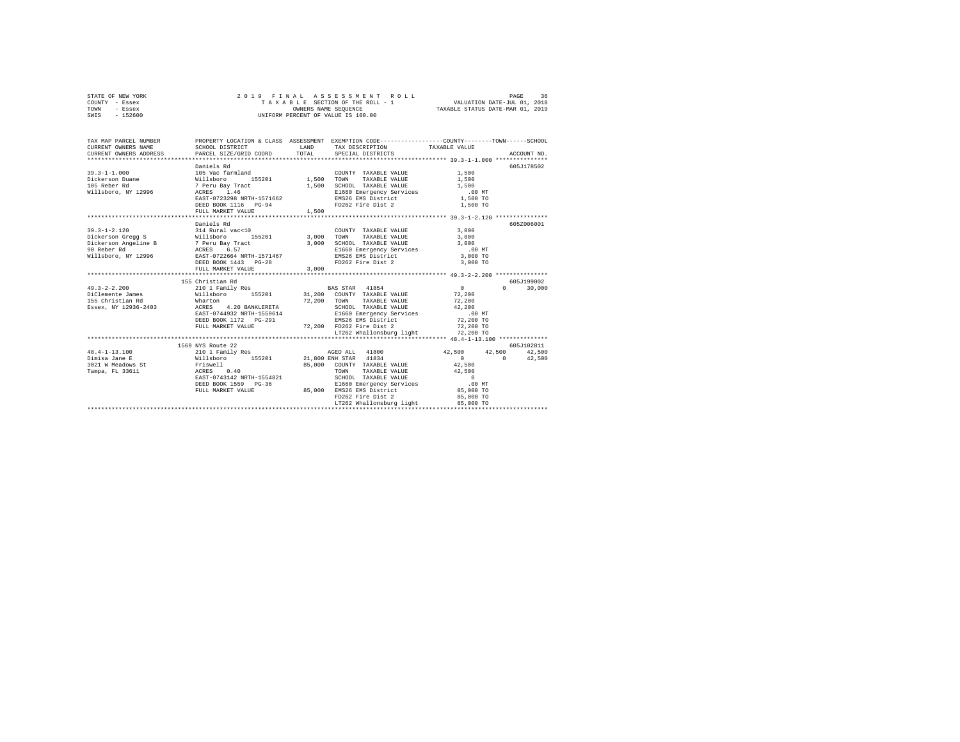|      | STATE OF NEW YORK |  |  | 2019 FINAL ASSESSMENT ROLL         |                                  | PAGE | 36 |
|------|-------------------|--|--|------------------------------------|----------------------------------|------|----|
|      | COUNTY - Essex    |  |  | TAXABLE SECTION OF THE ROLL - 1    | VALUATION DATE-JUL 01, 2018      |      |    |
| TOWN | - Essex           |  |  | OWNERS NAME SEOUENCE               | TAXABLE STATUS DATE-MAR 01, 2019 |      |    |
| SWIS | $-152600$         |  |  | UNIFORM PERCENT OF VALUE IS 100.00 |                                  |      |    |

| TAX MAP PARCEL NUMBER                                                                                                                                                                                                                                                    | PROPERTY LOCATION & CLASS ASSESSMENT EXEMPTION CODE----------------COUNTY-------TOWN-----SCHOOL                                                                                                                                    |       |                                    |                    |            |
|--------------------------------------------------------------------------------------------------------------------------------------------------------------------------------------------------------------------------------------------------------------------------|------------------------------------------------------------------------------------------------------------------------------------------------------------------------------------------------------------------------------------|-------|------------------------------------|--------------------|------------|
|                                                                                                                                                                                                                                                                          |                                                                                                                                                                                                                                    |       |                                    |                    |            |
|                                                                                                                                                                                                                                                                          |                                                                                                                                                                                                                                    |       |                                    |                    | 605J178502 |
|                                                                                                                                                                                                                                                                          |                                                                                                                                                                                                                                    |       |                                    |                    |            |
|                                                                                                                                                                                                                                                                          |                                                                                                                                                                                                                                    |       |                                    |                    |            |
|                                                                                                                                                                                                                                                                          |                                                                                                                                                                                                                                    |       |                                    |                    |            |
|                                                                                                                                                                                                                                                                          |                                                                                                                                                                                                                                    |       |                                    |                    |            |
|                                                                                                                                                                                                                                                                          | 00 1.46 2.1.46 2.1.500 1.900 1.900 1.900 1.900 1.900 1.900 1.900 1.900 1.900 1.900 1.900 1.900 1.900 1.900 1.<br>1.500 1.900 1.500 1.900 1.900 1.900 1.900 1.900 1.900 1.900 1.900 1.900 1.900 1.900 1.900 1.900 1.900 1.900 1<br> |       |                                    |                    |            |
|                                                                                                                                                                                                                                                                          |                                                                                                                                                                                                                                    |       |                                    |                    |            |
|                                                                                                                                                                                                                                                                          | FULL MARKET VALUE                                                                                                                                                                                                                  | 1,500 |                                    |                    |            |
|                                                                                                                                                                                                                                                                          |                                                                                                                                                                                                                                    |       |                                    |                    |            |
|                                                                                                                                                                                                                                                                          | Daniels Rd                                                                                                                                                                                                                         |       |                                    |                    | 605Z006001 |
| $\begin{array}{cccccccc} 39.3-1-2.120 & 314 \text{ Rural vac}\times 10 & 00 \text{UVTY} & \text{TAXABLE VALUE} & 3,000 \\ \text{Dickerson Gregory} & 8 & 8 & 14 \text{ Rural vac}\times 10 & 155201 & 3,000 & \text{TOWN} & \text{TAXABLE VALUE} & 3,000 \\ \end{array}$ |                                                                                                                                                                                                                                    |       |                                    |                    |            |
|                                                                                                                                                                                                                                                                          |                                                                                                                                                                                                                                    |       |                                    |                    |            |
|                                                                                                                                                                                                                                                                          |                                                                                                                                                                                                                                    |       |                                    |                    |            |
|                                                                                                                                                                                                                                                                          |                                                                                                                                                                                                                                    |       |                                    |                    |            |
|                                                                                                                                                                                                                                                                          |                                                                                                                                                                                                                                    |       |                                    |                    |            |
|                                                                                                                                                                                                                                                                          |                                                                                                                                                                                                                                    |       |                                    |                    |            |
|                                                                                                                                                                                                                                                                          | FULL MARKET VALUE                                                                                                                                                                                                                  | 3,000 |                                    |                    |            |
|                                                                                                                                                                                                                                                                          |                                                                                                                                                                                                                                    |       |                                    |                    |            |
|                                                                                                                                                                                                                                                                          |                                                                                                                                                                                                                                    |       |                                    |                    | 605-199002 |
|                                                                                                                                                                                                                                                                          |                                                                                                                                                                                                                                    |       |                                    | $0 \t 0 \t 30,000$ |            |
|                                                                                                                                                                                                                                                                          |                                                                                                                                                                                                                                    |       |                                    |                    |            |
|                                                                                                                                                                                                                                                                          |                                                                                                                                                                                                                                    |       |                                    |                    |            |
|                                                                                                                                                                                                                                                                          |                                                                                                                                                                                                                                    |       |                                    |                    |            |
|                                                                                                                                                                                                                                                                          |                                                                                                                                                                                                                                    |       |                                    |                    |            |
|                                                                                                                                                                                                                                                                          |                                                                                                                                                                                                                                    |       |                                    |                    |            |
|                                                                                                                                                                                                                                                                          |                                                                                                                                                                                                                                    |       |                                    |                    |            |
|                                                                                                                                                                                                                                                                          |                                                                                                                                                                                                                                    |       |                                    |                    |            |
|                                                                                                                                                                                                                                                                          |                                                                                                                                                                                                                                    |       |                                    |                    |            |
|                                                                                                                                                                                                                                                                          | 1569 NYS Route 22                                                                                                                                                                                                                  |       |                                    |                    | 605J102811 |
| $48.4 - 1 - 13.100$                                                                                                                                                                                                                                                      |                                                                                                                                                                                                                                    |       |                                    |                    |            |
| Dimisa Jane E                                                                                                                                                                                                                                                            |                                                                                                                                                                                                                                    |       |                                    |                    |            |
|                                                                                                                                                                                                                                                                          |                                                                                                                                                                                                                                    |       |                                    |                    |            |
|                                                                                                                                                                                                                                                                          |                                                                                                                                                                                                                                    |       |                                    |                    |            |
|                                                                                                                                                                                                                                                                          |                                                                                                                                                                                                                                    |       |                                    |                    |            |
|                                                                                                                                                                                                                                                                          |                                                                                                                                                                                                                                    |       |                                    |                    |            |
| 2011 MARINE VALUE 42,500<br>2021 M Meadows St<br>2021 M Meadows St<br>2021 M Meadows St<br>2021 M Meadows St<br>2021 M Meadows St<br>2021 M Marine Marine 2021 MARINE VALUE<br>2021 M MARINE VALUE 2021 MARINE VALUE<br>2021 M MARINE VALUE 20                           |                                                                                                                                                                                                                                    |       |                                    |                    |            |
|                                                                                                                                                                                                                                                                          |                                                                                                                                                                                                                                    |       | FD262 Fire Dist 2                  | 85,000 TO          |            |
|                                                                                                                                                                                                                                                                          |                                                                                                                                                                                                                                    |       | LT262 Whallonsburg light 85,000 TO |                    |            |
|                                                                                                                                                                                                                                                                          |                                                                                                                                                                                                                                    |       |                                    |                    |            |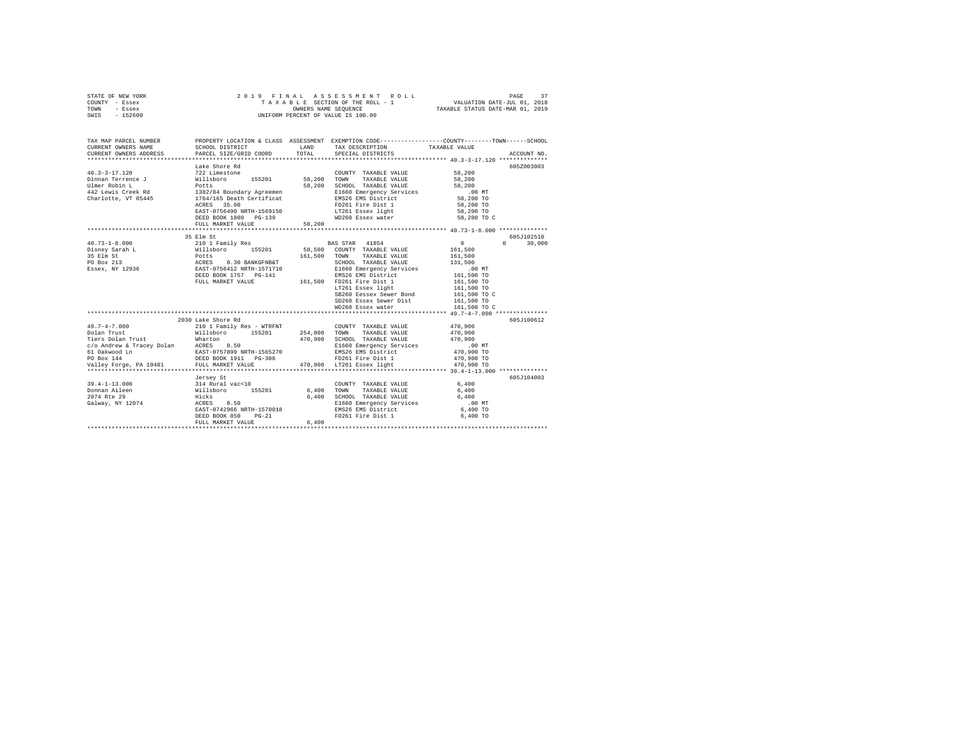| STATE OF NEW YORK | 2019 FINAL ASSESSMENT ROLL         | 37<br>PAGE                       |
|-------------------|------------------------------------|----------------------------------|
| COUNTY - Essex    | TAXABLE SECTION OF THE ROLL - 1    | VALUATION DATE-JUL 01, 2018      |
| TOWN<br>- Essex   | OWNERS NAME SEOUENCE               | TAXABLE STATUS DATE-MAR 01, 2019 |
| $-152600$<br>SWIS | UNIFORM PERCENT OF VALUE IS 100.00 |                                  |

| TAX MAP PARCEL NUMBER<br>CURRENT OWNERS NAME                                                                                                                                | SCHOOL DISTRICT                                       | LAND    | TAX DESCRIPTION                                                        | PROPERTY LOCATION & CLASS ASSESSMENT EXEMPTION CODE---------------COUNTY-------TOWN------SCHOOL<br>TAXABLE VALUE |  |
|-----------------------------------------------------------------------------------------------------------------------------------------------------------------------------|-------------------------------------------------------|---------|------------------------------------------------------------------------|------------------------------------------------------------------------------------------------------------------|--|
| CURRENT OWNERS ADDRESS PARCEL SIZE/GRID COORD                                                                                                                               |                                                       | TOTAL   | SPECIAL DISTRICTS                                                      | ACCOUNT NO.                                                                                                      |  |
|                                                                                                                                                                             | Lake Shore Rd                                         |         |                                                                        | 605Z003003                                                                                                       |  |
| $40.3 - 3 - 17.120$                                                                                                                                                         | 722 Limestone                                         |         | COUNTY TAXABLE VALUE                                                   | 58,200                                                                                                           |  |
|                                                                                                                                                                             |                                                       |         | TOWN<br>TAXABLE VALUE                                                  | 58,200                                                                                                           |  |
|                                                                                                                                                                             |                                                       |         | SCHOOL TAXABLE VALUE                                                   | 58,200                                                                                                           |  |
|                                                                                                                                                                             |                                                       |         |                                                                        | $.00$ MT                                                                                                         |  |
|                                                                                                                                                                             |                                                       |         | E1660 Emergency Services<br>EMS26 EMS District                         | 58,200 TO                                                                                                        |  |
|                                                                                                                                                                             | 35.00<br>ACRES                                        |         | FD261 Fire Dist 1                                                      | 58,200 TO                                                                                                        |  |
|                                                                                                                                                                             | EAST-0756490 NRTH-1569150                             |         |                                                                        | 58,200 TO                                                                                                        |  |
|                                                                                                                                                                             | DEED BOOK 1800 PG-139                                 |         | LT261 Essex light<br>WD260 Essex water                                 | 58,200 TO C                                                                                                      |  |
|                                                                                                                                                                             | FULL MARKET VALUE                                     | 58,200  |                                                                        |                                                                                                                  |  |
|                                                                                                                                                                             |                                                       |         |                                                                        |                                                                                                                  |  |
|                                                                                                                                                                             | 35 Elm St                                             |         |                                                                        | 605J102510                                                                                                       |  |
|                                                                                                                                                                             |                                                       |         | BAS STAR 41854                                                         | 30,000<br>$0 \qquad \qquad$<br>$\Omega$                                                                          |  |
|                                                                                                                                                                             |                                                       |         | 58.500 COUNTY TAXABLE VALUE                                            | 161,500                                                                                                          |  |
|                                                                                                                                                                             |                                                       | 161,500 | TOWN<br>TAXABLE VALUE                                                  | 161,500                                                                                                          |  |
|                                                                                                                                                                             |                                                       |         | SCHOOL TAXABLE VALUE                                                   | 131,500                                                                                                          |  |
|                                                                                                                                                                             |                                                       |         | E1660 Emergency Services                                               | $.00$ MT                                                                                                         |  |
|                                                                                                                                                                             | DEED BOOK 1757 PG-141                                 |         | EMS26 EMS District                                                     | 161,500 TO                                                                                                       |  |
|                                                                                                                                                                             | FULL MARKET VALUE                                     |         | $5-141$ are $161,500$ FD261 Fire Dist 1<br>LT261 Essex light           | 161,500 TO                                                                                                       |  |
|                                                                                                                                                                             |                                                       |         |                                                                        | 161,500 TO                                                                                                       |  |
|                                                                                                                                                                             |                                                       |         | SB260 Eessex Sewer Bond                                                | 161,500 TO C                                                                                                     |  |
|                                                                                                                                                                             |                                                       |         | SD260 Essex Sewer Dist                                                 | 161,500 TO                                                                                                       |  |
|                                                                                                                                                                             |                                                       |         | WD260 Essex water                                                      | 161,500 TO C                                                                                                     |  |
|                                                                                                                                                                             |                                                       |         |                                                                        |                                                                                                                  |  |
|                                                                                                                                                                             | 2030 Lake Shore Rd                                    |         |                                                                        | 605J100612                                                                                                       |  |
| $49.7 - 4 - 7.000$                                                                                                                                                          | 210 1 Family Res - WTRFNT<br>Willsboro 155201 254,000 |         | COUNTY TAXABLE VALUE                                                   | 470,900                                                                                                          |  |
| Dolan Trust                                                                                                                                                                 |                                                       |         | 254,000 TOWN TAXABLE VALUE                                             | 470,900                                                                                                          |  |
|                                                                                                                                                                             |                                                       | 470,900 | SCHOOL TAXABLE VALUE                                                   | 470,900                                                                                                          |  |
|                                                                                                                                                                             |                                                       |         | E1660 Emergency Services<br>EMS26 EMS District                         | 00 MT.<br>470,900 TO                                                                                             |  |
|                                                                                                                                                                             |                                                       |         |                                                                        |                                                                                                                  |  |
|                                                                                                                                                                             |                                                       |         | FD261 Fire Dist 1                                                      | 470,900 TO                                                                                                       |  |
| Co-Andrew & Tracey Dolan Mharton<br>10 Andrew & Tracey Dolan RCRES 0.50<br>10 Anwood Ln EAST-0757899 NRTH-1565270<br>10 Box 144<br>Valley Forge, PA 19481 FULL MARKFT VALUP |                                                       |         | 470,900 LT261 Essex light                                              | 470,900 TO                                                                                                       |  |
|                                                                                                                                                                             |                                                       |         |                                                                        |                                                                                                                  |  |
|                                                                                                                                                                             | Jersey St                                             |         |                                                                        | 605J104003                                                                                                       |  |
| $39.4 - 1 - 13.000$                                                                                                                                                         |                                                       |         | COUNTY TAXABLE VALUE                                                   | 6.400                                                                                                            |  |
| Donnan Aileen                                                                                                                                                               |                                                       |         | TOWN<br>TAXABLE VALUE                                                  | 6,400                                                                                                            |  |
| 2074 Rte 29<br>Galway, NY 12074                                                                                                                                             |                                                       |         | SCHOOL TAXABLE VALUE<br>E1660 Emergency Services<br>EMS26 EMS District | 6.400                                                                                                            |  |
|                                                                                                                                                                             |                                                       |         |                                                                        | $.00$ MT                                                                                                         |  |
|                                                                                                                                                                             | EAST-0742966 NRTH-1570018                             |         |                                                                        | 6,400 TO                                                                                                         |  |
|                                                                                                                                                                             | DEED BOOK 850<br>$PG-21$                              |         | FD261 Fire Dist 1                                                      | 6,400 TO                                                                                                         |  |
|                                                                                                                                                                             | FULL MARKET VALUE                                     | 6.400   |                                                                        |                                                                                                                  |  |
|                                                                                                                                                                             |                                                       |         |                                                                        |                                                                                                                  |  |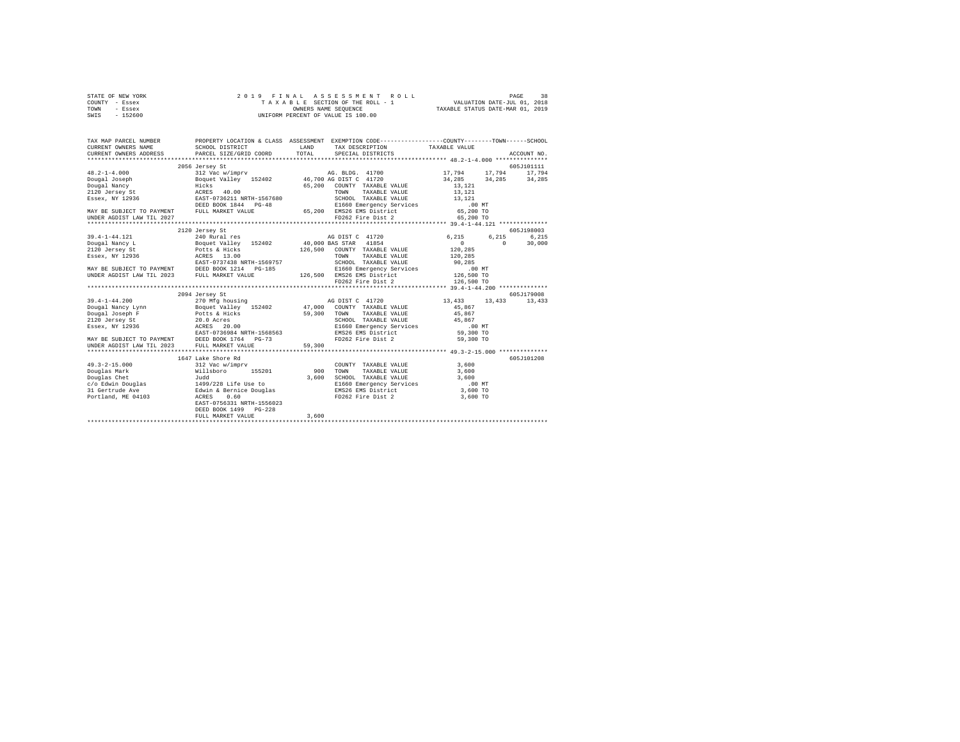|      | STATE OF NEW YORK |  |                      | 2019 FINAL ASSESSMENT ROLL         | 38<br>PAGE                  |  |
|------|-------------------|--|----------------------|------------------------------------|-----------------------------|--|
|      | COUNTY - Essex    |  |                      | TAXABLE SECTION OF THE ROLL - 1    | VALUATION DATE-JUL 01, 2018 |  |
| TOWN | - Essex           |  | OWNERS NAME SEOUENCE | TAXABLE STATUS DATE-MAR 01, 2019   |                             |  |
| SWIS | - 152600          |  |                      | UNIFORM PERCENT OF VALUE IS 100.00 |                             |  |

| 2056 Jersey St                                                                                                                                                                                                                                                                                                                                                                                 |  | 605J101111 |
|------------------------------------------------------------------------------------------------------------------------------------------------------------------------------------------------------------------------------------------------------------------------------------------------------------------------------------------------------------------------------------------------|--|------------|
|                                                                                                                                                                                                                                                                                                                                                                                                |  |            |
|                                                                                                                                                                                                                                                                                                                                                                                                |  |            |
|                                                                                                                                                                                                                                                                                                                                                                                                |  |            |
|                                                                                                                                                                                                                                                                                                                                                                                                |  |            |
|                                                                                                                                                                                                                                                                                                                                                                                                |  |            |
|                                                                                                                                                                                                                                                                                                                                                                                                |  |            |
|                                                                                                                                                                                                                                                                                                                                                                                                |  |            |
|                                                                                                                                                                                                                                                                                                                                                                                                |  |            |
| $\begin{tabular}{l c c c c c} \multicolumn{1}{c}{\textbf{48.2--1-4.000}} & \multicolumn{1}{c}{2056\text{~s~energy}} & \multicolumn{1}{c}{\textbf{5.201-011}} & \multicolumn{1}{c}{\textbf{5.201-011}} & \multicolumn{1}{c}{\textbf{65.201-011}} & \multicolumn{1}{c}{\textbf{65.201-011}} & \multicolumn{1}{c}{\textbf{65.201-011}} & \multicolumn{1}{c}{\textbf{65.201-011}} & \multicolumn{$ |  |            |
| 2120 Jersey St                                                                                                                                                                                                                                                                                                                                                                                 |  | 605J198003 |
|                                                                                                                                                                                                                                                                                                                                                                                                |  |            |
|                                                                                                                                                                                                                                                                                                                                                                                                |  |            |
|                                                                                                                                                                                                                                                                                                                                                                                                |  |            |
|                                                                                                                                                                                                                                                                                                                                                                                                |  |            |
|                                                                                                                                                                                                                                                                                                                                                                                                |  |            |
|                                                                                                                                                                                                                                                                                                                                                                                                |  |            |
|                                                                                                                                                                                                                                                                                                                                                                                                |  |            |
| 39.4-1-44.121 2120 Jersey Start 2023<br>240 Rural res AG DIST C 41720 6,215 6,215 6,215<br>240 Rural res 40.000 BAS STAR 41854<br>26,500 COUNTY TAXABLE VALUE 120,285 120,285<br>26 MAY BE SUBJECT TO PAYMENT BEEN DROWN TOWN TOWN TAX                                                                                                                                                         |  |            |
| 2094 Jersey St                                                                                                                                                                                                                                                                                                                                                                                 |  | 605J179008 |
|                                                                                                                                                                                                                                                                                                                                                                                                |  |            |
|                                                                                                                                                                                                                                                                                                                                                                                                |  |            |
|                                                                                                                                                                                                                                                                                                                                                                                                |  |            |
|                                                                                                                                                                                                                                                                                                                                                                                                |  |            |
|                                                                                                                                                                                                                                                                                                                                                                                                |  |            |
|                                                                                                                                                                                                                                                                                                                                                                                                |  |            |
|                                                                                                                                                                                                                                                                                                                                                                                                |  |            |
|                                                                                                                                                                                                                                                                                                                                                                                                |  |            |
|                                                                                                                                                                                                                                                                                                                                                                                                |  |            |
| 1647 Lake Shore Rd                                                                                                                                                                                                                                                                                                                                                                             |  | 605J101208 |
|                                                                                                                                                                                                                                                                                                                                                                                                |  |            |
|                                                                                                                                                                                                                                                                                                                                                                                                |  |            |
|                                                                                                                                                                                                                                                                                                                                                                                                |  |            |
|                                                                                                                                                                                                                                                                                                                                                                                                |  |            |
|                                                                                                                                                                                                                                                                                                                                                                                                |  |            |
| EAST-0756331 NRTH-1556023                                                                                                                                                                                                                                                                                                                                                                      |  |            |
| DEED BOOK 1499 PG-228                                                                                                                                                                                                                                                                                                                                                                          |  |            |
|                                                                                                                                                                                                                                                                                                                                                                                                |  |            |
|                                                                                                                                                                                                                                                                                                                                                                                                |  |            |
|                                                                                                                                                                                                                                                                                                                                                                                                |  |            |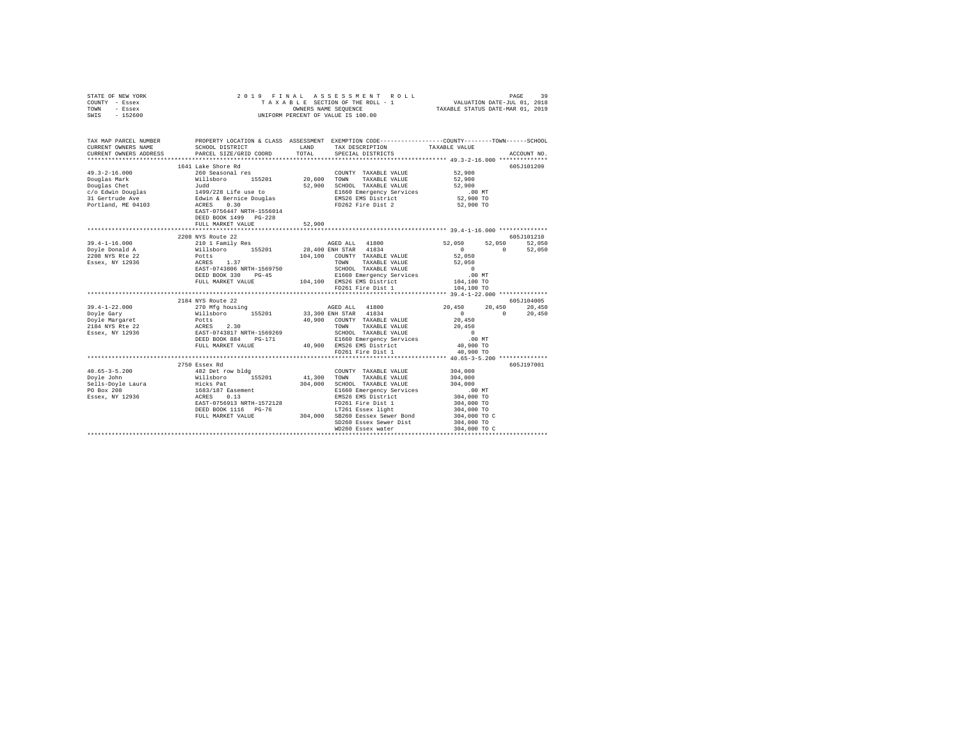| STATE OF NEW YORK | 2019 FINAL ASSESSMENT ROLL         | 39<br>PAGE                       |
|-------------------|------------------------------------|----------------------------------|
| COUNTY - Essex    | TAXABLE SECTION OF THE ROLL - 1    | VALUATION DATE-JUL 01, 2018      |
| TOWN<br>- Essex   | OWNERS NAME SEOUENCE               | TAXABLE STATUS DATE-MAR 01, 2019 |
| $-152600$<br>SWIS | UNIFORM PERCENT OF VALUE IS 100.00 |                                  |
|                   |                                    |                                  |

| TAX MAP PARCEL NUMBER |                                                                                                 |        |                                                                                                                                      | PROPERTY LOCATION & CLASS ASSESSMENT EXEMPTION CODE----------------COUNTY-------TOWN------SCHOOL |
|-----------------------|-------------------------------------------------------------------------------------------------|--------|--------------------------------------------------------------------------------------------------------------------------------------|--------------------------------------------------------------------------------------------------|
| CURRENT OWNERS NAME   | SCHOOL DISTRICT                                                                                 |        | LAND TAX DESCRIPTION TAXABLE VALUE                                                                                                   |                                                                                                  |
|                       |                                                                                                 |        |                                                                                                                                      |                                                                                                  |
|                       |                                                                                                 |        |                                                                                                                                      |                                                                                                  |
|                       |                                                                                                 |        |                                                                                                                                      | 605J101209                                                                                       |
| $49.3 - 2 - 16.000$   |                                                                                                 |        |                                                                                                                                      | 52,900                                                                                           |
| Douglas Mark          |                                                                                                 |        |                                                                                                                                      | 52,900                                                                                           |
|                       |                                                                                                 |        |                                                                                                                                      | 52,900                                                                                           |
|                       |                                                                                                 |        | E1660 Emergency Services<br>EMS26 EMS District<br>--260 -'                                                                           | $.00$ MT                                                                                         |
|                       |                                                                                                 |        |                                                                                                                                      | 52,900 TO                                                                                        |
|                       |                                                                                                 |        | FD262 Fire Dist 2                                                                                                                    | 52,900 TO                                                                                        |
|                       |                                                                                                 |        |                                                                                                                                      |                                                                                                  |
|                       | DEED BOOK 1499 PG-228                                                                           |        |                                                                                                                                      |                                                                                                  |
|                       | FULL MARKET VALUE                                                                               | 52,900 |                                                                                                                                      |                                                                                                  |
|                       |                                                                                                 |        |                                                                                                                                      |                                                                                                  |
|                       | 2208 NYS Route 22                                                                               |        |                                                                                                                                      | 605J101210                                                                                       |
| $39.4 - 1 - 16.000$   | 210 1 Family Res<br>Willsboro 155201<br>Potts                                                   |        | AGED ALL 41800                                                                                                                       | 52,050 52,050 52,050                                                                             |
| Doyle Donald A        |                                                                                                 |        | 28,400 ENH STAR 41834                                                                                                                | $0 \t 52,050$<br>$\sim$ 0                                                                        |
| 2208 NYS Rte 22       |                                                                                                 |        | 104,100 COUNTY TAXABLE VALUE                                                                                                         | 52,050                                                                                           |
| Essex, NY 12936       | ACRES 1.37<br>EAST-0743806 NRTH-1569750                                                         |        |                                                                                                                                      | 52,050                                                                                           |
|                       |                                                                                                 |        | TOWN TAXABLE VALUE<br>SCHOOL TAXABLE VALUE                                                                                           | $\sim$ 0                                                                                         |
|                       | DEED BOOK 330                                                                                   |        | DEED BOOK 330 PG-45 B1660 Emergency Services .00 NT<br>FULL MARKET VALUE 104,100 EMS26 EMS District 104,100 TO                       |                                                                                                  |
|                       |                                                                                                 |        |                                                                                                                                      |                                                                                                  |
|                       |                                                                                                 |        | FD261 Fire Dist 1                                                                                                                    | 104,100 TO                                                                                       |
|                       |                                                                                                 |        |                                                                                                                                      |                                                                                                  |
|                       | 2184 NYS Route 22                                                                               |        |                                                                                                                                      | 605.7104005                                                                                      |
| $39.4 - 1 - 22.000$   |                                                                                                 |        | AGED ALL 41800<br>33,300 ENH STAR 41834                                                                                              | ${\bf 20} \,, {\bf 450} \qquad \quad {\bf 20} \,, {\bf 450} \qquad \quad {\bf 20} \,, {\bf 450}$ |
| Doyle Gary            |                                                                                                 |        |                                                                                                                                      | $\sim$ 0<br>$0 \t 20,450$                                                                        |
| Doyle Margaret        |                                                                                                 |        | 40,900 COUNTY TAXABLE VALUE                                                                                                          | 20,450                                                                                           |
| 2184 NYS Rte 22       | $270$ Mfg housing<br>Willsboro<br>Millsboro<br>Potts<br>ACRES 2.30<br>EAST-0743817 NRTH-1569269 |        | TOWN TAXABLE VALUE<br>SCHOOL TAXABLE VALUE                                                                                           | 20,450                                                                                           |
| Essex, NY 12936       |                                                                                                 |        |                                                                                                                                      | $\sim$ 0                                                                                         |
|                       | DEED BOOK 884                                                                                   |        |                                                                                                                                      |                                                                                                  |
|                       | FULL MARKET VALUE                                                                               |        | PG-171 E1660 Emergency Services .00 MT<br>LUE 40,900 EMS26 EMS District 40,900 TO                                                    |                                                                                                  |
|                       |                                                                                                 |        | FD261 Fire Dist 1                                                                                                                    | 40,900 TO                                                                                        |
|                       |                                                                                                 |        |                                                                                                                                      |                                                                                                  |
|                       | 2750 Essex Rd                                                                                   |        |                                                                                                                                      | 605J197001                                                                                       |
|                       |                                                                                                 |        | COUNTY TAXABLE VALUE                                                                                                                 | 304,000                                                                                          |
|                       |                                                                                                 |        | 41,300 TOWN TAXABLE VALUE                                                                                                            | 304,000                                                                                          |
|                       |                                                                                                 |        |                                                                                                                                      |                                                                                                  |
|                       |                                                                                                 |        |                                                                                                                                      |                                                                                                  |
|                       |                                                                                                 |        | $304,000$ $304,000$ $1660$ ECOOL TAXABLE VALUE<br>ELGOL TAXABLE VALUE<br>ELGO Emergency Services<br>NAS26 EMS District<br>304,000 TO |                                                                                                  |
|                       | EAST-0756913 NRTH-1572128                                                                       |        | FD261 Fire Dist 1                                                                                                                    | 304,000 TO                                                                                       |
|                       | DEED BOOK 1116 PG-76                                                                            |        | -76 LT261 Essex light<br>304,000 SB260 Eessex Sewer Bond                                                                             | 304,000 TO                                                                                       |
|                       | FULL MARKET VALUE                                                                               |        |                                                                                                                                      | 304,000 TO C                                                                                     |
|                       |                                                                                                 |        | SD260 Essex Sewer Dist                                                                                                               | 304,000 TO                                                                                       |
|                       |                                                                                                 |        | WD260 Essex water                                                                                                                    | 304,000 TO C                                                                                     |
|                       |                                                                                                 |        |                                                                                                                                      |                                                                                                  |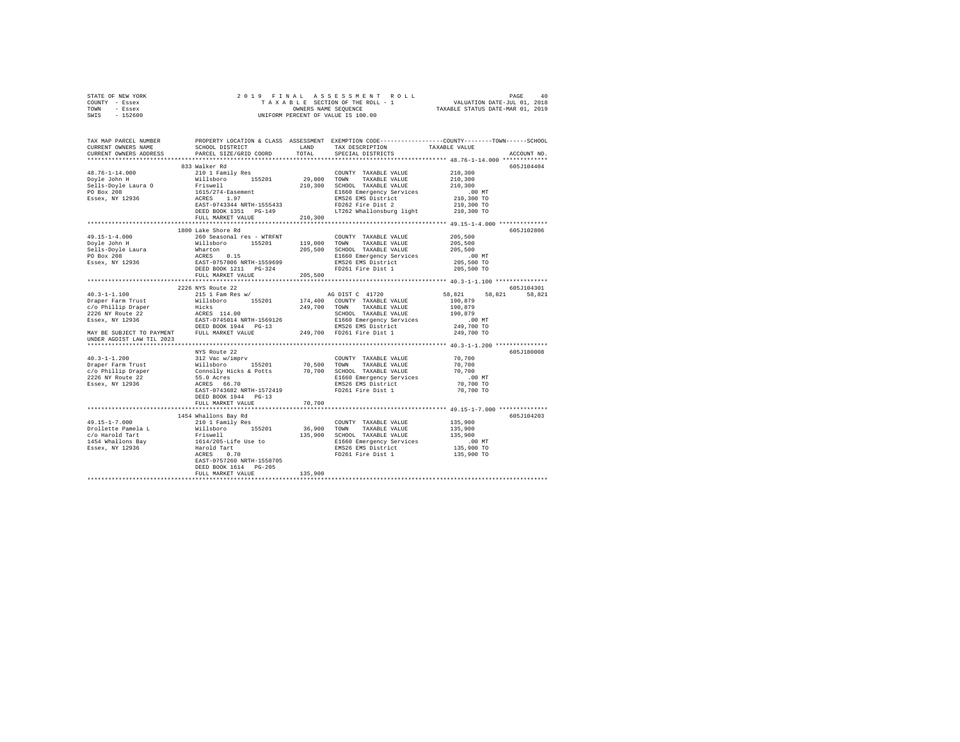|      | STATE OF NEW YORK |  | 2019 FINAL ASSESSMENT ROLL         |                                  | PAGE                        | 40 |
|------|-------------------|--|------------------------------------|----------------------------------|-----------------------------|----|
|      | COUNTY - Essex    |  | TAXABLE SECTION OF THE ROLL - 1    |                                  | VALUATION DATE-JUL 01, 2018 |    |
| TOWN | - Essex           |  | OWNERS NAME SEOUENCE               | TAXABLE STATUS DATE-MAR 01, 2019 |                             |    |
| SWIS | - 152600          |  | UNIFORM PERCENT OF VALUE IS 100.00 |                                  |                             |    |

| TAX MAP PARCEL NUMBER<br>CURRENT OWNERS NAME                                                                                                                                                                                                                                                                                                                                                            | SCHOOL DISTRICT                                                                                                                                       |         | LAND TAX DESCRIPTION                                                          | PROPERTY LOCATION & CLASS ASSESSMENT EXEMPTION CODE---------------COUNTY-------TOWN-----SCHOOL<br>TAXABLE VALUE |
|---------------------------------------------------------------------------------------------------------------------------------------------------------------------------------------------------------------------------------------------------------------------------------------------------------------------------------------------------------------------------------------------------------|-------------------------------------------------------------------------------------------------------------------------------------------------------|---------|-------------------------------------------------------------------------------|-----------------------------------------------------------------------------------------------------------------|
| CURRENT OWNERS ADDRESS                                                                                                                                                                                                                                                                                                                                                                                  | PARCEL SIZE/GRID COORD                                                                                                                                | TOTAL   | SPECIAL DISTRICTS                                                             | ACCOUNT NO.                                                                                                     |
|                                                                                                                                                                                                                                                                                                                                                                                                         |                                                                                                                                                       |         |                                                                               |                                                                                                                 |
|                                                                                                                                                                                                                                                                                                                                                                                                         | 833 Walker Rd                                                                                                                                         |         |                                                                               | 605J104404                                                                                                      |
| $\begin{tabular}{l c c c c c} \multicolumn{1}{c c c c} \multicolumn{1}{c c c} \multicolumn{1}{c c c} \multicolumn{1}{c c c} \multicolumn{1}{c c c} \multicolumn{1}{c c c} \multicolumn{1}{c c c} \multicolumn{1}{c c c} \multicolumn{1}{c c c} \multicolumn{1}{c c c} \multicolumn{1}{c c c} \multicolumn{1}{c c c} \multicolumn{1}{c c c} \multicolumn{1}{c c c} \multicolumn{1}{c c c} \multicolumn{$ |                                                                                                                                                       |         |                                                                               |                                                                                                                 |
|                                                                                                                                                                                                                                                                                                                                                                                                         |                                                                                                                                                       |         |                                                                               |                                                                                                                 |
|                                                                                                                                                                                                                                                                                                                                                                                                         |                                                                                                                                                       |         |                                                                               |                                                                                                                 |
|                                                                                                                                                                                                                                                                                                                                                                                                         |                                                                                                                                                       |         |                                                                               |                                                                                                                 |
|                                                                                                                                                                                                                                                                                                                                                                                                         |                                                                                                                                                       |         |                                                                               |                                                                                                                 |
|                                                                                                                                                                                                                                                                                                                                                                                                         |                                                                                                                                                       |         |                                                                               |                                                                                                                 |
|                                                                                                                                                                                                                                                                                                                                                                                                         | 120,300 10<br>EEED BOOK 1351 PG-149<br>FULL MARKET VALUE 210,300 200,300 200,300 200,300 200,300 200,300 200,300 200,300 200,300 210,300 210,300 210, |         |                                                                               |                                                                                                                 |
|                                                                                                                                                                                                                                                                                                                                                                                                         |                                                                                                                                                       |         |                                                                               |                                                                                                                 |
|                                                                                                                                                                                                                                                                                                                                                                                                         |                                                                                                                                                       |         |                                                                               |                                                                                                                 |
|                                                                                                                                                                                                                                                                                                                                                                                                         | 1800 Lake Shore Rd                                                                                                                                    |         |                                                                               | 605J102806                                                                                                      |
|                                                                                                                                                                                                                                                                                                                                                                                                         |                                                                                                                                                       |         |                                                                               | 205,500                                                                                                         |
|                                                                                                                                                                                                                                                                                                                                                                                                         |                                                                                                                                                       |         |                                                                               | 205,500<br>205,500                                                                                              |
|                                                                                                                                                                                                                                                                                                                                                                                                         |                                                                                                                                                       |         |                                                                               |                                                                                                                 |
|                                                                                                                                                                                                                                                                                                                                                                                                         |                                                                                                                                                       |         |                                                                               | $.00$ MT                                                                                                        |
|                                                                                                                                                                                                                                                                                                                                                                                                         |                                                                                                                                                       |         |                                                                               | 205,500 TO                                                                                                      |
|                                                                                                                                                                                                                                                                                                                                                                                                         |                                                                                                                                                       |         |                                                                               | 205,500 TO                                                                                                      |
|                                                                                                                                                                                                                                                                                                                                                                                                         |                                                                                                                                                       |         |                                                                               |                                                                                                                 |
|                                                                                                                                                                                                                                                                                                                                                                                                         |                                                                                                                                                       |         |                                                                               |                                                                                                                 |
|                                                                                                                                                                                                                                                                                                                                                                                                         | 2226 NYS Route 22                                                                                                                                     |         |                                                                               | 605J104301                                                                                                      |
|                                                                                                                                                                                                                                                                                                                                                                                                         |                                                                                                                                                       |         |                                                                               | 58,821 58,821<br>58,821                                                                                         |
|                                                                                                                                                                                                                                                                                                                                                                                                         |                                                                                                                                                       |         |                                                                               | 190,879                                                                                                         |
|                                                                                                                                                                                                                                                                                                                                                                                                         |                                                                                                                                                       |         |                                                                               | 190,879<br>190,879                                                                                              |
|                                                                                                                                                                                                                                                                                                                                                                                                         |                                                                                                                                                       |         | SCHOOL TAXABLE VALUE                                                          |                                                                                                                 |
|                                                                                                                                                                                                                                                                                                                                                                                                         |                                                                                                                                                       |         |                                                                               | .00 MT                                                                                                          |
|                                                                                                                                                                                                                                                                                                                                                                                                         |                                                                                                                                                       |         |                                                                               | 249,700 TO                                                                                                      |
|                                                                                                                                                                                                                                                                                                                                                                                                         |                                                                                                                                                       |         |                                                                               | 249,700 TO                                                                                                      |
| UNDER AGDIST LAW TIL 2023                                                                                                                                                                                                                                                                                                                                                                               |                                                                                                                                                       |         |                                                                               |                                                                                                                 |
|                                                                                                                                                                                                                                                                                                                                                                                                         |                                                                                                                                                       |         |                                                                               |                                                                                                                 |
|                                                                                                                                                                                                                                                                                                                                                                                                         | NYS Route 22                                                                                                                                          |         |                                                                               | 605J180008                                                                                                      |
|                                                                                                                                                                                                                                                                                                                                                                                                         |                                                                                                                                                       |         | COUNTY TAXABLE VALUE                                                          | 70,700<br>70.700                                                                                                |
|                                                                                                                                                                                                                                                                                                                                                                                                         |                                                                                                                                                       |         | TAXABLE VALUE                                                                 |                                                                                                                 |
|                                                                                                                                                                                                                                                                                                                                                                                                         |                                                                                                                                                       |         |                                                                               | 70,700                                                                                                          |
|                                                                                                                                                                                                                                                                                                                                                                                                         |                                                                                                                                                       |         | 70,700 SCHOOL TAXABLE VALUE<br>E1660 Emergency Services<br>EMS26 EMS District | 00 MT.<br>70,700 TO                                                                                             |
|                                                                                                                                                                                                                                                                                                                                                                                                         |                                                                                                                                                       |         |                                                                               |                                                                                                                 |
|                                                                                                                                                                                                                                                                                                                                                                                                         |                                                                                                                                                       |         | FD261 Fire Dist 1                                                             | 70,700 TO                                                                                                       |
|                                                                                                                                                                                                                                                                                                                                                                                                         | DEED BOOK 1944 PG-13                                                                                                                                  |         |                                                                               |                                                                                                                 |
|                                                                                                                                                                                                                                                                                                                                                                                                         | FULL MARKET VALUE                                                                                                                                     | 70,700  |                                                                               |                                                                                                                 |
|                                                                                                                                                                                                                                                                                                                                                                                                         |                                                                                                                                                       |         |                                                                               |                                                                                                                 |
|                                                                                                                                                                                                                                                                                                                                                                                                         | 1454 Whallons Bay Rd                                                                                                                                  |         |                                                                               | 605J104203<br>135,900                                                                                           |
|                                                                                                                                                                                                                                                                                                                                                                                                         |                                                                                                                                                       |         |                                                                               |                                                                                                                 |
|                                                                                                                                                                                                                                                                                                                                                                                                         |                                                                                                                                                       |         |                                                                               | 135,900<br>135,900                                                                                              |
|                                                                                                                                                                                                                                                                                                                                                                                                         |                                                                                                                                                       |         |                                                                               |                                                                                                                 |
|                                                                                                                                                                                                                                                                                                                                                                                                         |                                                                                                                                                       |         | E1660 Emergency Services<br>EMS26 EMS District                                | $.00$ MT<br>135,900 TO                                                                                          |
|                                                                                                                                                                                                                                                                                                                                                                                                         |                                                                                                                                                       |         |                                                                               | 135,900 TO                                                                                                      |
|                                                                                                                                                                                                                                                                                                                                                                                                         | EAST-0757260 NRTH-1558705                                                                                                                             |         |                                                                               |                                                                                                                 |
|                                                                                                                                                                                                                                                                                                                                                                                                         |                                                                                                                                                       |         |                                                                               |                                                                                                                 |
|                                                                                                                                                                                                                                                                                                                                                                                                         |                                                                                                                                                       | 135,900 |                                                                               |                                                                                                                 |
|                                                                                                                                                                                                                                                                                                                                                                                                         | FULL MARKET VALUE                                                                                                                                     |         |                                                                               |                                                                                                                 |
|                                                                                                                                                                                                                                                                                                                                                                                                         |                                                                                                                                                       |         |                                                                               |                                                                                                                 |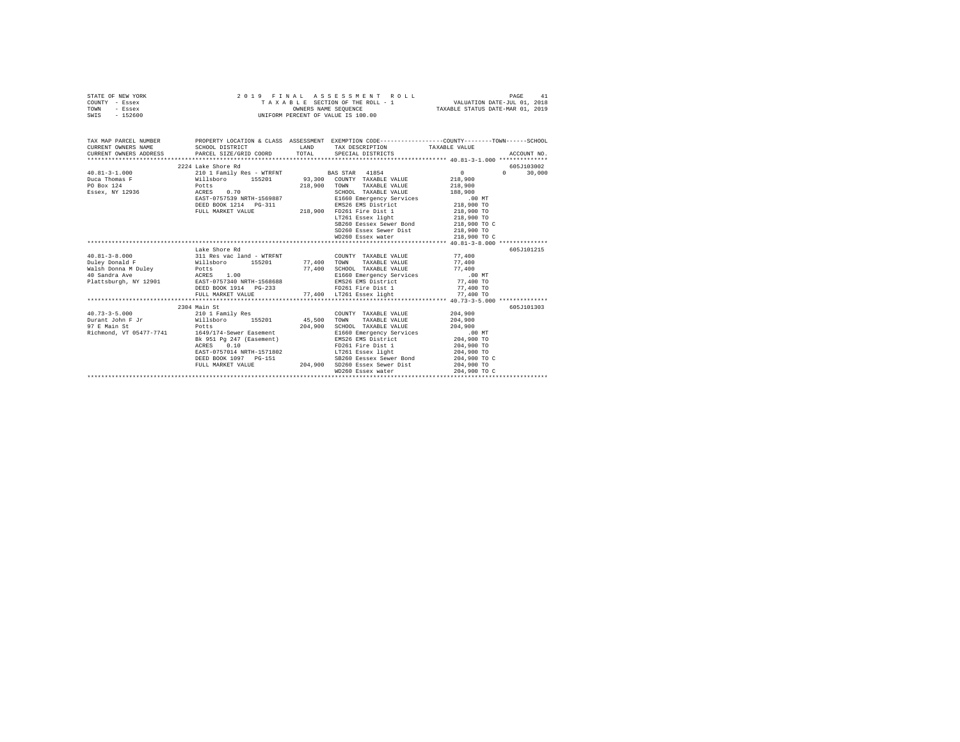| STATE OF NEW YORK                                                                                                                                                                                                                          |                                                                                                                                                                        |         |                                                                                                                                                                                                                                |                        |               |
|--------------------------------------------------------------------------------------------------------------------------------------------------------------------------------------------------------------------------------------------|------------------------------------------------------------------------------------------------------------------------------------------------------------------------|---------|--------------------------------------------------------------------------------------------------------------------------------------------------------------------------------------------------------------------------------|------------------------|---------------|
| COUNTY - Essex                                                                                                                                                                                                                             |                                                                                                                                                                        |         |                                                                                                                                                                                                                                |                        |               |
| TOWN - Essex                                                                                                                                                                                                                               |                                                                                                                                                                        |         | PAGE 41 ASSESSMENT ROLL PAGE 41<br>TAXABLE SECTION OF THE ROLL - 1 VALUATION DATE-JUL 01, 2018<br>OWNERS NAME SEQUENCE TAXABLE STATUS DATE-MAR 01, 2019                                                                        |                        |               |
| SWIS - 152600                                                                                                                                                                                                                              |                                                                                                                                                                        |         | OWNERS NAME SEQUENCE<br>UNIFORM PERCENT OF VALUE IS 100.00                                                                                                                                                                     |                        |               |
|                                                                                                                                                                                                                                            |                                                                                                                                                                        |         |                                                                                                                                                                                                                                |                        |               |
|                                                                                                                                                                                                                                            |                                                                                                                                                                        |         |                                                                                                                                                                                                                                |                        |               |
|                                                                                                                                                                                                                                            |                                                                                                                                                                        |         |                                                                                                                                                                                                                                |                        |               |
| TAX MAP PARCEL NUMBER                                                                                                                                                                                                                      | PROPERTY LOCATION & CLASS ASSESSMENT EXEMPTION CODE----------------COUNTY-------TOWN-----SCHOOL                                                                        |         |                                                                                                                                                                                                                                |                        |               |
| CURRENT OWNERS NAME                                                                                                                                                                                                                        | SCHOOL DISTRICT TAND TAX DESCRIPTION                                                                                                                                   |         |                                                                                                                                                                                                                                | TAXABLE VALUE          |               |
| CURRENT OWNERS ADDRESS PARCEL SIZE/GRID COORD TOTAL SPECIAL DISTRICTS                                                                                                                                                                      |                                                                                                                                                                        |         |                                                                                                                                                                                                                                |                        | ACCOUNT NO.   |
|                                                                                                                                                                                                                                            |                                                                                                                                                                        |         |                                                                                                                                                                                                                                |                        |               |
|                                                                                                                                                                                                                                            | 2224 Lake Shore Rd                                                                                                                                                     |         |                                                                                                                                                                                                                                |                        | 605-7103002   |
| $40.81 - 3 - 1.000$                                                                                                                                                                                                                        | 210 1 Family Res - WTRFNT BAS STAR 41854                                                                                                                               |         |                                                                                                                                                                                                                                | $\sim$ 0               | $0 \t 30,000$ |
|                                                                                                                                                                                                                                            |                                                                                                                                                                        |         |                                                                                                                                                                                                                                | 218,900                |               |
| PO Box 124                                                                                                                                                                                                                                 |                                                                                                                                                                        |         |                                                                                                                                                                                                                                | 218,900                |               |
| PO Box 124<br>Essex, NY 12936                                                                                                                                                                                                              | Potts<br>ACRES 0.70                                                                                                                                                    |         | 218,900 TOWN TAXABLE VALUE<br>SCHOOL TAXABLE VALUE                                                                                                                                                                             | 218,900<br>188,900     |               |
|                                                                                                                                                                                                                                            | EAST-0757539 NRTH-1569887                                                                                                                                              |         |                                                                                                                                                                                                                                |                        |               |
|                                                                                                                                                                                                                                            |                                                                                                                                                                        |         |                                                                                                                                                                                                                                |                        |               |
|                                                                                                                                                                                                                                            |                                                                                                                                                                        |         | SCHOOL TAXABLE VALUE AND THE SCHOOL TO ME ENGLISH OF THE SCHOOL TO ME AND TO THE SCHOOL TO A SAMPLE THE SCHOOL TO A SAMPLE THE SCHOOL TO A SAMPLE THE SCHOOL TO A SAMPLE THE SCHOOL TO A SAMPLE THE SCHOOL TO A SAMPLE THE SCH |                        |               |
|                                                                                                                                                                                                                                            | EAST-0757539 NKTH-1509807 BAX826 EMS District<br>DEED BOOK 1214 PG-311 218,900 PD261 Pire District<br>FULL MARKET VALUE 218,900 PD261 Essex light<br>LT261 Essex light |         |                                                                                                                                                                                                                                | 218,900 TO             |               |
|                                                                                                                                                                                                                                            |                                                                                                                                                                        |         | SB260 Eessex Sewer Bond                                                                                                                                                                                                        | 218,900 TO C           |               |
|                                                                                                                                                                                                                                            |                                                                                                                                                                        |         | SD260 Essex Sewer Dist                                                                                                                                                                                                         | 218,900 TO             |               |
|                                                                                                                                                                                                                                            |                                                                                                                                                                        |         | WD260 Essex water                                                                                                                                                                                                              | 218,900 TO C           |               |
|                                                                                                                                                                                                                                            |                                                                                                                                                                        |         |                                                                                                                                                                                                                                |                        |               |
|                                                                                                                                                                                                                                            | Lake Shore Rd                                                                                                                                                          |         |                                                                                                                                                                                                                                |                        | 605J101215    |
| $40.81 - 3 - 8.000$ 311 Res vac land - WTRFNT                                                                                                                                                                                              |                                                                                                                                                                        |         | COUNTY TAXABLE VALUE 77.400                                                                                                                                                                                                    |                        |               |
|                                                                                                                                                                                                                                            |                                                                                                                                                                        |         |                                                                                                                                                                                                                                | 77.400                 |               |
|                                                                                                                                                                                                                                            |                                                                                                                                                                        |         |                                                                                                                                                                                                                                | 77,400                 |               |
|                                                                                                                                                                                                                                            |                                                                                                                                                                        |         | E1660 Emergency Services .00 MT                                                                                                                                                                                                |                        |               |
| Point Point Market Market (1952)<br>The Text Market Market (1952)<br>Market Market Market Market (1952)<br>Market Market Market (1952)<br>Market Market (1952)<br>Point Market Market Market Market Market Market Market Market (1952)<br> |                                                                                                                                                                        |         |                                                                                                                                                                                                                                |                        |               |
|                                                                                                                                                                                                                                            |                                                                                                                                                                        |         |                                                                                                                                                                                                                                | 77,400 TO<br>77,400 TO |               |
|                                                                                                                                                                                                                                            |                                                                                                                                                                        |         | E1660 Emergency Services<br>EMS26 EMS District<br>FD261 Fire Dist 1<br>PD261 Fire Dist                                                                                                                                         |                        |               |
|                                                                                                                                                                                                                                            | FULL MARKET VALUE 77,400 LT261 Essex light 77,400 TO                                                                                                                   |         |                                                                                                                                                                                                                                |                        |               |
|                                                                                                                                                                                                                                            |                                                                                                                                                                        |         |                                                                                                                                                                                                                                |                        |               |
|                                                                                                                                                                                                                                            | 2304 Main St                                                                                                                                                           |         |                                                                                                                                                                                                                                |                        | 605J101303    |
| 40.73-3-5.000 210 1 Family Res                                                                                                                                                                                                             |                                                                                                                                                                        |         | COUNTY TAXABLE VALUE                                                                                                                                                                                                           | 204,900                |               |
| Durant John F Jr                                                                                                                                                                                                                           | Willsboro 155201 45,500                                                                                                                                                |         | TAXABLE VALUE<br>TOWN                                                                                                                                                                                                          | 204,900                |               |
|                                                                                                                                                                                                                                            | Potts                                                                                                                                                                  | 204,900 | SCHOOL TAXABLE VALUE                                                                                                                                                                                                           | 204,900                |               |
| Richmond, VT 05477-7741 1649/174-Sewer Easement                                                                                                                                                                                            |                                                                                                                                                                        |         | E1660 Emergency Services .00 MT                                                                                                                                                                                                |                        |               |
|                                                                                                                                                                                                                                            |                                                                                                                                                                        |         |                                                                                                                                                                                                                                | 204,900 TO             |               |
|                                                                                                                                                                                                                                            | Bk 951 Pg 247 (Easement)<br>ACRES 0.10 PD261 Pro261 Pro261 Press 0.16<br>EAST-0757014 NRTH-1571802 PT261 Essex light<br>LT261 Essex light                              |         |                                                                                                                                                                                                                                | 204,900 TO             |               |
|                                                                                                                                                                                                                                            |                                                                                                                                                                        |         |                                                                                                                                                                                                                                | 204,900 TO             |               |
|                                                                                                                                                                                                                                            | DEED BOOK 1097 PG-151 SB260 Eessex Sewer Bond<br>FULL MARKET VALUE 204,900 SD260 Essex Sewer Dist                                                                      |         | SB260 Eessex Sewer Bond                                                                                                                                                                                                        | 204,900 TO C           |               |
|                                                                                                                                                                                                                                            |                                                                                                                                                                        |         |                                                                                                                                                                                                                                | 204,900 TO             |               |
|                                                                                                                                                                                                                                            |                                                                                                                                                                        |         | WD260 Essex water                                                                                                                                                                                                              | 204,900 TO C           |               |
|                                                                                                                                                                                                                                            |                                                                                                                                                                        |         |                                                                                                                                                                                                                                |                        |               |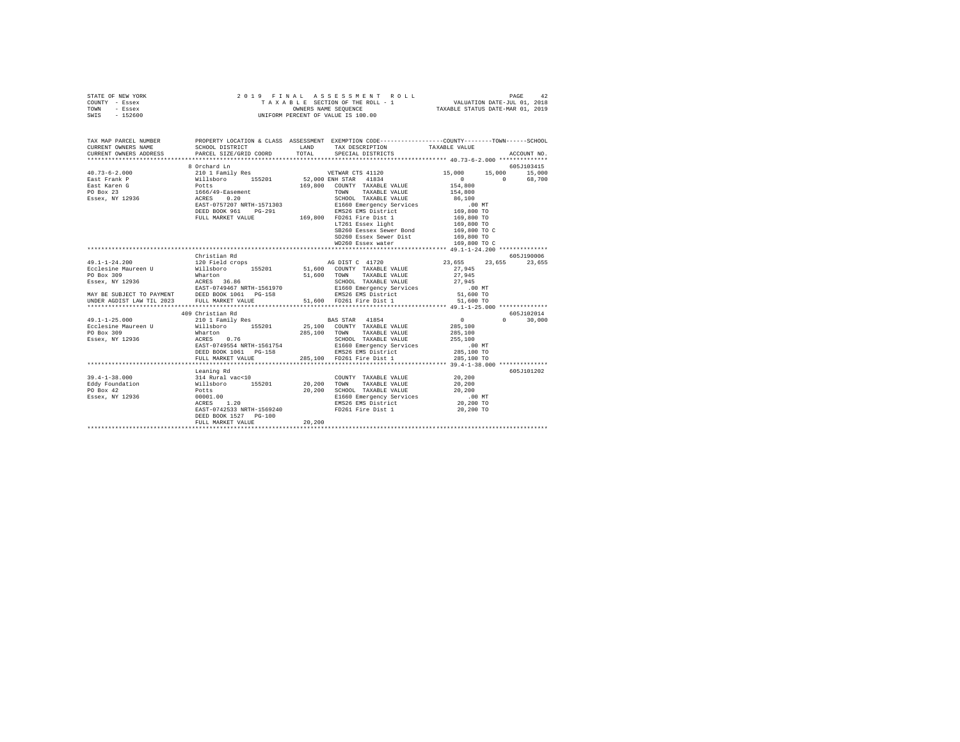| STATE OF NEW YORK |          |  | 2019 FINAL ASSESSMENT ROLL         | PAGE                             | 42 |
|-------------------|----------|--|------------------------------------|----------------------------------|----|
| COUNTY - Essex    |          |  | TAXABLE SECTION OF THE ROLL - 1    | VALUATION DATE-JUL 01, 2018      |    |
| TOWN              | - Essex  |  | OWNERS NAME SEOUENCE               | TAXABLE STATUS DATE-MAR 01, 2019 |    |
| SWIS              | - 152600 |  | UNIFORM PERCENT OF VALUE IS 100.00 |                                  |    |

| TAX MAP PARCEL NUMBER<br>CURRENT OWNERS NAME<br>CURRENT OWNERS ADDRESS PARCEL SIZE/GRID COORD                                                                                                                                                                                                                                                                                                                       |                                            |        | LAND TAX DESCRIPTION TAXABLE VALUE COORD TOTAL SPECIAL DISTRICTS                                                                                                                                                                                                                          |                      | ACCOUNT NO.   |
|---------------------------------------------------------------------------------------------------------------------------------------------------------------------------------------------------------------------------------------------------------------------------------------------------------------------------------------------------------------------------------------------------------------------|--------------------------------------------|--------|-------------------------------------------------------------------------------------------------------------------------------------------------------------------------------------------------------------------------------------------------------------------------------------------|----------------------|---------------|
|                                                                                                                                                                                                                                                                                                                                                                                                                     |                                            |        |                                                                                                                                                                                                                                                                                           |                      |               |
|                                                                                                                                                                                                                                                                                                                                                                                                                     | 8 Orchard Ln                               |        |                                                                                                                                                                                                                                                                                           |                      | 605J103415    |
|                                                                                                                                                                                                                                                                                                                                                                                                                     |                                            |        | VETWAR CTS 41120 15,000 15,000 15,000                                                                                                                                                                                                                                                     |                      |               |
|                                                                                                                                                                                                                                                                                                                                                                                                                     |                                            |        |                                                                                                                                                                                                                                                                                           |                      | 0 68,700      |
|                                                                                                                                                                                                                                                                                                                                                                                                                     |                                            |        |                                                                                                                                                                                                                                                                                           |                      |               |
|                                                                                                                                                                                                                                                                                                                                                                                                                     |                                            |        |                                                                                                                                                                                                                                                                                           |                      |               |
|                                                                                                                                                                                                                                                                                                                                                                                                                     |                                            |        |                                                                                                                                                                                                                                                                                           |                      |               |
|                                                                                                                                                                                                                                                                                                                                                                                                                     |                                            |        |                                                                                                                                                                                                                                                                                           |                      |               |
|                                                                                                                                                                                                                                                                                                                                                                                                                     |                                            |        |                                                                                                                                                                                                                                                                                           |                      |               |
|                                                                                                                                                                                                                                                                                                                                                                                                                     |                                            |        |                                                                                                                                                                                                                                                                                           |                      |               |
|                                                                                                                                                                                                                                                                                                                                                                                                                     |                                            |        | PD-01 PHP PHP 1691 169,800 TO<br>ET261 Essex light 169,800 TO<br>SR260 Ressex Sewer Bond 169,800 TO C                                                                                                                                                                                     |                      |               |
|                                                                                                                                                                                                                                                                                                                                                                                                                     |                                            |        |                                                                                                                                                                                                                                                                                           |                      |               |
|                                                                                                                                                                                                                                                                                                                                                                                                                     |                                            |        | SD260 Essex Sewer Dist 169,800 TO                                                                                                                                                                                                                                                         |                      |               |
|                                                                                                                                                                                                                                                                                                                                                                                                                     |                                            |        | WD260 Essex water                                                                                                                                                                                                                                                                         | 169,800 TO C         |               |
|                                                                                                                                                                                                                                                                                                                                                                                                                     |                                            |        |                                                                                                                                                                                                                                                                                           |                      |               |
|                                                                                                                                                                                                                                                                                                                                                                                                                     | Christian Rd                               |        |                                                                                                                                                                                                                                                                                           |                      | 605J190006    |
|                                                                                                                                                                                                                                                                                                                                                                                                                     |                                            |        |                                                                                                                                                                                                                                                                                           | 23,655 23,655 23,655 |               |
|                                                                                                                                                                                                                                                                                                                                                                                                                     |                                            |        |                                                                                                                                                                                                                                                                                           |                      |               |
|                                                                                                                                                                                                                                                                                                                                                                                                                     |                                            |        |                                                                                                                                                                                                                                                                                           |                      |               |
|                                                                                                                                                                                                                                                                                                                                                                                                                     |                                            |        |                                                                                                                                                                                                                                                                                           |                      |               |
|                                                                                                                                                                                                                                                                                                                                                                                                                     |                                            |        |                                                                                                                                                                                                                                                                                           |                      |               |
|                                                                                                                                                                                                                                                                                                                                                                                                                     |                                            |        |                                                                                                                                                                                                                                                                                           |                      |               |
| $\begin{tabular}{l c c c c c} \multicolumn{1}{c}{\textbf{49.1-1-24.200}} & \multicolumn{1}{c}{120$ Field crops} & \multicolumn{1}{c}{120$ Field crops} & \multicolumn{1}{c}{\textbf{A}\texttt{C} \texttt{N}} & \multicolumn{1}{c}{23,655} & \multicolumn{1}{c}{23,655} & \multicolumn{1}{c}{23,655} & \multicolumn{1}{c}{23,655} & \multicolumn{1}{c}{23,655} & \multicolumn{1}{c}{23,655} & \multicolumn{1}{c}{23$ |                                            |        |                                                                                                                                                                                                                                                                                           |                      |               |
|                                                                                                                                                                                                                                                                                                                                                                                                                     |                                            |        |                                                                                                                                                                                                                                                                                           |                      |               |
|                                                                                                                                                                                                                                                                                                                                                                                                                     | 409 Christian Rd                           |        |                                                                                                                                                                                                                                                                                           |                      | 605J102014    |
| $49.1 - 1 - 25.000$ 210 1 Family Res BAS STAR 41854 0                                                                                                                                                                                                                                                                                                                                                               |                                            |        |                                                                                                                                                                                                                                                                                           |                      | $0 \t 30,000$ |
|                                                                                                                                                                                                                                                                                                                                                                                                                     |                                            |        |                                                                                                                                                                                                                                                                                           |                      |               |
|                                                                                                                                                                                                                                                                                                                                                                                                                     |                                            |        |                                                                                                                                                                                                                                                                                           |                      |               |
|                                                                                                                                                                                                                                                                                                                                                                                                                     |                                            |        |                                                                                                                                                                                                                                                                                           |                      |               |
|                                                                                                                                                                                                                                                                                                                                                                                                                     |                                            |        |                                                                                                                                                                                                                                                                                           |                      |               |
| For the stress of the context of the SEC of the SEC of the SEC of the SEC of the SEC of the SEC of the SEC of the SEC of the SEC of the SEC of the SEC of the SEC of the SEC of the SEC of the SEC of the SEC of the SEC of t                                                                                                                                                                                       |                                            |        |                                                                                                                                                                                                                                                                                           |                      |               |
|                                                                                                                                                                                                                                                                                                                                                                                                                     |                                            |        |                                                                                                                                                                                                                                                                                           |                      |               |
|                                                                                                                                                                                                                                                                                                                                                                                                                     |                                            |        |                                                                                                                                                                                                                                                                                           |                      |               |
|                                                                                                                                                                                                                                                                                                                                                                                                                     | Leaning Rd                                 |        | $\begin{array}{lllll} {\small \texttt{COUNTY}} & {\small \texttt{TAXABLE VALUE}} & & \\ \begin{array}{llll} \texttt{max} & {\small \texttt{max} & {\small \texttt{WALUE}} \\ \texttt{max} & {\small \texttt{max} & {\small \texttt{WALUE}} & & \\ \end{array}} & & 20\,, 200 \end{array}$ |                      | 605J101202    |
|                                                                                                                                                                                                                                                                                                                                                                                                                     |                                            |        |                                                                                                                                                                                                                                                                                           |                      |               |
|                                                                                                                                                                                                                                                                                                                                                                                                                     |                                            |        |                                                                                                                                                                                                                                                                                           |                      |               |
|                                                                                                                                                                                                                                                                                                                                                                                                                     |                                            |        | 20,200 SCHOOL TAXABLE VALUE 20,200                                                                                                                                                                                                                                                        |                      |               |
|                                                                                                                                                                                                                                                                                                                                                                                                                     |                                            |        | E1660 Emergency Services .00 MT<br>EMS26 EMS District 20,200 TO                                                                                                                                                                                                                           |                      |               |
|                                                                                                                                                                                                                                                                                                                                                                                                                     |                                            |        |                                                                                                                                                                                                                                                                                           |                      |               |
|                                                                                                                                                                                                                                                                                                                                                                                                                     |                                            |        | EAST-0742533 NRTH-1569240 FD261 Fire Dist 1 20,200 TO                                                                                                                                                                                                                                     |                      |               |
|                                                                                                                                                                                                                                                                                                                                                                                                                     | DEED BOOK 1527 PG-100<br>FULL MARKET VALUE | 20,200 |                                                                                                                                                                                                                                                                                           |                      |               |
|                                                                                                                                                                                                                                                                                                                                                                                                                     |                                            |        |                                                                                                                                                                                                                                                                                           |                      |               |
|                                                                                                                                                                                                                                                                                                                                                                                                                     |                                            |        |                                                                                                                                                                                                                                                                                           |                      |               |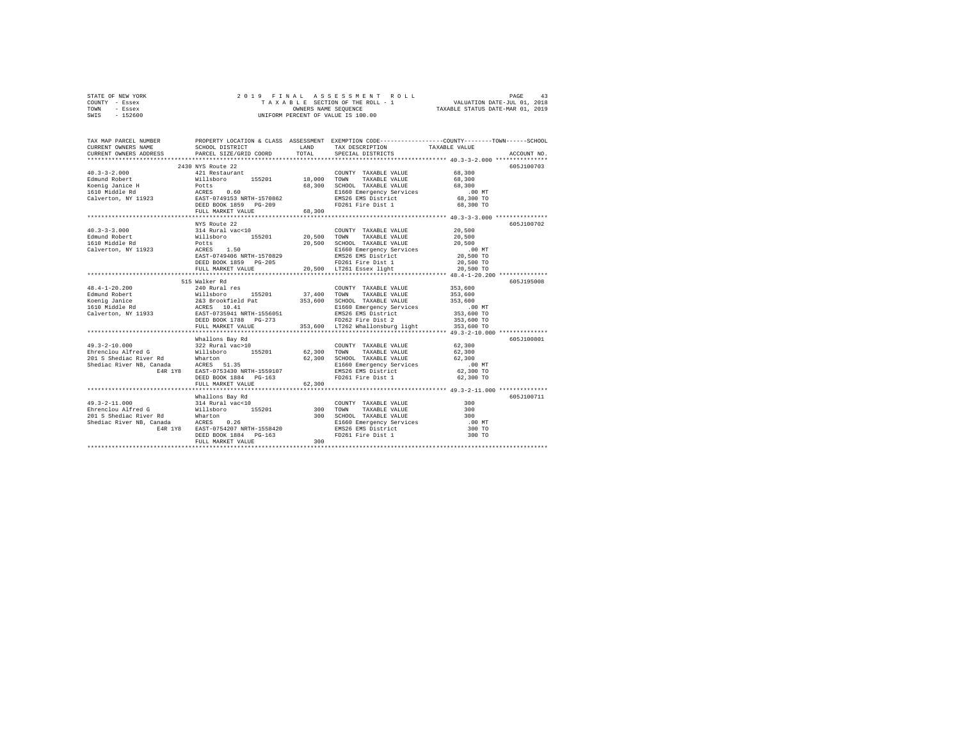| STATE OF NEW YORK |  |  | 2019 FINAL ASSESSMENT ROLL         |                                  | PAGE | 43 |
|-------------------|--|--|------------------------------------|----------------------------------|------|----|
| COUNTY - Essex    |  |  | TAXABLE SECTION OF THE ROLL - 1    | VALUATION DATE-JUL 01, 2018      |      |    |
| TOWN<br>- Essex   |  |  | OWNERS NAME SEOUENCE               | TAXABLE STATUS DATE-MAR 01, 2019 |      |    |
| $-152600$<br>SWIS |  |  | UNIFORM PERCENT OF VALUE IS 100.00 |                                  |      |    |

| TAX MAP PARCEL NUMBER<br>CURRENT OWNERS NAME<br>CURRENT OWNERS ADDRESS | SCHOOL DISTRICT<br><b>LAND</b><br>PARCEL SIZE/GRID COORD | TOTAL  | PROPERTY LOCATION & CLASS ASSESSMENT EXEMPTION CODE----------------COUNTY-------TOWN-----SCHOOL<br>TAXABLE VALUE<br>TAX DESCRIPTION<br>SPECIAL DISTRICTS                                                                                   |        | ACCOUNT NO. |
|------------------------------------------------------------------------|----------------------------------------------------------|--------|--------------------------------------------------------------------------------------------------------------------------------------------------------------------------------------------------------------------------------------------|--------|-------------|
|                                                                        |                                                          |        |                                                                                                                                                                                                                                            |        |             |
|                                                                        | 2430 NYS Route 22                                        |        |                                                                                                                                                                                                                                            |        | 605J100703  |
| $40.3 - 3 - 2.000$                                                     | 421 Restaurant                                           |        | COUNTY TAXABLE VALUE                                                                                                                                                                                                                       | 68,300 |             |
|                                                                        |                                                          |        |                                                                                                                                                                                                                                            |        |             |
|                                                                        |                                                          |        |                                                                                                                                                                                                                                            |        |             |
|                                                                        |                                                          |        |                                                                                                                                                                                                                                            |        |             |
|                                                                        |                                                          |        | 68,300 SCHOOL TAXABLE VALUE 68,300 E1660 Energency Services 68,300 E1660 Energency Services 68,300 TO<br>EMS26 EMS District 68,300 TO<br>EMS26 EMS District 68,300 TO<br>FD261 Fire Dist 1 68,300 TO                                       |        |             |
|                                                                        |                                                          |        |                                                                                                                                                                                                                                            |        |             |
|                                                                        | FULL MARKET VALUE                                        | 68,300 |                                                                                                                                                                                                                                            |        |             |
|                                                                        |                                                          |        |                                                                                                                                                                                                                                            |        |             |
|                                                                        | NYS Route 22                                             |        | COUNTY TAXABLE VALUE 20,500                                                                                                                                                                                                                |        | 605J100702  |
|                                                                        |                                                          |        |                                                                                                                                                                                                                                            | 20,500 |             |
|                                                                        |                                                          |        |                                                                                                                                                                                                                                            |        |             |
|                                                                        |                                                          |        |                                                                                                                                                                                                                                            |        |             |
|                                                                        |                                                          |        |                                                                                                                                                                                                                                            |        |             |
|                                                                        |                                                          |        |                                                                                                                                                                                                                                            |        |             |
|                                                                        |                                                          |        |                                                                                                                                                                                                                                            |        |             |
|                                                                        |                                                          |        |                                                                                                                                                                                                                                            |        |             |
|                                                                        | 515 Walker Rd                                            |        |                                                                                                                                                                                                                                            |        | 605J195008  |
|                                                                        |                                                          |        | 48.4-1-20.200<br>1991 - 200 Bluest ALUE 200 BS201 37,400 TOUNTY TAXABLE VALUE<br>1991 - 201 River and the Millshoro and the Millshoro of the Millshoro 263 Brook<br>1991 - 243 Brookfield Pat 353,600 SCHOOL TAXABLE VALUE 353,600<br>     |        |             |
|                                                                        |                                                          |        |                                                                                                                                                                                                                                            |        |             |
|                                                                        |                                                          |        |                                                                                                                                                                                                                                            |        |             |
|                                                                        |                                                          |        |                                                                                                                                                                                                                                            |        |             |
|                                                                        |                                                          |        |                                                                                                                                                                                                                                            |        |             |
|                                                                        |                                                          |        |                                                                                                                                                                                                                                            |        |             |
|                                                                        | FULL MARKET VALUE                                        |        | 353,600 LT262 Whallonsburg light 353,600 TO                                                                                                                                                                                                |        |             |
|                                                                        |                                                          |        |                                                                                                                                                                                                                                            |        |             |
|                                                                        |                                                          |        | Whallons Bay Rd<br>2018 The COUNTY TAXABLE VALUE (62,300<br>2018 Shediac River Rd<br>2018 Shediac River Rd<br>2018 Shediac River RB, Canada ACRES 155<br>2018 Shediac River RB, Canada ACRES 155<br>2018 Shediac River RB, Canada ACRES 15 |        | 605J100801  |
|                                                                        |                                                          |        |                                                                                                                                                                                                                                            |        |             |
|                                                                        |                                                          |        |                                                                                                                                                                                                                                            |        |             |
|                                                                        |                                                          |        |                                                                                                                                                                                                                                            |        |             |
|                                                                        |                                                          |        |                                                                                                                                                                                                                                            |        |             |
|                                                                        |                                                          |        |                                                                                                                                                                                                                                            |        |             |
|                                                                        |                                                          |        |                                                                                                                                                                                                                                            |        |             |
|                                                                        |                                                          |        |                                                                                                                                                                                                                                            |        |             |
|                                                                        |                                                          |        |                                                                                                                                                                                                                                            |        |             |
|                                                                        |                                                          |        |                                                                                                                                                                                                                                            | 300    | 605J100711  |
|                                                                        |                                                          |        |                                                                                                                                                                                                                                            | 300    |             |
|                                                                        |                                                          |        |                                                                                                                                                                                                                                            | 300    |             |
|                                                                        |                                                          |        |                                                                                                                                                                                                                                            | .00MT  |             |
|                                                                        |                                                          |        |                                                                                                                                                                                                                                            | 300 TO |             |
|                                                                        |                                                          |        |                                                                                                                                                                                                                                            | 300 TO |             |
|                                                                        |                                                          |        |                                                                                                                                                                                                                                            |        |             |
|                                                                        |                                                          |        |                                                                                                                                                                                                                                            |        |             |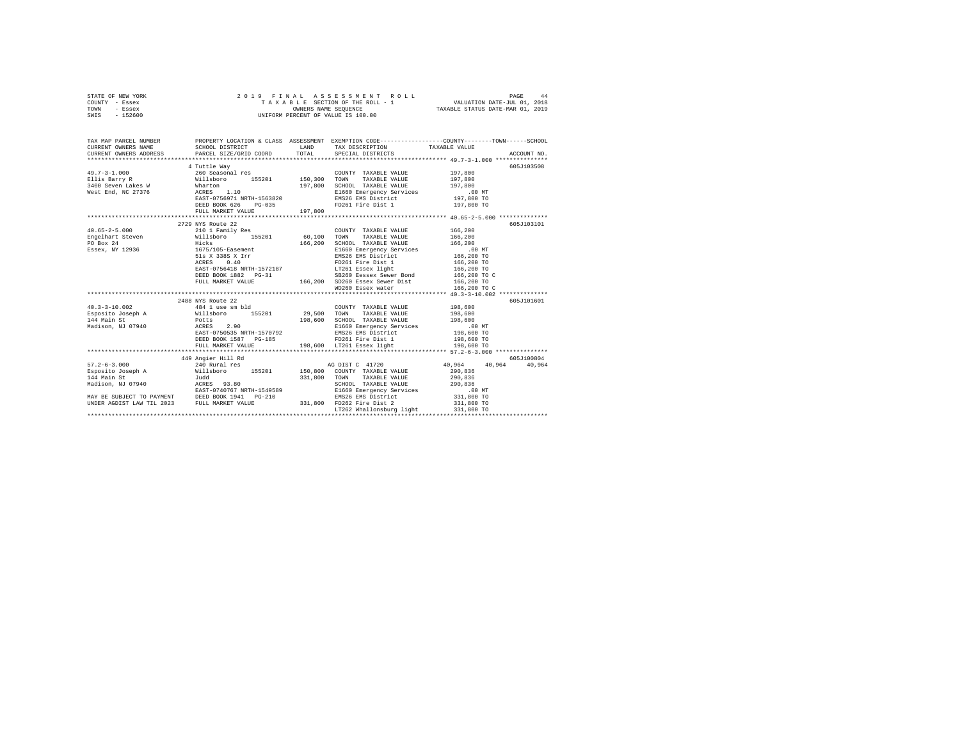| STATE OF NEW YORK |  |  | 2019 FINAL ASSESSMENT ROLL         |                                  | PAGE | 44 |
|-------------------|--|--|------------------------------------|----------------------------------|------|----|
| COUNTY - Essex    |  |  | TAXABLE SECTION OF THE ROLL - 1    | VALUATION DATE-JUL 01, 2018      |      |    |
| TOWN<br>- Essex   |  |  | OWNERS NAME SEOUENCE               | TAXABLE STATUS DATE-MAR 01, 2019 |      |    |
| $-152600$<br>SWIS |  |  | UNIFORM PERCENT OF VALUE IS 100.00 |                                  |      |    |

| TAX MAP PARCEL NUMBER        |                                                                                                                                                                                                                                                                     |         |                                                                                                                                                                                                                                                                                                                                                                                                                | PROPERTY LOCATION & CLASS ASSESSMENT EXEMPTION CODE----------------COUNTY-------TOWN------SCHOOL<br>$\begin{tabular}{lllllllll} \textbf{CURRENT} & \textbf{ONRETS} & \textbf{SCHODL DISTRICT} & \textbf{LAND} & \textbf{TAR} & \textbf{DESCRIPTION} & \textbf{TAXABLE} & \textbf{VALUE} & \textbf{ACCUNT NO} \\ \textbf{CURRENT OMNEES} & \textbf{PACEL S} & \textbf{PEGCHI PIST ROL} & \textbf{SPECIT AIC} & \textbf{SPECIT ROL} & \textbf{PACEL SLE} & \textbf{NOCUNT NO} & \textbf{ACCUINT NOL} \\ \textbf{CURIT MOL} & \textbf{PACEL S} & \textbf{P$ |
|------------------------------|---------------------------------------------------------------------------------------------------------------------------------------------------------------------------------------------------------------------------------------------------------------------|---------|----------------------------------------------------------------------------------------------------------------------------------------------------------------------------------------------------------------------------------------------------------------------------------------------------------------------------------------------------------------------------------------------------------------|----------------------------------------------------------------------------------------------------------------------------------------------------------------------------------------------------------------------------------------------------------------------------------------------------------------------------------------------------------------------------------------------------------------------------------------------------------------------------------------------------------------------------------------------------------|
|                              | 4 Tuttle Wav<br>$\begin{array}{cccc} \texttt{49.7-3-1.000} & \texttt{260 Seasonal res} & \texttt{COUNT} \\ \texttt{Ellis Barry R} & \texttt{Willsboro} & \texttt{155201} & \texttt{150,300 TOWN} \end{array}$<br>DEED BOOK 626 PG-035<br>FULL MARKET VALUE          | 197,800 | COUNTY TAXABLE VALUE<br>TAXABLE VALUE 197,800<br>$197,800 \quad \begin{tabular}{lcccc} \texttt{SCHODL} & \texttt{TAXABLE} & \texttt{VALUE} & \texttt{197,800} \\ \texttt{E1660} & \texttt{E160} & \texttt{SDE} & \texttt{Services} & \texttt{197,800} \\ \texttt{E1660} & \texttt{EMS26} & \texttt{EMS} & \texttt{Services} & \texttt{197,800} & \texttt{TO} \\ \end{tabular}$<br>FD261 Fire Dist 1 197,800 TO | 605J103508<br>197,800                                                                                                                                                                                                                                                                                                                                                                                                                                                                                                                                    |
| $40.65 - 2 - 5.000$          | 2729 NYS Route 22<br>210 1 Family Res<br>PO Box 24 Hicks<br>Essex, NY 12936 1675/105-Easement                                                                                                                                                                       | 166,200 | COUNTY TAXABLE VALUE<br>SCHOOL TAXABLE VALUE 166,200                                                                                                                                                                                                                                                                                                                                                           | 605J103101<br>166,200<br>166,200                                                                                                                                                                                                                                                                                                                                                                                                                                                                                                                         |
| Madison, NJ 07940 ACRES 2.90 | 2488 NYS Route 22<br>$\frac{40.3-3-10.002}{29,500}$ TOWER<br>Esposito Joseph A Willshoro 155201 29,500 TOWN<br>$\frac{144 \text{ Mail}}{29,500}$ TOWN POtts 198.600 SCHON<br>Weakly Track Potts 198.600 SCHON<br>EAST-0750535 NRTH-1570792<br>DEED BOOK 1587 PG-185 |         | 198,600<br>155201 29,500 TOWN TAXABLE VALUE 198,600<br>198,600 SCHOOL TAXABLE VALUE 198,600<br>198,600 SCHOOL TAXABLE VALUE 198,600<br>RIKTH-1570792 EMS26 EMS District 198,600 TO<br>EMS26 EMS District<br>FD261 Fire Dist 1                                                                                                                                                                                  | 605J101601<br>198,600 TO                                                                                                                                                                                                                                                                                                                                                                                                                                                                                                                                 |
| $57.2 - 6 - 3.000$           | 449 Angier Hill Rd<br>240 Rural res 60 and 100 and 11720 and 10,964 40,964 and 10.964 and 10.964 and 10.964 and 10.964 and 10.964 and 10.964 and 10.964 and 10.964 and 10.964 and 10.964 and 10.964 and 10.964 and 10.964 and 10.964 and 10.964 and                 |         | LT262 Whallonsburg light                                                                                                                                                                                                                                                                                                                                                                                       | 605J100804<br>40,964<br>331,800 TO<br>331,800 TO                                                                                                                                                                                                                                                                                                                                                                                                                                                                                                         |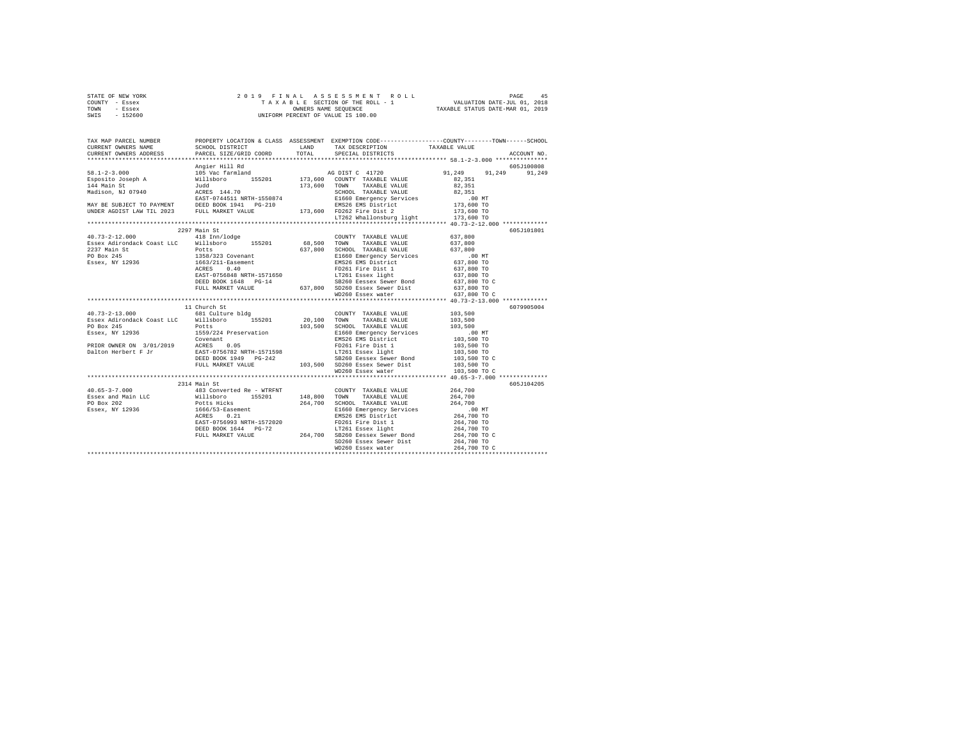|                | STATE OF NEW YORK |  |                      | 2019 FINAL ASSESSMENT ROLL         | PAGE                        | 45 |
|----------------|-------------------|--|----------------------|------------------------------------|-----------------------------|----|
| COUNTY - Essex |                   |  |                      | TAXABLE SECTION OF THE ROLL - 1    | VALUATION DATE-JUL 01, 2018 |    |
| TOWN           | - Essex           |  | OWNERS NAME SEOUENCE | TAXABLE STATUS DATE-MAR 01, 2019   |                             |    |
| SWIS           | - 152600          |  |                      | UNIFORM PERCENT OF VALUE IS 100.00 |                             |    |

| TAX MAP PARCEL NUMBER |              | PROPERTY LOCATION & CLASS ASSESSMENT EXEMPTION CODE-----------------COUNTY-------TOWN------SCHOOL |                      |             |
|-----------------------|--------------|---------------------------------------------------------------------------------------------------|----------------------|-------------|
|                       |              |                                                                                                   |                      | ACCOUNT NO. |
|                       |              |                                                                                                   | 605J100808           |             |
|                       |              |                                                                                                   | 91,249 91,249 91,249 |             |
|                       |              |                                                                                                   |                      |             |
|                       |              |                                                                                                   |                      |             |
|                       |              |                                                                                                   |                      |             |
|                       |              |                                                                                                   |                      |             |
|                       |              |                                                                                                   |                      |             |
|                       |              |                                                                                                   |                      |             |
|                       |              |                                                                                                   |                      |             |
|                       |              |                                                                                                   |                      |             |
|                       | 2297 Main St |                                                                                                   |                      | 605J101801  |
|                       |              |                                                                                                   |                      |             |
|                       |              |                                                                                                   |                      |             |
|                       |              |                                                                                                   |                      |             |
|                       |              |                                                                                                   |                      |             |
|                       |              |                                                                                                   |                      |             |
|                       |              |                                                                                                   |                      |             |
|                       |              |                                                                                                   |                      |             |
|                       |              |                                                                                                   |                      |             |
|                       |              |                                                                                                   |                      |             |
|                       |              |                                                                                                   |                      |             |
|                       |              |                                                                                                   |                      |             |
|                       | 11 Church St |                                                                                                   |                      | 6079905004  |
|                       |              |                                                                                                   |                      |             |
|                       |              |                                                                                                   |                      |             |
|                       |              |                                                                                                   |                      |             |
|                       |              |                                                                                                   |                      |             |
|                       |              |                                                                                                   |                      |             |
|                       |              |                                                                                                   |                      |             |
|                       |              |                                                                                                   |                      |             |
|                       |              |                                                                                                   |                      |             |
|                       |              |                                                                                                   |                      |             |
|                       |              |                                                                                                   |                      |             |
|                       |              |                                                                                                   |                      |             |
|                       | 2314 Main St |                                                                                                   |                      | 605J104205  |
|                       |              |                                                                                                   |                      |             |
|                       |              |                                                                                                   |                      |             |
|                       |              |                                                                                                   |                      |             |
|                       |              |                                                                                                   |                      |             |
|                       |              |                                                                                                   |                      |             |
|                       |              |                                                                                                   |                      |             |
|                       |              |                                                                                                   |                      |             |
|                       |              |                                                                                                   |                      |             |
|                       |              |                                                                                                   |                      |             |
|                       |              |                                                                                                   |                      |             |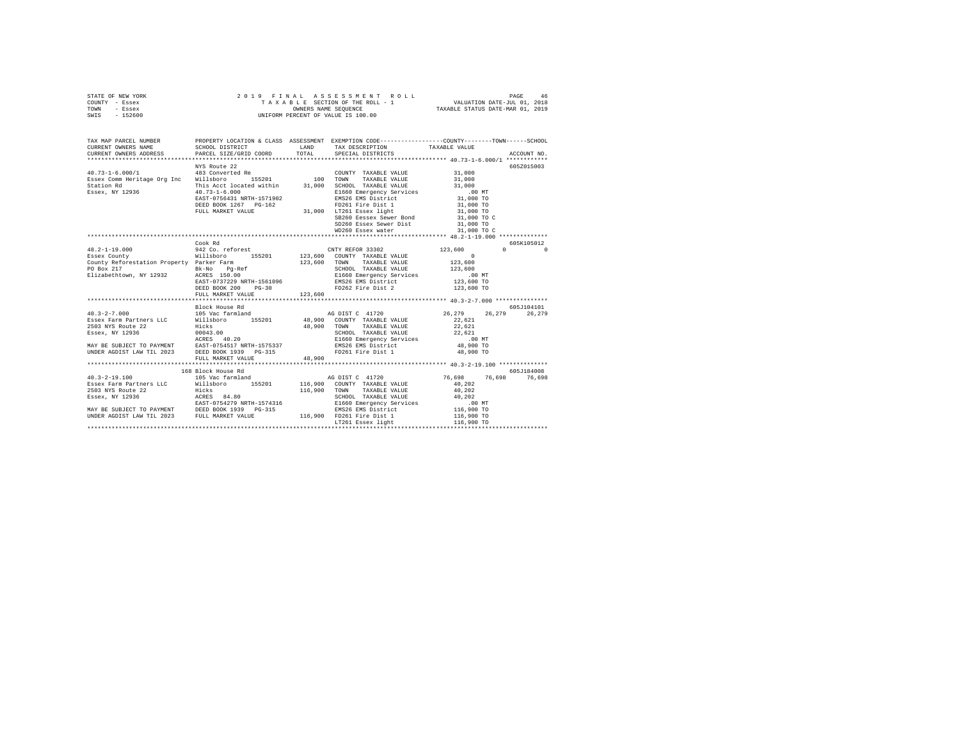| STATE OF NEW YORK | 2019 FINAL ASSESSMENT ROLL         | 46<br>PAGE                       |
|-------------------|------------------------------------|----------------------------------|
| COUNTY - Essex    | TAXABLE SECTION OF THE ROLL - 1    | VALUATION DATE-JUL 01, 2018      |
| TOWN<br>- Essex   | OWNERS NAME SEOUENCE               | TAXABLE STATUS DATE-MAR 01, 2019 |
| SWIS - 152600     | UNIFORM PERCENT OF VALUE IS 100.00 |                                  |

| TAX MAP PARCEL NUMBER<br>CURRENT OWNERS NAME                                                                                                                                                                                                     |                                            |         |                                                                 |                                       |                                              |
|--------------------------------------------------------------------------------------------------------------------------------------------------------------------------------------------------------------------------------------------------|--------------------------------------------|---------|-----------------------------------------------------------------|---------------------------------------|----------------------------------------------|
|                                                                                                                                                                                                                                                  |                                            |         |                                                                 |                                       |                                              |
|                                                                                                                                                                                                                                                  | NYS Route 22                               |         |                                                                 |                                       | 605Z015003                                   |
|                                                                                                                                                                                                                                                  |                                            |         | COUNTY TAXABLE VALUE 31,000                                     |                                       |                                              |
|                                                                                                                                                                                                                                                  |                                            |         |                                                                 | 31,000                                |                                              |
|                                                                                                                                                                                                                                                  |                                            |         | SCHOOL TAXABLE VALUE                                            | 31,000                                |                                              |
|                                                                                                                                                                                                                                                  |                                            |         |                                                                 |                                       |                                              |
|                                                                                                                                                                                                                                                  | 40.73-1-6.000<br>EAST-0756431 NRTH-1571902 |         | E1660 Emergency Services .00 MT<br>EMS26 EMS District 31,000 TO |                                       |                                              |
|                                                                                                                                                                                                                                                  |                                            |         |                                                                 | 31,000 TO<br>31,000 TO<br>31,000 TO C |                                              |
|                                                                                                                                                                                                                                                  |                                            |         |                                                                 |                                       |                                              |
|                                                                                                                                                                                                                                                  |                                            |         |                                                                 |                                       |                                              |
|                                                                                                                                                                                                                                                  |                                            |         | SD260 Essex Sewer Dist 31,000 TO                                |                                       |                                              |
|                                                                                                                                                                                                                                                  |                                            |         |                                                                 |                                       |                                              |
|                                                                                                                                                                                                                                                  |                                            |         |                                                                 |                                       |                                              |
|                                                                                                                                                                                                                                                  | Cook Rd                                    |         |                                                                 |                                       | 605K105012                                   |
| $48.2 - 1 - 19.000$                                                                                                                                                                                                                              | 942 Co. reforest CNTY REFOR 33302          |         |                                                                 | 123,600                               | $\begin{array}{ccc}\n0 & & & 0\n\end{array}$ |
| Essex County                                                                                                                                                                                                                                     |                                            |         |                                                                 |                                       |                                              |
|                                                                                                                                                                                                                                                  |                                            |         |                                                                 |                                       |                                              |
|                                                                                                                                                                                                                                                  |                                            |         |                                                                 |                                       |                                              |
|                                                                                                                                                                                                                                                  |                                            |         |                                                                 |                                       |                                              |
|                                                                                                                                                                                                                                                  |                                            |         |                                                                 |                                       |                                              |
| 20001 2016 123,600<br>County Refreestation Property Parker Parm 1997-10 123,600<br>TO Box 217 BE-No PO BOX 217<br>Elizabethtown, NY 12932 RCRES 150.00<br>ERST-0737229 NRTH-1561096 21660 Emergency Services<br>DEED BOX 200 PG-30<br>DEED BOX 2 |                                            |         |                                                                 |                                       |                                              |
|                                                                                                                                                                                                                                                  | FULL MARKET VALUE                          | 123,600 |                                                                 |                                       |                                              |
|                                                                                                                                                                                                                                                  |                                            |         |                                                                 |                                       |                                              |
|                                                                                                                                                                                                                                                  |                                            |         |                                                                 |                                       |                                              |
| $40.3 - 2 - 7.000$                                                                                                                                                                                                                               |                                            |         |                                                                 |                                       |                                              |
| Essex Farm Partners LLC Nillsboro 155201 48,900 COUNTY TAXABLE VALUE                                                                                                                                                                             |                                            |         |                                                                 | 22,621                                |                                              |
|                                                                                                                                                                                                                                                  |                                            |         |                                                                 |                                       |                                              |
| 2002. THE PRESS PRESS PRESS PRESS PRESS PRESS PRESS PRESS PRESS PRESS PRESS PRESS PRESS PRESS PRESS PRESS PRESS PRESS PRESS PRESS PRESS PRESS PRESS PRESS PRESS PRESS PRESS PRESS PRESS PRESS PRESS PRESS PRESS PRESS PRESS PR                   |                                            |         |                                                                 |                                       |                                              |
|                                                                                                                                                                                                                                                  |                                            |         |                                                                 |                                       |                                              |
|                                                                                                                                                                                                                                                  |                                            |         |                                                                 |                                       |                                              |
|                                                                                                                                                                                                                                                  |                                            |         |                                                                 |                                       |                                              |
|                                                                                                                                                                                                                                                  | FULL MARKET VALUE                          | 48.900  |                                                                 |                                       |                                              |
|                                                                                                                                                                                                                                                  |                                            |         |                                                                 |                                       |                                              |
| 168 Block House Rd<br>105 100 105 US Vac farmland<br>Essex Farm Partners LLC Willsboro 155201 116,900 COUNTY TAXABLE VALUE                                                                                                                       |                                            |         |                                                                 |                                       | 605J184008                                   |
|                                                                                                                                                                                                                                                  |                                            |         |                                                                 | 76,698 76,698 76,698                  |                                              |
|                                                                                                                                                                                                                                                  |                                            |         |                                                                 | 40.202                                |                                              |
|                                                                                                                                                                                                                                                  |                                            |         |                                                                 |                                       |                                              |
|                                                                                                                                                                                                                                                  |                                            |         |                                                                 |                                       |                                              |
|                                                                                                                                                                                                                                                  |                                            |         |                                                                 |                                       |                                              |
|                                                                                                                                                                                                                                                  |                                            |         |                                                                 |                                       |                                              |
|                                                                                                                                                                                                                                                  |                                            |         |                                                                 |                                       |                                              |
|                                                                                                                                                                                                                                                  |                                            |         |                                                                 |                                       |                                              |
| 2012 NEW PROPERT PROPERTY AND 199201 116,900 TOWN TAXABLE VALUE 40,202<br>2013 NYS ROULE 22<br>2013 NYS ROULE 22<br>2013 NYS ROULE 22<br>2013 NYS ROULE 22<br>2014 NAMELE 22<br>2022 NEW BROW TAXABLE VALUE 2023<br>2016 NAMELE 2023<br>2023 P   |                                            |         |                                                                 |                                       |                                              |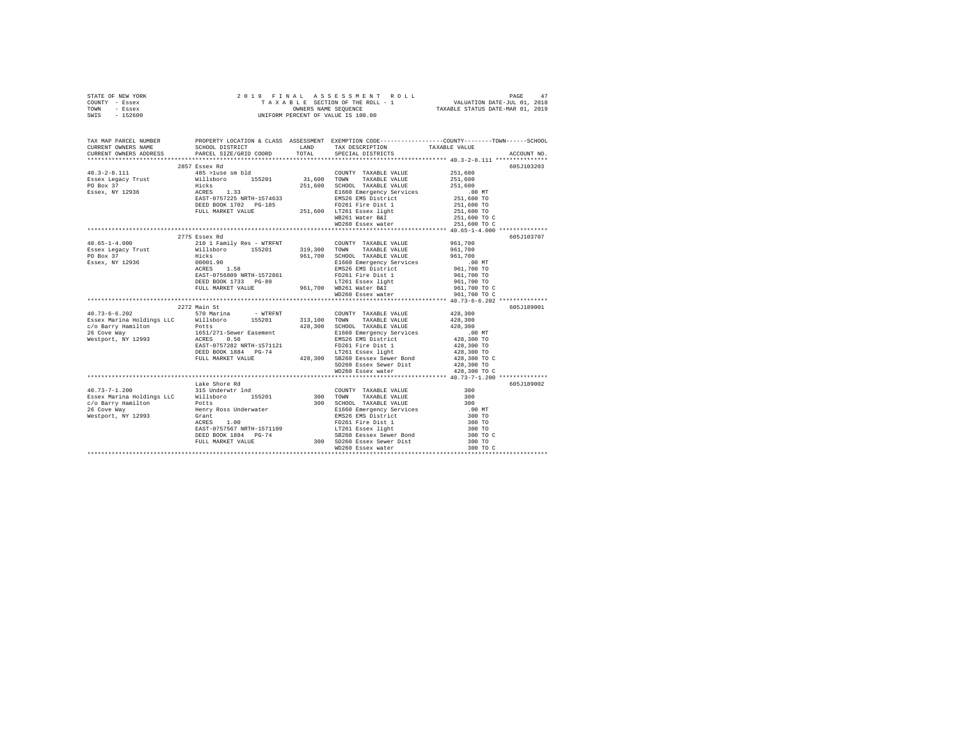| STATE OF NEW YORK | 2019 FINAL ASSESSMENT ROLL         | PAGE                             |
|-------------------|------------------------------------|----------------------------------|
| COUNTY - Essex    | TAXABLE SECTION OF THE ROLL - 1    | VALUATION DATE-JUL 01, 2018      |
| TOWN<br>- Essex   | OWNERS NAME SEOUENCE               | TAXABLE STATUS DATE-MAR 01, 2019 |
| - 152600<br>SWIS  | UNIFORM PERCENT OF VALUE IS 100.00 |                                  |

| TAX MAP PARCEL NUMBER                                                                                                                                                                                                                                                                                                                                 |               | PROPERTY LOCATION & CLASS ASSESSMENT EXEMPTION CODE----------------COUNTY-------TOWN-----SCHOOL |            |  |  |  |
|-------------------------------------------------------------------------------------------------------------------------------------------------------------------------------------------------------------------------------------------------------------------------------------------------------------------------------------------------------|---------------|-------------------------------------------------------------------------------------------------|------------|--|--|--|
|                                                                                                                                                                                                                                                                                                                                                       |               |                                                                                                 |            |  |  |  |
|                                                                                                                                                                                                                                                                                                                                                       |               |                                                                                                 |            |  |  |  |
|                                                                                                                                                                                                                                                                                                                                                       | 2857 Essex Rd |                                                                                                 | 605J103203 |  |  |  |
|                                                                                                                                                                                                                                                                                                                                                       |               |                                                                                                 |            |  |  |  |
|                                                                                                                                                                                                                                                                                                                                                       |               |                                                                                                 |            |  |  |  |
|                                                                                                                                                                                                                                                                                                                                                       |               |                                                                                                 |            |  |  |  |
|                                                                                                                                                                                                                                                                                                                                                       |               |                                                                                                 |            |  |  |  |
|                                                                                                                                                                                                                                                                                                                                                       |               |                                                                                                 |            |  |  |  |
|                                                                                                                                                                                                                                                                                                                                                       |               |                                                                                                 |            |  |  |  |
|                                                                                                                                                                                                                                                                                                                                                       |               |                                                                                                 |            |  |  |  |
|                                                                                                                                                                                                                                                                                                                                                       |               |                                                                                                 |            |  |  |  |
|                                                                                                                                                                                                                                                                                                                                                       |               |                                                                                                 |            |  |  |  |
|                                                                                                                                                                                                                                                                                                                                                       |               |                                                                                                 |            |  |  |  |
|                                                                                                                                                                                                                                                                                                                                                       | 2775 Essex Rd |                                                                                                 | 605J103707 |  |  |  |
|                                                                                                                                                                                                                                                                                                                                                       |               |                                                                                                 |            |  |  |  |
|                                                                                                                                                                                                                                                                                                                                                       |               |                                                                                                 |            |  |  |  |
|                                                                                                                                                                                                                                                                                                                                                       |               |                                                                                                 |            |  |  |  |
|                                                                                                                                                                                                                                                                                                                                                       |               |                                                                                                 |            |  |  |  |
|                                                                                                                                                                                                                                                                                                                                                       |               |                                                                                                 |            |  |  |  |
|                                                                                                                                                                                                                                                                                                                                                       |               |                                                                                                 |            |  |  |  |
|                                                                                                                                                                                                                                                                                                                                                       |               |                                                                                                 |            |  |  |  |
|                                                                                                                                                                                                                                                                                                                                                       |               |                                                                                                 |            |  |  |  |
| $\begin{tabular}{l c c c c c} \multicolumn{1}{c}{\textbf{40.65--1-4.000}} & \multicolumn{1}{c}{21/5} & \multicolumn{1}{c}{21/5} & \multicolumn{1}{c}{\textbf{20.1}~\textbf{10.1}~\textbf{10.1}~\textbf{10.1}~\textbf{10.1}~\textbf{10.1}~\textbf{10.1}~\textbf{10.1}~\textbf{10.1}~\textbf{10.1}~\textbf{10.1}~\textbf{10.1}~\textbf{10.1}~\textbf{1$ |               |                                                                                                 |            |  |  |  |
|                                                                                                                                                                                                                                                                                                                                                       |               | *********************************** 40.73-6-6.202 ***********                                   |            |  |  |  |
|                                                                                                                                                                                                                                                                                                                                                       | 2272 Main St  |                                                                                                 | 605J189001 |  |  |  |
|                                                                                                                                                                                                                                                                                                                                                       |               |                                                                                                 |            |  |  |  |
|                                                                                                                                                                                                                                                                                                                                                       |               |                                                                                                 |            |  |  |  |
|                                                                                                                                                                                                                                                                                                                                                       |               |                                                                                                 |            |  |  |  |
|                                                                                                                                                                                                                                                                                                                                                       |               |                                                                                                 |            |  |  |  |
|                                                                                                                                                                                                                                                                                                                                                       |               |                                                                                                 |            |  |  |  |
|                                                                                                                                                                                                                                                                                                                                                       |               |                                                                                                 |            |  |  |  |
|                                                                                                                                                                                                                                                                                                                                                       |               |                                                                                                 |            |  |  |  |
|                                                                                                                                                                                                                                                                                                                                                       |               |                                                                                                 |            |  |  |  |
|                                                                                                                                                                                                                                                                                                                                                       |               |                                                                                                 |            |  |  |  |
|                                                                                                                                                                                                                                                                                                                                                       |               |                                                                                                 |            |  |  |  |
|                                                                                                                                                                                                                                                                                                                                                       | Lake Shore Rd |                                                                                                 | 605J189002 |  |  |  |
|                                                                                                                                                                                                                                                                                                                                                       |               |                                                                                                 |            |  |  |  |
|                                                                                                                                                                                                                                                                                                                                                       |               |                                                                                                 |            |  |  |  |
|                                                                                                                                                                                                                                                                                                                                                       |               |                                                                                                 |            |  |  |  |
|                                                                                                                                                                                                                                                                                                                                                       |               |                                                                                                 |            |  |  |  |
|                                                                                                                                                                                                                                                                                                                                                       |               |                                                                                                 |            |  |  |  |
|                                                                                                                                                                                                                                                                                                                                                       |               |                                                                                                 |            |  |  |  |
|                                                                                                                                                                                                                                                                                                                                                       |               |                                                                                                 |            |  |  |  |
|                                                                                                                                                                                                                                                                                                                                                       |               |                                                                                                 |            |  |  |  |
|                                                                                                                                                                                                                                                                                                                                                       |               |                                                                                                 |            |  |  |  |
|                                                                                                                                                                                                                                                                                                                                                       |               |                                                                                                 |            |  |  |  |
|                                                                                                                                                                                                                                                                                                                                                       |               |                                                                                                 |            |  |  |  |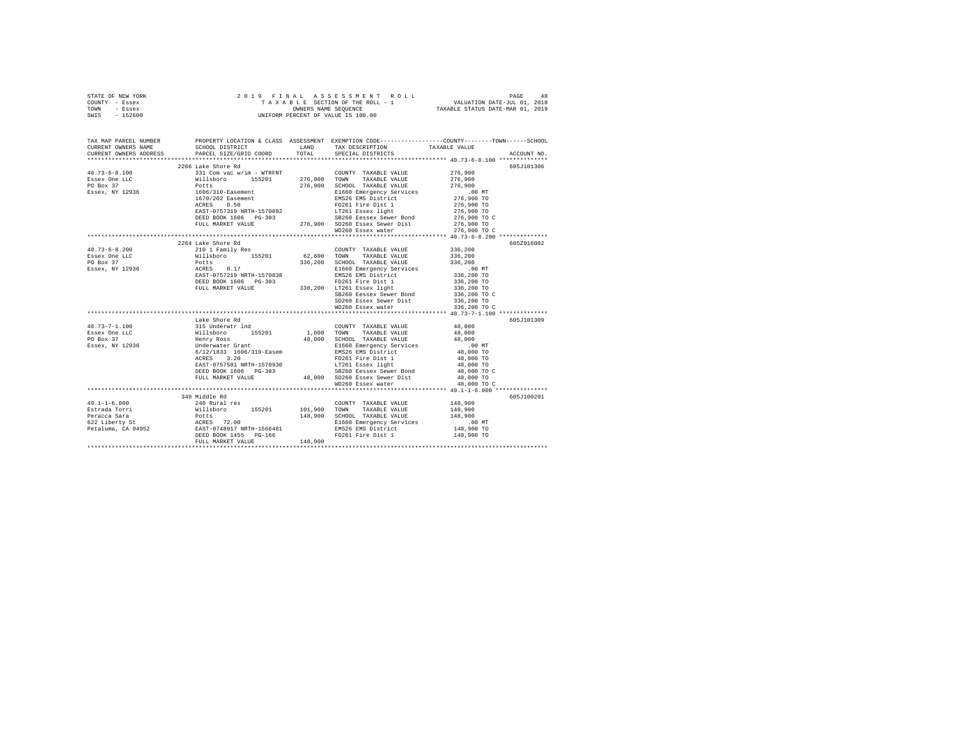| STATE OF NEW YORK | 2019 FINAL ASSESSMENT ROLL         | 48<br>PAGE                       |
|-------------------|------------------------------------|----------------------------------|
| COUNTY - Essex    | TAXABLE SECTION OF THE ROLL - 1    | VALUATION DATE-JUL 01, 2018      |
| TOWN<br>- Essex   | OWNERS NAME SEOUENCE               | TAXABLE STATUS DATE-MAR 01, 2019 |
| - 152600<br>SWIS  | UNIFORM PERCENT OF VALUE IS 100.00 |                                  |

| TAX MAP PARCEL NUMBER<br>CURRENT OWNERS NAME<br>CURRENT OWNERS ADDRESS                                                                                                                                                                                                                                                                                                                                  | SCHOOL DISTRICT TAND TAX DESCRIPTION                                                                                                                                                                                                                                                                                                                                                                            |  | PROPERTY LOCATION & CLASS ASSESSMENT EXEMPTION CODE---------------COUNTY-------TOWN------SCHOOL<br>TAXABLE VALUE |
|---------------------------------------------------------------------------------------------------------------------------------------------------------------------------------------------------------------------------------------------------------------------------------------------------------------------------------------------------------------------------------------------------------|-----------------------------------------------------------------------------------------------------------------------------------------------------------------------------------------------------------------------------------------------------------------------------------------------------------------------------------------------------------------------------------------------------------------|--|------------------------------------------------------------------------------------------------------------------|
|                                                                                                                                                                                                                                                                                                                                                                                                         | PARCEL SIZE/GRID COORD TOTAL SPECIAL DISTRICTS                                                                                                                                                                                                                                                                                                                                                                  |  | ACCOUNT NO.                                                                                                      |
|                                                                                                                                                                                                                                                                                                                                                                                                         | 2266 Lake Shore Rd                                                                                                                                                                                                                                                                                                                                                                                              |  | 605J101306                                                                                                       |
|                                                                                                                                                                                                                                                                                                                                                                                                         |                                                                                                                                                                                                                                                                                                                                                                                                                 |  |                                                                                                                  |
|                                                                                                                                                                                                                                                                                                                                                                                                         |                                                                                                                                                                                                                                                                                                                                                                                                                 |  |                                                                                                                  |
|                                                                                                                                                                                                                                                                                                                                                                                                         |                                                                                                                                                                                                                                                                                                                                                                                                                 |  |                                                                                                                  |
|                                                                                                                                                                                                                                                                                                                                                                                                         |                                                                                                                                                                                                                                                                                                                                                                                                                 |  |                                                                                                                  |
|                                                                                                                                                                                                                                                                                                                                                                                                         |                                                                                                                                                                                                                                                                                                                                                                                                                 |  |                                                                                                                  |
|                                                                                                                                                                                                                                                                                                                                                                                                         |                                                                                                                                                                                                                                                                                                                                                                                                                 |  |                                                                                                                  |
|                                                                                                                                                                                                                                                                                                                                                                                                         |                                                                                                                                                                                                                                                                                                                                                                                                                 |  |                                                                                                                  |
|                                                                                                                                                                                                                                                                                                                                                                                                         |                                                                                                                                                                                                                                                                                                                                                                                                                 |  |                                                                                                                  |
|                                                                                                                                                                                                                                                                                                                                                                                                         |                                                                                                                                                                                                                                                                                                                                                                                                                 |  |                                                                                                                  |
|                                                                                                                                                                                                                                                                                                                                                                                                         |                                                                                                                                                                                                                                                                                                                                                                                                                 |  |                                                                                                                  |
|                                                                                                                                                                                                                                                                                                                                                                                                         |                                                                                                                                                                                                                                                                                                                                                                                                                 |  |                                                                                                                  |
|                                                                                                                                                                                                                                                                                                                                                                                                         | 2264 Lake Shore Rd                                                                                                                                                                                                                                                                                                                                                                                              |  | 605Z016002                                                                                                       |
|                                                                                                                                                                                                                                                                                                                                                                                                         |                                                                                                                                                                                                                                                                                                                                                                                                                 |  |                                                                                                                  |
|                                                                                                                                                                                                                                                                                                                                                                                                         |                                                                                                                                                                                                                                                                                                                                                                                                                 |  |                                                                                                                  |
|                                                                                                                                                                                                                                                                                                                                                                                                         |                                                                                                                                                                                                                                                                                                                                                                                                                 |  |                                                                                                                  |
|                                                                                                                                                                                                                                                                                                                                                                                                         |                                                                                                                                                                                                                                                                                                                                                                                                                 |  |                                                                                                                  |
|                                                                                                                                                                                                                                                                                                                                                                                                         |                                                                                                                                                                                                                                                                                                                                                                                                                 |  |                                                                                                                  |
|                                                                                                                                                                                                                                                                                                                                                                                                         |                                                                                                                                                                                                                                                                                                                                                                                                                 |  |                                                                                                                  |
|                                                                                                                                                                                                                                                                                                                                                                                                         |                                                                                                                                                                                                                                                                                                                                                                                                                 |  |                                                                                                                  |
|                                                                                                                                                                                                                                                                                                                                                                                                         |                                                                                                                                                                                                                                                                                                                                                                                                                 |  |                                                                                                                  |
|                                                                                                                                                                                                                                                                                                                                                                                                         |                                                                                                                                                                                                                                                                                                                                                                                                                 |  |                                                                                                                  |
|                                                                                                                                                                                                                                                                                                                                                                                                         |                                                                                                                                                                                                                                                                                                                                                                                                                 |  |                                                                                                                  |
|                                                                                                                                                                                                                                                                                                                                                                                                         |                                                                                                                                                                                                                                                                                                                                                                                                                 |  |                                                                                                                  |
|                                                                                                                                                                                                                                                                                                                                                                                                         | Lake Shore Rd                                                                                                                                                                                                                                                                                                                                                                                                   |  | 605J101309                                                                                                       |
| $40.73 - 7 - 1.100$                                                                                                                                                                                                                                                                                                                                                                                     |                                                                                                                                                                                                                                                                                                                                                                                                                 |  |                                                                                                                  |
| Essex One LLC<br>PO Box 37                                                                                                                                                                                                                                                                                                                                                                              |                                                                                                                                                                                                                                                                                                                                                                                                                 |  |                                                                                                                  |
|                                                                                                                                                                                                                                                                                                                                                                                                         |                                                                                                                                                                                                                                                                                                                                                                                                                 |  |                                                                                                                  |
| Essex, NY 12936                                                                                                                                                                                                                                                                                                                                                                                         |                                                                                                                                                                                                                                                                                                                                                                                                                 |  |                                                                                                                  |
|                                                                                                                                                                                                                                                                                                                                                                                                         |                                                                                                                                                                                                                                                                                                                                                                                                                 |  |                                                                                                                  |
|                                                                                                                                                                                                                                                                                                                                                                                                         |                                                                                                                                                                                                                                                                                                                                                                                                                 |  |                                                                                                                  |
|                                                                                                                                                                                                                                                                                                                                                                                                         |                                                                                                                                                                                                                                                                                                                                                                                                                 |  |                                                                                                                  |
|                                                                                                                                                                                                                                                                                                                                                                                                         |                                                                                                                                                                                                                                                                                                                                                                                                                 |  |                                                                                                                  |
|                                                                                                                                                                                                                                                                                                                                                                                                         | $\begin{tabular}{@{}c@{\hspace{1cm}}c@{\hspace{1cm}}c@{\hspace{1cm}}c@{\hspace{1cm}}c@{\hspace{1cm}}c@{\hspace{1cm}}c@{\hspace{1cm}}c@{\hspace{1cm}}c@{\hspace{1cm}}c@{\hspace{1cm}}c@{\hspace{1cm}}c@{\hspace{1cm}}c@{\hspace{1cm}}c@{\hspace{1cm}}c@{\hspace{1cm}}c@{\hspace{1cm}}c@{\hspace{1cm}}c@{\hspace{1cm}}c@{\hspace{1cm}}c@{\hspace{1cm}}c@{\hspace{1cm}}c@{\hspace{1cm}}c@{\hspace{1cm}}c@{\hspace$ |  |                                                                                                                  |
|                                                                                                                                                                                                                                                                                                                                                                                                         |                                                                                                                                                                                                                                                                                                                                                                                                                 |  |                                                                                                                  |
|                                                                                                                                                                                                                                                                                                                                                                                                         | 349 Middle Rd                                                                                                                                                                                                                                                                                                                                                                                                   |  | 605J100201                                                                                                       |
|                                                                                                                                                                                                                                                                                                                                                                                                         |                                                                                                                                                                                                                                                                                                                                                                                                                 |  |                                                                                                                  |
|                                                                                                                                                                                                                                                                                                                                                                                                         |                                                                                                                                                                                                                                                                                                                                                                                                                 |  |                                                                                                                  |
|                                                                                                                                                                                                                                                                                                                                                                                                         |                                                                                                                                                                                                                                                                                                                                                                                                                 |  |                                                                                                                  |
|                                                                                                                                                                                                                                                                                                                                                                                                         |                                                                                                                                                                                                                                                                                                                                                                                                                 |  |                                                                                                                  |
|                                                                                                                                                                                                                                                                                                                                                                                                         |                                                                                                                                                                                                                                                                                                                                                                                                                 |  |                                                                                                                  |
|                                                                                                                                                                                                                                                                                                                                                                                                         |                                                                                                                                                                                                                                                                                                                                                                                                                 |  |                                                                                                                  |
|                                                                                                                                                                                                                                                                                                                                                                                                         |                                                                                                                                                                                                                                                                                                                                                                                                                 |  |                                                                                                                  |
| $\begin{tabular}{l c c c c c} \multicolumn{3}{c c c c} \multicolumn{3}{c c c} \multicolumn{3}{c c c} \multicolumn{3}{c c c} \multicolumn{3}{c c c} \multicolumn{3}{c c c} \multicolumn{3}{c c c} \multicolumn{3}{c c c} \multicolumn{3}{c c c} \multicolumn{3}{c c c} \multicolumn{3}{c c c} \multicolumn{3}{c c c} \multicolumn{3}{c c c} \multicolumn{3}{c c c} \multicolumn{3}{c c c} \multicolumn{$ |                                                                                                                                                                                                                                                                                                                                                                                                                 |  |                                                                                                                  |
|                                                                                                                                                                                                                                                                                                                                                                                                         |                                                                                                                                                                                                                                                                                                                                                                                                                 |  |                                                                                                                  |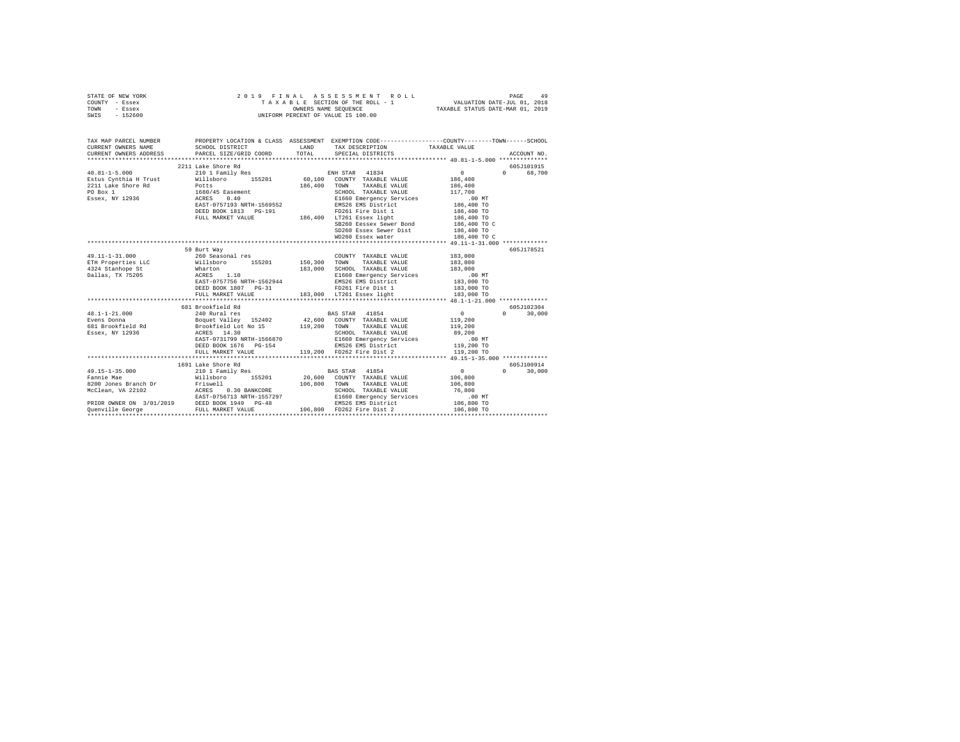|                | STATE OF NEW YORK |                      |  |  |  |  |  | 2019 FINAL ASSESSMENT ROLL         |  |  |                                  |  |  |  |                             |  | PAGE | 49 |
|----------------|-------------------|----------------------|--|--|--|--|--|------------------------------------|--|--|----------------------------------|--|--|--|-----------------------------|--|------|----|
| COUNTY - Essex |                   |                      |  |  |  |  |  | TAXABLE SECTION OF THE ROLL - 1    |  |  |                                  |  |  |  | VALUATION DATE-JUL 01, 2018 |  |      |    |
| TOWN           | - Essex           | OWNERS NAME SEOUENCE |  |  |  |  |  |                                    |  |  | TAXABLE STATUS DATE-MAR 01, 2019 |  |  |  |                             |  |      |    |
|                | SWIS - 152600     |                      |  |  |  |  |  | UNIFORM PERCENT OF VALUE IS 100.00 |  |  |                                  |  |  |  |                             |  |      |    |

|                      |                    | TAX MAP PARCEL NUMBER THE PROPERTY LOCATION & CLASS ASSESSMENT EXEMPTION CODE-------------COUNTY--------TOWN------SCHOOL                                                                                                                      |                                         |               |
|----------------------|--------------------|-----------------------------------------------------------------------------------------------------------------------------------------------------------------------------------------------------------------------------------------------|-----------------------------------------|---------------|
|                      |                    | CURRENT OWNERS NAME SCHOOL DISTRICT WE LAND TAX DESCRIPTION TAXABLE VALUE                                                                                                                                                                     |                                         |               |
|                      |                    |                                                                                                                                                                                                                                               |                                         |               |
|                      | 2211 Lake Shore Rd |                                                                                                                                                                                                                                               |                                         | 605J101915    |
|                      |                    | 40.81-1-5.000 210 1 Family Res ENH STAR 41834                                                                                                                                                                                                 |                                         | 0 68,700      |
|                      |                    | -voltaris (1994)<br>Estus Cynthia H. Trust and Millsboro 155201 60,100 COUNTY TAXABLE VALUE 186,400<br>2211 Lake Shore Rd Potts 186,400 TONN TAXABLE VALUE 186,400<br>PO Box 1 17,700 ACRES 0.400 E1660/45 Easement SCHOOL TAXABLE V          | $0$<br>186,400<br>186,400               |               |
|                      |                    |                                                                                                                                                                                                                                               |                                         |               |
|                      |                    |                                                                                                                                                                                                                                               |                                         |               |
|                      |                    |                                                                                                                                                                                                                                               |                                         |               |
|                      |                    |                                                                                                                                                                                                                                               |                                         |               |
|                      |                    | DEED BOOK 1813 PG-191 <b>PD261</b> FD261 Fire Dist 1 186,400 TO                                                                                                                                                                               |                                         |               |
|                      |                    | FULL MARKET VALUE 186,400 LT261 Essex light                                                                                                                                                                                                   | 186,400 TO                              |               |
|                      |                    |                                                                                                                                                                                                                                               | 186,400 TO C                            |               |
|                      |                    | SB260 Eessex Sewer Bond 186,400 TO<br>SD260 Essex Sewer Dist 186,400 TO                                                                                                                                                                       |                                         |               |
|                      |                    | WD260 Essex water 186,400 TO C                                                                                                                                                                                                                |                                         |               |
|                      |                    |                                                                                                                                                                                                                                               |                                         |               |
|                      | 59 Burt Way        |                                                                                                                                                                                                                                               |                                         | 605J178521    |
| $49.11 - 1 - 31.000$ | 260 Seasonal res   | COUNTY TAXABLE VALUE 183,000                                                                                                                                                                                                                  |                                         |               |
|                      |                    |                                                                                                                                                                                                                                               |                                         |               |
|                      |                    | ETH Properties LLC<br>193,000 TOWN TAXABLE VALUE 183,000<br>4324 Stanhope St Marton Maxamine Vallas, TX 75205<br>2011as, TX 75205 ACRES 1.10<br>2011as, TX 75205 ACRES 1.10<br>2011as, TX 75205 ACRES 1.10<br>2011as, TX 75205 ACRES 1.10<br> |                                         |               |
|                      |                    |                                                                                                                                                                                                                                               |                                         |               |
|                      |                    |                                                                                                                                                                                                                                               |                                         |               |
|                      |                    |                                                                                                                                                                                                                                               |                                         |               |
|                      |                    |                                                                                                                                                                                                                                               |                                         |               |
|                      |                    |                                                                                                                                                                                                                                               |                                         |               |
|                      |                    |                                                                                                                                                                                                                                               |                                         | 605J102304    |
| $48.1 - 1 - 21.000$  |                    |                                                                                                                                                                                                                                               |                                         | $0 \t 30,000$ |
|                      |                    | Evens Donna <b>Boquet Valley</b> 152402 42,600 COUNTY TAXABLE VALUE 119,200                                                                                                                                                                   |                                         |               |
|                      |                    |                                                                                                                                                                                                                                               |                                         |               |
|                      |                    |                                                                                                                                                                                                                                               |                                         |               |
|                      |                    |                                                                                                                                                                                                                                               |                                         |               |
|                      |                    |                                                                                                                                                                                                                                               |                                         |               |
|                      |                    | Notes bound and the second term of the second term of the second term of the second term of the second term of<br>ESSEX, NY 12936 SERIO ENGLISH AND SCHOOL TAXABLE VALUE 219,200<br>ESSEX, NY 12936 SCHOOL TAXABLE VALUE 219,200<br>          |                                         |               |
|                      | 1691 Lake Shore Rd |                                                                                                                                                                                                                                               |                                         | 605J100914    |
|                      |                    |                                                                                                                                                                                                                                               |                                         | $0 \t30,000$  |
|                      |                    |                                                                                                                                                                                                                                               | $\begin{array}{c}0\\106,800\end{array}$ |               |
|                      |                    | 106,800 TOWN TAXABLE VALUE 106,800                                                                                                                                                                                                            |                                         |               |
|                      |                    |                                                                                                                                                                                                                                               |                                         |               |
|                      |                    |                                                                                                                                                                                                                                               | .00 MT                                  |               |
|                      |                    |                                                                                                                                                                                                                                               | $106,800$ TO                            |               |
|                      |                    |                                                                                                                                                                                                                                               |                                         |               |
|                      |                    |                                                                                                                                                                                                                                               |                                         |               |
|                      |                    |                                                                                                                                                                                                                                               |                                         |               |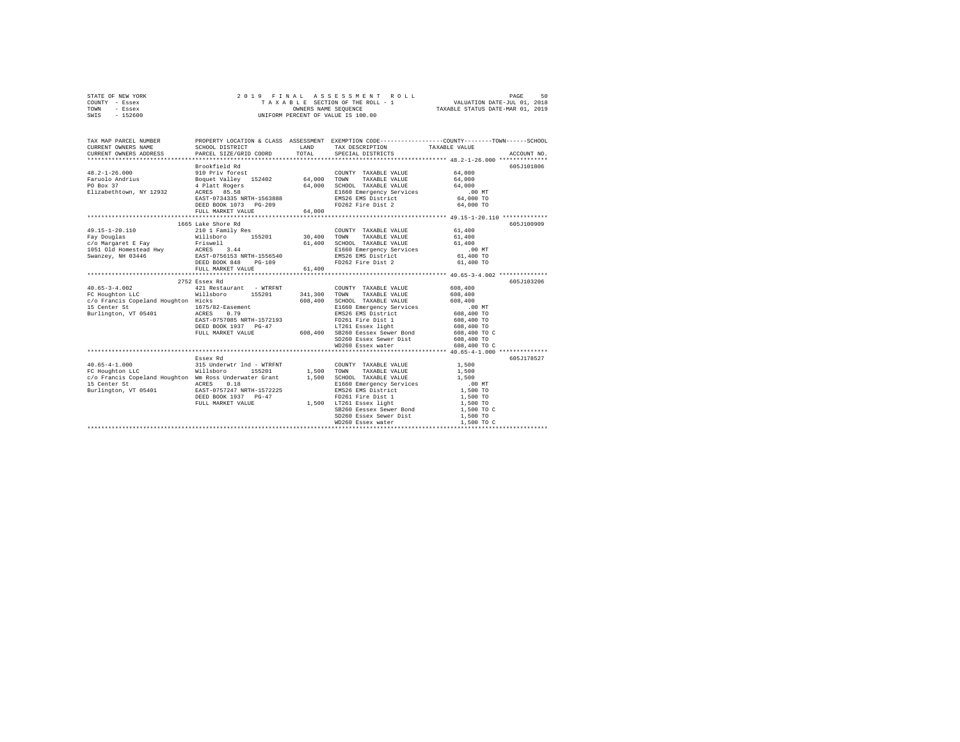| STATE OF NEW YORK | 2019 FINAL ASSESSMENT ROLL         | 50<br>PAGE                       |
|-------------------|------------------------------------|----------------------------------|
| COUNTY - Essex    | TAXABLE SECTION OF THE ROLL - 1    | VALUATION DATE-JUL 01, 2018      |
| TOWN<br>- Essex   | OWNERS NAME SEOUENCE               | TAXABLE STATUS DATE-MAR 01, 2019 |
| - 152600<br>SWIS  | UNIFORM PERCENT OF VALUE IS 100.00 |                                  |

| TAX MAP PARCEL NUMBER<br>CURRENT OWNERS NAME<br>CURRENT OWNERS ADDRESS PARCEL SIZE/GRID COORD                                                                                                                                                                               | SCHOOL DISTRICT                                                                                                                                                                                         | LAND<br>TOTAL            | TAX DESCRIPTION TAXABLE VALUE SPECIAL DISTRICTS                                                                                                                                                                                                                                                     | PROPERTY LOCATION & CLASS ASSESSMENT EXEMPTION CODE---------------COUNTY-------TOWN------SCHOOL<br>ACCOUNT NO.              |
|-----------------------------------------------------------------------------------------------------------------------------------------------------------------------------------------------------------------------------------------------------------------------------|---------------------------------------------------------------------------------------------------------------------------------------------------------------------------------------------------------|--------------------------|-----------------------------------------------------------------------------------------------------------------------------------------------------------------------------------------------------------------------------------------------------------------------------------------------------|-----------------------------------------------------------------------------------------------------------------------------|
| $48.2 - 1 - 26.000$<br>Faruolo Andrius<br>PO Box 37<br>Elizabethtown, NY 12932 ACRES 85.58                                                                                                                                                                                  | Brookfield Rd<br>المحمد المجموعة المحمد المجموعة 152402<br>A Platt Rogers 152402 64,000<br>ACRES AR So 64,000<br>ACRES 85.58<br>EAST-0734335 NRTH-1563888<br>DEED BOOK 1073 PG-209<br>FULL MARKET VALUE | 64.000                   | COUNTY TAXABLE VALUE<br>TAXABLE VALUE<br>TOWN<br>SCHOOL TAXABLE VALUE<br>E1660 Emergency Services<br>ENS26 EMS District 64,000 TO<br>FD262 Fire Dist 2 64,000 TO                                                                                                                                    | 605J101806<br>64,000<br>64,000<br>64,000                                                                                    |
| 49.15-1-20.110<br>Fay Douglas<br>-c/b Margaret E Fay Priswell (1,400<br>1051 Old Homestead Hwy ACRES 3.44 (1,400<br>Swanzey, NH 03446 (2,825 -0756153 NRTH-1556540)<br>DEED HOMEST ONE RAST -0756153 NRTH-1556540<br>DEED HOMEST VALUE (1,400)<br>1,400<br>---------------- | 1665 Lake Shore Rd<br>210 1 Family Res                                                                                                                                                                  | ************************ | COUNTY TAXABLE VALUE<br>TAXABLE VALUE<br>SCHOOL TAXABLE VALUE 61,400<br>E1660 Emergency Services<br>EMS26 EMS District<br>FD262 Fire Dist 2                                                                                                                                                         | 605J100909<br>61,400<br>61,400<br>$.00$ MT<br>61,400 TO<br>61,400 TO<br>********************* 40.65-3-4.002 *************** |
| $40.65 - 3 - 4.002$<br>FC Houghton LLC<br>c/o Francis Copeland Houghton Hicks<br>15 Center St<br>Burlington, VT 05401                                                                                                                                                       | 2752 Essex Rd<br>421 Restaurant - WTRFNT<br>Willsboro 155201<br>DEED BOOK 1937 PG-47<br>FULL MARKET VALUE                                                                                               | 341,300<br>608,400       | COUNTY TAXABLE VALUE 608,400<br>TOWN TAXABLE VALUE<br>SCHOOL TAXABLE VALUE<br>E1660 Emergency Services<br>EMS26 EMS District<br>FD261 Fire Dist 1<br>LT261 Essex light 608,400 TO<br>LT261 Essex light<br>608,400 SB260 Eessex Sewer Bond<br>SD260 Essex Sewer Dist 608,400 TO<br>WD260 Essex water | 605-1103206<br>608,400<br>608,400<br>.00MT<br>608,400 TO<br>608,400 TO<br>608,400 TO C<br>608,400 TO C                      |
| c/o Francis Copeland Houghton Wm Ross Underwater Grant 1,500                                                                                                                                                                                                                | Essex Rd<br>DEED BOOK 1937 PG-47                                                                                                                                                                        |                          | COUNTY TAXABLE VALUE<br>TAXABLE VALUE<br>SCHOOL TAXABLE VALUE<br>E1660 Emergency Services<br>EMS26 EMS District<br>SB260 Eessex Sewer Bond<br>SD260 Essex Sewer Dist<br>WD260 Essex water                                                                                                           | 605J178527<br>1,500<br>1,500<br>1,500<br>.00 MT<br>1,500 TO<br>1,500 TO<br>1,500 TO<br>1,500 TO C<br>1,500 TO<br>1,500 TO C |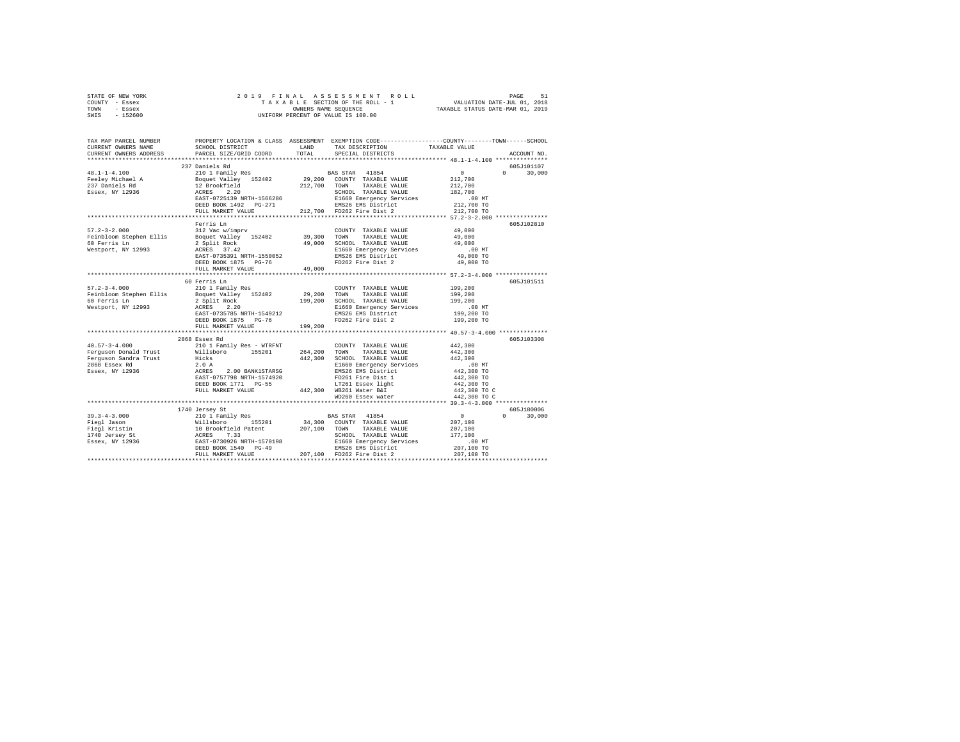| STATE OF NEW YORK          |                                                                         | 2019 FINAL ASSESSMENT ROLL                                   | 51<br>PAGE                                                   |
|----------------------------|-------------------------------------------------------------------------|--------------------------------------------------------------|--------------------------------------------------------------|
| COUNTY<br>- Essex          |                                                                         |                                                              | TAXABLE SECTION OF THE ROLL - 1 WALUATION DATE-JUL 01, 2018  |
| TOWN<br>- Essex            |                                                                         |                                                              | OWNERS NAME SEQUENCE TAXABLE STATUS DATE-MAR 01, 2019        |
| $-152600$<br>SWIS          |                                                                         | UNIFORM PERCENT OF VALUE IS 100.00                           |                                                              |
|                            |                                                                         |                                                              |                                                              |
|                            |                                                                         |                                                              |                                                              |
|                            |                                                                         |                                                              |                                                              |
| TAX MAP PARCEL NUMBER      | PROPERTY LOCATION & CLASS ASSESSMENT                                    |                                                              | EXEMPTION CODE-----------------COUNTY-------TOWN------SCHOOL |
| CURRENT OWNERS NAME        | SCHOOL DISTRICT                                                         | LAND TAX DESCRIPTION TAXABLE VALUE                           |                                                              |
|                            | CURRENT OWNERS ADDRESS 6 PARCEL SIZE/GRID COORD TOTAL SPECIAL DISTRICTS |                                                              | ACCOUNT NO.                                                  |
| ************************** |                                                                         |                                                              |                                                              |
|                            | 237 Daniels Rd                                                          |                                                              | 605J101107                                                   |
| $48.1 - 1 - 4.100$         | 210 1 Family Res                                                        | BAS STAR 41854                                               | $\sim$ 0<br>30,000<br>$0 \qquad \qquad$                      |
| Feeley Michael A           | Boquet Valley 152402 29,200 COUNTY TAXABLE VALUE                        |                                                              | 212,700                                                      |
| 237 Daniels Rd             | 12 Brookfield 212,700                                                   | TOWN<br>TAXABLE VALUE                                        | 212,700                                                      |
| Essex, NY 12936            | ACRES 2.20                                                              | TAXABLE VALUE<br>SCHOOL                                      | 182,700                                                      |
|                            | EAST-0725139 NRTH-1566286                                               | E1660 Emergency Services .00 MT                              |                                                              |
|                            | DEED BOOK 1492 PG-271                                                   | EMS26 EMS District 212,700 TO                                |                                                              |
|                            |                                                                         | FULL MARKET VALUE 		 212.700 FD262 Fire Dist 2 		 212.700 TO |                                                              |
|                            |                                                                         |                                                              |                                                              |
|                            | Ferris Ln                                                               |                                                              | 605J102810                                                   |
| $57.2 - 3 - 2.000$         | 312 Vac w/imprv                                                         | COUNTY TAXABLE VALUE                                         | 49,000                                                       |
| Feinbloom Stephen Ellis    | Boquet Valley 152402 39,300 TOWN                                        | TAXABLE VALUE                                                | 49,000                                                       |
|                            |                                                                         |                                                              | .                                                            |

| $57.2 - 3 - 2.000$      | 312 Vac w/imprv                         | COUNTY TAXABLE VALUE                           | 49,000                               |  |
|-------------------------|-----------------------------------------|------------------------------------------------|--------------------------------------|--|
| Feinbloom Stephen Ellis | Boquet Valley 152402                    | 39,300 TOWN<br>TAXABLE VALUE                   | 49,000                               |  |
| 60 Ferris Ln            | 2 Split Rock                            | 49.000 SCHOOL TAXABLE VALUE                    | 49,000                               |  |
| Westport, NY 12993      | ACRES 37.42                             | E1660 Emergency Services                       | $.00$ MT                             |  |
|                         | EAST-0735391 NRTH-1550052               | EMS26 EMS District                             | 49,000 TO                            |  |
|                         | DEED BOOK 1875 PG-76                    | FD262 Fire Dist 2                              | 49,000 TO                            |  |
|                         | FULL MARKET VALUE                       | 49,000                                         |                                      |  |
|                         |                                         |                                                |                                      |  |
|                         | 60 Ferris Ln                            |                                                | 605J101511                           |  |
| $57.2 - 3 - 4.000$      | 210 1 Family Res                        | COUNTY TAXABLE VALUE                           | 199,200                              |  |
| Feinbloom Stephen Ellis | Boquet Valley 152402                    | 29,200 TOWN<br>TAXABLE VALUE                   | 199,200                              |  |
| 60 Ferris Ln            | 2 Split Rock                            | 199,200 SCHOOL TAXABLE VALUE                   | 199,200                              |  |
| Westport, NY 12993      | ACRES 2.20<br>EAST-0735785 NRTH-1549212 | E1660 Emergency Services<br>EMS26 EMS District | .00 MT                               |  |
|                         | DEED BOOK 1875 PG-76                    | FD262 Fire Dist 2                              | 199,200 TO                           |  |
|                         |                                         |                                                | 199,200 TO                           |  |
|                         | FULL MARKET VALUE                       | 199,200                                        |                                      |  |
|                         | 2868 Essex Rd                           |                                                | 605J103308                           |  |
| $40.57 - 3 - 4.000$     | 210 1 Family Res - WTRFNT               | COUNTY TAXABLE VALUE                           | 442,300                              |  |
| Ferguson Donald Trust   | 155201<br>Willsboro                     | 264.200 TOWN<br>TAXABLE VALUE                  | 442,300                              |  |
| Ferquson Sandra Trust   | Hicks                                   | 442,300 SCHOOL TAXABLE VALUE                   | 442,300                              |  |
| 2868 Essex Rd           | 2.0A                                    | E1660 Emergency Services                       | $.00$ MT                             |  |
| Essex, NY 12936         | ACRES 2.00 BANK1STARSG                  | EMS26 EMS District                             | 442,300 TO                           |  |
|                         | EAST-0757798 NRTH-1574920               | FD261 Fire Dist 1                              | 442,300 TO                           |  |
|                         | DEED BOOK 1771 PG-55                    | LT261 Essex light                              | 442,300 TO                           |  |
|                         | FULL MARKET VALUE                       | 442,300 WB261 Water B&I                        | 442,300 TO C                         |  |
|                         |                                         | WD260 Essex water                              | 442,300 TO C                         |  |
|                         |                                         |                                                |                                      |  |
|                         | 1740 Jersey St                          |                                                | 605J180006                           |  |
| $39.3 - 4 - 3.000$      | 210 1 Family Res                        | BAS STAR 41854                                 | $\overline{0}$<br>$\Omega$<br>30,000 |  |
| Fiegl Jason             | Willsboro<br>155201                     | 34,300 COUNTY TAXABLE VALUE                    | 207,100                              |  |
| Fiegl Kristin           | 10 Brookfield Patent                    | 207.100 TOWN<br>TAXABLE VALUE                  | 207,100                              |  |
| 1740 Jersey St          | ACRES 7.33                              | SCHOOL TAXABLE VALUE                           | 177,100                              |  |
| Essex, NY 12936         | EAST-0730926 NRTH-1570198               | E1660 Emergency Services                       | $.00$ MT                             |  |
|                         | DEED BOOK 1540 PG-49                    | EMS26 EMS District                             | 207,100 TO                           |  |
|                         | FULL MARKET VALUE                       | 207.100 FD262 Fire Dist 2                      | 207,100 TO                           |  |
|                         |                                         |                                                |                                      |  |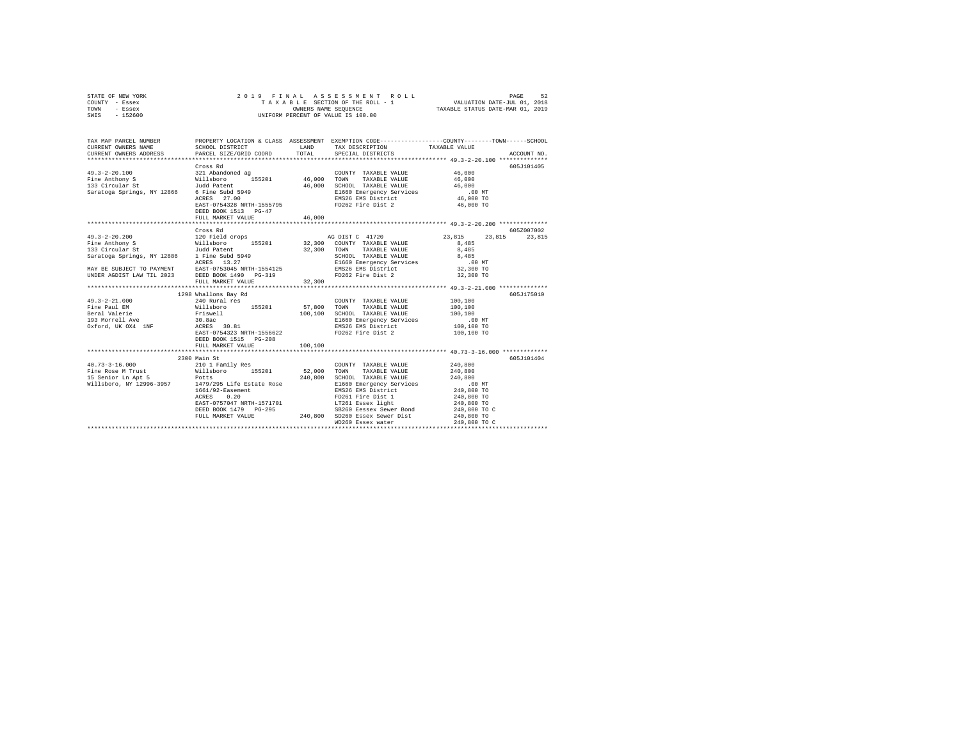|      | STATE OF NEW YORK |  | 2019 FINAL ASSESSMENT ROLL         | PAGE                             | 52 |
|------|-------------------|--|------------------------------------|----------------------------------|----|
|      | COUNTY - Essex    |  | TAXABLE SECTION OF THE ROLL - 1    | VALUATION DATE-JUL 01, 2018      |    |
| TOWN | - Essex           |  | OWNERS NAME SEOUENCE               | TAXABLE STATUS DATE-MAR 01, 2019 |    |
| SWIS | - 152600          |  | UNIFORM PERCENT OF VALUE IS 100.00 |                                  |    |

| TAX MAP PARCEL NUMBER |                                               |        |                                                                                                                                                                                                                                                                                                 | PROPERTY LOCATION & CLASS ASSESSMENT EXEMPTION CODE----------------COUNTY-------TOWN------SCHOOL |
|-----------------------|-----------------------------------------------|--------|-------------------------------------------------------------------------------------------------------------------------------------------------------------------------------------------------------------------------------------------------------------------------------------------------|--------------------------------------------------------------------------------------------------|
|                       | Cross Rd<br>DEED BOOK 1513 PG-47              | 46,000 | COUNTY TAXABLE VALUE 46,000<br>TAXABLE VALUE 46,000                                                                                                                                                                                                                                             | 605J101405                                                                                       |
|                       | Cross Rd                                      |        |                                                                                                                                                                                                                                                                                                 | 605Z007002<br>23,815 23,815                                                                      |
|                       | 1298 Whallons Bay Rd<br>DEED BOOK 1515 PG-208 |        |                                                                                                                                                                                                                                                                                                 | 605J175010                                                                                       |
|                       | 2300 Main St                                  |        | ${\small \begin{tabular}{cc} 240, 800 & SCHOOL & TAXABLE & YALIDE & 240, 800 \\ 240, 800 & SCHOOL & TAXABLE & YALIDE & 240, 800 \\ 2460 & B166 & Dmergency \\ FMSZ6 EMS & DisterLct & 240, 800 T0 \\ FMSZ6 EMS & DistrLct & 240, 800 T0 \\ TIZ61 Essex & Iight & 240, 800 T0 \\ \end{tabular}}$ | 605J101404<br>240,800<br>240,800                                                                 |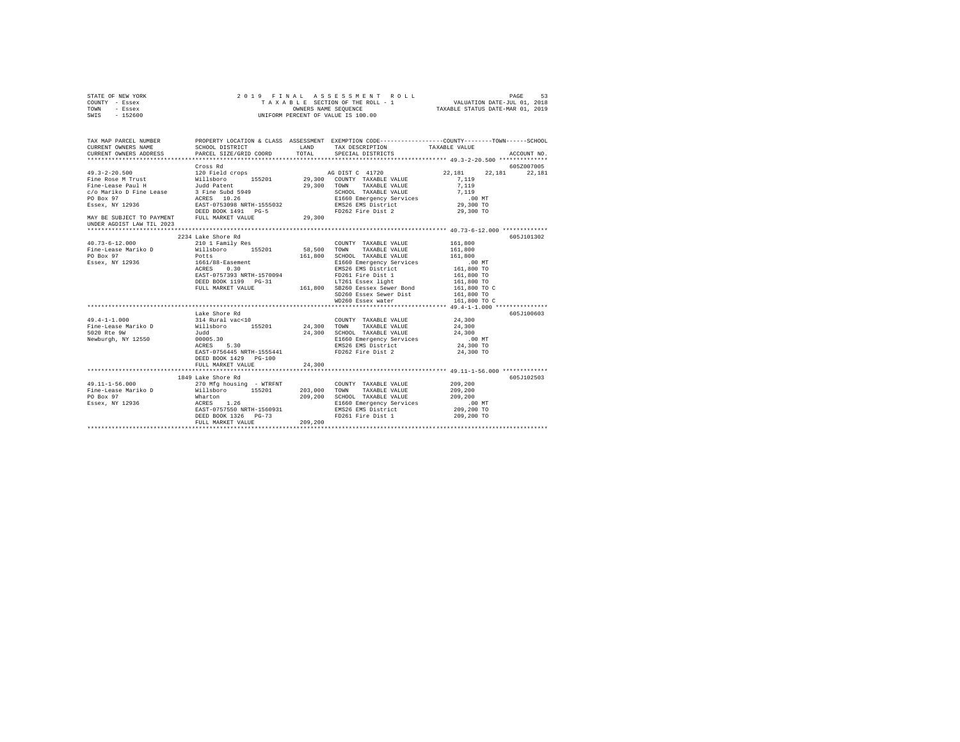|      | STATE OF NEW YORK |  | 2019 FINAL ASSESSMENT ROLL         | PAGE                             | 53 |
|------|-------------------|--|------------------------------------|----------------------------------|----|
|      | COUNTY - Essex    |  | TAXABLE SECTION OF THE ROLL - 1    | VALUATION DATE-JUL 01, 2018      |    |
| TOWN | - Essex           |  | OWNERS NAME SEOUENCE               | TAXABLE STATUS DATE-MAR 01, 2019 |    |
| SWIS | - 152600          |  | UNIFORM PERCENT OF VALUE IS 100.00 |                                  |    |

| TAX MAP PARCEL NUMBER<br>CURRENT OWNERS NAME | CURRENT OWNERS ADDRESS PARCEL SIZE/GRID COORD TOTAL SPECIAL DISTRICTS                                                                                                                                                                                                                                                                                                                                                                                                          |        | LAND TAX DESCRIPTION TAXABLE VALUE                                                                                         | ACCOUNT NO.                                                               |
|----------------------------------------------|--------------------------------------------------------------------------------------------------------------------------------------------------------------------------------------------------------------------------------------------------------------------------------------------------------------------------------------------------------------------------------------------------------------------------------------------------------------------------------|--------|----------------------------------------------------------------------------------------------------------------------------|---------------------------------------------------------------------------|
| UNDER AGDIST LAW TIL 2023                    | Cross Rd                                                                                                                                                                                                                                                                                                                                                                                                                                                                       |        |                                                                                                                            | 605Z007005<br>AG DIST C 41720 22,181 22,181 22,181                        |
|                                              | 2234 Lake Shore Rd                                                                                                                                                                                                                                                                                                                                                                                                                                                             |        |                                                                                                                            | 605J101302                                                                |
| $49.4 - 1 - 1.000$                           | 99.4-1.1000<br>Fine-Lease Mariko D Millsboro 155201 24,300 TOWN TAXABLE VALUE 24,300<br>5020 Ree 9W Judd 24,300 SCHOOL TAXABLE VALUE 24,300<br>Newburgh, NY 12550 00005.30 B1660 BMS26 EMS pistrict 24,300<br>Newburgh, NY 12550 00005<br>EAST-0756445 NRTH-1555441<br>DEED BOOK 1429 PG-100<br>FULL MARKET VALUE                                                                                                                                                              | 24,300 | 24,300 SCHOOL TAXABLE VALUE 24,300<br>E1660 Emergency Services 200 MT<br>EMS26 EMS District 24,300 TO<br>FD262 Fire Dist 2 | 605J100603<br>24,300 TO<br>***************** 49.11-1-56.000 ************* |
|                                              | 1849 Lake Shore Rd<br>$\begin{tabular}{l c c c c c c} \multicolumn{3}{c c c c} \multicolumn{3}{c c c} \multicolumn{3}{c c c} \multicolumn{3}{c c c} \multicolumn{3}{c c c} \multicolumn{3}{c c c} \multicolumn{3}{c c c} \multicolumn{3}{c c c} \multicolumn{3}{c c c} \multicolumn{3}{c c c} \multicolumn{3}{c c c} \multicolumn{3}{c c c} \multicolumn{3}{c c c} \multicolumn{3}{c c c} \multicolumn{3}{c c c} \multic$<br>DEED BOOK 1326 PG-73<br>FULL MARKET VALUE 209,200 |        | FD261 Fire Dist 1 209,200 TO                                                                                               | 605J102503                                                                |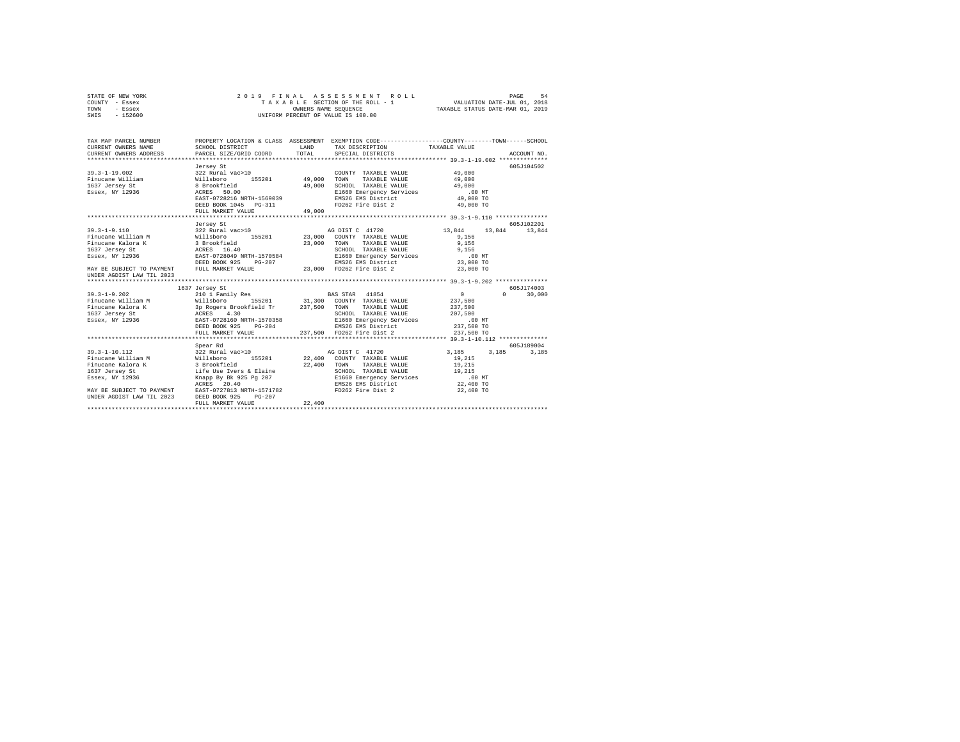|      | STATE OF NEW YORK |  | 2019 FINAL ASSESSMENT ROLL         | 54<br>PAGE                       |  |
|------|-------------------|--|------------------------------------|----------------------------------|--|
|      | COUNTY - Essex    |  | TAXABLE SECTION OF THE ROLL - 1    | VALUATION DATE-JUL 01, 2018      |  |
| TOWN | - Essex           |  | OWNERS NAME SEOUENCE               | TAXABLE STATUS DATE-MAR 01, 2019 |  |
| SWIS | - 152600          |  | UNIFORM PERCENT OF VALUE IS 100.00 |                                  |  |

| TAX MAP PARCEL NUMBER<br>CURRENT OWNERS NAME                                                                                                                                                                                                                                                                                                                                 | SCHOOL DISTRICT                                                                      | LAND   | PROPERTY LOCATION & CLASS ASSESSMENT EXEMPTION CODE---------------COUNTY-------TOWN-----SCHOOL<br>TAX DESCRIPTION TAXABLE VALUE            |                                |               |
|------------------------------------------------------------------------------------------------------------------------------------------------------------------------------------------------------------------------------------------------------------------------------------------------------------------------------------------------------------------------------|--------------------------------------------------------------------------------------|--------|--------------------------------------------------------------------------------------------------------------------------------------------|--------------------------------|---------------|
|                                                                                                                                                                                                                                                                                                                                                                              | Jersey St<br>EAST-0728216 NRTH-1569039<br>DEED BOOK 1045 PG-311<br>FULL MARKET VALUE | 49,000 | COUNTY TAXABLE VALUE 49,000<br>SCHOOL TAXABLE VALUE<br>E1660 Emergency Services 00 MT<br>EMS26 EMS District 49,000 TO<br>FD262 Fire Dist 2 | 49,000<br>49,000<br>49,000 TO  | 605J104502    |
|                                                                                                                                                                                                                                                                                                                                                                              | Jersey St                                                                            |        |                                                                                                                                            |                                | 605-7102201   |
| $39.3 - 1 - 9.110$<br>Finucane William M Willsboro 155201 23,000 COUNTY TAXABLE VALUE<br>Finucane Kalora K 3 Brookfield 2000<br>1637 Jersey St. 23,000<br>Essex, NY 12936 25. ACRES 16.40<br>Essex, NY 12936 EAST-0728049 NRTH-1570584<br>Essex, NY 12936<br>MAY BE SUBJECT TO PAYMENT FULL MARKET VALUE $23,000$ FD262 Fire Dist 2 $23,000$ TO<br>UNDER AGDIST LAW TIL 2023 | 322 Rural vac>10 ag DIST C 41720<br>DEED BOOK 925<br>$PG-207$                        |        | TOWN<br>TAXABLE VALUE 9,156<br>SCHOOL TAXABLE VALUE 9,156<br>E1660 Emergency Services .00 MT<br>EMS26 EMS District 23,000 TO               | 13,844<br>9,156                | 13,844 13,844 |
|                                                                                                                                                                                                                                                                                                                                                                              |                                                                                      |        |                                                                                                                                            |                                | 605J174003    |
|                                                                                                                                                                                                                                                                                                                                                                              | 1637 Jersey St<br>DEED BOOK 925 PG-204<br>FULL MARKET VALUE                          |        | SCHOOL TAXABLE VALUE 207,500                                                                                                               | $\sim$ 0<br>237,500<br>237,500 | $0 \t 30,000$ |
|                                                                                                                                                                                                                                                                                                                                                                              | Spear Rd                                                                             |        |                                                                                                                                            |                                | 605-7189004   |
| UNDER AGDIST LAW TIL 2023                                                                                                                                                                                                                                                                                                                                                    | DEED BOOK 925<br>$PG-207$<br>FULL MARKET VALUE                                       | 22,400 |                                                                                                                                            | 3, 185 3, 185                  | 3,185         |
|                                                                                                                                                                                                                                                                                                                                                                              |                                                                                      |        |                                                                                                                                            |                                |               |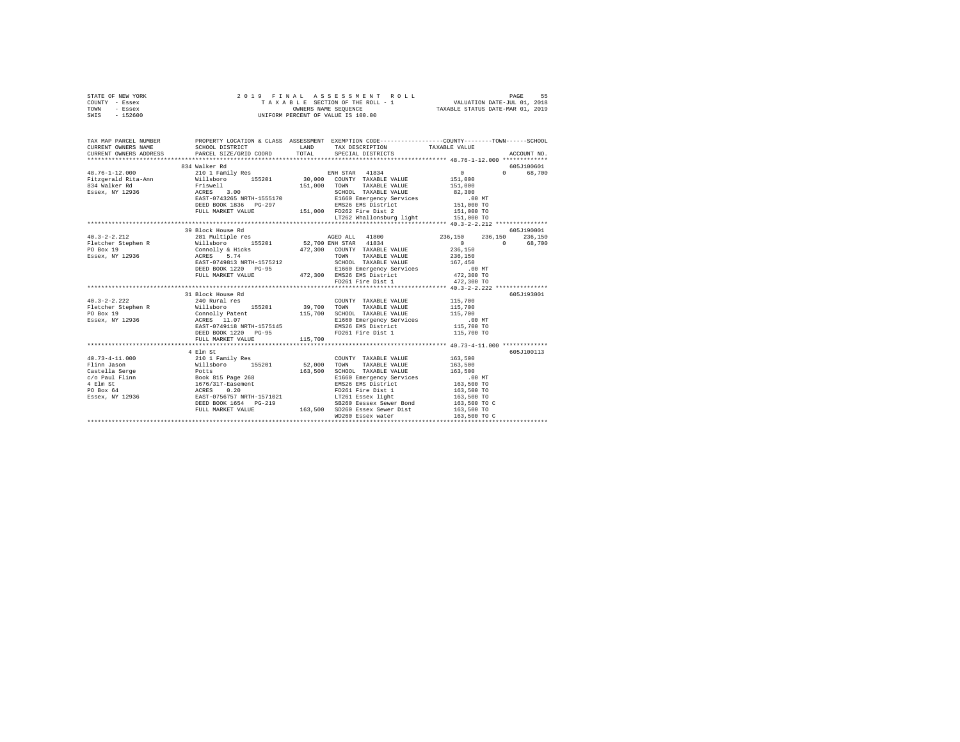| STATE OF NEW YORK<br>COUNTY - Essex<br>TOWN<br>- Essex<br>SWIS - 152600 | 2019 FINAL ASSESSMENT I<br>TAXABLE SECTION OF THE ROLL -<br>UNIFORM PERCENT OF VALUE IS 100.00                                                                                                                                                                                                                   |         | 2019 FINAL ASSESSMENT ROLL                                                              |                                                                                                                                                                                                                                                                                                                                                                                                                         |  |
|-------------------------------------------------------------------------|------------------------------------------------------------------------------------------------------------------------------------------------------------------------------------------------------------------------------------------------------------------------------------------------------------------|---------|-----------------------------------------------------------------------------------------|-------------------------------------------------------------------------------------------------------------------------------------------------------------------------------------------------------------------------------------------------------------------------------------------------------------------------------------------------------------------------------------------------------------------------|--|
|                                                                         |                                                                                                                                                                                                                                                                                                                  |         |                                                                                         |                                                                                                                                                                                                                                                                                                                                                                                                                         |  |
| CURRENT OWNERS NAME                                                     | SCHOOL DISTRICT                                                                                                                                                                                                                                                                                                  |         | LAND TAX DESCRIPTION                                                                    | TAX MAP PARCEL NUMBER PROPERTY LOCATION & CLASS ASSESSMENT EXEMPTION CODE--------------COUNTY-------TOWN------SCHOOL<br>TAXABLE VALUE                                                                                                                                                                                                                                                                                   |  |
| CURRENT OWNERS ADDRESS                                                  | PARCEL SIZE/GRID COORD TOTAL                                                                                                                                                                                                                                                                                     |         | SPECIAL DISTRICTS                                                                       | ACCOUNT NO.                                                                                                                                                                                                                                                                                                                                                                                                             |  |
|                                                                         |                                                                                                                                                                                                                                                                                                                  |         |                                                                                         |                                                                                                                                                                                                                                                                                                                                                                                                                         |  |
| $48.76 - 1 - 12.000$                                                    | 834 Walker Rd                                                                                                                                                                                                                                                                                                    |         |                                                                                         | 605J100601<br>$\overline{0}$                                                                                                                                                                                                                                                                                                                                                                                            |  |
|                                                                         | 210 1 Family Res<br>48.76-1-12.000 COUNTY TAXABLE VALUE PRINCIPAL ARE ALTO TO THE PERIODE TRISPER AND TAXABLE VALUE PRINCIPAL ARE<br>FILISE TRISPERS AND TRISPERS AND TRISPERS AND TRISPERS ARE PRINCIPAL ARE PRINCIPAL ARE PRINCIPAL PRINCIPAL ARE                                                              |         | ENH STAR 41834                                                                          | 0 68,700                                                                                                                                                                                                                                                                                                                                                                                                                |  |
|                                                                         |                                                                                                                                                                                                                                                                                                                  |         |                                                                                         |                                                                                                                                                                                                                                                                                                                                                                                                                         |  |
|                                                                         |                                                                                                                                                                                                                                                                                                                  |         |                                                                                         |                                                                                                                                                                                                                                                                                                                                                                                                                         |  |
|                                                                         |                                                                                                                                                                                                                                                                                                                  |         |                                                                                         |                                                                                                                                                                                                                                                                                                                                                                                                                         |  |
|                                                                         |                                                                                                                                                                                                                                                                                                                  |         | DEED BOOK 1836 PG-297 EMS26 EMS District<br>FULL MARKET VALUE 151,000 FD262 Fire Dist 2 | 00 MT<br>151,000 TO<br>151,000 TO                                                                                                                                                                                                                                                                                                                                                                                       |  |
|                                                                         |                                                                                                                                                                                                                                                                                                                  |         |                                                                                         |                                                                                                                                                                                                                                                                                                                                                                                                                         |  |
|                                                                         |                                                                                                                                                                                                                                                                                                                  |         |                                                                                         |                                                                                                                                                                                                                                                                                                                                                                                                                         |  |
|                                                                         |                                                                                                                                                                                                                                                                                                                  |         |                                                                                         | $\begin{tabular}{lllllllllll} $\tiny \text{J=1,000 T0} & $\tiny \text{J=100} & $\tiny \text{J=100} & $\tiny \text{J=100} & $\tiny \text{J=100} & $\tiny \text{J=100} & $\tiny \text{J=100} & $\tiny \text{J=100} & $\tiny \text{J=100} & $\tiny \text{J=100} & $\tiny \text{J=100} & $\tiny \text{J=100} & $\tiny \text{J=100} & $\tiny \text{J=100} & $\tiny \text{J=100} & $\tiny \text{J=100} & $\tiny \text{J=100}$ |  |
|                                                                         |                                                                                                                                                                                                                                                                                                                  |         |                                                                                         |                                                                                                                                                                                                                                                                                                                                                                                                                         |  |
| $40.3 - 2 - 2.212$                                                      |                                                                                                                                                                                                                                                                                                                  |         |                                                                                         |                                                                                                                                                                                                                                                                                                                                                                                                                         |  |
| Fletcher Stephen R<br>PO Box 19<br>Essex, NY 12936                      |                                                                                                                                                                                                                                                                                                                  |         |                                                                                         |                                                                                                                                                                                                                                                                                                                                                                                                                         |  |
|                                                                         |                                                                                                                                                                                                                                                                                                                  |         |                                                                                         |                                                                                                                                                                                                                                                                                                                                                                                                                         |  |
|                                                                         |                                                                                                                                                                                                                                                                                                                  |         |                                                                                         |                                                                                                                                                                                                                                                                                                                                                                                                                         |  |
|                                                                         |                                                                                                                                                                                                                                                                                                                  |         |                                                                                         | 167,450<br>.00 MT<br>472,300 TO                                                                                                                                                                                                                                                                                                                                                                                         |  |
|                                                                         |                                                                                                                                                                                                                                                                                                                  |         |                                                                                         |                                                                                                                                                                                                                                                                                                                                                                                                                         |  |
|                                                                         |                                                                                                                                                                                                                                                                                                                  |         |                                                                                         | 472,300 TO                                                                                                                                                                                                                                                                                                                                                                                                              |  |
|                                                                         |                                                                                                                                                                                                                                                                                                                  |         |                                                                                         |                                                                                                                                                                                                                                                                                                                                                                                                                         |  |
|                                                                         | 31 Block House Rd                                                                                                                                                                                                                                                                                                |         |                                                                                         | 605J193001                                                                                                                                                                                                                                                                                                                                                                                                              |  |
| $40.3 - 2 - 2.222$                                                      | 240 Rural res                                                                                                                                                                                                                                                                                                    |         | COUNTY TAXABLE VALUE 115,700                                                            |                                                                                                                                                                                                                                                                                                                                                                                                                         |  |
| Fletcher Stephen R<br>PO Box 19                                         |                                                                                                                                                                                                                                                                                                                  |         | 39,700 TOWN TAXABLE VALUE<br>115,700 SCHOOL TAXABLE VALUE                               | 115,700<br>115,700                                                                                                                                                                                                                                                                                                                                                                                                      |  |
|                                                                         |                                                                                                                                                                                                                                                                                                                  |         |                                                                                         |                                                                                                                                                                                                                                                                                                                                                                                                                         |  |
| Essex, NY 12936                                                         | willsboro 155201<br>Connolly Patent<br>ACRES 11.07<br>EAST-0749118 NRTH-1575145                                                                                                                                                                                                                                  |         | E1660 Emergency Services<br>EMS26 EMS District                                          | .00 MT<br>115,700 TO                                                                                                                                                                                                                                                                                                                                                                                                    |  |
|                                                                         | DEED BOOK 1220 PG-95                                                                                                                                                                                                                                                                                             |         | FD261 Fire Dist 1                                                                       | 115,700 TO                                                                                                                                                                                                                                                                                                                                                                                                              |  |
|                                                                         | FULL MARKET VALUE                                                                                                                                                                                                                                                                                                | 115,700 |                                                                                         |                                                                                                                                                                                                                                                                                                                                                                                                                         |  |
|                                                                         |                                                                                                                                                                                                                                                                                                                  |         |                                                                                         |                                                                                                                                                                                                                                                                                                                                                                                                                         |  |
|                                                                         | 4 Elm St                                                                                                                                                                                                                                                                                                         |         |                                                                                         | 605J100113                                                                                                                                                                                                                                                                                                                                                                                                              |  |
|                                                                         |                                                                                                                                                                                                                                                                                                                  |         |                                                                                         |                                                                                                                                                                                                                                                                                                                                                                                                                         |  |
|                                                                         |                                                                                                                                                                                                                                                                                                                  |         |                                                                                         |                                                                                                                                                                                                                                                                                                                                                                                                                         |  |
|                                                                         |                                                                                                                                                                                                                                                                                                                  |         |                                                                                         |                                                                                                                                                                                                                                                                                                                                                                                                                         |  |
|                                                                         |                                                                                                                                                                                                                                                                                                                  |         |                                                                                         |                                                                                                                                                                                                                                                                                                                                                                                                                         |  |
|                                                                         |                                                                                                                                                                                                                                                                                                                  |         |                                                                                         |                                                                                                                                                                                                                                                                                                                                                                                                                         |  |
|                                                                         |                                                                                                                                                                                                                                                                                                                  |         |                                                                                         |                                                                                                                                                                                                                                                                                                                                                                                                                         |  |
|                                                                         |                                                                                                                                                                                                                                                                                                                  |         |                                                                                         | 163,500 TO C                                                                                                                                                                                                                                                                                                                                                                                                            |  |
|                                                                         |                                                                                                                                                                                                                                                                                                                  |         |                                                                                         |                                                                                                                                                                                                                                                                                                                                                                                                                         |  |
|                                                                         | $\begin{tabular}{l c c c c} \multicolumn{1}{c}{\textbf{40.73--4--11.000}} & \multicolumn{1}{c}{4 \: \: 0.00 & \: 0.00 & \: 0.00 & \: 0.00 & \: 0.00 & \: 0.00 & \: 0.00 & \: 0.00 & \: 0.00 & \: 0.00 & \: 0.00 & \: 0.00 & \: 0.00 & \: 0.00 & \: 0.00 & \: 0.00 & \: 0.00 & \: 0.00 & \: 0.00 & \: 0.00 & \: $ |         | WD260 Essex water                                                                       | 163,500 TO C                                                                                                                                                                                                                                                                                                                                                                                                            |  |
|                                                                         |                                                                                                                                                                                                                                                                                                                  |         |                                                                                         |                                                                                                                                                                                                                                                                                                                                                                                                                         |  |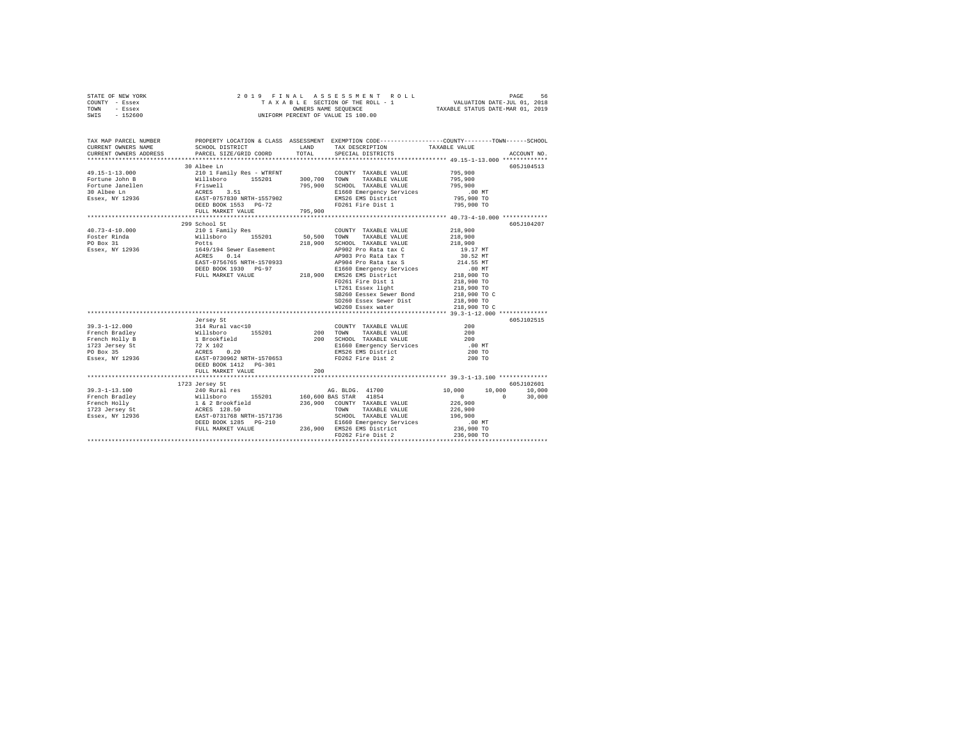| STATE OF NEW YORK |  |  | 2019 FINAL ASSESSMENT ROLL         |                                  | PAGE | 56 |
|-------------------|--|--|------------------------------------|----------------------------------|------|----|
| COUNTY - Essex    |  |  | TAXABLE SECTION OF THE ROLL - 1    | VALUATION DATE-JUL 01, 2018      |      |    |
| TOWN<br>- Essex   |  |  | OWNERS NAME SEOUENCE               | TAXABLE STATUS DATE-MAR 01, 2019 |      |    |
| $-152600$<br>SWIS |  |  | UNIFORM PERCENT OF VALUE IS 100.00 |                                  |      |    |

| TAX MAP PARCEL NUMBER<br>CURRENT OWNERS NAME<br>CURRENT OWNERS ADDRESS                                                                                                                                                                                                                                                                                                                                                                           | SCHOOL DISTRICT<br>PARCEL SIZE/GRID COORD                                                                                                |         | PROPERTY LOCATION & CLASS ASSESSMENT EXEMPTION CODE---------------COUNTY-------TOWN------SCHOOL                                                                                                                                                                                                                                                                                                                                 |                                                | ACCOUNT NO.                    |
|--------------------------------------------------------------------------------------------------------------------------------------------------------------------------------------------------------------------------------------------------------------------------------------------------------------------------------------------------------------------------------------------------------------------------------------------------|------------------------------------------------------------------------------------------------------------------------------------------|---------|---------------------------------------------------------------------------------------------------------------------------------------------------------------------------------------------------------------------------------------------------------------------------------------------------------------------------------------------------------------------------------------------------------------------------------|------------------------------------------------|--------------------------------|
|                                                                                                                                                                                                                                                                                                                                                                                                                                                  | 30 Albee Ln<br>FULL MARKET VALUE                                                                                                         | 795,900 | COUNTY TAXABLE VALUE<br>900,700 TUWN IRARBLE VALUE<br>795,900 SCHOOL TAXABLE VALUE 795,900 TO SCHOOL TAXABLE 795,900<br>10 MT TIEED TWARTMON SARVICES<br>E1660 Emergency Services<br>EMS26 EMS District<br>FD261 Fire Dist 1                                                                                                                                                                                                    | 795,900<br>795,900<br>795,900 TO<br>795,900 TO | 605J104513                     |
| $\begin{tabular}{lllllllllllll} \multicolumn{4}{c}{\textbf{40.73--4--10.000}} & \multicolumn{4}{c}{\textbf{20.1}~\textbf{Family}~\textbf{Res}} \\ \multicolumn{4}{c}{\textbf{Fachla}} & \multicolumn{4}{c}{\textbf{10.1}~\textbf{Family}~\textbf{Res}} \\ \multicolumn{4}{c}{\textbf{Fochler}~\textbf{Rind}} & \multicolumn{4}{c}{\textbf{10.1}~\textbf{W} \textbf{abs}} & \multicolumn{4}{c}{\textbf{50.500}} \\ \multicolumn{4}{c}{\textbf{FO$ | 299 School St<br>EAST-0756765 NRTH-1570933 AP904 Pro Rata tax S<br>DEED BOOK 1930 PG-97<br>FULL MARKET VALUE 218,900 E1650 EMSI District |         | COUNTY TAXABLE VALUE<br>155201 50,500 TOWN TAXABLE VALUE<br>218,900 SCHOOL TAXABLE VALUE 218,900<br>AP902 Pro Rata tax C<br>AP902 Pro Rata tax T<br>AP904 Pro Rata tax S<br>RI660 Emergency Services<br>214,000 Text was made to the Services<br>218,000 TO 218,000 TO<br>FD261 Fire Dist 1<br>LT261 Essex light<br>SB260 Eessex Sewer Bond 218,900 TO C<br>SD260 Essex Sewer Dist 218,900 TO<br>WD260 Essex water 218,900 TO C | 218,900<br>218,900<br>218,900 TO<br>218,900 TO | 605J104207                     |
| $\begin{tabular}{lllllllllllllllllll} \textbf{39.3--1--12.000} & \textbf{vertex} & \textbf{218.901} & \textbf{218.901} & \textbf{218.91} & \textbf{218.91} & \textbf{218.91} & \textbf{218.91} & \textbf{218.91} & \textbf{218.91} & \textbf{218.91} & \textbf{218.91} & \textbf{218.91} & \textbf{218.91} & \textbf{218.91} & \textbf{218.91} & \textbf{218$                                                                                    |                                                                                                                                          |         |                                                                                                                                                                                                                                                                                                                                                                                                                                 | $.00$ MT<br>200 TO<br>200 TO                   | 605J102515                     |
| $39.3 - 1 - 13.100$<br>$\begin{tabular}{l c c c c c} \hline $191.1010$ & $240$ & $140$ & $140$ & $140$ & $140$ & $140$ \\ \hline 191.1010$ & $240$ & $140$ & $140$ & $140$ & $140$ & $140$ & $140$ \\ \hline 191.0111$ & $1$ & $2$ & $260$ & $140$ & $236$ & $100$ & $100$ & $140$ & $140$ & $140$ \\ \hline 1923~\texttt{degree} & $1$ & $2$ & $2$                                                                                              | 1723 Jersey St<br>240 Rural res                                                                                                          |         | AG. BLDG. 41700                                                                                                                                                                                                                                                                                                                                                                                                                 | 10,000<br>10,000<br>$\sim$ 0 $\sim$ 0          | 605J102601<br>10,000<br>30,000 |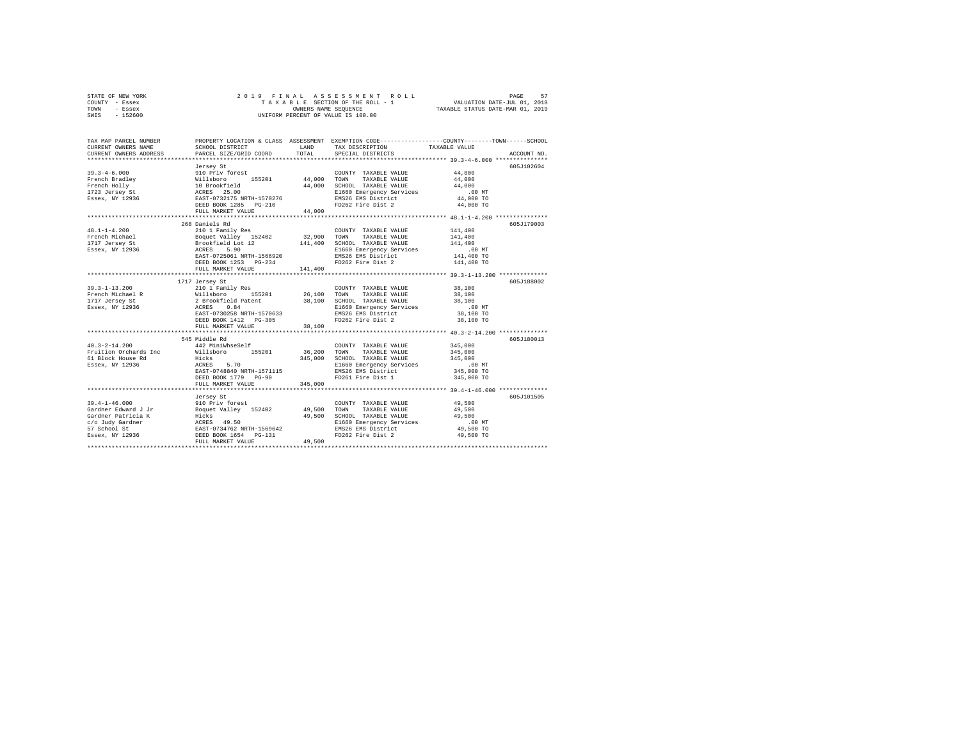| STATE OF NEW YORK | 2019 FINAL ASSESSMENT ROLL         | PAGE                             |
|-------------------|------------------------------------|----------------------------------|
| COUNTY - Essex    | TAXABLE SECTION OF THE ROLL - 1    | VALUATION DATE-JUL 01, 2018      |
| TOWN<br>- Essex   | OWNERS NAME SEOUENCE               | TAXABLE STATUS DATE-MAR 01, 2019 |
| $-152600$<br>SWIS | UNIFORM PERCENT OF VALUE IS 100.00 |                                  |

| TAX MAP PARCEL NUMBER<br>CURRENT OWNERS NAME<br>CURRENT OWNERS ADDRESS                                    | SCHOOL DISTRICT<br>PARCEL SIZE/GRID COORD                                                                                                                                                                                                                                                                                                                                                                                                                                                                                 | LAND<br>TOTAL                     | PROPERTY LOCATION & CLASS ASSESSMENT EXEMPTION CODE----------------COUNTY-------TOWN------SCHOOL<br>TAX DESCRIPTION<br>SPECIAL DISTRICTS                         | TAXABLE VALUE                                                                                                                      | ACCOUNT NO. |
|-----------------------------------------------------------------------------------------------------------|---------------------------------------------------------------------------------------------------------------------------------------------------------------------------------------------------------------------------------------------------------------------------------------------------------------------------------------------------------------------------------------------------------------------------------------------------------------------------------------------------------------------------|-----------------------------------|------------------------------------------------------------------------------------------------------------------------------------------------------------------|------------------------------------------------------------------------------------------------------------------------------------|-------------|
| $39.3 - 4 - 6.000$<br>French Bradley<br>French Holly<br>rrencn Holly<br>1723 Jersey St<br>Essex, NY 12936 | Jersey St<br>910 Priv forest<br>% 1118boro 155201 44,000 TOWN<br>10 Brookfield 44,000 SCHOOR<br>ACRES 25.00 44,000 SCHOOR<br>EXST-0732175 NRTH-1570276 BRSD BOX<br>DEED BOOK 1285 PG-210 FD262<br>FULL MARKET VALUE                                                                                                                                                                                                                                                                                                       | 44,000                            | COUNTY TAXABLE VALUE<br>TAXABLE VALUE<br>44,000 SCHOOL TAXABLE VALUE<br>E1660 Emergency Services<br>EMS26 EMS District<br>FD262 Fire Dist 2<br>FD262 Fire Dist 2 | 44,000<br>44,000<br>44,000<br>$.00$ MT<br>44,000 TO<br>44,000 TO                                                                   | 605J102604  |
| $48.1 - 1 - 4.200$<br>Essex, NY 12936                                                                     | 268 Daniels Rd<br>210 1 Family Res<br>ACRES<br>5.90<br>EAST-0725061 NRTH-1566920<br>DEED BOOK 1253 PG-234<br>FULL MARKET VALUE<br>***************************                                                                                                                                                                                                                                                                                                                                                             | 32,900 TOWN<br>141,400<br>141,400 | COUNTY TAXABLE VALUE<br>TAXABLE VALUE<br>SCHOOL TAXABLE VALUE<br>E1660 Emergency Services<br>EMS26 EMS District<br>FD262 Fire Dist 2<br>                         | 141,400<br>141,400<br>141,400<br>$.00$ MT<br>00 MT.<br>141,400 TO<br>141,400 TO<br>******************* 39.3-1-13.200 ************* | 605J179003  |
| $39.3 - 1 - 13.200$<br>French Michael R<br>1717 Jersey St<br>Essex, NY 12936                              | 1717 Jersey St<br>$\begin{tabular}{c cccc} \hline \multicolumn{4}{c}{\textbf{210}} & \multicolumn{4}{c}{\textbf{220}} & \multicolumn{4}{c}{\textbf{230}} & \multicolumn{4}{c}{\textbf{240}} & \multicolumn{4}{c}{\textbf{251}} & \multicolumn{4}{c}{\textbf{26}} & \multicolumn{4}{c}{\textbf{28}} & \multicolumn{4}{c}{\textbf{28}} & \multicolumn{4}{c}{\textbf{29}} & \multicolumn{4}{c}{\textbf{29}} & \multicolumn{4}{c}{\textbf{20}} & \multicolumn{4}{c}{\textbf{20$<br>DEED BOOK 1412 PG-305<br>FULL MARKET VALUE | 38,100                            | FD262 Fire Dist 2                                                                                                                                                | $.00$ MT<br>38,100 TO<br>38,100 TO                                                                                                 | 605J188002  |
| $40.3 - 2 - 14.200$<br>61 Block House Rd<br>Essex, NY 12936                                               | 545 Middle Rd<br>442 MiniWhseSelf<br>Fruition Orchards Inc Millsboro 155201 36,200<br>Hicks<br>ACRES<br>5.70<br>EAST-0748840 NRTH-1571115<br>DEED BOOK 1779 PG-90<br>FULL MARKET VALUE                                                                                                                                                                                                                                                                                                                                    | 345,000<br>345,000                | COUNTY TAXABLE VALUE<br><b>TOWN</b><br>TAXABLE VALUE<br>SCHOOL TAXABLE VALUE<br>E1660 Emergency Services<br>EMS26 EMS District<br>FD261 Fire Dist 1              | 345,000<br>345,000<br>345,000<br>$.00$ MT<br>345,000 TO<br>345,000 TO                                                              | 605J180013  |
| $39.4 - 1 - 46.000$                                                                                       | Jersey St<br>910 Priv forest<br>FULL MARKET VALUE                                                                                                                                                                                                                                                                                                                                                                                                                                                                         | 49,500                            | COUNTY TAXABLE VALUE<br>TOWN<br>TAXABLE VALUE<br>SCHOOL TAXABLE VALUE<br>E1660 Emergency Services<br>EMS26 EMS District<br>FD262 Fire Dist 2                     | 49,500<br>49,500<br>49,500<br>00 MT.<br>49,500 TO<br>49,500 TO                                                                     | 605J101505  |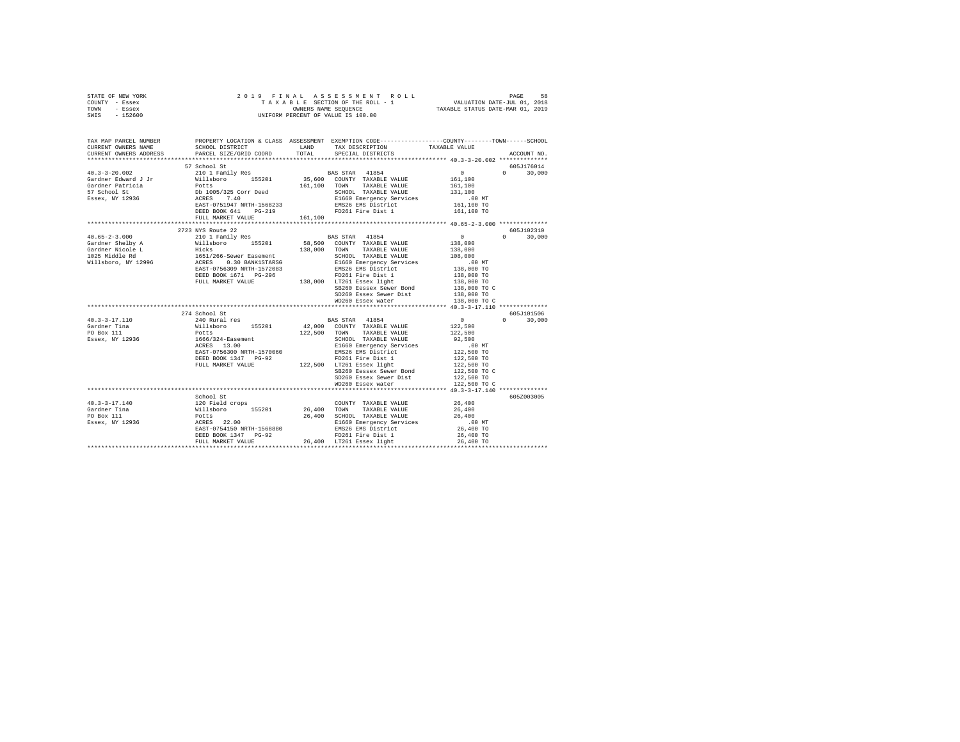| STATE OF NEW YORK<br>COUNTY - Essex<br>TOWN - Essex                                                                                                                                                                                                                                                                                                                                                                         |                              |         |                                                                                                                                                                                                                                                                                                                                                                                                                                         |                                                          |               |
|-----------------------------------------------------------------------------------------------------------------------------------------------------------------------------------------------------------------------------------------------------------------------------------------------------------------------------------------------------------------------------------------------------------------------------|------------------------------|---------|-----------------------------------------------------------------------------------------------------------------------------------------------------------------------------------------------------------------------------------------------------------------------------------------------------------------------------------------------------------------------------------------------------------------------------------------|----------------------------------------------------------|---------------|
| SWIS - 152600                                                                                                                                                                                                                                                                                                                                                                                                               |                              |         |                                                                                                                                                                                                                                                                                                                                                                                                                                         |                                                          |               |
| TAX MAP PARCEL NUMBER<br>CURRENT OWNERS NAME<br>CURRENT OWNERS ADDRESS                                                                                                                                                                                                                                                                                                                                                      |                              |         | PROPERTY LOCATION & CLASS ASSESSMENT EXEMPTION CODE---------------COUNTY-------TOWN-----SCHOOL                                                                                                                                                                                                                                                                                                                                          |                                                          | ACCOUNT NO.   |
|                                                                                                                                                                                                                                                                                                                                                                                                                             |                              |         |                                                                                                                                                                                                                                                                                                                                                                                                                                         |                                                          |               |
|                                                                                                                                                                                                                                                                                                                                                                                                                             | 57 School St                 |         |                                                                                                                                                                                                                                                                                                                                                                                                                                         |                                                          | 605J176014    |
|                                                                                                                                                                                                                                                                                                                                                                                                                             |                              |         |                                                                                                                                                                                                                                                                                                                                                                                                                                         | $\begin{array}{c}0\\161,100\end{array}$                  | $0 \t 30,000$ |
|                                                                                                                                                                                                                                                                                                                                                                                                                             |                              |         |                                                                                                                                                                                                                                                                                                                                                                                                                                         |                                                          |               |
|                                                                                                                                                                                                                                                                                                                                                                                                                             |                              |         |                                                                                                                                                                                                                                                                                                                                                                                                                                         | 161,100<br>131,100                                       |               |
|                                                                                                                                                                                                                                                                                                                                                                                                                             |                              |         |                                                                                                                                                                                                                                                                                                                                                                                                                                         | $.00$ MT                                                 |               |
|                                                                                                                                                                                                                                                                                                                                                                                                                             |                              |         |                                                                                                                                                                                                                                                                                                                                                                                                                                         | 161,100 TO                                               |               |
|                                                                                                                                                                                                                                                                                                                                                                                                                             |                              |         |                                                                                                                                                                                                                                                                                                                                                                                                                                         | 161,100 TO                                               |               |
|                                                                                                                                                                                                                                                                                                                                                                                                                             | FULL MARKET VALUE            | 161,100 |                                                                                                                                                                                                                                                                                                                                                                                                                                         |                                                          |               |
|                                                                                                                                                                                                                                                                                                                                                                                                                             | **************************** |         |                                                                                                                                                                                                                                                                                                                                                                                                                                         |                                                          |               |
|                                                                                                                                                                                                                                                                                                                                                                                                                             | 2723 NYS Route 22            |         |                                                                                                                                                                                                                                                                                                                                                                                                                                         |                                                          | 605J102310    |
|                                                                                                                                                                                                                                                                                                                                                                                                                             |                              |         |                                                                                                                                                                                                                                                                                                                                                                                                                                         |                                                          | $0 \t 30,000$ |
|                                                                                                                                                                                                                                                                                                                                                                                                                             |                              |         |                                                                                                                                                                                                                                                                                                                                                                                                                                         |                                                          |               |
|                                                                                                                                                                                                                                                                                                                                                                                                                             |                              |         |                                                                                                                                                                                                                                                                                                                                                                                                                                         |                                                          |               |
|                                                                                                                                                                                                                                                                                                                                                                                                                             |                              |         |                                                                                                                                                                                                                                                                                                                                                                                                                                         |                                                          |               |
|                                                                                                                                                                                                                                                                                                                                                                                                                             |                              |         |                                                                                                                                                                                                                                                                                                                                                                                                                                         |                                                          |               |
|                                                                                                                                                                                                                                                                                                                                                                                                                             |                              |         |                                                                                                                                                                                                                                                                                                                                                                                                                                         | 138,000<br>108,000<br>.00 MT<br>138,000 TO<br>138,000 TO |               |
|                                                                                                                                                                                                                                                                                                                                                                                                                             |                              |         |                                                                                                                                                                                                                                                                                                                                                                                                                                         | 138,000 TO<br>138,000 TO C                               |               |
|                                                                                                                                                                                                                                                                                                                                                                                                                             |                              |         | SB260 Eessex Sewer Bond                                                                                                                                                                                                                                                                                                                                                                                                                 |                                                          |               |
|                                                                                                                                                                                                                                                                                                                                                                                                                             |                              |         | SD260 Essex Sewer Dist                                                                                                                                                                                                                                                                                                                                                                                                                  | 138,000 TO                                               |               |
|                                                                                                                                                                                                                                                                                                                                                                                                                             |                              |         | WD260 Essex water                                                                                                                                                                                                                                                                                                                                                                                                                       | 138,000 TO C                                             |               |
|                                                                                                                                                                                                                                                                                                                                                                                                                             |                              |         |                                                                                                                                                                                                                                                                                                                                                                                                                                         |                                                          | 605J101506    |
| $40.3 - 3 - 17.110$                                                                                                                                                                                                                                                                                                                                                                                                         |                              |         |                                                                                                                                                                                                                                                                                                                                                                                                                                         |                                                          | $0 \t 30,000$ |
| Gardner Tina                                                                                                                                                                                                                                                                                                                                                                                                                |                              |         |                                                                                                                                                                                                                                                                                                                                                                                                                                         | $\begin{array}{c}0\\122,500\end{array}$                  |               |
| Gardner Tina<br>PO Box 111<br>Essex, NY 12936                                                                                                                                                                                                                                                                                                                                                                               |                              |         |                                                                                                                                                                                                                                                                                                                                                                                                                                         |                                                          |               |
|                                                                                                                                                                                                                                                                                                                                                                                                                             |                              |         |                                                                                                                                                                                                                                                                                                                                                                                                                                         | 122,500<br>92,500                                        |               |
|                                                                                                                                                                                                                                                                                                                                                                                                                             |                              |         |                                                                                                                                                                                                                                                                                                                                                                                                                                         |                                                          |               |
|                                                                                                                                                                                                                                                                                                                                                                                                                             |                              |         |                                                                                                                                                                                                                                                                                                                                                                                                                                         |                                                          |               |
|                                                                                                                                                                                                                                                                                                                                                                                                                             |                              |         |                                                                                                                                                                                                                                                                                                                                                                                                                                         |                                                          |               |
|                                                                                                                                                                                                                                                                                                                                                                                                                             |                              |         | $\begin{tabular}{lllllllllll} \multicolumn{2}{c}{\textbf{SD260}} & \multicolumn{2}{c}{\textbf{S122}} & \multicolumn{2}{c}{\textbf{S123}} & \multicolumn{2}{c}{\textbf{S123}} & \multicolumn{2}{c}{\textbf{S123}} & \multicolumn{2}{c}{\textbf{S123}} & \multicolumn{2}{c}{\textbf{S123}} & \multicolumn{2}{c}{\textbf{S123}} & \multicolumn{2}{c}{\textbf{S123}} & \multicolumn{2}{c}{\textbf{S123}} & \multicolumn{2}{c}{\textbf{S123$ |                                                          |               |
|                                                                                                                                                                                                                                                                                                                                                                                                                             |                              |         |                                                                                                                                                                                                                                                                                                                                                                                                                                         |                                                          |               |
|                                                                                                                                                                                                                                                                                                                                                                                                                             |                              |         |                                                                                                                                                                                                                                                                                                                                                                                                                                         |                                                          |               |
|                                                                                                                                                                                                                                                                                                                                                                                                                             |                              |         |                                                                                                                                                                                                                                                                                                                                                                                                                                         |                                                          |               |
|                                                                                                                                                                                                                                                                                                                                                                                                                             | School St                    |         |                                                                                                                                                                                                                                                                                                                                                                                                                                         |                                                          | 605Z003005    |
|                                                                                                                                                                                                                                                                                                                                                                                                                             |                              |         |                                                                                                                                                                                                                                                                                                                                                                                                                                         |                                                          |               |
| $\begin{tabular}{l c c c c} \multicolumn{1}{c}{40.3-3-17.140} & \multicolumn{1}{c}{26.400} & \multicolumn{1}{c}{20.80} & \multicolumn{1}{c}{20.80} & \multicolumn{1}{c}{C} & \multicolumn{1}{c}{C} & \multicolumn{1}{c}{C} & \multicolumn{1}{c}{C} & \multicolumn{1}{c}{C} & \multicolumn{1}{c}{C} & \multicolumn{1}{c}{C} & \multicolumn{1}{c}{C} & \multicolumn{1}{c}{C} & \multicolumn{1}{c}{C} & \multicolumn{1}{c}{C}$ |                              |         |                                                                                                                                                                                                                                                                                                                                                                                                                                         |                                                          |               |
|                                                                                                                                                                                                                                                                                                                                                                                                                             |                              |         |                                                                                                                                                                                                                                                                                                                                                                                                                                         |                                                          |               |
|                                                                                                                                                                                                                                                                                                                                                                                                                             |                              |         |                                                                                                                                                                                                                                                                                                                                                                                                                                         |                                                          |               |
|                                                                                                                                                                                                                                                                                                                                                                                                                             |                              |         |                                                                                                                                                                                                                                                                                                                                                                                                                                         |                                                          |               |
|                                                                                                                                                                                                                                                                                                                                                                                                                             |                              |         |                                                                                                                                                                                                                                                                                                                                                                                                                                         |                                                          |               |
|                                                                                                                                                                                                                                                                                                                                                                                                                             |                              |         |                                                                                                                                                                                                                                                                                                                                                                                                                                         |                                                          |               |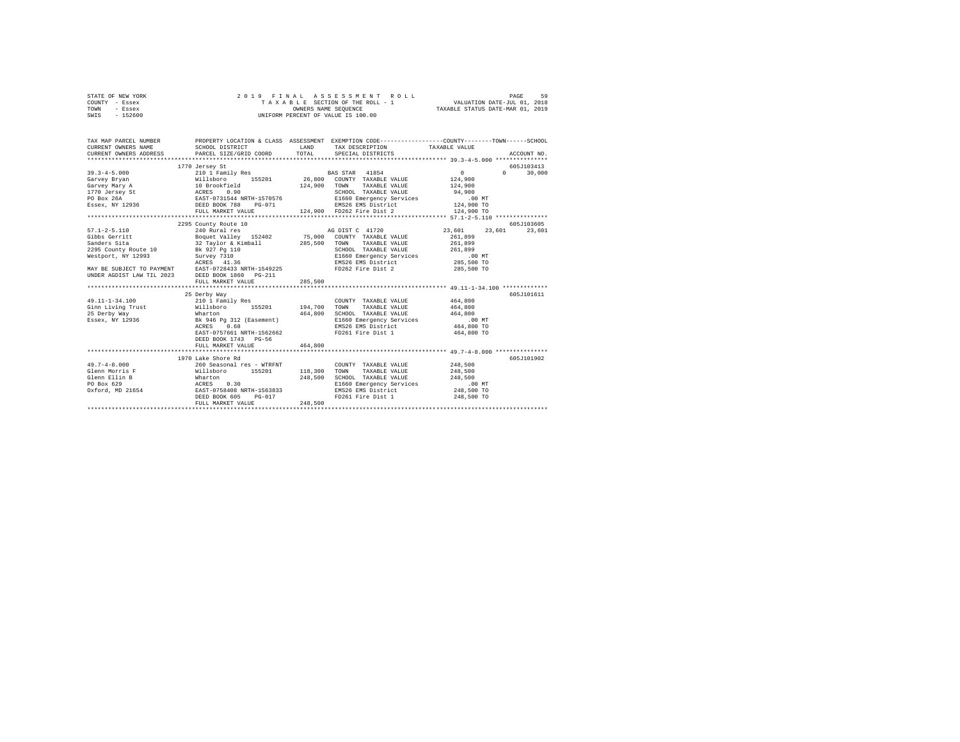| STATE OF NEW YORK | 2019 FINAL ASSESSMENT ROLL         | 59<br>PAGE                       |
|-------------------|------------------------------------|----------------------------------|
| COUNTY - Essex    | TAXABLE SECTION OF THE ROLL - 1    | VALUATION DATE-JUL 01, 2018      |
| TOWN<br>- Essex   | OWNERS NAME SEOUENCE               | TAXABLE STATUS DATE-MAR 01, 2019 |
| - 152600<br>SWIS  | UNIFORM PERCENT OF VALUE IS 100.00 |                                  |

| TAX MAP PARCEL NUMBER                                                                                                                                                                                                                            | PROPERTY LOCATION & CLASS ASSESSMENT EXEMPTION CODE---------------COUNTY-------TOWN------SCHOOL |         |                                                                                                 |                               |            |
|--------------------------------------------------------------------------------------------------------------------------------------------------------------------------------------------------------------------------------------------------|-------------------------------------------------------------------------------------------------|---------|-------------------------------------------------------------------------------------------------|-------------------------------|------------|
|                                                                                                                                                                                                                                                  |                                                                                                 |         |                                                                                                 |                               |            |
|                                                                                                                                                                                                                                                  | 1770 Jersey St                                                                                  |         |                                                                                                 |                               | 605J103413 |
|                                                                                                                                                                                                                                                  |                                                                                                 |         |                                                                                                 | $\Omega$                      | 30,000     |
|                                                                                                                                                                                                                                                  |                                                                                                 |         |                                                                                                 |                               |            |
|                                                                                                                                                                                                                                                  |                                                                                                 |         |                                                                                                 |                               |            |
|                                                                                                                                                                                                                                                  |                                                                                                 |         |                                                                                                 |                               |            |
|                                                                                                                                                                                                                                                  |                                                                                                 |         |                                                                                                 |                               |            |
|                                                                                                                                                                                                                                                  |                                                                                                 |         |                                                                                                 |                               |            |
|                                                                                                                                                                                                                                                  |                                                                                                 |         |                                                                                                 |                               |            |
|                                                                                                                                                                                                                                                  |                                                                                                 |         |                                                                                                 |                               |            |
|                                                                                                                                                                                                                                                  | 2295 County Route 10                                                                            |         |                                                                                                 |                               | 605J103605 |
| $57.1 - 2 - 5.110$                                                                                                                                                                                                                               | 240 Rural res                                                                                   |         |                                                                                                 | AG DIST C 41720 23.601 23.601 | 23,601     |
|                                                                                                                                                                                                                                                  |                                                                                                 |         |                                                                                                 | 261,899                       |            |
|                                                                                                                                                                                                                                                  |                                                                                                 |         | TAXABLE VALUE                                                                                   | 261,899                       |            |
|                                                                                                                                                                                                                                                  |                                                                                                 |         |                                                                                                 |                               |            |
|                                                                                                                                                                                                                                                  |                                                                                                 |         |                                                                                                 |                               |            |
|                                                                                                                                                                                                                                                  |                                                                                                 |         | SCHOOL TAXABLE VALUE 261,899<br>E1660 Emergency Services 00 MT<br>EMS26 EMS District 285,500 TO |                               |            |
|                                                                                                                                                                                                                                                  |                                                                                                 |         | FD262 Fire Dist 2                                                                               | 285,500 TO                    |            |
| 910008 00011111 2021<br>285,500 TOWN 2005<br>285,500 TOWN 2005<br>285,500 TOWN 2010 228,500 2006<br>285,500 TOWN 2010 228,500 20061<br>285,500 20061<br>2021<br>2023 202810 2028138 2027111<br>2023 202810 2028138 2028131 2023<br>202812 202813 |                                                                                                 |         |                                                                                                 |                               |            |
|                                                                                                                                                                                                                                                  | FULL MARKET VALUE                                                                               | 285,500 |                                                                                                 |                               |            |
|                                                                                                                                                                                                                                                  |                                                                                                 |         |                                                                                                 |                               |            |
|                                                                                                                                                                                                                                                  | 25 Derby Way                                                                                    |         |                                                                                                 |                               | 605J101611 |
| 49.11-1-34.100                                                                                                                                                                                                                                   | 210 1 Family Res                                                                                |         | COUNTY TAXABLE VALUE 464,800                                                                    |                               |            |
| Ginn Living Trust (at 194,700 TOWN TAXABLE VALUE 464,800                                                                                                                                                                                         |                                                                                                 |         |                                                                                                 |                               |            |
|                                                                                                                                                                                                                                                  |                                                                                                 |         |                                                                                                 |                               |            |
|                                                                                                                                                                                                                                                  |                                                                                                 |         |                                                                                                 |                               |            |
|                                                                                                                                                                                                                                                  |                                                                                                 |         |                                                                                                 |                               |            |
|                                                                                                                                                                                                                                                  | EAST-0757661 NRTH-1562662                                                                       |         | FD261 Fire Dist 1 464,800 TO                                                                    |                               |            |
|                                                                                                                                                                                                                                                  | DEED BOOK 1743 PG-56                                                                            |         |                                                                                                 |                               |            |
|                                                                                                                                                                                                                                                  | FULL MARKET VALUE                                                                               | 464,800 |                                                                                                 |                               |            |
|                                                                                                                                                                                                                                                  |                                                                                                 |         |                                                                                                 |                               |            |
|                                                                                                                                                                                                                                                  | 1970 Lake Shore Rd                                                                              |         |                                                                                                 |                               | 605J101902 |
|                                                                                                                                                                                                                                                  |                                                                                                 |         |                                                                                                 | 248,500                       |            |
|                                                                                                                                                                                                                                                  |                                                                                                 |         |                                                                                                 | 248,500                       |            |
|                                                                                                                                                                                                                                                  |                                                                                                 |         |                                                                                                 |                               |            |
|                                                                                                                                                                                                                                                  |                                                                                                 |         | SCHOOL TAXABLE VALUE 248,500                                                                    |                               |            |
|                                                                                                                                                                                                                                                  |                                                                                                 |         | E1660 Emergency Services .00 MT<br>EMS26 EMS District 248,500 TO                                |                               |            |
|                                                                                                                                                                                                                                                  |                                                                                                 |         | FD261 Fire Dist 1 248,500 TO                                                                    |                               |            |
|                                                                                                                                                                                                                                                  |                                                                                                 |         |                                                                                                 |                               |            |
|                                                                                                                                                                                                                                                  | FULL MARKET VALUE                                                                               | 248,500 |                                                                                                 |                               |            |
|                                                                                                                                                                                                                                                  |                                                                                                 |         |                                                                                                 |                               |            |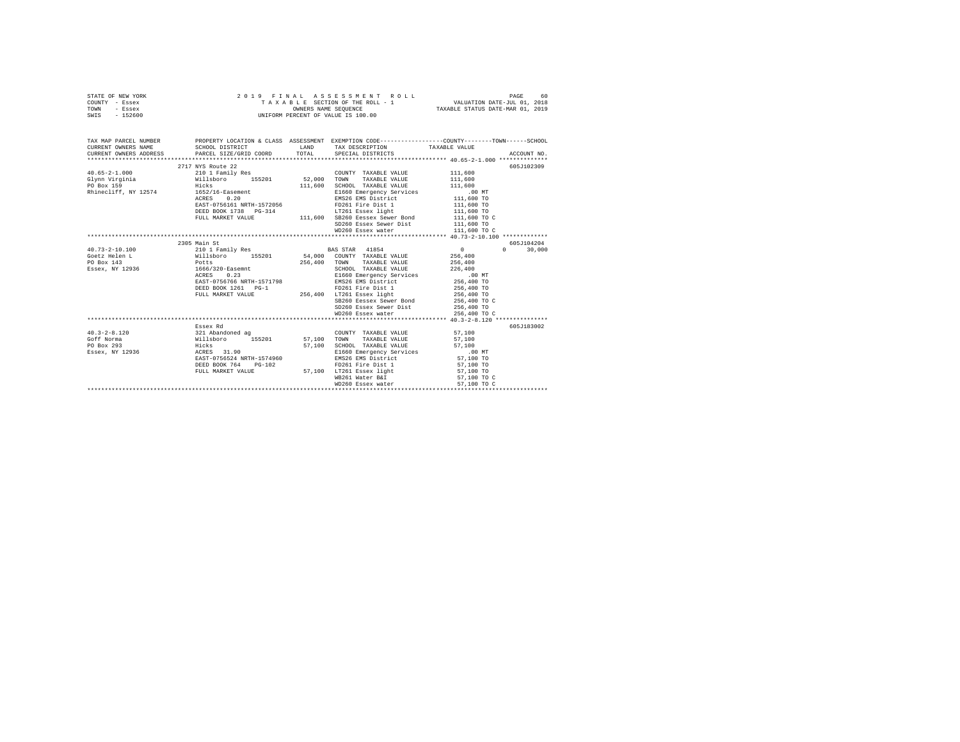|      | STATE OF NEW YORK | 2019 FINAL ASSESSMENT ROLL         | PAGE                             | 60 |
|------|-------------------|------------------------------------|----------------------------------|----|
|      | COUNTY - Essex    | TAXABLE SECTION OF THE ROLL - 1    | VALUATION DATE-JUL 01, 2018      |    |
| TOWN | - Essex           | OWNERS NAME SEOUENCE               | TAXABLE STATUS DATE-MAR 01, 2019 |    |
| SWIS | - 152600          | UNIFORM PERCENT OF VALUE IS 100.00 |                                  |    |

| TAX MAP PARCEL NUMBER<br>CURRENT OWNERS NAME                           | SCHOOL DISTRICT                                                                                                                                                                                                                     | PROPERTY LOCATION & CLASS ASSESSMENT EXEMPTION CODE----------------COUNTY-------TOWN-----SCHOOL<br>LAND TAX DESCRIPTION TAXABLE VALUE |                          |               |
|------------------------------------------------------------------------|-------------------------------------------------------------------------------------------------------------------------------------------------------------------------------------------------------------------------------------|---------------------------------------------------------------------------------------------------------------------------------------|--------------------------|---------------|
|                                                                        | 2717 NYS Route 22                                                                                                                                                                                                                   |                                                                                                                                       |                          | 605J102309    |
| $40.65 - 2 - 1.000$                                                    | 210 1 Family Res                                                                                                                                                                                                                    | COUNTY TAXABLE VALUE 111,600                                                                                                          |                          |               |
| Glynn Virginia $\mu$ illsboro 155201 52,000 TOWN TAXABLE VALUE 111,600 |                                                                                                                                                                                                                                     |                                                                                                                                       |                          |               |
| PO Box 159                                                             | <b>Example 2018</b> Hicks and the set of the set of the set of the set of the set of the set of the set of the set of the set of the set of the set of the set of the set of the set of the set of the set of the set of the set of | 111,600 SCHOOL TAXABLE VALUE 111,600                                                                                                  |                          |               |
| Rhinecliff, NY 12574 1652/16-Easement                                  |                                                                                                                                                                                                                                     |                                                                                                                                       |                          |               |
|                                                                        | ACRES 0.20                                                                                                                                                                                                                          | E1660 Emergency Services .00 MT<br>EMS26 EMS District 111,600 TO                                                                      |                          |               |
|                                                                        | EAST-0756161 NRTH-1572056                                                                                                                                                                                                           | EMS26 EMS District                                                                                                                    |                          |               |
|                                                                        | DEED BOOK 1738 PG-314                                                                                                                                                                                                               | FD261 Fire Dist 1<br>LT261 Essex light                                                                                                | 111,600 TO<br>111,600 TO |               |
|                                                                        |                                                                                                                                                                                                                                     | FULL MARKET VALUE $111,600$ SB260 Eessex Sewer Bond $111,600$ TO C                                                                    |                          |               |
|                                                                        |                                                                                                                                                                                                                                     | SD260 Essex Sewer Dist 111,600 TO                                                                                                     |                          |               |
|                                                                        |                                                                                                                                                                                                                                     | WD260 Essex water                                                                                                                     | 111,600 TO C             |               |
|                                                                        |                                                                                                                                                                                                                                     |                                                                                                                                       |                          |               |
|                                                                        | 2305 Main St                                                                                                                                                                                                                        |                                                                                                                                       |                          | 605J104204    |
| $40.73 - 2 - 10.100$                                                   |                                                                                                                                                                                                                                     |                                                                                                                                       | $\sim$ 0                 | $0 \t 30,000$ |
| Goetz Helen L                                                          |                                                                                                                                                                                                                                     |                                                                                                                                       |                          |               |
| PO Box 143                                                             |                                                                                                                                                                                                                                     |                                                                                                                                       | 256,400<br>256,400       |               |
| Essex, NY 12936 1666/320-Easemnt                                       |                                                                                                                                                                                                                                     | SCHOOL TAXABLE VALUE                                                                                                                  | 226,400                  |               |
|                                                                        |                                                                                                                                                                                                                                     |                                                                                                                                       |                          |               |
|                                                                        |                                                                                                                                                                                                                                     |                                                                                                                                       |                          |               |
|                                                                        | DEED BOOK 1261 PG-1                                                                                                                                                                                                                 | FD261 Fire Dist 1 256,400 TO                                                                                                          |                          |               |
|                                                                        |                                                                                                                                                                                                                                     |                                                                                                                                       | 256,400 TO               |               |
|                                                                        |                                                                                                                                                                                                                                     | FULL MARKET VALUE $256,400$ LT261 Essex light<br>SB260 Eessex Sewer Bond                                                              | 256,400 TO C             |               |
|                                                                        |                                                                                                                                                                                                                                     |                                                                                                                                       |                          |               |
|                                                                        |                                                                                                                                                                                                                                     | SD260 Essex Sewer Dist<br>WD260 Essex water Dist 256,400 TO<br>WD260 Essex water 256,400 TO C                                         |                          |               |
|                                                                        |                                                                                                                                                                                                                                     |                                                                                                                                       |                          |               |
|                                                                        | Essex Rd                                                                                                                                                                                                                            |                                                                                                                                       |                          | 605J183002    |
| $40.3 - 2 - 8.120$                                                     | 321 Abandoned ag                                                                                                                                                                                                                    | $\begin{tabular}{lllllll} \multicolumn{2}{c}{\textbf{COUNTY}} & \textbf{TAXABLE VALUE} & & & & 57,100 \end{tabular}$                  |                          |               |
| Goff Norma                                                             |                                                                                                                                                                                                                                     | TAXABLE VALUE 57,100                                                                                                                  |                          |               |
| PO Box 293                                                             |                                                                                                                                                                                                                                     | SCHOOL TAXABLE VALUE                                                                                                                  |                          |               |
| Essex, NY 12936                                                        | Willsboro 155201 57,100 TOWN<br>Hicks 31.90 57,100 SCHOO<br>ACRES 31.90 E1660<br>EAST-0756524 NRTH-1574960 EMS26                                                                                                                    |                                                                                                                                       | 57,100<br>.00 MT         |               |
|                                                                        |                                                                                                                                                                                                                                     | E1660 Emergency Services<br>EMS26 EMS District                                                                                        | 57,100 TO                |               |
|                                                                        | DEED BOOK 764 PG-102                                                                                                                                                                                                                | FD261 Fire Dist 1                                                                                                                     | 57,100 TO                |               |
|                                                                        | FULL MARKET VALUE                                                                                                                                                                                                                   | 57,100 LT261 Essex light 57,100 TO                                                                                                    |                          |               |
|                                                                        |                                                                                                                                                                                                                                     | WB261 Water B&I                                                                                                                       | 57,100 TO C              |               |
|                                                                        |                                                                                                                                                                                                                                     |                                                                                                                                       |                          |               |
|                                                                        |                                                                                                                                                                                                                                     |                                                                                                                                       |                          |               |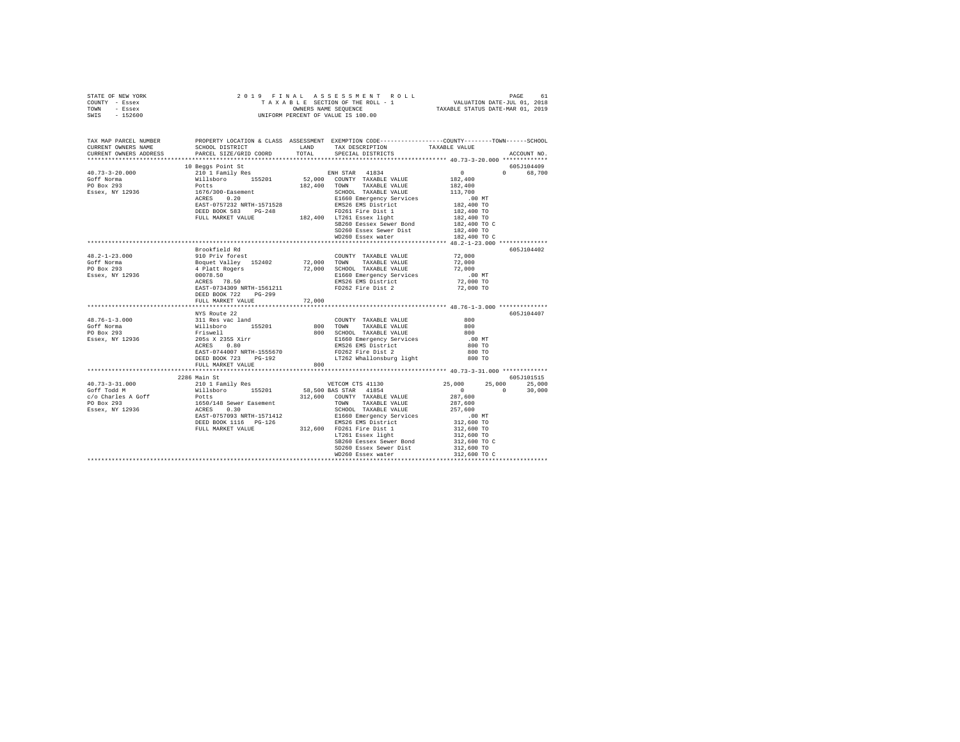| STATE OF NEW YORK<br>COUNTY - Essex<br>TOWN - Essex<br>SWIS - 152600                                                                                                                                                                                                                                                                                                                                                                             |                      |        |                                                                                                          |                                   |             |
|--------------------------------------------------------------------------------------------------------------------------------------------------------------------------------------------------------------------------------------------------------------------------------------------------------------------------------------------------------------------------------------------------------------------------------------------------|----------------------|--------|----------------------------------------------------------------------------------------------------------|-----------------------------------|-------------|
| TAX MAP PARCEL NUMBER PROPERTY LOCATION & CLASS ASSESSMENT EXEMPTION CODE--------------COUNTY-------TOWN-----SCHOOL<br>CURRENT OWNERS NAME                                                                                                                                                                                                                                                                                                       |                      |        |                                                                                                          |                                   |             |
| CURRENT OWNERS ADDRESS                                                                                                                                                                                                                                                                                                                                                                                                                           |                      |        |                                                                                                          |                                   | ACCOUNT NO. |
|                                                                                                                                                                                                                                                                                                                                                                                                                                                  |                      |        |                                                                                                          |                                   |             |
|                                                                                                                                                                                                                                                                                                                                                                                                                                                  | 10 Beggs Point St    |        |                                                                                                          |                                   | 605J104409  |
|                                                                                                                                                                                                                                                                                                                                                                                                                                                  |                      |        |                                                                                                          |                                   | 0 68,700    |
|                                                                                                                                                                                                                                                                                                                                                                                                                                                  |                      |        |                                                                                                          |                                   |             |
|                                                                                                                                                                                                                                                                                                                                                                                                                                                  |                      |        |                                                                                                          |                                   |             |
| $\begin{tabular}{l c c c c c} \multicolumn{1}{c}{\textbf{40.73--3-20.000}} & \multicolumn{1}{c}{10.8\textwidth} & \multicolumn{1}{c}{10.8\textwidth} & \multicolumn{1}{c}{10.8\textwidth} & \multicolumn{1}{c}{10.8\textwidth} & \multicolumn{1}{c}{10.8\textwidth} & \multicolumn{1}{c}{10.8\textwidth} & \multicolumn{1}{c}{10.8\textwidth} & \multicolumn{1}{c}{10.8\textwidth} & \multicolumn{1}{c}{10.8\textwidth} & \multicolumn{1}{c}{10$ |                      |        |                                                                                                          |                                   |             |
|                                                                                                                                                                                                                                                                                                                                                                                                                                                  |                      |        |                                                                                                          | 00 MT.<br>182,400 TO              |             |
|                                                                                                                                                                                                                                                                                                                                                                                                                                                  |                      |        |                                                                                                          | 182,400 TO                        |             |
|                                                                                                                                                                                                                                                                                                                                                                                                                                                  |                      |        |                                                                                                          | 182,400 TO                        |             |
|                                                                                                                                                                                                                                                                                                                                                                                                                                                  |                      |        | $\frac{18260}{182,400}$ To Eessex Sewer Bond<br>$\frac{182}{182,400}$ To C<br>$\frac{182}{182,400}$ To C |                                   |             |
|                                                                                                                                                                                                                                                                                                                                                                                                                                                  |                      |        | SD260 Essex Sewer Dist<br>WD260 Essex water                                                              | 182,400 TO                        |             |
|                                                                                                                                                                                                                                                                                                                                                                                                                                                  |                      |        |                                                                                                          | 182,400 TO C                      |             |
|                                                                                                                                                                                                                                                                                                                                                                                                                                                  | Brookfield Rd        |        |                                                                                                          |                                   | 605J104402  |
|                                                                                                                                                                                                                                                                                                                                                                                                                                                  |                      |        |                                                                                                          |                                   |             |
|                                                                                                                                                                                                                                                                                                                                                                                                                                                  |                      |        |                                                                                                          |                                   |             |
|                                                                                                                                                                                                                                                                                                                                                                                                                                                  |                      |        |                                                                                                          |                                   |             |
|                                                                                                                                                                                                                                                                                                                                                                                                                                                  |                      |        |                                                                                                          |                                   |             |
|                                                                                                                                                                                                                                                                                                                                                                                                                                                  |                      |        |                                                                                                          |                                   |             |
|                                                                                                                                                                                                                                                                                                                                                                                                                                                  | DEED BOOK 722 PG-299 |        |                                                                                                          |                                   |             |
|                                                                                                                                                                                                                                                                                                                                                                                                                                                  | FULL MARKET VALUE    | 72,000 |                                                                                                          |                                   |             |
|                                                                                                                                                                                                                                                                                                                                                                                                                                                  |                      |        |                                                                                                          |                                   |             |
|                                                                                                                                                                                                                                                                                                                                                                                                                                                  | NYS Route 22         |        |                                                                                                          |                                   | 605J104407  |
| $48.76 - 1 - 3.000$                                                                                                                                                                                                                                                                                                                                                                                                                              |                      |        |                                                                                                          |                                   |             |
| Goff Norma<br>$PO$ Box 293                                                                                                                                                                                                                                                                                                                                                                                                                       |                      |        |                                                                                                          |                                   |             |
| Essex, NY 12936                                                                                                                                                                                                                                                                                                                                                                                                                                  |                      |        |                                                                                                          |                                   |             |
|                                                                                                                                                                                                                                                                                                                                                                                                                                                  |                      |        |                                                                                                          |                                   |             |
|                                                                                                                                                                                                                                                                                                                                                                                                                                                  |                      |        |                                                                                                          |                                   |             |
|                                                                                                                                                                                                                                                                                                                                                                                                                                                  |                      |        |                                                                                                          |                                   |             |
|                                                                                                                                                                                                                                                                                                                                                                                                                                                  |                      |        |                                                                                                          |                                   |             |
|                                                                                                                                                                                                                                                                                                                                                                                                                                                  |                      |        |                                                                                                          |                                   |             |
|                                                                                                                                                                                                                                                                                                                                                                                                                                                  |                      |        |                                                                                                          |                                   |             |
|                                                                                                                                                                                                                                                                                                                                                                                                                                                  |                      |        |                                                                                                          |                                   |             |
|                                                                                                                                                                                                                                                                                                                                                                                                                                                  |                      |        |                                                                                                          |                                   |             |
|                                                                                                                                                                                                                                                                                                                                                                                                                                                  |                      |        |                                                                                                          |                                   |             |
|                                                                                                                                                                                                                                                                                                                                                                                                                                                  |                      |        |                                                                                                          |                                   |             |
|                                                                                                                                                                                                                                                                                                                                                                                                                                                  |                      |        |                                                                                                          |                                   |             |
|                                                                                                                                                                                                                                                                                                                                                                                                                                                  |                      |        |                                                                                                          |                                   |             |
|                                                                                                                                                                                                                                                                                                                                                                                                                                                  |                      |        |                                                                                                          |                                   |             |
|                                                                                                                                                                                                                                                                                                                                                                                                                                                  |                      |        |                                                                                                          |                                   |             |
|                                                                                                                                                                                                                                                                                                                                                                                                                                                  |                      |        | SD260 Essex Sewer Dist                                                                                   | 312,600 TO                        |             |
|                                                                                                                                                                                                                                                                                                                                                                                                                                                  |                      |        | WD260 Essex water                                                                                        | 312,600 TO C                      |             |
|                                                                                                                                                                                                                                                                                                                                                                                                                                                  |                      |        |                                                                                                          | ********************************* |             |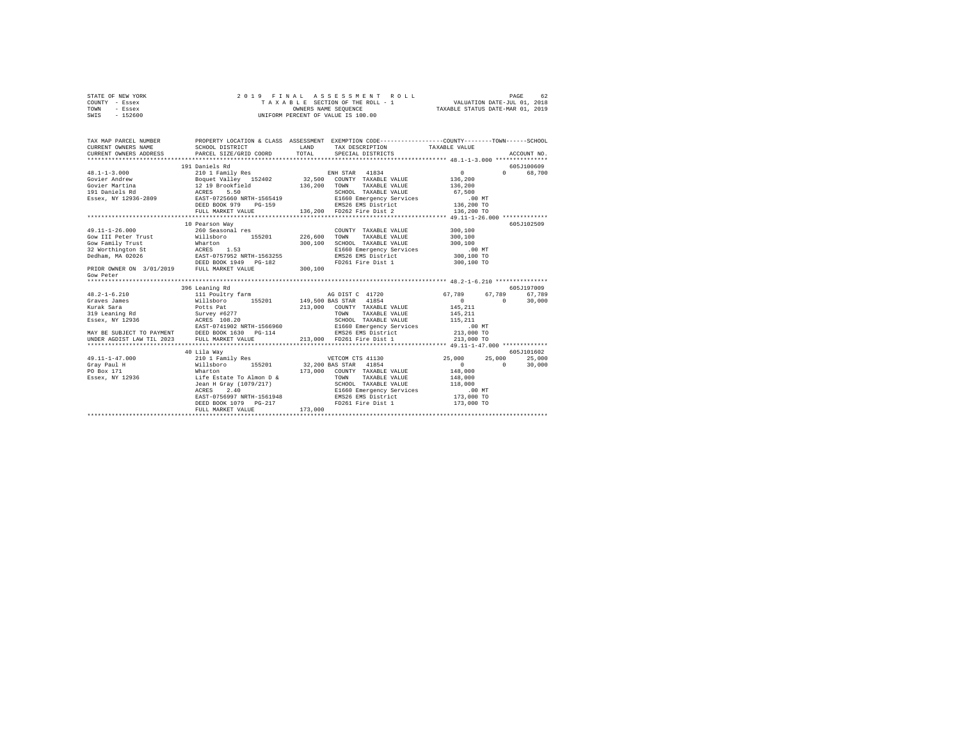| STATE OF NEW YORK |          |  |  | 2019 FINAL ASSESSMENT ROLL         | PAGE                             | 62 |
|-------------------|----------|--|--|------------------------------------|----------------------------------|----|
| COUNTY - Essex    |          |  |  | TAXABLE SECTION OF THE ROLL - 1    | VALUATION DATE-JUL 01, 2018      |    |
| TOWN              | - Essex  |  |  | OWNERS NAME SEOUENCE               | TAXABLE STATUS DATE-MAR 01, 2019 |    |
| SWIS              | - 152600 |  |  | UNIFORM PERCENT OF VALUE IS 100.00 |                                  |    |

| TAX MAP PARCEL NUMBER<br>CURRENT OWNERS NAME | PROPERTY LOCATION & CLASS ASSESSMENT EXEMPTION CODE----------------COUNTY-------TOWN------SCHOOL<br>SCHOOL DISTRICT<br>CURRENT OWNERS ADDRESS FARCEL SIZE/GRID COORD TOTAL SPECIAL DISTRICTS | LAND    | TAX DESCRIPTION TAXABLE VALUE                                                                                |                | ACCOUNT NO.                 |
|----------------------------------------------|----------------------------------------------------------------------------------------------------------------------------------------------------------------------------------------------|---------|--------------------------------------------------------------------------------------------------------------|----------------|-----------------------------|
|                                              |                                                                                                                                                                                              |         |                                                                                                              |                |                             |
|                                              | 191 Daniels Rd                                                                                                                                                                               |         |                                                                                                              |                | 605J100609                  |
|                                              |                                                                                                                                                                                              |         |                                                                                                              |                | 0 68,700                    |
|                                              |                                                                                                                                                                                              |         |                                                                                                              |                |                             |
|                                              |                                                                                                                                                                                              |         |                                                                                                              |                |                             |
|                                              |                                                                                                                                                                                              |         |                                                                                                              |                |                             |
|                                              |                                                                                                                                                                                              |         |                                                                                                              |                |                             |
|                                              |                                                                                                                                                                                              |         |                                                                                                              |                |                             |
|                                              | FULL MARKET VALUE                                                                                                                                                                            |         | 136,200 FD262 Fire Dist 2                                                                                    | 136,200 TO     |                             |
|                                              |                                                                                                                                                                                              |         |                                                                                                              |                |                             |
|                                              | 10 Pearson Way                                                                                                                                                                               |         |                                                                                                              |                | 605J102509                  |
|                                              |                                                                                                                                                                                              |         | COUNTY TAXABLE VALUE 300,100                                                                                 |                |                             |
|                                              |                                                                                                                                                                                              |         |                                                                                                              | 300,100        |                             |
|                                              |                                                                                                                                                                                              |         | SCHOOL TAXABLE VALUE 300,100                                                                                 |                |                             |
|                                              |                                                                                                                                                                                              |         |                                                                                                              |                |                             |
|                                              |                                                                                                                                                                                              |         | E1660 Emergency Services .00 MT<br>EMS26 EMS District 300,100 TO                                             |                |                             |
|                                              |                                                                                                                                                                                              |         | FD261 Fire Dist 1 300,100 TO                                                                                 |                |                             |
|                                              | Cow PiniProve Community Trust<br>Martin 153<br>200,100<br>200 Pamily Trust 153<br>200,100<br>200 PRIOR OWNER ON 3/01/2019 PEULL MARKET VALUE<br>200,100<br>200,100<br>200,100                |         |                                                                                                              |                |                             |
| Gow Peter                                    |                                                                                                                                                                                              |         |                                                                                                              |                |                             |
|                                              |                                                                                                                                                                                              |         |                                                                                                              |                |                             |
|                                              | 396 Leaning Rd                                                                                                                                                                               |         |                                                                                                              |                | 605J197009                  |
|                                              |                                                                                                                                                                                              |         |                                                                                                              | 67,789 67,789  | 67,789                      |
|                                              |                                                                                                                                                                                              |         |                                                                                                              | $\overline{0}$ | 30,000                      |
|                                              |                                                                                                                                                                                              |         |                                                                                                              |                |                             |
|                                              |                                                                                                                                                                                              |         |                                                                                                              |                |                             |
|                                              |                                                                                                                                                                                              |         |                                                                                                              |                |                             |
|                                              |                                                                                                                                                                                              |         |                                                                                                              |                |                             |
|                                              | MAY BE SUBJECT TO PAYMENT DEED BOOK 1630 PG-114<br>UNDER AGDIST LAW TIL 2023 FULL MARKET VALUE                                                                                               |         |                                                                                                              |                |                             |
|                                              |                                                                                                                                                                                              |         |                                                                                                              |                |                             |
|                                              |                                                                                                                                                                                              |         |                                                                                                              |                |                             |
|                                              | 40 Lila Way                                                                                                                                                                                  |         |                                                                                                              |                | 605-101602                  |
| 49.11-1-47.000                               |                                                                                                                                                                                              |         |                                                                                                              | 25,000         | 25,000                      |
| Gray Paul H                                  | Willsboro 155201 32,200 BAS STAR 41854                                                                                                                                                       |         |                                                                                                              | 0              | $0 \qquad \qquad$<br>30,000 |
| PO Box 171                                   | Wharton<br>Life Estate To Almon D &                                                                                                                                                          |         | 173,000 COUNTY TAXABLE VALUE 148,000                                                                         |                |                             |
| Essex, NY 12936                              |                                                                                                                                                                                              |         |                                                                                                              |                |                             |
|                                              |                                                                                                                                                                                              |         |                                                                                                              |                |                             |
|                                              |                                                                                                                                                                                              |         | ACRES 2.40 CHES 2.40 E1660 Emergency Services .00 NT EAST-0756997 NRTH-1561948 EMS26 EMS District 173,000 TO |                |                             |
|                                              |                                                                                                                                                                                              |         |                                                                                                              |                |                             |
|                                              |                                                                                                                                                                                              |         | FD261 Fire Dist 1                                                                                            | 173,000 TO     |                             |
|                                              | FULL MARKET VALUE                                                                                                                                                                            | 173,000 |                                                                                                              |                |                             |
|                                              |                                                                                                                                                                                              |         |                                                                                                              |                |                             |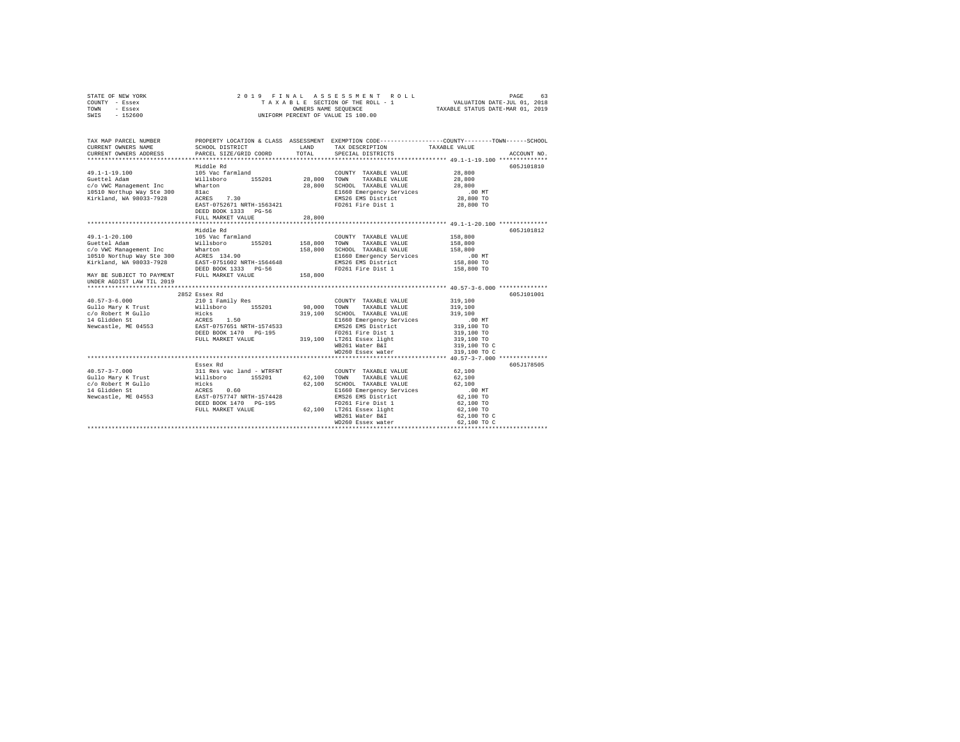| COUNTY - Essex<br>TOWN<br>- Essex<br>SWIS<br>$-152600$                                                                                                                                                                                                                                                                                                                                                                        | TAXABLE SECTION OF THE ROLL - 1<br>OWNERS NAME SEQUENCE<br>UNIFORM PERCENT OF VALUE IS 100.00                              |             |                                              | VALUATION DATE-JUL 01, 2018<br>TAXABLE STATUS DATE-MAR 01, 2019 |             |
|-------------------------------------------------------------------------------------------------------------------------------------------------------------------------------------------------------------------------------------------------------------------------------------------------------------------------------------------------------------------------------------------------------------------------------|----------------------------------------------------------------------------------------------------------------------------|-------------|----------------------------------------------|-----------------------------------------------------------------|-------------|
|                                                                                                                                                                                                                                                                                                                                                                                                                               |                                                                                                                            |             |                                              |                                                                 |             |
| TAX MAP PARCEL NUMBER                                                                                                                                                                                                                                                                                                                                                                                                         | PROPERTY LOCATION & CLASS ASSESSMENT EXEMPTION CODE----------------COUNTY-------TOWN-----SCHOOL                            |             |                                              |                                                                 |             |
| CURRENT OWNERS NAME                                                                                                                                                                                                                                                                                                                                                                                                           | SCHOOL DISTRICT                                                                                                            |             | LAND TAX DESCRIPTION                         | TAXABLE VALUE                                                   |             |
| CURRENT OWNERS ADDRESS                                                                                                                                                                                                                                                                                                                                                                                                        | PARCEL SIZE/GRID COORD                                                                                                     | TOTAL       | SPECIAL DISTRICTS                            |                                                                 | ACCOUNT NO. |
|                                                                                                                                                                                                                                                                                                                                                                                                                               |                                                                                                                            |             |                                              |                                                                 |             |
|                                                                                                                                                                                                                                                                                                                                                                                                                               | Middle Rd                                                                                                                  |             |                                              |                                                                 | 605J101810  |
| $\begin{tabular}{lllllllllllll} \multicolumn{4}{l}{{\bf 9.1-1-19.100}} & {\bf 105\text{ Vac farmland}} \\ \multicolumn{4}{l}{\bf Gidam} & {\bf 104\text{ min}} & {\bf 155201} \\ \multicolumn{4}{l}{\bf C/O\text{ WC Management Inc}} & {\bf 151\text{ labor} \\ \multicolumn{4}{l}{\bf 10510\text{ North} WajS1C8-300}} & {\bf 101\text{ ac} \\ \multicolumn{4}{l}{\bf 10510\text{ North} WajS13-7928}} & {\bf 101\text{ ac$ |                                                                                                                            |             | COUNTY TAXABLE VALUE                         | 28,800                                                          |             |
|                                                                                                                                                                                                                                                                                                                                                                                                                               |                                                                                                                            | 28,800 TOWN | TAXABLE VALUE                                | 28,800                                                          |             |
|                                                                                                                                                                                                                                                                                                                                                                                                                               |                                                                                                                            |             | 28,800 SCHOOL TAXABLE VALUE                  | 28,800                                                          |             |
|                                                                                                                                                                                                                                                                                                                                                                                                                               |                                                                                                                            |             | E1660 Emergency Services                     | .00 MT<br>28,800 TO                                             |             |
|                                                                                                                                                                                                                                                                                                                                                                                                                               | EAST-0752671 NRTH-1563421                                                                                                  |             | EMS26 EMS District<br>FD261 Fire Dist 1      | 28,800 TO                                                       |             |
|                                                                                                                                                                                                                                                                                                                                                                                                                               | DEED BOOK 1333 PG-56                                                                                                       |             |                                              |                                                                 |             |
|                                                                                                                                                                                                                                                                                                                                                                                                                               | FULL MARKET VALUE                                                                                                          | 28,800      |                                              |                                                                 |             |
|                                                                                                                                                                                                                                                                                                                                                                                                                               |                                                                                                                            |             |                                              |                                                                 |             |
|                                                                                                                                                                                                                                                                                                                                                                                                                               | Middle Rd                                                                                                                  |             |                                              |                                                                 | 605J101812  |
| $49.1 - 1 - 20.100$                                                                                                                                                                                                                                                                                                                                                                                                           | 105 Vac farmland                                                                                                           |             | COUNTY TAXABLE VALUE                         | 158,800                                                         |             |
|                                                                                                                                                                                                                                                                                                                                                                                                                               |                                                                                                                            |             | TOWN<br>TAXABLE VALUE                        | 158,800                                                         |             |
|                                                                                                                                                                                                                                                                                                                                                                                                                               |                                                                                                                            |             | 158,800 SCHOOL TAXABLE VALUE                 | 158,800                                                         |             |
|                                                                                                                                                                                                                                                                                                                                                                                                                               |                                                                                                                            |             | E1660 Emergency Services                     | $.00$ MT                                                        |             |
|                                                                                                                                                                                                                                                                                                                                                                                                                               |                                                                                                                            |             | EMS26 EMS District                           | $158,800$ TO                                                    |             |
|                                                                                                                                                                                                                                                                                                                                                                                                                               |                                                                                                                            |             | FD261 Fire Dist 1                            | 158,800 TO                                                      |             |
| 0011 2011 2012 2013 2014 2015 2016 2017 2018 2019 2017 2018 2019 2017 2018 2019 2017 2018 2019 2017 2018 2019 2017 2018 2019 2017 2018 2017 2018 2017 2018 2017 2018 2017 2018 2017 2018 2017 2018 2017 2018 2017 2018 2017 20                                                                                                                                                                                                |                                                                                                                            |             |                                              |                                                                 |             |
| UNDER AGDIST LAW TIL 2019                                                                                                                                                                                                                                                                                                                                                                                                     |                                                                                                                            |             |                                              |                                                                 |             |
|                                                                                                                                                                                                                                                                                                                                                                                                                               |                                                                                                                            |             |                                              |                                                                 |             |
|                                                                                                                                                                                                                                                                                                                                                                                                                               | 2852 Essex Rd                                                                                                              |             |                                              |                                                                 | 605J101001  |
|                                                                                                                                                                                                                                                                                                                                                                                                                               |                                                                                                                            |             | COUNTY TAXABLE VALUE                         | 319,100                                                         |             |
|                                                                                                                                                                                                                                                                                                                                                                                                                               |                                                                                                                            | 98,000 TOWN | TAXABLE VALUE                                | 319,100                                                         |             |
|                                                                                                                                                                                                                                                                                                                                                                                                                               |                                                                                                                            |             | 319,100 SCHOOL TAXABLE VALUE                 | 319,100                                                         |             |
|                                                                                                                                                                                                                                                                                                                                                                                                                               |                                                                                                                            |             | E1660 Emergency Services                     | $.00$ MT                                                        |             |
|                                                                                                                                                                                                                                                                                                                                                                                                                               |                                                                                                                            |             | EMS26 EMS District                           | 319,100 TO                                                      |             |
|                                                                                                                                                                                                                                                                                                                                                                                                                               | FULL MARKET VALUE                                                                                                          |             | FD261 Fire Dist 1                            | 319,100 TO                                                      |             |
|                                                                                                                                                                                                                                                                                                                                                                                                                               |                                                                                                                            |             | 319,100 LT261 Essex light<br>WB261 Water B&I | 319,100 TO<br>319,100 TO C                                      |             |
|                                                                                                                                                                                                                                                                                                                                                                                                                               |                                                                                                                            |             | WD260 Essex water                            | 319,100 TO C                                                    |             |
|                                                                                                                                                                                                                                                                                                                                                                                                                               |                                                                                                                            |             |                                              |                                                                 |             |
|                                                                                                                                                                                                                                                                                                                                                                                                                               | Essex Rd                                                                                                                   |             |                                              |                                                                 | 605J178505  |
| $40.57 - 3 - 7.000$                                                                                                                                                                                                                                                                                                                                                                                                           |                                                                                                                            |             | COUNTY TAXABLE VALUE                         | 62,100                                                          |             |
| Gullo Mary K Trust                                                                                                                                                                                                                                                                                                                                                                                                            |                                                                                                                            | 62.100 TOWN | TAXABLE VALUE                                | 62,100                                                          |             |
|                                                                                                                                                                                                                                                                                                                                                                                                                               |                                                                                                                            | 62,100      | SCHOOL TAXABLE VALUE                         | 62,100                                                          |             |
| c/o Robert M Gullo<br>14 Glidden St                                                                                                                                                                                                                                                                                                                                                                                           | 311 Res vac land - WTRFNT<br>Willsboro 155201<br>Hicks<br>ACRES 0.60<br>EAST-0757747 NRTH-1574428<br>DEED BOOK 1470 PG-195 |             | E1660 Emergency Services                     | $.00$ MT                                                        |             |
| Newcastle, ME 04553                                                                                                                                                                                                                                                                                                                                                                                                           |                                                                                                                            |             | EMS26 EMS District                           | 62,100 TO                                                       |             |
|                                                                                                                                                                                                                                                                                                                                                                                                                               |                                                                                                                            |             | FD261 Fire Dist 1                            | 62,100 TO                                                       |             |
|                                                                                                                                                                                                                                                                                                                                                                                                                               | FULL MARKET VALUE                                                                                                          |             | 62,100 LT261 Essex light<br>WB261 Water B&I  | 62,100 TO                                                       |             |
|                                                                                                                                                                                                                                                                                                                                                                                                                               |                                                                                                                            |             |                                              | 62,100 TO C                                                     |             |
|                                                                                                                                                                                                                                                                                                                                                                                                                               |                                                                                                                            |             | WD260 Essex water                            | 62,100 TO C                                                     |             |
|                                                                                                                                                                                                                                                                                                                                                                                                                               |                                                                                                                            |             |                                              | **********************************                              |             |

STATE OF NEW YORK 2 0 1 9 F I N A L A S S E S S M E N T R O L L PAGE 63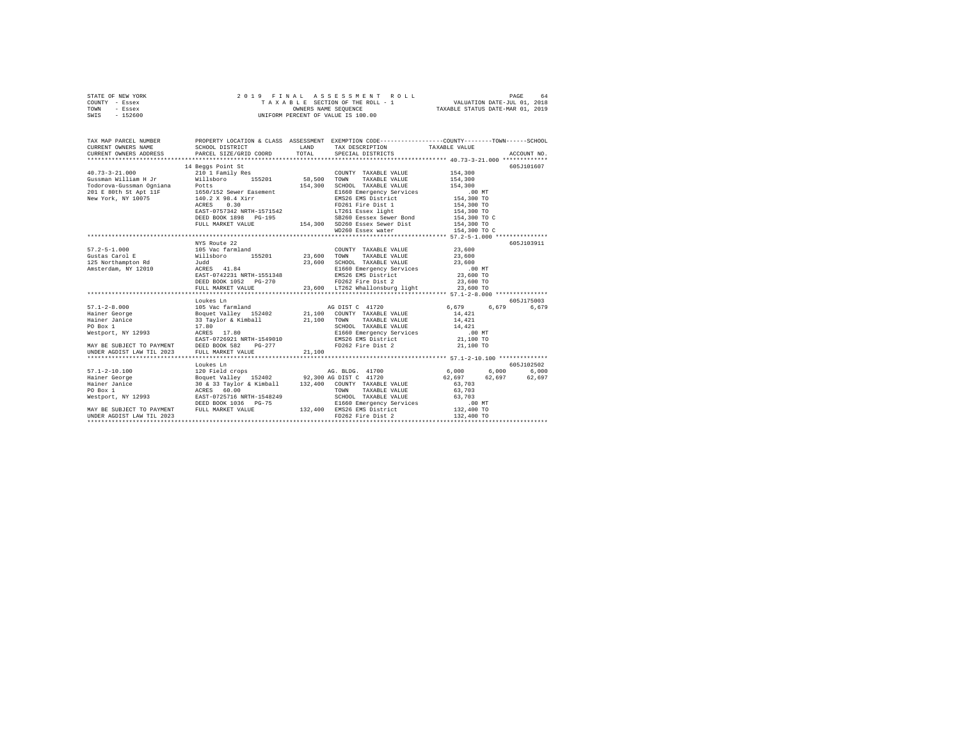| STATE OF NEW YORK | 2019 FINAL ASSESSMENT ROLL         | 64<br>PAGE                       |
|-------------------|------------------------------------|----------------------------------|
| COUNTY - Essex    | TAXABLE SECTION OF THE ROLL - 1    | VALUATION DATE-JUL 01, 2018      |
| TOWN<br>- Essex   | OWNERS NAME SEOUENCE               | TAXABLE STATUS DATE-MAR 01, 2019 |
| - 152600<br>SWIS  | UNIFORM PERCENT OF VALUE IS 100.00 |                                  |

| TAX MAP PARCEL NUMBER                                                                                                                                                                                                                            |              |  |             |            |
|--------------------------------------------------------------------------------------------------------------------------------------------------------------------------------------------------------------------------------------------------|--------------|--|-------------|------------|
|                                                                                                                                                                                                                                                  |              |  |             |            |
|                                                                                                                                                                                                                                                  |              |  |             |            |
|                                                                                                                                                                                                                                                  |              |  |             | 605J101607 |
|                                                                                                                                                                                                                                                  |              |  |             |            |
|                                                                                                                                                                                                                                                  |              |  |             |            |
|                                                                                                                                                                                                                                                  |              |  |             |            |
|                                                                                                                                                                                                                                                  |              |  |             |            |
|                                                                                                                                                                                                                                                  |              |  |             |            |
|                                                                                                                                                                                                                                                  |              |  |             |            |
|                                                                                                                                                                                                                                                  |              |  |             |            |
|                                                                                                                                                                                                                                                  |              |  |             |            |
|                                                                                                                                                                                                                                                  |              |  |             |            |
|                                                                                                                                                                                                                                                  |              |  |             |            |
|                                                                                                                                                                                                                                                  |              |  |             |            |
|                                                                                                                                                                                                                                                  |              |  |             |            |
|                                                                                                                                                                                                                                                  | NYS Route 22 |  |             | 605J103911 |
|                                                                                                                                                                                                                                                  |              |  |             |            |
|                                                                                                                                                                                                                                                  |              |  |             |            |
|                                                                                                                                                                                                                                                  |              |  |             |            |
|                                                                                                                                                                                                                                                  |              |  |             |            |
|                                                                                                                                                                                                                                                  |              |  |             |            |
|                                                                                                                                                                                                                                                  |              |  |             |            |
|                                                                                                                                                                                                                                                  |              |  |             |            |
|                                                                                                                                                                                                                                                  |              |  |             |            |
|                                                                                                                                                                                                                                                  | Loukes Ln    |  | 6,679 6,679 | 605J175003 |
|                                                                                                                                                                                                                                                  |              |  |             | 6,679      |
|                                                                                                                                                                                                                                                  |              |  |             |            |
|                                                                                                                                                                                                                                                  |              |  |             |            |
|                                                                                                                                                                                                                                                  |              |  |             |            |
|                                                                                                                                                                                                                                                  |              |  |             |            |
|                                                                                                                                                                                                                                                  |              |  |             |            |
|                                                                                                                                                                                                                                                  |              |  |             |            |
| mailer value<br>FO Box 1<br>Mestport, NY 12993<br>MAY BE SUBJECT TO PAYMENT<br>EAST-0726921 NRTH-1549010<br>EAST-0726921 NRTH-1549010<br>EAST-0726921 NRTH-1549010<br>ENS26 EMS District 21,100 TO<br>ENS26 EMS District 21,100 TO<br>FOZ62 Fire |              |  |             |            |
|                                                                                                                                                                                                                                                  |              |  |             |            |
|                                                                                                                                                                                                                                                  |              |  |             |            |
|                                                                                                                                                                                                                                                  |              |  |             |            |
|                                                                                                                                                                                                                                                  |              |  |             |            |
|                                                                                                                                                                                                                                                  |              |  |             |            |
|                                                                                                                                                                                                                                                  |              |  |             |            |
|                                                                                                                                                                                                                                                  |              |  |             |            |
| 17.1-2-10.100<br>F7.1-2-10.100 120 Field crops<br>Hainer George Boguet Valley 152402 92,300 AG DIST C 41720 62,697 6,000 6,000 6,000<br>Hainer George Boguet Valley 152402 92,300 AG DIST C 41720 62,697 62,697 62,697<br>F8. Hainer J           |              |  |             |            |
|                                                                                                                                                                                                                                                  |              |  |             |            |
|                                                                                                                                                                                                                                                  |              |  |             |            |
|                                                                                                                                                                                                                                                  |              |  |             |            |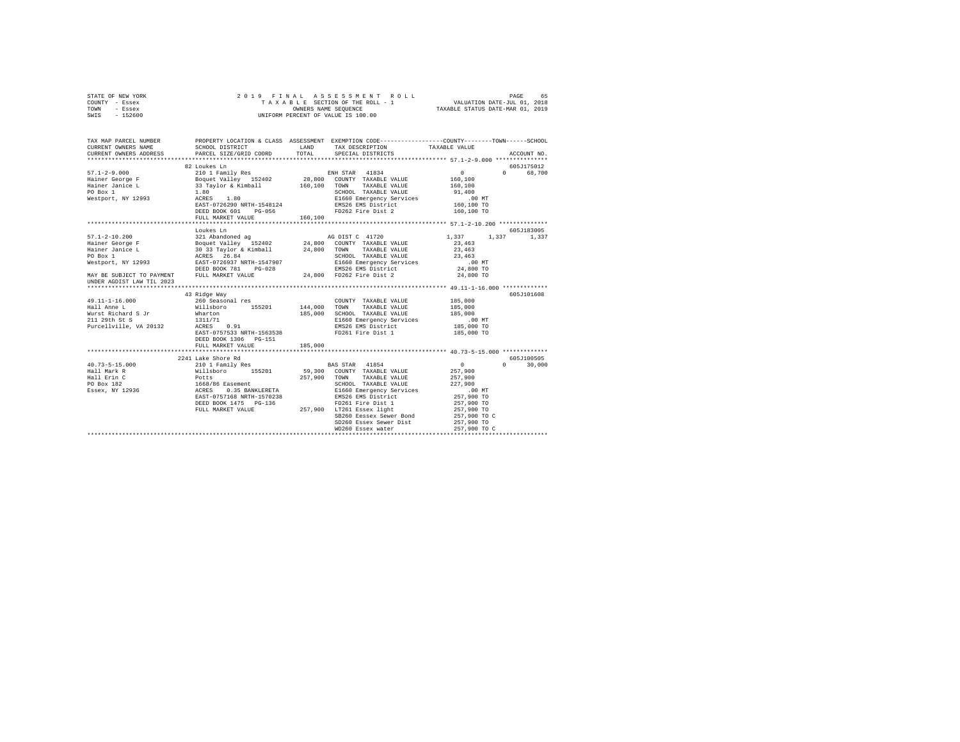| STATE OF NEW YORK                                                                                                                                                                |                                                                                                                                                                                                                                                                     |         |                                                              |                   |               |
|----------------------------------------------------------------------------------------------------------------------------------------------------------------------------------|---------------------------------------------------------------------------------------------------------------------------------------------------------------------------------------------------------------------------------------------------------------------|---------|--------------------------------------------------------------|-------------------|---------------|
| COUNTY - Essex                                                                                                                                                                   |                                                                                                                                                                                                                                                                     |         |                                                              |                   |               |
| TOWN - Essex                                                                                                                                                                     |                                                                                                                                                                                                                                                                     |         |                                                              |                   |               |
| SWIS - 152600                                                                                                                                                                    | 2019 FINAL ASSESSMENT ROLL PAGE 65<br>TAXABLE SECTION OF THE ROLL -1 VALUATION DATE-JUL 01, 2018<br>OWNERS NAME SEQUENCE TAXABLE STATUS DATE-MAR 01, 2019<br>UNIFORM PERCENT OF VALUE IS 100.00                                                                     |         |                                                              |                   |               |
|                                                                                                                                                                                  |                                                                                                                                                                                                                                                                     |         |                                                              |                   |               |
|                                                                                                                                                                                  |                                                                                                                                                                                                                                                                     |         |                                                              |                   |               |
|                                                                                                                                                                                  |                                                                                                                                                                                                                                                                     |         |                                                              |                   |               |
| TAX MAP PARCEL NUMBER     PROPERTY LOCATION & CLASS ASSESSMENT EXEMPTION CODE--------------COUNTY-------TOWN------SCHOOL DISTRICT       LAND   TAX DESCRIPTION     TAXABLE VALUE |                                                                                                                                                                                                                                                                     |         |                                                              |                   |               |
|                                                                                                                                                                                  |                                                                                                                                                                                                                                                                     |         |                                                              |                   |               |
| CURRENT OWNERS ADDRESS PARCEL SIZE/GRID COORD                                                                                                                                    |                                                                                                                                                                                                                                                                     | TOTAL   | SPECIAL DISTRICTS                                            |                   | ACCOUNT NO.   |
|                                                                                                                                                                                  |                                                                                                                                                                                                                                                                     |         |                                                              |                   |               |
|                                                                                                                                                                                  | 82 Loukes Ln                                                                                                                                                                                                                                                        |         |                                                              |                   | 605J175012    |
| 57.1-2-9.000<br>Hainer George F<br>Hainer Janice L<br>PO Box 1<br>Westport, NY 12993                                                                                             |                                                                                                                                                                                                                                                                     |         |                                                              |                   | 0 68,700      |
|                                                                                                                                                                                  |                                                                                                                                                                                                                                                                     |         |                                                              |                   |               |
|                                                                                                                                                                                  |                                                                                                                                                                                                                                                                     |         |                                                              |                   |               |
|                                                                                                                                                                                  |                                                                                                                                                                                                                                                                     |         |                                                              |                   |               |
|                                                                                                                                                                                  |                                                                                                                                                                                                                                                                     |         |                                                              |                   |               |
|                                                                                                                                                                                  |                                                                                                                                                                                                                                                                     |         |                                                              |                   |               |
|                                                                                                                                                                                  |                                                                                                                                                                                                                                                                     |         |                                                              |                   |               |
|                                                                                                                                                                                  | 82 Louise Line<br>2010 I Family Res 28,800 COUNTY TAXABLE VALUE 10.100<br>33 Taylor & Kimball 160,100 TOWN TAXABLE VALUE 160,100<br>33 Taylor & Kimball 160,100 TOWN TAXABLE VALUE 160,100<br>3.82 Taylor & Mindle 160,100 SCHOOL TAXA<br>FULL MARKET VALUE 160,100 |         |                                                              |                   |               |
|                                                                                                                                                                                  |                                                                                                                                                                                                                                                                     |         |                                                              |                   |               |
|                                                                                                                                                                                  |                                                                                                                                                                                                                                                                     |         |                                                              |                   |               |
|                                                                                                                                                                                  | Loukes Ln                                                                                                                                                                                                                                                           |         |                                                              |                   | 605J183005    |
|                                                                                                                                                                                  |                                                                                                                                                                                                                                                                     |         |                                                              | 1,337 1,337 1,337 |               |
|                                                                                                                                                                                  |                                                                                                                                                                                                                                                                     |         |                                                              |                   |               |
|                                                                                                                                                                                  |                                                                                                                                                                                                                                                                     |         |                                                              |                   |               |
|                                                                                                                                                                                  |                                                                                                                                                                                                                                                                     |         |                                                              |                   |               |
|                                                                                                                                                                                  |                                                                                                                                                                                                                                                                     |         |                                                              |                   |               |
|                                                                                                                                                                                  |                                                                                                                                                                                                                                                                     |         |                                                              |                   |               |
|                                                                                                                                                                                  |                                                                                                                                                                                                                                                                     |         |                                                              |                   |               |
| UNDER AGDIST LAW TIL 2023                                                                                                                                                        |                                                                                                                                                                                                                                                                     |         |                                                              |                   |               |
|                                                                                                                                                                                  |                                                                                                                                                                                                                                                                     |         |                                                              |                   |               |
|                                                                                                                                                                                  | 43 Ridge Way                                                                                                                                                                                                                                                        |         |                                                              |                   | 605J101608    |
|                                                                                                                                                                                  |                                                                                                                                                                                                                                                                     |         |                                                              |                   |               |
|                                                                                                                                                                                  |                                                                                                                                                                                                                                                                     |         |                                                              |                   |               |
|                                                                                                                                                                                  |                                                                                                                                                                                                                                                                     |         |                                                              |                   |               |
|                                                                                                                                                                                  |                                                                                                                                                                                                                                                                     |         |                                                              |                   |               |
|                                                                                                                                                                                  |                                                                                                                                                                                                                                                                     |         |                                                              |                   |               |
|                                                                                                                                                                                  |                                                                                                                                                                                                                                                                     |         |                                                              |                   |               |
|                                                                                                                                                                                  | DEED BOOK 1306 PG-151                                                                                                                                                                                                                                               |         |                                                              |                   |               |
|                                                                                                                                                                                  | FULL MARKET VALUE                                                                                                                                                                                                                                                   | 185,000 |                                                              |                   |               |
|                                                                                                                                                                                  |                                                                                                                                                                                                                                                                     |         |                                                              |                   |               |
|                                                                                                                                                                                  |                                                                                                                                                                                                                                                                     |         |                                                              |                   | 605J100505    |
| $40.73 - 5 - 15.000$                                                                                                                                                             |                                                                                                                                                                                                                                                                     |         |                                                              | $\sim$ 0 $\sim$   | $0 \t 30,000$ |
|                                                                                                                                                                                  |                                                                                                                                                                                                                                                                     |         |                                                              |                   |               |
|                                                                                                                                                                                  |                                                                                                                                                                                                                                                                     |         |                                                              |                   |               |
|                                                                                                                                                                                  |                                                                                                                                                                                                                                                                     |         |                                                              |                   |               |
|                                                                                                                                                                                  |                                                                                                                                                                                                                                                                     |         |                                                              |                   |               |
|                                                                                                                                                                                  |                                                                                                                                                                                                                                                                     |         |                                                              |                   |               |
|                                                                                                                                                                                  |                                                                                                                                                                                                                                                                     |         |                                                              |                   |               |
|                                                                                                                                                                                  |                                                                                                                                                                                                                                                                     |         |                                                              |                   |               |
|                                                                                                                                                                                  |                                                                                                                                                                                                                                                                     |         |                                                              | 257,900 TO C      |               |
|                                                                                                                                                                                  |                                                                                                                                                                                                                                                                     |         | SB260 Eessex Sewer Bond<br>SD260 Essex Sewer Dist 257,900 TO |                   |               |
|                                                                                                                                                                                  |                                                                                                                                                                                                                                                                     |         |                                                              |                   |               |
|                                                                                                                                                                                  |                                                                                                                                                                                                                                                                     |         |                                                              |                   |               |
|                                                                                                                                                                                  |                                                                                                                                                                                                                                                                     |         |                                                              |                   |               |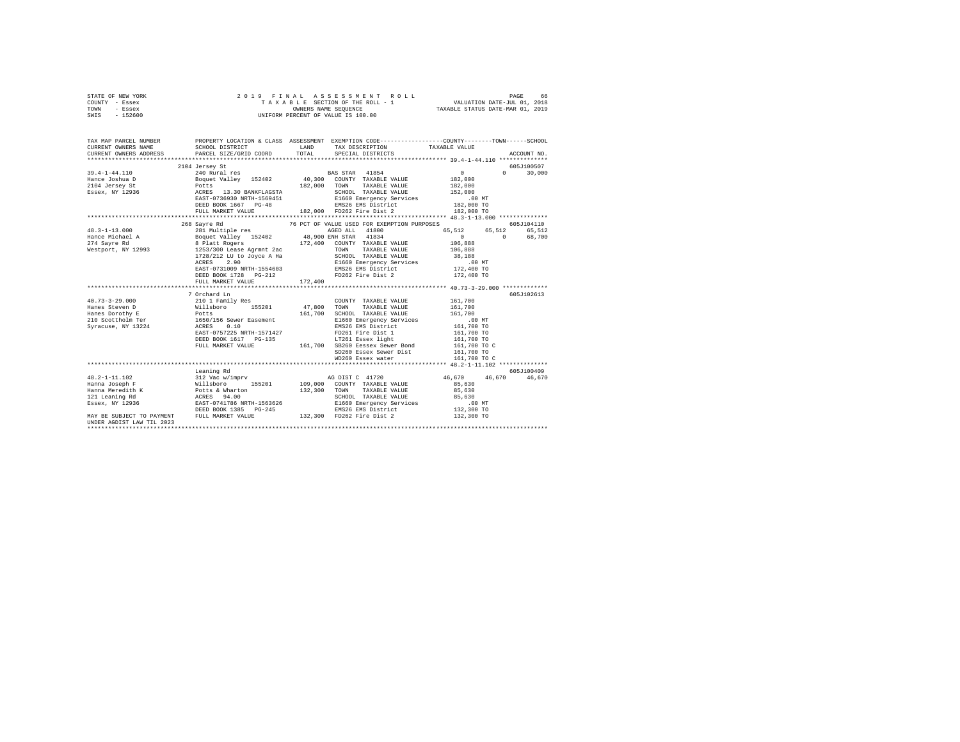|      | STATE OF NEW YORK |  | 2019 FINAL ASSESSMENT ROLL         |                                  | PAGE                        | 66. |
|------|-------------------|--|------------------------------------|----------------------------------|-----------------------------|-----|
|      | COUNTY - Essex    |  | TAXABLE SECTION OF THE ROLL - 1    |                                  | VALUATION DATE-JUL 01, 2018 |     |
| TOWN | - Essex           |  | OWNERS NAME SEOUENCE               | TAXABLE STATUS DATE-MAR 01, 2019 |                             |     |
| SWIS | $-152600$         |  | UNIFORM PERCENT OF VALUE IS 100.00 |                                  |                             |     |

| TAX MAP PARCEL NUMBER<br>CURRENT OWNERS NAME<br>CURRENT ONNERS ADDRESS PARCEL SIZE/GRID COORD TOTAL SPECIAL DISTRICTS (2000000 ACCOUNT NO. | SCHOOL DISTRICT                                                                    | LAND TAX DESCRIPTION TAXABLE VALUE                                                                                                                  | PROPERTY LOCATION & CLASS ASSESSMENT EXEMPTION CODE---------------COUNTY-------TOWN------SCHOOL |            |
|--------------------------------------------------------------------------------------------------------------------------------------------|------------------------------------------------------------------------------------|-----------------------------------------------------------------------------------------------------------------------------------------------------|-------------------------------------------------------------------------------------------------|------------|
|                                                                                                                                            |                                                                                    |                                                                                                                                                     |                                                                                                 |            |
|                                                                                                                                            | 2104 Jersey St                                                                     |                                                                                                                                                     |                                                                                                 | 605J100507 |
|                                                                                                                                            |                                                                                    |                                                                                                                                                     |                                                                                                 |            |
|                                                                                                                                            |                                                                                    |                                                                                                                                                     |                                                                                                 |            |
|                                                                                                                                            |                                                                                    |                                                                                                                                                     |                                                                                                 |            |
|                                                                                                                                            |                                                                                    |                                                                                                                                                     |                                                                                                 |            |
|                                                                                                                                            |                                                                                    |                                                                                                                                                     |                                                                                                 |            |
|                                                                                                                                            |                                                                                    |                                                                                                                                                     |                                                                                                 |            |
|                                                                                                                                            |                                                                                    |                                                                                                                                                     |                                                                                                 |            |
|                                                                                                                                            |                                                                                    |                                                                                                                                                     |                                                                                                 |            |
|                                                                                                                                            | 268 Savre Rd                                                                       | 76 PCT OF VALUE USED FOR EXEMPTION PURPOSES                                                                                                         |                                                                                                 | 605J104110 |
|                                                                                                                                            |                                                                                    |                                                                                                                                                     |                                                                                                 |            |
|                                                                                                                                            |                                                                                    |                                                                                                                                                     | 65,512 65,512 65,512<br>0 0 68,700                                                              |            |
|                                                                                                                                            |                                                                                    |                                                                                                                                                     |                                                                                                 |            |
|                                                                                                                                            |                                                                                    |                                                                                                                                                     |                                                                                                 |            |
|                                                                                                                                            |                                                                                    |                                                                                                                                                     |                                                                                                 |            |
|                                                                                                                                            |                                                                                    |                                                                                                                                                     |                                                                                                 |            |
|                                                                                                                                            |                                                                                    |                                                                                                                                                     |                                                                                                 |            |
|                                                                                                                                            | DEED BOOK 1728 PG-212 PD262 Fire Dist 2 172,400 TO<br>FULL MARKET VALUE 172,400 10 |                                                                                                                                                     |                                                                                                 |            |
|                                                                                                                                            |                                                                                    |                                                                                                                                                     |                                                                                                 |            |
|                                                                                                                                            |                                                                                    |                                                                                                                                                     |                                                                                                 |            |
|                                                                                                                                            | 7 Orchard Ln                                                                       |                                                                                                                                                     |                                                                                                 | 605J102613 |
|                                                                                                                                            |                                                                                    | COUNTY TAXABLE VALUE 161,700                                                                                                                        |                                                                                                 |            |
|                                                                                                                                            |                                                                                    | TOWN<br>TAXABLE VALUE                                                                                                                               | 161,700                                                                                         |            |
|                                                                                                                                            |                                                                                    | ${\tt SCH OOL-} {\tt TAXABLE\ VALUE} \hspace{2cm} 161,700 \\ {\tt E1660\ Energy} \hspace{2cm} {\tt Services} \hspace{2cm} 00 \hspace{2cm} {\tt MT}$ |                                                                                                 |            |
|                                                                                                                                            |                                                                                    |                                                                                                                                                     |                                                                                                 |            |
| $\begin{tabular}{lllll} \bf \textit{Syracuse, NY 13224} & \textit{ACRES} & \textit{0.10} \\ \end{tabular}$                                 | ACRES 0.10<br>EAST-0757225 NRTH-1571427                                            | EMS26 EMS District $161,700$ TO                                                                                                                     |                                                                                                 |            |
|                                                                                                                                            |                                                                                    | FD261 Fire Dist 1 161,700 TO<br>LT261 Essex light 161,700 TO                                                                                        |                                                                                                 |            |
|                                                                                                                                            |                                                                                    |                                                                                                                                                     |                                                                                                 |            |
|                                                                                                                                            |                                                                                    |                                                                                                                                                     |                                                                                                 |            |
|                                                                                                                                            |                                                                                    |                                                                                                                                                     |                                                                                                 |            |
|                                                                                                                                            |                                                                                    | WD260 Essex water 161,700 TO C                                                                                                                      |                                                                                                 |            |
|                                                                                                                                            |                                                                                    |                                                                                                                                                     |                                                                                                 |            |
|                                                                                                                                            | Leaning Rd                                                                         |                                                                                                                                                     |                                                                                                 | 605J100409 |
|                                                                                                                                            |                                                                                    |                                                                                                                                                     | $46,670$ $46,670$ $46,670$                                                                      |            |
|                                                                                                                                            |                                                                                    |                                                                                                                                                     |                                                                                                 |            |
|                                                                                                                                            |                                                                                    |                                                                                                                                                     |                                                                                                 |            |
|                                                                                                                                            |                                                                                    |                                                                                                                                                     |                                                                                                 |            |
|                                                                                                                                            |                                                                                    |                                                                                                                                                     |                                                                                                 |            |
|                                                                                                                                            |                                                                                    |                                                                                                                                                     |                                                                                                 |            |
|                                                                                                                                            |                                                                                    |                                                                                                                                                     |                                                                                                 |            |
| UNDER AGDIST LAW TIL 2023                                                                                                                  |                                                                                    |                                                                                                                                                     |                                                                                                 |            |
|                                                                                                                                            |                                                                                    |                                                                                                                                                     |                                                                                                 |            |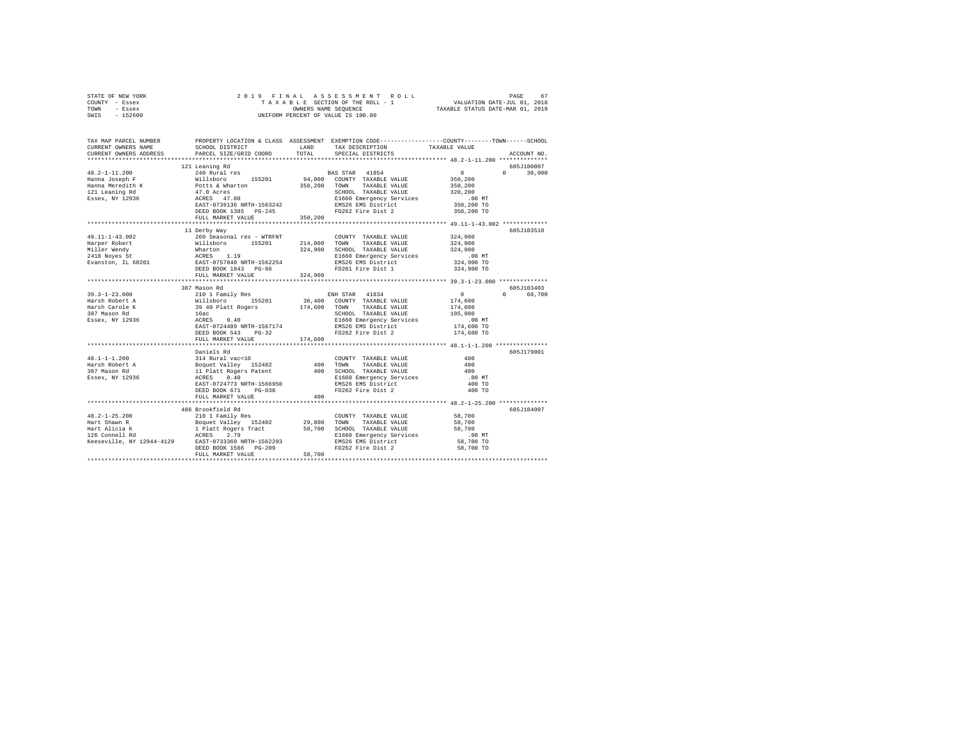| STATE OF NEW YORK<br>COUNTY - Essex<br>TOWN<br>- Essex<br>SWIS<br>$-152600$                                                                                                                                                            |                                                                                                                                                                                                                                                                   |         | OWNERS NAME SEQUENCE<br>UNIFORM PERCENT OF VALUE IS 100.00 |                                                                                                                                        |  |
|----------------------------------------------------------------------------------------------------------------------------------------------------------------------------------------------------------------------------------------|-------------------------------------------------------------------------------------------------------------------------------------------------------------------------------------------------------------------------------------------------------------------|---------|------------------------------------------------------------|----------------------------------------------------------------------------------------------------------------------------------------|--|
| CURRENT OWNERS NAME                                                                                                                                                                                                                    | SCHOOL DISTRICT LAND                                                                                                                                                                                                                                              |         | TAX DESCRIPTION                                            | TAX MAP PARCEL NUMBER PROPERTY LOCATION & CLASS ASSESSMENT EXEMPTION CODE---------------COUNTY-------TOWN------SCHOOL<br>TAXABLE VALUE |  |
| CURRENT OWNERS ADDRESS                                                                                                                                                                                                                 | PARCEL SIZE/GRID COORD                                                                                                                                                                                                                                            | TOTAL   | SPECIAL DISTRICTS                                          | ACCOUNT NO.                                                                                                                            |  |
|                                                                                                                                                                                                                                        |                                                                                                                                                                                                                                                                   |         |                                                            |                                                                                                                                        |  |
|                                                                                                                                                                                                                                        | 121 Leaning Rd                                                                                                                                                                                                                                                    |         |                                                            | 605J180007                                                                                                                             |  |
| $48.2 - 1 - 11.200$                                                                                                                                                                                                                    | 240 Rural res                                                                                                                                                                                                                                                     |         | BAS STAR 41854                                             | $\sim$ 0<br>$\Omega$<br>30,000                                                                                                         |  |
| Hanna Joseph F                                                                                                                                                                                                                         | Willsboro 155201                                                                                                                                                                                                                                                  |         | 94,000 COUNTY TAXABLE VALUE                                | 350,200                                                                                                                                |  |
| Hanna Meredith K<br>121 Leaning Rd                                                                                                                                                                                                     | Potts & Wharton                                                                                                                                                                                                                                                   |         | 350,200 TOWN TAXABLE VALUE                                 | 350,200<br>320,200                                                                                                                     |  |
| Essex, NY 12936                                                                                                                                                                                                                        | 2000 MAXABLE VALUE<br>ACRES 47.00<br>ACRES 47.00 EL660 Emergency Services<br>EAST-0739136 NRTH-1563242 EMS26 EMS District<br>DEED BOOK 1385 PG-245                                                                                                                |         |                                                            | .00 MT                                                                                                                                 |  |
|                                                                                                                                                                                                                                        |                                                                                                                                                                                                                                                                   |         |                                                            | 350,200 TO                                                                                                                             |  |
|                                                                                                                                                                                                                                        |                                                                                                                                                                                                                                                                   |         |                                                            | 350,200 TO                                                                                                                             |  |
|                                                                                                                                                                                                                                        | FULL MARKET VALUE 350,200                                                                                                                                                                                                                                         |         |                                                            |                                                                                                                                        |  |
|                                                                                                                                                                                                                                        |                                                                                                                                                                                                                                                                   |         |                                                            |                                                                                                                                        |  |
|                                                                                                                                                                                                                                        | 11 Derby Way                                                                                                                                                                                                                                                      |         |                                                            | 605J103510                                                                                                                             |  |
| 49.11-1-43.002                                                                                                                                                                                                                         | 260 Seasonal res - WTRFNT                                                                                                                                                                                                                                         |         | COUNTY TAXABLE VALUE                                       | 324,900                                                                                                                                |  |
|                                                                                                                                                                                                                                        |                                                                                                                                                                                                                                                                   |         |                                                            | 324,900                                                                                                                                |  |
|                                                                                                                                                                                                                                        |                                                                                                                                                                                                                                                                   |         |                                                            | 324,900                                                                                                                                |  |
| 1991 - Allieboro 15201 - 214,000 TOMM TAXABLE VALUE<br>Miller Wendy Milleboro 15201 - 214,000 TOMM TAXABLE VALUE<br>2418 Noyes St Martin 1992 - 241,900 SCROOL TAXABLE VALUE<br>EWING THE SAST-0757940 NETH-1562254<br>EWING THE SAST- |                                                                                                                                                                                                                                                                   |         | E1660 Emergency Services                                   | $.00$ MT<br>324,900 TO                                                                                                                 |  |
|                                                                                                                                                                                                                                        |                                                                                                                                                                                                                                                                   |         |                                                            | 324,900 TO                                                                                                                             |  |
|                                                                                                                                                                                                                                        | FULL MARKET VALUE                                                                                                                                                                                                                                                 | 324,900 |                                                            |                                                                                                                                        |  |
|                                                                                                                                                                                                                                        |                                                                                                                                                                                                                                                                   |         |                                                            |                                                                                                                                        |  |
|                                                                                                                                                                                                                                        | 387 Mason Rd                                                                                                                                                                                                                                                      |         |                                                            | 605J103403                                                                                                                             |  |
|                                                                                                                                                                                                                                        |                                                                                                                                                                                                                                                                   |         | ENH STAR 41834                                             | $\sim$ 0 $\sim$<br>0 68,700                                                                                                            |  |
|                                                                                                                                                                                                                                        |                                                                                                                                                                                                                                                                   |         |                                                            | 174,600                                                                                                                                |  |
|                                                                                                                                                                                                                                        |                                                                                                                                                                                                                                                                   |         |                                                            | 174,600                                                                                                                                |  |
|                                                                                                                                                                                                                                        |                                                                                                                                                                                                                                                                   |         | SCHOOL TAXABLE VALUE                                       | 105,900                                                                                                                                |  |
|                                                                                                                                                                                                                                        |                                                                                                                                                                                                                                                                   |         | E1660 Emergency Services                                   | $.00$ MT                                                                                                                               |  |
|                                                                                                                                                                                                                                        | DEED BOOK 543 PG-32                                                                                                                                                                                                                                               |         | EMS26 EMS District<br>FD262 Fire Dist 2                    | 174,600 TO<br>174,600 TO                                                                                                               |  |
|                                                                                                                                                                                                                                        | FULL MARKET VALUE                                                                                                                                                                                                                                                 | 174,600 |                                                            |                                                                                                                                        |  |
|                                                                                                                                                                                                                                        |                                                                                                                                                                                                                                                                   |         |                                                            |                                                                                                                                        |  |
|                                                                                                                                                                                                                                        | Daniels Rd                                                                                                                                                                                                                                                        |         |                                                            | 605J179001                                                                                                                             |  |
| $48.1 - 1 - 1.200$                                                                                                                                                                                                                     |                                                                                                                                                                                                                                                                   |         |                                                            | 400                                                                                                                                    |  |
| Harsh Robert A<br>387 Mason Rd                                                                                                                                                                                                         | Daniels<br><br><br><br><br><br><br>COUNTY TAXABLE VALUE BOquet Valley 152402<br>400 TOWN TAXABLE VALUE 11 Platt Rogers Patent 400 SCHOOL TAXABLE VALUE<br>$\begin{tabular}{ll} \mbox{R12} \end{tabular} \begin{tabular}{ll} \multicolumn{1}{l} \multicolumn{1}{l$ |         |                                                            | 400                                                                                                                                    |  |
|                                                                                                                                                                                                                                        |                                                                                                                                                                                                                                                                   |         |                                                            | 400                                                                                                                                    |  |
| Essex, NY 12936                                                                                                                                                                                                                        |                                                                                                                                                                                                                                                                   |         |                                                            | $.00$ MT                                                                                                                               |  |
|                                                                                                                                                                                                                                        | DEED BOOK 671 PG-038                                                                                                                                                                                                                                              |         | FD262 Fire Dist 2                                          | 400 TO<br>400 TO                                                                                                                       |  |
|                                                                                                                                                                                                                                        | FULL MARKET VALUE                                                                                                                                                                                                                                                 | 400     |                                                            |                                                                                                                                        |  |
|                                                                                                                                                                                                                                        |                                                                                                                                                                                                                                                                   |         |                                                            |                                                                                                                                        |  |
|                                                                                                                                                                                                                                        | 486 Brookfield Rd                                                                                                                                                                                                                                                 |         |                                                            | 605J184007                                                                                                                             |  |
| 48.2-1-25.200<br>Hart Shawn R                                                                                                                                                                                                          | 210 1 Family Res                                                                                                                                                                                                                                                  |         | COUNTY TAXABLE VALUE                                       | 58,700                                                                                                                                 |  |
|                                                                                                                                                                                                                                        |                                                                                                                                                                                                                                                                   |         |                                                            | 58,700                                                                                                                                 |  |
|                                                                                                                                                                                                                                        |                                                                                                                                                                                                                                                                   |         |                                                            | 58,700                                                                                                                                 |  |
|                                                                                                                                                                                                                                        |                                                                                                                                                                                                                                                                   |         |                                                            | $.00$ MT                                                                                                                               |  |
|                                                                                                                                                                                                                                        |                                                                                                                                                                                                                                                                   |         |                                                            | 58,700 TO                                                                                                                              |  |
|                                                                                                                                                                                                                                        |                                                                                                                                                                                                                                                                   | 58,700  |                                                            | 58,700 TO                                                                                                                              |  |
|                                                                                                                                                                                                                                        | FULL MARKET VALUE                                                                                                                                                                                                                                                 |         |                                                            |                                                                                                                                        |  |
|                                                                                                                                                                                                                                        |                                                                                                                                                                                                                                                                   |         |                                                            |                                                                                                                                        |  |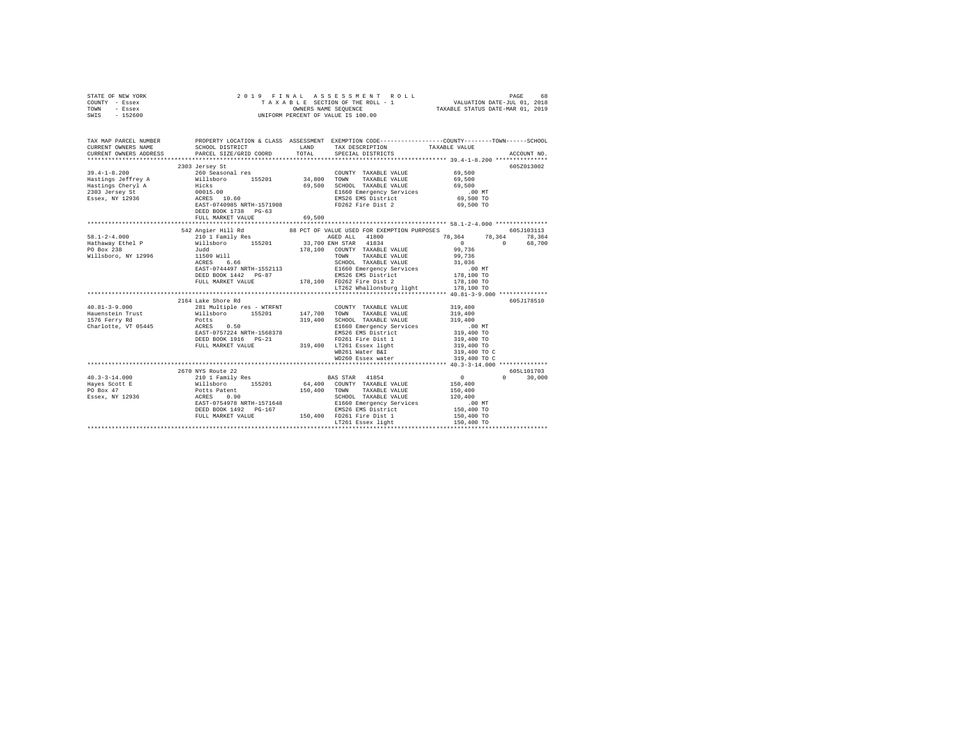| STATE OF NEW YORK<br>COUNTY - Essex<br>TOWN - Essex<br>SWIS - 152600                                                                                                                                                                                                                                                                                                                                                    | 2019 FINAL ASSESSMENT R<br>TAXABLE SECTION OF THE ROLL - 1<br>OWNERS NAME SEQUENCE<br>UNIFORM PERCENT OF VALUE IS 100.00                                    |        |                                                                                                                                     |                                                                                                                                   |               |
|-------------------------------------------------------------------------------------------------------------------------------------------------------------------------------------------------------------------------------------------------------------------------------------------------------------------------------------------------------------------------------------------------------------------------|-------------------------------------------------------------------------------------------------------------------------------------------------------------|--------|-------------------------------------------------------------------------------------------------------------------------------------|-----------------------------------------------------------------------------------------------------------------------------------|---------------|
| TAX MAP PARCEL NUMBER PROPERTY LOCATION & CLASS ASSESSMENT EXEMPTION CODE---------------COUNTY-------TOWN------SCHOOL<br>CURRENT OWNERS NAME                                                                                                                                                                                                                                                                            | SCHOOL DISTRICT TAND TAX DESCRIPTION                                                                                                                        |        |                                                                                                                                     | TAXABLE VALUE                                                                                                                     |               |
| CURRENT OWNERS ADDRESS PARCEL SIZE/GRID COORD                                                                                                                                                                                                                                                                                                                                                                           |                                                                                                                                                             | TOTAL  | SPECIAL DISTRICTS                                                                                                                   |                                                                                                                                   | ACCOUNT NO.   |
|                                                                                                                                                                                                                                                                                                                                                                                                                         | 2303 Jersey St                                                                                                                                              |        |                                                                                                                                     |                                                                                                                                   | 605Z013002    |
|                                                                                                                                                                                                                                                                                                                                                                                                                         |                                                                                                                                                             |        | COUNTY TAXABLE VALUE 69,500                                                                                                         |                                                                                                                                   |               |
|                                                                                                                                                                                                                                                                                                                                                                                                                         |                                                                                                                                                             |        |                                                                                                                                     | 69,500                                                                                                                            |               |
|                                                                                                                                                                                                                                                                                                                                                                                                                         |                                                                                                                                                             |        |                                                                                                                                     | 69,500                                                                                                                            |               |
|                                                                                                                                                                                                                                                                                                                                                                                                                         |                                                                                                                                                             |        | E1660 Emergency Services<br>EMS26 EMS District<br>FD262 Fire Dist 2                                                                 | $.00$ MT                                                                                                                          |               |
|                                                                                                                                                                                                                                                                                                                                                                                                                         |                                                                                                                                                             |        |                                                                                                                                     | 69,500 TO<br>69,500 TO                                                                                                            |               |
|                                                                                                                                                                                                                                                                                                                                                                                                                         | DEED BOOK 1738 PG-63                                                                                                                                        |        |                                                                                                                                     |                                                                                                                                   |               |
|                                                                                                                                                                                                                                                                                                                                                                                                                         | FULL MARKET VALUE                                                                                                                                           | 69,500 |                                                                                                                                     |                                                                                                                                   |               |
|                                                                                                                                                                                                                                                                                                                                                                                                                         |                                                                                                                                                             |        |                                                                                                                                     |                                                                                                                                   |               |
|                                                                                                                                                                                                                                                                                                                                                                                                                         | 542 Angier Hill Rd 88 PCT OF VALUE USED FOR EXEMPTION PURPOSES                                                                                              |        |                                                                                                                                     |                                                                                                                                   | 605J103113    |
| $58.1 - 2 - 4.000$                                                                                                                                                                                                                                                                                                                                                                                                      | 210 1 Family Res                                                                                                                                            |        | AGED ALL 41800                                                                                                                      | $\begin{array}{cccc} 78 \,, 364 & \quad & 78 \,, 364 & \quad & 78 \,, 364 \\[2mm] 0 & \quad & 0 & \quad & 68 \,, 700 \end{array}$ |               |
| $\begin{tabular}{l c c c c c c c c} \multicolumn{2}{c}{\textbf{H}a} & \multicolumn{2}{c}{\textbf{H}b} & \multicolumn{2}{c}{\textbf{H}b} & \multicolumn{2}{c}{\textbf{H}b} & \multicolumn{2}{c}{\textbf{H}b} & \multicolumn{2}{c}{\textbf{H}b} & \multicolumn{2}{c}{\textbf{H}b} & \multicolumn{2}{c}{\textbf{H}b} & \multicolumn{2}{c}{\textbf{H}b} & \multicolumn{2}{c}{\textbf{H}b} & \multicolumn{2}{c}{\textbf{H}b$ |                                                                                                                                                             |        |                                                                                                                                     |                                                                                                                                   |               |
|                                                                                                                                                                                                                                                                                                                                                                                                                         |                                                                                                                                                             |        | 178.100 COUNTY TAXABLE VALUE                                                                                                        | 99,736                                                                                                                            |               |
|                                                                                                                                                                                                                                                                                                                                                                                                                         |                                                                                                                                                             |        | TOWN TAXABLE VALUE<br>SCHOOL TAXABLE VALUE                                                                                          | 99,736<br>31,036                                                                                                                  |               |
|                                                                                                                                                                                                                                                                                                                                                                                                                         | EAST-0744497 NRTH-1552113                                                                                                                                   |        |                                                                                                                                     |                                                                                                                                   |               |
|                                                                                                                                                                                                                                                                                                                                                                                                                         | DEED BOOK 1442 PG-87                                                                                                                                        |        | Electo Energency Services<br>ENS26 EMS District 178,100 NT<br>EMS26 EMS District 178,100 TO<br>178,100 FD262 Fire Dist 2 178,100 TO |                                                                                                                                   |               |
|                                                                                                                                                                                                                                                                                                                                                                                                                         | FULL MARKET VALUE                                                                                                                                           |        |                                                                                                                                     |                                                                                                                                   |               |
|                                                                                                                                                                                                                                                                                                                                                                                                                         |                                                                                                                                                             |        | LT262 Whallonsburg light                                                                                                            | 178,100 TO                                                                                                                        |               |
|                                                                                                                                                                                                                                                                                                                                                                                                                         |                                                                                                                                                             |        |                                                                                                                                     |                                                                                                                                   |               |
|                                                                                                                                                                                                                                                                                                                                                                                                                         | 2164 Lake Shore Rd                                                                                                                                          |        |                                                                                                                                     |                                                                                                                                   | 605J178510    |
| $40.81 - 3 - 9.000$                                                                                                                                                                                                                                                                                                                                                                                                     | 281 Multiple res - WTRFNT COUNTY TAXABLE VALUE<br>Willsboro 155201 147,700 TOWN TAXABLE VALUE                                                               |        | COUNTY TAXABLE VALUE                                                                                                                | 319,400<br>319,400                                                                                                                |               |
| Hauenstein Trust<br>1576 Ferry Rd                                                                                                                                                                                                                                                                                                                                                                                       |                                                                                                                                                             |        | 319,400 SCHOOL TAXABLE VALUE                                                                                                        | 319,400                                                                                                                           |               |
| Charlotte, VT 05445                                                                                                                                                                                                                                                                                                                                                                                                     |                                                                                                                                                             |        | E1660 Emergency Services                                                                                                            |                                                                                                                                   |               |
|                                                                                                                                                                                                                                                                                                                                                                                                                         |                                                                                                                                                             |        | EMS26 EMS District                                                                                                                  | 00 MT.<br>319,400 TO                                                                                                              |               |
|                                                                                                                                                                                                                                                                                                                                                                                                                         |                                                                                                                                                             |        |                                                                                                                                     | 319,400 TO                                                                                                                        |               |
|                                                                                                                                                                                                                                                                                                                                                                                                                         |                                                                                                                                                             |        |                                                                                                                                     | 319,400 TO                                                                                                                        |               |
|                                                                                                                                                                                                                                                                                                                                                                                                                         |                                                                                                                                                             |        |                                                                                                                                     | 319,400 TO C                                                                                                                      |               |
|                                                                                                                                                                                                                                                                                                                                                                                                                         |                                                                                                                                                             |        |                                                                                                                                     | 319,400 TO C                                                                                                                      |               |
|                                                                                                                                                                                                                                                                                                                                                                                                                         |                                                                                                                                                             |        |                                                                                                                                     |                                                                                                                                   | 605L101703    |
|                                                                                                                                                                                                                                                                                                                                                                                                                         |                                                                                                                                                             |        | BAS STAR 41854                                                                                                                      | $\sim$ 0                                                                                                                          | $0 \t 30,000$ |
|                                                                                                                                                                                                                                                                                                                                                                                                                         |                                                                                                                                                             |        | 64,400 COUNTY TAXABLE VALUE                                                                                                         | 150,400                                                                                                                           |               |
|                                                                                                                                                                                                                                                                                                                                                                                                                         |                                                                                                                                                             |        | 150,400 TOWN TAXABLE VALUE                                                                                                          | 150,400                                                                                                                           |               |
|                                                                                                                                                                                                                                                                                                                                                                                                                         | ACRES 0.90<br>EAST-0754978 NRTH-1571648 E1660 Emergency Services<br>DEED BOOK 1492 PG-167 ENS26 EMS District<br>FULL MARKET VALUE 150,400 FD261 Fire Dist 1 |        |                                                                                                                                     | 120,400                                                                                                                           |               |
|                                                                                                                                                                                                                                                                                                                                                                                                                         |                                                                                                                                                             |        |                                                                                                                                     | 00 MT.<br>150,400 TO                                                                                                              |               |
|                                                                                                                                                                                                                                                                                                                                                                                                                         |                                                                                                                                                             |        |                                                                                                                                     | 150,400 TO                                                                                                                        |               |
|                                                                                                                                                                                                                                                                                                                                                                                                                         |                                                                                                                                                             |        | LT261 Essex light                                                                                                                   | 150,400 TO                                                                                                                        |               |
|                                                                                                                                                                                                                                                                                                                                                                                                                         |                                                                                                                                                             |        |                                                                                                                                     |                                                                                                                                   |               |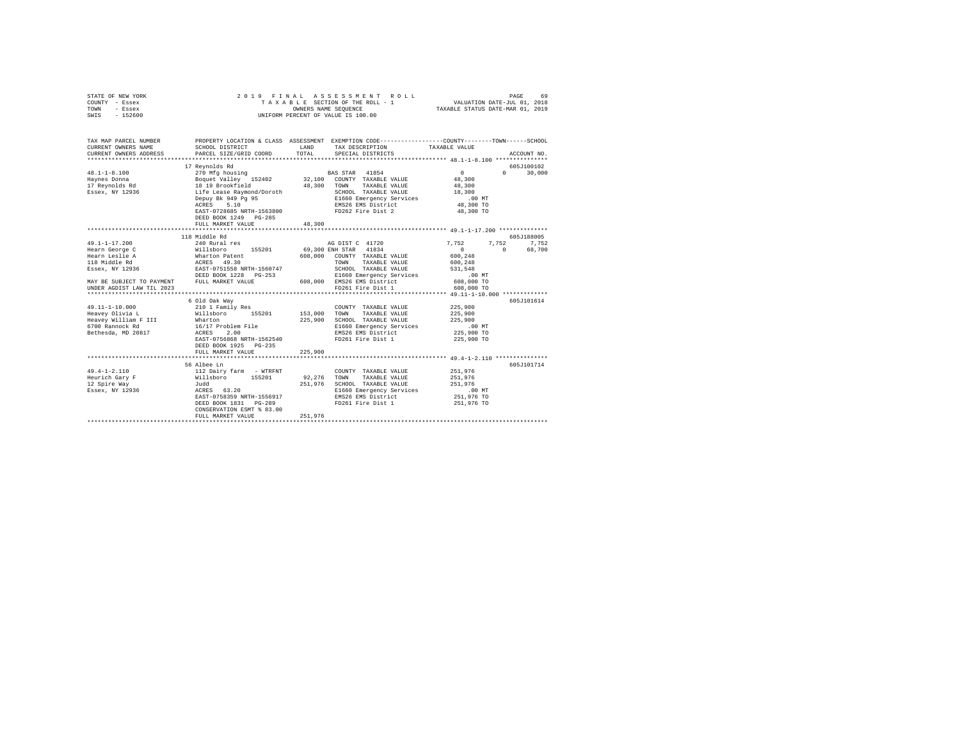| STATE OF NEW YORK<br>COUNTY - Essex<br>TOWN<br>- Essex<br>SWIS - 152600 | 2019 FINAL                                                                                                                                                                                                                                                                                                                                                                                                                        |              | UNIFORM PERCENT OF VALUE IS 100.00                        |                                               |                                   |
|-------------------------------------------------------------------------|-----------------------------------------------------------------------------------------------------------------------------------------------------------------------------------------------------------------------------------------------------------------------------------------------------------------------------------------------------------------------------------------------------------------------------------|--------------|-----------------------------------------------------------|-----------------------------------------------|-----------------------------------|
| CURRENT OWNERS NAME                                                     | TAX MAP PARCEL NUMBER PROPERTY LOCATION & CLASS ASSESSMENT EXEMPTION CODE---------------COUNTY-------TOWN------SCHOOL<br>SCHOOL DISTRICT                                                                                                                                                                                                                                                                                          | LAND         | TAX DESCRIPTION                                           | TAXABLE VALUE                                 |                                   |
| CURRENT OWNERS ADDRESS                                                  | PARCEL SIZE/GRID COORD                                                                                                                                                                                                                                                                                                                                                                                                            | TOTAL        | SPECIAL DISTRICTS                                         |                                               | ACCOUNT NO.                       |
|                                                                         |                                                                                                                                                                                                                                                                                                                                                                                                                                   |              |                                                           |                                               |                                   |
|                                                                         | 17 Reynolds Rd                                                                                                                                                                                                                                                                                                                                                                                                                    |              |                                                           |                                               | 605J100102                        |
| $48.1 - 1 - 8.100$                                                      |                                                                                                                                                                                                                                                                                                                                                                                                                                   |              |                                                           | $\sim$ 0                                      | 0 <sup>1</sup><br>30,000          |
| Havnes Donna                                                            |                                                                                                                                                                                                                                                                                                                                                                                                                                   |              |                                                           | $48\,,\,300$                                  |                                   |
| 17 Reynolds Rd<br>Essex, NY 12936                                       |                                                                                                                                                                                                                                                                                                                                                                                                                                   |              |                                                           | 48,300<br>18,300                              |                                   |
|                                                                         |                                                                                                                                                                                                                                                                                                                                                                                                                                   |              |                                                           | $.00$ MT                                      |                                   |
|                                                                         |                                                                                                                                                                                                                                                                                                                                                                                                                                   |              |                                                           | 48,300 TO                                     |                                   |
|                                                                         | $\begin{tabular}{l c c c c} \multicolumn{1}{c}{17~\text{R}}\text{P01018~\text{nu}} & \text{BAS STR} & \text{41854} \\ \multicolumn{1}{c}{270~\text{Mg}}~\text{housing} & \text{32,100} & \text{COMNT} & \text{TXABLE VALUE} \\ \multicolumn{1}{c}{18~\text{19}~\text{P0} \text{rookfield}} & \text{49,300} & \text{COMNT} & \text{TAXABLE VALUE} \\ \multicolumn{1}{c}{\text{Lif}}~\text{E}~\text{aee}~\text{Raymond/Doroth} & \$ |              |                                                           | 48,300 TO                                     |                                   |
|                                                                         | DEED BOOK 1249 PG-285                                                                                                                                                                                                                                                                                                                                                                                                             |              |                                                           |                                               |                                   |
|                                                                         | FULL MARKET VALUE                                                                                                                                                                                                                                                                                                                                                                                                                 | 48,300       |                                                           |                                               |                                   |
|                                                                         |                                                                                                                                                                                                                                                                                                                                                                                                                                   |              |                                                           |                                               |                                   |
|                                                                         | 118 Middle Rd                                                                                                                                                                                                                                                                                                                                                                                                                     |              |                                                           | 7.752                                         | 605J188005                        |
| 49.1-1-17.200                                                           | 240 Rural res                                                                                                                                                                                                                                                                                                                                                                                                                     |              | AG DIST C 41720<br>69,300 ENH STAR 41834                  | $\sim$ 0                                      | 7,752 7,752<br>$\sim$ 0<br>68,700 |
|                                                                         |                                                                                                                                                                                                                                                                                                                                                                                                                                   |              | 608,000 COUNTY TAXABLE VALUE                              | 600,248                                       |                                   |
|                                                                         |                                                                                                                                                                                                                                                                                                                                                                                                                                   |              | TOWN TAXABLE VALUE                                        | 600,248                                       |                                   |
|                                                                         |                                                                                                                                                                                                                                                                                                                                                                                                                                   |              | SCHOOL TAXABLE VALUE                                      | 531.548                                       |                                   |
|                                                                         |                                                                                                                                                                                                                                                                                                                                                                                                                                   |              |                                                           | $.00$ MT                                      |                                   |
|                                                                         | DEED BOOK 1228 PG-253 E1660 Emergency Services<br>MAY BE SUBJECT TO PAYMENT FULL MARKET VALUE 608,000 EMS26 EMS District                                                                                                                                                                                                                                                                                                          |              |                                                           | 608,000 TO                                    |                                   |
| UNDER AGDIST LAW TIL 2023                                               |                                                                                                                                                                                                                                                                                                                                                                                                                                   |              | FD261 Fire Dist 1                                         | 608,000 TO                                    |                                   |
| **********************                                                  |                                                                                                                                                                                                                                                                                                                                                                                                                                   |              |                                                           | **** 49.11-1-10.000 *************             |                                   |
| 49.11-1-10.000                                                          | 6 Old Oak Way                                                                                                                                                                                                                                                                                                                                                                                                                     |              |                                                           | 225,900                                       | 605J101614                        |
| Heavey Olivia L                                                         | 210 1 Family Res<br>Willsboro 155201                                                                                                                                                                                                                                                                                                                                                                                              | 153,000 TOWN | COUNTY TAXABLE VALUE<br>TAXABLE VALUE                     | 225,900                                       |                                   |
| Heavey William F III                                                    |                                                                                                                                                                                                                                                                                                                                                                                                                                   |              | 225,900 SCHOOL TAXABLE VALUE                              | 225,900                                       |                                   |
| 6700 Rannock Rd                                                         | Wharton<br>16/17 Problem File                                                                                                                                                                                                                                                                                                                                                                                                     |              | E1660 Emergency Services                                  | $.00$ MT                                      |                                   |
| Bethesda, MD 20817                                                      | ACRES 2.00                                                                                                                                                                                                                                                                                                                                                                                                                        |              | EMS26 EMS District                                        | 225,900 TO                                    |                                   |
|                                                                         | EAST-0756868 NRTH-1562540                                                                                                                                                                                                                                                                                                                                                                                                         |              | FD261 Fire Dist 1                                         | 225,900 TO                                    |                                   |
|                                                                         | DEED BOOK 1925 PG-235                                                                                                                                                                                                                                                                                                                                                                                                             |              |                                                           |                                               |                                   |
|                                                                         | FULL MARKET VALUE                                                                                                                                                                                                                                                                                                                                                                                                                 | 225,900      |                                                           |                                               |                                   |
|                                                                         | ***************************                                                                                                                                                                                                                                                                                                                                                                                                       |              |                                                           | *************** 49.4-1-2.110 **************** |                                   |
|                                                                         | 56 Albee Ln                                                                                                                                                                                                                                                                                                                                                                                                                       |              | COUNTY TAXABLE VALUE 251.976                              |                                               | 605J101714                        |
|                                                                         |                                                                                                                                                                                                                                                                                                                                                                                                                                   |              |                                                           | 251,976                                       |                                   |
|                                                                         |                                                                                                                                                                                                                                                                                                                                                                                                                                   |              | 92,276 TOWN TAXABLE VALUE<br>251,976 SCHOOL TAXABLE VALUE | 251,976                                       |                                   |
|                                                                         |                                                                                                                                                                                                                                                                                                                                                                                                                                   |              | E1660 Emergency Services                                  | $.00$ MT                                      |                                   |
|                                                                         |                                                                                                                                                                                                                                                                                                                                                                                                                                   |              | EMS26 EMS District                                        | 251,976 TO                                    |                                   |
|                                                                         | DEED BOOK 1831    PG-289                                                                                                                                                                                                                                                                                                                                                                                                          |              | FD261 Fire Dist 1                                         | 251,976 TO                                    |                                   |
|                                                                         | CONSERVATION ESMT % 83.00                                                                                                                                                                                                                                                                                                                                                                                                         |              |                                                           |                                               |                                   |
|                                                                         | FULL MARKET VALUE                                                                                                                                                                                                                                                                                                                                                                                                                 | 251,976      |                                                           |                                               |                                   |
|                                                                         |                                                                                                                                                                                                                                                                                                                                                                                                                                   |              |                                                           |                                               |                                   |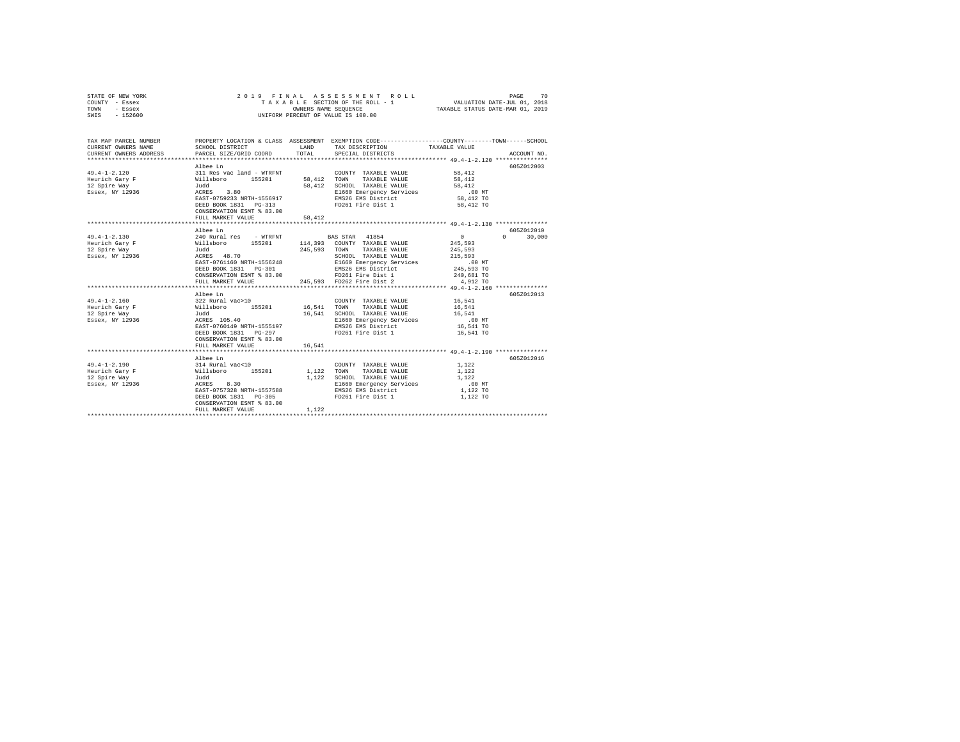| STATE OF NEW YORK<br>COUNTY - Essex<br>TOWN - Essex<br>SWIS - 152600 | 2019 FINAL                                                          |        | ASSESSMENT ROLL<br>T A X A B L E SECTION OF THE ROLL - 1<br>OWNERS NAME SEQUENCE<br>UNIFORM PERCENT OF VALUE IS 100.00 | PAGE<br>70<br>VALUATION DATE-JUL 01, 2018<br>TAXABLE STATUS DATE-MAR 01, 2019                                    |
|----------------------------------------------------------------------|---------------------------------------------------------------------|--------|------------------------------------------------------------------------------------------------------------------------|------------------------------------------------------------------------------------------------------------------|
| TAX MAP PARCEL NUMBER<br>CURRENT OWNERS NAME                         | SCHOOL DISTRICT                                                     |        | LAND TAX DESCRIPTION                                                                                                   | PROPERTY LOCATION & CLASS ASSESSMENT EXEMPTION CODE----------------COUNTY-------TOWN-----SCHOOL<br>TAXABLE VALUE |
| CURRENT OWNERS ADDRESS                                               | PARCEL SIZE/GRID COORD                                              | TOTAL  | SPECIAL DISTRICTS                                                                                                      | ACCOUNT NO.                                                                                                      |
|                                                                      |                                                                     |        |                                                                                                                        |                                                                                                                  |
|                                                                      | Albee Ln                                                            |        | COUNTY TAXABLE VALUE<br>58.412 TOPM =-                                                                                 | 605Z012003                                                                                                       |
| $49.4 - 1 - 2.120$                                                   |                                                                     |        |                                                                                                                        | 58,412                                                                                                           |
| Heurich Gary F                                                       | 311 Res vac land - WTRFNT<br>Willsboro 155201<br>Judd<br>ACRES 3.80 |        | 58,412 TOWN TAXABLE VALUE                                                                                              | 58,412                                                                                                           |
| 12 Spire Way                                                         |                                                                     |        | 58,412 SCHOOL TAXABLE VALUE                                                                                            | 58,412                                                                                                           |
| Essex, NY 12936                                                      | EAST-0759233 NRTH-1556917                                           |        | E1660 Emergency Services<br>EMS26 EMS District                                                                         | $.00$ MT<br>58,412 TO                                                                                            |
|                                                                      | DEED BOOK 1831 PG-313                                               |        | FD261 Fire Dist 1                                                                                                      | 58,412 TO                                                                                                        |
|                                                                      | CONSERVATION ESMT % 83.00                                           |        |                                                                                                                        |                                                                                                                  |
|                                                                      | FULL MARKET VALUE                                                   | 58,412 |                                                                                                                        |                                                                                                                  |
|                                                                      |                                                                     |        |                                                                                                                        |                                                                                                                  |
|                                                                      | Albee Ln                                                            |        |                                                                                                                        | 605Z012010                                                                                                       |
| $49.4 - 1 - 2.130$                                                   | 240 Rural res - WTRFNT                                              |        | <b>BAS STAR</b> 41854                                                                                                  | $0 \t30,000$<br>$\sim$ 0                                                                                         |
| Heurich Gary F                                                       |                                                                     |        | Willsboro 155201 114,393 COUNTY TAXABLE VALUE<br>Judd 245,593 TOWN TAXABLE VALUE                                       | 245,593                                                                                                          |
| 12 Spire Way                                                         |                                                                     |        |                                                                                                                        | 245.593                                                                                                          |
| Essex, NY 12936                                                      | Judd<br>ACRES 48.70                                                 |        | SCHOOL TAXABLE VALUE                                                                                                   | 215,593                                                                                                          |
|                                                                      | EAST-0761160 NRTH-1556248                                           |        | E1660 Emergency Services                                                                                               | .00 MT                                                                                                           |
|                                                                      | DEED BOOK 1831    PG-301                                            |        | EMS26 EMS District                                                                                                     | 245,593 TO                                                                                                       |
|                                                                      | CONSERVATION ESMT % 83.00                                           |        | FD261 Fire Dist 1                                                                                                      | 240,681 TO                                                                                                       |
|                                                                      | FULL MARKET VALUE                                                   |        | 245,593 FD262 Fire Dist 2                                                                                              | 4,912 TO                                                                                                         |
|                                                                      |                                                                     |        |                                                                                                                        |                                                                                                                  |
|                                                                      | Albee Ln                                                            |        |                                                                                                                        | 605Z012013                                                                                                       |
| $49.4 - 1 - 2.160$                                                   |                                                                     |        | COUNTY TAXABLE VALUE<br>16,541 TOWN TAXABLE VALUE                                                                      | 16,541                                                                                                           |
| Heurich Gary F<br>12 Spire Way                                       | 322 Rural vac>10<br>Willsboro 155201<br>Judd                        |        | 16,541 SCHOOL TAXABLE VALUE                                                                                            | 16,541<br>16,541                                                                                                 |
| Essex, NY 12936                                                      | ACRES 105.40                                                        |        | E1660 Emergency Services                                                                                               | $.00$ MT                                                                                                         |
|                                                                      | EAST-0760149 NRTH-1555197                                           |        | EMS26 EMS District                                                                                                     | 16,541 TO                                                                                                        |
|                                                                      | DEED BOOK 1831 PG-297                                               |        | FD261 Fire Dist 1                                                                                                      | 16,541 TO                                                                                                        |
|                                                                      | CONSERVATION ESMT % 83.00                                           |        |                                                                                                                        |                                                                                                                  |
|                                                                      | FULL MARKET VALUE                                                   | 16,541 |                                                                                                                        |                                                                                                                  |
|                                                                      |                                                                     |        |                                                                                                                        |                                                                                                                  |
|                                                                      | Albee Ln                                                            |        |                                                                                                                        | 605Z012016                                                                                                       |
| $49.4 - 1 - 2.190$                                                   |                                                                     |        | COUNTY TAXABLE VALUE                                                                                                   | 1,122                                                                                                            |
| Heurich Gary F                                                       |                                                                     |        | 1,122 TOWN TAXABLE VALUE                                                                                               | 1,122                                                                                                            |
| 12 Spire Way                                                         | 314 Rural vac<10<br>Willsboro 155201<br>Judd<br>ACRES 8.30          |        | 1.122 SCHOOL TAXABLE VALUE                                                                                             | 1,122                                                                                                            |
| Essex, NY 12936                                                      |                                                                     |        | E1660 Emergency Services                                                                                               | $.00$ MT                                                                                                         |
|                                                                      | EAST-0757328 NRTH-1557588                                           |        | EMS26 EMS District                                                                                                     | 1,122 TO                                                                                                         |
|                                                                      | DEED BOOK 1831 PG-305                                               |        | FD261 Fire Dist 1                                                                                                      | 1,122 TO                                                                                                         |
|                                                                      | CONSERVATION ESMT % 83.00                                           |        |                                                                                                                        |                                                                                                                  |
|                                                                      | FULL MARKET VALUE                                                   | 1.122  |                                                                                                                        |                                                                                                                  |
|                                                                      |                                                                     |        |                                                                                                                        |                                                                                                                  |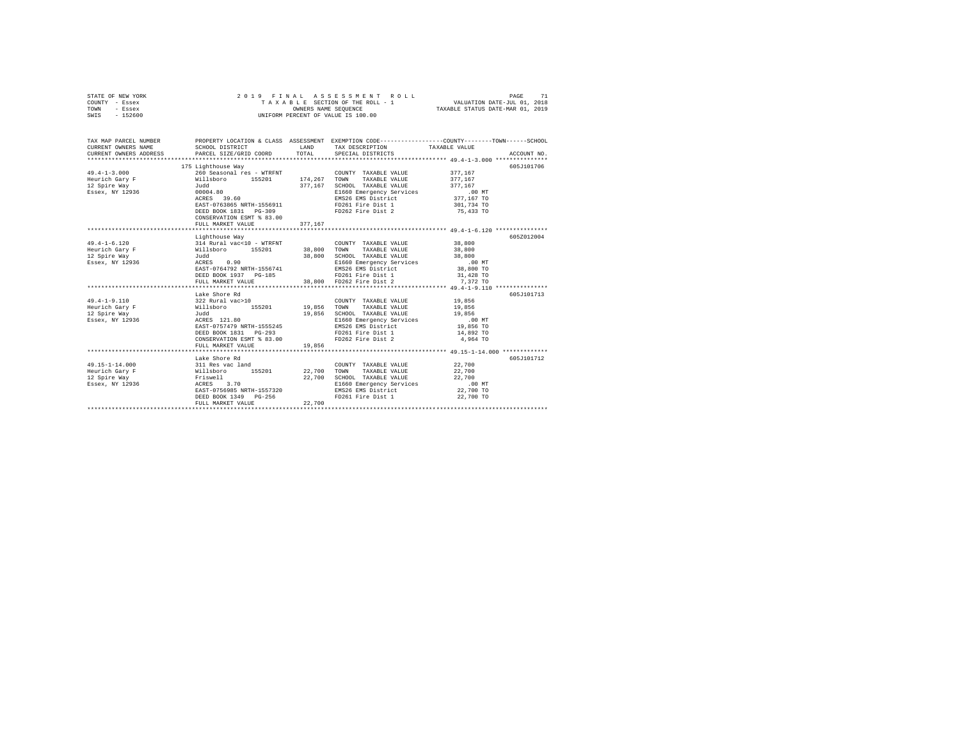| TOWN<br>- Essex                              | OWNERS NAME SEQUENCE                                           |         | TAXABLE STATUS DATE-MAR 01, 2019                                                                                   |                     |             |
|----------------------------------------------|----------------------------------------------------------------|---------|--------------------------------------------------------------------------------------------------------------------|---------------------|-------------|
| SWIS<br>$-152600$                            | UNIFORM PERCENT OF VALUE IS 100.00                             |         |                                                                                                                    |                     |             |
|                                              |                                                                |         |                                                                                                                    |                     |             |
|                                              |                                                                |         |                                                                                                                    |                     |             |
|                                              |                                                                |         |                                                                                                                    |                     |             |
| TAX MAP PARCEL NUMBER<br>CURRENT OWNERS NAME | SCHOOL DISTRICT                                                | LAND    | PROPERTY LOCATION & CLASS ASSESSMENT EXEMPTION CODE---------------COUNTY-------TOWN------SCHOOL<br>TAX DESCRIPTION | TAXABLE VALUE       |             |
| CURRENT OWNERS ADDRESS                       | PARCEL SIZE/GRID COORD TOTAL                                   |         | SPECIAL DISTRICTS                                                                                                  |                     | ACCOUNT NO. |
|                                              |                                                                |         |                                                                                                                    |                     |             |
|                                              |                                                                |         |                                                                                                                    |                     | 605J101706  |
| $49.4 - 1 - 3.000$                           | 175 Lighthouse Way                                             |         | COUNTY TAXABLE VALUE                                                                                               | 377.167             |             |
| Heurich Gary F                               | 260 Seasonal res - WTRFNT<br>Willsboro 155201 174,267          |         | TOWN<br>TAXABLE VALUE                                                                                              | 377.167             |             |
| 12 Spire Way                                 | Judd                                                           | 377,167 | SCHOOL TAXABLE VALUE                                                                                               | 377,167             |             |
| Essex, NY 12936                              | 00004.80                                                       |         |                                                                                                                    | $.00$ MT            |             |
|                                              | ACRES 39.60                                                    |         | E1660 Emergency Services<br>EMS26 EMS District                                                                     | 377,167 TO          |             |
|                                              | EAST-0763865 NRTH-1556911                                      |         | FD261 Fire Dist 1                                                                                                  | 301,734 TO          |             |
|                                              | DEED BOOK 1831 PG-309                                          |         | FD262 Fire Dist 2                                                                                                  | 75,433 TO           |             |
|                                              | CONSERVATION ESMT % 83.00                                      |         |                                                                                                                    |                     |             |
|                                              | FULL MARKET VALUE                                              | 377,167 |                                                                                                                    |                     |             |
|                                              |                                                                |         | ********************************* 49.4-1-6.120 ****************                                                    |                     |             |
|                                              |                                                                |         |                                                                                                                    |                     | 605Z012004  |
| $49.4 - 1 - 6.120$                           | ו השפט של Al Rural vac<10 - WTRFNT<br>Willsboro 155201<br>Judd |         | COUNTY TAXABLE VALUE 38,800                                                                                        |                     |             |
| Heurich Gary F                               |                                                                | 38,800  | TAXABLE VALUE<br>TOWN                                                                                              | 38,800              |             |
| 12 Spire Way                                 |                                                                | 38,800  | SCHOOL TAXABLE VALUE                                                                                               | 38,800              |             |
| Essex, NY 12936                              | Judd<br>ACRES 0.90                                             |         | E1660 Emergency Services                                                                                           |                     |             |
|                                              |                                                                |         | ACRES 0.90 E1660 Emergency Services<br>EAST-0764792 NRTH-1556741 EMS26 EMS District                                | 00 MT.<br>38,800 TO |             |
|                                              | DEED BOOK 1937 PG-185                                          |         | FD261 Fire Dist 1                                                                                                  | 31,428 TO           |             |
|                                              | FULL MARKET VALUE                                              |         | 38,800 FD262 Fire Dist 2                                                                                           | 7,372 TO            |             |
|                                              |                                                                |         |                                                                                                                    |                     |             |
|                                              | Lake Shore Rd                                                  |         |                                                                                                                    |                     | 605J101713  |
| $49.4 - 1 - 9.110$                           |                                                                |         | COUNTY TAXABLE VALUE 19,856                                                                                        |                     |             |
| Heurich Gary F                               | 322 Rural vac>10<br>Willaboro 155201 19,856 TOWN<br>Tural      |         | TAXABLE VALUE                                                                                                      | 19,856              |             |
| 12 Spire Way                                 |                                                                | 19,856  | SCHOOL TAXABLE VALUE                                                                                               | 19,856              |             |
| Essex, NY 12936                              | Judd<br>ACRES 121.80                                           |         | E1660 Emergency Services                                                                                           |                     |             |
|                                              | EAST-0757479 NRTH-1555245                                      |         | EMS26 EMS District                                                                                                 | 00 MT.<br>19,856 TO |             |
|                                              | DEED BOOK 1831 PG-293                                          |         | FD261 Fire Dist 1                                                                                                  | 14,892 TO           |             |
|                                              | CONSERVATION ESMT % 83.00                                      |         | FD262 Fire Dist 2                                                                                                  | 4,964 TO            |             |
|                                              | FULL MARKET VALUE                                              | 19,856  |                                                                                                                    |                     |             |
|                                              |                                                                |         |                                                                                                                    |                     |             |
|                                              | Lake Shore Rd                                                  |         |                                                                                                                    |                     | 605J101712  |
| $49.15 - 1 - 14.000$                         |                                                                |         | COUNTY TAXABLE VALUE                                                                                               |                     |             |
| Heurich Gary F                               |                                                                |         | TOWN<br>TAXABLE VALUE                                                                                              | 22,700<br>22,700    |             |
| 12 Spire Way                                 |                                                                | 22,700  | SCHOOL TAXABLE VALUE                                                                                               | 22,700              |             |
| Essex, NY 12936                              | Friswell<br>ACRES 3.70                                         |         |                                                                                                                    | .00 MT              |             |
|                                              | EAST-0756985 NRTH-1557320                                      |         | E1660 Emergency Services<br>EMS26 EMS District                                                                     | 22,700 TO           |             |
|                                              | DEED BOOK 1349 PG-256                                          |         | FD261 Fire Dist 1                                                                                                  | 22,700 TO           |             |
|                                              | FULL MARKET VALUE                                              | 22,700  |                                                                                                                    |                     |             |
|                                              |                                                                |         |                                                                                                                    |                     |             |

STATE OF NEW YORK 2 0 1 9 F I N A L A S S E S S M E N T R O L L PAGE 71 COUNTY - Essex T A X A B L E SECTION OF THE ROLL - 1 VALUATION DATE-JUL 01, 2018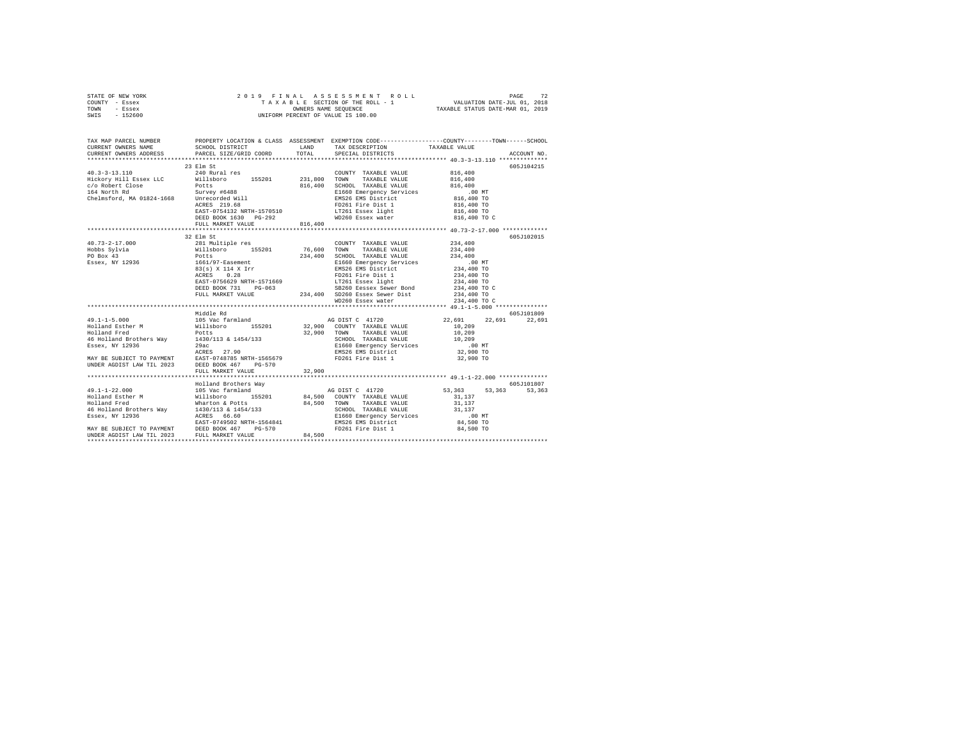| STATE OF NEW YORK | 2019 FINAL ASSESSMENT ROLL         | 72<br>PAGE                       |
|-------------------|------------------------------------|----------------------------------|
| COUNTY - Essex    | TAXABLE SECTION OF THE ROLL - 1    | VALUATION DATE-JUL 01, 2018      |
| TOWN<br>- Essex   | OWNERS NAME SEOUENCE               | TAXABLE STATUS DATE-MAR 01, 2019 |
| - 152600<br>SWIS  | UNIFORM PERCENT OF VALUE IS 100.00 |                                  |

|                                                                                                                                                                                                                                    | TAX MAP PARCEL NUMBER PROPERTY LOCATION & CLASS ASSESSMENT EXEMPTION CODE--------------COUNTY-------TOWN------SCHOOL                                                                                                                  |                   |                            |             |
|------------------------------------------------------------------------------------------------------------------------------------------------------------------------------------------------------------------------------------|---------------------------------------------------------------------------------------------------------------------------------------------------------------------------------------------------------------------------------------|-------------------|----------------------------|-------------|
|                                                                                                                                                                                                                                    |                                                                                                                                                                                                                                       |                   |                            | ACCOUNT NO. |
|                                                                                                                                                                                                                                    |                                                                                                                                                                                                                                       |                   |                            |             |
| 1990)<br>1990 - 13.110<br>1990 - 1990 - 1990 - 1990 - 1990 - 1990 - 1990 - 1990 - 1990 - 1990 - 1990 - 1990 - 1990 - 1990 - 1990 - 1990 - 1990 - 1990 - 1990 - 1990 - 1990 - 1990 - 1990 - 1990 - 1990 - 1990 - 1990 - 1990 - 1990 |                                                                                                                                                                                                                                       |                   |                            |             |
|                                                                                                                                                                                                                                    |                                                                                                                                                                                                                                       |                   |                            |             |
|                                                                                                                                                                                                                                    |                                                                                                                                                                                                                                       |                   |                            |             |
|                                                                                                                                                                                                                                    |                                                                                                                                                                                                                                       |                   |                            |             |
|                                                                                                                                                                                                                                    |                                                                                                                                                                                                                                       |                   |                            |             |
|                                                                                                                                                                                                                                    |                                                                                                                                                                                                                                       |                   |                            |             |
|                                                                                                                                                                                                                                    |                                                                                                                                                                                                                                       |                   |                            |             |
|                                                                                                                                                                                                                                    |                                                                                                                                                                                                                                       |                   |                            |             |
|                                                                                                                                                                                                                                    |                                                                                                                                                                                                                                       |                   |                            |             |
|                                                                                                                                                                                                                                    |                                                                                                                                                                                                                                       |                   |                            |             |
|                                                                                                                                                                                                                                    | 32 Elm St                                                                                                                                                                                                                             |                   |                            | 605J102015  |
|                                                                                                                                                                                                                                    |                                                                                                                                                                                                                                       |                   |                            |             |
|                                                                                                                                                                                                                                    |                                                                                                                                                                                                                                       |                   |                            |             |
|                                                                                                                                                                                                                                    |                                                                                                                                                                                                                                       |                   |                            |             |
|                                                                                                                                                                                                                                    |                                                                                                                                                                                                                                       |                   |                            |             |
|                                                                                                                                                                                                                                    |                                                                                                                                                                                                                                       |                   |                            |             |
|                                                                                                                                                                                                                                    |                                                                                                                                                                                                                                       |                   |                            |             |
|                                                                                                                                                                                                                                    |                                                                                                                                                                                                                                       |                   |                            |             |
|                                                                                                                                                                                                                                    |                                                                                                                                                                                                                                       |                   | 234,400 TO<br>234,400 TO C |             |
|                                                                                                                                                                                                                                    | POLITY 199201 199201 100001 TAXABLE VAUE 234,400<br>1661/97-Easement 234,400 SCHOOL TAXABLE VAUE 234,400<br>1661/97-Easement SCHOOL TAXABLE VAUE 234,400 TO<br>REST-OT56629 NRTH-1571669 FD261 Fire Dist 1 234,400 TO<br>REST-OT56629 |                   |                            |             |
|                                                                                                                                                                                                                                    |                                                                                                                                                                                                                                       | WD260 Essex water | 234,400 TO C               |             |
|                                                                                                                                                                                                                                    |                                                                                                                                                                                                                                       |                   |                            |             |
|                                                                                                                                                                                                                                    | Middle Rd                                                                                                                                                                                                                             |                   |                            | 605J101809  |
|                                                                                                                                                                                                                                    |                                                                                                                                                                                                                                       |                   |                            |             |
|                                                                                                                                                                                                                                    |                                                                                                                                                                                                                                       |                   |                            |             |
|                                                                                                                                                                                                                                    |                                                                                                                                                                                                                                       |                   |                            |             |
|                                                                                                                                                                                                                                    |                                                                                                                                                                                                                                       |                   |                            |             |
|                                                                                                                                                                                                                                    |                                                                                                                                                                                                                                       |                   |                            |             |
|                                                                                                                                                                                                                                    |                                                                                                                                                                                                                                       |                   |                            |             |
|                                                                                                                                                                                                                                    |                                                                                                                                                                                                                                       |                   |                            |             |
|                                                                                                                                                                                                                                    |                                                                                                                                                                                                                                       |                   |                            |             |
|                                                                                                                                                                                                                                    |                                                                                                                                                                                                                                       |                   |                            |             |
|                                                                                                                                                                                                                                    |                                                                                                                                                                                                                                       |                   |                            |             |
|                                                                                                                                                                                                                                    |                                                                                                                                                                                                                                       |                   |                            |             |
|                                                                                                                                                                                                                                    |                                                                                                                                                                                                                                       |                   |                            |             |
|                                                                                                                                                                                                                                    |                                                                                                                                                                                                                                       |                   |                            |             |
|                                                                                                                                                                                                                                    |                                                                                                                                                                                                                                       |                   |                            |             |
|                                                                                                                                                                                                                                    |                                                                                                                                                                                                                                       |                   |                            |             |
|                                                                                                                                                                                                                                    |                                                                                                                                                                                                                                       |                   |                            |             |
|                                                                                                                                                                                                                                    |                                                                                                                                                                                                                                       |                   |                            |             |
|                                                                                                                                                                                                                                    |                                                                                                                                                                                                                                       |                   |                            |             |
|                                                                                                                                                                                                                                    |                                                                                                                                                                                                                                       |                   |                            |             |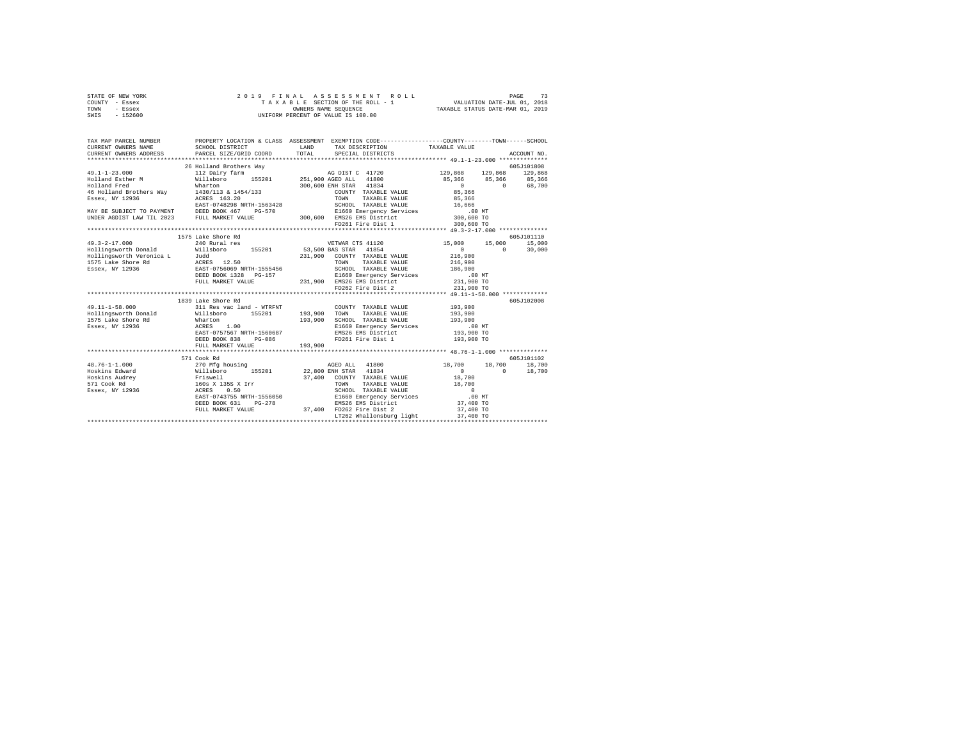| STATE OF NEW YORK | 2019 FINAL ASSESSMENT ROLL         | 73<br>PAGE                       |
|-------------------|------------------------------------|----------------------------------|
| COUNTY - Essex    | TAXABLE SECTION OF THE ROLL - 1    | VALUATION DATE-JUL 01, 2018      |
| TOWN<br>- Essex   | OWNERS NAME SEOUENCE               | TAXABLE STATUS DATE-MAR 01, 2019 |
| $-152600$<br>SWIS | UNIFORM PERCENT OF VALUE IS 100.00 |                                  |

| TAX MAP PARCEL NUMBER<br>CURRENT OWNERS NAME<br>CURRENT OWNERS ADDRESS                                                                           | SCHOOL DISTRICT<br>PARCEL SIZE/GRID COORD                                                                                                     | PROPERTY LOCATION & CLASS ASSESSMENT EXEMPTION CODE----------------COUNTY-------TOWN-----SCHOOL<br>LAND<br>TAX DESCRIPTION TAXABLE VALUE<br>SPECIAL DISTRICTS<br>TOTAL                                                                                                                                                | ACCOUNT NO.                                                                                                                   |
|--------------------------------------------------------------------------------------------------------------------------------------------------|-----------------------------------------------------------------------------------------------------------------------------------------------|-----------------------------------------------------------------------------------------------------------------------------------------------------------------------------------------------------------------------------------------------------------------------------------------------------------------------|-------------------------------------------------------------------------------------------------------------------------------|
| $49.1 - 1 - 23.000$<br>Holland Fred<br>Essex, NY 12936<br>MAY BE SUBJECT TO PAYMENT DEED BOOK 467<br>UNDER AGDIST LAW TIL 2023 FULL MARKET VALUE | 26 Holland Brothers Way<br>Wharton<br>46 Holland Brothers Way 1430/113 & 1454/133<br>ACRES 163.20<br>EAST-0748298 NRTH-1563428                | 300,600 ENH STAR 41834<br>COUNTY TAXABLE VALUE<br>$PG-570$                                                                                                                                                                                                                                                            | 605J101808<br>AG DIST C 41720 129,868 129,868 129,868<br>85,366 85,366 85,366<br>$\mathbf{0}$<br>68,700<br>$\sim$ 0<br>85,366 |
| $49.3 - 2 - 17.000$<br>Hollingsworth Donald                                                                                                      | 1575 Lake Shore Rd<br>240 Rural res                                                                                                           | VETWAR CTS 41120<br>Willsboro 155201 53,500 BAS STAR 41854<br>231,900 COUNTY TAXABLE VALUE<br>TOWN<br>TAXABLE VALUE<br>SCHOOL TAXABLE VALUE 186,900<br>DEED BOOK 1328 PG-157 21660 Emergency Services (100 MT)<br>FULL MARKET VALUE 231,900 EMS26 EMS District (231,900 TO<br>FD262 Fire Dist 2 231,900 TO 231,900 TO | 605J101110<br>15,000 15,000<br>15,000<br>$\mathbf{0}$<br>$\Omega$<br>30,000<br>216,900<br>216,900                             |
| $49.11 - 1 - 58.000$<br>Hollingsworth Donald<br>1575 Lake Shore Rd Wharton<br>Essex, NY 12936                                                    | 1839 Lake Shore Rd<br>311 Res vac land - WTRFNT<br>ACRES<br>1.00<br>EAST-0757567 NRTH-1560687<br>DEED BOOK 838<br>PG-086<br>FULL MARKET VALUE | COUNTY TAXABLE VALUE<br>Willsboro 155201 193,900 TOWN TAXABLE VALUE<br>SCHOOL TAXABLE VALUE 193,900<br>193,900<br>E1660 Emergency Services .00 MT<br>EMS26 EMS District 193,900 TO<br>FD261 Fire Dist 1 193,900 TO<br>FD261 Fire Dist 1<br>193,900                                                                    | 605J102008<br>193,900<br>193,900                                                                                              |
| $48.76 - 1 - 1.000$<br>Hoskins Edward<br>Hoskins Audrey<br>571 Cook Rd<br>Essex, NY 12936                                                        | 571 Cook Rd<br>EAST-0743755 NRTH-1556050<br>DEED BOOK 631<br>$PG-278$<br>FULL MARKET VALUE                                                    | 37,400 COUNTY TAXABLE VALUE 18,700<br>EMS26 EMS District<br>EMS26 EMS District<br>37,400 FD262 Fire Dist 2<br>LT262 Whallonsburg light                                                                                                                                                                                | 605J101102<br>18,700 18,700<br>18,700<br>$\Omega$<br>$\Omega$<br>18,700<br>37,400 TO<br>37,400 TO<br>37,400 TO                |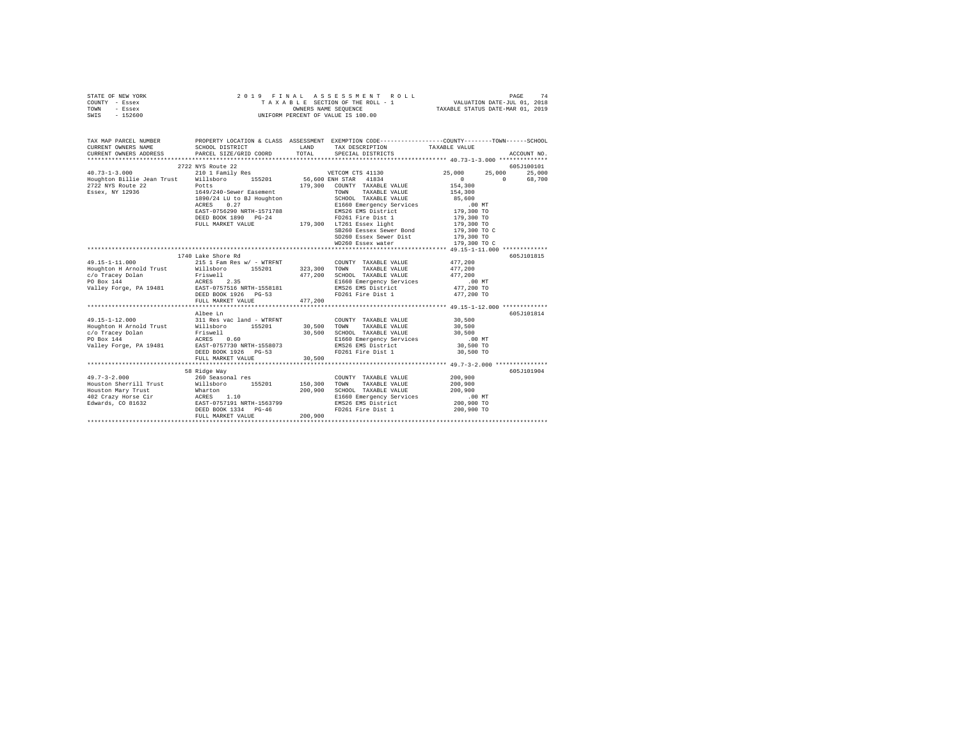| STATE OF NEW YORK | 2019 FINAL ASSESSMENT ROLL         | 74<br>PAGE                       |
|-------------------|------------------------------------|----------------------------------|
| COUNTY - Essex    | TAXABLE SECTION OF THE ROLL - 1    | VALUATION DATE-JUL 01, 2018      |
| TOWN<br>- Essex   | OWNERS NAME SEOUENCE               | TAXABLE STATUS DATE-MAR 01, 2019 |
| - 152600<br>SWIS  | UNIFORM PERCENT OF VALUE IS 100.00 |                                  |

| TAX MAP PARCEL NUMBER<br>CURRENT OWNERS NAME<br>CURRENT OWNERS ADDRESS PARCEL SIZE/GRID COORD TOTAL SPECIAL DISTRICTS<br>.<br>CURRENT OWNERS ADDRESS PARCEL SIZE/GRID COORD TOTAL SPECIAL DISTRICTS (2017) ACCOUNT NO                |                                                                                                                                                                                                                                          |         | LAND TAX DESCRIPTION TAXABLE VALUE          | PROPERTY LOCATION & CLASS ASSESSMENT EXEMPTION CODE--------------COUNTY--------TOWN------SCHOOL<br>SCHOOL DISTRICT LAND TAX DESCRIPTION TAXABLE VALUE |             |
|--------------------------------------------------------------------------------------------------------------------------------------------------------------------------------------------------------------------------------------|------------------------------------------------------------------------------------------------------------------------------------------------------------------------------------------------------------------------------------------|---------|---------------------------------------------|-------------------------------------------------------------------------------------------------------------------------------------------------------|-------------|
|                                                                                                                                                                                                                                      |                                                                                                                                                                                                                                          |         |                                             |                                                                                                                                                       |             |
|                                                                                                                                                                                                                                      | 2722 NYS Route 22                                                                                                                                                                                                                        |         |                                             |                                                                                                                                                       | 605J100101  |
| $40.73 - 1 - 3.000$                                                                                                                                                                                                                  | 210 1 Family Res                                                                                                                                                                                                                         |         | VETCOM CTS 41130                            | 25,000 25,000 25,000                                                                                                                                  |             |
| 40.13-1-3.000 Millsboro 1.000 Millsboro 155201 56,600 ENH STAR 41834<br>2009 Hought Millsboro 155201 56,600 ENH STAR 41834<br>2022 NYS Route 22 Potts 179,300 COUNTY TAXABLE VALUE                                                   |                                                                                                                                                                                                                                          |         |                                             | 0 68,700<br>$\begin{array}{c}0\\154,300\end{array}$                                                                                                   |             |
| 2722 NYS Route 22 Potts<br>Essex, NY 12936 1649/240-Sewer Easement                                                                                                                                                                   |                                                                                                                                                                                                                                          |         |                                             |                                                                                                                                                       |             |
|                                                                                                                                                                                                                                      |                                                                                                                                                                                                                                          |         |                                             |                                                                                                                                                       |             |
|                                                                                                                                                                                                                                      |                                                                                                                                                                                                                                          |         |                                             |                                                                                                                                                       |             |
|                                                                                                                                                                                                                                      | 1997 1649/240-Sewer Easement 179,300 CONTT TAXABLE VALUE 1997<br>1649/240-Sewer Easement TOWN TAXABLE VALUE 154,300<br>1890/24 LU to BJ Houghton SCROSO TAXABLE VALUE 179,300 TO<br>2008 227<br>2008 2008 1640 2009 PG-24<br>2008 2008 1 |         |                                             |                                                                                                                                                       |             |
|                                                                                                                                                                                                                                      |                                                                                                                                                                                                                                          |         |                                             |                                                                                                                                                       |             |
|                                                                                                                                                                                                                                      |                                                                                                                                                                                                                                          |         |                                             |                                                                                                                                                       |             |
|                                                                                                                                                                                                                                      |                                                                                                                                                                                                                                          |         |                                             |                                                                                                                                                       |             |
|                                                                                                                                                                                                                                      |                                                                                                                                                                                                                                          |         | SB260 Eessex Sewer Bond 179,300 TO C        |                                                                                                                                                       |             |
|                                                                                                                                                                                                                                      |                                                                                                                                                                                                                                          |         |                                             | 179,300 TO<br>179,300 TO C                                                                                                                            |             |
|                                                                                                                                                                                                                                      |                                                                                                                                                                                                                                          |         | SD260 Essex Sewer Dist<br>WD260 Essex water |                                                                                                                                                       |             |
|                                                                                                                                                                                                                                      |                                                                                                                                                                                                                                          |         |                                             |                                                                                                                                                       |             |
|                                                                                                                                                                                                                                      | 1740 Lake Shore Rd                                                                                                                                                                                                                       |         |                                             |                                                                                                                                                       | 605J101815  |
|                                                                                                                                                                                                                                      |                                                                                                                                                                                                                                          |         |                                             |                                                                                                                                                       |             |
|                                                                                                                                                                                                                                      |                                                                                                                                                                                                                                          |         |                                             |                                                                                                                                                       |             |
|                                                                                                                                                                                                                                      |                                                                                                                                                                                                                                          |         |                                             |                                                                                                                                                       |             |
|                                                                                                                                                                                                                                      |                                                                                                                                                                                                                                          |         |                                             |                                                                                                                                                       |             |
|                                                                                                                                                                                                                                      |                                                                                                                                                                                                                                          |         |                                             |                                                                                                                                                       |             |
|                                                                                                                                                                                                                                      |                                                                                                                                                                                                                                          |         |                                             |                                                                                                                                                       |             |
|                                                                                                                                                                                                                                      |                                                                                                                                                                                                                                          |         |                                             |                                                                                                                                                       |             |
|                                                                                                                                                                                                                                      |                                                                                                                                                                                                                                          |         |                                             |                                                                                                                                                       |             |
|                                                                                                                                                                                                                                      | Albee Ln                                                                                                                                                                                                                                 |         |                                             |                                                                                                                                                       | 605-7101814 |
| $49.15 - 1 - 12.000$                                                                                                                                                                                                                 | 311 Res vac land - WTRFNT                                                                                                                                                                                                                |         | COUNTY TAXABLE VALUE 30.500                 |                                                                                                                                                       |             |
|                                                                                                                                                                                                                                      |                                                                                                                                                                                                                                          |         |                                             |                                                                                                                                                       |             |
|                                                                                                                                                                                                                                      |                                                                                                                                                                                                                                          |         |                                             |                                                                                                                                                       |             |
|                                                                                                                                                                                                                                      |                                                                                                                                                                                                                                          |         |                                             |                                                                                                                                                       |             |
| 1991 - 1991 - 1992 - 1994 - 1994 - 1994 - 1994 - 1994 - 1994 - 1994 - 1994 - 1994 - 1994 - 1994 - 1994 - 1994<br>1994 - 1994 - 1994 - 1994 - 1994 - 1994 - 1994 - 1994 - 1994 - 1994 - 1994 - 1994 - 1994 - 1994 - 1994 - 1994<br>19 |                                                                                                                                                                                                                                          |         |                                             |                                                                                                                                                       |             |
|                                                                                                                                                                                                                                      | DEED BOOK 1926 PG-53                                                                                                                                                                                                                     |         | FD261 Fire Dist 1                           | 30,500 TO                                                                                                                                             |             |
|                                                                                                                                                                                                                                      | FULL MARKET VALUE 30.500                                                                                                                                                                                                                 |         |                                             |                                                                                                                                                       |             |
|                                                                                                                                                                                                                                      |                                                                                                                                                                                                                                          |         |                                             |                                                                                                                                                       |             |
|                                                                                                                                                                                                                                      | 58 Ridge Way                                                                                                                                                                                                                             |         |                                             |                                                                                                                                                       | 605J101904  |
| 49.7-3-2.000 260 Seasonal res                                                                                                                                                                                                        |                                                                                                                                                                                                                                          |         | COUNTY TAXABLE VALUE 200,900                |                                                                                                                                                       |             |
|                                                                                                                                                                                                                                      |                                                                                                                                                                                                                                          |         |                                             |                                                                                                                                                       |             |
| 1991. - 1992. 2007. 2007. 2007. 2008. 2009. 2009. 2009. 2009. 2009. 2009. 2009. 2009. 2009. 2009. 2009. 2009. 2009. 2009. 2009. 2009. 2009. 2009. 2009. 2009. 2009. 2009. 2009. 2009. 2009. 2009. 2009. 2009. 2009. 2009. 2009       |                                                                                                                                                                                                                                          |         |                                             |                                                                                                                                                       |             |
|                                                                                                                                                                                                                                      |                                                                                                                                                                                                                                          |         |                                             |                                                                                                                                                       |             |
|                                                                                                                                                                                                                                      |                                                                                                                                                                                                                                          |         |                                             |                                                                                                                                                       |             |
|                                                                                                                                                                                                                                      | FULL MARKET VALUE                                                                                                                                                                                                                        | 200,900 |                                             |                                                                                                                                                       |             |
|                                                                                                                                                                                                                                      |                                                                                                                                                                                                                                          |         |                                             |                                                                                                                                                       |             |
|                                                                                                                                                                                                                                      |                                                                                                                                                                                                                                          |         |                                             |                                                                                                                                                       |             |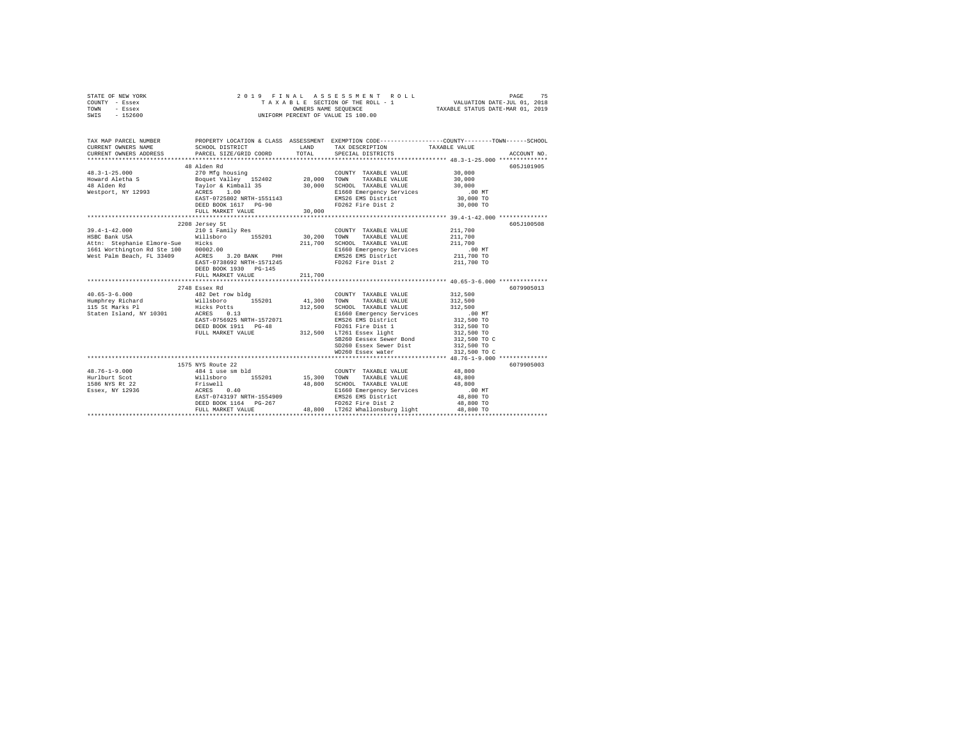|      | STATE OF NEW YORK |  |  | 2019 FINAL ASSESSMENT ROLL         | PAGE                             | 75 |
|------|-------------------|--|--|------------------------------------|----------------------------------|----|
|      | COUNTY - Essex    |  |  | TAXABLE SECTION OF THE ROLL - 1    | VALUATION DATE-JUL 01, 2018      |    |
| TOWN | - Essex           |  |  | OWNERS NAME SEOUENCE               | TAXABLE STATUS DATE-MAR 01, 2019 |    |
| SWIS | $-152600$         |  |  | UNIFORM PERCENT OF VALUE IS 100.00 |                                  |    |

| TAX MAP PARCEL NUMBER<br>CURRENT OWNERS NAME<br>CURRENT OWNERS ADDRESS PARCEL SIZE/GRID COORD                                                 | SCHOOL DISTRICT                                                                                                                    | LAND<br>TOTAL      | TAX DESCRIPTION TAXABLE VALUE<br>SPECIAL DISTRICTS                                                                                                                                                                                                                 | PROPERTY LOCATION & CLASS ASSESSMENT EXEMPTION CODE---------------COUNTY-------TOWN------SCHOOL |
|-----------------------------------------------------------------------------------------------------------------------------------------------|------------------------------------------------------------------------------------------------------------------------------------|--------------------|--------------------------------------------------------------------------------------------------------------------------------------------------------------------------------------------------------------------------------------------------------------------|-------------------------------------------------------------------------------------------------|
|                                                                                                                                               | DEED BOOK 1617 PG-90<br>FULL MARKET VALUE                                                                                          | 30,000             | FD262 Fire Dist 2 30,000 TO                                                                                                                                                                                                                                        | 605J101905                                                                                      |
| $39.4 - 1 - 42.000$<br>HSBC Bank USA<br>Attn: Stephanie Elmore-Sue Hicks<br>1661 Worthington Rd Ste 100 00002.00<br>West Palm Beach, FL 33409 | 2208 Jersey St<br>210 1 Family Res<br>$3.20$ BANK PHH<br>738692 NPTH-153301<br>ACRES<br>DEED BOOK 1930 PG-145<br>FULL MARKET VALUE | 211,700<br>211,700 | COUNTY TAXABLE VALUE<br>SCHOOL TAXABLE VALUE 211,700<br>E1660 Emergency Services .00 MT<br>EMS26 EMS District 211,700 TO<br>EAST-0738692 NRTH-1571245 FD262 Fire Dist 2 211,700 TO                                                                                 | 605J100508<br>211,700<br>211,700                                                                |
|                                                                                                                                               | 2748 Essex Rd<br>DEED BOOK 1911 PG-48                                                                                              |                    | SCHOOL TAXABLE VALUE 312,500<br>E1660 Emergency Services .00 MT<br>EMS26 EMS District 312,500 TO<br>FD261 Fire Dist 1 312,500 TO<br>FULL MARKET VALUE<br>FULL MARKET VALUE 700 312,500 LT261 Essex light<br>SD260 Essex Sewer Dist 312,500 TO<br>WD260 Essex water | 6079905013<br>312,500<br>312,500<br>312,500 TO<br>312,500 TO C<br>312,500 TO C                  |
| Essex, NY 12936 ACRES                                                                                                                         | 1575 NYS Route 22<br>0.40<br>EAST-0743197 NRTH-1554909<br>DEED BOOK 1164 PG-267<br>FULL MARKET VALUE                               |                    | E1660 Emergency Services .00 MT<br>EMS26 EMS District 48,800 TO<br>FD262 Fire Dist 2 48,800 TO<br>48.800 LT262 Whallonsburg light                                                                                                                                  | 6079905003<br>48,800 TO<br>48,800 TO                                                            |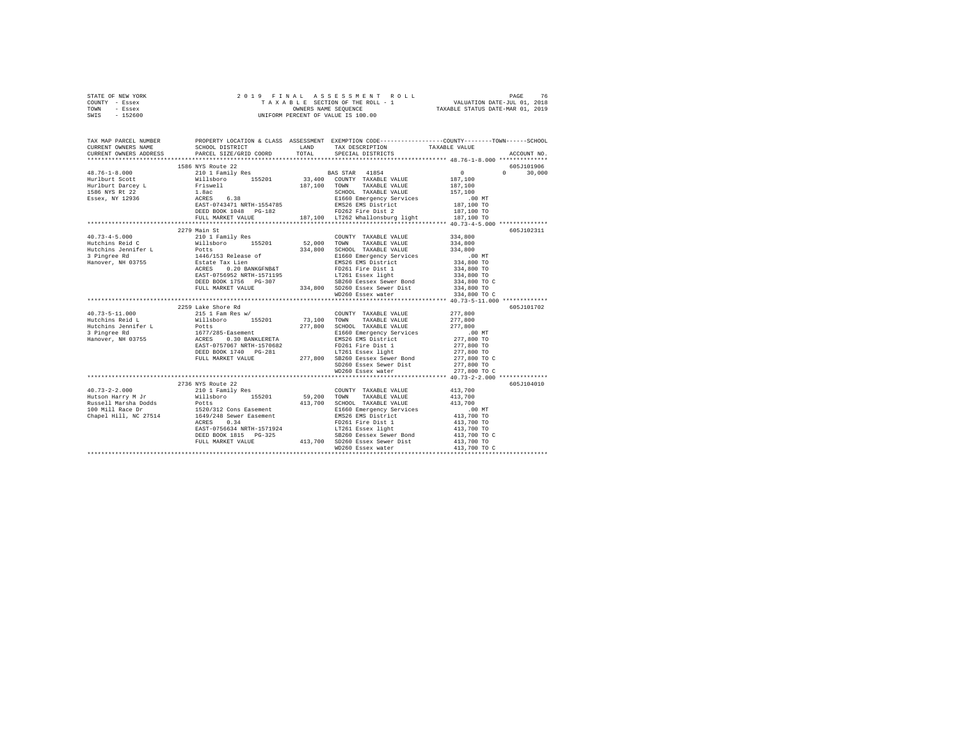| STATE OF NEW YORK                                                                                                                                                                                                                                                                                                                                                                                                                                                                       |                    |  |                                                                                         |                                 |               |  |
|-----------------------------------------------------------------------------------------------------------------------------------------------------------------------------------------------------------------------------------------------------------------------------------------------------------------------------------------------------------------------------------------------------------------------------------------------------------------------------------------|--------------------|--|-----------------------------------------------------------------------------------------|---------------------------------|---------------|--|
| COUNTY - Essex                                                                                                                                                                                                                                                                                                                                                                                                                                                                          |                    |  |                                                                                         |                                 |               |  |
| TOWN - Essex                                                                                                                                                                                                                                                                                                                                                                                                                                                                            |                    |  |                                                                                         |                                 |               |  |
| SWIS - 152600                                                                                                                                                                                                                                                                                                                                                                                                                                                                           |                    |  |                                                                                         |                                 |               |  |
|                                                                                                                                                                                                                                                                                                                                                                                                                                                                                         |                    |  |                                                                                         |                                 |               |  |
| TAX MAP PARCEL NUMBER PROPERTY LOCATION & CLASS ASSESSMENT EXEMPTION CODE--------------COUNTY-------TOWN-----SCHOOL                                                                                                                                                                                                                                                                                                                                                                     |                    |  |                                                                                         |                                 |               |  |
|                                                                                                                                                                                                                                                                                                                                                                                                                                                                                         |                    |  |                                                                                         |                                 |               |  |
|                                                                                                                                                                                                                                                                                                                                                                                                                                                                                         |                    |  |                                                                                         |                                 | ACCOUNT NO.   |  |
|                                                                                                                                                                                                                                                                                                                                                                                                                                                                                         |                    |  |                                                                                         |                                 |               |  |
|                                                                                                                                                                                                                                                                                                                                                                                                                                                                                         | 1586 NYS Route 22  |  |                                                                                         |                                 | 605J101906    |  |
| $48.76 - 1 - 8.000$                                                                                                                                                                                                                                                                                                                                                                                                                                                                     |                    |  |                                                                                         |                                 | $0 \t 30,000$ |  |
| Hurlburt Scott                                                                                                                                                                                                                                                                                                                                                                                                                                                                          |                    |  |                                                                                         |                                 |               |  |
|                                                                                                                                                                                                                                                                                                                                                                                                                                                                                         |                    |  |                                                                                         |                                 |               |  |
| Hurlburt Scott<br>Hurlburt Darcey L<br>1586 NYS Rt 22<br>Essex, NY 12936                                                                                                                                                                                                                                                                                                                                                                                                                |                    |  |                                                                                         |                                 |               |  |
|                                                                                                                                                                                                                                                                                                                                                                                                                                                                                         |                    |  |                                                                                         |                                 |               |  |
|                                                                                                                                                                                                                                                                                                                                                                                                                                                                                         |                    |  |                                                                                         |                                 |               |  |
|                                                                                                                                                                                                                                                                                                                                                                                                                                                                                         |                    |  |                                                                                         |                                 |               |  |
|                                                                                                                                                                                                                                                                                                                                                                                                                                                                                         |                    |  |                                                                                         |                                 |               |  |
|                                                                                                                                                                                                                                                                                                                                                                                                                                                                                         |                    |  |                                                                                         |                                 |               |  |
|                                                                                                                                                                                                                                                                                                                                                                                                                                                                                         | 2279 Main St       |  |                                                                                         |                                 | 605J102311    |  |
|                                                                                                                                                                                                                                                                                                                                                                                                                                                                                         |                    |  | COUNTY TAXABLE VALUE 334,800                                                            |                                 |               |  |
|                                                                                                                                                                                                                                                                                                                                                                                                                                                                                         |                    |  |                                                                                         | 334,800                         |               |  |
|                                                                                                                                                                                                                                                                                                                                                                                                                                                                                         |                    |  |                                                                                         |                                 |               |  |
|                                                                                                                                                                                                                                                                                                                                                                                                                                                                                         |                    |  |                                                                                         | 334,800<br>.00 MT<br>334,800 TO |               |  |
|                                                                                                                                                                                                                                                                                                                                                                                                                                                                                         |                    |  |                                                                                         |                                 |               |  |
|                                                                                                                                                                                                                                                                                                                                                                                                                                                                                         |                    |  |                                                                                         | 334,800 TO                      |               |  |
|                                                                                                                                                                                                                                                                                                                                                                                                                                                                                         |                    |  |                                                                                         | 334,800 TO<br>334,800 TO C      |               |  |
|                                                                                                                                                                                                                                                                                                                                                                                                                                                                                         |                    |  |                                                                                         |                                 |               |  |
|                                                                                                                                                                                                                                                                                                                                                                                                                                                                                         |                    |  |                                                                                         | 334,800 TO                      |               |  |
|                                                                                                                                                                                                                                                                                                                                                                                                                                                                                         |                    |  |                                                                                         | 334,800 TO C                    |               |  |
|                                                                                                                                                                                                                                                                                                                                                                                                                                                                                         |                    |  |                                                                                         |                                 |               |  |
|                                                                                                                                                                                                                                                                                                                                                                                                                                                                                         | 2259 Lake Shore Rd |  |                                                                                         |                                 | 605J101702    |  |
| 40.73-5-11.000<br>Hutchins Reid L                                                                                                                                                                                                                                                                                                                                                                                                                                                       | 215 1 Fam Res w/   |  | $\texttt{COUNTY} \quad \texttt{TXABLE} \quad \texttt{VALUE} \qquad \qquad 277 \, , 800$ |                                 |               |  |
|                                                                                                                                                                                                                                                                                                                                                                                                                                                                                         |                    |  |                                                                                         |                                 |               |  |
|                                                                                                                                                                                                                                                                                                                                                                                                                                                                                         |                    |  |                                                                                         |                                 |               |  |
|                                                                                                                                                                                                                                                                                                                                                                                                                                                                                         |                    |  |                                                                                         |                                 |               |  |
|                                                                                                                                                                                                                                                                                                                                                                                                                                                                                         |                    |  |                                                                                         |                                 |               |  |
|                                                                                                                                                                                                                                                                                                                                                                                                                                                                                         |                    |  |                                                                                         |                                 |               |  |
|                                                                                                                                                                                                                                                                                                                                                                                                                                                                                         |                    |  |                                                                                         | 277,800 TO C                    |               |  |
| $\begin{tabular}{l c c c c c} \multicolumn{4}{c}{40.73-5-11.000} & \multicolumn{4}{c}{217,800} & \multicolumn{4}{c}{217,800} & \multicolumn{4}{c}{\multicolumn{4}{c}{\hline \multicolumn{4}{c}{\hline \multicolumn{4}{c}{\hline \multicolumn{4}{c}{\hline \multicolumn{4}{c}{\hline \multicolumn{4}{c}{\hline \multicolumn{4}{c}{\hline \multicolumn{4}{c}{\hline \multicolumn{4}{c}{\hline \multicolumn{4}{c}{\hline \multicolumn{4}{c}{\hline$                                        |                    |  |                                                                                         |                                 |               |  |
|                                                                                                                                                                                                                                                                                                                                                                                                                                                                                         |                    |  | SD260 Essex Sewer Dist<br>WD260 Essex water                                             | 277,800 TO C                    |               |  |
|                                                                                                                                                                                                                                                                                                                                                                                                                                                                                         |                    |  |                                                                                         |                                 |               |  |
|                                                                                                                                                                                                                                                                                                                                                                                                                                                                                         | 2736 NYS Route 22  |  |                                                                                         |                                 | 605J104010    |  |
|                                                                                                                                                                                                                                                                                                                                                                                                                                                                                         |                    |  |                                                                                         | 413,700                         |               |  |
| $\texttt{40.73-2-2.000}\begin{minipage}{0.73\textwidth} \begin{minipage}{0.73\textwidth} \begin{minipage}{0.73\textwidth} \begin{minipage}{0.73\textwidth} \begin{minipage}{0.73\textwidth} \begin{minipage}{0.73\textwidth} \begin{minipage}{0.73\textwidth} \begin{minipage}{0.73\textwidth} \begin{minipage}{0.73\textwidth} \begin{minipage}{0.73\textwidth} \begin{minipage}{0.73\textwidth} \begin{minipage}{0.73\textwidth} \begin{minipage}{0.73\textwidth} \begin{minipage}{0$ |                    |  |                                                                                         | 413,700                         |               |  |
|                                                                                                                                                                                                                                                                                                                                                                                                                                                                                         |                    |  |                                                                                         |                                 |               |  |
|                                                                                                                                                                                                                                                                                                                                                                                                                                                                                         |                    |  |                                                                                         |                                 |               |  |
|                                                                                                                                                                                                                                                                                                                                                                                                                                                                                         |                    |  |                                                                                         |                                 |               |  |
|                                                                                                                                                                                                                                                                                                                                                                                                                                                                                         |                    |  |                                                                                         |                                 |               |  |
|                                                                                                                                                                                                                                                                                                                                                                                                                                                                                         |                    |  |                                                                                         |                                 |               |  |
|                                                                                                                                                                                                                                                                                                                                                                                                                                                                                         |                    |  |                                                                                         |                                 |               |  |
|                                                                                                                                                                                                                                                                                                                                                                                                                                                                                         |                    |  |                                                                                         |                                 |               |  |
|                                                                                                                                                                                                                                                                                                                                                                                                                                                                                         |                    |  | WD260 Essex water                                                                       | 413,700 TO C                    |               |  |
|                                                                                                                                                                                                                                                                                                                                                                                                                                                                                         |                    |  |                                                                                         |                                 |               |  |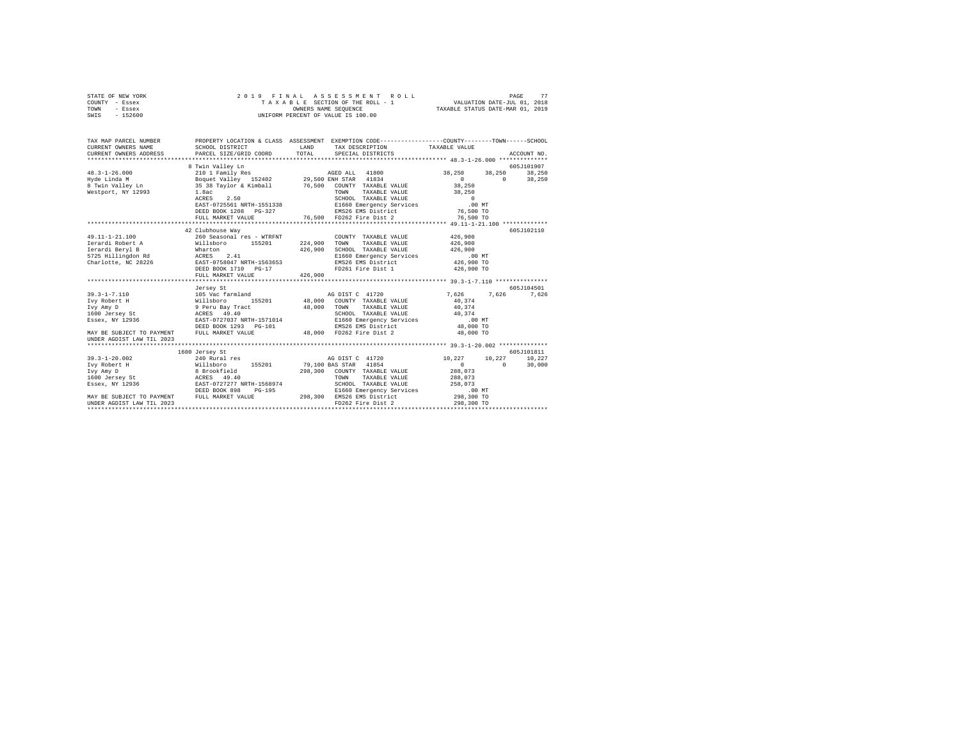| STATE OF NEW YORK<br>COUNTY - Essex<br>TOWN<br>- Essex<br>$-152600$<br>SWIS                                                | 2019 FINAL                                                                                                                                                                                                                                                                                                                                                                                                                                                                                                                                | ASSESSMENT<br>ROLL<br>TAXABLE SECTION OF THE ROLL - 1<br>TAXABLE SECTION OF THE ROLL - 1<br>UNIFORM PERCENT OF VALUE IS 100.00                                                                                                                                                                                                                                                                          | PAGE<br>77<br>VALUATION DATE-JUL 01, 2018<br>TAXABLE STATUS DATE-MAR 01, 2019                                                                                                      |
|----------------------------------------------------------------------------------------------------------------------------|-------------------------------------------------------------------------------------------------------------------------------------------------------------------------------------------------------------------------------------------------------------------------------------------------------------------------------------------------------------------------------------------------------------------------------------------------------------------------------------------------------------------------------------------|---------------------------------------------------------------------------------------------------------------------------------------------------------------------------------------------------------------------------------------------------------------------------------------------------------------------------------------------------------------------------------------------------------|------------------------------------------------------------------------------------------------------------------------------------------------------------------------------------|
| TAX MAP PARCEL NUMBER<br>CURRENT OWNERS NAME<br>CURRENT OWNERS ADDRESS<br>***************************                      | SCHOOL DISTRICT<br>PARCEL SIZE/GRID COORD                                                                                                                                                                                                                                                                                                                                                                                                                                                                                                 | PROPERTY LOCATION & CLASS ASSESSMENT EXEMPTION CODE---------------COUNTY-------TOWN------SCHOOL<br><b>EXAMPLE AND STATE OF A STATE OF A STATE OF A STATE OF A STATE OF A STATE OF A STATE OF A STATE OF A STATE OF A</b><br>TAX DESCRIPTION<br>TOTAL<br>SPECIAL DISTRICTS                                                                                                                               | TAXABLE VALUE<br>ACCOUNT NO.                                                                                                                                                       |
| $48.3 - 1 - 26.000$<br>Hyde Linda M<br>8 Twin Valley Ln<br>Westport, NY 12993                                              | 8 Twin Valley Ln<br>1.8ac<br>ACRES 2.50<br>FULL MARKET VALUE                                                                                                                                                                                                                                                                                                                                                                                                                                                                              | s TWIN WALLEY LA<br>Boquet Valley 152402 - 29,500 ENR STAR 41834<br>35 38 Taylor & Kimball - 76,500 COUNTY TAXABLE VALUE<br>TAXABLE VALUE<br>TOWN<br>SCHOOL TAXABLE VALUE<br>EAST-0725561 NRTH-1551338 E1660 Emergency Services<br>DEED BOOK 1208 PG-327 EMS26 EMS District<br>76,500 FD262 Fire Dist 2                                                                                                 | 605J101907<br>38,250 38,250 38,250<br>$0 \t 38,250$<br>$\sim$ 0<br>38,250<br>38,250<br>$\sim$ 0<br>.00 MT<br>76,500 TO<br>76,500 TO                                                |
|                                                                                                                            |                                                                                                                                                                                                                                                                                                                                                                                                                                                                                                                                           |                                                                                                                                                                                                                                                                                                                                                                                                         |                                                                                                                                                                                    |
| 49.11-1-21.100<br>Ierardi Robert A<br><sup>Terardi</sup> Bervl B<br>MAY BE SUBJECT TO PAYMENT<br>UNDER AGDIST LAW TIL 2023 | 42 Clubhouse Way<br>260 Seasonal res - WTRFNT<br>$\begin{tabular}{lllllllll} \texttt{Ierardil Robert A} & \texttt{Willabor} & 155201 \\ \texttt{Ierardil Beryl B} & \texttt{Wharton} & 15201 \\ \texttt{5725 Hillingdon Rd} & \texttt{Wharton} & 2.41 \\ \texttt{Charlotte, NC 28226} & \texttt{ESST-0758047 NRTH-1563653} \\ \texttt{PSED BONG7 NRTH-1563653} & \texttt{DSED BONG7 NRTH-1563653} \\ \end{tabular}$<br>FULL MARKET VALUE<br>Jersey St<br>ESSEX, NY 12936<br>ESSEX, NY 12936<br>DEED BOOK 1293 PG-101<br>FULL MARKET VALUE | COUNTY TAXABLE VALUE<br>224,900<br>TOWN<br>TAXABLE VALUE<br>426,900<br>SCHOOL TAXABLE VALUE<br>E1660 Emergency Services 6.00 MT<br>EMS26 EMS District 426,900 TO<br>FD261 Fire Dist 1 426,900 TO<br>426,900<br>AG DIST C 41720<br>155201 48,000 COUNTY TAXABLE VALUE<br>48,000 TOWN TAXABLE VALUE<br>SCHOOL TAXABLE VALUE<br>E1660 Emergency Services<br>EMS26 EMS District<br>48.000 FD262 Fire Dist 2 | 605J102110<br>426,900<br>426,900<br>426,900<br>605J104501<br>7.626 7.626 7.626<br>40,374<br>40,374<br>40,374<br>$.00$ MT<br>48,000 TO<br>48,000 TO                                 |
| $39.3 - 1 - 20.002$<br>Ivy Robert H<br>Ivy Amy D<br>1600 Jersey St<br>Essex, NY 12936                                      | 1600 Jersey St<br>240 Rural res<br>Willshoro<br>8 Brookfield<br>240 Rural res<br>8 Brookfield<br>202277 NETH-1568974<br>DEED BOOK 898 PG-195                                                                                                                                                                                                                                                                                                                                                                                              | AG DIST C 41720<br>79,100 BAS STAR 41854<br>298,300 COUNTY TAXABLE VALUE<br>TOWN<br>TAXABLE VALUE<br>SCHOOL TAXABLE VALUE<br>E1660 Emergency Services<br>MAY BE SUBJECT TO PAYMENT<br>UNDER AGDIST LAW TIL 2023<br>UNDER AGDIST LAW TIL 2023<br>FULL MARKET VALUE<br>FOZ62 Fire Dist 2                                                                                                                  | 605J101811<br>$10\,,227 \qquad \quad 10\,,227 \qquad \quad 10\,,227$<br>$\sim$ 0 $\sim$<br>$\sim$ 0<br>30,000<br>288,073<br>288,073<br>258,073<br>00MT<br>298,300 TO<br>298,300 TO |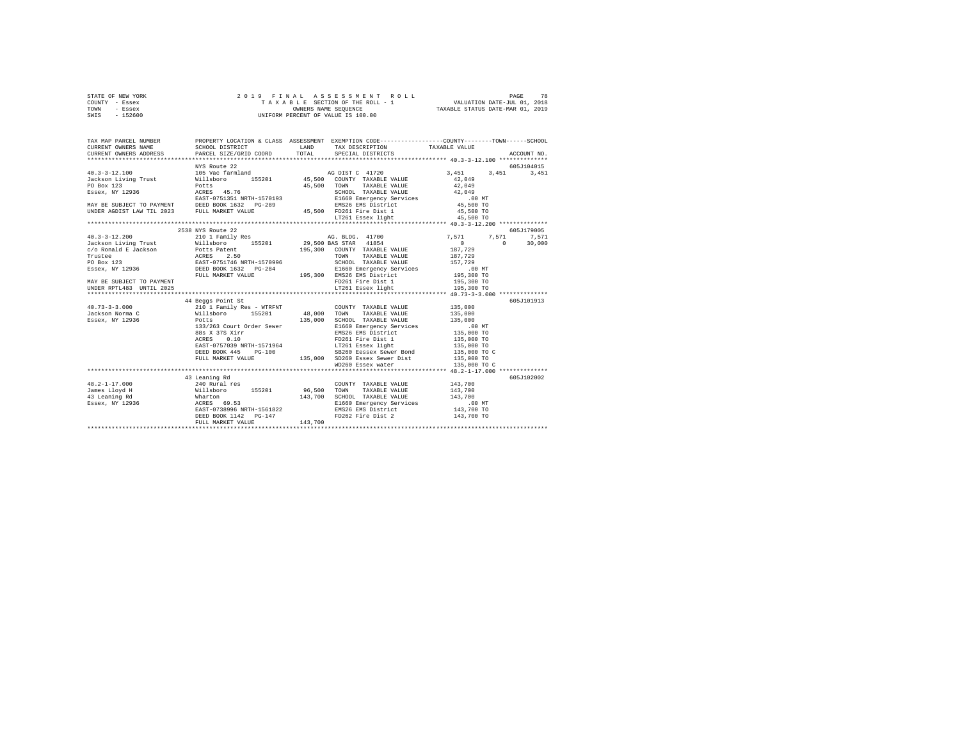|      | STATE OF NEW YORK |  | 2019 FINAL ASSESSMENT ROLL         |                                  | PAGE | 78 |
|------|-------------------|--|------------------------------------|----------------------------------|------|----|
|      | COUNTY - Essex    |  | TAXABLE SECTION OF THE ROLL - 1    | VALUATION DATE-JUL 01, 2018      |      |    |
| TOWN | - Essex           |  | OWNERS NAME SEOUENCE               | TAXABLE STATUS DATE-MAR 01, 2019 |      |    |
| SWIS | - 152600          |  | UNIFORM PERCENT OF VALUE IS 100.00 |                                  |      |    |

| TAX MAP PARCEL NUMBER                                                                                                                                                                                                                         | PROPERTY LOCATION & CLASS ASSESSMENT EXEMPTION CODE----------------COUNTY-------TOWN------SCHOOL |         |                                                                                                                                                                                                                                         |                   |             |
|-----------------------------------------------------------------------------------------------------------------------------------------------------------------------------------------------------------------------------------------------|--------------------------------------------------------------------------------------------------|---------|-----------------------------------------------------------------------------------------------------------------------------------------------------------------------------------------------------------------------------------------|-------------------|-------------|
|                                                                                                                                                                                                                                               |                                                                                                  |         |                                                                                                                                                                                                                                         |                   |             |
|                                                                                                                                                                                                                                               |                                                                                                  |         |                                                                                                                                                                                                                                         |                   |             |
|                                                                                                                                                                                                                                               |                                                                                                  |         |                                                                                                                                                                                                                                         |                   |             |
|                                                                                                                                                                                                                                               | NYS Route 22                                                                                     |         |                                                                                                                                                                                                                                         |                   | 605J104015  |
|                                                                                                                                                                                                                                               |                                                                                                  |         |                                                                                                                                                                                                                                         |                   |             |
|                                                                                                                                                                                                                                               |                                                                                                  |         |                                                                                                                                                                                                                                         |                   |             |
|                                                                                                                                                                                                                                               |                                                                                                  |         |                                                                                                                                                                                                                                         |                   |             |
|                                                                                                                                                                                                                                               |                                                                                                  |         |                                                                                                                                                                                                                                         |                   |             |
|                                                                                                                                                                                                                                               |                                                                                                  |         |                                                                                                                                                                                                                                         |                   |             |
|                                                                                                                                                                                                                                               |                                                                                                  |         |                                                                                                                                                                                                                                         |                   |             |
|                                                                                                                                                                                                                                               |                                                                                                  |         | 45,500 FD261 Fire Dist 1 45,500 TO<br>LT261 Essex light 45,500 TO                                                                                                                                                                       |                   |             |
|                                                                                                                                                                                                                                               |                                                                                                  |         |                                                                                                                                                                                                                                         |                   |             |
|                                                                                                                                                                                                                                               |                                                                                                  |         |                                                                                                                                                                                                                                         |                   |             |
|                                                                                                                                                                                                                                               | 2538 NYS Route 22                                                                                |         |                                                                                                                                                                                                                                         |                   | 605J179005  |
|                                                                                                                                                                                                                                               |                                                                                                  |         |                                                                                                                                                                                                                                         | 7,571<br>$\Omega$ | 7,571 7,571 |
|                                                                                                                                                                                                                                               |                                                                                                  |         |                                                                                                                                                                                                                                         | $\sim$ 0 $\sim$   | 30,000      |
|                                                                                                                                                                                                                                               |                                                                                                  |         |                                                                                                                                                                                                                                         |                   |             |
|                                                                                                                                                                                                                                               |                                                                                                  |         |                                                                                                                                                                                                                                         |                   |             |
| CONDITIONAL PROPERTY AND THE CONTRACT AND TRIALS VALUE 187,729<br>Trustee (ASS 2.50 195,300 COUNTY TAXABLE VALUE 187,729<br>PO Box 123<br>PO Box 123<br>PO Box 12336 20121146 NRTH-1570996 3CHOOL TRABBLE VALUE 157,729<br>RESER, NY 12936 20 |                                                                                                  |         |                                                                                                                                                                                                                                         |                   |             |
|                                                                                                                                                                                                                                               |                                                                                                  |         |                                                                                                                                                                                                                                         |                   |             |
|                                                                                                                                                                                                                                               |                                                                                                  |         |                                                                                                                                                                                                                                         |                   |             |
| MAY BE SUBJECT TO PAYMENT                                                                                                                                                                                                                     |                                                                                                  |         | FD261 Fire Dist 1 195,300 TO                                                                                                                                                                                                            |                   |             |
| UNDER RPTL483 UNTIL 2025                                                                                                                                                                                                                      |                                                                                                  |         |                                                                                                                                                                                                                                         |                   |             |
|                                                                                                                                                                                                                                               |                                                                                                  |         |                                                                                                                                                                                                                                         |                   |             |
|                                                                                                                                                                                                                                               | 44 Beggs Point St                                                                                |         | COUNTY TAXABLE VALUE 135,000                                                                                                                                                                                                            |                   | 605J101913  |
| $\begin{array}{ccccccccc} 40.73-3-3.000 && 210\ 1 & \text{Family Res} & - \text{ WTRENT} && 000\text{N}1 \\ \text{Jackson Normal C} && 210\ 1 & \text{Family Res} & - \text{ WTRENT} && 48,000 && 70\text{NN} \end{array}$                    |                                                                                                  |         | TAXABLE VALUE 135,000                                                                                                                                                                                                                   |                   |             |
| Essex, NY 12936                                                                                                                                                                                                                               | Potts                                                                                            | 135,000 |                                                                                                                                                                                                                                         |                   |             |
|                                                                                                                                                                                                                                               | 133/263 Court Order Sewer                                                                        |         |                                                                                                                                                                                                                                         |                   |             |
|                                                                                                                                                                                                                                               |                                                                                                  |         |                                                                                                                                                                                                                                         |                   |             |
|                                                                                                                                                                                                                                               |                                                                                                  |         |                                                                                                                                                                                                                                         |                   |             |
|                                                                                                                                                                                                                                               |                                                                                                  |         |                                                                                                                                                                                                                                         |                   |             |
|                                                                                                                                                                                                                                               |                                                                                                  |         |                                                                                                                                                                                                                                         |                   |             |
|                                                                                                                                                                                                                                               |                                                                                                  |         | POLITY 135,000 SCHOOL TAXABLE VALUE 135,000<br>137,000 SCHOOL TAXABLE VALUE 135,000<br>137,000 SCHOOL TAXABLE VALUE 135,000 TO<br>138,000 TO PD261 Fire District 135,000 TO<br>RARS 0.00 TO PD261 Fire District 135,000 TO<br>RARS 0.00 |                   |             |
|                                                                                                                                                                                                                                               |                                                                                                  |         |                                                                                                                                                                                                                                         |                   |             |
|                                                                                                                                                                                                                                               |                                                                                                  |         |                                                                                                                                                                                                                                         |                   |             |
|                                                                                                                                                                                                                                               | 43 Leaning Rd                                                                                    |         |                                                                                                                                                                                                                                         |                   | 605J102002  |
|                                                                                                                                                                                                                                               |                                                                                                  |         |                                                                                                                                                                                                                                         |                   |             |
|                                                                                                                                                                                                                                               |                                                                                                  |         |                                                                                                                                                                                                                                         |                   |             |
|                                                                                                                                                                                                                                               |                                                                                                  |         |                                                                                                                                                                                                                                         |                   |             |
|                                                                                                                                                                                                                                               |                                                                                                  |         |                                                                                                                                                                                                                                         |                   |             |
|                                                                                                                                                                                                                                               |                                                                                                  |         | E1660 Emergency Services .00 MT<br>EMS26 EMS District 143,700 TO<br>FD262 Fire Dist 2 143,700 TO                                                                                                                                        |                   |             |
|                                                                                                                                                                                                                                               |                                                                                                  |         |                                                                                                                                                                                                                                         |                   |             |
|                                                                                                                                                                                                                                               | FULL MARKET VALUE                                                                                | 143,700 |                                                                                                                                                                                                                                         |                   |             |
|                                                                                                                                                                                                                                               |                                                                                                  |         |                                                                                                                                                                                                                                         |                   |             |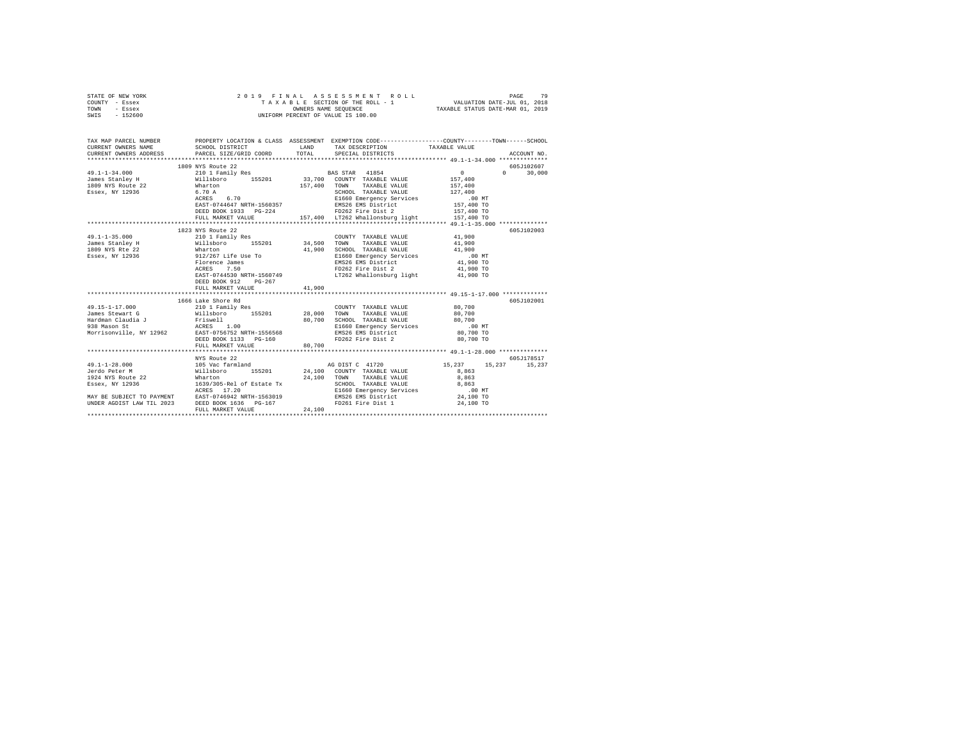| STATE OF NEW YORK<br>COUNTY - Essex<br>TOWN<br>- Essex<br>SWIS - 152600                                                                                                                                                                                                                                                                                                                                              | TAXABLE SECTION OF THE CONDERS NAME SEQUENCE<br>OWNERS NAME SEQUENCE<br>UNIFORM PERCENT OF VALUE IS 100.00 |                      | 9 FINAL ASSESSMENT ROLL (PACE 2018)<br>TAXABLE SECTION OF THE ROLL - 1 (VALUATION DATE-JUL 01, 2018)<br>OWNERS NAME SEQUENCE (PAXABLE STATUS DATE-MAR 01, 2019                                                                   |                      |             |
|----------------------------------------------------------------------------------------------------------------------------------------------------------------------------------------------------------------------------------------------------------------------------------------------------------------------------------------------------------------------------------------------------------------------|------------------------------------------------------------------------------------------------------------|----------------------|----------------------------------------------------------------------------------------------------------------------------------------------------------------------------------------------------------------------------------|----------------------|-------------|
| TAX MAP PARCEL NUMBER PROPERTY LOCATION & CLASS ASSESSMENT EXEMPTION CODE--------------COUNTY-------TOWN------SCHOOL<br>CURRENT OWNERS NAME<br>CURRENT OWNERS ADDRESS                                                                                                                                                                                                                                                | SCHOOL DISTRICT<br>PARCEL SIZE/GRID COORD                                                                  | <b>LAND</b><br>TOTAL | TAX DESCRIPTION TAXABLE VALUE<br>SPECIAL DISTRICTS                                                                                                                                                                               |                      | ACCOUNT NO. |
|                                                                                                                                                                                                                                                                                                                                                                                                                      |                                                                                                            |                      |                                                                                                                                                                                                                                  |                      |             |
|                                                                                                                                                                                                                                                                                                                                                                                                                      | 1809 NYS Route 22                                                                                          |                      |                                                                                                                                                                                                                                  |                      | 605J102607  |
| $49.1 - 1 - 34.000$                                                                                                                                                                                                                                                                                                                                                                                                  |                                                                                                            |                      | BAS STAR 41854<br>33,700 COUNTY TAXABLE VALUE                                                                                                                                                                                    | $\sim$ 0<br>$\Omega$ | 30,000      |
| James Stanley H                                                                                                                                                                                                                                                                                                                                                                                                      | 210 11 Family Res<br>Willsboro 155201<br>Wharton 6.70 A                                                    |                      |                                                                                                                                                                                                                                  | 157,400              |             |
| 1809 NYS Route 22<br>Essex, NY 12936                                                                                                                                                                                                                                                                                                                                                                                 |                                                                                                            |                      | 157,400 TOWN TAXABLE VALUE                                                                                                                                                                                                       | 157,400              |             |
|                                                                                                                                                                                                                                                                                                                                                                                                                      |                                                                                                            |                      | SCHOOL TAXABLE VALUE                                                                                                                                                                                                             | 127,400              |             |
|                                                                                                                                                                                                                                                                                                                                                                                                                      | ACRES 6.70                                                                                                 |                      | ACRES 6.70<br>EAST-0744647 NRTH-1560357<br>EMS26 EMS District                                                                                                                                                                    | .00 MT               |             |
|                                                                                                                                                                                                                                                                                                                                                                                                                      |                                                                                                            |                      |                                                                                                                                                                                                                                  | 157,400 TO           |             |
|                                                                                                                                                                                                                                                                                                                                                                                                                      |                                                                                                            |                      | ${\tt DEED\ BOOK\ 1933\quad PG-224\qquad\qquad\qquad {\tt FD262\ Fire\ Dist\ 2\qquad\qquad\qquad 157,400\ \ {\tt TOCEL\ MARKET\ VAULE\qquad\qquad 157,400\ \ {\tt LT262\ Whallonsburg\ light\qquad\qquad 157,400\ \ {\tt TOCE}}$ |                      |             |
|                                                                                                                                                                                                                                                                                                                                                                                                                      |                                                                                                            |                      |                                                                                                                                                                                                                                  |                      |             |
|                                                                                                                                                                                                                                                                                                                                                                                                                      |                                                                                                            |                      |                                                                                                                                                                                                                                  |                      |             |
| $49.1 - 1 - 35.000$                                                                                                                                                                                                                                                                                                                                                                                                  | 1823 NYS Route 22<br>210 1 Family Res                                                                      |                      |                                                                                                                                                                                                                                  | 41,900               | 605J102003  |
|                                                                                                                                                                                                                                                                                                                                                                                                                      |                                                                                                            |                      | COUNTY TAXABLE VALUE                                                                                                                                                                                                             |                      |             |
|                                                                                                                                                                                                                                                                                                                                                                                                                      |                                                                                                            |                      | TAXABLE VALUE 41,900<br>TOWN<br>SCHOOL TAXABLE VALUE                                                                                                                                                                             | 41,900               |             |
| $\begin{tabular}{lllllllllll} \textbf{z}_{21} & \textbf{z}_{22} & \textbf{z}_{23} & \textbf{z}_{24} & \textbf{z}_{25} & \textbf{z}_{26} & \textbf{z}_{27} & \textbf{z}_{28} & \textbf{z}_{28} & \textbf{z}_{29} & \textbf{z}_{20} & \textbf{z}_{20} & \textbf{z}_{20} & \textbf{z}_{20} & \textbf{z}_{20} & \textbf{z}_{20} & \textbf{z}_{20} & \textbf{z}_{20} & \textbf{z}_{20} & \textbf{z}_{20} & \textbf{z}_{2$ |                                                                                                            |                      | E1660 Emergency Services                                                                                                                                                                                                         |                      |             |
|                                                                                                                                                                                                                                                                                                                                                                                                                      |                                                                                                            |                      |                                                                                                                                                                                                                                  | 00 MT.<br>41,900 TO  |             |
|                                                                                                                                                                                                                                                                                                                                                                                                                      |                                                                                                            |                      |                                                                                                                                                                                                                                  | 41,900 TO            |             |
|                                                                                                                                                                                                                                                                                                                                                                                                                      |                                                                                                            |                      | E1660 Emergency Server-<br>EMS26 EMS District<br>FD262 First Dist<br>Press Care District<br>EAST-0744530 NRTH-1560749 LT262 Whallonsburg light                                                                                   | 41,900 TO            |             |
|                                                                                                                                                                                                                                                                                                                                                                                                                      | DEED BOOK 912<br>$PG-267$                                                                                  |                      |                                                                                                                                                                                                                                  |                      |             |
|                                                                                                                                                                                                                                                                                                                                                                                                                      | FULL MARKET VALUE                                                                                          | 41,900               |                                                                                                                                                                                                                                  |                      |             |
|                                                                                                                                                                                                                                                                                                                                                                                                                      |                                                                                                            |                      |                                                                                                                                                                                                                                  |                      |             |
|                                                                                                                                                                                                                                                                                                                                                                                                                      | 1666 Lake Shore Rd                                                                                         |                      |                                                                                                                                                                                                                                  |                      | 605J102001  |
| 49.15-1-17.000                                                                                                                                                                                                                                                                                                                                                                                                       | 210 1 Family Res                                                                                           |                      | COUNTY TAXABLE VALUE                                                                                                                                                                                                             | 80,700               |             |
|                                                                                                                                                                                                                                                                                                                                                                                                                      |                                                                                                            |                      | TOWN<br>TAXABLE VALUE                                                                                                                                                                                                            | 80,700               |             |
|                                                                                                                                                                                                                                                                                                                                                                                                                      |                                                                                                            |                      | SCHOOL TAXABLE VALUE                                                                                                                                                                                                             | 80,700               |             |
|                                                                                                                                                                                                                                                                                                                                                                                                                      |                                                                                                            |                      | E1660 Emergency Services                                                                                                                                                                                                         | $.00$ MT             |             |
| 49.15-1-17.000<br>dames Stewart G $\begin{array}{l} 24.000 \\ 155201 \end{array}$ 28,000<br>Handman Claudia J = Friswell<br>1938 Mason St = RESES 1.00<br>Morrisonville, NY 12962 = RAST-0756752 NRTH-1556568<br>Morrisonville, NY 12962 = RAST-0756752 N                                                                                                                                                            |                                                                                                            |                      | EMS26 EMS District<br>FD262 Fire Dist 2                                                                                                                                                                                          | 80,700 TO            |             |
|                                                                                                                                                                                                                                                                                                                                                                                                                      | DEED BOOK 1133 PG-160                                                                                      |                      |                                                                                                                                                                                                                                  | 80,700 TO            |             |
|                                                                                                                                                                                                                                                                                                                                                                                                                      | FULL MARKET VALUE                                                                                          | 80,700               |                                                                                                                                                                                                                                  |                      |             |
|                                                                                                                                                                                                                                                                                                                                                                                                                      |                                                                                                            |                      |                                                                                                                                                                                                                                  |                      |             |
|                                                                                                                                                                                                                                                                                                                                                                                                                      | NYS Route 22                                                                                               |                      |                                                                                                                                                                                                                                  |                      | 605J178517  |
| $49.1 - 1 - 28.000$                                                                                                                                                                                                                                                                                                                                                                                                  |                                                                                                            |                      | AG DIST C 41720                                                                                                                                                                                                                  | 15,237 15,237        | 15,237      |
| Jerdo Peter M                                                                                                                                                                                                                                                                                                                                                                                                        |                                                                                                            |                      | 24,100 COUNTY TAXABLE VALUE                                                                                                                                                                                                      | 8,863                |             |
| 1924 NYS Route 22                                                                                                                                                                                                                                                                                                                                                                                                    | Wharton<br>1639/305-Rel of Estate Tx                                                                       | 24,100               | TOWN<br>TAXABLE VALUE                                                                                                                                                                                                            | 8,863                |             |
| Essex, NY 12936                                                                                                                                                                                                                                                                                                                                                                                                      |                                                                                                            |                      | SCHOOL TAXABLE VALUE                                                                                                                                                                                                             | 8,863                |             |
|                                                                                                                                                                                                                                                                                                                                                                                                                      |                                                                                                            |                      | E1660 Emergency Services<br>EMS26 EMS District                                                                                                                                                                                   | $.00$ MT             |             |
| UNDER AGDIST LAW TIL 2023 DEED BOOK 1636 PG-167                                                                                                                                                                                                                                                                                                                                                                      |                                                                                                            |                      | FD261 Fire Dist 1                                                                                                                                                                                                                | 24,100 TO            |             |
|                                                                                                                                                                                                                                                                                                                                                                                                                      | FULL MARKET VALUE                                                                                          | 24,100               |                                                                                                                                                                                                                                  | 24,100 TO            |             |
|                                                                                                                                                                                                                                                                                                                                                                                                                      |                                                                                                            |                      |                                                                                                                                                                                                                                  |                      |             |
|                                                                                                                                                                                                                                                                                                                                                                                                                      |                                                                                                            |                      |                                                                                                                                                                                                                                  |                      |             |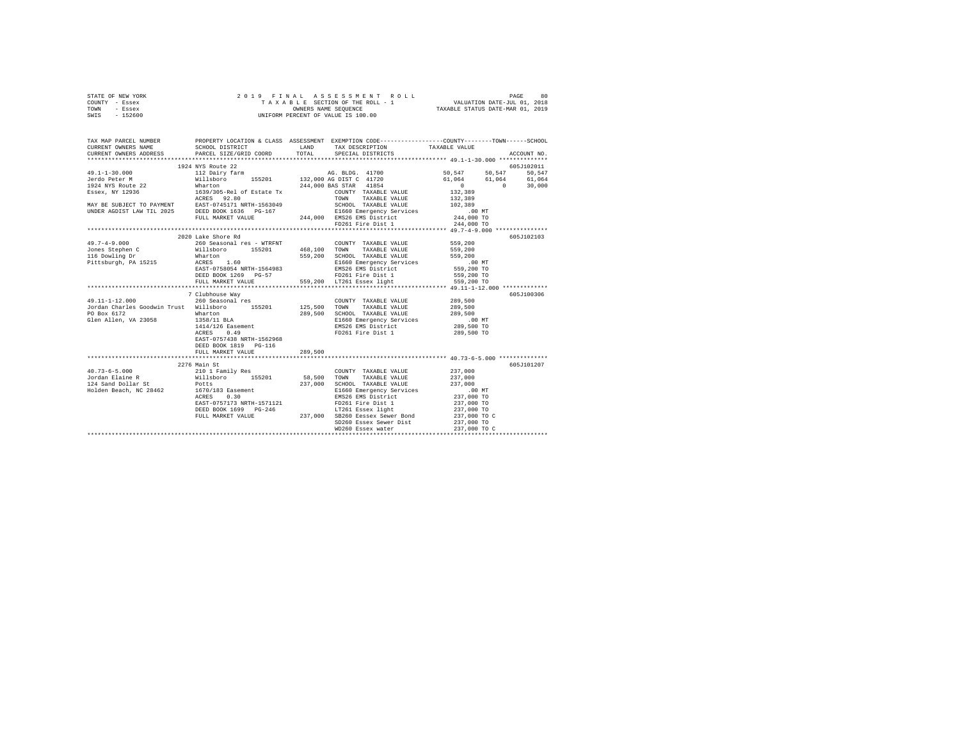| STATE OF NEW YORK | 2019 FINAL ASSESSMENT ROLL         | 80<br>PAGE                       |
|-------------------|------------------------------------|----------------------------------|
| COUNTY - Essex    | TAXABLE SECTION OF THE ROLL - 1    | VALUATION DATE-JUL 01, 2018      |
| TOWN<br>- Essex   | OWNERS NAME SEOUENCE               | TAXABLE STATUS DATE-MAR 01, 2019 |
| - 152600<br>SWIS  | UNIFORM PERCENT OF VALUE IS 100.00 |                                  |

| TAX MAP PARCEL NUMBER<br>CURRENT OWNERS NAME<br>CURRENT OWNERS ADDRESS PARCEL SIZE/GRID COORD TOTAL SPECIAL DISTRICTS                                                                                                                                                                                                                                                                          | PROPERTY LOCATION & CLASS ASSESSMENT EXEMPTION CODE---------------COUNTY-------TOWN------SCHOOL<br>SCHOOL DISTRICT LAND TAX DESCRIPTION TAXABLE VALUE |         |                                                                   |                                                                                                                        | ACCOUNT NO. |
|------------------------------------------------------------------------------------------------------------------------------------------------------------------------------------------------------------------------------------------------------------------------------------------------------------------------------------------------------------------------------------------------|-------------------------------------------------------------------------------------------------------------------------------------------------------|---------|-------------------------------------------------------------------|------------------------------------------------------------------------------------------------------------------------|-------------|
|                                                                                                                                                                                                                                                                                                                                                                                                |                                                                                                                                                       |         |                                                                   |                                                                                                                        |             |
|                                                                                                                                                                                                                                                                                                                                                                                                |                                                                                                                                                       |         |                                                                   |                                                                                                                        | 605J102011  |
|                                                                                                                                                                                                                                                                                                                                                                                                |                                                                                                                                                       |         |                                                                   |                                                                                                                        |             |
|                                                                                                                                                                                                                                                                                                                                                                                                |                                                                                                                                                       |         |                                                                   |                                                                                                                        |             |
|                                                                                                                                                                                                                                                                                                                                                                                                |                                                                                                                                                       |         |                                                                   | $\begin{array}{cccc} 50,547 & 50,547 & 50,547 \ 61,064 & 61,064 & 61,064 \ 0 & 0 & 30,000 \ 132,389 & & & \end{array}$ |             |
|                                                                                                                                                                                                                                                                                                                                                                                                |                                                                                                                                                       |         |                                                                   |                                                                                                                        |             |
|                                                                                                                                                                                                                                                                                                                                                                                                |                                                                                                                                                       |         |                                                                   |                                                                                                                        |             |
|                                                                                                                                                                                                                                                                                                                                                                                                |                                                                                                                                                       |         |                                                                   |                                                                                                                        |             |
|                                                                                                                                                                                                                                                                                                                                                                                                |                                                                                                                                                       |         |                                                                   |                                                                                                                        |             |
|                                                                                                                                                                                                                                                                                                                                                                                                |                                                                                                                                                       |         |                                                                   |                                                                                                                        |             |
|                                                                                                                                                                                                                                                                                                                                                                                                |                                                                                                                                                       |         |                                                                   |                                                                                                                        |             |
|                                                                                                                                                                                                                                                                                                                                                                                                |                                                                                                                                                       |         |                                                                   |                                                                                                                        |             |
|                                                                                                                                                                                                                                                                                                                                                                                                | 2020 Lake Shore Rd                                                                                                                                    |         |                                                                   |                                                                                                                        | 605J102103  |
|                                                                                                                                                                                                                                                                                                                                                                                                |                                                                                                                                                       |         |                                                                   |                                                                                                                        |             |
|                                                                                                                                                                                                                                                                                                                                                                                                |                                                                                                                                                       |         |                                                                   |                                                                                                                        |             |
|                                                                                                                                                                                                                                                                                                                                                                                                |                                                                                                                                                       |         |                                                                   |                                                                                                                        |             |
|                                                                                                                                                                                                                                                                                                                                                                                                |                                                                                                                                                       |         |                                                                   |                                                                                                                        |             |
|                                                                                                                                                                                                                                                                                                                                                                                                |                                                                                                                                                       |         |                                                                   |                                                                                                                        |             |
|                                                                                                                                                                                                                                                                                                                                                                                                |                                                                                                                                                       |         |                                                                   |                                                                                                                        |             |
|                                                                                                                                                                                                                                                                                                                                                                                                |                                                                                                                                                       |         |                                                                   |                                                                                                                        |             |
|                                                                                                                                                                                                                                                                                                                                                                                                |                                                                                                                                                       |         |                                                                   |                                                                                                                        |             |
|                                                                                                                                                                                                                                                                                                                                                                                                |                                                                                                                                                       |         |                                                                   |                                                                                                                        | 605J100306  |
| $\begin{array}{lcccc} \text{7\textcolor{red}{C}Uubhouse way} \\ 49.11-1-12.000 & 260\textcolor{red}{S} & 269,500 \\ \text{Jordan Charles Goodwin Trust} & 8111\textcolor{red}{S} & 125,500 \\ \text{What: 10\textcolor{red}{M}Marton} & 155201 & 125,500 \\ \text{What: 10\textcolor{red}{S} & 125,500 \\ 289,500 & 289,500 \\ \text{with a 11\textcolor{red}{S} & 125,500 \\ 289,500 & 289,5$ |                                                                                                                                                       |         |                                                                   |                                                                                                                        |             |
|                                                                                                                                                                                                                                                                                                                                                                                                |                                                                                                                                                       |         |                                                                   |                                                                                                                        |             |
|                                                                                                                                                                                                                                                                                                                                                                                                |                                                                                                                                                       |         |                                                                   |                                                                                                                        |             |
|                                                                                                                                                                                                                                                                                                                                                                                                |                                                                                                                                                       |         |                                                                   |                                                                                                                        |             |
|                                                                                                                                                                                                                                                                                                                                                                                                |                                                                                                                                                       |         |                                                                   |                                                                                                                        |             |
|                                                                                                                                                                                                                                                                                                                                                                                                |                                                                                                                                                       |         |                                                                   | 289,500 TO                                                                                                             |             |
|                                                                                                                                                                                                                                                                                                                                                                                                |                                                                                                                                                       |         |                                                                   | 289,500 TO                                                                                                             |             |
|                                                                                                                                                                                                                                                                                                                                                                                                | EAST-0757438 NRTH-1562968                                                                                                                             |         |                                                                   |                                                                                                                        |             |
|                                                                                                                                                                                                                                                                                                                                                                                                | DEED BOOK 1819 PG-116                                                                                                                                 |         |                                                                   |                                                                                                                        |             |
|                                                                                                                                                                                                                                                                                                                                                                                                | FULL MARKET VALUE                                                                                                                                     | 289,500 |                                                                   |                                                                                                                        |             |
|                                                                                                                                                                                                                                                                                                                                                                                                |                                                                                                                                                       |         |                                                                   |                                                                                                                        |             |
|                                                                                                                                                                                                                                                                                                                                                                                                | 2276 Main St                                                                                                                                          |         |                                                                   |                                                                                                                        | 605J101207  |
|                                                                                                                                                                                                                                                                                                                                                                                                |                                                                                                                                                       |         |                                                                   |                                                                                                                        |             |
|                                                                                                                                                                                                                                                                                                                                                                                                |                                                                                                                                                       |         |                                                                   |                                                                                                                        |             |
|                                                                                                                                                                                                                                                                                                                                                                                                |                                                                                                                                                       |         |                                                                   |                                                                                                                        |             |
|                                                                                                                                                                                                                                                                                                                                                                                                |                                                                                                                                                       |         |                                                                   |                                                                                                                        |             |
|                                                                                                                                                                                                                                                                                                                                                                                                |                                                                                                                                                       |         |                                                                   |                                                                                                                        |             |
|                                                                                                                                                                                                                                                                                                                                                                                                |                                                                                                                                                       |         |                                                                   |                                                                                                                        |             |
|                                                                                                                                                                                                                                                                                                                                                                                                |                                                                                                                                                       |         |                                                                   |                                                                                                                        |             |
|                                                                                                                                                                                                                                                                                                                                                                                                |                                                                                                                                                       |         |                                                                   |                                                                                                                        |             |
|                                                                                                                                                                                                                                                                                                                                                                                                |                                                                                                                                                       |         |                                                                   |                                                                                                                        |             |
|                                                                                                                                                                                                                                                                                                                                                                                                |                                                                                                                                                       |         | SD260 Essex Sewer Dist 237,000 TO<br>WD260 Essex water 237,000 TO |                                                                                                                        |             |
|                                                                                                                                                                                                                                                                                                                                                                                                |                                                                                                                                                       |         |                                                                   |                                                                                                                        |             |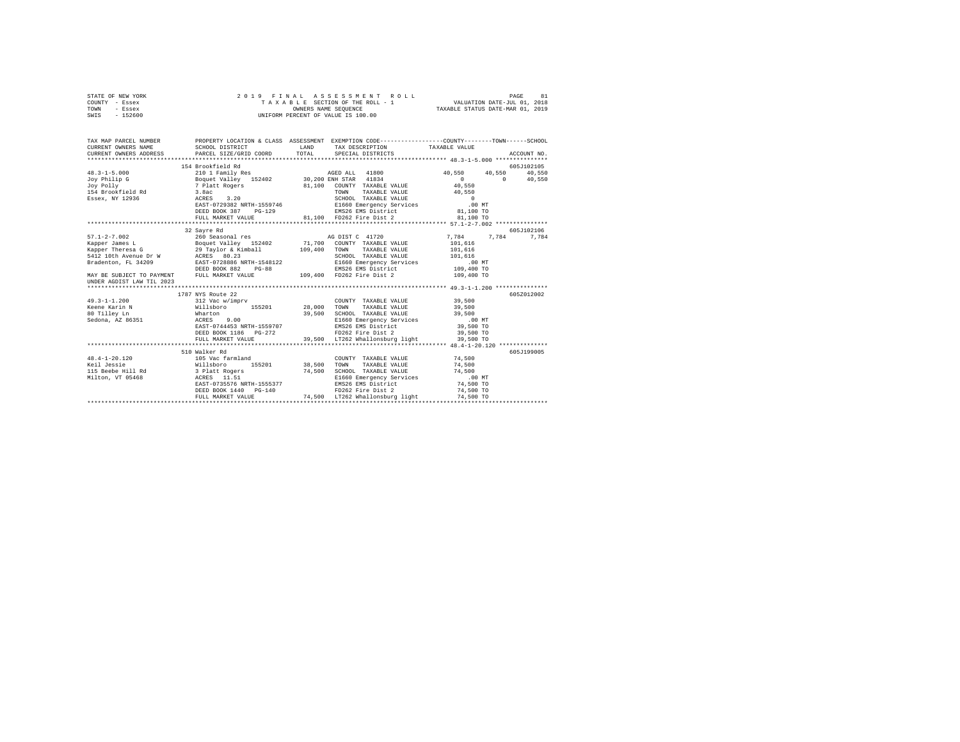| STATE OF NEW YORK<br>COUNTY - Essex                                                                                                                                                                                                                                                                                                                                                            |                                                                                                                                                                                                                                                                                                              |  |  |                        |             |  |
|------------------------------------------------------------------------------------------------------------------------------------------------------------------------------------------------------------------------------------------------------------------------------------------------------------------------------------------------------------------------------------------------|--------------------------------------------------------------------------------------------------------------------------------------------------------------------------------------------------------------------------------------------------------------------------------------------------------------|--|--|------------------------|-------------|--|
| TOWN - Essex<br>SWIS - 152600                                                                                                                                                                                                                                                                                                                                                                  | 2019 FINAL ASSESSMENT RO<br>TAXABLE SECTION OF THE ROLL - 1<br>OWNERS NAME SEQUENCE<br>UNIFORM PERCENT OF VALUE IS 100.00<br>PAGE 81 אפרע איז א אפראפיז א 10 באפראפיז א 19 בית 1942<br>TAXABLE SECTION OF THE ROLL - 1 VALUATION DATE-JUL 01, 2018<br>OWNERS NAME SEQUENCE TRAXABLE STATUS DATE-MAR 01, 2019 |  |  |                        |             |  |
|                                                                                                                                                                                                                                                                                                                                                                                                |                                                                                                                                                                                                                                                                                                              |  |  |                        |             |  |
| TAX MAP PARCEL NUMBER PROPERTY LOCATION & CLASS ASSESSMENT EXEMPTION CODE--------------COUNTY-------TOWN------SCHOOL                                                                                                                                                                                                                                                                           |                                                                                                                                                                                                                                                                                                              |  |  |                        |             |  |
| CURRENT OWNERS NAME                                                                                                                                                                                                                                                                                                                                                                            | SCHOOL DISTRICT                     LAND        TAX DESCRIPTION                  TAXABLE VALUE                                                                                                                                                                                                               |  |  |                        |             |  |
| CURRENT OWNERS ADDRESS                                                                                                                                                                                                                                                                                                                                                                         | PARCEL SIZE/GRID COORD TOTAL SPECIAL DISTRICTS                                                                                                                                                                                                                                                               |  |  |                        | ACCOUNT NO. |  |
|                                                                                                                                                                                                                                                                                                                                                                                                |                                                                                                                                                                                                                                                                                                              |  |  |                        |             |  |
|                                                                                                                                                                                                                                                                                                                                                                                                | 154 Brookfield Rd                                                                                                                                                                                                                                                                                            |  |  |                        | 605J102105  |  |
|                                                                                                                                                                                                                                                                                                                                                                                                |                                                                                                                                                                                                                                                                                                              |  |  |                        |             |  |
|                                                                                                                                                                                                                                                                                                                                                                                                |                                                                                                                                                                                                                                                                                                              |  |  |                        |             |  |
|                                                                                                                                                                                                                                                                                                                                                                                                |                                                                                                                                                                                                                                                                                                              |  |  |                        |             |  |
|                                                                                                                                                                                                                                                                                                                                                                                                |                                                                                                                                                                                                                                                                                                              |  |  |                        |             |  |
|                                                                                                                                                                                                                                                                                                                                                                                                |                                                                                                                                                                                                                                                                                                              |  |  |                        |             |  |
|                                                                                                                                                                                                                                                                                                                                                                                                |                                                                                                                                                                                                                                                                                                              |  |  |                        |             |  |
|                                                                                                                                                                                                                                                                                                                                                                                                |                                                                                                                                                                                                                                                                                                              |  |  |                        |             |  |
|                                                                                                                                                                                                                                                                                                                                                                                                |                                                                                                                                                                                                                                                                                                              |  |  |                        |             |  |
|                                                                                                                                                                                                                                                                                                                                                                                                | 32 Sayre Rd                                                                                                                                                                                                                                                                                                  |  |  |                        | 605J102106  |  |
|                                                                                                                                                                                                                                                                                                                                                                                                |                                                                                                                                                                                                                                                                                                              |  |  |                        |             |  |
|                                                                                                                                                                                                                                                                                                                                                                                                |                                                                                                                                                                                                                                                                                                              |  |  |                        |             |  |
|                                                                                                                                                                                                                                                                                                                                                                                                |                                                                                                                                                                                                                                                                                                              |  |  |                        |             |  |
|                                                                                                                                                                                                                                                                                                                                                                                                |                                                                                                                                                                                                                                                                                                              |  |  |                        |             |  |
|                                                                                                                                                                                                                                                                                                                                                                                                |                                                                                                                                                                                                                                                                                                              |  |  |                        |             |  |
| $\begin{tabular}{l c c c c c c c c} \multicolumn{3}{c c c c} \multicolumn{3}{c c c} \multicolumn{3}{c c c} \multicolumn{3}{c c c} \multicolumn{3}{c c c} \multicolumn{3}{c c c} \multicolumn{3}{c c c} \multicolumn{3}{c c c} \multicolumn{3}{c c c} \multicolumn{3}{c c c} \multicolumn{3}{c c c} \multicolumn{3}{c c c} \multicolumn{3}{c c c} \multicolumn{3}{c c c} \multicolumn{3}{c c c$ |                                                                                                                                                                                                                                                                                                              |  |  |                        |             |  |
| UNDER AGDIST LAW TIL 2023                                                                                                                                                                                                                                                                                                                                                                      |                                                                                                                                                                                                                                                                                                              |  |  |                        |             |  |
|                                                                                                                                                                                                                                                                                                                                                                                                |                                                                                                                                                                                                                                                                                                              |  |  |                        |             |  |
|                                                                                                                                                                                                                                                                                                                                                                                                | 1787 NYS Route 22                                                                                                                                                                                                                                                                                            |  |  |                        | 605Z012002  |  |
|                                                                                                                                                                                                                                                                                                                                                                                                |                                                                                                                                                                                                                                                                                                              |  |  |                        |             |  |
|                                                                                                                                                                                                                                                                                                                                                                                                |                                                                                                                                                                                                                                                                                                              |  |  |                        |             |  |
|                                                                                                                                                                                                                                                                                                                                                                                                |                                                                                                                                                                                                                                                                                                              |  |  |                        |             |  |
|                                                                                                                                                                                                                                                                                                                                                                                                |                                                                                                                                                                                                                                                                                                              |  |  |                        |             |  |
|                                                                                                                                                                                                                                                                                                                                                                                                |                                                                                                                                                                                                                                                                                                              |  |  |                        |             |  |
|                                                                                                                                                                                                                                                                                                                                                                                                | EDED BOOK 1186 PG-272<br>FD262 Fire Dist 2<br>FULL MARKET VALUE 39,500 LT262 Whallonsburg light                                                                                                                                                                                                              |  |  | 39,500 TO<br>39,500 TO |             |  |
|                                                                                                                                                                                                                                                                                                                                                                                                |                                                                                                                                                                                                                                                                                                              |  |  |                        |             |  |
|                                                                                                                                                                                                                                                                                                                                                                                                | 510 Walker Rd                                                                                                                                                                                                                                                                                                |  |  |                        | 605J199005  |  |
|                                                                                                                                                                                                                                                                                                                                                                                                |                                                                                                                                                                                                                                                                                                              |  |  |                        |             |  |
| 48.4-1-20.120<br>165 Vac farmland COUNTY TAXABLE VALUE 74,500<br>165 Vac farmland 155201 38,500 TOWN TAXABLE VALUE 74,500<br>115 Beebe Hill Rd 3 Platt Rogers 74,500 SCHOOL TAXABLE VALUE 74,500<br>115 Beebe Hill Rd 3 Platt Rogers                                                                                                                                                           |                                                                                                                                                                                                                                                                                                              |  |  |                        |             |  |
|                                                                                                                                                                                                                                                                                                                                                                                                |                                                                                                                                                                                                                                                                                                              |  |  |                        |             |  |
|                                                                                                                                                                                                                                                                                                                                                                                                |                                                                                                                                                                                                                                                                                                              |  |  |                        |             |  |
|                                                                                                                                                                                                                                                                                                                                                                                                |                                                                                                                                                                                                                                                                                                              |  |  |                        |             |  |
|                                                                                                                                                                                                                                                                                                                                                                                                | DEED BOOK 1440 PG-140<br>FULL MARKET VALUE 74,500 LT262 Whallonsburg light                                                                                                                                                                                                                                   |  |  | 74,500 TO<br>74,500 TO |             |  |
|                                                                                                                                                                                                                                                                                                                                                                                                |                                                                                                                                                                                                                                                                                                              |  |  |                        |             |  |
|                                                                                                                                                                                                                                                                                                                                                                                                |                                                                                                                                                                                                                                                                                                              |  |  |                        |             |  |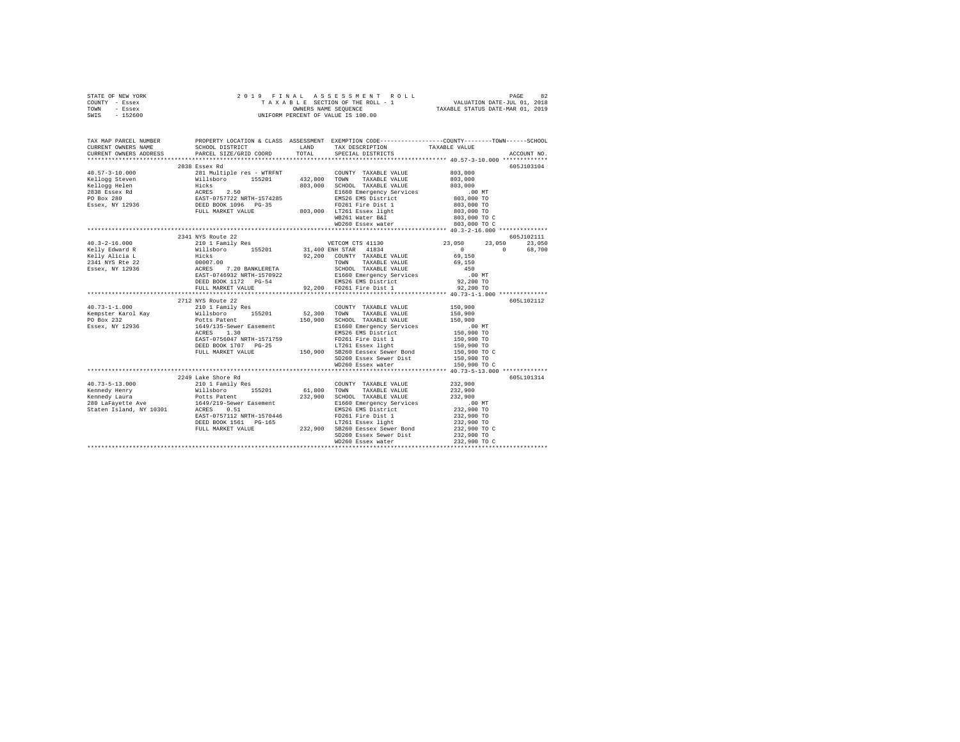| STATE OF NEW YORK | 2019 FINAL ASSESSMENT ROLL         | 82<br>PAGE                       |
|-------------------|------------------------------------|----------------------------------|
| COUNTY - Essex    | TAXABLE SECTION OF THE ROLL - 1    | VALUATION DATE-JUL 01, 2018      |
| TOWN<br>- Essex   | OWNERS NAME SEOUENCE               | TAXABLE STATUS DATE-MAR 01, 2019 |
| - 152600<br>SWIS  | UNIFORM PERCENT OF VALUE IS 100.00 |                                  |

| TAX MAP PARCEL NUMBER |                                                                            | PROPERTY LOCATION & CLASS ASSESSMENT EXEMPTION CODE---------------COUNTY-------TOWN------SCHOOL |                                                                                          |            |
|-----------------------|----------------------------------------------------------------------------|-------------------------------------------------------------------------------------------------|------------------------------------------------------------------------------------------|------------|
|                       | CURRENT OWNERS NAME SCHOOL DISTRICT TAN LAND TAX DESCRIPTION TAXABLE VALUE |                                                                                                 |                                                                                          |            |
|                       |                                                                            |                                                                                                 |                                                                                          |            |
|                       | 2838 Essex Rd                                                              |                                                                                                 |                                                                                          | 605J103104 |
|                       |                                                                            |                                                                                                 |                                                                                          |            |
|                       |                                                                            |                                                                                                 |                                                                                          |            |
|                       |                                                                            |                                                                                                 |                                                                                          |            |
|                       |                                                                            |                                                                                                 |                                                                                          |            |
|                       |                                                                            |                                                                                                 |                                                                                          |            |
|                       |                                                                            |                                                                                                 |                                                                                          |            |
|                       |                                                                            |                                                                                                 |                                                                                          |            |
|                       |                                                                            |                                                                                                 |                                                                                          |            |
|                       |                                                                            |                                                                                                 |                                                                                          |            |
|                       |                                                                            |                                                                                                 |                                                                                          |            |
|                       | 2341 NYS Route 22                                                          |                                                                                                 |                                                                                          | 605J102111 |
|                       |                                                                            |                                                                                                 |                                                                                          | 23,050     |
|                       |                                                                            |                                                                                                 |                                                                                          | 68,700     |
|                       |                                                                            |                                                                                                 |                                                                                          |            |
|                       |                                                                            |                                                                                                 |                                                                                          |            |
|                       |                                                                            |                                                                                                 |                                                                                          |            |
|                       |                                                                            |                                                                                                 |                                                                                          |            |
|                       |                                                                            |                                                                                                 |                                                                                          |            |
|                       |                                                                            |                                                                                                 |                                                                                          |            |
|                       |                                                                            |                                                                                                 |                                                                                          |            |
|                       |                                                                            |                                                                                                 |                                                                                          | 605L102112 |
|                       |                                                                            |                                                                                                 |                                                                                          |            |
|                       |                                                                            |                                                                                                 |                                                                                          |            |
|                       |                                                                            |                                                                                                 |                                                                                          |            |
|                       |                                                                            |                                                                                                 |                                                                                          |            |
|                       |                                                                            |                                                                                                 |                                                                                          |            |
|                       |                                                                            |                                                                                                 |                                                                                          |            |
|                       |                                                                            |                                                                                                 |                                                                                          |            |
|                       |                                                                            |                                                                                                 |                                                                                          |            |
|                       |                                                                            |                                                                                                 |                                                                                          |            |
|                       |                                                                            |                                                                                                 |                                                                                          |            |
|                       |                                                                            |                                                                                                 |                                                                                          |            |
|                       |                                                                            |                                                                                                 |                                                                                          | 605L101314 |
|                       |                                                                            |                                                                                                 |                                                                                          |            |
|                       |                                                                            |                                                                                                 |                                                                                          |            |
|                       |                                                                            |                                                                                                 |                                                                                          |            |
|                       |                                                                            |                                                                                                 |                                                                                          |            |
|                       |                                                                            |                                                                                                 |                                                                                          |            |
|                       |                                                                            |                                                                                                 |                                                                                          |            |
|                       |                                                                            |                                                                                                 | 232,900<br>232,900<br>232,900 TO<br>232,900 TO<br>232,900 TO<br>232,900 TO<br>232,900 TO |            |
|                       |                                                                            |                                                                                                 |                                                                                          |            |
|                       |                                                                            |                                                                                                 |                                                                                          |            |
|                       |                                                                            |                                                                                                 |                                                                                          |            |
|                       |                                                                            |                                                                                                 |                                                                                          |            |
|                       |                                                                            |                                                                                                 |                                                                                          |            |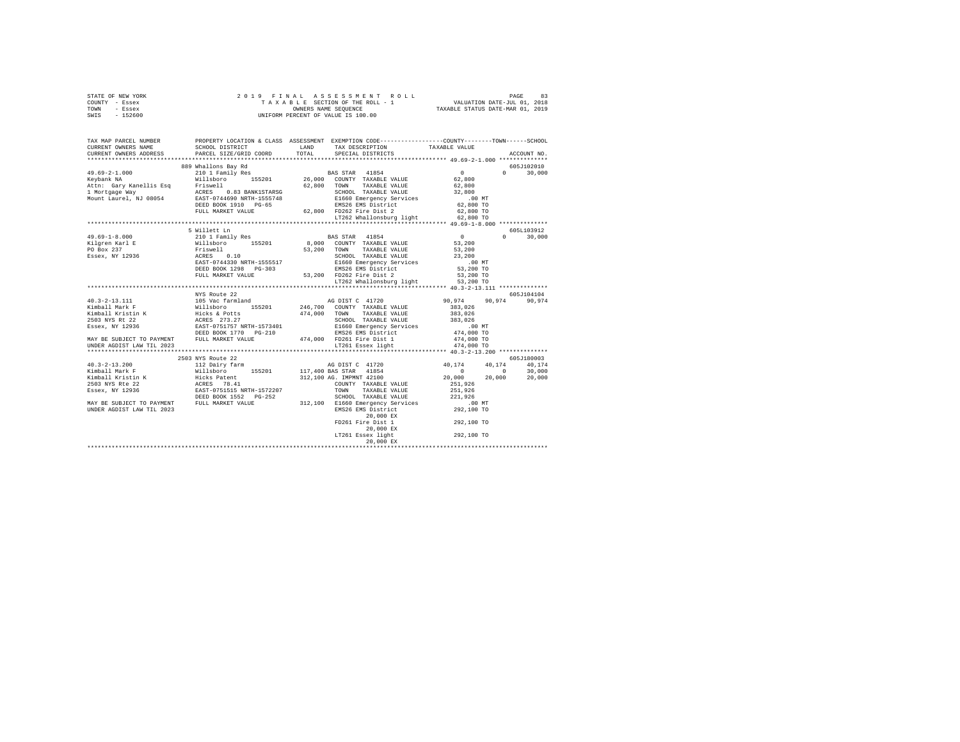| STATE OF NEW YORK                                                                                                   |                                                                                                                                                                                                                                                                                                                                                                                                                                                                            |  |  |  |                             |  |
|---------------------------------------------------------------------------------------------------------------------|----------------------------------------------------------------------------------------------------------------------------------------------------------------------------------------------------------------------------------------------------------------------------------------------------------------------------------------------------------------------------------------------------------------------------------------------------------------------------|--|--|--|-----------------------------|--|
| COUNTY - Essex                                                                                                      | $\begin{tabular}{ccccc} 2 & 0 & 1 & 9 & F & I & N & A & L & A & S & S & E & S & S & M & E & N & T & R & O & L & L & P \end{tabular} \begin{tabular}{c} \multicolumn{2}{c}{} & \multicolumn{2}{c}{} & \multicolumn{2}{c}{} & \multicolumn{2}{c}{} & \multicolumn{2}{c}{} & \multicolumn{2}{c}{} & \multicolumn{2}{c}{} & \multicolumn{2}{c}{} & \multicolumn{2}{c}{} & \multicolumn{2}{c}{} & \multicolumn{2}{c}{} & \multicolumn{2}{c}{} & \multicolumn{2}{c}{} & \multic$ |  |  |  |                             |  |
| TOWN - Essex                                                                                                        |                                                                                                                                                                                                                                                                                                                                                                                                                                                                            |  |  |  |                             |  |
| SWIS - 152600                                                                                                       |                                                                                                                                                                                                                                                                                                                                                                                                                                                                            |  |  |  |                             |  |
|                                                                                                                     |                                                                                                                                                                                                                                                                                                                                                                                                                                                                            |  |  |  |                             |  |
|                                                                                                                     |                                                                                                                                                                                                                                                                                                                                                                                                                                                                            |  |  |  |                             |  |
| TAX MAP PARCEL NUMBER PROPERTY LOCATION & CLASS ASSESSMENT EXEMPTION CODE--------------COUNTY-------TOWN-----SCHOOL |                                                                                                                                                                                                                                                                                                                                                                                                                                                                            |  |  |  |                             |  |
|                                                                                                                     |                                                                                                                                                                                                                                                                                                                                                                                                                                                                            |  |  |  |                             |  |
|                                                                                                                     |                                                                                                                                                                                                                                                                                                                                                                                                                                                                            |  |  |  | ACCOUNT NO.                 |  |
|                                                                                                                     |                                                                                                                                                                                                                                                                                                                                                                                                                                                                            |  |  |  |                             |  |
|                                                                                                                     |                                                                                                                                                                                                                                                                                                                                                                                                                                                                            |  |  |  | 605J102010<br>$0 \t 30.000$ |  |
|                                                                                                                     |                                                                                                                                                                                                                                                                                                                                                                                                                                                                            |  |  |  |                             |  |
|                                                                                                                     |                                                                                                                                                                                                                                                                                                                                                                                                                                                                            |  |  |  |                             |  |
|                                                                                                                     |                                                                                                                                                                                                                                                                                                                                                                                                                                                                            |  |  |  |                             |  |
|                                                                                                                     |                                                                                                                                                                                                                                                                                                                                                                                                                                                                            |  |  |  |                             |  |
|                                                                                                                     |                                                                                                                                                                                                                                                                                                                                                                                                                                                                            |  |  |  |                             |  |
|                                                                                                                     |                                                                                                                                                                                                                                                                                                                                                                                                                                                                            |  |  |  |                             |  |
|                                                                                                                     |                                                                                                                                                                                                                                                                                                                                                                                                                                                                            |  |  |  |                             |  |
|                                                                                                                     |                                                                                                                                                                                                                                                                                                                                                                                                                                                                            |  |  |  |                             |  |
|                                                                                                                     |                                                                                                                                                                                                                                                                                                                                                                                                                                                                            |  |  |  | 605L103912                  |  |
|                                                                                                                     |                                                                                                                                                                                                                                                                                                                                                                                                                                                                            |  |  |  | $0 \t 30,000$               |  |
|                                                                                                                     |                                                                                                                                                                                                                                                                                                                                                                                                                                                                            |  |  |  |                             |  |
|                                                                                                                     |                                                                                                                                                                                                                                                                                                                                                                                                                                                                            |  |  |  |                             |  |
|                                                                                                                     |                                                                                                                                                                                                                                                                                                                                                                                                                                                                            |  |  |  |                             |  |
|                                                                                                                     |                                                                                                                                                                                                                                                                                                                                                                                                                                                                            |  |  |  |                             |  |
|                                                                                                                     |                                                                                                                                                                                                                                                                                                                                                                                                                                                                            |  |  |  |                             |  |
|                                                                                                                     |                                                                                                                                                                                                                                                                                                                                                                                                                                                                            |  |  |  |                             |  |
|                                                                                                                     |                                                                                                                                                                                                                                                                                                                                                                                                                                                                            |  |  |  |                             |  |
|                                                                                                                     |                                                                                                                                                                                                                                                                                                                                                                                                                                                                            |  |  |  |                             |  |
|                                                                                                                     |                                                                                                                                                                                                                                                                                                                                                                                                                                                                            |  |  |  |                             |  |
|                                                                                                                     |                                                                                                                                                                                                                                                                                                                                                                                                                                                                            |  |  |  |                             |  |
|                                                                                                                     |                                                                                                                                                                                                                                                                                                                                                                                                                                                                            |  |  |  |                             |  |
|                                                                                                                     |                                                                                                                                                                                                                                                                                                                                                                                                                                                                            |  |  |  |                             |  |
|                                                                                                                     |                                                                                                                                                                                                                                                                                                                                                                                                                                                                            |  |  |  |                             |  |
|                                                                                                                     |                                                                                                                                                                                                                                                                                                                                                                                                                                                                            |  |  |  |                             |  |
|                                                                                                                     |                                                                                                                                                                                                                                                                                                                                                                                                                                                                            |  |  |  |                             |  |
|                                                                                                                     |                                                                                                                                                                                                                                                                                                                                                                                                                                                                            |  |  |  |                             |  |
|                                                                                                                     |                                                                                                                                                                                                                                                                                                                                                                                                                                                                            |  |  |  |                             |  |
|                                                                                                                     |                                                                                                                                                                                                                                                                                                                                                                                                                                                                            |  |  |  |                             |  |
|                                                                                                                     |                                                                                                                                                                                                                                                                                                                                                                                                                                                                            |  |  |  |                             |  |
|                                                                                                                     |                                                                                                                                                                                                                                                                                                                                                                                                                                                                            |  |  |  |                             |  |
|                                                                                                                     |                                                                                                                                                                                                                                                                                                                                                                                                                                                                            |  |  |  |                             |  |
|                                                                                                                     |                                                                                                                                                                                                                                                                                                                                                                                                                                                                            |  |  |  |                             |  |
|                                                                                                                     |                                                                                                                                                                                                                                                                                                                                                                                                                                                                            |  |  |  |                             |  |
|                                                                                                                     |                                                                                                                                                                                                                                                                                                                                                                                                                                                                            |  |  |  |                             |  |
|                                                                                                                     |                                                                                                                                                                                                                                                                                                                                                                                                                                                                            |  |  |  |                             |  |
|                                                                                                                     |                                                                                                                                                                                                                                                                                                                                                                                                                                                                            |  |  |  |                             |  |
|                                                                                                                     |                                                                                                                                                                                                                                                                                                                                                                                                                                                                            |  |  |  |                             |  |
|                                                                                                                     |                                                                                                                                                                                                                                                                                                                                                                                                                                                                            |  |  |  |                             |  |
|                                                                                                                     |                                                                                                                                                                                                                                                                                                                                                                                                                                                                            |  |  |  |                             |  |
|                                                                                                                     |                                                                                                                                                                                                                                                                                                                                                                                                                                                                            |  |  |  |                             |  |
|                                                                                                                     |                                                                                                                                                                                                                                                                                                                                                                                                                                                                            |  |  |  |                             |  |
|                                                                                                                     |                                                                                                                                                                                                                                                                                                                                                                                                                                                                            |  |  |  |                             |  |
|                                                                                                                     |                                                                                                                                                                                                                                                                                                                                                                                                                                                                            |  |  |  |                             |  |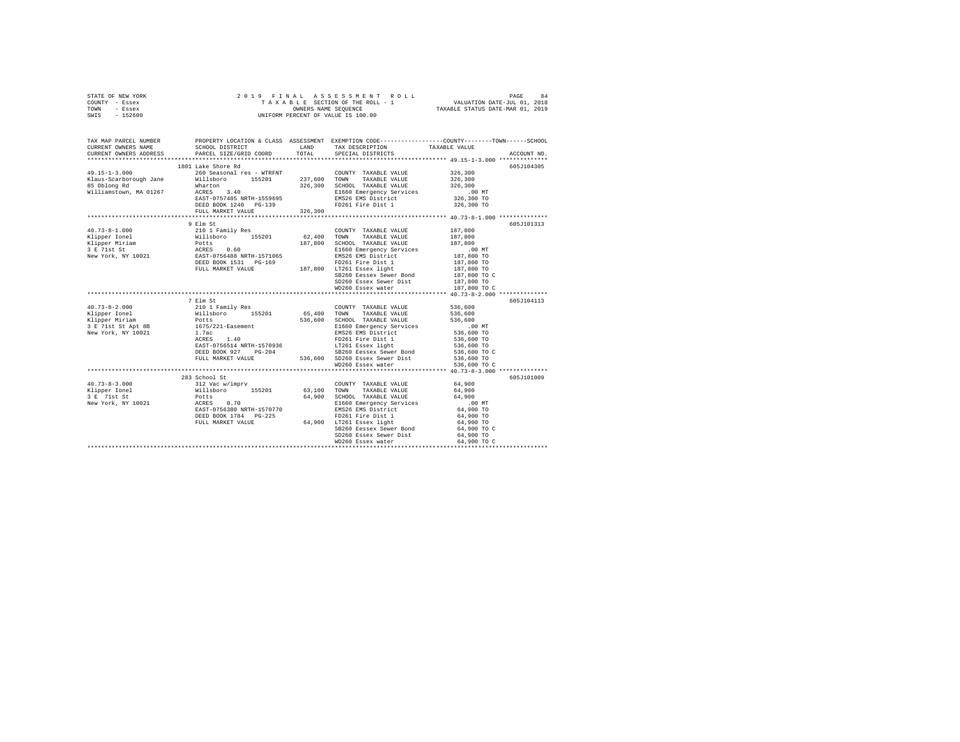| STATE OF NEW YORK | 2019 FINAL ASSESSMENT ROLL         | 84<br>PAGE                       |
|-------------------|------------------------------------|----------------------------------|
| COUNTY - Essex    | TAXABLE SECTION OF THE ROLL - 1    | VALUATION DATE-JUL 01, 2018      |
| TOWN<br>- Essex   | OWNERS NAME SEOUENCE               | TAXABLE STATUS DATE-MAR 01, 2019 |
| - 152600<br>SWIS  | UNIFORM PERCENT OF VALUE IS 100.00 |                                  |

| TAX MAP PARCEL NUMBER<br>CURRENT OWNERS NAME<br>CURRENT OWNERS ADDRESS                                                                                                                                                                            | SCHOOL DISTRICT TAND TAX DESCRIPTION<br>PARCEL SIZE/GRID COORD                                                                                                                                                                                                                                                                                        | TOTAL   | PROPERTY LOCATION & CLASS ASSESSMENT EXEMPTION CODE----------------COUNTY-------TOWN------SCHOOL<br>SPECIAL DISTRICTS | TAXABLE VALUE                                                | ACCOUNT NO. |
|---------------------------------------------------------------------------------------------------------------------------------------------------------------------------------------------------------------------------------------------------|-------------------------------------------------------------------------------------------------------------------------------------------------------------------------------------------------------------------------------------------------------------------------------------------------------------------------------------------------------|---------|-----------------------------------------------------------------------------------------------------------------------|--------------------------------------------------------------|-------------|
|                                                                                                                                                                                                                                                   |                                                                                                                                                                                                                                                                                                                                                       |         |                                                                                                                       |                                                              |             |
|                                                                                                                                                                                                                                                   | 1801 Lake Shore Rd                                                                                                                                                                                                                                                                                                                                    |         |                                                                                                                       |                                                              | 605J104305  |
| $\verb+49.15-1-3.000\t\t\t\t260  260  Seasonal res - WTRENT\t\t\t\t\tCOUNTY\nTAXABLE VALUE\nKlaus-Scarborough Jane\t\t\t\tWillsboro\t\t\t\t155201\t\t\t\t237,600  TOWN\t\t\t TAXABLE VALUE$                                                       |                                                                                                                                                                                                                                                                                                                                                       |         |                                                                                                                       | 326,300                                                      |             |
|                                                                                                                                                                                                                                                   |                                                                                                                                                                                                                                                                                                                                                       |         |                                                                                                                       | 326,300                                                      |             |
| 85 Oblong Rd                                                                                                                                                                                                                                      | Wharton                                                                                                                                                                                                                                                                                                                                               |         | 326,300 SCHOOL TAXABLE VALUE                                                                                          | 326,300                                                      |             |
| Williamstown, MA 01267                                                                                                                                                                                                                            | <br>ACRES 3.40<br>EAST-0757485 NRTH-1559695                                                                                                                                                                                                                                                                                                           |         | E1660 Emergency Services                                                                                              |                                                              |             |
|                                                                                                                                                                                                                                                   | EAST-0757485 NRTH-1559695                                                                                                                                                                                                                                                                                                                             |         | EMS26 EMS District                                                                                                    | 00 MT.<br>326,300 TO                                         |             |
|                                                                                                                                                                                                                                                   | DEED BOOK 1240 PG-139                                                                                                                                                                                                                                                                                                                                 |         | FD261 Fire Dist 1 326,300 TO                                                                                          |                                                              |             |
|                                                                                                                                                                                                                                                   | FULL MARKET VALUE                                                                                                                                                                                                                                                                                                                                     | 326,300 |                                                                                                                       |                                                              |             |
|                                                                                                                                                                                                                                                   |                                                                                                                                                                                                                                                                                                                                                       |         |                                                                                                                       |                                                              |             |
|                                                                                                                                                                                                                                                   | 9 Elm St                                                                                                                                                                                                                                                                                                                                              |         |                                                                                                                       |                                                              | 605J101313  |
| $40.73 - 8 - 1.000$                                                                                                                                                                                                                               | 210 1 Family Res                                                                                                                                                                                                                                                                                                                                      |         | COUNTY TAXABLE VALUE                                                                                                  | 187,800                                                      |             |
|                                                                                                                                                                                                                                                   |                                                                                                                                                                                                                                                                                                                                                       |         | 62,400 TOWN TAXABLE VALUE                                                                                             | 187,800                                                      |             |
|                                                                                                                                                                                                                                                   |                                                                                                                                                                                                                                                                                                                                                       |         | 187,800 SCHOOL TAXABLE VALUE                                                                                          | 187,800                                                      |             |
| Xipper Morind Millsboro 155201<br>Xipper Morind Potts<br>Ripper Morind Potts<br>2 F 71st St<br>New York, NY 10021<br>2 F 72st St<br>New York, NY 10021<br>2 FULL MARKET VALUE<br>DEED BOOK 1531 PG-169<br>DEED BOOK 1521 PG-169<br>DEED BOOK 1521 |                                                                                                                                                                                                                                                                                                                                                       |         | E1660 Emergency Services                                                                                              | $.00$ MT<br>00 MT.<br>187,800 TO<br>187,800 TO<br>187,800 TO |             |
|                                                                                                                                                                                                                                                   |                                                                                                                                                                                                                                                                                                                                                       |         | EMS26 EMS District                                                                                                    |                                                              |             |
|                                                                                                                                                                                                                                                   | DEED BOOK 1531 PG-169 PD261 Fire Dist 1<br>FULL MARKET VALUE 187,800 LT261 Essex light                                                                                                                                                                                                                                                                |         |                                                                                                                       |                                                              |             |
|                                                                                                                                                                                                                                                   |                                                                                                                                                                                                                                                                                                                                                       |         |                                                                                                                       |                                                              |             |
|                                                                                                                                                                                                                                                   |                                                                                                                                                                                                                                                                                                                                                       |         | SB260 Eessex Sewer Bond<br>SD260 Essex Sewer Dist                                                                     | 187,800 TO C<br>187,800 TO                                   |             |
|                                                                                                                                                                                                                                                   |                                                                                                                                                                                                                                                                                                                                                       |         | WD260 Essex water                                                                                                     |                                                              |             |
|                                                                                                                                                                                                                                                   |                                                                                                                                                                                                                                                                                                                                                       |         |                                                                                                                       | 187,800 TO C                                                 |             |
|                                                                                                                                                                                                                                                   | 7 Elm St                                                                                                                                                                                                                                                                                                                                              |         |                                                                                                                       |                                                              | 605J104113  |
| $40.73 - 8 - 2.000$                                                                                                                                                                                                                               | 210 1 Family Res                                                                                                                                                                                                                                                                                                                                      |         | COUNTY TAXABLE VALUE 536,600                                                                                          |                                                              |             |
| Klipper Ionel                                                                                                                                                                                                                                     |                                                                                                                                                                                                                                                                                                                                                       |         | 65,400 TOWN TAXABLE VALUE                                                                                             | 536,600                                                      |             |
| Klipper Miriam                                                                                                                                                                                                                                    | Willsboro 155201<br>Potts                                                                                                                                                                                                                                                                                                                             |         | 536,600 SCHOOL TAXABLE VALUE                                                                                          | 536,600                                                      |             |
|                                                                                                                                                                                                                                                   |                                                                                                                                                                                                                                                                                                                                                       |         |                                                                                                                       |                                                              |             |
| $3 \t E$ 71st St Apt 8B $1675/221 -$ Easement<br>New York, NY 10021 1.7ac<br>New York, NY 10021                                                                                                                                                   |                                                                                                                                                                                                                                                                                                                                                       |         |                                                                                                                       |                                                              |             |
|                                                                                                                                                                                                                                                   |                                                                                                                                                                                                                                                                                                                                                       |         |                                                                                                                       |                                                              |             |
|                                                                                                                                                                                                                                                   |                                                                                                                                                                                                                                                                                                                                                       |         |                                                                                                                       |                                                              |             |
|                                                                                                                                                                                                                                                   |                                                                                                                                                                                                                                                                                                                                                       |         |                                                                                                                       |                                                              |             |
|                                                                                                                                                                                                                                                   |                                                                                                                                                                                                                                                                                                                                                       |         |                                                                                                                       |                                                              |             |
|                                                                                                                                                                                                                                                   | $\begin{tabular}{c c c c} 1675/221-Easement & E1660 Energy Services \\ 1.7ac & E160 Energy Services \\ 1.40 & E1826 BMS Distr1c & E160 BMS Distr1c & 536,600 T0 \\ 1.40 & E12261 Fix & E1261 Fix & 536,600 T0 \\ 1.40 & E1261 Fix & E1261 Fix & 536,600 T0 \\ 1.40 & E1261 Fix & 536,600 S260 Sasex Sever Bint & 536,600 T0 \\ 1.40 & 536,600 T0 & 5$ |         |                                                                                                                       |                                                              |             |
|                                                                                                                                                                                                                                                   |                                                                                                                                                                                                                                                                                                                                                       |         |                                                                                                                       |                                                              |             |
|                                                                                                                                                                                                                                                   | 283 School St                                                                                                                                                                                                                                                                                                                                         |         |                                                                                                                       |                                                              | 605J101009  |
| $40.73 - 8 - 3.000$                                                                                                                                                                                                                               | 312 Vac w/imprv                                                                                                                                                                                                                                                                                                                                       |         | COUNTY TAXABLE VALUE                                                                                                  | 64,900                                                       |             |
| Klipper Ionel                                                                                                                                                                                                                                     | Willsboro 155201 63,100                                                                                                                                                                                                                                                                                                                               |         | TOWN<br>TAXABLE VALUE                                                                                                 | 64,900                                                       |             |
| 3 E 71st St                                                                                                                                                                                                                                       | Potts<br>ACRES 0.70                                                                                                                                                                                                                                                                                                                                   | 64,900  | SCHOOL TAXABLE VALUE                                                                                                  | 64,900                                                       |             |
| New York, NY 10021                                                                                                                                                                                                                                |                                                                                                                                                                                                                                                                                                                                                       |         | E1660 Emergency Services                                                                                              | $.00$ MT                                                     |             |
|                                                                                                                                                                                                                                                   | EAST-0756380 NRTH-1570770                                                                                                                                                                                                                                                                                                                             |         | EMS26 EMS District<br>FD261 Fire Dist 1                                                                               | 64,900 TO<br>64,900 TO                                       |             |
|                                                                                                                                                                                                                                                   | DEED BOOK 1784 PG-225                                                                                                                                                                                                                                                                                                                                 |         |                                                                                                                       |                                                              |             |
|                                                                                                                                                                                                                                                   | FULL MARKET VALUE                                                                                                                                                                                                                                                                                                                                     |         | 64,900 LT261 Essex light<br>SB260 Eessex Sewer Bond                                                                   | 64,900 TO                                                    |             |
|                                                                                                                                                                                                                                                   |                                                                                                                                                                                                                                                                                                                                                       |         |                                                                                                                       | 64,900 TO C                                                  |             |
|                                                                                                                                                                                                                                                   |                                                                                                                                                                                                                                                                                                                                                       |         | SD260 Essex Sewer Dist                                                                                                | 64,900 TO                                                    |             |
|                                                                                                                                                                                                                                                   |                                                                                                                                                                                                                                                                                                                                                       |         |                                                                                                                       |                                                              |             |
|                                                                                                                                                                                                                                                   |                                                                                                                                                                                                                                                                                                                                                       |         |                                                                                                                       |                                                              |             |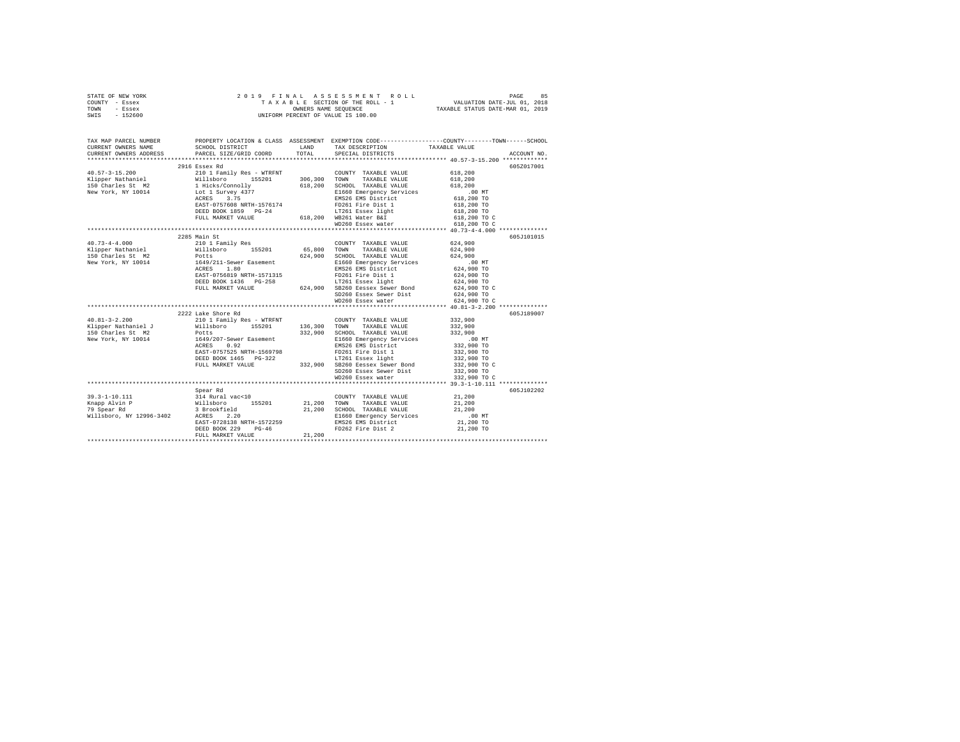|      | STATE OF NEW YORK |  | 2019 FINAL ASSESSMENT ROLL         | PAGE                             | 85 |
|------|-------------------|--|------------------------------------|----------------------------------|----|
|      | COUNTY - Essex    |  | TAXABLE SECTION OF THE ROLL - 1    | VALUATION DATE-JUL 01, 2018      |    |
| TOWN | - Essex           |  | OWNERS NAME SEOUENCE               | TAXABLE STATUS DATE-MAR 01, 2019 |    |
| SWIS | - 152600          |  | UNIFORM PERCENT OF VALUE IS 100.00 |                                  |    |

| TAX MAP PARCEL NUMBER |                                                                                                                                               |                                                                                                                                                                                                                                | PROPERTY LOCATION & CLASS ASSESSMENT EXEMPTION CODE----------------COUNTY-------TOWN-----SCHOOL                                                                                                                                                                                                                                    |
|-----------------------|-----------------------------------------------------------------------------------------------------------------------------------------------|--------------------------------------------------------------------------------------------------------------------------------------------------------------------------------------------------------------------------------|------------------------------------------------------------------------------------------------------------------------------------------------------------------------------------------------------------------------------------------------------------------------------------------------------------------------------------|
|                       |                                                                                                                                               |                                                                                                                                                                                                                                |                                                                                                                                                                                                                                                                                                                                    |
|                       |                                                                                                                                               |                                                                                                                                                                                                                                |                                                                                                                                                                                                                                                                                                                                    |
|                       | 2916 Essex Rd                                                                                                                                 |                                                                                                                                                                                                                                | 605Z017001                                                                                                                                                                                                                                                                                                                         |
|                       |                                                                                                                                               |                                                                                                                                                                                                                                |                                                                                                                                                                                                                                                                                                                                    |
|                       |                                                                                                                                               |                                                                                                                                                                                                                                |                                                                                                                                                                                                                                                                                                                                    |
|                       |                                                                                                                                               |                                                                                                                                                                                                                                |                                                                                                                                                                                                                                                                                                                                    |
|                       |                                                                                                                                               |                                                                                                                                                                                                                                |                                                                                                                                                                                                                                                                                                                                    |
|                       |                                                                                                                                               |                                                                                                                                                                                                                                |                                                                                                                                                                                                                                                                                                                                    |
|                       |                                                                                                                                               |                                                                                                                                                                                                                                |                                                                                                                                                                                                                                                                                                                                    |
|                       |                                                                                                                                               |                                                                                                                                                                                                                                | 618,200 TO                                                                                                                                                                                                                                                                                                                         |
|                       |                                                                                                                                               |                                                                                                                                                                                                                                | 618,200 TO C                                                                                                                                                                                                                                                                                                                       |
|                       | EAST-070000 REINI-150000 1263 12761 Essex light<br>DEED BOOK 1859 PG-24 128361 WB261 Water B&I<br>FULL MARKET VALUE 618,200 WB260 Essex water |                                                                                                                                                                                                                                | 618,200 TO C                                                                                                                                                                                                                                                                                                                       |
|                       |                                                                                                                                               |                                                                                                                                                                                                                                |                                                                                                                                                                                                                                                                                                                                    |
|                       | 2285 Main St                                                                                                                                  |                                                                                                                                                                                                                                | 605J101015                                                                                                                                                                                                                                                                                                                         |
|                       |                                                                                                                                               |                                                                                                                                                                                                                                |                                                                                                                                                                                                                                                                                                                                    |
|                       |                                                                                                                                               |                                                                                                                                                                                                                                |                                                                                                                                                                                                                                                                                                                                    |
|                       |                                                                                                                                               |                                                                                                                                                                                                                                |                                                                                                                                                                                                                                                                                                                                    |
|                       |                                                                                                                                               |                                                                                                                                                                                                                                |                                                                                                                                                                                                                                                                                                                                    |
|                       |                                                                                                                                               |                                                                                                                                                                                                                                |                                                                                                                                                                                                                                                                                                                                    |
|                       |                                                                                                                                               |                                                                                                                                                                                                                                |                                                                                                                                                                                                                                                                                                                                    |
|                       |                                                                                                                                               |                                                                                                                                                                                                                                |                                                                                                                                                                                                                                                                                                                                    |
|                       |                                                                                                                                               |                                                                                                                                                                                                                                | 624,900 TO C                                                                                                                                                                                                                                                                                                                       |
|                       |                                                                                                                                               | Processor and the Captain of the Captain of the Captain of the Captain of the Captain of the Captain of the Captain of the Captain of the Captain of the Captain of the Captain of the Captain of the Captain of the Captain o |                                                                                                                                                                                                                                                                                                                                    |
|                       |                                                                                                                                               |                                                                                                                                                                                                                                | 624,900 TO C                                                                                                                                                                                                                                                                                                                       |
|                       |                                                                                                                                               |                                                                                                                                                                                                                                |                                                                                                                                                                                                                                                                                                                                    |
|                       | 2222 Lake Shore Rd                                                                                                                            |                                                                                                                                                                                                                                | 605J189007                                                                                                                                                                                                                                                                                                                         |
|                       |                                                                                                                                               |                                                                                                                                                                                                                                |                                                                                                                                                                                                                                                                                                                                    |
|                       |                                                                                                                                               |                                                                                                                                                                                                                                |                                                                                                                                                                                                                                                                                                                                    |
|                       |                                                                                                                                               |                                                                                                                                                                                                                                |                                                                                                                                                                                                                                                                                                                                    |
|                       |                                                                                                                                               |                                                                                                                                                                                                                                |                                                                                                                                                                                                                                                                                                                                    |
|                       |                                                                                                                                               |                                                                                                                                                                                                                                |                                                                                                                                                                                                                                                                                                                                    |
|                       |                                                                                                                                               |                                                                                                                                                                                                                                |                                                                                                                                                                                                                                                                                                                                    |
|                       |                                                                                                                                               |                                                                                                                                                                                                                                |                                                                                                                                                                                                                                                                                                                                    |
|                       |                                                                                                                                               |                                                                                                                                                                                                                                |                                                                                                                                                                                                                                                                                                                                    |
|                       |                                                                                                                                               | SD260 Essex Sewer Dist 332,900 TO<br>WD260 Essex water 332,900 TO C                                                                                                                                                            |                                                                                                                                                                                                                                                                                                                                    |
|                       |                                                                                                                                               |                                                                                                                                                                                                                                |                                                                                                                                                                                                                                                                                                                                    |
|                       | Spear Rd                                                                                                                                      |                                                                                                                                                                                                                                | 605J102202                                                                                                                                                                                                                                                                                                                         |
|                       |                                                                                                                                               | $\begin{tabular}{lllllll} \textbf{COUNTY} & \textbf{TAXABLE} & \textbf{VALUE} & & \textbf{21,200} \end{tabular}$                                                                                                               |                                                                                                                                                                                                                                                                                                                                    |
|                       |                                                                                                                                               |                                                                                                                                                                                                                                |                                                                                                                                                                                                                                                                                                                                    |
|                       |                                                                                                                                               |                                                                                                                                                                                                                                |                                                                                                                                                                                                                                                                                                                                    |
|                       |                                                                                                                                               |                                                                                                                                                                                                                                |                                                                                                                                                                                                                                                                                                                                    |
|                       |                                                                                                                                               |                                                                                                                                                                                                                                |                                                                                                                                                                                                                                                                                                                                    |
|                       |                                                                                                                                               | FD262 Fire Dist 2                                                                                                                                                                                                              | 21,200 TO                                                                                                                                                                                                                                                                                                                          |
|                       |                                                                                                                                               |                                                                                                                                                                                                                                | $F_{\text{DSE}}$ = $F_{\text{DCE}}$ = $F_{\text{DSE}}$ = $F_{\text{DSE}}$ = $F_{\text{DSE}}$ = $F_{\text{DSE}}$ = $F_{\text{DSE}}$ = $F_{\text{DSE}}$ = $F_{\text{DSE}}$ = $F_{\text{DSE}}$ = $F_{\text{DSE}}$ = $F_{\text{DSE}}$ = $F_{\text{DSE}}$ = $F_{\text{DSE}}$ = $F_{\text{DSE}}$ = $F_{\text{DSE}}$ = $F_{\text{DSE}}$ = |
|                       |                                                                                                                                               |                                                                                                                                                                                                                                |                                                                                                                                                                                                                                                                                                                                    |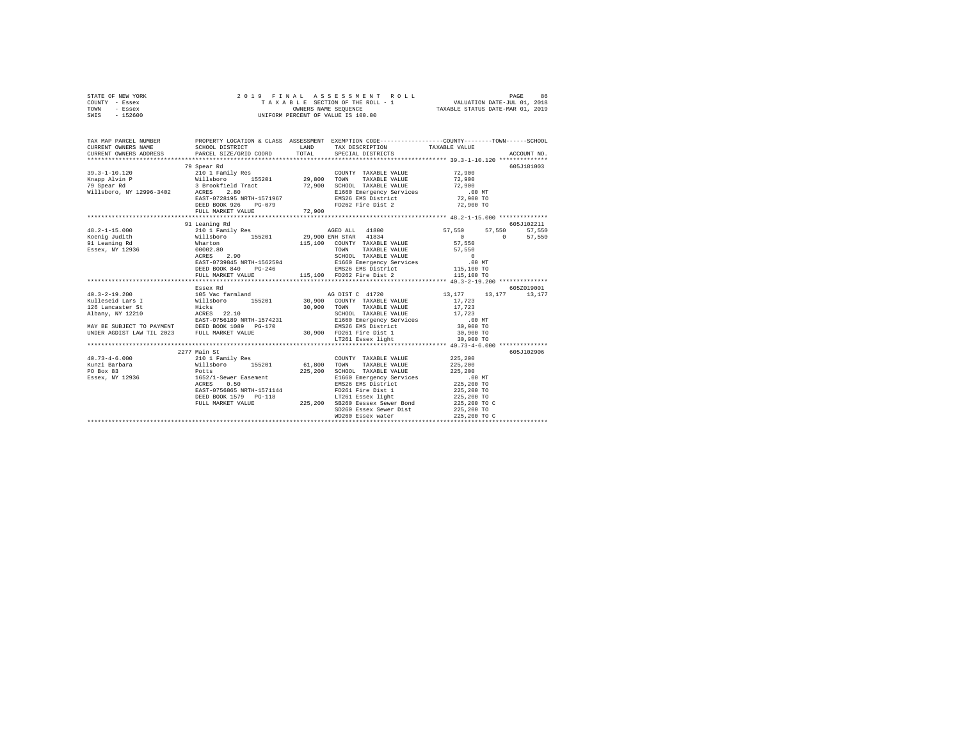| STATE OF NEW YORK | 2019 FINAL ASSESSMENT ROLL         | 86<br>PAGE                       |
|-------------------|------------------------------------|----------------------------------|
| COUNTY - Essex    | TAXABLE SECTION OF THE ROLL - 1    | VALUATION DATE-JUL 01, 2018      |
| TOWN<br>- Essex   | OWNERS NAME SEOUENCE               | TAXABLE STATUS DATE-MAR 01, 2019 |
| $-152600$<br>SWIS | UNIFORM PERCENT OF VALUE IS 100.00 |                                  |

| TAX MAP PARCEL NUMBER<br>CURRENT OWNERS NAME<br>CURRENT OWNERS ADDRESS                                                                                                                                                                                                                 |                                                                                                                                                                                                                                                                      | PROPERTY LOCATION & CLASS ASSESSMENT EXEMPTION CODE----------------COUNTY-------TOWN-----SCHOOL |                                            |                      |
|----------------------------------------------------------------------------------------------------------------------------------------------------------------------------------------------------------------------------------------------------------------------------------------|----------------------------------------------------------------------------------------------------------------------------------------------------------------------------------------------------------------------------------------------------------------------|-------------------------------------------------------------------------------------------------|--------------------------------------------|----------------------|
|                                                                                                                                                                                                                                                                                        | 79 Spear Rd                                                                                                                                                                                                                                                          |                                                                                                 |                                            | 605J181003           |
| $48.2 - 1 - 15.000$<br>$\begin{tabular}{l c c c c c} \hline 48.2-1-15.0100 & 44.00000 & 44.00000 & 44.00000 & 44.00000 & 44.00000 & 44.00000 & 44.00000 & 44.00000 & 44.00000 & 44.00000 & 44.00000 & 44.00000 & 44.00000 & 44.00000 & 44.00000 & 44.00000 & 44.00000 & 44.00000 & 44$ | 91 Leaning Rd<br>210 1 Family Res 67,550 EXT, 57,550 EXT, 57,550 EXT, 57,550 EXT, 57,550 EXT, 57,550 EXT, 57,550 EXT, 57,550 EXT, 57,550 EXT, 57,550 EXT, 57,550 EXT, 57,550 EXT, 57,550 EXT, 57,550 EXT, 57,550 EXT, 57,550 EXT, 57,550 EXT, 5<br>FULL MARKET VALUE | 115,100 FD262 Fire Dist 2                                                                       | $\sim$ 0 $\sim$<br>115,100 TO              | 605J102211<br>57.550 |
|                                                                                                                                                                                                                                                                                        | Essex Rd                                                                                                                                                                                                                                                             |                                                                                                 |                                            | 605Z019001           |
|                                                                                                                                                                                                                                                                                        |                                                                                                                                                                                                                                                                      |                                                                                                 |                                            |                      |
| UNDER AGDIST LAW TIL 2023 FULL MARKET VALUE                                                                                                                                                                                                                                            |                                                                                                                                                                                                                                                                      | 30,900 FD261 Fire Dist 1 30,900 TO<br>LT261 Essex light 30,900 TO                               |                                            |                      |
|                                                                                                                                                                                                                                                                                        |                                                                                                                                                                                                                                                                      | DEED BOOK 1579 PG-118 LT261 Essex light<br>FULL MARKET VALUE 225,200 SB260 Eessex Sewer Bond    |                                            | 605J102906           |
|                                                                                                                                                                                                                                                                                        |                                                                                                                                                                                                                                                                      | SD260 Essex Sewer Dist<br>WD260 Essex water                                                     | 225,200 TO C<br>225,200 TO<br>225,200 TO C |                      |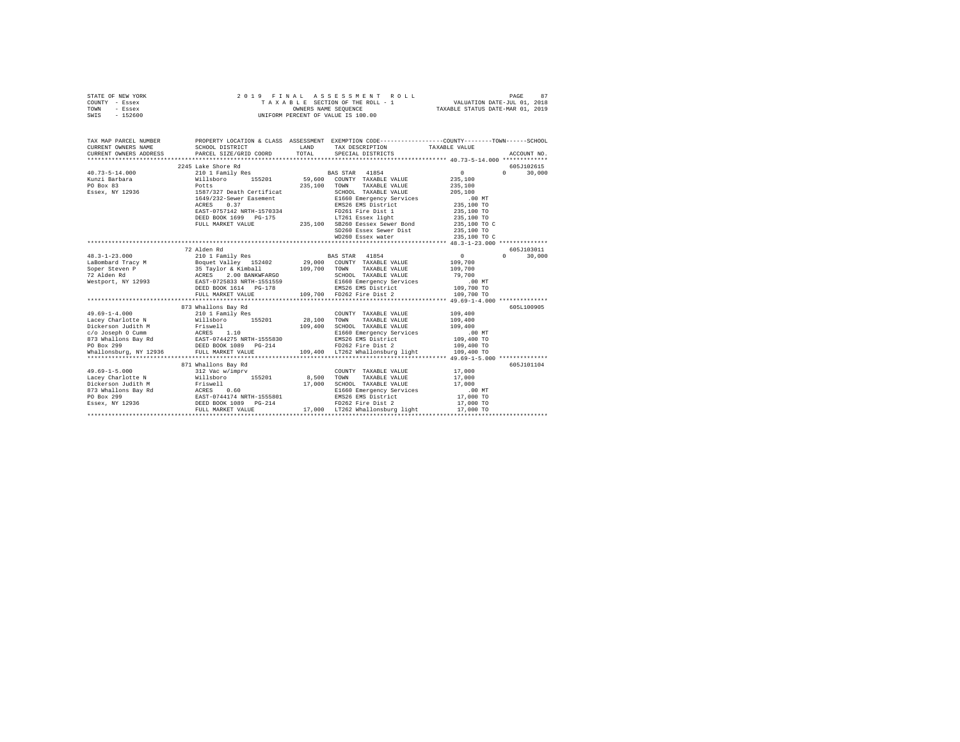| STATE OF NEW YORK | 2019 FINAL ASSESSMENT ROLL         | 87<br>PAGE                       |
|-------------------|------------------------------------|----------------------------------|
| COUNTY - Essex    | TAXABLE SECTION OF THE ROLL - 1    | VALUATION DATE-JUL 01, 2018      |
| TOWN<br>- Essex   | OWNERS NAME SEOUENCE               | TAXABLE STATUS DATE-MAR 01, 2019 |
| SWIS - 152600     | UNIFORM PERCENT OF VALUE IS 100.00 |                                  |

| TAX MAP PARCEL NUMBER<br>CURRENT OWNERS NAME<br>CURRENT OWNERS ADDRESS PARCEL SIZE/GRID COORD TOTAL SPECIAL DISTRICTS                                                                                                                | PROPERTY LOCATION & CLASS ASSESSMENT EXEMPTION CODE----------------COUNTY-------TOWN------SCHOOL<br>SCHOOL DISTRICT                                                                                                                           | <b>LAND</b> | TAX DESCRIPTION TAXABLE VALUE                                                                                                                                                                                                                                                              |                 |                                           |
|--------------------------------------------------------------------------------------------------------------------------------------------------------------------------------------------------------------------------------------|-----------------------------------------------------------------------------------------------------------------------------------------------------------------------------------------------------------------------------------------------|-------------|--------------------------------------------------------------------------------------------------------------------------------------------------------------------------------------------------------------------------------------------------------------------------------------------|-----------------|-------------------------------------------|
| $40.73 - 5 - 14.000$                                                                                                                                                                                                                 | 2245 Lake Shore Rd<br>210 1 Family Res BAS STAR 41854                                                                                                                                                                                         |             |                                                                                                                                                                                                                                                                                            | $\sim$ 0 $\sim$ | 605J102615<br>$0 \t 30.000$               |
| 1991 - 1992 - 1994 - 1994 - 1994 - 1994 - 1994 - 1994 - 1994 - 1994 - 1994 - 1994 - 1994 - 1994 - 1994 - 1995<br>1991 - 1992 - 1994 - 1995 - 1996 - 1997 - 1998 - 1997 - 1998 - 1997 - 1998 - 1997 - 1998 - 1997 - 1998 - 1997<br>19 | 1587/327 Death Certificat 2007/200 RAXABLE VALUE 205,100<br>1649/232-Sewer Easement EMS00 Emergency Services 205,100<br>1678-2012 RATE-1570334 PMS26 EMS District<br>1680 EMS District 235,100 TO<br>16826 EMS District 235,100 TO<br>16826 E |             |                                                                                                                                                                                                                                                                                            |                 |                                           |
|                                                                                                                                                                                                                                      |                                                                                                                                                                                                                                               |             | SD260 Essex Sewer Dist 235,100 TO<br>WD260 Essex water 235,100 TO C                                                                                                                                                                                                                        |                 |                                           |
|                                                                                                                                                                                                                                      |                                                                                                                                                                                                                                               |             |                                                                                                                                                                                                                                                                                            |                 |                                           |
| $48.3 - 1 - 23.000$<br>$49.69 - 1 - 4.000$<br>Lacey Charlotte N Millsboro 155201 28,100 TOWN TAXABLE VALUE 109,400                                                                                                                   | 72 Alden Rd<br>873 Whallons Bay Rd<br>whallons Bay Kd<br>210 1 Family Res                                                                                                                                                                     |             | COUNTY TAXABLE VALUE 109,400                                                                                                                                                                                                                                                               | $\sim$ 0        | 605J103011<br>$0 \t 30.000$<br>605L100905 |
| 1992 (1992)<br>1994 - 1994 - 1994 - 1994 - 1994 - 1994 - 1994 - 1994 - 1994 - 1994 - 1994 - 1994 - 1994 - 1994 - 1994 - 1994<br>1994 - 1994 - 1994 - 1994 - 1994 - 1994 - 1994 - 1994 - 1994 - 1994 - 1994 - 1994 - 1994 - 1994 - 1  |                                                                                                                                                                                                                                               |             |                                                                                                                                                                                                                                                                                            |                 |                                           |
|                                                                                                                                                                                                                                      | 871 Whallons Bay Rd                                                                                                                                                                                                                           | 17,000      | COUNTY TAXABLE VALUE<br>8,500 TOWN TAXABLE VALUE<br>$\begin{tabular}{lllllllll} \texttt{COUNTY} & \texttt{TAXABLE VALUE} & & & & 17,000 \end{tabular}$<br>SCHOOL TAXABLE VALUE 17,000<br>E1660 Emergency Services 17,000 MT<br>EMS26 EMS District 17,000 TO<br>FD262 Fire Dist 2 17,000 TO | 17,000          | 605J101104                                |
|                                                                                                                                                                                                                                      |                                                                                                                                                                                                                                               |             | 17,000 LT262 Whallonsburg light                                                                                                                                                                                                                                                            | 17,000 TO       |                                           |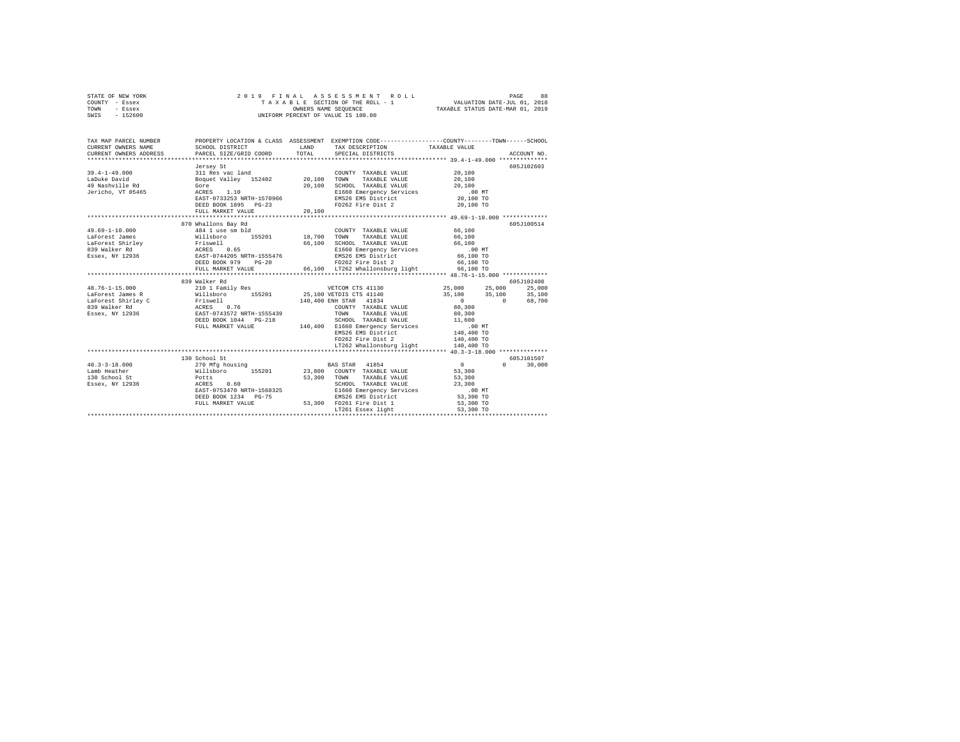|      | STATE OF NEW YORK |  |  | 2019 FINAL ASSESSMENT ROLL         | PAGE                             | 88 |
|------|-------------------|--|--|------------------------------------|----------------------------------|----|
|      | COUNTY - Essex    |  |  | TAXABLE SECTION OF THE ROLL - 1    | VALUATION DATE-JUL 01, 2018      |    |
| TOWN | - Essex           |  |  | OWNERS NAME SEOUENCE               | TAXABLE STATUS DATE-MAR 01, 2019 |    |
| SWIS | $-152600$         |  |  | UNIFORM PERCENT OF VALUE IS 100.00 |                                  |    |

| TAX MAP PARCEL NUMBER<br>CURRENT OWNERS NAME<br>CURRENT OWNERS ADDRESS                                                                                                        | SCHOOL DISTRICT<br>PARCEL SIZE/GRID COORD                                                                                                                                                | LAND<br>TOTAL    | PROPERTY LOCATION & CLASS ASSESSMENT EXEMPTION CODE----------------COUNTY-------TOWN------SCHOOL<br>TAX DESCRIPTION TAXABLE VALUE<br>SPECIAL DISTRICTS                                                                     |                                                                                                                                                                                                | ACCOUNT NO.          |
|-------------------------------------------------------------------------------------------------------------------------------------------------------------------------------|------------------------------------------------------------------------------------------------------------------------------------------------------------------------------------------|------------------|----------------------------------------------------------------------------------------------------------------------------------------------------------------------------------------------------------------------------|------------------------------------------------------------------------------------------------------------------------------------------------------------------------------------------------|----------------------|
| $39.4 - 1 - 49.000$<br>LaDuke David<br>49 Nashville Rd<br>Jericho, VT 05465                                                                                                   | Jersey St<br>311 Res vac land<br>Boquet Valley 152402 20.100 TOWN<br>Gore<br>ACRES 1.10<br>EAST-0733253 NRTH-1570966<br>DEED BOOK 1895 PG-23<br>FULL MARKET VALUE                        | 20,100<br>20,100 | COUNTY TAXABLE VALUE<br>TAXABLE VALUE<br>SCHOOL TAXABLE VALUE<br>E1660 Emergency Services<br>EMS26 EMS District<br>FD262 Fire Dist 2                                                                                       | 20,100<br>20,100<br>20,100<br>.00 MT<br>20,100 TO<br>20,100 TO                                                                                                                                 | 605J102603           |
| 49.69-1-10.000<br>LaForest James<br>LaForest Shirley Friswell<br>839 Walker Rd<br>Essex, NY 12936                                                                             | 870 Whallons Bay Rd<br>484 1 use sm bld<br>Willsboro 155201 18,700 TOWN TAXABLE VALUE 66,100<br>ACRES 0.65<br>EAST-0744205 NRTH-1555476<br>DEED BOOK 979<br>$PG-20$<br>FULL MARKET VALUE |                  | COUNTY TAXABLE VALUE<br>66,100 SCHOOL TAXABLE VALUE 66,100<br>E1660 Emergency Services .00 MT<br>EMS26 EMS District 66,100 TO<br>EMS26 EMS District<br>FD262 Fire Dist 2<br>66,100 LT262 Whallonsburg light 66,100 TO      | 66,100<br>66,100 TO                                                                                                                                                                            | 605J100514           |
| 48.76-1-15.000<br>LaForest James R<br>% LaForest Gains a Real Millian (1992)<br>1939 Walker Rd (1992) Milliam (1993)<br>1939 ESSEX, NY 12936 (1993) NAST-0743572 NRTH-1555439 | 839 Walker Rd<br>DEED BOOK 1044 PG-218<br>FULL MARKET VALUE                                                                                                                              |                  | 25,100 VETDIS CTS 41140<br>140,400 ENH STAR 41834<br>COUNTY TAXABLE VALUE 80,300<br>TAXABLE VALUE<br>TOWN<br>SCHOOL TAXABLE VALUE 11,600<br>EMS26 EMS District<br>FD262 Fire Dist 2<br>LT262 Whallonsburg light 140,400 TO | $\begin{array}{cccc} 25\,,000 & \quad & 25\,,000 & \quad & 25\,,000 \\ 35\,,100 & \quad & 35\,,100 & \quad & 35\,,100 \\ 0 & \quad & 0 & \quad & 68\,,700 \end{array}$<br>80,300<br>140,400 TO | 605J102408           |
| $40.3 - 3 - 18.000$<br>Lamb Heather<br>130 School St<br><b>ACRES</b><br>Essex, NY 12936                                                                                       | 130 School St<br>270 Mfg housing<br>Willsboro 155201 23,800 COUNTY TAXABLE VALUE<br>Potts<br>0.60<br>EAST-0753470 NRTH-1568325<br>DEED BOOK 1234 PG-75<br>FULL MARKET VALUE              |                  | <b>BAS STAR</b> 41854<br>53,300 TOWN<br>TAXABLE VALUE<br>SCHOOL TAXABLE VALUE<br>E1660 Emergency Services<br>EMS26 EMS District<br>53,300 FD261 Fire Dist 1<br>LT261 Essex light                                           | $\sim$ 0<br>$\Omega$<br>53,300<br>53,300<br>23,300<br>$.00$ MT<br>53,300 TO<br>53,300 TO<br>53,300 TO                                                                                          | 605J101507<br>30,000 |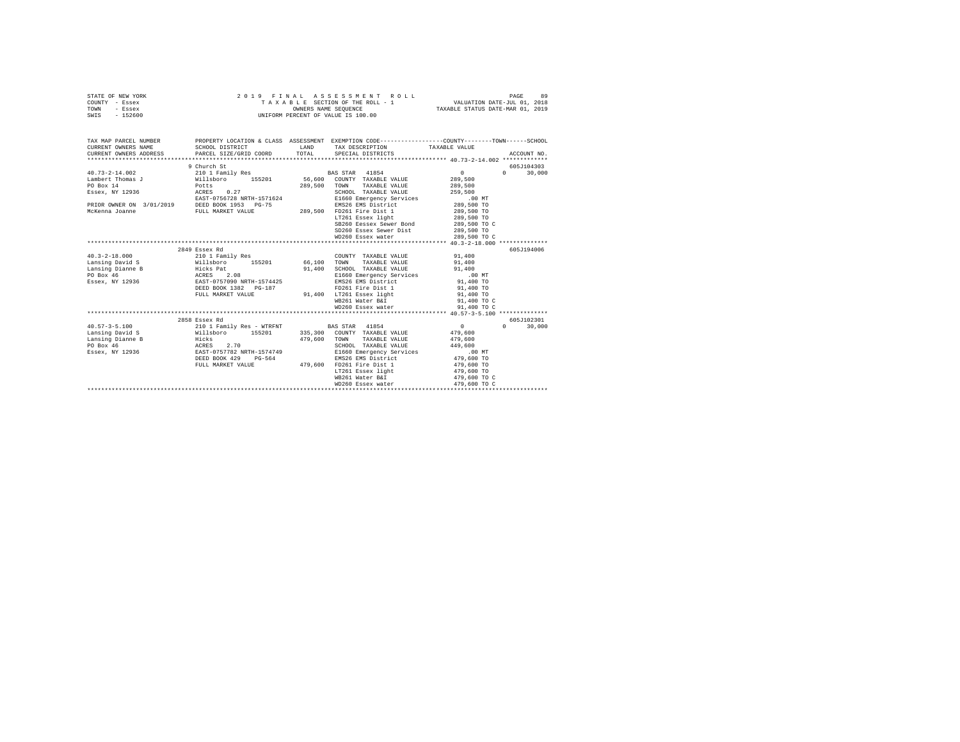| STATE OF NEW YORK | 2019 FINAL ASSESSMENT ROLL         | 89<br>PAGE                       |
|-------------------|------------------------------------|----------------------------------|
| COUNTY - Essex    | TAXABLE SECTION OF THE ROLL - 1    | VALUATION DATE-JUL 01, 2018      |
| TOWN<br>- Essex   | OWNERS NAME SEOUENCE               | TAXABLE STATUS DATE-MAR 01, 2019 |
| $-152600$<br>SWIS | UNIFORM PERCENT OF VALUE IS 100.00 |                                  |

| TAX MAP PARCEL NUMBER<br>CURRENT OWNERS NAME                                 | SCHOOL DISTRICT                                                         | LAND | PROPERTY LOCATION & CLASS ASSESSMENT EXEMPTION CODE----------------COUNTY-------TOWN------SCHOOL<br>TAX DESCRIPTION TAXABLE VALUE |                                 |                    |
|------------------------------------------------------------------------------|-------------------------------------------------------------------------|------|-----------------------------------------------------------------------------------------------------------------------------------|---------------------------------|--------------------|
| CURRENT OWNERS ADDRESS PARCEL SIZE/GRID COORD TOTAL SPECIAL DISTRICTS        |                                                                         |      |                                                                                                                                   |                                 | ACCOUNT NO.        |
|                                                                              |                                                                         |      |                                                                                                                                   |                                 |                    |
|                                                                              | 9 Church St                                                             |      |                                                                                                                                   |                                 | 605J104303         |
| $40.73 - 2 - 14.002$                                                         |                                                                         |      |                                                                                                                                   | $\mathbf{0}$ and $\mathbf{0}$   | $0 \t 30.000$      |
| Lambert Thomas J                                                             |                                                                         |      |                                                                                                                                   | 289,500                         |                    |
| Potts<br>PO Box 14                                                           |                                                                         |      | 289,500 TOWN TAXABLE VALUE 289,500                                                                                                |                                 |                    |
| Essex, NY 12936    ACRES    0.27                                             |                                                                         |      | SCHOOL TAXABLE VALUE                                                                                                              | 259,500                         |                    |
|                                                                              |                                                                         |      |                                                                                                                                   |                                 |                    |
|                                                                              |                                                                         |      | E1660 Emergency Services 6.00 MT<br>EMS26 EMS District 289,500 TO                                                                 |                                 |                    |
|                                                                              |                                                                         |      |                                                                                                                                   | 289,500 TO                      |                    |
|                                                                              |                                                                         |      |                                                                                                                                   | 289,500 TO                      |                    |
|                                                                              |                                                                         |      | SB260 Eessex Sewer Bond 289,500 TO C                                                                                              |                                 |                    |
|                                                                              |                                                                         |      | SD260 Essex Sewer Dist 289,500 TO                                                                                                 |                                 |                    |
|                                                                              |                                                                         |      | WD260 Essex water                                                                                                                 | 289,500 TO C                    |                    |
|                                                                              |                                                                         |      |                                                                                                                                   |                                 |                    |
|                                                                              | 2849 Essex Rd                                                           |      |                                                                                                                                   |                                 | 605J194006         |
|                                                                              |                                                                         |      | COUNTY TAXABLE VALUE                                                                                                              | 91,400                          |                    |
|                                                                              |                                                                         |      |                                                                                                                                   | 91,400                          |                    |
|                                                                              |                                                                         |      |                                                                                                                                   | 91,400                          |                    |
|                                                                              |                                                                         |      | E1660 Emergency Services .00 MT                                                                                                   |                                 |                    |
|                                                                              |                                                                         |      | EMS26 EMS District 91,400 TO                                                                                                      |                                 |                    |
|                                                                              | DEED BOOK 1382 PG-187                                                   |      | FD261 Fire Dist 1 91,400 TO                                                                                                       |                                 |                    |
|                                                                              |                                                                         |      | FULL MARKET VALUE 91,400 LT261 Essex light                                                                                        | 91,400 TO                       |                    |
|                                                                              |                                                                         |      | WB261 Water B&I                                                                                                                   | 91,400 TO C                     |                    |
|                                                                              |                                                                         |      | WD260 Essex water                                                                                                                 | 91,400 TO C                     |                    |
|                                                                              |                                                                         |      |                                                                                                                                   |                                 |                    |
|                                                                              | 2858 Essex Rd                                                           |      |                                                                                                                                   |                                 | 605J102301         |
| 40.57-3-5.100 210 1 Family Res - WTRFNT BAS STAR 41854                       |                                                                         |      |                                                                                                                                   | $\sim$ 0                        | 30,000<br>$\Omega$ |
| Lansing David S 37,600 Willsboro 155201 335,300 COUNTY TAXABLE VALUE 479,600 |                                                                         |      |                                                                                                                                   |                                 |                    |
| Lansing Dianne B                                                             | 479,600                                                                 |      | TOWN<br>TAXABLE VALUE 479,600                                                                                                     |                                 |                    |
| PO Box 46                                                                    |                                                                         |      | SCHOOL TAXABLE VALUE                                                                                                              |                                 |                    |
| Essex, NY 12936                                                              | Hicks<br>ACRES 2.70<br>EAST-075782 NRTH-1574749<br>PEER POOK 420 PS 564 |      | E1660 Emergency Services<br>EMS26 EMS District                                                                                    | 449,600<br>00 MT.<br>479,600 TO |                    |
|                                                                              | DEED BOOK 429 PG-564                                                    |      |                                                                                                                                   |                                 |                    |
|                                                                              |                                                                         |      | FULL MARKET VALUE 479,600 FD261 Fire Dist 1 479,600 TO                                                                            |                                 |                    |
|                                                                              |                                                                         |      | LT261 Essex light 479,600 TO                                                                                                      |                                 |                    |
|                                                                              |                                                                         |      | WB261 Water B&I                                                                                                                   | 479,600 TO C                    |                    |
|                                                                              |                                                                         |      | WD260 Essex water                                                                                                                 | 479,600 TO C                    |                    |
|                                                                              |                                                                         |      |                                                                                                                                   |                                 |                    |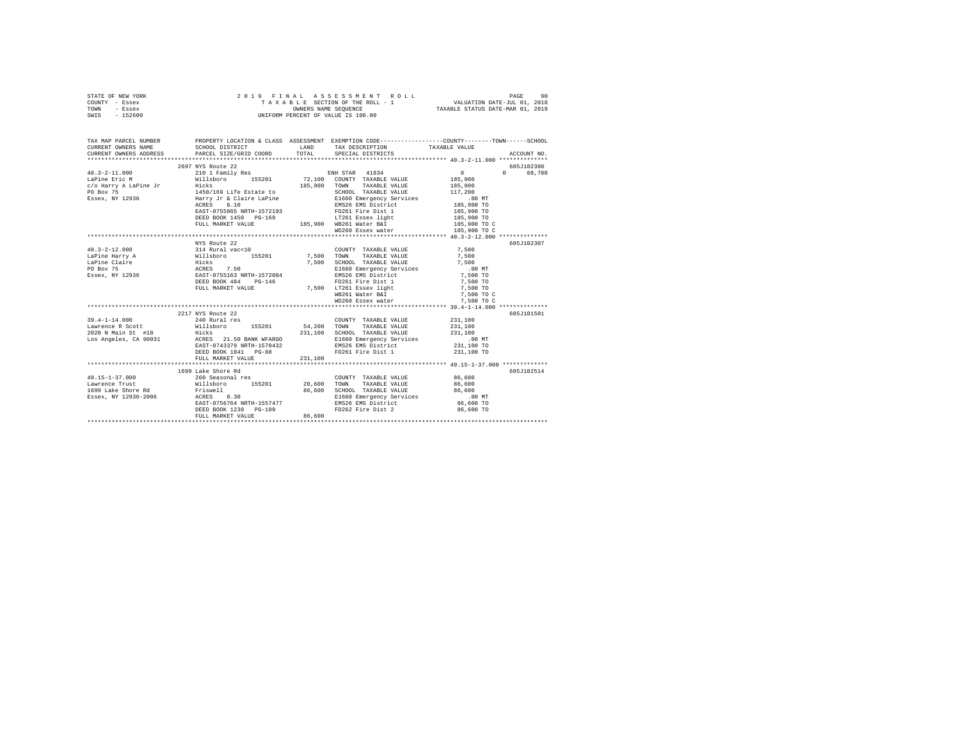|      | STATE OF NEW YORK |  | 2019 FINAL ASSESSMENT ROLL         |                                  | PAGE                        | 90 |
|------|-------------------|--|------------------------------------|----------------------------------|-----------------------------|----|
|      | COUNTY - Essex    |  | TAXABLE SECTION OF THE ROLL - 1    |                                  | VALUATION DATE-JUL 01, 2018 |    |
| TOWN | - Essex           |  | OWNERS NAME SEOUENCE               | TAXABLE STATUS DATE-MAR 01, 2019 |                             |    |
| SWIS | $-152600$         |  | UNIFORM PERCENT OF VALUE IS 100.00 |                                  |                             |    |

| TAX MAP PARCEL NUMBER                                                                                                                                                                                                                                                                                                                                                                                    |                                                                                |        | PROPERTY LOCATION & CLASS ASSESSMENT EXEMPTION CODE----------------COUNTY-------TOWN------SCHOOL         |                                                                                                                                                                                                                                                                                               |            |
|----------------------------------------------------------------------------------------------------------------------------------------------------------------------------------------------------------------------------------------------------------------------------------------------------------------------------------------------------------------------------------------------------------|--------------------------------------------------------------------------------|--------|----------------------------------------------------------------------------------------------------------|-----------------------------------------------------------------------------------------------------------------------------------------------------------------------------------------------------------------------------------------------------------------------------------------------|------------|
|                                                                                                                                                                                                                                                                                                                                                                                                          |                                                                                |        |                                                                                                          |                                                                                                                                                                                                                                                                                               |            |
|                                                                                                                                                                                                                                                                                                                                                                                                          | 2697 NYS Route 22                                                              |        |                                                                                                          |                                                                                                                                                                                                                                                                                               | 605J102308 |
|                                                                                                                                                                                                                                                                                                                                                                                                          |                                                                                |        |                                                                                                          | $\sim$ 0 $\sim$ 0 $\sim$ 0 $\sim$ 0 $\sim$ 0 $\sim$ 0 $\sim$ 0 $\sim$ 0 $\sim$ 0 $\sim$ 0 $\sim$ 0 $\sim$ 0 $\sim$ 0 $\sim$ 0 $\sim$ 0 $\sim$ 0 $\sim$ 0 $\sim$ 0 $\sim$ 0 $\sim$ 0 $\sim$ 0 $\sim$ 0 $\sim$ 0 $\sim$ 0 $\sim$ 0 $\sim$ 0 $\sim$ 0 $\sim$ 0 $\sim$ 0 $\sim$ 0 $\sim$ 0 $\sim$ | 0 68,700   |
|                                                                                                                                                                                                                                                                                                                                                                                                          |                                                                                |        |                                                                                                          |                                                                                                                                                                                                                                                                                               |            |
|                                                                                                                                                                                                                                                                                                                                                                                                          |                                                                                |        |                                                                                                          |                                                                                                                                                                                                                                                                                               |            |
|                                                                                                                                                                                                                                                                                                                                                                                                          |                                                                                |        |                                                                                                          |                                                                                                                                                                                                                                                                                               |            |
| $\begin{tabular}{l c c c c} \multicolumn{3}{c c c} \multicolumn{3}{c c c} \multicolumn{3}{c c c} \multicolumn{3}{c c c} \multicolumn{3}{c c c} \multicolumn{3}{c c c} \multicolumn{3}{c c c} \multicolumn{3}{c c c} \multicolumn{3}{c c c} \multicolumn{3}{c c c} \multicolumn{3}{c c c} \multicolumn{3}{c c c} \multicolumn{3}{c c c} \multicolumn{3}{c c c} \multicolumn{3}{c c c} \multicolumn{3}{c $ |                                                                                |        |                                                                                                          |                                                                                                                                                                                                                                                                                               |            |
|                                                                                                                                                                                                                                                                                                                                                                                                          |                                                                                |        |                                                                                                          |                                                                                                                                                                                                                                                                                               |            |
|                                                                                                                                                                                                                                                                                                                                                                                                          |                                                                                |        |                                                                                                          |                                                                                                                                                                                                                                                                                               |            |
|                                                                                                                                                                                                                                                                                                                                                                                                          |                                                                                |        |                                                                                                          |                                                                                                                                                                                                                                                                                               |            |
|                                                                                                                                                                                                                                                                                                                                                                                                          |                                                                                |        |                                                                                                          |                                                                                                                                                                                                                                                                                               |            |
|                                                                                                                                                                                                                                                                                                                                                                                                          |                                                                                |        | WD260 Essex water 185,900 TO C                                                                           |                                                                                                                                                                                                                                                                                               |            |
|                                                                                                                                                                                                                                                                                                                                                                                                          |                                                                                |        |                                                                                                          |                                                                                                                                                                                                                                                                                               |            |
|                                                                                                                                                                                                                                                                                                                                                                                                          |                                                                                |        |                                                                                                          |                                                                                                                                                                                                                                                                                               | 605J102307 |
|                                                                                                                                                                                                                                                                                                                                                                                                          |                                                                                |        |                                                                                                          |                                                                                                                                                                                                                                                                                               |            |
|                                                                                                                                                                                                                                                                                                                                                                                                          |                                                                                |        |                                                                                                          |                                                                                                                                                                                                                                                                                               |            |
|                                                                                                                                                                                                                                                                                                                                                                                                          |                                                                                |        |                                                                                                          |                                                                                                                                                                                                                                                                                               |            |
|                                                                                                                                                                                                                                                                                                                                                                                                          |                                                                                |        |                                                                                                          |                                                                                                                                                                                                                                                                                               |            |
|                                                                                                                                                                                                                                                                                                                                                                                                          |                                                                                |        |                                                                                                          |                                                                                                                                                                                                                                                                                               |            |
|                                                                                                                                                                                                                                                                                                                                                                                                          |                                                                                |        |                                                                                                          |                                                                                                                                                                                                                                                                                               |            |
|                                                                                                                                                                                                                                                                                                                                                                                                          |                                                                                |        |                                                                                                          |                                                                                                                                                                                                                                                                                               |            |
|                                                                                                                                                                                                                                                                                                                                                                                                          |                                                                                |        |                                                                                                          |                                                                                                                                                                                                                                                                                               |            |
|                                                                                                                                                                                                                                                                                                                                                                                                          |                                                                                |        |                                                                                                          |                                                                                                                                                                                                                                                                                               |            |
|                                                                                                                                                                                                                                                                                                                                                                                                          |                                                                                |        |                                                                                                          |                                                                                                                                                                                                                                                                                               |            |
|                                                                                                                                                                                                                                                                                                                                                                                                          | 2217 NYS Route 22                                                              |        |                                                                                                          |                                                                                                                                                                                                                                                                                               | 605J101501 |
| 39.4-1-14.000 240 Rural res                                                                                                                                                                                                                                                                                                                                                                              |                                                                                |        | COUNTY TAXABLE VALUE 231,100                                                                             |                                                                                                                                                                                                                                                                                               |            |
|                                                                                                                                                                                                                                                                                                                                                                                                          |                                                                                |        |                                                                                                          |                                                                                                                                                                                                                                                                                               |            |
|                                                                                                                                                                                                                                                                                                                                                                                                          |                                                                                |        |                                                                                                          |                                                                                                                                                                                                                                                                                               |            |
|                                                                                                                                                                                                                                                                                                                                                                                                          |                                                                                |        |                                                                                                          |                                                                                                                                                                                                                                                                                               |            |
|                                                                                                                                                                                                                                                                                                                                                                                                          | EAST-0743379 NRTH-1570432<br>DEED BOOK 1841 PG-88<br>FULL MARKET VALUE 231,100 |        |                                                                                                          |                                                                                                                                                                                                                                                                                               |            |
|                                                                                                                                                                                                                                                                                                                                                                                                          |                                                                                |        | FD261 Fire Dist 1                                                                                        | 231,100 TO                                                                                                                                                                                                                                                                                    |            |
|                                                                                                                                                                                                                                                                                                                                                                                                          |                                                                                |        |                                                                                                          |                                                                                                                                                                                                                                                                                               |            |
|                                                                                                                                                                                                                                                                                                                                                                                                          |                                                                                |        |                                                                                                          |                                                                                                                                                                                                                                                                                               |            |
|                                                                                                                                                                                                                                                                                                                                                                                                          | 1699 Lake Shore Rd                                                             |        |                                                                                                          |                                                                                                                                                                                                                                                                                               | 605J102514 |
|                                                                                                                                                                                                                                                                                                                                                                                                          |                                                                                |        |                                                                                                          |                                                                                                                                                                                                                                                                                               |            |
|                                                                                                                                                                                                                                                                                                                                                                                                          |                                                                                |        |                                                                                                          |                                                                                                                                                                                                                                                                                               |            |
|                                                                                                                                                                                                                                                                                                                                                                                                          |                                                                                |        |                                                                                                          |                                                                                                                                                                                                                                                                                               |            |
|                                                                                                                                                                                                                                                                                                                                                                                                          |                                                                                |        |                                                                                                          |                                                                                                                                                                                                                                                                                               |            |
|                                                                                                                                                                                                                                                                                                                                                                                                          |                                                                                |        | EAST-0756764 NRTH-1557477 EMS26 EMS District (1990)<br>DEED BOOK 1230 PG-109 FD262 Fire Dist 2 86.600 TO |                                                                                                                                                                                                                                                                                               |            |
|                                                                                                                                                                                                                                                                                                                                                                                                          |                                                                                | 86,600 |                                                                                                          |                                                                                                                                                                                                                                                                                               |            |
|                                                                                                                                                                                                                                                                                                                                                                                                          | FULL MARKET VALUE                                                              |        |                                                                                                          |                                                                                                                                                                                                                                                                                               |            |
|                                                                                                                                                                                                                                                                                                                                                                                                          |                                                                                |        |                                                                                                          |                                                                                                                                                                                                                                                                                               |            |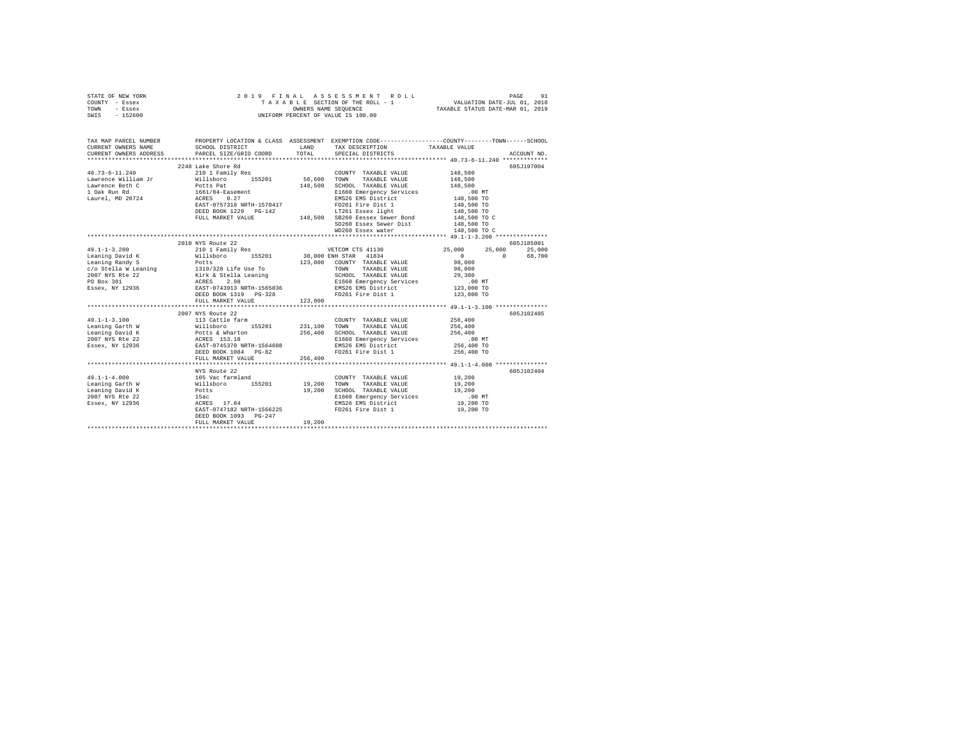|      | STATE OF NEW YORK |  | 2019 FINAL ASSESSMENT ROLL         |                                  | PAGE                        | 91 |
|------|-------------------|--|------------------------------------|----------------------------------|-----------------------------|----|
|      | COUNTY - Essex    |  | TAXABLE SECTION OF THE ROLL - 1    |                                  | VALUATION DATE-JUL 01, 2018 |    |
| TOWN | - Essex           |  | OWNERS NAME SEOUENCE               | TAXABLE STATUS DATE-MAR 01, 2019 |                             |    |
| SWIS | $-152600$         |  | UNIFORM PERCENT OF VALUE IS 100.00 |                                  |                             |    |

| TAX MAP PARCEL NUMBER                                                                                                                                                                                                                                                                                                                                                                                                  | PROPERTY LOCATION & CLASS ASSESSMENT EXEMPTION CODE----------------COUNTY-------TOWN------SCHOOL |         |                                                            |                            |             |
|------------------------------------------------------------------------------------------------------------------------------------------------------------------------------------------------------------------------------------------------------------------------------------------------------------------------------------------------------------------------------------------------------------------------|--------------------------------------------------------------------------------------------------|---------|------------------------------------------------------------|----------------------------|-------------|
|                                                                                                                                                                                                                                                                                                                                                                                                                        |                                                                                                  |         |                                                            |                            |             |
|                                                                                                                                                                                                                                                                                                                                                                                                                        | 2248 Lake Shore Rd                                                                               |         |                                                            |                            | 605-7197004 |
| $40.73 - 6 - 11.240$                                                                                                                                                                                                                                                                                                                                                                                                   | 210 1 Family Res                                                                                 |         | COUNTY TAXABLE VALUE                                       | 148,500                    |             |
| Contract Contract Milleboro 155201 56,600 TOWN TAXABLE VALUE 148,500<br>Lawrence William Jr Willeboro 155201 56,600 TOWN TAXABLE VALUE 148,500<br>Lement 148,500 SCHOOL POCKS 0.27<br>Laurel, MD 20724 ACRES 0.27<br>Laurel, MD 20724 ACRE                                                                                                                                                                             |                                                                                                  |         |                                                            |                            |             |
|                                                                                                                                                                                                                                                                                                                                                                                                                        |                                                                                                  |         |                                                            |                            |             |
|                                                                                                                                                                                                                                                                                                                                                                                                                        |                                                                                                  |         |                                                            |                            |             |
|                                                                                                                                                                                                                                                                                                                                                                                                                        |                                                                                                  |         |                                                            |                            |             |
|                                                                                                                                                                                                                                                                                                                                                                                                                        |                                                                                                  |         |                                                            |                            |             |
|                                                                                                                                                                                                                                                                                                                                                                                                                        | DEED BOOK 1229 PG-142                                                                            |         | G-142 LT261 Essex light<br>148,500 SB260 Eessex Sewer Bond | 148,500 TO<br>148,500 TO C |             |
|                                                                                                                                                                                                                                                                                                                                                                                                                        | FULL MARKET VALUE                                                                                |         |                                                            |                            |             |
|                                                                                                                                                                                                                                                                                                                                                                                                                        |                                                                                                  |         | SD260 Essex Sewer Dist 148,500 TO                          |                            |             |
|                                                                                                                                                                                                                                                                                                                                                                                                                        |                                                                                                  |         | WD260 Essex water                                          | 148,500 TO C               |             |
|                                                                                                                                                                                                                                                                                                                                                                                                                        |                                                                                                  |         |                                                            |                            |             |
|                                                                                                                                                                                                                                                                                                                                                                                                                        | 2010 NYS Route 22                                                                                |         |                                                            |                            | 605J185001  |
| $\begin{array}{l} \texttt{49.1-1-3.200} \end{array} \hspace{3.5cm} \begin{array}{l} \texttt{20.1} \\ \texttt{21.2} \\ \texttt{22.3} \\ \texttt{Learning David K} \end{array} \hspace{3.5cm} \begin{array}{l} \texttt{21.1} \\ \texttt{22.1} \\ \texttt{Wall} \\ \texttt{33.000} \\ \texttt{24.1} \\ \texttt{25.000} \\ \texttt{15.201} \\ \texttt{16.1} \\ \texttt{17.1} \\ \texttt{29.1} \\ \texttt{20.1} \\ \texttt$ |                                                                                                  |         |                                                            | 25,000                     | 25,000      |
|                                                                                                                                                                                                                                                                                                                                                                                                                        |                                                                                                  |         |                                                            | $\Omega$                   | 68,700      |
|                                                                                                                                                                                                                                                                                                                                                                                                                        |                                                                                                  |         |                                                            | 98,000                     |             |
|                                                                                                                                                                                                                                                                                                                                                                                                                        |                                                                                                  |         |                                                            |                            |             |
|                                                                                                                                                                                                                                                                                                                                                                                                                        |                                                                                                  |         |                                                            |                            |             |
|                                                                                                                                                                                                                                                                                                                                                                                                                        |                                                                                                  |         |                                                            |                            |             |
|                                                                                                                                                                                                                                                                                                                                                                                                                        |                                                                                                  |         |                                                            |                            |             |
|                                                                                                                                                                                                                                                                                                                                                                                                                        | DEED BOOK 1319 PG-328                                                                            |         |                                                            | 123,000 TO                 |             |
|                                                                                                                                                                                                                                                                                                                                                                                                                        | FULL MARKET VALUE                                                                                |         | FD261 Fire Dist 1<br>123,000                               |                            |             |
|                                                                                                                                                                                                                                                                                                                                                                                                                        |                                                                                                  |         |                                                            |                            |             |
|                                                                                                                                                                                                                                                                                                                                                                                                                        | 2007 NYS Route 22                                                                                |         |                                                            |                            | 605J102405  |
| $49.1 - 1 - 3.100$                                                                                                                                                                                                                                                                                                                                                                                                     | 113 Cattle farm                                                                                  |         | COUNTY TAXABLE VALUE 256,400                               |                            |             |
|                                                                                                                                                                                                                                                                                                                                                                                                                        |                                                                                                  |         | TOWN<br>TAXABLE VALUE 256,400                              |                            |             |
|                                                                                                                                                                                                                                                                                                                                                                                                                        |                                                                                                  |         | 256,400 SCHOOL TAXABLE VALUE<br>E1660 Emergency Services   | 256,400                    |             |
|                                                                                                                                                                                                                                                                                                                                                                                                                        |                                                                                                  |         |                                                            | .00MT                      |             |
|                                                                                                                                                                                                                                                                                                                                                                                                                        |                                                                                                  |         |                                                            | 256,400 TO                 |             |
| 1911 = 1921,100<br>1920 = 1920 = 1920 = 1920 = 1920 = 1920<br>1920 = 1921 = 1920 = 1920 = 1920 = 1920<br>1920 = 1920 = 1920 = 1920 = 1920 = 1920<br>1920 = 1920 = 1920 = 1920 = 1920 = 1920 = 1920 = 1920 = 1920 = 1920 = 1920 = 1920                                                                                                                                                                                  |                                                                                                  |         | EMS26 EMS District<br>FD261 Fire District                  | 256,400 TO                 |             |
|                                                                                                                                                                                                                                                                                                                                                                                                                        | FULL MARKET VALUE                                                                                | 256,400 |                                                            |                            |             |
|                                                                                                                                                                                                                                                                                                                                                                                                                        |                                                                                                  |         |                                                            |                            |             |
|                                                                                                                                                                                                                                                                                                                                                                                                                        | NYS Route 22                                                                                     |         |                                                            |                            | 605J102404  |
|                                                                                                                                                                                                                                                                                                                                                                                                                        |                                                                                                  |         | COUNTY TAXABLE VALUE                                       | 19,200                     |             |
|                                                                                                                                                                                                                                                                                                                                                                                                                        |                                                                                                  |         | TAXABLE VALUE<br>TOWN                                      | 19,200                     |             |
|                                                                                                                                                                                                                                                                                                                                                                                                                        |                                                                                                  |         | SCHOOL TAXABLE VALUE                                       | 19,200                     |             |
|                                                                                                                                                                                                                                                                                                                                                                                                                        |                                                                                                  |         |                                                            | $.00$ MT                   |             |
|                                                                                                                                                                                                                                                                                                                                                                                                                        |                                                                                                  |         | E1660 Emergency Services<br>EMS26 EMS District             | 19,200 TO                  |             |
|                                                                                                                                                                                                                                                                                                                                                                                                                        | EAST-0747182 NRTH-1566225                                                                        |         | FD261 Fire Dist 1                                          | 19,200 TO                  |             |
|                                                                                                                                                                                                                                                                                                                                                                                                                        | DEED BOOK 1093 PG-247                                                                            |         |                                                            |                            |             |
|                                                                                                                                                                                                                                                                                                                                                                                                                        | FULL MARKET VALUE                                                                                | 19,200  |                                                            |                            |             |
|                                                                                                                                                                                                                                                                                                                                                                                                                        |                                                                                                  |         |                                                            |                            |             |
|                                                                                                                                                                                                                                                                                                                                                                                                                        |                                                                                                  |         |                                                            |                            |             |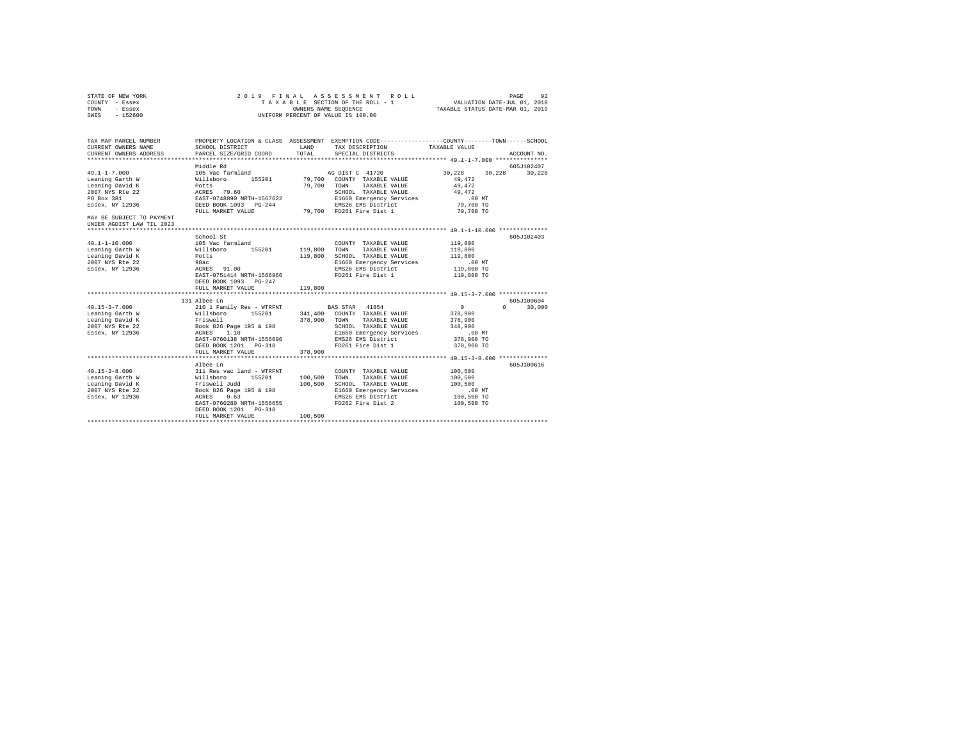| STATE OF NEW YORK<br>COUNTY - Essex<br>TOWN - Essex<br>SWIS - 152600                                                                                                   |                                                                                                                                                                                                                                                                                                                                           |         | 2019 FINAL ASSESSMENT ROLL<br>TAXABLE SECTION OF THE ROLL - 1 VALUATION DATE-JUL 01, 2018<br>OWNERS NAME SEQUENCE TAXABLE STATUS DATE-MAR 01, 2019<br>UNIFORM PERCENT OF VALUE IS 100.00 |                                                                       | PAGE<br>92    |
|------------------------------------------------------------------------------------------------------------------------------------------------------------------------|-------------------------------------------------------------------------------------------------------------------------------------------------------------------------------------------------------------------------------------------------------------------------------------------------------------------------------------------|---------|------------------------------------------------------------------------------------------------------------------------------------------------------------------------------------------|-----------------------------------------------------------------------|---------------|
| TAX MAP PARCEL NUMBER PROPERTY LOCATION & CLASS ASSESSMENT EXEMPTION CODE---------------COUNTY-------TOWN------SCHOOL<br>CURRENT OWNERS NAME<br>CURRENT OWNERS ADDRESS | SCHOOL DISTRICT LAND<br>PARCEL SIZE/GRID COORD                                                                                                                                                                                                                                                                                            | TOTAL   | TAX DESCRIPTION<br>SPECIAL DISTRICTS                                                                                                                                                     | TAXABLE VALUE                                                         | ACCOUNT NO.   |
| $49.1 - 1 - 7.000$<br>Leaning Garth W<br>Leaning David K<br>2007 NYS Rte 22<br>PO Box 381<br>Essex, NY 12936<br>MAY BE SUBJECT TO PAYMENT                              | bg efbbiM<br>105 Vac farmland and AG DIST C 41720<br>1000 Variational 15201 19,700 COUNTY TAXABLE VALUE 30,422<br>Potts 99,472<br>REST 9.60 79,700 COUNTY TAXABLE VALUE 49,472<br>REST-0748890 NRTH-1567622 201000 TAXABLE VALUE 49,472<br>REST POR 1093 PG-244 21 EN626 EMS District 9,000<br>FULL MARKET VALUE 79,700 FD261 Fire Dist 1 |         |                                                                                                                                                                                          | 30,228 30,228 30,228<br>79,700 TO                                     | 605J102407    |
| UNDER AGDIST LAW TIL 2023                                                                                                                                              |                                                                                                                                                                                                                                                                                                                                           |         |                                                                                                                                                                                          |                                                                       |               |
| 49.1-1-10.000<br>Leaning Garth W<br>Leaning David K<br>2007 NYS Rte 22<br>Essex, NY 12936                                                                              | School St<br>EAST-0751414 NRTH-1566966<br>DEED BOOK 1093 PG-247<br>FULL MARKET VALUE                                                                                                                                                                                                                                                      | 119,800 | COUNTY TAXABLE VALUE 119,800<br>119,800 TOWN TAXABLE VALUE<br>119,800 SCHOOL TAXABLE VALUE<br>E1660 Emergency Services<br>EMS26 EMS District<br>FD261 Fire Dist 1                        | 119,800<br>119,800<br>.00 MT<br>119,800 TO<br>119,800 TO              | 605J102403    |
|                                                                                                                                                                        | 131 Albee Ln                                                                                                                                                                                                                                                                                                                              |         |                                                                                                                                                                                          |                                                                       | 605-7100604   |
|                                                                                                                                                                        | EAST-0760138 NRTH-1556696<br>DEED BOOK 1201    PG-318                                                                                                                                                                                                                                                                                     |         | E1660 Emergency Services<br>EMS26 EMS District<br>FD261 Fire Dist 1 378,900 TO                                                                                                           | $\sim$ 0<br>378,900<br>378,900<br>348,900<br>.00 MT<br>378,900 TO     | $0 \t 30.000$ |
|                                                                                                                                                                        | FULL MARKET VALUE                                                                                                                                                                                                                                                                                                                         | 378,900 |                                                                                                                                                                                          |                                                                       |               |
|                                                                                                                                                                        | Albee Ln<br>EAST-0760280 NRTH-1556655<br>DEED BOOK 1201    PG-318                                                                                                                                                                                                                                                                         |         | E1660 Emergency Services<br>EMS26 EMS District<br>FD262 Fire Dist 2                                                                                                                      | 100,500<br>100,500<br>100,500<br>$.00$ MT<br>100,500 TO<br>100,500 TO | 605J100616    |
|                                                                                                                                                                        | FULL MARKET VALUE                                                                                                                                                                                                                                                                                                                         | 100,500 |                                                                                                                                                                                          |                                                                       |               |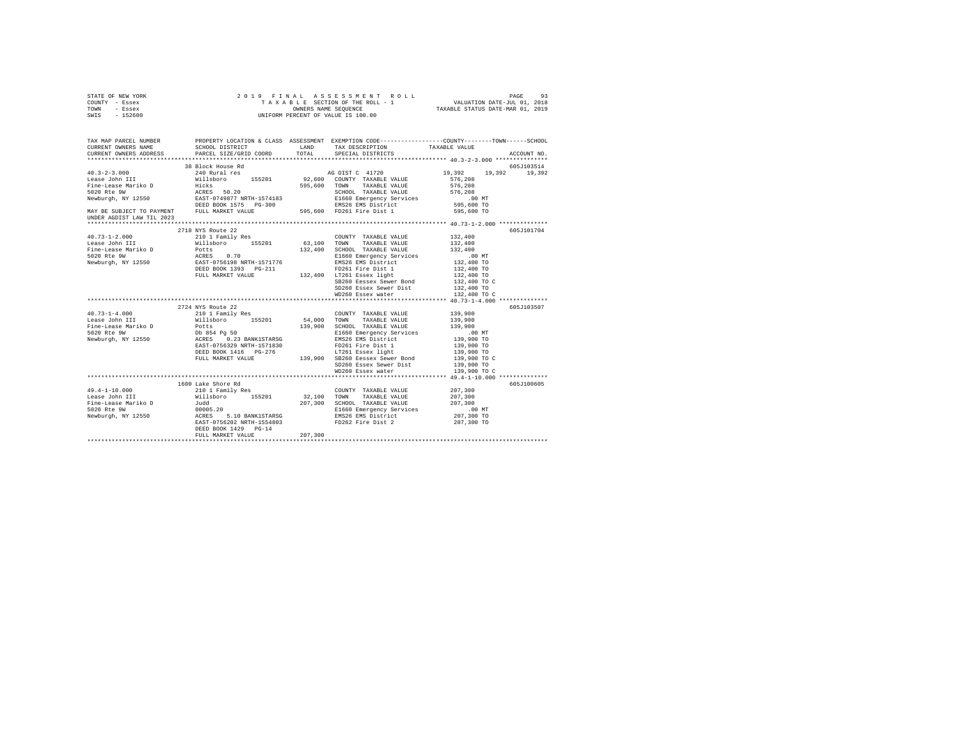| TOWN<br>- Essex<br>SWIS<br>$-152600$ |                                                                                                                                                                                                                             |         |                                                                                                   | OWNERS NAME SEQUENCE TAXABLE STATUS DATE-MAR 01, 2019<br>UNIFORM PERCENT OF VALUE IS 100.00                         |
|--------------------------------------|-----------------------------------------------------------------------------------------------------------------------------------------------------------------------------------------------------------------------------|---------|---------------------------------------------------------------------------------------------------|---------------------------------------------------------------------------------------------------------------------|
|                                      |                                                                                                                                                                                                                             |         |                                                                                                   |                                                                                                                     |
| CURRENT OWNERS NAME                  | ${\tt SCHOOL\ DISTRICT}\qquad\qquad {\tt LAND}\qquad\qquad {\tt TAX\ DESCRIPTION}\qquad\qquad {\tt TAXABLE\ VALUE}\qquad\qquad {\tt PARCEL\ SIZE/GRID\ COORD}\qquad\qquad {\tt TOTAL}\qquad\qquad {\tt SPECIAL\ DISTRICTS}$ |         |                                                                                                   | TAX MAP PARCEL NUMBER PROPERTY LOCATION & CLASS ASSESSMENT EXEMPTION CODE--------------COUNTY-------TOWN-----SCHOOL |
| CURRENT OWNERS ADDRESS               |                                                                                                                                                                                                                             |         |                                                                                                   | ACCOUNT NO.                                                                                                         |
|                                      |                                                                                                                                                                                                                             |         |                                                                                                   |                                                                                                                     |
|                                      |                                                                                                                                                                                                                             |         |                                                                                                   |                                                                                                                     |
|                                      |                                                                                                                                                                                                                             |         |                                                                                                   |                                                                                                                     |
|                                      |                                                                                                                                                                                                                             |         |                                                                                                   |                                                                                                                     |
|                                      |                                                                                                                                                                                                                             |         |                                                                                                   |                                                                                                                     |
|                                      |                                                                                                                                                                                                                             |         |                                                                                                   |                                                                                                                     |
|                                      |                                                                                                                                                                                                                             |         |                                                                                                   |                                                                                                                     |
|                                      |                                                                                                                                                                                                                             |         |                                                                                                   |                                                                                                                     |
|                                      |                                                                                                                                                                                                                             |         |                                                                                                   |                                                                                                                     |
|                                      |                                                                                                                                                                                                                             |         |                                                                                                   |                                                                                                                     |
|                                      | 2718 NYS Route 22                                                                                                                                                                                                           |         |                                                                                                   | 605J101704                                                                                                          |
| $40.73 - 1 - 2.000$                  | 2710 MiS Route 22<br>210 1 Family Res                                                                                                                                                                                       |         | COUNTY TAXABLE VALUE 132,400                                                                      |                                                                                                                     |
|                                      |                                                                                                                                                                                                                             |         |                                                                                                   |                                                                                                                     |
|                                      |                                                                                                                                                                                                                             |         |                                                                                                   |                                                                                                                     |
|                                      |                                                                                                                                                                                                                             |         |                                                                                                   |                                                                                                                     |
|                                      |                                                                                                                                                                                                                             |         |                                                                                                   |                                                                                                                     |
|                                      |                                                                                                                                                                                                                             |         |                                                                                                   |                                                                                                                     |
|                                      |                                                                                                                                                                                                                             |         |                                                                                                   | 132,400 TO<br>132,400 TO C                                                                                          |
|                                      |                                                                                                                                                                                                                             |         | SB260 Eessex Sewer Bond<br>SD260 Essex Sewer Dist<br>$132,400$ TO<br>$132,400$ TO<br>$132,400$ TO |                                                                                                                     |
|                                      |                                                                                                                                                                                                                             |         | WD260 Essex water                                                                                 | 132,400 TO C                                                                                                        |
|                                      |                                                                                                                                                                                                                             |         |                                                                                                   |                                                                                                                     |
|                                      | 2724 NYS Route 22                                                                                                                                                                                                           |         |                                                                                                   | 605J103507                                                                                                          |
|                                      |                                                                                                                                                                                                                             |         |                                                                                                   |                                                                                                                     |
|                                      |                                                                                                                                                                                                                             |         |                                                                                                   |                                                                                                                     |
|                                      |                                                                                                                                                                                                                             |         |                                                                                                   |                                                                                                                     |
|                                      |                                                                                                                                                                                                                             |         |                                                                                                   |                                                                                                                     |
|                                      |                                                                                                                                                                                                                             |         |                                                                                                   |                                                                                                                     |
|                                      |                                                                                                                                                                                                                             |         |                                                                                                   |                                                                                                                     |
|                                      |                                                                                                                                                                                                                             |         |                                                                                                   | 139,900 TO<br>139,900 TO C                                                                                          |
|                                      |                                                                                                                                                                                                                             |         | SD260 Essex Sewer Dist<br>WD260 Essex water 139,900 TO<br>WD260 Essex water 139,900 TO C          |                                                                                                                     |
|                                      |                                                                                                                                                                                                                             |         |                                                                                                   |                                                                                                                     |
|                                      |                                                                                                                                                                                                                             |         |                                                                                                   |                                                                                                                     |
|                                      |                                                                                                                                                                                                                             |         |                                                                                                   | 605J100605                                                                                                          |
|                                      |                                                                                                                                                                                                                             |         |                                                                                                   |                                                                                                                     |
|                                      |                                                                                                                                                                                                                             |         |                                                                                                   |                                                                                                                     |
|                                      |                                                                                                                                                                                                                             |         |                                                                                                   |                                                                                                                     |
|                                      |                                                                                                                                                                                                                             |         |                                                                                                   |                                                                                                                     |
|                                      |                                                                                                                                                                                                                             |         |                                                                                                   |                                                                                                                     |
|                                      |                                                                                                                                                                                                                             |         |                                                                                                   |                                                                                                                     |
|                                      | FULL MARKET VALUE                                                                                                                                                                                                           | 207,300 |                                                                                                   |                                                                                                                     |
|                                      |                                                                                                                                                                                                                             |         |                                                                                                   |                                                                                                                     |

STATE OF NEW YORK 2 0 1 9 F I N A L A S S E S S M E N T R O L L PAGE 93 COUNTY - Essex T A X A B L E SECTION OF THE ROLL - 1 VALUATION DATE-JUL 01, 2018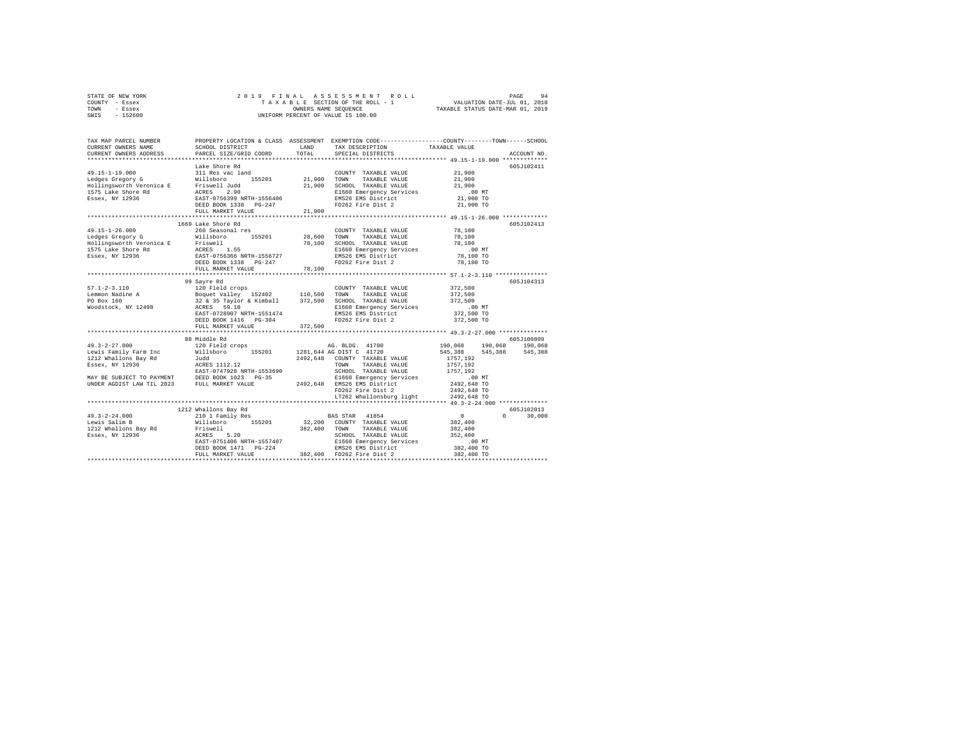| STATE OF NEW YORK |  | 2019 FINAL ASSESSMENT ROLL         |                                  | PAGE | 94 |
|-------------------|--|------------------------------------|----------------------------------|------|----|
| COUNTY - Essex    |  | TAXABLE SECTION OF THE ROLL - 1    | VALUATION DATE-JUL 01, 2018      |      |    |
| TOWN<br>- Essex   |  | OWNERS NAME SEOUENCE               | TAXABLE STATUS DATE-MAR 01, 2019 |      |    |
| $-152600$<br>SWIS |  | UNIFORM PERCENT OF VALUE IS 100.00 |                                  |      |    |

| TAX MAP PARCEL NUMBER<br>CURRENT OWNERS NAME<br>CURRENT OWNERS ADDRESS | SCHOOL DISTRICT<br>PARCEL SIZE/GRID COORD                                                                                                                                                                                                                                                                                                                                                   | LAND<br>TOTAL | PROPERTY LOCATION & CLASS ASSESSMENT EXEMPTION CODE----------------COUNTY-------TOWN------SCHOOL<br>TAX DESCRIPTION<br>SPECIAL DISTRICTS | TAXABLE VALUE           | ACCOUNT NO. |
|------------------------------------------------------------------------|---------------------------------------------------------------------------------------------------------------------------------------------------------------------------------------------------------------------------------------------------------------------------------------------------------------------------------------------------------------------------------------------|---------------|------------------------------------------------------------------------------------------------------------------------------------------|-------------------------|-------------|
|                                                                        |                                                                                                                                                                                                                                                                                                                                                                                             |               |                                                                                                                                          |                         |             |
|                                                                        | Lake Shore Rd                                                                                                                                                                                                                                                                                                                                                                               |               |                                                                                                                                          |                         | 605J102411  |
|                                                                        |                                                                                                                                                                                                                                                                                                                                                                                             |               | COUNTY TAXABLE VALUE 21,900                                                                                                              |                         |             |
|                                                                        |                                                                                                                                                                                                                                                                                                                                                                                             |               |                                                                                                                                          | 21,900                  |             |
|                                                                        |                                                                                                                                                                                                                                                                                                                                                                                             |               | 21,900 SCHOOL TAXABLE VALUE                                                                                                              | 21,900                  |             |
|                                                                        |                                                                                                                                                                                                                                                                                                                                                                                             |               | E1660 Emergency Services<br>EMS26 EMS District                                                                                           | $.00$ MT                |             |
|                                                                        |                                                                                                                                                                                                                                                                                                                                                                                             |               |                                                                                                                                          | 21,900 TO               |             |
|                                                                        |                                                                                                                                                                                                                                                                                                                                                                                             |               |                                                                                                                                          | 21,900 TO               |             |
|                                                                        |                                                                                                                                                                                                                                                                                                                                                                                             |               |                                                                                                                                          |                         |             |
|                                                                        |                                                                                                                                                                                                                                                                                                                                                                                             |               |                                                                                                                                          |                         |             |
|                                                                        | 1669 Lake Shore Rd                                                                                                                                                                                                                                                                                                                                                                          |               |                                                                                                                                          |                         | 605J102413  |
| $49.15 - 1 - 26.000$                                                   | 260 Seasonal res                                                                                                                                                                                                                                                                                                                                                                            |               | COUNTY TAXABLE VALUE                                                                                                                     | 78,100                  |             |
|                                                                        |                                                                                                                                                                                                                                                                                                                                                                                             |               | TAXABLE VALUE                                                                                                                            | 78,100                  |             |
|                                                                        | 19.15-1-20.000 Millaboro 200 Millaboro 28,600 TOWN<br>Edges Gregory G Millaboro 155201 28,600 TOWN<br>IFA CRES 1.55 78,100 SCHOOL<br>1575 Lake Shore Rd RCRES 1.55 78,100 MILlaboro<br>1585 Essex, NY 12936 1885 BOOK 1338 PG-247 1.11                                                                                                                                                      |               | SCHOOL TAXABLE VALUE                                                                                                                     | 78,100                  |             |
|                                                                        |                                                                                                                                                                                                                                                                                                                                                                                             |               | E1660 Emergency Services<br>EMS26 EMS District                                                                                           | $.00$ MT                |             |
|                                                                        |                                                                                                                                                                                                                                                                                                                                                                                             |               |                                                                                                                                          | 78,100 TO               |             |
| 1575 Lake Shore Rd<br>1575 Lake Shore Rd<br>Essex, NY 12936            |                                                                                                                                                                                                                                                                                                                                                                                             |               | FD262 Fire Dist 2                                                                                                                        | 78,100 TO               |             |
|                                                                        | FULL MARKET VALUE                                                                                                                                                                                                                                                                                                                                                                           | 78,100        |                                                                                                                                          |                         |             |
|                                                                        |                                                                                                                                                                                                                                                                                                                                                                                             |               |                                                                                                                                          |                         | 605J104313  |
|                                                                        |                                                                                                                                                                                                                                                                                                                                                                                             |               |                                                                                                                                          | 372,500                 |             |
|                                                                        |                                                                                                                                                                                                                                                                                                                                                                                             |               |                                                                                                                                          |                         |             |
|                                                                        |                                                                                                                                                                                                                                                                                                                                                                                             |               |                                                                                                                                          | 372,500<br>372,500      |             |
|                                                                        |                                                                                                                                                                                                                                                                                                                                                                                             |               |                                                                                                                                          |                         |             |
|                                                                        |                                                                                                                                                                                                                                                                                                                                                                                             |               |                                                                                                                                          | .00 MT.<br>372,500 TO   |             |
|                                                                        |                                                                                                                                                                                                                                                                                                                                                                                             |               |                                                                                                                                          | 372,500 TO              |             |
|                                                                        | FULL MARKET VALUE                                                                                                                                                                                                                                                                                                                                                                           | 372,500       |                                                                                                                                          |                         |             |
|                                                                        |                                                                                                                                                                                                                                                                                                                                                                                             |               |                                                                                                                                          |                         |             |
|                                                                        | 88 Middle Rd                                                                                                                                                                                                                                                                                                                                                                                |               |                                                                                                                                          |                         | 605J100809  |
|                                                                        |                                                                                                                                                                                                                                                                                                                                                                                             |               |                                                                                                                                          | 190,068 190,068 190,068 |             |
|                                                                        |                                                                                                                                                                                                                                                                                                                                                                                             |               |                                                                                                                                          | 545,388 545,388 545,388 |             |
|                                                                        |                                                                                                                                                                                                                                                                                                                                                                                             |               |                                                                                                                                          | 1757.192                |             |
|                                                                        |                                                                                                                                                                                                                                                                                                                                                                                             |               |                                                                                                                                          | 1757,192                |             |
|                                                                        |                                                                                                                                                                                                                                                                                                                                                                                             |               |                                                                                                                                          | 1757.192                |             |
|                                                                        | ARAS - SAN ATA - AND ANNOUNCED AND A COUNTY TAXABLE VALUE AND TAXABLE VALUE AND TAXABLE VALUE SERIES AND TAXABLE VALUE SERIES AND TAXABLE VALUE SERIES AND TAXABLE VALUE SERIES AND TAXABLE VALUE SERIES AND EXAMPLE VALUE SER                                                                                                                                                              |               | E1660 Emergency Services                                                                                                                 | 00 MT.<br>2492,648 TO   |             |
|                                                                        |                                                                                                                                                                                                                                                                                                                                                                                             |               |                                                                                                                                          |                         |             |
|                                                                        |                                                                                                                                                                                                                                                                                                                                                                                             |               | FD262 Fire Dist 2                                                                                                                        | 2492,648 TO             |             |
|                                                                        |                                                                                                                                                                                                                                                                                                                                                                                             |               | LT262 Whallonsburg light 2492,648 TO                                                                                                     |                         |             |
|                                                                        |                                                                                                                                                                                                                                                                                                                                                                                             |               |                                                                                                                                          |                         |             |
|                                                                        | 1212 Whallons Bay Rd                                                                                                                                                                                                                                                                                                                                                                        |               |                                                                                                                                          |                         | 605J102013  |
| $49.3 - 2 - 24.000$                                                    |                                                                                                                                                                                                                                                                                                                                                                                             |               |                                                                                                                                          | $\Omega$                | 30,000      |
| Lewis Salim B                                                          |                                                                                                                                                                                                                                                                                                                                                                                             |               |                                                                                                                                          |                         |             |
| 1212 Whallons Bay Rd                                                   |                                                                                                                                                                                                                                                                                                                                                                                             |               |                                                                                                                                          |                         |             |
| Essex, NY 12936                                                        |                                                                                                                                                                                                                                                                                                                                                                                             |               |                                                                                                                                          |                         |             |
|                                                                        |                                                                                                                                                                                                                                                                                                                                                                                             |               |                                                                                                                                          | $.00$ MT                |             |
|                                                                        |                                                                                                                                                                                                                                                                                                                                                                                             |               |                                                                                                                                          | 382,400 TO              |             |
|                                                                        | $\begin{tabular}{lcccc} \textbf{0.1} & \textbf{0.2} & \textbf{0.3} & \textbf{0.3} & \textbf{0.4} & \textbf{0.5} & \textbf{0.5} & \textbf{0.6} & \textbf{0.7} & \textbf{0.7} & \textbf{0.7} & \textbf{0.7} & \textbf{0.7} & \textbf{0.7} & \textbf{0.7} \\ \textbf{0.8} & \textbf{0.8} & \textbf{0.8} & \textbf{0.8} & \textbf{0.8} & \textbf{0.8} & \textbf{0.7} & \textbf{0.7} & \textbf{$ |               |                                                                                                                                          | 382,400 TO              |             |
|                                                                        |                                                                                                                                                                                                                                                                                                                                                                                             |               |                                                                                                                                          |                         |             |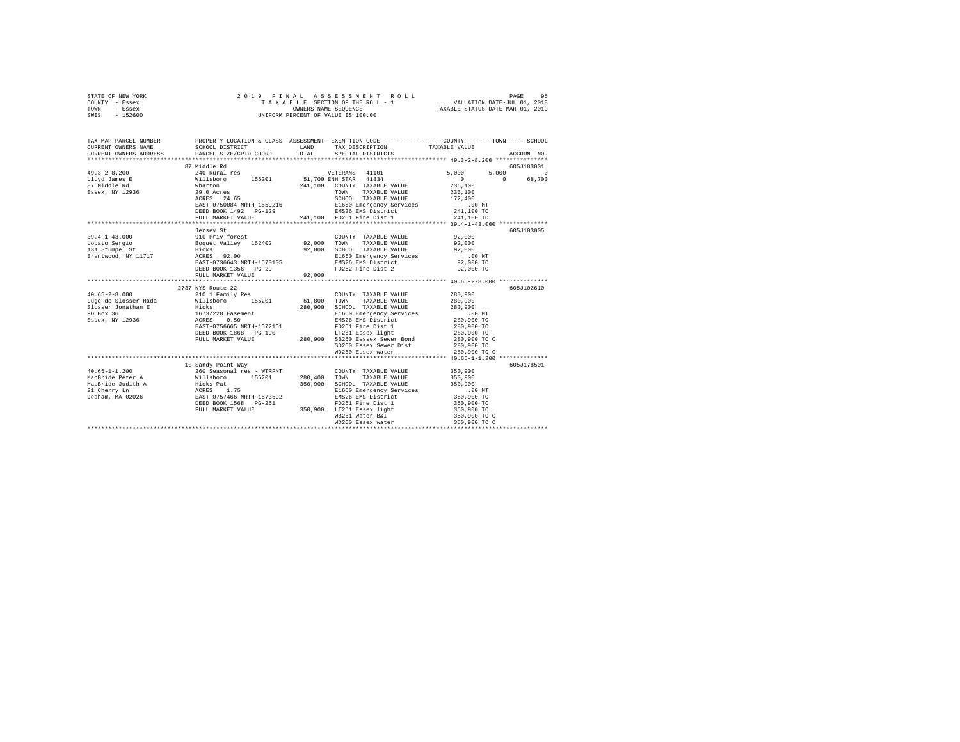| STATE OF NEW YORK<br>COUNTY - Essex<br>TOWN<br>- Essex<br>$-152600$<br>SWIS                                                                 | 2019 FINAL                                                      |         | ASSESSMENT ROLL<br>UNIFORM PERCENT OF VALUE IS 100.00 | PAGE<br>TAXABLE SECTION OF THE ROLL - 1 VALUATION DATE-JUL 01, 2018<br>OWNERS NAME SEQUENCE TAXABLE STATUS DATE-MAR 01, 2019 | 95                     |
|---------------------------------------------------------------------------------------------------------------------------------------------|-----------------------------------------------------------------|---------|-------------------------------------------------------|------------------------------------------------------------------------------------------------------------------------------|------------------------|
|                                                                                                                                             |                                                                 |         |                                                       |                                                                                                                              |                        |
| TAX MAP PARCEL NUMBER PROPERTY LOCATION & CLASS ASSESSMENT EXEMPTION CODE---------------COUNTY-------TOWN-----SCHOOL<br>CURRENT OWNERS NAME | SCHOOL DISTRICT                                                 | LAND    | TAX DESCRIPTION                                       | TAXABLE VALUE                                                                                                                |                        |
| CURRENT OWNERS ADDRESS                                                                                                                      | PARCEL SIZE/GRID COORD                                          | TOTAL   | SPECIAL DISTRICTS                                     |                                                                                                                              | ACCOUNT NO.            |
|                                                                                                                                             |                                                                 |         |                                                       |                                                                                                                              |                        |
| $49.3 - 2 - 8.200$                                                                                                                          | 87 Middle Rd<br>240 Rural res                                   |         | VETERANS 41101                                        | 5,000<br>5,000                                                                                                               | 605J183001<br>$\Omega$ |
|                                                                                                                                             |                                                                 |         | 51,700 ENH STAR 41834                                 | $\sim$ 0<br>$\sim$ 0                                                                                                         | 68,700                 |
| Lloyd James E<br>07 Middle Rd                                                                                                               | willsboro 155201<br>Wharton 155201<br>29.0 Acres<br>ACRES 24.65 |         | 241,100 COUNTY TAXABLE VALUE                          | 236,100                                                                                                                      |                        |
| Essex, NY 12936                                                                                                                             |                                                                 |         | TOWN TAXABLE VALUE                                    | 236,100                                                                                                                      |                        |
|                                                                                                                                             |                                                                 |         | SCHOOL TAXABLE VALUE                                  | 172,400                                                                                                                      |                        |
|                                                                                                                                             | EAST-0750084 NRTH-1559216                                       |         | E1660 Emergency Services                              | .00 MT                                                                                                                       |                        |
|                                                                                                                                             | DEED BOOK 1492    PG-129                                        |         | EMS26 EMS District                                    | 241,100 TO                                                                                                                   |                        |
|                                                                                                                                             | FULL MARKET VALUE                                               |         | 241,100 FD261 Fire Dist 1                             | 241,100 TO                                                                                                                   |                        |
|                                                                                                                                             |                                                                 |         |                                                       |                                                                                                                              | 605J103005             |
| $39.4 - 1 - 43.000$                                                                                                                         | Jersey St                                                       |         | COUNTY TAXABLE VALUE                                  | 92,000                                                                                                                       |                        |
| Lobato Sergio                                                                                                                               |                                                                 | 92,000  | TOWN<br>TAXABLE VALUE                                 | 92,000                                                                                                                       |                        |
| $131 \text{ Stumpel St}$                                                                                                                    | 910 Priv forest<br>Boquet Valley 152402<br>Hicks<br>ACRES 92.00 |         | 92,000 SCHOOL TAXABLE VALUE                           | 92,000                                                                                                                       |                        |
| Brentwood, NY 11717                                                                                                                         |                                                                 |         | E1660 Emergency Services                              | $.00$ MT                                                                                                                     |                        |
|                                                                                                                                             | EAST-0736643 NRTH-1570105                                       |         | EMS26 EMS District                                    | 92,000 TO                                                                                                                    |                        |
|                                                                                                                                             | DEED BOOK 1356 PG-29                                            |         | FD262 Fire Dist 2                                     | 92,000 TO                                                                                                                    |                        |
|                                                                                                                                             | FULL MARKET VALUE                                               | 92,000  |                                                       |                                                                                                                              |                        |
|                                                                                                                                             |                                                                 |         |                                                       |                                                                                                                              |                        |
|                                                                                                                                             | 2737 NYS Route 22                                               |         |                                                       |                                                                                                                              | 605J102610             |
| $40.65 - 2 - 8.000$                                                                                                                         | 210 1 Family Res                                                | 61,800  | COUNTY TAXABLE VALUE<br>TOWN TAXABLE VALUE            | 280,900<br>280,900                                                                                                           |                        |
|                                                                                                                                             |                                                                 |         | 280.900 SCHOOL TAXABLE VALUE                          | 280,900                                                                                                                      |                        |
|                                                                                                                                             |                                                                 |         | E1660 Emergency Services                              | .00 MT                                                                                                                       |                        |
|                                                                                                                                             |                                                                 |         | EMS26 EMS District                                    | 280,900 TO                                                                                                                   |                        |
|                                                                                                                                             | EAST-0756665 NRTH-1572151                                       |         | FD261 Fire Dist 1                                     | 280,900 TO                                                                                                                   |                        |
|                                                                                                                                             | DEED BOOK 1868 PG-190                                           |         | LT261 Essex light                                     | 280,900 TO                                                                                                                   |                        |
|                                                                                                                                             | FULL MARKET VALUE                                               |         | 280,900 SB260 Eessex Sewer Bond                       | 280,900 TO C                                                                                                                 |                        |
|                                                                                                                                             |                                                                 |         | SD260 Essex Sewer Dist                                | 280,900 TO                                                                                                                   |                        |
|                                                                                                                                             |                                                                 |         | WD260 Essex water                                     | 280,900 TO C                                                                                                                 |                        |
|                                                                                                                                             |                                                                 |         |                                                       |                                                                                                                              |                        |
| $40.65 - 1 - 1.200$                                                                                                                         | 10 Sandy Point Way                                              |         | COUNTY TAXABLE VALUE                                  | 350,900                                                                                                                      | 605J178501             |
| MacBride Peter A                                                                                                                            | 260 Seasonal res - WTRFNT<br>Willsboro 155201                   | 280,400 | TOWN<br>TAXABLE VALUE                                 | 350,900                                                                                                                      |                        |
|                                                                                                                                             |                                                                 | 350,900 | SCHOOL TAXABLE VALUE                                  | 350,900                                                                                                                      |                        |
| MacBride Judith Antistantic Press (1.75<br>21 Cherry Ln 20226<br>21 Cherry Ln 20226<br>2537–0757466 NRTH-1573592<br>25250 2007 1568 PG-261  |                                                                 |         | E1660 Emergency Services                              | $.00$ MT                                                                                                                     |                        |
|                                                                                                                                             |                                                                 |         | EMS26 EMS District                                    | 350,900 TO                                                                                                                   |                        |
|                                                                                                                                             |                                                                 |         | FD261 Fire Dist 1                                     | 350,900 TO                                                                                                                   |                        |
|                                                                                                                                             | FULL MARKET VALUE                                               |         | 350,900 LT261 Essex light                             | 350,900 TO                                                                                                                   |                        |
|                                                                                                                                             |                                                                 |         | WB261 Water B&I                                       | 350,900 TO C                                                                                                                 |                        |
|                                                                                                                                             |                                                                 |         | WD260 Essex water                                     | 350,900 TO C                                                                                                                 |                        |
|                                                                                                                                             |                                                                 |         |                                                       | *******************************                                                                                              |                        |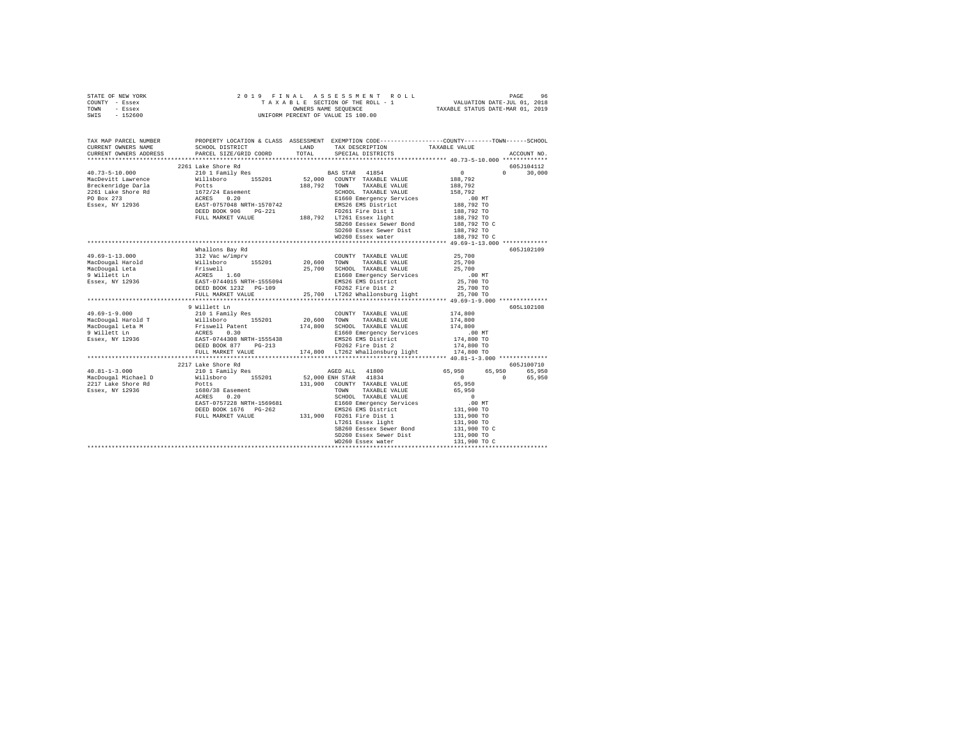|      | STATE OF NEW YORK |  |  |  | 2019 FINAL ASSESSMENT ROLL         | PAGE                             | 96 |
|------|-------------------|--|--|--|------------------------------------|----------------------------------|----|
|      | COUNTY - Essex    |  |  |  | TAXABLE SECTION OF THE ROLL - 1    | VALUATION DATE-JUL 01, 2018      |    |
| TOWN | - Essex           |  |  |  | OWNERS NAME SEOUENCE               | TAXABLE STATUS DATE-MAR 01, 2019 |    |
| SWIS | $-152600$         |  |  |  | UNIFORM PERCENT OF VALUE IS 100.00 |                                  |    |

| TAX MAP PARCEL NUMBER | PROPERTY LOCATION & CLASS ASSESSMENT EXEMPTION CODE----------------COUNTY-------TOWN------SCHOOL                                                                                                                                                                                                                                                                                                                                     |                                                                     |                                 |               |
|-----------------------|--------------------------------------------------------------------------------------------------------------------------------------------------------------------------------------------------------------------------------------------------------------------------------------------------------------------------------------------------------------------------------------------------------------------------------------|---------------------------------------------------------------------|---------------------------------|---------------|
|                       |                                                                                                                                                                                                                                                                                                                                                                                                                                      |                                                                     |                                 |               |
|                       |                                                                                                                                                                                                                                                                                                                                                                                                                                      | TOTAL SPECIAL DISTRICTS                                             |                                 | ACCOUNT NO.   |
|                       |                                                                                                                                                                                                                                                                                                                                                                                                                                      |                                                                     |                                 |               |
|                       | 2261 Lake Shore Rd                                                                                                                                                                                                                                                                                                                                                                                                                   |                                                                     |                                 | 605J104112    |
|                       |                                                                                                                                                                                                                                                                                                                                                                                                                                      |                                                                     | $\sim$ 0                        | $0 \t 30,000$ |
|                       |                                                                                                                                                                                                                                                                                                                                                                                                                                      |                                                                     |                                 |               |
|                       |                                                                                                                                                                                                                                                                                                                                                                                                                                      |                                                                     | 0<br>188,792<br>188,792         |               |
|                       |                                                                                                                                                                                                                                                                                                                                                                                                                                      |                                                                     |                                 |               |
|                       | $\begin{tabular}{l c c c c} \multicolumn{1}{c}{\textbf{40.73--5--10.000}} & \multicolumn{1}{c}{2261~\text{Take ShocP and}} & \multicolumn{1}{c}{216~\text{The key}~\text{Table V}~\text{W}} \\ \multicolumn{1}{c}{\textbf{MacDev} & \textbf{W}111 \text{Boor}} & \textbf{155201} & \textbf{52,000} & \textbf{CONITY} & \textbf{TAZABLE VALUE} \\ \multicolumn{1}{c}{\textbf{22.82~\text{New} and}} & \multicolumn{1}{c}{\textbf{M11$ |                                                                     | 158,792<br>.00 MT<br>188,792 TO |               |
|                       |                                                                                                                                                                                                                                                                                                                                                                                                                                      |                                                                     |                                 |               |
|                       |                                                                                                                                                                                                                                                                                                                                                                                                                                      |                                                                     | 188,792 TO                      |               |
|                       |                                                                                                                                                                                                                                                                                                                                                                                                                                      |                                                                     | 188,792 TO                      |               |
|                       |                                                                                                                                                                                                                                                                                                                                                                                                                                      | SB260 Eessex Sewer Bond                                             | 188,792 TO C                    |               |
|                       |                                                                                                                                                                                                                                                                                                                                                                                                                                      | SD260 Essex Sewer Dist 188,792 TO                                   |                                 |               |
|                       |                                                                                                                                                                                                                                                                                                                                                                                                                                      | WD260 Essex water                                                   | 188,792 TO C                    |               |
|                       |                                                                                                                                                                                                                                                                                                                                                                                                                                      |                                                                     |                                 |               |
|                       | Whallons Bay Rd                                                                                                                                                                                                                                                                                                                                                                                                                      |                                                                     |                                 | 605J102109    |
|                       |                                                                                                                                                                                                                                                                                                                                                                                                                                      |                                                                     |                                 |               |
|                       |                                                                                                                                                                                                                                                                                                                                                                                                                                      |                                                                     |                                 |               |
|                       |                                                                                                                                                                                                                                                                                                                                                                                                                                      |                                                                     |                                 |               |
|                       |                                                                                                                                                                                                                                                                                                                                                                                                                                      |                                                                     | $00MT$<br>25,700 TO             |               |
|                       |                                                                                                                                                                                                                                                                                                                                                                                                                                      |                                                                     |                                 |               |
|                       |                                                                                                                                                                                                                                                                                                                                                                                                                                      |                                                                     | 25,700 TO                       |               |
|                       |                                                                                                                                                                                                                                                                                                                                                                                                                                      | 25,700 LT262 Whallonsburg light 25,700 TO                           |                                 |               |
|                       |                                                                                                                                                                                                                                                                                                                                                                                                                                      |                                                                     |                                 |               |
|                       | 9 Willett Ln                                                                                                                                                                                                                                                                                                                                                                                                                         |                                                                     |                                 | 605L102108    |
|                       |                                                                                                                                                                                                                                                                                                                                                                                                                                      |                                                                     | 174,800<br>174,800              |               |
|                       |                                                                                                                                                                                                                                                                                                                                                                                                                                      |                                                                     |                                 |               |
|                       |                                                                                                                                                                                                                                                                                                                                                                                                                                      |                                                                     |                                 |               |
|                       | 49.69-1-9.000<br>MacDougal Harold T<br>MacDougal Harold T<br>MacDougal Harold T<br>MacDougal Harold T<br>Triswell Patent<br>P<br>9 Willett Ln<br>MacDougal Leta M<br>SERES 0.30<br>ELECO Renegency Services<br>ERES 0.30<br>ELECO Renegency Services<br>                                                                                                                                                                             |                                                                     | 174,800<br>.00 MT<br>174,800 TO |               |
|                       |                                                                                                                                                                                                                                                                                                                                                                                                                                      |                                                                     |                                 |               |
|                       |                                                                                                                                                                                                                                                                                                                                                                                                                                      |                                                                     | 174,800 TO                      |               |
|                       |                                                                                                                                                                                                                                                                                                                                                                                                                                      |                                                                     |                                 |               |
|                       |                                                                                                                                                                                                                                                                                                                                                                                                                                      |                                                                     |                                 |               |
|                       | 2217 Lake Shore Rd                                                                                                                                                                                                                                                                                                                                                                                                                   |                                                                     |                                 | 605J100710    |
|                       |                                                                                                                                                                                                                                                                                                                                                                                                                                      |                                                                     | 65,950 65,950 65,950            |               |
|                       |                                                                                                                                                                                                                                                                                                                                                                                                                                      |                                                                     | $0 \t 0 \t 65,950$              |               |
|                       |                                                                                                                                                                                                                                                                                                                                                                                                                                      | 131,900 COUNTY TAXABLE VALUE                                        | 65,950                          |               |
|                       | 1680/38 Easement 1999<br>ACRES 0.20 CHORE 1999<br>EAST-0757228 NRTH-1569681 SCHOOL TAXABLE VALUE<br>DEED BOOK 1676 DEEP EAST-0757228 NRTH-1569681 E1660 Emergency Services<br>DEED BOOK 1676 DEEP EAST-0757228 EMS District 1131,900 T                                                                                                                                                                                               |                                                                     |                                 |               |
|                       |                                                                                                                                                                                                                                                                                                                                                                                                                                      |                                                                     |                                 |               |
|                       | EAST-0757228 NRTH-1569681                                                                                                                                                                                                                                                                                                                                                                                                            |                                                                     |                                 |               |
|                       |                                                                                                                                                                                                                                                                                                                                                                                                                                      |                                                                     |                                 |               |
|                       |                                                                                                                                                                                                                                                                                                                                                                                                                                      |                                                                     |                                 |               |
|                       |                                                                                                                                                                                                                                                                                                                                                                                                                                      | LT261 Essex light                                                   | 131,900 TO                      |               |
|                       |                                                                                                                                                                                                                                                                                                                                                                                                                                      | SB260 Eessex Sewer Bond                                             | 131,900 TO C                    |               |
|                       |                                                                                                                                                                                                                                                                                                                                                                                                                                      | SD260 Essex Sewer Dist 131,900 TO<br>WD260 Essex water 131,900 TO C |                                 |               |
|                       |                                                                                                                                                                                                                                                                                                                                                                                                                                      |                                                                     |                                 |               |
|                       |                                                                                                                                                                                                                                                                                                                                                                                                                                      |                                                                     |                                 |               |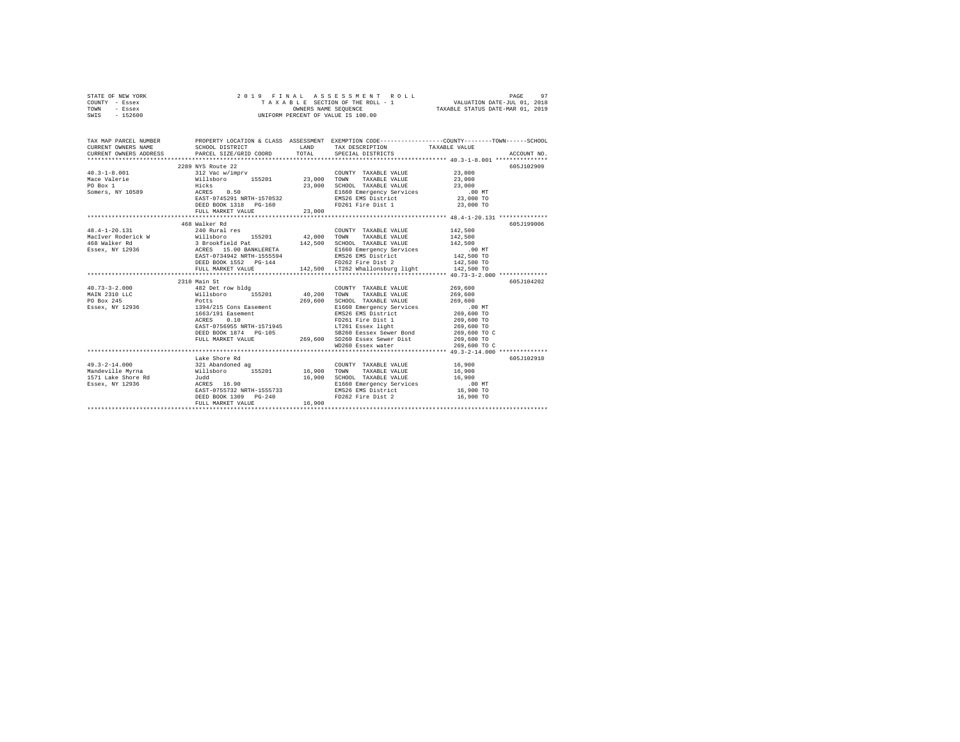|      | STATE OF NEW YORK | 2019 FINAL ASSESSMENT ROLL         | PAGE                             |
|------|-------------------|------------------------------------|----------------------------------|
|      | COUNTY - Essex    | TAXABLE SECTION OF THE ROLL - 1    | VALUATION DATE-JUL 01, 2018      |
| TOWN | - Essex           | OWNERS NAME SEOUENCE               | TAXABLE STATUS DATE-MAR 01, 2019 |
| SWIS | - 152600          | UNIFORM PERCENT OF VALUE IS 100.00 |                                  |

| TAX MAP PARCEL NUMBER                                                                                                                                                                                                                  |                   |        |                                                                                                                                                                                                                                                                                                                                                                                                                                                          | PROPERTY LOCATION & CLASS ASSESSMENT EXEMPTION CODE----------------COUNTY-------TOWN------SCHOOL |
|----------------------------------------------------------------------------------------------------------------------------------------------------------------------------------------------------------------------------------------|-------------------|--------|----------------------------------------------------------------------------------------------------------------------------------------------------------------------------------------------------------------------------------------------------------------------------------------------------------------------------------------------------------------------------------------------------------------------------------------------------------|--------------------------------------------------------------------------------------------------|
|                                                                                                                                                                                                                                        | 2289 NYS Route 22 |        |                                                                                                                                                                                                                                                                                                                                                                                                                                                          | 605J102909                                                                                       |
|                                                                                                                                                                                                                                        |                   |        | COUNTY TAXABLE VALUE 23,000                                                                                                                                                                                                                                                                                                                                                                                                                              |                                                                                                  |
| $\begin{array}{cccccc} 40.3-1-8.001 & 312\ {\rm vac\ w/imprv} & 23,000 & 23,000 \\ \texttt{Mace\ Valerie} & \hspace{2.5cm} 43,000 & 155201 & 23,000 & 70\texttt{WN} & \texttt{TAXABLE\ VALUE} & 23,000 \\ \end{array}$                 |                   |        |                                                                                                                                                                                                                                                                                                                                                                                                                                                          |                                                                                                  |
|                                                                                                                                                                                                                                        |                   |        |                                                                                                                                                                                                                                                                                                                                                                                                                                                          |                                                                                                  |
|                                                                                                                                                                                                                                        |                   |        |                                                                                                                                                                                                                                                                                                                                                                                                                                                          |                                                                                                  |
|                                                                                                                                                                                                                                        |                   |        |                                                                                                                                                                                                                                                                                                                                                                                                                                                          |                                                                                                  |
| Note the metric of the metric of the metric of the Host of Host (23,000 SCHOOL TAXABLE VALUE 23,000 FORDS 1 23,000 MSCHOOL TAXABLE VALUE 23,000 MSCHOOL TAXABLE VALUE 23,000 MSCHOOL TAXABLE VALUE 23,000 MSCHOOL TAXABLE VALU         |                   |        |                                                                                                                                                                                                                                                                                                                                                                                                                                                          |                                                                                                  |
|                                                                                                                                                                                                                                        | FULL MARKET VALUE | 23,000 |                                                                                                                                                                                                                                                                                                                                                                                                                                                          |                                                                                                  |
|                                                                                                                                                                                                                                        |                   |        |                                                                                                                                                                                                                                                                                                                                                                                                                                                          |                                                                                                  |
|                                                                                                                                                                                                                                        | 468 Walker Rd     |        |                                                                                                                                                                                                                                                                                                                                                                                                                                                          | 605J199006                                                                                       |
| 48.4-1-20.131                                                                                                                                                                                                                          | 240 Rural res     |        | COUNTY TAXABLE VALUE 142,500                                                                                                                                                                                                                                                                                                                                                                                                                             |                                                                                                  |
|                                                                                                                                                                                                                                        |                   |        |                                                                                                                                                                                                                                                                                                                                                                                                                                                          |                                                                                                  |
|                                                                                                                                                                                                                                        |                   |        |                                                                                                                                                                                                                                                                                                                                                                                                                                                          |                                                                                                  |
|                                                                                                                                                                                                                                        |                   |        |                                                                                                                                                                                                                                                                                                                                                                                                                                                          |                                                                                                  |
| 48.4-1-20.131 (490 Muran res 155201 M2,000 TOWN TAXABLE VALUE 142,500<br>MacTver Roderick W Willsboro 155201 42,000 TOWN TAXABLE VALUE 142,500<br>468 Walker Rd 3 Brookfield Pat 142,500 SCHOOL TAXABLE VALUE 142,500 MT<br>142,500 MT |                   |        |                                                                                                                                                                                                                                                                                                                                                                                                                                                          |                                                                                                  |
|                                                                                                                                                                                                                                        |                   |        |                                                                                                                                                                                                                                                                                                                                                                                                                                                          |                                                                                                  |
|                                                                                                                                                                                                                                        |                   |        |                                                                                                                                                                                                                                                                                                                                                                                                                                                          |                                                                                                  |
|                                                                                                                                                                                                                                        |                   |        |                                                                                                                                                                                                                                                                                                                                                                                                                                                          |                                                                                                  |
|                                                                                                                                                                                                                                        | 2310 Main St      |        |                                                                                                                                                                                                                                                                                                                                                                                                                                                          | 605J104202                                                                                       |
|                                                                                                                                                                                                                                        |                   |        | $\begin{tabular}{lllllll} \multicolumn{2}{c}{\textbf{COUNTY}} & \textbf{TAXABLE VALUE} & & & & 269,600 \\ \multicolumn{2}{c}{\textbf{COMTY}} & \multicolumn{2}{c}{\textbf{max}} & \multicolumn{2}{c}{\textbf{WALUE}} & & & 269,600 \\ \multicolumn{2}{c}{\textbf{1.1}} & \multicolumn{2}{c}{\textbf{1.2}} & \multicolumn{2}{c}{\textbf{1.3}} & \multicolumn{2}{c}{\textbf{1.4}} & \multicolumn{2}{c}{\textbf{1.5}} & \multicolumn{2}{c}{\textbf{1.6}} &$ |                                                                                                  |
|                                                                                                                                                                                                                                        |                   |        |                                                                                                                                                                                                                                                                                                                                                                                                                                                          |                                                                                                  |
|                                                                                                                                                                                                                                        |                   |        | SCHOOL TAXABLE VALUE                                                                                                                                                                                                                                                                                                                                                                                                                                     | 269,600                                                                                          |
| Essex, NY 12936 1394/215 Cons Easement                                                                                                                                                                                                 |                   |        |                                                                                                                                                                                                                                                                                                                                                                                                                                                          |                                                                                                  |
|                                                                                                                                                                                                                                        |                   |        | E1660 Emergency Services  00 MT<br>EMS26 EMS District 269,600 TO<br>FD261 Fire Dist 1 269,600 TO                                                                                                                                                                                                                                                                                                                                                         |                                                                                                  |
|                                                                                                                                                                                                                                        |                   |        |                                                                                                                                                                                                                                                                                                                                                                                                                                                          |                                                                                                  |
|                                                                                                                                                                                                                                        |                   |        |                                                                                                                                                                                                                                                                                                                                                                                                                                                          |                                                                                                  |
|                                                                                                                                                                                                                                        |                   |        |                                                                                                                                                                                                                                                                                                                                                                                                                                                          |                                                                                                  |
|                                                                                                                                                                                                                                        |                   |        |                                                                                                                                                                                                                                                                                                                                                                                                                                                          |                                                                                                  |
|                                                                                                                                                                                                                                        |                   |        | DEED BOOK 1874 PG-105 58260 Eessex Sewer Bond 269,600 TO C FULL MARKET VALUE 269,600 TO 269,600 TO 269,600 TO C<br>FULL MARKET VALUE 269,600 SDS260 Essex Sewer Dist 269,600 TO C 269,600 TO C                                                                                                                                                                                                                                                           |                                                                                                  |
|                                                                                                                                                                                                                                        |                   |        |                                                                                                                                                                                                                                                                                                                                                                                                                                                          |                                                                                                  |
|                                                                                                                                                                                                                                        | Lake Shore Rd     |        |                                                                                                                                                                                                                                                                                                                                                                                                                                                          | 605J102910                                                                                       |
|                                                                                                                                                                                                                                        |                   |        |                                                                                                                                                                                                                                                                                                                                                                                                                                                          |                                                                                                  |
|                                                                                                                                                                                                                                        |                   |        |                                                                                                                                                                                                                                                                                                                                                                                                                                                          |                                                                                                  |
|                                                                                                                                                                                                                                        |                   |        |                                                                                                                                                                                                                                                                                                                                                                                                                                                          |                                                                                                  |
|                                                                                                                                                                                                                                        |                   |        | $16,900$ SCHOOL TAXABLE VALUE $16,900$ and $16,900$ $16,900$ $16,900$                                                                                                                                                                                                                                                                                                                                                                                    |                                                                                                  |
|                                                                                                                                                                                                                                        |                   |        | E1660 Emergency Services .00 MT<br>EMS26 EMS District  16,900 TO                                                                                                                                                                                                                                                                                                                                                                                         |                                                                                                  |
| Mandeville Myrna (1999)<br>1571 Lake Shore Rd (1990)<br>1898ex, NY 12936 (1998) 2008 (1998)<br>1998 - 1999 (1998) 2009 (1998)<br>1999 - 1999 (1999) 2009 (1998)<br>1999 - 1999 (1999) 2009 (1999)                                      |                   |        | FD262 Fire Dist 2                                                                                                                                                                                                                                                                                                                                                                                                                                        | 16,900 TO                                                                                        |
|                                                                                                                                                                                                                                        | FULL MARKET VALUE | 16.900 |                                                                                                                                                                                                                                                                                                                                                                                                                                                          |                                                                                                  |
|                                                                                                                                                                                                                                        |                   |        |                                                                                                                                                                                                                                                                                                                                                                                                                                                          |                                                                                                  |
|                                                                                                                                                                                                                                        |                   |        |                                                                                                                                                                                                                                                                                                                                                                                                                                                          |                                                                                                  |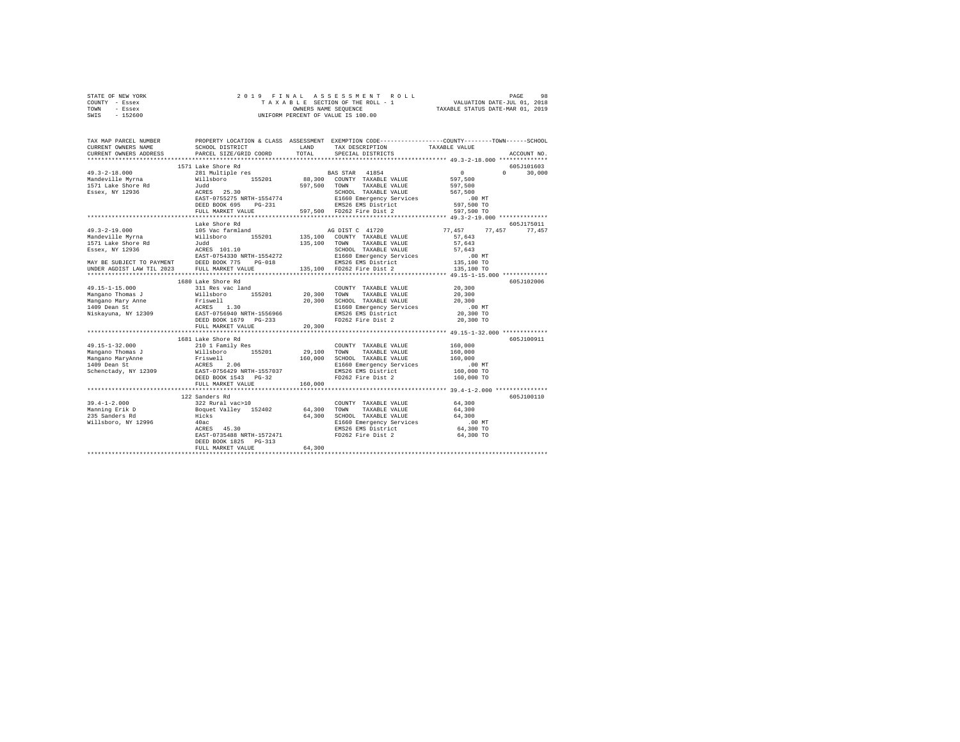|      | STATE OF NEW YORK |  | 2019 FINAL ASSESSMENT ROLL         |                                  | PAGE                        | 98 |
|------|-------------------|--|------------------------------------|----------------------------------|-----------------------------|----|
|      | COUNTY - Essex    |  | TAXABLE SECTION OF THE ROLL - 1    |                                  | VALUATION DATE-JUL 01, 2018 |    |
| TOWN | - Essex           |  | OWNERS NAME SEOUENCE               | TAXABLE STATUS DATE-MAR 01, 2019 |                             |    |
| SWIS | - 152600          |  | UNIFORM PERCENT OF VALUE IS 100.00 |                                  |                             |    |

| TAX MAP PARCEL NUMBER<br>CURRENT OWNERS NAME                                                                                                                                                                                                                                                                                                                                                | LAND LAND<br>SCHOOL DISTRICT                                                                                         |         | TAX DESCRIPTION                                                                                      | PROPERTY LOCATION & CLASS ASSESSMENT EXEMPTION CODE---------------COUNTY-------TOWN------SCHOOL<br>TAXABLE VALUE<br>ACCOUNT NO. |  |
|---------------------------------------------------------------------------------------------------------------------------------------------------------------------------------------------------------------------------------------------------------------------------------------------------------------------------------------------------------------------------------------------|----------------------------------------------------------------------------------------------------------------------|---------|------------------------------------------------------------------------------------------------------|---------------------------------------------------------------------------------------------------------------------------------|--|
| CURRENT OWNERS ADDRESS                                                                                                                                                                                                                                                                                                                                                                      | PARCEL SIZE/GRID COORD                                                                                               | TOTAL   | SPECIAL DISTRICTS                                                                                    |                                                                                                                                 |  |
|                                                                                                                                                                                                                                                                                                                                                                                             | 1571 Lake Shore Rd                                                                                                   |         |                                                                                                      | 605J101603                                                                                                                      |  |
| $\begin{tabular}{lcccc} 49.3-2-18.000 & 1571\ \texttt{Lake} \texttt{Shore Red} & 281\ \texttt{Manderville} \texttt{Myrna} & 211\ \texttt{MadeVille} & 211\ \texttt{MadeVille} & 211\ \texttt{MadeVille} & 211\ \texttt{MadeVille} & 211\ \texttt{MadeVille} & 211\ \texttt{MadeVille} & 211\ \texttt{MadeVille} & 211\ \texttt{MadeS} & 211\ \texttt{MadeS} & 211\ \texttt{MadeS} & 211\ \$ |                                                                                                                      |         |                                                                                                      | $0 \t 30,000$                                                                                                                   |  |
|                                                                                                                                                                                                                                                                                                                                                                                             |                                                                                                                      |         |                                                                                                      |                                                                                                                                 |  |
|                                                                                                                                                                                                                                                                                                                                                                                             |                                                                                                                      |         |                                                                                                      |                                                                                                                                 |  |
|                                                                                                                                                                                                                                                                                                                                                                                             |                                                                                                                      |         |                                                                                                      |                                                                                                                                 |  |
|                                                                                                                                                                                                                                                                                                                                                                                             |                                                                                                                      |         |                                                                                                      |                                                                                                                                 |  |
|                                                                                                                                                                                                                                                                                                                                                                                             |                                                                                                                      |         |                                                                                                      |                                                                                                                                 |  |
|                                                                                                                                                                                                                                                                                                                                                                                             |                                                                                                                      |         |                                                                                                      |                                                                                                                                 |  |
|                                                                                                                                                                                                                                                                                                                                                                                             |                                                                                                                      |         |                                                                                                      |                                                                                                                                 |  |
|                                                                                                                                                                                                                                                                                                                                                                                             | Lake Shore Rd                                                                                                        |         |                                                                                                      | 605J175011                                                                                                                      |  |
|                                                                                                                                                                                                                                                                                                                                                                                             |                                                                                                                      |         |                                                                                                      | 77,457 77,457 77,457                                                                                                            |  |
|                                                                                                                                                                                                                                                                                                                                                                                             |                                                                                                                      |         |                                                                                                      |                                                                                                                                 |  |
|                                                                                                                                                                                                                                                                                                                                                                                             |                                                                                                                      |         |                                                                                                      |                                                                                                                                 |  |
|                                                                                                                                                                                                                                                                                                                                                                                             |                                                                                                                      |         |                                                                                                      |                                                                                                                                 |  |
|                                                                                                                                                                                                                                                                                                                                                                                             |                                                                                                                      |         |                                                                                                      |                                                                                                                                 |  |
|                                                                                                                                                                                                                                                                                                                                                                                             |                                                                                                                      |         |                                                                                                      |                                                                                                                                 |  |
|                                                                                                                                                                                                                                                                                                                                                                                             |                                                                                                                      |         |                                                                                                      |                                                                                                                                 |  |
|                                                                                                                                                                                                                                                                                                                                                                                             | 1680 Lake Shore Rd                                                                                                   |         |                                                                                                      | 605J102006                                                                                                                      |  |
|                                                                                                                                                                                                                                                                                                                                                                                             |                                                                                                                      |         | COUNTY TAXABLE VALUE 20,300                                                                          |                                                                                                                                 |  |
|                                                                                                                                                                                                                                                                                                                                                                                             |                                                                                                                      |         |                                                                                                      | 20,300                                                                                                                          |  |
|                                                                                                                                                                                                                                                                                                                                                                                             |                                                                                                                      |         |                                                                                                      | 20,300                                                                                                                          |  |
|                                                                                                                                                                                                                                                                                                                                                                                             |                                                                                                                      |         |                                                                                                      |                                                                                                                                 |  |
|                                                                                                                                                                                                                                                                                                                                                                                             |                                                                                                                      |         | E1660 Emergency Services .00 MT<br>EMS26 EMS District 20,300 TO                                      |                                                                                                                                 |  |
|                                                                                                                                                                                                                                                                                                                                                                                             |                                                                                                                      |         | FD262 Fire Dist 2                                                                                    | 20,300 TO                                                                                                                       |  |
|                                                                                                                                                                                                                                                                                                                                                                                             | FULL MARKET VALUE                                                                                                    | 20,300  |                                                                                                      |                                                                                                                                 |  |
|                                                                                                                                                                                                                                                                                                                                                                                             |                                                                                                                      |         |                                                                                                      |                                                                                                                                 |  |
|                                                                                                                                                                                                                                                                                                                                                                                             | 1681 Lake Shore Rd                                                                                                   |         |                                                                                                      | 605J100911                                                                                                                      |  |
| 49.15-1-32.000                                                                                                                                                                                                                                                                                                                                                                              | 210 1 Family Res                                                                                                     |         | COUNTY TAXABLE VALUE                                                                                 | 160,000                                                                                                                         |  |
|                                                                                                                                                                                                                                                                                                                                                                                             |                                                                                                                      |         |                                                                                                      |                                                                                                                                 |  |
|                                                                                                                                                                                                                                                                                                                                                                                             |                                                                                                                      |         |                                                                                                      |                                                                                                                                 |  |
| VALUE AND TOWER THE SECTION AND TOWER TRAVELS ON TAXABLE VALUE 160,000<br>Mangano MaryAnne Friewell 160,000 SCHOOL TAXABLE VALUE 160,000<br>1409 Dean St. RESS 2.06 BI660 EMERICAL PRESS 2.06 BI660 EMERICANS RATHER VALUE 160,000 M                                                                                                                                                        |                                                                                                                      |         |                                                                                                      |                                                                                                                                 |  |
|                                                                                                                                                                                                                                                                                                                                                                                             |                                                                                                                      |         |                                                                                                      |                                                                                                                                 |  |
|                                                                                                                                                                                                                                                                                                                                                                                             | DEED BOOK 1543 PG-32                                                                                                 |         | FD262 Fire Dist 2                                                                                    | 160,000 TO                                                                                                                      |  |
|                                                                                                                                                                                                                                                                                                                                                                                             | FULL MARKET VALUE                                                                                                    | 160,000 |                                                                                                      | **************** 39.4-1-2.000 **************                                                                                    |  |
|                                                                                                                                                                                                                                                                                                                                                                                             |                                                                                                                      |         |                                                                                                      |                                                                                                                                 |  |
|                                                                                                                                                                                                                                                                                                                                                                                             | 122 Sanders Rd                                                                                                       |         |                                                                                                      | 605J100110                                                                                                                      |  |
| $39.4 - 1 - 2.000$                                                                                                                                                                                                                                                                                                                                                                          |                                                                                                                      |         | COUNTY TAXABLE VALUE 64,300                                                                          |                                                                                                                                 |  |
|                                                                                                                                                                                                                                                                                                                                                                                             |                                                                                                                      |         | 64,300 TOWN TAXABLE VALUE                                                                            | 64,300                                                                                                                          |  |
| Manning Erik D<br>235 Sanders Rd<br>Willsboro, NY 12996                                                                                                                                                                                                                                                                                                                                     |                                                                                                                      |         | 64,300 TOWN TAAADLE VALUE<br>64,300 SCHOOL TAXABLE VALUE 64,300<br>1.00 NT AFA A REAR SEVICES .00 NT |                                                                                                                                 |  |
|                                                                                                                                                                                                                                                                                                                                                                                             |                                                                                                                      |         | E1660 Emergency Services .00 MT<br>EMS26 EMS District 64,300 TO                                      |                                                                                                                                 |  |
|                                                                                                                                                                                                                                                                                                                                                                                             | 40ac El660 Emergency Servic<br>ACRES 45.30 EMBS26 EMS26 EMS26 EMS11ct<br>EAST-0735488 NRTH-1572471 FD262 Fire Dist 2 |         |                                                                                                      | 64,300 TO                                                                                                                       |  |
|                                                                                                                                                                                                                                                                                                                                                                                             | DEED BOOK 1825 PG-313                                                                                                |         |                                                                                                      |                                                                                                                                 |  |
|                                                                                                                                                                                                                                                                                                                                                                                             | FULL MARKET VALUE                                                                                                    | 64,300  |                                                                                                      |                                                                                                                                 |  |
|                                                                                                                                                                                                                                                                                                                                                                                             |                                                                                                                      |         |                                                                                                      |                                                                                                                                 |  |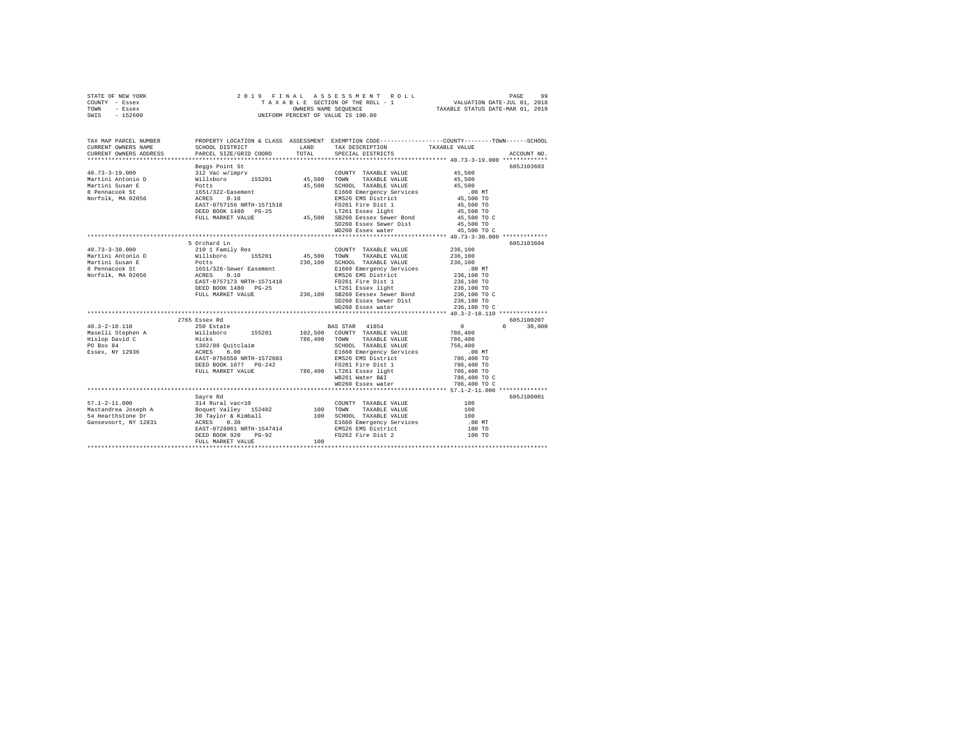| STATE OF NEW YORK |          |  |  |                                    |                                 | 2019 FINAL ASSESSMENT ROLL |                                  | PAGE | 99 |
|-------------------|----------|--|--|------------------------------------|---------------------------------|----------------------------|----------------------------------|------|----|
| COUNTY - Essex    |          |  |  |                                    | TAXABLE SECTION OF THE ROLL - 1 |                            | VALUATION DATE-JUL 01, 2018      |      |    |
| TOWN              | - Essex  |  |  | OWNERS NAME SEOUENCE               |                                 |                            | TAXABLE STATUS DATE-MAR 01, 2019 |      |    |
| SWIS              | - 152600 |  |  | UNIFORM PERCENT OF VALUE IS 100.00 |                                 |                            |                                  |      |    |
|                   |          |  |  |                                    |                                 |                            |                                  |      |    |
|                   |          |  |  |                                    |                                 |                            |                                  |      |    |

| TAX MAP PARCEL NUMBER<br>CURRENT OWNERS NAME<br>CURRENT OWNERS ADDRESS                                                    | SCHOOL DISTRICT<br>PARCEL SIZE/GRID COORD                 | LAND<br>TOTAL | PROPERTY LOCATION & CLASS ASSESSMENT EXEMPTION CODE---------------COUNTY-------TOWN------SCHOOL<br>TAX DESCRIPTION TAXABLE VALUE<br>SPECIAL DISTRICTS |                                       | ACCOUNT NO.        |
|---------------------------------------------------------------------------------------------------------------------------|-----------------------------------------------------------|---------------|-------------------------------------------------------------------------------------------------------------------------------------------------------|---------------------------------------|--------------------|
|                                                                                                                           |                                                           |               |                                                                                                                                                       |                                       |                    |
| $40.73 - 3 - 19.000$<br>Martini Antonio D                                                                                 | Beggs Point St<br>312 Vac w/imprv<br>Willsboro 155201     | 45,500        | COUNTY TAXABLE VALUE<br>TOWN<br>TAXABLE VALUE                                                                                                         | 45,500<br>45,500                      | 605J103603         |
| Martini Susan E<br>8 Pennacook St<br>Norfolk, MA 02056                                                                    | Potts<br>1651/322-Easement<br>ACRES<br>0.10               | 45,500        | SCHOOL TAXABLE VALUE<br>E1660 Emergency Services<br>EMS26 EMS District                                                                                | 45,500<br>$.00$ MT<br>45,500 TO       |                    |
|                                                                                                                           | EAST-0757156 NRTH-1571518<br>DEED BOOK 1480 PG-25         |               | FD261 Fire Dist 1<br>LT261 Essex light                                                                                                                | 45,500 TO<br>45,500 TO<br>45,500 TO C |                    |
|                                                                                                                           | FULL MARKET VALUE                                         |               | 45,500 SB260 Eessex Sewer Bond<br>SD260 Essex Sewer Dist<br>WD260 Essex water                                                                         | 45,500 TO<br>45,500 TO C              |                    |
|                                                                                                                           |                                                           |               | *********************************** 40.73-3-30.000 ************                                                                                       |                                       |                    |
|                                                                                                                           | 5 Orchard Ln                                              |               |                                                                                                                                                       |                                       | 605J103604         |
| $40.73 - 3 - 30.000$                                                                                                      | 210 1 Family Res                                          |               | COUNTY TAXABLE VALUE                                                                                                                                  | 236,100                               |                    |
| Martini Antonio D                                                                                                         | Willsboro 155201                                          | 45,500 TOWN   | TAXABLE VALUE                                                                                                                                         | 236,100                               |                    |
| Martini Susan E                                                                                                           | Potts                                                     |               | 236.100 SCHOOL TAXABLE VALUE                                                                                                                          | 236,100                               |                    |
| $\begin{tabular}{llllll} 8 Pennacook St & 1651/326-Sewer Easement \\ Norfolk, MA & 02056 & ACRES & 0.10 \\ \end{tabular}$ |                                                           |               | E1660 Emergency Services                                                                                                                              | $.00$ MT                              |                    |
|                                                                                                                           |                                                           |               | EMS26 EMS District                                                                                                                                    | 236,100 TO                            |                    |
|                                                                                                                           | EAST-0757173 NRTH-1571418                                 |               | FD261 Fire Dist 1                                                                                                                                     | 236,100 TO                            |                    |
|                                                                                                                           | DEED BOOK 1480 PG-25                                      |               | LT261 Essex light                                                                                                                                     | 236,100 TO                            |                    |
|                                                                                                                           | FULL MARKET VALUE                                         |               | 236.100 SB260 Eessex Sewer Bond                                                                                                                       | 236,100 TO C                          |                    |
|                                                                                                                           |                                                           |               | SD260 Essex Sewer Dist                                                                                                                                | 236,100 TO                            |                    |
|                                                                                                                           |                                                           |               | WD260 Essex water                                                                                                                                     | 236,100 TO C                          |                    |
|                                                                                                                           | 2765 Essex Rd                                             |               |                                                                                                                                                       |                                       | 605J100207         |
| $40.3 - 2 - 10.110$                                                                                                       | 250 Estate                                                |               | BAS STAR 41854                                                                                                                                        | 0                                     | $\Omega$<br>30,000 |
|                                                                                                                           | Willsboro 155201                                          |               | 102,500 COUNTY TAXABLE VALUE                                                                                                                          | 786,400                               |                    |
| Maselli Stephen A<br>Hislop David C                                                                                       |                                                           |               | 786,400 TOWN TAXABLE VALUE                                                                                                                            | 786,400                               |                    |
| PO Box 84                                                                                                                 |                                                           |               | SCHOOL TAXABLE VALUE                                                                                                                                  | 756,400                               |                    |
| Essex, NY 12936                                                                                                           |                                                           |               | E1660 Emergency Services                                                                                                                              | $.00$ MT                              |                    |
|                                                                                                                           | EAST-0756558 NRTH-1572603                                 |               | EMS26 EMS District                                                                                                                                    | 786,400 TO                            |                    |
|                                                                                                                           | DEED BOOK 1077 PG-242                                     |               | FD261 Fire Dist 1                                                                                                                                     | 786,400 TO                            |                    |
|                                                                                                                           | FULL MARKET VALUE                                         |               | 786,400 LT261 Essex light                                                                                                                             | 786,400 TO                            |                    |
|                                                                                                                           |                                                           |               | WB261 Water B&I                                                                                                                                       | 786,400 TO C                          |                    |
|                                                                                                                           |                                                           |               | WD260 Essex water                                                                                                                                     | 786,400 TO C                          |                    |
|                                                                                                                           |                                                           |               |                                                                                                                                                       |                                       |                    |
|                                                                                                                           | Savre Rd                                                  |               |                                                                                                                                                       |                                       | 605J180001         |
| $57.1 - 2 - 11.000$                                                                                                       | 314 Rural vac<10                                          |               | COUNTY TAXABLE VALUE                                                                                                                                  | 100                                   |                    |
| Mastandrea Joseph A                                                                                                       |                                                           | 100           | TAXABLE VALUE<br>TOWN                                                                                                                                 | 100                                   |                    |
| 54 Hearthstone Dr                                                                                                         | Boquet Valley 152402<br>30 Taylor & Kimball<br>ACRES 0.30 |               | 100 SCHOOL TAXABLE VALUE                                                                                                                              | 100                                   |                    |
| Gansevoort, NY 12831                                                                                                      | ACRES 0.30                                                |               | E1660 Emergency Services                                                                                                                              | $.00$ MT                              |                    |
|                                                                                                                           | EAST-0728061 NRTH-1547414                                 |               | EMS26 EMS District                                                                                                                                    | 100 TO                                |                    |
|                                                                                                                           | $PG-92$<br>DEED BOOK 920                                  |               | FD262 Fire Dist 2                                                                                                                                     | 100 TO                                |                    |
|                                                                                                                           | FULL MARKET VALUE                                         | 100           |                                                                                                                                                       |                                       |                    |
|                                                                                                                           |                                                           |               |                                                                                                                                                       |                                       |                    |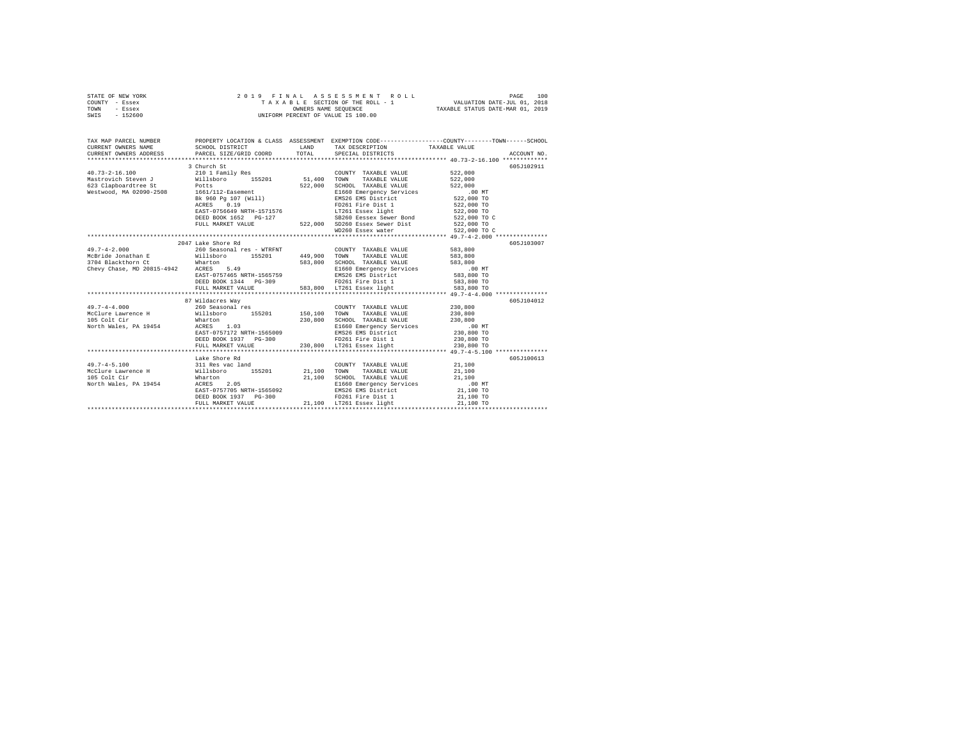| STATE OF NEW YORK | 2019 FINAL ASSESSMENT ROLL         | 100<br>PAGE                      |
|-------------------|------------------------------------|----------------------------------|
| COUNTY - Essex    | TAXABLE SECTION OF THE ROLL - 1    | VALUATION DATE-JUL 01, 2018      |
| TOWN<br>- Essex   | OWNERS NAME SEOUENCE               | TAXABLE STATUS DATE-MAR 01, 2019 |
| $-152600$<br>SWIS | UNIFORM PERCENT OF VALUE IS 100.00 |                                  |

| TAX MAP PARCEL NUMBER                                                                                                                                                                                                                                                                                                                                                                        | SCHOOL DISTRICT       |                                                                                                                                                                                                                                                | PROPERTY LOCATION & CLASS ASSESSMENT EXEMPTION CODE----------------COUNTY-------TOWN-----SCHOOL                                                                                                                                                                                                                                                                                                                                                     |
|----------------------------------------------------------------------------------------------------------------------------------------------------------------------------------------------------------------------------------------------------------------------------------------------------------------------------------------------------------------------------------------------|-----------------------|------------------------------------------------------------------------------------------------------------------------------------------------------------------------------------------------------------------------------------------------|-----------------------------------------------------------------------------------------------------------------------------------------------------------------------------------------------------------------------------------------------------------------------------------------------------------------------------------------------------------------------------------------------------------------------------------------------------|
|                                                                                                                                                                                                                                                                                                                                                                                              |                       |                                                                                                                                                                                                                                                |                                                                                                                                                                                                                                                                                                                                                                                                                                                     |
|                                                                                                                                                                                                                                                                                                                                                                                              |                       |                                                                                                                                                                                                                                                | $\begin{tabular}{lllllllll} \texttt{CURERENT} & & & & & & \texttt{TAXABLE} & \texttt{WALUE} & \\ \texttt{CURERENT} & & & & & \texttt{SCEOCEID} & & & \texttt{TAXABLE} & \texttt{WALUE} & \\ \texttt{CURERENT} & & & & & \texttt{PACEE} & \texttt{SPECID} & \texttt{COCDD} & & & \texttt{TAXABLE} & \texttt{WALUE} & \\ & & & & & \texttt{SPECOL DIT NO} & & & \texttt{RCEOCHIT NO} & \\ & & & & & \texttt{SPECID} & & & \texttt{RCEOCHIT NO} & & \$ |
|                                                                                                                                                                                                                                                                                                                                                                                              | 3 Church St           |                                                                                                                                                                                                                                                | 605J102911                                                                                                                                                                                                                                                                                                                                                                                                                                          |
| $40.73 - 2 - 16.100$                                                                                                                                                                                                                                                                                                                                                                         |                       | COUNTY TAXABLE VALUE 522,000                                                                                                                                                                                                                   |                                                                                                                                                                                                                                                                                                                                                                                                                                                     |
|                                                                                                                                                                                                                                                                                                                                                                                              |                       |                                                                                                                                                                                                                                                |                                                                                                                                                                                                                                                                                                                                                                                                                                                     |
|                                                                                                                                                                                                                                                                                                                                                                                              |                       |                                                                                                                                                                                                                                                |                                                                                                                                                                                                                                                                                                                                                                                                                                                     |
| 623 Clapboardtree St<br>Westwood, MA 02090-2508 1661/112-Easement                                                                                                                                                                                                                                                                                                                            |                       | WILISDOTE<br>1911 - 1920 1921, 000 SCHOOL TAXABLE VALUE<br>1622,000 SCHOOL TAXABLE VALUE<br>1622,000 TO 1641/112-Easement ENSC Emergency Services<br>282,000 TO 2008<br>2827,000 TO 2008<br>2827,000 TO 2008<br>2827,000 TO 2016<br>2827,000 T |                                                                                                                                                                                                                                                                                                                                                                                                                                                     |
|                                                                                                                                                                                                                                                                                                                                                                                              |                       |                                                                                                                                                                                                                                                |                                                                                                                                                                                                                                                                                                                                                                                                                                                     |
|                                                                                                                                                                                                                                                                                                                                                                                              |                       |                                                                                                                                                                                                                                                |                                                                                                                                                                                                                                                                                                                                                                                                                                                     |
|                                                                                                                                                                                                                                                                                                                                                                                              |                       |                                                                                                                                                                                                                                                |                                                                                                                                                                                                                                                                                                                                                                                                                                                     |
|                                                                                                                                                                                                                                                                                                                                                                                              |                       |                                                                                                                                                                                                                                                |                                                                                                                                                                                                                                                                                                                                                                                                                                                     |
|                                                                                                                                                                                                                                                                                                                                                                                              |                       |                                                                                                                                                                                                                                                |                                                                                                                                                                                                                                                                                                                                                                                                                                                     |
|                                                                                                                                                                                                                                                                                                                                                                                              |                       |                                                                                                                                                                                                                                                |                                                                                                                                                                                                                                                                                                                                                                                                                                                     |
|                                                                                                                                                                                                                                                                                                                                                                                              |                       |                                                                                                                                                                                                                                                |                                                                                                                                                                                                                                                                                                                                                                                                                                                     |
|                                                                                                                                                                                                                                                                                                                                                                                              | 2047 Lake Shore Rd    |                                                                                                                                                                                                                                                | 605J103007                                                                                                                                                                                                                                                                                                                                                                                                                                          |
| $49.7 - 4 - 2.000$ 5easonal res - WTRFNT COUNTY TAXABLE VALUE 583,800                                                                                                                                                                                                                                                                                                                        |                       |                                                                                                                                                                                                                                                |                                                                                                                                                                                                                                                                                                                                                                                                                                                     |
| McBride Jonathan E Millsboro 155201 449,900 TOWN TAXABLE VALUE 583,800                                                                                                                                                                                                                                                                                                                       |                       |                                                                                                                                                                                                                                                |                                                                                                                                                                                                                                                                                                                                                                                                                                                     |
| 3704 Blackthorn Ct = Wharton = 583,800 SCHOOL TAXABLE VALUE = 583,800 SCHOOL TAXABLE VALUE = 583,800<br>Chevy Chase, MD 20815-4942 = ACRES = 5.49 = 5.49 = 5.8160 EMEY Services = 5.90 mm<br>583,800 = 583,800 = 583,800 EAST-075746                                                                                                                                                         |                       |                                                                                                                                                                                                                                                |                                                                                                                                                                                                                                                                                                                                                                                                                                                     |
|                                                                                                                                                                                                                                                                                                                                                                                              |                       |                                                                                                                                                                                                                                                |                                                                                                                                                                                                                                                                                                                                                                                                                                                     |
|                                                                                                                                                                                                                                                                                                                                                                                              |                       |                                                                                                                                                                                                                                                |                                                                                                                                                                                                                                                                                                                                                                                                                                                     |
|                                                                                                                                                                                                                                                                                                                                                                                              |                       |                                                                                                                                                                                                                                                |                                                                                                                                                                                                                                                                                                                                                                                                                                                     |
|                                                                                                                                                                                                                                                                                                                                                                                              |                       |                                                                                                                                                                                                                                                |                                                                                                                                                                                                                                                                                                                                                                                                                                                     |
|                                                                                                                                                                                                                                                                                                                                                                                              |                       |                                                                                                                                                                                                                                                |                                                                                                                                                                                                                                                                                                                                                                                                                                                     |
|                                                                                                                                                                                                                                                                                                                                                                                              | 87 Wildacres Way      |                                                                                                                                                                                                                                                | 605J104012                                                                                                                                                                                                                                                                                                                                                                                                                                          |
|                                                                                                                                                                                                                                                                                                                                                                                              |                       |                                                                                                                                                                                                                                                |                                                                                                                                                                                                                                                                                                                                                                                                                                                     |
|                                                                                                                                                                                                                                                                                                                                                                                              |                       |                                                                                                                                                                                                                                                |                                                                                                                                                                                                                                                                                                                                                                                                                                                     |
|                                                                                                                                                                                                                                                                                                                                                                                              |                       |                                                                                                                                                                                                                                                |                                                                                                                                                                                                                                                                                                                                                                                                                                                     |
|                                                                                                                                                                                                                                                                                                                                                                                              |                       |                                                                                                                                                                                                                                                |                                                                                                                                                                                                                                                                                                                                                                                                                                                     |
|                                                                                                                                                                                                                                                                                                                                                                                              |                       |                                                                                                                                                                                                                                                |                                                                                                                                                                                                                                                                                                                                                                                                                                                     |
|                                                                                                                                                                                                                                                                                                                                                                                              |                       |                                                                                                                                                                                                                                                |                                                                                                                                                                                                                                                                                                                                                                                                                                                     |
|                                                                                                                                                                                                                                                                                                                                                                                              |                       |                                                                                                                                                                                                                                                |                                                                                                                                                                                                                                                                                                                                                                                                                                                     |
|                                                                                                                                                                                                                                                                                                                                                                                              |                       |                                                                                                                                                                                                                                                |                                                                                                                                                                                                                                                                                                                                                                                                                                                     |
|                                                                                                                                                                                                                                                                                                                                                                                              | Lake Shore Rd         |                                                                                                                                                                                                                                                | 605J100613                                                                                                                                                                                                                                                                                                                                                                                                                                          |
| $\begin{array}{l} \mbox{49.7--4--5.100}\qquad \qquad \mbox{311 Res vac land} \qquad \qquad \mbox{21,100}\qquad \qquad \mbox{22,100}\qquad \qquad \mbox{43.100 F} \qquad \mbox{44.100 F} \qquad \qquad \mbox{45.101 F} \qquad \qquad \mbox{46.110 F} \qquad \qquad \mbox{47.101 F} \qquad \qquad \mbox{48.110 F} \qquad \qquad \mbox{49.110 F} \qquad \qquad \mbox{40.110 F} \qquad \qquad \$ |                       |                                                                                                                                                                                                                                                |                                                                                                                                                                                                                                                                                                                                                                                                                                                     |
|                                                                                                                                                                                                                                                                                                                                                                                              |                       |                                                                                                                                                                                                                                                |                                                                                                                                                                                                                                                                                                                                                                                                                                                     |
| 105 Cole Cir (1999)<br>106 Cole Cir (1999) 21,100 SCHOOL TAXABLE VALUE 21,100<br>106 Morth Wales, PA 19454 AGRESS 2.05 21,100 21,100 E1660 Emergency Services 21,100<br>21,100 TO EAST-0757705 NRTH-1565092 EMS26 EMS District 21,100 T                                                                                                                                                      |                       |                                                                                                                                                                                                                                                |                                                                                                                                                                                                                                                                                                                                                                                                                                                     |
|                                                                                                                                                                                                                                                                                                                                                                                              |                       |                                                                                                                                                                                                                                                |                                                                                                                                                                                                                                                                                                                                                                                                                                                     |
|                                                                                                                                                                                                                                                                                                                                                                                              |                       |                                                                                                                                                                                                                                                |                                                                                                                                                                                                                                                                                                                                                                                                                                                     |
|                                                                                                                                                                                                                                                                                                                                                                                              | DEED BOOK 1937 PG-300 | FD261 Fire Dist 1 21,100 TO                                                                                                                                                                                                                    |                                                                                                                                                                                                                                                                                                                                                                                                                                                     |
|                                                                                                                                                                                                                                                                                                                                                                                              |                       |                                                                                                                                                                                                                                                |                                                                                                                                                                                                                                                                                                                                                                                                                                                     |
|                                                                                                                                                                                                                                                                                                                                                                                              |                       |                                                                                                                                                                                                                                                |                                                                                                                                                                                                                                                                                                                                                                                                                                                     |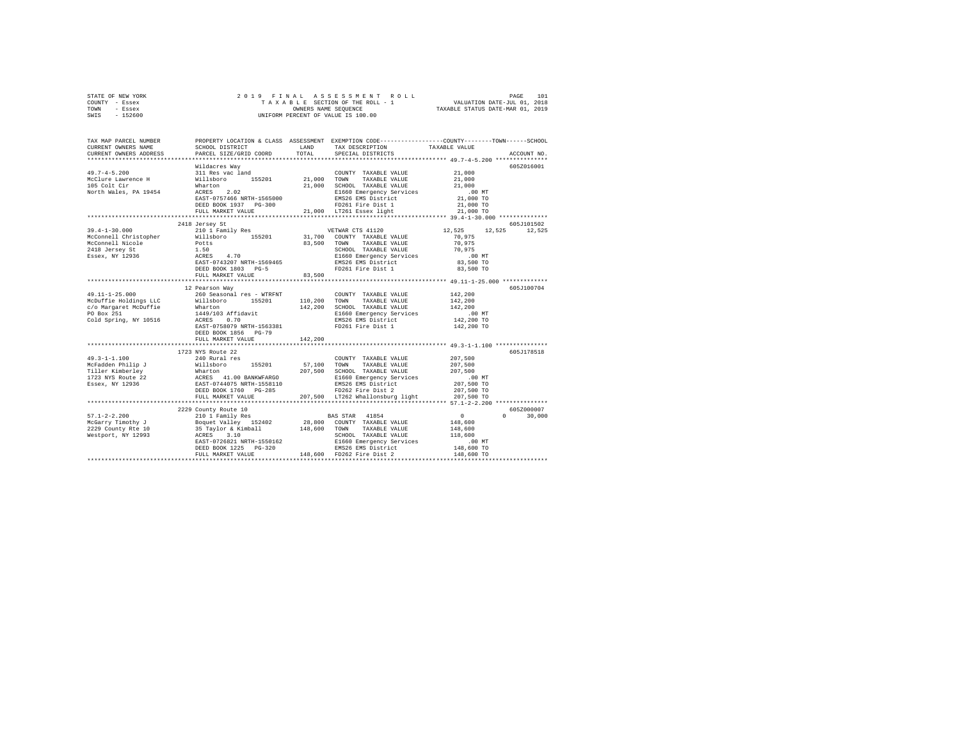|                | STATE OF NEW YORK |  |  | 2019 FINAL ASSESSMENT ROLL         |                                  | PAGE | 101 |
|----------------|-------------------|--|--|------------------------------------|----------------------------------|------|-----|
| COUNTY - Essex |                   |  |  | TAXABLE SECTION OF THE ROLL - 1    | VALUATION DATE-JUL 01, 2018      |      |     |
| TOWN           | - Essex           |  |  | OWNERS NAME SEOUENCE               | TAXABLE STATUS DATE-MAR 01, 2019 |      |     |
| SWIS           | $-152600$         |  |  | UNIFORM PERCENT OF VALUE IS 100.00 |                                  |      |     |

| TAX MAP PARCEL NUMBER<br>CURRENT OWNERS NAME                                                                                                                                                                                                   | SCHOOL DISTRICT                                                                                                                                            | LAND        | TAX DESCRIPTION                                          | PROPERTY LOCATION & CLASS ASSESSMENT EXEMPTION CODE----------------COUNTY-------TOWN------SCHOOL<br>TAXABLE VALUE |        |
|------------------------------------------------------------------------------------------------------------------------------------------------------------------------------------------------------------------------------------------------|------------------------------------------------------------------------------------------------------------------------------------------------------------|-------------|----------------------------------------------------------|-------------------------------------------------------------------------------------------------------------------|--------|
| CURRENT OWNERS ADDRESS                                                                                                                                                                                                                         | PARCEL SIZE/GRID COORD                                                                                                                                     | TOTAL       | SPECIAL DISTRICTS                                        | ACCOUNT NO.                                                                                                       |        |
|                                                                                                                                                                                                                                                | Wildacres Wav                                                                                                                                              |             |                                                          | 605Z016001                                                                                                        |        |
| $49.7 - 4 - 5.200$                                                                                                                                                                                                                             | ariancies way<br>311 Res vac land<br>Willsboro 155201<br>Wharton<br>ACRES 2.02                                                                             |             | COUNTY TAXABLE VALUE 21,000                              |                                                                                                                   |        |
| McClure Lawrence H                                                                                                                                                                                                                             |                                                                                                                                                            | 21,000 TOWN | TAXABLE VALUE                                            | 21,000                                                                                                            |        |
| 105 Colt Cir                                                                                                                                                                                                                                   |                                                                                                                                                            |             | 21,000 SCHOOL TAXABLE VALUE                              | 21,000                                                                                                            |        |
| North Wales, PA 19454                                                                                                                                                                                                                          |                                                                                                                                                            |             | E1660 Emergency Services                                 | .00MT                                                                                                             |        |
|                                                                                                                                                                                                                                                | EAST-0757466 NRTH-1565000                                                                                                                                  |             | EMS26 EMS District                                       | 21,000 TO                                                                                                         |        |
|                                                                                                                                                                                                                                                | DEED BOOK 1937 PG-300                                                                                                                                      |             | FD261 Fire Dist 1                                        | 21,000 TO                                                                                                         |        |
|                                                                                                                                                                                                                                                | FULL MARKET VALUE                                                                                                                                          |             | 21,000 LT261 Essex light                                 | 21,000 TO                                                                                                         |        |
|                                                                                                                                                                                                                                                |                                                                                                                                                            |             |                                                          |                                                                                                                   |        |
|                                                                                                                                                                                                                                                | 2418 Jersey St                                                                                                                                             |             |                                                          | 605J101502                                                                                                        |        |
| $39.4 - 1 - 30.000$                                                                                                                                                                                                                            | 210 1 Family Res                                                                                                                                           |             | VETWAR CTS 41120                                         | 12,525<br>12,525 12,525                                                                                           |        |
|                                                                                                                                                                                                                                                |                                                                                                                                                            |             |                                                          | 70,975                                                                                                            |        |
|                                                                                                                                                                                                                                                |                                                                                                                                                            |             |                                                          | 70,975                                                                                                            |        |
|                                                                                                                                                                                                                                                |                                                                                                                                                            |             | SCHOOL TAXABLE VALUE<br>E1660 Emergency Services         | 70.975                                                                                                            |        |
|                                                                                                                                                                                                                                                |                                                                                                                                                            |             |                                                          | .00 MT                                                                                                            |        |
|                                                                                                                                                                                                                                                |                                                                                                                                                            |             | EMS26 EMS District                                       | 83,500 TO                                                                                                         |        |
|                                                                                                                                                                                                                                                | DEED BOOK 1803 PG-5                                                                                                                                        |             | FD261 Fire Dist 1                                        | 83,500 TO                                                                                                         |        |
|                                                                                                                                                                                                                                                | FULL MARKET VALUE                                                                                                                                          | 83,500      |                                                          |                                                                                                                   |        |
|                                                                                                                                                                                                                                                | ********************************                                                                                                                           |             |                                                          |                                                                                                                   |        |
|                                                                                                                                                                                                                                                | 12 Pearson Way                                                                                                                                             |             |                                                          | 605J100704                                                                                                        |        |
| $49.11 - 1 - 25.000$                                                                                                                                                                                                                           | 260 Seasonal res - WTRFNT                                                                                                                                  |             | COUNTY TAXABLE VALUE                                     | 142,200                                                                                                           |        |
|                                                                                                                                                                                                                                                |                                                                                                                                                            |             | 110,200 TOWN TAXABLE VALUE                               | 142,200                                                                                                           |        |
| 49.11-1-25.000<br>McDuffie Holdings LLC 200 Seasonal res - WTRFNT<br>C/O Margaret McDuffie – Wharton<br>Do Box 251<br>Cold Spring, NY 10516 – 1449/103 Affidavit<br>Cold Spring, NY 10516 – 2008 – 0.70                                        |                                                                                                                                                            |             | 142,200 SCHOOL TAXABLE VALUE<br>E1660 Emergency Services | 142,200                                                                                                           |        |
|                                                                                                                                                                                                                                                |                                                                                                                                                            |             |                                                          | .00 MT                                                                                                            |        |
|                                                                                                                                                                                                                                                |                                                                                                                                                            |             | EMS26 EMS District                                       | 142,200 TO                                                                                                        |        |
|                                                                                                                                                                                                                                                | EAST-0758079 NRTH-1563381                                                                                                                                  |             | FD261 Fire Dist 1                                        | 142,200 TO                                                                                                        |        |
|                                                                                                                                                                                                                                                | DEED BOOK 1856 PG-79                                                                                                                                       |             |                                                          |                                                                                                                   |        |
|                                                                                                                                                                                                                                                | FULL MARKET VALUE                                                                                                                                          | 142,200     |                                                          |                                                                                                                   |        |
|                                                                                                                                                                                                                                                | 1723 NYS Route 22                                                                                                                                          |             |                                                          | 605J178518                                                                                                        |        |
| $49.3 - 1 - 1.100$                                                                                                                                                                                                                             | 240 Rural res                                                                                                                                              |             | COUNTY TAXABLE VALUE                                     | 207,500                                                                                                           |        |
|                                                                                                                                                                                                                                                |                                                                                                                                                            |             | 57,100 TOWN TAXABLE VALUE                                | 207,500                                                                                                           |        |
|                                                                                                                                                                                                                                                |                                                                                                                                                            |             |                                                          | 207,500                                                                                                           |        |
| New Allie (1992)<br>Martine Rimberies (1992)<br>TAXABLE VALUE TRINE (1992)<br>Martine Rimberies (1993)<br>207,500 SOMN TAXABLE VALUE<br>207,500 SOMN TAXABLE VALUE<br>207,500 SOMN TAXABLE VALUE<br>207,500 SOMN TAXABLE VALUE<br>207,500 SOMN |                                                                                                                                                            |             | E1660 Emergency Services                                 |                                                                                                                   |        |
|                                                                                                                                                                                                                                                |                                                                                                                                                            |             | EMS26 EMS District                                       | 00 MT.<br>207,500 TO                                                                                              |        |
|                                                                                                                                                                                                                                                | DEED BOOK 1760 PG-285                                                                                                                                      |             | FD262 Fire Dist 2                                        | 207,500 TO                                                                                                        |        |
|                                                                                                                                                                                                                                                | FULL MARKET VALUE                                                                                                                                          |             | 207,500 LT262 Whallonsburg light 207,500 TO              |                                                                                                                   |        |
|                                                                                                                                                                                                                                                |                                                                                                                                                            |             |                                                          |                                                                                                                   |        |
|                                                                                                                                                                                                                                                | 2229 County Route 10                                                                                                                                       |             |                                                          | 6052000007                                                                                                        |        |
|                                                                                                                                                                                                                                                |                                                                                                                                                            |             |                                                          | $\sim$ 0<br>$\Omega$                                                                                              | 30,000 |
| 1971–21200 – 2000 – 2001 I Family Res († 1875)<br>1970–2008 – 2001 I Family Res († 152402 – 28,800 COUNTY TAXABLE VALUE<br>2029 County Rte 10 – 35 Taylor & Kimball – 148,600 TOWN TAXABLE VALUE<br>1980 – 2009 – 2008 – 2008 – 2008 –         |                                                                                                                                                            |             |                                                          | 148,600                                                                                                           |        |
|                                                                                                                                                                                                                                                |                                                                                                                                                            |             |                                                          | 148,600                                                                                                           |        |
|                                                                                                                                                                                                                                                |                                                                                                                                                            |             | SCHOOL TAXABLE VALUE                                     | 118,600                                                                                                           |        |
|                                                                                                                                                                                                                                                |                                                                                                                                                            |             |                                                          | $.00$ MT                                                                                                          |        |
|                                                                                                                                                                                                                                                |                                                                                                                                                            |             |                                                          | 148,600 TO                                                                                                        |        |
|                                                                                                                                                                                                                                                | ACRES 3.10 SCHOOL TAXABLE VALUE<br>EAST-0726821 NRTH-1550162 BI660 Emergency Services<br>ENS26 EMS District<br>FULL MARKET VALUE 148,600 FD262 Fire Dist 2 |             |                                                          | 148,600 TO                                                                                                        |        |
|                                                                                                                                                                                                                                                |                                                                                                                                                            |             |                                                          |                                                                                                                   |        |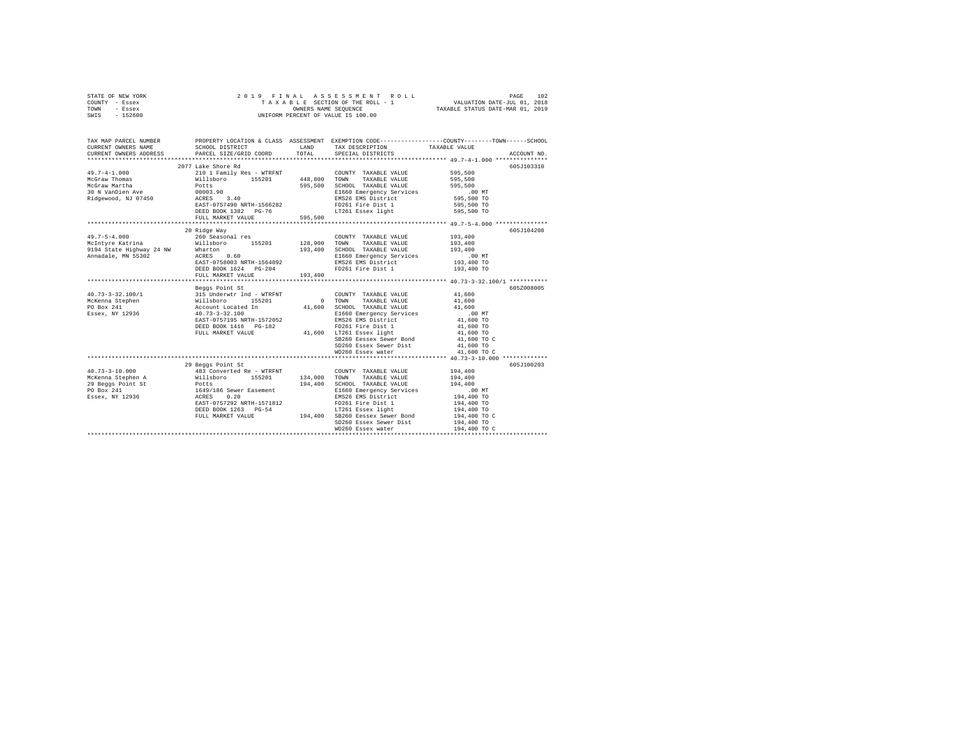| STATE OF NEW YORK<br>COUNTY<br>- Essex<br>TOWN<br>- Essex<br>$-152600$<br>SWIS |                                              |                     | 2019 FINAL ASSESSMENT ROLL<br>TAXABLE SECTION OF THE ROLL - 1<br>OWNERS NAME SEQUENCE<br>UNIFORM PERCENT OF VALUE IS 100.00 | TAXABLE STATUS DATE-MAR 01, 2019 | 102<br>PAGE<br>VALUATION DATE-JUL 01, 2018 |
|--------------------------------------------------------------------------------|----------------------------------------------|---------------------|-----------------------------------------------------------------------------------------------------------------------------|----------------------------------|--------------------------------------------|
| TAX MAP PARCEL NUMBER<br>CURRENT OWNERS NAME                                   | PROPERTY LOCATION & CLASS<br>SCHOOL DISTRICT | ASSESSMENT<br>LAND. | EXEMPTION CODE-----------------COUNTY-------TOWN------SCHOOL<br>TAX DESCRIPTION                                             | TAXABLE VALUE                    |                                            |

|                        |                                                                                                                                                                                                                                                                                                                                                                                                                                                 | ------- |                                                                           |                        |
|------------------------|-------------------------------------------------------------------------------------------------------------------------------------------------------------------------------------------------------------------------------------------------------------------------------------------------------------------------------------------------------------------------------------------------------------------------------------------------|---------|---------------------------------------------------------------------------|------------------------|
| CURRENT OWNERS ADDRESS | PARCEL SIZE/GRID COORD                                                                                                                                                                                                                                                                                                                                                                                                                          | TOTAL   | SPECIAL DISTRICTS                                                         | ACCOUNT NO.            |
|                        |                                                                                                                                                                                                                                                                                                                                                                                                                                                 |         |                                                                           |                        |
|                        | 2077 Lake Shore Rd                                                                                                                                                                                                                                                                                                                                                                                                                              |         |                                                                           | 605J103310             |
| $49.7 - 4 - 1.000$     |                                                                                                                                                                                                                                                                                                                                                                                                                                                 |         | COUNTY TAXABLE VALUE 595,500                                              |                        |
| McGraw Thomas          | 210 1 Family Res - WTRFNT (COUNTY TAXABLE VALUE WILLED<br>Nillaboro 155201 448,800 TOWN TAXABLE VALUE<br>Potts 1995,500 SCHOOL TAXABLE VALUE                                                                                                                                                                                                                                                                                                    |         |                                                                           | 595,500                |
| McGraw Martha          |                                                                                                                                                                                                                                                                                                                                                                                                                                                 |         |                                                                           | 595,500<br>595,500     |
| 30 N VanDien Ave       |                                                                                                                                                                                                                                                                                                                                                                                                                                                 |         | E1660 Emergency Services .00 MT<br>EMS26 EMS District 595,500 TO          |                        |
| Ridgewood, NJ 07450    | 00003.90<br>ACRES 3.40<br>EAST-0757490 NRTH-1566282                                                                                                                                                                                                                                                                                                                                                                                             |         | EMS26 EMS District<br>FO261 Fire District<br>FO261 Fire Dist 1 595,500 TO |                        |
|                        | EAST-0757490 NRTH-1566282                                                                                                                                                                                                                                                                                                                                                                                                                       |         |                                                                           |                        |
|                        |                                                                                                                                                                                                                                                                                                                                                                                                                                                 |         |                                                                           |                        |
|                        | ${\tt DEED\ BOOK\ 1382\quad PG-76\qquad \qquad {\tt LT261\ Essex\ light} \eqno{595,500\ TO}$ ${\tt FULL\ MARKET\ VALUE}$                                                                                                                                                                                                                                                                                                                        |         |                                                                           |                        |
|                        |                                                                                                                                                                                                                                                                                                                                                                                                                                                 |         |                                                                           |                        |
|                        | 20 Ridge Way                                                                                                                                                                                                                                                                                                                                                                                                                                    |         |                                                                           | 605J104208             |
| $49.7 - 5 - 4.000$     | 260 Seasonal res                                                                                                                                                                                                                                                                                                                                                                                                                                |         | COUNTY TAXABLE VALUE                                                      | 193,400                |
|                        | McIntyre Katrina (Willsboro 155201 128,900 TOWN TAXABLE VALUE                                                                                                                                                                                                                                                                                                                                                                                   |         |                                                                           | 193,400                |
|                        |                                                                                                                                                                                                                                                                                                                                                                                                                                                 |         | 193,400 SCHOOL TAXABLE VALUE                                              | 193,400                |
|                        | MODICINE ROLLING MARINE (1994)<br>1994 State Highway 24 NW Wharton 0.60 193,400<br>Annadale, MN 55302 ACRES 0.60 RAST-0758003 NRTH-1564092                                                                                                                                                                                                                                                                                                      |         |                                                                           |                        |
|                        |                                                                                                                                                                                                                                                                                                                                                                                                                                                 |         | E1660 Emergency Services .00 MT<br>EMS26 EMS District 193,400 TO          |                        |
|                        |                                                                                                                                                                                                                                                                                                                                                                                                                                                 |         |                                                                           |                        |
|                        |                                                                                                                                                                                                                                                                                                                                                                                                                                                 |         |                                                                           |                        |
|                        |                                                                                                                                                                                                                                                                                                                                                                                                                                                 |         |                                                                           |                        |
|                        | Beggs Point St                                                                                                                                                                                                                                                                                                                                                                                                                                  |         |                                                                           | 605Z008005             |
|                        | $\begin{tabular}{lllllllllllll} \multicolumn{4}{c}{\textbf{40.73--3-32.100/1}} & & & & & & & & & \\ \multicolumn{4}{c}{\textbf{515: Under} & \textbf{516:}\hspace{-2.2cm} \multicolumn{4}{c}{\textbf{41.}} & \textbf{61.}} & & & & & \\ \multicolumn{4}{c}{\textbf{MCEena} & \textbf{Steplen} } & & & & & \\ \multicolumn{4}{c}{\textbf{MSE} & \textbf{MSE} & \textbf{11.}} & & & & & \\ \multicolumn{4}{c}{\textbf{51.}} & & & & & & \\ \mult$ |         | COUNTY TAXABLE VALUE                                                      | 41,600                 |
|                        | 155201 0 TOWN                                                                                                                                                                                                                                                                                                                                                                                                                                   |         | TAXABLE VALUE 41,600                                                      |                        |
|                        |                                                                                                                                                                                                                                                                                                                                                                                                                                                 | 41,600  |                                                                           |                        |
|                        |                                                                                                                                                                                                                                                                                                                                                                                                                                                 |         | SCHOOL TAXABLE VALUE $41,600$<br>E1660 Emergency Services .00 MT          |                        |
|                        | EAST-0757195 NRTH-1572052                                                                                                                                                                                                                                                                                                                                                                                                                       |         | EMS26 EMS District 41,600 TO                                              |                        |
|                        |                                                                                                                                                                                                                                                                                                                                                                                                                                                 |         |                                                                           |                        |
|                        | DEED BOOK 1416 PG-182 PD261 Fire Dist 1<br>FULL MARKET VALUE 41,600 LT261 Essex light                                                                                                                                                                                                                                                                                                                                                           |         |                                                                           | 41,600 TO<br>41,600 TO |
|                        |                                                                                                                                                                                                                                                                                                                                                                                                                                                 |         | SB260 Eessex Sewer Bond 41,600 TO C                                       |                        |
|                        |                                                                                                                                                                                                                                                                                                                                                                                                                                                 |         |                                                                           |                        |
|                        |                                                                                                                                                                                                                                                                                                                                                                                                                                                 |         |                                                                           |                        |
|                        |                                                                                                                                                                                                                                                                                                                                                                                                                                                 |         |                                                                           |                        |
|                        | 29 Beggs Point St                                                                                                                                                                                                                                                                                                                                                                                                                               |         |                                                                           | 605J100203             |
| $40.73 - 3 - 10.000$   | 483 Converted Re - WTRFNT                                                                                                                                                                                                                                                                                                                                                                                                                       |         | COUNTY TAXABLE VALUE 194.400                                              |                        |
|                        | McKenna Stephen A Willsboro 155201 134,000                                                                                                                                                                                                                                                                                                                                                                                                      |         | TOWN<br>TAXABLE VALUE                                                     | 194,400                |
|                        |                                                                                                                                                                                                                                                                                                                                                                                                                                                 | 194,400 |                                                                           | 194,400                |
|                        | 29 Beggs Point St<br>PO Box 241 1649/186 Sewer Easement<br>Essex, NY 12936 1649/186 802ES 0.20                                                                                                                                                                                                                                                                                                                                                  |         | SCHOOL TAXABLE VALUE<br>E1660 Emergency Services                          | .00 MT                 |
|                        |                                                                                                                                                                                                                                                                                                                                                                                                                                                 |         | EMS26 EMS District $194,400$ TO                                           |                        |
|                        |                                                                                                                                                                                                                                                                                                                                                                                                                                                 |         |                                                                           | 194,400 TO             |
|                        | EAST-0757292 NRTH-1571812 FD261 Fire Dist 1<br>DEED BOOK 1263 PG-54 17261 EAST ESSEX 11ght<br>FULL MARKET VALUE 194,400 SB260 Eessex Sewer Bond                                                                                                                                                                                                                                                                                                 |         | FD261 Fire Dist 1<br>LT261 Essex light                                    | 194,400 TO             |
|                        |                                                                                                                                                                                                                                                                                                                                                                                                                                                 |         |                                                                           | 194,400 TO C           |
|                        |                                                                                                                                                                                                                                                                                                                                                                                                                                                 |         | SD260 Essex Sewer Dist                                                    | 194,400 TO             |
|                        |                                                                                                                                                                                                                                                                                                                                                                                                                                                 |         | WD260 Essex water                                                         | 194,400 TO C           |
|                        |                                                                                                                                                                                                                                                                                                                                                                                                                                                 |         |                                                                           |                        |
|                        |                                                                                                                                                                                                                                                                                                                                                                                                                                                 |         |                                                                           |                        |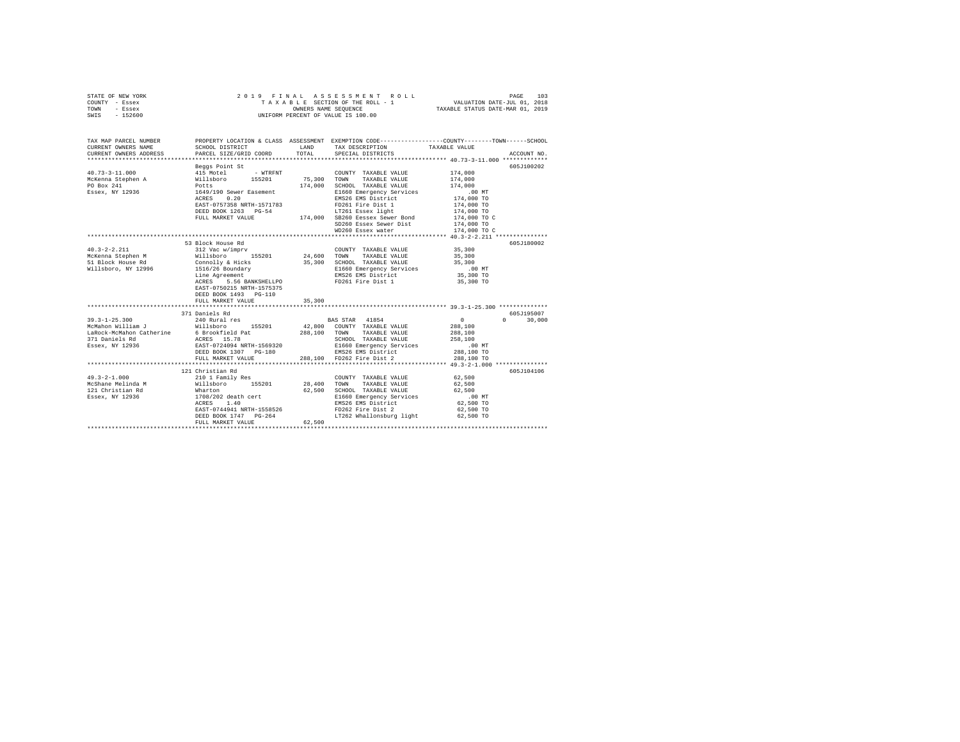| TOWN<br>- Essex<br>$-152600$<br>SWIS                                                                      |                                                                                                                                                                                                                | OWNERS NAME SEQUENCE       | UNIFORM PERCENT OF VALUE IS 100.00                                                                                                                                                                                             | TAXABLE STATUS DATE-MAR 01, 2019                                                                                  |                                  |
|-----------------------------------------------------------------------------------------------------------|----------------------------------------------------------------------------------------------------------------------------------------------------------------------------------------------------------------|----------------------------|--------------------------------------------------------------------------------------------------------------------------------------------------------------------------------------------------------------------------------|-------------------------------------------------------------------------------------------------------------------|----------------------------------|
| TAX MAP PARCEL NUMBER<br>CURRENT OWNERS NAME<br>CURRENT OWNERS ADDRESS                                    | SCHOOL DISTRICT<br>PARCEL SIZE/GRID COORD                                                                                                                                                                      | LAND<br>TOTAL              | PROPERTY LOCATION & CLASS ASSESSMENT EXEMPTION CODE---------------COUNTY-------TOWN-----SCHOOL<br>TAX DESCRIPTION<br>SPECIAL DISTRICTS                                                                                         | TAXABLE VALUE<br>****************** 40.73-3-11.000 *************                                                  | ACCOUNT NO.                      |
| $40.73 - 3 - 11.000$<br>McKenna Stephen A<br>PO Box 241<br>Essex, NY 12936                                | Beggs Point St<br>415 Motel<br>- WTRFNT<br>millsboro 155201<br>Nillsboro 155201<br>Potts<br>1649/190 Sewer Easement<br>0.20<br>ACRES<br>EAST-0757358 NRTH-1571783<br>DEED BOOK 1263 PG-54<br>FULL MARKET VALUE | 75,300<br>174,000          | COUNTY TAXABLE VALUE<br>TOWN<br>TAXABLE VALUE<br>SCHOOL TAXABLE VALUE<br>E1660 Emergency Services<br>EMS26 EMS District<br>FD261 Fire Dist 1<br>LT261 Essex light<br>174,000 SB260 Eessex Sewer Bond<br>SD260 Essex Sewer Dist | 174,000<br>174,000<br>174,000<br>$.00$ MT<br>174,000 TO<br>174,000 TO<br>174,000 TO<br>174,000 TO C<br>174,000 TO | 605J100202                       |
|                                                                                                           | 53 Block House Rd                                                                                                                                                                                              |                            | WD260 Essex water                                                                                                                                                                                                              | 174,000 TO C                                                                                                      | 605J180002                       |
| $40.3 - 2 - 2.211$<br>McKenna Stephen M<br>51 Block House Rd<br>Willsboro, NY 12996                       | 312 Vac w/imprv<br>155201<br>Willsboro<br>Connolly & Hicks<br>1516/26 Boundary<br>Line Agreement<br>ACRES<br>5.56 BANKSHELLPO<br>EAST-0750215 NRTH-1575375<br>DEED BOOK 1493 PG-110<br>FULL MARKET VALUE       | 24,600<br>35,300<br>35,300 | COUNTY TAXABLE VALUE<br>TOWN<br>TAXABLE VALUE<br>SCHOOL TAXABLE VALUE<br>E1660 Emergency Services<br>EMS26 EMS District<br>FD261 Fire Dist 1                                                                                   | 35,300<br>35,300<br>35,300<br>.00MT<br>35,300 TO<br>35,300 TO                                                     |                                  |
|                                                                                                           |                                                                                                                                                                                                                |                            |                                                                                                                                                                                                                                |                                                                                                                   |                                  |
| $39.3 - 1 - 25.300$<br>McMahon William J<br>LaRock-McMahon Catherine<br>371 Daniels Rd<br>Essex, NY 12936 | 371 Daniels Rd<br>240 Rural res<br>155201<br>Willsboro<br>6 Brookfield Pat<br>ACRES 15.78<br>EAST-0724094 NRTH-1569320<br>DEED BOOK 1307 PG-180<br>FULL MARKET VALUE                                           | 288,100 TOWN<br>288,100    | BAS STAR 41854<br>42.800 COUNTY TAXABLE VALUE<br>TAXABLE VALUE<br>SCHOOL TAXABLE VALUE<br>E1660 Emergency Services<br>EMS26 EMS District<br>FD262 Fire Dist 2                                                                  | $\sim$ 0<br>288,100<br>288,100<br>258,100<br>$.00$ MT<br>288,100 TO<br>288,100 TO                                 | 605J195007<br>$\Omega$<br>30,000 |
|                                                                                                           |                                                                                                                                                                                                                |                            |                                                                                                                                                                                                                                |                                                                                                                   |                                  |
| $49.3 - 2 - 1.000$<br>McShane Melinda M<br>121 Christian Rd<br>Essex, NY 12936                            | 121 Christian Rd<br>210 1 Family Res<br>Willsboro<br>155201<br>Wharton<br>1708/202<br>1708/202 death cert<br>ACRES<br>1.40<br>EAST-0744941 NRTH-1558526<br>DEED BOOK 1747 PG-264<br>FULL MARKET VALUE          | 28,400<br>62.500<br>62,500 | COUNTY TAXABLE VALUE<br>TOWN<br>TAXABLE VALUE<br>SCHOOL TAXABLE VALUE<br>E1660 Emergency Services<br>EMS26 EMS District<br>FD262 Fire Dist 2<br>LT262 Whallonsburg light 62,500 TO                                             | 62,500<br>62,500<br>62,500<br>$.00$ MT<br>62,500 TO<br>62,500 TO                                                  | 605J104106                       |

STATE OF NEW YORK 2 0 1 9 F I N A L A S S E S S M E N T R O L L PAGE 103 COUNTY - Essex T A X A B L E SECTION OF THE ROLL - 1 VALUATION DATE-JUL 01, 2018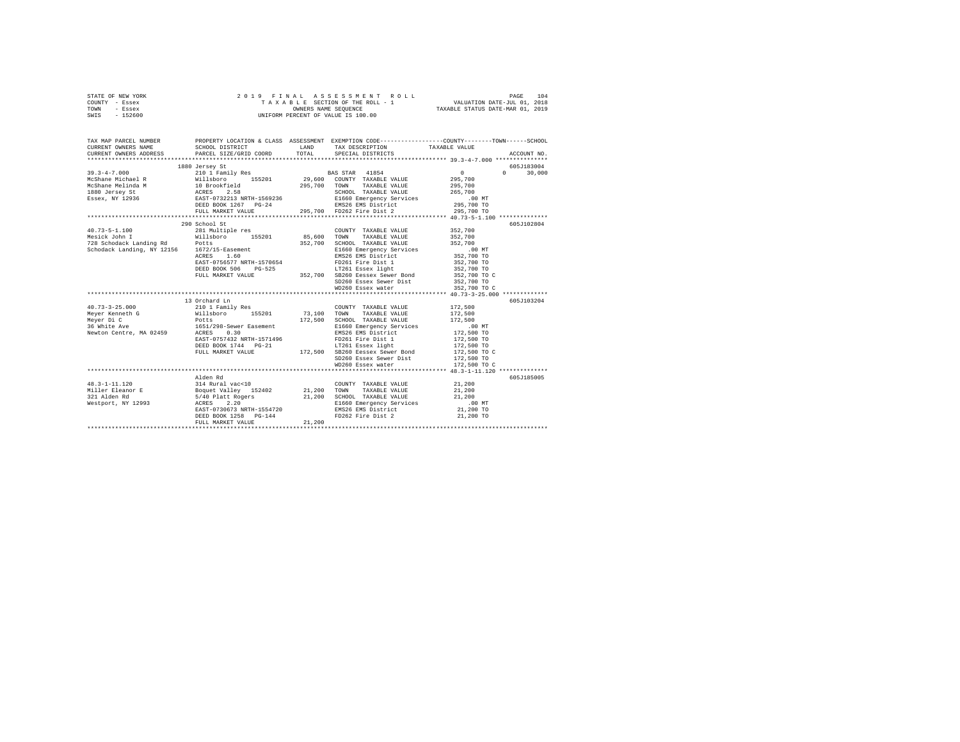| STATE OF NEW YORK |  |  |  |  | 2019 FINAL ASSESSMENT ROLL         |                                  | PAGE                        | 104 |
|-------------------|--|--|--|--|------------------------------------|----------------------------------|-----------------------------|-----|
| COUNTY - Essex    |  |  |  |  | TAXABLE SECTION OF THE ROLL - 1    |                                  | VALUATION DATE-JUL 01, 2018 |     |
| TOWN<br>- Essex   |  |  |  |  | OWNERS NAME SEOUENCE               | TAXABLE STATUS DATE-MAR 01, 2019 |                             |     |
| $-152600$<br>SWIS |  |  |  |  | UNIFORM PERCENT OF VALUE IS 100.00 |                                  |                             |     |

| TAX MAP PARCEL NUMBER<br>CURRENT OWNERS NAME<br>CURRENT OWNERS ADDRESS PARCEL SIZE/GRID COORD TOTAL SPECIAL DISTRICTS | SCHOOL DISTRICT                                        |        | LAND TAX DESCRIPTION TAXABLE VALUE TOTAL SPECIAL DISTRICTS                                     | PROPERTY LOCATION & CLASS ASSESSMENT EXEMPTION CODE----------------COUNTY-------TOWN-----SCHOOL<br>ACCOUNT NO. |
|-----------------------------------------------------------------------------------------------------------------------|--------------------------------------------------------|--------|------------------------------------------------------------------------------------------------|----------------------------------------------------------------------------------------------------------------|
|                                                                                                                       | 1880 Jersey St                                         |        |                                                                                                | 605J183004                                                                                                     |
|                                                                                                                       | 290 School St                                          |        | SD260 Essex Sewer Dist 352,700 TO<br>WD260 Essex water 352,700 TO C                            | 605J102804                                                                                                     |
| $40.73 - 3 - 25.000$                                                                                                  | 13 Orchard Ln<br>210 1 Family Res                      |        | COUNTY TAXABLE VALUE 172.500                                                                   | 605J103204                                                                                                     |
|                                                                                                                       | Alden Rd<br>DEED BOOK 1258 PG-144<br>FULL MARKET VALUE | 21,200 | E1660 Emergency Services .00 MT<br>EMS26 EMS District 21,200 TO<br>FD262 Fire Dist 2 21,200 TO | 605J185005                                                                                                     |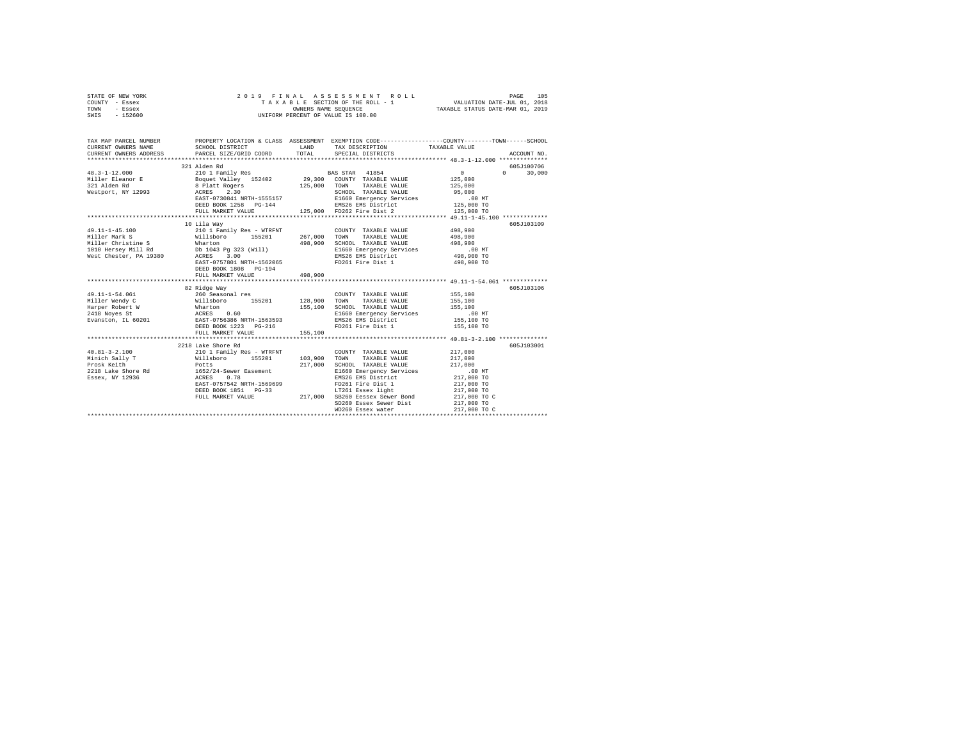| STATE OF NEW YORK<br>COUNTY - Essex<br>TOWN - Essex<br>SWIS - 152600                                                                                                                      | 2019 FINAL ASSESSION OF THE ROLL - 1<br>TAXALE SECTION OF THE ROLL - 1<br>OWNERS NAME SEQUENCE<br>UNIFORM PERCENT OF VALUE IS 100.00                                                              |                                                             | ASSESSMENT ROLL<br>T A X A B L E SECTION OF THE ROLL - 1<br>OWNERS NAME SEQUENCE                                                                                                                                                                                                                                           | PAGE<br>105<br>VALUATION DATE-JUL 01, 2018<br>TAXABLE STATUS DATE-MAR 01, 2019                                                                           |
|-------------------------------------------------------------------------------------------------------------------------------------------------------------------------------------------|---------------------------------------------------------------------------------------------------------------------------------------------------------------------------------------------------|-------------------------------------------------------------|----------------------------------------------------------------------------------------------------------------------------------------------------------------------------------------------------------------------------------------------------------------------------------------------------------------------------|----------------------------------------------------------------------------------------------------------------------------------------------------------|
| CURRENT OWNERS NAME<br>CURRENT OWNERS ADDRESS                                                                                                                                             | SCHOOL DISTRICT<br>PARCEL SIZE/GRID COORD TOTAL                                                                                                                                                   |                                                             | LAND TAX DESCRIPTION<br>SPECIAL DISTRICTS                                                                                                                                                                                                                                                                                  | TAX MAP PARCEL NUMBER THE PROPERTY LOCATION & CLASS ASSESSMENT EXEMPTION CODE--------------COUNTY-------TOWN------SCHOOL<br>TAXABLE VALUE<br>ACCOUNT NO. |
| $48.3 - 1 - 12.000$<br>Miller Eleanor E<br>321 Alden Rd<br>Westport, NY 12993                                                                                                             | 321 Alden Rd                                                                                                                                                                                      |                                                             | FULL MARKET VALUE 125,000 FD262 Fire Dist 2                                                                                                                                                                                                                                                                                | 605J100706<br>$\sim$<br>$0 \t 30.000$<br>125,000<br>125,000<br>95,000<br>00 MT.<br>125,000 TO<br>125,000 TO                                              |
| 49.11-1-45.100<br>Miller Mark S<br>Miller Man A<br>Miller Christine S<br>1010 Hersey Mill Rd<br>1010 Hersey Mill Rd<br>102 ACRES 300<br>2020 ACRES 300<br>20201 REST-0757801 NRTH-1562065 | 10 Lila Way<br>210 1 Family Res - WTRFNT COUNTY<br>Willsboro 155201 267,000 TOWN<br>DEED BOOK 1808 PG-194<br>FULL MARKET VALUE                                                                    | 498,900<br>498,900                                          | COUNTY TAXABLE VALUE 498,900<br>TAXABLE VALUE<br>SCHOOL TAXABLE VALUE<br>E1660 Emergency Services<br>EMS26 EMS District<br>FD261 Fire Dist 1                                                                                                                                                                               | 605J103109<br>498,900<br>498,900<br>.00 MT<br>498,900 TO<br>498,900 TO                                                                                   |
| 49.11-1-54.061<br>Miller Wendy C<br>Harper Robert W<br>2418 Noyes St<br>Evanston, IL 60201                                                                                                | *******************************<br>82 Ridge Way<br>% Arage may<br>millsboro 155201<br>Whalsboro 155201<br>Maarton 2.60<br>EAST-0756386 NRTH-1563593<br>DEED BOOK 1223 PG-216<br>FULL MARKET VALUE | *********************<br>128,900 TOWN<br>155,100<br>155,100 | COUNTY TAXABLE VALUE<br>TAXABLE VALUE<br>SCHOOL TAXABLE VALUE<br>E1660 Emergency Services<br>E1660 Emergency Services<br>EMS26 EMS District<br>FD261 Fire Dist 1                                                                                                                                                           | ******************* 49.11-1-54.061 *************<br>605J103106<br>155,100<br>155,100<br>155,100<br>.00 MT<br>155,100 TO<br>155,100 TO                    |
|                                                                                                                                                                                           | 2218 Lake Shore Rd<br>DEED BOOK 1851 PG-33                                                                                                                                                        | 103,900<br>217,000                                          | COUNTY TAXABLE VALUE<br>TOWN<br>TAXABLE VALUE<br>SCHOOL TAXABLE VALUE<br>E1660 Emergency Services<br>EMS26 EMS District<br>EAST-0757542 NRTH-1569699 PD261 Fire Dist 1<br>DEED BOOK 1851 PG-33 PT261 ET261 ESSEX 11ght<br>FULL MARKET VALUE 217,000 SB260 Eessex Sewer Bond<br>SD260 Essex Sewer Dist<br>WD260 Essex water | 605J103001<br>217,000<br>217,000<br>217,000<br>.00 MT<br>217,000 TO<br>217,000 TO<br>217,000 TO<br>217,000 TO C<br>217,000 TO<br>217,000 TO C            |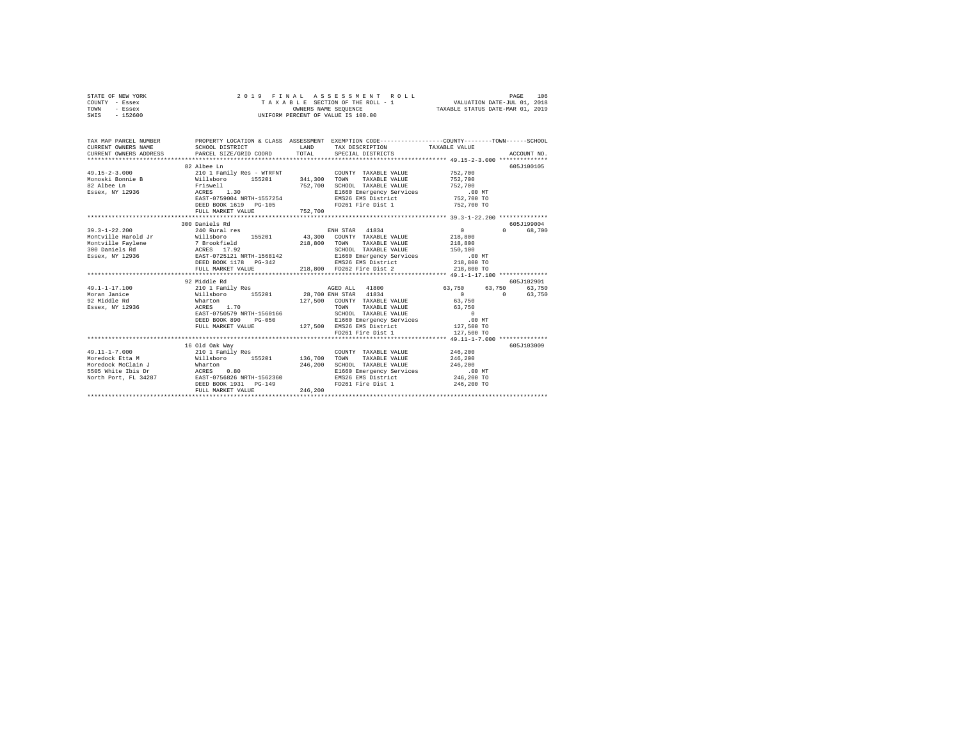| COUNTY<br>- Essex                                   |                                                          |         | TAXABLE SECTION OF THE ROLL - 1 | VALUATION DATE-JUL 01, 2018                                  |  |  |  |  |  |
|-----------------------------------------------------|----------------------------------------------------------|---------|---------------------------------|--------------------------------------------------------------|--|--|--|--|--|
| TOWN<br>- Essex                                     | TAXABLE STATUS DATE-MAR 01, 2019<br>OWNERS NAME SEQUENCE |         |                                 |                                                              |  |  |  |  |  |
| $-152600$<br>SWIS                                   | UNIFORM PERCENT OF VALUE IS 100.00                       |         |                                 |                                                              |  |  |  |  |  |
|                                                     |                                                          |         |                                 |                                                              |  |  |  |  |  |
|                                                     |                                                          |         |                                 |                                                              |  |  |  |  |  |
|                                                     |                                                          |         |                                 |                                                              |  |  |  |  |  |
| TAX MAP PARCEL NUMBER                               | PROPERTY LOCATION & CLASS ASSESSMENT                     |         |                                 | EXEMPTION CODE-----------------COUNTY-------TOWN------SCHOOL |  |  |  |  |  |
| CURRENT OWNERS NAME                                 | SCHOOL DISTRICT                                          | LAND    | TAX DESCRIPTION                 | TAXABLE VALUE                                                |  |  |  |  |  |
| CURRENT OWNERS ADDRESS PARCEL SIZE/GRID COORD TOTAL |                                                          |         | SPECIAL DISTRICTS               | ACCOUNT NO.                                                  |  |  |  |  |  |
|                                                     |                                                          |         |                                 |                                                              |  |  |  |  |  |
|                                                     | 82 Albee Ln                                              |         |                                 | 605J100105                                                   |  |  |  |  |  |
| $49.15 - 2 - 3.000$                                 | 210 1 Family Res - WTRFNT                                |         | COUNTY TAXABLE VALUE            | 752,700                                                      |  |  |  |  |  |
| Monoski Bonnie B                                    | Willsboro 155201                                         | 341,300 | TOWN<br>TAXABLE VALUE           | 752,700                                                      |  |  |  |  |  |
| 82 Albee Ln                                         | Friswell                                                 | 752,700 | SCHOOL TAXABLE VALUE            | 752,700                                                      |  |  |  |  |  |
| Essex, NY 12936                                     | ACRES 1.30                                               |         | E1660 Emergency Services        | $.00$ MT                                                     |  |  |  |  |  |
|                                                     | EAST-0759004 NRTH-1557254                                |         | EMS26 EMS District              | 752,700 TO                                                   |  |  |  |  |  |
|                                                     | DEED BOOK 1619 PG-105                                    |         | FD261 Fire Dist 1               | 752,700 TO                                                   |  |  |  |  |  |
|                                                     | FULL MARKET VALUE                                        | 752,700 |                                 |                                                              |  |  |  |  |  |

STATE OF NEW YORK 2019 FINAL ASSESSMENT ROLL PAGE 106

|                                | DEED BOOK 1619 PG-105<br>FULL MARKET VALUE     | FD261 Fire Dist 1<br>752,700          | 752,700 TO                         |
|--------------------------------|------------------------------------------------|---------------------------------------|------------------------------------|
|                                | 300 Daniels Rd                                 |                                       | 605J199004                         |
| $39.3 - 1 - 22.200$            | 240 Rural res                                  | ENH STAR 41834                        | $\Omega$<br>$\Omega$<br>68,700     |
| Montville Harold Jr            | 155201 43,300<br>Willsboro                     | COUNTY<br>TAXABLE VALUE               | 218,800                            |
| Montville Faylene 7 Brookfield |                                                | 218,800<br>TOWN<br>TAXABLE VALUE      | 218,800                            |
| 300 Daniels Rd                 | ACRES 17.92                                    | SCHOOL TAXABLE VALUE                  | 150,100                            |
|                                | Essex, NY 12936 688T-0725121 NRTH-1568142      | E1660 Emergency Services              | .00 MT                             |
|                                | DEED BOOK 1178 PG-342                          | EMS26 EMS District                    | 218,800 TO                         |
|                                | FULL MARKET VALUE                              | 218,800 FD262 Fire Dist 2 218,800 TO  |                                    |
|                                |                                                |                                       |                                    |
|                                | 92 Middle Rd                                   |                                       | 605J102901                         |
| $49.1 - 1 - 17.100$            | 210 1 Family Res                               | AGED ALL 41800                        | 63,750 63,750<br>63,750            |
| Moran Janice                   | Willsboro                                      | 155201 28,700 ENH STAR 41834          | $\mathbf{0}$<br>63,750<br>$\Omega$ |
| 92 Middle Rd                   | Wharton                                        | 127,500 COUNTY TAXABLE VALUE          | 63,750                             |
| Essex, NY 12936                | ACRES 1.70                                     | TOWN<br>TAXABLE VALUE                 | 63,750                             |
|                                | EAST-0750579 NRTH-1560166                      | SCHOOL TAXABLE VALUE                  | $\Omega$                           |
|                                | DEED BOOK 890<br>$PG-050$                      | E1660 Emergency Services              | .00MT                              |
|                                | FULL MARKET VALUE                              | 127,500 EMS26 EMS District 127,500 TO |                                    |
|                                |                                                | FD261 Fire Dist 1                     | 127,500 TO                         |
|                                |                                                |                                       |                                    |
|                                | 16 Old Oak Way                                 |                                       | 605J103009                         |
| $49.11 - 1 - 7.000$            | 210 1 Family Res                               | COUNTY TAXABLE VALUE                  | 246,200                            |
| Moredock Etta M                | 155201<br>Willsboro                            | 136,700<br>TOWN<br>TAXABLE VALUE      | 246,200                            |
| Moredock McClain J             | Wharton                                        | 246,200<br>SCHOOL TAXABLE VALUE       | 246,200                            |
| 5505 White Ibis Dr             | ACRES 0.80                                     | E1660 Emergency Services              | $.00$ MT                           |
|                                | North Port, FL 34287 EAST-0756826 NRTH-1562360 | EMS26 EMS District                    | 246,200 TO                         |
|                                | DEED BOOK 1931    PG-149                       | FD261 Fire Dist 1                     | 246,200 TO                         |
|                                | FULL MARKET VALUE                              | 246,200                               |                                    |
|                                |                                                |                                       |                                    |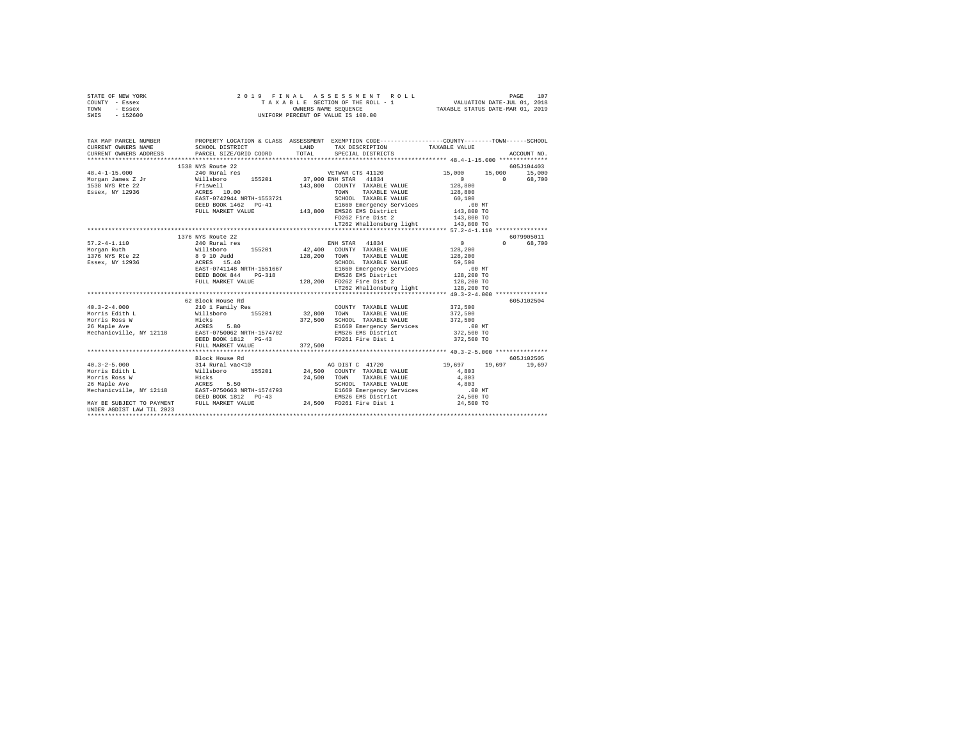|      | STATE OF NEW YORK |  | 2019 FINAL ASSESSMENT ROLL         |                                  | PAGE                        | 107 |
|------|-------------------|--|------------------------------------|----------------------------------|-----------------------------|-----|
|      | COUNTY - Essex    |  | TAXABLE SECTION OF THE ROLL - 1    |                                  | VALUATION DATE-JUL 01, 2018 |     |
| TOWN | - Essex           |  | OWNERS NAME SEOUENCE               | TAXABLE STATUS DATE-MAR 01, 2019 |                             |     |
| SWIS | - 152600          |  | UNIFORM PERCENT OF VALUE IS 100.00 |                                  |                             |     |

| CURRENT OWNERS NAME<br>LAND<br>SCHOOL DISTRICT<br>TAX DESCRIPTION<br>TAXABLE VALUE<br>CURRENT OWNERS ADDRESS<br>TOTAL<br>SPECIAL DISTRICTS<br>PARCEL SIZE/GRID COORD | ACCOUNT NO.        |
|----------------------------------------------------------------------------------------------------------------------------------------------------------------------|--------------------|
| 1538 NYS Route 22<br>240 Rural res<br>$48.4 - 1 - 15.000$<br>15,000 15,000 15,000<br>VETWAR CTS 41120                                                                | 605J104403         |
| 155201 37,000 ENH STAR 41834<br>Morgan James Z Jr Willsboro<br>$\mathbf{0}$                                                                                          | 0 68,700           |
| 1538 NYS Rte 22<br>143,800 COUNTY TAXABLE VALUE                                                                                                                      |                    |
| Friswell<br>ACRES 10.00<br>EAST-0742944 NRTH-1553721<br>128,800<br>128,800<br>TOWN<br>TAXABLE VALUE                                                                  |                    |
| Essex, NY 12936                                                                                                                                                      |                    |
| SCHOOL TAXABLE VALUE 60,100                                                                                                                                          |                    |
| DEED BOOK 1462 PG-41                                                                                                                                                 |                    |
| G-41 E1660 Emergency Services (00 MT<br>143,800 EMS26 EMS District (143,800 TO<br>2008 FD262 Fire Dist 2 (143,800 TO<br>FULL MARKET VALUE                            |                    |
|                                                                                                                                                                      |                    |
| LT262 Whallonsburg light 143,800 TO                                                                                                                                  |                    |
|                                                                                                                                                                      |                    |
| 1376 NYS Route 22                                                                                                                                                    | 6079905011         |
| $57.2 - 4 - 1.110$<br>240 Rural res<br>ENH STAR 41834<br>$\sim$ 0                                                                                                    | $\Omega$<br>68,700 |
| 42,400 COUNTY TAXABLE VALUE<br>128, 200<br>Morgan Ruth<br>1376 NYS Rte 22                                                                                            |                    |
| 128,200 TOWN TAXABLE VALUE<br>128,200                                                                                                                                |                    |
| Willsboro 155201<br>8 9 10 Judd<br>ACRES 15.40<br>SCHOOL TAXABLE VALUE 59,500<br>Essex, NY 12936                                                                     |                    |
| EAST-0741148 NRTH-1551667                                                                                                                                            |                    |
| 1551667 11660 Emergency Services (00 MT<br>128,200 128,200 EMS 26 Example: 128,200 TO-<br>128,200 FD262 Fire Dist 2 128,200 TO<br>DEED BOOK 844<br>$PG-318$          |                    |
| FULL MARKET VALUE                                                                                                                                                    |                    |
|                                                                                                                                                                      |                    |
|                                                                                                                                                                      |                    |
| 62 Block House Rd                                                                                                                                                    | 605J102504         |
| 372,500<br>$40.3 - 2 - 4.000$<br>210 1 Family Res<br>Willsboro       155201<br>COUNTY TAXABLE VALUE                                                                  |                    |
| 32,800 TOWN<br>Morris Edith L<br>TAXABLE VALUE<br>372,500                                                                                                            |                    |
| 372,500 SCHOOL TAXABLE VALUE 372,500<br>Hicks<br>Morris Ross W                                                                                                       |                    |
| ACRES 5.80<br>NY 12118 EAST-0750062 NRTH-1574702<br>26 Maple Ave                                                                                                     |                    |
| EMS26 EMS District<br>Mechanicville, NY 12118                                                                                                                        |                    |
| FD261 Fire Dist 1<br>DEED BOOK 1812 PG-43<br>372,500 TO                                                                                                              |                    |
| 372,500<br>FULL MARKET VALUE                                                                                                                                         |                    |
|                                                                                                                                                                      |                    |
| Block House Rd                                                                                                                                                       | 605J102505         |
| 314 Rural vac<10 $\overline{AB}$ ag DIST C 41720 $\overline{19,697}$ $\overline{19,697}$ $\overline{19,697}$<br>$40.3 - 2 - 5.000$                                   | 19,697             |
| Willsboro 155201 24,500 COUNTY TAXABLE VALUE Hicks<br>Hicks 5.50 24,500 TOWN TAXABLE VALUE<br>ACRES 5.50 5000 5CHOOL TAXABLE VALUE<br>Morris Edith L<br>4,803        |                    |
| Morris Ross W<br>4,803                                                                                                                                               |                    |
| SCHOOL TAXABLE VALUE 4,803<br>26 Maple Ave                                                                                                                           |                    |
| Mechanicville, NY 12118 EAST-0750663 NRTH-1574793<br>$.00$ MT                                                                                                        |                    |
| E1660 Emergency Services<br>EMS26 EMS District<br>DEED BOOK 1812 PG-43<br>24,500 TO                                                                                  |                    |
| MAY BE SUBJECT TO PAYMENT FULL MARKET VALUE<br>24,500 FD261 Fire Dist 1<br>24,500 TO                                                                                 |                    |
| UNDER AGDIST LAW TIL 2023                                                                                                                                            |                    |
|                                                                                                                                                                      |                    |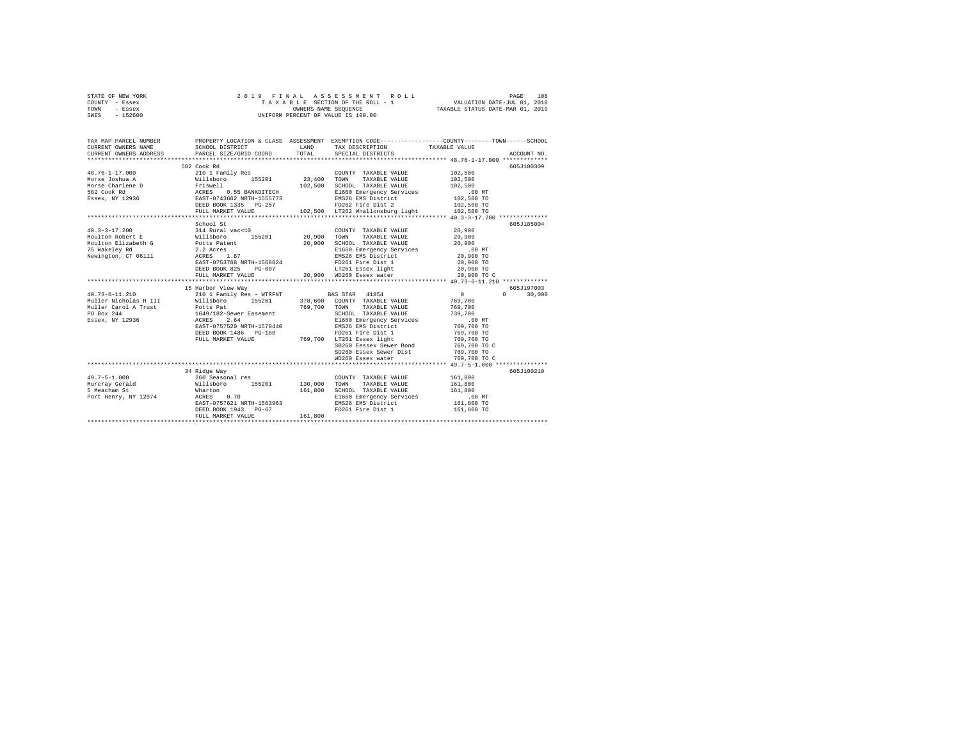| STATE OF NEW YORK | 2019 FINAL ASSESSMENT ROLL         | 108<br>PAGE                      |
|-------------------|------------------------------------|----------------------------------|
| COUNTY - Essex    | TAXABLE SECTION OF THE ROLL - 1    | VALUATION DATE-JUL 01, 2018      |
| TOWN<br>- Essex   | OWNERS NAME SEOUENCE               | TAXABLE STATUS DATE-MAR 01, 2019 |
| $-152600$<br>SWIS | UNIFORM PERCENT OF VALUE IS 100.00 |                                  |

| TAX MAP PARCEL NUMBER<br>CURRENT OWNERS NAME<br>CURRENT OWNERS ADDRESS                                                                                                                                                                               | SCHOOL DISTRICT<br>PARCEL SIZE/GRID COORD                                           | LAND<br>TOTAL | TAX DESCRIPTION TAXABLE VALUE<br>SPECIAL DISTRICTS   | PROPERTY LOCATION & CLASS ASSESSMENT EXEMPTION CODE----------------COUNTY-------TOWN-----SCHOOL<br>ACCOUNT NO. |  |
|------------------------------------------------------------------------------------------------------------------------------------------------------------------------------------------------------------------------------------------------------|-------------------------------------------------------------------------------------|---------------|------------------------------------------------------|----------------------------------------------------------------------------------------------------------------|--|
|                                                                                                                                                                                                                                                      |                                                                                     |               |                                                      |                                                                                                                |  |
|                                                                                                                                                                                                                                                      | 582 Cook Rd                                                                         |               |                                                      | 605J100309                                                                                                     |  |
| 48.76-1-17.000                                                                                                                                                                                                                                       | 210 1 Family Res                                                                    |               | COUNTY TAXABLE VALUE                                 | 102,500                                                                                                        |  |
|                                                                                                                                                                                                                                                      |                                                                                     |               |                                                      |                                                                                                                |  |
|                                                                                                                                                                                                                                                      |                                                                                     |               |                                                      |                                                                                                                |  |
|                                                                                                                                                                                                                                                      |                                                                                     |               |                                                      |                                                                                                                |  |
|                                                                                                                                                                                                                                                      |                                                                                     |               |                                                      |                                                                                                                |  |
|                                                                                                                                                                                                                                                      |                                                                                     |               |                                                      |                                                                                                                |  |
|                                                                                                                                                                                                                                                      |                                                                                     |               |                                                      |                                                                                                                |  |
|                                                                                                                                                                                                                                                      |                                                                                     |               |                                                      |                                                                                                                |  |
|                                                                                                                                                                                                                                                      | School St                                                                           |               |                                                      | 605J185004                                                                                                     |  |
| $40.3 - 3 - 17.200$                                                                                                                                                                                                                                  | 314 Rural vac<10                                                                    |               | COUNTY TAXABLE VALUE 20,900                          |                                                                                                                |  |
|                                                                                                                                                                                                                                                      |                                                                                     |               |                                                      | 20,900                                                                                                         |  |
|                                                                                                                                                                                                                                                      |                                                                                     |               |                                                      | 20,900                                                                                                         |  |
| 75 Wakeley Rd<br>Newington, CT 06111 $\overline{ACRES}$ 1.87<br>$\overline{ACRES}$ 1.87                                                                                                                                                              |                                                                                     |               | E1660 Emergency Services .00 MT                      |                                                                                                                |  |
|                                                                                                                                                                                                                                                      |                                                                                     |               | EMS26 EMS District                                   | 20,900 TO                                                                                                      |  |
|                                                                                                                                                                                                                                                      | EAST-0753768 NRTH-1568824                                                           |               | FD261 Fire Dist 1                                    | 20,900 TO                                                                                                      |  |
|                                                                                                                                                                                                                                                      | DEED BOOK 825                                                                       |               | PG-007 LT261 Essex light                             | 20,900 TO                                                                                                      |  |
|                                                                                                                                                                                                                                                      | FULL MARKET VALUE                                                                   |               | 20,900 WD260 Essex water                             | 20,900 TO C                                                                                                    |  |
|                                                                                                                                                                                                                                                      |                                                                                     |               |                                                      |                                                                                                                |  |
|                                                                                                                                                                                                                                                      | 15 Harbor View Way                                                                  |               |                                                      | 605J197003                                                                                                     |  |
| $\begin{array}{lllll} 40.73\hbox{--}6\hbox{--}11.210 & & & 210\hbox{~1 Family Res}\hbox{--}WTRFWT & & & \text{BAS STAR} & 41854 \\ \text{Muller Nicholas H III} & & & \text{Willsboro} & 155201 & 378,600 & \text{COUNTY TAXABLE VALUE} \end{array}$ |                                                                                     |               |                                                      | $\sim$ 0 $\sim$<br>$\Omega$<br>30,000                                                                          |  |
|                                                                                                                                                                                                                                                      |                                                                                     |               |                                                      | 769,700                                                                                                        |  |
|                                                                                                                                                                                                                                                      |                                                                                     |               |                                                      | 769,700                                                                                                        |  |
|                                                                                                                                                                                                                                                      |                                                                                     |               |                                                      | 739,700                                                                                                        |  |
| Miller Carol A Trust Tottle Pat 169,700 TOWN TAXABLE VALUE<br>PO Box 244 1649/182-Sewer Easement 1649/182-Sex, MCD TAXABLE VALUE<br>Essex, NY 12936 1648 2.64 2.64 E1660 Emergency Services                                                          |                                                                                     |               |                                                      | .00 MT                                                                                                         |  |
|                                                                                                                                                                                                                                                      | EAST-0757520 NRTH-1570440                                                           |               | EMS26 EMS District                                   | 769,700 TO                                                                                                     |  |
|                                                                                                                                                                                                                                                      | DEED BOOK 1486 PG-188                                                               |               |                                                      | 769,700 TO                                                                                                     |  |
|                                                                                                                                                                                                                                                      | FULL MARKET VALUE                                                                   |               | G-188 FD261 Fire Dist 1<br>769,700 LT261 Essex light | 769,700 TO                                                                                                     |  |
|                                                                                                                                                                                                                                                      |                                                                                     |               | SB260 Eessex Sewer Bond 769,700 TO C                 |                                                                                                                |  |
|                                                                                                                                                                                                                                                      |                                                                                     |               | SD260 Essex Sewer Dist                               | 769,700 TO                                                                                                     |  |
|                                                                                                                                                                                                                                                      |                                                                                     |               | WD260 Essex water                                    | 769,700 TO C                                                                                                   |  |
|                                                                                                                                                                                                                                                      |                                                                                     |               |                                                      |                                                                                                                |  |
|                                                                                                                                                                                                                                                      | 34 Ridge Way                                                                        |               |                                                      | 605J100210                                                                                                     |  |
| $49.7 - 5 - 1.000$                                                                                                                                                                                                                                   | 260 Seasonal res                                                                    |               | COUNTY TAXABLE VALUE 161,800                         |                                                                                                                |  |
|                                                                                                                                                                                                                                                      |                                                                                     |               |                                                      | 161,800                                                                                                        |  |
| Murcray Gerald<br>5 Meacham St                                                                                                                                                                                                                       | Willsboro 155201 130,000 TOWN TAXABLE-VALUE<br>Wharton 161,800 SCHOOL TAXABLE-VALUE |               | SCHOOL TAXABLE VALUE                                 | 161,800                                                                                                        |  |
| Port Henry, NY 12974 ACRES 0.70                                                                                                                                                                                                                      |                                                                                     |               | E1660 Emergency Services                             | $.00 \text{ MT}$                                                                                               |  |
|                                                                                                                                                                                                                                                      | EAST-0757621 NRTH-1563963                                                           |               | EMS26 EMS District                                   | 161,800 TO                                                                                                     |  |
|                                                                                                                                                                                                                                                      | DEED BOOK 1943 PG-67                                                                |               | FD261 Fire Dist 1                                    | 161,800 TO                                                                                                     |  |
|                                                                                                                                                                                                                                                      | FULL MARKET VALUE                                                                   | 161,800       |                                                      |                                                                                                                |  |
|                                                                                                                                                                                                                                                      |                                                                                     |               |                                                      |                                                                                                                |  |
|                                                                                                                                                                                                                                                      |                                                                                     |               |                                                      |                                                                                                                |  |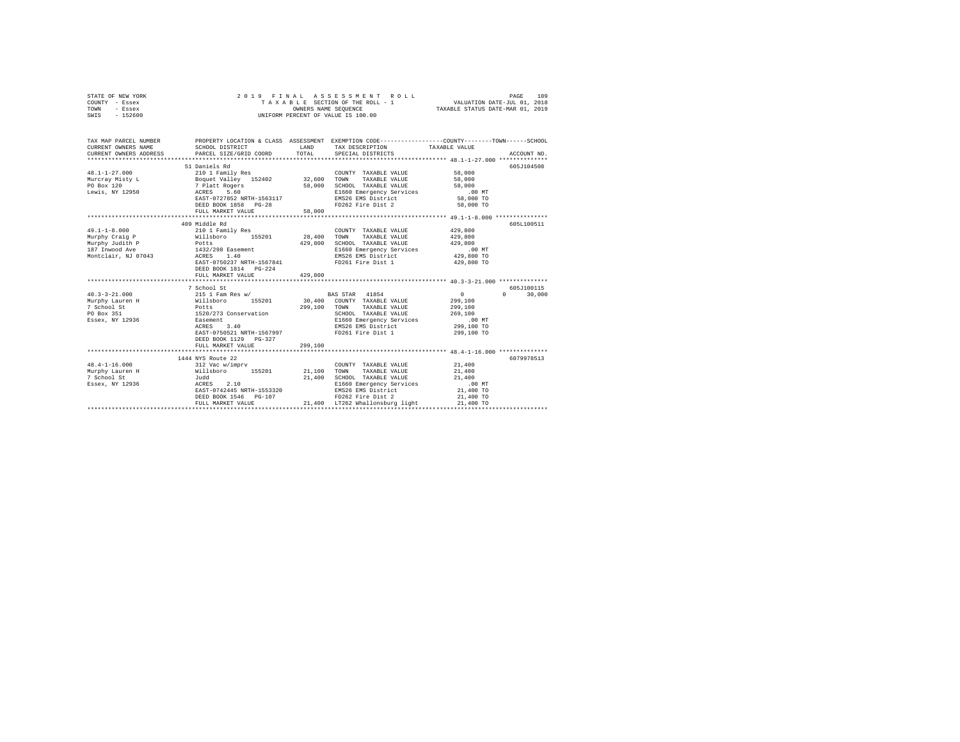| STATE OF NEW YORK<br>COUNTY - Essex<br>TOWN - Essex<br>SWIS - 152600                                                                                                                                                                                                                                                                                                                                                                                      | 2019 FINAL                                                                                                                                                                                                                                                                                                                                                            |         | ASSESSMENT ROLL<br>T A X A B L E SECTION OF THE ROLL - 1<br>OWNERS NAME SEQUENCE<br>UNIFORM PERCENT OF VALUE IS 100.00                                                                                                                                  | VALUATION DATE-JUL 01, 2018<br>TAXABLE STATUS DATE-MAR 01, 2019                                                                                                   | 109<br>PAGE                               |
|-----------------------------------------------------------------------------------------------------------------------------------------------------------------------------------------------------------------------------------------------------------------------------------------------------------------------------------------------------------------------------------------------------------------------------------------------------------|-----------------------------------------------------------------------------------------------------------------------------------------------------------------------------------------------------------------------------------------------------------------------------------------------------------------------------------------------------------------------|---------|---------------------------------------------------------------------------------------------------------------------------------------------------------------------------------------------------------------------------------------------------------|-------------------------------------------------------------------------------------------------------------------------------------------------------------------|-------------------------------------------|
| TAX MAP PARCEL NUMBER<br>CURRENT OWNERS NAME<br>CURRENT OWNERS ADDRESS                                                                                                                                                                                                                                                                                                                                                                                    | SCHOOL DISTRICT<br>PARCEL SIZE/GRID COORD                                                                                                                                                                                                                                                                                                                             | TOTAL   | PROPERTY LOCATION & CLASS ASSESSMENT EXEMPTION CODE---------------COUNTY-------TOWN-----SCHOOL<br>LAND TAX DESCRIPTION<br>SPECIAL DISTRICTS                                                                                                             | TAXABLE VALUE                                                                                                                                                     | ACCOUNT NO.                               |
|                                                                                                                                                                                                                                                                                                                                                                                                                                                           |                                                                                                                                                                                                                                                                                                                                                                       |         |                                                                                                                                                                                                                                                         |                                                                                                                                                                   |                                           |
| $48.1 - 1 - 27.000$<br>Murcray Misty L<br>$\textrm{Poquet value} \begin{tabular}{lcccc} \texttt{Murcray Mistr} & \texttt{Boguet value} & \texttt{152402} & \texttt{32,600} & \texttt{TOMN} & \texttt{TAXABLE VALUE} \\ \texttt{PO Box 120} & & & & & & \\ \texttt{DeWs 18712950} & & & & & \\ \texttt{Lews 18712950} & & & & & \\ \texttt{ACRES} & & & & & \\ \texttt{ACRES} & & & & & \\ \end{tabular} \hspace{0.5cm} \begin{tabular}{lcccc} \texttt{32$ | 51 Daniels Rd<br>210 1 Family Res<br>EAST-0727852 NRTH-1563117                                                                                                                                                                                                                                                                                                        |         | COUNTY TAXABLE VALUE 58,000<br>E1660 Emergency Services<br>EMS26 EMS District                                                                                                                                                                           | 58,000<br>58,000<br>$.00$ MT<br>$58,000$ TO                                                                                                                       | 605J104508                                |
|                                                                                                                                                                                                                                                                                                                                                                                                                                                           | DEED BOOK 1858 PG-28                                                                                                                                                                                                                                                                                                                                                  |         | FD262 Fire Dist 2                                                                                                                                                                                                                                       | 58,000 TO                                                                                                                                                         |                                           |
|                                                                                                                                                                                                                                                                                                                                                                                                                                                           | FULL MARKET VALUE                                                                                                                                                                                                                                                                                                                                                     | 58,000  |                                                                                                                                                                                                                                                         |                                                                                                                                                                   |                                           |
| $49.1 - 1 - 8.000$<br>Murphy Craig P<br>Murphy Judith P<br>187 Inwood Ave<br>Montclair, NJ 07043<br>$40.3 - 3 - 21.000$<br>Murphy Lauren H<br>7 School St<br>PO Box 351<br>Essex, NY 12936                                                                                                                                                                                                                                                                | 409 Middle Rd<br>21011 Pamily Res COUNTY<br>Willaboro 155201 28,400 TONN<br>Potts 155201 28,400 SCHOOL<br>1432,800 SCHOOL<br>1432/298 Easement 140<br>RM526 EN 140<br>EAST-0750237 NRTH-1567841<br>DEED BOOK 1814 PG-224<br>FULL MARKET VALUE<br>7 School St<br>215 1 Fam Res w/<br>Easement<br>ACRES 3.40<br>Easement<br>EAST-0750521 NRTH-1567997 FD261 Fire Dist 1 | 429,800 | COUNTY TAXABLE VALUE<br>TAXABLE VALUE<br>SCHOOL TAXABLE VALUE<br>E1660 Emergency Services<br>EMS26 EMS District<br>ED261 Fire Dist 1<br>FD261 Fire Dist 1<br>BAS STAR 41854<br>E1660 Emergency Services<br>EMS26 EMS District                           | 429,800<br>429,800<br>429,800<br>.00 MT<br>429,800 TO<br>429,800 TO<br>$\sim$ 0 $\sim$ 0<br>299,100<br>299,100<br>269,100<br>$.00$ MT<br>299,100 TO<br>299,100 TO | 605L100511<br>605J100115<br>$0 \t 30.000$ |
|                                                                                                                                                                                                                                                                                                                                                                                                                                                           | FULL MARKET VALUE                                                                                                                                                                                                                                                                                                                                                     | 299,100 |                                                                                                                                                                                                                                                         |                                                                                                                                                                   |                                           |
|                                                                                                                                                                                                                                                                                                                                                                                                                                                           |                                                                                                                                                                                                                                                                                                                                                                       |         |                                                                                                                                                                                                                                                         |                                                                                                                                                                   |                                           |
| $48.4 - 1 - 16.000$<br>Murphy Lauren H<br>7 School St<br>Essex, NY 12936                                                                                                                                                                                                                                                                                                                                                                                  | 1444 NYS Route 22<br>$\begin{tabular}{llll} 312\text{ Vac } \textit{w}/\textit{imprv} \\ \textit{Willsboro} & 155201 & 21,100 \\ \textit{Judd} & 21,400 \\ \end{tabular}$<br>Judd<br>ACRES 2.10<br>DEED BOOK 1546 PG-107<br>FULL MARKET VALUE                                                                                                                         |         | COUNTY TAXABLE VALUE 21,400<br>TOWN<br>TAXABLE VALUE<br>SCHOOL TAXABLE VALUE<br>E1660 Emergency Services<br>ACRES 2.10 E1660 Emergency Services<br>EAST-0742445 NRTH-1553320 EMS26 EMS District<br>FD262 Fire Dist 2<br>21,400 LT262 Whallonsburg light | 21,400<br>21,400<br>$.00$ MT<br>21,400 TO<br>21,400 TO<br>21,400 TO                                                                                               | 6079978513                                |
|                                                                                                                                                                                                                                                                                                                                                                                                                                                           |                                                                                                                                                                                                                                                                                                                                                                       |         |                                                                                                                                                                                                                                                         |                                                                                                                                                                   |                                           |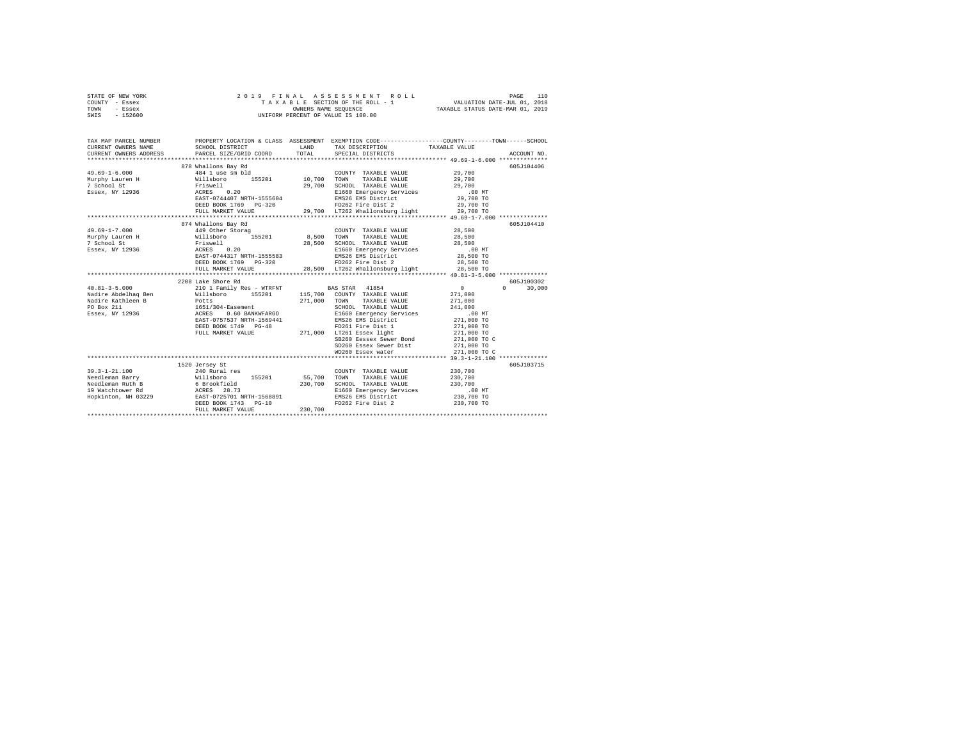|                | STATE OF NEW YORK |  | 2019 FINAL ASSESSMENT ROLL         |                                  | PAGE                        | 110 |
|----------------|-------------------|--|------------------------------------|----------------------------------|-----------------------------|-----|
| COUNTY - Essex |                   |  | TAXABLE SECTION OF THE ROLL - 1    |                                  | VALUATION DATE-JUL 01, 2018 |     |
| TOWN           | - Essex           |  | OWNERS NAME SEOUENCE               | TAXABLE STATUS DATE-MAR 01, 2019 |                             |     |
| SWIS           | - 152600          |  | UNIFORM PERCENT OF VALUE IS 100.00 |                                  |                             |     |
|                |                   |  |                                    |                                  |                             |     |

| TAX MAP PARCEL NUMBER  |                                                                                                                                                                                                                                    |         | PROPERTY LOCATION & CLASS ASSESSMENT EXEMPTION CODE---------------COUNTY-------TOWN------SCHOOL                                        |                          |                    |
|------------------------|------------------------------------------------------------------------------------------------------------------------------------------------------------------------------------------------------------------------------------|---------|----------------------------------------------------------------------------------------------------------------------------------------|--------------------------|--------------------|
| CURRENT OWNERS NAME    | SCHOOL DISTRICT                                                                                                                                                                                                                    | LAND    | TAX DESCRIPTION TAXABLE VALUE                                                                                                          |                          |                    |
| CURRENT OWNERS ADDRESS | PARCEL SIZE/GRID COORD                                                                                                                                                                                                             |         | TOTAL SPECIAL DISTRICTS                                                                                                                |                          | ACCOUNT NO.        |
|                        |                                                                                                                                                                                                                                    |         |                                                                                                                                        |                          |                    |
|                        | 878 Whallons Bay Rd                                                                                                                                                                                                                |         |                                                                                                                                        |                          | 605J104406         |
| $49.69 - 1 - 6.000$    |                                                                                                                                                                                                                                    |         |                                                                                                                                        |                          |                    |
| Murphy Lauren H        |                                                                                                                                                                                                                                    |         |                                                                                                                                        |                          |                    |
| 7 School St            |                                                                                                                                                                                                                                    |         |                                                                                                                                        |                          |                    |
| Essex, NY 12936 ACRES  |                                                                                                                                                                                                                                    |         |                                                                                                                                        |                          |                    |
|                        | Friswell 29,700<br>ACRES 0.20 20<br>EAST-0744407 NRTH-1555604                                                                                                                                                                      |         | E1660 Emergency Services 00 MT<br>EMS26 EMS District . 29,700 TO<br>EMS26 EMS District<br>FD262 Fire Dist 2                            |                          |                    |
|                        | DEED BOOK 1769 PG-320                                                                                                                                                                                                              |         |                                                                                                                                        | 29,700 TO                |                    |
|                        | FULL MARKET VALUE                                                                                                                                                                                                                  |         | 29,700 LT262 Whallonsburg light 29,700 TO                                                                                              |                          |                    |
|                        |                                                                                                                                                                                                                                    |         |                                                                                                                                        |                          |                    |
|                        | 874 Whallons Bay Rd                                                                                                                                                                                                                |         |                                                                                                                                        |                          | 605J104410         |
| $49.69 - 1 - 7.000$    | 449 Other Storag                                                                                                                                                                                                                   |         | COUNTY TAXABLE VALUE 28,500                                                                                                            |                          |                    |
| Murphy Lauren H        | Willsboro 155201<br>Friswell<br>ACRES 0.20                                                                                                                                                                                         |         | 8,500 TOWN TAXABLE VALUE 28,500                                                                                                        |                          |                    |
| 7 School St            |                                                                                                                                                                                                                                    |         |                                                                                                                                        |                          |                    |
| Essex, NY 12936        |                                                                                                                                                                                                                                    |         | 28,500 SCHOOL TAXABLE VALUE<br>E1660 Emergency Services                                                                                | 28,500<br>.00 MT         |                    |
|                        | EAST-0744317 NRTH-1555583                                                                                                                                                                                                          |         | EMS26 EMS District 28,500 TO                                                                                                           |                          |                    |
|                        |                                                                                                                                                                                                                                    |         |                                                                                                                                        | 28,500 TO                |                    |
|                        |                                                                                                                                                                                                                                    |         |                                                                                                                                        | 28,500 TO                |                    |
|                        |                                                                                                                                                                                                                                    |         | ERSIT-074331 WHAT 20021<br>DEED BOOK 1769 PG-320 28,500 LT262 Whallonsburg light<br>FIILL MARKET VALUE 28,500 LT262 Whallonsburg light |                          |                    |
|                        | 2208 Lake Shore Rd                                                                                                                                                                                                                 |         |                                                                                                                                        |                          | 605J100302         |
|                        |                                                                                                                                                                                                                                    |         |                                                                                                                                        | $\sim$ 0                 | 30,000<br>$\Omega$ |
|                        | $\begin{array}{cccccccc} 40.81-3-5.000 & 210 & 1\text{ Family Res - WITH} & \text{BAS STAR} & 41854 & 0 \\ \text{Nadire Abdelaq Ben} & \text{Willsboro} & 155201 & 115,700 & \text{COUNTY TAXABLE VALUE} & 271,000 \\ \end{array}$ |         |                                                                                                                                        |                          |                    |
|                        |                                                                                                                                                                                                                                    |         | TOWN<br>TAXABLE VALUE 271,000                                                                                                          |                          |                    |
|                        |                                                                                                                                                                                                                                    | 271,000 |                                                                                                                                        | 241,000                  |                    |
|                        | 0.60 BANKWFARGO                                                                                                                                                                                                                    |         | SCHOOL TAXABLE VALUE<br>E1660 Emergency Services                                                                                       | 241,000<br>.00 MT        |                    |
|                        | EAST-0757537 NRTH-1569441                                                                                                                                                                                                          |         | EMS26 EMS District 271,000 TO                                                                                                          |                          |                    |
|                        | DEED BOOK 1749 PG-48                                                                                                                                                                                                               |         | FD261 Fire Dist 1                                                                                                                      |                          |                    |
|                        |                                                                                                                                                                                                                                    |         | DEED BOOK 1749 PG-48 FD261 Fire Dist 1<br>FULL MARKET VALUE 271,000 LT261 Essex light                                                  | 271,000 TO<br>271,000 TO |                    |
|                        |                                                                                                                                                                                                                                    |         | SB260 Eessex Sewer Bond 271,000 TO C                                                                                                   |                          |                    |
|                        |                                                                                                                                                                                                                                    |         | SD260 Essex Sewer Dist 271,000 TO                                                                                                      |                          |                    |
|                        |                                                                                                                                                                                                                                    |         | WD260 Essex water                                                                                                                      | 271,000 TO C             |                    |
|                        |                                                                                                                                                                                                                                    |         |                                                                                                                                        |                          |                    |
|                        | 1520 Jersey St                                                                                                                                                                                                                     |         |                                                                                                                                        |                          | 605J103715         |
|                        |                                                                                                                                                                                                                                    |         | COUNTY TAXABLE VALUE                                                                                                                   | 230,700                  |                    |
|                        |                                                                                                                                                                                                                                    |         |                                                                                                                                        | 230,700                  |                    |
|                        |                                                                                                                                                                                                                                    |         | 230,700 SCHOOL TAXABLE VALUE 230,700                                                                                                   |                          |                    |
| 19 Watchtower Rd       | ACRES 28.73<br>BAST-0725701 NRTH-1568891<br>DEED BOOK 1743 PG-10                                                                                                                                                                   |         |                                                                                                                                        |                          |                    |
| Hopkinton, NH 03229    |                                                                                                                                                                                                                                    |         | E1660 Emergency Services .00 MT<br>EMS26 EMS District 230,700 TO<br>EMS26 EMS District                                                 |                          |                    |
|                        |                                                                                                                                                                                                                                    |         | FD262 Fire Dist 2                                                                                                                      | 230,700 TO               |                    |
|                        | FULL MARKET VALUE                                                                                                                                                                                                                  | 230,700 |                                                                                                                                        |                          |                    |
|                        |                                                                                                                                                                                                                                    |         |                                                                                                                                        |                          |                    |
|                        |                                                                                                                                                                                                                                    |         |                                                                                                                                        |                          |                    |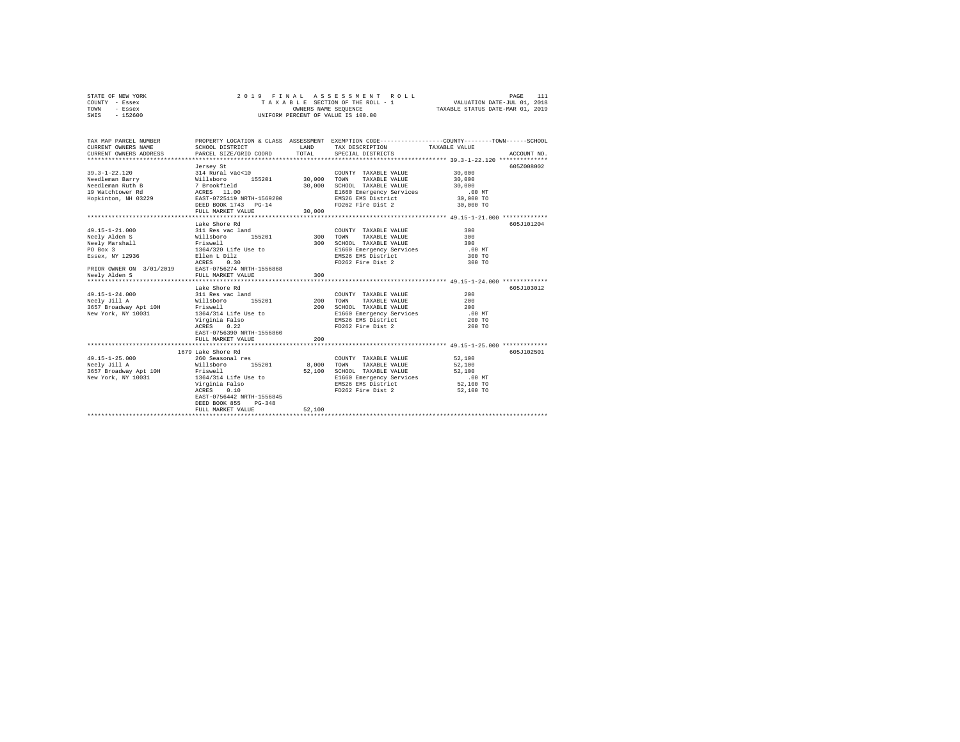| STATE OF NEW YORK | 2019 FINAL ASSESSMENT ROLL         | PAGE                             |
|-------------------|------------------------------------|----------------------------------|
| COUNTY - Essex    | TAXABLE SECTION OF THE ROLL - 1    | VALUATION DATE-JUL 01, 2018      |
| TOWN<br>- Essex   | OWNERS NAME SEOUENCE               | TAXABLE STATUS DATE-MAR 01, 2019 |
| SWIS<br>$-152600$ | UNIFORM PERCENT OF VALUE IS 100.00 |                                  |

| TAX MAP PARCEL NUMBER<br>CURRENT OWNERS NAME<br>CURRENT OWNERS ADDRESS                                                                             | SCHOOL DISTRICT<br>PARCEL SIZE/GRID COORD                                                                                                                                                               | LAND<br>TOTAL                  | TAX DESCRIPTION TAXABLE VALUE<br>SPECIAL DISTRICTS                                                                                                                 | PROPERTY LOCATION & CLASS ASSESSMENT EXEMPTION CODE---------------COUNTY-------TOWN------SCHOOL<br>ACCOUNT NO. |
|----------------------------------------------------------------------------------------------------------------------------------------------------|---------------------------------------------------------------------------------------------------------------------------------------------------------------------------------------------------------|--------------------------------|--------------------------------------------------------------------------------------------------------------------------------------------------------------------|----------------------------------------------------------------------------------------------------------------|
| 39.3-1-22.120 314 Rural vac<10<br>Needleman Barry 314 Rural vac<10<br>Nillsboro 1                                                                  | Jersey St<br>155201 30,000 TOWN<br>DEED BOOK 1743 PG-14<br>FULL MARKET VALUE                                                                                                                            | 30,000<br>30,000               | COUNTY TAXABLE VALUE<br>TAXABLE VALUE<br>SCHOOL TAXABLE VALUE<br>E1660 Emergency Services<br>EMS26 EMS District<br>FD262 Fire Dist 2                               | 605Z008002<br>30,000<br>30,000<br>30,000<br>.00MT<br>30,000 TO<br>30,000 TO                                    |
| 49.15-1-21.000<br>Neely Alden S<br>Friswell<br>Neelv Marshall<br>PO Box 3<br>Essex, NY 12936<br>PRIOR OWNER ON 3/01/2019 EAST-0756274 NRTH-1556868 | Lake Shore Rd<br>311 Res vac land<br>Willsboro<br>155201<br>1364/320 Life Use to<br>Ellen L Dilz<br>ACRES<br>0.30                                                                                       | 300                            | COUNTY TAXABLE VALUE<br>300 TOWN<br>TAXABLE VALUE<br>SCHOOL TAXABLE VALUE 300<br>E1660 Emergency Services .00 MT<br>EMS26 EMS District 300 TO<br>FD262 Fire Dist 2 | 605-7101204<br>300<br>300 TO<br>300 TO                                                                         |
| 49.15-1-24.000<br>Neelv Jill A<br>3657 Broadway Apt 10H Friswell<br>New York, NY 10031                                                             | Lake Shore Rd<br>311 Res vac land<br>Willsboro 1<br>$155201$ 200<br>1364/314 Life Use to<br>Virginia Falso<br>0.22<br>ACRES<br>EAST-0756390 NRTH-1556860<br>FULL MARKET VALUE                           | 200<br>200                     | COUNTY TAXABLE VALUE<br>TAXABLE VALUE<br>TOWN<br>SCHOOL TAXABLE VALUE 200<br>E1660 Emergency Services<br>EMS26 EMS District<br>FD262 Fire Dist 2                   | 605J103012<br>200<br>200<br>.00MT<br>200 TO<br>200 TO                                                          |
| $49.15 - 1 - 25.000$<br>Neelv Jill A<br>3657 Broadway Apt 10H Friswell<br>New York, NY 10031                                                       | 1679 Lake Shore Rd<br>260 Seasonal res<br>Willsboro<br>155201<br>1364/314 Life Use to<br>Virginia Falso<br>ACRES<br>0.10<br>EAST-0756442 NRTH-1556845<br>DEED BOOK 855<br>$PG-348$<br>FULL MARKET VALUE | 8,000 TOWN<br>52,100<br>52,100 | COUNTY TAXABLE VALUE<br>TAXABLE VALUE<br>SCHOOL TAXABLE VALUE<br>E1660 Emergency Services<br>EMS26 EMS District<br>FD262 Fire Dist 2 52,100 TO                     | 605J102501<br>52,100<br>52,100<br>52,100<br>$.00$ MT<br>52,100 TO                                              |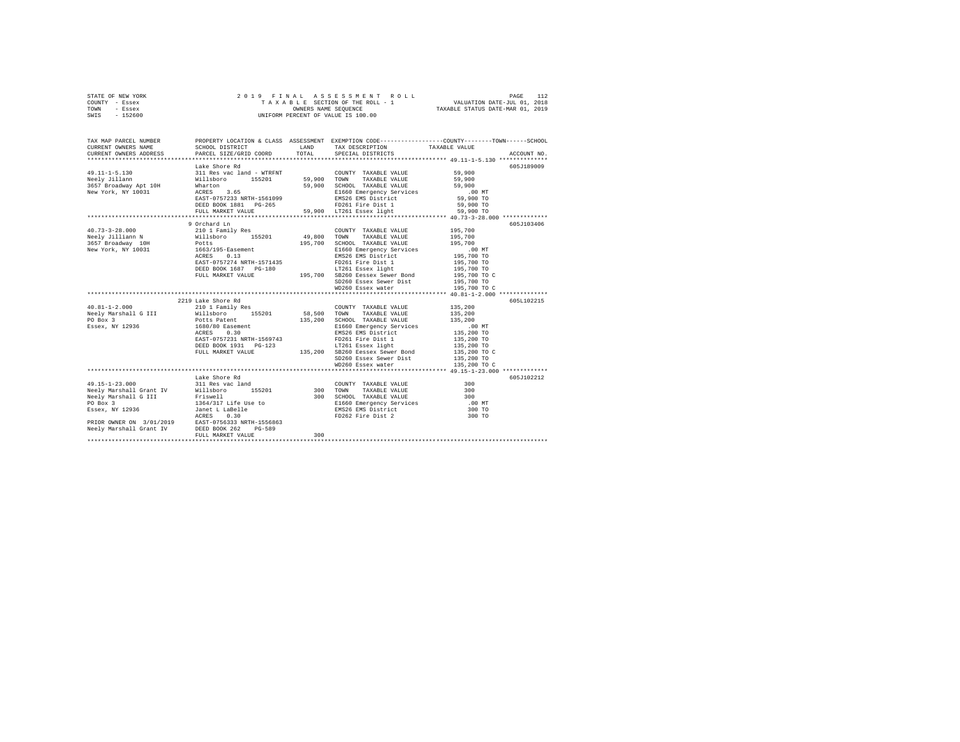| STATE OF NEW YORK | 2019 FINAL ASSESSMENT ROLL         | PAGE                             |
|-------------------|------------------------------------|----------------------------------|
| COUNTY - Essex    | TAXABLE SECTION OF THE ROLL - 1    | VALUATION DATE-JUL 01, 2018      |
| TOWN<br>- Essex   | OWNERS NAME SEOUENCE               | TAXABLE STATUS DATE-MAR 01, 2019 |
| $-152600$<br>SWIS | UNIFORM PERCENT OF VALUE IS 100.00 |                                  |

| TAX MAP PARCEL NUMBER<br>CURRENT OWNERS NAME<br>CURRENT OWNERS ADDRESS PARCEL SIZE/GRID COORD TOTAL                                                                                                                                    | SCHOOL DISTRICT                                             |                   | TAX DESCRIPTION TAXABLE VALUE SPECIAL DISTRICTS<br>LAND TAX DESCRIPTION                                                                                                                          | PROPERTY LOCATION & CLASS ASSESSMENT EXEMPTION CODE---------------COUNTY-------TOWN------SCHOOL<br>ACCOUNT NO. |
|----------------------------------------------------------------------------------------------------------------------------------------------------------------------------------------------------------------------------------------|-------------------------------------------------------------|-------------------|--------------------------------------------------------------------------------------------------------------------------------------------------------------------------------------------------|----------------------------------------------------------------------------------------------------------------|
| 49.11-1-5.130<br>11 Res vac land - WTRFNT COUNTY TAXABLE VALUE<br>Neely Jillann Millsboro 155201 59,900 TOWN TAXABLE VALUE<br>1657 Broadway Apt 10H Whatron 55201 59,900 SCHOOL TAXABLE VALUE<br>New York, NY 10031 RGERS 3.65<br>EAST | Lake Shore Rd<br>DEED BOOK 1881 PG-265<br>FULL MARKET VALUE |                   | 59,900 TOWN IRANSLE VALUE<br>59,900 SCHOOL TAXABLE VALUE<br>E1660 Emergency Services 59,900<br>ENS26 EMS District 59,900 TO<br>FD261 Pire Dist 1 59,900 TO<br>59,900 LT261 Essex light 59,900 TO | 605J189009<br>59,900<br>59,900                                                                                 |
| $40.73 - 3 - 28.000$<br>Neely Jilliann N 35,700 Willsboro 155201 49,800 TOWN TAXABLE VALUE 195,700                                                                                                                                     | 9 Orchard Ln<br>210 1 Family Res                            |                   | COUNTY TAXABLE VALUE<br>SD260 Essex Sewer Dist 195,700 TO                                                                                                                                        | 605J103406<br>195,700                                                                                          |
| $40.81 - 1 - 2.000$                                                                                                                                                                                                                    | 2219 Lake Shore Rd<br>210 1 Family Res                      |                   | COUNTY TAXABLE VALUE 135,200<br>TAXABLE VALUE<br>135,200 SCHOOL TAXABLE VALUE<br>SD260 Essex Sewer Dist 135,200 TO<br>WD260 Essex water 135,200 TO                                               | 605L102215<br>135,200<br>135,200<br>135,200 TO C                                                               |
|                                                                                                                                                                                                                                        | Lake Shore Rd<br>FULL MARKET VALUE                          | $\frac{1}{2}$ 300 |                                                                                                                                                                                                  | 605J102212<br>.00 MT<br>300 TO<br>300 TO                                                                       |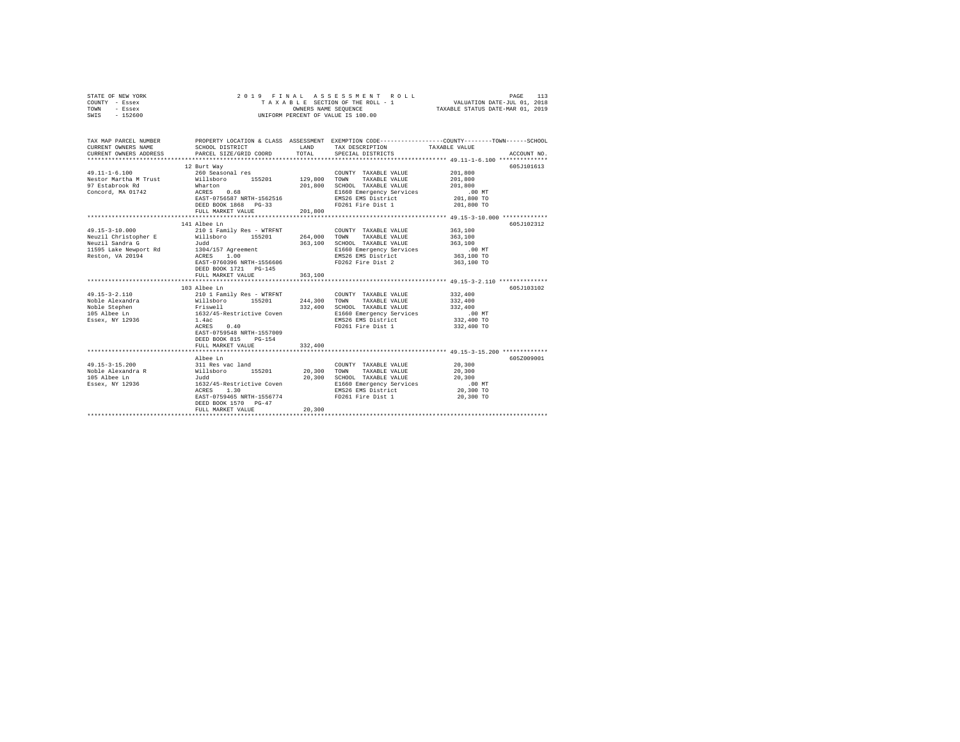| STATE OF NEW YORK<br>COUNTY - Essex<br>TOWN<br>- Essex<br>SWIS - 152600                                      | 2019 FINAL                                                                                                                                                                                                           | OWNERS NAME SEQUENCE                | ASSESSMENT ROLL<br>TAXABLE SECTION OF THE ROLL - 1<br>UNIFORM PERCENT OF VALUE IS 100.00                                                     | PAGE<br>113<br>VALUATION DATE-JUL 01, 2018<br>TAXABLE STATUS DATE-MAR 01, 2019                                                                       |
|--------------------------------------------------------------------------------------------------------------|----------------------------------------------------------------------------------------------------------------------------------------------------------------------------------------------------------------------|-------------------------------------|----------------------------------------------------------------------------------------------------------------------------------------------|------------------------------------------------------------------------------------------------------------------------------------------------------|
| CURRENT OWNERS NAME<br>CURRENT OWNERS ADDRESS                                                                | SCHOOL DISTRICT<br>PARCEL SIZE/GRID COORD                                                                                                                                                                            | TOTAL                               | LAND TAX DESCRIPTION<br>SPECIAL DISTRICTS                                                                                                    | TAX MAP PARCEL NUMBER PROPERTY LOCATION & CLASS ASSESSMENT EXEMPTION CODE--------------COUNTY-------TOWN------SCHOOL<br>TAXABLE VALUE<br>ACCOUNT NO. |
| $49.11 - 1 - 6.100$<br>Nestor Martha M Trust<br>97 Estabrook Rd<br>Concord, MA 01742                         | 12 Burt Way<br>260 Seasonal res<br>Willsboro 155201<br>$ACRES$ 0.68<br>EAST-0756587 NRTH-1562516<br>DEED BOOK 1868 PG-33<br>FULL MARKET VALUE                                                                        | 129,800<br>201,800<br>201,800       | COUNTY TAXABLE VALUE<br>TOWN<br>TAXABLE VALUE<br>SCHOOL TAXABLE VALUE<br>E1660 Emergency Services<br>EMS26 EMS District<br>FD261 Fire Dist 1 | 605J101613<br>201,800<br>201,800<br>201,800<br>.00 MT<br>201,800 TO<br>201,800 TO                                                                    |
| $49.15 - 3 - 10.000$<br>Neuzil Christopher E<br>Neuzil Sandra G<br>11595 Lake Newport Rd<br>Reston, VA 20194 | 141 Albee Ln<br>210 1 Family Res - WTRFNT<br>Willsboro 155201<br>Judd<br>1304/157 Agreement<br>ACRES 1.00<br>EAST-0760396 NRTH-1556606<br>DEED BOOK 1721 PG-145<br>FULL MARKET VALUE                                 | 264,000<br>363,100<br>363,100       | COUNTY TAXABLE VALUE<br>TAXABLE VALUE<br>TOWN<br>SCHOOL TAXABLE VALUE<br>E1660 Emergency Services<br>EMS26 EMS District<br>FD262 Fire Dist 2 | 605J102312<br>363,100<br>363,100<br>363,100<br>$.00$ MT<br>363,100 TO<br>363,100 TO                                                                  |
| 49.15-3-2.110<br>Noble Alexandra<br>Noble Stephen<br>105 Albee Ln<br>Essex, NY 12936                         | ***************************<br>103 Albee Ln<br>210 1 Family Res - WTRFNT<br>Willsboro 155201<br>Friswell<br>1632/45-Restrictive Coven<br>1.4ac<br>ACRES<br>0.40<br>EAST-0759548 NRTH-1557009<br>DEED BOOK 815 PG-154 | *************<br>244,300<br>332,400 | COUNTY TAXABLE VALUE<br>TOWN<br>TAXABLE VALUE<br>SCHOOL TAXABLE VALUE<br>E1660 Emergency Services<br>EMS26 EMS District<br>FD261 Fire Dist 1 | **************** 49.15-3-2.110 ***************<br>605J103102<br>332,400<br>332,400<br>332,400<br>$.00$ MT<br>332,400 TO<br>332,400 TO                |
|                                                                                                              | FULL MARKET VALUE<br>Albee Ln                                                                                                                                                                                        | 332,400                             |                                                                                                                                              | 605Z009001                                                                                                                                           |
| 49.15-3-15.200<br>Noble Alexandra R<br>105 Albee Ln<br>Essex, NY 12936                                       | 311 Res vac land<br>Willsboro 155201<br>Judd<br>1632/45-Restrictive Coven<br>ACRES 1.30<br>EAST-0759465 NRTH-1556774<br>DEED BOOK 1570 PG-47<br>FULL MARKET VALUE                                                    | 20,300<br>20,300<br>20,300          | COUNTY TAXABLE VALUE<br>TOWN<br>TAXABLE VALUE<br>SCHOOL TAXABLE VALUE<br>E1660 Emergency Services<br>EMS26 EMS District<br>FD261 Fire Dist 1 | 20,300<br>20,300<br>20,300<br>$.00$ MT<br>20,300 TO<br>20,300 TO                                                                                     |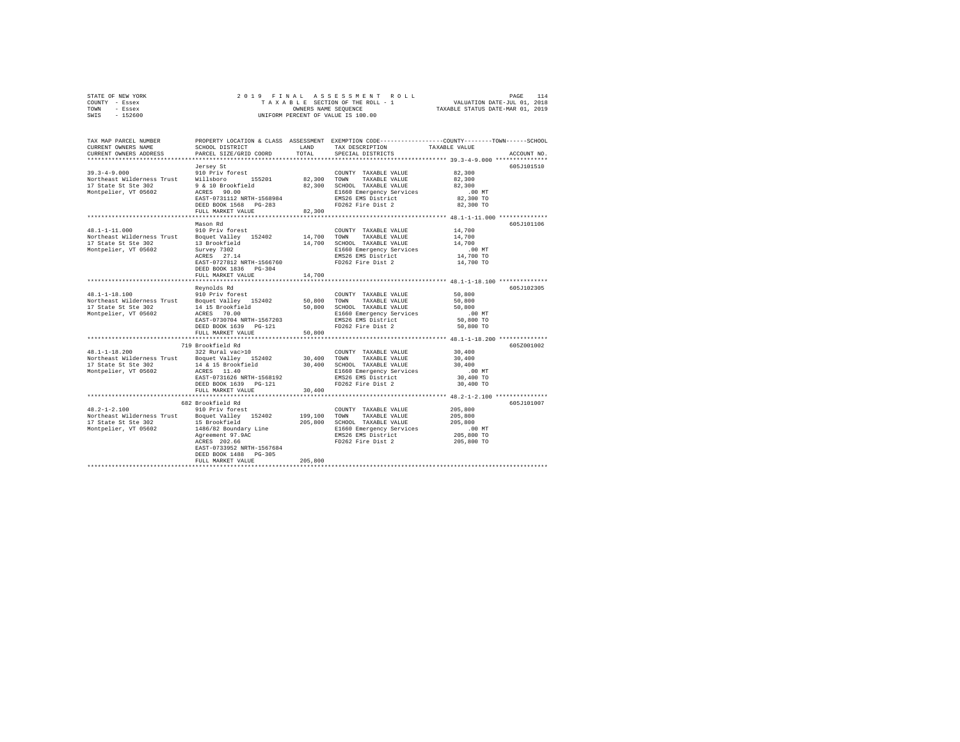| STATE OF NEW YORK | 2019 FINAL ASSESSMENT ROLL         | PAGE                             |
|-------------------|------------------------------------|----------------------------------|
| COUNTY - Essex    | TAXABLE SECTION OF THE ROLL - 1    | VALUATION DATE-JUL 01, 2018      |
| TOWN<br>- Essex   | OWNERS NAME SEOUENCE               | TAXABLE STATUS DATE-MAR 01, 2019 |
| $-152600$<br>SWIS | UNIFORM PERCENT OF VALUE IS 100.00 |                                  |

| TAX MAP PARCEL NUMBER<br>CURRENT OWNERS NAME<br>CURRENT OWNERS ADDRESS | SCHOOL DISTRICT<br>PARCEL SIZE/GRID COORD        | LAND<br>TOTAL | TAX DESCRIPTION<br>SPECIAL DISTRICTS              | PROPERTY LOCATION & CLASS ASSESSMENT EXEMPTION CODE---------------COUNTY-------TOWN-----SCHOOL<br>TAXABLE VALUE<br>ACCOUNT NO. |
|------------------------------------------------------------------------|--------------------------------------------------|---------------|---------------------------------------------------|--------------------------------------------------------------------------------------------------------------------------------|
| ***********************                                                |                                                  |               |                                                   |                                                                                                                                |
|                                                                        | Jersey St                                        |               |                                                   | 605J101510                                                                                                                     |
| $39.3 - 4 - 9.000$                                                     | 910 Priv forest                                  |               | COUNTY TAXABLE VALUE                              | 82,300                                                                                                                         |
| Northeast Wilderness Trust Willsboro                                   | 155201                                           |               | 82,300 TOWN TAXABLE VALUE                         | 82,300                                                                                                                         |
| 17 State St Ste 302                                                    | 9 & 10 Brookfield                                |               | 82,300 SCHOOL TAXABLE VALUE                       | 82,300                                                                                                                         |
| Montpelier, VT 05602                                                   | ACRES 90.00                                      |               | E1660 Emergency Services                          | $.00$ MT                                                                                                                       |
|                                                                        | EAST-0731112 NRTH-1568984                        |               | EMS26 EMS District                                | 82,300 TO                                                                                                                      |
|                                                                        | DEED BOOK 1568 PG-283                            |               | FD262 Fire Dist 2                                 | 82,300 TO                                                                                                                      |
|                                                                        | FULL MARKET VALUE                                | 82,300        |                                                   |                                                                                                                                |
|                                                                        |                                                  |               |                                                   |                                                                                                                                |
|                                                                        | Mason Rd                                         |               |                                                   | 605J101106                                                                                                                     |
| $48.1 - 1 - 11.000$<br>Northeast Wilderness Trust Boquet Valley 152402 | 910 Priv forest                                  |               | COUNTY TAXABLE VALUE<br>14,700 TOWN TAXABLE VALUE | 14,700                                                                                                                         |
| 17 State St Ste 302                                                    | 13 Brookfield                                    |               | SCHOOL TAXABLE VALUE                              | 14,700<br>14,700                                                                                                               |
| Montpelier, VT 05602                                                   |                                                  | 14,700        |                                                   | .00 MT                                                                                                                         |
|                                                                        | Survey 7302<br>ACRES 27.14                       |               | E1660 Emergency Services<br>EMS26 EMS District    | 14,700 TO                                                                                                                      |
|                                                                        | EAST-0727812 NRTH-1566760                        |               | FD262 Fire Dist 2                                 | 14,700 TO                                                                                                                      |
|                                                                        | DEED BOOK 1836 PG-304                            |               |                                                   |                                                                                                                                |
|                                                                        | FULL MARKET VALUE                                | 14,700        |                                                   |                                                                                                                                |
|                                                                        |                                                  |               |                                                   | ******************** 48.1-1-18.100 **************                                                                              |
|                                                                        | Revnolds Rd                                      |               |                                                   | 605J102305                                                                                                                     |
| $48.1 - 1 - 18.100$                                                    | 910 Priv forest                                  |               | COUNTY TAXABLE VALUE                              | 50,800                                                                                                                         |
| Northeast Wilderness Trust Boquet Valley 152402                        |                                                  | 50,800 TOWN   | TAXABLE VALUE                                     | 50,800                                                                                                                         |
| 17 State St Ste 302                                                    | 14 15 Brookfield                                 | 50,800        | SCHOOL TAXABLE VALUE                              | 50,800                                                                                                                         |
| Montpelier, VT 05602                                                   | ACRES 70.00                                      |               | E1660 Emergency Services                          | $.00$ MT                                                                                                                       |
|                                                                        | EAST-0730704 NRTH-1567203                        |               | EMS26 EMS District                                | 50,800 TO                                                                                                                      |
|                                                                        | DEED BOOK 1639 PG-121                            |               | FD262 Fire Dist 2                                 | 50,800 TO                                                                                                                      |
|                                                                        | FULL MARKET VALUE                                | 50,800        |                                                   |                                                                                                                                |
|                                                                        |                                                  |               |                                                   |                                                                                                                                |
|                                                                        | 719 Brookfield Rd                                |               |                                                   | 605Z001002                                                                                                                     |
| $48.1 - 1 - 18.200$                                                    | 322 Rural vac>10                                 |               | COUNTY TAXABLE VALUE                              | 30,400                                                                                                                         |
| Northeast Wilderness Trust Boquet Valley 152402                        |                                                  | 30,400 TOWN   | TAXABLE VALUE                                     | 30,400                                                                                                                         |
| 17 State St Ste 302                                                    | 14 & 15 Brookfield                               | 30,400        | SCHOOL TAXABLE VALUE                              | 30,400                                                                                                                         |
| Montpelier, VT 05602                                                   | ACRES 11.40                                      |               | E1660 Emergency Services                          | .00MT                                                                                                                          |
|                                                                        | EAST-0731626 NRTH-1568192                        |               | EMS26 EMS District<br>FD262 Fire Dist 2           | 30,400 TO<br>30,400 TO                                                                                                         |
|                                                                        | DEED BOOK 1639 PG-121                            | 30,400        |                                                   |                                                                                                                                |
|                                                                        | FULL MARKET VALUE                                |               |                                                   |                                                                                                                                |
|                                                                        | 682 Brookfield Rd                                |               |                                                   | 605J101007                                                                                                                     |
| $48.2 - 1 - 2.100$                                                     | 910 Priv forest                                  |               | COUNTY TAXABLE VALUE                              | 205,800                                                                                                                        |
| Northeast Wilderness Trust Boquet Valley 152402                        |                                                  | 199,100 TOWN  | TAXABLE VALUE                                     | 205,800                                                                                                                        |
| 17 State St Ste 302                                                    | 15 Brookfield                                    |               | 205,800 SCHOOL TAXABLE VALUE                      | 205,800                                                                                                                        |
| Montpelier, VT 05602                                                   | 1486/82 Boundary Line                            |               | E1660 Emergency Services                          | .00 MT                                                                                                                         |
|                                                                        |                                                  |               | EMS26 EMS District                                | 205,800 TO                                                                                                                     |
|                                                                        | Agreement 97.9AC<br>ACRES 202.66<br>ACRES 202.66 |               | FD262 Fire Dist 2                                 | 205,800 TO                                                                                                                     |
|                                                                        | EAST-0733952 NRTH-1567684                        |               |                                                   |                                                                                                                                |
|                                                                        | DEED BOOK 1488 PG-305                            |               |                                                   |                                                                                                                                |
|                                                                        | FULL MARKET VALUE                                | 205,800       |                                                   |                                                                                                                                |
|                                                                        |                                                  |               |                                                   |                                                                                                                                |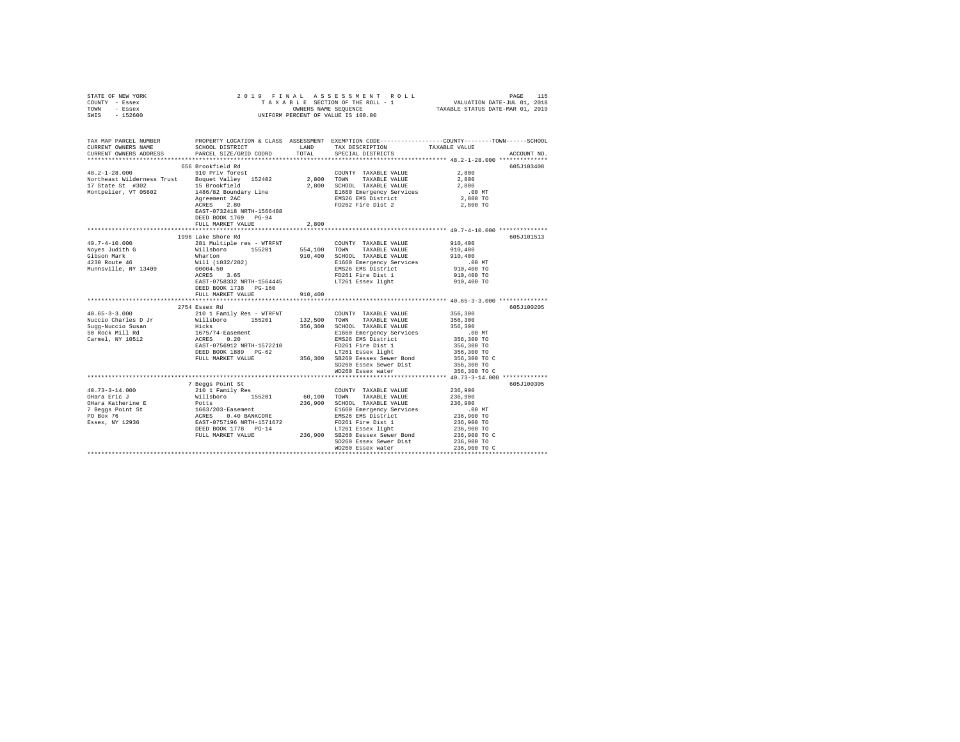| STATE OF NEW YORK | 2019 FINAL ASSESSMENT ROLL         | 115<br>PAGE                      |
|-------------------|------------------------------------|----------------------------------|
| COUNTY - Essex    | TAXABLE SECTION OF THE ROLL - 1    | VALUATION DATE-JUL 01, 2018      |
| TOWN<br>- Essex   | OWNERS NAME SEOUENCE               | TAXABLE STATUS DATE-MAR 01, 2019 |
| $-152600$<br>SWIS | UNIFORM PERCENT OF VALUE IS 100.00 |                                  |

| TAX MAP PARCEL NUMBER<br>CURRENT OWNERS NAME<br>CURRENT OWNERS ADDRESS                                                                                                                                                         | SCHOOL DISTRICT<br>PARCEL SIZE/GRID COORD                                                                                                                                                                                                  | LAND<br>TOTAL | TAX DESCRIPTION<br>SPECIAL DISTRICTS                                                                                                       | PROPERTY LOCATION & CLASS ASSESSMENT EXEMPTION CODE---------------COUNTY-------TOWN-----SCHOOL<br>TAXABLE VALUE<br>ACCOUNT NO. |
|--------------------------------------------------------------------------------------------------------------------------------------------------------------------------------------------------------------------------------|--------------------------------------------------------------------------------------------------------------------------------------------------------------------------------------------------------------------------------------------|---------------|--------------------------------------------------------------------------------------------------------------------------------------------|--------------------------------------------------------------------------------------------------------------------------------|
|                                                                                                                                                                                                                                |                                                                                                                                                                                                                                            |               |                                                                                                                                            |                                                                                                                                |
|                                                                                                                                                                                                                                | 656 Brookfield Rd                                                                                                                                                                                                                          |               |                                                                                                                                            | 605J103408                                                                                                                     |
|                                                                                                                                                                                                                                |                                                                                                                                                                                                                                            |               |                                                                                                                                            |                                                                                                                                |
|                                                                                                                                                                                                                                |                                                                                                                                                                                                                                            |               |                                                                                                                                            |                                                                                                                                |
|                                                                                                                                                                                                                                |                                                                                                                                                                                                                                            |               |                                                                                                                                            |                                                                                                                                |
|                                                                                                                                                                                                                                |                                                                                                                                                                                                                                            |               |                                                                                                                                            | $.00$ MT                                                                                                                       |
|                                                                                                                                                                                                                                |                                                                                                                                                                                                                                            |               |                                                                                                                                            | س بن.<br>2,800 TO                                                                                                              |
|                                                                                                                                                                                                                                |                                                                                                                                                                                                                                            |               |                                                                                                                                            | 2,800 TO                                                                                                                       |
|                                                                                                                                                                                                                                | EAST-0732418 NRTH-1566408                                                                                                                                                                                                                  |               |                                                                                                                                            |                                                                                                                                |
|                                                                                                                                                                                                                                | DEED BOOK 1769 PG-94                                                                                                                                                                                                                       |               |                                                                                                                                            |                                                                                                                                |
|                                                                                                                                                                                                                                | FULL MARKET VALUE                                                                                                                                                                                                                          | 2,800         |                                                                                                                                            |                                                                                                                                |
|                                                                                                                                                                                                                                | 1996 Lake Shore Rd                                                                                                                                                                                                                         |               |                                                                                                                                            | 605J101513                                                                                                                     |
| $49.7 - 4 - 10.000$                                                                                                                                                                                                            | 281 Multiple res - WTRFNT                                                                                                                                                                                                                  |               | COUNTY TAXABLE VALUE                                                                                                                       | 910,400                                                                                                                        |
| Noves Judith G Millsboro 155201 554,100 TOWN TAXABLE VALUE                                                                                                                                                                     |                                                                                                                                                                                                                                            |               |                                                                                                                                            | 910,400                                                                                                                        |
| Gibson Mark                                                                                                                                                                                                                    |                                                                                                                                                                                                                                            |               |                                                                                                                                            |                                                                                                                                |
| Gibson Mark<br>4230 Route 46                                                                                                                                                                                                   |                                                                                                                                                                                                                                            |               | 910,400 SCHOOL TAXABLE VALUE<br>E1660 Emergency Services                                                                                   |                                                                                                                                |
| Munnsville, NY 13409                                                                                                                                                                                                           |                                                                                                                                                                                                                                            |               | E1660 Emergency services<br>EMS26 EMS District<br>FD261 Fire Dist 1<br>Prick Prick                                                         | 910,400<br>.00 MT<br>910,400 TO                                                                                                |
|                                                                                                                                                                                                                                |                                                                                                                                                                                                                                            |               |                                                                                                                                            | 910,400 TO                                                                                                                     |
|                                                                                                                                                                                                                                |                                                                                                                                                                                                                                            |               | LT261 Essex light                                                                                                                          | 910,400 TO                                                                                                                     |
|                                                                                                                                                                                                                                | What<br>Whatch 2003/202)<br>Will (1032/202)<br>20004.50<br>RAST-0758332<br>RAST-0758332<br>REAST-0758332<br>PG-160<br>DEED BOOK 1738 PG-160                                                                                                |               |                                                                                                                                            |                                                                                                                                |
|                                                                                                                                                                                                                                | FULL MARKET VALUE                                                                                                                                                                                                                          | 910,400       |                                                                                                                                            |                                                                                                                                |
|                                                                                                                                                                                                                                |                                                                                                                                                                                                                                            |               |                                                                                                                                            |                                                                                                                                |
|                                                                                                                                                                                                                                | 2754 Essex Rd                                                                                                                                                                                                                              |               |                                                                                                                                            | 605J100205                                                                                                                     |
| $40.65 - 3 - 3.000$                                                                                                                                                                                                            |                                                                                                                                                                                                                                            |               | COUNTY TAXABLE VALUE                                                                                                                       | 356,300                                                                                                                        |
| Nuccio Charles D Jr                                                                                                                                                                                                            |                                                                                                                                                                                                                                            |               |                                                                                                                                            | 356,300                                                                                                                        |
| Sugg-Nuccio Susan                                                                                                                                                                                                              |                                                                                                                                                                                                                                            |               | 356,300 SCHOOL TAXABLE VALUE                                                                                                               | 356,300                                                                                                                        |
| 50 Rock Mill Rd<br>Carmel, NY 10512                                                                                                                                                                                            |                                                                                                                                                                                                                                            |               | E1660 Emergency Services<br>EMS26 EMS District                                                                                             |                                                                                                                                |
|                                                                                                                                                                                                                                | 2103 2020 AM MILISDON 155201 COUNTY TAXABLE VALUE WILLISDON 155201 1787<br>10 1 Family Res - WTRFNT 132,500 TOWN TAXABLE VALUE<br>1675/74-Easement 256,300 SCHOOL TAXABLE VALUE<br>1675/74-Easement 21660 Emergency Services<br>2020 EAST- |               |                                                                                                                                            |                                                                                                                                |
|                                                                                                                                                                                                                                |                                                                                                                                                                                                                                            |               | EAST-0756912 NRTH-1572210 PD261 Fire Dist 1<br>DEED BOOK 1889 PG-62 17801 BSSex light<br>FULL MARKET VALUE 356,300 SB260 Eessex Sewer Bond |                                                                                                                                |
|                                                                                                                                                                                                                                |                                                                                                                                                                                                                                            |               |                                                                                                                                            |                                                                                                                                |
|                                                                                                                                                                                                                                |                                                                                                                                                                                                                                            |               | SD260 Essex Sewer Dist 356,300 TO                                                                                                          |                                                                                                                                |
|                                                                                                                                                                                                                                |                                                                                                                                                                                                                                            |               | WD260 Essex water                                                                                                                          | 356,300 TO C                                                                                                                   |
|                                                                                                                                                                                                                                |                                                                                                                                                                                                                                            |               |                                                                                                                                            | ************************** 40.73-3-14.000 ***********                                                                          |
|                                                                                                                                                                                                                                | 7 Beggs Point St                                                                                                                                                                                                                           |               |                                                                                                                                            | 605J100305                                                                                                                     |
|                                                                                                                                                                                                                                |                                                                                                                                                                                                                                            |               | COUNTY TAXABLE VALUE 236,900                                                                                                               |                                                                                                                                |
|                                                                                                                                                                                                                                |                                                                                                                                                                                                                                            |               | $60\, , 100$ $\,$ TOWN $\,$ TAXABLE VALUE                                                                                                  | 236,900                                                                                                                        |
|                                                                                                                                                                                                                                |                                                                                                                                                                                                                                            |               | 236,900 SCHOOL TAXABLE VALUE 236,900                                                                                                       |                                                                                                                                |
|                                                                                                                                                                                                                                |                                                                                                                                                                                                                                            |               | E1660 Emergency Services<br>EMS26 EMS District                                                                                             | $.00$ MT                                                                                                                       |
|                                                                                                                                                                                                                                |                                                                                                                                                                                                                                            |               |                                                                                                                                            | 00 MT.<br>236,900 TO<br>236,900 TO                                                                                             |
|                                                                                                                                                                                                                                |                                                                                                                                                                                                                                            |               | FD261 Fire Dist 1<br>LT261 Essex light                                                                                                     |                                                                                                                                |
|                                                                                                                                                                                                                                |                                                                                                                                                                                                                                            |               |                                                                                                                                            | 236,900 TO<br>236,900 TO C                                                                                                     |
|                                                                                                                                                                                                                                |                                                                                                                                                                                                                                            |               |                                                                                                                                            | 236,900 TO                                                                                                                     |
| With the CHE of Minimipality of the Minimipality of the Minimipality of the Minimipality of the Minimipality of the Minimipality of the Minimipality of the Minimipality of the Minimipality of the Minimipality of the Minimi |                                                                                                                                                                                                                                            |               |                                                                                                                                            |                                                                                                                                |
|                                                                                                                                                                                                                                |                                                                                                                                                                                                                                            |               |                                                                                                                                            |                                                                                                                                |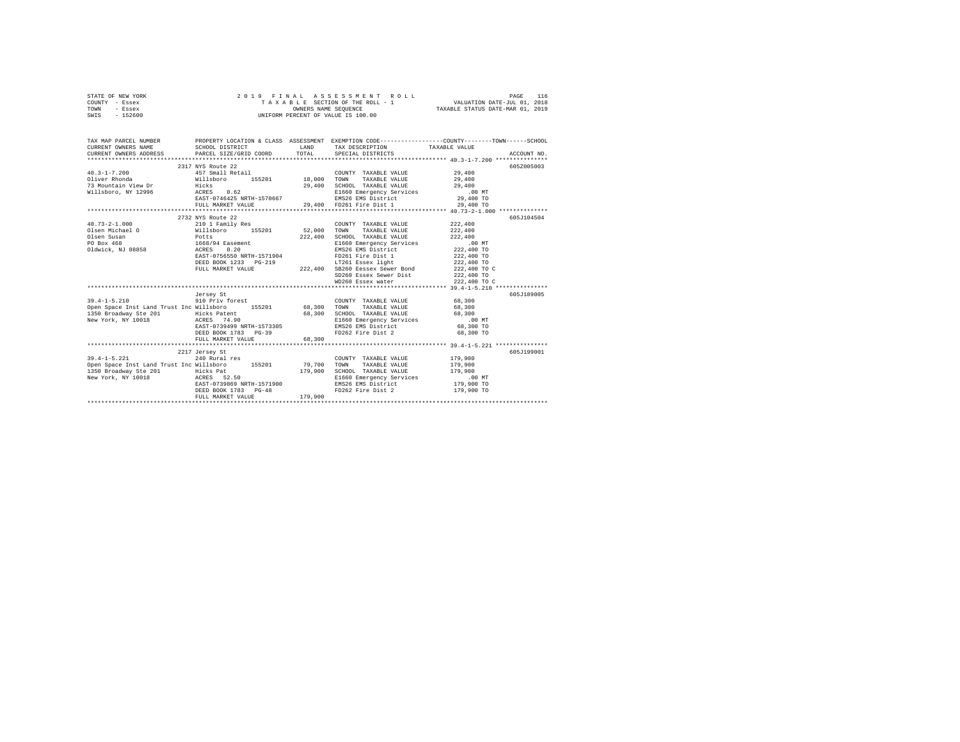| STATE OF NEW YORK                                                                                                                                                                                                                                                                                                                                                                                       | 2019 FINAL ASSESSMENT ROLL - 1<br>TAXABLE SECTION OF THE ROLL - 1<br>ONNERS NAME SEQUENCE |                   |                                                                                             |                                                                                                                      |
|---------------------------------------------------------------------------------------------------------------------------------------------------------------------------------------------------------------------------------------------------------------------------------------------------------------------------------------------------------------------------------------------------------|-------------------------------------------------------------------------------------------|-------------------|---------------------------------------------------------------------------------------------|----------------------------------------------------------------------------------------------------------------------|
| COUNTY - Essex                                                                                                                                                                                                                                                                                                                                                                                          |                                                                                           |                   |                                                                                             |                                                                                                                      |
| TOWN - Essex                                                                                                                                                                                                                                                                                                                                                                                            |                                                                                           |                   |                                                                                             |                                                                                                                      |
| SWIS - 152600                                                                                                                                                                                                                                                                                                                                                                                           |                                                                                           |                   |                                                                                             |                                                                                                                      |
|                                                                                                                                                                                                                                                                                                                                                                                                         |                                                                                           |                   |                                                                                             |                                                                                                                      |
|                                                                                                                                                                                                                                                                                                                                                                                                         |                                                                                           |                   |                                                                                             |                                                                                                                      |
|                                                                                                                                                                                                                                                                                                                                                                                                         |                                                                                           |                   |                                                                                             | TAX MAP PARCEL NUMBER PROPERTY LOCATION & CLASS ASSESSMENT EXEMPTION CODE--------------COUNTY-------TOWN------SCHOOL |
| CURRENT OWNERS NAME                                                                                                                                                                                                                                                                                                                                                                                     | SCHOOL DISTRICT                                                                           |                   | LAND TAX DESCRIPTION TAXABLE VALUE                                                          |                                                                                                                      |
| CURRENT OWNERS ADDRESS PARCEL SIZE/GRID COORD TOTAL SPECIAL DISTRICTS                                                                                                                                                                                                                                                                                                                                   |                                                                                           |                   |                                                                                             | ACCOUNT NO.                                                                                                          |
|                                                                                                                                                                                                                                                                                                                                                                                                         |                                                                                           |                   |                                                                                             |                                                                                                                      |
|                                                                                                                                                                                                                                                                                                                                                                                                         | 2317 NYS Route 22                                                                         |                   |                                                                                             | 605Z005003                                                                                                           |
|                                                                                                                                                                                                                                                                                                                                                                                                         |                                                                                           |                   |                                                                                             |                                                                                                                      |
|                                                                                                                                                                                                                                                                                                                                                                                                         |                                                                                           |                   |                                                                                             |                                                                                                                      |
|                                                                                                                                                                                                                                                                                                                                                                                                         |                                                                                           |                   |                                                                                             |                                                                                                                      |
|                                                                                                                                                                                                                                                                                                                                                                                                         |                                                                                           |                   |                                                                                             |                                                                                                                      |
|                                                                                                                                                                                                                                                                                                                                                                                                         |                                                                                           |                   |                                                                                             |                                                                                                                      |
|                                                                                                                                                                                                                                                                                                                                                                                                         |                                                                                           |                   |                                                                                             |                                                                                                                      |
|                                                                                                                                                                                                                                                                                                                                                                                                         |                                                                                           |                   |                                                                                             |                                                                                                                      |
|                                                                                                                                                                                                                                                                                                                                                                                                         | 2732 NYS Route 22                                                                         |                   |                                                                                             | 605J104504                                                                                                           |
|                                                                                                                                                                                                                                                                                                                                                                                                         |                                                                                           |                   |                                                                                             |                                                                                                                      |
|                                                                                                                                                                                                                                                                                                                                                                                                         |                                                                                           |                   |                                                                                             |                                                                                                                      |
| $\begin{tabular}{l c c c c c} \multicolumn{3}{c c c c} \multicolumn{3}{c c c} \multicolumn{3}{c c c} \multicolumn{3}{c c c} \multicolumn{3}{c c c} \multicolumn{3}{c c c} \multicolumn{3}{c c c} \multicolumn{3}{c c c} \multicolumn{3}{c c c} \multicolumn{3}{c c c} \multicolumn{3}{c c c} \multicolumn{3}{c c c} \multicolumn{3}{c c c} \multicolumn{3}{c c c} \multicolumn{3}{c c c} \multicolumn{$ |                                                                                           |                   |                                                                                             |                                                                                                                      |
|                                                                                                                                                                                                                                                                                                                                                                                                         |                                                                                           |                   |                                                                                             |                                                                                                                      |
|                                                                                                                                                                                                                                                                                                                                                                                                         |                                                                                           |                   |                                                                                             |                                                                                                                      |
|                                                                                                                                                                                                                                                                                                                                                                                                         |                                                                                           |                   |                                                                                             |                                                                                                                      |
|                                                                                                                                                                                                                                                                                                                                                                                                         |                                                                                           |                   |                                                                                             |                                                                                                                      |
|                                                                                                                                                                                                                                                                                                                                                                                                         |                                                                                           |                   |                                                                                             | 222,400 TO C                                                                                                         |
|                                                                                                                                                                                                                                                                                                                                                                                                         |                                                                                           |                   |                                                                                             |                                                                                                                      |
|                                                                                                                                                                                                                                                                                                                                                                                                         |                                                                                           |                   | SD260 Essex Sewer Dona<br>WD260 Essex Sewer Dist 222,400 TO<br>WD260 Essex water 222,400 TO | 222,400 TO C                                                                                                         |
|                                                                                                                                                                                                                                                                                                                                                                                                         |                                                                                           |                   |                                                                                             |                                                                                                                      |
|                                                                                                                                                                                                                                                                                                                                                                                                         | Jersey St                                                                                 |                   |                                                                                             | 605J189005                                                                                                           |
| $39.4 - 1 - 5.210$                                                                                                                                                                                                                                                                                                                                                                                      | 910 Priv forest                                                                           |                   | COUNTY TAXABLE VALUE 68,300                                                                 |                                                                                                                      |
| Open Space Inst Land Trust Inc Willsboro 155201 68,300 TOWN                                                                                                                                                                                                                                                                                                                                             |                                                                                           |                   | TAXABLE VALUE                                                                               | 68,300                                                                                                               |
|                                                                                                                                                                                                                                                                                                                                                                                                         |                                                                                           |                   |                                                                                             |                                                                                                                      |
|                                                                                                                                                                                                                                                                                                                                                                                                         |                                                                                           |                   |                                                                                             |                                                                                                                      |
|                                                                                                                                                                                                                                                                                                                                                                                                         |                                                                                           |                   |                                                                                             |                                                                                                                      |
|                                                                                                                                                                                                                                                                                                                                                                                                         | DEED BOOK 1783 PG-39                                                                      |                   | FD262 Fire Dist 2 68,300 TO                                                                 |                                                                                                                      |
|                                                                                                                                                                                                                                                                                                                                                                                                         | FULL MARKET VALUE                                                                         | 68,300            |                                                                                             |                                                                                                                      |
|                                                                                                                                                                                                                                                                                                                                                                                                         |                                                                                           |                   |                                                                                             |                                                                                                                      |
|                                                                                                                                                                                                                                                                                                                                                                                                         | 2217 Jersey St                                                                            |                   |                                                                                             | 605J199001                                                                                                           |
| $39.4 - 1 - 5.221$                                                                                                                                                                                                                                                                                                                                                                                      | 240 Rural res                                                                             |                   | COUNTY TAXABLE VALUE 179,900                                                                |                                                                                                                      |
|                                                                                                                                                                                                                                                                                                                                                                                                         |                                                                                           |                   |                                                                                             |                                                                                                                      |
|                                                                                                                                                                                                                                                                                                                                                                                                         |                                                                                           |                   |                                                                                             |                                                                                                                      |
|                                                                                                                                                                                                                                                                                                                                                                                                         |                                                                                           |                   |                                                                                             |                                                                                                                      |
|                                                                                                                                                                                                                                                                                                                                                                                                         |                                                                                           |                   |                                                                                             |                                                                                                                      |
|                                                                                                                                                                                                                                                                                                                                                                                                         | DEED BOOK 1783 PG-48                                                                      | $3-48$<br>179,900 | FD262 Fire Dist 2 179,900 TO                                                                |                                                                                                                      |
|                                                                                                                                                                                                                                                                                                                                                                                                         | FULL MARKET VALUE                                                                         |                   |                                                                                             |                                                                                                                      |
|                                                                                                                                                                                                                                                                                                                                                                                                         |                                                                                           |                   |                                                                                             |                                                                                                                      |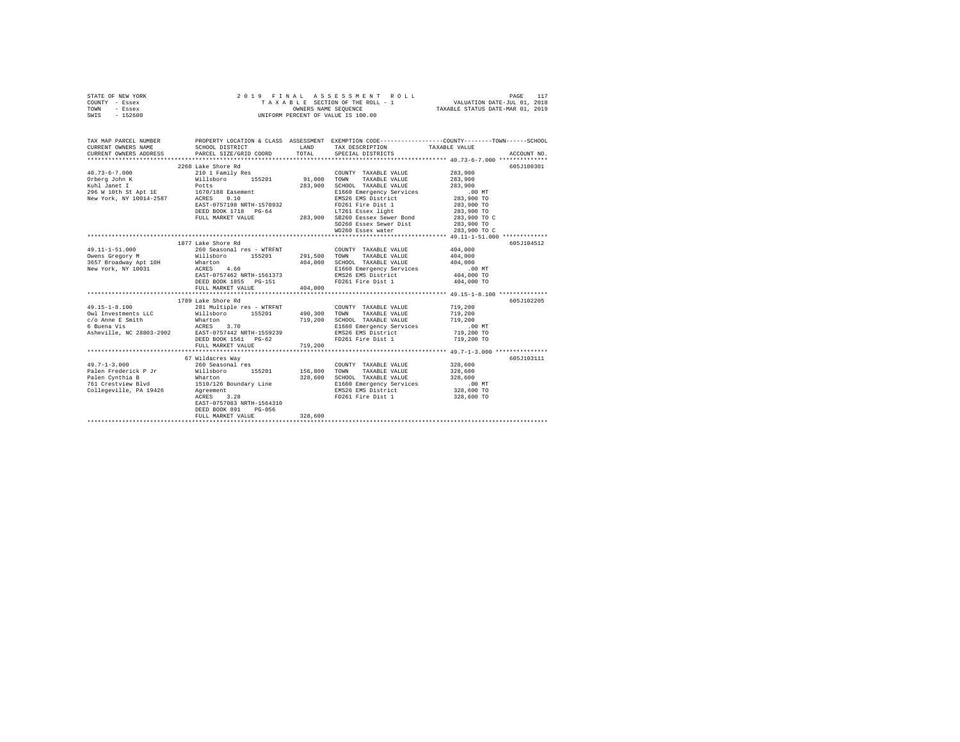|      | STATE OF NEW YORK |  | 2019 FINAL ASSESSMENT ROLL         |                                  | PAGE                        | 117 |
|------|-------------------|--|------------------------------------|----------------------------------|-----------------------------|-----|
|      | COUNTY - Essex    |  | TAXABLE SECTION OF THE ROLL - 1    |                                  | VALUATION DATE-JUL 01, 2018 |     |
| TOWN | - Essex           |  | OWNERS NAME SEOUENCE               | TAXABLE STATUS DATE-MAR 01, 2019 |                             |     |
| SWIS | $-152600$         |  | UNIFORM PERCENT OF VALUE IS 100.00 |                                  |                             |     |

| TAX MAP PARCEL NUMBER<br>CURRENT OWNERS NAME | SCHOOL DISTRICT                                                                                                                                                                                                               |         | LAND TAX DESCRIPTION TAXABLE VALUE                                                                         | PROPERTY LOCATION & CLASS ASSESSMENT EXEMPTION CODE---------------COUNTY-------TOWN------SCHOOL |
|----------------------------------------------|-------------------------------------------------------------------------------------------------------------------------------------------------------------------------------------------------------------------------------|---------|------------------------------------------------------------------------------------------------------------|-------------------------------------------------------------------------------------------------|
| CURRENT OWNERS ADDRESS                       |                                                                                                                                                                                                                               |         |                                                                                                            | CURRENT OWNERS ADDRESS PARCEL SIZE/GRID COORD TOTAL SPECIAL DISTRICTS (2000) ACCOUNT NO.        |
|                                              | 2268 Lake Shore Rd                                                                                                                                                                                                            |         |                                                                                                            | 605J100301                                                                                      |
| $40.73 - 6 - 7.000$                          | 210 1 Family Res                                                                                                                                                                                                              |         | COUNTY TAXABLE VALUE 283,900                                                                               |                                                                                                 |
|                                              |                                                                                                                                                                                                                               |         | TAXABLE VALUE                                                                                              | 283,900                                                                                         |
|                                              |                                                                                                                                                                                                                               |         | SCHOOL TAXABLE VALUE                                                                                       | 283,900                                                                                         |
|                                              | xuni Janet I Potts<br>296 W 10th St Apt 1E 1670/188 Easement                                                                                                                                                                  |         |                                                                                                            |                                                                                                 |
| New York, NY 10014-2587 ACRES 0.10           |                                                                                                                                                                                                                               |         | SCHOOL INNUL VIEWS<br>E1660 Emergency Services 600 MT<br>EMS26 EMS District 283,900 TO                     |                                                                                                 |
|                                              | EAST-0757198 NRTH-1570932                                                                                                                                                                                                     |         | EMS26 EMS District<br>FD261 Fire Dist 1                                                                    | 283,900 TO                                                                                      |
|                                              |                                                                                                                                                                                                                               |         |                                                                                                            |                                                                                                 |
|                                              |                                                                                                                                                                                                                               |         |                                                                                                            |                                                                                                 |
|                                              |                                                                                                                                                                                                                               |         |                                                                                                            |                                                                                                 |
|                                              | EAST-0757198 NKTH-15/V5734<br>DEED BOOK 1718 PG-64 1283,900 SB260 Eessex Sewer Bond 283,900 TO C<br>PULL MARKET VALUE 283,900 SB260 Eessex Sewer Dist 283,900 TO C<br>SD260 Essex Sewer Dist 283,900 TO C                     |         | WD260 Essex water 283,900 TO C                                                                             |                                                                                                 |
|                                              |                                                                                                                                                                                                                               |         |                                                                                                            |                                                                                                 |
|                                              | 1877 Lake Shore Rd                                                                                                                                                                                                            |         |                                                                                                            | 605J104512                                                                                      |
| 49.11-1-51.000                               | 260 Seasonal res - WTRFNT                                                                                                                                                                                                     |         | COUNTY TAXABLE VALUE 404,000                                                                               |                                                                                                 |
|                                              | 260 Seasonal res - WTRENT COUNTY TAXABLE VALUE<br>Willsboro 155201 291,500 TOWN TAXABLE VALUE<br>Wharton 404,000 SCHOOL TAXABLE VALUE                                                                                         |         |                                                                                                            |                                                                                                 |
| Owens Gregory M<br>3657 Broadway Apt 10H     |                                                                                                                                                                                                                               |         |                                                                                                            | 404,000<br>404,000                                                                              |
|                                              | 3657 Broadway Apt 10H Whatton (164,000)<br>New York, NY 10031 (1685 - 160 ACRES 1587 1588711-1561373                                                                                                                          |         |                                                                                                            |                                                                                                 |
|                                              |                                                                                                                                                                                                                               |         |                                                                                                            |                                                                                                 |
|                                              | DEED BOOK 1855 PG-151                                                                                                                                                                                                         |         | E1660 Emergency Services<br>E1660 Emergency Services<br>ENS26 EMS District<br>FD261 Fire Dist 1 404,000 TO |                                                                                                 |
|                                              | FULL MARKET VALUE 404,000                                                                                                                                                                                                     |         |                                                                                                            |                                                                                                 |
|                                              |                                                                                                                                                                                                                               |         |                                                                                                            |                                                                                                 |
|                                              | 1789 Lake Shore Rd                                                                                                                                                                                                            |         |                                                                                                            | 605J102205                                                                                      |
|                                              |                                                                                                                                                                                                                               |         | COUNTY TAXABLE VALUE                                                                                       | 719,200                                                                                         |
|                                              |                                                                                                                                                                                                                               |         |                                                                                                            | 719,200                                                                                         |
|                                              |                                                                                                                                                                                                                               |         | SCHOOL TAXABLE VALUE 719,200                                                                               |                                                                                                 |
|                                              |                                                                                                                                                                                                                               |         |                                                                                                            |                                                                                                 |
|                                              |                                                                                                                                                                                                                               |         | E1660 Emergency Services .00 MT<br>EMS26 EMS District 719,200 TO                                           |                                                                                                 |
|                                              | DEED BOOK 1561 PG-62                                                                                                                                                                                                          |         | FD261 Fire Dist 1                                                                                          | 719,200 TO                                                                                      |
|                                              | FULL MARKET VALUE                                                                                                                                                                                                             | 719,200 |                                                                                                            |                                                                                                 |
|                                              |                                                                                                                                                                                                                               |         |                                                                                                            |                                                                                                 |
|                                              | 67 Wildacres Way                                                                                                                                                                                                              |         |                                                                                                            | 605J103111                                                                                      |
| $49.7 - 1 - 3.000$                           | 260 Seasonal res                                                                                                                                                                                                              |         | COUNTY TAXABLE VALUE                                                                                       |                                                                                                 |
| Palen Frederick P Jr                         | Willsboro 155201 156,800 TOWN TAXABLE VALUE                                                                                                                                                                                   |         |                                                                                                            | 328,600<br>328,600                                                                              |
| Palen Cynthia B                              | Wharton                                                                                                                                                                                                                       | 328,600 | SCHOOL TAXABLE VALUE 328,600                                                                               |                                                                                                 |
|                                              |                                                                                                                                                                                                                               |         |                                                                                                            |                                                                                                 |
|                                              | The cynemics of the community of the cynemics of the cynemics of the cynemics of the cynemics of the cynemics of the cynemics of the cynemics of the cynemics of the cynemics of the cynemics of the cynemics of the cynemics |         |                                                                                                            |                                                                                                 |
|                                              | ACRES 3.28                                                                                                                                                                                                                    |         | FD261 Fire Dist 1 328,600 TO                                                                               |                                                                                                 |
|                                              | EAST-0757083 NRTH-1564310                                                                                                                                                                                                     |         |                                                                                                            |                                                                                                 |
|                                              | DEED BOOK 891 PG-056                                                                                                                                                                                                          |         |                                                                                                            |                                                                                                 |
|                                              | FULL MARKET VALUE                                                                                                                                                                                                             | 328,600 |                                                                                                            |                                                                                                 |
|                                              |                                                                                                                                                                                                                               |         |                                                                                                            |                                                                                                 |
|                                              |                                                                                                                                                                                                                               |         |                                                                                                            |                                                                                                 |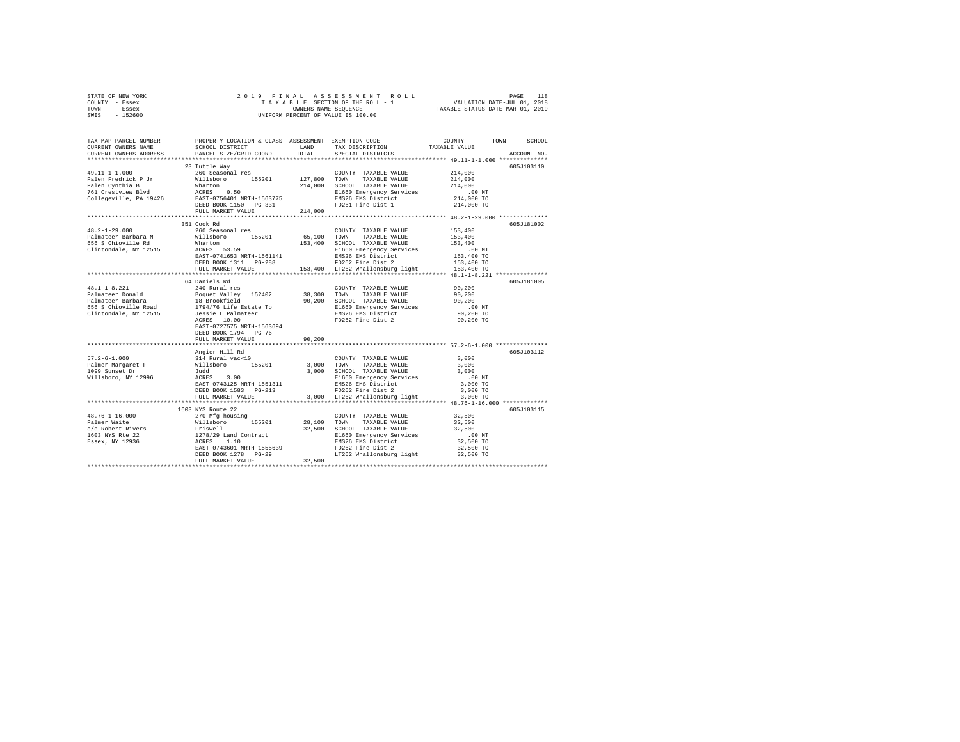| STATE OF NEW YORK | 2019 FINAL ASSESSMENT ROLL         | 118<br>PAGE                      |
|-------------------|------------------------------------|----------------------------------|
| - Essex<br>COUNTY | TAXABLE SECTION OF THE ROLL - 1    | VALUATION DATE-JUL 01, 2018      |
| TOWN<br>- Essex   | OWNERS NAME SEOUENCE               | TAXABLE STATUS DATE-MAR 01, 2019 |
| $-152600$<br>SWIS | UNIFORM PERCENT OF VALUE IS 100.00 |                                  |
|                   |                                    |                                  |

| TAX MAP PARCEL NUMBER<br>CURRENT OWNERS NAME<br>CURRENT OWNERS ADDRESS                                                                                                                                                                                   | SCHOOL DISTRICT<br>PARCEL SIZE/GRID COORD                                                                                                                        | LAND<br>TOTAL | TAX DESCRIPTION<br>SPECIAL DISTRICTS    | PROPERTY LOCATION & CLASS ASSESSMENT EXEMPTION CODE----------------COUNTY-------TOWN------SCHOOL<br>TAXABLE VALUE<br>ACCOUNT NO. |
|----------------------------------------------------------------------------------------------------------------------------------------------------------------------------------------------------------------------------------------------------------|------------------------------------------------------------------------------------------------------------------------------------------------------------------|---------------|-----------------------------------------|----------------------------------------------------------------------------------------------------------------------------------|
| **************************                                                                                                                                                                                                                               |                                                                                                                                                                  |               |                                         |                                                                                                                                  |
|                                                                                                                                                                                                                                                          | 23 Tuttle Way                                                                                                                                                    |               |                                         | 605J103110                                                                                                                       |
| $49.11 - 1 - 1.000$                                                                                                                                                                                                                                      | 260 Seasonal res                                                                                                                                                 |               | COUNTY TAXABLE VALUE                    | 214,000                                                                                                                          |
| Palen Fredrick P Jr                                                                                                                                                                                                                                      | Willsboro 155201                                                                                                                                                 |               | 127,800 TOWN TAXABLE VALUE              | 214,000                                                                                                                          |
| Palen Cynthia B                                                                                                                                                                                                                                          |                                                                                                                                                                  |               | 214,000 SCHOOL TAXABLE VALUE            | 214,000                                                                                                                          |
| 761 Crestview Blvd                                                                                                                                                                                                                                       | Wharton<br>ACRES 0.50                                                                                                                                            |               | E1660 Emergency Services                | .00 MT                                                                                                                           |
| Collegeville, PA 19426 EAST-0756401 NRTH-1563775                                                                                                                                                                                                         |                                                                                                                                                                  |               | EMS26 EMS District                      | 214,000 TO                                                                                                                       |
|                                                                                                                                                                                                                                                          | DEED BOOK 1150 PG-331                                                                                                                                            |               | FD261 Fire Dist 1                       | 214,000 TO                                                                                                                       |
|                                                                                                                                                                                                                                                          | FULL MARKET VALUE                                                                                                                                                | 214,000       |                                         |                                                                                                                                  |
|                                                                                                                                                                                                                                                          |                                                                                                                                                                  |               |                                         |                                                                                                                                  |
|                                                                                                                                                                                                                                                          | 351 Cook Rd                                                                                                                                                      |               |                                         | 605J181002                                                                                                                       |
| $48.2 - 1 - 29.000$                                                                                                                                                                                                                                      | 260 Seasonal res                                                                                                                                                 |               | COUNTY TAXABLE VALUE                    | 153,400                                                                                                                          |
| Palmateer Barbara M                                                                                                                                                                                                                                      | Willsboro 155201                                                                                                                                                 |               | 65,100 TOWN TAXABLE VALUE               | 153,400                                                                                                                          |
| 656 S Ohioville Rd                                                                                                                                                                                                                                       | Wharton<br>ACRES 53.59                                                                                                                                           |               | 153,400 SCHOOL TAXABLE VALUE            | 153,400                                                                                                                          |
| Clintondale, NY 12515                                                                                                                                                                                                                                    |                                                                                                                                                                  |               | E1660 Emergency Services                | $.00$ MT                                                                                                                         |
|                                                                                                                                                                                                                                                          | EAST-0741653 NRTH-1561141                                                                                                                                        |               | EMS26 EMS District<br>FD262 Fire Dist 2 | 153,400 TO                                                                                                                       |
|                                                                                                                                                                                                                                                          | DEED BOOK 1311 PG-288                                                                                                                                            |               |                                         | 153,400 TO                                                                                                                       |
|                                                                                                                                                                                                                                                          | FULL MARKET VALUE                                                                                                                                                |               | 153,400 LT262 Whallonsburg light        | 153,400 TO                                                                                                                       |
|                                                                                                                                                                                                                                                          |                                                                                                                                                                  |               |                                         |                                                                                                                                  |
|                                                                                                                                                                                                                                                          | 64 Daniels Rd                                                                                                                                                    |               |                                         | 605J181005                                                                                                                       |
| $48.1 - 1 - 8.221$                                                                                                                                                                                                                                       | 240 Rural res<br>Boquet Valley 152402                                                                                                                            |               | COUNTY TAXABLE VALUE                    | 90,200                                                                                                                           |
| Palmateer Donald                                                                                                                                                                                                                                         |                                                                                                                                                                  | 38,300 TOWN   | TAXABLE VALUE                           | 90,200                                                                                                                           |
| Palmateer Barbara 18 Brookfield<br>18 Brookfield<br>556 S Ohioville Road 1794/76 Life Estate To<br>Clintondale, NY 12515 Jessie L Palmateer                                                                                                              |                                                                                                                                                                  |               | 90.200 SCHOOL TAXABLE VALUE             | 90,200                                                                                                                           |
|                                                                                                                                                                                                                                                          |                                                                                                                                                                  |               | E1660 Emergency Services                | $.00$ MT                                                                                                                         |
|                                                                                                                                                                                                                                                          |                                                                                                                                                                  |               | EMS26 EMS District                      | 90,200 TO                                                                                                                        |
|                                                                                                                                                                                                                                                          | ACRES 10.00                                                                                                                                                      |               | FD262 Fire Dist 2                       | 90,200 TO                                                                                                                        |
|                                                                                                                                                                                                                                                          | EAST-0727575 NRTH-1563694                                                                                                                                        |               |                                         |                                                                                                                                  |
|                                                                                                                                                                                                                                                          | DEED BOOK 1794 PG-76                                                                                                                                             |               |                                         |                                                                                                                                  |
|                                                                                                                                                                                                                                                          | FULL MARKET VALUE                                                                                                                                                | 90.200        |                                         |                                                                                                                                  |
|                                                                                                                                                                                                                                                          |                                                                                                                                                                  | ********      |                                         | *************************** 57.2-6-1.000 ************                                                                            |
|                                                                                                                                                                                                                                                          | $\begin{tabular}{ll} \textit{----} & \textit{m11} \textit{ Rd} \\ 314 \textit{ Rural vac} & <10 \\ \textit{Willsboro} & 155201 \\ \textit{Judd} & \end{tabular}$ |               |                                         | 605J103112                                                                                                                       |
| $57.2 - 6 - 1.000$                                                                                                                                                                                                                                       |                                                                                                                                                                  |               | COUNTY TAXABLE VALUE                    | 3,000                                                                                                                            |
| Palmer Margaret F                                                                                                                                                                                                                                        |                                                                                                                                                                  | 3,000 TOWN    | TAXABLE VALUE                           | 3,000                                                                                                                            |
| 1099 Sunset Dr                                                                                                                                                                                                                                           |                                                                                                                                                                  |               | 3,000 SCHOOL TAXABLE VALUE              | 3,000                                                                                                                            |
| Willsboro, NY 12996                                                                                                                                                                                                                                      | ACRES 3.00                                                                                                                                                       |               | E1660 Emergency Services                | $.00$ MT                                                                                                                         |
|                                                                                                                                                                                                                                                          | EAST-0743125 NRTH-1551311<br>DEED BOOK 1583 PG-213                                                                                                               |               | EMS26 EMS District<br>FD262 Fire Dist 2 | 3,000 TO                                                                                                                         |
|                                                                                                                                                                                                                                                          | FULL MARKET VALUE                                                                                                                                                |               | 3,000 LT262 Whallonsburg light          | 3,000 TO<br>3,000 TO                                                                                                             |
|                                                                                                                                                                                                                                                          | *******************************                                                                                                                                  |               |                                         | ********************************** 48.76-1-16.000 **************                                                                 |
|                                                                                                                                                                                                                                                          | 1603 NYS Route 22                                                                                                                                                |               |                                         | 605J103115                                                                                                                       |
| $48.76 - 1 - 16.000$                                                                                                                                                                                                                                     | 270 Mfg housing                                                                                                                                                  |               | COUNTY TAXABLE VALUE                    | 32,500                                                                                                                           |
| Palmer Waite                                                                                                                                                                                                                                             |                                                                                                                                                                  | 28,100 TOWN   | TAXABLE VALUE                           | 32,500                                                                                                                           |
|                                                                                                                                                                                                                                                          |                                                                                                                                                                  |               | 32,500 SCHOOL TAXABLE VALUE             | 32,500                                                                                                                           |
| Palmer Walte<br>Palmer Walte<br>Palmer Walte<br>1603 NYS Ree 22<br>1603 NYS Ree 22<br>1603 NYS Ree 22<br>1603 NYS Ree 22<br>1603 NYS Ree 22<br>1603 NYS Ree 22<br>1603 NYS Ree 22<br>1603 NYS Ree 22<br>1603 NYS Ree 22<br>1603 NYS Ree 22<br>1603 NYS R |                                                                                                                                                                  |               | E1660 Emergency Services                | $.00$ MT                                                                                                                         |
|                                                                                                                                                                                                                                                          |                                                                                                                                                                  |               | EMS26 EMS District                      | 32,500 TO                                                                                                                        |
|                                                                                                                                                                                                                                                          |                                                                                                                                                                  |               | FD262 Fire Dist 2                       | 32,500 TO                                                                                                                        |
|                                                                                                                                                                                                                                                          | DEED BOOK 1278 PG-29                                                                                                                                             |               | LT262 Whallonsburg light                | 32,500 TO                                                                                                                        |
|                                                                                                                                                                                                                                                          | FULL MARKET VALUE                                                                                                                                                | 32,500        |                                         |                                                                                                                                  |
| **********************************                                                                                                                                                                                                                       |                                                                                                                                                                  |               |                                         |                                                                                                                                  |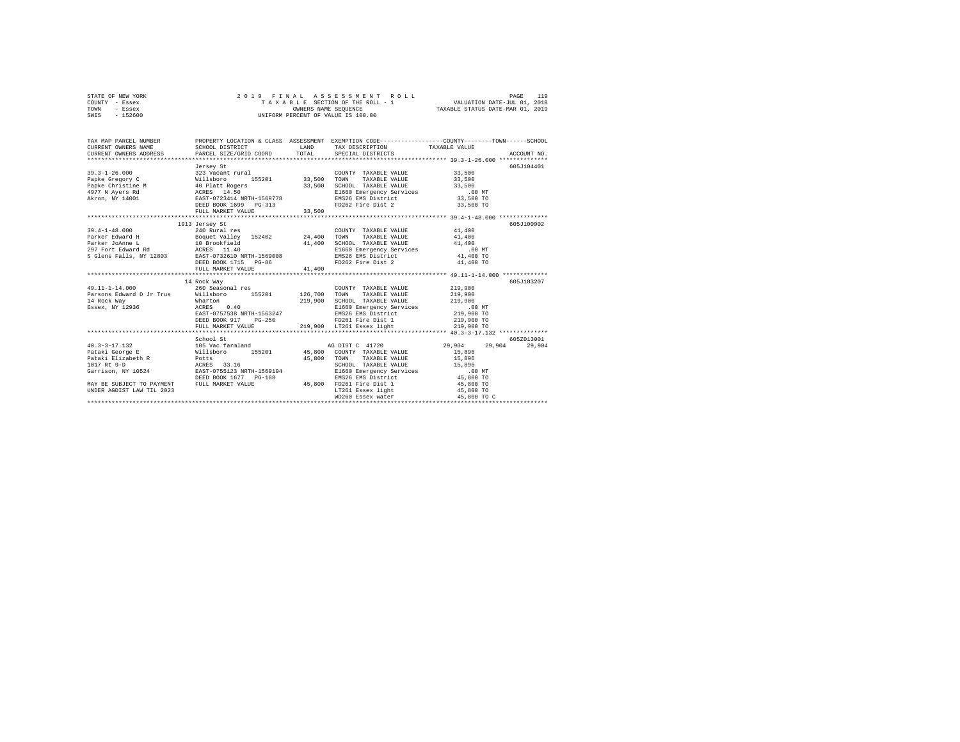| STATE OF NEW YORK |  |  | 2019 FINAL ASSESSMENT ROLL         | 119<br>PAGE                      |  |
|-------------------|--|--|------------------------------------|----------------------------------|--|
| COUNTY - Essex    |  |  | TAXABLE SECTION OF THE ROLL - 1    | VALUATION DATE-JUL 01, 2018      |  |
| TOWN<br>- Essex   |  |  | OWNERS NAME SEOUENCE               | TAXABLE STATUS DATE-MAR 01, 2019 |  |
| - 152600<br>SWIS  |  |  | UNIFORM PERCENT OF VALUE IS 100.00 |                                  |  |

| TAX MAP PARCEL NUMBER                                                    |                                                                                                      |        | PROPERTY LOCATION & CLASS ASSESSMENT EXEMPTION CODE----------------COUNTY-------TOWN-----SCHOOL                                                                                                      |                                                         |             |
|--------------------------------------------------------------------------|------------------------------------------------------------------------------------------------------|--------|------------------------------------------------------------------------------------------------------------------------------------------------------------------------------------------------------|---------------------------------------------------------|-------------|
|                                                                          | Jersey St<br>DEED BOOK 1699 PG-313<br>FULL MARKET VALUE                                              | 33,500 | FD262 Fire Dist 2 33,500 TO                                                                                                                                                                          |                                                         | 605J104401  |
|                                                                          | 1913 Jersey St<br>DEED BOOK 1715 PG-86                                                               |        | 41,400 SCHOOL TAXABLE VALUE 41,400<br>E1660 Emergency Services 400 MT<br>EMS26 EMS District 41,400 TO<br>FD262 Fire Dist 2 41,400 TO                                                                 |                                                         | 605-7100902 |
|                                                                          | 14 Rock Way<br>DEED BOOK 917 PG-250 PD261 Fire Dist 1<br>FULL MARKET VALUE 219,900 LT261 Essex light |        | FD261 Fire Dist 1                                                                                                                                                                                    | 219,900 TO<br>219,900 TO                                | 605J103207  |
|                                                                          |                                                                                                      |        |                                                                                                                                                                                                      |                                                         | 605Z013001  |
| MAY BE SUBJECT TO PAYMENT FULL MARKET VALUE<br>UNDER AGDIST LAW TIL 2023 | School St<br>DEED BOOK 1677 PG-188 BMS26 EMS District<br>FULL MARKET VALUE 45,800 FD261 Fire Dist 1  |        | SCHOOL TAXABLE VALUE 15,896<br>CHOOD COMPANY Services<br>ELG60 Emergency Services<br>EMS26 EMS District 45,800 TO<br>FD261 Fire Dist 1 45,800 TO<br>LT261 Essex light 45,800 TO<br>WD260 Essex water | 29,904 29,904 29,904<br>15,896<br>15,896<br>45,800 TO C |             |
|                                                                          |                                                                                                      |        |                                                                                                                                                                                                      |                                                         |             |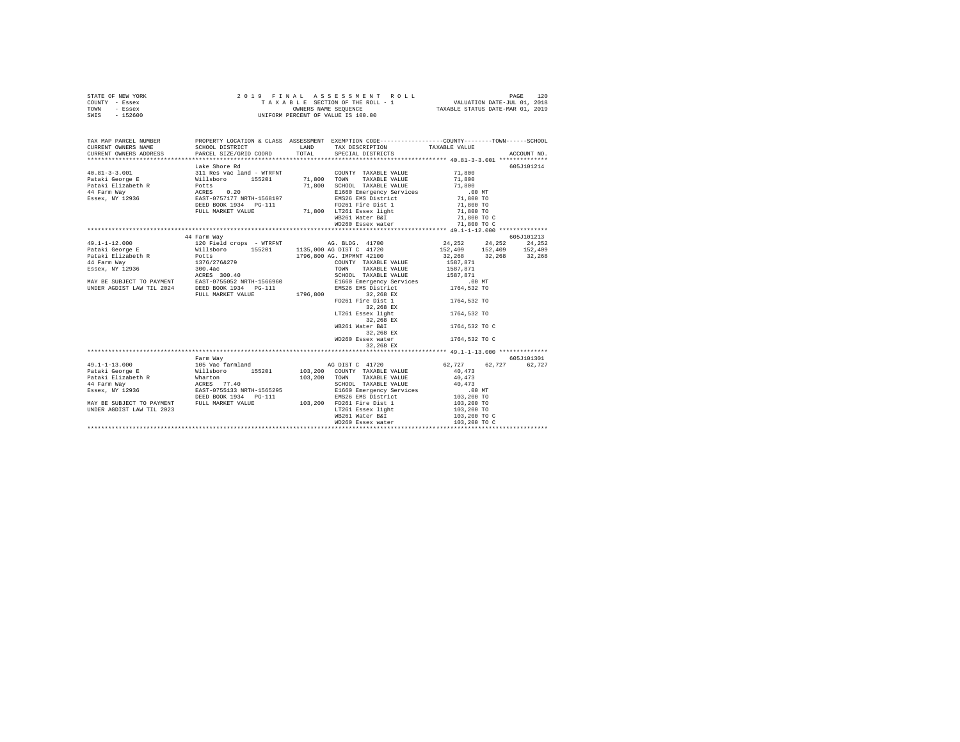| STATE OF NEW YORK | 2019 FINAL ASSESSMENT ROLL         | 120<br>PAGE                      |
|-------------------|------------------------------------|----------------------------------|
| COUNTY - Essex    | TAXABLE SECTION OF THE ROLL - 1    | VALUATION DATE-JUL 01, 2018      |
| TOWN<br>- Essex   | OWNERS NAME SEOUENCE               | TAXABLE STATUS DATE-MAR 01, 2019 |
| $-152600$<br>SWIS | UNIFORM PERCENT OF VALUE IS 100.00 |                                  |

| TAX MAP PARCEL NUMBER     | PROPERTY LOCATION & CLASS ASSESSMENT EXEMPTION CODE----------------COUNTY-------TOWN------SCHOOL<br>TAX PARCE ANGEL AND TAXABLE VALUE CORPORATION CORPORATION TRANSPORTED TRANSPORT TRANSPORT TRANSPORT TRANSPORTED TRANSPORTED TRANSPORTED TRANSPORTED TRANSPORTED TRANSPORTED TRANSPORTED TRANSPORTED TRANSPORTED TRANSPORTED TR                                             |                                                              |                                                       |            |
|---------------------------|--------------------------------------------------------------------------------------------------------------------------------------------------------------------------------------------------------------------------------------------------------------------------------------------------------------------------------------------------------------------------------|--------------------------------------------------------------|-------------------------------------------------------|------------|
|                           |                                                                                                                                                                                                                                                                                                                                                                                |                                                              |                                                       |            |
|                           |                                                                                                                                                                                                                                                                                                                                                                                |                                                              |                                                       |            |
|                           | Lake Shore Rd                                                                                                                                                                                                                                                                                                                                                                  |                                                              |                                                       | 605J101214 |
|                           |                                                                                                                                                                                                                                                                                                                                                                                |                                                              |                                                       |            |
|                           |                                                                                                                                                                                                                                                                                                                                                                                |                                                              |                                                       |            |
|                           |                                                                                                                                                                                                                                                                                                                                                                                |                                                              |                                                       |            |
|                           |                                                                                                                                                                                                                                                                                                                                                                                |                                                              |                                                       |            |
|                           |                                                                                                                                                                                                                                                                                                                                                                                |                                                              |                                                       |            |
|                           |                                                                                                                                                                                                                                                                                                                                                                                |                                                              | 71,800 TO<br>71,800 TO<br>71,800 TO C                 |            |
|                           | FULL MARKET VALUE 71,800 LT261 Essex light                                                                                                                                                                                                                                                                                                                                     | WB261 Water B&I                                              |                                                       |            |
|                           |                                                                                                                                                                                                                                                                                                                                                                                | WD260 Essex water 71,800 TO C                                |                                                       |            |
|                           |                                                                                                                                                                                                                                                                                                                                                                                |                                                              |                                                       |            |
|                           | 44 Farm Way                                                                                                                                                                                                                                                                                                                                                                    |                                                              |                                                       | 605J101213 |
|                           | $\begin{tabular}{l c c c c} \multicolumn{1}{c}{\textbf{49.1-1-12.000}} & \multicolumn{1}{c}{\textbf{49.1-1-12.000}} & \multicolumn{1}{c}{\textbf{49.1-1-12.000}} & \multicolumn{1}{c}{\textbf{49.1-1-12.000}} & \multicolumn{1}{c}{\textbf{49.1-1-12.000}} & \multicolumn{1}{c}{\textbf{49.1-12.000}} & \multicolumn{1}{c}{\textbf{49.1-12.000}} & \multicolumn{1}{c}{\textbf$ |                                                              |                                                       |            |
|                           |                                                                                                                                                                                                                                                                                                                                                                                |                                                              | 24, 252 24, 252 24, 252<br>152, 409 152, 409 152, 409 |            |
|                           |                                                                                                                                                                                                                                                                                                                                                                                |                                                              | 32, 268 32, 268 32, 268                               |            |
|                           |                                                                                                                                                                                                                                                                                                                                                                                |                                                              |                                                       |            |
|                           |                                                                                                                                                                                                                                                                                                                                                                                |                                                              | 1587,871<br>1587,871                                  |            |
|                           |                                                                                                                                                                                                                                                                                                                                                                                |                                                              |                                                       |            |
|                           |                                                                                                                                                                                                                                                                                                                                                                                |                                                              |                                                       |            |
|                           |                                                                                                                                                                                                                                                                                                                                                                                |                                                              | .00 MT<br>1764,532 TO                                 |            |
|                           |                                                                                                                                                                                                                                                                                                                                                                                |                                                              |                                                       |            |
|                           |                                                                                                                                                                                                                                                                                                                                                                                | FD261 Fire Dist 1                                            | 1764,532 TO                                           |            |
|                           |                                                                                                                                                                                                                                                                                                                                                                                | 32,268 EX                                                    |                                                       |            |
|                           |                                                                                                                                                                                                                                                                                                                                                                                | LT261 Essex light                                            | 1764,532 TO                                           |            |
|                           |                                                                                                                                                                                                                                                                                                                                                                                | 32,268 EX                                                    |                                                       |            |
|                           |                                                                                                                                                                                                                                                                                                                                                                                | WB261 Water B&I                                              | 1764,532 TO C                                         |            |
|                           |                                                                                                                                                                                                                                                                                                                                                                                | 32,268 EX                                                    |                                                       |            |
|                           |                                                                                                                                                                                                                                                                                                                                                                                | WD260 Essex water                                            | 1764,532 TO C                                         |            |
|                           |                                                                                                                                                                                                                                                                                                                                                                                | 32,268 EX                                                    |                                                       |            |
|                           |                                                                                                                                                                                                                                                                                                                                                                                |                                                              |                                                       |            |
|                           | Farm Wav                                                                                                                                                                                                                                                                                                                                                                       |                                                              |                                                       | 605J101301 |
|                           |                                                                                                                                                                                                                                                                                                                                                                                |                                                              |                                                       |            |
|                           |                                                                                                                                                                                                                                                                                                                                                                                |                                                              |                                                       |            |
|                           |                                                                                                                                                                                                                                                                                                                                                                                |                                                              |                                                       |            |
|                           |                                                                                                                                                                                                                                                                                                                                                                                |                                                              |                                                       |            |
|                           |                                                                                                                                                                                                                                                                                                                                                                                |                                                              |                                                       |            |
|                           |                                                                                                                                                                                                                                                                                                                                                                                |                                                              |                                                       |            |
|                           |                                                                                                                                                                                                                                                                                                                                                                                |                                                              | 103,200 TO<br>103,200 TO                              |            |
| UNDER AGDIST LAW TIL 2023 |                                                                                                                                                                                                                                                                                                                                                                                | LT261 Essex light 103,200 TO<br>WB261 Water B&I 103,200 TO C |                                                       |            |
|                           |                                                                                                                                                                                                                                                                                                                                                                                |                                                              |                                                       |            |
|                           |                                                                                                                                                                                                                                                                                                                                                                                |                                                              | 103,200 TO C                                          |            |
|                           |                                                                                                                                                                                                                                                                                                                                                                                |                                                              |                                                       |            |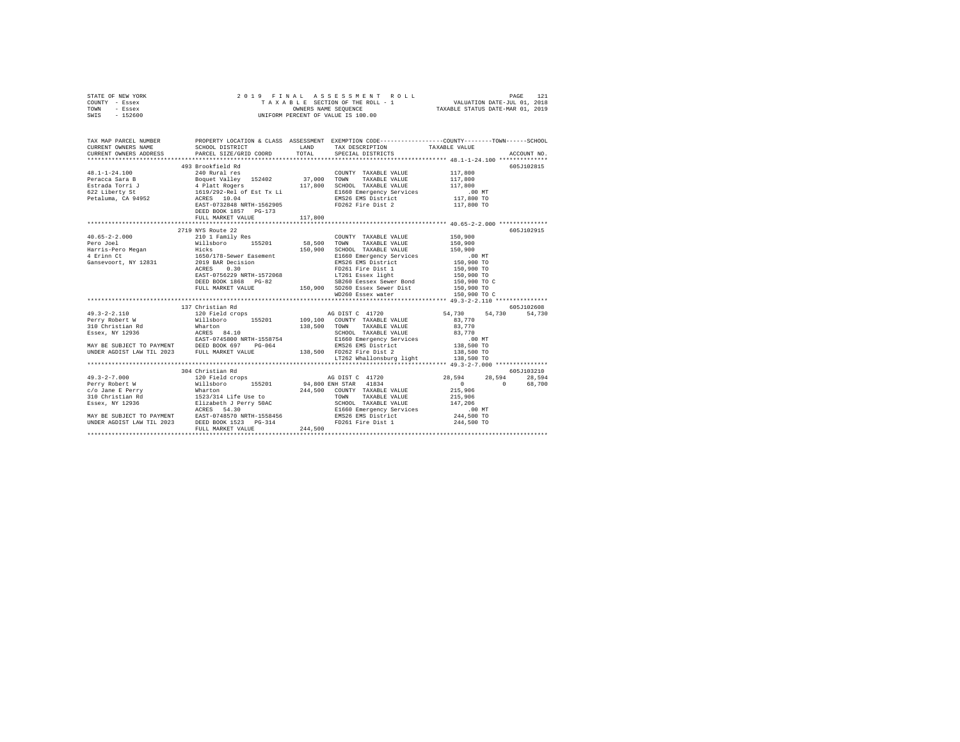|      | STATE OF NEW YORK |  | 2019 FINAL ASSESSMENT ROLL         |                                  | PAGE                        | 121 |
|------|-------------------|--|------------------------------------|----------------------------------|-----------------------------|-----|
|      | COUNTY - Essex    |  | TAXABLE SECTION OF THE ROLL - 1    |                                  | VALUATION DATE-JUL 01, 2018 |     |
| TOWN | - Essex           |  | OWNERS NAME SEOUENCE               | TAXABLE STATUS DATE-MAR 01, 2019 |                             |     |
| SWIS | - 152600          |  | UNIFORM PERCENT OF VALUE IS 100.00 |                                  |                             |     |

| 493 Brookfield Rd     |         |                                     |                                    | 605J102815 |
|-----------------------|---------|-------------------------------------|------------------------------------|------------|
|                       |         |                                     |                                    |            |
|                       |         |                                     |                                    |            |
|                       |         |                                     |                                    |            |
|                       |         |                                     |                                    |            |
|                       |         |                                     |                                    |            |
|                       |         |                                     |                                    |            |
| DEED BOOK 1857 PG-173 |         |                                     |                                    |            |
| FULL MARKET VALUE     | 117,800 |                                     |                                    |            |
|                       |         |                                     |                                    |            |
| 2719 NYS Route 22     |         |                                     |                                    | 605J102915 |
|                       |         |                                     |                                    |            |
|                       |         |                                     |                                    |            |
|                       |         |                                     |                                    |            |
|                       |         |                                     |                                    |            |
|                       |         |                                     |                                    |            |
|                       |         |                                     |                                    |            |
|                       |         |                                     |                                    |            |
|                       |         |                                     |                                    |            |
|                       |         |                                     |                                    |            |
|                       |         |                                     |                                    |            |
|                       |         |                                     |                                    |            |
| 137 Christian Rd      |         |                                     |                                    | 605J102608 |
|                       |         |                                     |                                    |            |
|                       |         |                                     |                                    |            |
|                       |         |                                     |                                    |            |
|                       |         |                                     |                                    |            |
|                       |         |                                     |                                    |            |
|                       |         |                                     |                                    |            |
|                       |         |                                     |                                    |            |
|                       |         | LT262 Whallonsburg light 138,500 TO |                                    |            |
|                       |         |                                     |                                    |            |
| 304 Christian Rd      |         |                                     | 605J103210                         |            |
|                       |         |                                     | 28,594 28,594 28,594<br>0 0 68,700 |            |
|                       |         |                                     |                                    |            |
|                       |         |                                     |                                    |            |
|                       |         |                                     |                                    |            |
|                       |         |                                     |                                    |            |
|                       |         |                                     |                                    |            |
|                       |         |                                     |                                    |            |
|                       |         |                                     |                                    |            |
|                       |         |                                     |                                    |            |
|                       |         |                                     |                                    |            |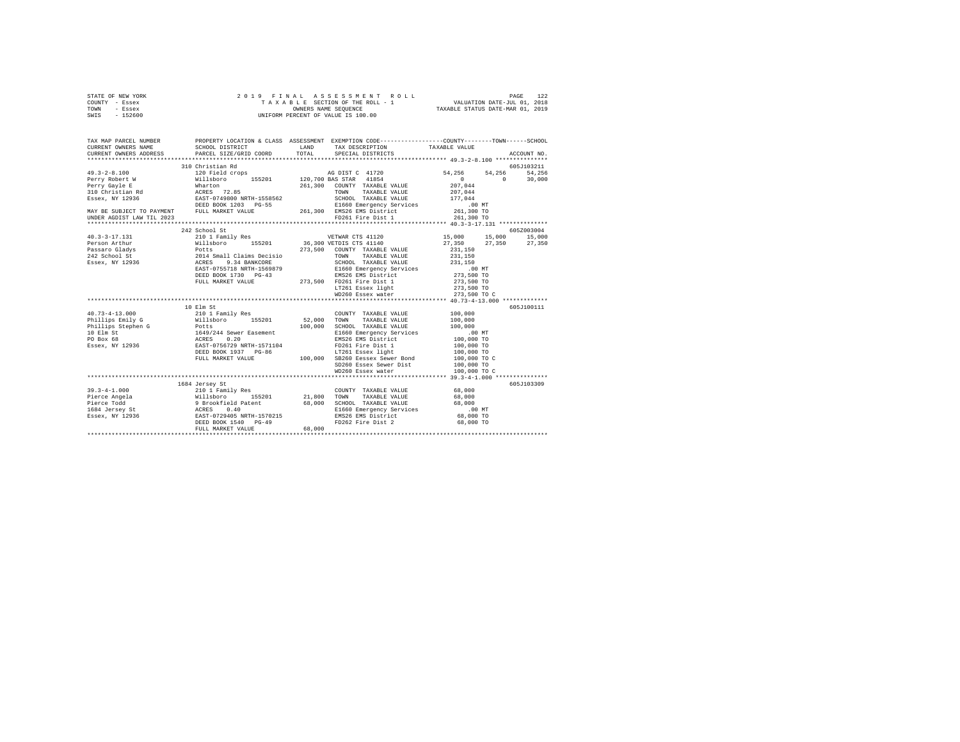| STATE OF NEW YORK | 2019 FINAL ASSESSMENT ROLL         | 122<br>PAGE                      |
|-------------------|------------------------------------|----------------------------------|
| COUNTY - Essex    | TAXABLE SECTION OF THE ROLL - 1    | VALUATION DATE-JUL 01, 2018      |
| TOWN<br>- Essex   | OWNERS NAME SEOUENCE               | TAXABLE STATUS DATE-MAR 01, 2019 |
| $-152600$<br>SWIS | UNIFORM PERCENT OF VALUE IS 100.00 |                                  |

| TAX MAP PARCEL NUMBER<br>CURRENT OWNERS NAME<br>CURRENT OWNERS ADDRESS                                                                                                                                                                                                                                                                                                                                  | SCHOOL DISTRICT<br>PARCEL SIZE/GRID COORD                   | LAND <b>LAND</b><br>TOTAL | TAX DESCRIPTION TAXABLE VALUE SPECIAL DISTRICTS | PROPERTY LOCATION & CLASS ASSESSMENT EXEMPTION CODE---------------COUNTY-------TOWN------SCHOOL<br>ACCOUNT NO.                                         |
|---------------------------------------------------------------------------------------------------------------------------------------------------------------------------------------------------------------------------------------------------------------------------------------------------------------------------------------------------------------------------------------------------------|-------------------------------------------------------------|---------------------------|-------------------------------------------------|--------------------------------------------------------------------------------------------------------------------------------------------------------|
| $\begin{tabular}{l c c c c c} \multicolumn{1}{c c c c} \multicolumn{1}{c c c} \multicolumn{1}{c c c} \multicolumn{1}{c c c} \multicolumn{1}{c c c} \multicolumn{1}{c c c} \multicolumn{1}{c c c} \multicolumn{1}{c c c} \multicolumn{1}{c c c} \multicolumn{1}{c c c} \multicolumn{1}{c c c} \multicolumn{1}{c c c} \multicolumn{1}{c c c} \multicolumn{1}{c c c} \multicolumn{1}{c c c} \multicolumn{$ |                                                             |                           |                                                 | 605J103211<br>54, 256 54, 256<br>54.256<br>$\begin{array}{ccc} & & 0 & & \hline \end{array}$<br>30,000                                                 |
|                                                                                                                                                                                                                                                                                                                                                                                                         |                                                             |                           |                                                 |                                                                                                                                                        |
| 1971-1311 1974-1211 1974-1212 1213-0001 St<br>212 School St<br>Person Arthur 210 15,000 15,201 16,300 VETNAR CTS 41140 17,550 15,000 15,<br>Person Arthur Willshoro 155201 36,300 VETNIS CTS 41140 27,350 27,<br>231,150 10001712<br>231                                                                                                                                                                |                                                             |                           |                                                 | 605Z003004<br>$\begin{array}{cccc} 15\, ,000 & \quad & 15\, ,000 & \quad & 15\, ,000 \\ 27\, ,350 & \quad & 27\, ,350 & \quad & 27\, ,350 \end{array}$ |
|                                                                                                                                                                                                                                                                                                                                                                                                         |                                                             |                           |                                                 |                                                                                                                                                        |
|                                                                                                                                                                                                                                                                                                                                                                                                         | 10 Elm St                                                   |                           | COUNTY TAXABLE VALUE                            | 605J100111<br>100,000<br>100,000                                                                                                                       |
|                                                                                                                                                                                                                                                                                                                                                                                                         | 1684 Jersey St<br>DEED BOOK 1540 PG-49<br>FULL MARKET VALUE | 68,000                    | FD262 Fire Dist 2 68,000 TO                     | 605J103309                                                                                                                                             |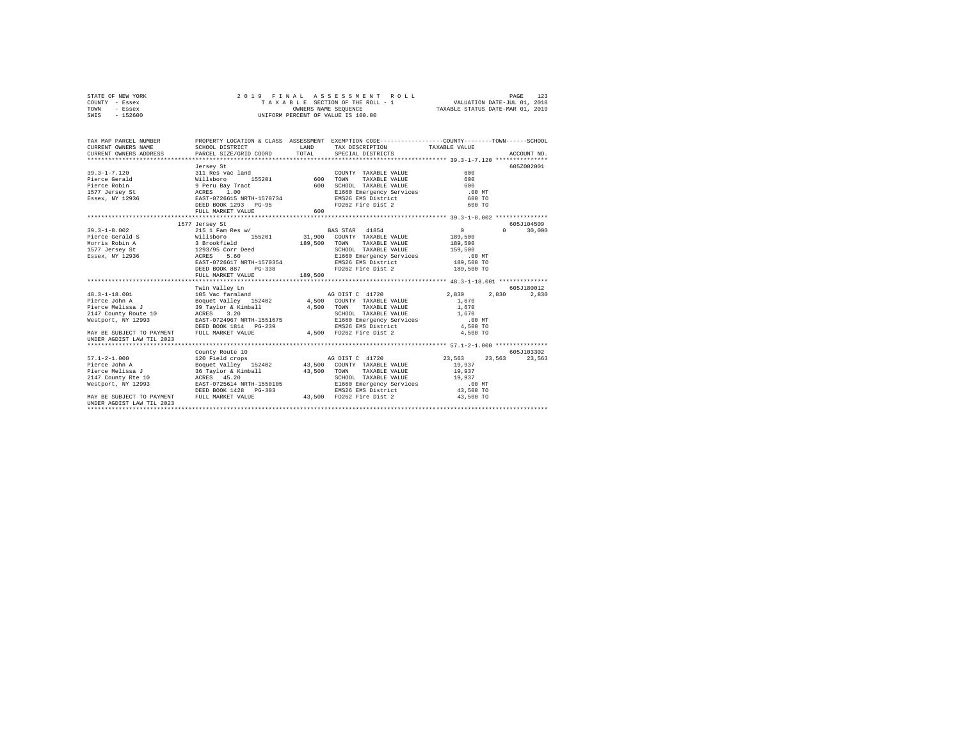| STATE OF NEW YORK | 2019 FINAL ASSESSMENT ROLL         | 123<br>PAGE                      |
|-------------------|------------------------------------|----------------------------------|
| COUNTY - Essex    | TAXABLE SECTION OF THE ROLL - 1    | VALUATION DATE-JUL 01, 2018      |
| TOWN<br>- Essex   | OWNERS NAME SEOUENCE               | TAXABLE STATUS DATE-MAR 01, 2019 |
| $-152600$<br>SWIS | UNIFORM PERCENT OF VALUE IS 100.00 |                                  |

| TAX MAP PARCEL NUMBER<br>CURRENT OWNERS NAME<br>CURRENT OWNERS ADDRESS                                                                                                                                                                                                             | SCHOOL DISTRICT<br>PARCEL SIZE/GRID COORD                                                       | LAND<br>TOTAL      | PROPERTY LOCATION & CLASS ASSESSMENT EXEMPTION CODE----------------COUNTY-------TOWN------SCHOOL<br>TAX DESCRIPTION TAXABLE VALUE<br>SPECIAL DISTRICTS                                                                                                                                                                                                                                                                                                                                                                                                                                                    |                                                                         | ACCOUNT NO.           |
|------------------------------------------------------------------------------------------------------------------------------------------------------------------------------------------------------------------------------------------------------------------------------------|-------------------------------------------------------------------------------------------------|--------------------|-----------------------------------------------------------------------------------------------------------------------------------------------------------------------------------------------------------------------------------------------------------------------------------------------------------------------------------------------------------------------------------------------------------------------------------------------------------------------------------------------------------------------------------------------------------------------------------------------------------|-------------------------------------------------------------------------|-----------------------|
|                                                                                                                                                                                                                                                                                    | Jersey St<br>DEED BOOK 1293 PG-95<br>FULL MARKET VALUE                                          | 600                | COUNTY TAXABLE VALUE<br>TOWN<br>TAXABLE VALUE<br>$\begin{tabular}{lllll} \multicolumn{2}{c}{\textbf{SCHOOL}} & \multicolumn{2}{c}{\textbf{TAXABLE}} & \multicolumn{2}{c}{\textbf{VALUE}} & \multicolumn{2}{c}{\textbf{600}} \\ \multicolumn{2}{c}{\textbf{SCHOOL}} & \multicolumn{2}{c}{\textbf{TAXABLE}} & \multicolumn{2}{c}{\textbf{VALUE}} & \multicolumn{2}{c}{\textbf{500}} \\ \multicolumn{2}{c}{\textbf{500}} & \multicolumn{2}{c}{\textbf{0.0}} & \multicolumn{2}{c}{\textbf{0.0}} \\ \multicolumn{2}{c}{\textbf{$<br>E1660 Emergency Services .00 MT<br>EMS26 EMS District<br>FD262 Fire Dist 2 | 600<br>600<br>600 TO<br>600 TO                                          | 605Z002001            |
|                                                                                                                                                                                                                                                                                    | 1577 Jersey St                                                                                  |                    |                                                                                                                                                                                                                                                                                                                                                                                                                                                                                                                                                                                                           |                                                                         | 605-T104509           |
| $39.3 - 1 - 8.002$<br>- Actor - Land - American Strookfield<br>1577 Jersey Strom - 1931/95 Corr Deed<br>1988 - American Strom - Actual Strom - 1993<br>1988 - Actual Actual - Actual Strom - Actor - Actual Strom - Actor - Actor - Actor - Actor - Actor - A<br>$Essex, NY$ 12936 | 215 1 Fam Res w/<br>EAST-0726617 NRTH-1570354<br>DEED BOOK 887<br>$PG-338$<br>FULL MARKET VALUE | 189,500<br>189,500 | <b>BAS STAR</b> 41854<br>TAXABLE VALUE<br>TOWN<br>SCHOOL TAXABLE VALUE<br>SCHOOL TAAABLE VALUE<br>E1660 Emergency Services<br>EMS26 EMS District 189,500 TO<br>FD262 Fire Dist 2                                                                                                                                                                                                                                                                                                                                                                                                                          | $\sim$ 0<br>189,500<br>159,500<br>.00 MT<br>189,500 TO                  | $\Omega$<br>30,000    |
|                                                                                                                                                                                                                                                                                    | Twin Valley Ln                                                                                  |                    |                                                                                                                                                                                                                                                                                                                                                                                                                                                                                                                                                                                                           |                                                                         | 605J180012            |
| $48.3 - 1 - 18.001$<br>Pierce John A<br>Pierce Melissa J<br>2147 County Route 10 ACRES 3.20<br>Westport, NY 12993<br>MAY BE SUBJECT TO PAYMENT<br>UNDER AGDIST LAW TIL 2023                                                                                                        | 105 Vac farmland<br>EAST-0724967 NRTH-1551675<br>DEED BOOK 1814 PG-239<br>FULL MARKET VALUE     |                    | 39 Taylor & Kimball 4,500 TOWN TAXABLE VALUE<br>SCHOOL TAXABLE VALUE 1,670<br>E1660 Emergency Services 100 MT<br>EMS26 EMS District 4,500 TO<br>3-239 EMS26 EMS District 4,500 TO<br>4,500 FD262 Fire Dist 2 4,500 TO                                                                                                                                                                                                                                                                                                                                                                                     | 2,830 2,830<br>1,670<br>1,670<br>$1\,,670$                              | 2.830                 |
|                                                                                                                                                                                                                                                                                    |                                                                                                 |                    |                                                                                                                                                                                                                                                                                                                                                                                                                                                                                                                                                                                                           |                                                                         |                       |
| $57.1 - 2 - 1.000$<br>Pierce John A<br>Pierce Melissa J<br>2147 County Rte 10 ACRES 45.20<br>Westport, NY 12993<br>MAY BE SUBJECT TO PAYMENT<br>IINDER AGDIST LAW TIL 2023                                                                                                         | County Route 10<br>EAST-0725614 NRTH-1550105<br>DEED BOOK 1428 PG-303<br>FULL MARKET VALUE      |                    | SCHOOL TAXABLE VALUE 19,937<br>E1660 Emergency Services<br>EMERS EMERS DESCRIPTION<br>EMS26 EMS District<br>43,500 FD262 Fire Dist 2                                                                                                                                                                                                                                                                                                                                                                                                                                                                      | 23,563 23,563<br>19,937<br>19,937<br>.00 MT<br>$43,500$ TO<br>43,500 TO | 605-7103302<br>23.563 |
|                                                                                                                                                                                                                                                                                    |                                                                                                 |                    |                                                                                                                                                                                                                                                                                                                                                                                                                                                                                                                                                                                                           |                                                                         |                       |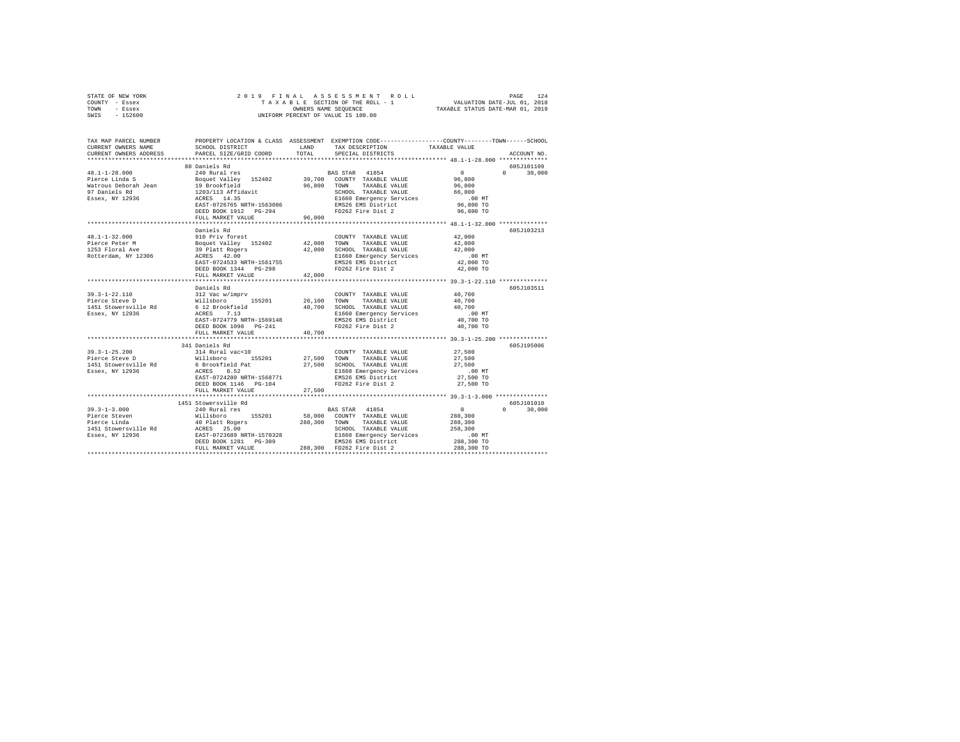|      | STATE OF NEW YORK |  |  |  | 2019 FINAL ASSESSMENT ROLL         |  |  |  |  |  |                                  |  |                             | PAGE | 124 |
|------|-------------------|--|--|--|------------------------------------|--|--|--|--|--|----------------------------------|--|-----------------------------|------|-----|
|      | COUNTY - Essex    |  |  |  | TAXABLE SECTION OF THE ROLL - 1    |  |  |  |  |  |                                  |  | VALUATION DATE-JUL 01, 2018 |      |     |
| TOWN | - Essex           |  |  |  | OWNERS NAME SEOUENCE               |  |  |  |  |  | TAXABLE STATUS DATE-MAR 01, 2019 |  |                             |      |     |
| SWIS | $-152600$         |  |  |  | UNIFORM PERCENT OF VALUE IS 100.00 |  |  |  |  |  |                                  |  |                             |      |     |

| TAX MAP PARCEL NUMBER<br>CURRENT OWNERS NAME<br>CURRENT OWNERS ADDRESS                                                                                                                                                                                                                                                                                              | SCHOOL DISTRICT<br>PARCEL SIZE/GRID COORD | TOTAL  | PROPERTY LOCATION & CLASS ASSESSMENT EXEMPTION CODE---------------COUNTY-------TOWN-----SCHOOL<br>LAND TAX DESCRIPTION<br>SPECIAL DISTRICTS | TAXABLE VALUE         | ACCOUNT NO.   |
|---------------------------------------------------------------------------------------------------------------------------------------------------------------------------------------------------------------------------------------------------------------------------------------------------------------------------------------------------------------------|-------------------------------------------|--------|---------------------------------------------------------------------------------------------------------------------------------------------|-----------------------|---------------|
|                                                                                                                                                                                                                                                                                                                                                                     |                                           |        |                                                                                                                                             |                       |               |
|                                                                                                                                                                                                                                                                                                                                                                     | 88 Daniels Rd                             |        |                                                                                                                                             |                       | 605J101109    |
|                                                                                                                                                                                                                                                                                                                                                                     |                                           |        |                                                                                                                                             |                       | $0 \t 30,000$ |
|                                                                                                                                                                                                                                                                                                                                                                     |                                           |        |                                                                                                                                             |                       |               |
|                                                                                                                                                                                                                                                                                                                                                                     |                                           |        |                                                                                                                                             |                       |               |
|                                                                                                                                                                                                                                                                                                                                                                     |                                           |        |                                                                                                                                             |                       |               |
|                                                                                                                                                                                                                                                                                                                                                                     |                                           |        |                                                                                                                                             |                       |               |
|                                                                                                                                                                                                                                                                                                                                                                     |                                           |        |                                                                                                                                             |                       |               |
|                                                                                                                                                                                                                                                                                                                                                                     |                                           |        |                                                                                                                                             |                       |               |
|                                                                                                                                                                                                                                                                                                                                                                     | FULL MARKET VALUE                         | 96,800 |                                                                                                                                             |                       |               |
|                                                                                                                                                                                                                                                                                                                                                                     |                                           |        |                                                                                                                                             |                       |               |
|                                                                                                                                                                                                                                                                                                                                                                     | Daniels Rd                                |        |                                                                                                                                             |                       | 605J103213    |
| $48.1 - 1 - 32.000$                                                                                                                                                                                                                                                                                                                                                 | 910 Priv forest                           |        | COUNTY TAXABLE VALUE 42,000                                                                                                                 |                       |               |
|                                                                                                                                                                                                                                                                                                                                                                     |                                           |        |                                                                                                                                             | 42,000<br>42,000      |               |
|                                                                                                                                                                                                                                                                                                                                                                     |                                           |        |                                                                                                                                             |                       |               |
|                                                                                                                                                                                                                                                                                                                                                                     |                                           |        | E1660 Emergency Services<br>EMS26 EMS District<br>FD262 Fire Dist 2 (000 TO<br>FD262 Fire Dist 2 (000 TO                                    |                       |               |
|                                                                                                                                                                                                                                                                                                                                                                     | DEED BOOK 1344 PG-298                     |        |                                                                                                                                             |                       |               |
|                                                                                                                                                                                                                                                                                                                                                                     | FULL MARKET VALUE                         | 42,000 |                                                                                                                                             |                       |               |
|                                                                                                                                                                                                                                                                                                                                                                     |                                           |        |                                                                                                                                             |                       |               |
|                                                                                                                                                                                                                                                                                                                                                                     | Daniels Rd                                |        |                                                                                                                                             |                       | 605J103511    |
|                                                                                                                                                                                                                                                                                                                                                                     |                                           |        |                                                                                                                                             |                       |               |
|                                                                                                                                                                                                                                                                                                                                                                     |                                           |        |                                                                                                                                             |                       |               |
|                                                                                                                                                                                                                                                                                                                                                                     |                                           |        |                                                                                                                                             |                       |               |
|                                                                                                                                                                                                                                                                                                                                                                     |                                           |        |                                                                                                                                             |                       |               |
|                                                                                                                                                                                                                                                                                                                                                                     |                                           |        |                                                                                                                                             |                       |               |
|                                                                                                                                                                                                                                                                                                                                                                     | DEED BOOK 1098 PG-241                     |        | FD262 Fire Dist 2                                                                                                                           | 40,700 TO             |               |
|                                                                                                                                                                                                                                                                                                                                                                     | FULL MARKET VALUE                         | 40,700 |                                                                                                                                             |                       |               |
|                                                                                                                                                                                                                                                                                                                                                                     |                                           |        |                                                                                                                                             |                       |               |
|                                                                                                                                                                                                                                                                                                                                                                     | 341 Daniels Rd                            |        |                                                                                                                                             |                       | 605-7195006   |
|                                                                                                                                                                                                                                                                                                                                                                     |                                           |        |                                                                                                                                             |                       |               |
|                                                                                                                                                                                                                                                                                                                                                                     |                                           |        |                                                                                                                                             |                       |               |
|                                                                                                                                                                                                                                                                                                                                                                     |                                           |        |                                                                                                                                             |                       |               |
|                                                                                                                                                                                                                                                                                                                                                                     |                                           |        |                                                                                                                                             | $.00$ MT<br>27,500 TO |               |
|                                                                                                                                                                                                                                                                                                                                                                     | DEED BOOK 1146 PG-104                     |        | FD262 Fire Dist 2                                                                                                                           | 27,500 TO             |               |
|                                                                                                                                                                                                                                                                                                                                                                     | FULL MARKET VALUE                         | 27,500 |                                                                                                                                             |                       |               |
|                                                                                                                                                                                                                                                                                                                                                                     |                                           |        |                                                                                                                                             |                       |               |
|                                                                                                                                                                                                                                                                                                                                                                     |                                           |        |                                                                                                                                             |                       | 605J101010    |
|                                                                                                                                                                                                                                                                                                                                                                     |                                           |        |                                                                                                                                             |                       | $0 \t 30,000$ |
|                                                                                                                                                                                                                                                                                                                                                                     |                                           |        |                                                                                                                                             |                       |               |
|                                                                                                                                                                                                                                                                                                                                                                     |                                           |        |                                                                                                                                             |                       |               |
|                                                                                                                                                                                                                                                                                                                                                                     |                                           |        |                                                                                                                                             |                       |               |
|                                                                                                                                                                                                                                                                                                                                                                     |                                           |        |                                                                                                                                             |                       |               |
|                                                                                                                                                                                                                                                                                                                                                                     |                                           |        |                                                                                                                                             |                       |               |
| $\begin{tabular}{l c c c c c} \hline \textbf{1451} & \textbf{1451} & \textbf{1451} & \textbf{1451} & \textbf{1451} & \textbf{1451} & \textbf{1451} & \textbf{1451} & \textbf{1451} & \textbf{1451} & \textbf{1451} & \textbf{1451} & \textbf{1451} & \textbf{1451} & \textbf{1451} & \textbf{1451} & \textbf{1451} & \textbf{1451} & \textbf{1451} & \textbf{1451}$ |                                           |        |                                                                                                                                             |                       |               |
|                                                                                                                                                                                                                                                                                                                                                                     |                                           |        |                                                                                                                                             |                       |               |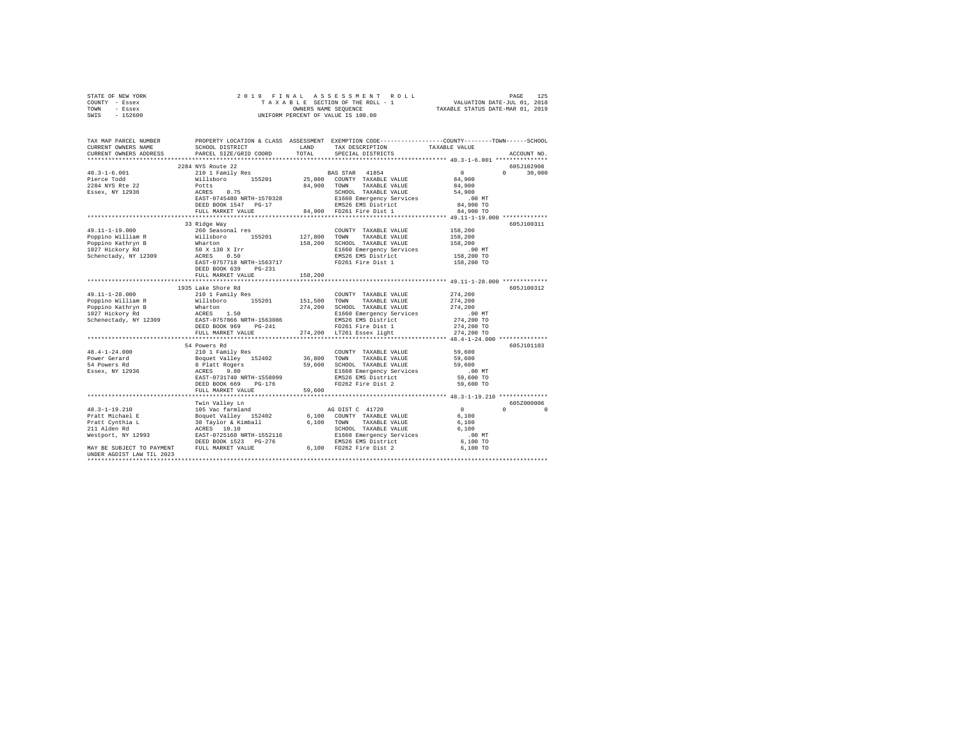| STATE OF NEW YORK<br>COUNTY - Essex                                                                                                                                                                                                                                                                                                                                                                                                               | 2019 FINAL                              |              |                                                                                                                                                                                                                                                                                                                                                                                                                                                                      |                      |                                   |  |  |  |
|---------------------------------------------------------------------------------------------------------------------------------------------------------------------------------------------------------------------------------------------------------------------------------------------------------------------------------------------------------------------------------------------------------------------------------------------------|-----------------------------------------|--------------|----------------------------------------------------------------------------------------------------------------------------------------------------------------------------------------------------------------------------------------------------------------------------------------------------------------------------------------------------------------------------------------------------------------------------------------------------------------------|----------------------|-----------------------------------|--|--|--|
| TOWN<br>- Essex<br>$-152600$                                                                                                                                                                                                                                                                                                                                                                                                                      |                                         |              | OWNERS NAME SEQUENCE<br>UNIFORM PERCENT OF VALUE IS 100.00                                                                                                                                                                                                                                                                                                                                                                                                           |                      |                                   |  |  |  |
| SWIS                                                                                                                                                                                                                                                                                                                                                                                                                                              |                                         |              |                                                                                                                                                                                                                                                                                                                                                                                                                                                                      |                      |                                   |  |  |  |
| TAX MAP PARCEL NUMBER PROPERTY LOCATION & CLASS ASSESSMENT EXEMPTION CODE---------------COUNTY-------TOWN------SCHOOL                                                                                                                                                                                                                                                                                                                             |                                         |              |                                                                                                                                                                                                                                                                                                                                                                                                                                                                      |                      |                                   |  |  |  |
| CURRENT OWNERS NAME                                                                                                                                                                                                                                                                                                                                                                                                                               | SCHOOL DISTRICT LAND                    |              | TAX DESCRIPTION                                                                                                                                                                                                                                                                                                                                                                                                                                                      | TAXABLE VALUE        |                                   |  |  |  |
| CURRENT OWNERS ADDRESS                                                                                                                                                                                                                                                                                                                                                                                                                            | PARCEL SIZE/GRID COORD                  | TOTAL        | SPECIAL DISTRICTS                                                                                                                                                                                                                                                                                                                                                                                                                                                    |                      | ACCOUNT NO.                       |  |  |  |
|                                                                                                                                                                                                                                                                                                                                                                                                                                                   |                                         |              |                                                                                                                                                                                                                                                                                                                                                                                                                                                                      |                      |                                   |  |  |  |
| $40.3 - 1 - 6.001$                                                                                                                                                                                                                                                                                                                                                                                                                                | 2284 NYS Route 22                       |              | $\begin{tabular}{cccc} \bf 2294 \, NTS \, & \bf 2210 & \bf 1 \,~Fami 1y \,~Fes & \bf 25,000 & \bf 25,000 & \bf 25,000 & \bf 26,000 & \bf 27,000 & \bf 28,000 & \bf 28,000 & \bf 29,000 & \bf 20,000 & \bf 20,000 & \bf 20,000 & \bf 20,000 & \bf 20,000 & \bf 20,000 & \bf 20,000 & \bf 20,000 & \bf 20,000 & \bf$                                                                                                                                                   |                      | 605J102908<br>$0 \t 30,000$       |  |  |  |
| Pierce Todd                                                                                                                                                                                                                                                                                                                                                                                                                                       |                                         |              |                                                                                                                                                                                                                                                                                                                                                                                                                                                                      |                      |                                   |  |  |  |
| 2284 NYS Rte 22                                                                                                                                                                                                                                                                                                                                                                                                                                   |                                         |              |                                                                                                                                                                                                                                                                                                                                                                                                                                                                      |                      |                                   |  |  |  |
| Essex, NY 12936                                                                                                                                                                                                                                                                                                                                                                                                                                   |                                         |              |                                                                                                                                                                                                                                                                                                                                                                                                                                                                      |                      |                                   |  |  |  |
|                                                                                                                                                                                                                                                                                                                                                                                                                                                   |                                         |              |                                                                                                                                                                                                                                                                                                                                                                                                                                                                      | .00MT                |                                   |  |  |  |
|                                                                                                                                                                                                                                                                                                                                                                                                                                                   |                                         |              |                                                                                                                                                                                                                                                                                                                                                                                                                                                                      | 84,900 TO            |                                   |  |  |  |
|                                                                                                                                                                                                                                                                                                                                                                                                                                                   |                                         |              |                                                                                                                                                                                                                                                                                                                                                                                                                                                                      | 84,900 TO            |                                   |  |  |  |
|                                                                                                                                                                                                                                                                                                                                                                                                                                                   |                                         |              |                                                                                                                                                                                                                                                                                                                                                                                                                                                                      |                      |                                   |  |  |  |
|                                                                                                                                                                                                                                                                                                                                                                                                                                                   | 33 Ridge Way                            |              |                                                                                                                                                                                                                                                                                                                                                                                                                                                                      |                      | 605J100311                        |  |  |  |
| 49.11-1-19.000                                                                                                                                                                                                                                                                                                                                                                                                                                    | 260 Seasonal res<br>Willsboro 155201    |              | COUNTY TAXABLE VALUE                                                                                                                                                                                                                                                                                                                                                                                                                                                 | 158,200              |                                   |  |  |  |
| Poppino William R<br>Poppino Kathryn B<br>1027 Hickory Rd                                                                                                                                                                                                                                                                                                                                                                                         |                                         | 127,800 TOWN | TAXABLE VALUE                                                                                                                                                                                                                                                                                                                                                                                                                                                        | 158,200              |                                   |  |  |  |
|                                                                                                                                                                                                                                                                                                                                                                                                                                                   |                                         |              | Willsboro<br>Wharton 158,200 SCHOOL TAXABLE VIOLET<br>50 x 130 x Irr 156,200 SCHOOL TAXABLE VIOLET<br>ACRES 0.50 EMS26 EMS District<br>NATH-1563717 FD261 Fire Dist 1<br>158,200 SCHOOL TAXABLE VALUE                                                                                                                                                                                                                                                                | 158,200              |                                   |  |  |  |
|                                                                                                                                                                                                                                                                                                                                                                                                                                                   |                                         |              | E1660 Emergency Services                                                                                                                                                                                                                                                                                                                                                                                                                                             | 00 MT.<br>158,200 TO |                                   |  |  |  |
| Schenctady, NY 12309                                                                                                                                                                                                                                                                                                                                                                                                                              |                                         |              |                                                                                                                                                                                                                                                                                                                                                                                                                                                                      |                      |                                   |  |  |  |
|                                                                                                                                                                                                                                                                                                                                                                                                                                                   |                                         |              |                                                                                                                                                                                                                                                                                                                                                                                                                                                                      | 158,200 TO           |                                   |  |  |  |
|                                                                                                                                                                                                                                                                                                                                                                                                                                                   |                                         |              |                                                                                                                                                                                                                                                                                                                                                                                                                                                                      |                      |                                   |  |  |  |
|                                                                                                                                                                                                                                                                                                                                                                                                                                                   | FULL MARKET VALUE                       | 158,200      |                                                                                                                                                                                                                                                                                                                                                                                                                                                                      |                      |                                   |  |  |  |
|                                                                                                                                                                                                                                                                                                                                                                                                                                                   |                                         |              |                                                                                                                                                                                                                                                                                                                                                                                                                                                                      |                      |                                   |  |  |  |
|                                                                                                                                                                                                                                                                                                                                                                                                                                                   | 1935 Lake Shore Rd<br>210 1 Family Res  |              |                                                                                                                                                                                                                                                                                                                                                                                                                                                                      |                      | 605J100312                        |  |  |  |
| 49.11-1-28.000                                                                                                                                                                                                                                                                                                                                                                                                                                    |                                         |              | COUNTY TAXABLE VALUE 274,200                                                                                                                                                                                                                                                                                                                                                                                                                                         | 274,200              |                                   |  |  |  |
|                                                                                                                                                                                                                                                                                                                                                                                                                                                   |                                         |              |                                                                                                                                                                                                                                                                                                                                                                                                                                                                      | 274,200              |                                   |  |  |  |
|                                                                                                                                                                                                                                                                                                                                                                                                                                                   |                                         |              |                                                                                                                                                                                                                                                                                                                                                                                                                                                                      | .00 MT               |                                   |  |  |  |
|                                                                                                                                                                                                                                                                                                                                                                                                                                                   |                                         |              |                                                                                                                                                                                                                                                                                                                                                                                                                                                                      | 274,200 TO           |                                   |  |  |  |
| $\begin{tabular}{l c c c c c c c c} \hline $\mathsf{Popp} \texttt{in} \texttt{Willism R}$ & $\mathsf{Will} \texttt{in} \texttt{in} \texttt{in} \texttt{in} \texttt{in} \texttt{in} \texttt{in} \texttt{in} \texttt{in} \texttt{in} \texttt{in} \texttt{in} \texttt{in} \texttt{in} \texttt{in} \texttt{in} \texttt{in} \texttt{in} \texttt{in} \texttt{in} \texttt{in} \texttt{in} \texttt{in} \texttt{in} \texttt{in} \texttt{in} \texttt{in} \$ |                                         |              |                                                                                                                                                                                                                                                                                                                                                                                                                                                                      | 274,200 TO           |                                   |  |  |  |
|                                                                                                                                                                                                                                                                                                                                                                                                                                                   | FULL MARKET VALUE                       |              | FD261 Fire Dist 1<br>274,200 LT261 Essex light                                                                                                                                                                                                                                                                                                                                                                                                                       | 274,200 TO           |                                   |  |  |  |
|                                                                                                                                                                                                                                                                                                                                                                                                                                                   |                                         |              |                                                                                                                                                                                                                                                                                                                                                                                                                                                                      |                      |                                   |  |  |  |
|                                                                                                                                                                                                                                                                                                                                                                                                                                                   | 54 Powers Rd                            |              |                                                                                                                                                                                                                                                                                                                                                                                                                                                                      |                      | 605J101103                        |  |  |  |
| $48.4 - 1 - 24.000$                                                                                                                                                                                                                                                                                                                                                                                                                               |                                         |              |                                                                                                                                                                                                                                                                                                                                                                                                                                                                      |                      |                                   |  |  |  |
| Power Gerard                                                                                                                                                                                                                                                                                                                                                                                                                                      |                                         |              | $\begin{tabular}{llllllll} \multicolumn{2}{c}{\textbf{COUNTY}} & \textbf{TAXABLE VALUE} & \multicolumn{2}{c}{\textbf{S9,600}} \\ \multicolumn{2}{c}{\textbf{TOWN}} & \textbf{TAXABLE VALUE} & \multicolumn{2}{c}{\textbf{S9,600}} \\ \multicolumn{2}{c}{\textbf{TOWN}} & \multicolumn{2}{c}{\textbf{TAXABLE VALUE}} & \multicolumn{2}{c}{\textbf{S9,600}} \\ \multicolumn{2}{c}{\textbf{S1,600}} & \multicolumn{2}{c}{\textbf{S2,600}} & \multicolumn{2}{c}{\textbf$ |                      |                                   |  |  |  |
| 54 Powers Rd                                                                                                                                                                                                                                                                                                                                                                                                                                      |                                         |              |                                                                                                                                                                                                                                                                                                                                                                                                                                                                      | 59,600               |                                   |  |  |  |
| Essex, NY 12936                                                                                                                                                                                                                                                                                                                                                                                                                                   |                                         |              |                                                                                                                                                                                                                                                                                                                                                                                                                                                                      | .00MT                |                                   |  |  |  |
|                                                                                                                                                                                                                                                                                                                                                                                                                                                   | ACRES 9.80<br>EAST-0731740 NRTH-1558099 |              | E1660 Emergency Services<br>EMS26 EMS District<br>FD262 Fire Dist 2                                                                                                                                                                                                                                                                                                                                                                                                  | 59,600 TO            |                                   |  |  |  |
|                                                                                                                                                                                                                                                                                                                                                                                                                                                   | DEED BOOK 669 PG-176                    |              |                                                                                                                                                                                                                                                                                                                                                                                                                                                                      | 59,600 TO            |                                   |  |  |  |
|                                                                                                                                                                                                                                                                                                                                                                                                                                                   | FULL MARKET VALUE                       | 59,600       |                                                                                                                                                                                                                                                                                                                                                                                                                                                                      |                      |                                   |  |  |  |
|                                                                                                                                                                                                                                                                                                                                                                                                                                                   | ******************************          |              |                                                                                                                                                                                                                                                                                                                                                                                                                                                                      |                      |                                   |  |  |  |
|                                                                                                                                                                                                                                                                                                                                                                                                                                                   | Twin Valley Ln                          |              |                                                                                                                                                                                                                                                                                                                                                                                                                                                                      |                      | 6057000006                        |  |  |  |
|                                                                                                                                                                                                                                                                                                                                                                                                                                                   | 105 Vac farmland                        |              | AG DIST C 41720                                                                                                                                                                                                                                                                                                                                                                                                                                                      | $\sim$ 0             | $\mathfrak{a}$ and $\mathfrak{a}$ |  |  |  |
|                                                                                                                                                                                                                                                                                                                                                                                                                                                   |                                         |              |                                                                                                                                                                                                                                                                                                                                                                                                                                                                      | 6,100                |                                   |  |  |  |
|                                                                                                                                                                                                                                                                                                                                                                                                                                                   |                                         |              |                                                                                                                                                                                                                                                                                                                                                                                                                                                                      | 6,100                |                                   |  |  |  |
|                                                                                                                                                                                                                                                                                                                                                                                                                                                   |                                         |              |                                                                                                                                                                                                                                                                                                                                                                                                                                                                      | 6,100<br>$.00$ MT    |                                   |  |  |  |
|                                                                                                                                                                                                                                                                                                                                                                                                                                                   |                                         |              |                                                                                                                                                                                                                                                                                                                                                                                                                                                                      | 6,100 TO             |                                   |  |  |  |
|                                                                                                                                                                                                                                                                                                                                                                                                                                                   |                                         |              |                                                                                                                                                                                                                                                                                                                                                                                                                                                                      | 6,100 TO             |                                   |  |  |  |
| UNDER AGDIST LAW TIL 2023                                                                                                                                                                                                                                                                                                                                                                                                                         |                                         |              |                                                                                                                                                                                                                                                                                                                                                                                                                                                                      |                      |                                   |  |  |  |
|                                                                                                                                                                                                                                                                                                                                                                                                                                                   |                                         |              |                                                                                                                                                                                                                                                                                                                                                                                                                                                                      |                      |                                   |  |  |  |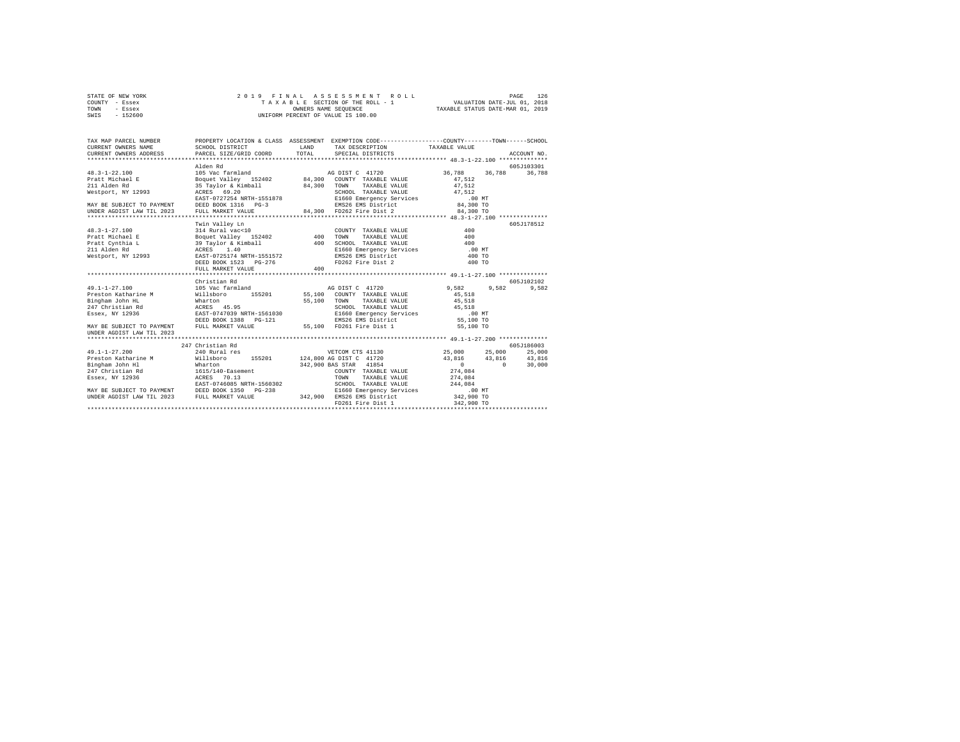|      | STATE OF NEW YORK |  |  | 2019 FINAL ASSESSMENT ROLL         |                                  | PAGE | 126 |
|------|-------------------|--|--|------------------------------------|----------------------------------|------|-----|
|      | COUNTY - Essex    |  |  | TAXABLE SECTION OF THE ROLL - 1    | VALUATION DATE-JUL 01, 2018      |      |     |
| TOWN | - Essex           |  |  | OWNERS NAME SEOUENCE               | TAXABLE STATUS DATE-MAR 01, 2019 |      |     |
| SWIS | $-152600$         |  |  | UNIFORM PERCENT OF VALUE IS 100.00 |                                  |      |     |

| TAX MAP PARCEL NUMBER<br>CURRENT OWNERS NAME<br>. CURRENT OWNERS ADDRESS PARCEL SIZE/GRID COORD TOTAL SPECIAL DISTRICTS (2010) ACCOUNT NO ACCOUNT NO ACCOUNT COORD | SCHOOL DISTRICT                                                                   | LAND | PROPERTY LOCATION & CLASS ASSESSMENT EXEMPTION CODE----------------COUNTY-------TOWN-----SCHOOL<br>TAX DESCRIPTION TAXABLE VALUE                                                         |                 |                           |
|--------------------------------------------------------------------------------------------------------------------------------------------------------------------|-----------------------------------------------------------------------------------|------|------------------------------------------------------------------------------------------------------------------------------------------------------------------------------------------|-----------------|---------------------------|
|                                                                                                                                                                    |                                                                                   |      |                                                                                                                                                                                          |                 |                           |
|                                                                                                                                                                    | Alden Rd                                                                          |      |                                                                                                                                                                                          |                 | 605-T103301               |
| $48.3 - 1 - 22.100$                                                                                                                                                |                                                                                   |      |                                                                                                                                                                                          | 36,788 36,788   | 36,788                    |
| $48.3 - 1 - 1$<br>Pratt Michael E                                                                                                                                  |                                                                                   |      |                                                                                                                                                                                          | 47.512          |                           |
|                                                                                                                                                                    |                                                                                   |      |                                                                                                                                                                                          | 47,512          |                           |
| Westport, NY 12993 ACRES 69.20                                                                                                                                     |                                                                                   |      | SCHOOL TAXABLE VALUE 47,512                                                                                                                                                              |                 |                           |
|                                                                                                                                                                    |                                                                                   |      | EAST-0727254 NRTH-1551878 – EAST-0727254 NRTH-1551878 – EAST-0727254 NRTH-1551878 – EAST-0727254 NRTH-1551878<br>DEED BOOK 1316 – PORT EAST EAST DEED BOOK 1984,300 TO PULL MARKET VALUE |                 |                           |
| MAY BE SUBJECT TO PAYMENT DEED BOOK 1316 PG-3                                                                                                                      |                                                                                   |      |                                                                                                                                                                                          |                 |                           |
| UNDER AGDIST LAW TIL 2023                                                                                                                                          |                                                                                   |      |                                                                                                                                                                                          |                 |                           |
|                                                                                                                                                                    |                                                                                   |      |                                                                                                                                                                                          |                 |                           |
|                                                                                                                                                                    | Twin Valley Ln                                                                    |      |                                                                                                                                                                                          |                 | 605J178512                |
|                                                                                                                                                                    |                                                                                   |      | COUNTY TAXABLE VALUE                                                                                                                                                                     | 400             |                           |
|                                                                                                                                                                    |                                                                                   |      | TAXABLE VALUE 400<br><b>TOWN</b>                                                                                                                                                         |                 |                           |
|                                                                                                                                                                    |                                                                                   |      | SCHOOL TAXABLE VALUE 400<br>E1660 Emergency Services 100<br>EMS26 EMS District 400                                                                                                       |                 |                           |
|                                                                                                                                                                    |                                                                                   |      |                                                                                                                                                                                          | .00MT           |                           |
|                                                                                                                                                                    |                                                                                   |      |                                                                                                                                                                                          | 400 TO          |                           |
|                                                                                                                                                                    | DEED BOOK 1523 PG-276                                                             |      | FD262 Fire Dist 2 400 TO                                                                                                                                                                 |                 |                           |
|                                                                                                                                                                    | FULL MARKET VALUE                                                                 | 400  |                                                                                                                                                                                          |                 |                           |
|                                                                                                                                                                    |                                                                                   |      |                                                                                                                                                                                          |                 |                           |
|                                                                                                                                                                    | Christian Rd                                                                      |      |                                                                                                                                                                                          |                 | 605-7102102               |
| $49.1 - 1 - 27.100$                                                                                                                                                | 105 Vac farmland                                                                  |      | AG DIST C 41720                                                                                                                                                                          | 9.582 9.582     | 9,582                     |
| Preston Katharine M                                                                                                                                                | Willsboro 155201 55,100 COUNTY TAXABLE VALUE<br>Wharton 55,100 TOWN TAXABLE VALUE |      |                                                                                                                                                                                          | 45,518          |                           |
| Bingham John HL                                                                                                                                                    |                                                                                   |      |                                                                                                                                                                                          | 45,518          |                           |
| 247 Christian Rd                                                                                                                                                   | ACRES 45.95                                                                       |      |                                                                                                                                                                                          |                 |                           |
| Essex, NY 12936                                                                                                                                                    | EAST-0747039 NRTH-1561030                                                         |      |                                                                                                                                                                                          |                 |                           |
|                                                                                                                                                                    | DEED BOOK 1388 PG-121                                                             |      |                                                                                                                                                                                          |                 |                           |
| MAY BE SUBJECT TO PAYMENT                                                                                                                                          | FULL MARKET VALUE                                                                 |      | 55,100 FD261 Fire Dist 1                                                                                                                                                                 | 55,100 TO       |                           |
| UNDER AGDIST LAW TIL 2023                                                                                                                                          |                                                                                   |      |                                                                                                                                                                                          |                 |                           |
|                                                                                                                                                                    |                                                                                   |      |                                                                                                                                                                                          |                 |                           |
|                                                                                                                                                                    | 247 Christian Rd                                                                  |      |                                                                                                                                                                                          |                 | 605J186003                |
| $49.1 - 1 - 27.200$                                                                                                                                                | 240 Rural res                                                                     |      | VETCOM CTS 41130 25.000 25.000                                                                                                                                                           |                 | 25,000                    |
|                                                                                                                                                                    |                                                                                   |      |                                                                                                                                                                                          |                 |                           |
|                                                                                                                                                                    |                                                                                   |      | 342,900 BAS STAR 41854<br>COUNTY TAXABLE                                                                                                                                                 | $\sim$ 0 $\sim$ | $\sim$ 0 $\sim$<br>30,000 |
|                                                                                                                                                                    |                                                                                   |      | COUNTY TAXABLE VALUE                                                                                                                                                                     | 274,084         |                           |
| Essex, NY 12936                                                                                                                                                    | ACRES 70.13                                                                       |      | TAXABLE VALUE 274,084<br>TOWN                                                                                                                                                            |                 |                           |
| EAST-0746085 NRTH-1560302<br>MAY BE SUBJECT TO PAYMENT DEED BOOK 1350 PG-238                                                                                       |                                                                                   |      |                                                                                                                                                                                          |                 |                           |
|                                                                                                                                                                    |                                                                                   |      |                                                                                                                                                                                          |                 |                           |
| UNDER AGDIST LAW TIL 2023 FULL MARKET VALUE                                                                                                                        |                                                                                   |      |                                                                                                                                                                                          |                 |                           |
|                                                                                                                                                                    |                                                                                   |      | FD261 Fire Dist 1                                                                                                                                                                        | 342,900 TO      |                           |
|                                                                                                                                                                    |                                                                                   |      |                                                                                                                                                                                          |                 |                           |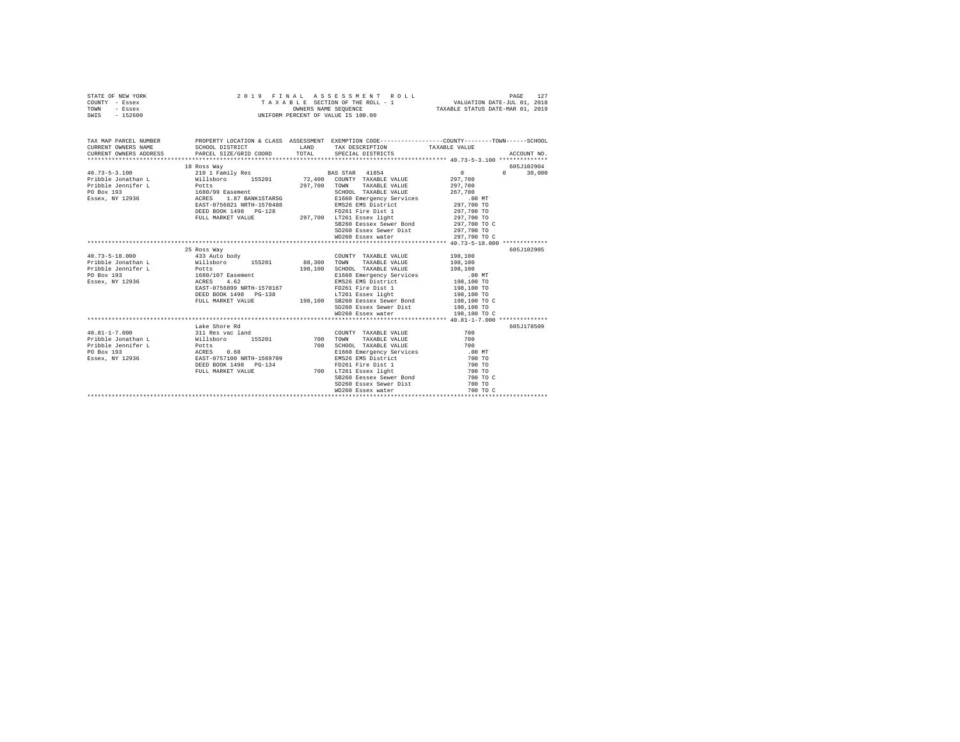| STATE OF NEW YORK                                                                                                                                                                                                                                                                                                                                                                                                         |                                                                                                                          |            |                                                                                                                                                                                    |                            |                    |
|---------------------------------------------------------------------------------------------------------------------------------------------------------------------------------------------------------------------------------------------------------------------------------------------------------------------------------------------------------------------------------------------------------------------------|--------------------------------------------------------------------------------------------------------------------------|------------|------------------------------------------------------------------------------------------------------------------------------------------------------------------------------------|----------------------------|--------------------|
| COUNTY - Essex                                                                                                                                                                                                                                                                                                                                                                                                            |                                                                                                                          |            | PAGE 127 RAL ASSESSMENT ROLL (PAGE 127 PAGE 127 PAGE 127 PAGE 128 PAGE 127 PAGE 127 PAGE 127 PAGE 128 PAGE 128<br>TAXABLE SECTION OF THE ROLL - 1 TAXABLE STATUS DATE-MAR 01, 2019 |                            |                    |
| - Essex<br>TOWN                                                                                                                                                                                                                                                                                                                                                                                                           |                                                                                                                          |            |                                                                                                                                                                                    |                            |                    |
| SWIS<br>$-152600$                                                                                                                                                                                                                                                                                                                                                                                                         | 2019 FINAL ASSESSMENT R<br>TAXABLE SECTION OF THE ROLL - 1<br>ONNERS NAME SEQUENCE<br>UNIFORM PERCENT OF VALUE IS 100.00 |            |                                                                                                                                                                                    |                            |                    |
|                                                                                                                                                                                                                                                                                                                                                                                                                           |                                                                                                                          |            |                                                                                                                                                                                    |                            |                    |
|                                                                                                                                                                                                                                                                                                                                                                                                                           |                                                                                                                          |            |                                                                                                                                                                                    |                            |                    |
|                                                                                                                                                                                                                                                                                                                                                                                                                           |                                                                                                                          |            |                                                                                                                                                                                    |                            |                    |
| TAX MAP PARCEL NUMBER THE PROPERTY LOCATION & CLASS ASSESSMENT EXEMPTION CODE-------------COUNTY-------TOWN------SCHOOL                                                                                                                                                                                                                                                                                                   |                                                                                                                          |            |                                                                                                                                                                                    |                            |                    |
| CURRENT OWNERS NAME                                                                                                                                                                                                                                                                                                                                                                                                       | SCHOOL DISTRICT                                                                                                          |            |                                                                                                                                                                                    |                            |                    |
| CURRENT OWNERS ADDRESS                                                                                                                                                                                                                                                                                                                                                                                                    | PARCEL SIZE/GRID COORD TOTAL SPECIAL DISTRICTS                                                                           |            | LAND TAX DESCRIPTION TAXABLE VALUE TOTAL SPECIAL DISTRICTS                                                                                                                         |                            | ACCOUNT NO.        |
|                                                                                                                                                                                                                                                                                                                                                                                                                           |                                                                                                                          |            |                                                                                                                                                                                    |                            |                    |
|                                                                                                                                                                                                                                                                                                                                                                                                                           |                                                                                                                          |            |                                                                                                                                                                                    |                            |                    |
| $\begin{tabular}{l c c c c c} \multicolumn{1}{c}{\textbf{40.73--5-3.100}} & \multicolumn{1}{c}{\textbf{18.808 Way}} & \multicolumn{1}{c}{\textbf{55.801}} & \multicolumn{1}{c}{\textbf{55.801}} & \multicolumn{1}{c}{\textbf{55.801}} & \multicolumn{1}{c}{\textbf{55.801}} & \multicolumn{1}{c}{\textbf{55.801}} & \multicolumn{1}{c}{\textbf{55.801}} & \multicolumn{1}{c}{\textbf{55.801}} & \multicolumn$             | 18 Ross Way                                                                                                              |            |                                                                                                                                                                                    |                            | 605J102904         |
|                                                                                                                                                                                                                                                                                                                                                                                                                           |                                                                                                                          |            |                                                                                                                                                                                    |                            | $\Omega$<br>30,000 |
|                                                                                                                                                                                                                                                                                                                                                                                                                           |                                                                                                                          |            |                                                                                                                                                                                    |                            |                    |
|                                                                                                                                                                                                                                                                                                                                                                                                                           |                                                                                                                          |            |                                                                                                                                                                                    |                            |                    |
|                                                                                                                                                                                                                                                                                                                                                                                                                           |                                                                                                                          |            |                                                                                                                                                                                    |                            |                    |
|                                                                                                                                                                                                                                                                                                                                                                                                                           |                                                                                                                          |            |                                                                                                                                                                                    |                            |                    |
|                                                                                                                                                                                                                                                                                                                                                                                                                           |                                                                                                                          |            |                                                                                                                                                                                    |                            |                    |
|                                                                                                                                                                                                                                                                                                                                                                                                                           |                                                                                                                          |            |                                                                                                                                                                                    |                            |                    |
|                                                                                                                                                                                                                                                                                                                                                                                                                           |                                                                                                                          |            |                                                                                                                                                                                    |                            |                    |
|                                                                                                                                                                                                                                                                                                                                                                                                                           |                                                                                                                          |            | SB260 Eessex Sewer Bond                                                                                                                                                            | 297,700 TO C               |                    |
|                                                                                                                                                                                                                                                                                                                                                                                                                           |                                                                                                                          |            | SD260 Essex Sewer Dist 297,700 TO                                                                                                                                                  |                            |                    |
|                                                                                                                                                                                                                                                                                                                                                                                                                           |                                                                                                                          |            | WD260 Essex water                                                                                                                                                                  | 297,700 TO C               |                    |
|                                                                                                                                                                                                                                                                                                                                                                                                                           |                                                                                                                          |            |                                                                                                                                                                                    |                            |                    |
|                                                                                                                                                                                                                                                                                                                                                                                                                           |                                                                                                                          |            |                                                                                                                                                                                    |                            |                    |
|                                                                                                                                                                                                                                                                                                                                                                                                                           | 25 Ross Way                                                                                                              |            |                                                                                                                                                                                    |                            | 605J102905         |
| $40.73 - 5 - 18.000$                                                                                                                                                                                                                                                                                                                                                                                                      | 433 Auto body                                                                                                            |            | COUNTY TAXABLE VALUE                                                                                                                                                               | 198,100                    |                    |
|                                                                                                                                                                                                                                                                                                                                                                                                                           |                                                                                                                          |            |                                                                                                                                                                                    | 198,100                    |                    |
|                                                                                                                                                                                                                                                                                                                                                                                                                           |                                                                                                                          |            |                                                                                                                                                                                    | 198,100                    |                    |
| $\begin{tabular}{l c c c c c c} \hline \texttt{W} & \texttt{W} & \texttt{W} & \texttt{W} & \texttt{W} & \texttt{W} & \texttt{W} & \texttt{W} & \texttt{W} & \texttt{W} & \texttt{W} & \texttt{W} & \texttt{W} & \texttt{W} & \texttt{W} & \texttt{W} & \texttt{W} & \texttt{W} & \texttt{W} & \texttt{W} & \texttt{W} & \texttt{W} & \texttt{W} & \texttt{W} & \texttt{W} & \texttt{W} & \texttt{W} & \texttt{W} & \text$ |                                                                                                                          |            | E1660 Emergency Services 198,100 MT<br>EMS26 EMS District 198,100 TO                                                                                                               |                            |                    |
|                                                                                                                                                                                                                                                                                                                                                                                                                           |                                                                                                                          |            |                                                                                                                                                                                    |                            |                    |
|                                                                                                                                                                                                                                                                                                                                                                                                                           |                                                                                                                          |            |                                                                                                                                                                                    | 198,100 TO                 |                    |
|                                                                                                                                                                                                                                                                                                                                                                                                                           |                                                                                                                          |            | LT261 Essex light<br>DEED BOOK 1498 PG-138 LT261 Essex light<br>FULL MARKET VALUE 198,100 SB260 Eessex Sewer Bond                                                                  | 198,100 TO<br>198,100 TO C |                    |
|                                                                                                                                                                                                                                                                                                                                                                                                                           |                                                                                                                          |            |                                                                                                                                                                                    |                            |                    |
|                                                                                                                                                                                                                                                                                                                                                                                                                           |                                                                                                                          |            | SD260 Essex Sewer Dist 198,100 TO                                                                                                                                                  |                            |                    |
|                                                                                                                                                                                                                                                                                                                                                                                                                           |                                                                                                                          |            | WD260 Essex water                                                                                                                                                                  | 198,100 TO C               |                    |
|                                                                                                                                                                                                                                                                                                                                                                                                                           |                                                                                                                          |            |                                                                                                                                                                                    |                            |                    |
|                                                                                                                                                                                                                                                                                                                                                                                                                           | Lake Shore Rd                                                                                                            |            |                                                                                                                                                                                    |                            | 605J178509         |
| $40.81 - 1 - 7.000$                                                                                                                                                                                                                                                                                                                                                                                                       | 311 Res vac land                                                                                                         |            | COUNTY TAXABLE VALUE                                                                                                                                                               | 700                        |                    |
|                                                                                                                                                                                                                                                                                                                                                                                                                           |                                                                                                                          |            | TOWN                                                                                                                                                                               | 700                        |                    |
|                                                                                                                                                                                                                                                                                                                                                                                                                           |                                                                                                                          | 700<br>700 | TAXABLE VALUE<br>TAXABLE VALUE<br>SCHOOL TAXABLE VALUE                                                                                                                             | 700                        |                    |
|                                                                                                                                                                                                                                                                                                                                                                                                                           |                                                                                                                          |            |                                                                                                                                                                                    |                            |                    |
|                                                                                                                                                                                                                                                                                                                                                                                                                           |                                                                                                                          |            | E1660 Emergency Services .00 MT                                                                                                                                                    |                            |                    |
|                                                                                                                                                                                                                                                                                                                                                                                                                           |                                                                                                                          |            | EMS26 EMS District                                                                                                                                                                 | 700 TO                     |                    |
|                                                                                                                                                                                                                                                                                                                                                                                                                           |                                                                                                                          |            | FD261 Fire Dist 1 700 TO<br>700 LT261 Essex light 700 TO 700 TO                                                                                                                    |                            |                    |
|                                                                                                                                                                                                                                                                                                                                                                                                                           | FULL MARKET VALUE                                                                                                        |            |                                                                                                                                                                                    |                            |                    |
|                                                                                                                                                                                                                                                                                                                                                                                                                           |                                                                                                                          |            | SB260 Eessex Sewer Bond 700 TO C                                                                                                                                                   |                            |                    |
|                                                                                                                                                                                                                                                                                                                                                                                                                           |                                                                                                                          |            | SB200 Besson<br>SD260 Essex Sewer Dist                                                                                                                                             | 700 TO                     |                    |
|                                                                                                                                                                                                                                                                                                                                                                                                                           |                                                                                                                          |            |                                                                                                                                                                                    |                            |                    |
|                                                                                                                                                                                                                                                                                                                                                                                                                           |                                                                                                                          |            |                                                                                                                                                                                    |                            |                    |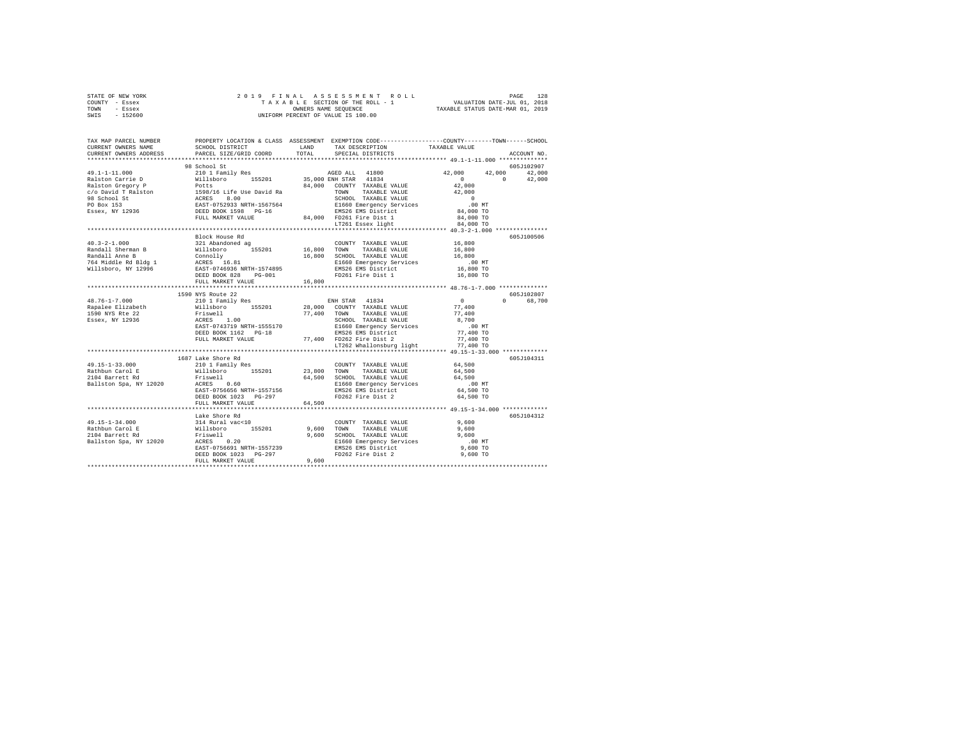| STATE OF NEW YORK | 2019 FINAL ASSESSMENT ROLL         | 128<br>PAGE                      |
|-------------------|------------------------------------|----------------------------------|
| COUNTY - Essex    | TAXABLE SECTION OF THE ROLL - 1    | VALUATION DATE-JUL 01, 2018      |
| TOWN<br>- Essex   | OWNERS NAME SEOUENCE               | TAXABLE STATUS DATE-MAR 01, 2019 |
| $-152600$<br>SWIS | UNIFORM PERCENT OF VALUE IS 100.00 |                                  |

| TAX MAP PARCEL NUMBER<br>CURRENT OWNERS NAME<br>CURRENT OWNERS ADDRESS               | SCHOOL DISTRICT<br>PARCEL SIZE/GRID COORD                                                                                                 | LAND<br>TOTAL | PROPERTY LOCATION & CLASS ASSESSMENT EXEMPTION CODE----------------COUNTY-------TOWN------SCHOOL<br>TAX DESCRIPTION<br>SPECIAL DISTRICTS                                                                                                                                                               | TAXABLE VALUE                                                                | ACCOUNT NO.            |
|--------------------------------------------------------------------------------------|-------------------------------------------------------------------------------------------------------------------------------------------|---------------|--------------------------------------------------------------------------------------------------------------------------------------------------------------------------------------------------------------------------------------------------------------------------------------------------------|------------------------------------------------------------------------------|------------------------|
| ***************************                                                          |                                                                                                                                           |               |                                                                                                                                                                                                                                                                                                        |                                                                              |                        |
|                                                                                      | 98 School St                                                                                                                              |               |                                                                                                                                                                                                                                                                                                        |                                                                              | 605J102907             |
|                                                                                      |                                                                                                                                           |               |                                                                                                                                                                                                                                                                                                        | 42,000<br>42,000<br>$\sim$ 0<br>$\sim$ 0<br>$42,000$<br>$42,000$<br>$\sim$ 0 | 42,000<br>42,000       |
|                                                                                      |                                                                                                                                           |               | TOWN TAXABLE VALUE<br>SCHOOL TAXABLE VALUE<br>SLEGO Emergency Services<br>BMS26 EMS District<br>84,000 FD261 Fire Dist 1<br>LT261 Essex light                                                                                                                                                          | .00 MT<br>84,000 TO<br>84,000 TO<br>84,000 TO                                |                        |
|                                                                                      |                                                                                                                                           |               |                                                                                                                                                                                                                                                                                                        |                                                                              |                        |
|                                                                                      | Block House Rd<br>DEED BOOK 828<br>$PG-001$<br>FULL MARKET VALUE                                                                          | 16,800        | COUNTY TAXABLE VALUE<br>TAXABLE VALUE<br>16,800 TOWN TAARDLE VILLE 16,800 SCHOOL TAXABLE VALUE 16,800 SCHOOL TAXABLE VELTING SECTION TO A MARKET ON A MARKET OF THE SECTION TO A MARKET A MARKET OF THE SECTION OF THE SECTION OF THE SECTION OF THE SECTION OF THE SEC<br>FD261 Fire Dist 1 16,800 TO | 16,800<br>16,800                                                             | 605J100506             |
|                                                                                      |                                                                                                                                           |               |                                                                                                                                                                                                                                                                                                        |                                                                              |                        |
| $48.76 - 1 - 7.000$                                                                  | 1590 NYS Route 22<br>210 1 Family Res<br>DEED BOOK 1162 PG-18<br>FULL MARKET VALUE                                                        |               | ENH STAR 41834<br>SCHOOL TAXABLE VALUE<br>E1660 Emergency Services<br>EMS26 EMS District<br>77,400 FD262 Fire Dist 2                                                                                                                                                                                   | $\sim$ 0<br>77,400<br>77.400<br>8,700<br>.00 MT<br>77,400 TO<br>77,400 TO    | 605J102807<br>0 68,700 |
|                                                                                      |                                                                                                                                           |               | LT262 Whallonsburg light                                                                                                                                                                                                                                                                               | 77,400 TO                                                                    |                        |
|                                                                                      | 1687 Lake Shore Rd                                                                                                                        |               |                                                                                                                                                                                                                                                                                                        | **************** 49.15-1-33.000 ************                                 | 605J104311             |
| $49.15 - 1 - 33.000$<br>Rathbun Carol E<br>2104 Barrett Rd<br>Ballston Spa, NY 12020 | 210 1 Family Res<br>willsboro 155201<br>Friswell<br>ACRES 0.60<br>EAST-0756656 NRTH-1557156<br>DEED BOOK 1023 PG-297<br>FULL MARKET VALUE | 64,500        | COUNTY TAXABLE VALUE<br>23,800 TOWN TAXABLE VALUE<br>$64,500$ SCHOOL TAXABLE VALUE<br>E1660 Emergency Services<br>EMS26 EMS District<br>FD262 Fire Dist 2                                                                                                                                              | 64,500<br>64,500<br>64,500<br>.00 MT<br>64,500 TO<br>64,500 TO               |                        |
|                                                                                      |                                                                                                                                           |               |                                                                                                                                                                                                                                                                                                        |                                                                              |                        |
| 49.15-1-34.000<br>Rathbun Carol E<br>2104 Barrett Rd<br>Ballston Spa, NY 12020       | Lake Shore Rd<br>Friswell 9,600<br>ACRES 0.20<br>EAST-0756691 NRTH-1557239<br>DEED BOOK 1023 PG-297<br>FULL MARKET VALUE                  | 9,600         | COUNTY TAXABLE VALUE<br>TAXABLE VALUE<br>9,600 TOWN TAXABLE VALUE 9 9,600<br>2,600 SCHOOL TAXABLE VALUE 9,600<br>21660 Emergency Services 9,600 TO<br>2000 ELGO Emergency Services 9,600 TO<br>2000 TO PD262 Fire Dist 2                                                                               | 9.600<br>9,600                                                               | 605J104312             |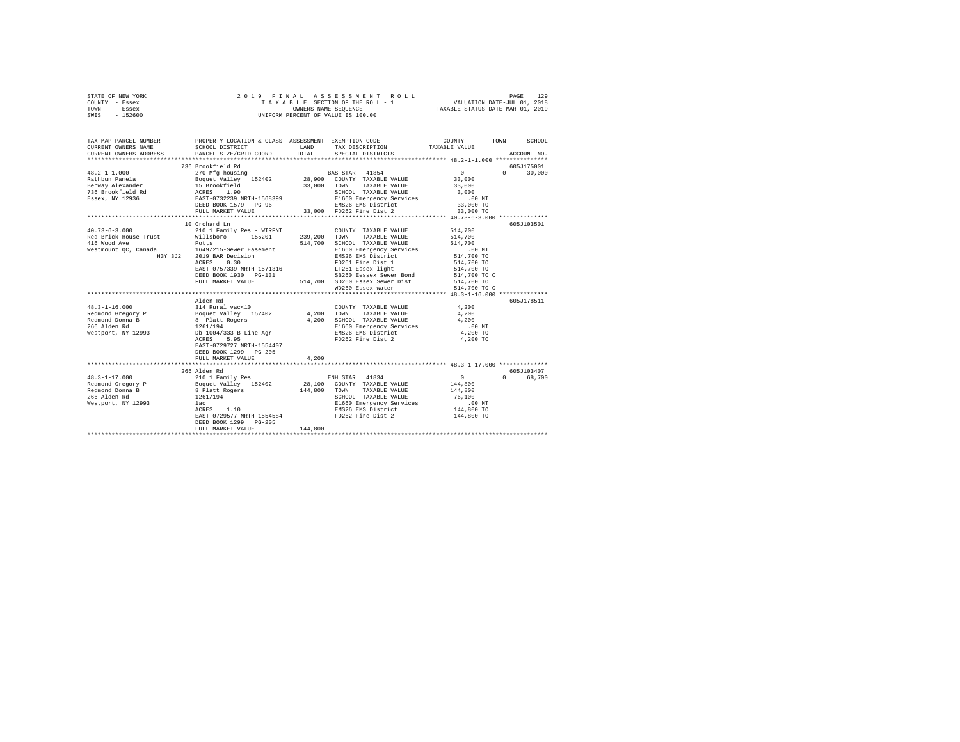| STATE OF NEW YORK | 2019 FINAL ASSESSMENT ROLL         | 129<br>PAGE                      |
|-------------------|------------------------------------|----------------------------------|
| COUNTY - Essex    | TAXABLE SECTION OF THE ROLL - 1    | VALUATION DATE-JUL 01, 2018      |
| TOWN<br>- Essex   | OWNERS NAME SEOUENCE               | TAXABLE STATUS DATE-MAR 01, 2019 |
| $-152600$<br>SWIS | UNIFORM PERCENT OF VALUE IS 100.00 |                                  |

| TAX MAP PARCEL NUMBER<br>CURRENT OWNERS NAME<br>CURRENT OWNERS ADDRESS PARCEL SIZE/GRID COORD        | SCHOOL DISTRICT                                                               | TOTAL   | PROPERTY LOCATION & CLASS ASSESSMENT EXEMPTION CODE-----------------COUNTY-------TOWN------SCHOOL<br>LAND TAX DESCRIPTION TAXABLE VALUE<br>SPECIAL DISTRICTS |                      | ACCOUNT NO.                 |
|------------------------------------------------------------------------------------------------------|-------------------------------------------------------------------------------|---------|--------------------------------------------------------------------------------------------------------------------------------------------------------------|----------------------|-----------------------------|
|                                                                                                      |                                                                               |         |                                                                                                                                                              |                      |                             |
|                                                                                                      | 736 Brookfield Rd                                                             |         |                                                                                                                                                              |                      | 605J175001<br>$0 \t 30,000$ |
|                                                                                                      |                                                                               |         |                                                                                                                                                              |                      |                             |
|                                                                                                      |                                                                               |         |                                                                                                                                                              |                      |                             |
|                                                                                                      |                                                                               |         |                                                                                                                                                              |                      |                             |
|                                                                                                      |                                                                               |         |                                                                                                                                                              |                      |                             |
|                                                                                                      |                                                                               |         |                                                                                                                                                              |                      |                             |
|                                                                                                      |                                                                               |         |                                                                                                                                                              |                      |                             |
|                                                                                                      |                                                                               |         |                                                                                                                                                              |                      |                             |
|                                                                                                      | 10 Orchard Ln                                                                 |         |                                                                                                                                                              |                      | 605J103501                  |
| $40.73 - 6 - 3.000$                                                                                  | 210 1 Family Res - WTRFNT                                                     |         | COUNTY TAXABLE VALUE 514,700                                                                                                                                 |                      |                             |
|                                                                                                      |                                                                               |         |                                                                                                                                                              | 514,700              |                             |
| Red Brick House Trust (Willsboro 155201 239,200 TOWN TAXABLE VALUE (North Market Potts (North State) |                                                                               |         | SCHOOL TAXABLE VALUE                                                                                                                                         | 514,700              |                             |
| Westmount QC, Canada 1649/215-Sewer Easement                                                         |                                                                               |         |                                                                                                                                                              |                      |                             |
|                                                                                                      |                                                                               |         | E1660 Emergency Services<br>EMS26 EMS District                                                                                                               | 00 MT.<br>514,700 TO |                             |
|                                                                                                      | H3Y 3J2 2019 BAR Decision<br>ACRES 0.30                                       |         | FD261 Fire Dist 1                                                                                                                                            | 514,700 TO           |                             |
|                                                                                                      | EAST-0757339 NRTH-1571316                                                     |         |                                                                                                                                                              | 514,700 TO           |                             |
|                                                                                                      | DEED BOOK 1930 PG-131                                                         |         | SB260 Eessex Sewer Bond 514,700 TO C                                                                                                                         |                      |                             |
|                                                                                                      | FULL MARKET VALUE                                                             |         | 514,700 SD260 Essex Sewer Dist 514,700 TO<br>WD260 Essex water 514,700 TO                                                                                    |                      |                             |
|                                                                                                      |                                                                               |         | WD260 Essex water                                                                                                                                            | 514,700 TO C         |                             |
|                                                                                                      |                                                                               |         |                                                                                                                                                              |                      |                             |
|                                                                                                      | Alden Rd                                                                      |         |                                                                                                                                                              |                      | 605J178511                  |
|                                                                                                      |                                                                               |         | COUNTY TAXABLE VALUE 4,200                                                                                                                                   |                      |                             |
|                                                                                                      |                                                                               |         | COUNTY TAXABLE VALUE<br>4,200 TOWN TAXABLE VALUE                                                                                                             | 4,200                |                             |
|                                                                                                      |                                                                               |         | 4,200 SCHOOL TAXABLE VALUE 4,200                                                                                                                             |                      |                             |
|                                                                                                      |                                                                               |         | 1261/194<br>D 1004/333 B Line Agr (B 1660 Emergency Services<br>D 1004/333 B Line Agr (B 18826 EMS District 2<br>ACRES 5.95                                  | $.00$ MT             |                             |
| 266 Alden Rd<br>Westport, NY 12993                                                                   |                                                                               |         |                                                                                                                                                              | $4,200$ TO           |                             |
|                                                                                                      |                                                                               |         | FD262 Fire Dist 2                                                                                                                                            | 4,200 TO             |                             |
|                                                                                                      | EAST-0729727 NRTH-1554407                                                     |         |                                                                                                                                                              |                      |                             |
|                                                                                                      | DEED BOOK 1299 PG-205                                                         |         |                                                                                                                                                              |                      |                             |
|                                                                                                      | FULL MARKET VALUE                                                             | 4,200   |                                                                                                                                                              |                      |                             |
|                                                                                                      |                                                                               |         |                                                                                                                                                              |                      |                             |
|                                                                                                      | 266 Alden Rd                                                                  |         |                                                                                                                                                              |                      | 605.7103407                 |
|                                                                                                      |                                                                               |         |                                                                                                                                                              |                      | 0 68,700                    |
|                                                                                                      |                                                                               |         |                                                                                                                                                              |                      |                             |
|                                                                                                      |                                                                               |         |                                                                                                                                                              |                      |                             |
|                                                                                                      |                                                                               |         |                                                                                                                                                              |                      |                             |
| Westport, NY 12993                                                                                   | lac                                                                           |         |                                                                                                                                                              |                      |                             |
|                                                                                                      | $\begin{array}{lll} 1261/194\\ \text{lac} \\ \text{ACRES} & 1.10 \end{array}$ |         |                                                                                                                                                              |                      |                             |
|                                                                                                      | EAST-0729577 NRTH-1554584                                                     |         | FD262 Fire Dist 2 144,800 TO                                                                                                                                 |                      |                             |
|                                                                                                      | DEED BOOK 1299 PG-205                                                         |         |                                                                                                                                                              |                      |                             |
|                                                                                                      | FULL MARKET VALUE                                                             | 144,800 |                                                                                                                                                              |                      |                             |
|                                                                                                      |                                                                               |         |                                                                                                                                                              |                      |                             |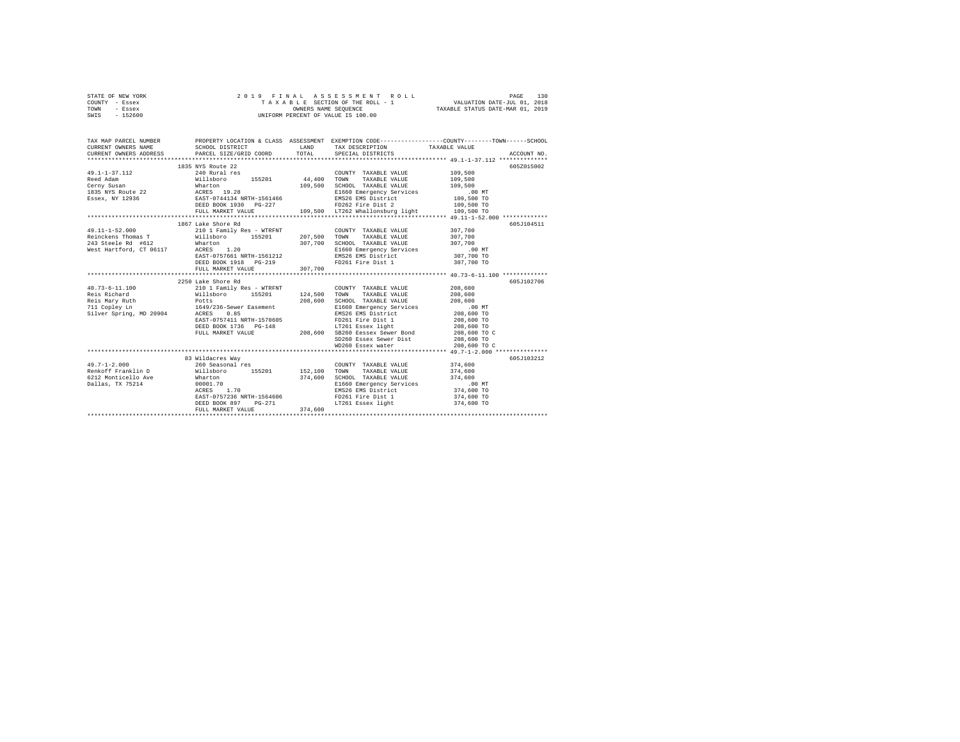|      | STATE OF NEW YORK |  | 2019 FINAL ASSESSMENT ROLL         | 130<br>PAGE                      |  |
|------|-------------------|--|------------------------------------|----------------------------------|--|
|      | COUNTY - Essex    |  | TAXABLE SECTION OF THE ROLL - 1    | VALUATION DATE-JUL 01, 2018      |  |
| TOWN | - Essex           |  | OWNERS NAME SEOUENCE               | TAXABLE STATUS DATE-MAR 01, 2019 |  |
| SWIS | - 152600          |  | UNIFORM PERCENT OF VALUE IS 100.00 |                                  |  |

| TAX MAP PARCEL NUMBER         |                                                                                                                                                                                                                                                                                                                                                                                                |         |                                                                                                                                                                                            | PROPERTY LOCATION & CLASS ASSESSMENT EXEMPTION CODE---------------COUNTY-------TOWN------SCHOOL<br>$\begin{tabular}{lllllllll} \texttt{CURERENT} & & & & & & \texttt{TAXABLE} & \texttt{WALUE} & \\ \texttt{CURERENT} & & & & & \texttt{SCEOCEID} & \texttt{PACECIE} & \texttt{FOLE} & \texttt{PACECUE} & \texttt{PACECUE} & \texttt{PACECUE} & \texttt{ACCOUTN} \\ \texttt{CURERENT} & & & & & \texttt{PACECIE} & \texttt{SPECIE} & \texttt{SPECIE} & \texttt{SPECIE} & \texttt{PACECUE} & \texttt{ACCOUTN} \\ & & & & \texttt{PACECIE} & \$ |
|-------------------------------|------------------------------------------------------------------------------------------------------------------------------------------------------------------------------------------------------------------------------------------------------------------------------------------------------------------------------------------------------------------------------------------------|---------|--------------------------------------------------------------------------------------------------------------------------------------------------------------------------------------------|-----------------------------------------------------------------------------------------------------------------------------------------------------------------------------------------------------------------------------------------------------------------------------------------------------------------------------------------------------------------------------------------------------------------------------------------------------------------------------------------------------------------------------------------------|
|                               | 1835 NYS Route 22                                                                                                                                                                                                                                                                                                                                                                              |         | COUNTY TAXABLE VALUE<br>TAXABLE VALUE<br>109,500 SCHOOL TAXABLE VALUE 109,500 NO NT<br>E1660 Emergency Services 00 NT<br>EMS26 EMS District 109,500 TO<br>FD262 Fire Dist 2 109,500 TO     | 605Z015002<br>109,500<br>109,500<br>109,500 TO                                                                                                                                                                                                                                                                                                                                                                                                                                                                                                |
|                               | 1867 Lake Shore Rd<br>$\begin{array}{ccccccccc} 49.11-1-52.000 & & & & 210 & 1 & \texttt{Family Res} & - & \texttt{WTRFNT} & & & & \texttt{COUNTY} & \texttt{TAXABLE} & \texttt{VALUE} & & & 307,700 \\ \texttt{Reinckens Thomas T} & & & & & & & \texttt{Willsboro} & & 155201 & & 207,500 & \texttt{TOWN} & \texttt{TAXABLE VALUE} & & & 307,700 \\ \end{array}$<br>DEED BOOK 1918    PG-219 |         | FD261 Fire Dist 1 307,700 TO                                                                                                                                                               | 605J104511                                                                                                                                                                                                                                                                                                                                                                                                                                                                                                                                    |
|                               | 2250 Lake Shore Rd                                                                                                                                                                                                                                                                                                                                                                             |         | COUNTY TAXABLE VALUE<br>SCHOOL TAXABLE VALUE 208,600<br>E1660 Emergency Services 6 100 MT<br>EMS26 EMS District 208,600 TO<br>FD261 Fire Dist 1 208,600 TO<br>LT261 Essex light 208,600 TO | 605J102706<br>208,600<br>208,600<br>208,600 TO C<br>208,600 TO<br>208,600 TO C                                                                                                                                                                                                                                                                                                                                                                                                                                                                |
| 49.7-1-2.000 260 Seasonal res | 83 Wildacres Way<br>EAST-0757236 NRTH-1564606<br>DEED BOOK 897 PG-271<br>FULL MARKET VALUE                                                                                                                                                                                                                                                                                                     | 374,600 | COUNTY TAXABLE VALUE 374,600<br>FD261 Fire Dist 1<br>LT261 Essex light                                                                                                                     | 605J103212<br>374,600 TO<br>374,600 TO                                                                                                                                                                                                                                                                                                                                                                                                                                                                                                        |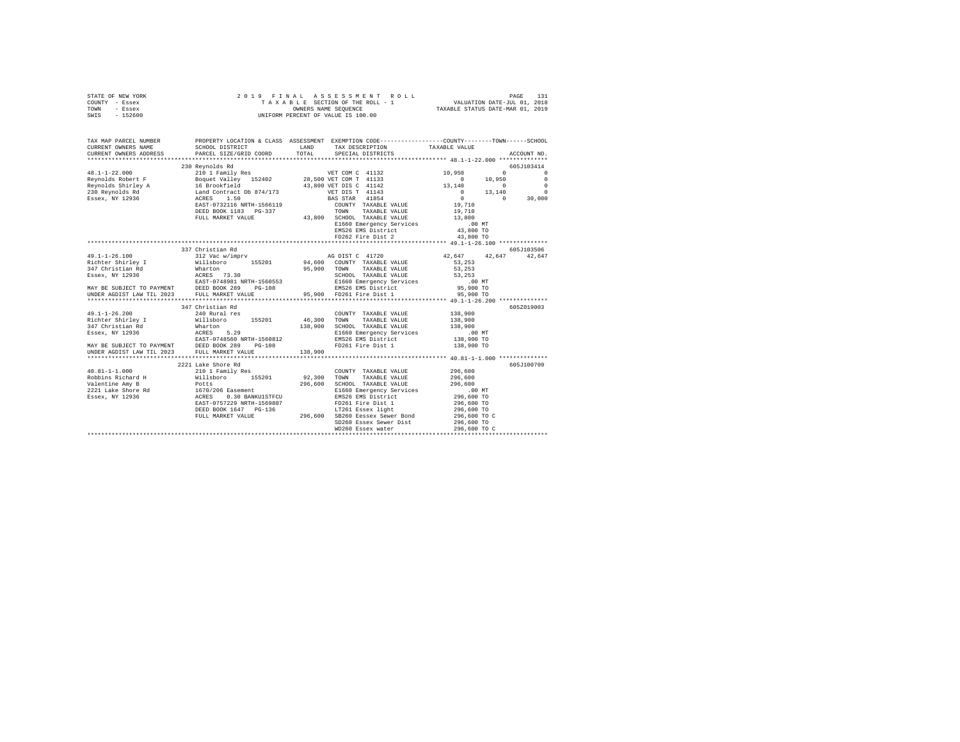|      | STATE OF NEW YORK |  | 2019 FINAL ASSESSMENT ROLL         | PAGE                             | 131 |
|------|-------------------|--|------------------------------------|----------------------------------|-----|
|      | COUNTY - Essex    |  | TAXABLE SECTION OF THE ROLL - 1    | VALUATION DATE-JUL 01, 2018      |     |
| TOWN | - Essex           |  | OWNERS NAME SEOUENCE               | TAXABLE STATUS DATE-MAR 01, 2019 |     |
| SWIS | - 152600          |  | UNIFORM PERCENT OF VALUE IS 100.00 |                                  |     |

| TAX MAP PARCEL NUMBER<br>CURRENT OWNERS NAME  | PROPERTY LOCATION & CLASS ASSESSMENT EXEMPTION CODE---------------COUNTY-------TOWN------SCHOOL<br>SCHOOL DISTRICT                                                                                                                                                                                                                                                                      | LAND TAX DESCRIPTION                                       | TAXABLE VALUE        |             |
|-----------------------------------------------|-----------------------------------------------------------------------------------------------------------------------------------------------------------------------------------------------------------------------------------------------------------------------------------------------------------------------------------------------------------------------------------------|------------------------------------------------------------|----------------------|-------------|
| CURRENT OWNERS ADDRESS PARCEL SIZE/GRID COORD |                                                                                                                                                                                                                                                                                                                                                                                         | TOTAL SPECIAL DISTRICTS                                    |                      | ACCOUNT NO. |
|                                               | 230 Reynolds Rd                                                                                                                                                                                                                                                                                                                                                                         |                                                            |                      | 605J103414  |
|                                               |                                                                                                                                                                                                                                                                                                                                                                                         |                                                            |                      |             |
|                                               |                                                                                                                                                                                                                                                                                                                                                                                         |                                                            |                      |             |
|                                               |                                                                                                                                                                                                                                                                                                                                                                                         |                                                            |                      |             |
|                                               |                                                                                                                                                                                                                                                                                                                                                                                         |                                                            |                      |             |
|                                               |                                                                                                                                                                                                                                                                                                                                                                                         |                                                            |                      |             |
|                                               |                                                                                                                                                                                                                                                                                                                                                                                         |                                                            |                      |             |
|                                               |                                                                                                                                                                                                                                                                                                                                                                                         |                                                            |                      |             |
|                                               |                                                                                                                                                                                                                                                                                                                                                                                         |                                                            |                      |             |
|                                               | 2006 1103 2006 2006 2007 2008 2009 2009 2016 2017 2018 2019 2016 2017 2018 2019 2016 2017 2018 2019 2017 2018 2019 2018 2018 2019 2019 2018 2018 2019 2019 2018 2019 2019 2018 2019 2019 2019 2018 2019 2019 2019 2019 2019 20                                                                                                                                                          |                                                            |                      |             |
|                                               |                                                                                                                                                                                                                                                                                                                                                                                         |                                                            |                      |             |
|                                               |                                                                                                                                                                                                                                                                                                                                                                                         |                                                            |                      |             |
|                                               |                                                                                                                                                                                                                                                                                                                                                                                         |                                                            |                      |             |
|                                               | 337 Christian Rd                                                                                                                                                                                                                                                                                                                                                                        |                                                            |                      | 605J103506  |
|                                               |                                                                                                                                                                                                                                                                                                                                                                                         |                                                            | 42,647 42,647 42,647 |             |
|                                               |                                                                                                                                                                                                                                                                                                                                                                                         |                                                            |                      |             |
|                                               |                                                                                                                                                                                                                                                                                                                                                                                         |                                                            |                      |             |
|                                               |                                                                                                                                                                                                                                                                                                                                                                                         |                                                            |                      |             |
|                                               |                                                                                                                                                                                                                                                                                                                                                                                         |                                                            |                      |             |
|                                               |                                                                                                                                                                                                                                                                                                                                                                                         |                                                            |                      |             |
|                                               |                                                                                                                                                                                                                                                                                                                                                                                         |                                                            |                      |             |
|                                               |                                                                                                                                                                                                                                                                                                                                                                                         |                                                            |                      |             |
|                                               | 347 Christian Rd                                                                                                                                                                                                                                                                                                                                                                        |                                                            |                      | 605Z019003  |
|                                               |                                                                                                                                                                                                                                                                                                                                                                                         |                                                            |                      |             |
|                                               |                                                                                                                                                                                                                                                                                                                                                                                         |                                                            |                      |             |
|                                               |                                                                                                                                                                                                                                                                                                                                                                                         |                                                            |                      |             |
|                                               |                                                                                                                                                                                                                                                                                                                                                                                         |                                                            |                      |             |
|                                               |                                                                                                                                                                                                                                                                                                                                                                                         |                                                            |                      |             |
|                                               |                                                                                                                                                                                                                                                                                                                                                                                         |                                                            |                      |             |
|                                               |                                                                                                                                                                                                                                                                                                                                                                                         |                                                            |                      |             |
|                                               |                                                                                                                                                                                                                                                                                                                                                                                         |                                                            |                      |             |
|                                               | 2221 Lake Shore Rd                                                                                                                                                                                                                                                                                                                                                                      |                                                            |                      | 605J100709  |
|                                               |                                                                                                                                                                                                                                                                                                                                                                                         |                                                            |                      |             |
|                                               |                                                                                                                                                                                                                                                                                                                                                                                         | COUNTY TAXABLE VALUE 296,600<br>TOWN TAXABLE VALUE 296,600 |                      |             |
|                                               |                                                                                                                                                                                                                                                                                                                                                                                         |                                                            |                      |             |
|                                               |                                                                                                                                                                                                                                                                                                                                                                                         |                                                            |                      |             |
|                                               |                                                                                                                                                                                                                                                                                                                                                                                         |                                                            |                      |             |
|                                               |                                                                                                                                                                                                                                                                                                                                                                                         |                                                            |                      |             |
|                                               |                                                                                                                                                                                                                                                                                                                                                                                         |                                                            |                      |             |
|                                               |                                                                                                                                                                                                                                                                                                                                                                                         |                                                            |                      |             |
|                                               |                                                                                                                                                                                                                                                                                                                                                                                         |                                                            |                      |             |
|                                               |                                                                                                                                                                                                                                                                                                                                                                                         |                                                            |                      |             |
|                                               | $\begin{tabular}{l c c c c} \multicolumn{1}{c}{\textbf{40.81--1-1.000}} & \multicolumn{1}{c}{2211} & \textbf{Take Shora H} & \multicolumn{1}{c}{2101} & \textbf{Panily Res} & \multicolumn{1}{c}{\textbf{C}\textbf{OMNTY}} & \textbf{TAXABLE VALUE} & \textbf{296,600} & \textbf{605J100709} & \textbf{605J100709} & \textbf{605J100709} & \textbf{605J100709} & \textbf{605J100709} &$ |                                                            |                      |             |
|                                               |                                                                                                                                                                                                                                                                                                                                                                                         |                                                            |                      |             |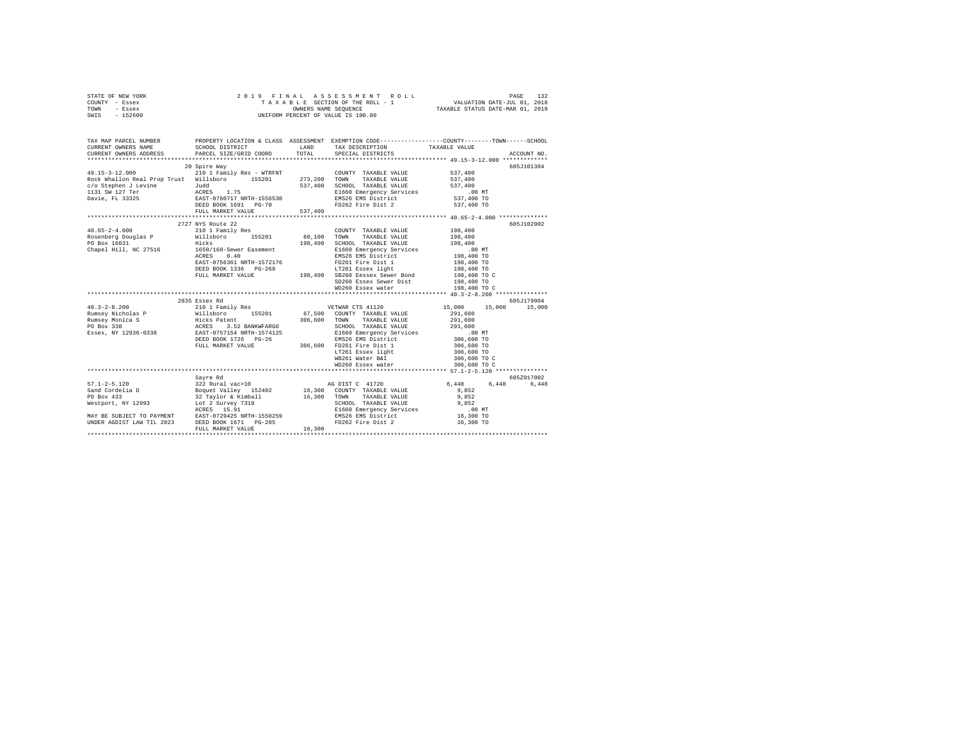| STATE OF NEW YORK | 2019 FINAL ASSESSMENT ROLL         | 132<br>PAGE                      |
|-------------------|------------------------------------|----------------------------------|
| COUNTY - Essex    | TAXABLE SECTION OF THE ROLL - 1    | VALUATION DATE-JUL 01, 2018      |
| TOWN<br>- Essex   | OWNERS NAME SEOUENCE               | TAXABLE STATUS DATE-MAR 01, 2019 |
| $-152600$<br>SWIS | UNIFORM PERCENT OF VALUE IS 100.00 |                                  |

| TAX MAP PARCEL NUMBER<br>CURRENT OWNERS NAME<br>CURRENT OWNERS ADDRESS                                                                                                                                                                                                                                                                                                                                  | PARCEL SIZE/GRID COORD | TOTAL | SPECIAL DISTRICTS                                                                                                                                                                                          | TAXABLE VALUE                | ACCOUNT NO. |
|---------------------------------------------------------------------------------------------------------------------------------------------------------------------------------------------------------------------------------------------------------------------------------------------------------------------------------------------------------------------------------------------------------|------------------------|-------|------------------------------------------------------------------------------------------------------------------------------------------------------------------------------------------------------------|------------------------------|-------------|
|                                                                                                                                                                                                                                                                                                                                                                                                         |                        |       |                                                                                                                                                                                                            |                              |             |
|                                                                                                                                                                                                                                                                                                                                                                                                         | 20 Spire Way           |       |                                                                                                                                                                                                            |                              | 605J101304  |
| 49.15-3-12.000<br>Rock Whallon Real Prop Trust Willsboro 155201 273,200 TOWN TAXABLE VALUE                                                                                                                                                                                                                                                                                                              |                        |       | $\begin{tabular}{llllllll} \multicolumn{2}{c}{\textbf{COUNTY}} & \textbf{TAXABLE VALUE} & \textbf{537,400} \\ \multicolumn{2}{c}{\textbf{TOWN}} & \textbf{TAXABLE VALUE} & \textbf{537,400} \end{tabular}$ |                              |             |
|                                                                                                                                                                                                                                                                                                                                                                                                         |                        |       |                                                                                                                                                                                                            |                              |             |
|                                                                                                                                                                                                                                                                                                                                                                                                         |                        |       |                                                                                                                                                                                                            |                              |             |
|                                                                                                                                                                                                                                                                                                                                                                                                         |                        |       |                                                                                                                                                                                                            |                              |             |
|                                                                                                                                                                                                                                                                                                                                                                                                         |                        |       |                                                                                                                                                                                                            |                              |             |
|                                                                                                                                                                                                                                                                                                                                                                                                         |                        |       |                                                                                                                                                                                                            |                              |             |
|                                                                                                                                                                                                                                                                                                                                                                                                         |                        |       |                                                                                                                                                                                                            |                              |             |
|                                                                                                                                                                                                                                                                                                                                                                                                         |                        |       |                                                                                                                                                                                                            |                              |             |
|                                                                                                                                                                                                                                                                                                                                                                                                         | 2727 NYS Route 22      |       |                                                                                                                                                                                                            |                              | 605J102902  |
|                                                                                                                                                                                                                                                                                                                                                                                                         |                        |       | COUNTY TAXABLE VALUE 198,400                                                                                                                                                                               |                              |             |
|                                                                                                                                                                                                                                                                                                                                                                                                         |                        |       |                                                                                                                                                                                                            | 198,400                      |             |
|                                                                                                                                                                                                                                                                                                                                                                                                         |                        |       | SCHOOL TAXABLE VALUE                                                                                                                                                                                       | 198,400                      |             |
| Chapel Hill, NC 27516 1650/160-Sewer Easement                                                                                                                                                                                                                                                                                                                                                           |                        |       | E1660 Emergency Services .00 MT<br>EMS26 EMS District 198,400 TO                                                                                                                                           |                              |             |
|                                                                                                                                                                                                                                                                                                                                                                                                         | ACRES 0.40             |       |                                                                                                                                                                                                            |                              |             |
|                                                                                                                                                                                                                                                                                                                                                                                                         |                        |       |                                                                                                                                                                                                            |                              |             |
|                                                                                                                                                                                                                                                                                                                                                                                                         |                        |       |                                                                                                                                                                                                            |                              |             |
|                                                                                                                                                                                                                                                                                                                                                                                                         |                        |       |                                                                                                                                                                                                            |                              |             |
|                                                                                                                                                                                                                                                                                                                                                                                                         |                        |       | SD<br>SD<br>SD<br>260 Essex water<br>198,400 TO C<br>198,400 TO C                                                                                                                                          |                              |             |
|                                                                                                                                                                                                                                                                                                                                                                                                         |                        |       |                                                                                                                                                                                                            |                              |             |
|                                                                                                                                                                                                                                                                                                                                                                                                         |                        |       |                                                                                                                                                                                                            |                              |             |
|                                                                                                                                                                                                                                                                                                                                                                                                         | 2835 Essex Rd          |       |                                                                                                                                                                                                            |                              | 605J179004  |
|                                                                                                                                                                                                                                                                                                                                                                                                         |                        |       |                                                                                                                                                                                                            |                              |             |
|                                                                                                                                                                                                                                                                                                                                                                                                         |                        |       |                                                                                                                                                                                                            |                              |             |
|                                                                                                                                                                                                                                                                                                                                                                                                         |                        |       |                                                                                                                                                                                                            |                              |             |
|                                                                                                                                                                                                                                                                                                                                                                                                         |                        |       |                                                                                                                                                                                                            |                              |             |
|                                                                                                                                                                                                                                                                                                                                                                                                         |                        |       |                                                                                                                                                                                                            |                              |             |
|                                                                                                                                                                                                                                                                                                                                                                                                         |                        |       |                                                                                                                                                                                                            |                              |             |
|                                                                                                                                                                                                                                                                                                                                                                                                         |                        |       |                                                                                                                                                                                                            |                              |             |
| $\begin{tabular}{l c c c c c} \multicolumn{3}{c c c c} \multicolumn{3}{c c c} \multicolumn{3}{c c c} \multicolumn{3}{c c c} \multicolumn{3}{c c c} \multicolumn{3}{c c c} \multicolumn{3}{c c c} \multicolumn{3}{c c c} \multicolumn{3}{c c c} \multicolumn{3}{c c c} \multicolumn{3}{c c c} \multicolumn{3}{c c c} \multicolumn{3}{c c c} \multicolumn{3}{c c c} \multicolumn{3}{c c c} \multicolumn{$ |                        |       | LT261 Essex light                                                                                                                                                                                          | 306,600 TO                   |             |
|                                                                                                                                                                                                                                                                                                                                                                                                         |                        |       |                                                                                                                                                                                                            |                              |             |
|                                                                                                                                                                                                                                                                                                                                                                                                         |                        |       | WB261 Water B&I<br>WD260 Essex water                                                                                                                                                                       | 306,600 TO C<br>306,600 TO C |             |
|                                                                                                                                                                                                                                                                                                                                                                                                         |                        |       |                                                                                                                                                                                                            |                              |             |
|                                                                                                                                                                                                                                                                                                                                                                                                         | Sayre Rd               |       |                                                                                                                                                                                                            |                              | 605Z017002  |
|                                                                                                                                                                                                                                                                                                                                                                                                         |                        |       |                                                                                                                                                                                                            | 6,448 6,448                  | 6,448       |
|                                                                                                                                                                                                                                                                                                                                                                                                         |                        |       |                                                                                                                                                                                                            |                              |             |
|                                                                                                                                                                                                                                                                                                                                                                                                         |                        |       |                                                                                                                                                                                                            |                              |             |
|                                                                                                                                                                                                                                                                                                                                                                                                         |                        |       |                                                                                                                                                                                                            |                              |             |
|                                                                                                                                                                                                                                                                                                                                                                                                         |                        |       |                                                                                                                                                                                                            |                              |             |
|                                                                                                                                                                                                                                                                                                                                                                                                         |                        |       |                                                                                                                                                                                                            |                              |             |
|                                                                                                                                                                                                                                                                                                                                                                                                         |                        |       |                                                                                                                                                                                                            |                              |             |
|                                                                                                                                                                                                                                                                                                                                                                                                         |                        |       |                                                                                                                                                                                                            |                              |             |
|                                                                                                                                                                                                                                                                                                                                                                                                         |                        |       |                                                                                                                                                                                                            |                              |             |
|                                                                                                                                                                                                                                                                                                                                                                                                         |                        |       |                                                                                                                                                                                                            |                              |             |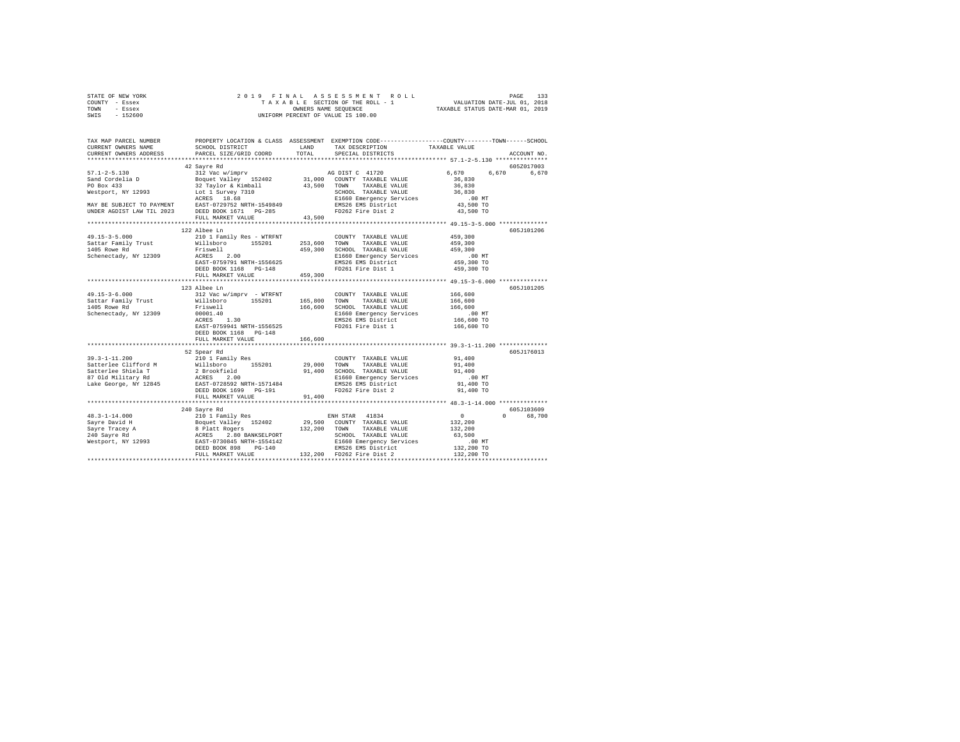|                | STATE OF NEW YORK |  | 2019 FINAL ASSESSMENT ROLL         | PAGE                             | 133 |
|----------------|-------------------|--|------------------------------------|----------------------------------|-----|
| COUNTY - Essex |                   |  | TAXABLE SECTION OF THE ROLL - 1    | VALUATION DATE-JUL 01, 2018      |     |
| TOWN           | - Essex           |  | OWNERS NAME SEOUENCE               | TAXABLE STATUS DATE-MAR 01, 2019 |     |
| SWIS           | $-152600$         |  | UNIFORM PERCENT OF VALUE IS 100.00 |                                  |     |

| TAX MAP PARCEL NUMBER<br>CURRENT OWNERS NAME                                        | SCHOOL DISTRICT                                                                                                                                                                                                                                                              |                    | PROPERTY LOCATION & CLASS ASSESSMENT EXEMPTION CODE---------------COUNTY-------TOWN------SCHOOL<br>LAND TAX DESCRIPTION                                                                                  | TAXABLE VALUE                                                       |                                  |
|-------------------------------------------------------------------------------------|------------------------------------------------------------------------------------------------------------------------------------------------------------------------------------------------------------------------------------------------------------------------------|--------------------|----------------------------------------------------------------------------------------------------------------------------------------------------------------------------------------------------------|---------------------------------------------------------------------|----------------------------------|
| CURRENT OWNERS ADDRESS                                                              | PARCEL SIZE/GRID COORD                                                                                                                                                                                                                                                       | TOTAL              | SPECIAL DISTRICTS                                                                                                                                                                                        |                                                                     | ACCOUNT NO.                      |
|                                                                                     | 42 Sayre Rd                                                                                                                                                                                                                                                                  |                    |                                                                                                                                                                                                          |                                                                     | 605Z017003                       |
|                                                                                     | FULL MARKET VALUE                                                                                                                                                                                                                                                            | $4\,3$ , $5\,0\,0$ |                                                                                                                                                                                                          | 6.670 6.670                                                         | 6.670                            |
|                                                                                     |                                                                                                                                                                                                                                                                              |                    |                                                                                                                                                                                                          |                                                                     |                                  |
| 49.15-3-5.000                                                                       | 122 Albee Ln<br>210 1 Family Res - WTRFNT<br>DEED BOOK 1168 PG-148<br>FULL MARKET VALUE                                                                                                                                                                                      | 459,300            | COUNTY TAXABLE VALUE<br>TAXABLE VALUE<br>459,300 SCHOOL TAXABLE VALUE<br>E1660 Emergency Services<br>EMS26 EMS District<br>ENS26 EMS District                                                            | 459,300<br>459,300<br>459,300<br>.00 MT<br>459,300 TO<br>459,300 TO | 605J101206                       |
|                                                                                     |                                                                                                                                                                                                                                                                              |                    |                                                                                                                                                                                                          |                                                                     |                                  |
| $49.15 - 3 - 6.000$<br>Sattar Family Trust<br>1405 Rowe Rd<br>Schenectady, NY 12309 | ACRES 1.30<br>EAST-0759941 NRTH-1556525<br>DEED BOOK 1168 PG-148<br>FULL MARKET VALUE                                                                                                                                                                                        | 166,600            | COUNTY TAXABLE VALUE 166,600<br>166,600 SCHOOL TAXABLE VALUE 166,600<br>E1660 Emergency Services 166,600 MT<br>EMS26 EMS District 166,600 TO<br>PD251 Emergency Services 166,600 TO<br>FD261 Fire Dist 1 | 166,600<br>166,600 TO                                               | 605J101205                       |
|                                                                                     |                                                                                                                                                                                                                                                                              |                    |                                                                                                                                                                                                          |                                                                     |                                  |
|                                                                                     | 52 Spear Rd<br>39.3-1-11.200<br>Satterlee Clifford M 2010 1 Family Res 29,000 TONY<br>Satterlee Shiela T 2 Brookfield 91,400 SCHOOL<br>87 Old Military Rd ACRES 2.00<br>1660 Em<br>Lake George, NY 12845 EAST-0728592 NRTH-1571484 EMB26 EMB26 EMB26 EM<br>FULL MARKET VALUE | 91,400             | COUNTY TAXABLE VALUE<br>TAXABLE VALUE 91,400<br>91,400 SCHOOL TAXABLE VALUE<br>E1660 Emergency Services<br>E1660 Emergency Jersey<br>EMS26 EMS District<br>FD262 Fire Dist 2                             | 91,400<br>91,400<br>$.00$ MT<br>91,400 TO<br>91,400 TO              | 605J176013                       |
|                                                                                     |                                                                                                                                                                                                                                                                              |                    |                                                                                                                                                                                                          |                                                                     |                                  |
|                                                                                     | 240 Sayre Rd                                                                                                                                                                                                                                                                 |                    |                                                                                                                                                                                                          |                                                                     | 605J103609<br>68,700<br>$\Omega$ |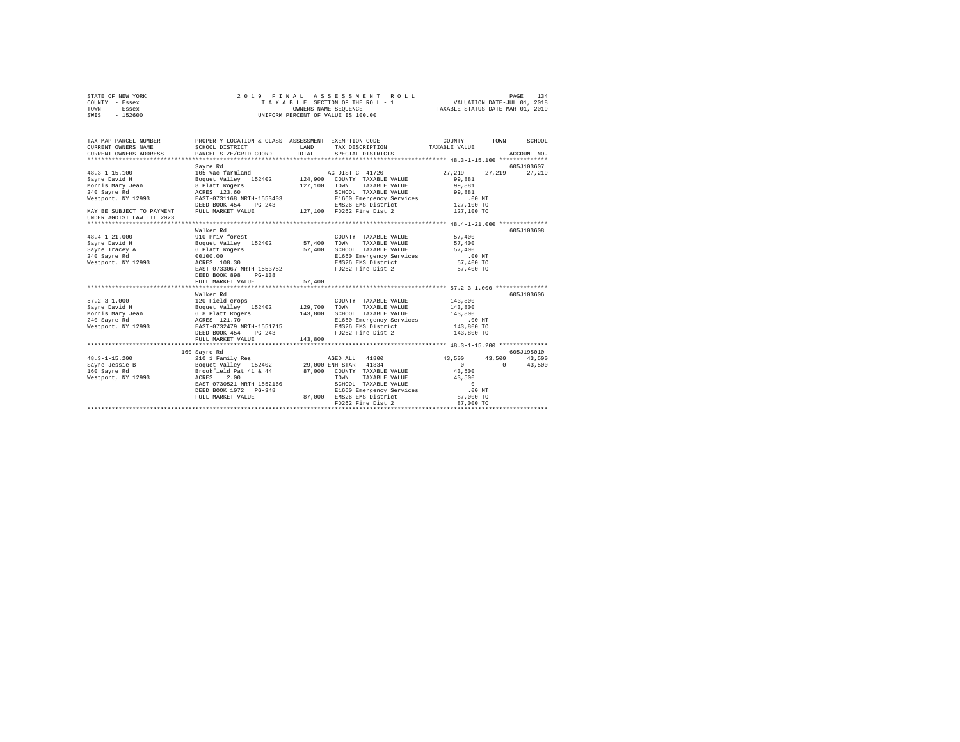|      | STATE OF NEW YORK |  |  | 2019 FINAL ASSESSMENT ROLL         |                                  | PAGE | 134 |
|------|-------------------|--|--|------------------------------------|----------------------------------|------|-----|
|      | COUNTY - Essex    |  |  | TAXABLE SECTION OF THE ROLL - 1    | VALUATION DATE-JUL 01, 2018      |      |     |
| TOWN | - Essex           |  |  | OWNERS NAME SEOUENCE               | TAXABLE STATUS DATE-MAR 01, 2019 |      |     |
| SWIS | $-152600$         |  |  | UNIFORM PERCENT OF VALUE IS 100.00 |                                  |      |     |

| TAX MAP PARCEL NUMBER<br>CURRENT OWNERS NAME<br>CURRENT OWNERS ADDRESS PARCEL SIZE/GRID COORD TOTAL | SCHOOL DISTRICT                                                 | LAND         | PROPERTY LOCATION & CLASS ASSESSMENT EXEMPTION CODE----------------COUNTY-------TOWN-----SCHOOL<br>TAX DESCRIPTION<br>SPECIAL DISTRICTS | TAXABLE VALUE        | ACCOUNT NO.          |
|-----------------------------------------------------------------------------------------------------|-----------------------------------------------------------------|--------------|-----------------------------------------------------------------------------------------------------------------------------------------|----------------------|----------------------|
|                                                                                                     |                                                                 |              |                                                                                                                                         |                      |                      |
| $48.3 - 1 - 15.100$                                                                                 | Sayre Rd                                                        |              |                                                                                                                                         | 27, 219 27, 219      | 605J103607<br>27.219 |
| Savre David H                                                                                       |                                                                 |              |                                                                                                                                         | 99,881               |                      |
| Morris Mary Jean 8 Platt Rogers                                                                     |                                                                 | 127,100 TOWN | TAXABLE VALUE 99,881                                                                                                                    |                      |                      |
| 240 Savre Rd                                                                                        |                                                                 |              |                                                                                                                                         |                      |                      |
| Westport, NY 12993                                                                                  | ACRES 123.60<br>EAST-0731168 NRTH-1553403                       |              |                                                                                                                                         |                      |                      |
|                                                                                                     | $PG-243$<br>DEED BOOK 454                                       |              | SCHOOL TAXABLE VALUE 99,881<br>E1660 Emergency Services .00 MT<br>EMS26 EMS District 127,100 TO                                         |                      |                      |
| MAY BE SUBJECT TO PAYMENT                                                                           |                                                                 |              | FULL MARKET VALUE 127,100 FD262 Fire Dist 2 127,100 TO                                                                                  |                      |                      |
| UNDER AGDIST LAW TIL 2023                                                                           |                                                                 |              |                                                                                                                                         |                      |                      |
|                                                                                                     |                                                                 |              |                                                                                                                                         |                      |                      |
|                                                                                                     | Walker Rd                                                       |              |                                                                                                                                         |                      | 605J103608           |
| $48.4 - 1 - 21.000$                                                                                 | 910 Priv forest                                                 |              | COUNTY TAXABLE VALUE                                                                                                                    | 57,400               |                      |
| Sayre David H                                                                                       |                                                                 |              | TAXABLE VALUE                                                                                                                           | $57\,, 400$          |                      |
| Sayre Tracey A                                                                                      | Boquet Valley 152402 57,400 TOWN<br>6 Platt Rogers 57,400 SCHOO |              | SCHOOL TAXABLE VALUE                                                                                                                    | 57,400               |                      |
| 240 Savre Rd                                                                                        | 00100.00                                                        |              | E1660 Emergency Services .00 MT                                                                                                         |                      |                      |
| Westport, NY 12993                                                                                  | ACRES 108.30                                                    |              | EMS26 EMS District                                                                                                                      | 57,400 TO            |                      |
|                                                                                                     | EAST-0733067 NRTH-1553752                                       |              | FD262 Fire Dist 2                                                                                                                       | 57,400 TO            |                      |
|                                                                                                     | DEED BOOK 898 PG-138                                            |              |                                                                                                                                         |                      |                      |
|                                                                                                     | FULL MARKET VALUE                                               | 57,400       |                                                                                                                                         |                      |                      |
|                                                                                                     |                                                                 |              |                                                                                                                                         |                      |                      |
|                                                                                                     | Walker Rd                                                       |              |                                                                                                                                         |                      | 605J103606           |
| $57.2 - 3 - 1.000$                                                                                  | 120 Field crops                                                 |              | COUNTY TAXABLE VALUE 143.800                                                                                                            |                      |                      |
| Sayre David H                                                                                       |                                                                 |              | Boquet Valley 152402 129,700 TOWN TAXABLE VALUE 143,800                                                                                 |                      |                      |
|                                                                                                     |                                                                 |              |                                                                                                                                         |                      |                      |
| Morris Mary Jean<br>240 Sayre Rd                                                                    | 6 8 Platt Rogers<br>ACRES 121.70                                |              | 143,800 SCHOOL TAXABLE VALUE 143,800 SCHOOL TAXABLE VALUE 1660 Energency Services 143,800 MT<br>200 E1660 Energency Services 143,800 TO |                      |                      |
| Westport, NY 12993 EAST-0732479 NRTH-1551715                                                        |                                                                 |              |                                                                                                                                         |                      |                      |
|                                                                                                     | $PG-243$<br>DEED BOOK 454                                       |              | FD262 Fire Dist 2 143,800 TO                                                                                                            |                      |                      |
|                                                                                                     | FULL MARKET VALUE                                               | 143,800      |                                                                                                                                         |                      |                      |
|                                                                                                     |                                                                 |              |                                                                                                                                         |                      |                      |
|                                                                                                     | 160 Sayre Rd                                                    |              |                                                                                                                                         |                      | 605J195010           |
|                                                                                                     |                                                                 |              |                                                                                                                                         | 43,500 43,500 43,500 |                      |
|                                                                                                     |                                                                 |              |                                                                                                                                         | $\sim$ 0             | $0 \t 43,500$        |
|                                                                                                     |                                                                 |              |                                                                                                                                         | 43,500               |                      |
| Westport, NY 12993                                                                                  | ACRES<br>2.00                                                   |              | TOWN<br>TAXABLE VALUE 43,500                                                                                                            |                      |                      |
|                                                                                                     | EAST-0730521 NRTH-1552160                                       |              | SCHOOL TAXABLE VALUE                                                                                                                    | $0$ .00 MT           |                      |
|                                                                                                     |                                                                 |              | E1660 Emergency Services                                                                                                                |                      |                      |
|                                                                                                     | FULL MARKET VALUE                                               |              | 87,000 EMS26 EMS District                                                                                                               | 87,000 TO            |                      |
|                                                                                                     |                                                                 |              | FD262 Fire Dist 2                                                                                                                       | 87,000 TO            |                      |
|                                                                                                     |                                                                 |              |                                                                                                                                         |                      |                      |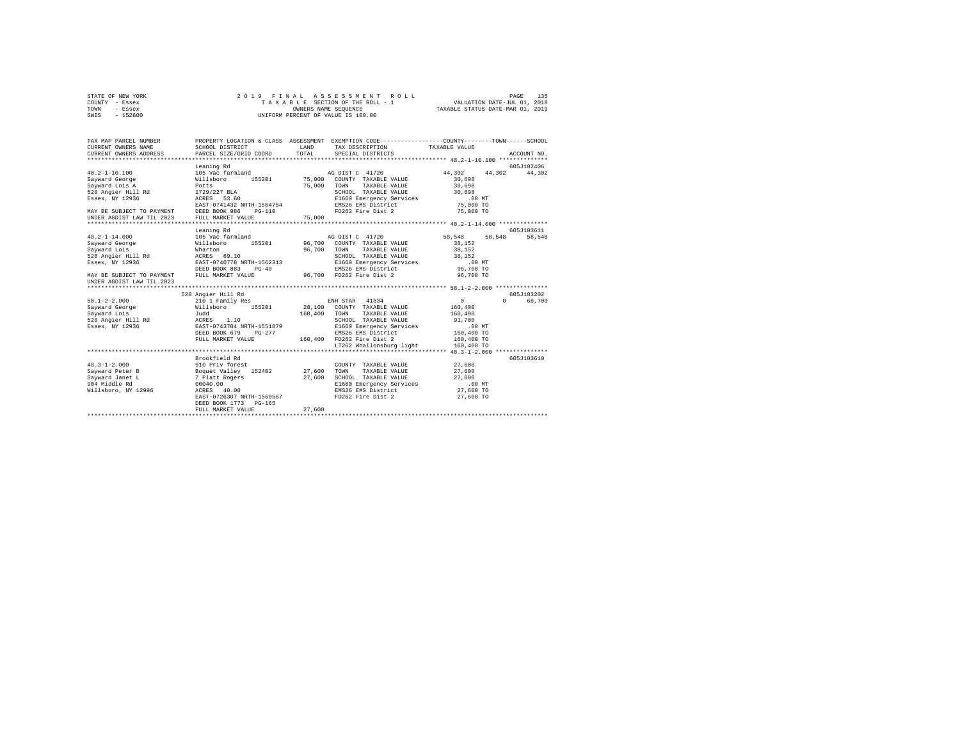|      | STATE OF NEW YORK |  | 2019 FINAL ASSESSMENT ROLL         |                                  | PAGE                        | 135 |
|------|-------------------|--|------------------------------------|----------------------------------|-----------------------------|-----|
|      | COUNTY - Essex    |  | TAXABLE SECTION OF THE ROLL - 1    |                                  | VALUATION DATE-JUL 01, 2018 |     |
| TOWN | - Essex           |  | OWNERS NAME SEOUENCE               | TAXABLE STATUS DATE-MAR 01, 2019 |                             |     |
| SWIS | $-152600$         |  | UNIFORM PERCENT OF VALUE IS 100.00 |                                  |                             |     |

| TAX MAP PARCEL NUMBER<br>CURRENT OWNERS NAME<br>CURRENT OWNERS ADDRESS             | SCHOOL DISTRICT<br>PARCEL SIZE/GRID COORD  | T.AND<br>TOTAL. | PROPERTY LOCATION & CLASS ASSESSMENT EXEMPTION CODE---------------COUNTY-------TOWN-----SCHOOL<br>TAX DESCRIPTION TAXABLE VALUE<br>SPECIAL DISTRICTS |                            | ACCOUNT NO. |
|------------------------------------------------------------------------------------|--------------------------------------------|-----------------|------------------------------------------------------------------------------------------------------------------------------------------------------|----------------------------|-------------|
|                                                                                    |                                            |                 |                                                                                                                                                      |                            |             |
|                                                                                    | Leaning Rd                                 |                 |                                                                                                                                                      |                            | 605J102406  |
| $48.2 - 1 - 10.100$<br>Sayward George                                              | 105 Vac farmland<br>Willsboro              |                 | AG DIST C 41720<br>155201 75,000 COUNTY TAXABLE VALUE                                                                                                | 44.302<br>44.302<br>30,698 | 44,302      |
| Savward Lois A                                                                     | Potts                                      | 75,000          | TAXABLE VALUE<br>TOWN                                                                                                                                | 30,698                     |             |
| 528 Angier Hill Rd                                                                 | 1729/227 BLA                               |                 | SCHOOL TAXABLE VALUE                                                                                                                                 | 30,698                     |             |
| Essex, NY 12936                                                                    | ACRES 53.60                                |                 | SCHOOL TAXABLE VALUE<br>E1660 Emergency Services                                                                                                     | $50,000 \text{ MT}$ .00 MT |             |
|                                                                                    | EAST-0741432 NRTH-1564754                  |                 | EMS26 EMS District                                                                                                                                   | 75,000 TO                  |             |
|                                                                                    | $PG-110$                                   |                 | FD262 Fire Dist 2                                                                                                                                    | 75,000 TO                  |             |
| MAY BE SUBJECT TO PAYMENT DEED BOOK 986<br>UNDER AGDIST LAW TIL 2023 FULL MARKET V | FULL MARKET VALUE                          | 75,000          |                                                                                                                                                      |                            |             |
|                                                                                    |                                            |                 |                                                                                                                                                      |                            |             |
|                                                                                    | Leaning Rd                                 |                 |                                                                                                                                                      |                            | 605-7103611 |
| $48.2 - 1 - 14.000$                                                                | 105 Vac farmland                           |                 | AG DIST C 41720                                                                                                                                      | 58,548 58,548              | 58,548      |
| Sayward George                                                                     | Willsboro                                  |                 | 155201 96,700 COUNTY TAXABLE VALUE                                                                                                                   | 38,152                     |             |
| Savward Lois                                                                       | Wharton                                    | 96,700          | TOWN TAXABLE VALUE                                                                                                                                   | 38,152                     |             |
| 528 Angier Hill Rd                                                                 | ACRES 69.10                                |                 | SCHOOL TAXABLE VALUE                                                                                                                                 | 38,152                     |             |
| Essex, NY 12936                                                                    | EAST-0740778 NRTH-1562313                  |                 | E1660 Emergency Services                                                                                                                             | $.00$ MT                   |             |
|                                                                                    | DEED BOOK 883<br>$PG-40$                   |                 | EMS26 EMS District                                                                                                                                   | 96,700 TO                  |             |
| MAY BE SUBJECT TO PAYMENT                                                          | FULL MARKET VALUE                          |                 | 96,700 FD262 Fire Dist 2                                                                                                                             | 96,700 TO                  |             |
| UNDER AGDIST LAW TIL 2023                                                          |                                            |                 |                                                                                                                                                      |                            |             |
|                                                                                    |                                            |                 |                                                                                                                                                      |                            |             |
|                                                                                    | 528 Angier Hill Rd                         |                 |                                                                                                                                                      |                            | 605J103202  |
| $58.1 - 2 - 2.000$                                                                 | 210 1 Family Res                           |                 | ENH STAR 41834                                                                                                                                       | 0<br>$\Omega$              | 68,700      |
|                                                                                    | Sayward George 6 6 Millsboro 155201 28,100 |                 | COUNTY TAXABLE VALUE                                                                                                                                 | 160,400                    |             |
| Sayward Lois<br>Sayward Lois<br>528 Angier Hill Rd                                 | Judd                                       | 160,400         | TOWN<br>TAXABLE VALUE                                                                                                                                | 160,400                    |             |
|                                                                                    | ACRES 1.10                                 |                 | SCHOOL TAXABLE VALUE                                                                                                                                 | 91,700                     |             |
| Essex, NY 12936                                                                    | EAST-0743704 NRTH-1551879                  |                 | E1660 Emergency Services                                                                                                                             | $.00$ MT                   |             |
|                                                                                    | DEED BOOK 679<br>$PG-277$                  |                 | EMS26 EMS District                                                                                                                                   | 160,400 TO                 |             |
|                                                                                    | FULL MARKET VALUE                          |                 | 160.400 FD262 Fire Dist 2                                                                                                                            | 160,400 TO                 |             |
|                                                                                    |                                            |                 | LT262 Whallonsburg light                                                                                                                             | 160,400 TO                 |             |
|                                                                                    |                                            |                 |                                                                                                                                                      |                            |             |
|                                                                                    | Brookfield Rd                              |                 |                                                                                                                                                      |                            | 605J103610  |
| $48.3 - 1 - 2.000$<br>Savward Peter B                                              | 910 Priv forest                            |                 | COUNTY TAXABLE VALUE 27,600<br>TOWN<br>TAXABLE VALUE                                                                                                 | 27,600                     |             |
| Savward Janet L                                                                    | Boquet Valley 152402 27,600                | 27,600          | SCHOOL TAXABLE VALUE                                                                                                                                 | 27,600                     |             |
| 904 Middle Rd                                                                      | 7 Platt Rogers<br>00040.00                 |                 | E1660 Emergency Services                                                                                                                             | .00 MT                     |             |
| Willsboro, NY 12996                                                                | ACRES 40.00                                |                 | EMS26 EMS District                                                                                                                                   | 27,600 TO                  |             |
|                                                                                    | EAST-0726307 NRTH-1560567                  |                 | FD262 Fire Dist 2                                                                                                                                    | 27,600 TO                  |             |
|                                                                                    | DEED BOOK 1773 PG-165                      |                 |                                                                                                                                                      |                            |             |
|                                                                                    | FULL MARKET VALUE                          | 27,600          |                                                                                                                                                      |                            |             |
|                                                                                    |                                            |                 |                                                                                                                                                      |                            |             |
|                                                                                    |                                            |                 |                                                                                                                                                      |                            |             |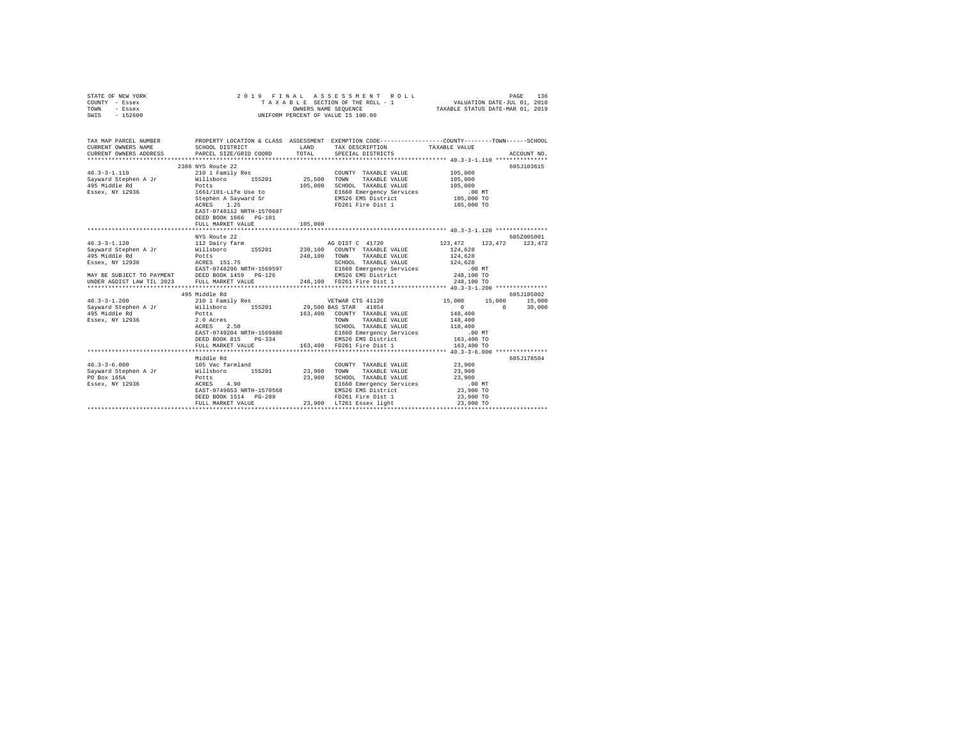| STATE OF NEW YORK<br>COUNTY - Essex<br>TOWN<br>- Essex<br>SWIS - 152600 | 2019 FINAL                                                                                                                                                                                                                                                                                        | UNIFORM PERCENT OF VALUE IS 100.00 |                   |                            |               |
|-------------------------------------------------------------------------|---------------------------------------------------------------------------------------------------------------------------------------------------------------------------------------------------------------------------------------------------------------------------------------------------|------------------------------------|-------------------|----------------------------|---------------|
| CURRENT OWNERS NAME<br>CURRENT OWNERS ADDRESS                           | TAX MAP PARCEL NUMBER PROPERTY LOCATION & CLASS ASSESSMENT EXEMPTION CODE--------------COUNTY-------TOWN------SCHOOL<br>SCHOOL DISTRICT LAND TAX DESCRIPTION<br>PARCEL SIZE/GRID COORD TOTAL                                                                                                      |                                    | SPECIAL DISTRICTS | TAXABLE VALUE              | ACCOUNT NO.   |
|                                                                         | 2386 NYS Route 22                                                                                                                                                                                                                                                                                 |                                    |                   |                            | 605J103615    |
|                                                                         | EAST-0748112 NRTH-1570687<br>DEED BOOK 1666 PG-101                                                                                                                                                                                                                                                |                                    |                   |                            |               |
|                                                                         | FULL MARKET VALUE                                                                                                                                                                                                                                                                                 | 105,000                            |                   |                            |               |
|                                                                         |                                                                                                                                                                                                                                                                                                   |                                    |                   |                            |               |
|                                                                         | NYS Route 22                                                                                                                                                                                                                                                                                      |                                    |                   |                            | 605Z005001    |
|                                                                         |                                                                                                                                                                                                                                                                                                   |                                    |                   | 123, 472 123, 472 123, 472 |               |
|                                                                         | 495 Middle Rd                                                                                                                                                                                                                                                                                     |                                    |                   |                            | 605J185002    |
| $40.3 - 3 - 1.200$                                                      | 9.79°21.2000<br>29,500 BAS STAR 1854<br>29,500 BAS STAR 1854<br>495 Middle Rd<br>29,500 BAS STAR 1854<br>495 Middle Rd<br>29,500 BAS STAR 1854<br>29,500 BAS STAR 1854<br>29,500 BAS STAR 1854<br>29,500 BAS STAR 1854<br>29,500 BAS STAR 1854<br><br>FULL MARKET VALUE 163,400 FD261 Fire Dist 1 |                                    |                   | 163,400 TO                 | $0 \t 30,000$ |
|                                                                         |                                                                                                                                                                                                                                                                                                   |                                    |                   |                            |               |
|                                                                         | Middle Rd<br>DEED BOOK 1514 PG-289 PD261 Fire Dist 1<br>FULL MARKET VALUE 23,900 LT261 Essex light                                                                                                                                                                                                |                                    |                   | 23,900 TO                  | 605J178504    |
|                                                                         |                                                                                                                                                                                                                                                                                                   |                                    |                   |                            |               |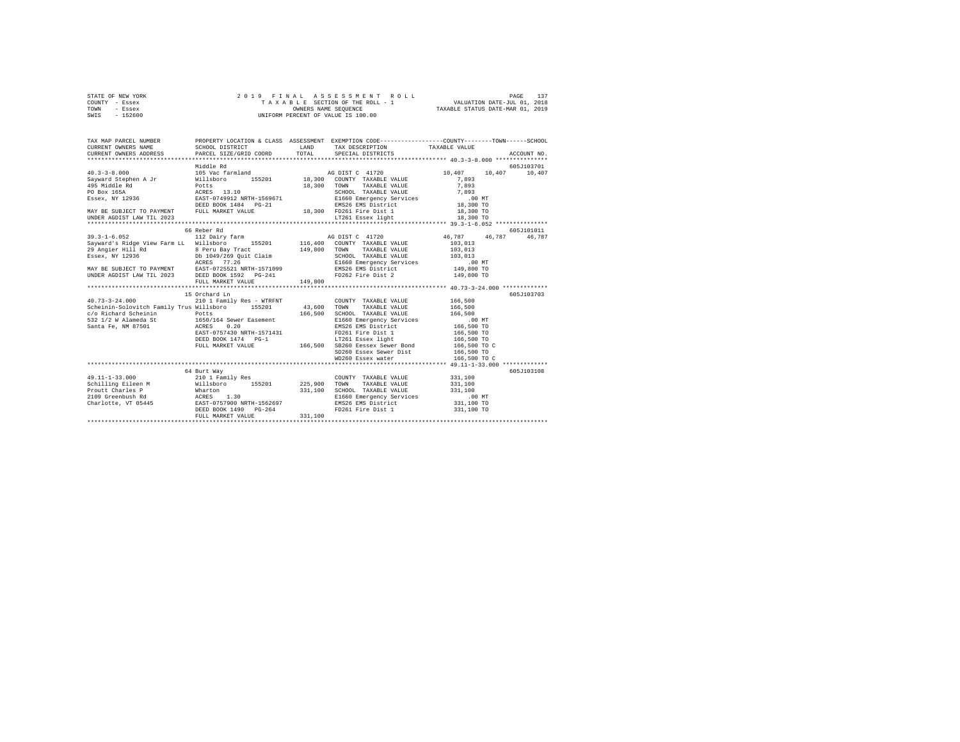| STATE OF NEW YORK | 2019 FINAL ASSESSMENT ROLL         | 137<br>PAGE                      |
|-------------------|------------------------------------|----------------------------------|
| COUNTY - Essex    | TAXABLE SECTION OF THE ROLL - 1    | VALUATION DATE-JUL 01, 2018      |
| TOWN<br>- Essex   | OWNERS NAME SEOUENCE               | TAXABLE STATUS DATE-MAR 01, 2019 |
| $-152600$<br>SWIS | UNIFORM PERCENT OF VALUE IS 100.00 |                                  |

| TAX MAP PARCEL NUMBER                                                                                                                                                                                                                  |                           |         | PROPERTY LOCATION & CLASS ASSESSMENT EXEMPTION CODE----------------COUNTY-------TOWN-----SCHOOL<br>TAX DESCRIPTION TAXABLE VALUE |                      | ACCOUNT NO. |
|----------------------------------------------------------------------------------------------------------------------------------------------------------------------------------------------------------------------------------------|---------------------------|---------|----------------------------------------------------------------------------------------------------------------------------------|----------------------|-------------|
|                                                                                                                                                                                                                                        |                           |         |                                                                                                                                  |                      |             |
|                                                                                                                                                                                                                                        | Middle Rd                 |         |                                                                                                                                  |                      | 605J103701  |
|                                                                                                                                                                                                                                        |                           |         |                                                                                                                                  | 10.407 10.407        |             |
|                                                                                                                                                                                                                                        |                           |         |                                                                                                                                  |                      |             |
|                                                                                                                                                                                                                                        |                           |         |                                                                                                                                  |                      |             |
|                                                                                                                                                                                                                                        |                           |         |                                                                                                                                  |                      |             |
|                                                                                                                                                                                                                                        |                           |         |                                                                                                                                  |                      |             |
|                                                                                                                                                                                                                                        |                           |         |                                                                                                                                  |                      |             |
|                                                                                                                                                                                                                                        |                           |         |                                                                                                                                  |                      |             |
| UNDER AGDIST LAW TIL 2023                                                                                                                                                                                                              |                           |         | LT261 Essex light 18,300 TO                                                                                                      |                      |             |
|                                                                                                                                                                                                                                        | 66 Reber Rd               |         |                                                                                                                                  |                      | 605J101011  |
|                                                                                                                                                                                                                                        |                           |         |                                                                                                                                  | 46,787 46,787 46,787 |             |
|                                                                                                                                                                                                                                        |                           |         |                                                                                                                                  | 103,013              |             |
|                                                                                                                                                                                                                                        |                           |         |                                                                                                                                  |                      |             |
|                                                                                                                                                                                                                                        |                           |         |                                                                                                                                  |                      |             |
| 3ayward Strong View Farm LL WINDSON 1990 1992<br>29 Angler Hill Rd 8 Peru Bay Tract 149,800 TOWN TAXABLE VALUE 103,013<br>29 Angler Hill Rd 8 Peru Bay Tract 149,800 TOWN TAXABLE VALUE 103,013<br>29 Angler Hill Rd 8 Peru Bay Trac   |                           |         |                                                                                                                                  |                      |             |
|                                                                                                                                                                                                                                        |                           |         |                                                                                                                                  |                      |             |
|                                                                                                                                                                                                                                        |                           |         |                                                                                                                                  |                      |             |
|                                                                                                                                                                                                                                        |                           |         |                                                                                                                                  |                      |             |
|                                                                                                                                                                                                                                        |                           |         |                                                                                                                                  |                      |             |
|                                                                                                                                                                                                                                        | 15 Orchard Ln             |         |                                                                                                                                  |                      | 605J103703  |
| $40.73 - 3 - 24.000$                                                                                                                                                                                                                   | 210 1 Family Res - WTRFNT |         | COUNTY TAXABLE VALUE 166,500                                                                                                     |                      |             |
|                                                                                                                                                                                                                                        |                           |         |                                                                                                                                  |                      |             |
|                                                                                                                                                                                                                                        |                           |         |                                                                                                                                  |                      |             |
|                                                                                                                                                                                                                                        |                           |         |                                                                                                                                  |                      |             |
|                                                                                                                                                                                                                                        |                           |         |                                                                                                                                  |                      |             |
|                                                                                                                                                                                                                                        |                           |         |                                                                                                                                  |                      |             |
|                                                                                                                                                                                                                                        |                           |         |                                                                                                                                  |                      |             |
|                                                                                                                                                                                                                                        |                           |         |                                                                                                                                  |                      |             |
|                                                                                                                                                                                                                                        |                           |         | SD260 Essex Sewer Dist<br>WD260 Essex water                                                                                      | 166,500 TO           |             |
|                                                                                                                                                                                                                                        |                           |         | WD260 Essex water                                                                                                                | 166,500 TO C         |             |
|                                                                                                                                                                                                                                        | 64 Burt Way               |         |                                                                                                                                  |                      | 605J103108  |
| 49.11-1-33.000 210 1 Family Res                                                                                                                                                                                                        |                           |         | COUNTY TAXABLE VALUE 331,100                                                                                                     |                      |             |
|                                                                                                                                                                                                                                        |                           |         |                                                                                                                                  |                      |             |
|                                                                                                                                                                                                                                        |                           |         |                                                                                                                                  |                      |             |
|                                                                                                                                                                                                                                        |                           |         |                                                                                                                                  |                      |             |
| Charlotte, VT 05445<br>2011 19 Sileen M (111sboro 155201 225,900 TOWN TAXABLE VALUE 2011,100<br>2109 Greenbush Rd (2012 1205)<br>2109 Greenbush Rd (2012 1205 2106)<br>2109 Greenbush Rd (2012 1206 2109 21660 Emergency Services 231, |                           |         |                                                                                                                                  |                      |             |
|                                                                                                                                                                                                                                        |                           |         |                                                                                                                                  |                      |             |
|                                                                                                                                                                                                                                        | FULL MARKET VALUE         | 331,100 |                                                                                                                                  |                      |             |
|                                                                                                                                                                                                                                        |                           |         |                                                                                                                                  |                      |             |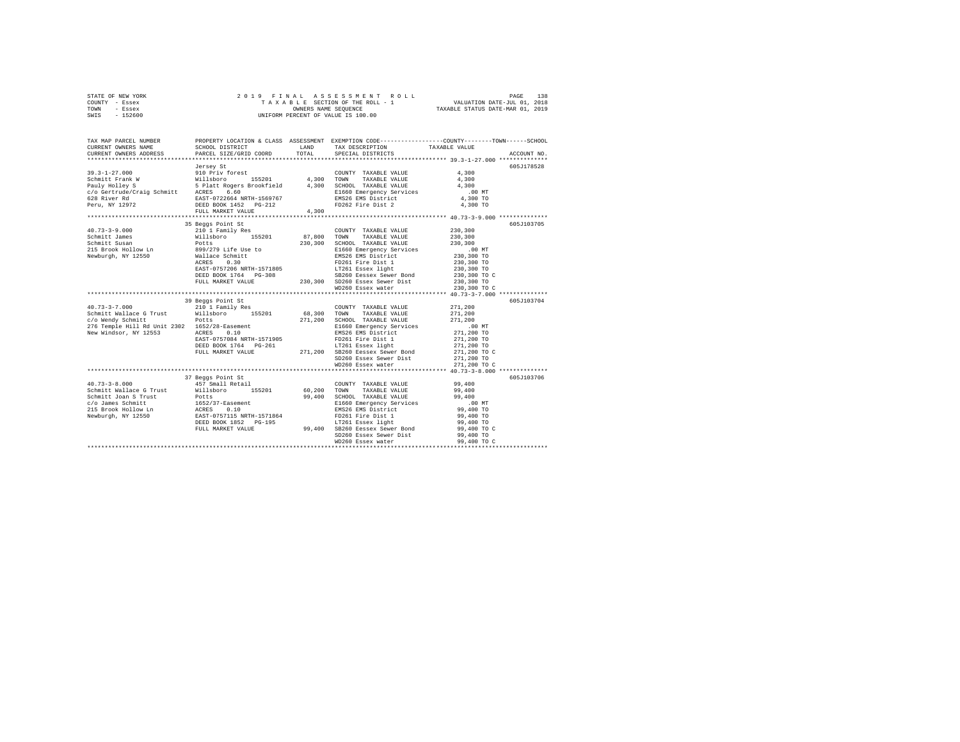| STATE OF NEW YORK | 2019 FINAL ASSESSMENT ROLL         | 138<br>PAGE                      |
|-------------------|------------------------------------|----------------------------------|
| COUNTY - Essex    | TAXABLE SECTION OF THE ROLL - 1    | VALUATION DATE-JUL 01, 2018      |
| TOWN<br>- Essex   | OWNERS NAME SEOUENCE               | TAXABLE STATUS DATE-MAR 01, 2019 |
| - 152600<br>SWIS  | UNIFORM PERCENT OF VALUE IS 100.00 |                                  |

| TAX MAP PARCEL NUMBER<br>CURRENT OWNERS NAME<br>CURRENT OWNERS ADDRESS                                                                                                                                                                                                                                         | SCHOOL DISTRICT<br>PARCEL SIZE/GRID COORD                                                                                                                                                                                | LAND<br>TOTAL      | TAX DESCRIPTION TAXABLE VALUE<br>SPECIAL DISTRICTS                                                                                                                       | PROPERTY LOCATION & CLASS ASSESSMENT EXEMPTION CODE----------------COUNTY-------TOWN------SCHOOL<br>ACCOUNT NO.                                                                   |
|----------------------------------------------------------------------------------------------------------------------------------------------------------------------------------------------------------------------------------------------------------------------------------------------------------------|--------------------------------------------------------------------------------------------------------------------------------------------------------------------------------------------------------------------------|--------------------|--------------------------------------------------------------------------------------------------------------------------------------------------------------------------|-----------------------------------------------------------------------------------------------------------------------------------------------------------------------------------|
| $39.3 - 1 - 27.000$                                                                                                                                                                                                                                                                                            | Jersey St<br>910 Priv forest<br>Willsboro 155201 4,300 TOWN<br>FULL MARKET VALUE                                                                                                                                         | 4,300              | COUNTY TAXABLE VALUE<br>TAXABLE VALUE                                                                                                                                    | 605J178528<br>4,300<br>4,300<br>4,300<br>$.00$ MT<br>4,300 TO<br>4,300 TO                                                                                                         |
| $40.73 - 3 - 9.000$                                                                                                                                                                                                                                                                                            | 35 Beggs Point St<br>210 1 Family Res                                                                                                                                                                                    |                    | COUNTY TAXABLE VALUE 230,300<br>E1660 Emergency Services<br>EMS26 EMS District<br>FD261 Fire Dist 1<br>LT261 Essex light<br>SB260 Eessex Sewer Bond<br>WD260 Essex water | 605J103705<br>230,300<br>230,300<br>00 MT.<br>230,300 TO<br>230,300 TO<br>230,300 TO<br>230,300 TO C<br>230,300 TO<br>230,300 TO C                                                |
|                                                                                                                                                                                                                                                                                                                |                                                                                                                                                                                                                          |                    |                                                                                                                                                                          |                                                                                                                                                                                   |
| $40.73 - 3 - 7.000$<br>Schmitt Wallace G Trust Willsboro<br>c/o Wendy Schmitt<br>276 Temple Hill Rd Unit 2302 1652/28-Easement<br>New Windsor, NY 12553 ACRES 0.10<br>New Windsor, NY 12553                                                                                                                    | 39 Beggs Point St<br>210 1 Family Res<br>155201<br>Potts<br>EAST-0757084 NRTH-1571905<br>EXED BOOK 1764 PG-261 LT261 Essex light<br>FULL MARKET VALUE 271,200 SB260 Bessex Sewer Bond<br>271,200 SB260 Bessex Sewer Bond | 68,300 TOWN        | COUNTY TAXABLE VALUE<br>TAXABLE VALUE<br>271,200 SCHOOL TAXABLE VALUE<br>E1660 Emergency Services<br>EMS26 EMS District<br>FD261 Fire Dist 1                             | 605J103704<br>271,200<br>271,200<br>271,200<br>$100 \text{ MT}$<br>$271,200 \text{ TO}$<br>$271,200 \text{ TO}$<br>$271,200 \text{ TO}$<br>$271,200 \text{ TO}$ C<br>271,200 TO C |
|                                                                                                                                                                                                                                                                                                                | 37 Beggs Point St                                                                                                                                                                                                        |                    |                                                                                                                                                                          | 605J103706                                                                                                                                                                        |
| $40.73 - 3 - 8.000$<br>Schmitt Wallace G Trust Willsboro<br>Schmitt Joan S Trust<br>Schmitt Joan S Trust<br>215 Brook Hollow Lm<br>215 Brook Hollow Lm<br>215 Brook Hollow Lm<br>215 Brook Hollow Lm<br>215 Brook Hollow Lm<br>215 Brook Hollow Lm<br>215 Brook Hollow Lm<br>216 DEED BOOK 1852<br>21600 Brook | 457 Small Retail                                                                                                                                                                                                         | 155201 60,200 TOWN | COUNTY TAXABLE VALUE<br>TAXABLE VALUE<br>SCHOOL TAXABLE VALUE<br>E1660 Emergency Services<br>FD261 Fire Dist 1<br>LT261 Essex light                                      | 99,400<br>99,400<br>99,400<br>.00MT<br>99,400 TO<br>99,400 TO<br>99,400 TO<br>99,400 TO C<br>99,400 TO                                                                            |
|                                                                                                                                                                                                                                                                                                                |                                                                                                                                                                                                                          |                    |                                                                                                                                                                          |                                                                                                                                                                                   |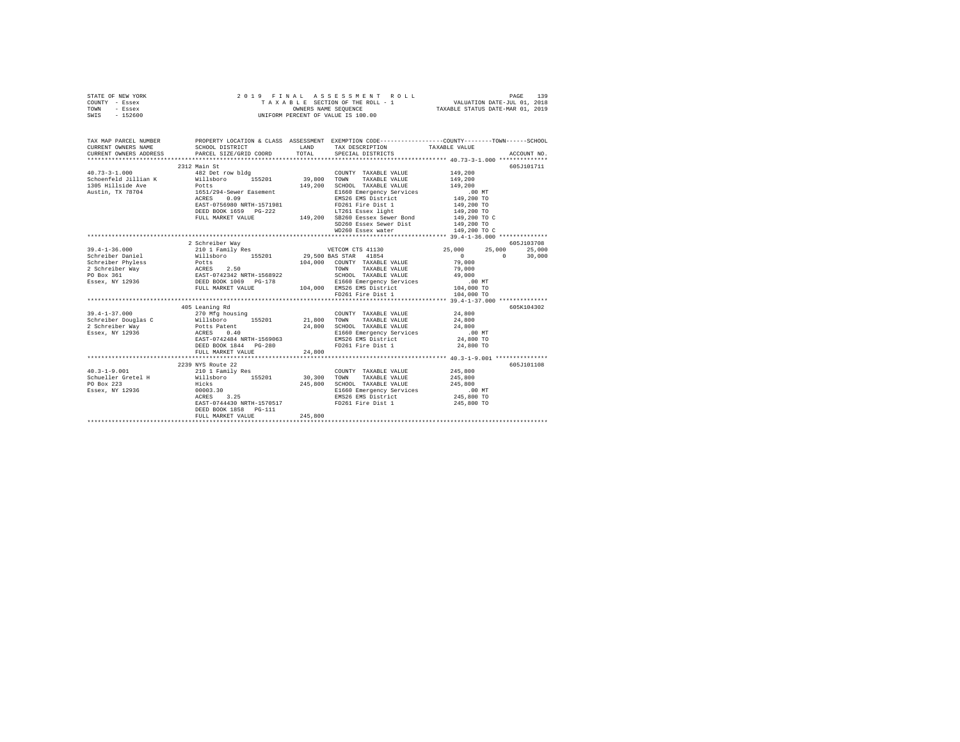|      | STATE OF NEW YORK |  | 2019 FINAL ASSESSMENT ROLL         |                                  | PAGE                        | 139 |
|------|-------------------|--|------------------------------------|----------------------------------|-----------------------------|-----|
|      | COUNTY - Essex    |  | TAXABLE SECTION OF THE ROLL - 1    |                                  | VALUATION DATE-JUL 01, 2018 |     |
| TOWN | - Essex           |  | OWNERS NAME SEOUENCE               | TAXABLE STATUS DATE-MAR 01, 2019 |                             |     |
| SWIS | $-152600$         |  | UNIFORM PERCENT OF VALUE IS 100.00 |                                  |                             |     |

| TAX MAP PARCEL NUMBER                                                 |                                         |         |                                                                                                           | PROPERTY LOCATION & CLASS ASSESSMENT EXEMPTION CODE----------------COUNTY-------TOWN------SCHOOL<br>CURRENT OWNERS NAME SCHOOL DISTRICT LAND TAX DESCRIPTION TAXABLE VALUE ACCOUNT NO. ACCOUNT NO SCHOOL DISTRICT LAND TAX DESCRIPTION TAXABLE VALUE ACCOUNT NO. |  |
|-----------------------------------------------------------------------|-----------------------------------------|---------|-----------------------------------------------------------------------------------------------------------|------------------------------------------------------------------------------------------------------------------------------------------------------------------------------------------------------------------------------------------------------------------|--|
|                                                                       |                                         |         |                                                                                                           |                                                                                                                                                                                                                                                                  |  |
|                                                                       | 2312 Main St                            |         |                                                                                                           | 605J101711                                                                                                                                                                                                                                                       |  |
| $40.73 - 3 - 1.000$                                                   | 482 Det row bldg                        |         | COUNTY TAXABLE VALUE 149.200                                                                              |                                                                                                                                                                                                                                                                  |  |
|                                                                       |                                         |         | TAXABLE VALUE<br>TOWN                                                                                     | 149,200                                                                                                                                                                                                                                                          |  |
|                                                                       |                                         |         | SCHOOL TAXABLE VALUE                                                                                      | 149,200                                                                                                                                                                                                                                                          |  |
|                                                                       |                                         |         |                                                                                                           |                                                                                                                                                                                                                                                                  |  |
|                                                                       | ACRES 0.09<br>EAST-0756980 NRTH-1571981 |         |                                                                                                           |                                                                                                                                                                                                                                                                  |  |
|                                                                       |                                         |         |                                                                                                           |                                                                                                                                                                                                                                                                  |  |
|                                                                       |                                         |         |                                                                                                           |                                                                                                                                                                                                                                                                  |  |
|                                                                       |                                         |         |                                                                                                           |                                                                                                                                                                                                                                                                  |  |
|                                                                       |                                         |         |                                                                                                           |                                                                                                                                                                                                                                                                  |  |
|                                                                       |                                         |         | WD260 Essex water 149,200 TO C                                                                            |                                                                                                                                                                                                                                                                  |  |
|                                                                       |                                         |         |                                                                                                           |                                                                                                                                                                                                                                                                  |  |
|                                                                       | 2 Schreiber Way                         |         |                                                                                                           | 605J103708                                                                                                                                                                                                                                                       |  |
| $39.4 - 1 - 36.000$                                                   |                                         |         |                                                                                                           | 210 1 Family Res 600 25,000 25,000 25,000 25,000 25,000                                                                                                                                                                                                          |  |
|                                                                       |                                         |         |                                                                                                           | 30,000<br>$\sim$ 0 $\sim$ 0                                                                                                                                                                                                                                      |  |
|                                                                       |                                         |         |                                                                                                           |                                                                                                                                                                                                                                                                  |  |
|                                                                       |                                         |         |                                                                                                           |                                                                                                                                                                                                                                                                  |  |
|                                                                       |                                         |         |                                                                                                           |                                                                                                                                                                                                                                                                  |  |
|                                                                       |                                         |         |                                                                                                           |                                                                                                                                                                                                                                                                  |  |
|                                                                       |                                         |         |                                                                                                           |                                                                                                                                                                                                                                                                  |  |
|                                                                       |                                         |         |                                                                                                           |                                                                                                                                                                                                                                                                  |  |
|                                                                       |                                         |         |                                                                                                           |                                                                                                                                                                                                                                                                  |  |
|                                                                       | 405 Leaning Rd                          |         |                                                                                                           | 605K104302                                                                                                                                                                                                                                                       |  |
|                                                                       |                                         |         |                                                                                                           |                                                                                                                                                                                                                                                                  |  |
|                                                                       |                                         |         |                                                                                                           |                                                                                                                                                                                                                                                                  |  |
|                                                                       |                                         |         |                                                                                                           |                                                                                                                                                                                                                                                                  |  |
|                                                                       |                                         |         |                                                                                                           |                                                                                                                                                                                                                                                                  |  |
|                                                                       |                                         |         |                                                                                                           |                                                                                                                                                                                                                                                                  |  |
|                                                                       | DEED BOOK 1844 PG-280                   |         | FD261 Fire Dist 1 24,800 TO                                                                               |                                                                                                                                                                                                                                                                  |  |
|                                                                       | FULL MARKET VALUE                       | 24,800  |                                                                                                           |                                                                                                                                                                                                                                                                  |  |
|                                                                       |                                         |         |                                                                                                           |                                                                                                                                                                                                                                                                  |  |
|                                                                       |                                         |         |                                                                                                           | 605J101108                                                                                                                                                                                                                                                       |  |
| $40.3 - 1 - 9.001$                                                    | 2239 NYS Route 22<br>210 1 Family Res   |         | COUNTY TAXABLE VALUE 245,800                                                                              |                                                                                                                                                                                                                                                                  |  |
| Schueller Gretel H Millsboro 155201 30,300 TOWN TAXABLE VALUE 245,800 |                                         |         |                                                                                                           |                                                                                                                                                                                                                                                                  |  |
|                                                                       |                                         |         |                                                                                                           |                                                                                                                                                                                                                                                                  |  |
| r0 Box 223<br>Essex, NY 12936                                         | Hicks<br>00003.30<br>ACRES 3.25         |         | 245,800 SCHOOL TAXABLE VALUE 245,800<br>E1660 Emergency Services 2.00 MT<br>EMS26 EMS District 245,800 TO |                                                                                                                                                                                                                                                                  |  |
|                                                                       |                                         |         |                                                                                                           |                                                                                                                                                                                                                                                                  |  |
|                                                                       | EAST-0744430 NRTH-1570517               |         | FD261 Fire Dist 1 245,800 TO                                                                              |                                                                                                                                                                                                                                                                  |  |
|                                                                       | DEED BOOK 1858 PG-111                   |         |                                                                                                           |                                                                                                                                                                                                                                                                  |  |
|                                                                       | FULL MARKET VALUE                       | 245,800 |                                                                                                           |                                                                                                                                                                                                                                                                  |  |
|                                                                       |                                         |         |                                                                                                           |                                                                                                                                                                                                                                                                  |  |
|                                                                       |                                         |         |                                                                                                           |                                                                                                                                                                                                                                                                  |  |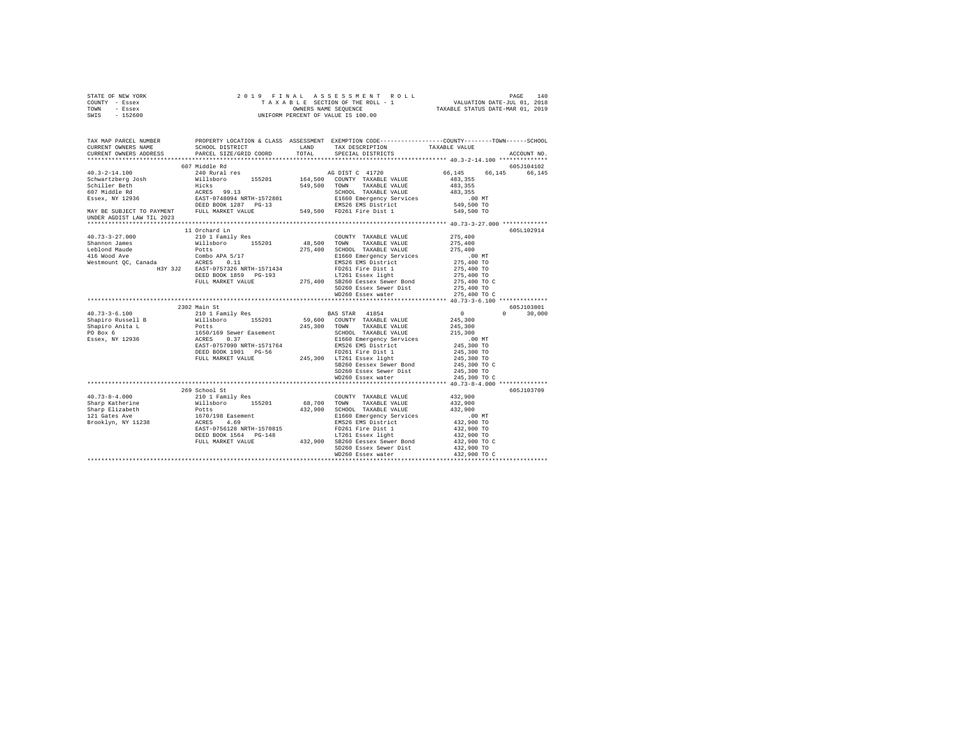| STATE OF NEW YORK<br>COUNTY - Essex<br>TOWN - Essex<br>SWIS - 152600                                                                                                                                                                                                                                                                                                                                                             |                                                                         | $\begin{tabular}{ccccc} 2 & 0 & 1 & 9 & F & I & M & A & S & S & E & S & S & M & E & N & T & R & O & L & L & P \end{tabular} \begin{tabular}{ccccc} PAGE & 140 \\ T A & X & A & B & E & S & T & T & R & C & L & V \end{tabular} \begin{tabular}{ccccc} PAGE & 140 \\ \hline \texttt{Y} & A & X & A & B & S & S & S & S & S & S & R & S & L & L & V \end{tabular} \end{tabular} \begin{tabular}{c} PAGE & 140 \\ \hline \texttt{V} & \texttt{VALUATION DATE-UL} & 01$ |                                    |               |  |
|----------------------------------------------------------------------------------------------------------------------------------------------------------------------------------------------------------------------------------------------------------------------------------------------------------------------------------------------------------------------------------------------------------------------------------|-------------------------------------------------------------------------|---------------------------------------------------------------------------------------------------------------------------------------------------------------------------------------------------------------------------------------------------------------------------------------------------------------------------------------------------------------------------------------------------------------------------------------------------------------------|------------------------------------|---------------|--|
| TAX MAP PARCEL NUMBER PROPERTY LOCATION & CLASS ASSESSMENT EXEMPTION CODE---------------COUNTY--------TOWN-----SCHOOL<br>CURRENT OWNERS NAME<br>CURRENT OWNERS ADDRESS                                                                                                                                                                                                                                                           | SCHOOL DISTRICT<br>LAND TAX DESCRIPTION<br>PARCEL SIZE/GRID COORD TOTAL | SPECIAL DISTRICTS                                                                                                                                                                                                                                                                                                                                                                                                                                                   | TAXABLE VALUE                      | ACCOUNT NO.   |  |
|                                                                                                                                                                                                                                                                                                                                                                                                                                  | 607 Middle Rd                                                           |                                                                                                                                                                                                                                                                                                                                                                                                                                                                     |                                    | 605J104102    |  |
| $40.3 - 2 - 14.100$                                                                                                                                                                                                                                                                                                                                                                                                              | 240 Rural res                                                           | AG DIST C 41720                                                                                                                                                                                                                                                                                                                                                                                                                                                     | 66.145 66.145 66.145               |               |  |
|                                                                                                                                                                                                                                                                                                                                                                                                                                  |                                                                         |                                                                                                                                                                                                                                                                                                                                                                                                                                                                     | 483,355                            |               |  |
|                                                                                                                                                                                                                                                                                                                                                                                                                                  |                                                                         |                                                                                                                                                                                                                                                                                                                                                                                                                                                                     | 483,355                            |               |  |
|                                                                                                                                                                                                                                                                                                                                                                                                                                  |                                                                         |                                                                                                                                                                                                                                                                                                                                                                                                                                                                     | 483,355                            |               |  |
|                                                                                                                                                                                                                                                                                                                                                                                                                                  |                                                                         |                                                                                                                                                                                                                                                                                                                                                                                                                                                                     | 00 MT.<br>549,500 TO               |               |  |
|                                                                                                                                                                                                                                                                                                                                                                                                                                  |                                                                         |                                                                                                                                                                                                                                                                                                                                                                                                                                                                     |                                    |               |  |
| UNDER AGDIST LAW TIL 2023                                                                                                                                                                                                                                                                                                                                                                                                        |                                                                         |                                                                                                                                                                                                                                                                                                                                                                                                                                                                     | 549,500 TO                         |               |  |
|                                                                                                                                                                                                                                                                                                                                                                                                                                  |                                                                         |                                                                                                                                                                                                                                                                                                                                                                                                                                                                     |                                    |               |  |
| $40.73 - 3 - 27.000$                                                                                                                                                                                                                                                                                                                                                                                                             | 11 Orchard Ln<br>210 1 Family Res                                       | COUNTY TAXABLE VALUE                                                                                                                                                                                                                                                                                                                                                                                                                                                | 275,400                            | 605L102914    |  |
|                                                                                                                                                                                                                                                                                                                                                                                                                                  |                                                                         |                                                                                                                                                                                                                                                                                                                                                                                                                                                                     | 275,400                            |               |  |
|                                                                                                                                                                                                                                                                                                                                                                                                                                  |                                                                         |                                                                                                                                                                                                                                                                                                                                                                                                                                                                     | 275,400                            |               |  |
|                                                                                                                                                                                                                                                                                                                                                                                                                                  |                                                                         |                                                                                                                                                                                                                                                                                                                                                                                                                                                                     | .00 MT                             |               |  |
|                                                                                                                                                                                                                                                                                                                                                                                                                                  |                                                                         |                                                                                                                                                                                                                                                                                                                                                                                                                                                                     | 275,400 TO                         |               |  |
|                                                                                                                                                                                                                                                                                                                                                                                                                                  |                                                                         |                                                                                                                                                                                                                                                                                                                                                                                                                                                                     | 275,400 TO                         |               |  |
|                                                                                                                                                                                                                                                                                                                                                                                                                                  |                                                                         |                                                                                                                                                                                                                                                                                                                                                                                                                                                                     | 275,400 TO                         |               |  |
|                                                                                                                                                                                                                                                                                                                                                                                                                                  |                                                                         |                                                                                                                                                                                                                                                                                                                                                                                                                                                                     | 275,400 TO C                       |               |  |
|                                                                                                                                                                                                                                                                                                                                                                                                                                  |                                                                         | SD260 Essex Sewer Dist<br>WD260 Essex water                                                                                                                                                                                                                                                                                                                                                                                                                         | 275,400 TO<br>275,400 TO C         |               |  |
|                                                                                                                                                                                                                                                                                                                                                                                                                                  |                                                                         |                                                                                                                                                                                                                                                                                                                                                                                                                                                                     |                                    |               |  |
|                                                                                                                                                                                                                                                                                                                                                                                                                                  | 2302 Main St                                                            |                                                                                                                                                                                                                                                                                                                                                                                                                                                                     |                                    | 605J103801    |  |
|                                                                                                                                                                                                                                                                                                                                                                                                                                  |                                                                         |                                                                                                                                                                                                                                                                                                                                                                                                                                                                     | $0$<br>245,300                     | $0 \t 30,000$ |  |
|                                                                                                                                                                                                                                                                                                                                                                                                                                  |                                                                         |                                                                                                                                                                                                                                                                                                                                                                                                                                                                     |                                    |               |  |
|                                                                                                                                                                                                                                                                                                                                                                                                                                  |                                                                         |                                                                                                                                                                                                                                                                                                                                                                                                                                                                     | 245,300<br>215,300                 |               |  |
|                                                                                                                                                                                                                                                                                                                                                                                                                                  |                                                                         |                                                                                                                                                                                                                                                                                                                                                                                                                                                                     |                                    |               |  |
|                                                                                                                                                                                                                                                                                                                                                                                                                                  |                                                                         |                                                                                                                                                                                                                                                                                                                                                                                                                                                                     | 00 MT.<br>245,300 TO<br>245,300 TO |               |  |
|                                                                                                                                                                                                                                                                                                                                                                                                                                  |                                                                         |                                                                                                                                                                                                                                                                                                                                                                                                                                                                     |                                    |               |  |
|                                                                                                                                                                                                                                                                                                                                                                                                                                  |                                                                         |                                                                                                                                                                                                                                                                                                                                                                                                                                                                     | 245,300 TO                         |               |  |
| $\begin{tabular}{l c c c c c} \multicolumn{1}{c}{\textbf{40.73--3-6.100}} & \multicolumn{1}{c}{2302} & \multicolumn{1}{c}{2301} & \multicolumn{1}{c}{\textbf{11 Fami1y Res}} & \multicolumn{1}{c}{\textbf{BAS STRR}} & \multicolumn{1}{c}{\textbf{418-5}} \\ \multicolumn{1}{c}{\textbf{Shapiro Nuse}11 B}} & \multicolumn{1}{c}{\textbf{110}1 \textbf{Fami1y Res}} & \multicolumn{1}{c}{\textbf{55201}} & \multicolumn{1}{c}{\$ |                                                                         | SB260 Eessex Sewer Bond                                                                                                                                                                                                                                                                                                                                                                                                                                             | 245,300 TO C                       |               |  |
|                                                                                                                                                                                                                                                                                                                                                                                                                                  |                                                                         | SD260 Essex Sewer Dist                                                                                                                                                                                                                                                                                                                                                                                                                                              | 245,300 TO                         |               |  |
|                                                                                                                                                                                                                                                                                                                                                                                                                                  |                                                                         | WD260 Essex water                                                                                                                                                                                                                                                                                                                                                                                                                                                   | 245,300 TO C                       |               |  |
|                                                                                                                                                                                                                                                                                                                                                                                                                                  |                                                                         |                                                                                                                                                                                                                                                                                                                                                                                                                                                                     |                                    |               |  |
|                                                                                                                                                                                                                                                                                                                                                                                                                                  | 269 School St                                                           |                                                                                                                                                                                                                                                                                                                                                                                                                                                                     |                                    | 605J103709    |  |
|                                                                                                                                                                                                                                                                                                                                                                                                                                  |                                                                         |                                                                                                                                                                                                                                                                                                                                                                                                                                                                     | 432,900                            |               |  |
|                                                                                                                                                                                                                                                                                                                                                                                                                                  |                                                                         |                                                                                                                                                                                                                                                                                                                                                                                                                                                                     | 432,900<br>432,900                 |               |  |
|                                                                                                                                                                                                                                                                                                                                                                                                                                  |                                                                         |                                                                                                                                                                                                                                                                                                                                                                                                                                                                     |                                    |               |  |
|                                                                                                                                                                                                                                                                                                                                                                                                                                  |                                                                         |                                                                                                                                                                                                                                                                                                                                                                                                                                                                     | 00 MT.<br>432,900 TO<br>432,900 TO |               |  |
|                                                                                                                                                                                                                                                                                                                                                                                                                                  |                                                                         |                                                                                                                                                                                                                                                                                                                                                                                                                                                                     |                                    |               |  |
|                                                                                                                                                                                                                                                                                                                                                                                                                                  |                                                                         |                                                                                                                                                                                                                                                                                                                                                                                                                                                                     | 432,900 TO                         |               |  |
|                                                                                                                                                                                                                                                                                                                                                                                                                                  |                                                                         |                                                                                                                                                                                                                                                                                                                                                                                                                                                                     | 432,900 TO C                       |               |  |
|                                                                                                                                                                                                                                                                                                                                                                                                                                  |                                                                         | SD260 Essex Sewer Dist                                                                                                                                                                                                                                                                                                                                                                                                                                              | 432,900 TO                         |               |  |
|                                                                                                                                                                                                                                                                                                                                                                                                                                  |                                                                         | WD260 Essex water                                                                                                                                                                                                                                                                                                                                                                                                                                                   | 432,900 TO C                       |               |  |
|                                                                                                                                                                                                                                                                                                                                                                                                                                  |                                                                         |                                                                                                                                                                                                                                                                                                                                                                                                                                                                     |                                    |               |  |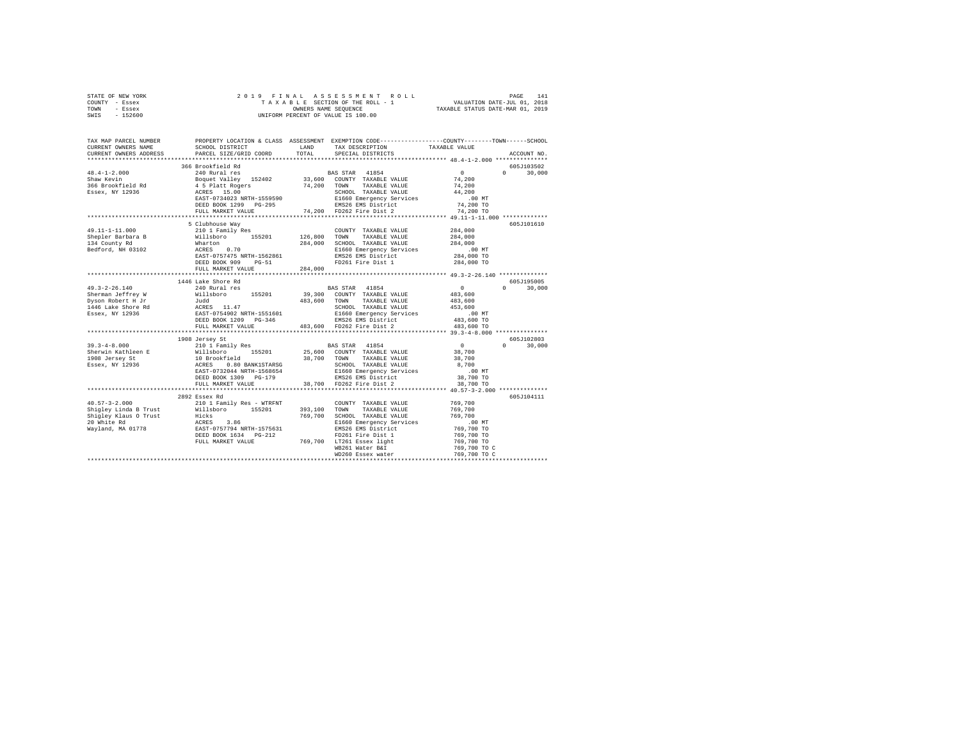|      | STATE OF NEW YORK |  |  |  | 2019 FINAL ASSESSMENT ROLL         |  |                                  | PAGE | 141 |
|------|-------------------|--|--|--|------------------------------------|--|----------------------------------|------|-----|
|      | COUNTY - Essex    |  |  |  | TAXABLE SECTION OF THE ROLL - 1    |  | VALUATION DATE-JUL 01, 2018      |      |     |
| TOWN | - Essex           |  |  |  | OWNERS NAME SEOUENCE               |  | TAXABLE STATUS DATE-MAR 01, 2019 |      |     |
| SWIS | $-152600$         |  |  |  | UNIFORM PERCENT OF VALUE IS 100.00 |  |                                  |      |     |

| TAX MAP PARCEL NUMBER<br>CURRENT OWNERS NAME                                                                                                                                                                                                                                                                                                                                                              | SCHOOL DISTRICT<br>ESS PARCEL SIZE/GRID COORD | LAND TAX DESCRIPTION TAXABLE VALUE          | PROPERTY LOCATION & CLASS ASSESSMENT EXEMPTION CODE---------------COUNTY-------TOWN------SCHOOL |
|-----------------------------------------------------------------------------------------------------------------------------------------------------------------------------------------------------------------------------------------------------------------------------------------------------------------------------------------------------------------------------------------------------------|-----------------------------------------------|---------------------------------------------|-------------------------------------------------------------------------------------------------|
| CURRENT OWNERS ADDRESS                                                                                                                                                                                                                                                                                                                                                                                    |                                               | TOTAL SPECIAL DISTRICTS                     | ACCOUNT NO.                                                                                     |
|                                                                                                                                                                                                                                                                                                                                                                                                           |                                               |                                             |                                                                                                 |
|                                                                                                                                                                                                                                                                                                                                                                                                           | 366 Brookfield Rd                             |                                             | 605J103502                                                                                      |
|                                                                                                                                                                                                                                                                                                                                                                                                           |                                               |                                             | $\Omega$ and $\Omega$<br>30,000                                                                 |
|                                                                                                                                                                                                                                                                                                                                                                                                           |                                               |                                             |                                                                                                 |
|                                                                                                                                                                                                                                                                                                                                                                                                           |                                               |                                             |                                                                                                 |
|                                                                                                                                                                                                                                                                                                                                                                                                           |                                               |                                             |                                                                                                 |
|                                                                                                                                                                                                                                                                                                                                                                                                           |                                               |                                             |                                                                                                 |
|                                                                                                                                                                                                                                                                                                                                                                                                           |                                               |                                             |                                                                                                 |
|                                                                                                                                                                                                                                                                                                                                                                                                           |                                               |                                             |                                                                                                 |
|                                                                                                                                                                                                                                                                                                                                                                                                           | 5 Clubhouse Way                               |                                             | 605J101610                                                                                      |
|                                                                                                                                                                                                                                                                                                                                                                                                           |                                               |                                             |                                                                                                 |
|                                                                                                                                                                                                                                                                                                                                                                                                           |                                               |                                             |                                                                                                 |
|                                                                                                                                                                                                                                                                                                                                                                                                           |                                               |                                             |                                                                                                 |
|                                                                                                                                                                                                                                                                                                                                                                                                           |                                               |                                             |                                                                                                 |
|                                                                                                                                                                                                                                                                                                                                                                                                           |                                               |                                             |                                                                                                 |
|                                                                                                                                                                                                                                                                                                                                                                                                           |                                               |                                             |                                                                                                 |
|                                                                                                                                                                                                                                                                                                                                                                                                           | FULL MARKET VALUE 284,000                     |                                             |                                                                                                 |
|                                                                                                                                                                                                                                                                                                                                                                                                           |                                               |                                             |                                                                                                 |
|                                                                                                                                                                                                                                                                                                                                                                                                           | 1446 Lake Shore Rd                            |                                             | 605J195005                                                                                      |
|                                                                                                                                                                                                                                                                                                                                                                                                           |                                               |                                             | $0 \t 30,000$                                                                                   |
|                                                                                                                                                                                                                                                                                                                                                                                                           |                                               |                                             |                                                                                                 |
|                                                                                                                                                                                                                                                                                                                                                                                                           |                                               |                                             |                                                                                                 |
|                                                                                                                                                                                                                                                                                                                                                                                                           |                                               |                                             |                                                                                                 |
|                                                                                                                                                                                                                                                                                                                                                                                                           |                                               |                                             |                                                                                                 |
|                                                                                                                                                                                                                                                                                                                                                                                                           |                                               | FULL MARKET VALUE 483,600 FD262 Fire Dist 2 |                                                                                                 |
|                                                                                                                                                                                                                                                                                                                                                                                                           |                                               |                                             | 483,600 TO                                                                                      |
|                                                                                                                                                                                                                                                                                                                                                                                                           |                                               |                                             |                                                                                                 |
| $190.3-4-8.000$ $190.3-4-8.000$ $190.3-4-8.000$ $190.3-4-8.000$ $190.3-4-8.000$ $190.3-4-8.000$ $190.3-4-8.000$ $190.3-4-8.000$ $190.3-4-8.000$ $190.3-4-8.000$ $190.3-4-8.000$ $190.3-4-8.000$ $190.3-4-8.000$ $190.3-4-8.00$                                                                                                                                                                            | 1908 Jersey St                                |                                             | 605J102803<br>$0 \t 30.000$                                                                     |
|                                                                                                                                                                                                                                                                                                                                                                                                           |                                               |                                             |                                                                                                 |
|                                                                                                                                                                                                                                                                                                                                                                                                           |                                               |                                             |                                                                                                 |
|                                                                                                                                                                                                                                                                                                                                                                                                           |                                               |                                             |                                                                                                 |
|                                                                                                                                                                                                                                                                                                                                                                                                           |                                               |                                             |                                                                                                 |
|                                                                                                                                                                                                                                                                                                                                                                                                           |                                               |                                             |                                                                                                 |
|                                                                                                                                                                                                                                                                                                                                                                                                           |                                               |                                             |                                                                                                 |
|                                                                                                                                                                                                                                                                                                                                                                                                           |                                               |                                             |                                                                                                 |
|                                                                                                                                                                                                                                                                                                                                                                                                           | 2892 Essex Rd                                 |                                             | 605J104111                                                                                      |
|                                                                                                                                                                                                                                                                                                                                                                                                           |                                               |                                             |                                                                                                 |
|                                                                                                                                                                                                                                                                                                                                                                                                           |                                               |                                             |                                                                                                 |
|                                                                                                                                                                                                                                                                                                                                                                                                           |                                               |                                             |                                                                                                 |
|                                                                                                                                                                                                                                                                                                                                                                                                           |                                               |                                             |                                                                                                 |
|                                                                                                                                                                                                                                                                                                                                                                                                           |                                               |                                             |                                                                                                 |
|                                                                                                                                                                                                                                                                                                                                                                                                           |                                               |                                             |                                                                                                 |
|                                                                                                                                                                                                                                                                                                                                                                                                           |                                               |                                             |                                                                                                 |
|                                                                                                                                                                                                                                                                                                                                                                                                           |                                               |                                             |                                                                                                 |
| $\begin{tabular}{l c c c c} \multicolumn{1}{c}{\textbf{40.57--3-2.000}} & \multicolumn{1}{c}{2892} & \multicolumn{1}{c}{2892} & \multicolumn{1}{c}{2892} & \multicolumn{1}{c}{2892} & \multicolumn{1}{c}{2892} & \multicolumn{1}{c}{2892} & \multicolumn{1}{c}{2892} & \multicolumn{1}{c}{2892} & \multicolumn{1}{c}{2892} & \multicolumn{1}{c}{2892} & \multicolumn{1}{c}{2892} & \multicolumn{1}{c}{28$ |                                               |                                             |                                                                                                 |
|                                                                                                                                                                                                                                                                                                                                                                                                           |                                               |                                             |                                                                                                 |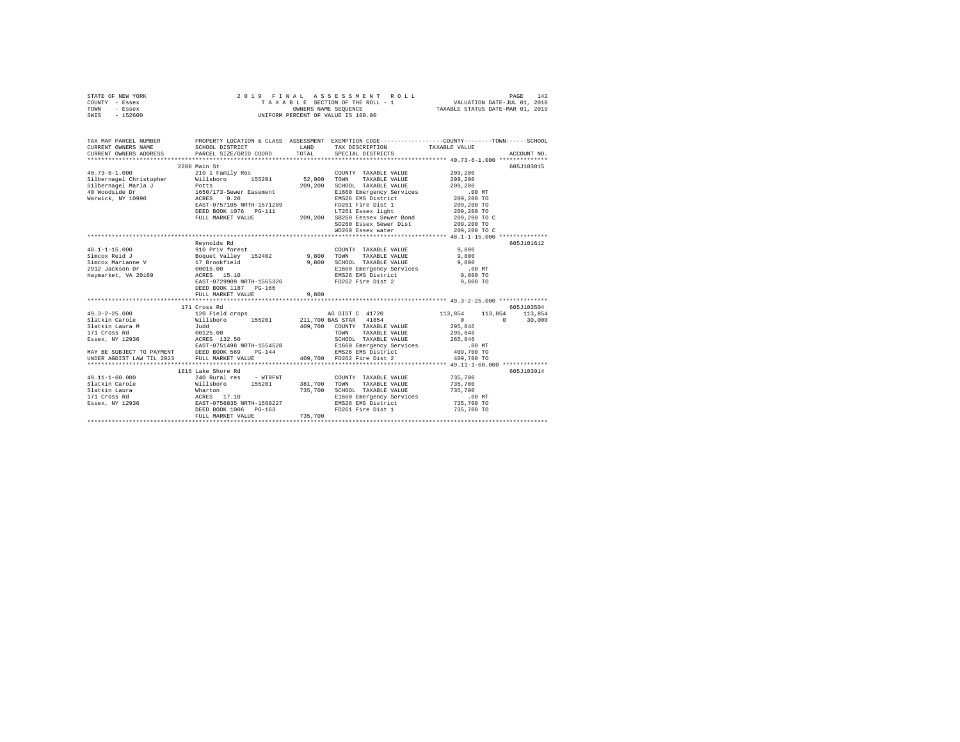| STATE OF NEW YORK | 2019 FINAL ASSESSMENT ROLL         | 142<br>PAGE                      |
|-------------------|------------------------------------|----------------------------------|
| COUNTY - Essex    | TAXABLE SECTION OF THE ROLL - 1    | VALUATION DATE-JUL 01, 2018      |
| TOWN<br>- Essex   | OWNERS NAME SEOUENCE               | TAXABLE STATUS DATE-MAR 01, 2019 |
| $-152600$<br>SWIS | UNIFORM PERCENT OF VALUE IS 100.00 |                                  |

| TAX MAP PARCEL NUMBER<br>CURRENT OWNERS NAME SCHOOL DISTRICT LAND TAX DESCRIPTION TAXABLE VALUE ACCOUNT NO. ACCOUNT NO. ANNO TRANSMENT OWNERS ADDRESS PART SCHOOL DISTRICT LAND TO A MACHINE TRANSMENT ON ACCOUNT NO. |                                                                                                                                                                                                                                    |         | PROPERTY LOCATION & CLASS ASSESSMENT EXEMPTION CODE-----------------COUNTY-------TOWN------SCHOOL |                             |            |
|-----------------------------------------------------------------------------------------------------------------------------------------------------------------------------------------------------------------------|------------------------------------------------------------------------------------------------------------------------------------------------------------------------------------------------------------------------------------|---------|---------------------------------------------------------------------------------------------------|-----------------------------|------------|
|                                                                                                                                                                                                                       |                                                                                                                                                                                                                                    |         |                                                                                                   |                             |            |
|                                                                                                                                                                                                                       | 2280 Main St                                                                                                                                                                                                                       |         |                                                                                                   |                             | 605J103015 |
| $40.73 - 6 - 1.000$                                                                                                                                                                                                   | 210 1 Family Res                                                                                                                                                                                                                   |         | COUNTY TAXABLE VALUE                                                                              | 209,200                     |            |
| Silbernagel Christopher Millsboro 155201 52,000                                                                                                                                                                       |                                                                                                                                                                                                                                    |         | TOWN<br>TAXABLE VALUE                                                                             | 209,200                     |            |
|                                                                                                                                                                                                                       |                                                                                                                                                                                                                                    | 209,200 | SCHOOL TAXABLE VALUE                                                                              | 209,200                     |            |
|                                                                                                                                                                                                                       |                                                                                                                                                                                                                                    |         | E1660 Emergency Services                                                                          | $.00$ MT                    |            |
|                                                                                                                                                                                                                       |                                                                                                                                                                                                                                    |         | EMS26 EMS District                                                                                | 209,200 TO                  |            |
|                                                                                                                                                                                                                       |                                                                                                                                                                                                                                    |         | FD261 Fire Dist 1                                                                                 | 209,200 TO                  |            |
|                                                                                                                                                                                                                       |                                                                                                                                                                                                                                    |         | LT261 Essex light 209,200 TO                                                                      |                             |            |
|                                                                                                                                                                                                                       | FULL MARKET VALUE                                                                                                                                                                                                                  |         | $5-111$ LT261 Essex light<br>209,200 SB260 Eessex Sewer Bond<br>209,200 Second Bond Mark          |                             |            |
|                                                                                                                                                                                                                       |                                                                                                                                                                                                                                    |         | SD260 Essex Sewer Dist                                                                            | 209,200 TO C<br>209,200 TO  |            |
|                                                                                                                                                                                                                       |                                                                                                                                                                                                                                    |         | WD260 Essex water                                                                                 | 209,200 TO C                |            |
|                                                                                                                                                                                                                       |                                                                                                                                                                                                                                    |         |                                                                                                   |                             |            |
|                                                                                                                                                                                                                       | Revnolds Rd                                                                                                                                                                                                                        |         |                                                                                                   |                             | 605J101612 |
|                                                                                                                                                                                                                       |                                                                                                                                                                                                                                    |         | COUNTY TAXABLE VALUE                                                                              | 9,800                       |            |
|                                                                                                                                                                                                                       |                                                                                                                                                                                                                                    |         | TAXABLE VALUE<br>TOWN                                                                             | 9,800                       |            |
|                                                                                                                                                                                                                       |                                                                                                                                                                                                                                    |         | SCHOOL TAXABLE VALUE                                                                              | 9,800                       |            |
|                                                                                                                                                                                                                       |                                                                                                                                                                                                                                    |         | E1660 Emergency Services                                                                          | $.00$ MT                    |            |
| Haymarket, VA 20169                                                                                                                                                                                                   | ACRES 15.10                                                                                                                                                                                                                        |         |                                                                                                   | 9,800 TO                    |            |
|                                                                                                                                                                                                                       | --------<br>ACRES 15.10<br>EAST-0729909 NRTH-1565326                                                                                                                                                                               |         | EMS26 EMS District<br>FD262 Fire Dist 2                                                           | 9,800 TO                    |            |
|                                                                                                                                                                                                                       | DEED BOOK 1187 PG-166                                                                                                                                                                                                              |         |                                                                                                   |                             |            |
|                                                                                                                                                                                                                       | FULL MARKET VALUE                                                                                                                                                                                                                  | 9,800   |                                                                                                   |                             |            |
|                                                                                                                                                                                                                       |                                                                                                                                                                                                                                    |         |                                                                                                   |                             |            |
|                                                                                                                                                                                                                       | 171 Cross Rd                                                                                                                                                                                                                       |         |                                                                                                   |                             | 605J103504 |
| $\frac{49.3-2-25.000}{49.3-2-25.000}$ and $\frac{120 \text{ Field crops}}{111 \text{ sboto}}$ and $\frac{155201}{211,700 BAS STR}$ 41854                                                                              |                                                                                                                                                                                                                                    |         |                                                                                                   | 113,854<br>113,854 113,854  |            |
|                                                                                                                                                                                                                       |                                                                                                                                                                                                                                    |         |                                                                                                   | $\sim$ 0 $\sim$<br>$\sim$ 0 | 30,000     |
|                                                                                                                                                                                                                       |                                                                                                                                                                                                                                    |         | 409.700 COUNTY TAXABLE VALUE                                                                      | 295,846                     |            |
|                                                                                                                                                                                                                       |                                                                                                                                                                                                                                    |         | TOWN<br>TAXABLE VALUE                                                                             | 295,846                     |            |
|                                                                                                                                                                                                                       |                                                                                                                                                                                                                                    |         | SCHOOL TAXABLE VALUE                                                                              | 265,846                     |            |
|                                                                                                                                                                                                                       |                                                                                                                                                                                                                                    |         |                                                                                                   | .00 MT                      |            |
|                                                                                                                                                                                                                       |                                                                                                                                                                                                                                    |         |                                                                                                   | 409,700 TO                  |            |
|                                                                                                                                                                                                                       |                                                                                                                                                                                                                                    |         |                                                                                                   | 409,700 TO                  |            |
|                                                                                                                                                                                                                       |                                                                                                                                                                                                                                    |         |                                                                                                   |                             |            |
|                                                                                                                                                                                                                       | 1816 Lake Shore Rd                                                                                                                                                                                                                 |         |                                                                                                   |                             | 605J103914 |
| $49.11 - 1 - 60.000$                                                                                                                                                                                                  | 240 Rural res - WTRFNT                                                                                                                                                                                                             |         | COUNTY TAXABLE VALUE                                                                              | 735,700                     |            |
| Slatkin Carole                                                                                                                                                                                                        |                                                                                                                                                                                                                                    | 381,700 | TOWN TAXABLE VALUE                                                                                | 735,700                     |            |
| Slatkin Laura                                                                                                                                                                                                         |                                                                                                                                                                                                                                    | 735,700 | SCHOOL TAXABLE VALUE                                                                              | 735,700                     |            |
| 171 Cross Rd                                                                                                                                                                                                          |                                                                                                                                                                                                                                    |         | E1660 Emergency Services                                                                          | .00 MT                      |            |
| Essex, NY 12936                                                                                                                                                                                                       | e – 1111<br>1111 – 11201 – 11201 – 11201 – 11201 – 11201 – 12201 – 12301 – 12301 – 12301 – 12301 – 12301 – 1230<br>236 – 12302 – 12303 – 12303 – 12303 – 12303 – 12303 – 12303 – 12303 – 12303 – 12303 – 12303 – 12303 – 12303 – 1 |         | EMS26 EMS District                                                                                | 735,700 TO                  |            |
|                                                                                                                                                                                                                       | DEED BOOK 1006 PG-163                                                                                                                                                                                                              |         | FD261 Fire Dist 1                                                                                 | 735,700 TO                  |            |
|                                                                                                                                                                                                                       | FULL MARKET VALUE                                                                                                                                                                                                                  | 735,700 |                                                                                                   |                             |            |
|                                                                                                                                                                                                                       |                                                                                                                                                                                                                                    |         |                                                                                                   |                             |            |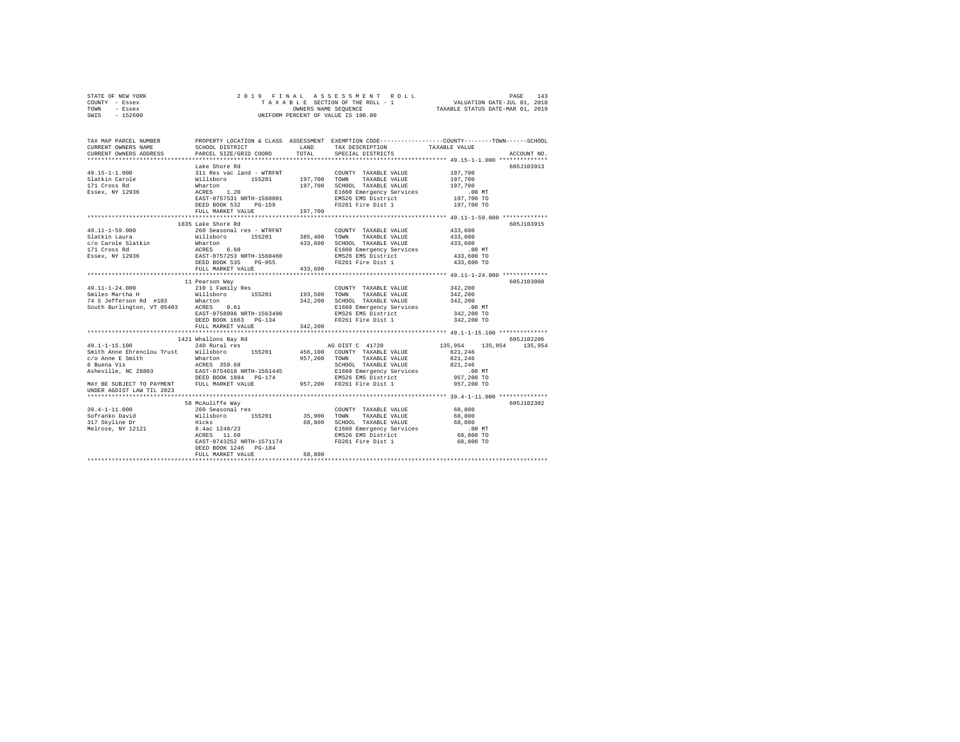| STATE OF NEW YORK |  |  | 2019 FINAL ASSESSMENT ROLL         |                                  | PAGE | 143 |
|-------------------|--|--|------------------------------------|----------------------------------|------|-----|
| COUNTY - Essex    |  |  | TAXABLE SECTION OF THE ROLL - 1    | VALUATION DATE-JUL 01, 2018      |      |     |
| TOWN<br>- Essex   |  |  | OWNERS NAME SEOUENCE               | TAXABLE STATUS DATE-MAR 01, 2019 |      |     |
| $-152600$<br>SWIS |  |  | UNIFORM PERCENT OF VALUE IS 100.00 |                                  |      |     |

| TAX MAP PARCEL NUMBER<br>CURRENT OWNERS NAME<br>CURRENT OWNERS ADDRESS                                                                                                                                                                     | SCHOOL DISTRICT TAND TAX DESCRIPTION<br>PARCEL SIZE/GRID COORD | TOTAL   | SPECIAL DISTRICTS                                               | PROPERTY LOCATION & CLASS ASSESSMENT EXEMPTION CODE---------------COUNTY-------TOWN-----SCHOOL<br>TAXABLE VALUE<br>ACCOUNT NO. |  |  |  |  |  |  |  |
|--------------------------------------------------------------------------------------------------------------------------------------------------------------------------------------------------------------------------------------------|----------------------------------------------------------------|---------|-----------------------------------------------------------------|--------------------------------------------------------------------------------------------------------------------------------|--|--|--|--|--|--|--|
|                                                                                                                                                                                                                                            |                                                                |         |                                                                 |                                                                                                                                |  |  |  |  |  |  |  |
|                                                                                                                                                                                                                                            | Lake Shore Rd                                                  |         |                                                                 | 605J103913                                                                                                                     |  |  |  |  |  |  |  |
|                                                                                                                                                                                                                                            |                                                                |         |                                                                 |                                                                                                                                |  |  |  |  |  |  |  |
|                                                                                                                                                                                                                                            |                                                                |         |                                                                 |                                                                                                                                |  |  |  |  |  |  |  |
|                                                                                                                                                                                                                                            |                                                                |         |                                                                 |                                                                                                                                |  |  |  |  |  |  |  |
|                                                                                                                                                                                                                                            |                                                                |         |                                                                 | 00 MT.<br>197,700 TO                                                                                                           |  |  |  |  |  |  |  |
|                                                                                                                                                                                                                                            |                                                                |         |                                                                 |                                                                                                                                |  |  |  |  |  |  |  |
|                                                                                                                                                                                                                                            | DEED BOOK 532 PG-159                                           |         | FD261 Fire Dist 1                                               | 197,700 TO                                                                                                                     |  |  |  |  |  |  |  |
|                                                                                                                                                                                                                                            | FULL MARKET VALUE 197,700                                      |         |                                                                 |                                                                                                                                |  |  |  |  |  |  |  |
|                                                                                                                                                                                                                                            |                                                                |         |                                                                 |                                                                                                                                |  |  |  |  |  |  |  |
|                                                                                                                                                                                                                                            | 1835 Lake Shore Rd                                             |         |                                                                 | 605J103915                                                                                                                     |  |  |  |  |  |  |  |
| 49.11-1-59.000                                                                                                                                                                                                                             | 260 Seasonal res - WTRFNT                                      |         | COUNTY TAXABLE VALUE                                            | 433,600                                                                                                                        |  |  |  |  |  |  |  |
|                                                                                                                                                                                                                                            |                                                                |         |                                                                 | 433,600                                                                                                                        |  |  |  |  |  |  |  |
|                                                                                                                                                                                                                                            |                                                                |         |                                                                 | 433,600                                                                                                                        |  |  |  |  |  |  |  |
| 91.11-1-93.000 MM TAXABLE VALUE<br>191.11-1-93.000 MM TAXABLE VALUE<br>C/O Carole Slatkin Mharton<br>191.12 Cross Rd ACRES 6.60 433,600 SCHOOL TAXABLE VALUE<br>171 Cross Rd ACRES 6.60 E1660 Bmg26 SENSCHORE RESERV SPITTER<br>18826 EX   |                                                                |         |                                                                 |                                                                                                                                |  |  |  |  |  |  |  |
|                                                                                                                                                                                                                                            |                                                                |         |                                                                 |                                                                                                                                |  |  |  |  |  |  |  |
|                                                                                                                                                                                                                                            | FULL MARKET VALUE 433,600                                      |         | FD261 Fire Dist 1                                               | 433,600 TO                                                                                                                     |  |  |  |  |  |  |  |
|                                                                                                                                                                                                                                            |                                                                |         |                                                                 |                                                                                                                                |  |  |  |  |  |  |  |
|                                                                                                                                                                                                                                            |                                                                |         |                                                                 |                                                                                                                                |  |  |  |  |  |  |  |
|                                                                                                                                                                                                                                            | 11 Pearson Way<br>210 1 Family Res                             |         |                                                                 | 605J103008<br>342,200                                                                                                          |  |  |  |  |  |  |  |
| 49.11-1-24.000                                                                                                                                                                                                                             |                                                                |         | COUNTY TAXABLE VALUE                                            |                                                                                                                                |  |  |  |  |  |  |  |
| Smiles Martina Hart (1990) - 199,500 TOWN TAXABLE VALUE 342,200<br>199,500 TOWN TAXABLE VALUE 342,200<br>199,500 TOWN TAXABLE VALUE 342,200 SCHOOL TAXABLE VALUE 344,200<br>10.0 South Burlington, VT 05403 ACRES 10.000 - 199,000 DEC     |                                                                |         |                                                                 |                                                                                                                                |  |  |  |  |  |  |  |
|                                                                                                                                                                                                                                            |                                                                |         |                                                                 |                                                                                                                                |  |  |  |  |  |  |  |
|                                                                                                                                                                                                                                            | EAST-0758096 NRTH-1563490                                      |         | E1660 Emergency Services<br>EMS26 EMS District                  | .00 MT.<br>342,200 TO                                                                                                          |  |  |  |  |  |  |  |
|                                                                                                                                                                                                                                            | DEED BOOK 1663 PG-134                                          |         | FD261 Fire Dist 1                                               | 342,200 TO                                                                                                                     |  |  |  |  |  |  |  |
|                                                                                                                                                                                                                                            | FULL MARKET VALUE                                              | 342,200 |                                                                 |                                                                                                                                |  |  |  |  |  |  |  |
|                                                                                                                                                                                                                                            |                                                                |         |                                                                 |                                                                                                                                |  |  |  |  |  |  |  |
|                                                                                                                                                                                                                                            | 1421 Whallons Bay Rd                                           |         |                                                                 | 605J102206                                                                                                                     |  |  |  |  |  |  |  |
| 49.1-1-15.100 240 Rural res                                                                                                                                                                                                                |                                                                |         | AG DIST C 41720                                                 | 135,954 135,954 135,954                                                                                                        |  |  |  |  |  |  |  |
| Smith Anne Ehrenclou Trust Willsboro 155201 456,100 COUNTY TAXABLE VALUE                                                                                                                                                                   |                                                                |         |                                                                 | 821,246                                                                                                                        |  |  |  |  |  |  |  |
|                                                                                                                                                                                                                                            |                                                                |         |                                                                 | 821,246                                                                                                                        |  |  |  |  |  |  |  |
|                                                                                                                                                                                                                                            |                                                                |         | SCHOOL TAXABLE VALUE 821,246                                    |                                                                                                                                |  |  |  |  |  |  |  |
|                                                                                                                                                                                                                                            |                                                                |         |                                                                 | .00 MT                                                                                                                         |  |  |  |  |  |  |  |
| USICAL AMERICAN MARINDRY AND MANUS 1997,200 TOWN TAXABLE VALUE<br>SCO Anne E Smith Marindry Mariton 1997,200 TOWN TAXABLE VALUE<br>6 Johnna 1997,200 TOWN TAXABLE VALUE<br>Asheville, NC 28803 BEAST-0754618 NRTH-1561445 B1660 Emer       |                                                                |         |                                                                 | 957,200 TO                                                                                                                     |  |  |  |  |  |  |  |
|                                                                                                                                                                                                                                            |                                                                |         |                                                                 | 957,200 TO                                                                                                                     |  |  |  |  |  |  |  |
| UNDER AGDIST LAW TIL 2023                                                                                                                                                                                                                  |                                                                |         |                                                                 |                                                                                                                                |  |  |  |  |  |  |  |
|                                                                                                                                                                                                                                            |                                                                |         |                                                                 |                                                                                                                                |  |  |  |  |  |  |  |
|                                                                                                                                                                                                                                            |                                                                |         |                                                                 | 605J102302                                                                                                                     |  |  |  |  |  |  |  |
|                                                                                                                                                                                                                                            |                                                                |         |                                                                 |                                                                                                                                |  |  |  |  |  |  |  |
|                                                                                                                                                                                                                                            |                                                                |         |                                                                 |                                                                                                                                |  |  |  |  |  |  |  |
|                                                                                                                                                                                                                                            |                                                                |         |                                                                 |                                                                                                                                |  |  |  |  |  |  |  |
| 39.4-1-11.000<br>39.4-1-11.000<br>39.4-1-11.000<br>39.4-1-11.000<br>39.567ranko David Willisboro 155201<br>35,900 TOWN TAXABLE VALUE 68,800<br>317 Skyline Dr Hicks 1148/23<br>8.4ac 1248/23<br>8.4ac 1248/23<br>8.4ac 1248/23<br>202RES 1 |                                                                |         |                                                                 |                                                                                                                                |  |  |  |  |  |  |  |
|                                                                                                                                                                                                                                            |                                                                |         | E1660 Emergency Services .00 MT<br>EMS26 EMS District 68,800 TO |                                                                                                                                |  |  |  |  |  |  |  |
|                                                                                                                                                                                                                                            |                                                                |         | EAST-0743252 NRTH-1571174 FD261 Fire Dist 1                     | 68,800 TO                                                                                                                      |  |  |  |  |  |  |  |
|                                                                                                                                                                                                                                            | DEED BOOK 1246 PG-184                                          |         |                                                                 |                                                                                                                                |  |  |  |  |  |  |  |
|                                                                                                                                                                                                                                            | FULL MARKET VALUE                                              | 68,800  |                                                                 |                                                                                                                                |  |  |  |  |  |  |  |
|                                                                                                                                                                                                                                            |                                                                |         |                                                                 |                                                                                                                                |  |  |  |  |  |  |  |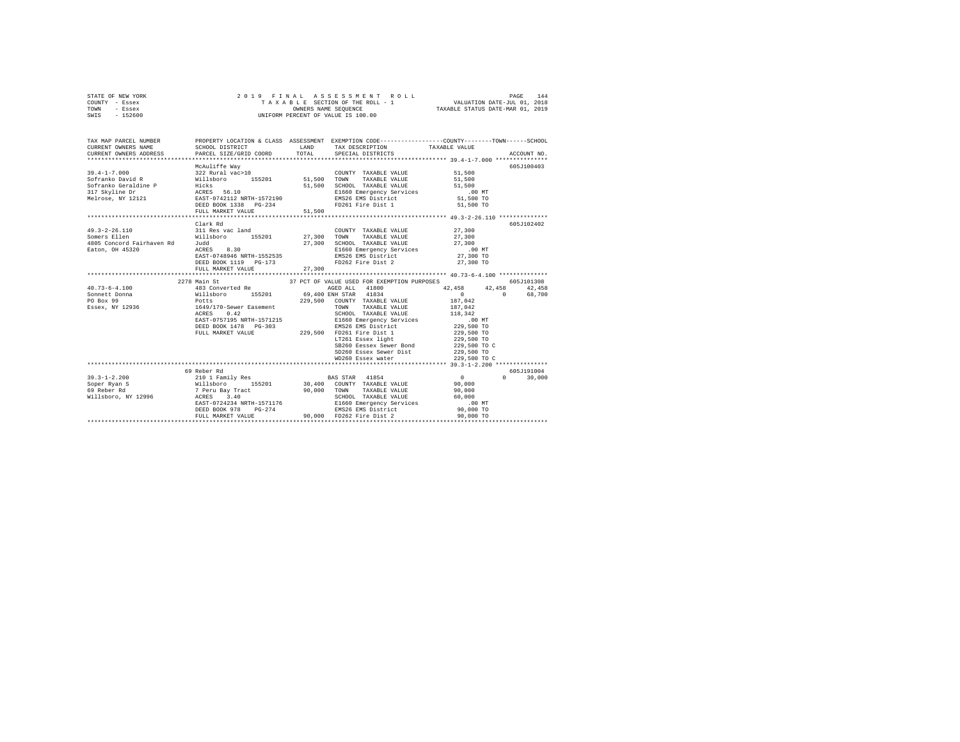| STATE OF NEW YORK |         |  |  |  | 2019 FINAL ASSESSMENT ROLL         |                                  | PAGE | 144 |
|-------------------|---------|--|--|--|------------------------------------|----------------------------------|------|-----|
| COUNTY - Essex    |         |  |  |  | TAXABLE SECTION OF THE ROLL - 1    | VALUATION DATE-JUL 01, 2018      |      |     |
| TOWN              | - Essex |  |  |  | OWNERS NAME SEOUENCE               | TAXABLE STATUS DATE-MAR 01, 2019 |      |     |
| SWIS - 152600     |         |  |  |  | UNIFORM PERCENT OF VALUE IS 100.00 |                                  |      |     |

| TAX MAP PARCEL NUMBER<br>CURRENT OWNERS NAME                                                                                                                                                                                                                                                                                                                                                            |                                                                 |                                                                                                                                                                                                                                                                                                                                                                                                                                              |                      |               |
|---------------------------------------------------------------------------------------------------------------------------------------------------------------------------------------------------------------------------------------------------------------------------------------------------------------------------------------------------------------------------------------------------------|-----------------------------------------------------------------|----------------------------------------------------------------------------------------------------------------------------------------------------------------------------------------------------------------------------------------------------------------------------------------------------------------------------------------------------------------------------------------------------------------------------------------------|----------------------|---------------|
| CURRENT OWNERS ADDRESS FORCEL SIZE/GRID COORD TOTAL SPECIAL DISTRICTS (2011) ACCOUNT NO.                                                                                                                                                                                                                                                                                                                |                                                                 |                                                                                                                                                                                                                                                                                                                                                                                                                                              |                      |               |
|                                                                                                                                                                                                                                                                                                                                                                                                         | McAuliffe Wav                                                   |                                                                                                                                                                                                                                                                                                                                                                                                                                              |                      | 605J100403    |
|                                                                                                                                                                                                                                                                                                                                                                                                         |                                                                 | COUNTY TAXABLE VALUE 51,500                                                                                                                                                                                                                                                                                                                                                                                                                  |                      |               |
|                                                                                                                                                                                                                                                                                                                                                                                                         |                                                                 |                                                                                                                                                                                                                                                                                                                                                                                                                                              | 51,500               |               |
|                                                                                                                                                                                                                                                                                                                                                                                                         |                                                                 |                                                                                                                                                                                                                                                                                                                                                                                                                                              | 51,500               |               |
|                                                                                                                                                                                                                                                                                                                                                                                                         |                                                                 | E1660 Emergency Services .00 MT                                                                                                                                                                                                                                                                                                                                                                                                              |                      |               |
|                                                                                                                                                                                                                                                                                                                                                                                                         |                                                                 |                                                                                                                                                                                                                                                                                                                                                                                                                                              | 51,500 TO            |               |
| 39.4-1-7.000<br>Sofranko Bavid R (1911 Milledoro 155201 51,500 COUNTY TAXABLE VALUE<br>Sofranko Geraldine P Hicks<br>Sofranko Geraldine P Hicks<br>317 Skyline Dr ACRES 56.10 51,500 SCHOOL TAXABLE VALUE<br>Melrose, NY 12121 EACRES 5                                                                                                                                                                 | FULL MARKET VALUE 51,500                                        |                                                                                                                                                                                                                                                                                                                                                                                                                                              | 51,500 TO            |               |
|                                                                                                                                                                                                                                                                                                                                                                                                         |                                                                 |                                                                                                                                                                                                                                                                                                                                                                                                                                              |                      |               |
|                                                                                                                                                                                                                                                                                                                                                                                                         | Clark Rd                                                        |                                                                                                                                                                                                                                                                                                                                                                                                                                              |                      | 605J102402    |
|                                                                                                                                                                                                                                                                                                                                                                                                         |                                                                 |                                                                                                                                                                                                                                                                                                                                                                                                                                              |                      |               |
|                                                                                                                                                                                                                                                                                                                                                                                                         |                                                                 |                                                                                                                                                                                                                                                                                                                                                                                                                                              |                      |               |
|                                                                                                                                                                                                                                                                                                                                                                                                         |                                                                 |                                                                                                                                                                                                                                                                                                                                                                                                                                              |                      |               |
|                                                                                                                                                                                                                                                                                                                                                                                                         |                                                                 | E1660 Emergency Services .00 MT                                                                                                                                                                                                                                                                                                                                                                                                              |                      |               |
|                                                                                                                                                                                                                                                                                                                                                                                                         | DEED BOOK 1119 PG-173                                           | FD262 Fire Dist 2                                                                                                                                                                                                                                                                                                                                                                                                                            | 27,300 TO            |               |
|                                                                                                                                                                                                                                                                                                                                                                                                         |                                                                 |                                                                                                                                                                                                                                                                                                                                                                                                                                              | 27,300 TO            |               |
|                                                                                                                                                                                                                                                                                                                                                                                                         |                                                                 |                                                                                                                                                                                                                                                                                                                                                                                                                                              |                      |               |
| $\begin{tabular}{l c c c c c} \multicolumn{4}{c c c c} \multicolumn{4}{c c c} \multicolumn{4}{c c c} \multicolumn{4}{c c c} \multicolumn{4}{c c c} \multicolumn{4}{c c c} \multicolumn{4}{c c c} \multicolumn{4}{c c c} \multicolumn{4}{c c c} \multicolumn{4}{c c c} \multicolumn{4}{c c c} \multicolumn{4}{c c c} \multicolumn{4}{c c c} \multicolumn{4}{c c c} \multicolumn{4}{c c c} \multicolumn{$ | 2278 Main St                                                    | 37 PCT OF VALUE USED FOR EXEMPTION PURPOSES                                                                                                                                                                                                                                                                                                                                                                                                  |                      | 605-T101308   |
|                                                                                                                                                                                                                                                                                                                                                                                                         |                                                                 |                                                                                                                                                                                                                                                                                                                                                                                                                                              | 42,458 42,458 42,458 |               |
|                                                                                                                                                                                                                                                                                                                                                                                                         |                                                                 |                                                                                                                                                                                                                                                                                                                                                                                                                                              |                      | 68,700        |
|                                                                                                                                                                                                                                                                                                                                                                                                         |                                                                 |                                                                                                                                                                                                                                                                                                                                                                                                                                              |                      |               |
|                                                                                                                                                                                                                                                                                                                                                                                                         |                                                                 |                                                                                                                                                                                                                                                                                                                                                                                                                                              |                      |               |
|                                                                                                                                                                                                                                                                                                                                                                                                         |                                                                 |                                                                                                                                                                                                                                                                                                                                                                                                                                              |                      |               |
|                                                                                                                                                                                                                                                                                                                                                                                                         |                                                                 |                                                                                                                                                                                                                                                                                                                                                                                                                                              |                      |               |
|                                                                                                                                                                                                                                                                                                                                                                                                         |                                                                 |                                                                                                                                                                                                                                                                                                                                                                                                                                              |                      |               |
|                                                                                                                                                                                                                                                                                                                                                                                                         |                                                                 |                                                                                                                                                                                                                                                                                                                                                                                                                                              |                      |               |
|                                                                                                                                                                                                                                                                                                                                                                                                         |                                                                 |                                                                                                                                                                                                                                                                                                                                                                                                                                              |                      |               |
|                                                                                                                                                                                                                                                                                                                                                                                                         |                                                                 | SB260 Eessex Sewer Bond 229,500 TO C                                                                                                                                                                                                                                                                                                                                                                                                         |                      |               |
|                                                                                                                                                                                                                                                                                                                                                                                                         |                                                                 | SD260 Essex Sewer Dist 229,500 TO                                                                                                                                                                                                                                                                                                                                                                                                            |                      |               |
|                                                                                                                                                                                                                                                                                                                                                                                                         |                                                                 |                                                                                                                                                                                                                                                                                                                                                                                                                                              |                      |               |
|                                                                                                                                                                                                                                                                                                                                                                                                         |                                                                 |                                                                                                                                                                                                                                                                                                                                                                                                                                              |                      | 605-7191004   |
| $39.3 - 1 - 2.200$                                                                                                                                                                                                                                                                                                                                                                                      |                                                                 |                                                                                                                                                                                                                                                                                                                                                                                                                                              | $\overline{a}$       | $0 \t 30,000$ |
| Soper Ryan S                                                                                                                                                                                                                                                                                                                                                                                            |                                                                 |                                                                                                                                                                                                                                                                                                                                                                                                                                              |                      |               |
|                                                                                                                                                                                                                                                                                                                                                                                                         |                                                                 |                                                                                                                                                                                                                                                                                                                                                                                                                                              |                      |               |
| 69 Reber Rd<br>Willsboro, NY 12996                                                                                                                                                                                                                                                                                                                                                                      |                                                                 | $\begin{array}{cccc} 69 \text{ Reber M}\\ 2101 \text{ Fami1ly Res} \\ 811 \text{ Isport M} \\ 7 \text{ Perv Bay Tract} \\ 7 \text{ Perv Bay Tract} \\ 12996 \end{array} \qquad \begin{array}{cccc} \text{BAS STAR} & 41854 & 0 \\ 30,400 & \text{CONTY TAXABLE VALUE} \\ 90,000 & \text{TONW} \\ 90,000 & \text{TONW} \\ 90,000 & \text{TONW} \\ 8 \text{CHOOL} & \text{TAXABLE VALUE} \\ 90,000 & \text{SCHOOL} & \text{TAXABLE VALUE} \\ $ |                      |               |
|                                                                                                                                                                                                                                                                                                                                                                                                         |                                                                 |                                                                                                                                                                                                                                                                                                                                                                                                                                              |                      |               |
|                                                                                                                                                                                                                                                                                                                                                                                                         |                                                                 | EAST-0724234 NRTH-1571176 E1660 Emergency Services 00 NT<br>DEED BOOK 978 PG-274 EMS26 EMS District 90,000 TO                                                                                                                                                                                                                                                                                                                                |                      |               |
|                                                                                                                                                                                                                                                                                                                                                                                                         | ENSION 178 PG-274<br>FULL MARKET VALUE 90,000 FD262 Fire Dist 2 |                                                                                                                                                                                                                                                                                                                                                                                                                                              | 90,000 TO            |               |
|                                                                                                                                                                                                                                                                                                                                                                                                         |                                                                 |                                                                                                                                                                                                                                                                                                                                                                                                                                              |                      |               |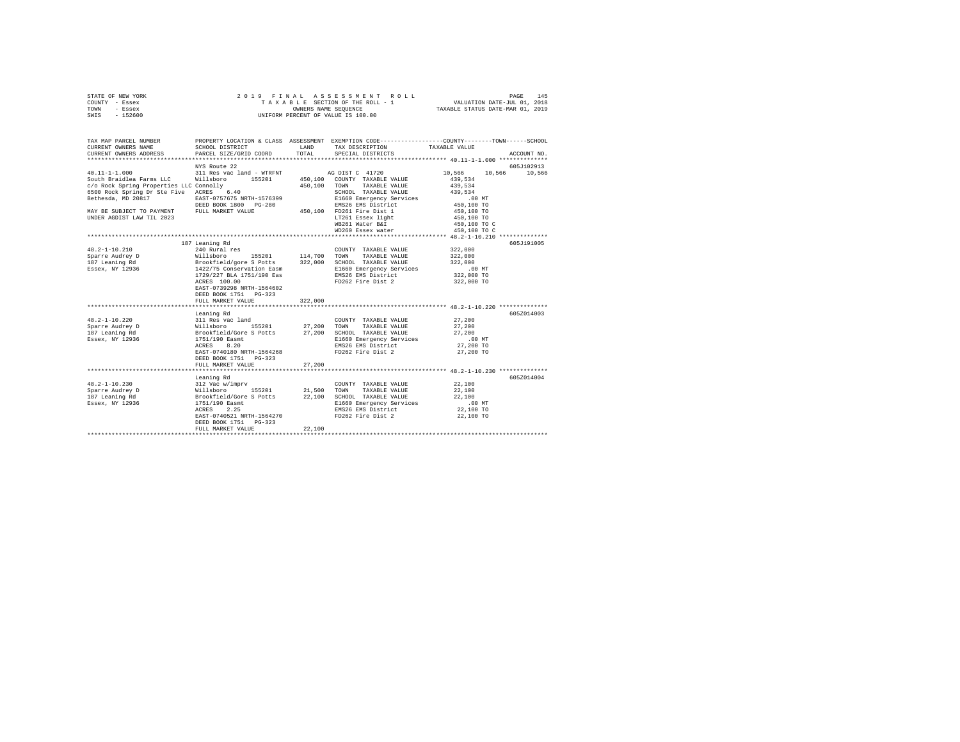| STATE OF NEW YORK                       |                                   |               | 2019 FINAL ASSESSMENT ROLL                                                                      |                                  | 145<br>PAGE |
|-----------------------------------------|-----------------------------------|---------------|-------------------------------------------------------------------------------------------------|----------------------------------|-------------|
| COUNTY - Essex                          |                                   |               | TAXABLE SECTION OF THE ROLL - 1                                                                 | VALUATION DATE-JUL 01, 2018      |             |
| TOWN<br>- Essex                         |                                   |               |                                                                                                 | TAXABLE STATUS DATE-MAR 01, 2019 |             |
| SWIS - 152600                           |                                   |               | UNIFORM PERCENT OF VALUE IS 100.00                                                              |                                  |             |
|                                         |                                   |               |                                                                                                 |                                  |             |
| TAX MAP PARCEL NUMBER                   |                                   |               | PROPERTY LOCATION & CLASS ASSESSMENT EXEMPTION CODE---------------COUNTY-------TOWN------SCHOOL |                                  |             |
| CURRENT OWNERS NAME                     | SCHOOL DISTRICT                   | LAND          | TAX DESCRIPTION                                                                                 | TAXABLE VALUE                    |             |
| CURRENT OWNERS ADDRESS                  | PARCEL SIZE/GRID COORD            | TOTAL         | SPECIAL DISTRICTS                                                                               |                                  | ACCOUNT NO. |
|                                         | NYS Route 22                      |               |                                                                                                 |                                  | 605J102913  |
| $40.11 - 1 - 1.000$                     | 311 Res vac land - WTRFNT         |               | AG DIST C 41720                                                                                 | 10,566 10,566 10,566             |             |
| South Braidlea Farms LLC Willsboro      | 155201                            | 450,100       | COUNTY TAXABLE VALUE                                                                            | 439.534                          |             |
| c/o Rock Spring Properties LLC Connolly |                                   | 450,100 TOWN  | TAXABLE VALUE                                                                                   | 439,534                          |             |
| 6500 Rock Spring Dr Ste Five ACRES 6.40 |                                   |               | SCHOOL TAXABLE VALUE                                                                            | 439.534                          |             |
| Bethesda, MD 20817                      | EAST-0757675 NRTH-1576399         |               |                                                                                                 | $.00$ MT                         |             |
|                                         |                                   |               | E1660 Emergency Services                                                                        |                                  |             |
|                                         | DEED BOOK 1800 PG-280             |               | EMS26 EMS District<br>450,100 FD261 Fire Dist 1                                                 | 450,100 TO                       |             |
| MAY BE SUBJECT TO PAYMENT               | FULL MARKET VALUE                 |               |                                                                                                 | 450,100 TO                       |             |
| UNDER AGDIST LAW TIL 2023               |                                   |               | LT261 Essex light                                                                               | 450,100 TO                       |             |
|                                         |                                   |               | WB261 Water B&I                                                                                 | 450,100 TO C                     |             |
|                                         |                                   |               | WD260 Essex water                                                                               | 450,100 TO C                     |             |
|                                         |                                   |               |                                                                                                 |                                  |             |
|                                         | 187 Leaning Rd                    |               |                                                                                                 |                                  | 605J191005  |
| $48.2 - 1 - 10.210$                     | 240 Rural res                     |               | COUNTY TAXABLE VALUE                                                                            | 322,000                          |             |
| Sparre Audrey D                         | Willsboro<br>155201 114,700       |               | TOWN<br>TAXABLE VALUE                                                                           | 322,000                          |             |
| 187 Leaning Rd                          | Brookfield/gore S Potts           |               | 322,000 SCHOOL TAXABLE VALUE                                                                    | 322,000                          |             |
| Essex, NY 12936                         | 1422/75 Conservation Easm         |               | E1660 Emergency Services                                                                        | $.00$ MT                         |             |
|                                         | 1729/227 BLA 1751/190 Eas         |               | EMS26 EMS District                                                                              | 322,000 TO                       |             |
|                                         | ACRES 100.00                      |               | FD262 Fire Dist 2                                                                               | 322,000 TO                       |             |
|                                         | EAST-0739298 NRTH-1564602         |               |                                                                                                 |                                  |             |
|                                         | DEED BOOK 1751 PG-323             |               |                                                                                                 |                                  |             |
|                                         | FULL MARKET VALUE                 | 322,000       |                                                                                                 |                                  |             |
|                                         |                                   |               |                                                                                                 |                                  |             |
|                                         | Leaning Rd                        |               |                                                                                                 |                                  | 605Z014003  |
| $48.2 - 1 - 10.220$                     | 311 Res vac land                  |               | COUNTY TAXABLE VALUE                                                                            | 27,200                           |             |
| Sparre Audrey D                         | Willsboro<br>155201               | 27,200        | TAXABLE VALUE<br>TOWN                                                                           | 27,200                           |             |
| 187 Leaning Rd                          | Brookfield/Gore S Potts           | 27,200        | SCHOOL TAXABLE VALUE                                                                            | 27,200                           |             |
| Essex, NY 12936                         | 1751/190 Easmt                    |               | E1660 Emergency Services                                                                        | $.00$ MT                         |             |
|                                         | ACRES<br>8.20                     |               | EMS26 EMS District                                                                              | 27,200 TO                        |             |
|                                         | EAST-0740180 NRTH-1564268         |               | FD262 Fire Dist 2                                                                               | 27,200 TO                        |             |
|                                         | DEED BOOK 1751 PG-323             |               |                                                                                                 |                                  |             |
|                                         | FULL MARKET VALUE                 | 27,200        |                                                                                                 |                                  |             |
|                                         |                                   |               | ********************************* 48.2-1-10.230 ***************                                 |                                  |             |
|                                         | Leaning Rd                        |               |                                                                                                 |                                  | 605Z014004  |
| $48.2 - 1 - 10.230$                     | 312 Vac w/imprv                   |               | COUNTY TAXABLE VALUE                                                                            | 22,100                           |             |
| Sparre Audrey D                         | Willsboro                         | 155201 21,500 | TOWN<br>TAXABLE VALUE                                                                           | 22,100                           |             |
| 187 Leaning Rd                          | Brookfield/Gore S Potts           | 22,100        | SCHOOL TAXABLE VALUE                                                                            | 22,100                           |             |
| Essex, NY 12936                         |                                   |               | E1660 Emergency Services                                                                        | $.00$ MT                         |             |
|                                         | $1751/190$ Easmt<br>2.25<br>ACRES |               | EMS26 EMS District                                                                              | 22,100 TO                        |             |
|                                         | EAST-0740521 NRTH-1564270         |               | FD262 Fire Dist 2                                                                               | 22,100 TO                        |             |
|                                         |                                   |               |                                                                                                 |                                  |             |
|                                         | DEED BOOK 1751 PG-323             |               |                                                                                                 |                                  |             |
|                                         | FULL MARKET VALUE                 | 22,100        |                                                                                                 |                                  |             |
|                                         |                                   |               |                                                                                                 |                                  |             |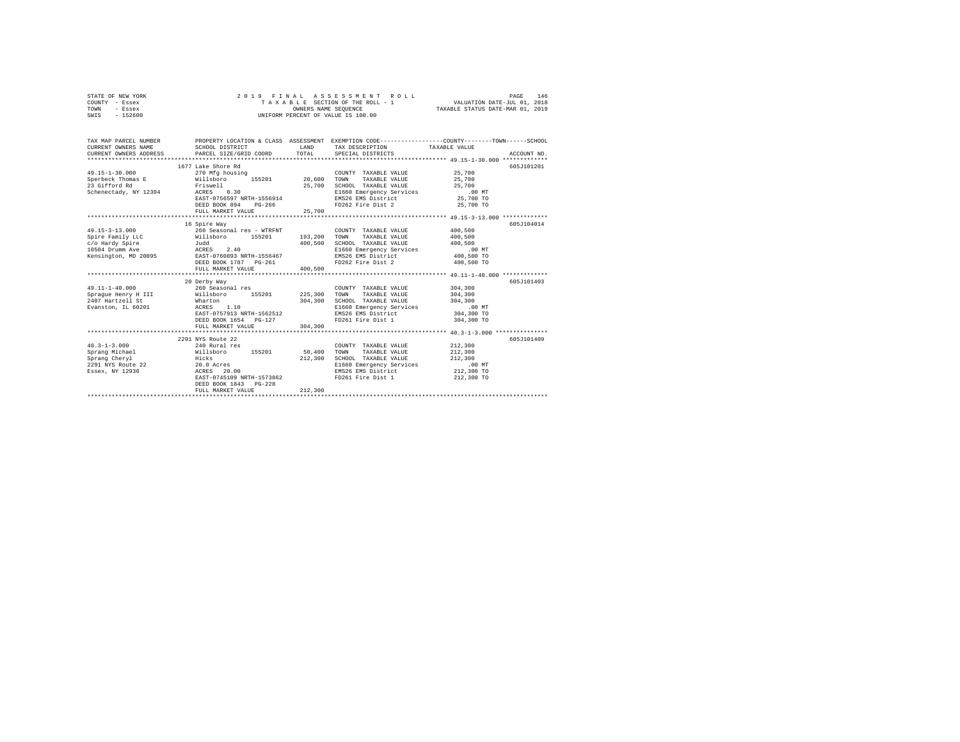|      | STATE OF NEW YORK |  | 2019 FINAL ASSESSMENT ROLL         | 146<br>PAGE                      |  |
|------|-------------------|--|------------------------------------|----------------------------------|--|
|      | COUNTY - Essex    |  | TAXABLE SECTION OF THE ROLL - 1    | VALUATION DATE-JUL 01, 2018      |  |
| TOWN | - Essex           |  | OWNERS NAME SEOUENCE               | TAXABLE STATUS DATE-MAR 01, 2019 |  |
| SWIS | - 152600          |  | UNIFORM PERCENT OF VALUE IS 100.00 |                                  |  |

| TAX MAP PARCEL NUMBER<br>CURRENT OWNERS NAME | SCHOOL DISTRICT                                                      | LAND    | TAX DESCRIPTION TAXABLE VALUE                                   | PROPERTY LOCATION & CLASS ASSESSMENT EXEMPTION CODE----------------COUNTY-------TOWN-----SCHOOL |             |
|----------------------------------------------|----------------------------------------------------------------------|---------|-----------------------------------------------------------------|-------------------------------------------------------------------------------------------------|-------------|
|                                              |                                                                      |         |                                                                 |                                                                                                 |             |
|                                              | 1677 Lake Shore Rd                                                   |         |                                                                 | 605J101201                                                                                      |             |
| $49.15 - 1 - 30.000$                         | 270 Mfg housing                                                      |         | COUNTY TAXABLE VALUE 25,700                                     |                                                                                                 |             |
|                                              | Sperbeck Thomas E Willsboro 155201 20.600 TOWN TAXABLE VALUE 25.700  |         |                                                                 |                                                                                                 |             |
| 23 Gifford Rd                                | Friswell                                                             |         | 25,700 SCHOOL TAXABLE VALUE 25,700                              |                                                                                                 |             |
|                                              | Schenectady, NY 12304 ACRES 0.30                                     |         |                                                                 |                                                                                                 |             |
|                                              | EAST-0756597 NRTH-1556914                                            |         | E1660 Emergency Services .00 MT<br>EMS26 EMS District 25,700 TO |                                                                                                 |             |
|                                              | DEED BOOK 894 PG-266                                                 |         | FD262 Fire Dist 2                                               | 25,700 TO                                                                                       |             |
|                                              | FULL MARKET VALUE                                                    | 25,700  |                                                                 |                                                                                                 |             |
|                                              |                                                                      |         |                                                                 |                                                                                                 |             |
|                                              | 16 Spire Way                                                         |         |                                                                 |                                                                                                 | 605-7104014 |
| $49.15 - 3 - 13.000$                         | 260 Seasonal res - WTRFNT                                            |         | COUNTY TAXABLE VALUE                                            | 400,500                                                                                         |             |
| Spire Family LLC                             | Willsboro 155201                                                     |         | 193,200 TOWN TAXABLE VALUE                                      | 400,500                                                                                         |             |
| c/o Hardy Spire                              | Judd                                                                 | 400,500 | SCHOOL TAXABLE VALUE                                            | 400,500                                                                                         |             |
| 10504 Drumm Ave                              | ACRES 2.40                                                           |         | E1660 Emergency Services .00 MT                                 |                                                                                                 |             |
|                                              | Kensington, MD 20895 EAST-0760893 NRTH-1556467                       |         | EMS26 EMS District 400,500 TO                                   |                                                                                                 |             |
|                                              | DEED BOOK 1787    PG-261                                             |         | FD262 Fire Dist 2                                               | 400,500 TO                                                                                      |             |
|                                              | FULL MARKET VALUE                                                    | 400,500 |                                                                 |                                                                                                 |             |
|                                              | 20 Derby Way                                                         |         |                                                                 | 605J101403                                                                                      |             |
| $49.11 - 1 - 40.000$                         | 260 Seasonal res                                                     |         | COUNTY TAXABLE VALUE                                            | 304,300                                                                                         |             |
|                                              |                                                                      |         | TAXABLE VALUE<br>TOWN                                           | 304,300                                                                                         |             |
|                                              | Sprague Henry H III Millsboro 155201 225,300                         | 304,300 | SCHOOL TAXABLE VALUE                                            | 304,300                                                                                         |             |
|                                              |                                                                      |         | SCHOOL TAXABLE VALUE 304,300<br>E1660 Emergency Services .00 MT |                                                                                                 |             |
|                                              | EAST-0757913 NRTH-1562512                                            |         | EMS26 EMS District 304,300 TO                                   |                                                                                                 |             |
|                                              | DEED BOOK 1654 PG-127                                                |         | FD261 Fire Dist 1 304,300 TO                                    |                                                                                                 |             |
|                                              | FULL MARKET VALUE                                                    | 304,300 |                                                                 |                                                                                                 |             |
|                                              |                                                                      |         |                                                                 |                                                                                                 |             |
|                                              | 2291 NYS Route 22                                                    |         |                                                                 | 605J101409                                                                                      |             |
| $40.3 - 1 - 3.000$                           | 240 Rural res                                                        |         | COUNTY TAXABLE VALUE                                            | 212,300                                                                                         |             |
|                                              | Sprang Michael $\texttt{Willsboro}$ 155201 50,400                    |         | TAXABLE VALUE<br>TOWN                                           | 212,300                                                                                         |             |
| Sprang Cheryl<br>Hicks                       |                                                                      | 212,300 | SCHOOL TAXABLE VALUE                                            | 212,300                                                                                         |             |
|                                              | Sprang Cucry<br>2291 NYS Route 22 20.0 Acres<br>Posey NY 12936 20.00 |         | E1660 Emergency Services                                        | $.00$ MT                                                                                        |             |
|                                              |                                                                      |         | EMS26 EMS District                                              | $212,300$ TO                                                                                    |             |
|                                              | EAST-0745109 NRTH-1573862                                            |         | FD261 Fire Dist 1                                               | 212,300 TO                                                                                      |             |
|                                              | DEED BOOK 1843 PG-228                                                |         |                                                                 |                                                                                                 |             |
|                                              | FULL MARKET VALUE                                                    | 212,300 |                                                                 |                                                                                                 |             |
|                                              |                                                                      |         |                                                                 |                                                                                                 |             |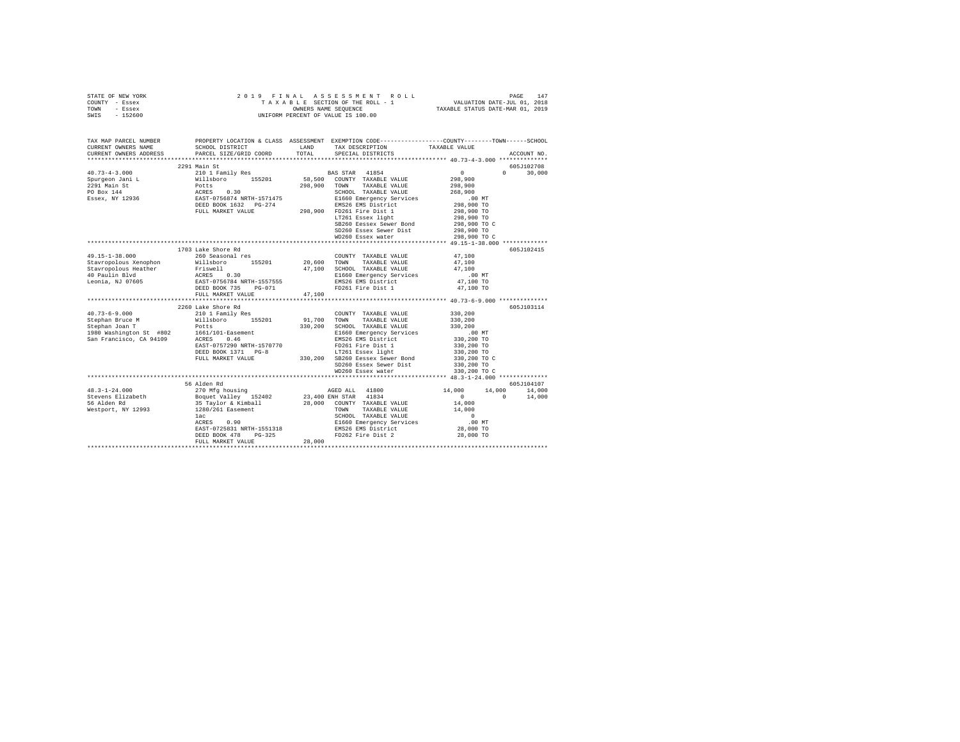| STATE OF NEW YORK | 2019 FINAL ASSESSMENT ROLL         | 147<br>PAGE                      |
|-------------------|------------------------------------|----------------------------------|
| COUNTY - Essex    | TAXABLE SECTION OF THE ROLL - 1    | VALUATION DATE-JUL 01, 2018      |
| TOWN<br>- Essex   | OWNERS NAME SEOUENCE               | TAXABLE STATUS DATE-MAR 01, 2019 |
| SWIS<br>$-152600$ | UNIFORM PERCENT OF VALUE IS 100.00 |                                  |

| TAX MAP PARCEL NUMBER  |                                                                                                                                                                                                                                                                                                                                                                                                                                                          |        |                                                                                                                                          | PROPERTY LOCATION & CLASS ASSESSMENT EXEMPTION CODE---------------COUNTY-------TOWN-----SCHOOL |
|------------------------|----------------------------------------------------------------------------------------------------------------------------------------------------------------------------------------------------------------------------------------------------------------------------------------------------------------------------------------------------------------------------------------------------------------------------------------------------------|--------|------------------------------------------------------------------------------------------------------------------------------------------|------------------------------------------------------------------------------------------------|
| CURRENT OWNERS NAME    | SCHOOL DISTRICT                                                                                                                                                                                                                                                                                                                                                                                                                                          | LAND   | TAX DESCRIPTION TAXABLE VALUE                                                                                                            |                                                                                                |
| CURRENT OWNERS ADDRESS | PARCEL SIZE/GRID COORD                                                                                                                                                                                                                                                                                                                                                                                                                                   | TOTAL  | SPECIAL DISTRICTS                                                                                                                        | ACCOUNT NO.                                                                                    |
|                        |                                                                                                                                                                                                                                                                                                                                                                                                                                                          |        |                                                                                                                                          |                                                                                                |
|                        | 2291 Main St                                                                                                                                                                                                                                                                                                                                                                                                                                             |        |                                                                                                                                          | 605J102708                                                                                     |
|                        |                                                                                                                                                                                                                                                                                                                                                                                                                                                          |        |                                                                                                                                          | $\sim$ 0<br>$\Omega$<br>30,000                                                                 |
|                        |                                                                                                                                                                                                                                                                                                                                                                                                                                                          |        |                                                                                                                                          | 298,900<br>298,900                                                                             |
|                        |                                                                                                                                                                                                                                                                                                                                                                                                                                                          |        |                                                                                                                                          |                                                                                                |
|                        |                                                                                                                                                                                                                                                                                                                                                                                                                                                          |        |                                                                                                                                          |                                                                                                |
|                        |                                                                                                                                                                                                                                                                                                                                                                                                                                                          |        |                                                                                                                                          |                                                                                                |
|                        |                                                                                                                                                                                                                                                                                                                                                                                                                                                          |        |                                                                                                                                          | 268,900<br>00 MT.<br>298,900 TO                                                                |
|                        |                                                                                                                                                                                                                                                                                                                                                                                                                                                          |        |                                                                                                                                          | 298,900 TO                                                                                     |
|                        |                                                                                                                                                                                                                                                                                                                                                                                                                                                          |        | LT261 Essex light                                                                                                                        | 298,900 TO<br>298,900 TO C                                                                     |
|                        |                                                                                                                                                                                                                                                                                                                                                                                                                                                          |        | SB260 Eessex Sewer Bond                                                                                                                  |                                                                                                |
|                        |                                                                                                                                                                                                                                                                                                                                                                                                                                                          |        | SD260 Essex Sewer Dist                                                                                                                   | 298,900 TO                                                                                     |
|                        |                                                                                                                                                                                                                                                                                                                                                                                                                                                          |        | WD260 Essex water                                                                                                                        | 298,900 TO C                                                                                   |
|                        |                                                                                                                                                                                                                                                                                                                                                                                                                                                          |        |                                                                                                                                          |                                                                                                |
|                        | 1703 Lake Shore Rd                                                                                                                                                                                                                                                                                                                                                                                                                                       |        |                                                                                                                                          | 605J102415                                                                                     |
| 49.15-1-38.000         | 260 Seasonal res                                                                                                                                                                                                                                                                                                                                                                                                                                         |        | COUNTY TAXABLE VALUE 47,100                                                                                                              |                                                                                                |
|                        |                                                                                                                                                                                                                                                                                                                                                                                                                                                          |        |                                                                                                                                          | 47.100                                                                                         |
|                        |                                                                                                                                                                                                                                                                                                                                                                                                                                                          |        |                                                                                                                                          | 47,100                                                                                         |
|                        |                                                                                                                                                                                                                                                                                                                                                                                                                                                          |        | 47,100 SCHOOL TAXABLE VALUE<br>E1660 Emergency Services<br>EMS26 EMS District                                                            | .00 MT<br>47,100 TO                                                                            |
|                        | $\begin{tabular}{lcccc} Stavropolous Xenophon & \begin{tabular}{l} $\tt M111sbor \\ $640$ & T04W1 & \tt FANABLE} \end{tabular} & \begin{tabular}{l} $\tt M11sbor \\ $7,100$ & \tt T04W1 & \tt TANABLE} \end{tabular} & \begin{tabular}{l} $\tt M11sbor \\ $47,100$ & \tt C7WN & \tt TANABLE} \end{tabular} & \begin{tabular}{l} $\tt M1UB} \end{tabular} \\ \end{tabular} \end{tabular} \begin{tabular}{lcccc} \tt M11sbor \\ $40$ & \tt M2T10 & \tt S1$ |        |                                                                                                                                          |                                                                                                |
|                        | DEED BOOK 735 PG-071                                                                                                                                                                                                                                                                                                                                                                                                                                     |        | FD261 Fire Dist 1                                                                                                                        | 47,100 TO                                                                                      |
|                        | FULL MARKET VALUE                                                                                                                                                                                                                                                                                                                                                                                                                                        | 47,100 |                                                                                                                                          |                                                                                                |
|                        |                                                                                                                                                                                                                                                                                                                                                                                                                                                          |        |                                                                                                                                          |                                                                                                |
|                        | 2260 Lake Shore Rd                                                                                                                                                                                                                                                                                                                                                                                                                                       |        |                                                                                                                                          | 605-7103114                                                                                    |
|                        |                                                                                                                                                                                                                                                                                                                                                                                                                                                          |        | COUNTY TAXABLE VALUE<br>91,700 TOWN TAXABLE VALUE<br>COUNTY TAXABLE VALUE                                                                | 330,200                                                                                        |
|                        |                                                                                                                                                                                                                                                                                                                                                                                                                                                          |        |                                                                                                                                          | 330,200                                                                                        |
|                        |                                                                                                                                                                                                                                                                                                                                                                                                                                                          |        | 330,200 SCHOOL TAXABLE VILLE<br>330,200 SCHOOL TAXABLE VALUE 330,200<br>E1660 Emergency Services .00 NT<br>EMS26 EMS District 330,200 TO |                                                                                                |
|                        |                                                                                                                                                                                                                                                                                                                                                                                                                                                          |        |                                                                                                                                          |                                                                                                |
|                        |                                                                                                                                                                                                                                                                                                                                                                                                                                                          |        |                                                                                                                                          |                                                                                                |
|                        |                                                                                                                                                                                                                                                                                                                                                                                                                                                          |        |                                                                                                                                          | 330,200 TO                                                                                     |
|                        |                                                                                                                                                                                                                                                                                                                                                                                                                                                          |        |                                                                                                                                          | 330,200 TO                                                                                     |
|                        |                                                                                                                                                                                                                                                                                                                                                                                                                                                          |        |                                                                                                                                          | 330,200 TO C<br>330,200 TO                                                                     |
|                        |                                                                                                                                                                                                                                                                                                                                                                                                                                                          |        | SD260 Essex Sewer Dist                                                                                                                   |                                                                                                |
|                        |                                                                                                                                                                                                                                                                                                                                                                                                                                                          |        | WD260 Essex water                                                                                                                        | 330,200 TO C                                                                                   |
|                        |                                                                                                                                                                                                                                                                                                                                                                                                                                                          |        |                                                                                                                                          |                                                                                                |
|                        | 56 Alden Rd                                                                                                                                                                                                                                                                                                                                                                                                                                              |        |                                                                                                                                          | 605J104107<br>270 MFg housing <b>AGED ALL</b> 41800 14,000 14,000 14,000 14,000                |
| $48.3 - 1 - 24.000$    |                                                                                                                                                                                                                                                                                                                                                                                                                                                          |        |                                                                                                                                          |                                                                                                |
|                        |                                                                                                                                                                                                                                                                                                                                                                                                                                                          |        |                                                                                                                                          | $\sim$ 0 $\sim$<br>$\sim$ 0 $\sim$ 0<br>14,000                                                 |
|                        |                                                                                                                                                                                                                                                                                                                                                                                                                                                          |        |                                                                                                                                          | 14,000                                                                                         |
|                        |                                                                                                                                                                                                                                                                                                                                                                                                                                                          |        | TAXABLE VALUE                                                                                                                            | 14,000                                                                                         |
|                        |                                                                                                                                                                                                                                                                                                                                                                                                                                                          |        |                                                                                                                                          | $\sim$ 0                                                                                       |
|                        |                                                                                                                                                                                                                                                                                                                                                                                                                                                          |        | SCHOOL TAXABLE VALUE<br>E1660 Emergency Services<br>EMS26 EMS District                                                                   | $.00$ MT                                                                                       |
|                        |                                                                                                                                                                                                                                                                                                                                                                                                                                                          |        |                                                                                                                                          | 28,000 TO                                                                                      |
|                        |                                                                                                                                                                                                                                                                                                                                                                                                                                                          | 28,000 | FD262 Fire Dist 2                                                                                                                        | 28,000 TO                                                                                      |
|                        | FULL MARKET VALUE                                                                                                                                                                                                                                                                                                                                                                                                                                        |        |                                                                                                                                          |                                                                                                |
|                        |                                                                                                                                                                                                                                                                                                                                                                                                                                                          |        |                                                                                                                                          |                                                                                                |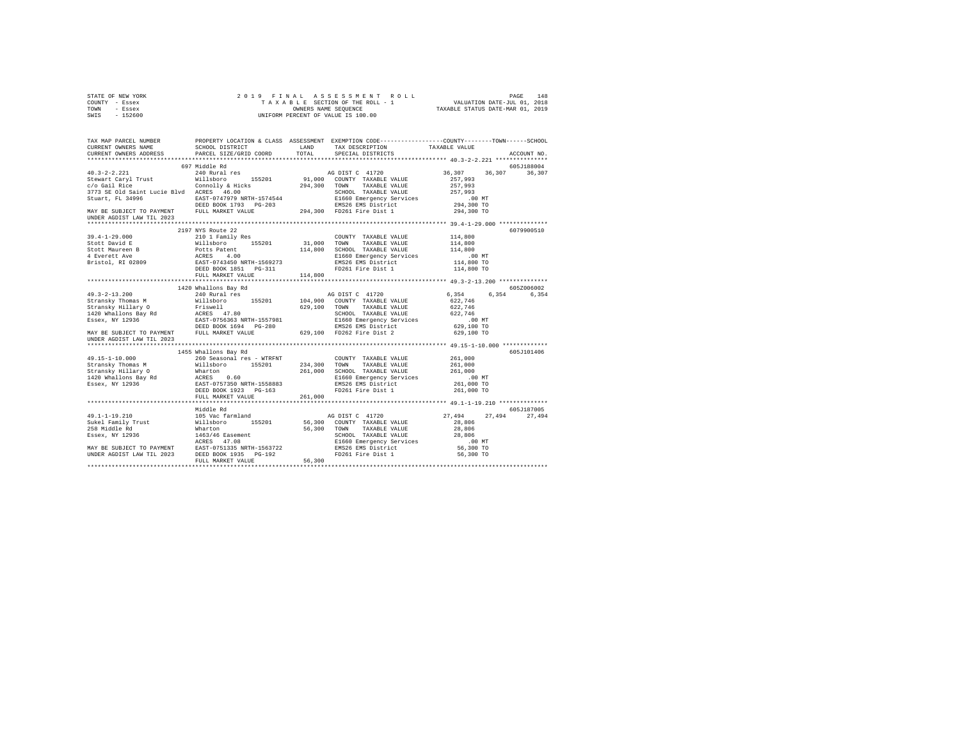|                | STATE OF NEW YORK |  |  |  |                                    |  | 2019 FINAL ASSESSMENT ROLL |                                  | PAGE | 148 |
|----------------|-------------------|--|--|--|------------------------------------|--|----------------------------|----------------------------------|------|-----|
| COUNTY - Essex |                   |  |  |  | TAXABLE SECTION OF THE ROLL - 1    |  |                            | VALUATION DATE-JUL 01, 2018      |      |     |
| TOWN           | - Essex           |  |  |  | OWNERS NAME SEOUENCE               |  |                            | TAXABLE STATUS DATE-MAR 01, 2019 |      |     |
| SWTS           | $-152600$         |  |  |  | UNIFORM PERCENT OF VALUE IS 100.00 |  |                            |                                  |      |     |

| TAX MAP PARCEL NUMBER                                                                                                                                                                                                                  | SCHOOL DISTRICT           | LAND   | PROPERTY LOCATION & CLASS ASSESSMENT EXEMPTION CODE----------------COUNTY-------TOWN-----SCHOOL<br>TAX DESCRIPTION TAXABLE VALUE |                                    |             |
|----------------------------------------------------------------------------------------------------------------------------------------------------------------------------------------------------------------------------------------|---------------------------|--------|----------------------------------------------------------------------------------------------------------------------------------|------------------------------------|-------------|
|                                                                                                                                                                                                                                        |                           | TOTAL  | SPECIAL DISTRICTS                                                                                                                |                                    | ACCOUNT NO. |
|                                                                                                                                                                                                                                        |                           |        |                                                                                                                                  |                                    |             |
|                                                                                                                                                                                                                                        | 697 Middle Rd             |        |                                                                                                                                  |                                    | 605J188004  |
| $40.3 - 2 - 2.221$                                                                                                                                                                                                                     | 240 Rural res             |        | AG DIST C 41720                                                                                                                  | 36,307 36,307                      | 36,307      |
|                                                                                                                                                                                                                                        |                           |        |                                                                                                                                  | 257,993                            |             |
|                                                                                                                                                                                                                                        |                           |        |                                                                                                                                  | 257,993                            |             |
|                                                                                                                                                                                                                                        |                           |        | SCHOOL TAXABLE VALUE                                                                                                             | 257,993                            |             |
|                                                                                                                                                                                                                                        |                           |        |                                                                                                                                  |                                    |             |
|                                                                                                                                                                                                                                        |                           |        |                                                                                                                                  |                                    |             |
| 3773 SE Old Saint Lucie Blvd ACRES 46.00 SCHOOL TAXABLE VALUE<br>Stuart, FL 34996 BAST-0747979 NRTH-1574544 B1660 Emergency Services<br>DEED BOOK 1793 PG-203 BMS26 EMS District<br>MAY BE SUBJECT TO PAYMENT FULL MARKET VALUE 294,30 |                           |        |                                                                                                                                  | 00 MT.<br>294,300 TO<br>294,300 TO |             |
| UNDER AGDIST LAW TIL 2023                                                                                                                                                                                                              |                           |        |                                                                                                                                  |                                    |             |
|                                                                                                                                                                                                                                        |                           |        |                                                                                                                                  |                                    |             |
|                                                                                                                                                                                                                                        | 2197 NYS Route 22         |        |                                                                                                                                  |                                    | 6079900510  |
|                                                                                                                                                                                                                                        |                           |        |                                                                                                                                  |                                    |             |
|                                                                                                                                                                                                                                        |                           |        |                                                                                                                                  |                                    |             |
|                                                                                                                                                                                                                                        |                           |        |                                                                                                                                  |                                    |             |
|                                                                                                                                                                                                                                        |                           |        |                                                                                                                                  |                                    |             |
|                                                                                                                                                                                                                                        |                           |        |                                                                                                                                  |                                    |             |
|                                                                                                                                                                                                                                        |                           |        |                                                                                                                                  |                                    |             |
|                                                                                                                                                                                                                                        | FULL MARKET VALUE 114,800 |        |                                                                                                                                  |                                    |             |
|                                                                                                                                                                                                                                        |                           |        |                                                                                                                                  |                                    |             |
|                                                                                                                                                                                                                                        | 1420 Whallons Bay Rd      |        |                                                                                                                                  |                                    | 605Z006002  |
|                                                                                                                                                                                                                                        |                           |        |                                                                                                                                  | 6,354                              | 6,354 6,354 |
|                                                                                                                                                                                                                                        |                           |        |                                                                                                                                  | 622,746                            |             |
|                                                                                                                                                                                                                                        |                           |        |                                                                                                                                  |                                    |             |
|                                                                                                                                                                                                                                        |                           |        |                                                                                                                                  | 622,746<br>622,746                 |             |
|                                                                                                                                                                                                                                        |                           |        |                                                                                                                                  |                                    |             |
|                                                                                                                                                                                                                                        |                           |        |                                                                                                                                  | 00 MT.<br>629,100 TO               |             |
|                                                                                                                                                                                                                                        |                           |        |                                                                                                                                  | 629,100 TO                         |             |
|                                                                                                                                                                                                                                        |                           |        |                                                                                                                                  |                                    |             |
|                                                                                                                                                                                                                                        |                           |        |                                                                                                                                  |                                    |             |
|                                                                                                                                                                                                                                        |                           |        |                                                                                                                                  |                                    | 605J101406  |
|                                                                                                                                                                                                                                        |                           |        |                                                                                                                                  | 261,000                            |             |
|                                                                                                                                                                                                                                        |                           |        |                                                                                                                                  |                                    |             |
|                                                                                                                                                                                                                                        |                           |        |                                                                                                                                  | 261,000<br>261,000                 |             |
|                                                                                                                                                                                                                                        |                           |        |                                                                                                                                  |                                    |             |
|                                                                                                                                                                                                                                        |                           |        |                                                                                                                                  | 00 MT.<br>261,000 TO               |             |
|                                                                                                                                                                                                                                        |                           |        |                                                                                                                                  |                                    |             |
|                                                                                                                                                                                                                                        |                           |        |                                                                                                                                  | 261,000 TO                         |             |
|                                                                                                                                                                                                                                        |                           |        |                                                                                                                                  |                                    |             |
|                                                                                                                                                                                                                                        |                           |        |                                                                                                                                  |                                    |             |
|                                                                                                                                                                                                                                        | Middle Rd                 |        |                                                                                                                                  |                                    | 605J187005  |
|                                                                                                                                                                                                                                        |                           |        |                                                                                                                                  | 27,494 27,494 27,494               |             |
|                                                                                                                                                                                                                                        |                           |        |                                                                                                                                  |                                    |             |
|                                                                                                                                                                                                                                        |                           |        |                                                                                                                                  |                                    |             |
|                                                                                                                                                                                                                                        |                           |        |                                                                                                                                  |                                    |             |
|                                                                                                                                                                                                                                        |                           |        |                                                                                                                                  |                                    |             |
|                                                                                                                                                                                                                                        |                           |        |                                                                                                                                  |                                    |             |
|                                                                                                                                                                                                                                        |                           |        |                                                                                                                                  |                                    |             |
|                                                                                                                                                                                                                                        | FULL MARKET VALUE         | 56,300 |                                                                                                                                  |                                    |             |
|                                                                                                                                                                                                                                        |                           |        |                                                                                                                                  |                                    |             |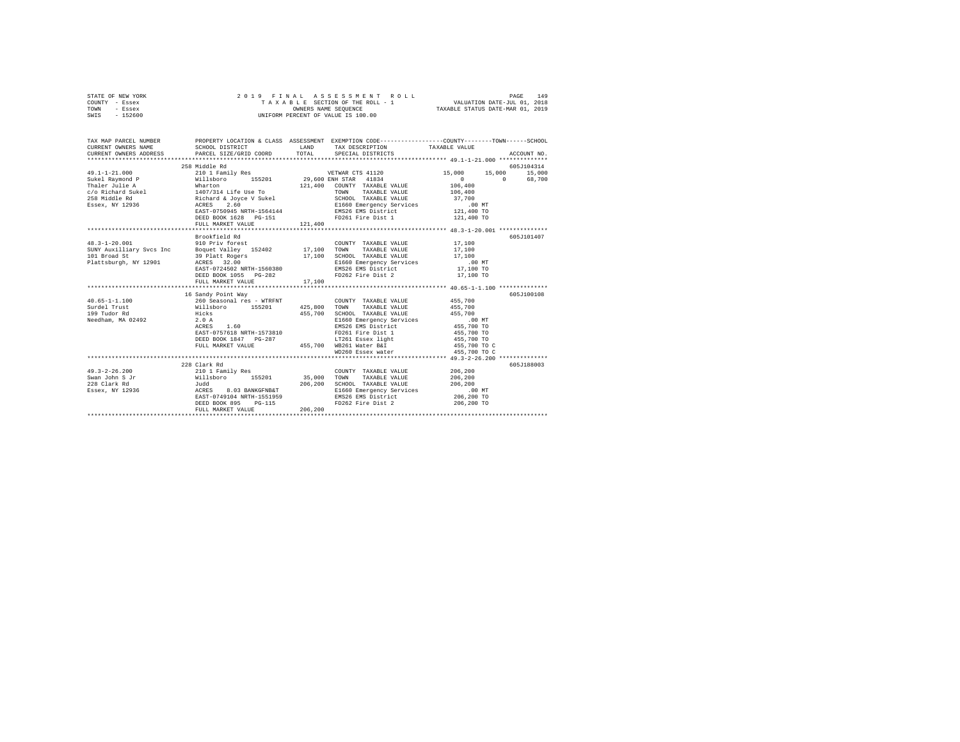| STATE OF NEW YORK | 2019 FINAL ASSESSMENT ROLL         | 149<br>PAGE                      |
|-------------------|------------------------------------|----------------------------------|
| COUNTY - Essex    | TAXABLE SECTION OF THE ROLL - 1    | VALUATION DATE-JUL 01, 2018      |
| TOWN<br>- Essex   | OWNERS NAME SEOUENCE               | TAXABLE STATUS DATE-MAR 01, 2019 |
| $-152600$<br>SWIS | UNIFORM PERCENT OF VALUE IS 100.00 |                                  |

| TAX MAP PARCEL NUMBER<br>CURRENT OWNERS NAME<br>CURRENT OWNERS ADDRESS PARCEL SIZE/GRID COORD TOTAL SPECIAL DISTRICTS<br>CURRENT OWNERS ADDRESS PARCEL SIZE/GRID COORD TOTAL SPECIAL DISTRICTS (2011) ACCOUNT NO.                                             | PROPERTY LOCATION & CLASS ASSESSMENT EXEMPTION CODE----------------COUNTY-------TOWN------SCHOOL<br>SCHOOL DISTRICT |         | LAND TAX DESCRIPTION TAXABLE VALUE                                                                |                      |             |
|---------------------------------------------------------------------------------------------------------------------------------------------------------------------------------------------------------------------------------------------------------------|---------------------------------------------------------------------------------------------------------------------|---------|---------------------------------------------------------------------------------------------------|----------------------|-------------|
|                                                                                                                                                                                                                                                               | 258 Middle Rd                                                                                                       |         |                                                                                                   |                      | 605J104314  |
| $49.1 - 1 - 21.000$                                                                                                                                                                                                                                           | 210 1 Family Res                                                                                                    |         | VETWAR CTS 41120                                                                                  | 15,000 15,000 15,000 |             |
| Sukel Raymond P Willsboro 155201 29,600 ENH STAR 41834                                                                                                                                                                                                        |                                                                                                                     |         |                                                                                                   | $0 \t 0 \t 68,700$   |             |
|                                                                                                                                                                                                                                                               |                                                                                                                     |         |                                                                                                   |                      |             |
|                                                                                                                                                                                                                                                               |                                                                                                                     |         |                                                                                                   |                      |             |
|                                                                                                                                                                                                                                                               |                                                                                                                     |         |                                                                                                   |                      |             |
|                                                                                                                                                                                                                                                               |                                                                                                                     |         |                                                                                                   |                      |             |
|                                                                                                                                                                                                                                                               |                                                                                                                     |         |                                                                                                   |                      |             |
|                                                                                                                                                                                                                                                               | DEED BOOK 1628 PG-151 PD261 Fire Dist 1 121,400 TO                                                                  |         |                                                                                                   |                      |             |
|                                                                                                                                                                                                                                                               |                                                                                                                     |         |                                                                                                   |                      |             |
|                                                                                                                                                                                                                                                               |                                                                                                                     |         |                                                                                                   |                      |             |
|                                                                                                                                                                                                                                                               | Brookfield Rd                                                                                                       |         |                                                                                                   |                      | 605J101407  |
| 48.3-1-20.001 910 Priv forest                                                                                                                                                                                                                                 |                                                                                                                     |         | COUNTY TAXABLE VALUE 17,100                                                                       |                      |             |
|                                                                                                                                                                                                                                                               |                                                                                                                     |         |                                                                                                   |                      |             |
|                                                                                                                                                                                                                                                               |                                                                                                                     |         |                                                                                                   |                      |             |
|                                                                                                                                                                                                                                                               |                                                                                                                     |         | E1660 Emergency Services 10.00 MT<br>EMS26 EMS District 17,100 TO<br>EMS26 EMS District 17,100 TO |                      |             |
|                                                                                                                                                                                                                                                               | EAST-0724502 NRTH-1560380                                                                                           |         |                                                                                                   |                      |             |
|                                                                                                                                                                                                                                                               | DEED BOOK 1055 PG-282<br>FULL MARKET VALUE                                                                          | 17,100  | FD262 Fire Dist 2                                                                                 | 17,100 TO            |             |
|                                                                                                                                                                                                                                                               |                                                                                                                     |         |                                                                                                   |                      |             |
|                                                                                                                                                                                                                                                               | 16 Sandy Point Way                                                                                                  |         |                                                                                                   |                      | 605-7100108 |
| $40.65 - 1 - 1.100$                                                                                                                                                                                                                                           | 260 Seasonal res - WTRFNT                                                                                           |         | COUNTY TAXABLE VALUE 455,700                                                                      |                      |             |
|                                                                                                                                                                                                                                                               |                                                                                                                     |         | TOWN<br>TAXABLE VALUE 455,700                                                                     |                      |             |
|                                                                                                                                                                                                                                                               |                                                                                                                     |         |                                                                                                   |                      |             |
| Needham, MA 02492 2.0 A                                                                                                                                                                                                                                       |                                                                                                                     |         | SCHOOL TAXABLE VALUE 455,700<br>E1660 Emergency Services .00 MT                                   |                      |             |
|                                                                                                                                                                                                                                                               |                                                                                                                     |         |                                                                                                   |                      |             |
|                                                                                                                                                                                                                                                               |                                                                                                                     |         |                                                                                                   |                      |             |
|                                                                                                                                                                                                                                                               |                                                                                                                     |         |                                                                                                   |                      |             |
|                                                                                                                                                                                                                                                               |                                                                                                                     |         |                                                                                                   |                      |             |
|                                                                                                                                                                                                                                                               |                                                                                                                     |         | WD260 Essex water                                                                                 | 455,700 TO C         |             |
|                                                                                                                                                                                                                                                               |                                                                                                                     |         |                                                                                                   |                      |             |
|                                                                                                                                                                                                                                                               | 228 Clark Rd                                                                                                        |         |                                                                                                   |                      | 605J188003  |
|                                                                                                                                                                                                                                                               |                                                                                                                     |         |                                                                                                   |                      |             |
|                                                                                                                                                                                                                                                               |                                                                                                                     |         |                                                                                                   |                      |             |
|                                                                                                                                                                                                                                                               |                                                                                                                     |         |                                                                                                   |                      |             |
| 49.3-2-26.200<br>Swan John S. The COUNTY TAXABLE VALUE 206,200<br>SWAN STATES AND TRISPORT 206,200<br>226 Clark Rd<br>206,200<br>206,200<br>206,200<br>206,200<br>206,200<br>206,200<br>206,200<br>206,200<br>206,200<br>206,200<br>206,200<br>206,200<br>206 |                                                                                                                     |         | E1660 Emergency Services<br>EMS26 EMS District<br>FD262 Fire Dist 2 206,200 TO<br>206,200 TO      |                      |             |
|                                                                                                                                                                                                                                                               | EAST-0749104 NRTH-1551959                                                                                           |         |                                                                                                   |                      |             |
|                                                                                                                                                                                                                                                               | DEED BOOK 895 PG-115                                                                                                |         |                                                                                                   |                      |             |
|                                                                                                                                                                                                                                                               | FULL MARKET VALUE                                                                                                   | 206,200 |                                                                                                   |                      |             |
|                                                                                                                                                                                                                                                               |                                                                                                                     |         |                                                                                                   |                      |             |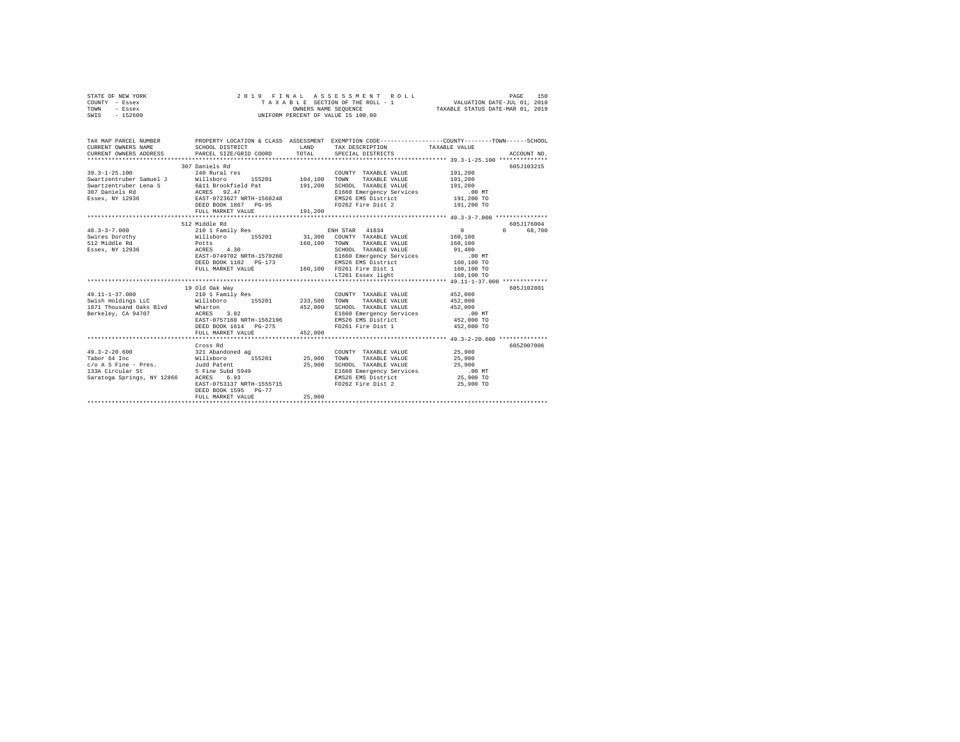| STATE OF NEW YORK | 2019 FINAL ASSESSMENT ROLL         | 150<br>PAGE                      |
|-------------------|------------------------------------|----------------------------------|
| COUNTY - Essex    | TAXABLE SECTION OF THE ROLL - 1    | VALUATION DATE-JUL 01, 2018      |
| TOWN<br>- Essex   | OWNERS NAME SEOUENCE               | TAXABLE STATUS DATE-MAR 01, 2019 |
| $-152600$<br>SWIS | UNIFORM PERCENT OF VALUE IS 100.00 |                                  |

| TAX MAP PARCEL NUMBER                                                                                                                                                                                                                                                 |                                                                                                                          |                               | PROPERTY LOCATION & CLASS ASSESSMENT EXEMPTION CODE----------------COUNTY-------TOWN-----SCHOOL                                                                                   |                                  |                                  |
|-----------------------------------------------------------------------------------------------------------------------------------------------------------------------------------------------------------------------------------------------------------------------|--------------------------------------------------------------------------------------------------------------------------|-------------------------------|-----------------------------------------------------------------------------------------------------------------------------------------------------------------------------------|----------------------------------|----------------------------------|
| $39.3 - 1 - 25.100$                                                                                                                                                                                                                                                   | 307 Daniels Rd<br>240 Rural res<br>res COUNT<br>155201 104,100 TOWN<br>DEED BOOK 1867 PG-95<br>FULL MARKET VALUE 191,200 | 191,200<br>and a construction | COUNTY TAXABLE VALUE 191.200<br>TAXABLE VALUE<br>SCHOOL TAXABLE VALUE 191,200<br>E1660 Emergency Services .00 MT<br>EMS26 EMS District 191,200 TO<br>FD262 Fire Dist 2 191,200 TO | 191,200                          | 605J103215                       |
| 40.3-3-7.000 210 1 Family Res                                                                                                                                                                                                                                         | 512 Middle Rd<br>EAST-0749702 NRTH-1570260                                                                               |                               | ENH STAR 41834<br>CHOOL TAXABLE VALUE<br>E1660 Emergency Services 00 Mi<br>manufacture  160,100 TO<br>160,100 TO<br>160,100 TO                                                    | $\sim$ 0<br>160,100<br>160,100   | 605J176004<br>$\Omega$<br>68,700 |
| 1871 Thousand Oaks Blvd Wharton<br>Berkelev, CA 94707<br>ACRES                                                                                                                                                                                                        | 19 Old Oak Way<br>3.82<br>EAST-0757160 NRTH-1562196<br>DEED BOOK 1614 PG-275<br>FULL MARKET VALUE                        | 452,000<br>452,000            | COUNTY TAXABLE VALUE<br>SCHOOL TAXABLE VALUE 452,000<br>E1660 Emergency Services .00 MT<br>EMS26 EMS District 452,000 TO<br>FD261 Fire Dist 1                                     | 452,000<br>452,000<br>452,000 TO | 605J102801                       |
|                                                                                                                                                                                                                                                                       |                                                                                                                          |                               |                                                                                                                                                                                   |                                  |                                  |
| $49.3 - 2 - 20.600$<br>Tabor 64 Inc<br>color and the President and the control of the control of the control of the control of the control of the control of the control of the control of the same control of the same control of the same of the same control of th | Cross Rd<br>EAST-0753137 NRTH-1555715<br>DEED BOOK 1595 PG-77<br>FULL MARKET VALUE                                       | 25,900<br>25,900              | COUNTY TAXABLE VALUE<br>SCHOOL TAXABLE VALUE 25,900<br>E1660 Emergency Services 00 MT<br>EMS26 EMS District 25,900 To<br>FD262 Fire Dist 2                                        | 25,900<br>25,900<br>25,900 TO    | 605Z007006                       |
|                                                                                                                                                                                                                                                                       |                                                                                                                          |                               |                                                                                                                                                                                   |                                  |                                  |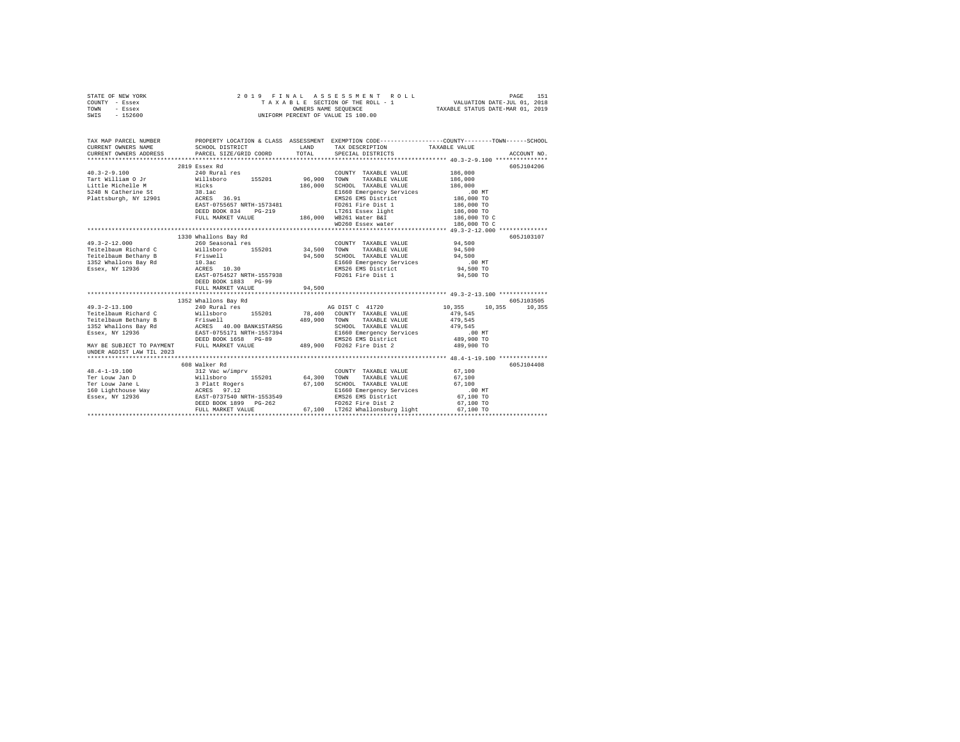|      | STATE OF NEW YORK |  | 2019 FINAL ASSESSMENT ROLL         | 151<br>PAGE                      |
|------|-------------------|--|------------------------------------|----------------------------------|
|      | COUNTY - Essex    |  | TAXABLE SECTION OF THE ROLL - 1    | VALUATION DATE-JUL 01, 2018      |
| TOWN | - Essex           |  | OWNERS NAME SEOUENCE               | TAXABLE STATUS DATE-MAR 01, 2019 |
| SWIS | - 152600          |  | UNIFORM PERCENT OF VALUE IS 100.00 |                                  |

| TAX MAP PARCEL NUMBER                                    |                                                                                                                                                                                                                                                                                                       |                       |                                                                                                                                                                                | PROPERTY LOCATION & CLASS ASSESSMENT EXEMPTION CODE---------------COUNTY-------TOWN-----SCHOOL                    |
|----------------------------------------------------------|-------------------------------------------------------------------------------------------------------------------------------------------------------------------------------------------------------------------------------------------------------------------------------------------------------|-----------------------|--------------------------------------------------------------------------------------------------------------------------------------------------------------------------------|-------------------------------------------------------------------------------------------------------------------|
| $40.3 - 2 - 9.100$<br>Tart William O Jr Willsboro        | 2819 Essex Rd<br>240 Rural res<br>155201 96,900<br>Little Michelle Mann Hicks<br>5248 W Catherine State 38.1ac<br>Plattsburgh, NY 12901 – ACRES 36.91<br>EAST-0755657 NRTH-1573481 PD261 Fire Dist 1<br>DEED BOOK 834 PG-219 DEED LIT261 Essex light<br>FULL MARKET VALUE 186,000 WB261 Water Bar     | 186,000               | COUNTY TAXABLE VALUE<br>TAXABLE VALUE<br>TOWN<br>SCHOOL TAXABLE VALUE<br>E1660 Emergency Services<br>EMS26 EMS District<br>FD261 Fire Dist 1                                   | 605J104206<br>186,000<br>186,000<br>186,000<br>$.00$ MT<br>186,000 TO<br>186,000 TO<br>186,000 TO<br>186,000 TO C |
|                                                          |                                                                                                                                                                                                                                                                                                       |                       | WD260 Essex water                                                                                                                                                              | 186,000 TO C                                                                                                      |
| $49.3 - 2 - 12.000$                                      | 1330 Whallons Bay Rd<br>260 Seasonal res<br>DEED BOOK 1883 PG-99<br>FULL MARKET VALUE                                                                                                                                                                                                                 | 94,500                | COUNTY TAXABLE VALUE 94,500<br>34,500 TOWN TAXABLE VALUE<br>94,500 SCHOOL TAXABLE VALUE<br>E1660 Emergency Services<br>EMS26 EMS District<br>FD261 Fire Dist 1                 | 605J103107<br>94,500<br>94,500<br>$.00$ MT<br>$94,500$ TO<br>94,500 TO                                            |
| $49.3 - 2 - 13.100$<br>UNDER AGDIST LAW TIL 2023         | 1352 Whallons Bay Rd<br>240 Rural res<br><b>Fried Baum Bichard C</b><br><b>Fried Baum Bichard C</b><br><b>Teite Baum Bichard C</b><br><b>ISSE WILLEND COUNTY TAXABLE VALUE</b><br>THE CHINE APP ASSEMBLE AND TAXABLE VALUE<br>THE APP ASSEMBLE AND DESCRIPTION NETH-1557394<br>BIS60 EMP AND DESCRIPT |                       | AG DIST C 41720                                                                                                                                                                | 605J103505<br>10,355 10,355 10,355                                                                                |
| $48.4 - 1 - 19.100$<br>Ter Louw Jan D<br>Ter Louw Jane L | 608 Walker Rd<br>312 Vac w/imprv<br>Willsboro 155201<br>3 Platt Rogers<br>FULL MARKET VALUE                                                                                                                                                                                                           | 64,300 TOWN<br>67,100 | COUNTY TAXABLE VALUE<br>TAXABLE VALUE<br>SCHOOL TAXABLE VALUE 67.100<br>E1660 Emergency Services<br>EMS26 EMS District<br>FD262 Fire Dist 2<br>67.100 LT262 Whallonsburg light | 605J104408<br>67,100<br>67,100<br>$.00$ MT<br>67,100 TO<br>67,100 TO<br>67,100 TO                                 |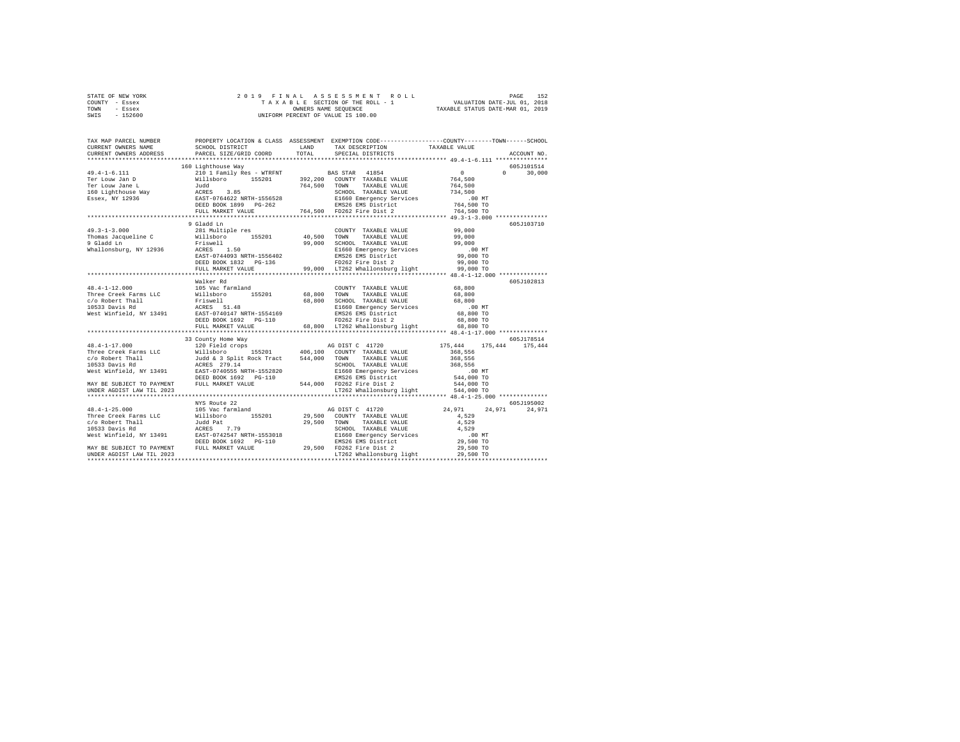|      | STATE OF NEW YORK |  | 2019 FINAL ASSESSMENT ROLL         |                                  | PAGE                        | 152 |
|------|-------------------|--|------------------------------------|----------------------------------|-----------------------------|-----|
|      | COUNTY - Essex    |  | TAXABLE SECTION OF THE ROLL - 1    |                                  | VALUATION DATE-JUL 01, 2018 |     |
| TOWN | - Essex           |  | OWNERS NAME SEOUENCE               | TAXABLE STATUS DATE-MAR 01, 2019 |                             |     |
| SWIS | $-152600$         |  | UNIFORM PERCENT OF VALUE IS 100.00 |                                  |                             |     |

| TAX MAP PARCEL NUMBER<br>CURRENT OWNERS NAME                                                                                                                                                                                                                                                                                                                               | SCHOOL DISTRICT                      | LAND | TAX DESCRIPTION TAXABLE VALUE             | PROPERTY LOCATION & CLASS ASSESSMENT EXEMPTION CODE---------------COUNTY-------TOWN-----SCHOOL                                                                                                                                     |
|----------------------------------------------------------------------------------------------------------------------------------------------------------------------------------------------------------------------------------------------------------------------------------------------------------------------------------------------------------------------------|--------------------------------------|------|-------------------------------------------|------------------------------------------------------------------------------------------------------------------------------------------------------------------------------------------------------------------------------------|
| CURRENT OWNERS ADDRESS                                                                                                                                                                                                                                                                                                                                                     | PARCEL SIZE/GRID COORD               |      | TOTAL SPECIAL DISTRICTS                   | ACCOUNT NO.                                                                                                                                                                                                                        |
|                                                                                                                                                                                                                                                                                                                                                                            |                                      |      |                                           |                                                                                                                                                                                                                                    |
|                                                                                                                                                                                                                                                                                                                                                                            | 160 Lighthouse Way                   |      |                                           | 605J101514                                                                                                                                                                                                                         |
|                                                                                                                                                                                                                                                                                                                                                                            |                                      |      |                                           | $\Omega$<br>30,000                                                                                                                                                                                                                 |
|                                                                                                                                                                                                                                                                                                                                                                            |                                      |      |                                           |                                                                                                                                                                                                                                    |
|                                                                                                                                                                                                                                                                                                                                                                            |                                      |      |                                           |                                                                                                                                                                                                                                    |
|                                                                                                                                                                                                                                                                                                                                                                            |                                      |      |                                           |                                                                                                                                                                                                                                    |
|                                                                                                                                                                                                                                                                                                                                                                            |                                      |      |                                           |                                                                                                                                                                                                                                    |
|                                                                                                                                                                                                                                                                                                                                                                            |                                      |      |                                           |                                                                                                                                                                                                                                    |
|                                                                                                                                                                                                                                                                                                                                                                            |                                      |      |                                           |                                                                                                                                                                                                                                    |
|                                                                                                                                                                                                                                                                                                                                                                            |                                      |      |                                           | 605J103710                                                                                                                                                                                                                         |
|                                                                                                                                                                                                                                                                                                                                                                            |                                      |      |                                           |                                                                                                                                                                                                                                    |
|                                                                                                                                                                                                                                                                                                                                                                            |                                      |      |                                           |                                                                                                                                                                                                                                    |
|                                                                                                                                                                                                                                                                                                                                                                            |                                      |      |                                           |                                                                                                                                                                                                                                    |
|                                                                                                                                                                                                                                                                                                                                                                            |                                      |      |                                           |                                                                                                                                                                                                                                    |
|                                                                                                                                                                                                                                                                                                                                                                            |                                      |      |                                           |                                                                                                                                                                                                                                    |
|                                                                                                                                                                                                                                                                                                                                                                            |                                      |      |                                           |                                                                                                                                                                                                                                    |
|                                                                                                                                                                                                                                                                                                                                                                            |                                      |      |                                           |                                                                                                                                                                                                                                    |
|                                                                                                                                                                                                                                                                                                                                                                            | ************************************ |      |                                           | ACRES 1.50<br>RACRES 1.50<br>DREP 1976 2000 TO EXAMPLE 2<br>DREP 1976 2000 TO PDES 2000 TO PDES 2000 TO PDES 2000 TO PDES 2000 TO PDES 2000 TO PDES 2000 TO PDES 2000 TO<br>PULSI MARKET VALUE 2 99,000 TO PDES What 2000 TO PULSI |
| $\begin{tabular}{lcccc} $48.4-1-12.000$ & \begin{tabular}{lcccc} 48.4-1-12.000 & \begin{tabular}{lcccc} 48.4-1-12.000 & \begin{tabular}{lcccc} 48.4-1-12.000 & \begin{tabular}{lcccc} 48.4-1-12.000 & \begin{tabular}{lcccc} 48.4-1-12.000 & \begin{tabular}{lcccc} 48.4-1-12.000 & \begin{tabular}{lcccc} 48.4-1-12.000 & \begin{tabular}{lcccc} 48.4-1-12.000 & \begin{$ |                                      |      |                                           | 605J102813                                                                                                                                                                                                                         |
|                                                                                                                                                                                                                                                                                                                                                                            |                                      |      |                                           |                                                                                                                                                                                                                                    |
|                                                                                                                                                                                                                                                                                                                                                                            |                                      |      |                                           |                                                                                                                                                                                                                                    |
|                                                                                                                                                                                                                                                                                                                                                                            |                                      |      |                                           |                                                                                                                                                                                                                                    |
|                                                                                                                                                                                                                                                                                                                                                                            |                                      |      |                                           |                                                                                                                                                                                                                                    |
|                                                                                                                                                                                                                                                                                                                                                                            |                                      |      |                                           |                                                                                                                                                                                                                                    |
|                                                                                                                                                                                                                                                                                                                                                                            |                                      |      |                                           |                                                                                                                                                                                                                                    |
|                                                                                                                                                                                                                                                                                                                                                                            | FULL MARKET VALUE                    |      | 68,800 LT262 Whallonsburg light 68,800 TO |                                                                                                                                                                                                                                    |
|                                                                                                                                                                                                                                                                                                                                                                            |                                      |      |                                           |                                                                                                                                                                                                                                    |
|                                                                                                                                                                                                                                                                                                                                                                            | 33 County Home Way                   |      |                                           | 605J178514                                                                                                                                                                                                                         |
|                                                                                                                                                                                                                                                                                                                                                                            |                                      |      |                                           | 175,444 175,444                                                                                                                                                                                                                    |
|                                                                                                                                                                                                                                                                                                                                                                            |                                      |      |                                           |                                                                                                                                                                                                                                    |
|                                                                                                                                                                                                                                                                                                                                                                            |                                      |      |                                           |                                                                                                                                                                                                                                    |
|                                                                                                                                                                                                                                                                                                                                                                            |                                      |      |                                           |                                                                                                                                                                                                                                    |
|                                                                                                                                                                                                                                                                                                                                                                            |                                      |      |                                           |                                                                                                                                                                                                                                    |
|                                                                                                                                                                                                                                                                                                                                                                            |                                      |      |                                           |                                                                                                                                                                                                                                    |
|                                                                                                                                                                                                                                                                                                                                                                            |                                      |      |                                           |                                                                                                                                                                                                                                    |
|                                                                                                                                                                                                                                                                                                                                                                            |                                      |      |                                           |                                                                                                                                                                                                                                    |
|                                                                                                                                                                                                                                                                                                                                                                            | NYS Route 22                         |      |                                           | 605J195002                                                                                                                                                                                                                         |
|                                                                                                                                                                                                                                                                                                                                                                            |                                      |      |                                           | 24.971                                                                                                                                                                                                                             |
|                                                                                                                                                                                                                                                                                                                                                                            |                                      |      |                                           |                                                                                                                                                                                                                                    |
|                                                                                                                                                                                                                                                                                                                                                                            |                                      |      |                                           |                                                                                                                                                                                                                                    |
|                                                                                                                                                                                                                                                                                                                                                                            |                                      |      |                                           |                                                                                                                                                                                                                                    |
|                                                                                                                                                                                                                                                                                                                                                                            |                                      |      |                                           |                                                                                                                                                                                                                                    |
|                                                                                                                                                                                                                                                                                                                                                                            |                                      |      |                                           |                                                                                                                                                                                                                                    |
|                                                                                                                                                                                                                                                                                                                                                                            |                                      |      |                                           |                                                                                                                                                                                                                                    |
|                                                                                                                                                                                                                                                                                                                                                                            |                                      |      |                                           |                                                                                                                                                                                                                                    |
|                                                                                                                                                                                                                                                                                                                                                                            |                                      |      |                                           |                                                                                                                                                                                                                                    |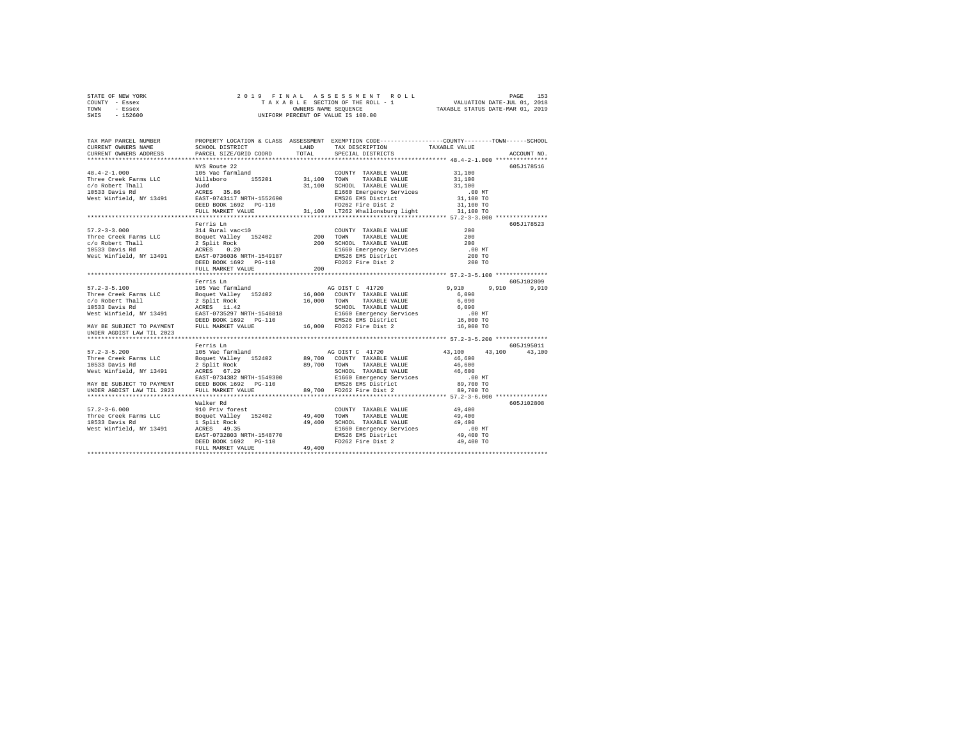| STATE OF NEW YORK | 2019 FINAL ASSESSMENT ROLL         | 153<br>PAGE                      |
|-------------------|------------------------------------|----------------------------------|
| COUNTY - Essex    | TAXABLE SECTION OF THE ROLL - 1    | VALUATION DATE-JUL 01, 2018      |
| TOWN<br>- Essex   | OWNERS NAME SEOUENCE               | TAXABLE STATUS DATE-MAR 01, 2019 |
| - 152600<br>SWIS  | UNIFORM PERCENT OF VALUE IS 100.00 |                                  |

| $\begin{tabular}{lcccc} 48.4-2-1.000 & NYS\ R014-2-1.000 & NYS\ R015050 & 155201 & 31,100 & 155201 & 31,100 & 155201 & 31,100 & 155201 & 31,100 & 155201 & 31,100 & 155201 & 31,100 & 155201 & 31,100 & 155201 & 31,100 & 155201 & 31,100 & 155201 & 31,100 & 155201 & 3$                                                                                                                                                          | NYS Route 22 |  | 605J178516                                                                                                                                                                                                                       |  |
|------------------------------------------------------------------------------------------------------------------------------------------------------------------------------------------------------------------------------------------------------------------------------------------------------------------------------------------------------------------------------------------------------------------------------------|--------------|--|----------------------------------------------------------------------------------------------------------------------------------------------------------------------------------------------------------------------------------|--|
|                                                                                                                                                                                                                                                                                                                                                                                                                                    |              |  |                                                                                                                                                                                                                                  |  |
|                                                                                                                                                                                                                                                                                                                                                                                                                                    |              |  |                                                                                                                                                                                                                                  |  |
|                                                                                                                                                                                                                                                                                                                                                                                                                                    |              |  |                                                                                                                                                                                                                                  |  |
|                                                                                                                                                                                                                                                                                                                                                                                                                                    |              |  |                                                                                                                                                                                                                                  |  |
|                                                                                                                                                                                                                                                                                                                                                                                                                                    |              |  |                                                                                                                                                                                                                                  |  |
|                                                                                                                                                                                                                                                                                                                                                                                                                                    |              |  |                                                                                                                                                                                                                                  |  |
|                                                                                                                                                                                                                                                                                                                                                                                                                                    |              |  |                                                                                                                                                                                                                                  |  |
|                                                                                                                                                                                                                                                                                                                                                                                                                                    |              |  |                                                                                                                                                                                                                                  |  |
|                                                                                                                                                                                                                                                                                                                                                                                                                                    | Ferris Ln    |  | 605J178523                                                                                                                                                                                                                       |  |
|                                                                                                                                                                                                                                                                                                                                                                                                                                    |              |  |                                                                                                                                                                                                                                  |  |
|                                                                                                                                                                                                                                                                                                                                                                                                                                    |              |  |                                                                                                                                                                                                                                  |  |
|                                                                                                                                                                                                                                                                                                                                                                                                                                    |              |  |                                                                                                                                                                                                                                  |  |
|                                                                                                                                                                                                                                                                                                                                                                                                                                    |              |  |                                                                                                                                                                                                                                  |  |
|                                                                                                                                                                                                                                                                                                                                                                                                                                    |              |  |                                                                                                                                                                                                                                  |  |
|                                                                                                                                                                                                                                                                                                                                                                                                                                    |              |  |                                                                                                                                                                                                                                  |  |
|                                                                                                                                                                                                                                                                                                                                                                                                                                    |              |  |                                                                                                                                                                                                                                  |  |
|                                                                                                                                                                                                                                                                                                                                                                                                                                    |              |  |                                                                                                                                                                                                                                  |  |
| $57.2 - 3 - 5.100$                                                                                                                                                                                                                                                                                                                                                                                                                 | Ferris Ln    |  | 605J102809                                                                                                                                                                                                                       |  |
|                                                                                                                                                                                                                                                                                                                                                                                                                                    |              |  | 9,910 9,910                                                                                                                                                                                                                      |  |
|                                                                                                                                                                                                                                                                                                                                                                                                                                    |              |  |                                                                                                                                                                                                                                  |  |
|                                                                                                                                                                                                                                                                                                                                                                                                                                    |              |  |                                                                                                                                                                                                                                  |  |
|                                                                                                                                                                                                                                                                                                                                                                                                                                    |              |  |                                                                                                                                                                                                                                  |  |
|                                                                                                                                                                                                                                                                                                                                                                                                                                    |              |  |                                                                                                                                                                                                                                  |  |
|                                                                                                                                                                                                                                                                                                                                                                                                                                    |              |  |                                                                                                                                                                                                                                  |  |
| UNDER AGDIST LAW TIL 2023                                                                                                                                                                                                                                                                                                                                                                                                          |              |  |                                                                                                                                                                                                                                  |  |
|                                                                                                                                                                                                                                                                                                                                                                                                                                    |              |  | 605J195011                                                                                                                                                                                                                       |  |
|                                                                                                                                                                                                                                                                                                                                                                                                                                    | Ferris Ln    |  |                                                                                                                                                                                                                                  |  |
|                                                                                                                                                                                                                                                                                                                                                                                                                                    |              |  |                                                                                                                                                                                                                                  |  |
|                                                                                                                                                                                                                                                                                                                                                                                                                                    |              |  |                                                                                                                                                                                                                                  |  |
|                                                                                                                                                                                                                                                                                                                                                                                                                                    |              |  |                                                                                                                                                                                                                                  |  |
|                                                                                                                                                                                                                                                                                                                                                                                                                                    |              |  |                                                                                                                                                                                                                                  |  |
|                                                                                                                                                                                                                                                                                                                                                                                                                                    |              |  |                                                                                                                                                                                                                                  |  |
|                                                                                                                                                                                                                                                                                                                                                                                                                                    |              |  |                                                                                                                                                                                                                                  |  |
|                                                                                                                                                                                                                                                                                                                                                                                                                                    |              |  |                                                                                                                                                                                                                                  |  |
|                                                                                                                                                                                                                                                                                                                                                                                                                                    |              |  | 605J102808                                                                                                                                                                                                                       |  |
|                                                                                                                                                                                                                                                                                                                                                                                                                                    |              |  |                                                                                                                                                                                                                                  |  |
|                                                                                                                                                                                                                                                                                                                                                                                                                                    |              |  |                                                                                                                                                                                                                                  |  |
|                                                                                                                                                                                                                                                                                                                                                                                                                                    |              |  |                                                                                                                                                                                                                                  |  |
|                                                                                                                                                                                                                                                                                                                                                                                                                                    |              |  |                                                                                                                                                                                                                                  |  |
|                                                                                                                                                                                                                                                                                                                                                                                                                                    |              |  |                                                                                                                                                                                                                                  |  |
|                                                                                                                                                                                                                                                                                                                                                                                                                                    |              |  |                                                                                                                                                                                                                                  |  |
| $\begin{tabular}{l c c c c} \hline $57.2-3-6.000$ & \begin{tabular}{l c c c} \multicolumn{2}{c}{\textbf{Waller Rd}} & \multicolumn{2}{c}{\textbf{Waller Rd}} \\ \hline \multicolumn{2}{c}{\textbf{71.2-3-6.000}} & \multicolumn{2}{c}{\textbf{Waller Rd}} & \multicolumn{2}{c}{\textbf{91.00}} & \multicolumn{2}{c}{\textbf{Wuler Rd}} & \multicolumn{2}{c}{\textbf{92.00}} & \multicolumn{2}{c}{\textbf{93.00}} & \multicolumn{2$ |              |  | $FULL$ and $FUL$ and $FUL$ and $F2$ and $F3$ and $F4$ and $F5$ and $F5$ are $F5$ and $F5$ and $F5$ and $F5$ and $F5$ and $F6$ and $F6$ and $F6$ and $F7$ and $F8$ and $F9$ and $F9$ and $F9$ and $F9$ and $F9$ and $F9$ and $F9$ |  |
|                                                                                                                                                                                                                                                                                                                                                                                                                                    |              |  |                                                                                                                                                                                                                                  |  |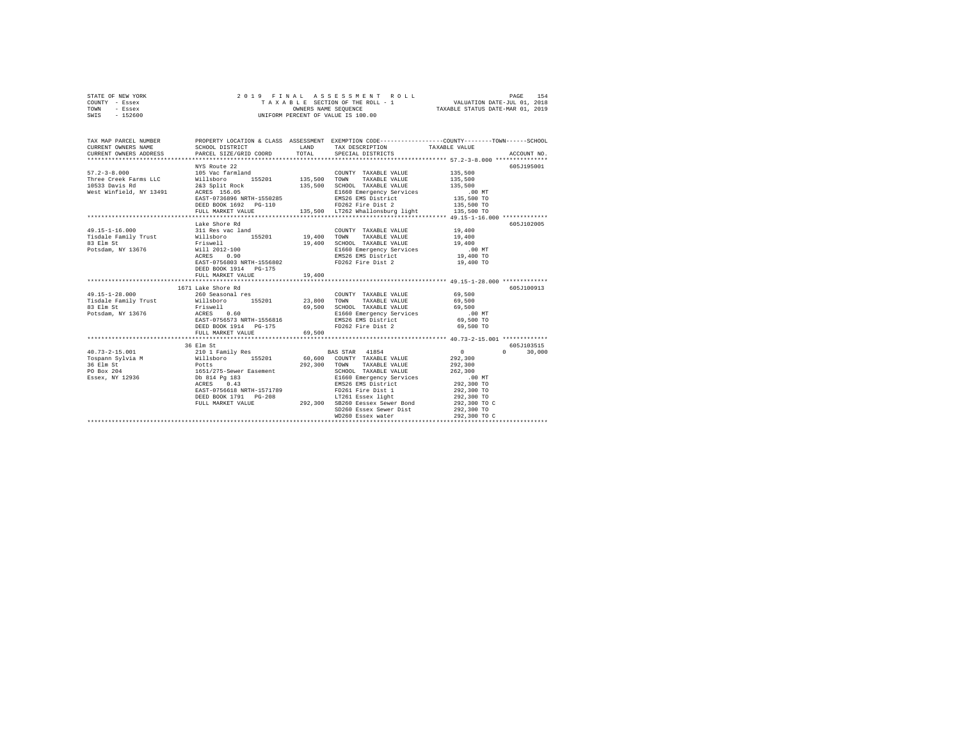| STATE OF NEW YORK | 2019 FINAL ASSESSMENT ROLL         | 154<br>PAGE                      |
|-------------------|------------------------------------|----------------------------------|
| COUNTY - Essex    | TAXABLE SECTION OF THE ROLL - 1    | VALUATION DATE-JUL 01, 2018      |
| TOWN<br>- Essex   | OWNERS NAME SEOUENCE               | TAXABLE STATUS DATE-MAR 01, 2019 |
| $-152600$<br>SWIS | UNIFORM PERCENT OF VALUE IS 100.00 |                                  |

| TAX MAP PARCEL NUMBER                                                                                                                                                                                                                                                                                                                                                                                                      |                                                                                                                                                     |              | PROPERTY LOCATION & CLASS ASSESSMENT EXEMPTION CODE----------------COUNTY-------TOWN------SCHOOL                                                                                                                                                                                                                                                                               |                                            |                                  |
|----------------------------------------------------------------------------------------------------------------------------------------------------------------------------------------------------------------------------------------------------------------------------------------------------------------------------------------------------------------------------------------------------------------------------|-----------------------------------------------------------------------------------------------------------------------------------------------------|--------------|--------------------------------------------------------------------------------------------------------------------------------------------------------------------------------------------------------------------------------------------------------------------------------------------------------------------------------------------------------------------------------|--------------------------------------------|----------------------------------|
| $57.2 - 3 - 8.000$<br>91.4-3-0.000 MM TAXABLE VALUE<br>Three Creek Farms LLC Millshoro 155201 135,500 TOWN TAXABLE VALUE<br>10533 Davis Rd 263 Split Rock 135,500 SCHOOL TAXABLE VALUE<br>10533 Davis Rd 26255 156.05 11660 Emergency Services<br>EMS26 EMS26 EM                                                                                                                                                           | NYS Route 22<br>105 Vac farmland<br>DEED BOOK 1692 PG-110                                                                                           |              | COUNTY TAXABLE VALUE 135,500<br>TAXABLE VALUE<br>SCHOOL TAXABLE VALUE<br>E1660 Emergency Services<br>EMS26 EMS District 135,500 TO<br>125,500 TO<br>EMS26 EMS District<br>FD262 Fire District<br>FULL MARKET VALUE 135,500 LT262 Whallonsburg light 135,500 TO                                                                                                                 | 135,500<br>135,500<br>135,500 TO           | 605J195001                       |
| 49.15-1-16.000 311 Res vac land                                                                                                                                                                                                                                                                                                                                                                                            | Lake Shore Rd<br>EAST-0756803 NRTH-1556802<br>DEED BOOK 1914 PG-175<br>FULL MARKET VALUE                                                            | 19,400       | COUNTY TAXABLE VALUE 19,400<br>E1660 Emergency Services .00 MT<br>EMS26 EMS District<br>FD262 Fire Dist 2                                                                                                                                                                                                                                                                      | 19,400<br>19,400<br>19,400 TO<br>19,400 TO | 605J102005                       |
|                                                                                                                                                                                                                                                                                                                                                                                                                            |                                                                                                                                                     |              |                                                                                                                                                                                                                                                                                                                                                                                |                                            |                                  |
| 49.15-1-28.000<br>49.15-1-28.000 MM MARBLE VALUE 200 MM MARBLE VALUE 2000 MM MARBLE VALUE 2000 MM TAXABLE VALUE 2000<br>Tisdale Family Trust Willsboro 155201 23,800 TOWN TAXABLE VALUE 20,500<br>23.800 SCHOOL TAXABLE VALUE 2000 MM MARBLE VALUE 200                                                                                                                                                                     | 1671 Lake Shore Rd<br>11 Bane Shore Ru<br>260 Seasonal res<br>ACRES 0.60<br>EAST-0756573 NRTH-1556816<br>DEED BOOK 1914 PG-175<br>FULL MARKET VALUE | 69,500       | COUNTY TAXABLE VALUE 69,500<br>FD262 Fire Dist 2 69,500 TO                                                                                                                                                                                                                                                                                                                     |                                            | 605J100913                       |
|                                                                                                                                                                                                                                                                                                                                                                                                                            |                                                                                                                                                     |              |                                                                                                                                                                                                                                                                                                                                                                                |                                            |                                  |
| $\begin{array}{l} 40.73 - 2 - 15.001 \hspace{2.1cm} & \hspace{2.1cm} 210 \hspace{2.0cm} 1 \hspace{2.0cm} \text{Family Res} \hspace{2.2cm} & \hspace{2.1cm} \text{BAS STAR} \hspace{2.2cm} & \hspace{2.1cm} 41854 \hspace{2.2cm} 0 \hspace{2.2cm} \text{Cospann Sylvia M} \hspace{2.2cm} & \hspace{2.1cm} 292,300 \end{array}$<br>1982<br>1988 Elm St<br>PO Box 204 1651/275-Sewer Easement<br>Essex, NY 12936 16814 Pg 183 | 36 Elm St<br>Db 814 Pg 183<br>ACRES 0.43<br>EAST-0756618 NRTH-1571789<br>ACRES 0.43                                                                 | 292.300 TOWN | TOWN TAXABLE VINUE<br>SCHOOL TAXABLE VALUE<br>E1660 Emergency Services<br>ENS26 EMS District 292,300 TO<br>EMS26 EMS District 202,300 TO<br>EMS26 EMS District<br>FD261 Fire Dist 1<br>LT261 Essex light<br>EAST-0756618 NRTH-1571789<br>DEED BOOK 1791 PG-208 1792,300 SB260 Eessex Sewer Bond<br>PULL MARKET VALUE 292,300 SB260 Eessex Sewer Dist<br>SD260 Essex Sewer Dist | 292,300 TO<br>292,300 TO C<br>292,300 TO   | 605J103515<br>30,000<br>$\Omega$ |
|                                                                                                                                                                                                                                                                                                                                                                                                                            |                                                                                                                                                     |              | WD260 Essex water                                                                                                                                                                                                                                                                                                                                                              | 292,300 TO C                               |                                  |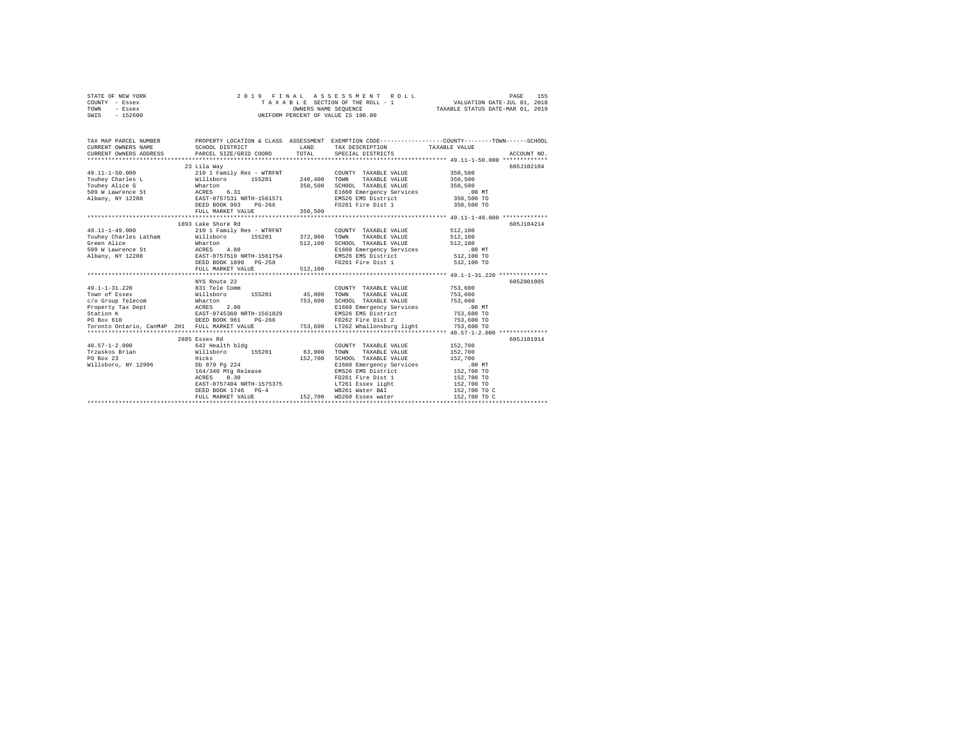|                | STATE OF NEW YORK |  |  |  | 2019 FINAL ASSESSMENT ROLL         |                                  | PAGE | 155 |
|----------------|-------------------|--|--|--|------------------------------------|----------------------------------|------|-----|
| COUNTY - Essex |                   |  |  |  | TAXABLE SECTION OF THE ROLL - 1    | VALUATION DATE-JUL 01, 2018      |      |     |
| TOWN           | - Essex           |  |  |  | OWNERS NAME SEOUENCE               | TAXABLE STATUS DATE-MAR 01, 2019 |      |     |
| SWIS           | - 152600          |  |  |  | UNIFORM PERCENT OF VALUE IS 100.00 |                                  |      |     |

| TAX MAP PARCEL NUMBER                                                                                                                                                                                                                                                                        |                                                                                      | TAX DESCRIPTION TAXABLE VALUE                                                                                                                                                                                                                                                                                                                           | PROPERTY LOCATION & CLASS ASSESSMENT EXEMPTION CODE----------------COUNTY-------TOWN-----SCHOOL |
|----------------------------------------------------------------------------------------------------------------------------------------------------------------------------------------------------------------------------------------------------------------------------------------------|--------------------------------------------------------------------------------------|---------------------------------------------------------------------------------------------------------------------------------------------------------------------------------------------------------------------------------------------------------------------------------------------------------------------------------------------------------|-------------------------------------------------------------------------------------------------|
|                                                                                                                                                                                                                                                                                              | 23 Lila Way                                                                          |                                                                                                                                                                                                                                                                                                                                                         | 605J102104                                                                                      |
| $\begin{array}{cccccc} 49.11\texttt{-}1\texttt{-}49.000 & & & 210\text{ 1 Family Res - WITH} & & & \text{COUNTY TAXABLE VALUE} \\ \text{Touhey Charles Latham} & & & \text{Willsboro} & & 155201 & & 372,900 & \text{TONNY} & \text{TAXABLE VALUE} \\ \end{array}$                           | 1893 Lake Shore Rd                                                                   | COUNTY TAXABLE VALUE 512,100<br>512,100 SCHOOL TAXABLE VALUE 512,100<br>E1660 Emergency Services 5160 DNT<br>EMS26 EMS District 512,100 TO                                                                                                                                                                                                              | 605J104214<br>512,100                                                                           |
| 49.1-1-31.220 831 Tele Comm<br>1991 - 1992 - 1992 - 1992 - 1993 - 1994 - 1994 - 1994 - 1994 - 1994 - 1994 - 1994 - 1994 - 1994 - 1994 - 1994<br>1996 - 1994 - 1994 - 1994 - 1994 - 1994 - 1994 - 1994 - 1994 - 1994 - 1994 - 1994 - 1994 - 1994 - 1994 - 1994<br>19                          | NYS Route 22                                                                         | COUNTY TAXABLE VALUE 753,600                                                                                                                                                                                                                                                                                                                            | 605Z001005                                                                                      |
| 40.57-1-2.000 642 Health bldg<br>Trzaskos Brian – Hillsboro – 155201 63,900 TOWN TAXABLE VALUE 152,700<br>PO Box 23 – Hicks – 152,700 SCHOOL TAXABLE VALUE 152,700 – 152,700 – 152,700 – 152,700 – 152,700 – 152,700 – 1<br>Millsboro, NY 12996 – Db 879 Pg 224 – 152<br>Willsboro, NY 12996 | 2885 Essex Rd<br>Hicks 152,700<br>Db 879 Pg 224<br>164/340 Mtg Release<br>ACRES 0.30 | COUNTY TAXABLE VALUE 152,700<br>152,700 SCHOOL TAXABLE VALUE 152,700 SCHOOL TAXABLE VALUE 152,700 MT<br>EMS26 EMS District 152,700 TO<br>FD261 Fire Dist 1<br>$\begin{array}{lllll} \texttt{EAST-0757404 NRTH-1575375} & \texttt{1111} & \texttt{111} & \texttt{111} \\ \texttt{DEED BOOK 1746} & \texttt{PG-4} & \texttt{WB261 Wafter RF} \end{array}$ | 605J101914<br>152,700 TO<br>152,700 TO<br>152,700 TO C                                          |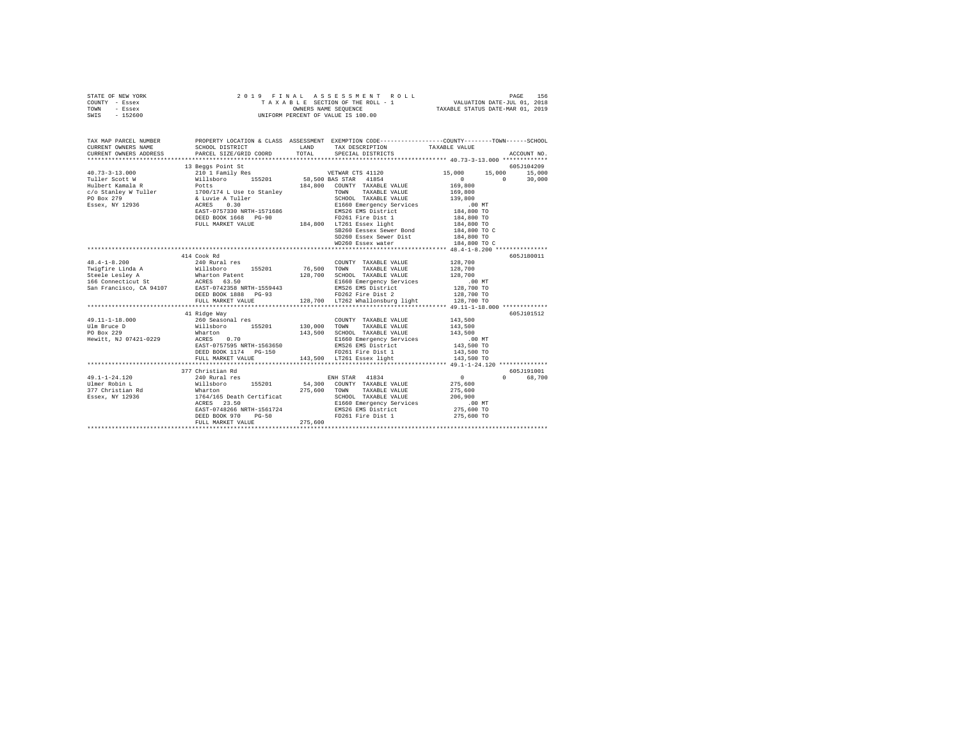| STATE OF NEW YORK<br>COUNTY - Essex<br>TOWN - Essex<br>SWIS - 152600                                                                                                                                                                               | 2019 FINAL ASSESSMENT<br>TAXABLE SCTION OF THE ROLL -<br>UNIFORM PERCENT OF VALUE IS 100.00 |               | ASSESSMENT ROLL                                                                                                                         | VALUATION DATE-JUL 01, 2018 | PAGE<br>156   |
|----------------------------------------------------------------------------------------------------------------------------------------------------------------------------------------------------------------------------------------------------|---------------------------------------------------------------------------------------------|---------------|-----------------------------------------------------------------------------------------------------------------------------------------|-----------------------------|---------------|
| TAX MAP PARCEL NUMBER<br>CURRENT OWNERS NAME<br>CURRENT OWNERS ADDRESS                                                                                                                                                                             | SCHOOL DISTRICT<br>PARCEL SIZE/GRID COORD                                                   | LAND<br>TOTAL | PROPERTY LOCATION & CLASS ASSESSMENT EXEMPTION CODE---------------COUNTY-------TOWN------SCHOOL<br>TAX DESCRIPTION<br>SPECIAL DISTRICTS | TAXABLE VALUE               | ACCOUNT NO.   |
|                                                                                                                                                                                                                                                    | 13 Beggs Point St                                                                           |               |                                                                                                                                         |                             | 605J104209    |
| $40.73 - 3 - 13.000$                                                                                                                                                                                                                               |                                                                                             |               |                                                                                                                                         | 15,000                      | 15,000 15,000 |
| Tuller Scott W                                                                                                                                                                                                                                     |                                                                                             |               |                                                                                                                                         | $\sim$ 0<br>$\sim$ 0        | 30,000        |
| Hulbert Kamala R                                                                                                                                                                                                                                   |                                                                                             |               |                                                                                                                                         | 169,800                     |               |
|                                                                                                                                                                                                                                                    |                                                                                             |               |                                                                                                                                         | 169,800                     |               |
|                                                                                                                                                                                                                                                    |                                                                                             |               |                                                                                                                                         | 139,800                     |               |
| c/o Stanley W Tuller<br>PO Box 279<br>Essex, NY 12936                                                                                                                                                                                              |                                                                                             |               |                                                                                                                                         |                             |               |
|                                                                                                                                                                                                                                                    |                                                                                             |               |                                                                                                                                         | 00 MT.<br>184,800 TO        |               |
|                                                                                                                                                                                                                                                    |                                                                                             |               |                                                                                                                                         |                             |               |
|                                                                                                                                                                                                                                                    |                                                                                             |               |                                                                                                                                         | 184,800 TO<br>184,800 TO    |               |
|                                                                                                                                                                                                                                                    |                                                                                             |               |                                                                                                                                         | 184,800 TO C                |               |
|                                                                                                                                                                                                                                                    |                                                                                             |               | SD260 Essex Sewer Dist                                                                                                                  | 184,800 TO                  |               |
|                                                                                                                                                                                                                                                    |                                                                                             |               | WD260 Essex water                                                                                                                       | 184,800 TO C                |               |
|                                                                                                                                                                                                                                                    |                                                                                             |               |                                                                                                                                         |                             |               |
|                                                                                                                                                                                                                                                    | 414 Cook Rd                                                                                 |               |                                                                                                                                         |                             | 605J180011    |
| $48.4 - 1 - 8.200$                                                                                                                                                                                                                                 | 240 Rural res                                                                               |               | COUNTY TAXABLE VALUE                                                                                                                    | 128,700                     |               |
|                                                                                                                                                                                                                                                    |                                                                                             | 76,500        | TOWN TAXABLE VALUE                                                                                                                      | 128,700                     |               |
|                                                                                                                                                                                                                                                    |                                                                                             | 128,700       | SCHOOL TAXABLE VALUE                                                                                                                    | 128,700                     |               |
| <b>The Second State of Millsboro</b> 155201<br><b>The Second State Constant State 155201</b><br><b>State Lesley A</b> SACES 63.50<br><b>SAN Francisco, CA 94107</b> EAST-0742358 RETH-1559443<br>SAN Francisco, CA 94107 EAST-0742358 RETH-1559443 |                                                                                             |               | E1660 Emergency Services                                                                                                                | .00 MT                      |               |
|                                                                                                                                                                                                                                                    |                                                                                             |               | EMS26 EMS District<br>FD262 Fire District<br>FD262 Fire Dist 2 128,700 TO                                                               |                             |               |
|                                                                                                                                                                                                                                                    | DEED BOOK 1888 PG-93                                                                        |               |                                                                                                                                         |                             |               |
|                                                                                                                                                                                                                                                    | FULL MARKET VALUE                                                                           |               | 128,700 LT262 Whallonsburg light                                                                                                        | 128,700 TO                  |               |
|                                                                                                                                                                                                                                                    | *************************                                                                   |               |                                                                                                                                         |                             |               |
|                                                                                                                                                                                                                                                    | 41 Ridge Way                                                                                |               |                                                                                                                                         |                             | 605J101512    |
| $49.11 - 1 - 18.000$                                                                                                                                                                                                                               |                                                                                             |               | COUNTY TAXABLE VALUE                                                                                                                    | 143,500                     |               |
| Ulm Bruce D                                                                                                                                                                                                                                        | 260 Seasonal res<br>Willsboro 155201<br>Wharton                                             | 130,000 TOWN  | TAXABLE VALUE                                                                                                                           | 143,500                     |               |
| PO Box 229                                                                                                                                                                                                                                         | Wharton<br>ACRES 0.70                                                                       |               | 143,500 SCHOOL TAXABLE VALUE                                                                                                            | 143,500                     |               |
| Hewitt, NJ 07421-0229                                                                                                                                                                                                                              |                                                                                             |               | E1660 Emergency Services                                                                                                                | $.00$ MT                    |               |
|                                                                                                                                                                                                                                                    | EAST-0757595 NRTH-1563650                                                                   |               | EMS26 EMS District                                                                                                                      | 143,500 TO                  |               |
|                                                                                                                                                                                                                                                    | DEED BOOK 1174 PG-150                                                                       |               | FD261 Fire Dist 1<br>143,500 LT261 Essex light                                                                                          | 143,500 TO                  |               |
|                                                                                                                                                                                                                                                    | FULL MARKET VALUE                                                                           |               |                                                                                                                                         | 143,500 TO                  |               |
|                                                                                                                                                                                                                                                    | 377 Christian Rd                                                                            |               |                                                                                                                                         |                             | 605J191001    |
| 49.1-1-24.120                                                                                                                                                                                                                                      | 240 Rural res                                                                               |               | ENH STAR 41834                                                                                                                          | $\sim$ 0                    | 0 68,700      |
|                                                                                                                                                                                                                                                    |                                                                                             |               |                                                                                                                                         | 275,600                     |               |
|                                                                                                                                                                                                                                                    |                                                                                             |               |                                                                                                                                         | 275,600                     |               |
| Ulmer Robin L Millsboro 155201 54,300 COUNTY TAXABLE VALUE 1977 Christian Rd Mharton 1764/165 Death Certificat<br>377 Christian Rd Mharton 275,600 TOWN TAXABLE VALUE Essex, NY 12936 16618 23.50 E1660 Emergency Services                         |                                                                                             |               |                                                                                                                                         | 206,900                     |               |
|                                                                                                                                                                                                                                                    |                                                                                             |               |                                                                                                                                         | .00 MT                      |               |
|                                                                                                                                                                                                                                                    | EAST-0748266 NRTH-1561724                                                                   |               |                                                                                                                                         | 275,600 TO                  |               |
|                                                                                                                                                                                                                                                    | $PG-50$<br>DEED BOOK 970                                                                    |               | JUNUL TAXABLE VALUE<br>E1660 Emergency Services<br>EMS26 EMS District<br>FD261 Pier - '<br>FD261 Fire Dist 1                            | 275,600 TO                  |               |
|                                                                                                                                                                                                                                                    | FULL MARKET VALUE                                                                           | 275,600       |                                                                                                                                         |                             |               |
|                                                                                                                                                                                                                                                    |                                                                                             |               |                                                                                                                                         |                             |               |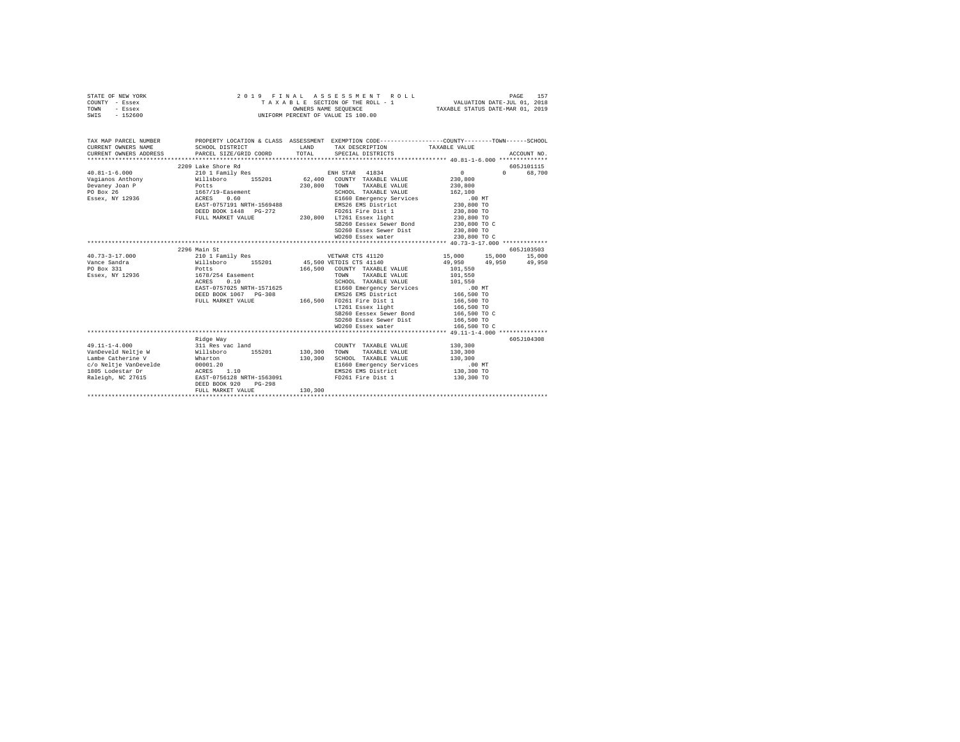| STATE OF NEW YORK<br>COUNTY - Essex                                                                                      |                                                    |         | 2019 FINAL ASSESSMENT ROLL                                                                                                                                |                            | PAGE        | 157    |
|--------------------------------------------------------------------------------------------------------------------------|----------------------------------------------------|---------|-----------------------------------------------------------------------------------------------------------------------------------------------------------|----------------------------|-------------|--------|
| - Essex<br>TOWN                                                                                                          |                                                    |         |                                                                                                                                                           |                            |             |        |
| $-152600$<br>SWIS                                                                                                        |                                                    |         | UNIFORM PERCENT OF VALUE IS 100.00                                                                                                                        |                            |             |        |
|                                                                                                                          |                                                    |         |                                                                                                                                                           |                            |             |        |
|                                                                                                                          |                                                    |         |                                                                                                                                                           |                            |             |        |
|                                                                                                                          |                                                    |         |                                                                                                                                                           |                            |             |        |
| TAX MAP PARCEL NUMBER THE PROPERTY LOCATION & CLASS ASSESSMENT EXEMPTION CODE--------------COUNTY-------TOWN------SCHOOL |                                                    |         |                                                                                                                                                           |                            |             |        |
| CURRENT OWNERS NAME                                                                                                      | SCHOOL DISTRICT                                    |         | ${\tt LAND} \hspace{1.5cm} {\tt TAX} \hspace{2.5cm} {\tt DESCRIPTION} \hspace{3.5cm} {\tt TAXABLE} \hspace{2.5cm} {\tt VALUE}$<br>TOTAL SPECIAL DISTRICTS |                            |             |        |
| CURRENT OWNERS ADDRESS                                                                                                   | PARCEL SIZE/GRID COORD                             |         |                                                                                                                                                           |                            | ACCOUNT NO. |        |
|                                                                                                                          |                                                    |         |                                                                                                                                                           |                            |             |        |
|                                                                                                                          |                                                    |         |                                                                                                                                                           |                            | 605J101115  |        |
|                                                                                                                          |                                                    |         |                                                                                                                                                           | $0 \qquad \qquad$          | $\Omega$    | 68,700 |
|                                                                                                                          |                                                    |         |                                                                                                                                                           | 230,800<br>230,800         |             |        |
|                                                                                                                          |                                                    |         | SCHOOL TAXABLE VALUE                                                                                                                                      | 162,100                    |             |        |
|                                                                                                                          |                                                    |         | E1660 Emergency Services                                                                                                                                  | .00MT                      |             |        |
|                                                                                                                          |                                                    |         |                                                                                                                                                           |                            |             |        |
|                                                                                                                          | EAST-0757191 NRTH-1569488<br>DEED BOOK 1448 PG-272 |         | EMS26 EMS District<br>FD261 Fire Dist 1                                                                                                                   | 230,800 TO<br>230,800 TO   |             |        |
|                                                                                                                          | FULL MARKET VALUE                                  |         | $230,800$ LT261 Essex light 230,800 TO                                                                                                                    |                            |             |        |
|                                                                                                                          |                                                    |         | SB260 Eessex Sewer Bond                                                                                                                                   | 230,800 TO C               |             |        |
|                                                                                                                          |                                                    |         | SD260 Essex Sewer Dist                                                                                                                                    | 230,800 TO                 |             |        |
|                                                                                                                          |                                                    |         | WD260 Essex water                                                                                                                                         | 230,800 TO C               |             |        |
|                                                                                                                          |                                                    |         |                                                                                                                                                           |                            |             |        |
|                                                                                                                          | 2296 Main St                                       |         |                                                                                                                                                           |                            | 605J103503  |        |
| $40.73 - 3 - 17.000$                                                                                                     | 210 1 Family Res                                   |         | VETWAR CTS 41120                                                                                                                                          | 15,000 15,000 15,000       |             |        |
|                                                                                                                          |                                                    |         |                                                                                                                                                           | 49,950 49,950 49,950       |             |        |
|                                                                                                                          |                                                    |         |                                                                                                                                                           | 101,550                    |             |        |
| Essex, NY 12936 1678/254 Easement                                                                                        |                                                    |         | TOWN<br>TAXABLE VALUE                                                                                                                                     | 101,550                    |             |        |
|                                                                                                                          | ACRES 0.10                                         |         | SCHOOL TAXABLE VALUE                                                                                                                                      | 101,550                    |             |        |
|                                                                                                                          | EAST-0757025 NRTH-1571625                          |         | E1660 Emergency Services                                                                                                                                  | $.00$ MT                   |             |        |
|                                                                                                                          | DEED BOOK 1067 PG-308                              |         | EMS26 EMS District                                                                                                                                        | 166,500 TO<br>166,500 TO   |             |        |
|                                                                                                                          | FULL MARKET VALUE                                  |         | 2-308 ans 20 and Distinct<br>166,500 FD261 Fire Dist 1                                                                                                    |                            |             |        |
|                                                                                                                          |                                                    |         | LT261 Essex light                                                                                                                                         |                            |             |        |
|                                                                                                                          |                                                    |         | SB260 Eessex Sewer Bond                                                                                                                                   | 166,500 TO<br>166,500 TO C |             |        |
|                                                                                                                          |                                                    |         | SD260 Essex Sewer Dist                                                                                                                                    | 166,500 TO                 |             |        |
|                                                                                                                          |                                                    |         | WD260 Essex water                                                                                                                                         | 166,500 TO C               |             |        |
|                                                                                                                          |                                                    |         |                                                                                                                                                           |                            |             |        |
|                                                                                                                          | Ridge Way                                          |         |                                                                                                                                                           |                            | 605J104308  |        |
|                                                                                                                          |                                                    |         | COUNTY TAXABLE VALUE                                                                                                                                      | 130,300                    |             |        |
|                                                                                                                          |                                                    |         | TAXABLE VALUE<br>TOWN                                                                                                                                     | 130,300                    |             |        |
|                                                                                                                          |                                                    |         | SCHOOL TAXABLE VALUE                                                                                                                                      | 130,300                    |             |        |
|                                                                                                                          |                                                    |         | E1660 Emergency Services                                                                                                                                  | .00 MT                     |             |        |
|                                                                                                                          |                                                    |         | EMS26 EMS District                                                                                                                                        | 130,300 TO                 |             |        |
|                                                                                                                          |                                                    |         |                                                                                                                                                           | 130,300 TO                 |             |        |
|                                                                                                                          | DEED BOOK 920<br>$PG-298$                          |         |                                                                                                                                                           |                            |             |        |
|                                                                                                                          | FULL MARKET VALUE                                  | 130,300 |                                                                                                                                                           |                            |             |        |
|                                                                                                                          |                                                    |         |                                                                                                                                                           |                            |             |        |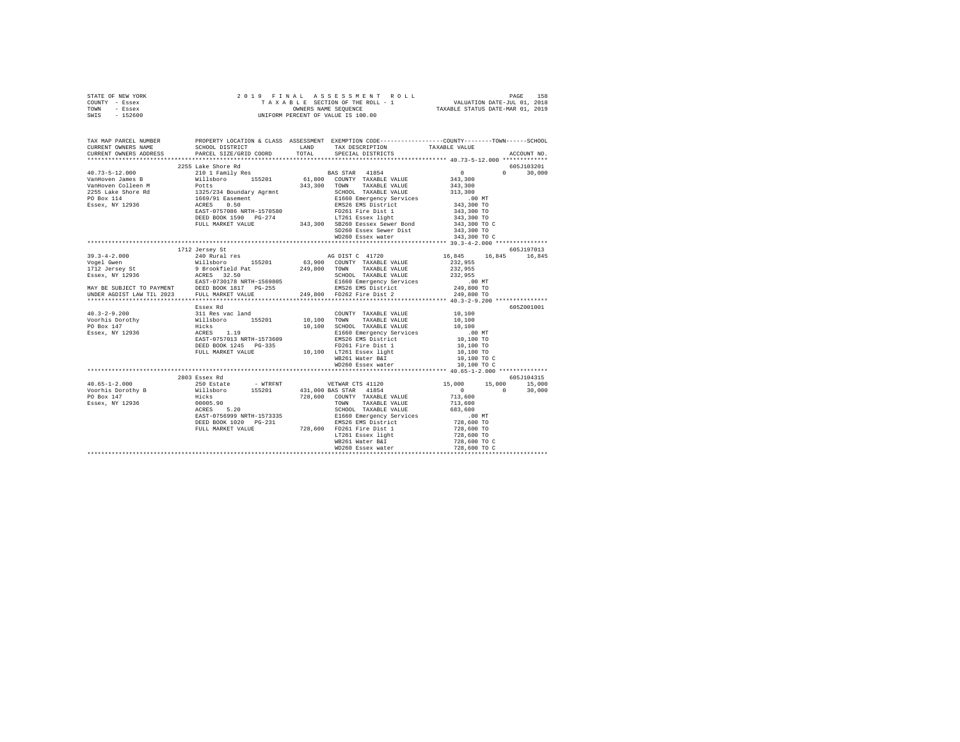| STATE OF NEW YORK<br>COUNTY - Essex<br>TOWN - Essex<br>SWIS - 152600                                                                                                                                                                                                                                         |                                                                                                                                                                                                                                                                                                          |       |                                                                                                                                                                                                                                                                                                                                                                                                   |                                                                                                                                                                                 |                                              |
|--------------------------------------------------------------------------------------------------------------------------------------------------------------------------------------------------------------------------------------------------------------------------------------------------------------|----------------------------------------------------------------------------------------------------------------------------------------------------------------------------------------------------------------------------------------------------------------------------------------------------------|-------|---------------------------------------------------------------------------------------------------------------------------------------------------------------------------------------------------------------------------------------------------------------------------------------------------------------------------------------------------------------------------------------------------|---------------------------------------------------------------------------------------------------------------------------------------------------------------------------------|----------------------------------------------|
| TAX MAP PARCEL NUMBER<br>CURRENT OWNERS NAME<br>CURRENT OWNERS ADDRESS                                                                                                                                                                                                                                       | SCHOOL DISTRICT LAND<br>PARCEL SIZE/GRID COORD                                                                                                                                                                                                                                                           | TOTAL | PROPERTY LOCATION & CLASS ASSESSMENT EXEMPTION CODE----------------COUNTY--------TOWN------SCHOOL<br>TAX DESCRIPTION<br>SPECIAL DISTRICTS                                                                                                                                                                                                                                                         | TAXABLE VALUE                                                                                                                                                                   | ACCOUNT NO.                                  |
| $40.73 - 5 - 12.000$                                                                                                                                                                                                                                                                                         | 2255 Lake Shore Rd<br>210 1 Family Res<br>Willsboro 155201                                                                                                                                                                                                                                               |       | BAS STAR 41854<br>61,800 COUNTY TAXABLE VALUE                                                                                                                                                                                                                                                                                                                                                     | $\mathbf{0}$                                                                                                                                                                    | 605J103201<br>$\Omega$<br>30,000             |
| VanHoven James B<br>VanHoven Colleen M<br>2255 Lake Shore Rd<br>PO Box 114<br>Essex, NY 12936                                                                                                                                                                                                                | Potts<br>1325/234 Boundary Agrmnt<br>1669/91 Easement<br>ACRES 0.50<br>EAST-0757086 NRTH-1570580                                                                                                                                                                                                         |       | 343,300 TOWN TAXABLE VALUE<br>SCHOOL TAXABLE VALUE<br>E1660 Emergency Services<br>E1660 Emergency Services<br>EMS26 EMS District                                                                                                                                                                                                                                                                  | 343,300<br>343,300<br>313,300<br>.00 MT<br>343,300 TO<br>343,300 TO                                                                                                             |                                              |
|                                                                                                                                                                                                                                                                                                              |                                                                                                                                                                                                                                                                                                          |       | FD261 Fire Dist 1<br>LT261 Essex light<br>EASI-U JOURN ET LE PORT AND LIST PORT ON A PRESE PORT ON A LIST PORT OF LAND THAT A LIST PORT OF LAND THAT A LIS<br>DEED BOOK 1590 DE-274 243,300 SB260 Eessex Sewer Bond<br>SD260 Essex Sewer Dist<br>WD260 Essex water                                                                                                                                | 343,300 TO<br>343,300 TO C<br>343,300 TO<br>343,300 TO C                                                                                                                        |                                              |
|                                                                                                                                                                                                                                                                                                              |                                                                                                                                                                                                                                                                                                          |       |                                                                                                                                                                                                                                                                                                                                                                                                   |                                                                                                                                                                                 |                                              |
| $39.3 - 4 - 2.000$<br>Vogel Gwen<br>1712 Jersey St<br>Essex, NY 12936<br>EAST-0730178 NRTH-1569805<br>MAY BE SUBJECT TO PAYMENT DEED BOOK 1817 DG-255<br>UNDER AGDIST LAW TIL 2023 FULL MARKET VALUE<br>$40.3 - 2 - 9.200$<br>40.3-2-9.200<br>Voorhis Dorothy<br>PO Box 147<br>PO Box 147<br>Essex, NY 12936 | 1712 Jersey St<br>240 Rural res<br>Willsboro 155201<br>9 Brookfield Pat<br>ACRES 32.50<br>Essex Rd<br>311 Res vac land<br>311 Res vac Tand (1990)<br>Willsboro 195201 10,100 TOWN TAXABLE VALUE<br>Hicks 10,100 SCHOOL TAXABLE VALUE<br>ACRES 1.19<br>EAST-0757013 NRTH-1573609<br>DEED BOOK 1245 PG-335 |       | AG DIST C 41720<br>63,900 COUNTY TAXABLE VALUE<br>249,800 TOWN TAXABLE VALUE<br>SCHOOL TAXABLE VALUE<br>SCROOL TAAABLE VALUE<br>E1660 Emergency Services<br>EMS26 EMS District<br>EMS26 EMS District<br>249,800 FD262 Fire Dist 2<br>$\texttt{COUNTY} \quad \texttt{TXABLE} \quad \texttt{VALUE} \qquad \qquad 10\, , 100$<br>E1660 Emergency Services<br>EMS26 EMS District<br>FD261 Fire Dist 1 | 16,845<br>232,955<br>232,955<br>232.955<br>$.00$ MT<br>249,800 TO<br>249,800 TO<br>10,100<br>10,100<br>$.00$ MT<br>00 MT.<br>10,100 TO<br>10,100 TO                             | 605J197013<br>16,845<br>16,845<br>605Z001001 |
|                                                                                                                                                                                                                                                                                                              | FULL MARKET VALUE                                                                                                                                                                                                                                                                                        |       | 10,100 LT261 Essex light<br>WB261 Water B&I<br>WD260 Essex water                                                                                                                                                                                                                                                                                                                                  | 10,100 TO<br>10,100 TO C<br>10,100 TO C                                                                                                                                         |                                              |
|                                                                                                                                                                                                                                                                                                              | 2803 Essex Rd                                                                                                                                                                                                                                                                                            |       |                                                                                                                                                                                                                                                                                                                                                                                                   |                                                                                                                                                                                 | 605J104315                                   |
| $40.65 - 1 - 2.000$<br>Voorhis Dorothy B<br>PO Box 147<br>Essex, NY 12936                                                                                                                                                                                                                                    | 250 Estate<br>Willsboro 155201<br>Hicks<br>00005.90<br>ACRES 5.20<br>EAST-0756999 NRTH-1573335<br>DEED BOOK 1020 PG-231<br>FULL MARKET VALUE                                                                                                                                                             |       | - WTRFNT VETWAR CTS 41120<br>155201 431,000 BAS STAR 41854<br>728,600 COUNTY TAXABLE VALUE<br>TOWN TAXABLE VALUE<br>SCHOOL TAXABLE VALUE<br>E1660 Emergency Services<br>EMS26 EMS District<br>728,600 FD261 Fire Dist 1<br>LT261 Essex light<br>WB261 Water B&I<br>WD260 Essex water                                                                                                              | 15,000<br>$\sim$ 0<br>713,600<br>713,600<br>683,600<br>.00MT<br>728,600 TO<br>728,600 TO<br>728,600 TO<br>728,600 TO C<br>728,600 TO C<br>************************************* | 15,000 15,000<br>$\sim$ 0<br>30,000          |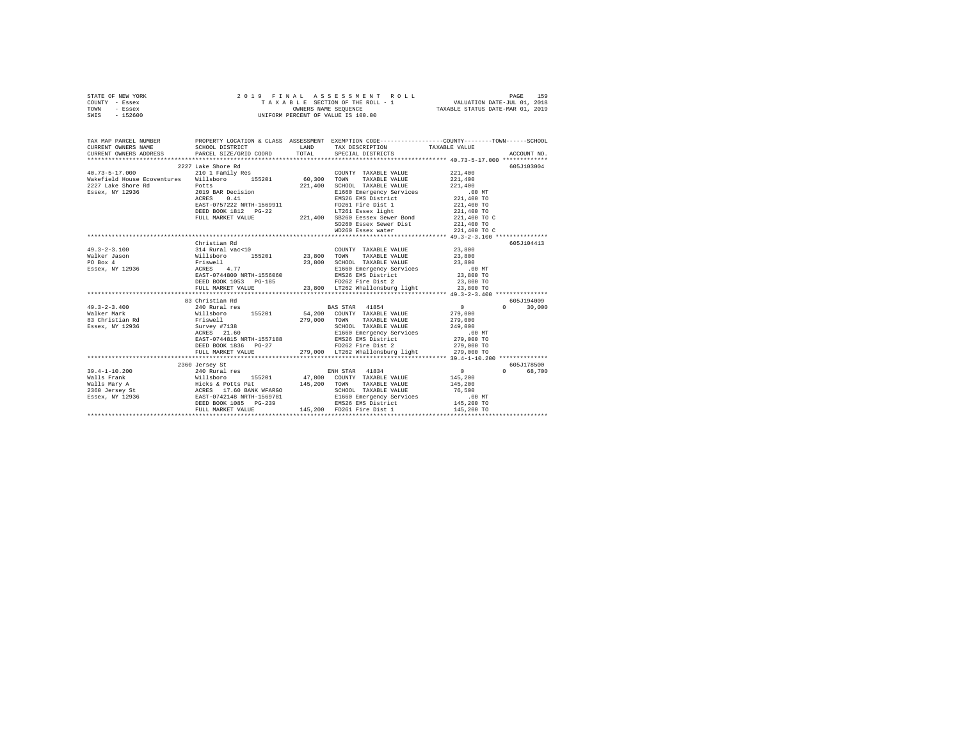| STATE OF NEW YORK | 2019 FINAL ASSESSMENT ROLL         | 159<br>PAGE                      |
|-------------------|------------------------------------|----------------------------------|
| COUNTY - Essex    | TAXABLE SECTION OF THE ROLL - 1    | VALUATION DATE-JUL 01, 2018      |
| TOWN<br>- Essex   | OWNERS NAME SEOUENCE               | TAXABLE STATUS DATE-MAR 01, 2019 |
| $-152600$<br>SWIS | UNIFORM PERCENT OF VALUE IS 100.00 |                                  |

| TAX MAP PARCEL NUMBER<br>CURRENT OWNERS NAME                                                                                                                                                                                                                                                                                                                                                                |                    | LAND TAX DESCRIPTION TAXABLE VALUE                                                                                                                                                                                                                                                 |                                             |               |
|-------------------------------------------------------------------------------------------------------------------------------------------------------------------------------------------------------------------------------------------------------------------------------------------------------------------------------------------------------------------------------------------------------------|--------------------|------------------------------------------------------------------------------------------------------------------------------------------------------------------------------------------------------------------------------------------------------------------------------------|---------------------------------------------|---------------|
|                                                                                                                                                                                                                                                                                                                                                                                                             |                    |                                                                                                                                                                                                                                                                                    |                                             |               |
|                                                                                                                                                                                                                                                                                                                                                                                                             | 2227 Lake Shore Rd |                                                                                                                                                                                                                                                                                    |                                             | 605J103004    |
|                                                                                                                                                                                                                                                                                                                                                                                                             |                    | COUNTY TAXABLE VALUE 221,400                                                                                                                                                                                                                                                       |                                             |               |
|                                                                                                                                                                                                                                                                                                                                                                                                             |                    | TAXABLE VALUE 221,400                                                                                                                                                                                                                                                              |                                             |               |
|                                                                                                                                                                                                                                                                                                                                                                                                             |                    | 221,400 SCHOOL TAXABLE VALUE 221,400<br>E1660 Emergency Services 200 MT<br>EMS26 EMS District 221,400 TO                                                                                                                                                                           |                                             |               |
|                                                                                                                                                                                                                                                                                                                                                                                                             |                    |                                                                                                                                                                                                                                                                                    |                                             |               |
|                                                                                                                                                                                                                                                                                                                                                                                                             |                    |                                                                                                                                                                                                                                                                                    |                                             |               |
|                                                                                                                                                                                                                                                                                                                                                                                                             |                    |                                                                                                                                                                                                                                                                                    |                                             |               |
|                                                                                                                                                                                                                                                                                                                                                                                                             |                    |                                                                                                                                                                                                                                                                                    |                                             |               |
|                                                                                                                                                                                                                                                                                                                                                                                                             |                    |                                                                                                                                                                                                                                                                                    |                                             |               |
|                                                                                                                                                                                                                                                                                                                                                                                                             |                    |                                                                                                                                                                                                                                                                                    |                                             |               |
|                                                                                                                                                                                                                                                                                                                                                                                                             |                    |                                                                                                                                                                                                                                                                                    |                                             |               |
|                                                                                                                                                                                                                                                                                                                                                                                                             |                    |                                                                                                                                                                                                                                                                                    |                                             |               |
|                                                                                                                                                                                                                                                                                                                                                                                                             | Christian Rd       |                                                                                                                                                                                                                                                                                    |                                             | 605J104413    |
| $49.3 - 2 - 3.100$                                                                                                                                                                                                                                                                                                                                                                                          |                    |                                                                                                                                                                                                                                                                                    |                                             |               |
| Walker Jason                                                                                                                                                                                                                                                                                                                                                                                                |                    |                                                                                                                                                                                                                                                                                    |                                             |               |
| PO Box 4                                                                                                                                                                                                                                                                                                                                                                                                    |                    |                                                                                                                                                                                                                                                                                    |                                             |               |
| Essex, NY 12936                                                                                                                                                                                                                                                                                                                                                                                             |                    |                                                                                                                                                                                                                                                                                    |                                             |               |
|                                                                                                                                                                                                                                                                                                                                                                                                             |                    |                                                                                                                                                                                                                                                                                    |                                             |               |
|                                                                                                                                                                                                                                                                                                                                                                                                             |                    | 114 Rural vac<10<br>23,800<br>23,800<br>23,800<br>23,800<br>23,800<br>23,800<br>23,800<br>23,800<br>23,800<br>23,800<br>23,800<br>23,800<br>23,800<br>23,800<br>23,800<br>23,800<br>23,800<br>23,800<br>23,800<br>23,800<br>23,800<br>23,800<br>23,800<br>23,800<br>23,800<br>23,8 |                                             |               |
|                                                                                                                                                                                                                                                                                                                                                                                                             | FULL MARKET VALUE  | 23,800 LT262 Whallonsburg light 23,800 TO                                                                                                                                                                                                                                          |                                             |               |
|                                                                                                                                                                                                                                                                                                                                                                                                             |                    |                                                                                                                                                                                                                                                                                    |                                             |               |
|                                                                                                                                                                                                                                                                                                                                                                                                             | 83 Christian Rd    |                                                                                                                                                                                                                                                                                    |                                             | 605J194009    |
|                                                                                                                                                                                                                                                                                                                                                                                                             |                    |                                                                                                                                                                                                                                                                                    |                                             | $0 \t 30,000$ |
|                                                                                                                                                                                                                                                                                                                                                                                                             |                    |                                                                                                                                                                                                                                                                                    |                                             |               |
|                                                                                                                                                                                                                                                                                                                                                                                                             |                    |                                                                                                                                                                                                                                                                                    |                                             |               |
|                                                                                                                                                                                                                                                                                                                                                                                                             |                    |                                                                                                                                                                                                                                                                                    |                                             |               |
|                                                                                                                                                                                                                                                                                                                                                                                                             |                    |                                                                                                                                                                                                                                                                                    |                                             |               |
|                                                                                                                                                                                                                                                                                                                                                                                                             |                    |                                                                                                                                                                                                                                                                                    |                                             |               |
|                                                                                                                                                                                                                                                                                                                                                                                                             |                    |                                                                                                                                                                                                                                                                                    |                                             |               |
| $\begin{array}{cccccccc} \texttt{85} & \texttt{ST1001} & \texttt{55} & \texttt{56} & \texttt{57} & \texttt{57} & \texttt{58} & \texttt{58} & \texttt{58} & \texttt{59} & \texttt{59} & \texttt{59} & \texttt{59} & \texttt{59} & \texttt{59} & \texttt{59} & \texttt{59} & \texttt{59} & \texttt{59} & \texttt{59} & \texttt{59} & \texttt{59} & \texttt{59} & \texttt{59} & \texttt{59} & \texttt{59} & \$ |                    |                                                                                                                                                                                                                                                                                    |                                             |               |
|                                                                                                                                                                                                                                                                                                                                                                                                             |                    |                                                                                                                                                                                                                                                                                    |                                             | 605J178500    |
|                                                                                                                                                                                                                                                                                                                                                                                                             | 2360 Jersey St     |                                                                                                                                                                                                                                                                                    |                                             | 0 68,700      |
|                                                                                                                                                                                                                                                                                                                                                                                                             |                    |                                                                                                                                                                                                                                                                                    | $\begin{array}{c} 0 \\ 145,200 \end{array}$ |               |
|                                                                                                                                                                                                                                                                                                                                                                                                             |                    |                                                                                                                                                                                                                                                                                    |                                             |               |
|                                                                                                                                                                                                                                                                                                                                                                                                             |                    |                                                                                                                                                                                                                                                                                    |                                             |               |
| 39.4-1-10.200 2390 2390 210 Rural Pes 200 2140 Rural Practices EXAM BASE PRANCIS 201 2010 2140 Rural Practices<br>Walls Prank Mills More Hicks & Potts Pat 2145,200 TOWNY TAXABLE VALUE 145,200<br>2360 Jersey St – ACRES 17.60 BA                                                                                                                                                                          |                    |                                                                                                                                                                                                                                                                                    | .00 MT                                      |               |
|                                                                                                                                                                                                                                                                                                                                                                                                             |                    |                                                                                                                                                                                                                                                                                    | 145,200 TO                                  |               |
|                                                                                                                                                                                                                                                                                                                                                                                                             | FULL MARKET VALUE  | 145,200 FD261 Fire Dist 1                                                                                                                                                                                                                                                          | 145,200 TO                                  |               |
|                                                                                                                                                                                                                                                                                                                                                                                                             |                    |                                                                                                                                                                                                                                                                                    |                                             |               |
|                                                                                                                                                                                                                                                                                                                                                                                                             |                    |                                                                                                                                                                                                                                                                                    |                                             |               |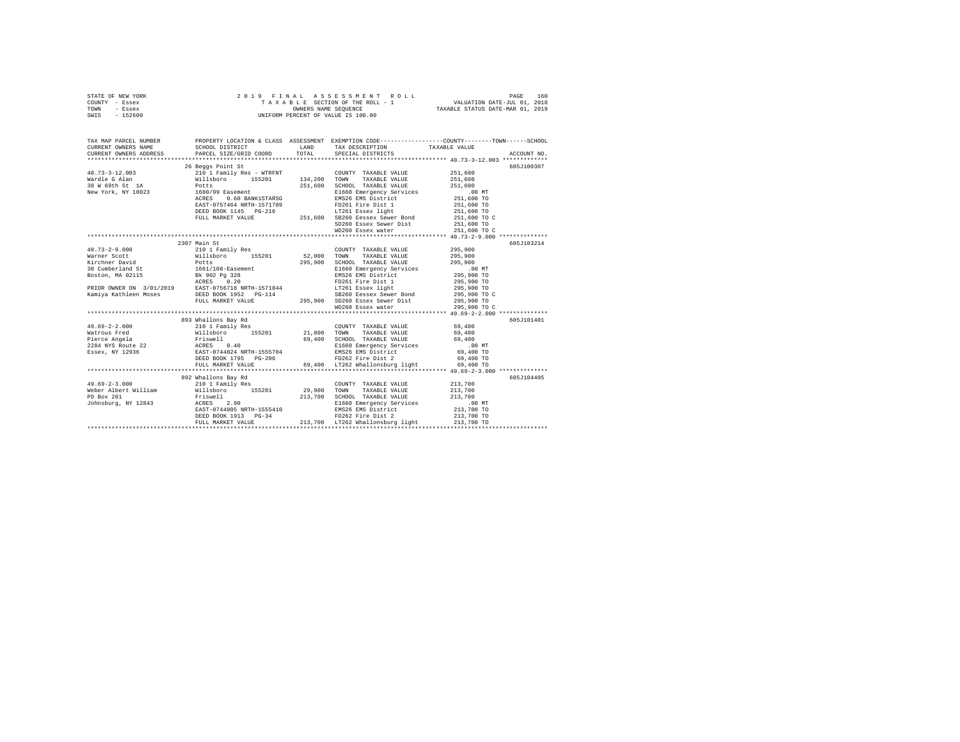| STATE OF NEW YORK                             |                                                                                                                                                                                                                                                    |                      | 2019 FINAL ASSESSMENT ROLL                                                                   |                                                                                                                     |
|-----------------------------------------------|----------------------------------------------------------------------------------------------------------------------------------------------------------------------------------------------------------------------------------------------------|----------------------|----------------------------------------------------------------------------------------------|---------------------------------------------------------------------------------------------------------------------|
| COUNTY - Essex                                | 2019 FINAL ASSESSMENT<br>TAXABLE SECTION OF THE ROLL -<br>UNIFORM PERCENT OF VALUE IS 100.00                                                                                                                                                       |                      |                                                                                              |                                                                                                                     |
| TOWN - Essex                                  |                                                                                                                                                                                                                                                    |                      |                                                                                              |                                                                                                                     |
| SWIS - 152600                                 |                                                                                                                                                                                                                                                    |                      |                                                                                              |                                                                                                                     |
|                                               |                                                                                                                                                                                                                                                    |                      |                                                                                              |                                                                                                                     |
|                                               |                                                                                                                                                                                                                                                    |                      |                                                                                              |                                                                                                                     |
|                                               |                                                                                                                                                                                                                                                    |                      |                                                                                              |                                                                                                                     |
|                                               |                                                                                                                                                                                                                                                    |                      |                                                                                              | TAX MAP PARCEL NUMBER PROPERTY LOCATION & CLASS ASSESSMENT EXEMPTION CODE--------------COUNTY-------TOWN-----SCHOOL |
| CURRENT OWNERS NAME                           | SCHOOL DISTRICT                                                                                                                                                                                                                                    |                      | LAND TAX DESCRIPTION                                                                         | TAXABLE VALUE                                                                                                       |
| CURRENT OWNERS ADDRESS PARCEL SIZE/GRID COORD |                                                                                                                                                                                                                                                    | TOTAL                | SPECIAL DISTRICTS                                                                            | ACCOUNT NO.                                                                                                         |
|                                               |                                                                                                                                                                                                                                                    |                      |                                                                                              |                                                                                                                     |
|                                               | 26 Beggs Point St                                                                                                                                                                                                                                  |                      |                                                                                              | 605J100307                                                                                                          |
| $40.73 - 3 - 12.003$                          |                                                                                                                                                                                                                                                    |                      |                                                                                              | 251,600                                                                                                             |
| Wardle G Alan                                 |                                                                                                                                                                                                                                                    |                      |                                                                                              | 251,600                                                                                                             |
| 38 W 69th St 1A                               |                                                                                                                                                                                                                                                    |                      |                                                                                              | 251,600                                                                                                             |
| New York, NY 10023                            |                                                                                                                                                                                                                                                    |                      |                                                                                              | .00 MT                                                                                                              |
|                                               |                                                                                                                                                                                                                                                    |                      |                                                                                              |                                                                                                                     |
|                                               | NET AND TRIMATE VALUE OF THE SERVICE SERVICE SERVICE PRESSURE THE POST OF THE POST OF THE POST OF THE PRESSURE OF THE PRESSURE OF THE PRESSURE OF THE PRESSURE OF THE PRESSURE THAT THE POST OF THE PRESSURE THAT THE POST OF                      |                      | E1660 Emergency Services<br>EMS26 EMS District<br>FD261 Fire Dist 1<br>LT261 Essex light     |                                                                                                                     |
|                                               |                                                                                                                                                                                                                                                    |                      |                                                                                              |                                                                                                                     |
|                                               |                                                                                                                                                                                                                                                    |                      | DEED BOOK 1145 PG-216 LT261 Essex light<br>FULL MARKET VALUE 251,600 SB260 Eessex Sewer Bond |                                                                                                                     |
|                                               |                                                                                                                                                                                                                                                    |                      |                                                                                              | $251,600$ TO<br>$251,600$ TO<br>$251,600$ TO<br>$251,600$ TO C<br>251,600 TO                                        |
|                                               |                                                                                                                                                                                                                                                    |                      | SD260 Essex Sewer Dist                                                                       |                                                                                                                     |
|                                               |                                                                                                                                                                                                                                                    |                      | WD260 Essex water                                                                            | 251,600 TO C                                                                                                        |
|                                               |                                                                                                                                                                                                                                                    |                      |                                                                                              |                                                                                                                     |
|                                               | 2307 Main St                                                                                                                                                                                                                                       |                      |                                                                                              | 605J103214                                                                                                          |
| $40.73 - 2 - 9.000$                           | 210 1 Family Res                                                                                                                                                                                                                                   |                      | COUNTY TAXABLE VALUE 295,900                                                                 |                                                                                                                     |
| Warner Scott                                  | Willsboro 155201                                                                                                                                                                                                                                   | 52,000 TOWN          | TAXABLE VALUE                                                                                | 295,900                                                                                                             |
| Kirchner David                                | Potts<br>1661/108-Easement                                                                                                                                                                                                                         |                      | 295,900 SCHOOL TAXABLE VALUE                                                                 | 295,900                                                                                                             |
| 30 Cumberland St                              |                                                                                                                                                                                                                                                    |                      | E1660 Emergency Services<br>EMS26 EMS District<br>FD261 Fire Dist 1                          | 00 MT.<br>295,900 TO<br>295,900 TO<br>295,900 TO                                                                    |
|                                               |                                                                                                                                                                                                                                                    |                      |                                                                                              |                                                                                                                     |
|                                               | 91 - 2021<br>2021 - 2022 - 2023<br>2022 - 2023 - 2024<br>2022 - 2023 - 2024<br>2027 - 2033 - 2034<br>2027 - 2034<br>2037 - 2035 - 2036 - 2037 - 2034<br>2037 - 2036 - 2037 - 2034<br>2037 - 2036 - 2037 - 2034<br>2037 - 2036 - 2037 - 2034<br>203 |                      |                                                                                              |                                                                                                                     |
|                                               |                                                                                                                                                                                                                                                    |                      | LT261 Essex light<br>SB260 Eessex light<br>SB260 Eessex Sewer Bond                           |                                                                                                                     |
|                                               |                                                                                                                                                                                                                                                    |                      |                                                                                              | 295,900 TO C                                                                                                        |
|                                               | FULL MARKET VALUE                                                                                                                                                                                                                                  |                      | 295,900 SD260 Essex Sewer Dist                                                               | 295,900 TO                                                                                                          |
|                                               |                                                                                                                                                                                                                                                    |                      | WD260 Essex water                                                                            | 295,900 TO C                                                                                                        |
|                                               |                                                                                                                                                                                                                                                    |                      |                                                                                              |                                                                                                                     |
|                                               | 893 Whallons Bay Rd                                                                                                                                                                                                                                |                      |                                                                                              | 605J101401                                                                                                          |
| $49.69 - 2 - 2.000$                           | 210 1 Family Res                                                                                                                                                                                                                                   |                      | COUNTY TAXABLE VALUE 69,400                                                                  |                                                                                                                     |
| Watrous Fred                                  | Willsboro 155201 21,800 TOWN                                                                                                                                                                                                                       |                      | TAXABLE VALUE                                                                                | 69,400                                                                                                              |
| Pierce Angela                                 | Friswell<br>ACRES 0.40                                                                                                                                                                                                                             |                      | 69.400 SCHOOL TAXABLE VALUE                                                                  | 69,400                                                                                                              |
|                                               | 1111-12<br>1284 NYS Route 22 22 2385 2384 NRTH-1555704<br>1288 ESSEX, NY 12936 2285 1286 1287 1298 1298 1298                                                                                                                                       |                      |                                                                                              | $.00$ MT                                                                                                            |
|                                               |                                                                                                                                                                                                                                                    |                      |                                                                                              | 69,400 TO                                                                                                           |
|                                               | DEED BOOK 1795 PG-206                                                                                                                                                                                                                              |                      | E1660 Emergency Services<br>EMS26 EMS District<br>FD262 Fire Dist 2                          | 69,400 TO                                                                                                           |
|                                               | FULL MARKET VALUE                                                                                                                                                                                                                                  |                      | 69,400 LT262 Whallonsburg light 69,400 TO                                                    |                                                                                                                     |
|                                               |                                                                                                                                                                                                                                                    |                      |                                                                                              |                                                                                                                     |
|                                               | 892 Whallons Bay Rd                                                                                                                                                                                                                                |                      |                                                                                              | 605J104405                                                                                                          |
| $49.69 - 2 - 3.000$                           | 210 1 Family Res                                                                                                                                                                                                                                   |                      | COUNTY TAXABLE VALUE 213,700                                                                 |                                                                                                                     |
| Weber Albert William                          | willsboro 155201                                                                                                                                                                                                                                   | COUNT<br>29,900 TOWN | TAXABLE VALUE                                                                                | 213,700                                                                                                             |
|                                               |                                                                                                                                                                                                                                                    |                      |                                                                                              | 213,700                                                                                                             |
|                                               |                                                                                                                                                                                                                                                    |                      |                                                                                              | .00 MT                                                                                                              |
|                                               |                                                                                                                                                                                                                                                    |                      |                                                                                              | 213,700 TO                                                                                                          |
|                                               | DEED BOOK 1913 PG-34                                                                                                                                                                                                                               |                      | EMS26 EMS District<br>FD262 Fire Dist 2                                                      | 213,700 TO                                                                                                          |
|                                               | FULL MARKET VALUE                                                                                                                                                                                                                                  |                      | 213,700 LT262 Whallonsburg light                                                             | 213,700 TO                                                                                                          |
|                                               |                                                                                                                                                                                                                                                    |                      |                                                                                              |                                                                                                                     |
|                                               |                                                                                                                                                                                                                                                    |                      |                                                                                              |                                                                                                                     |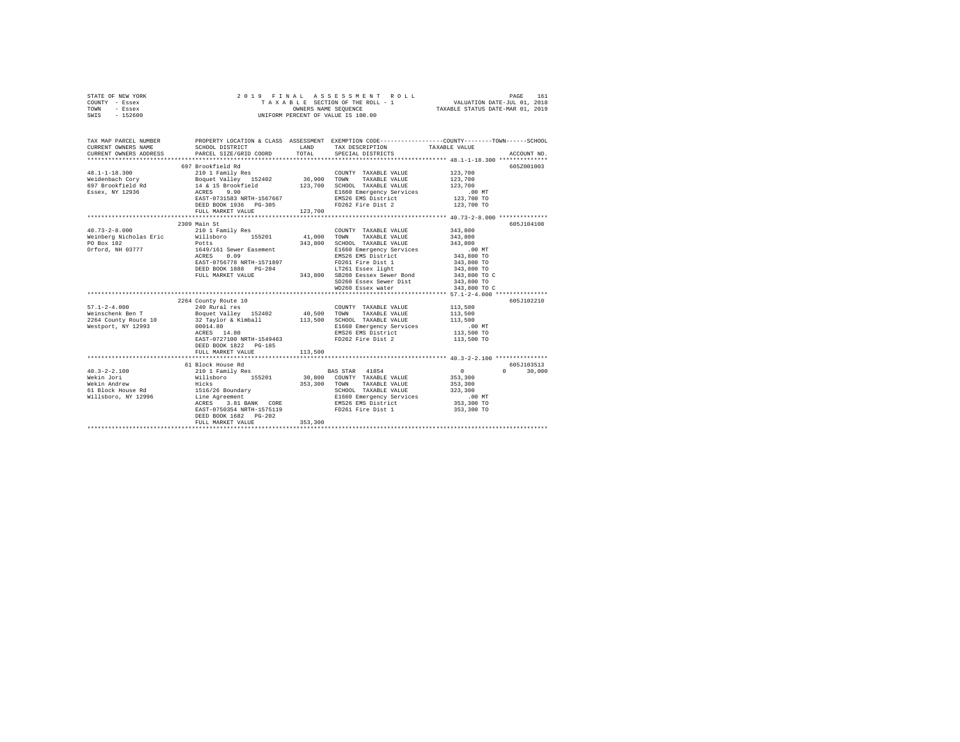| STATE OF NEW YORK | 2019 FINAL ASSESSMENT ROLL         | 161<br>PAGE                      |
|-------------------|------------------------------------|----------------------------------|
| COUNTY - Essex    | TAXABLE SECTION OF THE ROLL - 1    | VALUATION DATE-JUL 01, 2018      |
| TOWN<br>- Essex   | OWNERS NAME SEOUENCE               | TAXABLE STATUS DATE-MAR 01, 2019 |
| $-152600$<br>SWIS | UNIFORM PERCENT OF VALUE IS 100.00 |                                  |

| TAX MAP PARCEL NUMBER<br>CURRENT OWNERS NAME<br>CURRENT OWNERS ADDRESS PARCEL SIZE/GRID COORD | SCHOOL DISTRICT                                                                                                                     | LAND<br>TOTAL | TAX DESCRIPTION TAXABLE VALUE SPECIAL DISTRICTS                                                                                                                                                                                                                                                                                                                                                                                                                                                                    | PROPERTY LOCATION & CLASS ASSESSMENT EXEMPTION CODE---------------COUNTY-------TOWN------SCHOOL<br>ACCOUNT NO. |
|-----------------------------------------------------------------------------------------------|-------------------------------------------------------------------------------------------------------------------------------------|---------------|--------------------------------------------------------------------------------------------------------------------------------------------------------------------------------------------------------------------------------------------------------------------------------------------------------------------------------------------------------------------------------------------------------------------------------------------------------------------------------------------------------------------|----------------------------------------------------------------------------------------------------------------|
|                                                                                               | 697 Brookfield Rd<br>DEED BOOK 1936 PG-305                                                                                          |               | COUNTY TAXABLE VALUE<br>TOWN<br>TAXABLE VALUE<br>SCHOOL TAXABLE VALUE<br>Elf60 Emergency Services .00 MT<br>Elf60 Emergency Services .00 MT<br>THEO EMERGENCY SERVICE . 123,700 TO<br>FD262 Fire Dist 2 123,700 TO                                                                                                                                                                                                                                                                                                 | 605Z001003<br>123,700<br>123,700<br>123,700                                                                    |
| PO Box 182<br>Orford, NH 03777                                                                | 2309 Main St<br>Potts<br>1649/161 Sewer Easement<br>ACRES 0.09                                                                      | 343,800       | SCHOOL TAXABLE VALUE 343,800<br>E1660 Emergency Services .00 MT<br>EMS26 EMS District 343,800 TO<br>$\begin{array}{lllll} \texttt{EAST-0756778 NRTH-1571897} & & & & & \texttt{FDZ61 Fire Dist 1} & & & & 343,800 \texttt{\color{red}{To}} \\ \texttt{DEEDOK 1888} & & & & \texttt{PC-204} & & & 11750 \texttt{\color{red}{To}} \\ \texttt{FULL MARKET VALUE} & & & & & \texttt{17501} & & 343,800 \texttt{\color{red}{To}} \\ \end{array}$<br>SD260 Essex Sewer Dist 343,800 TO<br>WD260 Essex water 343,800 TO C | 605J104108<br>343,800<br>343,800                                                                               |
| Westport, NY 12993                                                                            | 2264 County Route 10<br>00014.80<br>00014.80<br>ACRES 14.80<br>EAST-0727100 NRTH-1549463 FD262 Fire Dist 2<br>DEED BOOK 1822 PG-185 |               | COUNTY TAXABLE VALUE 113,500<br>TAXABLE VALUE<br>SCHOOL TAXABLE VALUE<br>E1660 Emergency Services .00 MT<br>EMS26 EMS District  113,500 TO                                                                                                                                                                                                                                                                                                                                                                         | 605J102210<br>113,500<br>113,500<br>113,500 TO                                                                 |
|                                                                                               | FULL MARKET VALUE                                                                                                                   | 113,500       |                                                                                                                                                                                                                                                                                                                                                                                                                                                                                                                    |                                                                                                                |
|                                                                                               | 61 Block House Rd<br>EAST-0750354 NRTH-1575119<br>DEED BOOK 1682 PG-202<br>FULL MARKET VALUE                                        | 353,300       | SCHOOL TAXABLE VALUE 323,300<br>E1660 Emergency Services<br>EMS26 EMS District<br>FD261 Fire Dist 1 353,300 TO                                                                                                                                                                                                                                                                                                                                                                                                     | 605J103513<br>$\sim$ 0 $\sim$<br>$0 \t 30,000$<br>353,300<br>353,300<br>.00 MT<br>353,300 TO                   |
|                                                                                               |                                                                                                                                     |               |                                                                                                                                                                                                                                                                                                                                                                                                                                                                                                                    |                                                                                                                |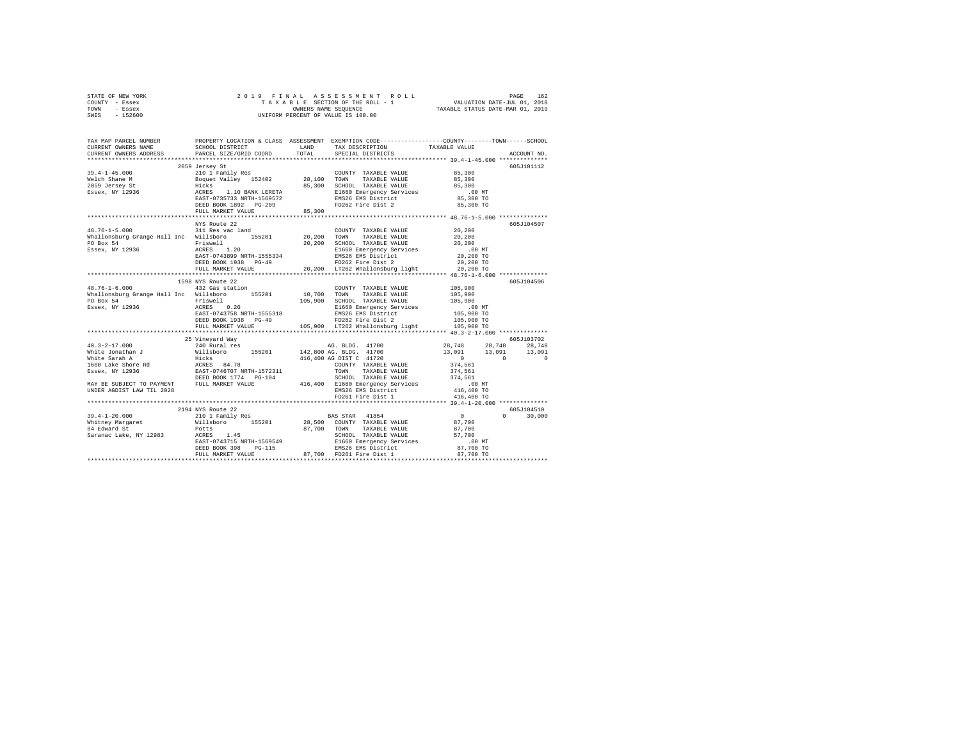|      | STATE OF NEW YORK |  |  | 2019 FINAL ASSESSMENT ROLL         |                                  | PAGE | 162 |
|------|-------------------|--|--|------------------------------------|----------------------------------|------|-----|
|      | COUNTY - Essex    |  |  | TAXABLE SECTION OF THE ROLL - 1    | VALUATION DATE-JUL 01, 2018      |      |     |
| TOWN | - Essex           |  |  | OWNERS NAME SEOUENCE               | TAXABLE STATUS DATE-MAR 01, 2019 |      |     |
| SWIS | $-152600$         |  |  | UNIFORM PERCENT OF VALUE IS 100.00 |                                  |      |     |

| CURRENT OWNERS ADDRESS<br>ACCOUNT NO.<br>2059 Jersey St<br>605J101112<br>19.4-1-45.000<br>Welch Shane M 2010 1 Family Res 2000NYT TAXABLE VALUE<br>Nelch Shane M Boguet Valley 152402<br>2019 Jersey St Hicks 1.10 BANK LERETA 85,300 SCHOOL TAXABLE VALUE<br>ESSEX, NY 12936 ACRESS 1.10 BANK LERETA 2560 EMEN<br>COUNTY TAXABLE VALUE 85,300<br>85,300<br>85,300 SCHOOL TAXABLE VALUE<br>85,300<br>E1660 Emergency Services<br>.00MT<br>85,300 TO<br>EMS26 EMS District<br>FD262 Fire Dist 2<br>85,300 TO<br>DEED BOOK 1892 PG-209<br>85,300<br>FULL MARKET VALUE<br>NYS Route 22<br>605J104507<br>COUNTY TAXABLE VALUE 20,200<br>$48.76 - 1 - 5.000$<br>311 Res vac land<br>Whallonsburg Grange Hall Inc Willsboro $155201$ 20,200 TOWN<br>20,200 TOWN TAXABLE VALUE<br>20,200 SCHOOL TAXABLE VALUE<br>20,200<br>20,200<br>Priswell<br>ACRES 1.20<br>EAST-0743899 NRTH-1555334<br>DEED BOOK 1938 PG-49<br>PO Box 54<br>1598 NYS Route 22<br>605J104506<br>105,900<br>432 Gas station<br>$48.76 - 1 - 6.000$<br>COUNTY TAXABLE VALUE<br>VICTOR CHANGE AND TOWER TANGELE VALUE AND TOWER VALUE OF SAND SUITS AND MALLOS DUE TO DESCRIP TO THE PRESSURE O<br>105,900 SCHOOL PARABLE VALUE PO BOX 54 FITS (105,900 SCHOOL TAXABLE VALUE PO BOX 54 CHASTER CALLS AND ENGLY SA<br>00 MT.<br>105,900 TO<br>FD262 Fire Dist 2<br>105,900 TO<br>DEED BOOK 1938 PG-49<br>105,900 LT262 Whallonsburg light 105,900 TO<br>FULL MARKET VALUE<br>605J103702<br>25 Vineyard Way<br>EMS26 EMS District<br>FD261 Fire Dist 1<br>416,400 TO<br>UNDER AGDIST LAW TIL 2028<br>416,400 TO<br>605J104510<br>2194 NYS Route 22<br>$\sim$ 0<br>$\Omega$<br>30,000<br>POLES 1.45 27,700 TOWN TAXABLE VALUE (27,700 ACRES 1.45 27,700 ACRES 1.45 2.145 2.146 2.147 2.146 2.147 2.147 2.147 2.147 2.147 2.147 2.147 2.147 2.147 2.147 2.147 2.147 2.147 2.147 2.147 2.147 2.147 2.147 2.147 2.147 2.14<br>Saranac Lake, NY 12983 ACRES 1.45 | TAX MAP PARCEL NUMBER<br>CURRENT OWNERS NAME | SCHOOL DISTRICT        | LAND  | TAX DESCRIPTION   | PROPERTY LOCATION & CLASS ASSESSMENT EXEMPTION CODE-----------------COUNTY-------TOWN------SCHOOL<br>TAXABLE VALUE |  |
|---------------------------------------------------------------------------------------------------------------------------------------------------------------------------------------------------------------------------------------------------------------------------------------------------------------------------------------------------------------------------------------------------------------------------------------------------------------------------------------------------------------------------------------------------------------------------------------------------------------------------------------------------------------------------------------------------------------------------------------------------------------------------------------------------------------------------------------------------------------------------------------------------------------------------------------------------------------------------------------------------------------------------------------------------------------------------------------------------------------------------------------------------------------------------------------------------------------------------------------------------------------------------------------------------------------------------------------------------------------------------------------------------------------------------------------------------------------------------------------------------------------------------------------------------------------------------------------------------------------------------------------------------------------------------------------------------------------------------------------------------------------------------------------------------------------------------------------------------------------------------------------------------------------------|----------------------------------------------|------------------------|-------|-------------------|--------------------------------------------------------------------------------------------------------------------|--|
|                                                                                                                                                                                                                                                                                                                                                                                                                                                                                                                                                                                                                                                                                                                                                                                                                                                                                                                                                                                                                                                                                                                                                                                                                                                                                                                                                                                                                                                                                                                                                                                                                                                                                                                                                                                                                                                                                                                     |                                              | PARCEL SIZE/GRID COORD | TOTAL | SPECIAL DISTRICTS |                                                                                                                    |  |
|                                                                                                                                                                                                                                                                                                                                                                                                                                                                                                                                                                                                                                                                                                                                                                                                                                                                                                                                                                                                                                                                                                                                                                                                                                                                                                                                                                                                                                                                                                                                                                                                                                                                                                                                                                                                                                                                                                                     |                                              |                        |       |                   |                                                                                                                    |  |
|                                                                                                                                                                                                                                                                                                                                                                                                                                                                                                                                                                                                                                                                                                                                                                                                                                                                                                                                                                                                                                                                                                                                                                                                                                                                                                                                                                                                                                                                                                                                                                                                                                                                                                                                                                                                                                                                                                                     |                                              |                        |       |                   |                                                                                                                    |  |
|                                                                                                                                                                                                                                                                                                                                                                                                                                                                                                                                                                                                                                                                                                                                                                                                                                                                                                                                                                                                                                                                                                                                                                                                                                                                                                                                                                                                                                                                                                                                                                                                                                                                                                                                                                                                                                                                                                                     |                                              |                        |       |                   |                                                                                                                    |  |
|                                                                                                                                                                                                                                                                                                                                                                                                                                                                                                                                                                                                                                                                                                                                                                                                                                                                                                                                                                                                                                                                                                                                                                                                                                                                                                                                                                                                                                                                                                                                                                                                                                                                                                                                                                                                                                                                                                                     |                                              |                        |       |                   |                                                                                                                    |  |
|                                                                                                                                                                                                                                                                                                                                                                                                                                                                                                                                                                                                                                                                                                                                                                                                                                                                                                                                                                                                                                                                                                                                                                                                                                                                                                                                                                                                                                                                                                                                                                                                                                                                                                                                                                                                                                                                                                                     |                                              |                        |       |                   |                                                                                                                    |  |
|                                                                                                                                                                                                                                                                                                                                                                                                                                                                                                                                                                                                                                                                                                                                                                                                                                                                                                                                                                                                                                                                                                                                                                                                                                                                                                                                                                                                                                                                                                                                                                                                                                                                                                                                                                                                                                                                                                                     |                                              |                        |       |                   |                                                                                                                    |  |
|                                                                                                                                                                                                                                                                                                                                                                                                                                                                                                                                                                                                                                                                                                                                                                                                                                                                                                                                                                                                                                                                                                                                                                                                                                                                                                                                                                                                                                                                                                                                                                                                                                                                                                                                                                                                                                                                                                                     |                                              |                        |       |                   |                                                                                                                    |  |
|                                                                                                                                                                                                                                                                                                                                                                                                                                                                                                                                                                                                                                                                                                                                                                                                                                                                                                                                                                                                                                                                                                                                                                                                                                                                                                                                                                                                                                                                                                                                                                                                                                                                                                                                                                                                                                                                                                                     |                                              |                        |       |                   |                                                                                                                    |  |
|                                                                                                                                                                                                                                                                                                                                                                                                                                                                                                                                                                                                                                                                                                                                                                                                                                                                                                                                                                                                                                                                                                                                                                                                                                                                                                                                                                                                                                                                                                                                                                                                                                                                                                                                                                                                                                                                                                                     |                                              |                        |       |                   |                                                                                                                    |  |
|                                                                                                                                                                                                                                                                                                                                                                                                                                                                                                                                                                                                                                                                                                                                                                                                                                                                                                                                                                                                                                                                                                                                                                                                                                                                                                                                                                                                                                                                                                                                                                                                                                                                                                                                                                                                                                                                                                                     |                                              |                        |       |                   |                                                                                                                    |  |
|                                                                                                                                                                                                                                                                                                                                                                                                                                                                                                                                                                                                                                                                                                                                                                                                                                                                                                                                                                                                                                                                                                                                                                                                                                                                                                                                                                                                                                                                                                                                                                                                                                                                                                                                                                                                                                                                                                                     |                                              |                        |       |                   |                                                                                                                    |  |
|                                                                                                                                                                                                                                                                                                                                                                                                                                                                                                                                                                                                                                                                                                                                                                                                                                                                                                                                                                                                                                                                                                                                                                                                                                                                                                                                                                                                                                                                                                                                                                                                                                                                                                                                                                                                                                                                                                                     |                                              |                        |       |                   |                                                                                                                    |  |
|                                                                                                                                                                                                                                                                                                                                                                                                                                                                                                                                                                                                                                                                                                                                                                                                                                                                                                                                                                                                                                                                                                                                                                                                                                                                                                                                                                                                                                                                                                                                                                                                                                                                                                                                                                                                                                                                                                                     |                                              |                        |       |                   |                                                                                                                    |  |
|                                                                                                                                                                                                                                                                                                                                                                                                                                                                                                                                                                                                                                                                                                                                                                                                                                                                                                                                                                                                                                                                                                                                                                                                                                                                                                                                                                                                                                                                                                                                                                                                                                                                                                                                                                                                                                                                                                                     |                                              |                        |       |                   |                                                                                                                    |  |
|                                                                                                                                                                                                                                                                                                                                                                                                                                                                                                                                                                                                                                                                                                                                                                                                                                                                                                                                                                                                                                                                                                                                                                                                                                                                                                                                                                                                                                                                                                                                                                                                                                                                                                                                                                                                                                                                                                                     |                                              |                        |       |                   |                                                                                                                    |  |
|                                                                                                                                                                                                                                                                                                                                                                                                                                                                                                                                                                                                                                                                                                                                                                                                                                                                                                                                                                                                                                                                                                                                                                                                                                                                                                                                                                                                                                                                                                                                                                                                                                                                                                                                                                                                                                                                                                                     |                                              |                        |       |                   |                                                                                                                    |  |
|                                                                                                                                                                                                                                                                                                                                                                                                                                                                                                                                                                                                                                                                                                                                                                                                                                                                                                                                                                                                                                                                                                                                                                                                                                                                                                                                                                                                                                                                                                                                                                                                                                                                                                                                                                                                                                                                                                                     |                                              |                        |       |                   |                                                                                                                    |  |
|                                                                                                                                                                                                                                                                                                                                                                                                                                                                                                                                                                                                                                                                                                                                                                                                                                                                                                                                                                                                                                                                                                                                                                                                                                                                                                                                                                                                                                                                                                                                                                                                                                                                                                                                                                                                                                                                                                                     |                                              |                        |       |                   |                                                                                                                    |  |
|                                                                                                                                                                                                                                                                                                                                                                                                                                                                                                                                                                                                                                                                                                                                                                                                                                                                                                                                                                                                                                                                                                                                                                                                                                                                                                                                                                                                                                                                                                                                                                                                                                                                                                                                                                                                                                                                                                                     |                                              |                        |       |                   |                                                                                                                    |  |
|                                                                                                                                                                                                                                                                                                                                                                                                                                                                                                                                                                                                                                                                                                                                                                                                                                                                                                                                                                                                                                                                                                                                                                                                                                                                                                                                                                                                                                                                                                                                                                                                                                                                                                                                                                                                                                                                                                                     |                                              |                        |       |                   |                                                                                                                    |  |
|                                                                                                                                                                                                                                                                                                                                                                                                                                                                                                                                                                                                                                                                                                                                                                                                                                                                                                                                                                                                                                                                                                                                                                                                                                                                                                                                                                                                                                                                                                                                                                                                                                                                                                                                                                                                                                                                                                                     |                                              |                        |       |                   |                                                                                                                    |  |
|                                                                                                                                                                                                                                                                                                                                                                                                                                                                                                                                                                                                                                                                                                                                                                                                                                                                                                                                                                                                                                                                                                                                                                                                                                                                                                                                                                                                                                                                                                                                                                                                                                                                                                                                                                                                                                                                                                                     |                                              |                        |       |                   |                                                                                                                    |  |
|                                                                                                                                                                                                                                                                                                                                                                                                                                                                                                                                                                                                                                                                                                                                                                                                                                                                                                                                                                                                                                                                                                                                                                                                                                                                                                                                                                                                                                                                                                                                                                                                                                                                                                                                                                                                                                                                                                                     |                                              |                        |       |                   |                                                                                                                    |  |
|                                                                                                                                                                                                                                                                                                                                                                                                                                                                                                                                                                                                                                                                                                                                                                                                                                                                                                                                                                                                                                                                                                                                                                                                                                                                                                                                                                                                                                                                                                                                                                                                                                                                                                                                                                                                                                                                                                                     |                                              |                        |       |                   |                                                                                                                    |  |
|                                                                                                                                                                                                                                                                                                                                                                                                                                                                                                                                                                                                                                                                                                                                                                                                                                                                                                                                                                                                                                                                                                                                                                                                                                                                                                                                                                                                                                                                                                                                                                                                                                                                                                                                                                                                                                                                                                                     |                                              |                        |       |                   |                                                                                                                    |  |
|                                                                                                                                                                                                                                                                                                                                                                                                                                                                                                                                                                                                                                                                                                                                                                                                                                                                                                                                                                                                                                                                                                                                                                                                                                                                                                                                                                                                                                                                                                                                                                                                                                                                                                                                                                                                                                                                                                                     |                                              |                        |       |                   |                                                                                                                    |  |
|                                                                                                                                                                                                                                                                                                                                                                                                                                                                                                                                                                                                                                                                                                                                                                                                                                                                                                                                                                                                                                                                                                                                                                                                                                                                                                                                                                                                                                                                                                                                                                                                                                                                                                                                                                                                                                                                                                                     |                                              |                        |       |                   |                                                                                                                    |  |
|                                                                                                                                                                                                                                                                                                                                                                                                                                                                                                                                                                                                                                                                                                                                                                                                                                                                                                                                                                                                                                                                                                                                                                                                                                                                                                                                                                                                                                                                                                                                                                                                                                                                                                                                                                                                                                                                                                                     |                                              |                        |       |                   |                                                                                                                    |  |
|                                                                                                                                                                                                                                                                                                                                                                                                                                                                                                                                                                                                                                                                                                                                                                                                                                                                                                                                                                                                                                                                                                                                                                                                                                                                                                                                                                                                                                                                                                                                                                                                                                                                                                                                                                                                                                                                                                                     |                                              |                        |       |                   |                                                                                                                    |  |
|                                                                                                                                                                                                                                                                                                                                                                                                                                                                                                                                                                                                                                                                                                                                                                                                                                                                                                                                                                                                                                                                                                                                                                                                                                                                                                                                                                                                                                                                                                                                                                                                                                                                                                                                                                                                                                                                                                                     |                                              |                        |       |                   |                                                                                                                    |  |
|                                                                                                                                                                                                                                                                                                                                                                                                                                                                                                                                                                                                                                                                                                                                                                                                                                                                                                                                                                                                                                                                                                                                                                                                                                                                                                                                                                                                                                                                                                                                                                                                                                                                                                                                                                                                                                                                                                                     |                                              |                        |       |                   |                                                                                                                    |  |
|                                                                                                                                                                                                                                                                                                                                                                                                                                                                                                                                                                                                                                                                                                                                                                                                                                                                                                                                                                                                                                                                                                                                                                                                                                                                                                                                                                                                                                                                                                                                                                                                                                                                                                                                                                                                                                                                                                                     |                                              |                        |       |                   |                                                                                                                    |  |
|                                                                                                                                                                                                                                                                                                                                                                                                                                                                                                                                                                                                                                                                                                                                                                                                                                                                                                                                                                                                                                                                                                                                                                                                                                                                                                                                                                                                                                                                                                                                                                                                                                                                                                                                                                                                                                                                                                                     |                                              |                        |       |                   |                                                                                                                    |  |
|                                                                                                                                                                                                                                                                                                                                                                                                                                                                                                                                                                                                                                                                                                                                                                                                                                                                                                                                                                                                                                                                                                                                                                                                                                                                                                                                                                                                                                                                                                                                                                                                                                                                                                                                                                                                                                                                                                                     |                                              |                        |       |                   |                                                                                                                    |  |
|                                                                                                                                                                                                                                                                                                                                                                                                                                                                                                                                                                                                                                                                                                                                                                                                                                                                                                                                                                                                                                                                                                                                                                                                                                                                                                                                                                                                                                                                                                                                                                                                                                                                                                                                                                                                                                                                                                                     |                                              |                        |       |                   |                                                                                                                    |  |
|                                                                                                                                                                                                                                                                                                                                                                                                                                                                                                                                                                                                                                                                                                                                                                                                                                                                                                                                                                                                                                                                                                                                                                                                                                                                                                                                                                                                                                                                                                                                                                                                                                                                                                                                                                                                                                                                                                                     |                                              |                        |       |                   |                                                                                                                    |  |
|                                                                                                                                                                                                                                                                                                                                                                                                                                                                                                                                                                                                                                                                                                                                                                                                                                                                                                                                                                                                                                                                                                                                                                                                                                                                                                                                                                                                                                                                                                                                                                                                                                                                                                                                                                                                                                                                                                                     |                                              |                        |       |                   |                                                                                                                    |  |
|                                                                                                                                                                                                                                                                                                                                                                                                                                                                                                                                                                                                                                                                                                                                                                                                                                                                                                                                                                                                                                                                                                                                                                                                                                                                                                                                                                                                                                                                                                                                                                                                                                                                                                                                                                                                                                                                                                                     |                                              |                        |       |                   |                                                                                                                    |  |
|                                                                                                                                                                                                                                                                                                                                                                                                                                                                                                                                                                                                                                                                                                                                                                                                                                                                                                                                                                                                                                                                                                                                                                                                                                                                                                                                                                                                                                                                                                                                                                                                                                                                                                                                                                                                                                                                                                                     |                                              |                        |       |                   |                                                                                                                    |  |
|                                                                                                                                                                                                                                                                                                                                                                                                                                                                                                                                                                                                                                                                                                                                                                                                                                                                                                                                                                                                                                                                                                                                                                                                                                                                                                                                                                                                                                                                                                                                                                                                                                                                                                                                                                                                                                                                                                                     |                                              |                        |       |                   |                                                                                                                    |  |
|                                                                                                                                                                                                                                                                                                                                                                                                                                                                                                                                                                                                                                                                                                                                                                                                                                                                                                                                                                                                                                                                                                                                                                                                                                                                                                                                                                                                                                                                                                                                                                                                                                                                                                                                                                                                                                                                                                                     |                                              |                        |       |                   |                                                                                                                    |  |
|                                                                                                                                                                                                                                                                                                                                                                                                                                                                                                                                                                                                                                                                                                                                                                                                                                                                                                                                                                                                                                                                                                                                                                                                                                                                                                                                                                                                                                                                                                                                                                                                                                                                                                                                                                                                                                                                                                                     |                                              |                        |       |                   |                                                                                                                    |  |
|                                                                                                                                                                                                                                                                                                                                                                                                                                                                                                                                                                                                                                                                                                                                                                                                                                                                                                                                                                                                                                                                                                                                                                                                                                                                                                                                                                                                                                                                                                                                                                                                                                                                                                                                                                                                                                                                                                                     |                                              |                        |       |                   |                                                                                                                    |  |
|                                                                                                                                                                                                                                                                                                                                                                                                                                                                                                                                                                                                                                                                                                                                                                                                                                                                                                                                                                                                                                                                                                                                                                                                                                                                                                                                                                                                                                                                                                                                                                                                                                                                                                                                                                                                                                                                                                                     |                                              |                        |       |                   |                                                                                                                    |  |
|                                                                                                                                                                                                                                                                                                                                                                                                                                                                                                                                                                                                                                                                                                                                                                                                                                                                                                                                                                                                                                                                                                                                                                                                                                                                                                                                                                                                                                                                                                                                                                                                                                                                                                                                                                                                                                                                                                                     |                                              |                        |       |                   |                                                                                                                    |  |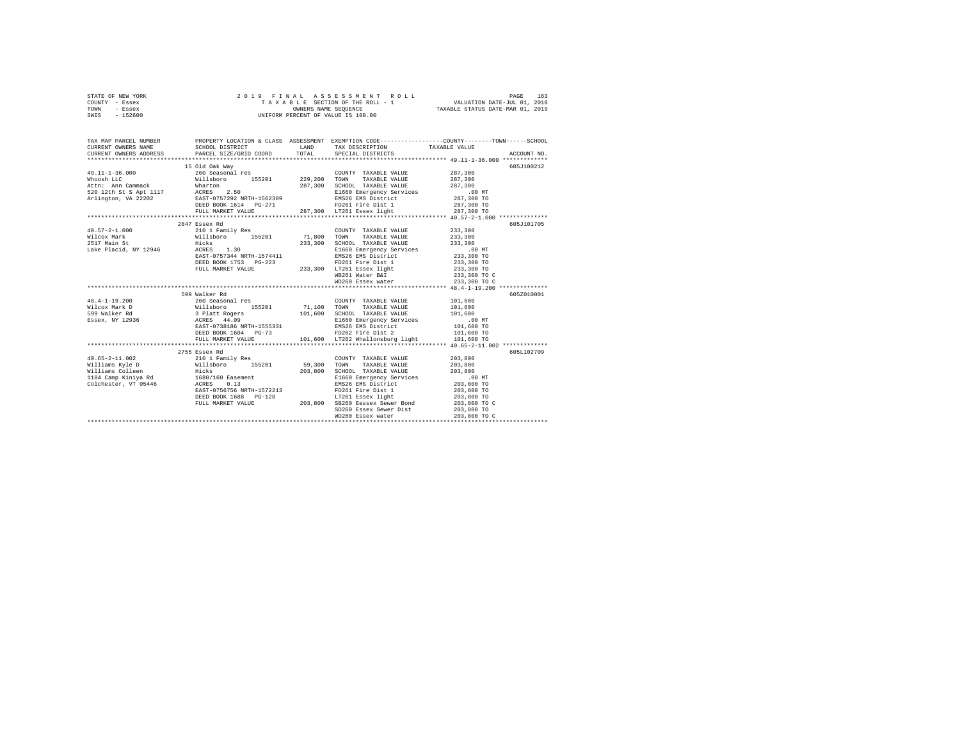|                | STATE OF NEW YORK |  |  | 2019 FINAL ASSESSMENT ROLL         |                                  | PAGE                        | 163 |
|----------------|-------------------|--|--|------------------------------------|----------------------------------|-----------------------------|-----|
| COUNTY - Essex |                   |  |  | TAXABLE SECTION OF THE ROLL - 1    |                                  | VALUATION DATE-JUL 01, 2018 |     |
| TOWN           | - Essex           |  |  | OWNERS NAME SEOUENCE               | TAXABLE STATUS DATE-MAR 01, 2019 |                             |     |
| SWIS           | $-152600$         |  |  | UNIFORM PERCENT OF VALUE IS 100.00 |                                  |                             |     |

| TAX MAP PARCEL NUMBER                                                                                                                                                                                                                                                                                                                                                                                               |                                                                                                                                                                                                                                                                                                        |                                                                                                                                                                                                     | PROPERTY LOCATION & CLASS ASSESSMENT EXEMPTION CODE---------------COUNTY-------TOWN------SCHOOL |
|---------------------------------------------------------------------------------------------------------------------------------------------------------------------------------------------------------------------------------------------------------------------------------------------------------------------------------------------------------------------------------------------------------------------|--------------------------------------------------------------------------------------------------------------------------------------------------------------------------------------------------------------------------------------------------------------------------------------------------------|-----------------------------------------------------------------------------------------------------------------------------------------------------------------------------------------------------|-------------------------------------------------------------------------------------------------|
| 49.11-1-36.000<br>$\begin{tabular}{l c c c c c c c c} \multicolumn{1}{c}{\textbf{W.D.}-3.000} & \multicolumn{1}{c}{\textbf{W.D.}-3.000} & \multicolumn{1}{c}{\textbf{W.D.}-3.000} & \multicolumn{1}{c}{\textbf{W.D.}-3.000} & \multicolumn{1}{c}{\textbf{W.D.}-3.000} & \multicolumn{1}{c}{\textbf{W.D.}-3.000} & \multicolumn{1}{c}{\textbf{W.D.}-3.000} & \multicolumn{1}{c}{\textbf{W.D.}-3.000} & \multicolumn$ | 15 Old Oak Way<br>260 Seasonal res                                                                                                                                                                                                                                                                     | COUNTY TAXABLE VALUE 287,300                                                                                                                                                                        | 605J100212                                                                                      |
|                                                                                                                                                                                                                                                                                                                                                                                                                     | 2847 Essex Rd                                                                                                                                                                                                                                                                                          | COUNTY TAXABLE VALUE 233,300                                                                                                                                                                        | 605-7101705                                                                                     |
| $48.4 - 1 - 19.200$<br>Wilcox Mark D<br>599 Walker Rd<br>Essex, NY 12936                                                                                                                                                                                                                                                                                                                                            | 599 Walker Rd<br>260 Seasonal res<br>200 021 02011 1682011 1682011 1682011 1682011 1711<br>Willsboro 155201 71,100 TOWN TAXABLE VALUE 101,600<br>3 Platt Rogers 101,600 ECHOOL TAXABLE VALUE 101,600<br>ACRES 44.09 RAST-0738186 NRTH-1555331 E1663 Emergency Services 10<br>EAST-0738186 NRTH-1555331 | COUNTY TAXABLE VALUE 101.600                                                                                                                                                                        | 605Z010001                                                                                      |
|                                                                                                                                                                                                                                                                                                                                                                                                                     | 2755 Essex Rd<br>EAST-0756756 NRTH-1572213                                                                                                                                                                                                                                                             | COUNTY TAXABLE VALUE<br>TAXABLE VALUE 203,800<br>203,800 SCHOOL TAXABLE VALUE 203,800<br>E1660 Emergency Services .00 MT<br>EMS26 EMS District 203,800 TO<br>FD261 Fire Dist 1<br>LT261 Essex light | 605L102709<br>203,800<br>203,800 TO<br>203,800 TO                                               |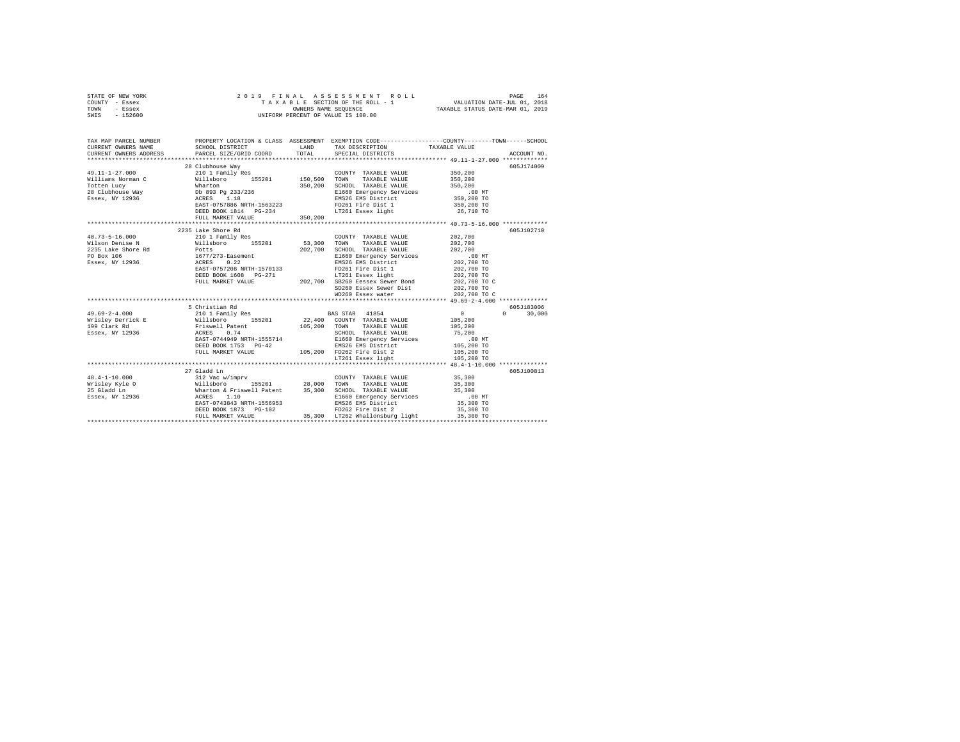| STATE OF NEW YORK |  |  | 2019 FINAL ASSESSMENT ROLL         |                                  | PAGE | 164 |
|-------------------|--|--|------------------------------------|----------------------------------|------|-----|
| COUNTY - Essex    |  |  | TAXABLE SECTION OF THE ROLL - 1    | VALUATION DATE-JUL 01, 2018      |      |     |
| TOWN<br>- Essex   |  |  | OWNERS NAME SEOUENCE               | TAXABLE STATUS DATE-MAR 01, 2019 |      |     |
| - 152600<br>SWIS  |  |  | UNIFORM PERCENT OF VALUE IS 100.00 |                                  |      |     |

| TAX MAP PARCEL NUMBER<br>CURRENT OWNERS NAME<br>CURRENT OWNERS ADDRESS                                                                                                                                                                                         | SCHOOL DISTRICT<br>PARCEL SIZE/GRID COORD                                                                                             | LAND<br>TOTAL | TAX DESCRIPTION TAXABLE VALUE<br>SPECIAL DISTRICTS                                                                                                                                                                                                                                                                                          | PROPERTY LOCATION & CLASS ASSESSMENT EXEMPTION CODE----------------COUNTY-------TOWN-----SCHOOL<br>ACCOUNT NO. |
|----------------------------------------------------------------------------------------------------------------------------------------------------------------------------------------------------------------------------------------------------------------|---------------------------------------------------------------------------------------------------------------------------------------|---------------|---------------------------------------------------------------------------------------------------------------------------------------------------------------------------------------------------------------------------------------------------------------------------------------------------------------------------------------------|----------------------------------------------------------------------------------------------------------------|
| What II am a member of the member of the Marton of Totten Lucy<br>28 Clubhouse Way 10 893 Pg 233/236<br>28 Essex, NY 12936 2887 - 201797886 NRTH-1563223                                                                                                       | 28 Clubhouse Way<br>DEED BOOK 1814 PG-234                                                                                             |               | COUNTY TAXABLE VALUE 350.200<br>TAXABLE VALUE<br>TOWN<br>SCHOOL TAXABLE VALUE 350,200<br>E1660 Emergency Services 00 MT<br>EMS26 EMS District 350,200 TO<br>FD261 Fire Dist 1<br>LT261 Essex light                                                                                                                                          | 605J174009<br>350,200<br>350,200 TO<br>26,710 TO                                                               |
|                                                                                                                                                                                                                                                                | 2235 Lake Shore Rd<br>EAST-0757208 NRTH-1570133                                                                                       |               | COUNTY TAXABLE VALUE<br>SCHOOL TAXABLE VALUE<br>E1660 Emergency Services .00 MT<br>EMS26 EMS District 202,700 TO<br>FD261 Fire Dist 1 202,700 TO<br>DEED BOOK 1608 PG-271 1202,700 LT261 Essex light 202,700 TO<br>FULL MARKET VALUE 202,700 SB260 Eessex Sewer Bond 202,700 TO C<br>SD260 Essex Sewer Dist 202,700 TO<br>WD260 Essex water | 605J102710<br>202,700<br>202.700<br>202,700<br>202,700 TO C                                                    |
| $49.69 - 2 - 4.000$<br>Wisley Device 2012 22,400 COUNTY TAXABLE VALUE 105,200<br>1990 Clark Rd Millen (1990) 22,400 COUNTY TAXABLE VALUE 105,200<br>1990 Clark Rd Millen (1990) 22,400 COUNTY TAXABLE VALUE 105,200<br>1990 TAXABLE VALUE 15,200 ACRES 0.74 SC | 5 Christian Rd<br>EAST-0744949 NRTH-1555714<br>DEED BOOK 1753 PG-42 EMS26 EMS District<br>FULL MARKET VALUE 105,200 FD262 Fire Dist 2 |               | 210 1 Family Res BAS STAR 41854<br>SCHOOL TAXABLE VALUE 75,200<br>E1660 Emergency Services .00 MT<br>EMS26 EMS District 105,200 TO<br>LT261 Essex light                                                                                                                                                                                     | 605J183006<br>$\sim$ 0<br>$\Omega$<br>30,000<br>105,200 TO<br>105,200 TO                                       |
|                                                                                                                                                                                                                                                                | 27 Gladd Ln                                                                                                                           |               |                                                                                                                                                                                                                                                                                                                                             | 605-7100813                                                                                                    |
| $48.4 - 1 - 10.000$<br>Wrisley Kyle O (Millsboro 155201 28,000 TOWN TAXABLE VALUE 35,300<br>25 Gladdin – Wharton & Friswell Patent 35,300 SCHOOL TAXABLE VALUE 35,300<br>29 Easex, NY 12936 – ACRES 1.10 – ELEC EMERIGEN SERVICES                              | 312 Vac w/imprv<br>EAST-0743843 NRTH-1556953<br>DEED BOOK 1873 PG-102<br>FULL MARKET VALUE                                            |               | COUNTY TAXABLE VALUE 35,300<br>EMS26 EMS District<br>FD262 Fire Dist 2<br>35,300 LT262 Whallonsburg light                                                                                                                                                                                                                                   | 35,300 TO<br>35,300 TO<br>35,300 TO                                                                            |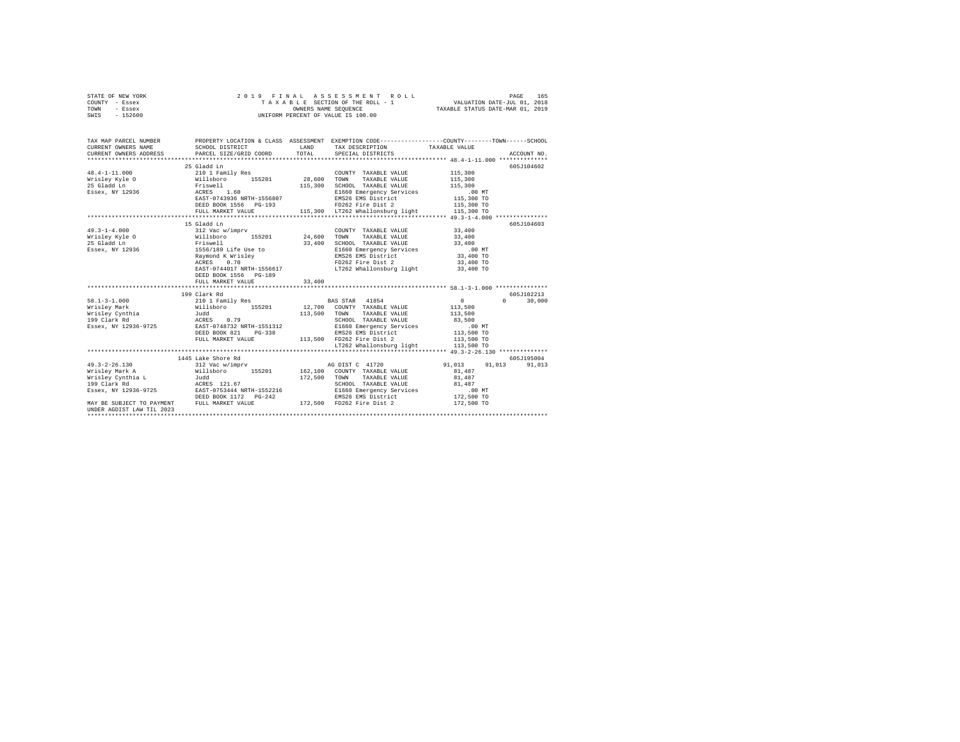|      | STATE OF NEW YORK |  |  | 2019 FINAL ASSESSMENT ROLL         | PAGE                             | 165 |
|------|-------------------|--|--|------------------------------------|----------------------------------|-----|
|      | COUNTY - Essex    |  |  | TAXABLE SECTION OF THE ROLL - 1    | VALUATION DATE-JUL 01, 2018      |     |
| TOWN | - Essex           |  |  | OWNERS NAME SEOUENCE               | TAXABLE STATUS DATE-MAR 01, 2019 |     |
| SWIS | - 152600          |  |  | UNIFORM PERCENT OF VALUE IS 100.00 |                                  |     |

| TAX MAP PARCEL NUMBER<br>CURRENT OWNERS NAME                                                                                                                                                                                                                                            | SCHOOL DISTRICT                                                                                                                                                                     | LAND   | TAX DESCRIPTION                                                                                                                                                                                                                                                                  | PROPERTY LOCATION & CLASS ASSESSMENT EXEMPTION CODE---------------COUNTY-------TOWN------SCHOOL<br>TAXABLE VALUE<br>CURRENT OWNERS ADDRESS PARCEL SIZE/GRID COORD TOTAL SPECIAL DISTRICTS (2011) ACCOUNT NO. |
|-----------------------------------------------------------------------------------------------------------------------------------------------------------------------------------------------------------------------------------------------------------------------------------------|-------------------------------------------------------------------------------------------------------------------------------------------------------------------------------------|--------|----------------------------------------------------------------------------------------------------------------------------------------------------------------------------------------------------------------------------------------------------------------------------------|--------------------------------------------------------------------------------------------------------------------------------------------------------------------------------------------------------------|
| $48.4 - 1 - 11.000$<br>vietary (1990)<br>Willshorp (195201 28,600<br>25 Gladd Ln Priswell (1971)<br>25 ACRES 1.60<br>25 ACRES 1.60<br>26 EAST-0743936 NRTH-1556807                                                                                                                      | 25 Gladd Ln<br>210 1 Family Res                                                                                                                                                     |        | COUNTY TAXABLE VALUE 115,300<br>TOWN<br>TAXABLE VALUE 115,300<br>SCHOOL TAXABLE VALUE<br>E1660 Emergency Services<br>EMS26 EMS District 115,300 TO                                                                                                                               | 605J104602<br>115,300<br>.00MT                                                                                                                                                                               |
| $49.3 - 1 - 4.000$<br>Wrisley Kyle 0 $\texttt{Willsboro}$ 155201 24,600 TOWN TAXABLE VALUE 33,400<br>25 Gladd Ln<br>Essex, NY 12936                                                                                                                                                     | 15 Gladd Ln<br>312 Vac w/imprv<br>Friswell<br>36 1556/189 Life Use to<br>Raymond K Wrisley<br>ACRES 0.70<br>EAST-0744017 NRTH-1556617<br>DEED BOOK 1556 PG-189<br>FULL MARKET VALUE | 33,400 | COUNTY TAXABLE VALUE 33,400<br>33,400 SCHOOL TAXABLE VALUE 33,400<br>E1660 Emergency Services .00 MT<br>EMS26 EMS District 33,400 TO<br>FD262 Fire Dist 2<br>LT262 Whallonsburg light 33,400 TO                                                                                  | 605J104603<br>33,400 TO                                                                                                                                                                                      |
| 1991 - 11.000 - 12.101 Pamily Res . BAS STAR 41854 0<br>112,700 COUNTY TAXABLE VALUE 113,500<br>113,500 TOWN TAXABLE VALUE 113,500<br>1992 Clark Rd 3,500 NCRES 0.79 501 2010 IN SCHOOL TAXABLE VALUE 113,500<br>1992 Clark Rd 35,500<br>Essex, NY 12936-9725 EAST-0748732 NRTH-1551312 | 199 Clark Rd<br>DEED BOOK 821 PG-338 EMS26 EMS District<br>FULL MARKET VALUE 113,500 FD262 Fire Dist 2                                                                              |        | 12,500 TONN TAXABLE VALUE<br>SCHOOL TAXABLE VALUE<br>SCHOOL TAXABLE VALUE<br>EL660 Emergency Services<br>EMS26 EMS District<br>TAXABLE 113,500 TO<br>TAXABLE 113,500 TO<br>TAXABLE 113,500 TO<br>TAXABLE 113,500 TO<br>TAXABLE 113,500 TO<br>LT262 Whallonsburg light 113,500 TO | 605-7102213<br>$\Omega$<br>30,000                                                                                                                                                                            |
| $49.3 - 2 - 26.130$<br>$\texttt{Essex, NY}\ \texttt{12936-9725}\ \texttt{EAST-0753444 NRTH-1552216} \\ \texttt{DEED BOOK}\ \texttt{1172}\ \texttt{PG-242}$<br>MAY BE SUBJECT TO PAYMENT FULL MARKET VALUE<br>UNDER AGDIST LAW TIL 2023                                                  | 1445 Lake Shore Rd                                                                                                                                                                  |        | SCHOOL TAXABLE VALUE 81,487<br>E1660 Emergency Services 6.00 MT<br>EMS26 EMS District 172,500 TO<br>172,500 FD262 Fire Dist 2                                                                                                                                                    | 605J195004<br>312 Vac w/imprv <b>b AG</b> DIST C 41720 <b>b</b> 91,013 91,013<br>91.013<br>81,487<br>81,487<br>172,500 TO                                                                                    |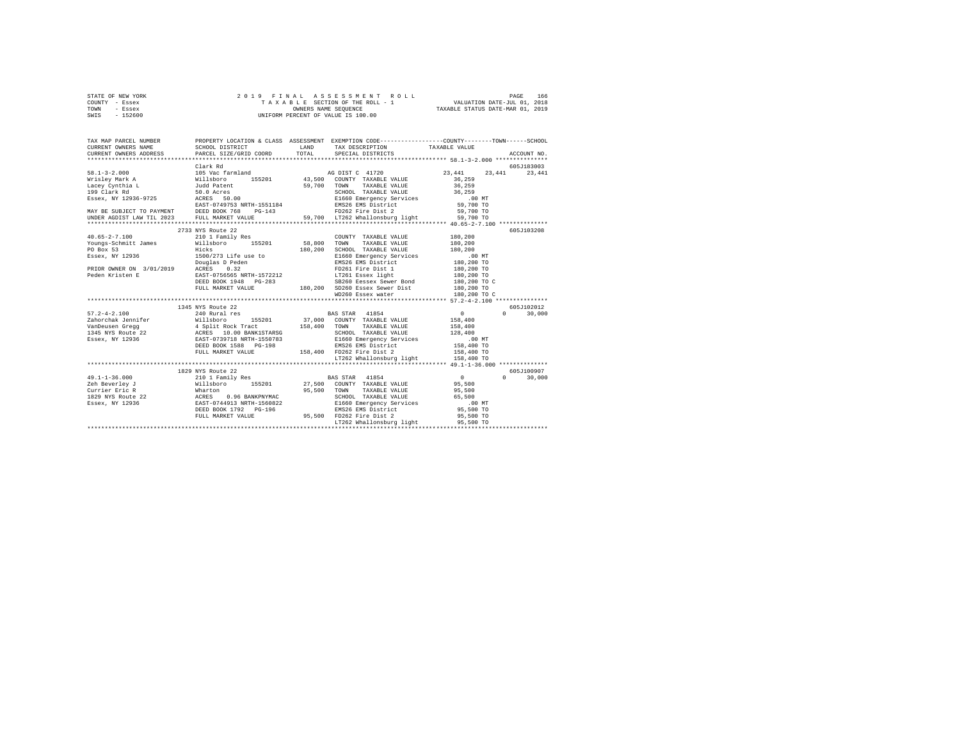| STATE OF NEW YORK | 2019 FINAL ASSESSMENT ROLL         | 166<br>PAGE                      |
|-------------------|------------------------------------|----------------------------------|
| COUNTY - Essex    | TAXABLE SECTION OF THE ROLL - 1    | VALUATION DATE-JUL 01, 2018      |
| TOWN<br>- Essex   | OWNERS NAME SEOUENCE               | TAXABLE STATUS DATE-MAR 01, 2019 |
| $-152600$<br>SWIS | UNIFORM PERCENT OF VALUE IS 100.00 |                                  |

| TAX MAP PARCEL NUMBER<br>CURRENT OWNERS NAME | SCHOOL DISTRICT                                                                                                                                                                                                                       | LAND        | PROPERTY LOCATION & CLASS ASSESSMENT EXEMPTION CODE---------------COUNTY-------TOWN-----SCHOOL<br>TAX DESCRIPTION TAXABLE VALUE                         |                                            |                    |
|----------------------------------------------|---------------------------------------------------------------------------------------------------------------------------------------------------------------------------------------------------------------------------------------|-------------|---------------------------------------------------------------------------------------------------------------------------------------------------------|--------------------------------------------|--------------------|
| CURRENT OWNERS ADDRESS                       | PARCEL SIZE/GRID COORD                                                                                                                                                                                                                | TOTAL       | SPECIAL DISTRICTS                                                                                                                                       |                                            | ACCOUNT NO.        |
|                                              | Clark Rd                                                                                                                                                                                                                              |             |                                                                                                                                                         |                                            | 605J183003         |
|                                              |                                                                                                                                                                                                                                       |             |                                                                                                                                                         | 23,441                                     | 23,441             |
|                                              |                                                                                                                                                                                                                                       |             |                                                                                                                                                         |                                            |                    |
|                                              |                                                                                                                                                                                                                                       |             |                                                                                                                                                         |                                            |                    |
|                                              |                                                                                                                                                                                                                                       |             |                                                                                                                                                         |                                            |                    |
|                                              |                                                                                                                                                                                                                                       |             |                                                                                                                                                         |                                            |                    |
|                                              |                                                                                                                                                                                                                                       |             |                                                                                                                                                         |                                            |                    |
|                                              |                                                                                                                                                                                                                                       |             |                                                                                                                                                         |                                            |                    |
|                                              |                                                                                                                                                                                                                                       |             |                                                                                                                                                         |                                            |                    |
|                                              |                                                                                                                                                                                                                                       |             |                                                                                                                                                         |                                            |                    |
|                                              |                                                                                                                                                                                                                                       |             |                                                                                                                                                         |                                            | 605J103208         |
| $40.65 - 2 - 7.100$                          | 210 1 Family Res                                                                                                                                                                                                                      |             | COUNTY TAXABLE VALUE                                                                                                                                    | 180,200                                    |                    |
|                                              | Youngs-Schmitt James Millsboro 155201 58,800                                                                                                                                                                                          |             | TAXABLE VALUE<br>TOWN                                                                                                                                   | 180,200                                    |                    |
| PO Box 53                                    | Hicks                                                                                                                                                                                                                                 | 180,200     | SCHOOL TAXABLE VALUE<br>SCHOOL TAXABLE VALUE<br>E1660 Emergency Services                                                                                | 180,200                                    |                    |
|                                              | ESSEX, NY 12936<br>PRIOR OWNER ON 3/01/2019 POUGLAS December 2022<br>PRIOR OWNER ON 3/01/2019 ACRES 0.32<br>PERSON EXAMPLE POLE FITE Dist 1 180,200 TO<br>ERSP-0756555 NRTH-1572212 PRIOR SESSE RESERVED 180,200 TO 283260 Essex Sewe |             | 911660 Emergency Services<br>E1660 Emergency Services<br>EMS26 EMS District 180,200 TO<br>EMS26 EMS District 180,200 TO<br>LT261 Essex light 180,200 TO |                                            |                    |
|                                              |                                                                                                                                                                                                                                       |             |                                                                                                                                                         |                                            |                    |
|                                              |                                                                                                                                                                                                                                       |             |                                                                                                                                                         |                                            |                    |
|                                              |                                                                                                                                                                                                                                       |             |                                                                                                                                                         |                                            |                    |
|                                              |                                                                                                                                                                                                                                       |             |                                                                                                                                                         |                                            |                    |
|                                              |                                                                                                                                                                                                                                       |             |                                                                                                                                                         |                                            |                    |
|                                              |                                                                                                                                                                                                                                       |             | WD260 Essex water 180,200 TO C                                                                                                                          |                                            |                    |
|                                              | 1345 NYS Route 22                                                                                                                                                                                                                     |             |                                                                                                                                                         |                                            | 605J102012         |
| $57.2 - 4 - 2.100$                           | 240 Rural res                                                                                                                                                                                                                         |             | <b>BAS STAR</b> 41854                                                                                                                                   | $\sim$ 0 $\sim$                            | $\Omega$<br>30,000 |
| Zahorchak Jennifer Willsboro                 |                                                                                                                                                                                                                                       |             | 155201 37,000 COUNTY TAXABLE VALUE                                                                                                                      | 158,400                                    |                    |
|                                              |                                                                                                                                                                                                                                       |             |                                                                                                                                                         | 158,400                                    |                    |
|                                              | VanDeusen Gregg (1992 – 1993)<br>1345 NYS Route 22 – ACRES 10.00 BANKISTARSG – 1987–1998 – 2010 1712-1812 VALUE<br>Essex, NY 12936 – EAST-0739718 NRTH-1550783 – E1660 Emergency Services                                             |             |                                                                                                                                                         | 128,400                                    |                    |
|                                              |                                                                                                                                                                                                                                       |             | SCHOOL TAXABLE VALUE<br>E1660 Emergency Services                                                                                                        | .00 MT                                     |                    |
|                                              | DEED BOOK 1588 PG-198                                                                                                                                                                                                                 |             |                                                                                                                                                         |                                            |                    |
|                                              | FULL MARKET VALUE                                                                                                                                                                                                                     |             |                                                                                                                                                         |                                            |                    |
|                                              |                                                                                                                                                                                                                                       |             | 2007.<br>1989 - 2007 158,400 ENSZ ENS District<br>1989 - 158,400 ENSZ Fire District<br>198,400 - 158,400 In 1982 Whallonsburg light 158,400 TO          |                                            |                    |
|                                              |                                                                                                                                                                                                                                       |             |                                                                                                                                                         |                                            |                    |
|                                              | 1829 NYS Route 22                                                                                                                                                                                                                     |             |                                                                                                                                                         |                                            | 605J100907         |
| $49.1 - 1 - 36.000$                          | 210 1 Family Res<br>Willsboro 155201                                                                                                                                                                                                  |             | <b>BAS STAR</b> 41854                                                                                                                                   | $\begin{array}{c} 0 \\ 95,500 \end{array}$ | $\Omega$<br>30,000 |
| Zeh Beverley J                               |                                                                                                                                                                                                                                       |             | 27,500 COUNTY TAXABLE VALUE                                                                                                                             |                                            |                    |
|                                              |                                                                                                                                                                                                                                       | 95,500 TOWN | TAXABLE VALUE 95,500                                                                                                                                    |                                            |                    |
|                                              | Currier Eric R<br>1829 NYS ROULE 22 ACRES 0.96 BANKPNYMAC 95,500<br>1829 NYS ROULE 22 ACRES 0.96 BANKPNYMAC 95,500<br>EAST-0744913 NRTH-1560822                                                                                       |             | SCHOOL TAXABLE VALUE 65,500<br>E1660 Emergency Services 00 MT<br>EMS26 EMS District 95,500 TO<br>25,500 TO                                              |                                            |                    |
|                                              |                                                                                                                                                                                                                                       |             |                                                                                                                                                         |                                            |                    |
|                                              | DEED BOOK 1792 PG-196                                                                                                                                                                                                                 |             |                                                                                                                                                         |                                            |                    |
|                                              | FULL MARKET VALUE                                                                                                                                                                                                                     |             | 95,500 FD262 Fire Dist 2<br>T.T262 Whallonsburg light                                                                                                   | 95,500 TO                                  |                    |
|                                              |                                                                                                                                                                                                                                       |             | LT262 Whallonsburg light                                                                                                                                | 95,500 TO                                  |                    |
|                                              |                                                                                                                                                                                                                                       |             |                                                                                                                                                         |                                            |                    |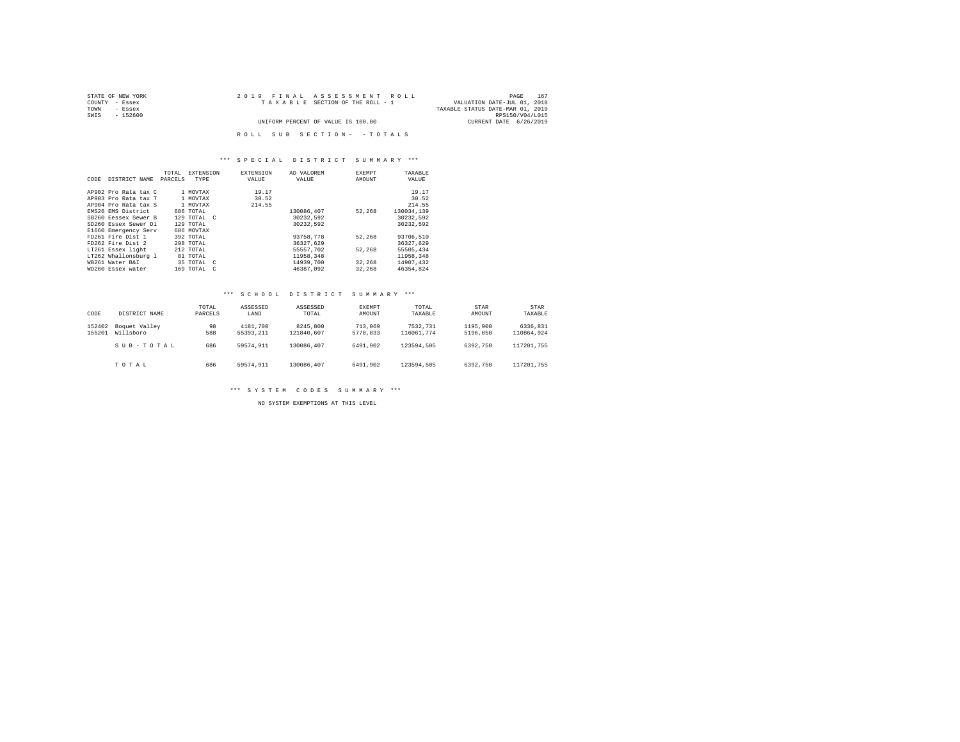| STATE OF NEW YORK | 2019 FINAL ASSESSMENT ROLL         | 167<br>PAGE                      |
|-------------------|------------------------------------|----------------------------------|
| COUNTY<br>- Essex | TAXABLE SECTION OF THE ROLL - 1    | VALUATION DATE-JUL 01, 2018      |
| TOWN<br>- Essex   |                                    | TAXABLE STATUS DATE-MAR 01, 2019 |
| SWIS<br>$-152600$ |                                    | RPS150/V04/L015                  |
|                   | UNIFORM PERCENT OF VALUE IS 100.00 | CURRENT DATE 6/26/2019           |
|                   |                                    |                                  |
|                   | ROLL SUB SECTION- - TOTALS         |                                  |

## \*\*\* S P E C I A L D I S T R I C T S U M M A R Y \*\*\*

|      |                      | TOTAL   | EXTENSION   | <b>EXTENSION</b> | AD VALOREM | <b>EXEMPT</b> | TAXABLE    |
|------|----------------------|---------|-------------|------------------|------------|---------------|------------|
| CODE | DISTRICT NAME        | PARCELS | TYPE        | VALUE            | VALUE      | AMOUNT        | VALUE      |
|      |                      |         |             |                  |            |               |            |
|      | AP902 Pro Rata tax C |         | 1 MOVTAX    | 19.17            |            |               | 19.17      |
|      | AP903 Pro Rata tax T |         | 1 MOVTAX    | 30.52            |            |               | 30.52      |
|      | AP904 Pro Rata tax S |         | 1 MOVTAX    | 214.55           |            |               | 214.55     |
|      | EMS26 EMS District   |         | 686 TOTAL   |                  | 130086.407 | 52,268        | 130034.139 |
|      | SB260 Ressex Sewer B |         | 129 TOTAL C |                  | 30232.592  |               | 30232.592  |
|      | SD260 Essex Sewer Di |         | 129 TOTAL   |                  | 30232.592  |               | 30232.592  |
|      | E1660 Emergency Serv |         | 686 MOVTAX  |                  |            |               |            |
|      | FD261 Fire Dist 1    |         | 392 TOTAL   |                  | 93758,778  | 52,268        | 93706.510  |
|      | FD262 Fire Dist 2    |         | 298 TOTAL   |                  | 36327.629  |               | 36327.629  |
|      | LT261 Essex light    |         | 212 TOTAL   |                  | 55557.702  | 52.268        | 55505,434  |
|      | LT262 Whallonsburg 1 |         | 81 TOTAL    |                  | 11958.348  |               | 11958.348  |
|      | WB261 Water B&I      |         | 35 TOTAL C  |                  | 14939,700  | 32,268        | 14907.432  |
|      | WD260 Essex water    |         | 169 TOTAL C |                  | 46387.092  | 32,268        | 46354.824  |

#### \*\*\* S C H O O L D I S T R I C T S U M M A R Y \*\*\*

| CODE             | DISTRICT NAME              | TOTAL<br>PARCELS | ASSESSED<br>LAND      | ASSESSED<br>TOTAL      | EXEMPT<br>AMOUNT    | TOTAL<br>TAXABLE       | <b>STAR</b><br>AMOUNT | STAR<br>TAXABLE        |
|------------------|----------------------------|------------------|-----------------------|------------------------|---------------------|------------------------|-----------------------|------------------------|
| 152402<br>155201 | Boquet Valley<br>Willsboro | 98<br>588        | 4181,700<br>55393.211 | 8245,800<br>121840.607 | 713,069<br>5778.833 | 7532.731<br>116061.774 | 1195,900<br>5196.850  | 6336.831<br>110864.924 |
|                  | SUB-TOTAL                  | 686              | 59574.911             | 130086.407             | 6491.902            | 123594.505             | 6392.750              | 117201.755             |
|                  | TOTAL                      | 686              | 59574.911             | 130086.407             | 6491.902            | 123594.505             | 6392.750              | 117201.755             |

\*\*\* S Y S T E M C O D E S S U M M A R Y \*\*\*

NO SYSTEM EXEMPTIONS AT THIS LEVEL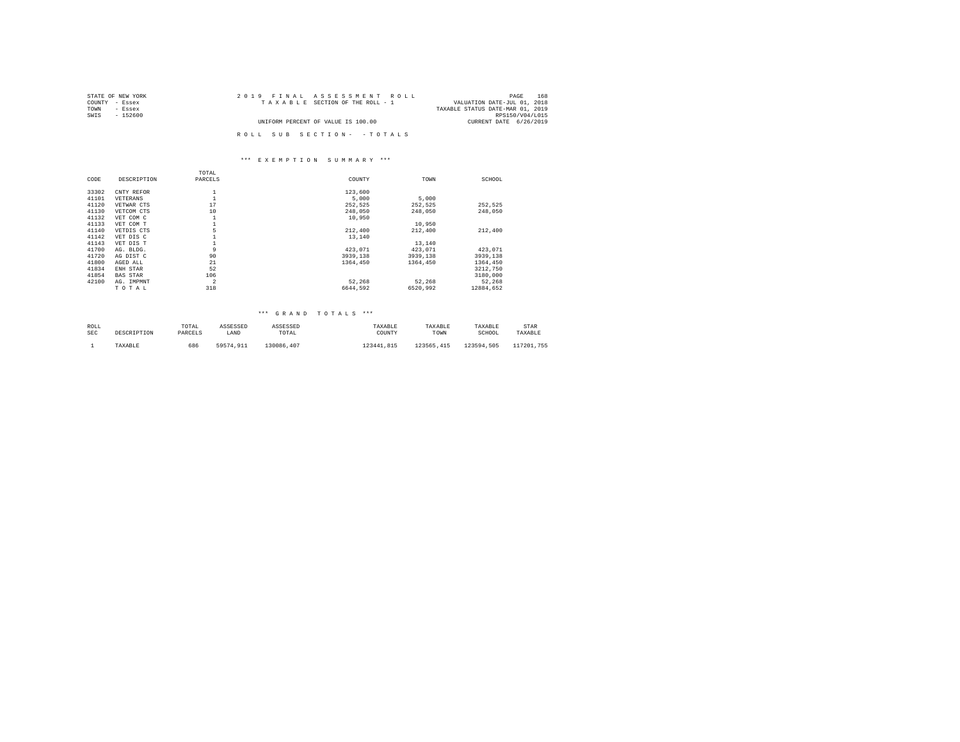| STATE OF NEW YORK | 2019 FINAL ASSESSMENT ROLL         | 168<br>PAGE                      |
|-------------------|------------------------------------|----------------------------------|
| COUNTY - Essex    | TAXABLE SECTION OF THE ROLL - 1    | VALUATION DATE-JUL 01, 2018      |
| TOWN<br>- Essex   |                                    | TAXABLE STATUS DATE-MAR 01, 2019 |
| SWIS<br>- 152600  |                                    | RPS150/V04/L015                  |
|                   | UNIFORM PERCENT OF VALUE IS 100.00 | CURRENT DATE 6/26/2019           |
|                   |                                    |                                  |
|                   | ROLL SUB SECTION- - TOTALS         |                                  |

# \*\*\* E X E M P T I O N S U M M A R Y \*\*\*

|       |                 | TOTAL          |          |          |           |
|-------|-----------------|----------------|----------|----------|-----------|
| CODE  | DESCRIPTION     | PARCELS        | COUNTY   | TOWN     | SCHOOL    |
|       |                 |                |          |          |           |
| 33302 | CNTY REFOR      |                | 123,600  |          |           |
| 41101 | VETERANS        |                | 5,000    | 5,000    |           |
| 41120 | VETWAR CTS      | 17             | 252,525  | 252,525  | 252,525   |
| 41130 | VETCOM CTS      | 10             | 248,050  | 248,050  | 248,050   |
| 41132 | VET COM C       |                | 10,950   |          |           |
| 41133 | VET COM T       |                |          | 10,950   |           |
| 41140 | VETDIS CTS      | 5              | 212,400  | 212,400  | 212,400   |
| 41142 | VET DIS C       |                | 13,140   |          |           |
| 41143 | VET DIS T       |                |          | 13,140   |           |
| 41700 | AG. BLDG.       | 9              | 423,071  | 423,071  | 423.071   |
| 41720 | AG DIST C       | 90             | 3939,138 | 3939.138 | 3939,138  |
| 41800 | AGED ALL        | 21             | 1364,450 | 1364,450 | 1364,450  |
| 41834 | ENH STAR        | 52             |          |          | 3212,750  |
| 41854 | <b>BAS STAR</b> | 106            |          |          | 3180,000  |
| 42100 | AG. IMPMNT      | $\overline{a}$ | 52.268   | 52.268   | 52.268    |
|       | TOTAL           | 318            | 6644.592 | 6520.992 | 12884.652 |
|       |                 |                |          |          |           |

## \*\*\* G R A N D T O T A L S \*\*\*

| ROLL       | DESCRIPTION | TOTAL   | ASSESSED  | ASSESSED   | TAXABLE    | TAXABLE    | TAXABLE    | STAR       |
|------------|-------------|---------|-----------|------------|------------|------------|------------|------------|
| <b>SEC</b> |             | PARCELS | LAND      | TOTAL      | COUNTY     | TOWN       | SCHOOL     | TAXABLE    |
|            | TAXABLE     | 686     | 59574.911 | 130086.407 | 123441.815 | 123565.415 | 123594.505 | 117201.755 |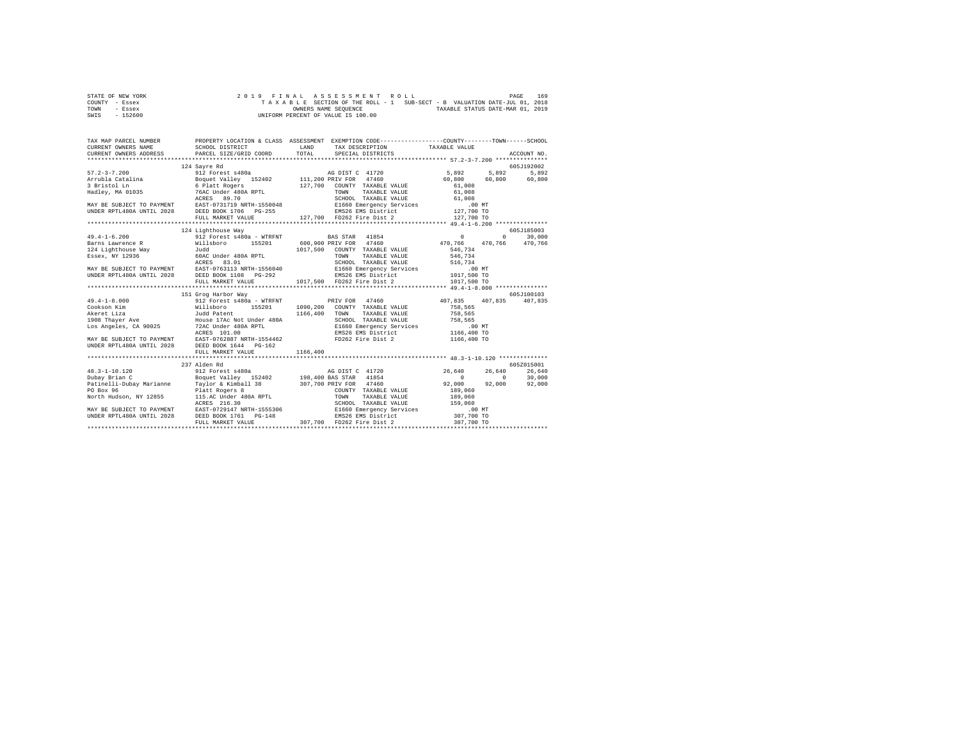| STATE OF NEW YORK |  |  |  |  | 2019 FINAL ASSESSMENT ROLL         |  |  |  |  |                                                                          | PAGE | 169 |
|-------------------|--|--|--|--|------------------------------------|--|--|--|--|--------------------------------------------------------------------------|------|-----|
| COUNTY - Essex    |  |  |  |  |                                    |  |  |  |  | TAXABLE SECTION OF THE ROLL - 1 SUB-SECT - B VALUATION DATE-JUL 01, 2018 |      |     |
| TOWN<br>- Essex   |  |  |  |  | OWNERS NAME SEOUENCE               |  |  |  |  | TAXABLE STATUS DATE-MAR 01, 2019                                         |      |     |
| $-152600$<br>SWIS |  |  |  |  | UNIFORM PERCENT OF VALUE IS 100.00 |  |  |  |  |                                                                          |      |     |

|                    | 124 Savre Rd        |                                                                                                                                                                                                                                                                                                                                                                                         | 605J192002 |
|--------------------|---------------------|-----------------------------------------------------------------------------------------------------------------------------------------------------------------------------------------------------------------------------------------------------------------------------------------------------------------------------------------------------------------------------------------|------------|
|                    |                     |                                                                                                                                                                                                                                                                                                                                                                                         |            |
|                    |                     |                                                                                                                                                                                                                                                                                                                                                                                         |            |
|                    |                     |                                                                                                                                                                                                                                                                                                                                                                                         |            |
|                    |                     |                                                                                                                                                                                                                                                                                                                                                                                         |            |
|                    |                     |                                                                                                                                                                                                                                                                                                                                                                                         |            |
|                    |                     |                                                                                                                                                                                                                                                                                                                                                                                         |            |
|                    |                     |                                                                                                                                                                                                                                                                                                                                                                                         |            |
|                    |                     |                                                                                                                                                                                                                                                                                                                                                                                         |            |
|                    |                     |                                                                                                                                                                                                                                                                                                                                                                                         |            |
| $49.4 - 1 - 6.200$ | 124 Lighthouse Way  |                                                                                                                                                                                                                                                                                                                                                                                         | 605J185003 |
|                    |                     | 912 Forest s480a - WTRFNT BAS STAR 41854 0 0 30,000                                                                                                                                                                                                                                                                                                                                     |            |
|                    |                     |                                                                                                                                                                                                                                                                                                                                                                                         |            |
|                    |                     |                                                                                                                                                                                                                                                                                                                                                                                         |            |
|                    |                     |                                                                                                                                                                                                                                                                                                                                                                                         |            |
|                    |                     |                                                                                                                                                                                                                                                                                                                                                                                         |            |
|                    |                     |                                                                                                                                                                                                                                                                                                                                                                                         |            |
|                    |                     |                                                                                                                                                                                                                                                                                                                                                                                         |            |
|                    |                     |                                                                                                                                                                                                                                                                                                                                                                                         |            |
|                    | 151 Grog Harbor Way |                                                                                                                                                                                                                                                                                                                                                                                         | 605J100103 |
|                    |                     |                                                                                                                                                                                                                                                                                                                                                                                         |            |
|                    |                     |                                                                                                                                                                                                                                                                                                                                                                                         |            |
|                    |                     |                                                                                                                                                                                                                                                                                                                                                                                         |            |
|                    |                     |                                                                                                                                                                                                                                                                                                                                                                                         |            |
|                    |                     |                                                                                                                                                                                                                                                                                                                                                                                         |            |
|                    |                     |                                                                                                                                                                                                                                                                                                                                                                                         |            |
|                    |                     |                                                                                                                                                                                                                                                                                                                                                                                         |            |
|                    |                     |                                                                                                                                                                                                                                                                                                                                                                                         |            |
|                    |                     |                                                                                                                                                                                                                                                                                                                                                                                         |            |
|                    |                     |                                                                                                                                                                                                                                                                                                                                                                                         |            |
|                    | 237 Alden Rd        |                                                                                                                                                                                                                                                                                                                                                                                         | 605Z015001 |
|                    |                     |                                                                                                                                                                                                                                                                                                                                                                                         |            |
|                    |                     |                                                                                                                                                                                                                                                                                                                                                                                         |            |
|                    |                     |                                                                                                                                                                                                                                                                                                                                                                                         |            |
|                    |                     |                                                                                                                                                                                                                                                                                                                                                                                         |            |
|                    |                     |                                                                                                                                                                                                                                                                                                                                                                                         |            |
|                    |                     |                                                                                                                                                                                                                                                                                                                                                                                         |            |
|                    |                     |                                                                                                                                                                                                                                                                                                                                                                                         |            |
|                    |                     |                                                                                                                                                                                                                                                                                                                                                                                         |            |
|                    |                     | $\begin{tabular}{l c c c c} \multicolumn{1}{c}{\textbf{48.3--1--10.120}} & \multicolumn{1}{c}{23.7\ \text{D}12} & \multicolumn{1}{c}{23.7\ \text{D}12} & \multicolumn{1}{c}{23.7\ \text{D}12} & \multicolumn{1}{c}{23.7\ \text{D}12} & \multicolumn{1}{c}{23.7\ \text{D}12} & \multicolumn{1}{c}{23.7\ \text{D}12} & \multicolumn{1}{c}{23.7\ \text{D}12} & \multicolumn{1}{c}{23.7\ \$ |            |
|                    |                     |                                                                                                                                                                                                                                                                                                                                                                                         |            |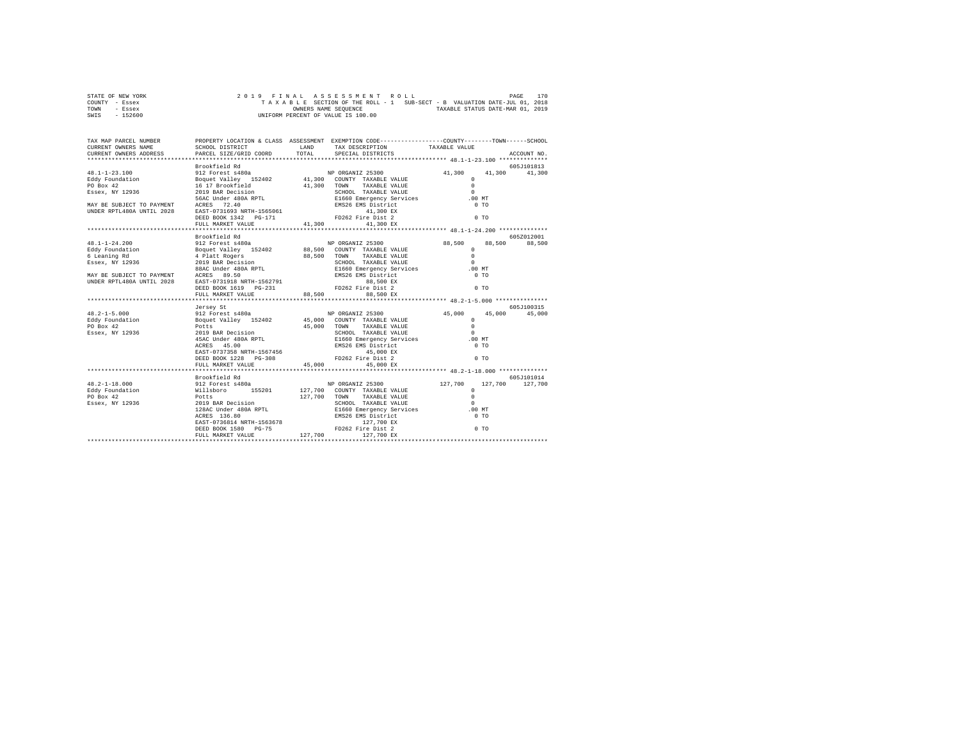| STATE OF NEW YORK | 2019 FINAL ASSESSMENT ROLL                                               | 170<br>PAGE                      |
|-------------------|--------------------------------------------------------------------------|----------------------------------|
| COUNTY - Essex    | TAXABLE SECTION OF THE ROLL - 1 SUB-SECT - B VALUATION DATE-JUL 01, 2018 |                                  |
| TOWN<br>- Essex   | OWNERS NAME SEOUENCE                                                     | TAXABLE STATUS DATE-MAR 01, 2019 |
| $-152600$<br>SWIS | UNIFORM PERCENT OF VALUE IS 100.00                                       |                                  |

| TAX MAP PARCEL NUMBER<br>CURRENT OWNERS NAME | PROPERTY LOCATION & CLASS ASSESSMENT EXEMPTION CODE---------------COUNTY-------TOWN-----SCHOOL<br>CURRENT OWNERS ADDRESS PARCEL SIZE/GRID COORD                                                                                                                                                                                                                                                                       |  | ACCOUNT NO.          |
|----------------------------------------------|-----------------------------------------------------------------------------------------------------------------------------------------------------------------------------------------------------------------------------------------------------------------------------------------------------------------------------------------------------------------------------------------------------------------------|--|----------------------|
|                                              |                                                                                                                                                                                                                                                                                                                                                                                                                       |  |                      |
|                                              | Brookfield Rd                                                                                                                                                                                                                                                                                                                                                                                                         |  | 605Z012001<br>88,500 |
|                                              | Jersey St<br>$\begin{tabular}{l c c c c c} \multicolumn{4}{c c c} \multicolumn{4}{c c c} \multicolumn{4}{c c c} \multicolumn{4}{c c c} \multicolumn{4}{c c c} \multicolumn{4}{c c c} \multicolumn{4}{c c c} \multicolumn{4}{c c c} \multicolumn{4}{c c c} \multicolumn{4}{c c c} \multicolumn{4}{c c c} \multicolumn{4}{c c c} \multicolumn{4}{c c c} \multicolumn{4}{c c c} \multicolumn{4}{c c c} \multicolumn{4}{$ |  | 605J100315           |
|                                              | Brookfield Rd                                                                                                                                                                                                                                                                                                                                                                                                         |  | 605-7101014          |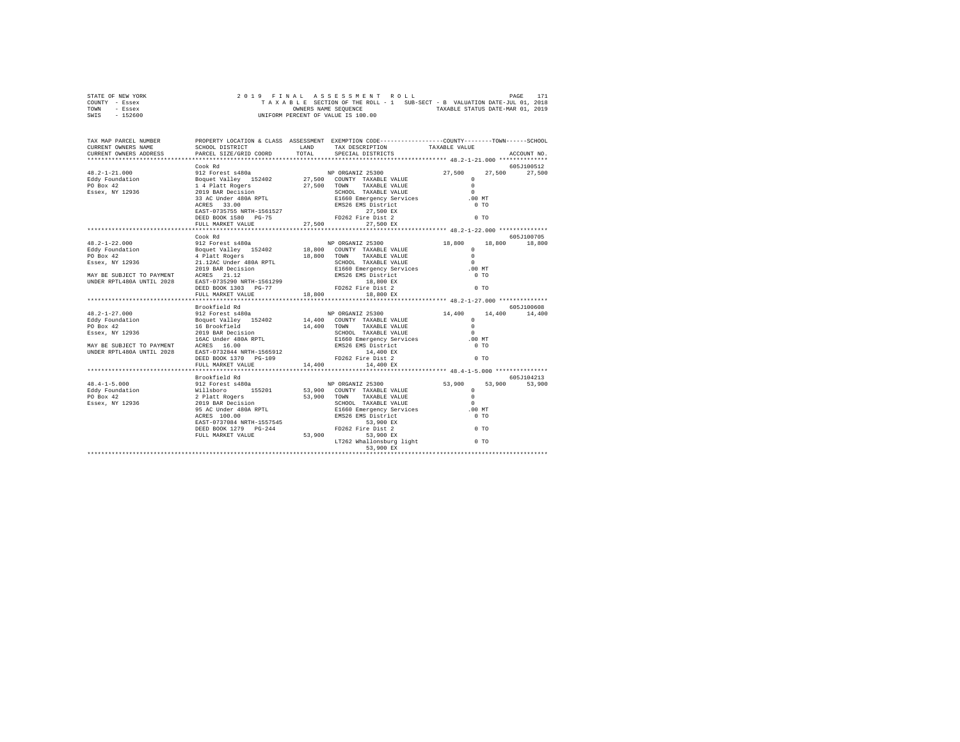| STATE OF NEW YORK |                      |  |  |  |                                    |  |  |  |  |                                  |  | 2019 FINAL ASSESSMENT ROLL |                                                                          | PAGE | 171 |
|-------------------|----------------------|--|--|--|------------------------------------|--|--|--|--|----------------------------------|--|----------------------------|--------------------------------------------------------------------------|------|-----|
| COUNTY - Essex    |                      |  |  |  |                                    |  |  |  |  |                                  |  |                            | TAXABLE SECTION OF THE ROLL - 1 SUB-SECT - B VALUATION DATE-JUL 01, 2018 |      |     |
| TOWN<br>- Essex   | OWNERS NAME SEOUENCE |  |  |  |                                    |  |  |  |  | TAXABLE STATUS DATE-MAR 01, 2019 |  |                            |                                                                          |      |     |
| $-152600$<br>SWIS |                      |  |  |  | UNIFORM PERCENT OF VALUE IS 100.00 |  |  |  |  |                                  |  |                            |                                                                          |      |     |

| $\begin{tabular}{c cccc} \multicolumn{1}{c}{\textbf{E4}} & \multicolumn{1}{c}{\textbf{E4}} & \multicolumn{1}{c}{\textbf{E4}} & \multicolumn{1}{c}{\textbf{E4}} & \multicolumn{1}{c}{\textbf{E4}} & \multicolumn{1}{c}{\textbf{E4}} & \multicolumn{1}{c}{\textbf{E4}} & \multicolumn{1}{c}{\textbf{E4}} & \multicolumn{1}{c}{\textbf{E4}} & \multicolumn{1}{c}{\textbf{E4}} & \multicolumn{1}{c}{\textbf{E4}} & \multicolumn{1}{c}{\textbf{E4}} & \multicolumn{1$ |               |  |               |            |
|------------------------------------------------------------------------------------------------------------------------------------------------------------------------------------------------------------------------------------------------------------------------------------------------------------------------------------------------------------------------------------------------------------------------------------------------------------------|---------------|--|---------------|------------|
|                                                                                                                                                                                                                                                                                                                                                                                                                                                                  |               |  |               |            |
|                                                                                                                                                                                                                                                                                                                                                                                                                                                                  |               |  |               |            |
|                                                                                                                                                                                                                                                                                                                                                                                                                                                                  |               |  |               |            |
|                                                                                                                                                                                                                                                                                                                                                                                                                                                                  |               |  |               |            |
|                                                                                                                                                                                                                                                                                                                                                                                                                                                                  |               |  |               |            |
|                                                                                                                                                                                                                                                                                                                                                                                                                                                                  |               |  |               |            |
|                                                                                                                                                                                                                                                                                                                                                                                                                                                                  |               |  |               |            |
|                                                                                                                                                                                                                                                                                                                                                                                                                                                                  |               |  |               |            |
|                                                                                                                                                                                                                                                                                                                                                                                                                                                                  |               |  |               |            |
|                                                                                                                                                                                                                                                                                                                                                                                                                                                                  | Cook Rd       |  |               | 605J100705 |
|                                                                                                                                                                                                                                                                                                                                                                                                                                                                  |               |  |               |            |
|                                                                                                                                                                                                                                                                                                                                                                                                                                                                  |               |  |               |            |
|                                                                                                                                                                                                                                                                                                                                                                                                                                                                  |               |  |               |            |
|                                                                                                                                                                                                                                                                                                                                                                                                                                                                  |               |  |               |            |
|                                                                                                                                                                                                                                                                                                                                                                                                                                                                  |               |  |               |            |
|                                                                                                                                                                                                                                                                                                                                                                                                                                                                  |               |  |               |            |
|                                                                                                                                                                                                                                                                                                                                                                                                                                                                  |               |  |               |            |
|                                                                                                                                                                                                                                                                                                                                                                                                                                                                  |               |  |               |            |
|                                                                                                                                                                                                                                                                                                                                                                                                                                                                  |               |  |               |            |
|                                                                                                                                                                                                                                                                                                                                                                                                                                                                  |               |  |               |            |
|                                                                                                                                                                                                                                                                                                                                                                                                                                                                  | Brookfield Rd |  |               | 605J100608 |
|                                                                                                                                                                                                                                                                                                                                                                                                                                                                  |               |  | 14,400 14,400 |            |
|                                                                                                                                                                                                                                                                                                                                                                                                                                                                  |               |  |               |            |
|                                                                                                                                                                                                                                                                                                                                                                                                                                                                  |               |  |               |            |
|                                                                                                                                                                                                                                                                                                                                                                                                                                                                  |               |  |               |            |
|                                                                                                                                                                                                                                                                                                                                                                                                                                                                  |               |  |               |            |
|                                                                                                                                                                                                                                                                                                                                                                                                                                                                  |               |  |               |            |
|                                                                                                                                                                                                                                                                                                                                                                                                                                                                  |               |  |               |            |
|                                                                                                                                                                                                                                                                                                                                                                                                                                                                  |               |  |               |            |
|                                                                                                                                                                                                                                                                                                                                                                                                                                                                  |               |  |               |            |
|                                                                                                                                                                                                                                                                                                                                                                                                                                                                  |               |  |               |            |
|                                                                                                                                                                                                                                                                                                                                                                                                                                                                  |               |  |               |            |
|                                                                                                                                                                                                                                                                                                                                                                                                                                                                  |               |  |               |            |
|                                                                                                                                                                                                                                                                                                                                                                                                                                                                  |               |  |               |            |
|                                                                                                                                                                                                                                                                                                                                                                                                                                                                  |               |  |               |            |
|                                                                                                                                                                                                                                                                                                                                                                                                                                                                  |               |  |               |            |
|                                                                                                                                                                                                                                                                                                                                                                                                                                                                  |               |  |               |            |
|                                                                                                                                                                                                                                                                                                                                                                                                                                                                  |               |  |               |            |
|                                                                                                                                                                                                                                                                                                                                                                                                                                                                  |               |  |               |            |
|                                                                                                                                                                                                                                                                                                                                                                                                                                                                  |               |  |               |            |
|                                                                                                                                                                                                                                                                                                                                                                                                                                                                  |               |  |               |            |
| 99 (6057104213<br>46.4–1–5.000 Proced Ref (6057104213<br>2912 Forest 4480a<br>Forest 6480a<br>Forest 6480a<br>Forest 6480a<br>Forest 6480a<br>Forest 610.00 152011<br>2912 Pilatt Rogers<br>29 Pilatt Rogers<br>29 Pilatt Rogers<br>29 Pilatt Roge                                                                                                                                                                                                               |               |  |               |            |
|                                                                                                                                                                                                                                                                                                                                                                                                                                                                  |               |  |               |            |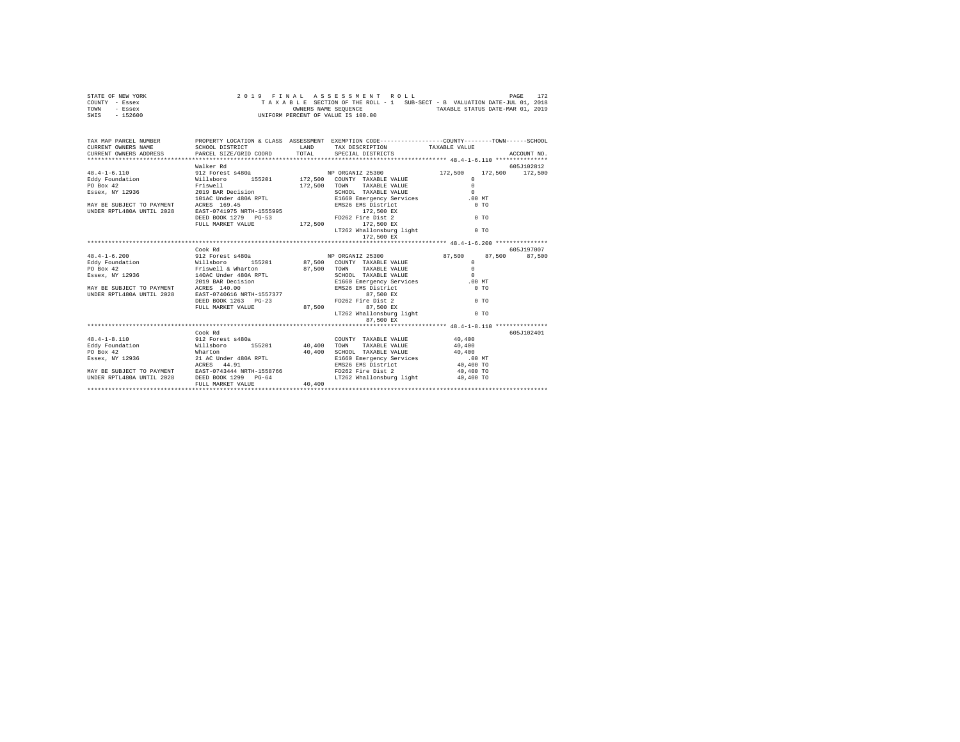| STATE OF NEW YORK |  |  |  |  |                                    |  |  |  |  | 2019 FINAL ASSESSMENT ROLL |                                                                          | PAGE | 172 |
|-------------------|--|--|--|--|------------------------------------|--|--|--|--|----------------------------|--------------------------------------------------------------------------|------|-----|
| COUNTY - Essex    |  |  |  |  |                                    |  |  |  |  |                            | TAXABLE SECTION OF THE ROLL - 1 SUB-SECT - B VALUATION DATE-JUL 01, 2018 |      |     |
| TOWN<br>- Essex   |  |  |  |  | OWNERS NAME SEOUENCE               |  |  |  |  |                            | TAXABLE STATUS DATE-MAR 01, 2019                                         |      |     |
| $-152600$<br>SWIS |  |  |  |  | UNIFORM PERCENT OF VALUE IS 100.00 |  |  |  |  |                            |                                                                          |      |     |

| TAX MAP PARCEL NUMBER PROPERTY LOCATION & CLASS ASSESSMENT EXEMPTION CODE-------------COUNTY-------TOWN------SCHOOL<br>-CORRENT OWNERS ADME SCHOOL DISTRICT ( CHOOL DISTRICT) TAX DESCRIPTION TAXABLE VALUE ( ACCOUNT NO.<br>CURRENT OWNERS ADDRESS PARCEL SIZE/GRID CORD TOTAL SPECIAL DISTRICT ( ACCOUNT NO.)                                                                                                                                                       |                              |        |                                                                                                                  |                          |             |
|-----------------------------------------------------------------------------------------------------------------------------------------------------------------------------------------------------------------------------------------------------------------------------------------------------------------------------------------------------------------------------------------------------------------------------------------------------------------------|------------------------------|--------|------------------------------------------------------------------------------------------------------------------|--------------------------|-------------|
| MAY BE SUBJECT TO PAYMENT<br>INDER RPTL480A UNTIL 2028 BASED = 1200 BK = 1200 BK = 1200 BK<br>DINDER RPTL480A UNTIL 2028 = DEED BOOK 1279 = PG-53<br>DEEL MARKET VALUE = 172,500 = 172,500 EX                                                                                                                                                                                                                                                                         | Walker Rd                    |        | LT262 Whallonsburg light 0 TO                                                                                    | 0 <sub>T</sub><br>$0$ TO | 605J102812  |
|                                                                                                                                                                                                                                                                                                                                                                                                                                                                       | Cook Rd                      |        | LT262 Whallonsburg light 6 0 TO                                                                                  |                          | 605-7197007 |
| 48.4-1-8.110 912 Forest s480a<br>over view of the millibror (1920)<br>2007 - Eddy Foundation (1920)<br>20 Marton (1920)<br>20 Marton (1920)<br>20 Marton (1920)<br>20 Marton (1920)<br>20 Marton (1920)<br>20 Marton (1920)<br>20 Marton (1920)<br>20 Marton (1920)<br>20 Marton (1920)<br>20<br>MAY BE SUBJECT TO PAYMENT EAST-0743444 NRTH-1558766 FD262 Fire Dist 2 40,400 TO<br>UNDER RPTL480A UNTIL 2028 DEED BOOK 1299 PG-64 LT262 Whallonsburg light 40,400 TO | Cook Rd<br>FULL MARKET VALUE | 40,400 | $\begin{tabular}{lllllll} \textbf{COUNTY} & \textbf{TAXABLE} & \textbf{VALUE} & & \textbf{40,400} \end{tabular}$ |                          | 605J102401  |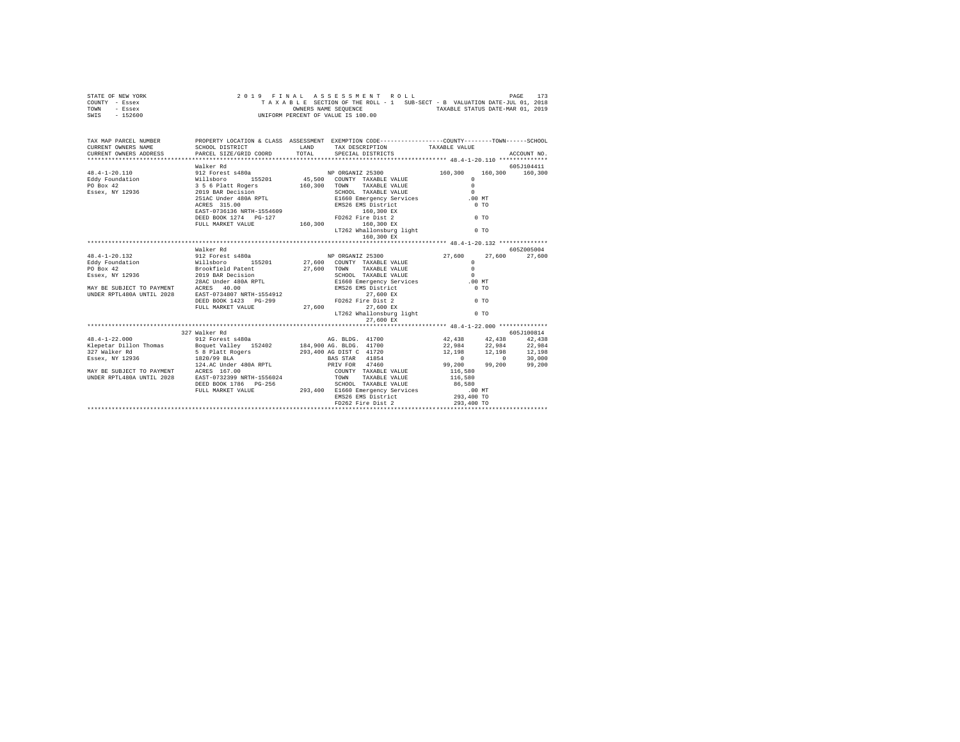| STATE OF NEW YORK |                      | 2019 FINAL ASSESSMENT ROLL         |                                                                          | 173<br>PAGE |
|-------------------|----------------------|------------------------------------|--------------------------------------------------------------------------|-------------|
| COUNTY - Essex    |                      |                                    | TAXABLE SECTION OF THE ROLL - 1 SUB-SECT - B VALUATION DATE-JUL 01, 2018 |             |
| TOWN<br>- Essex   | OWNERS NAME SEOUENCE |                                    | TAXABLE STATUS DATE-MAR 01, 2019                                         |             |
| $-152600$<br>SWIS |                      | UNIFORM PERCENT OF VALUE IS 100.00 |                                                                          |             |

| TAX MAP PARCEL NUMBER                                                                                                                                                                                                                                                                                                  |                                                   | PROPERTY LOCATION & CLASS ASSESSMENT EXEMPTION CODE----------------COUNTY-------TOWN------SCHOOL |  |            |
|------------------------------------------------------------------------------------------------------------------------------------------------------------------------------------------------------------------------------------------------------------------------------------------------------------------------|---------------------------------------------------|--------------------------------------------------------------------------------------------------|--|------------|
|                                                                                                                                                                                                                                                                                                                        | Walker Rd                                         | 160,300 EX                                                                                       |  | 605J104411 |
|                                                                                                                                                                                                                                                                                                                        |                                                   |                                                                                                  |  |            |
|                                                                                                                                                                                                                                                                                                                        | Walker Rd<br>FULL MARKET VALUE $27,600$ 27,600 EX | 27,600 EX<br>LT262 Whallonsburg light 0 TO                                                       |  | 605Z005004 |
|                                                                                                                                                                                                                                                                                                                        |                                                   |                                                                                                  |  |            |
| $\begin{tabular}{lcccc} 48.4-1-22.000 & 327 Walker Rd & 912 Power & 52402\nKlepear Dillon Thomas & 912 Power & 152402\nEagear N. W. 12936 & 12.1986\n137 Walker Rd & 58 B-11et Rogers\n138.909 BLA & 22,984\n139.900 AG. BLDG. 41700\n139.200\n130.99.200\n131.98 B. Pat the Ggers\n1320/99 BLA & 239,400 AG. BLDG. 4$ |                                                   |                                                                                                  |  |            |
|                                                                                                                                                                                                                                                                                                                        |                                                   |                                                                                                  |  |            |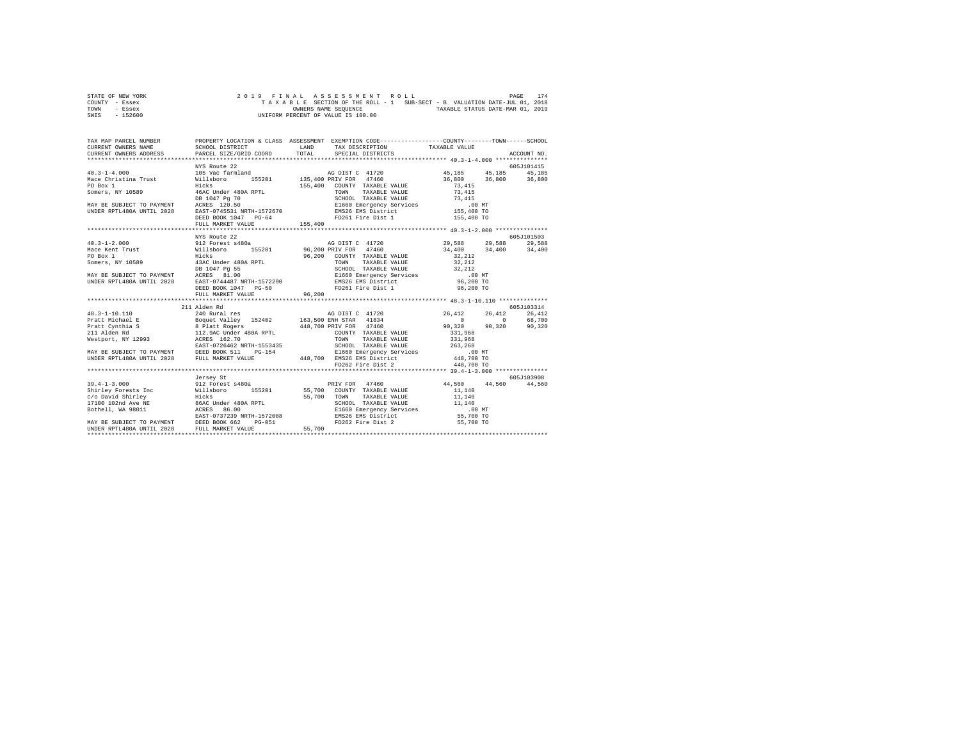| STATE OF NEW YORK | 2019 FINAL ASSESSMENT ROLL                                               | 174<br>PAGE                      |
|-------------------|--------------------------------------------------------------------------|----------------------------------|
| COUNTY - Essex    | TAXABLE SECTION OF THE ROLL - 1 SUB-SECT - B VALUATION DATE-JUL 01, 2018 |                                  |
| TOWN<br>- Essex   | OWNERS NAME SEOUENCE                                                     | TAXABLE STATUS DATE-MAR 01, 2019 |
| - 152600<br>SWIS  | UNIFORM PERCENT OF VALUE IS 100.00                                       |                                  |

|                                                                                                                                                                                                                                                                                                                                                                                                                                  | NYS Route 22                              |                |                                      |                                                    | 605J101415 |
|----------------------------------------------------------------------------------------------------------------------------------------------------------------------------------------------------------------------------------------------------------------------------------------------------------------------------------------------------------------------------------------------------------------------------------|-------------------------------------------|----------------|--------------------------------------|----------------------------------------------------|------------|
|                                                                                                                                                                                                                                                                                                                                                                                                                                  |                                           |                |                                      | $45,185$ $45,185$ $45,185$<br>36,800 36,800 36,800 |            |
|                                                                                                                                                                                                                                                                                                                                                                                                                                  |                                           |                |                                      |                                                    |            |
|                                                                                                                                                                                                                                                                                                                                                                                                                                  |                                           |                |                                      |                                                    |            |
|                                                                                                                                                                                                                                                                                                                                                                                                                                  |                                           |                |                                      |                                                    |            |
|                                                                                                                                                                                                                                                                                                                                                                                                                                  |                                           |                |                                      |                                                    |            |
|                                                                                                                                                                                                                                                                                                                                                                                                                                  |                                           |                |                                      |                                                    |            |
|                                                                                                                                                                                                                                                                                                                                                                                                                                  |                                           |                | FD261 Fire Dist 1 155,400 TO         |                                                    |            |
|                                                                                                                                                                                                                                                                                                                                                                                                                                  | DEED BOOK 1047 PG-64<br>FULL MARKET VALUE | $G-64$ 155,400 |                                      |                                                    |            |
|                                                                                                                                                                                                                                                                                                                                                                                                                                  |                                           |                |                                      |                                                    |            |
|                                                                                                                                                                                                                                                                                                                                                                                                                                  | NYS Route 22                              |                |                                      |                                                    | 605J101503 |
|                                                                                                                                                                                                                                                                                                                                                                                                                                  |                                           |                | AG DIST C 41720 29,588 29,588 29,588 |                                                    |            |
|                                                                                                                                                                                                                                                                                                                                                                                                                                  |                                           |                |                                      | $34,400$ $34,400$ $34,400$                         |            |
|                                                                                                                                                                                                                                                                                                                                                                                                                                  |                                           |                |                                      |                                                    |            |
|                                                                                                                                                                                                                                                                                                                                                                                                                                  |                                           |                |                                      |                                                    |            |
|                                                                                                                                                                                                                                                                                                                                                                                                                                  |                                           |                |                                      |                                                    |            |
|                                                                                                                                                                                                                                                                                                                                                                                                                                  |                                           |                |                                      |                                                    |            |
|                                                                                                                                                                                                                                                                                                                                                                                                                                  |                                           |                |                                      |                                                    |            |
|                                                                                                                                                                                                                                                                                                                                                                                                                                  |                                           |                |                                      |                                                    |            |
|                                                                                                                                                                                                                                                                                                                                                                                                                                  | FULL MARKET VALUE                         | 96,200         |                                      |                                                    |            |
|                                                                                                                                                                                                                                                                                                                                                                                                                                  |                                           |                |                                      |                                                    |            |
|                                                                                                                                                                                                                                                                                                                                                                                                                                  | 211 Alden Rd                              |                |                                      |                                                    | 605J103314 |
|                                                                                                                                                                                                                                                                                                                                                                                                                                  |                                           |                |                                      |                                                    |            |
|                                                                                                                                                                                                                                                                                                                                                                                                                                  |                                           |                |                                      |                                                    |            |
| $\begin{array}{lcccccc} & 211 & 41 \, \texttt{d} \texttt{141} & 48.3-1-10.110 & 240 & \texttt{Rural res} & \texttt{AG DIST C} & 41720 & 26,412 & 26,412 & 26,412 & 26,412 & 26,412 & 26,412 & 26,412 & 26,412 & 26,412 & 26,412 & 26,412 & 26,412 & 26,412 & 26,412 & 26,412 & 26,412 & 26,412 & 26,$                                                                                                                            |                                           |                |                                      |                                                    |            |
|                                                                                                                                                                                                                                                                                                                                                                                                                                  |                                           |                |                                      |                                                    |            |
|                                                                                                                                                                                                                                                                                                                                                                                                                                  |                                           |                |                                      |                                                    |            |
|                                                                                                                                                                                                                                                                                                                                                                                                                                  |                                           |                |                                      |                                                    |            |
|                                                                                                                                                                                                                                                                                                                                                                                                                                  |                                           |                |                                      |                                                    |            |
|                                                                                                                                                                                                                                                                                                                                                                                                                                  |                                           |                |                                      |                                                    |            |
| $\begin{tabular}{l c c c c c} \multicolumn{4}{c}{\textbf{Pratt Michael E}} & \multicolumn{4}{c}{\textbf{Boguet Valley}} & \multicolumn{4}{c}{\textbf{154.201}} & \multicolumn{4}{c}{\textbf{154.202}} & \multicolumn{4}{c}{\textbf{154.203}} & \multicolumn{4}{c}{\textbf{154.204}} & \multicolumn{4}{c}{\textbf{154.204}} & \multicolumn{4}{c}{\textbf{154.205}} & \multicolumn{4}{c}{\textbf{154.206}} & \multicolumn{4}{c}{\$ |                                           |                |                                      |                                                    |            |
|                                                                                                                                                                                                                                                                                                                                                                                                                                  |                                           |                |                                      |                                                    |            |
|                                                                                                                                                                                                                                                                                                                                                                                                                                  | Jersey St                                 |                |                                      |                                                    | 605J103908 |
|                                                                                                                                                                                                                                                                                                                                                                                                                                  |                                           |                |                                      | 44,560 44,560 44,560                               |            |
|                                                                                                                                                                                                                                                                                                                                                                                                                                  |                                           |                |                                      |                                                    |            |
|                                                                                                                                                                                                                                                                                                                                                                                                                                  |                                           |                |                                      |                                                    |            |
|                                                                                                                                                                                                                                                                                                                                                                                                                                  |                                           |                |                                      |                                                    |            |
|                                                                                                                                                                                                                                                                                                                                                                                                                                  |                                           |                |                                      |                                                    |            |
|                                                                                                                                                                                                                                                                                                                                                                                                                                  |                                           |                |                                      |                                                    |            |
|                                                                                                                                                                                                                                                                                                                                                                                                                                  |                                           |                |                                      |                                                    |            |
| $130.4-1-3.000$ $20.4-1-3.000$ $20.4-1-3.000$ $20.4-1-3.000$ $20.4-1-3.000$ $20.4-1-3.000$ $20.4-1-3.000$ $20.4-1-3.000$ $20.4-1-3.000$ $20.4-1-3.000$ $20.4-1-3.000$ $20.4-1-3.000$ $20.4-1-3.000$ $20.4-1-3.000$ $20.4-1-3.$                                                                                                                                                                                                   |                                           |                |                                      |                                                    |            |
|                                                                                                                                                                                                                                                                                                                                                                                                                                  |                                           |                |                                      |                                                    |            |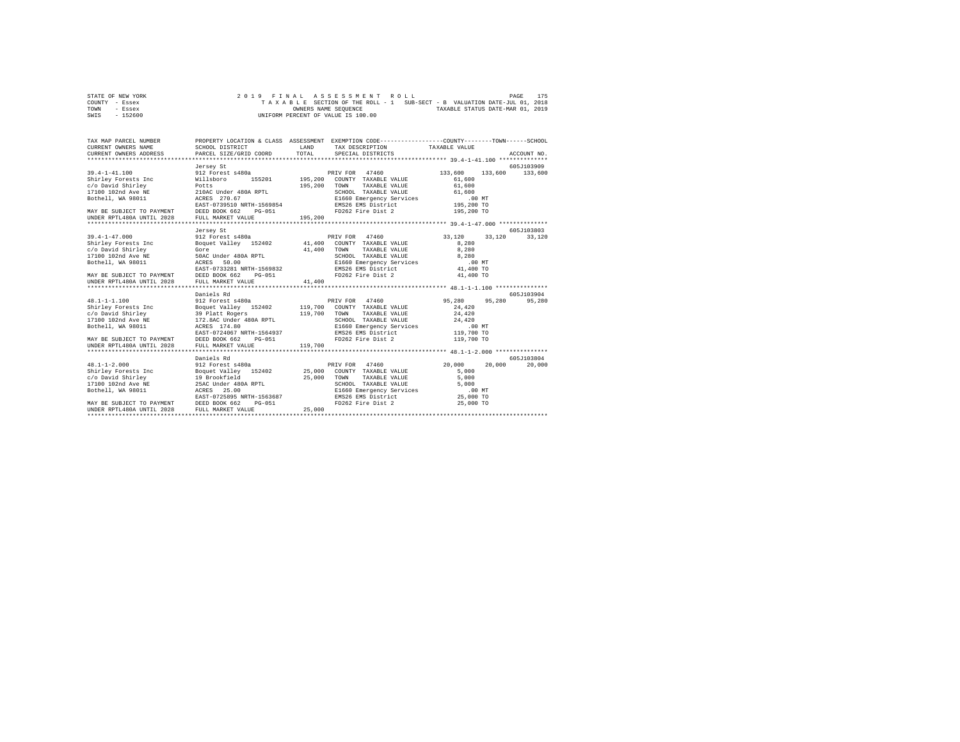| STATE OF NEW YORK | 2019 FINAL ASSESSMENT ROLL                                               | 175<br>PAGE |
|-------------------|--------------------------------------------------------------------------|-------------|
| COUNTY - Essex    | TAXABLE SECTION OF THE ROLL - 1 SUB-SECT - B VALUATION DATE-JUL 01, 2018 |             |
| TOWN<br>- Essex   | TAXABLE STATUS DATE-MAR 01, 2019<br>OWNERS NAME SEOUENCE                 |             |
| $-152600$<br>SWIS | UNIFORM PERCENT OF VALUE IS 100.00                                       |             |

| TAX MAP PARCEL NUMBER<br>CURRENT OWNERS NAME<br>CURRENT OWNERS ADDRESS                                                                                                                                                                                                                                                          | SCHOOL DISTRICT<br>PARCEL SIZE/GRID COORD                                                                                                                                      | LAND<br>TOTAL      | PROPERTY LOCATION & CLASS ASSESSMENT EXEMPTION CODE----------------COUNTY-------TOWN-----SCHOOL<br>TAX DESCRIPTION TAXABLE VALUE<br>SPECIAL DISTRICTS                                           |                                                                                        | ACCOUNT NO.           |
|---------------------------------------------------------------------------------------------------------------------------------------------------------------------------------------------------------------------------------------------------------------------------------------------------------------------------------|--------------------------------------------------------------------------------------------------------------------------------------------------------------------------------|--------------------|-------------------------------------------------------------------------------------------------------------------------------------------------------------------------------------------------|----------------------------------------------------------------------------------------|-----------------------|
| $39.4 - 1 - 41.100$<br>Shirley Forests Inc<br>c/o David Shirley<br>17100 102nd Ave NE 210AC Under 480A RPTL<br>Bothell, WA 98011 2008 270.67<br>MAY BE SUBJECT TO PAYMENT DEED BOOK 662<br>UNDER RPTL480A UNTIL 2028 FULL MARKET VA                                                                                             | Jersey St<br>912 Forest s480a<br>Willsboro<br>155201<br>EAST-0739510 NRTH-1569854<br>PG-051<br>FULL MARKET VALUE                                                               | 195,200<br>195,200 | PRIV FOR 47460<br>195,200 COUNTY TAXABLE VALUE<br>TOWN<br>TAXABLE VALUE<br>SCHOOL TAXABLE VALUE 61,600<br>E1660 Emergency Services .00 MT<br>EMS26 EMS District 195,200 TO<br>FD262 Fire Dist 2 | 133,600<br>133,600<br>61,600<br>61,600<br>195,200 TO                                   | 605J103909<br>133,600 |
|                                                                                                                                                                                                                                                                                                                                 |                                                                                                                                                                                |                    |                                                                                                                                                                                                 |                                                                                        |                       |
| $39.4 - 1 - 47.000$<br>Shirley Forests Inc<br>Gore<br>c/o David Shirley<br>17100 102nd Ave NE<br>Bothell, WA 98011<br>MAY BE SUBJECT TO PAYMENT DEED BOOK 662<br>UNDER RPTL480A UNTIL 2028 FULL MARKET VA                                                                                                                       | Jersey St<br>912 Forest s480a<br>Boquet Valley 152402 41,400 COUNTY TAXABLE VALUE<br>50AC Under 480A RPTL<br>ACRES 50.00<br>ACRES 50.00<br>EAST-0733281 NRTH-1569832<br>PG-051 | 41,400             | PRIV FOR 47460<br>TOWN<br>TAXABLE VALUE<br>SCHOOL TAXABLE VALUE<br>E1660 Emergency Services<br>EMS26 EMS District<br>FD262 Fire Dist 2                                                          | 33,120<br>33,120<br>8,280<br>8,280<br>8,280<br>$.00$ MT<br>41,400 TO<br>41,400 TO      | 605-T103803<br>33,120 |
|                                                                                                                                                                                                                                                                                                                                 | FULL MARKET VALUE                                                                                                                                                              | 41,400             |                                                                                                                                                                                                 |                                                                                        |                       |
|                                                                                                                                                                                                                                                                                                                                 | Daniels Rd                                                                                                                                                                     |                    |                                                                                                                                                                                                 |                                                                                        | 605J103904            |
| $48.1 - 1 - 1.100$<br>Shirley Forests Inc 50 Boquet Valley 152402 119,700 COUNTY TAXABLE VALUE<br>Shirley Forests inc. 1991<br>19.70 (And Shirley 1992)<br>19.70 102 172.8AC Under 480A RPTL<br>1700 102nd Ave NR 172.8AC Under 480A RPTL<br>17.1-201   MACRES 174.80<br>MAY BE SUBJECT TO PAYMENT<br>UNDER RPTL480A UNTIL 2028 | 912 Forest s480a<br>EAST-0724067 NRTH-1564937<br>DEED BOOK 662 PG-051<br>FULL MARKET VALUE                                                                                     | 119,700<br>119,700 | PRIV FOR 47460<br>TOWN<br>TAXABLE VALUE<br>SCHOOL TAXABLE VALUE<br>E1660 Emergency Services<br>EMS26 EMS District<br>FD262 Fire Dist 2                                                          | 95,280<br>95,280<br>24,420<br>24,420<br>24,420<br>$.00$ MT<br>119,700 TO<br>119,700 TO | 95,280                |
|                                                                                                                                                                                                                                                                                                                                 |                                                                                                                                                                                |                    |                                                                                                                                                                                                 |                                                                                        |                       |
| $48.1 - 1 - 2.000$<br>Bothell, WA 98011<br><b>ACRES</b><br>MAY BE SUBJECT TO PAYMENT DEED BOOK 662                                                                                                                                                                                                                              | Daniels Rd<br>912 Forest s480a<br>25.00<br>EAST-0725895 NRTH-1563687<br>PG-051                                                                                                 |                    | PRIV FOR 47460<br>SCHOOL TAXABLE VALUE<br>E1660 Emergency Services<br>EMS26 EMS District<br>FD262 Fire Dist 2                                                                                   | 20,000<br>20,000<br>5,000<br>5,000<br>5,000<br>.00 MT<br>25,000 TO<br>25,000 TO        | 605-7103804<br>20,000 |
| UNDER RPTL480A UNTIL 2028                                                                                                                                                                                                                                                                                                       | FULL MARKET VALUE                                                                                                                                                              | 25,000             |                                                                                                                                                                                                 |                                                                                        |                       |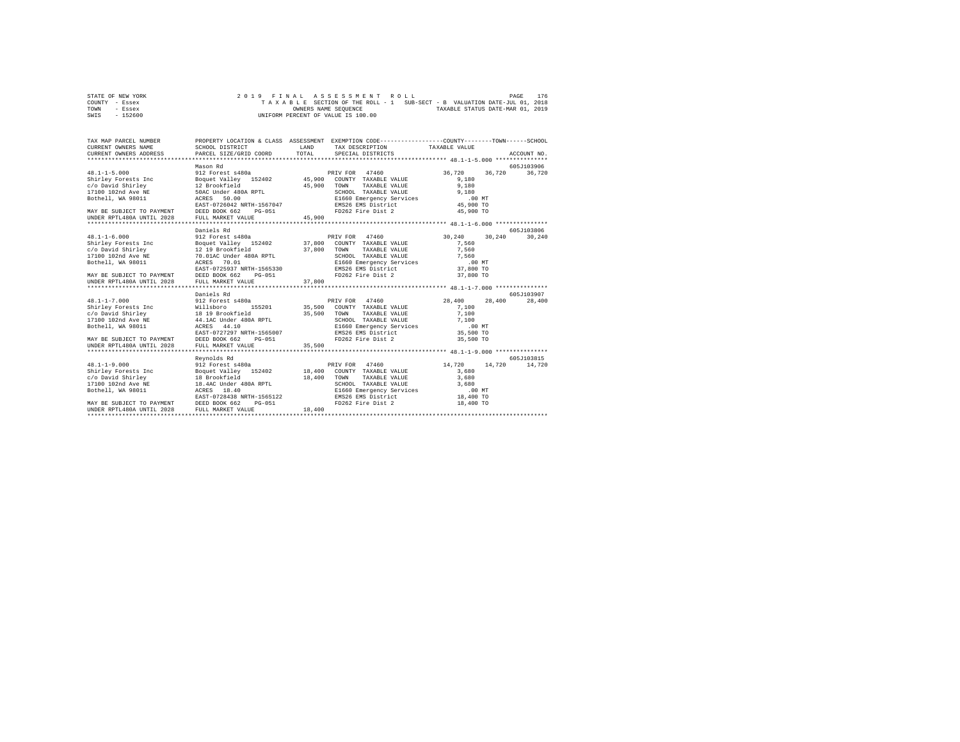| STATE OF NEW YORK | 2019 FINAL ASSESSMENT ROLL                                               | PAGE | 176 |
|-------------------|--------------------------------------------------------------------------|------|-----|
| COUNTY - Essex    | TAXABLE SECTION OF THE ROLL - 1 SUB-SECT - B VALUATION DATE-JUL 01, 2018 |      |     |
| TOWN<br>- Essex   | TAXABLE STATUS DATE-MAR 01, 2019<br>OWNERS NAME SEOUENCE                 |      |     |
| $-152600$<br>SWIS | UNIFORM PERCENT OF VALUE IS 100.00                                       |      |     |

| TAX MAP PARCEL NUMBER                                                                                                                                                                                                                                                                        |                                 |        | PROPERTY LOCATION & CLASS ASSESSMENT EXEMPTION CODE---------------COUNTY-------TOWN------SCHOOL |                                  |                       |
|----------------------------------------------------------------------------------------------------------------------------------------------------------------------------------------------------------------------------------------------------------------------------------------------|---------------------------------|--------|-------------------------------------------------------------------------------------------------|----------------------------------|-----------------------|
|                                                                                                                                                                                                                                                                                              | Mason Rd                        |        |                                                                                                 | 36,720                           | 605J103906<br>36.720  |
|                                                                                                                                                                                                                                                                                              |                                 |        |                                                                                                 |                                  |                       |
| $48.1 - 1 - 6.000$<br>48.1-1-0.000<br>Shirley Forests Inc = Bequet Valley 152402<br>Shirley Forests Inc = Bequet Valley 152402<br>2.19 Brookfield<br>2.19 Brookfield<br>2.19 Brookfield<br>2.19 Brookfield<br>2.19 Brookfield<br>2.19 Brookfield<br>2.19 Brookfield<br>2                     | Daniels Rd<br>912 Forest s480a  |        | PRIV FOR 47460                                                                                  | 30,240 30,240                    | 605-7103806<br>30,240 |
|                                                                                                                                                                                                                                                                                              |                                 |        |                                                                                                 |                                  |                       |
| EAST-0727297 NRTH-1565007<br>MAY BE SUBJECT TO PAYMENT DEED BOOK 662 PG-051<br>UNDER RPTL480A UNTIL 2028                                                                                                                                                                                     | Daniels Rd<br>FULL MARKET VALUE | 35,500 | EMS26 EMS District<br>FD262 Fire Dist 2                                                         | 28,400<br>35,500 TO<br>35,500 TO | 605J103907<br>28,400  |
| $48.1 - 1 - 9.000$<br>0.1.1.1.27 FOR THE MODEL MANUS 152402<br>Color States (1988) 2001 18,400 COUNTY TAXABLE VALUE 3,680<br>2.680 18,400 COUNTY TAXABLE VALUE 3,680<br>2.1100 102nd Ave NE 18.4AC Under 480A RPTL SCHOOL TAXABLE VALUE 3,680<br>UNDER RPTL480A UNTIL 2028 FULL MARKET VALUE | Revnolds Rd<br>912 Forest s480a | 18,400 | PRIV FOR 47460<br>FD262 Fire Dist 2                                                             | 14,720<br>14,720<br>18,400 TO    | 605J103815<br>14,720  |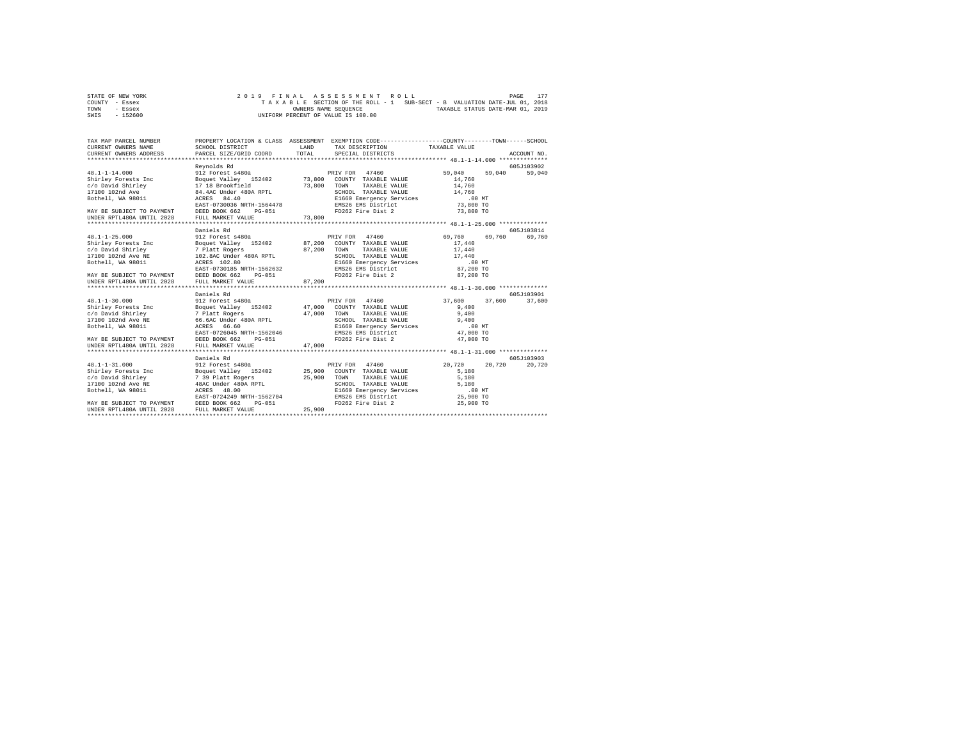| STATE OF NEW YORK | 2019 FINAL ASSESSMENT ROLL                                               | 177<br>PAGE                      |
|-------------------|--------------------------------------------------------------------------|----------------------------------|
| COUNTY - Essex    | TAXABLE SECTION OF THE ROLL - 1 SUB-SECT - B VALUATION DATE-JUL 01, 2018 |                                  |
| TOWN<br>- Essex   | OWNERS NAME SEOUENCE                                                     | TAXABLE STATUS DATE-MAR 01, 2019 |
| $-152600$<br>SWIS | UNIFORM PERCENT OF VALUE IS 100.00                                       |                                  |

| TAX MAP PARCEL NUMBER<br>CURRENT OWNERS NAME<br>CURRENT OWNERS ADDRESS                                                                                                                                                                                                                                                                                                                                                                                                | SCHOOL DISTRICT<br>PARCEL SIZE/GRID COORD                                                  | <b>T.AND</b><br>TOTAL | PROPERTY LOCATION & CLASS ASSESSMENT EXEMPTION CODE---------------COUNTY-------TOWN------SCHOOL<br>TAX DESCRIPTION TAXABLE VALUE<br>SPECIAL DISTRICTS |                                                     | ACCOUNT NO.          |
|-----------------------------------------------------------------------------------------------------------------------------------------------------------------------------------------------------------------------------------------------------------------------------------------------------------------------------------------------------------------------------------------------------------------------------------------------------------------------|--------------------------------------------------------------------------------------------|-----------------------|-------------------------------------------------------------------------------------------------------------------------------------------------------|-----------------------------------------------------|----------------------|
| 48.1-1-14.000   912 Forest s480a   PRIV FOR 47460<br>Shirley Forests Inc   Boquet Valley   152402   73,800   COUNTY TAXABLE VALUE<br>Shirley Forests Inc. (1997)<br>Communist Scheduler Hotel (1998)<br>1990 - Scheduler Hotel (1998)<br>1990 - Marc Bach, Marchael, Marchael, Marchael, Marchael, Marchael, Marchael, Marchael, 2001<br>1990 - Accres Marchael, Marchael, Mar<br>MAY BE SUBJECT TO PAYMENT DEED BOOK 662<br>UNDER RPTL480A UNTIL 2028 FULL MARKET VA | Revnolds Rd<br>PG-051<br>FULL MARKET VALUE                                                 | 73,800                | FD262 Fire Dist 2                                                                                                                                     | 59,040<br>59,040<br>14,760<br>73,800 TO             | 605J103902<br>59,040 |
|                                                                                                                                                                                                                                                                                                                                                                                                                                                                       |                                                                                            |                       |                                                                                                                                                       |                                                     |                      |
| $48.1 - 1 - 25.000$<br>-0.12 -2.00 -2.00 -2.00 -2.00 -2.00 -2.00 -2.00 -2.00 -2.00 -2.00 -2.00 -2.00 -2.00 -2.00 -2.00 -2.00 -2.00 -2.00 -2.00 -2.00 -2.00 -2.00 -2.00 -2.00 -2.00 -2.00 -2.00 -2.00 -2.00 -2.00 -2.00 -2.00 -2.00 -2.00 -2.00 -2.00<br>MAY BE SUBJECT TO PAYMENT DEED BOOK 662<br>UNDER RPTL480A UNTIL 2028 FULL MARKET VA                                                                                                                           | Daniels Rd<br>912 Forest s480a<br>PG-051<br>FULL MARKET VALUE                              | 87,200                | PRIV FOR 47460<br>FD262 Fire Dist 2                                                                                                                   | 69,760 69,760<br>87,200 TO                          | 605-103814<br>69,760 |
|                                                                                                                                                                                                                                                                                                                                                                                                                                                                       |                                                                                            |                       |                                                                                                                                                       |                                                     |                      |
| $48.1 - 1 - 30.000$<br>Shirley Forests Inc 50 Boquet Valley 152402 47,000 COUNTY TAXABLE VALUE<br>or and the control of the control of the control of the control of the control of the control of the control o<br>17100 102nd Ave Was 66.660 David School Structure Value of the SCHOOL TAXABLE VALUE 9,400<br>1911 - Bothell, WA 98<br>MAY BE SUBJECT TO PAYMENT DEED BOOK 662 PG-051<br>UNDER RPTL480A UNTIL 2028                                                 | Daniels Rd<br>912 Forest s480a<br>EAST-0726045 NRTH-1562046<br>FULL MARKET VALUE           | 47,000                | PRIV FOR 47460<br>EMS26 EMS District<br>FD262 Fire Dist 2                                                                                             | 37.600<br>37,600<br>9.400<br>47,000 TO<br>47,000 TO | 605J103901<br>37,600 |
| $48.1 - 1 - 31.000$<br>1991 - Journal Boulder (1992)<br>1991 - Andrey Marie (1992)<br>25,900 COUNTY TAXABLE VALUE<br>26,900 COUNTY TAXABLE VALUE<br>27 39 Platt Rogers (1992)<br>27 29 Platt SCRES (1993)<br>27 29 25,900 COUNTY TAXABLE VALUE<br>27 29 29 29 29 29<br>MAY BE SUBJECT TO PAYMENT DEED BOOK 662<br>UNDER RPTL480A UNTIL 2028                                                                                                                           | Daniels Rd<br>912 Forest s480a<br>EAST-0724249 NRTH-1562704<br>PG-051<br>FULL MARKET VALUE | 25,900                | PRIV FOR 47460<br>SCHOOL TAXABLE VALUE 5,180<br>E1660 Emergency Services 6 100 MT<br>EMS26 EMS District 25,900 TO<br>FD262 Fire Dist 2                | 20.720<br>20,720<br>5,180<br>5,180<br>25,900 TO     | 605J103903<br>20.720 |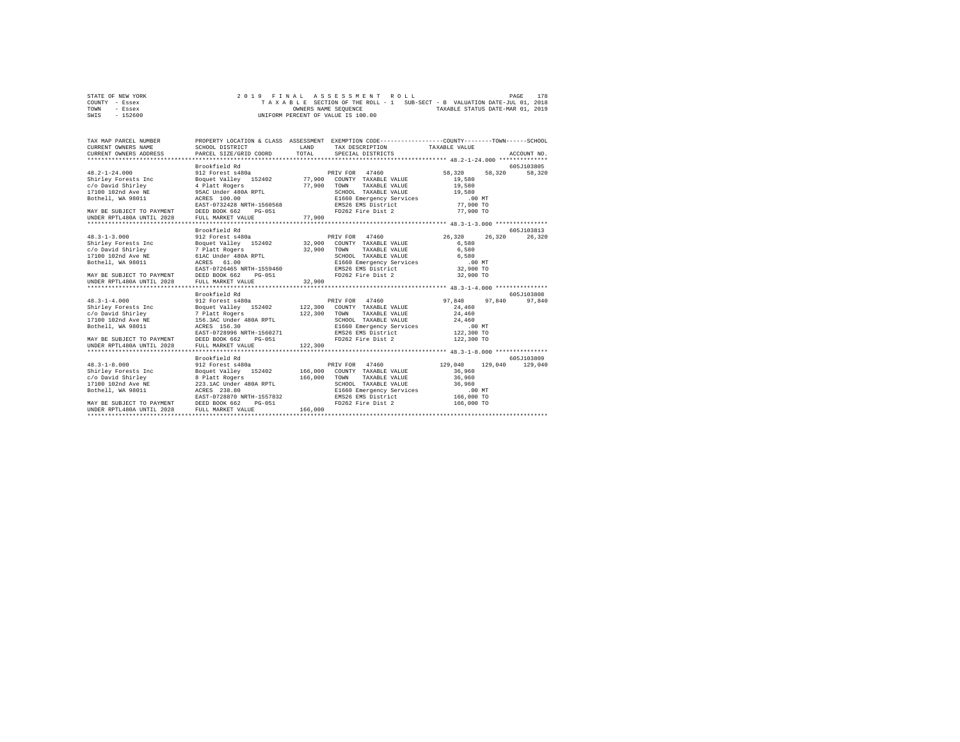| STATE OF NEW YORK | 2019 FINAL ASSESSMENT ROLL                                               | 178<br>PAGE                      |
|-------------------|--------------------------------------------------------------------------|----------------------------------|
| COUNTY - Essex    | TAXABLE SECTION OF THE ROLL - 1 SUB-SECT - B VALUATION DATE-JUL 01, 2018 |                                  |
| TOWN<br>- Essex   | OWNERS NAME SEOUENCE                                                     | TAXABLE STATUS DATE-MAR 01, 2019 |
| $-152600$<br>SWIS | UNIFORM PERCENT OF VALUE IS 100.00                                       |                                  |

| TAX MAP PARCEL NUMBER<br>CURRENT OWNERS ADDRESS PARCEL SIZE/GRIP  - WARRENT OWNERS ADDRESS PARCEL SIZE/GRIP                                                                                                                                                                                           | PARCEL SIZE/GRID COORD                                                              | <b>T.AND</b><br>TOTAL   | PROPERTY LOCATION & CLASS ASSESSMENT EXEMPTION CODE----------------COUNTY-------TOWN-----SCHOOL<br>TAX DESCRIPTION TAXABLE VALUE<br>SPECIAL DISTRICTS                |                                                                  | ACCOUNT NO.           |
|-------------------------------------------------------------------------------------------------------------------------------------------------------------------------------------------------------------------------------------------------------------------------------------------------------|-------------------------------------------------------------------------------------|-------------------------|----------------------------------------------------------------------------------------------------------------------------------------------------------------------|------------------------------------------------------------------|-----------------------|
| MAY BE SUBJECT TO PAYMENT DEED BOOK 662 PG-051<br>UNDER RPTL480A UNTIL 2028 FULL MARKET VALUE                                                                                                                                                                                                         | Brookfield Rd                                                                       | 77,900                  | FD262 Fire Dist 2                                                                                                                                                    | 58,320<br>77,900 TO                                              | 605J103805<br>58,320  |
|                                                                                                                                                                                                                                                                                                       |                                                                                     |                         |                                                                                                                                                                      |                                                                  |                       |
| $48.3 - 1 - 3.000$<br>MAY BE SUBJECT TO PAYMENT DEED BOOK 662<br>UNDER RPTL480A UNTIL 2028 FULL MARKET VA                                                                                                                                                                                             | Brookfield Rd<br>912 Forest s480a<br>PG-051<br>FULL MARKET VALUE                    | 32,900                  | PRIV FOR 47460<br>FD262 Fire Dist 2                                                                                                                                  | 26,320 26,320<br>32,900 TO                                       | 605.T103813<br>26,320 |
|                                                                                                                                                                                                                                                                                                       |                                                                                     |                         |                                                                                                                                                                      |                                                                  |                       |
| $48.3 - 1 - 4.000$<br>45.5-14.000 1021 122,300<br>Shirley Forests Inc = Boquet Valley 152402 122,300<br>c/o David Shirley = 7 Platt Rogers = 122,300<br>1700 102nd Ave NE = 156.30<br>Bothell, WA 98011 = ACRES 156.30<br>MAY BE SUBJECT TO PAYMENT DEED BOOK 662 PG-051<br>UNDER RPTL480A UNTIL 2028 | Brookfield Rd<br>912 Forest s480a<br>EAST-0728996 NRTH-1560271<br>FULL MARKET VALUE | 122,300 TOWN<br>122,300 | PRIV FOR 47460<br>COUNTY TAXABLE VALUE<br>TAXABLE VALUE<br>SCHOOL TAXABLE VALUE 24,460<br>E1660 Emergency Services .00 MT<br>EMS26 EMS District<br>FD262 Fire Dist 2 | 97.840<br>97.840<br>24,460<br>24,460<br>122,300 TO<br>122,300 TO | 605J103808<br>97.840  |
| $48.3 - 1 - 8.000$<br>Bothell, WA 98011 ACRES 238.80<br>MAY BE SUBJECT TO PAYMENT DEED BOOK 662<br>UNDER RPTL480A UNTIL 2028 FULL MARKET VALUE                                                                                                                                                        | Brookfield Rd<br>912 Forest s480a<br>EAST-0728870 NRTH-1557832<br>PG-051            | 166,000                 | PRIV FOR 47460<br>SCHOOL TAXABLE VALUE 36,960<br>E1660 Emergency Services .00 MT<br>EMS26 EMS District .000 TO<br>FD262 Fire Dist 2                                  | 129,040 129,040<br>36,960<br>36,960<br>166,000 TO                | 605J103809<br>129,040 |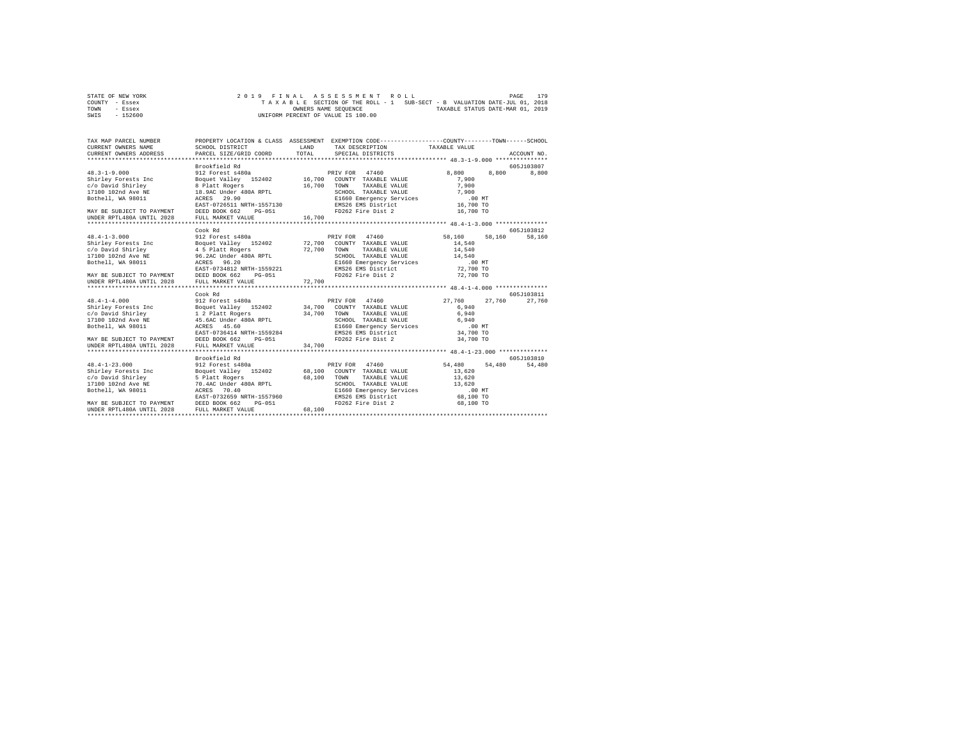| STATE OF NEW YORK |  |  | 2019 FINAL ASSESSMENT ROLL                                               |                                  | PAGE | 179 |
|-------------------|--|--|--------------------------------------------------------------------------|----------------------------------|------|-----|
| COUNTY - Essex    |  |  | TAXABLE SECTION OF THE ROLL - 1 SUB-SECT - B VALUATION DATE-JUL 01, 2018 |                                  |      |     |
| TOWN<br>- Essex   |  |  | OWNERS NAME SEOUENCE                                                     | TAXABLE STATUS DATE-MAR 01, 2019 |      |     |
| $-152600$<br>SWIS |  |  | UNIFORM PERCENT OF VALUE IS 100.00                                       |                                  |      |     |

| TAX MAP PARCEL NUMBER<br>CURRENT OWNERS NAME<br>CURRENT OWNERS ADDRESS                                                                                                                                                                                              | SCHOOL DISTRICT<br>PARCEL SIZE/GRID COORD                                                                                                  | LAND<br>TOTAL    | PROPERTY LOCATION & CLASS ASSESSMENT EXEMPTION CODE----------------COUNTY-------TOWN------SCHOOL<br>TAX DESCRIPTION TAXABLE VALUE<br>SPECIAL DISTRICTS         |                                                                                        | ACCOUNT NO.          |
|---------------------------------------------------------------------------------------------------------------------------------------------------------------------------------------------------------------------------------------------------------------------|--------------------------------------------------------------------------------------------------------------------------------------------|------------------|----------------------------------------------------------------------------------------------------------------------------------------------------------------|----------------------------------------------------------------------------------------|----------------------|
| $48.3 - 1 - 9.000$<br>Shirley Forests Inc<br>c/o David Shirley 8 Platt Rogers<br>$17100$ 102nd Ave NE $18.9$ AC Under 480A RPTL<br>17100 102nd Ave NE 18.9AC Under 480A RPTL<br>MAY BE SUBJECT TO PAYMENT DEED BOOK 662<br>UNDER RPTL480A UNTIL 2028 FULL MARKET VA | Brookfield Rd<br>912 Forest s480a<br>raiv rua = 4/400<br>Boquet Valley = 152402 16,700 COUNTY TAXABLE VALUE<br>PG-051<br>FULL MARKET VALUE | 16,700<br>16,700 | PRIV FOR 47460<br>TOWN<br>TAXABLE VALUE<br>FD262 Fire Dist 2                                                                                                   | 8,800<br>8,800<br>7,900<br>7,900<br>16,700 TO                                          | 605J103807<br>8,800  |
|                                                                                                                                                                                                                                                                     |                                                                                                                                            |                  |                                                                                                                                                                |                                                                                        |                      |
|                                                                                                                                                                                                                                                                     | Cook Rd                                                                                                                                    |                  |                                                                                                                                                                |                                                                                        | 605-1103812          |
| $48.4 - 1 - 3.000$<br>MAY BE SUBJECT TO PAYMENT DEED BOOK 662<br>UNDER RPTL480A UNTIL 2028 FULL MARKET VA                                                                                                                                                           | 912 Forest s480a<br>EAST-0734812 NRTH-1559221<br>PG-051<br>FULL MARKET VALUE                                                               | 72,700           | PRIV FOR 47460<br>TAXABLE VALUE<br>------<br>SCHOOL TAXABLE VALUE<br>E1660 Emergency Services<br>EMS26 EMS District<br>FD262 Fire Dist 2                       | 58,160<br>58,160<br>14,540<br>14,540<br>$14,540$<br>$.00$ MT<br>72,700 TO<br>72,700 TO | 58,160               |
|                                                                                                                                                                                                                                                                     |                                                                                                                                            |                  |                                                                                                                                                                |                                                                                        |                      |
| $48.4 - 1 - 4.000$<br>Shirley Forests Inc Boquet Valley 152402 34,700<br>c/o David Shirley<br>17100 102nd Ave NE                                                                                                                                                    | Cook Rd<br>912 Forest s480a<br>Boquet valley<br>1 2 Platt Rogers<br>45.6AC Under 480A RPTL<br>25 60                                        | RPTL 34,700      | PRIV FOR 47460<br>COUNTY TAXABLE VALUE<br>TAXABLE VALUE<br>TOWN<br>SCHOOL TAXABLE VALUE<br>E1660 Emergency Services                                            | 27.760<br>27.760<br>6,940<br>6,940<br>6,940                                            | 605J103811<br>27,760 |
| Bothell, WA 98011<br>MAY BE SUBJECT TO PAYMENT<br>UNDER RPTL480A UNTIL 2028                                                                                                                                                                                         | EAST-0736414 NRTH-1559284<br>DEED BOOK 662<br>PG-051<br>FULL MARKET VALUE                                                                  | 34,700           | EMS26 EMS District<br>FD262 Fire Dist 2                                                                                                                        | $.00$ MT<br>34,700 TO<br>34,700 TO                                                     |                      |
|                                                                                                                                                                                                                                                                     | Brookfield Rd                                                                                                                              |                  |                                                                                                                                                                |                                                                                        | 605-103810           |
| $48.4 - 1 - 23.000$<br>Bothell, WA 98011<br>MAY BE SUBJECT TO PAYMENT DEED BOOK 662                                                                                                                                                                                 | 912 Forest s480a<br>ACRES 70.40<br>EAST-0732659 NRTH-1557960<br>$PG-051$                                                                   | 68,100           | PRIV FOR 47460<br>COUNTY TAXABLE VALUE<br>TOWN<br>TAXABLE VALUE<br>SCHOOL TAXABLE VALUE<br>E1660 Emergency Services<br>EMS26 EMS District<br>FD262 Fire Dist 2 | 54,480<br>54,480<br>13,620<br>13,620<br>13,620<br>.00 MT<br>68,100 TO<br>68,100 TO     | 54,480               |
| UNDER RPTL480A UNTIL 2028                                                                                                                                                                                                                                           | FULL MARKET VALUE                                                                                                                          | 68,100           |                                                                                                                                                                |                                                                                        |                      |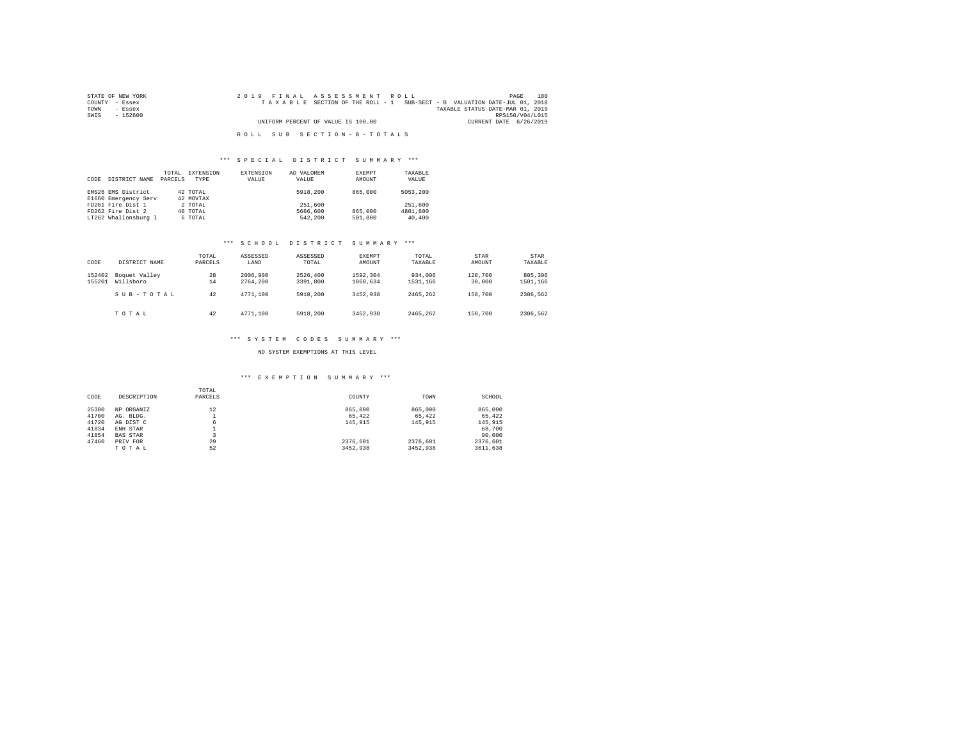| STATE OF NEW YORK | 2019 FINAL ASSESSMENT ROLL                                               | 180<br>PAGE                      |
|-------------------|--------------------------------------------------------------------------|----------------------------------|
| COUNTY - Essex    | TAXABLE SECTION OF THE ROLL - 1 SUB-SECT - B VALUATION DATE-JUL 01, 2018 |                                  |
| TOWN<br>- Essex   |                                                                          | TAXABLE STATUS DATE-MAR 01, 2019 |
| SWTS<br>- 152600  |                                                                          | RPS150/V04/L015                  |
|                   | UNIFORM PERCENT OF VALUE IS 100.00                                       | CURRENT DATE 6/26/2019           |
|                   |                                                                          |                                  |
|                   | ROLL SUB SECTION-B-TOTALS                                                |                                  |

## \*\*\* S P E C I A L D I S T R I C T S U M M A R Y \*\*\*

| CODE | DISTRICT NAME                              | TOTAL<br>PARCELS | EXTENSION<br>TYPE     | <b>EXTENSION</b><br>VALUE | AD VALOREM<br>VALUE | EXEMPT<br>AMOUNT | TAXABLE<br>VALUE |
|------|--------------------------------------------|------------------|-----------------------|---------------------------|---------------------|------------------|------------------|
|      | EMS26 EMS District<br>E1660 Emergency Serv |                  | 42 TOTAL<br>42 MOVTAX |                           | 5918,200            | 865,000          | 5053,200         |
|      |                                            |                  |                       |                           |                     |                  |                  |
|      | FD261 Fire Dist 1                          |                  | 2 TOTAL               |                           | 251,600             |                  | 251,600          |
|      | FD262 Fire Dist 2                          |                  | 40 TOTAL              |                           | 5666,600            | 865,000          | 4801,600         |
|      | LT262 Whallonsburg 1                       |                  | 6 TOTAL               |                           | 542,200             | 501,800          | 40,400           |

#### \*\*\* S C H O O L D I S T R I C T S U M M A R Y \*\*\*

| CODE             | DISTRICT NAME              | TOTAL<br>PARCELS | ASSESSED<br>LAND     | ASSESSED<br>TOTAL    | EXEMPT<br>AMOUNT     | TOTAL<br>TAXABLE    | STAR<br>AMOUNT    | <b>STAR</b><br>TAXABLE |
|------------------|----------------------------|------------------|----------------------|----------------------|----------------------|---------------------|-------------------|------------------------|
| 152402<br>155201 | Boquet Valley<br>Willsboro | 28<br>14         | 2006,900<br>2764.200 | 2526,400<br>3391,800 | 1592.304<br>1860.634 | 934,096<br>1531,166 | 128,700<br>30,000 | 805,396<br>1501,166    |
|                  | SUB-TOTAL                  | 42               | 4771.100             | 5918,200             | 3452,938             | 2465.262            | 158,700           | 2306.562               |
|                  | TOTAL                      | 42               | 4771.100             | 5918,200             | 3452.938             | 2465.262            | 158,700           | 2306.562               |

#### \*\*\* S Y S T E M C O D E S S U M M A R Y \*\*\*

NO SYSTEM EXEMPTIONS AT THIS LEVEL

## \*\*\* E X E M P T I O N S U M M A R Y \*\*\*

| CODE  | DESCRIPTION     | TOTAL<br>PARCELS | COUNTY   | TOWN     | SCHOOL   |
|-------|-----------------|------------------|----------|----------|----------|
| 25300 | NP ORGANIZ      | 12               | 865,000  | 865,000  | 865,000  |
| 41700 | AG. BLDG.       |                  | 65.422   | 65.422   | 65,422   |
| 41720 | AG DIST C       | 6                | 145,915  | 145.915  | 145,915  |
| 41834 | ENH STAR        |                  |          |          | 68,700   |
| 41854 | <b>BAS STAR</b> | ٠                |          |          | 90,000   |
| 47460 | PRIV FOR        | 29               | 2376.601 | 2376.601 | 2376.601 |
|       | TOTAL           | 52               | 3452.938 | 3452.938 | 3611,638 |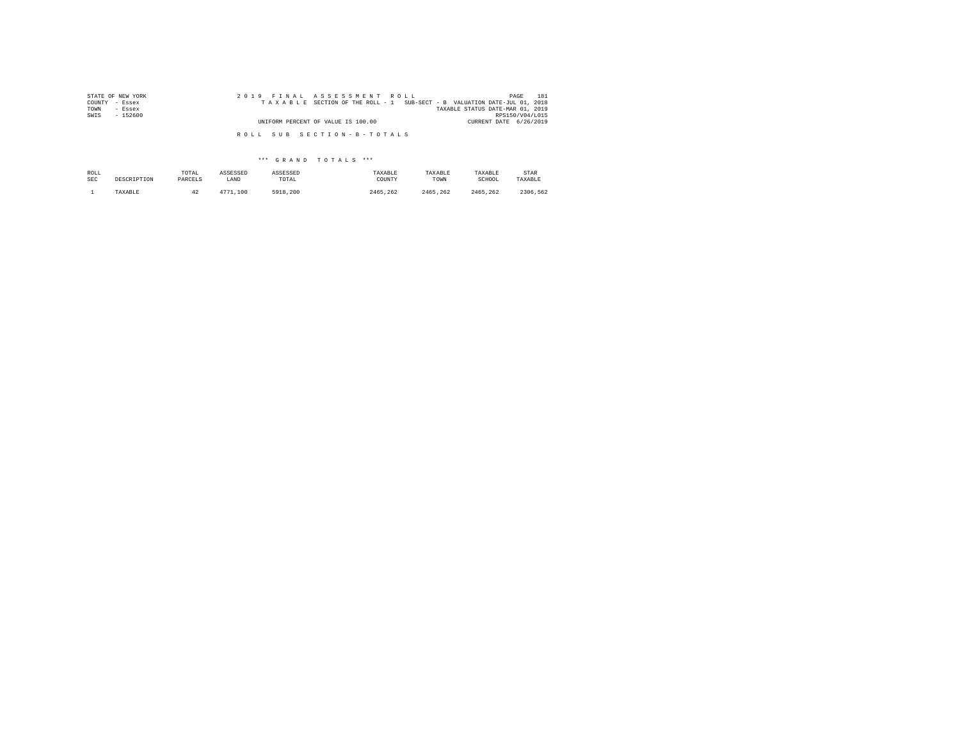| STATE OF NEW YORK | 2019 FINAL ASSESSMENT ROLL                                               | 181<br>PAGE                      |
|-------------------|--------------------------------------------------------------------------|----------------------------------|
| COUNTY - Essex    | TAXABLE SECTION OF THE ROLL - 1 SUB-SECT - B VALUATION DATE-JUL 01, 2018 |                                  |
| TOWN<br>- Essex   |                                                                          | TAXABLE STATUS DATE-MAR 01, 2019 |
| SWIS<br>$-152600$ |                                                                          | RPS150/V04/L015                  |
|                   | UNIFORM PERCENT OF VALUE IS 100.00                                       | CURRENT DATE 6/26/2019           |
|                   | ROLL SUB SECTION-B-TOTALS                                                |                                  |

| ROLL       | DESCRIPTION | TOTAL   | ASSESSED | ASSESSED | TAXABLE  | TAXABLE  | TAXABLE  | STAR     |
|------------|-------------|---------|----------|----------|----------|----------|----------|----------|
| <b>SEC</b> |             | PARCELS | LAND     | TOTAL    | COUNTY   | TOWN     | SCHOOL   | TAXABLE  |
|            | TAXABLE     | 42      | 4771.100 | 5918,200 | 2465.262 | 2465.262 | 2465.262 | 2306.562 |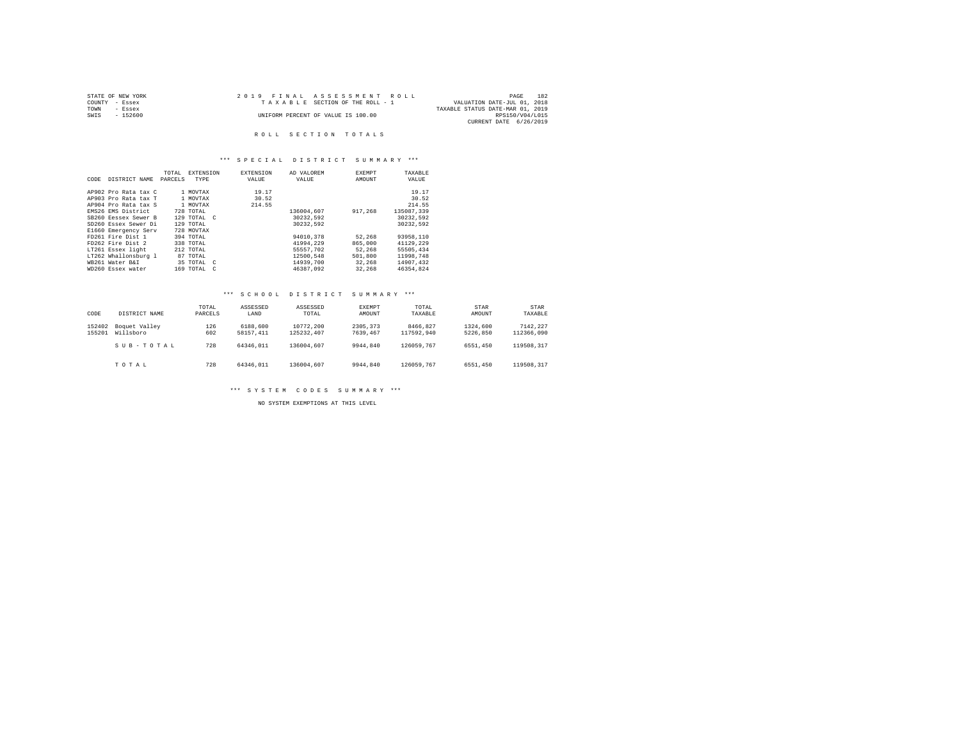| STATE OF NEW YORK | 2019 FINAL ASSESSMENT ROLL         | 182<br>PAGE                      |
|-------------------|------------------------------------|----------------------------------|
| COUNTY - Essex    | TAXABLE SECTION OF THE ROLL - 1    | VALUATION DATE-JUL 01, 2018      |
| TOWN<br>- Essex   |                                    | TAXABLE STATUS DATE-MAR 01, 2019 |
| - 152600<br>SWIS  | UNIFORM PERCENT OF VALUE IS 100.00 | RPS150/V04/L015                  |
|                   |                                    | CURRENT DATE 6/26/2019           |

## \*\*\* S P E C I A L D I S T R I C T S U M M A R Y \*\*\*

|      |                      | TOTAL   | <b>EXTENSION</b> | <b>EXTENSION</b> | AD VALOREM | <b>EXEMPT</b> | TAXABLE    |
|------|----------------------|---------|------------------|------------------|------------|---------------|------------|
| CODE | DISTRICT NAME        | PARCELS | TYPE             | VALUE            | VALUE      | AMOUNT        | VALUE      |
|      |                      |         |                  |                  |            |               |            |
|      | AP902 Pro Rata tax C |         | 1 MOVTAX         | 19.17            |            |               | 19.17      |
|      | AP903 Pro Rata tax T |         | 1 MOVTAX         | 30.52            |            |               | 30.52      |
|      | AP904 Pro Rata tax S |         | 1 MOVTAX         | 214.55           |            |               | 214.55     |
|      | EMS26 EMS District   |         | 728 TOTAL        |                  | 136004.607 | 917,268       | 135087.339 |
|      | SB260 Eessex Sewer B |         | 129 TOTAL C      |                  | 30232.592  |               | 30232.592  |
|      | SD260 Essex Sewer Di |         | 129 TOTAL        |                  | 30232.592  |               | 30232.592  |
|      | E1660 Emergency Serv |         | 728 MOVTAX       |                  |            |               |            |
|      | FD261 Fire Dist 1    |         | 394 TOTAL        |                  | 94010.378  | 52,268        | 93958,110  |
|      | FD262 Fire Dist 2    |         | 338 TOTAL        |                  | 41994.229  | 865,000       | 41129.229  |
|      | LT261 Essex light    |         | 212 TOTAL        |                  | 55557.702  | 52.268        | 55505.434  |
|      | LT262 Whallonsburg 1 |         | 87 TOTAL         |                  | 12500.548  | 501,800       | 11998.748  |
|      | WB261 Water B&I      |         | 35 TOTAL C       |                  | 14939,700  | 32,268        | 14907.432  |
|      | WD260 Essex water    |         | 169 TOTAL C      |                  | 46387.092  | 32,268        | 46354.824  |

#### \*\*\* S C H O O L D I S T R I C T S U M M A R Y \*\*\*

| CODE             | DISTRICT NAME              | TOTAL<br>PARCELS | ASSESSED<br>LAND      | ASSESSED<br>TOTAL       | <b>EXEMPT</b><br>AMOUNT | TOTAL<br>TAXABLE       | <b>STAR</b><br>AMOUNT | <b>STAR</b><br>TAXABLE |
|------------------|----------------------------|------------------|-----------------------|-------------------------|-------------------------|------------------------|-----------------------|------------------------|
| 152402<br>155201 | Boquet Valley<br>Willsboro | 126<br>602       | 6188,600<br>58157.411 | 10772,200<br>125232.407 | 2305.373<br>7639.467    | 8466.827<br>117592.940 | 1324,600<br>5226.850  | 7142.227<br>112366.090 |
|                  | SUB-TOTAL                  | 728              | 64346.011             | 136004.607              | 9944.840                | 126059.767             | 6551,450              | 119508.317             |
|                  | TOTAL                      | 728              | 64346.011             | 136004.607              | 9944.840                | 126059.767             | 6551,450              | 119508.317             |

\*\*\* S Y S T E M C O D E S S U M M A R Y \*\*\*

NO SYSTEM EXEMPTIONS AT THIS LEVEL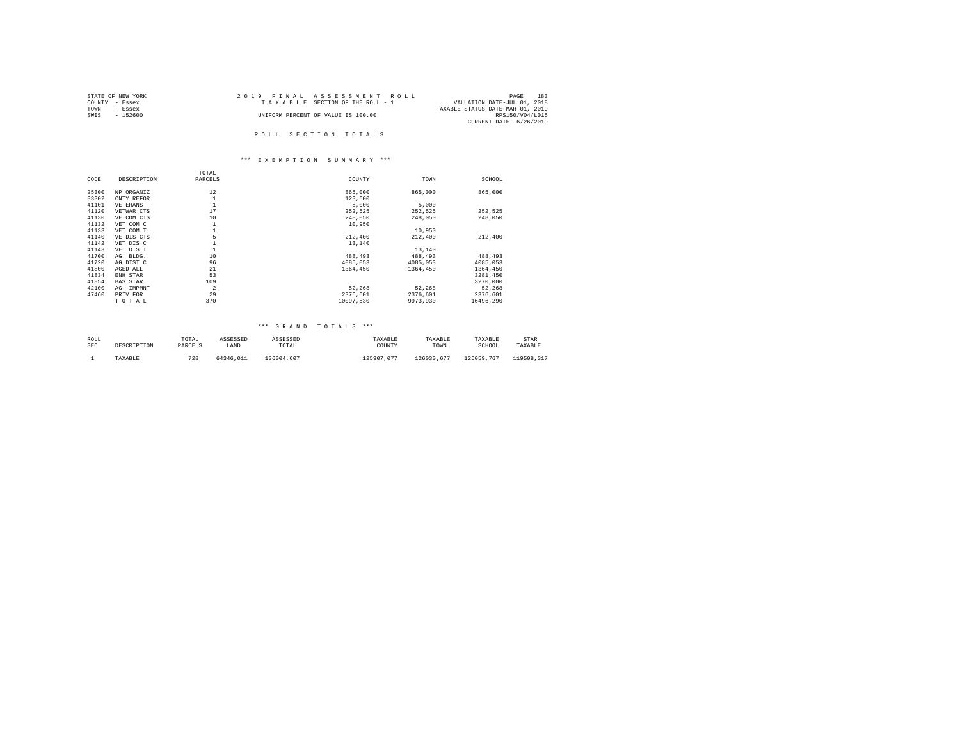| STATE OF NEW YORK | 2019 FINAL ASSESSMENT ROLL         | 183<br>PAGE                      |
|-------------------|------------------------------------|----------------------------------|
| COUNTY - Essex    | TAXABLE SECTION OF THE ROLL - 1    | VALUATION DATE-JUL 01, 2018      |
| TOWN<br>- Essex   |                                    | TAXABLE STATUS DATE-MAR 01, 2019 |
| SWIS<br>- 152600  | UNIFORM PERCENT OF VALUE IS 100.00 | RPS150/V04/L015                  |
|                   |                                    | CURRENT DATE 6/26/2019           |
|                   |                                    |                                  |
|                   | ROLL SECTION TOTALS                |                                  |

# \*\*\* E X E M P T I O N S U M M A R Y \*\*\*

|                 | TOTAL          |           |          |           |
|-----------------|----------------|-----------|----------|-----------|
| DESCRIPTION     | PARCELS        | COUNTY    | TOWN     | SCHOOL    |
| NP ORGANIZ      | 12             | 865,000   | 865,000  | 865,000   |
| CNTY REFOR      | $\mathbf{1}$   | 123,600   |          |           |
| VETERANS        | $\mathbf{1}$   | 5,000     | 5,000    |           |
| VETWAR CTS      | 17             | 252.525   | 252.525  | 252,525   |
| VETCOM CTS      | 10             | 248,050   | 248,050  | 248,050   |
| VET COM C       | $\,1\,$        | 10,950    |          |           |
| VET COM T       | $\mathbf{1}$   |           | 10,950   |           |
| VETDIS CTS      | 5              | 212,400   | 212,400  | 212,400   |
| VET DIS C       | $\mathbf{1}$   | 13,140    |          |           |
| VET DIS T       | $\mathbf{1}$   |           | 13,140   |           |
| AG. BLDG.       | 10             | 488,493   | 488,493  | 488,493   |
| AG DIST C       | 96             | 4085,053  | 4085,053 | 4085,053  |
| AGED ALL        | 21             | 1364,450  | 1364,450 | 1364,450  |
| ENH STAR        | 53             |           |          | 3281.450  |
| <b>BAS STAR</b> | 109            |           |          | 3270,000  |
| AG. IMPMNT      | $\overline{2}$ | 52.268    | 52.268   | 52,268    |
| PRIV FOR        | 29             | 2376.601  | 2376.601 | 2376,601  |
| TOTAL           | 370            | 10097.530 | 9973,930 | 16496.290 |
|                 |                |           |          |           |

| ROLL | DESCRIPTION | TOTAL   | ASSESSED  | ASSESSED   | TAXABLE    | TAXABLE    | TAXABLE    | STAR       |
|------|-------------|---------|-----------|------------|------------|------------|------------|------------|
| SEC  |             | PARCELS | LAND      | TOTAL      | COUNTY     | TOWN       | SCHOOL     | TAXABLE    |
|      | TAXABLE     | 728     | 64346.011 | 136004.607 | 125907.077 | 126030.677 | 126059.767 | 119508.317 |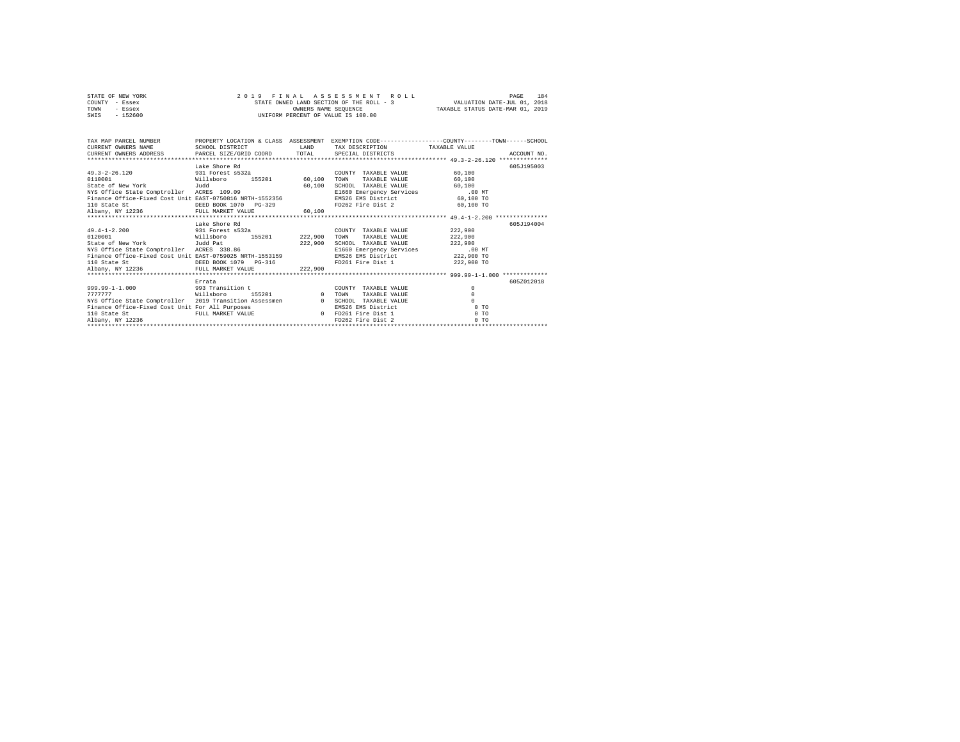| STATE OF NEW YORK |           |  |  | 2019 FINAL ASSESSMENT ROLL               |                                  | PAGE                        | 184 |
|-------------------|-----------|--|--|------------------------------------------|----------------------------------|-----------------------------|-----|
| COUNTY - Essex    |           |  |  | STATE OWNED LAND SECTION OF THE ROLL - 3 |                                  | VALUATION DATE-JUL 01, 2018 |     |
| TOWN              | - Essex   |  |  | OWNERS NAME SEOUENCE                     | TAXABLE STATUS DATE-MAR 01, 2019 |                             |     |
| SWIS              | $-152600$ |  |  | UNIFORM PERCENT OF VALUE IS 100.00       |                                  |                             |     |

| TAX MAP PARCEL NUMBER                                                                          |                                                                                    |               |                                 | PROPERTY LOCATION & CLASS ASSESSMENT EXEMPTION CODE----------------COUNTY-------TOWN-----SCHOOL |
|------------------------------------------------------------------------------------------------|------------------------------------------------------------------------------------|---------------|---------------------------------|-------------------------------------------------------------------------------------------------|
|                                                                                                |                                                                                    |               | TAX DESCRIPTION TAXABLE VALUE   |                                                                                                 |
|                                                                                                |                                                                                    |               |                                 | ACCOUNT NO.                                                                                     |
|                                                                                                |                                                                                    |               |                                 |                                                                                                 |
|                                                                                                | Lake Shore Rd                                                                      |               |                                 | 605J195003                                                                                      |
| $49.3 - 2 - 26.120$<br>931 Forest s532a                                                        |                                                                                    |               | COUNTY TAXABLE VALUE            | 60,100                                                                                          |
| Willsboro<br>0110001                                                                           |                                                                                    | 155201 60.100 | TAXABLE VALUE<br>TOWN           | 60,100                                                                                          |
| State of New York [Judd                                                                        |                                                                                    | 60,100        | SCHOOL TAXABLE VALUE            | 60,100                                                                                          |
| NYS Office State Comptroller ACRES 109.09                                                      |                                                                                    |               | E1660 Emergency Services .00 MT |                                                                                                 |
| Finance Office-Fixed Cost Unit EAST-0750816 NRTH-1552356                                       |                                                                                    |               | EMS26 EMS District 60,100 TO    |                                                                                                 |
| 110 State St                                                                                   | DEED BOOK 1070 PG-329                                                              |               | FD262 Fire Dist 2 60,100 TO     |                                                                                                 |
| Albany, NY 12236 FULL MARKET VALUE                                                             |                                                                                    | 60.100        |                                 |                                                                                                 |
|                                                                                                |                                                                                    |               |                                 |                                                                                                 |
|                                                                                                | Lake Shore Rd                                                                      |               |                                 | 605J194004                                                                                      |
| 49.4-1-2.200 931 Forest s532a                                                                  |                                                                                    |               | COUNTY TAXABLE VALUE            | 222,900                                                                                         |
| willsboro<br>0120001                                                                           | 155201 222,900                                                                     |               | TAXABLE VALUE<br>TOWN           | 222,900                                                                                         |
| State of New York Judd Pat 38.86 222,900<br>NYS Office State Comptroller ACRES 338.86          |                                                                                    |               | SCHOOL TAXABLE VALUE            | 222,900                                                                                         |
|                                                                                                |                                                                                    |               | E1660 Emergency Services .00 MT |                                                                                                 |
| Finance Office-Fixed Cost Unit EAST-0759025 NRTH-1553159<br>110 State St DEED BOOK 1079 PG-316 |                                                                                    |               | EMS26 EMS District              | 222,900 TO                                                                                      |
|                                                                                                |                                                                                    |               | FD261 Fire Dist 1 222,900 TO    |                                                                                                 |
| Albany, NY 12236 FULL MARKET VALUE                                                             |                                                                                    | 222,900       |                                 |                                                                                                 |
|                                                                                                |                                                                                    |               |                                 |                                                                                                 |
|                                                                                                | Errata                                                                             |               |                                 | 605Z012018                                                                                      |
| 999.99-1-1.000 993 Transition t                                                                | $\frac{155201}{0}$                                                                 |               | COUNTY TAXABLE VALUE            | $^{\circ}$                                                                                      |
| 7777777<br>willsboro                                                                           |                                                                                    |               | TOWN<br>TAXABLE VALUE           | $\circ$                                                                                         |
| NYS Office State Comptroller 2019 Transition Assessmen 0                                       |                                                                                    |               | SCHOOL TAXABLE VALUE            | $\Omega$                                                                                        |
| Finance Office-Fixed Cost Unit For All Purposes                                                |                                                                                    |               | EMS26 EMS District              | $0$ TO                                                                                          |
| 110 State St                                                                                   |                                                                                    |               |                                 | 0.70                                                                                            |
| Albany, NY 12236                                                                               | FULL MARKET VALUE<br>0 FD261 Fire Dist 1<br>FD262 Fire Dist 1<br>FD262 Fire Dist 2 |               |                                 | 0.70                                                                                            |
|                                                                                                |                                                                                    |               |                                 |                                                                                                 |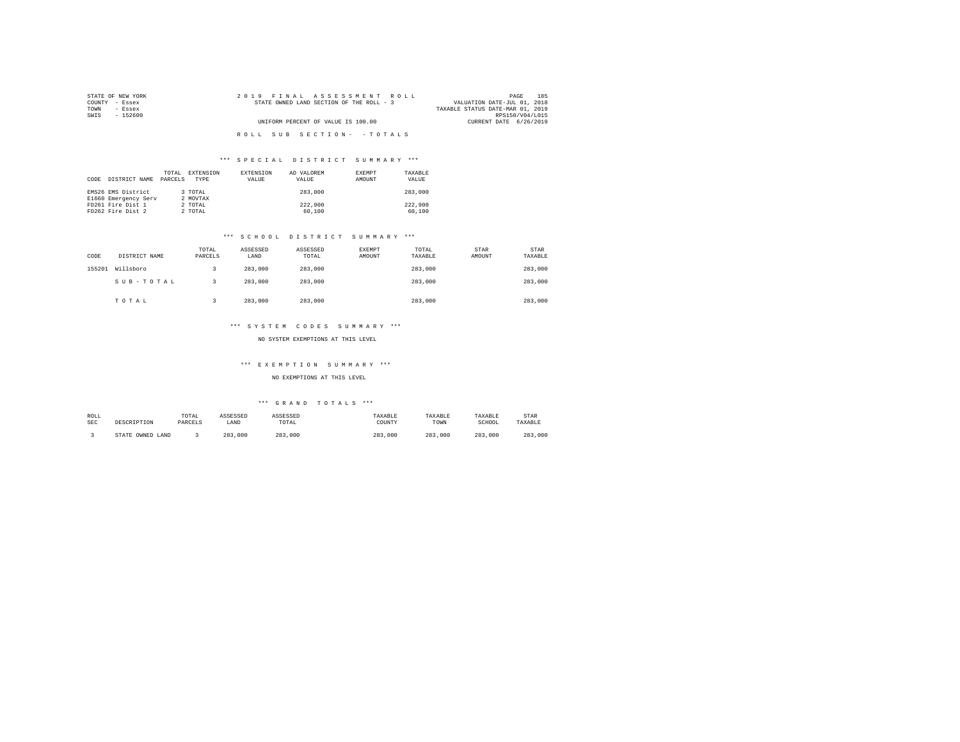| STATE OF NEW YORK | 2019 FINAL ASSESSMENT ROLL               | 185<br>PAGE                      |
|-------------------|------------------------------------------|----------------------------------|
| COUNTY - Essex    | STATE OWNED LAND SECTION OF THE ROLL - 3 | VALUATION DATE-JUL 01, 2018      |
| TOWN<br>- Essex   |                                          | TAXABLE STATUS DATE-MAR 01, 2019 |
| SWIS<br>- 152600  |                                          | RPS150/V04/L015                  |
|                   | UNIFORM PERCENT OF VALUE IS 100.00       | CURRENT DATE 6/26/2019           |
|                   |                                          |                                  |
|                   | ROLL SUB SECTION- - TOTALS               |                                  |

| CODE | DISTRICT NAME                              | TOTAL<br>PARCELS | EXTENSION<br>TYPR   | <b>EXTENSION</b><br>VALUE | AD VALOREM<br>VALUE | EXEMPT<br>AMOUNT | TAXARLE<br>VALUE  |
|------|--------------------------------------------|------------------|---------------------|---------------------------|---------------------|------------------|-------------------|
|      | EMS26 EMS District<br>E1660 Emergency Serv |                  | 3 TOTAL<br>2 MOVTAX |                           | 283,000             |                  | 283,000           |
|      | FD261 Fire Dist 1<br>FD262 Fire Dist 2     |                  | 2 TOTAL<br>2 TOTAL  |                           | 222,900<br>60,100   |                  | 222,900<br>60,100 |

### \*\*\* S C H O O L D I S T R I C T S U M M A R Y \*\*\*

| CODE   | DISTRICT NAME | TOTAL<br>PARCELS | ASSESSED<br>LAND | ASSESSED<br>TOTAL | EXEMPT<br>AMOUNT | TOTAL<br>TAXABLE | STAR<br>AMOUNT | STAR<br>TAXABLE |
|--------|---------------|------------------|------------------|-------------------|------------------|------------------|----------------|-----------------|
| 155201 | Willsboro     |                  | 283,000          | 283,000           |                  | 283,000          |                | 283,000         |
|        | SUB-TOTAL     |                  | 283,000          | 283,000           |                  | 283,000          |                | 283,000         |
|        | TOTAL         |                  | 283,000          | 283,000           |                  | 283,000          |                | 283,000         |

## \*\*\* S Y S T E M C O D E S S U M M A R Y \*\*\*

#### NO SYSTEM EXEMPTIONS AT THIS LEVEL

### \*\*\* E X E M P T I O N S U M M A R Y \*\*\*

### NO EXEMPTIONS AT THIS LEVEL

| ROLL<br><b>SEC</b> | DESCRIPTION      | TOTAL<br>PARCELS | ASSESSED<br>LAND | ASSESSED<br>TOTAL | TAXABLE<br>COUNTY | TAXABLE<br>TOWN | TAXABLE<br>SCHOOL | <b>STAR</b><br>TAXABLE |
|--------------------|------------------|------------------|------------------|-------------------|-------------------|-----------------|-------------------|------------------------|
|                    | STATE OWNED LAND |                  | 283<br>.000      | 283,000           | 283.<br>.000      | 283<br>.000     | 283<br>,000       | 283,000                |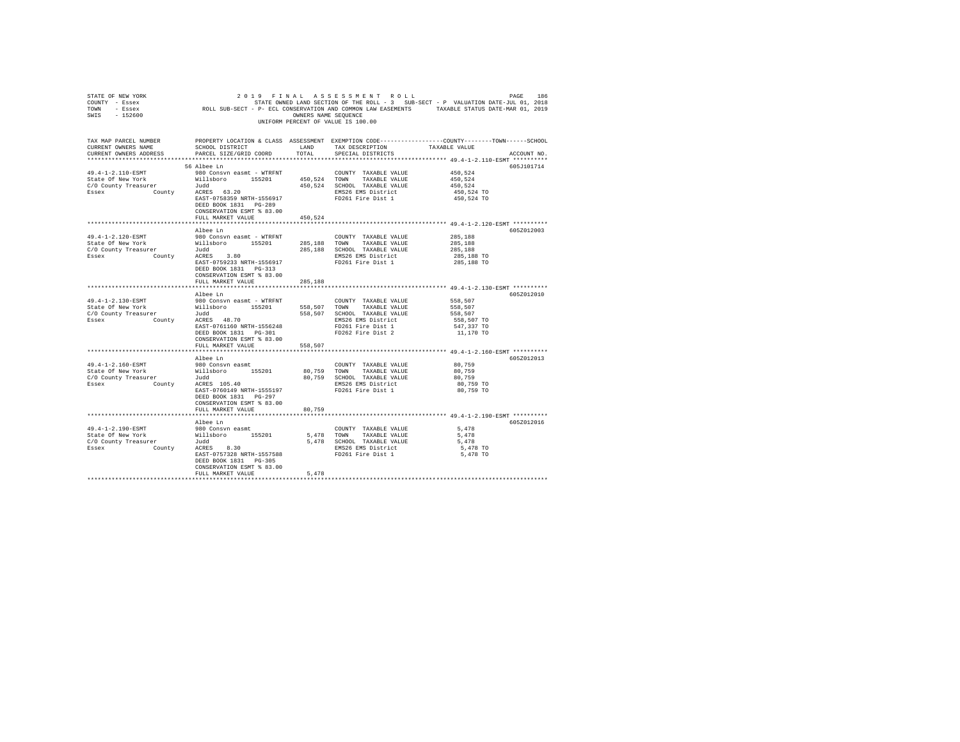| STATE OF NEW YORK<br>COUNTY - Essex<br>TOWN - Essex<br>SWIS - 152600                                                                                                                                                                                      |                                                                                                                                                                       | OWNERS NAME SEQUENCE | 2019 FINAL ASSESSMENT ROLL<br>UNIFORM PERCENT OF VALUE IS 100.00                                                          | PAGE<br>186<br>PAGE 186 PINAL ASSESSMENT ROLL<br>STATE SONNED LAND SECTION OF THE ROLL - 3 SUB-SECT - P VALUATION DATE-JUL 01, 2018<br>ROLL SUB-SECT - P- ECL CONSERVATION AND COMMON LAW EASEMENTS TAXABLE STATUS DATE-MAR 01, 2019 |
|-----------------------------------------------------------------------------------------------------------------------------------------------------------------------------------------------------------------------------------------------------------|-----------------------------------------------------------------------------------------------------------------------------------------------------------------------|----------------------|---------------------------------------------------------------------------------------------------------------------------|--------------------------------------------------------------------------------------------------------------------------------------------------------------------------------------------------------------------------------------|
| TAX MAP PARCEL NUMBER<br>CURRENT OWNERS NAME<br>CURRENT OWNERS ADDRESS PARCEL SIZE/GRID COORD TOTAL                                                                                                                                                       | SCHOOL DISTRICT LAND                                                                                                                                                  |                      | TAX DESCRIPTION<br>SPECIAL DISTRICTS                                                                                      | PROPERTY LOCATION & CLASS ASSESSMENT EXEMPTION CODE----------------COUNTY-------TOWN-----SCHOOL<br>TAXABLE VALUE<br>ACCOUNT NO.                                                                                                      |
|                                                                                                                                                                                                                                                           | 56 Albee Ln<br>ACRES 63.20<br>EAST-0758359 NRTH-1556917<br>DEED BOOK 1831 PG-289<br>CONSERVATION ESMT % 83.00                                                         |                      | FD261 Fire Dist 1                                                                                                         | 605J101714<br>450,524<br>450.524<br>450,524<br>450,524 TO<br>450,524 TO                                                                                                                                                              |
|                                                                                                                                                                                                                                                           | FULL MARKET VALUE                                                                                                                                                     | 450.524              |                                                                                                                           |                                                                                                                                                                                                                                      |
| 49.4-1-2.120-ESMT<br>State of New York Millsboro 155201 285,188 TOWN 716301 285,188 TOWN 716361 205,188 CHOOL 205,188 205001 205,188 205001 2051                                                                                                          | Albee Ln<br>980 Consvn easmt - WTRFNT<br>EAST-0759233 NRTH-1556917<br>DEED BOOK 1831    PG-313<br>CONSERVATION ESMT % 83.00                                           |                      | COUNTY TAXABLE VALUE<br>TAXABLE VALUE<br>285,188 SCHOOL TAXABLE VALUE<br>EMS26 EMS District<br>FD261 Fire Dist 1          | 605Z012003<br>285,188<br>285,188<br>285,188<br>285,188 TO<br>285,188 TO                                                                                                                                                              |
|                                                                                                                                                                                                                                                           | FULL MARKET VALUE                                                                                                                                                     | 285,188              |                                                                                                                           |                                                                                                                                                                                                                                      |
|                                                                                                                                                                                                                                                           | Albee Ln                                                                                                                                                              |                      |                                                                                                                           | 605Z012010                                                                                                                                                                                                                           |
| 49.4-1-2.130-ESMT<br>1971, 1992, 2008, 2008, 2008, 2008, 2008, 2008, 2008, 2008, 2008, 2008, 2008, 2008, 2008, 2008, 2008, 2008, 20<br>1970, 2008, 2008, 2008, 2008, 2008, 2008, 2008, 2008, 2008, 2008, 2008, 2008, 2009, 2008, 2009, 2009, 2009, 2<br>1 | 980 Consvn easmt - WTRFNT<br>EAST-0761160 NRTH-1556248 FD261 Fire Dist 1<br>DEED BOOK 1831 PG-301 FD262 Fire Dist 2<br>CONSERVATION ESMT % 83.00<br>FULL MARKET VALUE | 558,507              | COUNTY TAXABLE VALUE<br>TAXABLE VALUE<br>558,507 SCHOOL TAXABLE VALUE<br>EMS26 EMS District                               | 558,507<br>558,507<br>558,507<br>558,507 TO<br>547,337 TO<br>11,170 TO                                                                                                                                                               |
|                                                                                                                                                                                                                                                           |                                                                                                                                                                       |                      |                                                                                                                           |                                                                                                                                                                                                                                      |
| 49.4-1-2.160-ESMT<br>State Of New York (Willsboro Casus Company Treasure Tudd<br>C/O COunty Treasurer (Tudd Tudd Rasex<br>$C/O$ County Treasurer $Judd$<br>Essex $County$ ACRES 105.40                                                                    | Albee Ln<br>980 Consvn easmt<br>EAST-0760149 NRTH-1555197 FD261 Fire Dist 1<br>DEED BOOK 1831 PG-297<br>CONSERVATION ESMT % 83.00<br>FULL MARKET VALUE                | 80,759               | COUNTY TAXABLE VALUE 80,759<br>80.759 TOWN TAXABLE VALUE<br>80,759 SCHOOL TAXABLE VALUE<br>EMS26 EMS District             | 605Z012013<br>80,759<br>80,759<br>80.759 TO<br>80,759 TO                                                                                                                                                                             |
|                                                                                                                                                                                                                                                           |                                                                                                                                                                       |                      |                                                                                                                           | ******************************* 49.4-1-2.190-ESMT **********                                                                                                                                                                         |
| 49.4-1-2.190-ESMT<br>State Of New York Millsboro 155201<br>C/O County Treasurer 100d<br>Essex County ACRES 8.30                                                                                                                                           | Albee Ln<br>980 Consvn easmt<br>EAST-0757328 NRTH-1557588<br>DEED BOOK 1831 PG-305<br>CONSERVATION ESMT % 83.00<br>FULL MARKET VALUE                                  | 5.478                | COUNTY TAXABLE VALUE<br>5,478 TOWN TAXABLE VALUE<br>5,478 SCHOOL TAXABLE VALUE<br>EMS26 EMS District<br>FD261 Fire Dist 1 | 605Z012016<br>5,478<br>5,478<br>5,478<br>5,478 TO<br>5,478 TO                                                                                                                                                                        |
|                                                                                                                                                                                                                                                           |                                                                                                                                                                       | **************       |                                                                                                                           |                                                                                                                                                                                                                                      |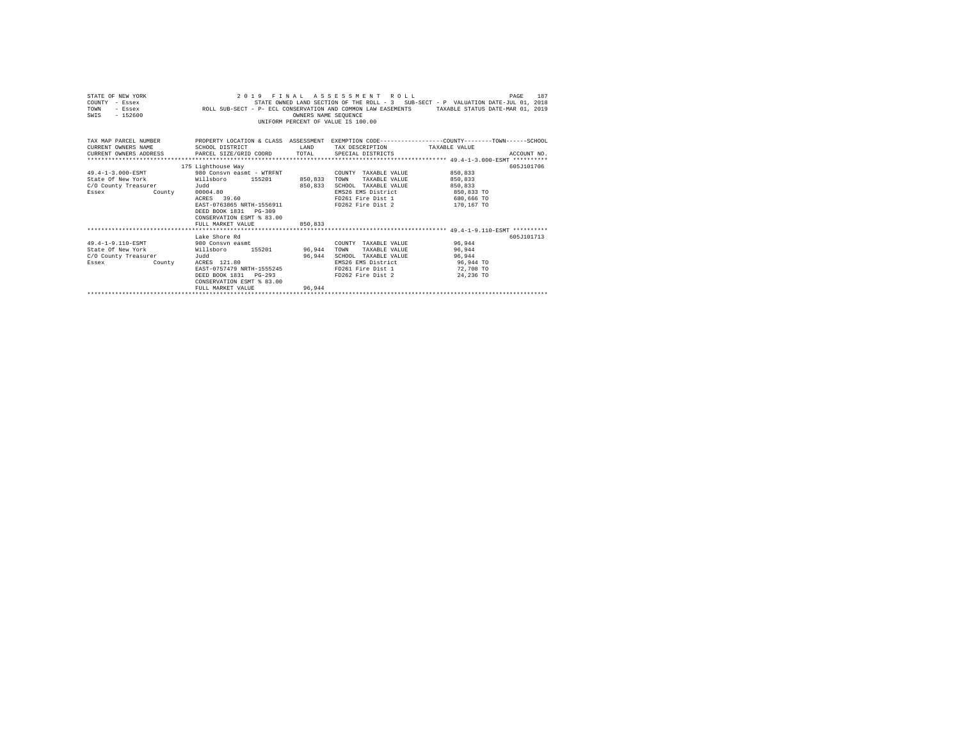| STATE OF NEW YORK<br>COUNTY - Essex<br>- Essex<br>TOWN<br>$-152600$<br>SWTS                                                                                                                        | STATE OWNED EXAMED LAND SECTION OF THE ROLL - 3 SUB-SECT - P VALUATION DATE-JUL 01, 2018<br>ROLL SUB-SECT - P- ECL CONSERVATION AND COMMON LAW EASEMENTS TRAXABLE STATUS DATE-MAR 01, 2019                   | OWNERS NAME SEOUENCE | 2019 FINAL ASSESSMENT ROLL<br>STATE OWNED LAND SECTION OF THE ROLL - 3 SUB-SECT - P VALUATION DATE-JUL 01, 2018<br>UNIFORM PERCENT OF VALUE IS 100.00 |                                                           | 187<br>PAGE |
|----------------------------------------------------------------------------------------------------------------------------------------------------------------------------------------------------|--------------------------------------------------------------------------------------------------------------------------------------------------------------------------------------------------------------|----------------------|-------------------------------------------------------------------------------------------------------------------------------------------------------|-----------------------------------------------------------|-------------|
| TAX MAP PARCEL NUMBER PROPERTY LOCATION & CLASS ASSESSMENT EXEMPTION CODE--------------COUNTY-------TOWN------SCHOOL<br>CURRENT OWNERS NAME<br>CURRENT OWNERS ADDRESS PARCEL SIZE/GRID COORD TOTAL | SCHOOL DISTRICT<br><b>LAND</b>                                                                                                                                                                               |                      | TAX DESCRIPTION TAXABLE VALUE<br>SPECIAL DISTRICTS                                                                                                    |                                                           | ACCOUNT NO. |
| 49.4-1-3.000-ESMT<br>State Of New York 6 155201 850.833<br>C/O County Treasurer<br>Essex<br>County                                                                                                 | 175 Lighthouse Way<br>980 Consyn easmt - WTRFNT<br>Judd<br>00004.80<br>ACRES 39.60<br>EAST-0763865 NRTH-1556911 FD262 Fire Dist 2<br>DEED BOOK 1831 PG-309<br>CONSERVATION ESMT & 83.00<br>FULL MARKET VALUE | 850,833<br>850,833   | COUNTY TAXABLE VALUE<br>TAXABLE VALUE<br>TOWN<br>SCHOOL TAXABLE VALUE<br>EMS26 EMS District<br>FD261 Fire Dist 1 680,666 TO                           | 850,833<br>850,833<br>850,833<br>850,833 TO<br>170,167 TO | 605J101706  |
| 49.4-1-9.110-ESMT 980 Consyn easmt<br>State Of New York 6 Willsboro 155201 96.944<br>C/O County Treasurer<br>County<br>Essex                                                                       | Lake Shore Rd<br>Judd<br>ACRES 121.80<br>EAST-0757479 NRTH-1555245<br>DEED BOOK 1831 PG-293<br>CONSERVATION ESMT % 83.00<br>FULL MARKET VALUE                                                                | 96.944<br>96.944     | COUNTY TAXABLE VALUE 96,944<br>TAXABLE VALUE<br>TOWN<br>SCHOOL TAXABLE VALUE<br>EMS26 EMS District<br>FD261 Fire Dist 1<br>FD262 Fire Dist 2          | 96.944<br>96,944<br>96,944 TO<br>72,708 TO<br>24,236 TO   | 605.T101713 |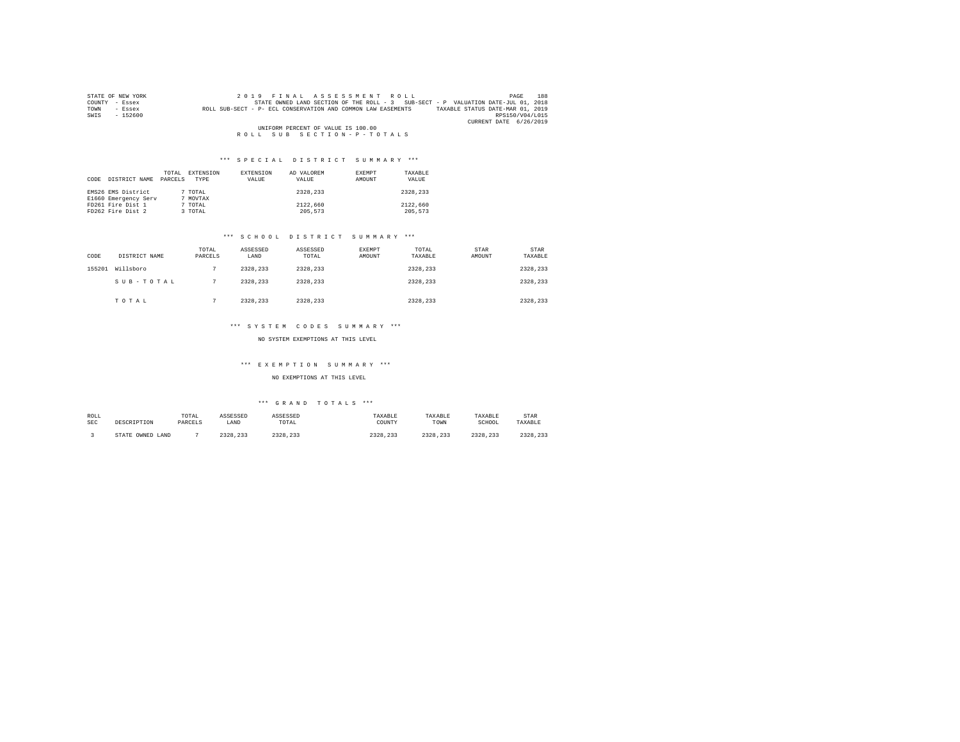|                | STATE OF NEW YORK                  | 2019 FINAL ASSESSMENT ROLL                                                                       | PAGE            | 188 |  |  |  |
|----------------|------------------------------------|--------------------------------------------------------------------------------------------------|-----------------|-----|--|--|--|
| COUNTY - Essex |                                    | STATE OWNED LAND SECTION OF THE ROLL - 3 SUB-SECT - P VALUATION DATE-JUL 01, 2018                |                 |     |  |  |  |
| TOWN           | - Essex                            | TAXABLE STATUS DATE-MAR 01, 2019<br>ROLL SUB-SECT - P- ECL CONSERVATION AND COMMON LAW EASEMENTS |                 |     |  |  |  |
| SWIS           | $-152600$                          |                                                                                                  | RPS150/V04/L015 |     |  |  |  |
|                |                                    | CURRENT DATE 6/26/2019                                                                           |                 |     |  |  |  |
|                | UNIFORM PERCENT OF VALUE IS 100.00 |                                                                                                  |                 |     |  |  |  |
|                |                                    | ROLL SUB SECTION-P-TOTALS                                                                        |                 |     |  |  |  |

| CODE | DISTRICT NAME        | TOTAL<br>PARCELS | EXTENSION<br><b>TYPE</b> | EXTENSION<br>VALUE | AD VALOREM<br>VALUE | <b>EXEMPT</b><br>AMOUNT | TAXARLE<br>VALUE |
|------|----------------------|------------------|--------------------------|--------------------|---------------------|-------------------------|------------------|
|      | EMS26 EMS District   |                  | 7 TOTAL                  |                    | 2328,233            |                         | 2328.233         |
|      | E1660 Emergency Serv |                  | 7 MOVTAX                 |                    |                     |                         |                  |
|      | FD261 Fire Dist 1    |                  | 7 TOTAL                  |                    | 2122,660            |                         | 2122,660         |
|      | FD262 Fire Dist 2    |                  | 3 TOTAL                  |                    | 205,573             |                         | 205.573          |

# \*\*\* S C H O O L D I S T R I C T S U M M A R Y \*\*\*

| CODE   | DISTRICT NAME | TOTAL<br>PARCELS | ASSESSED<br>LAND | ASSESSED<br>TOTAL | EXEMPT<br>AMOUNT | TOTAL<br>TAXABLE | STAR<br>AMOUNT | STAR<br>TAXABLE |
|--------|---------------|------------------|------------------|-------------------|------------------|------------------|----------------|-----------------|
| 155201 | Willsboro     |                  | 2328.233         | 2328,233          |                  | 2328.233         |                | 2328.233        |
|        | SUB-TOTAL     |                  | 2328.233         | 2328,233          |                  | 2328.233         |                | 2328.233        |
|        | TOTAL         |                  | 2328.233         | 2328,233          |                  | 2328.233         |                | 2328.233        |

# \*\*\* S Y S T E M C O D E S S U M M A R Y \*\*\*

#### NO SYSTEM EXEMPTIONS AT THIS LEVEL

# \*\*\* E X E M P T I O N S U M M A R Y \*\*\*

### NO EXEMPTIONS AT THIS LEVEL

| ROLL<br><b>SEC</b> | DESCRIPTION      | TOTAL<br>PARCELS | ASSESSED<br>LAND | ASSESSED<br>TOTAL    | TAXABLE<br>COUNTY | TAXABLE<br>TOWN | TAXABLE<br>SCHOOL | <b>STAR</b><br>TAXABLE |
|--------------------|------------------|------------------|------------------|----------------------|-------------------|-----------------|-------------------|------------------------|
|                    | STATE OWNED LAND |                  | 2328.233         | 2328 233<br>2320.233 | 2328.233          | 2328.233        | 2328.233          | 2328.233               |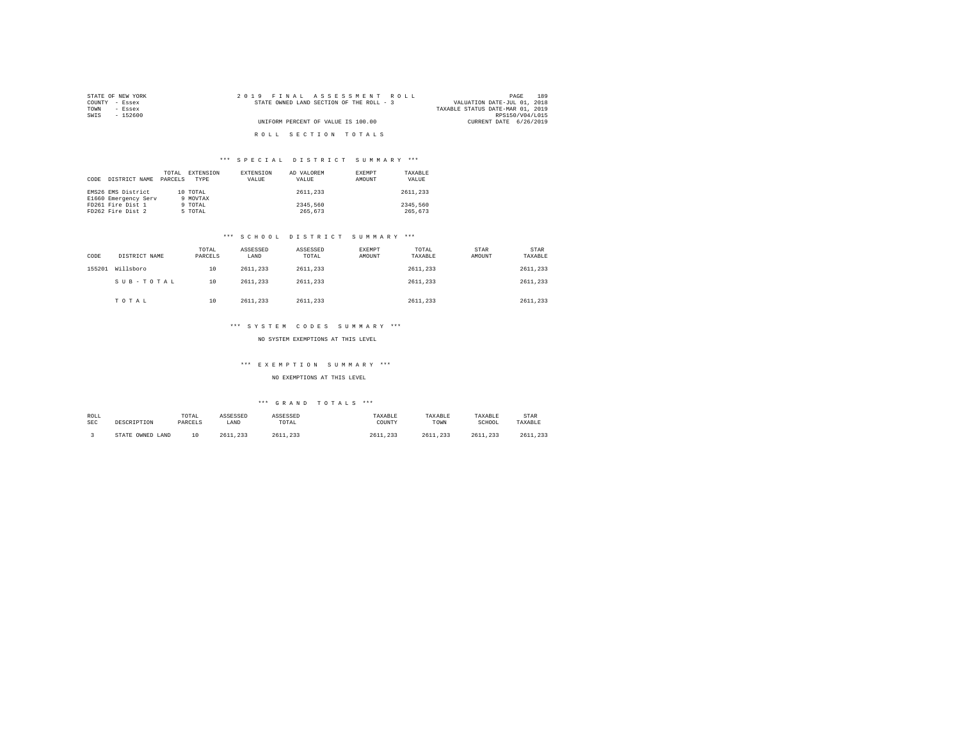| STATE OF NEW YORK | 2019 FINAL ASSESSMENT ROLL               | 189<br>PAGE                      |
|-------------------|------------------------------------------|----------------------------------|
| COUNTY<br>- Essex | STATE OWNED LAND SECTION OF THE ROLL - 3 | VALUATION DATE-JUL 01, 2018      |
| TOWN<br>- Essex   |                                          | TAXABLE STATUS DATE-MAR 01, 2019 |
| SWIS<br>$-152600$ |                                          | RPS150/V04/L015                  |
|                   | UNIFORM PERCENT OF VALUE IS 100.00       | CURRENT DATE 6/26/2019           |
|                   |                                          |                                  |
|                   | ROLL SECTION TOTALS                      |                                  |

| CODE | DISTRICT NAME                              | TOTAL<br>PARCELS | EXTENSION<br><b>TYPE</b> | <b>EXTENSION</b><br>VALUE | AD VALOREM<br>VALUE | EXEMPT<br>AMOUNT | TAXABLE<br>VALUE    |
|------|--------------------------------------------|------------------|--------------------------|---------------------------|---------------------|------------------|---------------------|
|      | EMS26 EMS District<br>E1660 Emergency Serv |                  | 10 TOTAL<br>9 MOVTAX     |                           | 2611.233            |                  | 2611,233            |
|      | FD261 Fire Dist 1<br>FD262 Fire Dist 2     |                  | 9 TOTAL<br>5 TOTAL       |                           | 2345,560<br>265.673 |                  | 2345.560<br>265.673 |

# \*\*\* S C H O O L D I S T R I C T S U M M A R Y \*\*\*

| CODE   | DISTRICT NAME | TOTAL<br>PARCELS | ASSESSED<br>LAND | ASSESSED<br>TOTAL | <b>EXEMPT</b><br>AMOUNT | TOTAL<br>TAXABLE | STAR<br>AMOUNT | STAR<br>TAXABLE |
|--------|---------------|------------------|------------------|-------------------|-------------------------|------------------|----------------|-----------------|
| 155201 | Willsboro     | 10               | 2611.233         | 2611.233          |                         | 2611.233         |                | 2611,233        |
|        | SUB-TOTAL     | 10               | 2611.233         | 2611,233          |                         | 2611.233         |                | 2611,233        |
|        | TOTAL         | 10               | 2611.233         | 2611.233          |                         | 2611,233         |                | 2611,233        |

# \*\*\* S Y S T E M C O D E S S U M M A R Y \*\*\*

#### NO SYSTEM EXEMPTIONS AT THIS LEVEL

# \*\*\* E X E M P T I O N S U M M A R Y \*\*\*

NO EXEMPTIONS AT THIS LEVEL

| ROLL<br><b>SEC</b> | DESCRIPTION      | TOTAL<br>PARCELS | ASSESSED<br>LAND | ASSESSED<br>TOTAL | TAXABLE<br>COUNTY | TAXABLE<br>TOWN | TAXABLE<br>SCHOOL | <b>STAR</b><br>TAXABLE |
|--------------------|------------------|------------------|------------------|-------------------|-------------------|-----------------|-------------------|------------------------|
|                    | STATE OWNED LAND | $1 \Omega$       | 2611.233         | 2611.233<br>- 222 | 2611.233          | 2611.233        | 2611.233          | 2611.233               |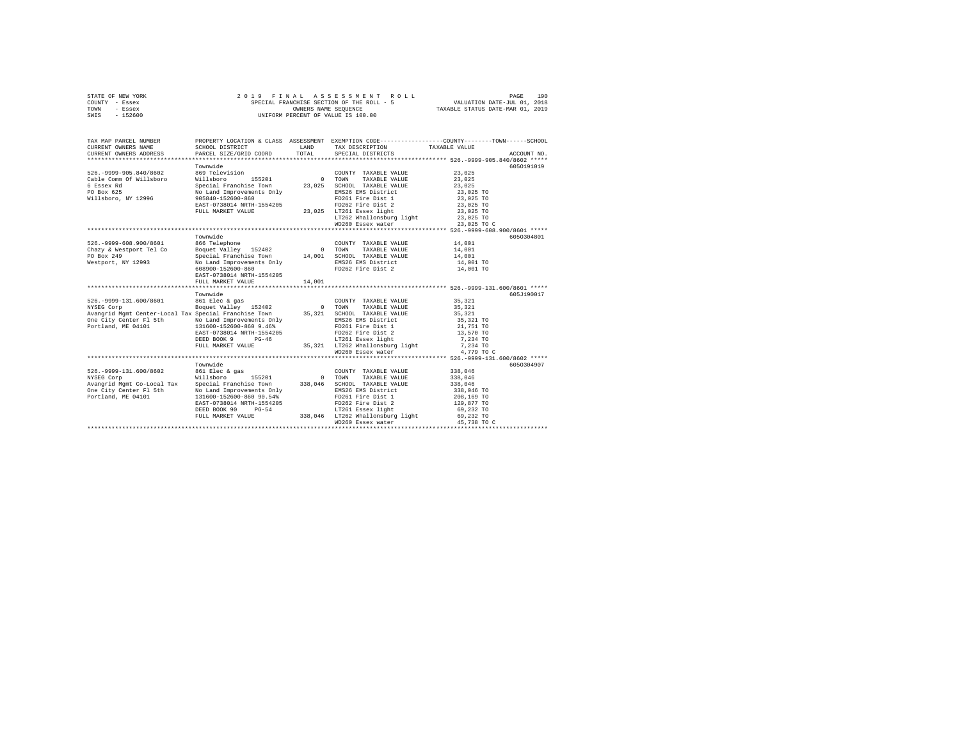|                | STATE OF NEW YORK |  | 2019 FINAL ASSESSMENT ROLL                |                                  | PAGE                        | 190 |
|----------------|-------------------|--|-------------------------------------------|----------------------------------|-----------------------------|-----|
| COUNTY - Essex |                   |  | SPECIAL FRANCHISE SECTION OF THE ROLL - 5 |                                  | VALUATION DATE-JUL 01, 2018 |     |
| TOWN           | - Essex           |  | OWNERS NAME SEOUENCE                      | TAXABLE STATUS DATE-MAR 01, 2019 |                             |     |
| SWIS           | - 152600          |  | UNIFORM PERCENT OF VALUE IS 100.00        |                                  |                             |     |

| TAX MAP PARCEL NUMBER                                                                                                                                                                                                           |                                       | LAND<br>TOTAL | PROPERTY LOCATION & CLASS ASSESSMENT EXEMPTION CODE----------------COUNTY-------TOWN------SCHOOL<br>TAX DESCRIPTION TAXABLE VALUE SPECIAL DISTRICTS                                                                                                                                                                                                                                            |                                                          | ACCOUNT NO. |
|---------------------------------------------------------------------------------------------------------------------------------------------------------------------------------------------------------------------------------|---------------------------------------|---------------|------------------------------------------------------------------------------------------------------------------------------------------------------------------------------------------------------------------------------------------------------------------------------------------------------------------------------------------------------------------------------------------------|----------------------------------------------------------|-------------|
| 526.-9999-905.840/8602 869 Television                                                                                                                                                                                           | Townwide                              |               | COUNTY TAXABLE VALUE 23,025<br>TOWN<br>TAXABLE VALUE<br>SCHOOL TAXABLE VALUE<br>EMS26 EMS District 23,025 TO<br>FD261 Fire Dist 1<br>FD262 Fire Dist 2<br>FULL MARKET VALUE 23,025 1025 10261 ESSEX light 23,025 TO<br>11782 Market 23,025 1011062 101262 1011000119 11ght 23,025 TO<br>1293,025 TO 23,025 TO 20126 20126 23,025 TO 23,025 TO 23,025 TO 23,025 TO 23,025 TO 23,025 TO 23,025 T | 23,025<br>23,025<br>23,025 TO<br>23,025 TO               | 6050191019  |
| 526.-9999-608.900/8601 866 Telephone                                                                                                                                                                                            | Townwide<br>EAST-0738014 NRTH-1554205 |               | COUNTY TAXABLE VALUE 14,001<br>EMS26 EMS District 14,001 TO                                                                                                                                                                                                                                                                                                                                    | 14,001<br>14,001<br>14,001 TO                            | 6050304801  |
| Avangrid Mgmt Center-Local Tax Special Franchise Town 35,321 SCHOOL TAXABLE VALUE 35,321<br>One City Center F1 5th Mo Land Improvements Only BMS26 EMS District<br>Portland, ME 04101 131600-152600-860 9.46% FD261 Fire Dist 1 | Townwide                              |               | COUNTY TAXABLE VALUE<br>WD260 Essex water                                                                                                                                                                                                                                                                                                                                                      | 35,321<br>35,321<br>35,321 TO<br>21,751 TO<br>4,779 TO C | 605J190017  |
|                                                                                                                                                                                                                                 | Townwide                              |               | WD260 Essex water                                                                                                                                                                                                                                                                                                                                                                              | 45,738 TO C                                              | 6050304907  |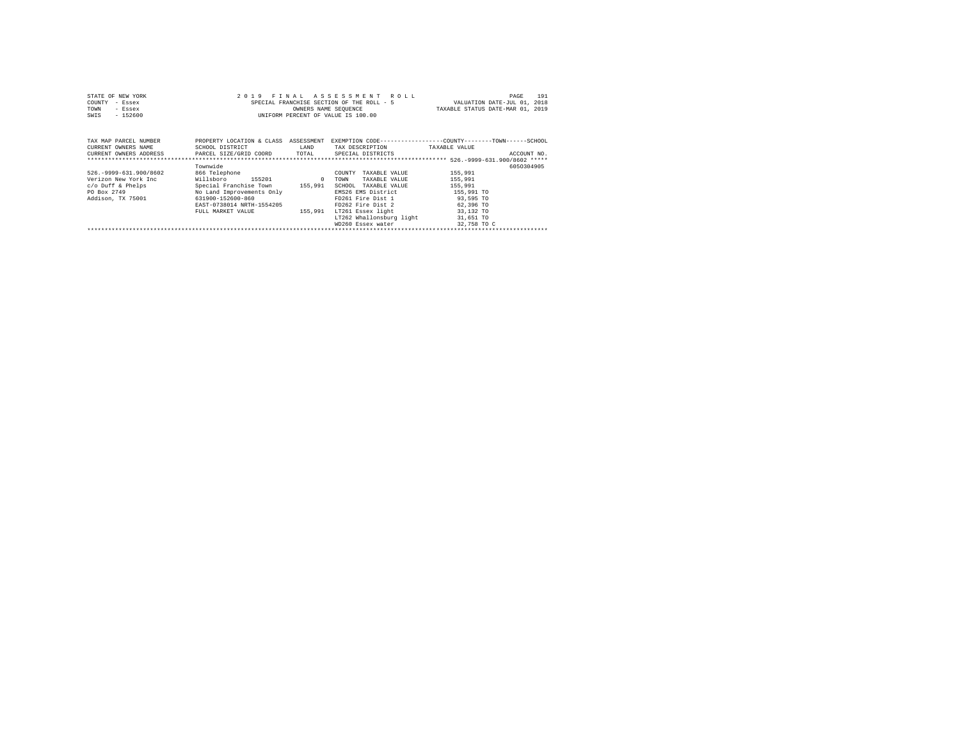| STATE OF NEW YORK | 2019 FINAL ASSESSMENT ROLL                | 191<br>PAGE                      |
|-------------------|-------------------------------------------|----------------------------------|
| COUNTY - Essex    | SPECIAL FRANCHISE SECTION OF THE ROLL - 5 | VALUATION DATE-JUL 01, 2018      |
| TOWN<br>- Essex   | OWNERS NAME SEOUENCE                      | TAXABLE STATUS DATE-MAR 01, 2019 |
| SWIS<br>- 152600  | UNIFORM PERCENT OF VALUE IS 100.00        |                                  |
|                   |                                           |                                  |
|                   |                                           |                                  |

| TAX MAP PARCEL NUMBER    | PROPERTY LOCATION & CLASS | ASSESSMENT |                          | EXEMPTION CODE-----------------COUNTY-------TOWN------SCHOOL |
|--------------------------|---------------------------|------------|--------------------------|--------------------------------------------------------------|
| CURRENT OWNERS NAME      | SCHOOL DISTRICT           | LAND       | TAX DESCRIPTION          | TAXABLE VALUE                                                |
| CURRENT OWNERS ADDRESS   | PARCEL SIZE/GRID COORD    | TOTAL      | SPECIAL DISTRICTS        | ACCOUNT NO.                                                  |
|                          |                           |            |                          |                                                              |
|                          | Townwide                  |            |                          | 6050304905                                                   |
| 526. - 9999-631.900/8602 | 866 Telephone             |            | TAXABLE VALUE<br>COUNTY  | 155,991                                                      |
| Verizon New York Inc     | 155201<br>Willsboro       | $\Omega$   | TAXABLE VALUE<br>TOWN    | 155,991                                                      |
| c/o Duff & Phelps        | Special Franchise Town    | 155,991    | SCHOOL TAXABLE VALUE     | 155,991                                                      |
| PO Box 2749              | No Land Improvements Only |            | EMS26 EMS District       | 155,991 TO                                                   |
| Addison, TX 75001        | 631900-152600-860         |            | FD261 Fire Dist 1        | 93,595 TO                                                    |
|                          | EAST-0738014 NRTH-1554205 |            | FD262 Fire Dist 2        | 62,396 TO                                                    |
|                          | FULL MARKET VALUE         | 155,991    | LT261 Essex light        | 33,132 TO                                                    |
|                          |                           |            | LT262 Whallonsburg light | 31,651 TO                                                    |
|                          |                           |            | WD260 Essex water        | 32,758 TO C                                                  |
|                          |                           |            |                          |                                                              |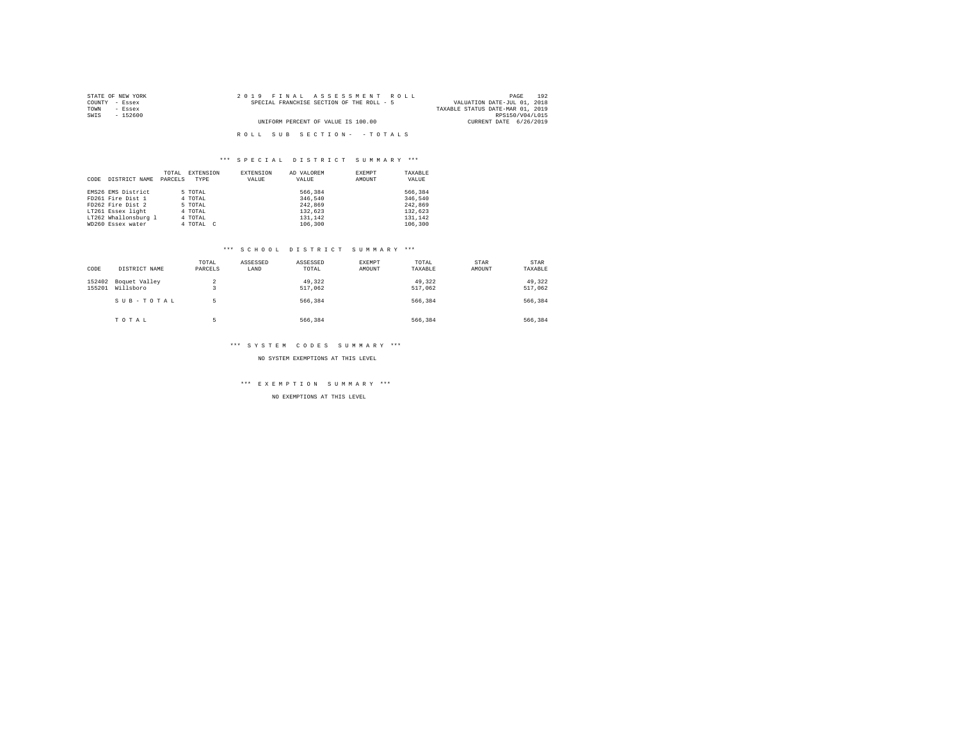| STATE OF NEW YORK | 2019 FINAL ASSESSMENT ROLL                | 192<br>PAGE                      |
|-------------------|-------------------------------------------|----------------------------------|
| COUNTY - Essex    | SPECIAL FRANCHISE SECTION OF THE ROLL - 5 | VALUATION DATE-JUL 01, 2018      |
| TOWN<br>- Essex   |                                           | TAXABLE STATUS DATE-MAR 01, 2019 |
| SWIS<br>- 152600  |                                           | RPS150/V04/L015                  |
|                   | UNIFORM PERCENT OF VALUE IS 100.00        | CURRENT DATE 6/26/2019           |
|                   |                                           |                                  |
|                   | ROLL SUB SECTION- - TOTALS                |                                  |

|      |                      | TOTAL   | EXTENSION | EXTENSION | AD VALOREM | EXEMPT | TAXABLE |
|------|----------------------|---------|-----------|-----------|------------|--------|---------|
| CODE | DISTRICT NAME        | PARCELS | TYPE      | VALUE     | VALUE      | AMOUNT | VALUE   |
|      |                      |         |           |           |            |        |         |
|      | EMS26 EMS District   |         | 5 TOTAL   |           | 566,384    |        | 566,384 |
|      | FD261 Fire Dist 1    |         | 4 TOTAL   |           | 346.540    |        | 346.540 |
|      | FD262 Fire Dist 2    |         | 5 TOTAL   |           | 242.869    |        | 242.869 |
|      | LT261 Essex light    |         | 4 TOTAL   |           | 132.623    |        | 132.623 |
|      | LT262 Whallonsburg 1 |         | 4 TOTAL   |           | 131,142    |        | 131,142 |
|      | WD260 Essex water    |         | 4 TOTAL C |           | 106,300    |        | 106,300 |

#### \*\*\* S C H O O L D I S T R I C T S U M M A R Y \*\*\*

| CODE             | DISTRICT NAME              | TOTAL<br>PARCELS    | ASSESSED<br>LAND | ASSESSED<br>TOTAL | EXEMPT<br>AMOUNT | TOTAL<br>TAXABLE  | STAR<br>AMOUNT | STAR<br>TAXABLE   |
|------------------|----------------------------|---------------------|------------------|-------------------|------------------|-------------------|----------------|-------------------|
| 152402<br>155201 | Boquet Valley<br>Willsboro | $\overline{a}$<br>۰ |                  | 49.322<br>517,062 |                  | 49.322<br>517,062 |                | 49.322<br>517,062 |
|                  | SUB-TOTAL                  | ь                   |                  | 566,384           |                  | 566.384           |                | 566,384           |
|                  | TOTAL                      | ь                   |                  | 566.384           |                  | 566.384           |                | 566,384           |

## \*\*\* S Y S T E M C O D E S S U M M A R Y \*\*\*

NO SYSTEM EXEMPTIONS AT THIS LEVEL

\*\*\* E X E M P T I O N S U M M A R Y \*\*\*

NO EXEMPTIONS AT THIS LEVEL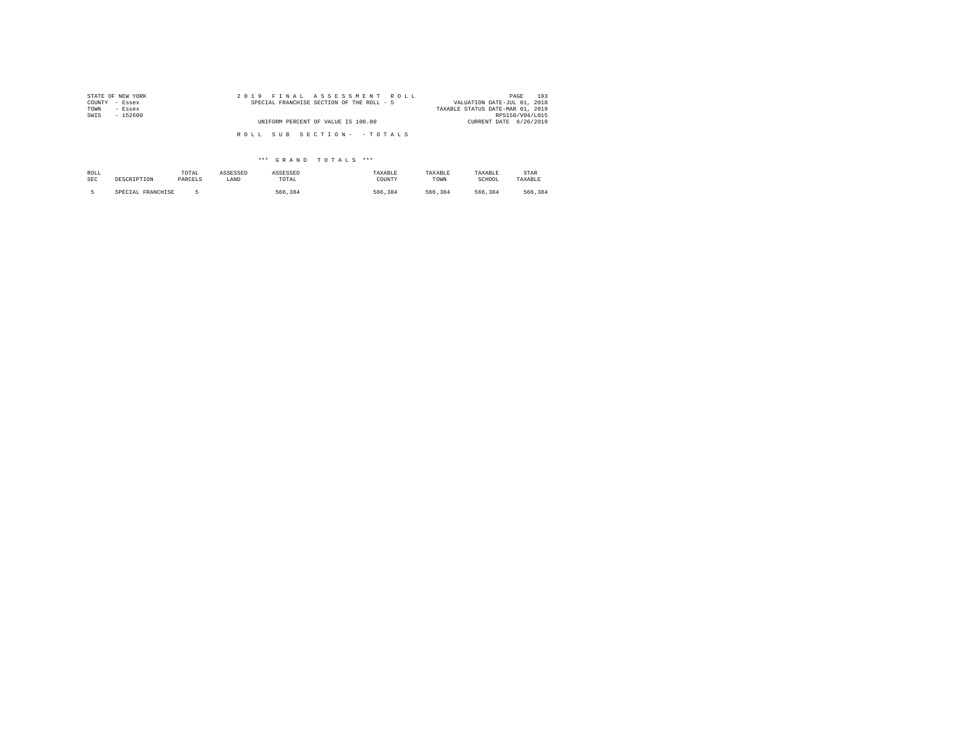| STATE OF NEW YORK | 2019 FINAL ASSESSMENT ROLL                | 193<br>PAGE                      |
|-------------------|-------------------------------------------|----------------------------------|
| COUNTY - Essex    | SPECIAL FRANCHISE SECTION OF THE ROLL - 5 | VALUATION DATE-JUL 01, 2018      |
| TOWN<br>- Essex   |                                           | TAXABLE STATUS DATE-MAR 01, 2019 |
| SWIS<br>$-152600$ |                                           | RPS150/V04/L015                  |
|                   | UNIFORM PERCENT OF VALUE IS 100.00        | CURRENT DATE 6/26/2019           |
|                   |                                           |                                  |
|                   | ROLL SUB SECTION- - TOTALS                |                                  |
|                   |                                           |                                  |

| ROLL | DESCRIPTION       | TOTAL   | ASSESSED | ASSESSED | TAXABLE | TAXABLE | TAXABLE | STAR    |
|------|-------------------|---------|----------|----------|---------|---------|---------|---------|
| SEC  |                   | PARCELS | LAND     | TOTAL    | COUNTY  | TOWN    | SCHOOL  | TAXABLE |
|      | SPECIAL FRANCHISE |         |          | 566.384  | 566.384 | 566.384 | 566.384 | 566.384 |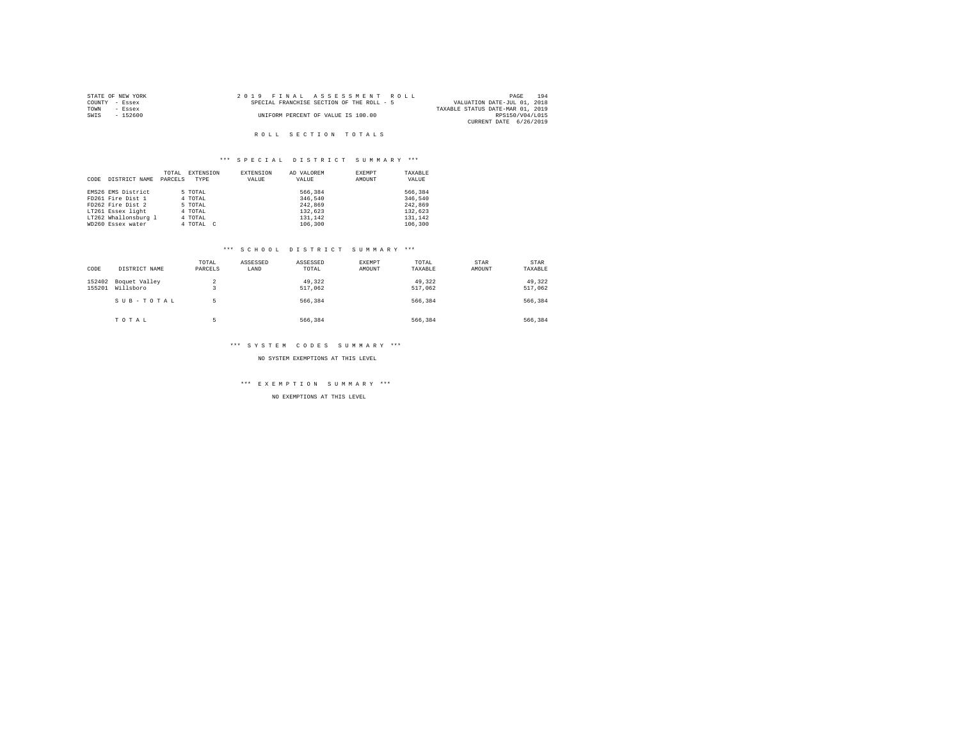| STATE OF NEW YORK | 2019 FINAL ASSESSMENT ROLL                | 194<br>PAGE                      |
|-------------------|-------------------------------------------|----------------------------------|
| COUNTY - Essex    | SPECIAL FRANCHISE SECTION OF THE ROLL - 5 | VALUATION DATE-JUL 01, 2018      |
| TOWN<br>$-$ Essex |                                           | TAXABLE STATUS DATE-MAR 01, 2019 |
| - 152600<br>SWIS  | UNIFORM PERCENT OF VALUE IS 100.00        | RPS150/V04/L015                  |
|                   |                                           | CURRENT DATE 6/26/2019           |

## \*\*\* S P E C I A L D I S T R I C T S U M M A R Y \*\*\*

|      |                      | TOTAL   | EXTENSION | EXTENSION | AD VALOREM | EXEMPT | TAXABLE |
|------|----------------------|---------|-----------|-----------|------------|--------|---------|
| CODE | DISTRICT NAME        | PARCELS | TYPE      | VALUE     | VALUE      | AMOUNT | VALUE   |
|      |                      |         |           |           |            |        |         |
|      | EMS26 EMS District   |         | 5 TOTAL   |           | 566,384    |        | 566,384 |
|      | FD261 Fire Dist 1    |         | 4 TOTAL   |           | 346.540    |        | 346.540 |
|      | FD262 Fire Dist 2    |         | 5 TOTAL   |           | 242,869    |        | 242,869 |
|      | LT261 Essex light    |         | 4 TOTAL   |           | 132.623    |        | 132.623 |
|      | LT262 Whallonsburg 1 |         | 4 TOTAL   |           | 131,142    |        | 131.142 |
|      | WD260 Essex water    |         | 4 TOTAL C |           | 106,300    |        | 106,300 |

#### \*\*\* S C H O O L D I S T R I C T S U M M A R Y \*\*\*

| CODE             | DISTRICT NAME              | TOTAL<br>PARCELS             | ASSESSED<br>LAND | ASSESSED<br>TOTAL | <b>EXEMPT</b><br>AMOUNT | TOTAL<br>TAXABLE  | STAR<br>AMOUNT | <b>STAR</b><br>TAXABLE |
|------------------|----------------------------|------------------------------|------------------|-------------------|-------------------------|-------------------|----------------|------------------------|
| 152402<br>155201 | Boquet Valley<br>Willsboro | 2<br>$\overline{\mathbf{3}}$ |                  | 49.322<br>517,062 |                         | 49.322<br>517.062 |                | 49.322<br>517,062      |
|                  | SUB-TOTAL                  | 5                            |                  | 566.384           |                         | 566.384           |                | 566.384                |
|                  | TOTAL                      | к                            |                  | 566.384           |                         | 566.384           |                | 566,384                |

### \*\*\* S Y S T E M C O D E S S U M M A R Y \*\*\*

NO SYSTEM EXEMPTIONS AT THIS LEVEL

\*\*\* E X E M P T I O N S U M M A R Y \*\*\*

NO EXEMPTIONS AT THIS LEVEL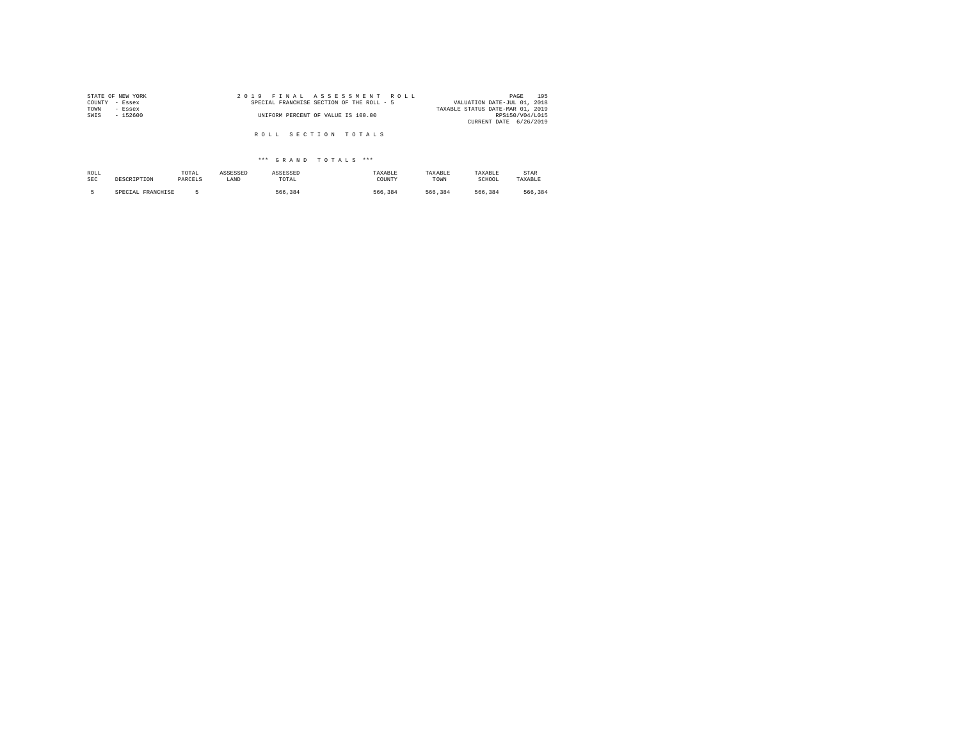| STATE OF NEW YORK | 2019 FINAL ASSESSMENT ROLL                | 195<br>PAGE                      |
|-------------------|-------------------------------------------|----------------------------------|
| COUNTY<br>- Essex | SPECIAL FRANCHISE SECTION OF THE ROLL - 5 | VALUATION DATE-JUL 01, 2018      |
| TOWN<br>- Essex   |                                           | TAXABLE STATUS DATE-MAR 01, 2019 |
| SWIS<br>$-152600$ | UNIFORM PERCENT OF VALUE IS 100.00        | RPS150/V04/L015                  |
|                   |                                           | CURRENT DATE 6/26/2019           |
|                   |                                           |                                  |
|                   | ROLL SECTION TOTALS                       |                                  |

| ROLL       | DESCRIPTION       | TOTAL   | ASSESSED | ASSESSED | TAXABLE | TAXABLE | TAXABLE | STAR    |
|------------|-------------------|---------|----------|----------|---------|---------|---------|---------|
| <b>SEC</b> |                   | PARCELS | LAND     | TOTAL    | COUNTY  | TOWN    | SCHOOL  | TAXABLE |
|            | SPECIAL FRANCHISE |         |          | 566.384  | 566.384 | 566.384 | 566.384 | 566.384 |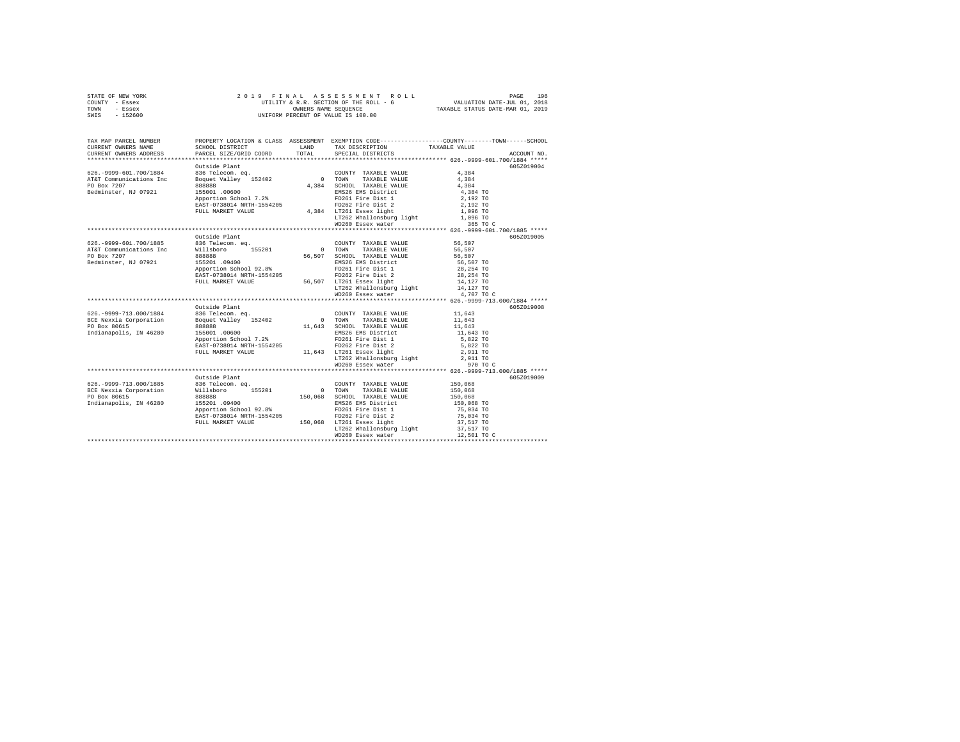|      | STATE OF NEW YORK | 2019 FINAL ASSESSMENT ROLL             | 196<br>PAGE                      |
|------|-------------------|----------------------------------------|----------------------------------|
|      | COUNTY - Essex    | UTILITY & R.R. SECTION OF THE ROLL - 6 | VALUATION DATE-JUL 01, 2018      |
| TOWN | - Essex           | OWNERS NAME SEOUENCE                   | TAXABLE STATUS DATE-MAR 01, 2019 |
| SWIS | - 152600          | UNIFORM PERCENT OF VALUE IS 100.00     |                                  |

| TAX MAP PARCEL NUMBER<br>CURRENT OWNERS NAME<br>CURRENT OWNERS ADDRESS                                                       | SCHOOL DISTRICT<br>PARCEL SIZE/GRID COORD                                                                                                                       | TOTAL    | LAND TAX DESCRIPTION<br>SPECIAL DISTRICTS                                                                                                                                                                         | PROPERTY LOCATION & CLASS ASSESSMENT EXEMPTION CODE---------------COUNTY-------TOWN------SCHOOL<br>TAXABLE VALUE<br>ACCOUNT NO. |
|------------------------------------------------------------------------------------------------------------------------------|-----------------------------------------------------------------------------------------------------------------------------------------------------------------|----------|-------------------------------------------------------------------------------------------------------------------------------------------------------------------------------------------------------------------|---------------------------------------------------------------------------------------------------------------------------------|
| 626. - 9999-601. 700/1884<br>AT&T Communications Inc<br>PO Box 7207<br>Bedminster, NJ 07921                                  | Outside Plant<br>888888<br>155001 .00600<br>Apportion School 7.2%<br>EAST-0738014 NRTH-1554205<br>FULL MARKET VALUE                                             |          | COUNTY TAXABLE VALUE<br>TAXABLE VALUE<br>4,384 SCHOOL TAXABLE VALUE<br>EMS26 EMS District<br>FD261 Fire Dist 1<br>FD262 Fire Dist 2<br>4,384 LT261 Essex light<br>LT262 Whallonsburg light<br>WD260 Essex water   | 605Z019004<br>4,384<br>4,384<br>4.384<br>4,384 TO<br>2,192 TO<br>2,192 TO<br>1,096 TO<br>1,096 TO<br>365 TO C                   |
| 626.-9999-601.700/1885 836 Telecom.eq.<br>AT&T Communications Inc Willsboro 155201<br>PO Box 7207<br>Bedminster, NJ 07921    | Outside Plant<br>888888<br>155201 .09400<br>Apportion School 92.8%<br>EAST-0738014 NRTH-1554205<br>FULL MARKET VALUE                                            | 56,507   | COUNTY TAXABLE VALUE<br>0 TOWN TAXABLE VALUE<br>SCHOOL TAXABLE VALUE<br>EMS26 EMS District<br>FD261 Fire Dist 1<br>FD262 Fire Dist 2<br>56,507 LT261 Essex light<br>LT262 Whallonsburg light<br>WD260 Essex water | 605Z019005<br>56,507<br>56,507<br>56,507<br>56,507 TO<br>28,254 TO<br>28,254 TO<br>14,127 TO<br>14,127 TO<br>4,707 TO C         |
| 626. - 9999 - 713.000/1884<br>BCE Nexxia Corporation<br>PO Box 80615<br>Indianapolis, IN 46280                               | Outside Plant<br>836 Telecom. eq.<br>Boquet Valley 152402<br>888888<br>155001 .00600<br>Apportion School 7.2%<br>EAST-0738014 NRTH-1554205<br>FULL MARKET VALUE | $0$ TOWN | COUNTY TAXABLE VALUE<br>TAXABLE VALUE<br>11,643 SCHOOL TAXABLE VALUE<br>EMS26 EMS District<br>FD261 Fire Dist 1                                                                                                   | 605Z019008<br>11,643<br>11,643<br>11,643<br>11,643 TO<br>5,822 TO<br>5,822 TO<br>2,911 TO<br>2,911 TO<br>970 TO C               |
| 626.-9999-713.000/1885 836 Telecom. eq.<br>BCE Nexxia Corporation Willsboro 155201<br>PO Box 80615<br>Indianapolis, IN 46280 | Outside Plant<br>888888<br>155201 .09400<br>Apportion School 92.8%<br>EAST-0738014 NRTH-1554205<br>FULL MARKET VALUE                                            | 150.068  | COUNTY TAXABLE VALUE<br>0 TOWN TAXABLE VALUE<br>COUNTY TAXABLE VALUE<br>EMS26 EMS District<br>FD261 Fire Dist 1<br>FD262 Fire Dist 2<br>150,068 LT261 Essex light<br>LT262 Whallonsburg light                     | 605Z019009<br>150,068<br>150,068<br>150,068<br>150,068 TO<br>75,034 TO<br>75,034 TO<br>37,517 TO<br>37,517 TO                   |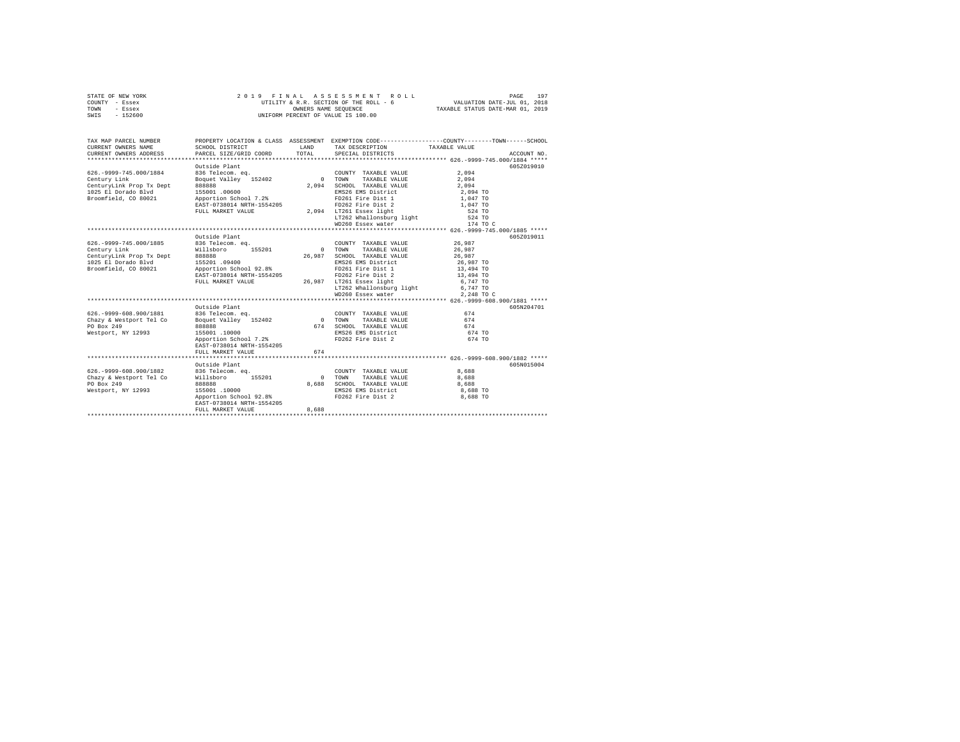| STATE OF NEW YORK | 2019 FINAL ASSESSMENT ROLL             | 197<br>PAGE                      |
|-------------------|----------------------------------------|----------------------------------|
| COUNTY - Essex    | UTILITY & R.R. SECTION OF THE ROLL - 6 | VALUATION DATE-JUL 01, 2018      |
| TOWN<br>- Essex   | OWNERS NAME SEOUENCE                   | TAXABLE STATUS DATE-MAR 01, 2019 |
| - 152600<br>SWIS  | UNIFORM PERCENT OF VALUE IS 100.00     |                                  |

| TAX MAP PARCEL NUMBER<br>CURRENT OWNERS NAME<br>CURRENT OWNERS ADDRESS                                                                             | SCHOOL DISTRICT<br>PARCEL SIZE/GRID COORD                                                                                                                                       | <b>T.AND</b><br>TOTAL      | TAX DESCRIPTION TAXABLE VALUE<br>SPECIAL DISTRICTS                                                                                                                                                                   | PROPERTY LOCATION & CLASS ASSESSMENT EXEMPTION CODE---------------COUNTY-------TOWN------SCHOOL<br>ACCOUNT NO.                             |
|----------------------------------------------------------------------------------------------------------------------------------------------------|---------------------------------------------------------------------------------------------------------------------------------------------------------------------------------|----------------------------|----------------------------------------------------------------------------------------------------------------------------------------------------------------------------------------------------------------------|--------------------------------------------------------------------------------------------------------------------------------------------|
| 626. - 9999 - 745.000/1884<br>Century Link<br>CenturyLink Prop Tx Dept<br>1025 El Dorado Blvd<br>Broomfield, CO 80021                              | Outside Plant<br>836 Telecom. eq.<br>Boquet Valley 152402<br>888888<br>155001.00600<br>Apportion School 7.2%<br>EAST-0738014 NRTH-1554205<br>FULL MARKET VALUE                  | $\Omega$<br>2.094          | COUNTY TAXABLE VALUE<br>TAXABLE VALUE<br>TOWN<br>SCHOOL TAXABLE VALUE<br>EMS26 EMS District<br>FD261 Fire Dist 1<br>FD262 Fire Dist 2<br>2.094 LT261 Essex light<br>LT262 Whallonsburg light<br>WD260 Essex water    | 605Z019010<br>2.094<br>2,094<br>2.094<br>2,094 TO<br>1,047 TO<br>1,047 TO<br>524 TO<br>524 TO<br>174 TO C                                  |
|                                                                                                                                                    |                                                                                                                                                                                 |                            |                                                                                                                                                                                                                      |                                                                                                                                            |
| 626. - 9999 - 745.000/1885<br>Century Link<br>CenturyLink Prop Tx Dept<br>1025 El Dorado Blvd<br>Broomfield, CO 80021<br>626. - 9999-608. 900/1881 | Outside Plant<br>836 Telecom. eq.<br>155201<br>Willsboro<br>888888<br>155201.09400<br>Apportion School 92.8%<br>EAST-0738014 NRTH-1554205<br>FULL MARKET VALUE<br>Outside Plant | 26,987                     | COUNTY TAXABLE VALUE<br>0 TOWN<br>TAXABLE VALUE<br>SCHOOL TAXABLE VALUE<br>EMS26 EMS District<br>FD261 Fire Dist 1<br>FD262 Fire Dist 2<br>26,987 LT261 Essex light<br>LT262 Whallonsburg light<br>WD260 Essex water | 605Z019011<br>26,987<br>26,987<br>26,987<br>26.987 TO<br>13,494 TO<br>13,494 TO<br>6,747 TO<br>6,747 TO<br>2.248 TO C<br>605N204701<br>674 |
| Chazy & Westport Tel Co<br>PO Box 249<br>Westport, NY 12993                                                                                        | 836 Telecom. eq.<br>Boquet Valley 152402<br>888888<br>155001.10000<br>Apportion School 7.2%<br>EAST-0738014 NRTH-1554205<br>FULL MARKET VALUE                                   | 674<br>674                 | COUNTY TAXABLE VALUE<br>0 TOWN<br>TAXABLE VALUE<br>SCHOOL TAXABLE VALUE<br>EMS26 EMS District<br>FD262 Fire Dist 2                                                                                                   | 674<br>674<br>674 TO<br>674 TO                                                                                                             |
| 626. - 9999-608.900/1882<br>Chazy & Westport Tel Co<br>PO Box 249<br>Westport, NY 12993                                                            | Outside Plant<br>836 Telecom. ea.<br>Willsboro<br>155201<br>888888<br>155001.10000<br>Apportion School 92.8%<br>EAST-0738014 NRTH-1554205<br>FULL MARKET VALUE                  | $\Omega$<br>8,688<br>8,688 | COUNTY TAXABLE VALUE<br>TOWN<br>TAXABLE VALUE<br>SCHOOL TAXABLE VALUE<br>EMS26 EMS District<br>FD262 Fire Dist 2                                                                                                     | 605N015004<br>8,688<br>8,688<br>8,688<br>8,688 TO<br>8,688 TO                                                                              |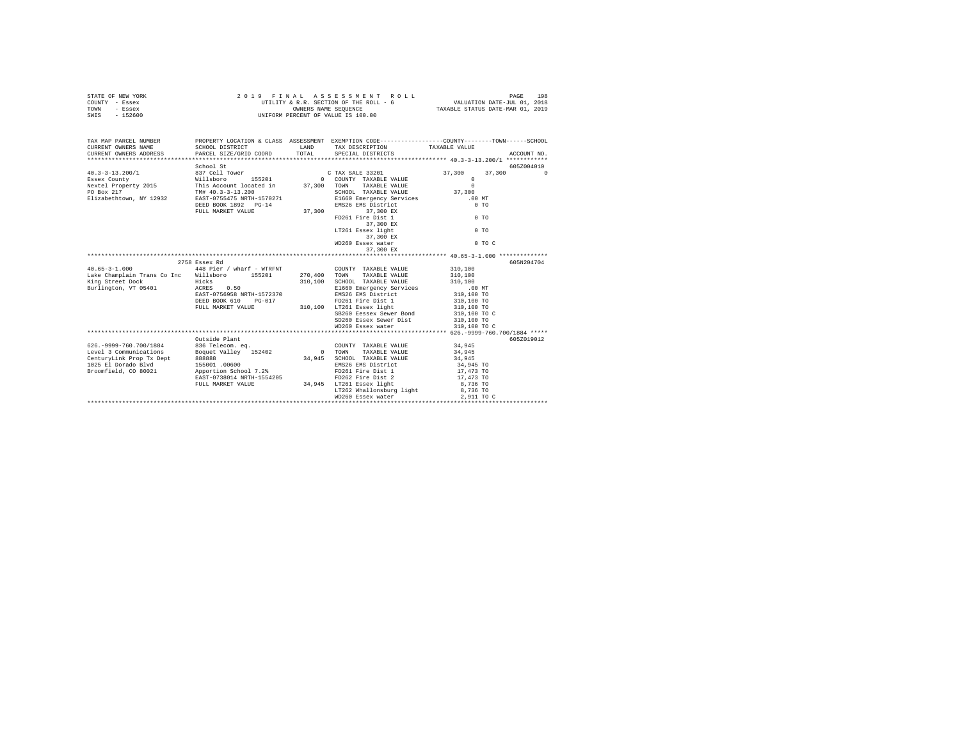| STATE OF NEW YORK<br>COUNTY - Essex<br><b>TOWN</b><br>- Essex<br>$-152600$<br>SWIS                                                                                                                                             |                                                                                                                                                                                                        |              | 2019 FINAL ASSESSMENT ROLL<br>UTILITY & R.R. SECTION OF THE ROLL - 6 VALUATION DATE-JUL 01, 2018<br>UNIFORM PERCENT OF VALUE IS 100.00                                                                                                                   |                                                                                                                   | 198<br>PAGE            |
|--------------------------------------------------------------------------------------------------------------------------------------------------------------------------------------------------------------------------------|--------------------------------------------------------------------------------------------------------------------------------------------------------------------------------------------------------|--------------|----------------------------------------------------------------------------------------------------------------------------------------------------------------------------------------------------------------------------------------------------------|-------------------------------------------------------------------------------------------------------------------|------------------------|
| TAX MAP PARCEL NUMBER PROPERTY LOCATION & CLASS ASSESSMENT EXEMPTION CODE---------------COUNTY-------TOWN-----SCHOOL<br>CURRENT OWNERS NAME<br>CURRENT OWNERS ADDRESS                                                          | SCHOOL DISTRICT TAND TAX DESCRIPTION<br>PARCEL SIZE/GRID COORD                                                                                                                                         | TOTAL        | SPECIAL DISTRICTS                                                                                                                                                                                                                                        | TAXABLE VALUE                                                                                                     | ACCOUNT NO.            |
|                                                                                                                                                                                                                                | FULL MARKET VALUE                                                                                                                                                                                      | 37,300       | 37,300 EX<br>FD261 Fire Dist 1<br>37,300 EX<br>LT261 Essex light<br>37,300 EX<br>WD260 Essex water<br>37,300 EX                                                                                                                                          | 37,300<br>$\Omega$<br>$\Omega$<br>37,300<br>$.00$ MT<br>0 <sub>T</sub><br>$0$ TO<br>$0$ TO<br>$0$ TO C            | 605Z004010<br>37,300 0 |
| $40.65 - 3 - 1.000$<br>Lake Champlain Trans Co Inc Willsboro 155201<br>King Street Dock<br>Burlington, VT 05401                                                                                                                | 2758 Essex Rd<br>448 Pier / wharf - WTRFNT             COUNTY TAXABLE VALUE<br>Hicks<br>ACRES 0.50<br>EAST-0756958 NRTH-1572370<br>DEED BOOK 610 PG-017<br>FULL MARKET VALUE 310,100 LT261 Essex light | 270.400 TOWN | TAXABLE VALUE<br>310,100 SCHOOL TAXABLE VALUE<br>E1660 Emergency Services<br>EMS26 EMS District<br>$FD261$ Fire Dist 1<br>SB260 Eessex Sewer Bond<br>SD260 Essex Sewer Dist 310,100 TO<br>WD260 Essex water                                              | 310,100<br>310,100<br>310,100<br>.00 MT<br>310,100 TO<br>310,100 TO<br>310,100 TO<br>310,100 TO C<br>310,100 TO C | 605N204704             |
| 626.-9999-760.700/1884 836 Telecom. eq.<br>Level 3 Communications<br>CenturyLink Prop Tx Dept<br>152402<br>1025 El Dorado Blvd<br>1025 El Dorado Blvd<br>155001 .00600<br>Broomfield, CO 80021<br>20071 .00600<br>20071 .00600 | Outside Plant<br>EAST-0738014 NRTH-1554205<br>FULL MARKET VALUE                                                                                                                                        | 34,945       | COUNTY TAXABLE VALUE<br>0 TOWN TAXABLE VALUE<br>COUNTY TAXABLE VALUE 34,945<br>SCHOOL TAXABLE VALUE<br>EMS26 EMS District<br>FD261 Fire Dist 1<br>1554205 FD262 Fire Dist 2<br>34,945 LT261 Essex light<br>LT262 Whallonsburg light<br>WD260 Essex water | 34,945<br>34,945<br>34,945 TO<br>17,473 TO<br>17,473 TO<br>8,736 TO<br>8,736 TO<br>2,911 TO C                     | 605Z019012             |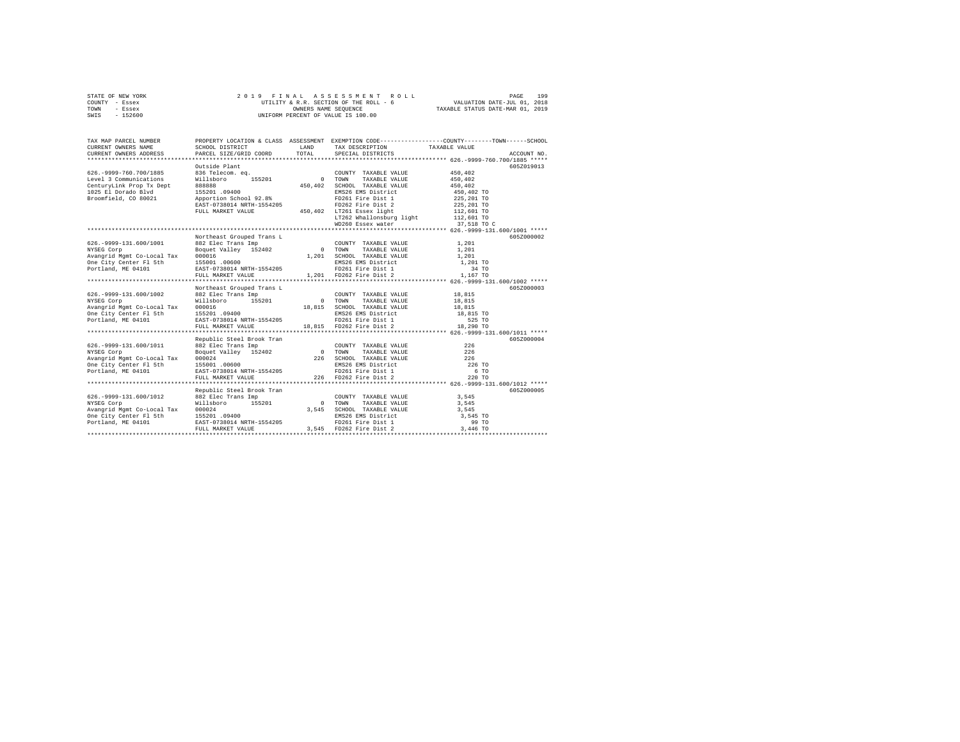| STATE OF NEW YORK | 2019 FINAL ASSESSMENT ROLL             | 199<br>PAGE                      |
|-------------------|----------------------------------------|----------------------------------|
| COUNTY - Essex    | UTILITY & R.R. SECTION OF THE ROLL - 6 | VALUATION DATE-JUL 01, 2018      |
| TOWN<br>- Essex   | OWNERS NAME SEOUENCE                   | TAXABLE STATUS DATE-MAR 01, 2019 |
| - 152600<br>SWIS  | UNIFORM PERCENT OF VALUE IS 100.00     |                                  |

| TAX MAP PARCEL NUMBER                                                                                                                                                                                                          |                           |  | PROPERTY LOCATION & CLASS ASSESSMENT EXEMPTION CODE---------------COUNTY-------TOWN-----SCHOOL<br>TRA WAP PARCEL BURGER IN A SURGER TRANSPORT ON THE SPECIE OF THE SERVICE OF THE CHARGE TRANSPORT OF THE SCHOOL DISTRICT TRANSPORT OF THE SERVICE OF THE SERVICE OF THE SPECIE OF THE SPECIE OF THE SPECIE OF THE SPECIE OF THE |
|--------------------------------------------------------------------------------------------------------------------------------------------------------------------------------------------------------------------------------|---------------------------|--|----------------------------------------------------------------------------------------------------------------------------------------------------------------------------------------------------------------------------------------------------------------------------------------------------------------------------------|
|                                                                                                                                                                                                                                |                           |  | 605Z019013                                                                                                                                                                                                                                                                                                                       |
|                                                                                                                                                                                                                                |                           |  |                                                                                                                                                                                                                                                                                                                                  |
|                                                                                                                                                                                                                                |                           |  |                                                                                                                                                                                                                                                                                                                                  |
|                                                                                                                                                                                                                                |                           |  | 605Z000002                                                                                                                                                                                                                                                                                                                       |
|                                                                                                                                                                                                                                |                           |  | 1,201 Mortheast Grouped Trans Level of Paris Level of The COUNTY TAXABLE VALUE 1,201 0<br>NYSEG Corp Boguet Valley 152402 0 TOWN TAXABLE VALUE 1,201<br>2010 MySEG Corp 1,201 00016 1,201 CCONTY TAXABLE VALUE 1,201<br>2010 202016                                                                                              |
|                                                                                                                                                                                                                                |                           |  |                                                                                                                                                                                                                                                                                                                                  |
|                                                                                                                                                                                                                                | Northeast Grouped Trans L |  | 605Z000003                                                                                                                                                                                                                                                                                                                       |
|                                                                                                                                                                                                                                |                           |  |                                                                                                                                                                                                                                                                                                                                  |
|                                                                                                                                                                                                                                |                           |  | 605Z000004<br>226 TO<br>6 TO<br>220 TO                                                                                                                                                                                                                                                                                           |
| 6052. 1999-131.600/1012 Republic Steel Brook Trans (COUNTY TAXABLE VALUE 2021 Republic Steel Trans Imp. 1982 Rec Trans Imp. 1982 Republic Steel Brook Trans (COUNTY TAXABLE VALUE 2021 2021 2021 2021 2032 RARBLE VALUE 2021 2 |                           |  | 605Z000005                                                                                                                                                                                                                                                                                                                       |
|                                                                                                                                                                                                                                |                           |  |                                                                                                                                                                                                                                                                                                                                  |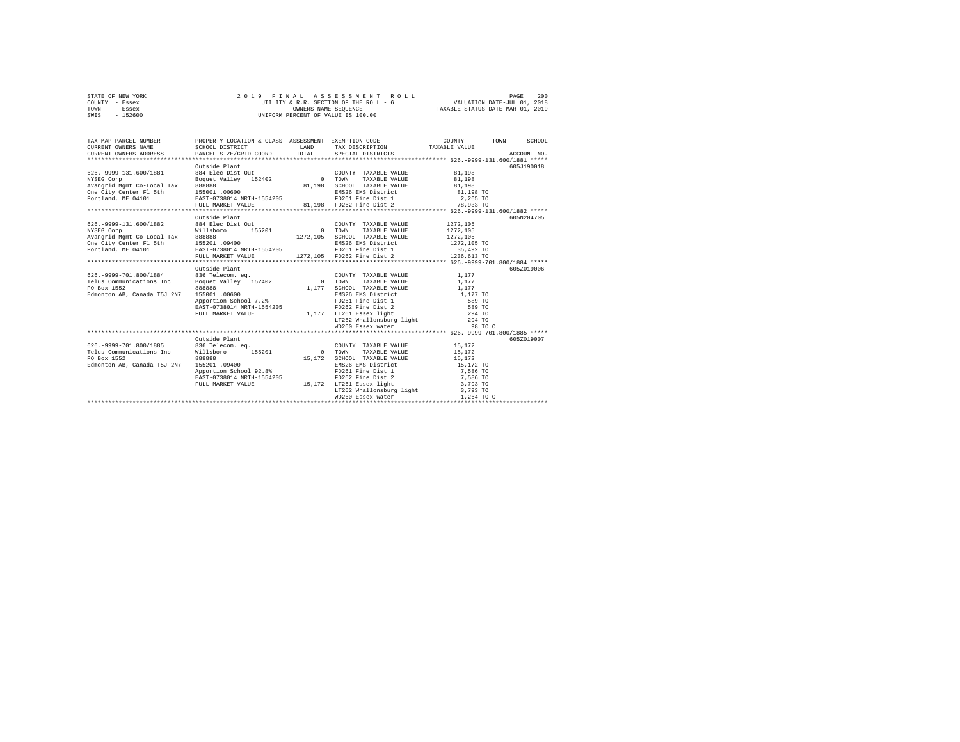| STATE OF NEW YORK |           |  |  | 2019 FINAL ASSESSMENT ROLL             |                                  | PAGE                        | 200 |
|-------------------|-----------|--|--|----------------------------------------|----------------------------------|-----------------------------|-----|
| COUNTY - Essex    |           |  |  | UTILITY & R.R. SECTION OF THE ROLL - 6 |                                  | VALUATION DATE-JUL 01, 2018 |     |
| TOWN              | - Essex   |  |  | OWNERS NAME SEOUENCE                   | TAXABLE STATUS DATE-MAR 01, 2019 |                             |     |
| SWIS              | $-152600$ |  |  | UNIFORM PERCENT OF VALUE IS 100.00     |                                  |                             |     |

| TAX MAP PARCEL NUMBER<br>CURRENT OWNERS NAME<br>CURRENT OWNERS ADDRESS PARCEL SIZE/GRID COORD TOTAL SPECIAL DISTRICTS                                                                                                                                                            | SCHOOL DISTRICT                                                                                            | LAND                     | TAX DESCRIPTION TAXABLE VALUE                                                                                                                                                                                                                                 | PROPERTY LOCATION & CLASS ASSESSMENT EXEMPTION CODE----------------COUNTY-------TOWN------SCHOOL<br>ACCOUNT NO. |
|----------------------------------------------------------------------------------------------------------------------------------------------------------------------------------------------------------------------------------------------------------------------------------|------------------------------------------------------------------------------------------------------------|--------------------------|---------------------------------------------------------------------------------------------------------------------------------------------------------------------------------------------------------------------------------------------------------------|-----------------------------------------------------------------------------------------------------------------|
| 626.-9999-131.600/1881 884 Elec Dist Out<br>MYSEG Corp<br>2001 Magnet Corporate Magnet Corporate Magnet Corporate Magnet Corporate Magnet Corporate Magnet CHO<br>2011 Magnet Corporate Magnet Corporate 155001<br>2011 Magnet Corporate 155001 Magnet Corporate Magnet Magnet M | Outside Plant<br>FULL MARKET VALUE                                                                         |                          | COUNTY TAXABLE VALUE 81,198<br>81,198 SCHOOL TAXABLE VALUE<br>EMS26 EMS District<br>FD261 Fire Dist 1<br>81,198 FD262 Fire Dist 2 78,933 TO                                                                                                                   | 605J190018<br>TAXABLE VALUE 81,198<br>81,198<br>81,198 TO<br>2,265 TO                                           |
| 626.-9999-131.600/1882 884 Elec Dist Out                                                                                                                                                                                                                                         | Outside Plant                                                                                              |                          | COUNTY TAXABLE VALUE<br>TAXABLE VALUE<br>1272,105 SCHOOL TAXABLE VALUE<br>EMS26 EMS District                                                                                                                                                                  | 605N204705<br>1272.105<br>1272.105<br>1272,105<br>1272,105 TO                                                   |
| % (1999-701.800/1884 – 1111)<br>Telus Communications Inc – Boguet Valley – 152402 – 1628<br>Telus Communications Inc – Boquet Valley – 152402 – 1628<br>PO Box 1552<br>Edmonton AB, Canada T5J 2N7 155001 .00600                                                                 | Outside Plant<br>888888<br>Apportion School 7.2%<br>EAST-0738014 NRTH-1554205<br>FULL MARKET VALUE         | 0 TOWN                   | COUNTY TAXABLE VALUE<br>TAXABLE VALUE<br>1,177 SCHOOL TAXABLE VALUE 1,177<br>EMS26 EMS District 1,177 TO                                                                                                                                                      | 605Z019006<br>1,177<br>1,177<br>98 TO C                                                                         |
| 626.-9999-701.800/1885 836 Telecom. eq.<br>Telus Communications Inc Willsboro 155201                                                                                                                                                                                             | Outside Plant<br>155201 .09400<br>Apportion School 92.8%<br>EAST-0738014 NRTH-1554205<br>FULL MARKET VALUE | <b>CONTINUES IN TOWN</b> | COUNTY TAXABLE VALUE 15,172<br>TAXABLE VALUE 15,172<br>15,172 SCHOOL TAXABLE VALUE<br>EMS26 EMS District<br>FD261 Fire Dist 1 7,586 TO<br>FD262 Fire Dist 2<br>15,172 LT261 Essex light<br>LT261 Essex light<br>LT262 Whallonsburg light<br>WD260 Essex water | 605Z019007<br>15,172<br>15,172 TO<br>7,586 TO<br>3,793 TO<br>3,793 TO<br>1,264 TO C                             |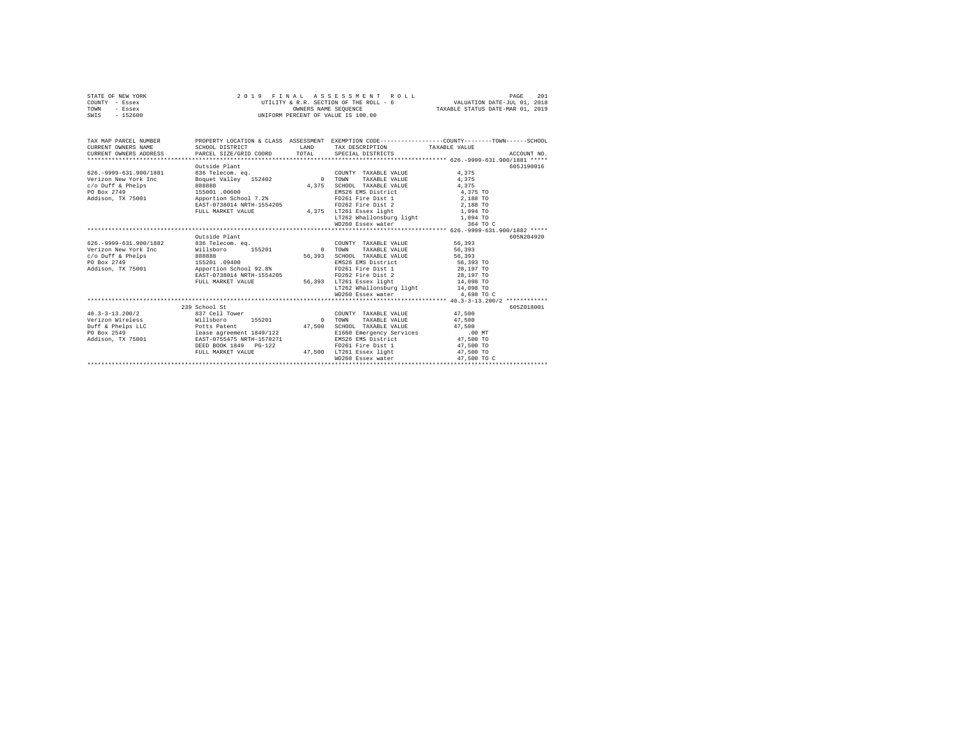|      | STATE OF NEW YORK | 2019 FINAL ASSESSMENT ROLL             | 201<br>PAGE                      |
|------|-------------------|----------------------------------------|----------------------------------|
|      | COUNTY - Essex    | UTILITY & R.R. SECTION OF THE ROLL - 6 | VALUATION DATE-JUL 01, 2018      |
| TOWN | - Essex           | OWNERS NAME SEOUENCE                   | TAXABLE STATUS DATE-MAR 01, 2019 |
| SWIS | - 152600          | UNIFORM PERCENT OF VALUE IS 100.00     |                                  |

| TAX MAP PARCEL NUMBER<br>CURRENT OWNERS NAME | SCHOOL DISTRICT                                | LAND   | PROPERTY LOCATION & CLASS ASSESSMENT EXEMPTION CODE----------------COUNTY-------TOWN------SCHOOL<br>TAX DESCRIPTION TAXABLE VALUE |             |             |
|----------------------------------------------|------------------------------------------------|--------|-----------------------------------------------------------------------------------------------------------------------------------|-------------|-------------|
| CURRENT OWNERS ADDRESS                       | PARCEL SIZE/GRID COORD TOTAL SPECIAL DISTRICTS |        |                                                                                                                                   |             | ACCOUNT NO. |
|                                              |                                                |        |                                                                                                                                   |             |             |
|                                              | Outside Plant                                  |        |                                                                                                                                   |             | 605-1190016 |
| 626. - 9999-631.900/1881                     | 836 Telecom. eq.<br>Boquet Valley 152402       |        | COUNTY TAXABLE VALUE                                                                                                              | 4.375       |             |
| Verizon New York Inc                         |                                                | 0 TOWN | TAXABLE VALUE                                                                                                                     | 4.375       |             |
| c/o Duff & Phelps                            | 88888                                          | 4,375  | SCHOOL TAXABLE VALUE                                                                                                              | 4.375       |             |
| PO Box 2749                                  | 155001 .00600                                  |        | EMS26 EMS District 4,375 TO                                                                                                       |             |             |
| Addison, TX 75001 Apportion School 7.2%      |                                                |        | FD261 Fire Dist 1 2,188 TO                                                                                                        |             |             |
|                                              | EAST-0738014 NRTH-1554205                      |        | FD262 Fire Dist 2 2,188 TO                                                                                                        |             |             |
|                                              | FULL MARKET VALUE                              |        | 4,375 LT261 Essex light                                                                                                           | 1,094 TO    |             |
|                                              |                                                |        | LT262 Whallonsburg light 1,094 TO                                                                                                 |             |             |
|                                              |                                                |        |                                                                                                                                   |             |             |
|                                              |                                                |        |                                                                                                                                   |             |             |
|                                              | Outside Plant                                  |        |                                                                                                                                   |             | 605N204920  |
| 626. - 9999-631.900/1882                     | 836 Telecom, eq.                               |        | COUNTY TAXABLE VALUE                                                                                                              | 56,393      |             |
| Verizon New York Inc                         | Willsboro 155201                               |        | TAXABLE VALUE<br>0 TOWN                                                                                                           | 56,393      |             |
| c/o Duff & Phelps                            | 888888                                         | 56,393 | SCHOOL TAXABLE VALUE                                                                                                              | 56,393      |             |
| PO Box 2749                                  | 155201 .09400                                  |        | EMS26 EMS District                                                                                                                | 56,393 TO   |             |
| Addison, TX 75001                            | Apportion School 92.8%                         |        | FD261 Fire Dist 1                                                                                                                 | 28,197 TO   |             |
|                                              | EAST-0738014 NRTH-1554205                      |        | FD262 Fire Dist 2                                                                                                                 | 28,197 TO   |             |
|                                              | FULL MARKET VALUE                              |        | 56,393 LT261 Essex light                                                                                                          | 14,098 TO   |             |
|                                              |                                                |        | LT262 Whallonsburg light 14,098 TO                                                                                                |             |             |
|                                              |                                                |        | WD260 Essex water                                                                                                                 | 4,698 TO C  |             |
|                                              |                                                |        |                                                                                                                                   |             |             |
|                                              | 239 School St                                  |        |                                                                                                                                   |             | 6052018001  |
| $40.3 - 3 - 13.200/2$                        | 837 Cell Tower                                 |        | COUNTY TAXABLE VALUE 47,500                                                                                                       |             |             |
| Verizon Wireless<br>Willsboro                | 155201 0 TOWN                                  |        | TAXABLE VALUE                                                                                                                     | 47,500      |             |
| Duff & Phelps LLC Potts Patent               |                                                | 47.500 | SCHOOL TAXABLE VALUE                                                                                                              | 47.500      |             |
| PO Box 2549                                  | lease agreement 1849/122                       |        | E1660 Emergency Services                                                                                                          | $.00$ MT    |             |
| Addison, TX 75001 EAST-0755475 NRTH-1570271  |                                                |        | EMS26 EMS District                                                                                                                | 47,500 TO   |             |
|                                              | DEED BOOK 1849 PG-122                          |        | FD261 Fire Dist 1                                                                                                                 | 47,500 TO   |             |
|                                              | FULL MARKET VALUE                              |        | 47,500 LT261 Essex light                                                                                                          | 47,500 TO   |             |
|                                              |                                                |        | WD260 Essex water                                                                                                                 | 47,500 TO C |             |
|                                              |                                                |        |                                                                                                                                   |             |             |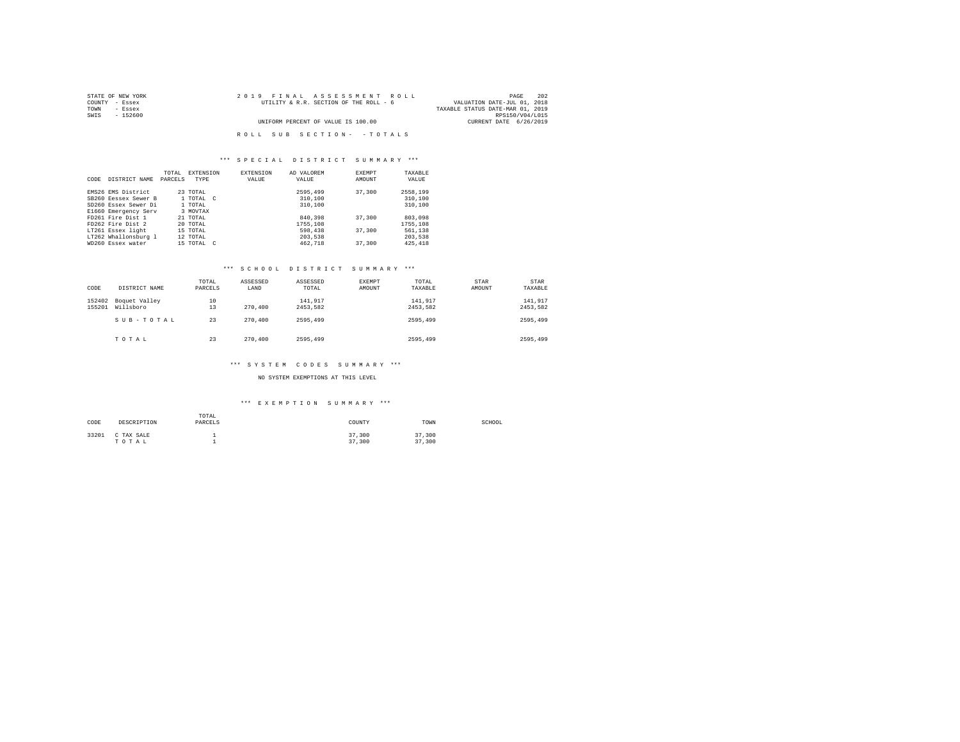| STATE OF NEW YORK | 2019 FINAL ASSESSMENT ROLL             | 202<br>PAGE                      |
|-------------------|----------------------------------------|----------------------------------|
| COUNTY - Essex    | UTILITY & R.R. SECTION OF THE ROLL - 6 | VALUATION DATE-JUL 01, 2018      |
| TOWN<br>- Essex   |                                        | TAXABLE STATUS DATE-MAR 01, 2019 |
| SWIS<br>$-152600$ |                                        | RPS150/V04/L015                  |
|                   | UNIFORM PERCENT OF VALUE IS 100.00     | CURRENT DATE 6/26/2019           |
|                   |                                        |                                  |
|                   | ROLL SUB SECTION- - TOTALS             |                                  |

|      |                      | TOTAL   | <b>EXTENSION</b> | <b>EXTENSION</b> | AD VALOREM | <b>EXEMPT</b> | TAXABLE  |
|------|----------------------|---------|------------------|------------------|------------|---------------|----------|
| CODE | DISTRICT NAME        | PARCELS | <b>TYPE</b>      | VALUE            | VALUE      | AMOUNT        | VALUE    |
|      |                      |         |                  |                  |            |               |          |
|      | EMS26 EMS District   |         | 23 TOTAL         |                  | 2595,499   | 37,300        | 2558,199 |
|      | SB260 Eessex Sewer B |         | 1 TOTAL C        |                  | 310,100    |               | 310,100  |
|      | SD260 Essex Sewer Di |         | 1 TOTAL          |                  | 310,100    |               | 310,100  |
|      | E1660 Emergency Serv |         | 3 MOVTAX         |                  |            |               |          |
|      | FD261 Fire Dist 1    |         | 21 TOTAL         |                  | 840,398    | 37,300        | 803,098  |
|      | FD262 Fire Dist 2    |         | 20 TOTAL         |                  | 1755.108   |               | 1755,108 |
|      | LT261 Essex light    |         | 15 TOTAL         |                  | 598,438    | 37,300        | 561,138  |
|      | LT262 Whallonsburg 1 |         | 12 TOTAL         |                  | 203,538    |               | 203,538  |
|      | WD260 Essex water    |         | 15 TOTAL C       |                  | 462.718    | 37,300        | 425, 418 |

### \*\*\* S C H O O L D I S T R I C T S U M M A R Y \*\*\*

| CODE             | DISTRICT NAME              | TOTAL<br>PARCELS | ASSESSED<br>LAND | ASSESSED<br>TOTAL   | EXEMPT<br>AMOUNT | TOTAL<br>TAXABLE    | STAR<br>AMOUNT | STAR<br>TAXABLE     |
|------------------|----------------------------|------------------|------------------|---------------------|------------------|---------------------|----------------|---------------------|
| 152402<br>155201 | Boquet Valley<br>Willsboro | 10<br>13         | 270,400          | 141.917<br>2453.582 |                  | 141.917<br>2453.582 |                | 141.917<br>2453.582 |
|                  | SUB-TOTAL                  | 23               | 270,400          | 2595,499            |                  | 2595.499            |                | 2595,499            |
|                  | TOTAL                      | 23               | 270,400          | 2595,499            |                  | 2595.499            |                | 2595,499            |

### \*\*\* S Y S T E M C O D E S S U M M A R Y \*\*\*

NO SYSTEM EXEMPTIONS AT THIS LEVEL

# \*\*\* E X E M P T I O N S U M M A R Y \*\*\*

| CODE  | DESCRIPTION         | TOTAL<br>PARCELS | COUNTY           | TOWN             | SCHOOL |
|-------|---------------------|------------------|------------------|------------------|--------|
| 33201 | C TAX SALE<br>TOTAL |                  | 37,300<br>37,300 | 37,300<br>37,300 |        |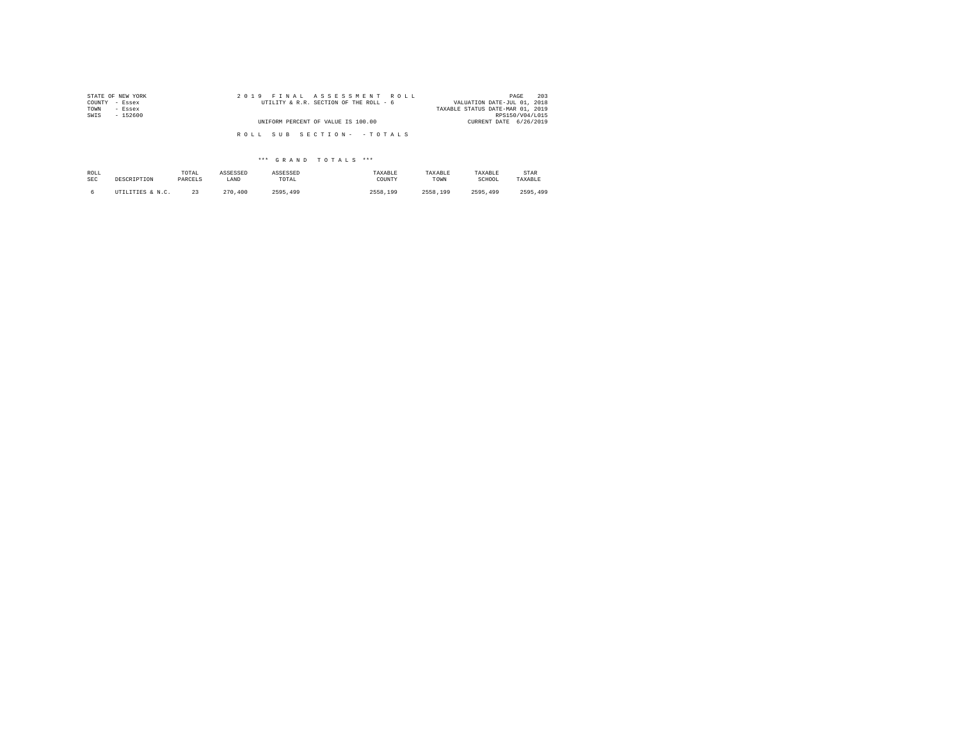| STATE OF NEW YORK | 2019 FINAL ASSESSMENT ROLL             | 203<br>PAGE                      |
|-------------------|----------------------------------------|----------------------------------|
| COUNTY - Essex    | UTILITY & R.R. SECTION OF THE ROLL - 6 | VALUATION DATE-JUL 01, 2018      |
| TOWN<br>- Essex   |                                        | TAXABLE STATUS DATE-MAR 01, 2019 |
| SWIS<br>$-152600$ |                                        | RPS150/V04/L015                  |
|                   | UNIFORM PERCENT OF VALUE IS 100.00     | CURRENT DATE 6/26/2019           |
|                   |                                        |                                  |
|                   | ROLL SUB SECTION- - TOTALS             |                                  |

| ROLL       | DESCRIPTION      | TOTAL   | ASSESSED | ASSESSED | TAXABLE  | TAXABLE  | TAXABLE  | STAR     |
|------------|------------------|---------|----------|----------|----------|----------|----------|----------|
| <b>SEC</b> |                  | PARCELS | LAND     | TOTAL    | COUNTY   | TOWN     | SCHOOL   | TAXABLE  |
|            | UTILITIES & N.C. | 23      | 270,400  | 2595,499 | 2558,199 | 2558.199 | 2595.499 | 2595,499 |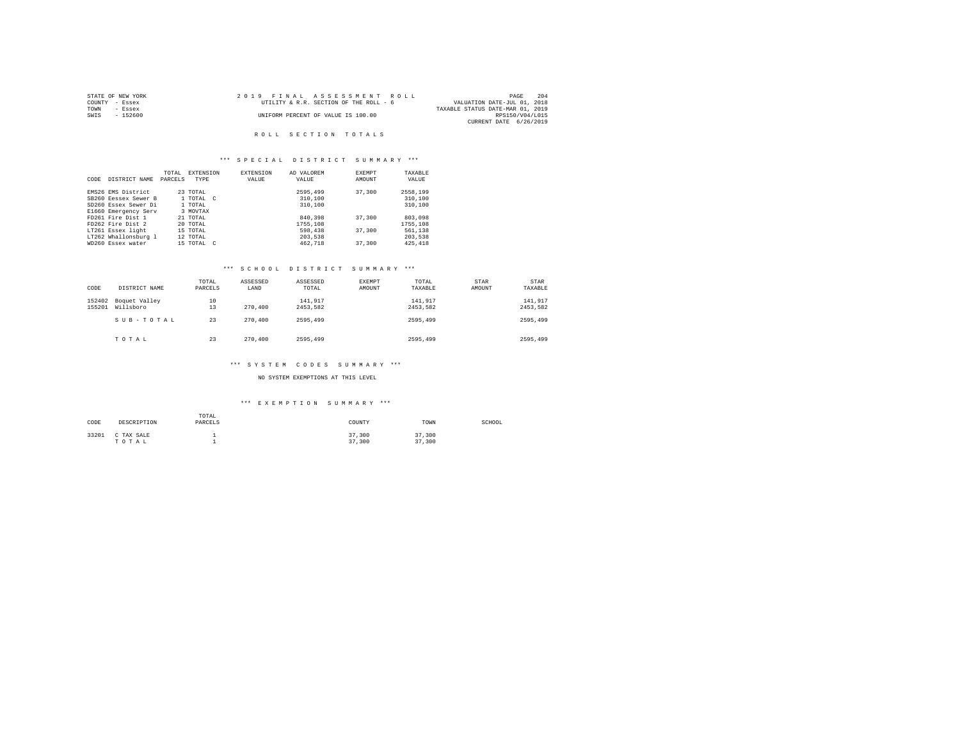| STATE OF NEW YORK | 2019 FINAL ASSESSMENT ROLL             | 204<br>PAGE                      |
|-------------------|----------------------------------------|----------------------------------|
| COUNTY - Essex    | UTILITY & R.R. SECTION OF THE ROLL - 6 | VALUATION DATE-JUL 01, 2018      |
| TOWN<br>- Essex   |                                        | TAXABLE STATUS DATE-MAR 01, 2019 |
| SWIS<br>- 152600  | UNIFORM PERCENT OF VALUE IS 100.00     | RPS150/V04/L015                  |
|                   |                                        | CURRENT DATE 6/26/2019           |

## \*\*\* S P E C I A L D I S T R I C T S U M M A R Y \*\*\*

|      |                      | TOTAL   | <b>EXTENSION</b> | <b>EXTENSION</b> | AD VALOREM | EXEMPT | TAXABLE  |
|------|----------------------|---------|------------------|------------------|------------|--------|----------|
| CODE | DISTRICT NAME        | PARCELS | <b>TYPE</b>      | VALUE            | VALUE      | AMOUNT | VALUE    |
|      |                      |         |                  |                  |            |        |          |
|      | EMS26 EMS District   |         | 23 TOTAL         |                  | 2595,499   | 37,300 | 2558,199 |
|      | SB260 Eessex Sewer B |         | 1 TOTAL C        |                  | 310,100    |        | 310,100  |
|      | SD260 Essex Sewer Di |         | 1 TOTAL          |                  | 310,100    |        | 310,100  |
|      | E1660 Emergency Serv |         | 3 MOVTAX         |                  |            |        |          |
|      | FD261 Fire Dist 1    |         | 21 TOTAL         |                  | 840,398    | 37,300 | 803,098  |
|      | FD262 Fire Dist 2    |         | 20 TOTAL         |                  | 1755,108   |        | 1755,108 |
|      | LT261 Essex light    |         | 15 TOTAL         |                  | 598,438    | 37,300 | 561,138  |
|      | LT262 Whallonsburg 1 |         | 12 TOTAL         |                  | 203,538    |        | 203,538  |
|      | WD260 Essex water    |         | 15 TOTAL C       |                  | 462.718    | 37,300 | 425, 418 |

### \*\*\* S C H O O L D I S T R I C T S U M M A R Y \*\*\*

| CODE             | DISTRICT NAME              | TOTAL<br>PARCELS | ASSESSED<br>LAND | ASSESSED<br>TOTAL   | EXEMPT<br>AMOUNT | TOTAL<br>TAXABLE    | STAR<br>AMOUNT | STAR<br>TAXABLE     |
|------------------|----------------------------|------------------|------------------|---------------------|------------------|---------------------|----------------|---------------------|
| 152402<br>155201 | Boquet Valley<br>Willsboro | 10<br>13         | 270,400          | 141.917<br>2453.582 |                  | 141.917<br>2453.582 |                | 141.917<br>2453.582 |
|                  | SUB-TOTAL                  | 23               | 270,400          | 2595,499            |                  | 2595,499            |                | 2595,499            |
|                  | TOTAL                      | 23               | 270,400          | 2595,499            |                  | 2595,499            |                | 2595,499            |

### \*\*\* S Y S T E M C O D E S S U M M A R Y \*\*\*

NO SYSTEM EXEMPTIONS AT THIS LEVEL

# \*\*\* E X E M P T I O N S U M M A R Y \*\*\*

| CODE  | DESCRIPTION         | TOTAL<br>PARCELS | COUNTY           | TOWN             | SCHOOL |
|-------|---------------------|------------------|------------------|------------------|--------|
| 33201 | C TAX SALE<br>TOTAL |                  | 37,300<br>37,300 | 37,300<br>37,300 |        |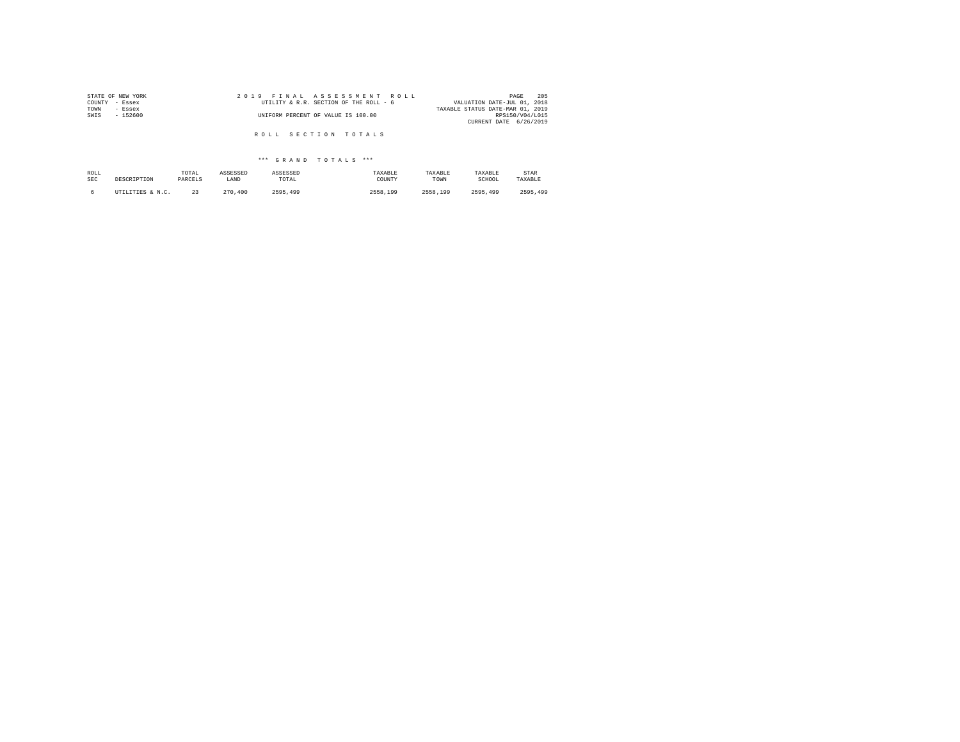| STATE OF NEW YORK | 2019 FINAL ASSESSMENT ROLL             | 205<br>PAGE                      |
|-------------------|----------------------------------------|----------------------------------|
| COUNTY<br>- Essex | UTILITY & R.R. SECTION OF THE ROLL - 6 | VALUATION DATE-JUL 01, 2018      |
| TOWN<br>- Essex   |                                        | TAXABLE STATUS DATE-MAR 01, 2019 |
| SWIS<br>$-152600$ | UNIFORM PERCENT OF VALUE IS 100.00     | RPS150/V04/L015                  |
|                   |                                        | CURRENT DATE 6/26/2019           |
|                   |                                        |                                  |
|                   | ROLL SECTION TOTALS                    |                                  |

| ROLL | DESCRIPTION      | TOTAL   | ASSESSED | ASSESSED | TAXABLE  | TAXABLE  | TAXABLE  | STAR     |
|------|------------------|---------|----------|----------|----------|----------|----------|----------|
| SEC  |                  | PARCELS | LAND     | TOTAL    | COUNTY   | TOWN     | SCHOOL   | TAXABLE  |
|      | UTILITIES & N.C. | 23      | 270,400  | 2595.499 | 2558,199 | 2558.199 | 2595.499 | 2595.499 |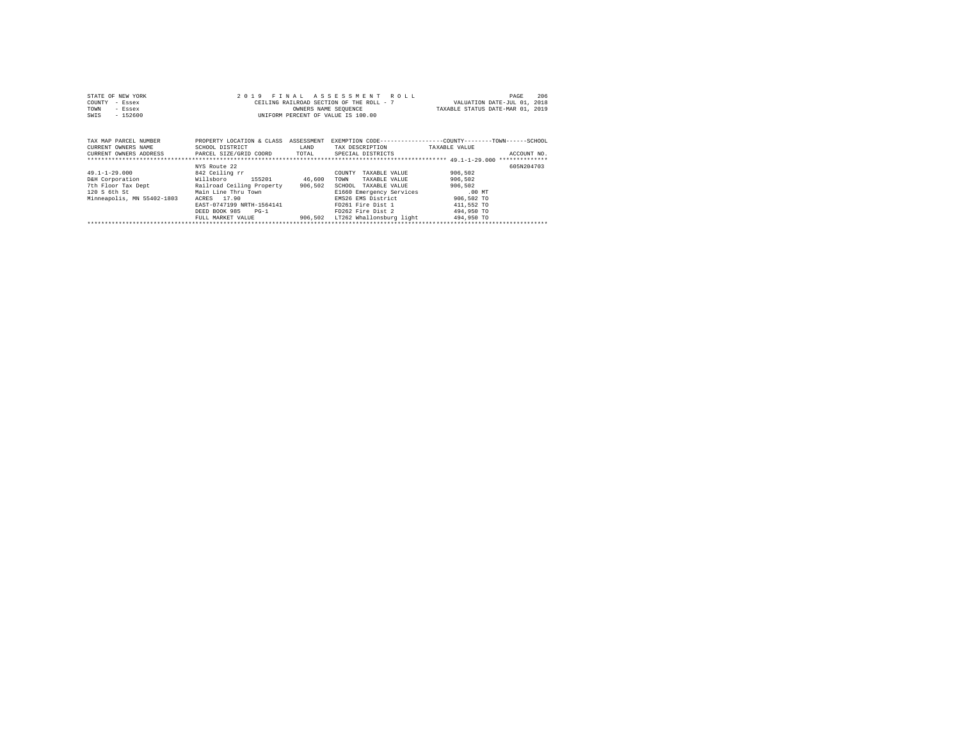| STATE OF NEW YORK | 2019 FINAL ASSESSMENT ROLL               | 206<br>PAGE                      |
|-------------------|------------------------------------------|----------------------------------|
| COUNTY - Essex    | CEILING RAILROAD SECTION OF THE ROLL - 7 | VALUATION DATE-JUL 01, 2018      |
| TOWN<br>- Essex   | OWNERS NAME SEOUENCE                     | TAXABLE STATUS DATE-MAR 01, 2019 |
| $-152600$<br>SWIS | UNIFORM PERCENT OF VALUE IS 100.00       |                                  |
|                   |                                          |                                  |

| TAX MAP PARCEL NUMBER<br>CURRENT OWNERS NAME<br>CURRENT OWNERS ADDRESS                                     | PROPERTY LOCATION & CLASS<br>SCHOOL DISTRICT<br>PARCEL SIZE/GRID COORD                                                                                                                                   | ASSESSMENT<br>LAND<br>TOTAL  | EXEMPTION CODE-----------------COUNTY-------TOWN------SCHOOL<br>TAX DESCRIPTION<br>SPECIAL DISTRICTS                                                                                                | TAXABLE VALUE                                                                                     | ACCOUNT NO. |
|------------------------------------------------------------------------------------------------------------|----------------------------------------------------------------------------------------------------------------------------------------------------------------------------------------------------------|------------------------------|-----------------------------------------------------------------------------------------------------------------------------------------------------------------------------------------------------|---------------------------------------------------------------------------------------------------|-------------|
| $49.1 - 1 - 29.000$<br>D&H Corporation<br>7th Floor Tax Dept<br>120 S 6th St<br>Minneapolis, MN 55402-1803 | NYS Route 22<br>842 Ceiling rr<br>155201<br>Willsboro<br>Railroad Ceiling Property<br>Main Line Thru Town<br>17.90<br>ACRES<br>EAST-0747199 NRTH-1564141<br>DEED BOOK 985<br>$PG-1$<br>FULL MARKET VALUE | 46,600<br>906,502<br>906,502 | TAXABLE VALUE<br>COUNTY<br>TAXABLE VALUE<br>TOWN<br>SCHOOL<br>TAXABLE VALUE<br>E1660 Emergency Services<br>EMS26 EMS District<br>FD261 Fire Dist 1<br>FD262 Fire Dist 2<br>LT262 Whallonsburg light | 906,502<br>906.502<br>906,502<br>$.00$ MT<br>906,502 TO<br>411,552 TO<br>494,950 TO<br>494,950 TO | 605N204703  |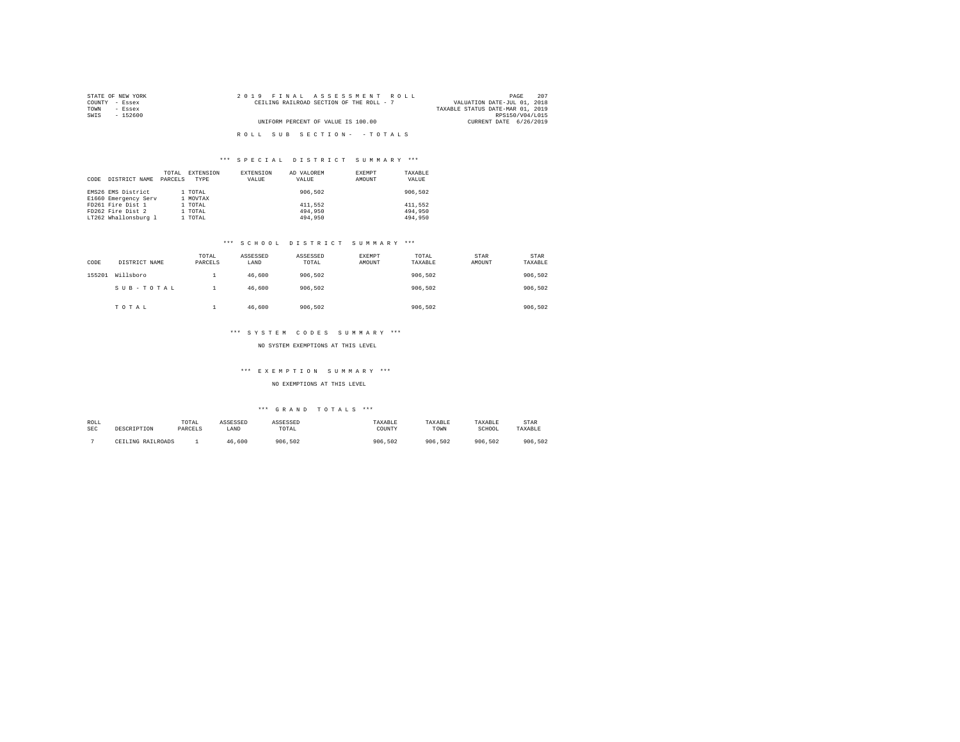| STATE OF NEW YORK | 2019 FINAL ASSESSMENT ROLL               | 207<br>PAGE                      |
|-------------------|------------------------------------------|----------------------------------|
| COUNTY - Essex    | CEILING RAILROAD SECTION OF THE ROLL - 7 | VALUATION DATE-JUL 01, 2018      |
| TOWN<br>- Essex   |                                          | TAXABLE STATUS DATE-MAR 01, 2019 |
| SWIS<br>- 152600  |                                          | RPS150/V04/L015                  |
|                   | UNIFORM PERCENT OF VALUE IS 100.00       | CURRENT DATE 6/26/2019           |
|                   |                                          |                                  |
|                   | ROLL SUB SECTION- - TOTALS               |                                  |

| CODE | DISTRICT NAME        | TOTAL<br>PARCELS | EXTENSION<br>TYPE | EXTENSION<br>VALUE | AD VALOREM<br>VALUE | EXEMPT<br>AMOUNT | TAXABLE<br>VALUE |
|------|----------------------|------------------|-------------------|--------------------|---------------------|------------------|------------------|
|      | EMS26 EMS District   |                  | 1 TOTAL           |                    | 906,502             |                  | 906,502          |
|      | E1660 Emergency Serv |                  | 1 MOVTAX          |                    |                     |                  |                  |
|      | FD261 Fire Dist 1    |                  | 1 TOTAL           |                    | 411.552             |                  | 411.552          |
|      | FD262 Fire Dist 2    |                  | 1 TOTAL           |                    | 494,950             |                  | 494,950          |
|      | LT262 Whallonsburg 1 |                  | 1 TOTAL           |                    | 494,950             |                  | 494,950          |

### \*\*\* S C H O O L D I S T R I C T S U M M A R Y \*\*\*

| CODE   | DISTRICT NAME | TOTAL<br>PARCELS | ASSESSED<br>LAND | ASSESSED<br>TOTAL | EXEMPT<br>AMOUNT | TOTAL<br>TAXABLE | STAR<br>AMOUNT | STAR<br>TAXABLE |
|--------|---------------|------------------|------------------|-------------------|------------------|------------------|----------------|-----------------|
| 155201 | Willsboro     |                  | 46,600           | 906.502           |                  | 906.502          |                | 906,502         |
|        | SUB-TOTAL     |                  | 46.600           | 906.502           |                  | 906.502          |                | 906,502         |
|        | TOTAL         |                  | 46,600           | 906.502           |                  | 906.502          |                | 906,502         |

#### \*\*\* S Y S T E M C O D E S S U M M A R Y \*\*\*

# NO SYSTEM EXEMPTIONS AT THIS LEVEL

#### \*\*\* E X E M P T I O N S U M M A R Y \*\*\*

#### NO EXEMPTIONS AT THIS LEVEL

| ROLL       | DESCRIPTION       | TOTAL   | ASSESSED | <b><i>ASSESSED</i></b> | TAXABLE | TAXABLE | TAXABLE | STAR    |
|------------|-------------------|---------|----------|------------------------|---------|---------|---------|---------|
| <b>SEC</b> |                   | PARCELS | LAND     | TOTAL                  | COUNTY  | TOWN    | SCHOOL  | TAXABLE |
|            | CEILING RAILROADS |         | 46.600   | 906.502                | 906.502 | 906.502 | 906.502 | 906.502 |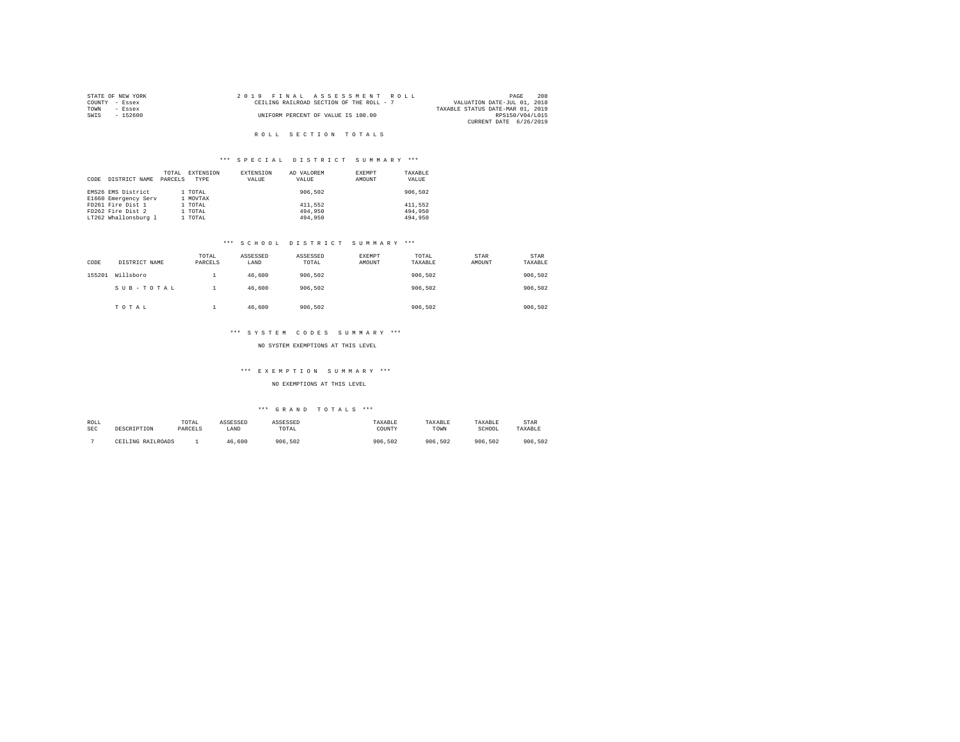|      | STATE OF NEW YORK | 2019 FINAL ASSESSMENT ROLL               | 208<br>PAGE                      |
|------|-------------------|------------------------------------------|----------------------------------|
|      | COUNTY - Essex    | CEILING RAILROAD SECTION OF THE ROLL - 7 | VALUATION DATE-JUL 01, 2018      |
| TOWN | - Essex           |                                          | TAXABLE STATUS DATE-MAR 01, 2019 |
| SWTS | $-152600$         | UNIFORM PERCENT OF VALUE IS 100.00       | RPS150/V04/L015                  |
|      |                   |                                          | CURRENT DATE 6/26/2019           |

## \*\*\* S P E C I A L D I S T R I C T S U M M A R Y \*\*\*

| CODE | DISTRICT NAME        | TOTAL<br>PARCELS | EXTENSION<br>TYPE | <b>EXTENSION</b><br>VALUE | AD VALOREM<br>VALUE | EXEMPT<br>AMOUNT | TAXABLE<br>VALUE |
|------|----------------------|------------------|-------------------|---------------------------|---------------------|------------------|------------------|
|      | EMS26 EMS District   |                  | 1 TOTAL           |                           | 906,502             |                  | 906,502          |
|      | E1660 Emergency Serv |                  | 1 MOVTAX          |                           |                     |                  |                  |
|      | FD261 Fire Dist 1    |                  | 1 TOTAL           |                           | 411.552             |                  | 411.552          |
|      | FD262 Fire Dist 2    |                  | 1 TOTAL           |                           | 494,950             |                  | 494,950          |
|      | LT262 Whallonsburg 1 |                  | 1 TOTAL           |                           | 494,950             |                  | 494,950          |

### \*\*\* S C H O O L D I S T R I C T S U M M A R Y \*\*\*

| CODE   | DISTRICT NAME | TOTAL<br>PARCELS | ASSESSED<br>LAND | ASSESSED<br>TOTAL | <b>EXEMPT</b><br>AMOUNT | TOTAL<br>TAXABLE | STAR<br>AMOUNT | STAR<br>TAXABLE |
|--------|---------------|------------------|------------------|-------------------|-------------------------|------------------|----------------|-----------------|
| 155201 | Willsboro     |                  | 46,600           | 906.502           |                         | 906.502          |                | 906,502         |
|        | SUB-TOTAL     |                  | 46,600           | 906,502           |                         | 906,502          |                | 906,502         |
|        | TOTAL         |                  | 46,600           | 906,502           |                         | 906.502          |                | 906,502         |

#### \*\*\* S Y S T E M C O D E S S U M M A R Y \*\*\*

### NO SYSTEM EXEMPTIONS AT THIS LEVEL

#### \*\*\* E X E M P T I O N S U M M A R Y \*\*\*

NO EXEMPTIONS AT THIS LEVEL

| ROLL       | DESCRIPTION       | TOTAL   | ASSESSED | <b><i>ASSESSED</i></b> | TAXABLE | TAXABLE | TAXABLE | STAR    |
|------------|-------------------|---------|----------|------------------------|---------|---------|---------|---------|
| <b>SEC</b> |                   | PARCELS | LAND     | TOTAL                  | COUNTY  | TOWN    | SCHOOL  | TAXABLE |
|            | CEILING RAILROADS |         | 46.600   | 906.502                | 906.502 | 906.502 | 906.502 | 906.502 |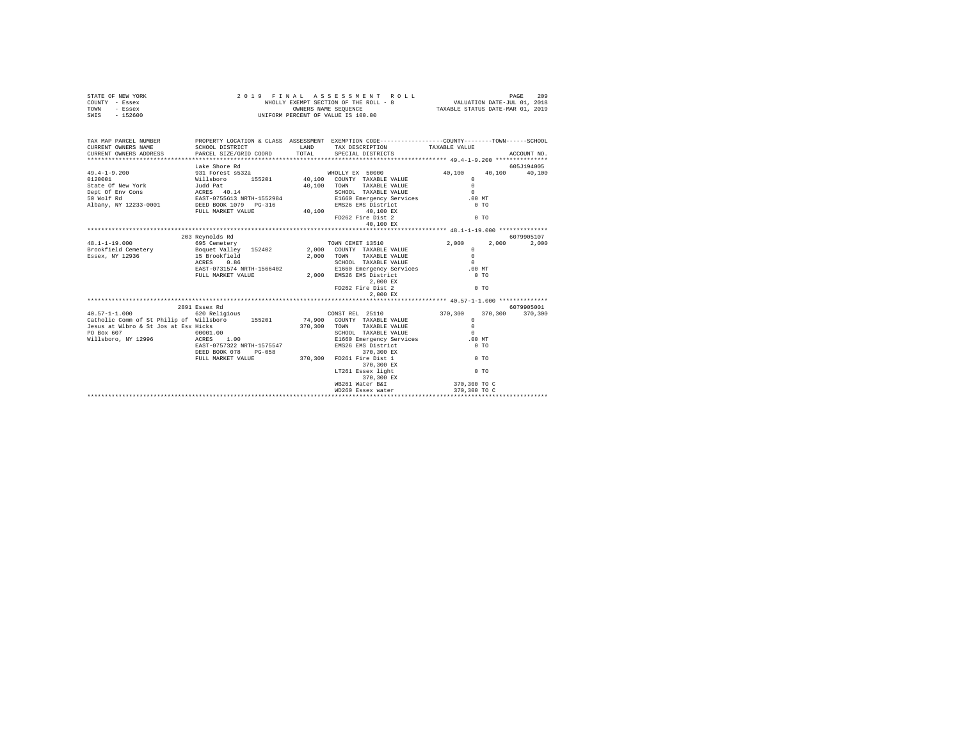|      | STATE OF NEW YORK | 2019 FINAL ASSESSMENT ROLL            | 209<br>PAGE                      |
|------|-------------------|---------------------------------------|----------------------------------|
|      | COUNTY - Essex    | WHOLLY EXEMPT SECTION OF THE ROLL - 8 | VALUATION DATE-JUL 01, 2018      |
| TOWN | - Essex           | OWNERS NAME SEOUENCE                  | TAXABLE STATUS DATE-MAR 01, 2019 |
| SWIS | - 152600          | UNIFORM PERCENT OF VALUE IS 100.00    |                                  |

| TAX MAP PARCEL NUMBER                                                                                                                                                                                                                                                                                                                                      |                          | PROPERTY LOCATION & CLASS ASSESSMENT EXEMPTION CODE----------------COUNTY-------TOWN------SCHOOL                                                                          |                |            |
|------------------------------------------------------------------------------------------------------------------------------------------------------------------------------------------------------------------------------------------------------------------------------------------------------------------------------------------------------------|--------------------------|---------------------------------------------------------------------------------------------------------------------------------------------------------------------------|----------------|------------|
|                                                                                                                                                                                                                                                                                                                                                            |                          |                                                                                                                                                                           |                |            |
|                                                                                                                                                                                                                                                                                                                                                            | Lake Shore Rd            |                                                                                                                                                                           |                | 605J194005 |
|                                                                                                                                                                                                                                                                                                                                                            |                          |                                                                                                                                                                           |                |            |
|                                                                                                                                                                                                                                                                                                                                                            |                          |                                                                                                                                                                           |                |            |
|                                                                                                                                                                                                                                                                                                                                                            |                          |                                                                                                                                                                           |                |            |
|                                                                                                                                                                                                                                                                                                                                                            |                          |                                                                                                                                                                           |                |            |
|                                                                                                                                                                                                                                                                                                                                                            |                          |                                                                                                                                                                           |                |            |
|                                                                                                                                                                                                                                                                                                                                                            |                          |                                                                                                                                                                           |                |            |
|                                                                                                                                                                                                                                                                                                                                                            | FULL MARKET VALUE 40,100 | 40,100 EX                                                                                                                                                                 |                |            |
|                                                                                                                                                                                                                                                                                                                                                            |                          | FD262 Fire Dist 2                                                                                                                                                         | $0$ TO         |            |
|                                                                                                                                                                                                                                                                                                                                                            |                          |                                                                                                                                                                           |                |            |
|                                                                                                                                                                                                                                                                                                                                                            |                          |                                                                                                                                                                           |                |            |
|                                                                                                                                                                                                                                                                                                                                                            | 203 Revnolds Rd          |                                                                                                                                                                           |                | 6079905107 |
| $48.1 - 1 - 19.000$                                                                                                                                                                                                                                                                                                                                        |                          | 695 Cemetery <b>Example 2</b> ,000 2,000 2,000                                                                                                                            |                | 2,000      |
|                                                                                                                                                                                                                                                                                                                                                            |                          |                                                                                                                                                                           | $\Omega$       |            |
|                                                                                                                                                                                                                                                                                                                                                            |                          |                                                                                                                                                                           | $\Omega$       |            |
|                                                                                                                                                                                                                                                                                                                                                            | ACRES 0.86               |                                                                                                                                                                           |                |            |
|                                                                                                                                                                                                                                                                                                                                                            |                          |                                                                                                                                                                           |                |            |
|                                                                                                                                                                                                                                                                                                                                                            |                          |                                                                                                                                                                           |                |            |
|                                                                                                                                                                                                                                                                                                                                                            |                          | $2$ , 000 $\,$ EX                                                                                                                                                         |                |            |
|                                                                                                                                                                                                                                                                                                                                                            |                          | FD262 Fire Dist 2                                                                                                                                                         | 0 T0           |            |
|                                                                                                                                                                                                                                                                                                                                                            |                          | 2,000 EX                                                                                                                                                                  |                |            |
|                                                                                                                                                                                                                                                                                                                                                            |                          |                                                                                                                                                                           |                |            |
|                                                                                                                                                                                                                                                                                                                                                            | 2891 Essex Rd            |                                                                                                                                                                           |                | 6079905001 |
|                                                                                                                                                                                                                                                                                                                                                            |                          |                                                                                                                                                                           |                |            |
|                                                                                                                                                                                                                                                                                                                                                            |                          |                                                                                                                                                                           |                |            |
| $\begin{array}{lllll} \texttt{40.57--1-1.000} & \texttt{40.520} & \texttt{40.530} & \texttt{60.540} & \texttt{60.540} & \texttt{60.540} & \texttt{60.540} & \texttt{60.540} & \texttt{60.540} & \texttt{60.540} \\ \texttt{Cathicome} & \texttt{50.540} & \texttt{60.540} & \texttt{60.540} & \texttt{60.540} & \texttt{60.540} & \texttt{60.540} & \text$ |                          |                                                                                                                                                                           |                |            |
| PO Box 607 00001.00<br>Willsboro, NY 12996 ACRES 1.00                                                                                                                                                                                                                                                                                                      |                          | SCHOOL TAXABLE VALUE                                                                                                                                                      | $\Omega$       |            |
|                                                                                                                                                                                                                                                                                                                                                            |                          | E1660 Emergency Services .00 MT                                                                                                                                           |                |            |
|                                                                                                                                                                                                                                                                                                                                                            |                          | EAST-0757322 NRTH-1575547 EMS26 EMS District 0 TO TO TO TO EDED BOOK TO BOOK 2 TO TO TO TO TO TO TO TO TO TO TO<br>DEED BOOK 078 PG-058 370,300 FD261 Fire Dist 1 0 TO TO |                |            |
|                                                                                                                                                                                                                                                                                                                                                            |                          |                                                                                                                                                                           |                |            |
|                                                                                                                                                                                                                                                                                                                                                            |                          |                                                                                                                                                                           |                |            |
|                                                                                                                                                                                                                                                                                                                                                            |                          | 370,300 EX                                                                                                                                                                |                |            |
|                                                                                                                                                                                                                                                                                                                                                            |                          | LT261 Essex light                                                                                                                                                         | 0 <sub>T</sub> |            |
|                                                                                                                                                                                                                                                                                                                                                            |                          | 370,300 EX                                                                                                                                                                |                |            |
|                                                                                                                                                                                                                                                                                                                                                            |                          | WB261 Water B&I                                                                                                                                                           | 370,300 TO C   |            |
|                                                                                                                                                                                                                                                                                                                                                            |                          | WD260 Essex water                                                                                                                                                         | 370,300 TO C   |            |
|                                                                                                                                                                                                                                                                                                                                                            |                          |                                                                                                                                                                           |                |            |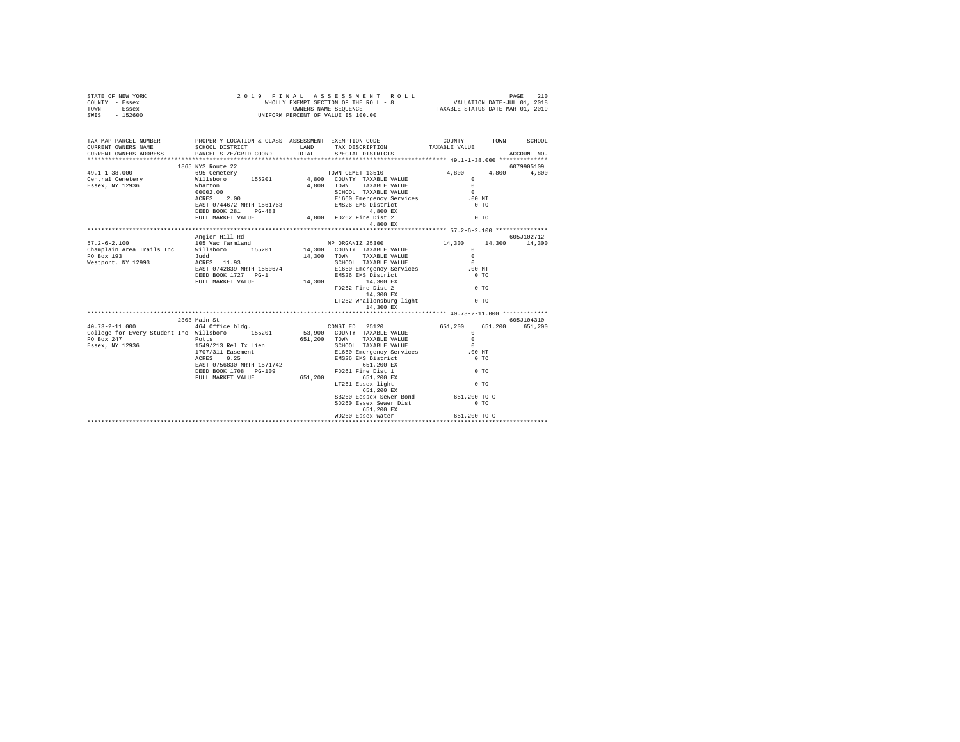| STATE OF NEW YORK<br>COUNTY - Essex<br>TOWN - Essex<br>SWIS - 152600                                                                                                                                                                                                                                                                                                                                    | 2019 FINAL ASSESSMENT 1<br>WHOLLY EXEMPT SECTION OF THE ROLL -<br>UNIFORM PERCENT OF VALUE IS 100.00                                                                | 2019 FINAL ASSESSMENT ROLL                                                                                                                                                                                                                                             |                                                       |                                  |
|---------------------------------------------------------------------------------------------------------------------------------------------------------------------------------------------------------------------------------------------------------------------------------------------------------------------------------------------------------------------------------------------------------|---------------------------------------------------------------------------------------------------------------------------------------------------------------------|------------------------------------------------------------------------------------------------------------------------------------------------------------------------------------------------------------------------------------------------------------------------|-------------------------------------------------------|----------------------------------|
| TAX MAP PARCEL NUMBER PROPERTY LOCATION & CLASS ASSESSMENT EXEMPTION CODE--------------COUNTY-------TOWN-----SCHOOL                                                                                                                                                                                                                                                                                     | SCHOOL DISTRICT TAND TAX DESCRIPTION                                                                                                                                |                                                                                                                                                                                                                                                                        | TAXABLE VALUE                                         |                                  |
|                                                                                                                                                                                                                                                                                                                                                                                                         |                                                                                                                                                                     | SPECIAL DISTRICTS                                                                                                                                                                                                                                                      |                                                       | ACCOUNT NO.                      |
|                                                                                                                                                                                                                                                                                                                                                                                                         | 1865 NYS Route 22                                                                                                                                                   |                                                                                                                                                                                                                                                                        |                                                       | 6079905109                       |
| $49.1 - 1 - 38.000$                                                                                                                                                                                                                                                                                                                                                                                     |                                                                                                                                                                     | TOWN CEMET 13510                                                                                                                                                                                                                                                       | 4,800 4,800                                           | 4,800                            |
| Central Cemetery<br>Essex, NY 12936                                                                                                                                                                                                                                                                                                                                                                     | TOWN CEMET 13510 ו- TOWN CEMET 13510<br>Willsboro 155201 4,800 COUNTY TAXABLE VALUE<br>Wharton 155201 4,800 TOWN TAXABLE VALUE<br>Wharton<br>00002.00<br>ACRES 2.00 |                                                                                                                                                                                                                                                                        | $^{\circ}$<br>$\sim$ 0<br>$\sim$ 0<br>.00MT<br>$0$ TO |                                  |
|                                                                                                                                                                                                                                                                                                                                                                                                         | FULL MARKET VALUE 4,800 FD262 Fire Dist 2                                                                                                                           |                                                                                                                                                                                                                                                                        | 0 <sub>T</sub>                                        |                                  |
|                                                                                                                                                                                                                                                                                                                                                                                                         |                                                                                                                                                                     | 4,800 EX                                                                                                                                                                                                                                                               |                                                       |                                  |
|                                                                                                                                                                                                                                                                                                                                                                                                         |                                                                                                                                                                     |                                                                                                                                                                                                                                                                        |                                                       | 605J102712                       |
|                                                                                                                                                                                                                                                                                                                                                                                                         | Angier Hill Rd                                                                                                                                                      |                                                                                                                                                                                                                                                                        | 14,300                                                | 14,300 14,300                    |
|                                                                                                                                                                                                                                                                                                                                                                                                         | EAST-0742839 NRTH-1550674                                                                                                                                           | SCHOOL TAXABLE VALUE<br>${\tt DEED \ BOOK \ 1727 \  \  \, PG-1} \hspace{3.8cm} {\tt EMS26 \ EMS \  \, \tt District} \ \label{eq:27}$ ${\tt FULL \  \, \tt MARKET \  \, VALUE} \hspace{3.8cm} 14,300 \ \  \, \tt 14,300 \  \, \tt 24$<br>FD262 Fire Dist 2<br>14,300 EX | $\Omega$<br>$\Omega$<br>$0$ TO<br>0 <sub>T</sub>      |                                  |
|                                                                                                                                                                                                                                                                                                                                                                                                         |                                                                                                                                                                     | LT262 Whallonsburg light 0 TO<br>14,300 EX                                                                                                                                                                                                                             |                                                       |                                  |
|                                                                                                                                                                                                                                                                                                                                                                                                         |                                                                                                                                                                     |                                                                                                                                                                                                                                                                        |                                                       |                                  |
|                                                                                                                                                                                                                                                                                                                                                                                                         |                                                                                                                                                                     |                                                                                                                                                                                                                                                                        |                                                       | 605J104310<br>651,200<br>651,200 |
| $\begin{tabular}{l c c c c c} \multicolumn{4}{c c c c} \multicolumn{4}{c c c} \multicolumn{4}{c c c} \multicolumn{4}{c c c} \multicolumn{4}{c c c} \multicolumn{4}{c c c} \multicolumn{4}{c c c} \multicolumn{4}{c c c} \multicolumn{4}{c c c} \multicolumn{4}{c c c} \multicolumn{4}{c c c} \multicolumn{4}{c c c} \multicolumn{4}{c c c} \multicolumn{4}{c c c} \multicolumn{4}{c c c} \multicolumn{$ |                                                                                                                                                                     |                                                                                                                                                                                                                                                                        |                                                       |                                  |
|                                                                                                                                                                                                                                                                                                                                                                                                         |                                                                                                                                                                     | 651,200 EX<br>SB260 Eessex Sewer Bond 651,200 TO C<br>SD260 Essex Sewer Dist                                                                                                                                                                                           | $0$ TO                                                |                                  |
|                                                                                                                                                                                                                                                                                                                                                                                                         |                                                                                                                                                                     | 651,200 EX<br>WD260 Essex water                                                                                                                                                                                                                                        | 651,200 TO C                                          |                                  |
|                                                                                                                                                                                                                                                                                                                                                                                                         |                                                                                                                                                                     |                                                                                                                                                                                                                                                                        |                                                       |                                  |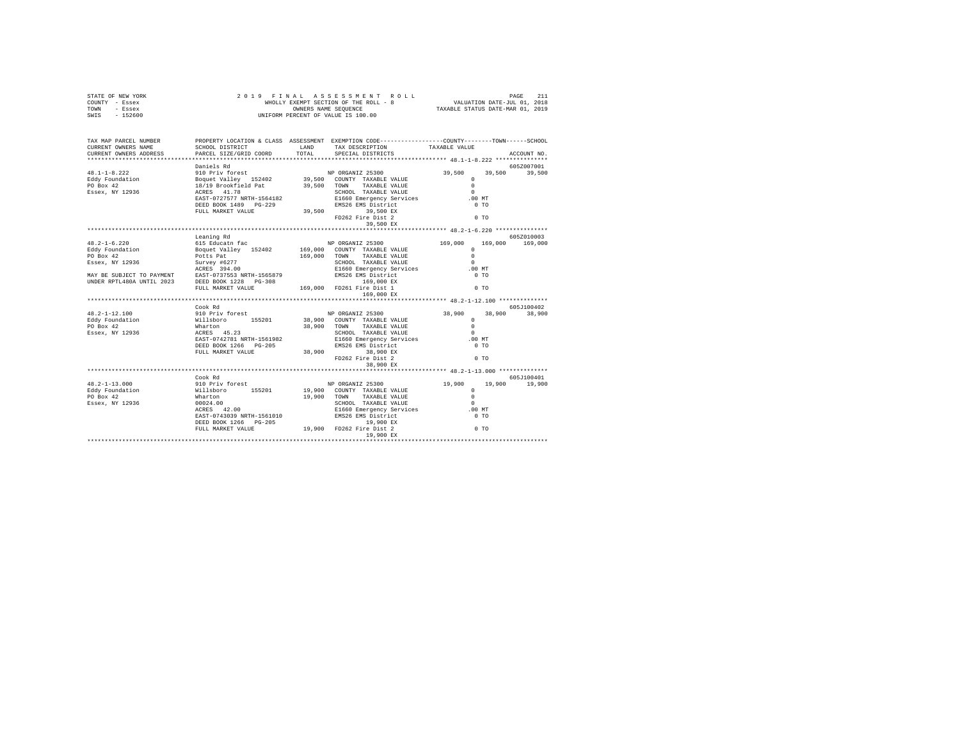| STATE OF NEW YORK<br>COUNTY - Essex<br>TOWN - Essex<br>SWIS - 152600                                                                                                                                                                                                                                                                                |            |  |             |
|-----------------------------------------------------------------------------------------------------------------------------------------------------------------------------------------------------------------------------------------------------------------------------------------------------------------------------------------------------|------------|--|-------------|
|                                                                                                                                                                                                                                                                                                                                                     |            |  |             |
| TAX MAP PARCEL NUMBER PROPERTY LOCATION & CLASS ASSESSMENT EXEMPTION CODE--------------COUNTY-------TOWN-----SCHOOL                                                                                                                                                                                                                                 |            |  |             |
|                                                                                                                                                                                                                                                                                                                                                     |            |  | ACCOUNT NO. |
| $\begin{tabular}{l c c c c c} \hline \texttt{48.1--1-8.222} & \texttt{5012007001} & \texttt{10211} & \texttt{10212} & \texttt{5100} & \texttt{5012007001} & \texttt{6052007001} \\ \hline \texttt{48.1--1-8.222} & \texttt{310} & \texttt{PP.15} & \texttt{5100} & \texttt{310} & \texttt{5100} & \texttt{32402} & \texttt{339,500} & \texttt{339,$ |            |  |             |
|                                                                                                                                                                                                                                                                                                                                                     |            |  |             |
|                                                                                                                                                                                                                                                                                                                                                     |            |  |             |
|                                                                                                                                                                                                                                                                                                                                                     |            |  |             |
|                                                                                                                                                                                                                                                                                                                                                     |            |  |             |
|                                                                                                                                                                                                                                                                                                                                                     |            |  |             |
|                                                                                                                                                                                                                                                                                                                                                     |            |  |             |
|                                                                                                                                                                                                                                                                                                                                                     |            |  |             |
|                                                                                                                                                                                                                                                                                                                                                     |            |  |             |
|                                                                                                                                                                                                                                                                                                                                                     |            |  |             |
|                                                                                                                                                                                                                                                                                                                                                     | Leaning Rd |  | 605Z010003  |
|                                                                                                                                                                                                                                                                                                                                                     |            |  |             |
|                                                                                                                                                                                                                                                                                                                                                     |            |  |             |
|                                                                                                                                                                                                                                                                                                                                                     |            |  |             |
|                                                                                                                                                                                                                                                                                                                                                     |            |  |             |
|                                                                                                                                                                                                                                                                                                                                                     |            |  |             |
|                                                                                                                                                                                                                                                                                                                                                     |            |  |             |
| $\begin{tabular}{l c c c c c} $48.2-1-6.220$ & Learning RdB 2500Ealdly & Biquet value & $152402$ & $169,000$ & $169,000$ & $169,000$ & $169,000$ & $169,000$ & $169,000$ & $169,000$ & $169,000$ & $169,000$ & $169,000$ & $169,000$ & $169,000$ & $169,000$ & $169,000$ & $169,000$ & $169,0$                                                      |            |  |             |
|                                                                                                                                                                                                                                                                                                                                                     |            |  |             |
|                                                                                                                                                                                                                                                                                                                                                     |            |  |             |
|                                                                                                                                                                                                                                                                                                                                                     |            |  |             |
|                                                                                                                                                                                                                                                                                                                                                     |            |  |             |
|                                                                                                                                                                                                                                                                                                                                                     |            |  |             |
|                                                                                                                                                                                                                                                                                                                                                     |            |  |             |
|                                                                                                                                                                                                                                                                                                                                                     |            |  |             |
|                                                                                                                                                                                                                                                                                                                                                     |            |  |             |
|                                                                                                                                                                                                                                                                                                                                                     |            |  |             |
|                                                                                                                                                                                                                                                                                                                                                     |            |  |             |
|                                                                                                                                                                                                                                                                                                                                                     |            |  |             |
|                                                                                                                                                                                                                                                                                                                                                     |            |  |             |
|                                                                                                                                                                                                                                                                                                                                                     | Cook Rd    |  | 605J100401  |
|                                                                                                                                                                                                                                                                                                                                                     |            |  |             |
|                                                                                                                                                                                                                                                                                                                                                     |            |  |             |
|                                                                                                                                                                                                                                                                                                                                                     |            |  |             |
|                                                                                                                                                                                                                                                                                                                                                     |            |  |             |
|                                                                                                                                                                                                                                                                                                                                                     |            |  |             |
|                                                                                                                                                                                                                                                                                                                                                     |            |  |             |
|                                                                                                                                                                                                                                                                                                                                                     |            |  |             |
|                                                                                                                                                                                                                                                                                                                                                     |            |  |             |
|                                                                                                                                                                                                                                                                                                                                                     |            |  |             |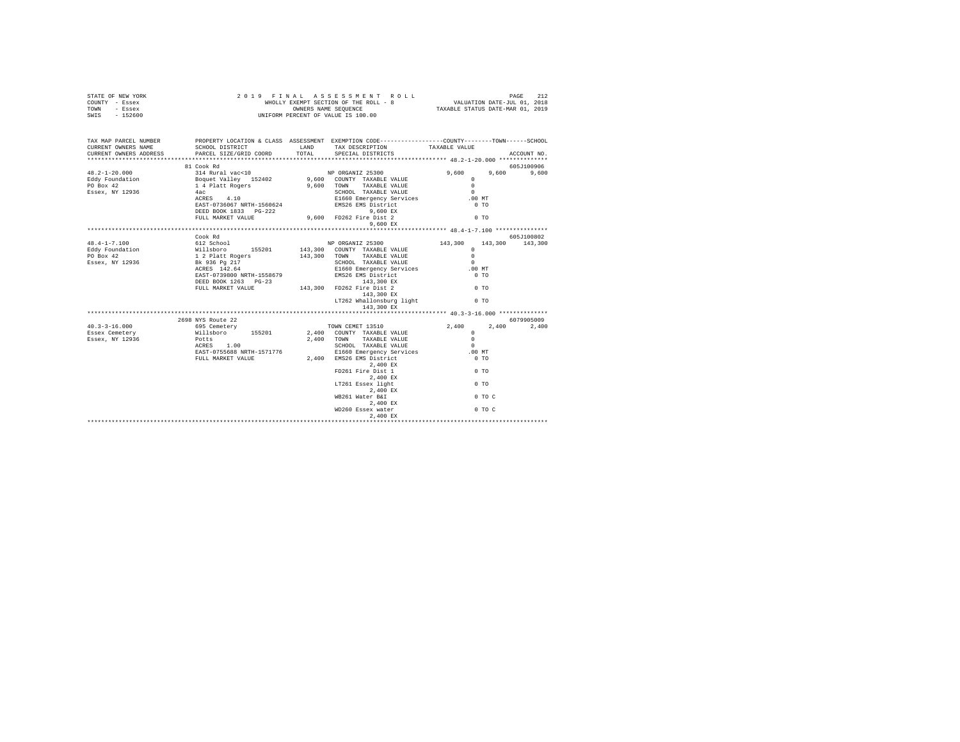| STATE OF NEW YORK<br>COUNTY - Essex<br>TOWN - Essex<br>SWIS - 152600                                                                                                                                                                                                                                                                                         | 2019 FINAL ASSESSMENT<br>WHOLLY EXEMPT SECTION OF THE ROLL -<br>UNIFORM PERCENT OF VALUE IS 100.00 | AL ASSESSMENT ROLL PAGE PAGE 212 PAGE PAGE 211 PAGE 2011<br>EXEMPT SECTION OF THE ROLL - 8 VALUATION DATE-JUL 01, 2018<br>OWNERS NAME SEQUENCE . TAXABLE STATUS DATE-MAR 01, 2019<br>2019 FINAL ASSESSMENT ROLL<br>WHOLLY EXEMPT SECTION OF THE ROLL - 8 |                                                             |             |
|--------------------------------------------------------------------------------------------------------------------------------------------------------------------------------------------------------------------------------------------------------------------------------------------------------------------------------------------------------------|----------------------------------------------------------------------------------------------------|----------------------------------------------------------------------------------------------------------------------------------------------------------------------------------------------------------------------------------------------------------|-------------------------------------------------------------|-------------|
| TAX MAP PARCEL NUMBER PROPERTY LOCATION & CLASS ASSESSMENT EXEMPTION CODE--------------COUNTY-------TOWN------SCHOOL<br>CURRENT OWNERS NAME<br>CURRENT OWNERS ADDRESS PARCEL SIZE/GRID COORD TOTAL                                                                                                                                                           | SCHOOL DISTRICT TAND TAX DESCRIPTION                                                               |                                                                                                                                                                                                                                                          | TAXABLE VALUE                                               |             |
| $\begin{tabular}{lllllllllll} $\text{r.} \; \; 2$--1$--20.000 & $\text{N} \; \; 0.000$ & $\text{314 Rural vac} & $\text{1001} \; \; 0.000$ & $\text{314 Rural vac} & $\text{1011} \; \; 0.000$ & $\text{NP} \; \; 0.000$ & $\text{NP} \; \; 0.000$ & $\text{NP} \; \; 0.000$ & $\text{NP} \; \; 0.000$ & $\text{P.001} \; \; 0.000$ & $\text{P.001} \; \; 0$ |                                                                                                    | SPECIAL DISTRICTS                                                                                                                                                                                                                                        |                                                             | ACCOUNT NO. |
|                                                                                                                                                                                                                                                                                                                                                              |                                                                                                    |                                                                                                                                                                                                                                                          |                                                             | 605J100906  |
|                                                                                                                                                                                                                                                                                                                                                              |                                                                                                    |                                                                                                                                                                                                                                                          | $9.600$ $9.600$                                             | 9,600       |
|                                                                                                                                                                                                                                                                                                                                                              |                                                                                                    |                                                                                                                                                                                                                                                          | $^{\circ}$                                                  |             |
|                                                                                                                                                                                                                                                                                                                                                              |                                                                                                    |                                                                                                                                                                                                                                                          | $\sim$ 0                                                    |             |
|                                                                                                                                                                                                                                                                                                                                                              |                                                                                                    |                                                                                                                                                                                                                                                          | $\sim$<br>.00MT                                             |             |
|                                                                                                                                                                                                                                                                                                                                                              |                                                                                                    |                                                                                                                                                                                                                                                          | $0$ TO                                                      |             |
|                                                                                                                                                                                                                                                                                                                                                              |                                                                                                    |                                                                                                                                                                                                                                                          |                                                             |             |
|                                                                                                                                                                                                                                                                                                                                                              | FULL MARKET VALUE 9,600 FD262 Fire Dist 2                                                          |                                                                                                                                                                                                                                                          | 0 <sub>T</sub>                                              |             |
|                                                                                                                                                                                                                                                                                                                                                              |                                                                                                    | 9,600 EX                                                                                                                                                                                                                                                 |                                                             |             |
|                                                                                                                                                                                                                                                                                                                                                              | Cook Rd                                                                                            |                                                                                                                                                                                                                                                          | ****************************** 48.4-1-7.100 *************** | 605J100802  |
| $48.4 - 1 - 7.100$                                                                                                                                                                                                                                                                                                                                           | 612 School                                                                                         | NP ORGANIZ 25300                                                                                                                                                                                                                                         | 143,300<br>143,300                                          | 143,300     |
|                                                                                                                                                                                                                                                                                                                                                              |                                                                                                    | 143,300 COUNTY TAXABLE VALUE                                                                                                                                                                                                                             | $\Omega$                                                    |             |
|                                                                                                                                                                                                                                                                                                                                                              |                                                                                                    | 143,300 TOWN TAXABLE VALUE                                                                                                                                                                                                                               | $\Omega$                                                    |             |
|                                                                                                                                                                                                                                                                                                                                                              |                                                                                                    | SCHOOL TAXABLE VALUE                                                                                                                                                                                                                                     | $\sim$                                                      |             |
|                                                                                                                                                                                                                                                                                                                                                              |                                                                                                    | E1660 Emergency Services                                                                                                                                                                                                                                 | .00MT                                                       |             |
|                                                                                                                                                                                                                                                                                                                                                              |                                                                                                    | RAST-0739800 NRTH-1558679<br>ENSZ6 EMS District<br>DEED BOOK 1263 PG-23<br>PULL MARKET VALUE 143,300 FD262 Fire Dist 2                                                                                                                                   | $0$ TO                                                      |             |
|                                                                                                                                                                                                                                                                                                                                                              |                                                                                                    |                                                                                                                                                                                                                                                          | 0 <sub>T</sub>                                              |             |
|                                                                                                                                                                                                                                                                                                                                                              |                                                                                                    | 143,300 EX                                                                                                                                                                                                                                               |                                                             |             |
|                                                                                                                                                                                                                                                                                                                                                              |                                                                                                    | LT262 Whallonsburg light 0 TO                                                                                                                                                                                                                            |                                                             |             |
|                                                                                                                                                                                                                                                                                                                                                              |                                                                                                    | 143,300 EX                                                                                                                                                                                                                                               |                                                             |             |
|                                                                                                                                                                                                                                                                                                                                                              |                                                                                                    |                                                                                                                                                                                                                                                          |                                                             |             |
|                                                                                                                                                                                                                                                                                                                                                              |                                                                                                    | 2698 NYS Route 22<br>695 Cemetery 695 Cemetery 2,400<br>Millsboro 155201 2,400 COUNTY TAXABLE VALUE<br>Potts 2,400 TOWN TAXABLE VALUE                                                                                                                    |                                                             | 6079905009  |
| $40.3 - 3 - 16.000$<br>Essex Cemetery                                                                                                                                                                                                                                                                                                                        |                                                                                                    |                                                                                                                                                                                                                                                          | 2,400<br>2,400<br>$\Omega$                                  | 2,400       |
| Essex, NY 12936                                                                                                                                                                                                                                                                                                                                              |                                                                                                    |                                                                                                                                                                                                                                                          | $\sim$                                                      |             |
|                                                                                                                                                                                                                                                                                                                                                              | Potts<br>ACRES 1.00                                                                                |                                                                                                                                                                                                                                                          |                                                             |             |
|                                                                                                                                                                                                                                                                                                                                                              |                                                                                                    |                                                                                                                                                                                                                                                          |                                                             |             |
|                                                                                                                                                                                                                                                                                                                                                              |                                                                                                    |                                                                                                                                                                                                                                                          |                                                             |             |
|                                                                                                                                                                                                                                                                                                                                                              |                                                                                                    | $2,400$ EX                                                                                                                                                                                                                                               | $0$ TO                                                      |             |
|                                                                                                                                                                                                                                                                                                                                                              |                                                                                                    | FD261 Fire Dist 1                                                                                                                                                                                                                                        |                                                             |             |
|                                                                                                                                                                                                                                                                                                                                                              |                                                                                                    | $2,400 \, \text{EX}$ LT261 Essex light                                                                                                                                                                                                                   | $\sim$ 0 TO                                                 |             |
|                                                                                                                                                                                                                                                                                                                                                              |                                                                                                    | 2,400 EX                                                                                                                                                                                                                                                 |                                                             |             |
|                                                                                                                                                                                                                                                                                                                                                              |                                                                                                    | WB261 Water B&I                                                                                                                                                                                                                                          | $0$ TO C                                                    |             |
|                                                                                                                                                                                                                                                                                                                                                              |                                                                                                    | 2,400 EX                                                                                                                                                                                                                                                 |                                                             |             |
|                                                                                                                                                                                                                                                                                                                                                              |                                                                                                    | WD260 Essex water 0 TO C                                                                                                                                                                                                                                 |                                                             |             |
|                                                                                                                                                                                                                                                                                                                                                              |                                                                                                    | 2.400 EX                                                                                                                                                                                                                                                 |                                                             |             |
|                                                                                                                                                                                                                                                                                                                                                              |                                                                                                    |                                                                                                                                                                                                                                                          |                                                             |             |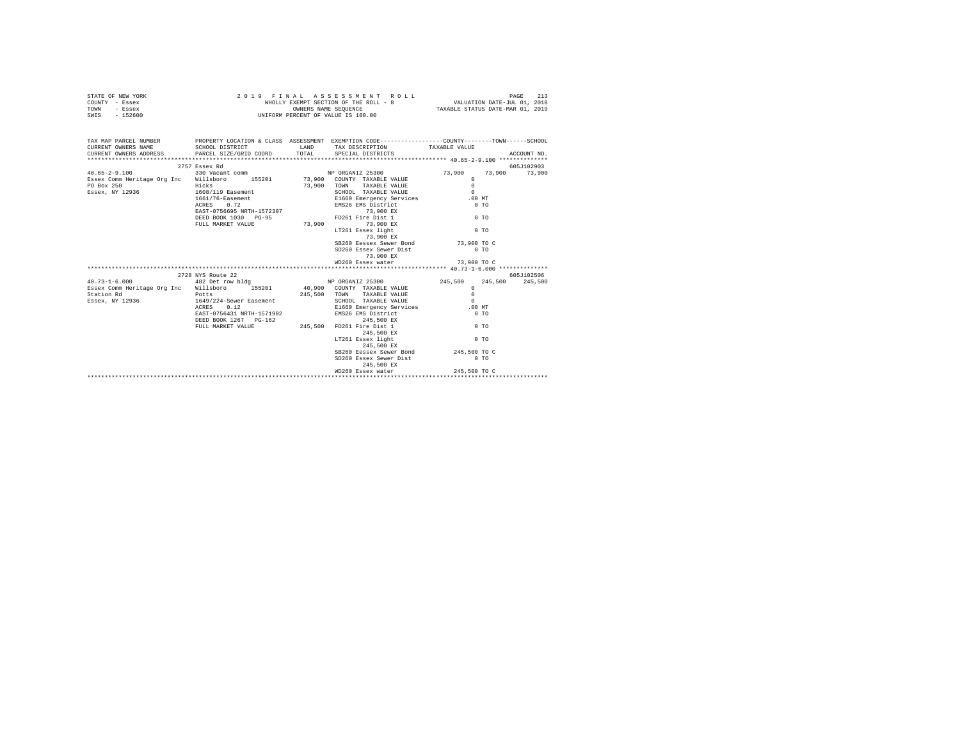| STATE OF NEW YORK | 2019 FINAL ASSESSMENT ROLL            | PAGE                             |
|-------------------|---------------------------------------|----------------------------------|
| COUNTY - Essex    | WHOLLY EXEMPT SECTION OF THE ROLL - 8 | VALUATION DATE-JUL 01, 2018      |
| TOWN<br>- Essex   | OWNERS NAME SEOUENCE                  | TAXABLE STATUS DATE-MAR 01, 2019 |
| - 152600<br>SWIS  | UNIFORM PERCENT OF VALUE IS 100.00    |                                  |

| TAX MAP PARCEL NUMBER PROPERTY LOCATION & CLASS ASSESSMENT EXEMPTION CODE--------------COUNTY-------TOWN-----SCHOOL<br>CURRENT OWNERS NAME               SCHOOL DISTRICT                   LAND       TAX DESCRIPTION                TAXABLE VALUE |                   |                                                                                                                                |              |            |
|----------------------------------------------------------------------------------------------------------------------------------------------------------------------------------------------------------------------------------------------------|-------------------|--------------------------------------------------------------------------------------------------------------------------------|--------------|------------|
|                                                                                                                                                                                                                                                    | 2757 Essex Rd     |                                                                                                                                |              | 605J102903 |
| $40.65 - 2 - 9.100$                                                                                                                                                                                                                                |                   |                                                                                                                                |              |            |
| Essex Comm Heritage Org Inc Willsboro 155201 73,900 COUNTY TAXABLE VALUE                                                                                                                                                                           |                   |                                                                                                                                |              |            |
|                                                                                                                                                                                                                                                    |                   |                                                                                                                                |              |            |
|                                                                                                                                                                                                                                                    |                   |                                                                                                                                |              |            |
| Exact Comm Heritage Org Inc Willisbury<br>FO Box 250<br>FIGS119 Easement 1608/119 Easement 1608/119 Easement 1608/119 Easement 1608/119 Easement 1608/119 Easement 1608/119 Easement 1608/119 Easement 1608/119 Easement 1608/119                  |                   |                                                                                                                                |              |            |
|                                                                                                                                                                                                                                                    |                   |                                                                                                                                |              |            |
|                                                                                                                                                                                                                                                    |                   |                                                                                                                                |              |            |
|                                                                                                                                                                                                                                                    |                   |                                                                                                                                |              |            |
|                                                                                                                                                                                                                                                    |                   |                                                                                                                                |              |            |
|                                                                                                                                                                                                                                                    |                   |                                                                                                                                |              |            |
|                                                                                                                                                                                                                                                    |                   |                                                                                                                                |              |            |
|                                                                                                                                                                                                                                                    |                   | SB260 Eessex Sewer Bond 73,900 TO C<br>SD260 Essex Sewer Dist 0 TO                                                             |              |            |
|                                                                                                                                                                                                                                                    |                   |                                                                                                                                |              |            |
|                                                                                                                                                                                                                                                    |                   | 73,900 EX                                                                                                                      |              |            |
|                                                                                                                                                                                                                                                    |                   | WD260 Essex water 73,900 TO C                                                                                                  |              |            |
|                                                                                                                                                                                                                                                    |                   |                                                                                                                                |              |            |
| 482 Det row bldg N N ORGANIZ 25300 245,500 245,500 245,500 245,500 245,500 245,500 245,500 245,500 245,500 245                                                                                                                                     | 2728 NYS Route 22 |                                                                                                                                |              | 605J102506 |
|                                                                                                                                                                                                                                                    |                   |                                                                                                                                |              |            |
|                                                                                                                                                                                                                                                    |                   |                                                                                                                                |              |            |
| Essex Comm Heritage Org Inc Willsboro 155201 40,900 COUNTY TAXABLE VALUE 0<br>Station Rd Potts 245,500 TOWN TAXABLE VALUE 0<br>Essex, NY 12936 1649/224-Sewer Easement SCHOOL TAXABLE VALUE 0<br>ESSex, NY 12936 1649/224-Sewer Ease               |                   |                                                                                                                                |              |            |
|                                                                                                                                                                                                                                                    |                   |                                                                                                                                |              |            |
|                                                                                                                                                                                                                                                    |                   | EAST-0756431 NRTH-1571902 EMS26 EMS District                                                                                   | $0$ TO       |            |
|                                                                                                                                                                                                                                                    |                   |                                                                                                                                |              |            |
|                                                                                                                                                                                                                                                    |                   | ${\tt DEED\ BOK\ 1267\quad PG-162\quad \hfill 245,500\quad EX\quad \hfill 245,500\quad EX\quad \hfill 0\ TO\quad \hfill 0\ T0$ |              |            |
|                                                                                                                                                                                                                                                    |                   | 245,500 EX                                                                                                                     |              |            |
|                                                                                                                                                                                                                                                    |                   | LT261 Essex light                                                                                                              | $0$ TO       |            |
|                                                                                                                                                                                                                                                    |                   | 245,500 EX                                                                                                                     |              |            |
|                                                                                                                                                                                                                                                    |                   |                                                                                                                                |              |            |
|                                                                                                                                                                                                                                                    |                   | SB260 Eessex Sewer Bond 245,500 TO C<br>SD260 Essex Sewer Dist 0 TO 0                                                          |              |            |
|                                                                                                                                                                                                                                                    |                   | 245,500 EX                                                                                                                     |              |            |
|                                                                                                                                                                                                                                                    |                   | WD260 Essex water                                                                                                              | 245,500 TO C |            |
|                                                                                                                                                                                                                                                    |                   |                                                                                                                                |              |            |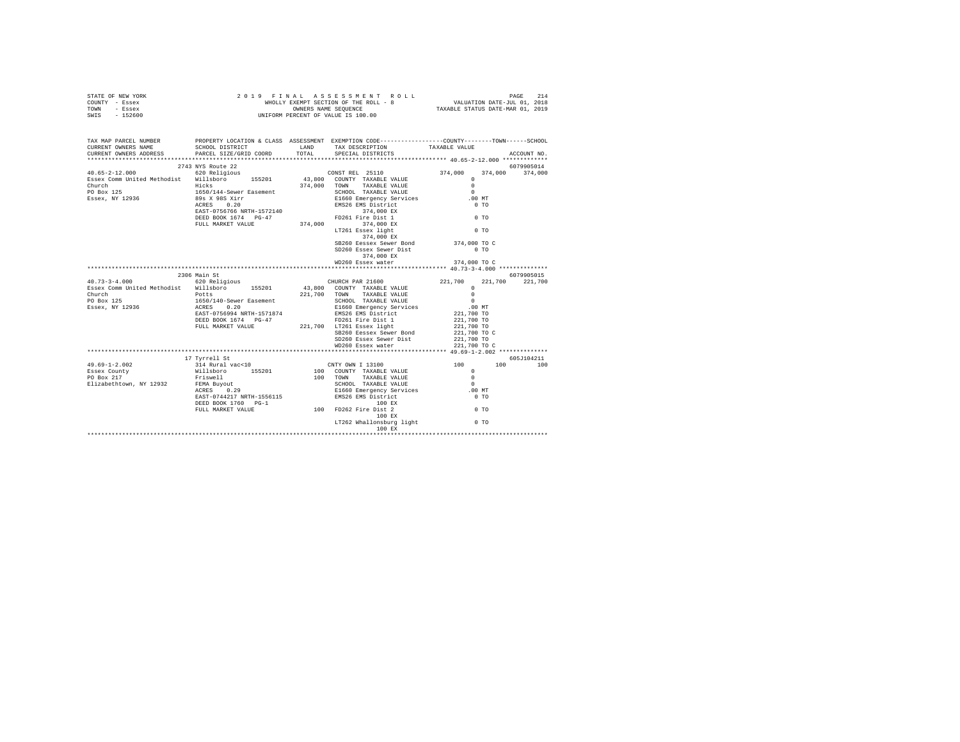| STATE OF NEW YORK | 2019 FINAL ASSESSMENT ROLL            | 214<br>PAGE                      |
|-------------------|---------------------------------------|----------------------------------|
| COUNTY - Essex    | WHOLLY EXEMPT SECTION OF THE ROLL - 8 | VALUATION DATE-JUL 01, 2018      |
| TOWN<br>- Essex   | OWNERS NAME SEOUENCE                  | TAXABLE STATUS DATE-MAR 01, 2019 |
| - 152600<br>SWIS  | UNIFORM PERCENT OF VALUE IS 100.00    |                                  |

| TAX MAP PARCEL NUMBER<br>CURRENT OWNERS NAME                                                                                                                                                                                                                                                                                                                                                                                                                    | SCHOOL DISTRICT                                                                                                                                                                                                                                                                                                                                                                                                                             |  | PROPERTY LOCATION & CLASS ASSESSMENT EXEMPTION CODE---------------COUNTY-------TOWN------SCHOOL<br>LAND TAX DESCRIPTION TAXABLE VALUE |                            |             |  |  |
|-----------------------------------------------------------------------------------------------------------------------------------------------------------------------------------------------------------------------------------------------------------------------------------------------------------------------------------------------------------------------------------------------------------------------------------------------------------------|---------------------------------------------------------------------------------------------------------------------------------------------------------------------------------------------------------------------------------------------------------------------------------------------------------------------------------------------------------------------------------------------------------------------------------------------|--|---------------------------------------------------------------------------------------------------------------------------------------|----------------------------|-------------|--|--|
| CURRENT OWNERS ADDRESS PARCEL SIZE/GRID COORD TOTAL SPECIAL DISTRICTS                                                                                                                                                                                                                                                                                                                                                                                           |                                                                                                                                                                                                                                                                                                                                                                                                                                             |  |                                                                                                                                       |                            | ACCOUNT NO. |  |  |
| $\begin{tabular}{l c c c c c} \multicolumn{4}{c c c} \multicolumn{4}{c c} \multicolumn{4}{c c} \multicolumn{4}{c c} \multicolumn{4}{c} \multicolumn{4}{c} \multicolumn{4}{c} \multicolumn{4}{c} \multicolumn{4}{c} \multicolumn{4}{c} \multicolumn{4}{c} \multicolumn{4}{c} \multicolumn{4}{c} \multicolumn{4}{c} \multicolumn{4}{c} \multicolumn{4}{c} \multicolumn{4}{c} \multicolumn{4}{c} \multicolumn{4}{c} \multicolumn{4}{c} \multicolumn{4}{c} \multic$ | 2743 NYS Route 22                                                                                                                                                                                                                                                                                                                                                                                                                           |  |                                                                                                                                       |                            | 6079905014  |  |  |
|                                                                                                                                                                                                                                                                                                                                                                                                                                                                 |                                                                                                                                                                                                                                                                                                                                                                                                                                             |  |                                                                                                                                       | 374,000                    | 374,000     |  |  |
|                                                                                                                                                                                                                                                                                                                                                                                                                                                                 |                                                                                                                                                                                                                                                                                                                                                                                                                                             |  |                                                                                                                                       |                            |             |  |  |
|                                                                                                                                                                                                                                                                                                                                                                                                                                                                 |                                                                                                                                                                                                                                                                                                                                                                                                                                             |  |                                                                                                                                       |                            |             |  |  |
|                                                                                                                                                                                                                                                                                                                                                                                                                                                                 |                                                                                                                                                                                                                                                                                                                                                                                                                                             |  |                                                                                                                                       |                            |             |  |  |
|                                                                                                                                                                                                                                                                                                                                                                                                                                                                 |                                                                                                                                                                                                                                                                                                                                                                                                                                             |  |                                                                                                                                       |                            |             |  |  |
|                                                                                                                                                                                                                                                                                                                                                                                                                                                                 |                                                                                                                                                                                                                                                                                                                                                                                                                                             |  |                                                                                                                                       |                            |             |  |  |
|                                                                                                                                                                                                                                                                                                                                                                                                                                                                 |                                                                                                                                                                                                                                                                                                                                                                                                                                             |  |                                                                                                                                       |                            |             |  |  |
|                                                                                                                                                                                                                                                                                                                                                                                                                                                                 |                                                                                                                                                                                                                                                                                                                                                                                                                                             |  |                                                                                                                                       |                            |             |  |  |
|                                                                                                                                                                                                                                                                                                                                                                                                                                                                 |                                                                                                                                                                                                                                                                                                                                                                                                                                             |  |                                                                                                                                       |                            |             |  |  |
|                                                                                                                                                                                                                                                                                                                                                                                                                                                                 |                                                                                                                                                                                                                                                                                                                                                                                                                                             |  |                                                                                                                                       |                            |             |  |  |
|                                                                                                                                                                                                                                                                                                                                                                                                                                                                 |                                                                                                                                                                                                                                                                                                                                                                                                                                             |  |                                                                                                                                       |                            |             |  |  |
|                                                                                                                                                                                                                                                                                                                                                                                                                                                                 |                                                                                                                                                                                                                                                                                                                                                                                                                                             |  |                                                                                                                                       |                            |             |  |  |
|                                                                                                                                                                                                                                                                                                                                                                                                                                                                 |                                                                                                                                                                                                                                                                                                                                                                                                                                             |  | SB260 Eessex Sewer Bond 374,000 TO C                                                                                                  |                            |             |  |  |
|                                                                                                                                                                                                                                                                                                                                                                                                                                                                 |                                                                                                                                                                                                                                                                                                                                                                                                                                             |  |                                                                                                                                       |                            |             |  |  |
|                                                                                                                                                                                                                                                                                                                                                                                                                                                                 |                                                                                                                                                                                                                                                                                                                                                                                                                                             |  | 374,000 EX                                                                                                                            |                            |             |  |  |
|                                                                                                                                                                                                                                                                                                                                                                                                                                                                 |                                                                                                                                                                                                                                                                                                                                                                                                                                             |  | WD260 Essex water 374,000 TO C                                                                                                        |                            |             |  |  |
|                                                                                                                                                                                                                                                                                                                                                                                                                                                                 |                                                                                                                                                                                                                                                                                                                                                                                                                                             |  |                                                                                                                                       |                            |             |  |  |
|                                                                                                                                                                                                                                                                                                                                                                                                                                                                 | 2306 Main St                                                                                                                                                                                                                                                                                                                                                                                                                                |  |                                                                                                                                       |                            |             |  |  |
| $\begin{array}{cccc} 40.73 - 3 - 4.000 & 620 \text{ Relations} & 155201 & 43,800 & \text{COUNT PAR 21600} \\ \text{Essex Comm United Methods} & \text{Willsboro} & 155201 & 43,800 & \text{COUNT TAXABLE VALUE} \end{array}$                                                                                                                                                                                                                                    |                                                                                                                                                                                                                                                                                                                                                                                                                                             |  |                                                                                                                                       |                            |             |  |  |
|                                                                                                                                                                                                                                                                                                                                                                                                                                                                 |                                                                                                                                                                                                                                                                                                                                                                                                                                             |  |                                                                                                                                       |                            |             |  |  |
| Church Potts<br>PO Box 125 1650/140-Sewer Easement<br>Essex, NY 12936 12020 2020                                                                                                                                                                                                                                                                                                                                                                                |                                                                                                                                                                                                                                                                                                                                                                                                                                             |  |                                                                                                                                       |                            |             |  |  |
|                                                                                                                                                                                                                                                                                                                                                                                                                                                                 |                                                                                                                                                                                                                                                                                                                                                                                                                                             |  |                                                                                                                                       |                            |             |  |  |
|                                                                                                                                                                                                                                                                                                                                                                                                                                                                 |                                                                                                                                                                                                                                                                                                                                                                                                                                             |  |                                                                                                                                       |                            |             |  |  |
|                                                                                                                                                                                                                                                                                                                                                                                                                                                                 | EAST-0756994 NRTH-1571874                                                                                                                                                                                                                                                                                                                                                                                                                   |  |                                                                                                                                       |                            |             |  |  |
|                                                                                                                                                                                                                                                                                                                                                                                                                                                                 |                                                                                                                                                                                                                                                                                                                                                                                                                                             |  |                                                                                                                                       |                            |             |  |  |
|                                                                                                                                                                                                                                                                                                                                                                                                                                                                 |                                                                                                                                                                                                                                                                                                                                                                                                                                             |  | FULL MARKET VALUE 221,700 LT261 Essex light                                                                                           |                            |             |  |  |
|                                                                                                                                                                                                                                                                                                                                                                                                                                                                 |                                                                                                                                                                                                                                                                                                                                                                                                                                             |  | SB260 Eessex Sewer Bond                                                                                                               | 221,700 TO<br>221,700 TO C |             |  |  |
|                                                                                                                                                                                                                                                                                                                                                                                                                                                                 |                                                                                                                                                                                                                                                                                                                                                                                                                                             |  | SD260 Essex Sewer Dist 221,700 TO                                                                                                     |                            |             |  |  |
|                                                                                                                                                                                                                                                                                                                                                                                                                                                                 |                                                                                                                                                                                                                                                                                                                                                                                                                                             |  | WD260 Essex water                                                                                                                     | 221,700 TO C               |             |  |  |
|                                                                                                                                                                                                                                                                                                                                                                                                                                                                 |                                                                                                                                                                                                                                                                                                                                                                                                                                             |  |                                                                                                                                       |                            |             |  |  |
|                                                                                                                                                                                                                                                                                                                                                                                                                                                                 | 17 Tyrrell St                                                                                                                                                                                                                                                                                                                                                                                                                               |  |                                                                                                                                       |                            | 605J104211  |  |  |
| $49.69 - 1 - 2.002$                                                                                                                                                                                                                                                                                                                                                                                                                                             |                                                                                                                                                                                                                                                                                                                                                                                                                                             |  |                                                                                                                                       |                            | 100         |  |  |
| Essex County                                                                                                                                                                                                                                                                                                                                                                                                                                                    |                                                                                                                                                                                                                                                                                                                                                                                                                                             |  |                                                                                                                                       |                            |             |  |  |
| PO Box 217                                                                                                                                                                                                                                                                                                                                                                                                                                                      |                                                                                                                                                                                                                                                                                                                                                                                                                                             |  |                                                                                                                                       |                            |             |  |  |
| Elizabethtown, NY 12932                                                                                                                                                                                                                                                                                                                                                                                                                                         |                                                                                                                                                                                                                                                                                                                                                                                                                                             |  |                                                                                                                                       |                            |             |  |  |
|                                                                                                                                                                                                                                                                                                                                                                                                                                                                 |                                                                                                                                                                                                                                                                                                                                                                                                                                             |  |                                                                                                                                       |                            |             |  |  |
|                                                                                                                                                                                                                                                                                                                                                                                                                                                                 |                                                                                                                                                                                                                                                                                                                                                                                                                                             |  |                                                                                                                                       |                            |             |  |  |
|                                                                                                                                                                                                                                                                                                                                                                                                                                                                 |                                                                                                                                                                                                                                                                                                                                                                                                                                             |  |                                                                                                                                       |                            |             |  |  |
|                                                                                                                                                                                                                                                                                                                                                                                                                                                                 |                                                                                                                                                                                                                                                                                                                                                                                                                                             |  |                                                                                                                                       |                            |             |  |  |
|                                                                                                                                                                                                                                                                                                                                                                                                                                                                 | $\begin{tabular}{c c c c} \multicolumn{3}{c}{17.7yrxell St1 St1 St1} \multicolumn{3}{c}{\begin{tabular}{c}{\begin{tabular}{c} $17.9yrxell St21$} \multicolumn{3}{c}{\begin{tabular}[c]{c} $17.9yrxell St21$} \multicolumn{3}{c}{\begin{tabular}[c]{c} $100$} \multicolumn{3}{c}{\begin{tabular}[c]{c} $100$} \multicolumn{3}{c}{\begin{tabular}[c]{c} $100$} \multicolumn{3}{c}{\begin{tabular}[c]{c} $100$} \multicolumn{3}{c}{\begin{tab$ |  |                                                                                                                                       |                            |             |  |  |
|                                                                                                                                                                                                                                                                                                                                                                                                                                                                 |                                                                                                                                                                                                                                                                                                                                                                                                                                             |  | 100 EX                                                                                                                                |                            |             |  |  |
|                                                                                                                                                                                                                                                                                                                                                                                                                                                                 |                                                                                                                                                                                                                                                                                                                                                                                                                                             |  | LT262 Whallonsburg light<br>$100 \text{ yr}$                                                                                          | $0$ TO                     |             |  |  |
|                                                                                                                                                                                                                                                                                                                                                                                                                                                                 | LT262 Whallonsburg light [1911]<br>-100 EXE = 100 EXE = 100 EXE = 100 EXE = 100 EXE = 100 EXE = 100 EXE = 100 EXE = 100 EXE = 100 EXE = 100 EXE =                                                                                                                                                                                                                                                                                           |  |                                                                                                                                       |                            |             |  |  |
|                                                                                                                                                                                                                                                                                                                                                                                                                                                                 |                                                                                                                                                                                                                                                                                                                                                                                                                                             |  |                                                                                                                                       |                            |             |  |  |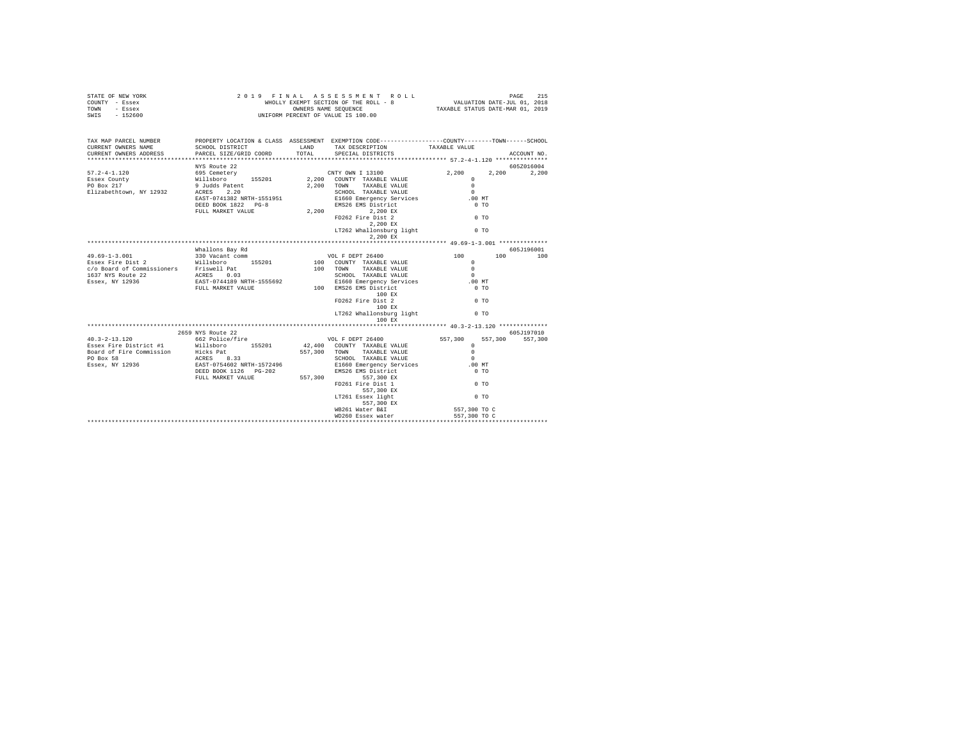| STATE OF NEW YORK | 2019 FINAL ASSESSMENT ROLL            | 215<br>PAGE                      |
|-------------------|---------------------------------------|----------------------------------|
| COUNTY<br>- Essex | WHOLLY EXEMPT SECTION OF THE ROLL - 8 | VALUATION DATE-JUL 01, 2018      |
| TOWN<br>- Essex   | OWNERS NAME SEOUENCE                  | TAXABLE STATUS DATE-MAR 01, 2019 |
| $-152600$<br>SWIS | UNIFORM PERCENT OF VALUE IS 100.00    |                                  |

| NYS Route 22<br>605Z016004<br>$0$ TO<br>FD262 Fire Dist 2<br>$2,200$ EX<br>LT262 Whallonsburg light 0 TO<br>2.200 EX<br>$\begin{tabular}{l c c c c c} \multicolumn{2}{c}{\text{\small{Maldions Bay Rd}} } & \multicolumn{2}{c}{\text{\small{Maldions Bay Rd}} } & \multicolumn{2}{c}{\text{\small{Maldions Bay Rd}} } & \multicolumn{2}{c}{\text{\small{Maldions Bay Rd}} } & \multicolumn{2}{c}{\text{\small{Maldions Bay Rd}} } & \multicolumn{2}{c}{\text{\small{Maldions Bay Rd}} } & \multicolumn{2}{c}{\text{\small{Maldions} }} & \multicolumn{2}{c}{\text{\small{Maldions} }} & \multicolumn{2}{c}{\text{\small{Maldions} }} & \multicolumn{2}{c}{\$<br>100 EX<br>$\sim$ 0 TO<br>FD262 Fire Dist 2<br>100 RX<br>LT262 Whallonsburg light 0 TO<br>100 EX<br>605-7197010<br>2659 NYS Route 22<br>40.3-2-13.120 662 Police/fire  VOL F DEPT 26400 557,300<br>557,300 557,300<br>Essex Fire District #1 will<br>short under the SE201 42,400 COUNTY TAXABLE VALUE 0<br>Board of Fire Commission Hocks Pat 557,300 TOWN TAXABLE VALUE 0<br>For Dox 58 Resex, NY 12936 EAST-075460 E1660 Energency Services<br>Essex, NY 1<br>E1660 Emergency Services .00 MT<br>$0$ TO<br>$0$ TO<br>FD261 Fire Dist 1<br>557,300 EX<br>LT261 Essex light<br>$0$ TO<br>557,300 EX<br>557,300 TO C<br>WB261 Water B&I | TAX MAP PARCEL NUMBER |  | PROPERTY LOCATION & CLASS ASSESSMENT EXEMPTION CODE---------------COUNTY-------TOWN-----SCHOOL |  |
|--------------------------------------------------------------------------------------------------------------------------------------------------------------------------------------------------------------------------------------------------------------------------------------------------------------------------------------------------------------------------------------------------------------------------------------------------------------------------------------------------------------------------------------------------------------------------------------------------------------------------------------------------------------------------------------------------------------------------------------------------------------------------------------------------------------------------------------------------------------------------------------------------------------------------------------------------------------------------------------------------------------------------------------------------------------------------------------------------------------------------------------------------------------------------------------------------------------------------------------------------------------------------------------------------------|-----------------------|--|------------------------------------------------------------------------------------------------|--|
|                                                                                                                                                                                                                                                                                                                                                                                                                                                                                                                                                                                                                                                                                                                                                                                                                                                                                                                                                                                                                                                                                                                                                                                                                                                                                                        |                       |  |                                                                                                |  |
|                                                                                                                                                                                                                                                                                                                                                                                                                                                                                                                                                                                                                                                                                                                                                                                                                                                                                                                                                                                                                                                                                                                                                                                                                                                                                                        |                       |  |                                                                                                |  |
|                                                                                                                                                                                                                                                                                                                                                                                                                                                                                                                                                                                                                                                                                                                                                                                                                                                                                                                                                                                                                                                                                                                                                                                                                                                                                                        |                       |  |                                                                                                |  |
|                                                                                                                                                                                                                                                                                                                                                                                                                                                                                                                                                                                                                                                                                                                                                                                                                                                                                                                                                                                                                                                                                                                                                                                                                                                                                                        |                       |  |                                                                                                |  |
|                                                                                                                                                                                                                                                                                                                                                                                                                                                                                                                                                                                                                                                                                                                                                                                                                                                                                                                                                                                                                                                                                                                                                                                                                                                                                                        |                       |  |                                                                                                |  |
|                                                                                                                                                                                                                                                                                                                                                                                                                                                                                                                                                                                                                                                                                                                                                                                                                                                                                                                                                                                                                                                                                                                                                                                                                                                                                                        |                       |  |                                                                                                |  |
|                                                                                                                                                                                                                                                                                                                                                                                                                                                                                                                                                                                                                                                                                                                                                                                                                                                                                                                                                                                                                                                                                                                                                                                                                                                                                                        |                       |  |                                                                                                |  |
|                                                                                                                                                                                                                                                                                                                                                                                                                                                                                                                                                                                                                                                                                                                                                                                                                                                                                                                                                                                                                                                                                                                                                                                                                                                                                                        |                       |  |                                                                                                |  |
|                                                                                                                                                                                                                                                                                                                                                                                                                                                                                                                                                                                                                                                                                                                                                                                                                                                                                                                                                                                                                                                                                                                                                                                                                                                                                                        |                       |  |                                                                                                |  |
|                                                                                                                                                                                                                                                                                                                                                                                                                                                                                                                                                                                                                                                                                                                                                                                                                                                                                                                                                                                                                                                                                                                                                                                                                                                                                                        |                       |  |                                                                                                |  |
|                                                                                                                                                                                                                                                                                                                                                                                                                                                                                                                                                                                                                                                                                                                                                                                                                                                                                                                                                                                                                                                                                                                                                                                                                                                                                                        |                       |  |                                                                                                |  |
|                                                                                                                                                                                                                                                                                                                                                                                                                                                                                                                                                                                                                                                                                                                                                                                                                                                                                                                                                                                                                                                                                                                                                                                                                                                                                                        |                       |  |                                                                                                |  |
|                                                                                                                                                                                                                                                                                                                                                                                                                                                                                                                                                                                                                                                                                                                                                                                                                                                                                                                                                                                                                                                                                                                                                                                                                                                                                                        |                       |  |                                                                                                |  |
|                                                                                                                                                                                                                                                                                                                                                                                                                                                                                                                                                                                                                                                                                                                                                                                                                                                                                                                                                                                                                                                                                                                                                                                                                                                                                                        |                       |  |                                                                                                |  |
|                                                                                                                                                                                                                                                                                                                                                                                                                                                                                                                                                                                                                                                                                                                                                                                                                                                                                                                                                                                                                                                                                                                                                                                                                                                                                                        |                       |  |                                                                                                |  |
|                                                                                                                                                                                                                                                                                                                                                                                                                                                                                                                                                                                                                                                                                                                                                                                                                                                                                                                                                                                                                                                                                                                                                                                                                                                                                                        |                       |  |                                                                                                |  |
|                                                                                                                                                                                                                                                                                                                                                                                                                                                                                                                                                                                                                                                                                                                                                                                                                                                                                                                                                                                                                                                                                                                                                                                                                                                                                                        |                       |  |                                                                                                |  |
|                                                                                                                                                                                                                                                                                                                                                                                                                                                                                                                                                                                                                                                                                                                                                                                                                                                                                                                                                                                                                                                                                                                                                                                                                                                                                                        |                       |  |                                                                                                |  |
|                                                                                                                                                                                                                                                                                                                                                                                                                                                                                                                                                                                                                                                                                                                                                                                                                                                                                                                                                                                                                                                                                                                                                                                                                                                                                                        |                       |  |                                                                                                |  |
|                                                                                                                                                                                                                                                                                                                                                                                                                                                                                                                                                                                                                                                                                                                                                                                                                                                                                                                                                                                                                                                                                                                                                                                                                                                                                                        |                       |  |                                                                                                |  |
|                                                                                                                                                                                                                                                                                                                                                                                                                                                                                                                                                                                                                                                                                                                                                                                                                                                                                                                                                                                                                                                                                                                                                                                                                                                                                                        |                       |  |                                                                                                |  |
|                                                                                                                                                                                                                                                                                                                                                                                                                                                                                                                                                                                                                                                                                                                                                                                                                                                                                                                                                                                                                                                                                                                                                                                                                                                                                                        |                       |  |                                                                                                |  |
|                                                                                                                                                                                                                                                                                                                                                                                                                                                                                                                                                                                                                                                                                                                                                                                                                                                                                                                                                                                                                                                                                                                                                                                                                                                                                                        |                       |  |                                                                                                |  |
|                                                                                                                                                                                                                                                                                                                                                                                                                                                                                                                                                                                                                                                                                                                                                                                                                                                                                                                                                                                                                                                                                                                                                                                                                                                                                                        |                       |  |                                                                                                |  |
|                                                                                                                                                                                                                                                                                                                                                                                                                                                                                                                                                                                                                                                                                                                                                                                                                                                                                                                                                                                                                                                                                                                                                                                                                                                                                                        |                       |  |                                                                                                |  |
|                                                                                                                                                                                                                                                                                                                                                                                                                                                                                                                                                                                                                                                                                                                                                                                                                                                                                                                                                                                                                                                                                                                                                                                                                                                                                                        |                       |  |                                                                                                |  |
|                                                                                                                                                                                                                                                                                                                                                                                                                                                                                                                                                                                                                                                                                                                                                                                                                                                                                                                                                                                                                                                                                                                                                                                                                                                                                                        |                       |  |                                                                                                |  |
|                                                                                                                                                                                                                                                                                                                                                                                                                                                                                                                                                                                                                                                                                                                                                                                                                                                                                                                                                                                                                                                                                                                                                                                                                                                                                                        |                       |  |                                                                                                |  |
|                                                                                                                                                                                                                                                                                                                                                                                                                                                                                                                                                                                                                                                                                                                                                                                                                                                                                                                                                                                                                                                                                                                                                                                                                                                                                                        |                       |  |                                                                                                |  |
|                                                                                                                                                                                                                                                                                                                                                                                                                                                                                                                                                                                                                                                                                                                                                                                                                                                                                                                                                                                                                                                                                                                                                                                                                                                                                                        |                       |  |                                                                                                |  |
|                                                                                                                                                                                                                                                                                                                                                                                                                                                                                                                                                                                                                                                                                                                                                                                                                                                                                                                                                                                                                                                                                                                                                                                                                                                                                                        |                       |  |                                                                                                |  |
|                                                                                                                                                                                                                                                                                                                                                                                                                                                                                                                                                                                                                                                                                                                                                                                                                                                                                                                                                                                                                                                                                                                                                                                                                                                                                                        |                       |  |                                                                                                |  |
|                                                                                                                                                                                                                                                                                                                                                                                                                                                                                                                                                                                                                                                                                                                                                                                                                                                                                                                                                                                                                                                                                                                                                                                                                                                                                                        |                       |  |                                                                                                |  |
|                                                                                                                                                                                                                                                                                                                                                                                                                                                                                                                                                                                                                                                                                                                                                                                                                                                                                                                                                                                                                                                                                                                                                                                                                                                                                                        |                       |  |                                                                                                |  |
|                                                                                                                                                                                                                                                                                                                                                                                                                                                                                                                                                                                                                                                                                                                                                                                                                                                                                                                                                                                                                                                                                                                                                                                                                                                                                                        |                       |  |                                                                                                |  |
|                                                                                                                                                                                                                                                                                                                                                                                                                                                                                                                                                                                                                                                                                                                                                                                                                                                                                                                                                                                                                                                                                                                                                                                                                                                                                                        |                       |  |                                                                                                |  |
|                                                                                                                                                                                                                                                                                                                                                                                                                                                                                                                                                                                                                                                                                                                                                                                                                                                                                                                                                                                                                                                                                                                                                                                                                                                                                                        |                       |  |                                                                                                |  |
|                                                                                                                                                                                                                                                                                                                                                                                                                                                                                                                                                                                                                                                                                                                                                                                                                                                                                                                                                                                                                                                                                                                                                                                                                                                                                                        |                       |  |                                                                                                |  |
|                                                                                                                                                                                                                                                                                                                                                                                                                                                                                                                                                                                                                                                                                                                                                                                                                                                                                                                                                                                                                                                                                                                                                                                                                                                                                                        |                       |  |                                                                                                |  |
|                                                                                                                                                                                                                                                                                                                                                                                                                                                                                                                                                                                                                                                                                                                                                                                                                                                                                                                                                                                                                                                                                                                                                                                                                                                                                                        |                       |  |                                                                                                |  |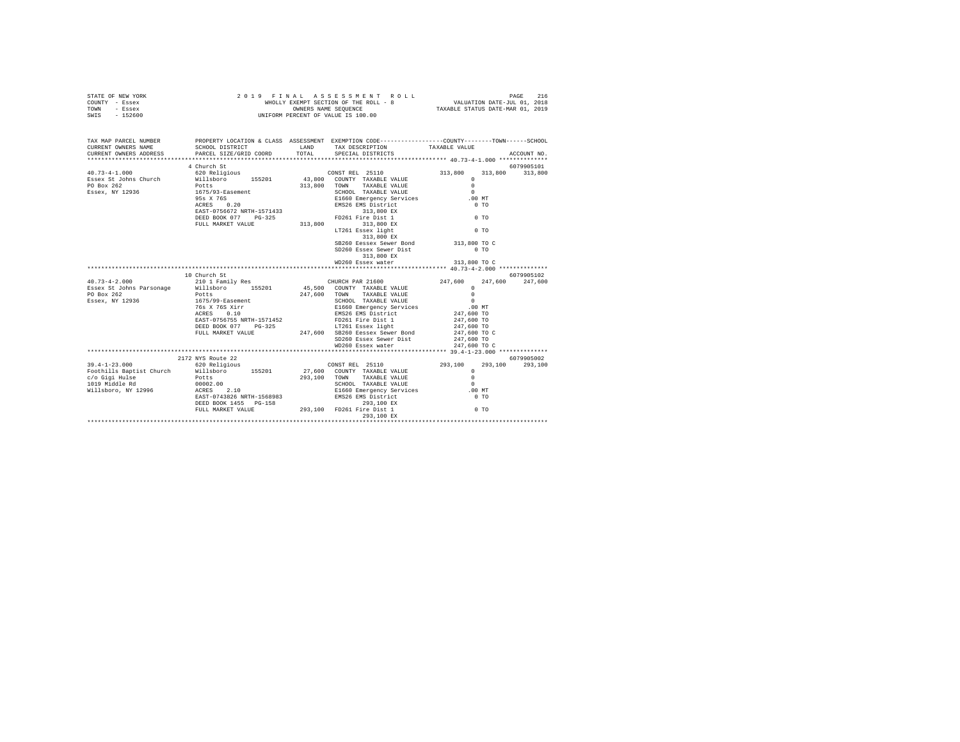| TOWN<br>- Essex<br>SWIS - 152600 |                                                                       |         | OWNERS NAME SEQUENCE<br>UNIFORM PERCENT OF VALUE IS 100.00                                      | TAXABLE STATUS DATE-MAR 01, 2019 |             |
|----------------------------------|-----------------------------------------------------------------------|---------|-------------------------------------------------------------------------------------------------|----------------------------------|-------------|
|                                  |                                                                       |         |                                                                                                 |                                  |             |
| TAX MAP PARCEL NUMBER            |                                                                       |         | PROPERTY LOCATION & CLASS ASSESSMENT EXEMPTION CODE----------------COUNTY-------TOWN-----SCHOOL |                                  |             |
| CURRENT OWNERS NAME              | SCHOOL DISTRICT                                                       |         | LAND TAX DESCRIPTION TAXABLE VALUE                                                              |                                  |             |
|                                  | CURRENT OWNERS ADDRESS PARCEL SIZE/GRID COORD TOTAL SPECIAL DISTRICTS |         |                                                                                                 |                                  | ACCOUNT NO. |
|                                  |                                                                       |         |                                                                                                 |                                  |             |
|                                  | 4 Church St                                                           |         |                                                                                                 |                                  | 6079905101  |
| $40.73 - 4 - 1.000$              |                                                                       |         |                                                                                                 |                                  |             |
|                                  |                                                                       |         |                                                                                                 | $\Omega$                         |             |
|                                  | Potts<br>1675/93-Easement                                             |         |                                                                                                 | $\circ$                          |             |
| Essex, NY 12936                  |                                                                       |         | SCHOOL TAXABLE VALUE                                                                            | $\Omega$                         |             |
|                                  | 95s X 76S<br>$76S$<br>0.20                                            |         | E1660 Emergency Services .00 MT                                                                 |                                  |             |
|                                  | ACRES                                                                 |         | EMS26 EMS District                                                                              | 0.70                             |             |
|                                  | EAST-0756672 NRTH-1571433 313,800 EX                                  |         |                                                                                                 | 0.70                             |             |
|                                  |                                                                       |         | DEED BOOK 077 PG-325 FD261 Fire Dist 1                                                          |                                  |             |
|                                  | FULL MARKET VALUE                                                     |         | 313,800 313,800 EX                                                                              |                                  |             |
|                                  |                                                                       |         | LT261 Essex light                                                                               | $0$ TO                           |             |
|                                  |                                                                       |         | 313,800 EX                                                                                      |                                  |             |
|                                  |                                                                       |         | SB260 Eessex Sewer Bond 313,800 TO C                                                            |                                  |             |
|                                  |                                                                       |         | SD260 Essex Sewer Dist                                                                          | $0$ TO                           |             |
|                                  |                                                                       |         | 313,800 EX<br>WD260 Essex water 313,800 TO C                                                    |                                  |             |
|                                  |                                                                       |         |                                                                                                 |                                  |             |
|                                  | 10 Church St                                                          |         |                                                                                                 |                                  | 6079905102  |
| $40.73 - 4 - 2.000$              | 210 1 Family Res CHURCH PAR 21600                                     |         |                                                                                                 | 247,600 247,600                  | 247,600     |
|                                  | Essex St Johns Parsonage Millsboro 155201 45,500 COUNTY TAXABLE VALUE |         |                                                                                                 | $\Omega$                         |             |
| PO Box 262                       | Potts                                                                 | 247.600 | TOWN TAXABLE VALUE                                                                              | $\Omega$                         |             |
| Essex, NY 12936                  | 1675/99-Easement                                                      |         | SCHOOL TAXABLE VALUE                                                                            | $\cap$                           |             |
|                                  | 76s X 76S Xirr                                                        |         | E1660 Emergency Services .00 MT                                                                 |                                  |             |
|                                  | 0.10<br>ACRES                                                         |         | EMS26 EMS District 247,600 TO                                                                   |                                  |             |
|                                  | EAST-0756755 NRTH-1571452                                             |         | FD261 Fire Dist 1 247,600 TO                                                                    |                                  |             |
|                                  | DEED BOOK 077 PG-325                                                  |         | LT261 Essex light                                                                               | 247,600 TO                       |             |
|                                  | FULL MARKET VALUE                                                     | 247.600 | SB260 Eessex Sewer Bond                                                                         | 247,600 TO C                     |             |

STATE OF NEW YORK 2019 FINAL ASSESS ON BIT ROLL<br>COUNTY - Essex 216 MHOLLY EXEMPT SECTION OF THE ROLL - 8 VALUATION DATE-JUL 01, 2018

|                          |                           |         | ------------------       | --------           |            |
|--------------------------|---------------------------|---------|--------------------------|--------------------|------------|
|                          | FULL MARKET VALUE         | 247.600 | SB260 Eessex Sewer Bond  | 247,600 TO C       |            |
|                          |                           |         | SD260 Essex Sewer Dist   | 247,600 TO         |            |
|                          |                           |         | WD260 Essex water        | 247,600 TO C       |            |
|                          |                           |         |                          |                    |            |
|                          | 2172 NYS Route 22         |         |                          |                    | 6079905002 |
| $39.4 - 1 - 23.000$      | 620 Religious             |         | CONST REL 25110          | 293,100<br>293,100 | 293,100    |
| Foothills Baptist Church | 155201<br>Willsboro       | 27,600  | COUNTY TAXABLE VALUE     |                    |            |
| c/o Gigi Hulse           | Potts                     | 293,100 | TOWN<br>TAXABLE VALUE    |                    |            |
| 1019 Middle Rd           | 00002.00                  |         | SCHOOL TAXABLE VALUE     |                    |            |
| Willsboro, NY 12996      | 2.10<br>ACRES             |         | E1660 Emergency Services | $.00$ MT           |            |
|                          | EAST-0743826 NRTH-1568983 |         | EMS26 EMS District       | $0$ TO             |            |
|                          | DEED BOOK 1455 PG-158     |         | 293,100 EX               |                    |            |
|                          | FULL MARKET VALUE         | 293,100 | FD261 Fire Dist 1        | $0$ TO             |            |
|                          |                           |         | 293,100 EX               |                    |            |
|                          |                           |         |                          |                    |            |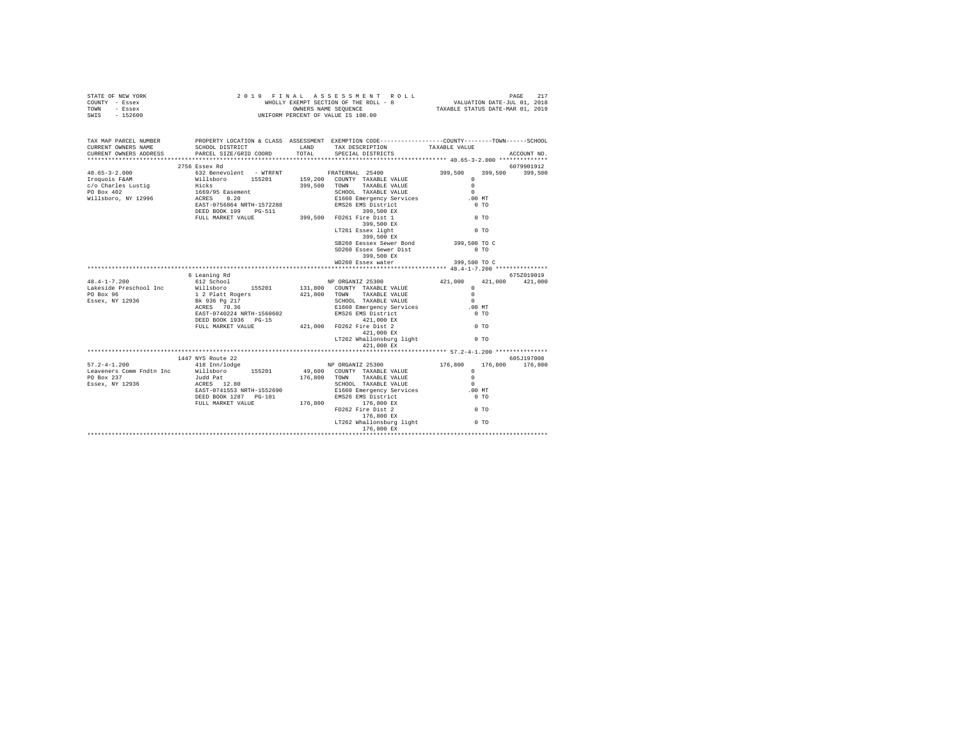|                | STATE OF NEW YORK |  | 2019 FINAL ASSESSMENT ROLL            |                                  | PAGE                        | 217 |
|----------------|-------------------|--|---------------------------------------|----------------------------------|-----------------------------|-----|
| COUNTY - Essex |                   |  | WHOLLY EXEMPT SECTION OF THE ROLL - 8 |                                  | VALUATION DATE-JUL 01, 2018 |     |
| TOWN           | - Essex           |  | OWNERS NAME SEOUENCE                  | TAXABLE STATUS DATE-MAR 01, 2019 |                             |     |
| SWTS           | $-152600$         |  | UNIFORM PERCENT OF VALUE IS 100.00    |                                  |                             |     |
|                |                   |  |                                       |                                  |                             |     |

| TAX MAP PARCEL NUMBER        |                                                                                                                                                                                                                                                                                       |                                                                                                                                | PROPERTY LOCATION & CLASS ASSESSMENT EXEMPTION CODE---------------COUNTY-------TOWN-----SCHOOL                                                       |
|------------------------------|---------------------------------------------------------------------------------------------------------------------------------------------------------------------------------------------------------------------------------------------------------------------------------------|--------------------------------------------------------------------------------------------------------------------------------|------------------------------------------------------------------------------------------------------------------------------------------------------|
| CURRENT OWNERS NAME          |                                                                                                                                                                                                                                                                                       | SCHOOL DISTRICT                      LAND        TAX DESCRIPTION                   TAXABLE VALUE                               |                                                                                                                                                      |
| CURRENT OWNERS ADDRESS       | PARCEL SIZE/GRID COORD TOTAL SPECIAL DISTRICTS                                                                                                                                                                                                                                        |                                                                                                                                | ACCOUNT NO.                                                                                                                                          |
|                              |                                                                                                                                                                                                                                                                                       |                                                                                                                                |                                                                                                                                                      |
|                              | 2756 Essex Rd                                                                                                                                                                                                                                                                         |                                                                                                                                | 6079901912                                                                                                                                           |
|                              |                                                                                                                                                                                                                                                                                       |                                                                                                                                |                                                                                                                                                      |
|                              |                                                                                                                                                                                                                                                                                       |                                                                                                                                |                                                                                                                                                      |
|                              |                                                                                                                                                                                                                                                                                       |                                                                                                                                |                                                                                                                                                      |
|                              |                                                                                                                                                                                                                                                                                       |                                                                                                                                |                                                                                                                                                      |
|                              |                                                                                                                                                                                                                                                                                       |                                                                                                                                |                                                                                                                                                      |
|                              |                                                                                                                                                                                                                                                                                       |                                                                                                                                |                                                                                                                                                      |
|                              |                                                                                                                                                                                                                                                                                       |                                                                                                                                |                                                                                                                                                      |
|                              |                                                                                                                                                                                                                                                                                       |                                                                                                                                |                                                                                                                                                      |
|                              |                                                                                                                                                                                                                                                                                       |                                                                                                                                |                                                                                                                                                      |
|                              |                                                                                                                                                                                                                                                                                       | LT261 Essex light<br>399,500 EX                                                                                                | 0.70                                                                                                                                                 |
|                              |                                                                                                                                                                                                                                                                                       |                                                                                                                                |                                                                                                                                                      |
|                              |                                                                                                                                                                                                                                                                                       | SB260 Eessex Sewer Bond 399,500 TO C                                                                                           |                                                                                                                                                      |
|                              |                                                                                                                                                                                                                                                                                       | SD260 Essex Sewer Dist                                                                                                         | $0$ TO                                                                                                                                               |
|                              |                                                                                                                                                                                                                                                                                       | 399,500 EX                                                                                                                     |                                                                                                                                                      |
|                              |                                                                                                                                                                                                                                                                                       | WD260 Essex water                                                                                                              | 399,500 TO C                                                                                                                                         |
|                              |                                                                                                                                                                                                                                                                                       |                                                                                                                                |                                                                                                                                                      |
|                              | 6 Leaning Rd                                                                                                                                                                                                                                                                          |                                                                                                                                | 675Z019019                                                                                                                                           |
|                              | $\begin{tabular}{l l l l} 48.4-1-7.200 & 612 School & & & \text{NP ORGANIZ 25300} \\ \text{Lakeside Preschool Inc & \text{Willsboro} & 155201 & 131,800 COUNTY TAXABLE VALUE \\ \end{tabular}$                                                                                        | NP ORGANIZ 25300<br>A21,0<br>- אותה TAXABLE VALUE SCHOOL TAXABLE VALUE<br>SCHOOL TAXABLE VALUE<br>EMS26 EMS rd<br>EMS26 EMS rd | 421,000 421,000 421,000                                                                                                                              |
|                              |                                                                                                                                                                                                                                                                                       |                                                                                                                                |                                                                                                                                                      |
| PO Box 96<br>Essex, NY 12936 |                                                                                                                                                                                                                                                                                       |                                                                                                                                |                                                                                                                                                      |
|                              |                                                                                                                                                                                                                                                                                       |                                                                                                                                |                                                                                                                                                      |
|                              |                                                                                                                                                                                                                                                                                       |                                                                                                                                |                                                                                                                                                      |
|                              |                                                                                                                                                                                                                                                                                       |                                                                                                                                |                                                                                                                                                      |
|                              |                                                                                                                                                                                                                                                                                       |                                                                                                                                |                                                                                                                                                      |
|                              |                                                                                                                                                                                                                                                                                       |                                                                                                                                |                                                                                                                                                      |
|                              |                                                                                                                                                                                                                                                                                       |                                                                                                                                |                                                                                                                                                      |
|                              |                                                                                                                                                                                                                                                                                       |                                                                                                                                |                                                                                                                                                      |
|                              |                                                                                                                                                                                                                                                                                       |                                                                                                                                |                                                                                                                                                      |
|                              | 1447 NYS Route 22                                                                                                                                                                                                                                                                     |                                                                                                                                | 605J197008                                                                                                                                           |
|                              |                                                                                                                                                                                                                                                                                       |                                                                                                                                | 1447 NYS Route 22 = 1447 NYS (1908)<br>176,800 176,800 176,800 176,800 176,800 176,800 0 176,800 176,800 0 176,800 0 176,800 0 176,800 176,800 0 176 |
|                              |                                                                                                                                                                                                                                                                                       | NP ORGANIZ ZDJU<br>49,600 COUNTY TAXABLE VALUE<br>-- ^^ mommi TRYABLE VALUE 0                                                  |                                                                                                                                                      |
|                              | $\begin{tabular}{lllllllllll} \texttt{Leaveners Comm Fndtn Inc} & \texttt{Willsboro} & 155201 \\ \texttt{PO Box 237} & \texttt{JudR Pat} & 12.80 \\ \texttt{Essex, NY 12936} & \texttt{AcRES} & 12.80 \\ \texttt{Essex, NY 12936} & \texttt{RAST-0741553 NRTH-1552690} \end{tabular}$ | 176,800 TOWN TAXABLE VALUE                                                                                                     |                                                                                                                                                      |
|                              |                                                                                                                                                                                                                                                                                       |                                                                                                                                | $\sim$                                                                                                                                               |
|                              | ACRES 12.80<br>EAST-0741553.NRTH-1552690 - E1660 Emergency Services<br>DEED BOOK 1287 PG-101 - ENS26 ENS District                                                                                                                                                                     |                                                                                                                                | .00MT                                                                                                                                                |
|                              |                                                                                                                                                                                                                                                                                       |                                                                                                                                | $0$ TO                                                                                                                                               |
|                              |                                                                                                                                                                                                                                                                                       |                                                                                                                                |                                                                                                                                                      |
|                              |                                                                                                                                                                                                                                                                                       |                                                                                                                                | 0 <sub>T</sub>                                                                                                                                       |
|                              |                                                                                                                                                                                                                                                                                       |                                                                                                                                |                                                                                                                                                      |
|                              |                                                                                                                                                                                                                                                                                       | LT262 Whallonsburg light 0 TO                                                                                                  |                                                                                                                                                      |
|                              |                                                                                                                                                                                                                                                                                       |                                                                                                                                |                                                                                                                                                      |
|                              |                                                                                                                                                                                                                                                                                       |                                                                                                                                |                                                                                                                                                      |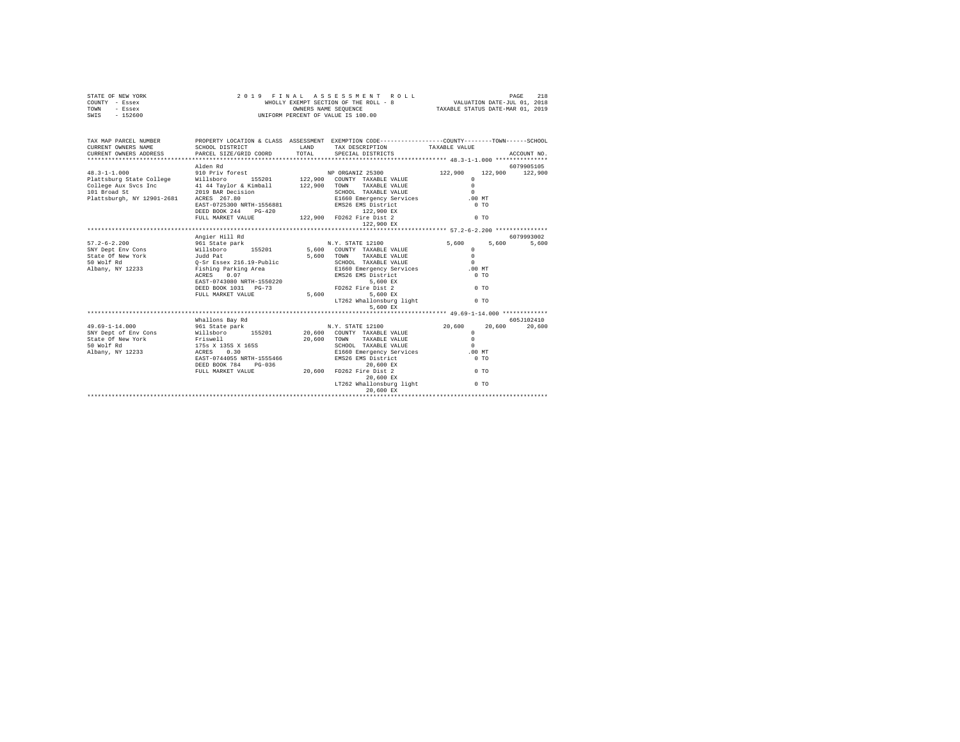| STATE OF NEW YORK | 2019 FINAL ASSESSMENT ROLL            | 218<br>PAGE                      |
|-------------------|---------------------------------------|----------------------------------|
| COUNTY - Essex    | WHOLLY EXEMPT SECTION OF THE ROLL - 8 | VALUATION DATE-JUL 01, 2018      |
| TOWN<br>- Essex   | OWNERS NAME SEOUENCE                  | TAXABLE STATUS DATE-MAR 01, 2019 |
| $-152600$<br>SWIS | UNIFORM PERCENT OF VALUE IS 100.00    |                                  |

| TAX MAP PARCEL NUMBER<br>CURRENT OWNERS NAME<br>CURRENT OWNERS ADDRESS PARCEL SIZE/GRID COORD TOTAL SPECIAL DISTRICTS | PROPERTY LOCATION & CLASS ASSESSMENT EXEMPTION CODE---------------COUNTY-------TOWN------SCHOOL<br>SCHOOL DISTRICT                                                                                                             | LAND TAX DESCRIPTION TAXABLE VALUE |                | ACCOUNT NO.      |
|-----------------------------------------------------------------------------------------------------------------------|--------------------------------------------------------------------------------------------------------------------------------------------------------------------------------------------------------------------------------|------------------------------------|----------------|------------------|
|                                                                                                                       |                                                                                                                                                                                                                                |                                    |                |                  |
|                                                                                                                       | Alden Rd                                                                                                                                                                                                                       |                                    |                | 6079905105       |
|                                                                                                                       |                                                                                                                                                                                                                                |                                    |                |                  |
|                                                                                                                       |                                                                                                                                                                                                                                |                                    |                |                  |
| College Aux Svcs Inc 31 44 Taylor & Kimball 322,900 TOWN TAXABLE VALUE                                                |                                                                                                                                                                                                                                |                                    | $\Omega$       |                  |
|                                                                                                                       |                                                                                                                                                                                                                                |                                    |                |                  |
|                                                                                                                       |                                                                                                                                                                                                                                |                                    |                |                  |
|                                                                                                                       | EAST-0725300 NRTH-1556881 EMS26 EMS District                                                                                                                                                                                   |                                    | $0$ TO         |                  |
|                                                                                                                       | DEED BOOK 244 PG-420 $122,900$ EX<br>FULL MARKET VALUE $122,900$ FD262 Fire Dist 2 0 TO                                                                                                                                        |                                    |                |                  |
|                                                                                                                       |                                                                                                                                                                                                                                |                                    |                |                  |
|                                                                                                                       |                                                                                                                                                                                                                                |                                    |                |                  |
|                                                                                                                       |                                                                                                                                                                                                                                |                                    |                |                  |
|                                                                                                                       | Angier Hill Rd                                                                                                                                                                                                                 |                                    |                | 6079993002       |
| $57.2 - 6 - 2.200$                                                                                                    | 961 State park N.Y. STATE 12100                                                                                                                                                                                                |                                    | 5,600          | 5,600<br>5,600   |
| SNY Dept Env Cons Willsboro 155201 5,600 COUNTY TAXABLE VALUE                                                         |                                                                                                                                                                                                                                |                                    | $^{\circ}$     |                  |
| State Of New York 5,600 TOWN TAXABLE VALUE                                                                            |                                                                                                                                                                                                                                |                                    | $\Omega$       |                  |
| 50 Wolf Rd                                                                                                            |                                                                                                                                                                                                                                |                                    |                |                  |
| Albany, NY 12233                                                                                                      | WEIGHT AND PART OF THE CHOIN TAXABLE VALUE ON THE CHOIN TAXABLE VALUE ON THE CHOIN TAXABLE VALUE ON THE CHOIN TAXABLE VALUE ON THE CHOIN TAXABLE VALUE ON THE CHOIN TAXABLE VALUE ON THE CHOIN TAXABLE VALUE ON THE CHOIN TAXA |                                    |                |                  |
|                                                                                                                       |                                                                                                                                                                                                                                |                                    |                |                  |
|                                                                                                                       |                                                                                                                                                                                                                                |                                    |                |                  |
|                                                                                                                       |                                                                                                                                                                                                                                |                                    |                |                  |
|                                                                                                                       | FULL MARKET VALUE 5,600                                                                                                                                                                                                        | 5,600 EX                           |                |                  |
|                                                                                                                       |                                                                                                                                                                                                                                | LT262 Whallonsburg light 0 TO      |                |                  |
|                                                                                                                       |                                                                                                                                                                                                                                | 5,600 EX                           |                |                  |
|                                                                                                                       |                                                                                                                                                                                                                                |                                    |                |                  |
|                                                                                                                       | Whallons Bay Rd                                                                                                                                                                                                                |                                    |                | 605J102410       |
| 49.69-1-14.000 961 State park N.Y. STATE 12100                                                                        |                                                                                                                                                                                                                                |                                    | 20,600         | 20,600<br>20,600 |
|                                                                                                                       |                                                                                                                                                                                                                                |                                    |                |                  |
|                                                                                                                       |                                                                                                                                                                                                                                |                                    |                |                  |
|                                                                                                                       |                                                                                                                                                                                                                                |                                    |                |                  |
|                                                                                                                       |                                                                                                                                                                                                                                | E1660 Emergency Services .00 MT    |                |                  |
|                                                                                                                       |                                                                                                                                                                                                                                |                                    | 0 <sub>T</sub> |                  |
|                                                                                                                       |                                                                                                                                                                                                                                |                                    |                |                  |
|                                                                                                                       | DEED BOOK 784 PG-036 20,600 ED262 FULL MARKET VALUE 20,600 FD262 Fire Dist 2                                                                                                                                                   |                                    | $0$ TO         |                  |
|                                                                                                                       |                                                                                                                                                                                                                                | 20,600 EX                          |                |                  |
|                                                                                                                       |                                                                                                                                                                                                                                | LT262 Whallonsburg light           | 0.70           |                  |
|                                                                                                                       |                                                                                                                                                                                                                                | 20,600 EX                          |                |                  |
|                                                                                                                       |                                                                                                                                                                                                                                |                                    |                |                  |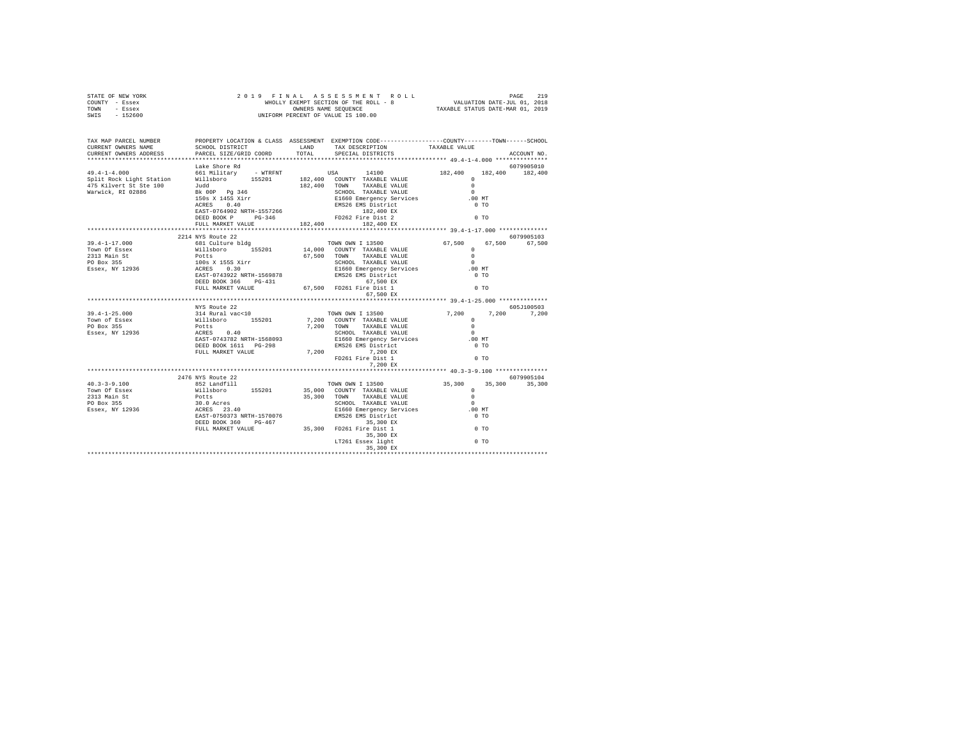| STATE OF NEW YORK        | 2019 FINAL                                                                                              |            |                                                                                                                                                                      |                    |                |
|--------------------------|---------------------------------------------------------------------------------------------------------|------------|----------------------------------------------------------------------------------------------------------------------------------------------------------------------|--------------------|----------------|
| COUNTY - Essex           |                                                                                                         |            |                                                                                                                                                                      |                    |                |
| - Essex<br>TOWN          |                                                                                                         |            |                                                                                                                                                                      |                    |                |
| SWIS<br>$-152600$        |                                                                                                         |            | UNIFORM PERCENT OF VALUE IS 100.00                                                                                                                                   |                    |                |
|                          |                                                                                                         |            |                                                                                                                                                                      |                    |                |
|                          |                                                                                                         |            |                                                                                                                                                                      |                    |                |
| TAX MAP PARCEL NUMBER    |                                                                                                         |            | PROPERTY LOCATION & CLASS ASSESSMENT EXEMPTION CODE----------------COUNTY-------TOWN------SCHOOL                                                                     |                    |                |
| CURRENT OWNERS NAME      | SCHOOL DISTRICT                                                                                         | LAND       | TAX DESCRIPTION                                                                                                                                                      | TAXABLE VALUE      |                |
| CURRENT OWNERS ADDRESS   | PARCEL SIZE/GRID COORD                                                                                  | TOTAL      | SPECIAL DISTRICTS                                                                                                                                                    |                    | ACCOUNT NO.    |
|                          |                                                                                                         |            |                                                                                                                                                                      |                    |                |
|                          | Lake Shore Rd                                                                                           |            |                                                                                                                                                                      |                    | 6079905010     |
| $49.4 - 1 - 4.000$       | 661 Military - WTRFNT                                                                                   | <b>USA</b> | 14100                                                                                                                                                                | 182,400<br>182,400 | 182,400        |
| Split Rock Light Station | Willsboro<br>Judd<br>155201                                                                             |            | 182,400 COUNTY TAXABLE VALUE                                                                                                                                         | $\Omega$           |                |
| 475 Kilvert St Ste 100   |                                                                                                         |            | 182,400 TOWN TAXABLE VALUE                                                                                                                                           | $\Omega$           |                |
| Warwick, RI 02886        | Bk 00P Pg 346                                                                                           |            | SCHOOL TAXABLE VALUE                                                                                                                                                 | $\Omega$           |                |
|                          | 150s X 145S Xirr                                                                                        |            | E1660 Emergency Services                                                                                                                                             | .00 MT             |                |
|                          |                                                                                                         |            |                                                                                                                                                                      | 0.70               |                |
|                          |                                                                                                         |            |                                                                                                                                                                      |                    |                |
|                          |                                                                                                         |            | ACRES 0.40 EMS26 EMS District<br>EAST-D764902 NRTH-1557266 182.400 EXPLEMENT VALUE<br>DEED BOOK P PG-346 FD262 Fire Dist 2<br>FULL MARKET VALUE<br>22.400 182,400 EX | $0$ TO             |                |
|                          |                                                                                                         |            |                                                                                                                                                                      |                    |                |
|                          | 2214 NYS Route 22                                                                                       |            |                                                                                                                                                                      |                    | 6079905103     |
| $39.4 - 1 - 17.000$      | 681 Culture bldg                                                                                        |            | TOWN OWN I 13500                                                                                                                                                     | 67,500             | 67,500 67,500  |
| Town Of Essex            | 155201<br>Willsboro 155201<br>Willsboro 155201<br>Potts<br>100s X 155S Xirr<br>ACRES 0.30<br>TREE 30030 |            | 14,000 COUNTY TAXABLE VALUE                                                                                                                                          | $\Omega$           |                |
| 2313 Main St             |                                                                                                         |            | 67,500 TOWN<br>TAXABLE VALUE                                                                                                                                         | $\Omega$           |                |
| PO Box 355               |                                                                                                         |            | SCHOOL TAXABLE VALUE                                                                                                                                                 | $\sim$             |                |
| Essex, NY 12936          |                                                                                                         |            |                                                                                                                                                                      | $.00$ MT           |                |
|                          | EAST-0743922 NRTH-1569878                                                                               |            | E1660 Emergency Services<br>EMS26 EMS District                                                                                                                       | 0 <sub>T</sub>     |                |
|                          | DEED BOOK 366 PG-431                                                                                    |            |                                                                                                                                                                      |                    |                |
|                          | FULL MARKET VALUE                                                                                       |            | 67,500 EX<br>67,500 FD261 Fire Dist 1                                                                                                                                | 0 <sub>T</sub>     |                |
|                          |                                                                                                         |            | 67,500 EX                                                                                                                                                            |                    |                |
|                          |                                                                                                         |            |                                                                                                                                                                      |                    |                |
|                          | NYS Route 22                                                                                            |            |                                                                                                                                                                      |                    | 605-7100503    |
| $39.4 - 1 - 25.000$      | 314 Rural vac<10                                                                                        |            | TOWN OWN I 13500                                                                                                                                                     | 7,200              | 7.200<br>7.200 |
| Town of Essex            | willsboro 155201                                                                                        |            | 7,200 COUNTY TAXABLE VALUE                                                                                                                                           | $\Omega$           |                |
| PO Box 355               | Potts                                                                                                   |            | 7,200 TOWN<br>TAXABLE VALUE                                                                                                                                          | $\Omega$           |                |
| Essex, NY 12936          | 10002<br>ACRES 0.40<br>EAST-0743782 NRTH-1568093                                                        |            | SCHOOL TAXABLE VALUE                                                                                                                                                 | $\sim$             |                |
|                          |                                                                                                         |            | E1660 Emergency Services                                                                                                                                             | .00 MT             |                |
|                          |                                                                                                         |            |                                                                                                                                                                      |                    |                |
|                          | FULL MARKET VALUE                                                                                       |            | 7,200                                                                                                                                                                |                    |                |
|                          |                                                                                                         |            | EMS26 EMS District 0 TO<br>7,200 EX 0 TO<br>81 Fire Dist 1 0 TO                                                                                                      |                    |                |
|                          |                                                                                                         |            | 7.200 EX                                                                                                                                                             |                    |                |
|                          |                                                                                                         |            |                                                                                                                                                                      |                    |                |
|                          | 2476 NYS Route 22                                                                                       |            |                                                                                                                                                                      |                    | 6079905104     |
| $40.3 - 3 - 9.100$       | 852 Landfill                                                                                            |            | TOWN OWN I 13500                                                                                                                                                     | 35,300<br>35,300   | 35,300         |
| Town Of Essex            | Willsboro 155201                                                                                        |            | 35,000 COUNTY TAXABLE VALUE                                                                                                                                          | $\Omega$           |                |
| 2313 Main St             |                                                                                                         |            | 35,300 TOWN<br>TAXABLE VALUE                                                                                                                                         | $\Omega$           |                |
| PO Box 355               | notts<br>30.0 Acres<br>ACRES 23.40<br>EAST-0750373 NRTH-1570076                                         |            | SCHOOL TAXABLE VALUE                                                                                                                                                 | $\sim$             |                |
| Essex, NY 12936          |                                                                                                         |            | E1660 Emergency Services                                                                                                                                             | $.00$ MT           |                |
|                          |                                                                                                         |            | EMS26 EMS District                                                                                                                                                   | 0 <sub>T</sub>     |                |
|                          | DEED BOOK 360 PG-467<br>FULL MARKET VALUE                                                               |            | 35, 300 EX<br>35, 300 FD261 Fire Dist 1<br>35, 300 EX<br>LT261 Essex light                                                                                           | 0 <sub>T</sub>     |                |
|                          |                                                                                                         |            |                                                                                                                                                                      |                    |                |
|                          |                                                                                                         |            |                                                                                                                                                                      | $00$ TO            |                |
|                          |                                                                                                         |            | 35,300 EX                                                                                                                                                            |                    |                |
|                          |                                                                                                         |            |                                                                                                                                                                      |                    |                |
|                          |                                                                                                         |            |                                                                                                                                                                      |                    |                |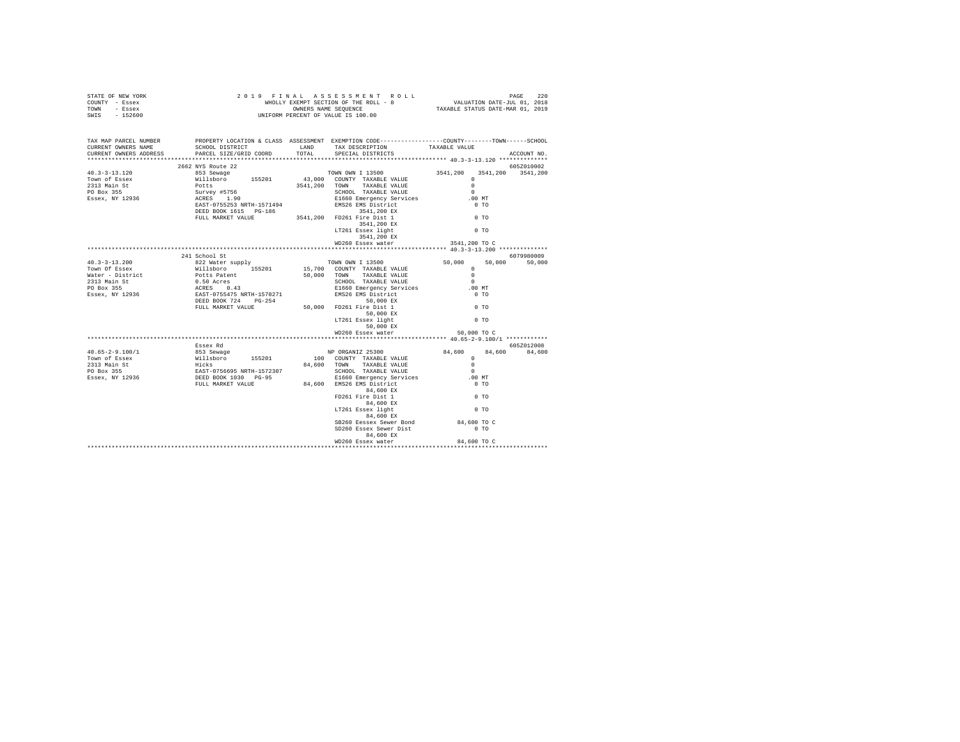| STATE OF NEW YORK<br>COUNTY - Essex<br>TOWN - Essex<br>SWIS - 152600                                                                                                                                                                                                                                                                                              |               |  |                                                                                                 |             |               |  |
|-------------------------------------------------------------------------------------------------------------------------------------------------------------------------------------------------------------------------------------------------------------------------------------------------------------------------------------------------------------------|---------------|--|-------------------------------------------------------------------------------------------------|-------------|---------------|--|
| TAX MAP PARCEL NUMBER<br>CURRENT OWNERS NAME<br>CURRENT OWNERS ADDRESS                                                                                                                                                                                                                                                                                            |               |  | PROPERTY LOCATION & CLASS ASSESSMENT EXEMPTION CODE----------------COUNTY-------TOWN-----SCHOOL |             | ACCOUNT NO.   |  |
| 40.3-3-13.120 2662 NYS Route 22<br>40.3-3-13.120 2662 NYS Route 22<br>TOWN OWN I 13500 23541,200 3541,200 5541,200<br>2313 Main Ster Williaboro 155201 43,000 COUNTY TAXABLE VALUE<br>2313 Main Ster Williaboro 155201 43,000 COUNTY T                                                                                                                            |               |  |                                                                                                 |             |               |  |
|                                                                                                                                                                                                                                                                                                                                                                   |               |  |                                                                                                 |             |               |  |
|                                                                                                                                                                                                                                                                                                                                                                   |               |  |                                                                                                 |             |               |  |
|                                                                                                                                                                                                                                                                                                                                                                   |               |  |                                                                                                 |             |               |  |
|                                                                                                                                                                                                                                                                                                                                                                   |               |  |                                                                                                 |             |               |  |
|                                                                                                                                                                                                                                                                                                                                                                   |               |  |                                                                                                 |             |               |  |
|                                                                                                                                                                                                                                                                                                                                                                   |               |  |                                                                                                 |             |               |  |
|                                                                                                                                                                                                                                                                                                                                                                   |               |  |                                                                                                 |             |               |  |
|                                                                                                                                                                                                                                                                                                                                                                   |               |  |                                                                                                 |             |               |  |
|                                                                                                                                                                                                                                                                                                                                                                   |               |  |                                                                                                 |             |               |  |
|                                                                                                                                                                                                                                                                                                                                                                   |               |  | 3541,200 EX                                                                                     |             |               |  |
|                                                                                                                                                                                                                                                                                                                                                                   |               |  | WD260 Essex water 3541,200 TO C                                                                 |             |               |  |
|                                                                                                                                                                                                                                                                                                                                                                   |               |  |                                                                                                 |             |               |  |
|                                                                                                                                                                                                                                                                                                                                                                   | 241 School St |  |                                                                                                 |             | 6079980009    |  |
|                                                                                                                                                                                                                                                                                                                                                                   |               |  |                                                                                                 |             | 50,000 50,000 |  |
|                                                                                                                                                                                                                                                                                                                                                                   |               |  |                                                                                                 |             |               |  |
|                                                                                                                                                                                                                                                                                                                                                                   |               |  |                                                                                                 |             |               |  |
|                                                                                                                                                                                                                                                                                                                                                                   |               |  |                                                                                                 |             |               |  |
|                                                                                                                                                                                                                                                                                                                                                                   |               |  |                                                                                                 |             |               |  |
|                                                                                                                                                                                                                                                                                                                                                                   |               |  |                                                                                                 |             |               |  |
|                                                                                                                                                                                                                                                                                                                                                                   |               |  |                                                                                                 |             |               |  |
|                                                                                                                                                                                                                                                                                                                                                                   |               |  |                                                                                                 |             |               |  |
|                                                                                                                                                                                                                                                                                                                                                                   |               |  |                                                                                                 |             |               |  |
|                                                                                                                                                                                                                                                                                                                                                                   |               |  | 50,000 EX                                                                                       |             |               |  |
|                                                                                                                                                                                                                                                                                                                                                                   |               |  | WD260 Essex water                                                                               | 50,000 TO C |               |  |
|                                                                                                                                                                                                                                                                                                                                                                   |               |  |                                                                                                 |             |               |  |
|                                                                                                                                                                                                                                                                                                                                                                   |               |  |                                                                                                 |             |               |  |
|                                                                                                                                                                                                                                                                                                                                                                   |               |  |                                                                                                 |             |               |  |
|                                                                                                                                                                                                                                                                                                                                                                   |               |  |                                                                                                 |             |               |  |
|                                                                                                                                                                                                                                                                                                                                                                   |               |  |                                                                                                 |             |               |  |
|                                                                                                                                                                                                                                                                                                                                                                   |               |  |                                                                                                 |             |               |  |
|                                                                                                                                                                                                                                                                                                                                                                   |               |  |                                                                                                 |             |               |  |
|                                                                                                                                                                                                                                                                                                                                                                   |               |  |                                                                                                 |             |               |  |
|                                                                                                                                                                                                                                                                                                                                                                   |               |  |                                                                                                 |             |               |  |
|                                                                                                                                                                                                                                                                                                                                                                   |               |  |                                                                                                 |             |               |  |
| $\begin{tabular}{l c c c c c c} \hline & \textbf{40.65--2-9.100/1} & \textbf{853888 R} & \textbf{NP ORGANIZ 25300} & \textbf{84,600} & \textbf{8052012008} & \textbf{81.600} & \textbf{82.6012008} \\ \hline \textbf{TOW} & \textbf{S588K} & \textbf{W111s} & \textbf{D100} & \textbf{COMNTZ 7AXABLE VALUE} & \textbf{0} & \textbf{84,600} & \textbf{84,600} & \$ |               |  |                                                                                                 |             |               |  |
|                                                                                                                                                                                                                                                                                                                                                                   |               |  |                                                                                                 |             |               |  |
|                                                                                                                                                                                                                                                                                                                                                                   |               |  | SB260 Eessex Sewer Bond<br>SD260 Essex Sewer Dist 64,600 TO C                                   |             |               |  |
|                                                                                                                                                                                                                                                                                                                                                                   |               |  | 84,600 EX                                                                                       |             |               |  |
|                                                                                                                                                                                                                                                                                                                                                                   |               |  | WD260 Essex water 84,600 TO C                                                                   |             |               |  |
|                                                                                                                                                                                                                                                                                                                                                                   |               |  |                                                                                                 |             |               |  |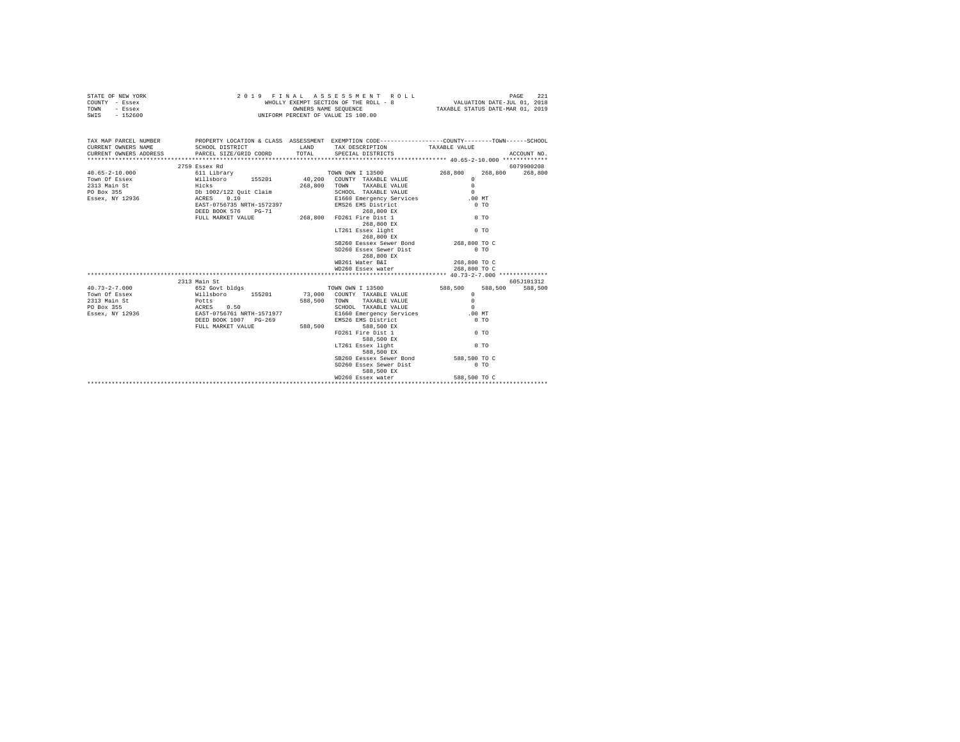| STATE OF NEW YORK | 2019 FINAL ASSESSMENT ROLL            | PAGE                             |
|-------------------|---------------------------------------|----------------------------------|
| COUNTY - Essex    | WHOLLY EXEMPT SECTION OF THE ROLL - 8 | VALUATION DATE-JUL 01, 2018      |
| TOWN<br>- Essex   | OWNERS NAME SEOUENCE                  | TAXABLE STATUS DATE-MAR 01, 2019 |
| - 152600<br>SWIS  | UNIFORM PERCENT OF VALUE IS 100.00    |                                  |

| TAX MAP PARCEL NUMBER PROPERTY LOCATION & CLASS ASSESSMENT EXEMPTION CODE--------------COUNTY-------TOWN-----SCHOOL<br>CURRENT OWNERS NAME SCHOOL DISTRICT AND TAX DESCRIPTION TAXABLE VALUE                                                                                                                                                                          |               |                                                          |              |            |
|-----------------------------------------------------------------------------------------------------------------------------------------------------------------------------------------------------------------------------------------------------------------------------------------------------------------------------------------------------------------------|---------------|----------------------------------------------------------|--------------|------------|
| $\begin{tabular}{l c c c c c} \multicolumn{3}{c}{\textbf{40.65--2-10.000}} & \multicolumn{3}{c}{55.8988\times$160} & \multicolumn{3}{c}{55.8988\times$160} & \multicolumn{3}{c}{55.8988\times$160} & \multicolumn{3}{c}{55.899900208} & \multicolumn{3}{c}{55.899900208} & \multicolumn{3}{c}{55.899900208} & \multicolumn{3}{c}{55.899900208} & \multicolumn{3}{c}{$ | 2759 Essex Rd |                                                          |              | 6079900208 |
|                                                                                                                                                                                                                                                                                                                                                                       |               |                                                          |              |            |
|                                                                                                                                                                                                                                                                                                                                                                       |               |                                                          |              |            |
|                                                                                                                                                                                                                                                                                                                                                                       |               |                                                          |              |            |
|                                                                                                                                                                                                                                                                                                                                                                       |               |                                                          |              |            |
|                                                                                                                                                                                                                                                                                                                                                                       |               |                                                          |              |            |
|                                                                                                                                                                                                                                                                                                                                                                       |               |                                                          |              |            |
|                                                                                                                                                                                                                                                                                                                                                                       |               |                                                          |              |            |
|                                                                                                                                                                                                                                                                                                                                                                       |               | 268,800 EX                                               |              |            |
|                                                                                                                                                                                                                                                                                                                                                                       |               | LT261 Essex light                                        | $0$ TO       |            |
|                                                                                                                                                                                                                                                                                                                                                                       |               | 268,800 EX                                               |              |            |
|                                                                                                                                                                                                                                                                                                                                                                       |               | SB260 Eessex Sewer Bond 268,800 TO C                     |              |            |
|                                                                                                                                                                                                                                                                                                                                                                       |               |                                                          | $0$ TO       |            |
|                                                                                                                                                                                                                                                                                                                                                                       |               | SD260 Essex Sewer Dist<br>268,800 EX                     |              |            |
|                                                                                                                                                                                                                                                                                                                                                                       |               |                                                          |              |            |
|                                                                                                                                                                                                                                                                                                                                                                       |               | 0 16261 Water B&I 268,800 TO C 268,800 TO C 268,800 TO C |              |            |
|                                                                                                                                                                                                                                                                                                                                                                       |               |                                                          |              |            |
|                                                                                                                                                                                                                                                                                                                                                                       |               |                                                          |              | 605J101312 |
|                                                                                                                                                                                                                                                                                                                                                                       |               |                                                          |              | 588,500    |
|                                                                                                                                                                                                                                                                                                                                                                       |               |                                                          |              |            |
|                                                                                                                                                                                                                                                                                                                                                                       |               |                                                          |              |            |
|                                                                                                                                                                                                                                                                                                                                                                       |               |                                                          |              |            |
|                                                                                                                                                                                                                                                                                                                                                                       |               |                                                          |              |            |
|                                                                                                                                                                                                                                                                                                                                                                       |               |                                                          |              |            |
|                                                                                                                                                                                                                                                                                                                                                                       |               |                                                          |              |            |
|                                                                                                                                                                                                                                                                                                                                                                       |               |                                                          |              |            |
|                                                                                                                                                                                                                                                                                                                                                                       |               | 588,500 EX                                               |              |            |
|                                                                                                                                                                                                                                                                                                                                                                       |               | LT261 Essex light 0 TO                                   |              |            |
|                                                                                                                                                                                                                                                                                                                                                                       |               | 588,500 EX                                               |              |            |
|                                                                                                                                                                                                                                                                                                                                                                       |               | SB260 Eessex Sewer Bond 588,500 TO C                     |              |            |
|                                                                                                                                                                                                                                                                                                                                                                       |               | SD260 Essex Sewer Dist 0 TO                              |              |            |
|                                                                                                                                                                                                                                                                                                                                                                       |               | 588,500 EX                                               |              |            |
|                                                                                                                                                                                                                                                                                                                                                                       |               | WD260 Essex water                                        | 588,500 TO C |            |
|                                                                                                                                                                                                                                                                                                                                                                       |               |                                                          |              |            |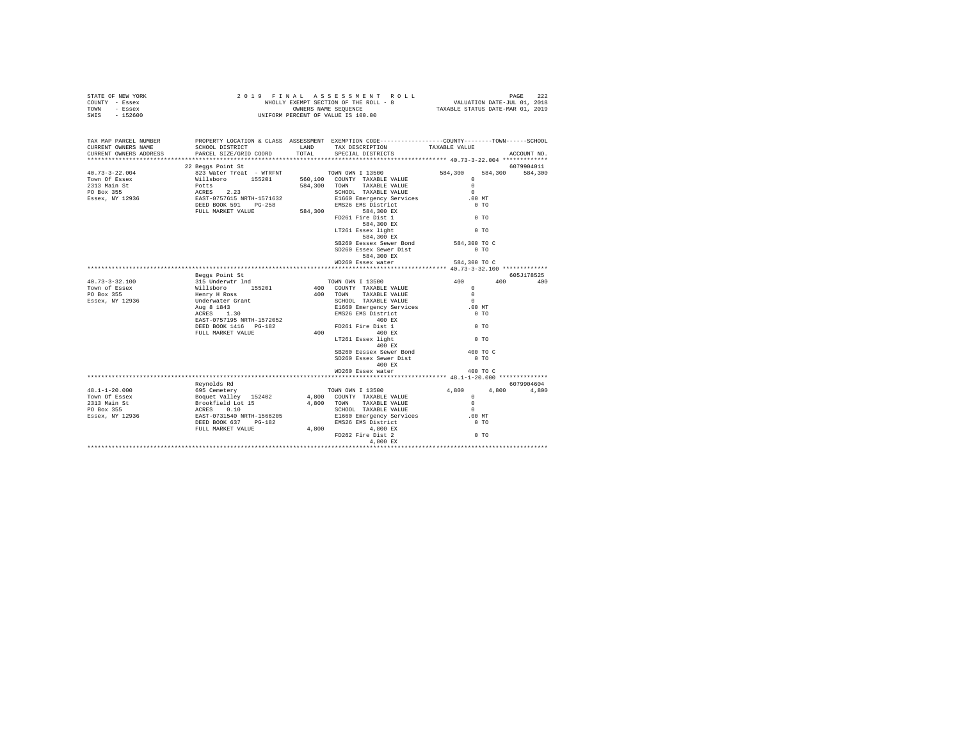| TAX MAP PARCEL NUMBER<br>CURRENT OWNERS NAME<br>CURRENT OWNERS ADDRESS                                                                                                                                                                                                                                                                                                                                                |                   | PROPERTY LOCATION & CLASS ASSESSMENT EXEMPTION CODE----------------COUNTY-------TOWN------SCHOOL                                                                                                                                              |                    | ACCOUNT NO. |
|-----------------------------------------------------------------------------------------------------------------------------------------------------------------------------------------------------------------------------------------------------------------------------------------------------------------------------------------------------------------------------------------------------------------------|-------------------|-----------------------------------------------------------------------------------------------------------------------------------------------------------------------------------------------------------------------------------------------|--------------------|-------------|
|                                                                                                                                                                                                                                                                                                                                                                                                                       |                   |                                                                                                                                                                                                                                               |                    |             |
|                                                                                                                                                                                                                                                                                                                                                                                                                       | 22 Beaas Point St |                                                                                                                                                                                                                                               |                    | 6079904011  |
|                                                                                                                                                                                                                                                                                                                                                                                                                       |                   |                                                                                                                                                                                                                                               |                    |             |
|                                                                                                                                                                                                                                                                                                                                                                                                                       |                   |                                                                                                                                                                                                                                               |                    |             |
|                                                                                                                                                                                                                                                                                                                                                                                                                       |                   |                                                                                                                                                                                                                                               |                    |             |
|                                                                                                                                                                                                                                                                                                                                                                                                                       |                   |                                                                                                                                                                                                                                               |                    |             |
|                                                                                                                                                                                                                                                                                                                                                                                                                       |                   |                                                                                                                                                                                                                                               |                    |             |
|                                                                                                                                                                                                                                                                                                                                                                                                                       |                   |                                                                                                                                                                                                                                               |                    |             |
|                                                                                                                                                                                                                                                                                                                                                                                                                       |                   |                                                                                                                                                                                                                                               |                    |             |
|                                                                                                                                                                                                                                                                                                                                                                                                                       |                   |                                                                                                                                                                                                                                               |                    |             |
|                                                                                                                                                                                                                                                                                                                                                                                                                       |                   |                                                                                                                                                                                                                                               |                    |             |
|                                                                                                                                                                                                                                                                                                                                                                                                                       |                   | SB260 Eessex Sewer Bond 584,300 TO C                                                                                                                                                                                                          |                    |             |
|                                                                                                                                                                                                                                                                                                                                                                                                                       |                   | SD260 Essex Sewer Dist                                                                                                                                                                                                                        | $0$ TO             |             |
|                                                                                                                                                                                                                                                                                                                                                                                                                       |                   | 584,300 EX                                                                                                                                                                                                                                    |                    |             |
|                                                                                                                                                                                                                                                                                                                                                                                                                       |                   | WD260 Essex water                                                                                                                                                                                                                             | 584,300 TO C       |             |
|                                                                                                                                                                                                                                                                                                                                                                                                                       |                   |                                                                                                                                                                                                                                               |                    |             |
| $\begin{tabular}{l c c c} \multicolumn{1}{c}{\textbf{40.73--3-32.100}} & \multicolumn{1}{c}{\textbf{15.896 }} & \multicolumn{1}{c}{\textbf{15.896 }} & \multicolumn{1}{c}{\textbf{15.896 }} & \multicolumn{1}{c}{\textbf{15.896 }} & \multicolumn{1}{c}{\textbf{15.896 }} & \multicolumn{1}{c}{\textbf{15.896 }} & \multicolumn{1}{c}{\textbf{15.896 }} & \multicolumn{1}{c}{\textbf{15.896 }} & \multicolumn{1}{c}{$ | Beggs Point St    |                                                                                                                                                                                                                                               |                    | 605J178525  |
|                                                                                                                                                                                                                                                                                                                                                                                                                       |                   |                                                                                                                                                                                                                                               |                    | 400 400     |
|                                                                                                                                                                                                                                                                                                                                                                                                                       |                   |                                                                                                                                                                                                                                               |                    |             |
|                                                                                                                                                                                                                                                                                                                                                                                                                       |                   |                                                                                                                                                                                                                                               |                    |             |
|                                                                                                                                                                                                                                                                                                                                                                                                                       |                   |                                                                                                                                                                                                                                               |                    |             |
|                                                                                                                                                                                                                                                                                                                                                                                                                       |                   |                                                                                                                                                                                                                                               |                    |             |
|                                                                                                                                                                                                                                                                                                                                                                                                                       |                   |                                                                                                                                                                                                                                               |                    |             |
|                                                                                                                                                                                                                                                                                                                                                                                                                       |                   |                                                                                                                                                                                                                                               |                    |             |
|                                                                                                                                                                                                                                                                                                                                                                                                                       |                   |                                                                                                                                                                                                                                               |                    |             |
|                                                                                                                                                                                                                                                                                                                                                                                                                       |                   |                                                                                                                                                                                                                                               |                    |             |
|                                                                                                                                                                                                                                                                                                                                                                                                                       |                   |                                                                                                                                                                                                                                               |                    |             |
|                                                                                                                                                                                                                                                                                                                                                                                                                       |                   | $SB260$ Eessex Sewer Bond<br>SD260 Essex Sewer Dist                                                                                                                                                                                           | 400 TO C<br>$0$ TO |             |
|                                                                                                                                                                                                                                                                                                                                                                                                                       |                   | 400 EX                                                                                                                                                                                                                                        |                    |             |
|                                                                                                                                                                                                                                                                                                                                                                                                                       |                   | WD260 Essex water                                                                                                                                                                                                                             | 400 TO C           |             |
|                                                                                                                                                                                                                                                                                                                                                                                                                       |                   |                                                                                                                                                                                                                                               |                    |             |
|                                                                                                                                                                                                                                                                                                                                                                                                                       |                   |                                                                                                                                                                                                                                               |                    | 6079904604  |
| $48.1 - 1 - 20.000$                                                                                                                                                                                                                                                                                                                                                                                                   |                   |                                                                                                                                                                                                                                               |                    | 4,800       |
| Town Of Essex                                                                                                                                                                                                                                                                                                                                                                                                         |                   |                                                                                                                                                                                                                                               |                    |             |
| 2313 Main St<br>2313 Main St<br>PO Box 355                                                                                                                                                                                                                                                                                                                                                                            |                   |                                                                                                                                                                                                                                               |                    |             |
| Essex, NY 12936                                                                                                                                                                                                                                                                                                                                                                                                       |                   |                                                                                                                                                                                                                                               |                    |             |
|                                                                                                                                                                                                                                                                                                                                                                                                                       |                   |                                                                                                                                                                                                                                               |                    |             |
|                                                                                                                                                                                                                                                                                                                                                                                                                       |                   |                                                                                                                                                                                                                                               |                    |             |
|                                                                                                                                                                                                                                                                                                                                                                                                                       |                   |                                                                                                                                                                                                                                               |                    |             |
|                                                                                                                                                                                                                                                                                                                                                                                                                       |                   | Reynolds Rd<br>Reynolds Rd<br>Explores Review 152402<br>Explores Value Value 15400<br>Explores Value 15400<br>Explores Control of A,800 COUNTY TAXABLE VALUE 0<br>RORES ON SCHOOL TAXABLE VALUE 0<br>ACRES ON SCHOOL TAXABLE VALUE 0<br>ACRES |                    |             |
|                                                                                                                                                                                                                                                                                                                                                                                                                       |                   |                                                                                                                                                                                                                                               |                    |             |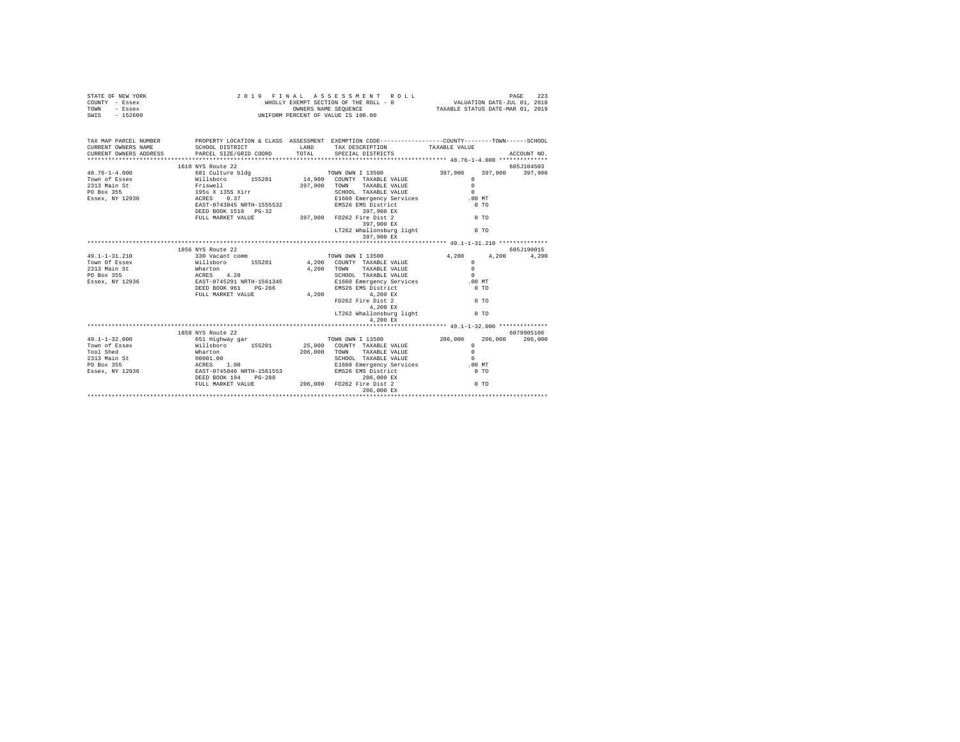| STATE OF NEW YORK<br>COUNTY - Essex<br>TOWN - Essex<br>SWIS - 152600                                                  | 2 0 1 9 F I N A L A S S E S S M E N T R O I<br>WHOLLY EXEMPT SECTION OF THE ROLL - 8<br>OWNERS NAME SEQUENCE<br>UNIFORM PERCENT OF VALUE IS 100.00<br>2019 FINAL ASSESSMENT ROLL | FINAL ASSESSMENT ROLL ROLL PAGE 223<br>WHOLLY EXEMPT SECTION OF THE ROLL - 8 VALUATION DATE-JUL 01, 2018<br>TAXABLE STATUS DATE-MAR 01, 2019 |                   |                 |             |
|-----------------------------------------------------------------------------------------------------------------------|----------------------------------------------------------------------------------------------------------------------------------------------------------------------------------|----------------------------------------------------------------------------------------------------------------------------------------------|-------------------|-----------------|-------------|
| TAX MAP PARCEL NUMBER PROPERTY LOCATION & CLASS ASSESSMENT EXEMPTION CODE---------------COUNTY-------TOWN------SCHOOL |                                                                                                                                                                                  |                                                                                                                                              |                   |                 |             |
|                                                                                                                       |                                                                                                                                                                                  |                                                                                                                                              |                   |                 | ACCOUNT NO. |
|                                                                                                                       |                                                                                                                                                                                  |                                                                                                                                              |                   |                 |             |
|                                                                                                                       | 1610 NYS Route 22                                                                                                                                                                |                                                                                                                                              |                   |                 | 605J104503  |
|                                                                                                                       |                                                                                                                                                                                  |                                                                                                                                              |                   | 397,900 397,900 |             |
|                                                                                                                       |                                                                                                                                                                                  |                                                                                                                                              |                   |                 |             |
|                                                                                                                       |                                                                                                                                                                                  |                                                                                                                                              |                   |                 |             |
|                                                                                                                       |                                                                                                                                                                                  |                                                                                                                                              |                   |                 |             |
|                                                                                                                       |                                                                                                                                                                                  |                                                                                                                                              |                   |                 |             |
|                                                                                                                       |                                                                                                                                                                                  |                                                                                                                                              |                   |                 |             |
|                                                                                                                       |                                                                                                                                                                                  |                                                                                                                                              |                   |                 |             |
|                                                                                                                       |                                                                                                                                                                                  |                                                                                                                                              |                   |                 |             |
|                                                                                                                       |                                                                                                                                                                                  | 397,900 EX<br>LT262 Whallonsburg light $0$ TO                                                                                                |                   |                 |             |
|                                                                                                                       |                                                                                                                                                                                  | 397,900 EX                                                                                                                                   |                   |                 |             |
|                                                                                                                       |                                                                                                                                                                                  |                                                                                                                                              |                   |                 |             |
|                                                                                                                       | 1856 NYS Route 22                                                                                                                                                                |                                                                                                                                              |                   |                 | 605J190015  |
|                                                                                                                       |                                                                                                                                                                                  |                                                                                                                                              | 4,200 4,200 4,200 |                 |             |
|                                                                                                                       |                                                                                                                                                                                  |                                                                                                                                              |                   |                 |             |
|                                                                                                                       |                                                                                                                                                                                  |                                                                                                                                              |                   |                 |             |
|                                                                                                                       |                                                                                                                                                                                  |                                                                                                                                              |                   |                 |             |
|                                                                                                                       |                                                                                                                                                                                  |                                                                                                                                              |                   |                 |             |
|                                                                                                                       |                                                                                                                                                                                  |                                                                                                                                              |                   |                 |             |
|                                                                                                                       |                                                                                                                                                                                  |                                                                                                                                              |                   |                 |             |
|                                                                                                                       |                                                                                                                                                                                  |                                                                                                                                              |                   |                 |             |
|                                                                                                                       |                                                                                                                                                                                  |                                                                                                                                              |                   |                 |             |
|                                                                                                                       |                                                                                                                                                                                  | 4,200 EX                                                                                                                                     |                   |                 |             |
|                                                                                                                       |                                                                                                                                                                                  |                                                                                                                                              |                   |                 |             |
|                                                                                                                       | 1858 NYS Route 22                                                                                                                                                                |                                                                                                                                              |                   |                 | 6079905106  |
|                                                                                                                       |                                                                                                                                                                                  |                                                                                                                                              |                   |                 |             |
|                                                                                                                       |                                                                                                                                                                                  |                                                                                                                                              |                   |                 |             |
|                                                                                                                       |                                                                                                                                                                                  |                                                                                                                                              |                   |                 |             |
|                                                                                                                       |                                                                                                                                                                                  |                                                                                                                                              |                   |                 |             |
|                                                                                                                       |                                                                                                                                                                                  |                                                                                                                                              |                   |                 |             |
|                                                                                                                       |                                                                                                                                                                                  |                                                                                                                                              |                   |                 |             |
|                                                                                                                       |                                                                                                                                                                                  |                                                                                                                                              |                   |                 |             |
|                                                                                                                       |                                                                                                                                                                                  |                                                                                                                                              |                   |                 |             |
|                                                                                                                       |                                                                                                                                                                                  |                                                                                                                                              |                   |                 |             |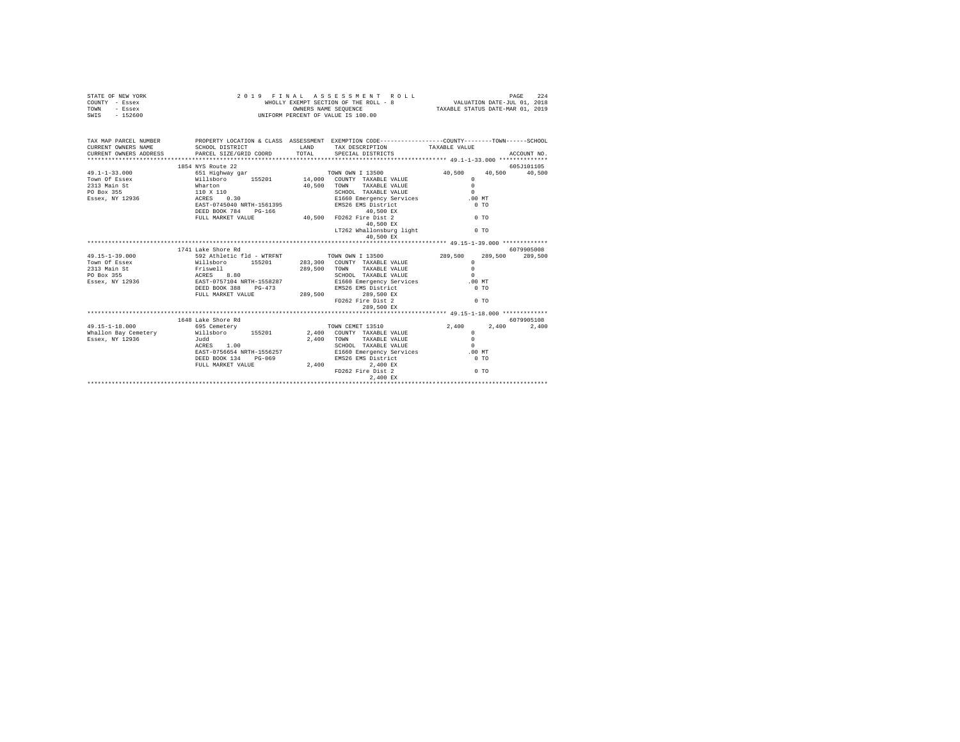| STATE OF NEW YORK<br>COUNTY - Essex                                  | WHOLLY EXEMPT SECTION OF THE ACTES<br>OWNERS NAME SEQUENCE<br>UNIFORM PERCENT OF VALUE IS 100.00 |                                  | 2019 FINAL ASSESSMENT ROLL<br>WHOLLY EXEMPT SECTION OF THE ROLL - 8 VALUATION DATE-JUL $01$ , 2018<br>OWNERS NAME SEQUENCE |                                | 224<br>PAGE |
|----------------------------------------------------------------------|--------------------------------------------------------------------------------------------------|----------------------------------|----------------------------------------------------------------------------------------------------------------------------|--------------------------------|-------------|
| TOWN - Essex<br>SWIS - 152600                                        |                                                                                                  | TAXABLE STATUS DATE-MAR 01, 2019 |                                                                                                                            |                                |             |
|                                                                      |                                                                                                  |                                  |                                                                                                                            |                                |             |
|                                                                      |                                                                                                  |                                  |                                                                                                                            |                                |             |
| TAX MAP PARCEL NUMBER                                                | PROPERTY LOCATION & CLASS ASSESSMENT EXEMPTION CODE---------------COUNTY-------TOWN-----SCHOOL   |                                  |                                                                                                                            |                                |             |
| CURRENT OWNERS NAME<br>CURRENT OWNERS ADDRESS PARCEL SIZE/GRID COORD | SCHOOL DISTRICT LAND TAX DESCRIPTION                                                             | TOTAL                            | SPECIAL DISTRICTS                                                                                                          | TAXABLE VALUE                  | ACCOUNT NO. |
|                                                                      |                                                                                                  |                                  |                                                                                                                            |                                |             |
|                                                                      | 1854 NYS Route 22                                                                                |                                  |                                                                                                                            |                                | 605J101105  |
|                                                                      |                                                                                                  |                                  |                                                                                                                            | 40,500 40,500                  | 40,500      |
|                                                                      |                                                                                                  |                                  |                                                                                                                            | $\Omega$                       |             |
|                                                                      |                                                                                                  |                                  | 40,500 TOWN TAXABLE VALUE                                                                                                  | $\cap$                         |             |
|                                                                      |                                                                                                  |                                  |                                                                                                                            | $\Omega$                       |             |
|                                                                      |                                                                                                  |                                  |                                                                                                                            | .00MT                          |             |
|                                                                      |                                                                                                  |                                  |                                                                                                                            | $0$ TO                         |             |
|                                                                      | DEED BOOK 784 PG-166 40,500 FD262 Fire Dist 2<br>FULL MARKET VALUE 40,500 FD262 Fire Dist 2      |                                  |                                                                                                                            |                                |             |
|                                                                      |                                                                                                  |                                  |                                                                                                                            | $00$ TO                        |             |
|                                                                      |                                                                                                  |                                  | 40,500 EX                                                                                                                  |                                |             |
|                                                                      |                                                                                                  |                                  | LT262 Whallonsburg light 0 TO                                                                                              |                                |             |
|                                                                      |                                                                                                  |                                  | 40,500 EX                                                                                                                  |                                |             |
|                                                                      |                                                                                                  |                                  |                                                                                                                            |                                |             |
|                                                                      | 1741 Lake Shore Rd                                                                               |                                  |                                                                                                                            |                                | 6079905008  |
| 49.15-1-39.000                                                       | 592 Athletic fld - WTRFNT TOWN OWN I 13500                                                       |                                  |                                                                                                                            | 289,500<br>289,500<br>$\Omega$ | 289,500     |
|                                                                      |                                                                                                  |                                  |                                                                                                                            | $\Omega$                       |             |
|                                                                      |                                                                                                  |                                  |                                                                                                                            | $\Omega$                       |             |
|                                                                      |                                                                                                  |                                  |                                                                                                                            | .00MT                          |             |
|                                                                      |                                                                                                  |                                  |                                                                                                                            | 0.70                           |             |
|                                                                      |                                                                                                  |                                  |                                                                                                                            |                                |             |
|                                                                      |                                                                                                  |                                  | FD262 Fire Dist 2                                                                                                          | $0$ TO                         |             |
|                                                                      |                                                                                                  |                                  | 289,500 EX                                                                                                                 |                                |             |
|                                                                      |                                                                                                  |                                  |                                                                                                                            |                                |             |
|                                                                      | 1648 Lake Shore Rd                                                                               |                                  |                                                                                                                            |                                | 6079905108  |
| $49.15 - 1 - 18.000$                                                 | 695 Cemetery                                                                                     |                                  | TOWN CEMET 13510                                                                                                           | 2,400 2,400 2,400              |             |
| Whallon Bay Cemetery                                                 | Willsboro 155201 2,400 COUNTY TAXABLE VALUE                                                      |                                  |                                                                                                                            | $\Omega$                       |             |
| Essex, NY 12936                                                      | Judd                                                                                             |                                  | 2.400 TOWN<br>TAXABLE VALUE                                                                                                | $\Omega$                       |             |
|                                                                      | ACRES 1.00                                                                                       |                                  | SCHOOL TAXABLE VALUE                                                                                                       | $\sim$ 0                       |             |
|                                                                      |                                                                                                  |                                  |                                                                                                                            |                                |             |
|                                                                      |                                                                                                  |                                  |                                                                                                                            |                                |             |
|                                                                      |                                                                                                  |                                  |                                                                                                                            |                                |             |
|                                                                      |                                                                                                  |                                  | FD262 Fire Dist 2                                                                                                          | $00$ TO                        |             |
|                                                                      |                                                                                                  |                                  | $2,400$ $\,$ EX                                                                                                            |                                |             |
|                                                                      |                                                                                                  |                                  |                                                                                                                            |                                |             |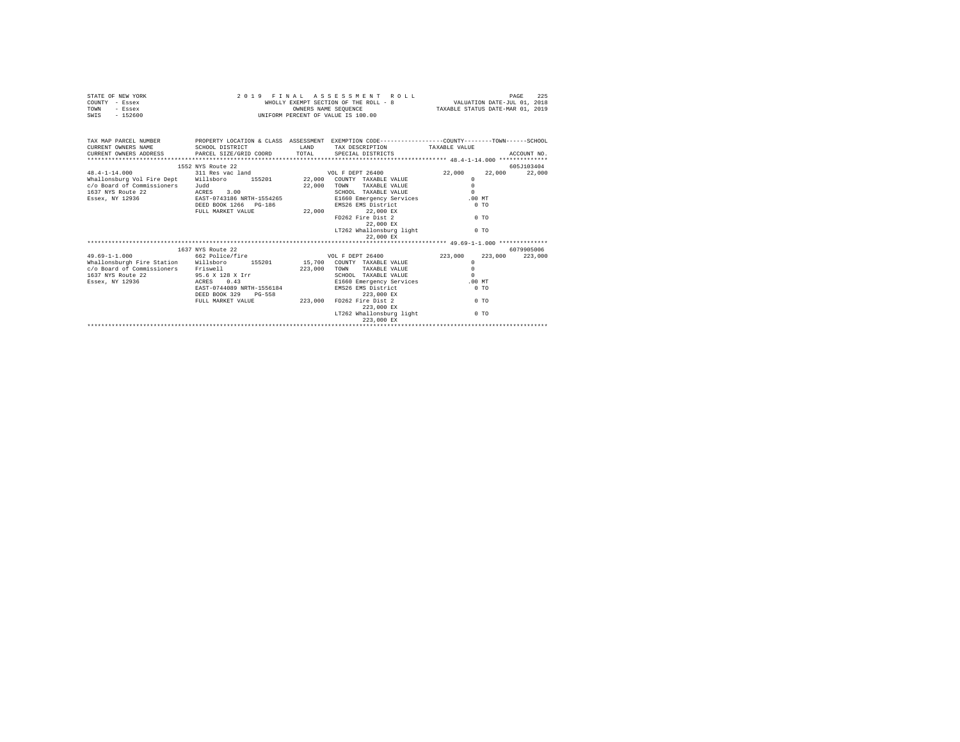| STATE OF NEW YORK<br>COUNTY - Essex                                                                                 |                                                   |             | 2019 FINAL ASSESSMENT ROLL            |          |         | 225<br>PAGE |
|---------------------------------------------------------------------------------------------------------------------|---------------------------------------------------|-------------|---------------------------------------|----------|---------|-------------|
| TOWN<br>- Essex<br>SWIS - 152600                                                                                    |                                                   |             | UNIFORM PERCENT OF VALUE IS 100.00    |          |         |             |
|                                                                                                                     |                                                   |             |                                       |          |         |             |
| TAX MAP PARCEL NUMBER PROPERTY LOCATION & CLASS ASSESSMENT EXEMPTION CODE--------------COUNTY-------TOWN-----SCHOOL |                                                   |             |                                       |          |         |             |
| CURRENT OWNERS NAME                                                                                                 | SCHOOL DISTRICT                                   |             | LAND TAX DESCRIPTION TAXABLE VALUE    |          |         |             |
| CURRENT OWNERS ADDRESS PARCEL SIZE/GRID COORD TOTAL SPECIAL DISTRICTS                                               |                                                   |             |                                       |          |         | ACCOUNT NO. |
|                                                                                                                     | 1552 NYS Route 22                                 |             |                                       |          |         | 605J103404  |
| $48.4 - 1 - 14.000$                                                                                                 | 311 Res vac land WOL F DEPT 26400                 |             |                                       | 22,000   | 22,000  | 22,000      |
| Whallonsburg Vol Fire Dept Willsboro 155201 22,000 COUNTY TAXABLE VALUE                                             |                                                   |             |                                       | $\Omega$ |         |             |
| c/o Board of Commissioners Judd                                                                                     |                                                   | 22,000 TOWN | TAXABLE VALUE                         | $\Omega$ |         |             |
| 1637 NYS Route 22                                                                                                   | ACRES 3.00                                        |             | SCHOOL TAXABLE VALUE                  | $\Omega$ |         |             |
| Essex, NY 12936 EAST-0743186 NRTH-1554265 E1660 Emergency Services                                                  |                                                   |             |                                       | $.00$ MT |         |             |
|                                                                                                                     | DEED BOOK 1266 PG-186                             |             | EMS26 EMS District                    | $0$ TO   |         |             |
|                                                                                                                     | FULL MARKET VALUE                                 |             | 22,000 22,000 EX                      |          |         |             |
|                                                                                                                     |                                                   |             | FD262 Fire Dist 2                     | 0.70     |         |             |
|                                                                                                                     |                                                   |             | 22,000 EX                             | 0.70     |         |             |
|                                                                                                                     |                                                   |             | LT262 Whallonsburg light<br>22,000 EX |          |         |             |
|                                                                                                                     |                                                   |             |                                       |          |         |             |
|                                                                                                                     | 1637 NYS Route 22                                 |             |                                       |          |         | 6079905006  |
| $49.69 - 1 - 1.000$                                                                                                 | 662 Police/fire                                   |             | VOL F DEPT 26400                      | 223,000  | 223,000 | 223,000     |
| Whallonsburgh Fire Station Willsboro 155201 15,700 COUNTY TAXABLE VALUE                                             |                                                   |             |                                       | $\circ$  |         |             |
| c/o Board of Commissioners Friswell                                                                                 |                                                   |             | 223,000 TOWN<br>TAXABLE VALUE         | $\Omega$ |         |             |
| 1637 NYS Route 22 95.6 X 128 X Irr                                                                                  |                                                   |             | SCHOOL TAXABLE VALUE                  | $\Omega$ |         |             |
| Essex, NY 12936                                                                                                     | ACRES 0.43                                        |             | E1660 Emergency Services .00 MT       |          |         |             |
|                                                                                                                     | EAST-0744089 NRTH-1556184<br>DEED BOOK 329 PG-558 |             | EMS26 EMS District                    | $0$ TO   |         |             |
|                                                                                                                     |                                                   |             | 223,000 EX                            |          |         |             |
|                                                                                                                     | FULL MARKET VALUE                                 |             | 223,000 FD262 Fire Dist 2             |          | $0$ TO  |             |
|                                                                                                                     |                                                   |             | 223,000 EX                            |          |         |             |
|                                                                                                                     |                                                   |             | LT262 Whallonsburg light              |          | $0$ TO  |             |
|                                                                                                                     |                                                   |             | 223,000 EX                            |          |         |             |
|                                                                                                                     |                                                   |             |                                       |          |         |             |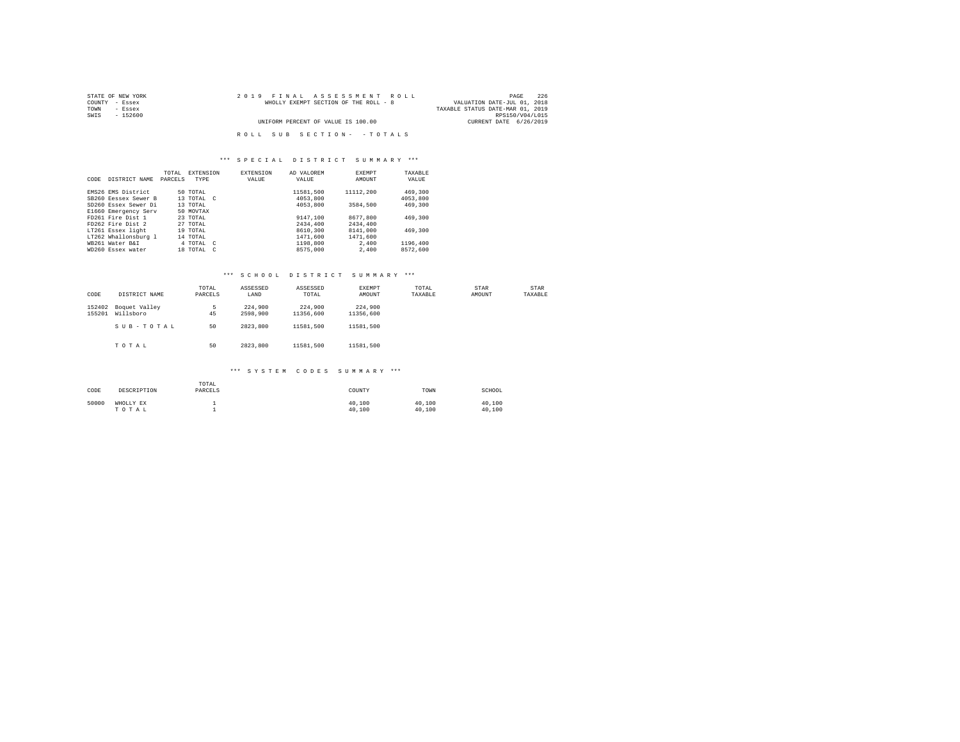| STATE OF NEW YORK | 2019 FINAL ASSESSMENT ROLL            | 226<br>PAGE                      |
|-------------------|---------------------------------------|----------------------------------|
| COUNTY - Essex    | WHOLLY EXEMPT SECTION OF THE ROLL - 8 | VALUATION DATE-JUL 01, 2018      |
| TOWN<br>- Essex   |                                       | TAXABLE STATUS DATE-MAR 01, 2019 |
| SWIS<br>$-152600$ |                                       | RPS150/V04/L015                  |
|                   | UNIFORM PERCENT OF VALUE IS 100.00    | CURRENT DATE 6/26/2019           |
|                   |                                       |                                  |
|                   | ROLL SUB SECTION- - TOTALS            |                                  |

#### \*\*\* S P E C I A L D I S T R I C T S U M M A R Y \*\*\*

| CODE | DISTRICT NAME        | TOTAL<br>PARCELS | EXTENSION<br>TYPE | <b>EXTENSION</b><br>VALUE | AD VALOREM<br>VALUE | <b>EXEMPT</b><br>AMOUNT | TAXABLE<br>VALUE |  |
|------|----------------------|------------------|-------------------|---------------------------|---------------------|-------------------------|------------------|--|
|      |                      |                  |                   |                           |                     |                         |                  |  |
|      | EMS26 EMS District   |                  | 50 TOTAL          |                           | 11581.500           | 11112,200               | 469,300          |  |
|      | SB260 Eessex Sewer B |                  | 13 TOTAL C        |                           | 4053,800            |                         | 4053,800         |  |
|      | SD260 Essex Sewer Di |                  | 13 TOTAL          |                           | 4053,800            | 3584,500                | 469,300          |  |
|      | E1660 Emergency Serv |                  | 50 MOVTAX         |                           |                     |                         |                  |  |
|      | FD261 Fire Dist 1    |                  | 23 TOTAL          |                           | 9147.100            | 8677.800                | 469,300          |  |
|      | FD262 Fire Dist 2    |                  | 27 TOTAL          |                           | 2434,400            | 2434,400                |                  |  |
|      | LT261 Essex light    |                  | 19 TOTAL          |                           | 8610,300            | 8141,000                | 469,300          |  |
|      | LT262 Whallonsburg 1 |                  | 14 TOTAL          |                           | 1471,600            | 1471,600                |                  |  |
|      | WR261 Water R&T      |                  | 4 TOTAL C         |                           | 1198,800            | 2,400                   | 1196,400         |  |
|      | WD260 Essex water    |                  | 18 TOTAL          | $\sim$                    | 8575,000            | 2,400                   | 8572,600         |  |

#### \*\*\* S C H O O L D I S T R I C T S U M M A R Y \*\*\*

| CODE             | DISTRICT NAME              | TOTAL<br>PARCELS | ASSESSED<br>LAND    | ASSESSED<br>TOTAL    | EXEMPT<br>AMOUNT     | TOTAL<br>TAXABLE | STAR<br>AMOUNT | <b>STAR</b><br>TAXABLE |
|------------------|----------------------------|------------------|---------------------|----------------------|----------------------|------------------|----------------|------------------------|
| 152402<br>155201 | Boquet Valley<br>Willsboro | 5<br>45          | 224,900<br>2598,900 | 224,900<br>11356,600 | 224,900<br>11356.600 |                  |                |                        |
|                  | SUB-TOTAL                  | 50               | 2823.800            | 11581,500            | 11581.500            |                  |                |                        |
|                  | TOTAL                      | 50               | 2823,800            | 11581,500            | 11581.500            |                  |                |                        |

| CODE  | DESCRIPTION        | TOTAL<br>PARCELS | COUNTY           | TOWN             | SCHOOL           |
|-------|--------------------|------------------|------------------|------------------|------------------|
| 50000 | WHOLLY EX<br>TOTAL |                  | 40.100<br>40.100 | 40.100<br>40,100 | 40,100<br>40.100 |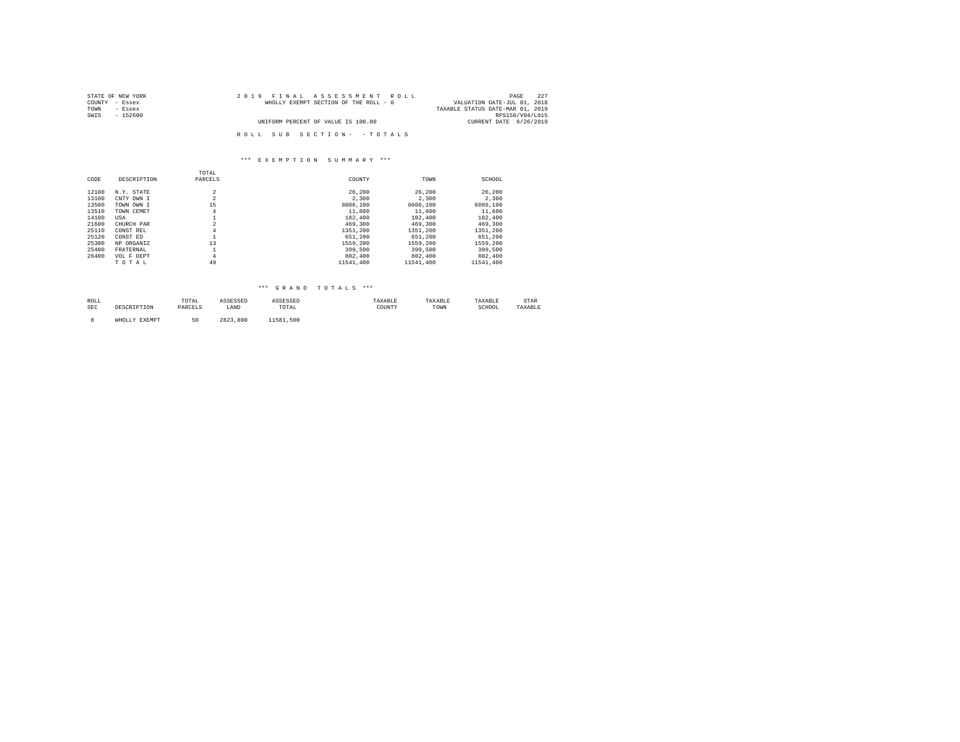| STATE OF NEW YORK | 2019 FINAL ASSESSMENT ROLL            | 227<br>PAGE                      |
|-------------------|---------------------------------------|----------------------------------|
| COUNTY - Essex    | WHOLLY EXEMPT SECTION OF THE ROLL - 8 | VALUATION DATE-JUL 01, 2018      |
| TOWN<br>- Essex   |                                       | TAXABLE STATUS DATE-MAR 01, 2019 |
| SWIS<br>$-152600$ |                                       | RPS150/V04/L015                  |
|                   | UNIFORM PERCENT OF VALUE IS 100.00    | CURRENT DATE 6/26/2019           |
|                   |                                       |                                  |
|                   | ROLL SUB SECTION- - TOTALS            |                                  |

|       |             | TOTAL          |           |           |           |
|-------|-------------|----------------|-----------|-----------|-----------|
| CODE  | DESCRIPTION | PARCELS        | COUNTY    | TOWN      | SCHOOL    |
| 12100 | N.Y. STATE  | $\overline{2}$ | 26,200    | 26,200    | 26,200    |
| 13100 | CNTY OWN I  | $\overline{2}$ | 2,300     | 2,300     | 2,300     |
| 13500 | TOWN OWN I  | 15             | 6086,100  | 6086,100  | 6086,100  |
| 13510 | TOWN CEMET  | 4              | 11,600    | 11,600    | 11,600    |
| 14100 | USA         | ᆂ              | 182,400   | 182,400   | 182,400   |
| 21600 | CHURCH PAR  | $\overline{2}$ | 469,300   | 469,300   | 469,300   |
| 25110 | CONST REL   | $\overline{4}$ | 1351,200  | 1351.200  | 1351,200  |
| 25120 | CONST ED    | ᆂ              | 651,200   | 651,200   | 651,200   |
| 25300 | NP ORGANIZ  | 13             | 1559,200  | 1559.200  | 1559.200  |
| 25400 | FRATERNAL   |                | 399,500   | 399,500   | 399,500   |
| 26400 | VOL F DEPT  | $\overline{4}$ | 802,400   | 802,400   | 802,400   |
|       | TOTAL       | 49             | 11541.400 | 11541.400 | 11541,400 |

# \*\*\* G R A N D T O T A L S \*\*\*

| ROLL       |               | TOTAL     | ASSESSED | ASSESSED                                                 | TAXABLE | TAXABLE | TAXABLE | STAR    |
|------------|---------------|-----------|----------|----------------------------------------------------------|---------|---------|---------|---------|
| <b>SEC</b> | DESCRIPTION   | PARCELS   | LAND     | TOTAL<br>the contract of the contract of the contract of | COUNTY  | TOWN    | SCHOOL  | TAXABLE |
|            |               |           |          |                                                          |         |         |         |         |
|            | WHOLLY EXEMPT | ĸΛ<br>– u | 2823.800 | 11581<br>.500                                            |         |         |         |         |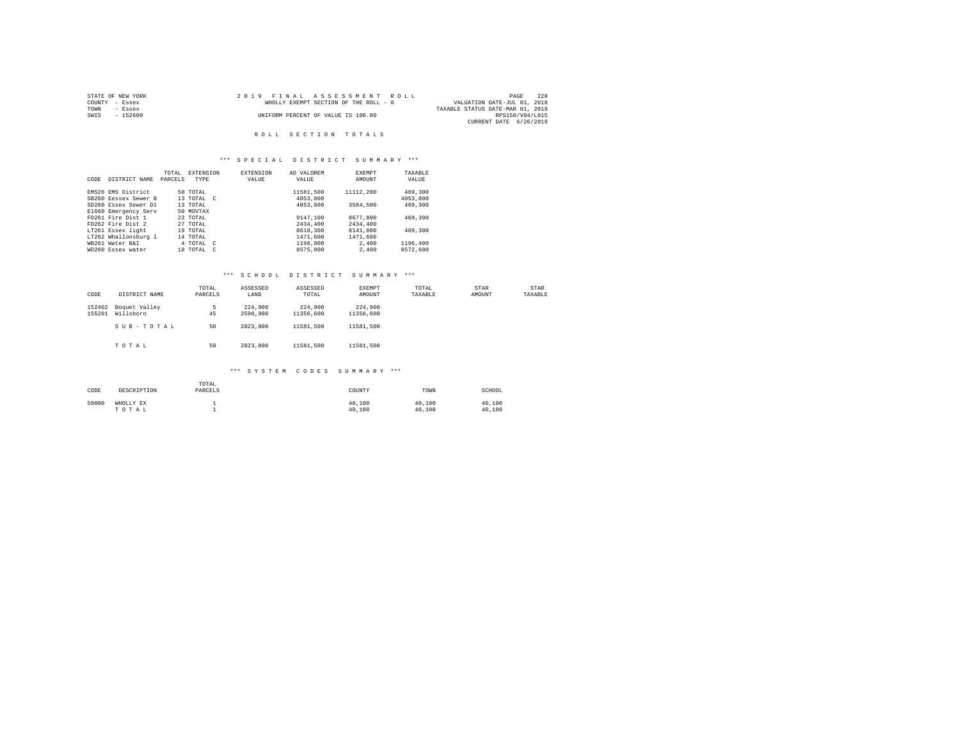| STATE OF NEW YORK | 2019 FINAL ASSESSMENT ROLL            | 228<br>PAGE                      |
|-------------------|---------------------------------------|----------------------------------|
| COUNTY - Essex    | WHOLLY EXEMPT SECTION OF THE ROLL - 8 | VALUATION DATE-JUL 01, 2018      |
| TOWN<br>- Essex   |                                       | TAXABLE STATUS DATE-MAR 01, 2019 |
| SWIS<br>- 152600  | UNIFORM PERCENT OF VALUE IS 100.00    | RPS150/V04/L015                  |
|                   |                                       | CURRENT DATE 6/26/2019           |

#### ROLL SECTION TOTALS

#### \*\*\* S P E C I A L D I S T R I C T S U M M A R Y \*\*\*

|      |                      | TOTAL   | <b>EXTENSION</b>     | <b>EXTENSION</b> | AD VALOREM | <b>EXEMPT</b> | TAXARLE  |  |
|------|----------------------|---------|----------------------|------------------|------------|---------------|----------|--|
| CODE | DISTRICT NAME        | PARCELS | TYPE                 | VALUE            | VALUE      | AMOUNT        | VALUE    |  |
|      |                      |         |                      |                  |            |               |          |  |
|      | EMS26 EMS District   |         | 50 TOTAL             |                  | 11581.500  | 11112,200     | 469,300  |  |
|      | SB260 Eessex Sewer B |         | 13 TOTAL C           |                  | 4053,800   |               | 4053,800 |  |
|      | SD260 Essex Sewer Di |         | 13 TOTAL             |                  | 4053,800   | 3584,500      | 469,300  |  |
|      | E1660 Emergency Serv |         | 50 MOVTAX            |                  |            |               |          |  |
|      | FD261 Fire Dist 1    |         | 23 TOTAL             |                  | 9147.100   | 8677,800      | 469,300  |  |
|      | FD262 Fire Dist 2    |         | 27 TOTAL             |                  | 2434,400   | 2434,400      |          |  |
|      | LT261 Essex light    |         | 19 TOTAL             |                  | 8610,300   | 8141,000      | 469,300  |  |
|      | LT262 Whallonsburg 1 |         | 14 TOTAL             |                  | 1471,600   | 1471,600      |          |  |
|      | WR261 Water R&T      |         | 4 TOTAL C            |                  | 1198,800   | 2,400         | 1196,400 |  |
|      | WD260 Essex water    |         | 18 TOTAL<br>$\Gamma$ |                  | 8575,000   | 2,400         | 8572,600 |  |

#### \*\*\* S C H O O L D I S T R I C T S U M M A R Y \*\*\*

| CODE             | DISTRICT NAME              | TOTAL<br>PARCELS | ASSESSED<br>LAND    | ASSESSED<br>TOTAL    | EXEMPT<br>AMOUNT     | TOTAL<br>TAXABLE | STAR<br>AMOUNT | <b>STAR</b><br>TAXABLE |
|------------------|----------------------------|------------------|---------------------|----------------------|----------------------|------------------|----------------|------------------------|
| 152402<br>155201 | Boquet Valley<br>Willsboro | 5<br>45          | 224,900<br>2598,900 | 224,900<br>11356,600 | 224,900<br>11356,600 |                  |                |                        |
|                  | SUB-TOTAL                  | 50               | 2823,800            | 11581.500            | 11581.500            |                  |                |                        |
|                  | TOTAL                      | 50               | 2823,800            | 11581.500            | 11581.500            |                  |                |                        |

| CODE  | DESCRIPTION        | TOTAL<br>PARCELS | COUNTY           | TOWN             | SCHOOL           |
|-------|--------------------|------------------|------------------|------------------|------------------|
| 50000 | WHOLLY EX<br>TOTAL |                  | 40.100<br>40.100 | 40.100<br>40,100 | 40,100<br>40.100 |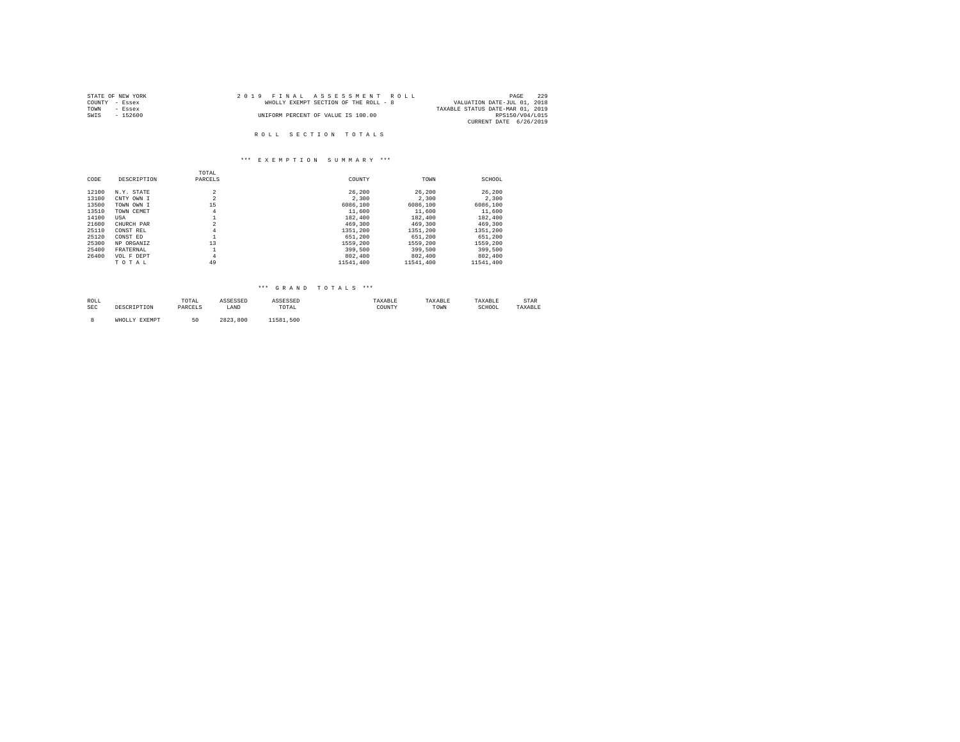| STATE OF NEW YORK | 2019 FINAL ASSESSMENT ROLL            | 229<br>PAGE                      |
|-------------------|---------------------------------------|----------------------------------|
| COUNTY - Essex    | WHOLLY EXEMPT SECTION OF THE ROLL - 8 | VALUATION DATE-JUL 01, 2018      |
| TOWN<br>- Essex   |                                       | TAXABLE STATUS DATE-MAR 01, 2019 |
| SWTS<br>- 152600  | UNIFORM PERCENT OF VALUE IS 100.00    | RPS150/V04/L015                  |
|                   |                                       | CURRENT DATE 6/26/2019           |
|                   |                                       |                                  |
|                   | ROLL SECTION TOTALS                   |                                  |

|       |             | TOTAL          |           |           |           |
|-------|-------------|----------------|-----------|-----------|-----------|
| CODE  | DESCRIPTION | PARCELS        | COUNTY    | TOWN      | SCHOOL    |
| 12100 | N.Y. STATE  | $\overline{a}$ | 26,200    | 26,200    | 26,200    |
| 13100 | CNTY OWN I  | $\overline{a}$ | 2,300     | 2.300     | 2.300     |
| 13500 | TOWN OWN I  | 15             | 6086,100  | 6086,100  | 6086,100  |
| 13510 | TOWN CEMET  | 4              | 11,600    | 11,600    | 11,600    |
| 14100 | USA         |                | 182,400   | 182,400   | 182,400   |
| 21600 | CHURCH PAR  | $\overline{a}$ | 469,300   | 469,300   | 469,300   |
| 25110 | CONST REL   | $\overline{4}$ | 1351,200  | 1351,200  | 1351,200  |
| 25120 | CONST ED    |                | 651,200   | 651,200   | 651,200   |
| 25300 | NP ORGANIZ  | 13             | 1559,200  | 1559,200  | 1559,200  |
| 25400 | FRATERNAL   |                | 399,500   | 399,500   | 399,500   |
| 26400 | VOL F DEPT  | $\overline{4}$ | 802,400   | 802,400   | 802,400   |
|       | TOTAL       | 49             | 11541.400 | 11541.400 | 11541.400 |

# \*\*\* G R A N D T O T A L S \*\*\*

| ROLL<br>the contract of the contract of the |      | TOTAL                         | ◝⊵◒◒◣ |                                                          | .522521     | . AAAD LI | .AXABLE     | . LAR |
|---------------------------------------------|------|-------------------------------|-------|----------------------------------------------------------|-------------|-----------|-------------|-------|
| SEC                                         | ---- | 1.3 N <sub>1</sub><br>------- | LAND  | TOTAL<br>the contract of the contract of the contract of | COUNTY<br>. | TOWN      | SCHUUL<br>. |       |
|                                             |      |                               |       |                                                          |             |           |             |       |

8 WHOLLY EXEMPT 50 2823,800 11581,500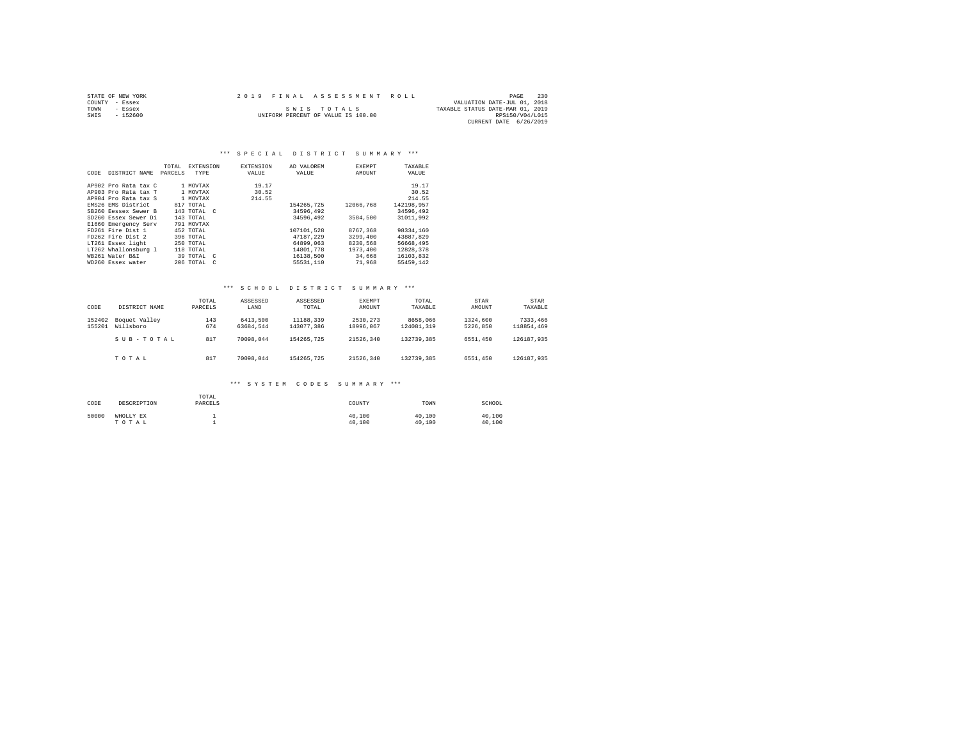|      | STATE OF NEW YORK | 2019 FINAL ASSESSMENT ROLL         |                                  | PAGE            | 230 |
|------|-------------------|------------------------------------|----------------------------------|-----------------|-----|
|      | COUNTY - Essex    |                                    | VALUATION DATE-JUL 01, 2018      |                 |     |
| TOWN | - Essex           | SWIS TOTALS                        | TAXABLE STATUS DATE-MAR 01, 2019 |                 |     |
| SWIS | $-152600$         | UNIFORM PERCENT OF VALUE IS 100.00 |                                  | RPS150/V04/L015 |     |
|      |                   |                                    | CURRENT DATE 6/26/2019           |                 |     |

#### \*\*\* SPECIAL DISTRICT SUMMARY \*\*\*

|      |                      | TOTAL   | <b>EXTENSION</b>           | <b>EXTENSION</b> | AD VALOREM | <b>EXEMPT</b> | TAXABLE    |
|------|----------------------|---------|----------------------------|------------------|------------|---------------|------------|
| CODE | DISTRICT NAME        | PARCELS | TYPE                       | VALUE            | VALUE      | AMOUNT        | VALUE      |
|      |                      |         |                            |                  |            |               |            |
|      | AP902 Pro Rata tax C |         | 1 MOVTAX                   | 19.17            |            |               | 19.17      |
|      | AP903 Pro Rata tax T |         | 1 MOVTAX                   | 30.52            |            |               | 30.52      |
|      | AP904 Pro Rata tax S |         | 1 MOVTAX                   | 214.55           |            |               | 214.55     |
|      | EMS26 EMS District   |         | 817 TOTAL                  |                  | 154265.725 | 12066.768     | 142198.957 |
|      | SB260 Eessex Sewer B |         | 143 TOTAL C                |                  | 34596.492  |               | 34596.492  |
|      | SD260 Essex Sewer Di |         | 143 TOTAL                  |                  | 34596.492  | 3584,500      | 31011.992  |
|      | E1660 Emergency Serv |         | 791 MOVTAX                 |                  |            |               |            |
|      | FD261 Fire Dist 1    |         | 452 TOTAL                  |                  | 107101.528 | 8767.368      | 98334,160  |
|      | FD262 Fire Dist 2    |         | 396 TOTAL                  |                  | 47187.229  | 3299,400      | 43887,829  |
|      | LT261 Essex light    |         | 250 TOTAL                  |                  | 64899.063  | 8230.568      | 56668,495  |
|      | LT262 Whallonsburg 1 |         | 118 TOTAL                  |                  | 14801,778  | 1973,400      | 12828.378  |
|      | WB261 Water B&I      |         | 39 TOTAL C                 |                  | 16138,500  | 34,668        | 16103,832  |
|      | WD260 Essex water    |         | 206 TOTAL<br>$\mathcal{C}$ |                  | 55531.110  | 71,968        | 55459.142  |
|      |                      |         |                            |                  |            |               |            |

#### \*\*\* S C H O O L D I S T R I C T S U M M A R Y \*\*\*

| CODE             | DISTRICT NAME                  | TOTAL<br>PARCELS | ASSESSED<br>LAND      | ASSESSED<br>TOTAL       | EXEMPT<br>AMOUNT      | TOTAL<br>TAXABLE       | STAR<br>AMOUNT       | <b>STAR</b><br>TAXABLE |
|------------------|--------------------------------|------------------|-----------------------|-------------------------|-----------------------|------------------------|----------------------|------------------------|
| 152402<br>155201 | Boquet Valley<br>Willsboro     | 143<br>674       | 6413,500<br>63684.544 | 11188,339<br>143077.386 | 2530.273<br>18996.067 | 8658,066<br>124081.319 | 1324,600<br>5226.850 | 7333,466<br>118854,469 |
|                  | $S$ II $B - T$ $O$ $T$ $A$ $L$ | 817              | 70098.044             | 154265.725              | 21526.340             | 132739.385             | 6551,450             | 126187.935             |
|                  | TOTAL                          | 817              | 70098.044             | 154265.725              | 21526.340             | 132739.385             | 6551,450             | 126187.935             |

| CODE  | DESCRIPTION        | TOTAL<br>PARCELS | COUNTY           | TOWN             | SCHOOL           |
|-------|--------------------|------------------|------------------|------------------|------------------|
| 50000 | WHOLLY EX<br>TOTAL |                  | 40,100<br>40,100 | 40,100<br>40,100 | 40.100<br>40.100 |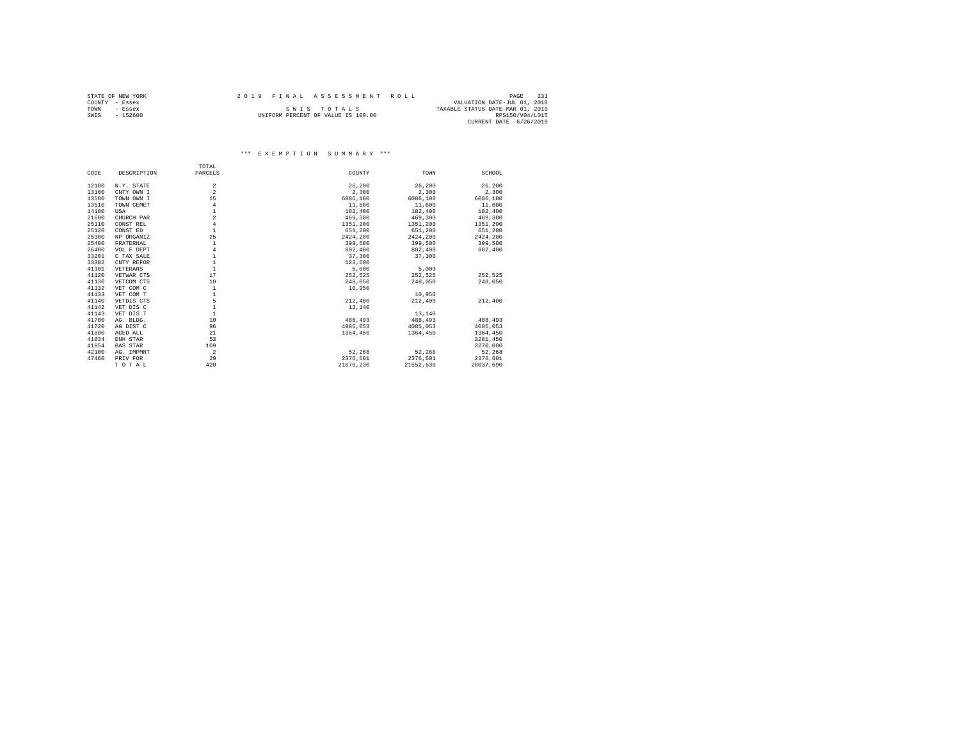|      | STATE OF NEW YORK | 2019 FINAL ASSESSMENT ROLL |                                    |                                  | PAGE            | 231 |
|------|-------------------|----------------------------|------------------------------------|----------------------------------|-----------------|-----|
|      | COUNTY - Essex    |                            |                                    | VALUATION DATE-JUL 01, 2018      |                 |     |
| TOWN | $-$ Essex         |                            | SWIS TOTALS                        | TAXABLE STATUS DATE-MAR 01, 2019 |                 |     |
| SWIS | $-152600$         |                            | UNIFORM PERCENT OF VALUE IS 100.00 |                                  | RPS150/V04/L015 |     |
|      |                   |                            |                                    | CURRENT DATE 6/26/2019           |                 |     |

|       |                 | TOTAL          |           |           |           |
|-------|-----------------|----------------|-----------|-----------|-----------|
| CODE  | DESCRIPTION     | PARCELS        | COUNTY    | TOWN      | SCHOOL    |
| 12100 | N.Y. STATE      | $\overline{2}$ | 26,200    | 26,200    | 26,200    |
| 13100 | CNTY OWN I      | $\overline{a}$ | 2,300     | 2,300     | 2,300     |
|       |                 |                |           |           |           |
| 13500 | TOWN OWN I      | 15             | 6086,100  | 6086,100  | 6086,100  |
| 13510 | TOWN CEMET      | $\overline{4}$ | 11,600    | 11,600    | 11,600    |
| 14100 | USA             | $\mathbf{1}$   | 182,400   | 182,400   | 182,400   |
| 21600 | CHURCH PAR      | $\overline{a}$ | 469,300   | 469,300   | 469,300   |
| 25110 | CONST REL       | $\overline{4}$ | 1351,200  | 1351,200  | 1351.200  |
| 25120 | CONST ED        | $\mathbf{1}$   | 651,200   | 651,200   | 651,200   |
| 25300 | NP ORGANIZ      | 25             | 2424,200  | 2424,200  | 2424,200  |
| 25400 | FRATERNAL       | 1              | 399,500   | 399,500   | 399,500   |
| 26400 | VOL F DEPT      | $\overline{4}$ | 802,400   | 802,400   | 802,400   |
| 33201 | C TAX SALE      | $\mathbf{1}$   | 37,300    | 37,300    |           |
| 33302 | CNTY REFOR      | $\mathbf{1}$   | 123,600   |           |           |
| 41101 | VETERANS        | $\mathbf{1}$   | 5,000     | 5,000     |           |
| 41120 | VETWAR CTS      | 17             | 252.525   | 252.525   | 252.525   |
| 41130 | VETCOM CTS      | 10             | 248,050   | 248,050   | 248,050   |
| 41132 | VET COM C       | $\mathbf{1}$   | 10,950    |           |           |
| 41133 | VET COM T       | $\mathbf{1}$   |           | 10,950    |           |
| 41140 | VETDIS CTS      | 5              | 212,400   | 212,400   | 212,400   |
| 41142 | VET DIS C       | $\mathbf{1}$   | 13,140    |           |           |
| 41143 | VET DIS T       | $\mathbf{1}$   |           | 13,140    |           |
| 41700 | AG. BLDG.       | 10             | 488,493   | 488,493   | 488,493   |
| 41720 | AG DIST C       | 96             | 4085,053  | 4085.053  | 4085.053  |
| 41800 | AGED ALL        | 21             | 1364,450  | 1364.450  | 1364,450  |
| 41834 | ENH STAR        | 53             |           |           | 3281.450  |
| 41854 | <b>BAS STAR</b> | 109            |           |           | 3270,000  |
| 42100 |                 | $\overline{a}$ | 52,268    | 52.268    | 52.268    |
|       | AG. IMPMNT      |                |           |           |           |
| 47460 | PRIV FOR        | 29             | 2376.601  | 2376.601  | 2376.601  |
|       | TOTAL           | 420            | 21676.230 | 21552,630 | 28037.690 |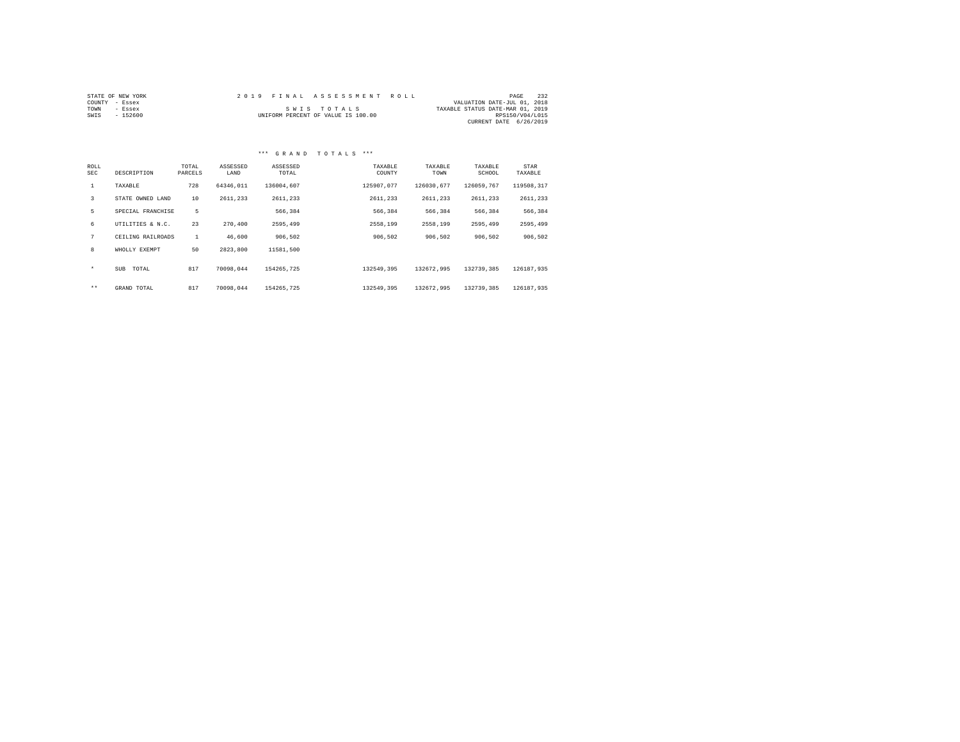|                | STATE OF NEW YORK |  | 2019 FINAL ASSESSMENT ROLL         |                                  | PAGE            | 232 |
|----------------|-------------------|--|------------------------------------|----------------------------------|-----------------|-----|
| COUNTY - Essex |                   |  |                                    | VALUATION DATE-JUL 01, 2018      |                 |     |
| TOWN           | - Essex           |  | SWIS TOTALS                        | TAXABLE STATUS DATE-MAR 01, 2019 |                 |     |
| SWIS           | - 152600          |  | UNIFORM PERCENT OF VALUE IS 100.00 |                                  | RPS150/V04/L015 |     |
|                |                   |  |                                    | CURRENT DATE 6/26/2019           |                 |     |

#### \*\*\* G R A N D T O T A L S \*\*\*

| ROLL<br><b>SEC</b> | DESCRIPTION         | TOTAL<br>PARCELS | ASSESSED<br>LAND | ASSESSED<br>TOTAL | TAXABLE<br>COUNTY | TAXABLE<br>TOWN | TAXABLE<br>SCHOOL | STAR<br>TAXABLE |
|--------------------|---------------------|------------------|------------------|-------------------|-------------------|-----------------|-------------------|-----------------|
| $\mathbf{1}$       | TAXABLE             | 728              | 64346.011        | 136004.607        | 125907.077        | 126030.677      | 126059.767        | 119508.317      |
| 3                  | STATE OWNED LAND    | 10               | 2611,233         | 2611,233          | 2611,233          | 2611.233        | 2611,233          | 2611.233        |
| 5                  | SPECIAL FRANCHISE   | 5                |                  | 566.384           | 566,384           | 566.384         | 566,384           | 566,384         |
| 6                  | UTILITIES & N.C.    | 23               | 270,400          | 2595,499          | 2558.199          | 2558.199        | 2595,499          | 2595,499        |
| 7                  | CEILING RAILROADS   | $\mathbf{1}$     | 46,600           | 906.502           | 906.502           | 906.502         | 906.502           | 906,502         |
| 8                  | WHOLLY EXEMPT       | 50               | 2823,800         | 11581.500         |                   |                 |                   |                 |
| $\star$            | <b>SUB</b><br>TOTAL | 817              | 70098.044        | 154265.725        | 132549.395        | 132672.995      | 132739.385        | 126187.935      |
| $***$              | GRAND TOTAL         | 817              | 70098.044        | 154265.725        | 132549.395        | 132672.995      | 132739.385        | 126187.935      |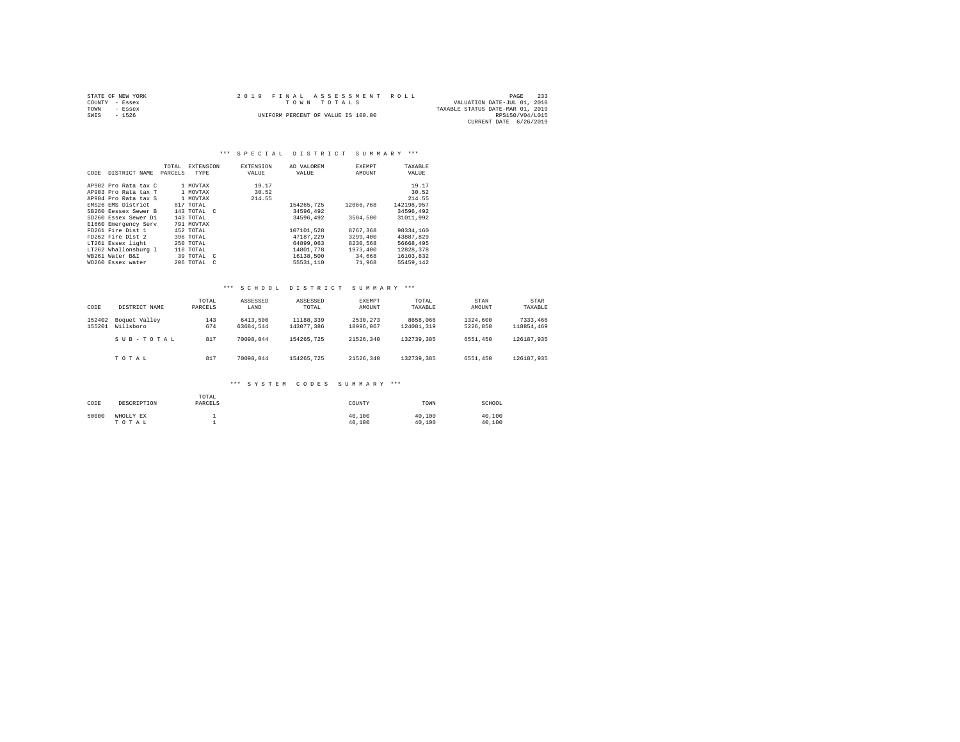|      | STATE OF NEW YORK |  | 2019 FINAL ASSESSMENT ROLL         |                                  | PAGE            | 233 |
|------|-------------------|--|------------------------------------|----------------------------------|-----------------|-----|
|      | COUNTY - Essex    |  | TOWN TOTALS                        | VALUATION DATE-JUL 01, 2018      |                 |     |
| TOWN | $-$ Essex         |  |                                    | TAXABLE STATUS DATE-MAR 01, 2019 |                 |     |
| SWIS | $-1526$           |  | UNIFORM PERCENT OF VALUE IS 100.00 |                                  | RPS150/V04/L015 |     |
|      |                   |  |                                    | CURRENT DATE 6/26/2019           |                 |     |

#### \*\*\* SPECIAL DISTRICT SUMMARY \*\*\*

| CODE | DISTRICT NAME        | TOTAL<br>PARCELS | <b>EXTENSION</b><br>TYPE | <b>EXTENSION</b><br>VALUE | AD VALOREM<br>VALUE | EXEMPT<br>AMOUNT | TAXABLE<br>VALUE |
|------|----------------------|------------------|--------------------------|---------------------------|---------------------|------------------|------------------|
|      | AP902 Pro Rata tax C |                  | 1 MOVTAX                 | 19.17                     |                     |                  | 19.17            |
|      | AP903 Pro Rata tax T |                  | 1 MOVTAX                 | 30.52                     |                     |                  | 30.52            |
|      | AP904 Pro Rata tax S |                  | 1 MOVTAX                 | 214.55                    |                     |                  | 214.55           |
|      | EMS26 EMS District   |                  | 817 TOTAL                |                           | 154265.725          | 12066.768        | 142198.957       |
|      | SB260 Ressex Sewer B |                  | 143 TOTAL C              |                           | 34596.492           |                  | 34596,492        |
|      | SD260 Essex Sewer Di |                  | 143 TOTAL                |                           | 34596.492           | 3584,500         | 31011.992        |
|      | E1660 Emergency Serv |                  | 791 MOVTAX               |                           |                     |                  |                  |
|      | FD261 Fire Dist 1    |                  | 452 TOTAL                |                           | 107101.528          | 8767.368         | 98334,160        |
|      | FD262 Fire Dist 2    |                  | 396 TOTAL                |                           | 47187.229           | 3299,400         | 43887.829        |
|      | LT261 Essex light    |                  | 250 TOTAL                |                           | 64899.063           | 8230.568         | 56668,495        |
|      | LT262 Whallonsburg 1 |                  | 118 TOTAL                |                           | 14801,778           | 1973,400         | 12828.378        |
|      | WR261 Water R&T      |                  | 39 TOTAL C               |                           | 16138,500           | 34,668           | 16103.832        |
|      | WD260 Essex water    |                  | 206 TOTAL<br>$\epsilon$  |                           | 55531.110           | 71,968           | 55459.142        |

#### \*\*\* S C H O O L D I S T R I C T S U M M A R Y \*\*\*

| CODE             | DISTRICT NAME                  | TOTAL<br>PARCELS | ASSESSED<br>LAND      | ASSESSED<br>TOTAL       | EXEMPT<br>AMOUNT      | TOTAL<br>TAXABLE       | STAR<br>AMOUNT       | <b>STAR</b><br>TAXABLE |
|------------------|--------------------------------|------------------|-----------------------|-------------------------|-----------------------|------------------------|----------------------|------------------------|
| 152402<br>155201 | Boquet Valley<br>Willsboro     | 143<br>674       | 6413,500<br>63684.544 | 11188,339<br>143077.386 | 2530.273<br>18996.067 | 8658,066<br>124081.319 | 1324,600<br>5226.850 | 7333,466<br>118854,469 |
|                  | $S$ II $B - T$ $O$ $T$ $A$ $L$ | 817              | 70098.044             | 154265.725              | 21526.340             | 132739.385             | 6551,450             | 126187.935             |
|                  | TOTAL                          | 817              | 70098.044             | 154265.725              | 21526.340             | 132739.385             | 6551,450             | 126187.935             |

| CODE  | DESCRIPTION        | TOTAL<br>PARCELS | COUNTY           | TOWN             | SCHOOL           |
|-------|--------------------|------------------|------------------|------------------|------------------|
| 50000 | WHOLLY EX<br>TOTAL |                  | 40,100<br>40,100 | 40,100<br>40,100 | 40.100<br>40.100 |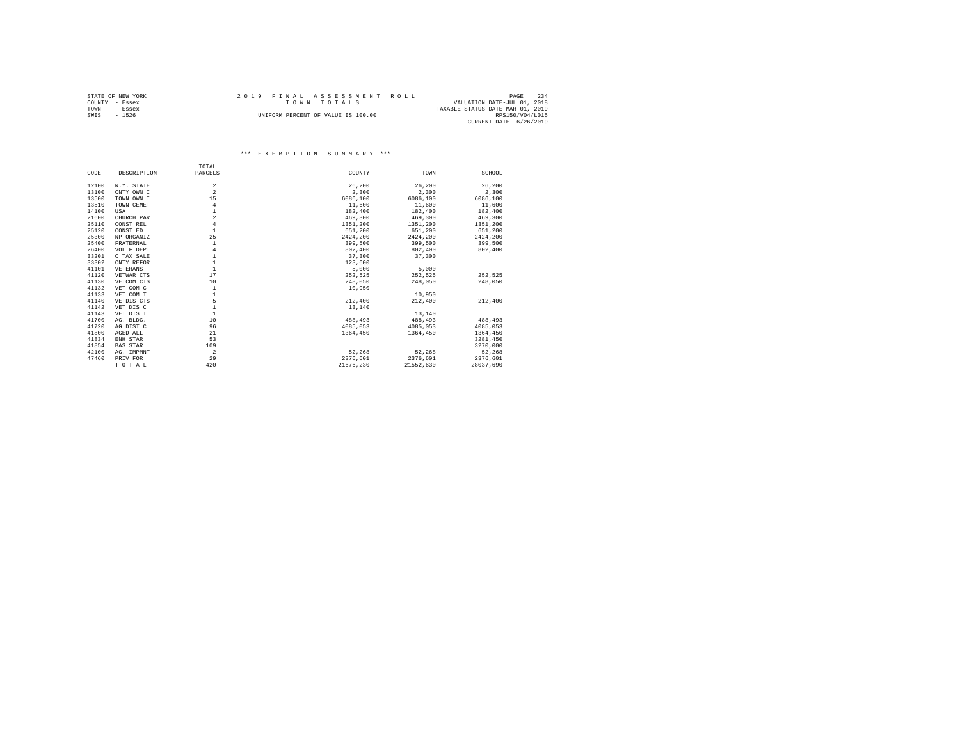| STATE OF NEW YORK | 2019 FINAL ASSESSMENT ROLL         | 234<br>PAGE                      |
|-------------------|------------------------------------|----------------------------------|
| COUNTY - Essex    | TOWN TOTALS                        | VALUATION DATE-JUL 01, 2018      |
| TOWN<br>- Essex   |                                    | TAXABLE STATUS DATE-MAR 01, 2019 |
| SWIS<br>$-1526$   | UNIFORM PERCENT OF VALUE IS 100.00 | RPS150/V04/L015                  |
|                   |                                    | CURRENT DATE 6/26/2019           |

|       |                 | TOTAL          |           |           |           |
|-------|-----------------|----------------|-----------|-----------|-----------|
| CODE  | DESCRIPTION     | PARCELS        | COUNTY    | TOWN      | SCHOOL    |
| 12100 | N.Y. STATE      | $\overline{2}$ | 26,200    | 26,200    | 26,200    |
| 13100 | CNTY OWN I      | $\overline{a}$ | 2,300     | 2,300     | 2,300     |
| 13500 | TOWN OWN I      | 15             | 6086,100  | 6086,100  | 6086,100  |
| 13510 | TOWN CEMET      | $\overline{4}$ | 11,600    | 11,600    | 11,600    |
| 14100 | USA             | $\mathbf{1}$   | 182,400   | 182,400   | 182,400   |
| 21600 |                 | $\overline{a}$ | 469,300   | 469,300   | 469,300   |
|       | CHURCH PAR      | $\overline{4}$ |           |           |           |
| 25110 | CONST REL       |                | 1351,200  | 1351,200  | 1351.200  |
| 25120 | CONST ED        | $\overline{1}$ | 651,200   | 651,200   | 651,200   |
| 25300 | NP ORGANIZ      | 25             | 2424,200  | 2424,200  | 2424,200  |
| 25400 | FRATERNAL       | $\mathbf{1}$   | 399,500   | 399,500   | 399,500   |
| 26400 | VOL F DEPT      | $\overline{4}$ | 802,400   | 802,400   | 802,400   |
| 33201 | C TAX SALE      | $\mathbf{1}$   | 37,300    | 37,300    |           |
| 33302 | CNTY REFOR      | $\mathbf{1}$   | 123,600   |           |           |
| 41101 | VETERANS        | $\mathbf{1}$   | 5,000     | 5,000     |           |
| 41120 | VETWAR CTS      | 17             | 252,525   | 252.525   | 252.525   |
| 41130 | VETCOM CTS      | 10             | 248,050   | 248,050   | 248,050   |
| 41132 | VET COM C       | $\mathbf{1}$   | 10,950    |           |           |
| 41133 | VET COM T       | $\mathbf{1}$   |           | 10,950    |           |
| 41140 | VETDIS CTS      | 5              | 212,400   | 212,400   | 212,400   |
| 41142 | VET DIS C       | $\mathbf{1}$   | 13,140    |           |           |
| 41143 | VET DIS T       | $\mathbf{1}$   |           | 13,140    |           |
| 41700 | AG. BLDG.       | 10             | 488,493   | 488,493   | 488,493   |
| 41720 | AG DIST C       | 96             | 4085.053  | 4085.053  | 4085.053  |
| 41800 | AGED ALL        | 21             | 1364,450  | 1364.450  | 1364.450  |
| 41834 | ENH STAR        | 53             |           |           | 3281.450  |
| 41854 | <b>BAS STAR</b> | 109            |           |           | 3270,000  |
| 42100 | AG. IMPMNT      | $\overline{a}$ | 52.268    | 52.268    | 52,268    |
| 47460 | PRIV FOR        | 29             | 2376.601  | 2376,601  | 2376,601  |
|       |                 | 420            | 21676.230 | 21552.630 | 28037.690 |
|       | TOTAL           |                |           |           |           |